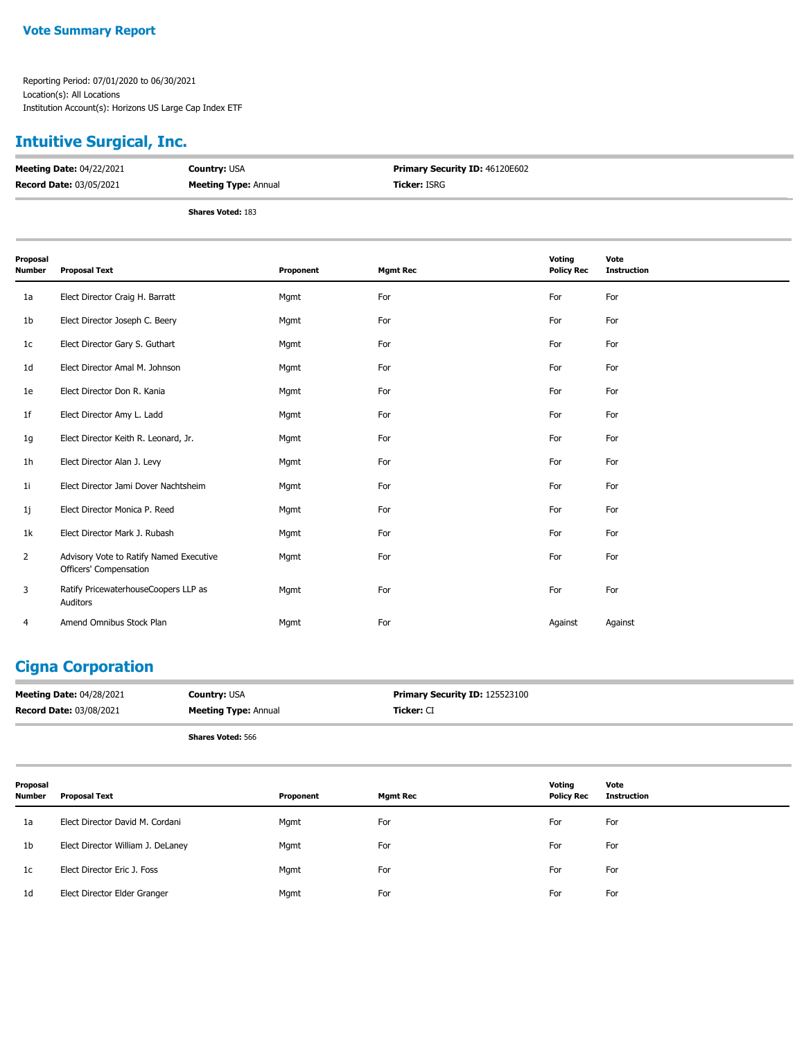### **Intuitive Surgical, Inc.**

| <b>Meeting Date: 04/22/2021</b> | <b>Country: USA</b>         | <b>Primary Security ID: 46120E602</b> |
|---------------------------------|-----------------------------|---------------------------------------|
| <b>Record Date: 03/05/2021</b>  | <b>Meeting Type: Annual</b> | <b>Ticker:</b> ISRG                   |
|                                 | <b>Shares Voted: 183</b>    |                                       |

| Proposal<br>Number | <b>Proposal Text</b>                                              | Proponent | <b>Mgmt Rec</b> | Voting<br><b>Policy Rec</b> | Vote<br><b>Instruction</b> |
|--------------------|-------------------------------------------------------------------|-----------|-----------------|-----------------------------|----------------------------|
| 1a                 | Elect Director Craig H. Barratt                                   | Mgmt      | For             | For                         | For                        |
| 1b                 | Elect Director Joseph C. Beery                                    | Mgmt      | For             | For                         | For                        |
| 1 <sub>c</sub>     | Elect Director Gary S. Guthart                                    | Mgmt      | For             | For                         | For                        |
| 1d                 | Elect Director Amal M. Johnson                                    | Mgmt      | For             | For                         | For                        |
| 1e                 | Elect Director Don R. Kania                                       | Mgmt      | For             | For                         | For                        |
| 1f                 | Elect Director Amy L. Ladd                                        | Mgmt      | For             | For                         | For                        |
| 1g                 | Elect Director Keith R. Leonard, Jr.                              | Mgmt      | For             | For                         | For                        |
| 1h                 | Elect Director Alan J. Levy                                       | Mgmt      | For             | For                         | For                        |
| 1i                 | Elect Director Jami Dover Nachtsheim                              | Mgmt      | For             | For                         | For                        |
| 1j                 | Elect Director Monica P. Reed                                     | Mgmt      | For             | For                         | For                        |
| 1k                 | Elect Director Mark J. Rubash                                     | Mgmt      | For             | For                         | For                        |
| $\overline{2}$     | Advisory Vote to Ratify Named Executive<br>Officers' Compensation | Mgmt      | For             | For                         | For                        |
| 3                  | Ratify PricewaterhouseCoopers LLP as<br>Auditors                  | Mgmt      | For             | For                         | For                        |
| 4                  | Amend Omnibus Stock Plan                                          | Mgmt      | For             | Against                     | Against                    |

# **Cigna Corporation**

| <b>Meeting Date: 04/28/2021</b> | <b>Country: USA</b>         | <b>Primary Security ID: 125523100</b> |
|---------------------------------|-----------------------------|---------------------------------------|
| <b>Record Date: 03/08/2021</b>  | <b>Meeting Type: Annual</b> | <b>Ticker:</b> CI                     |
|                                 | <b>Shares Voted: 566</b>    |                                       |

| Proposal<br><b>Number</b> | Proposal Text                     | Proponent | Mgmt Rec | Voting<br><b>Policy Rec</b> | Vote<br>Instruction |
|---------------------------|-----------------------------------|-----------|----------|-----------------------------|---------------------|
| 1a                        | Elect Director David M. Cordani   | Mgmt      | For      | For                         | For                 |
| 1b                        | Elect Director William J. DeLaney | Mgmt      | For      | For                         | For                 |
| 1c                        | Elect Director Eric J. Foss       | Mgmt      | For      | For                         | For                 |
| 1d                        | Elect Director Elder Granger      | Mgmt      | For      | For                         | For                 |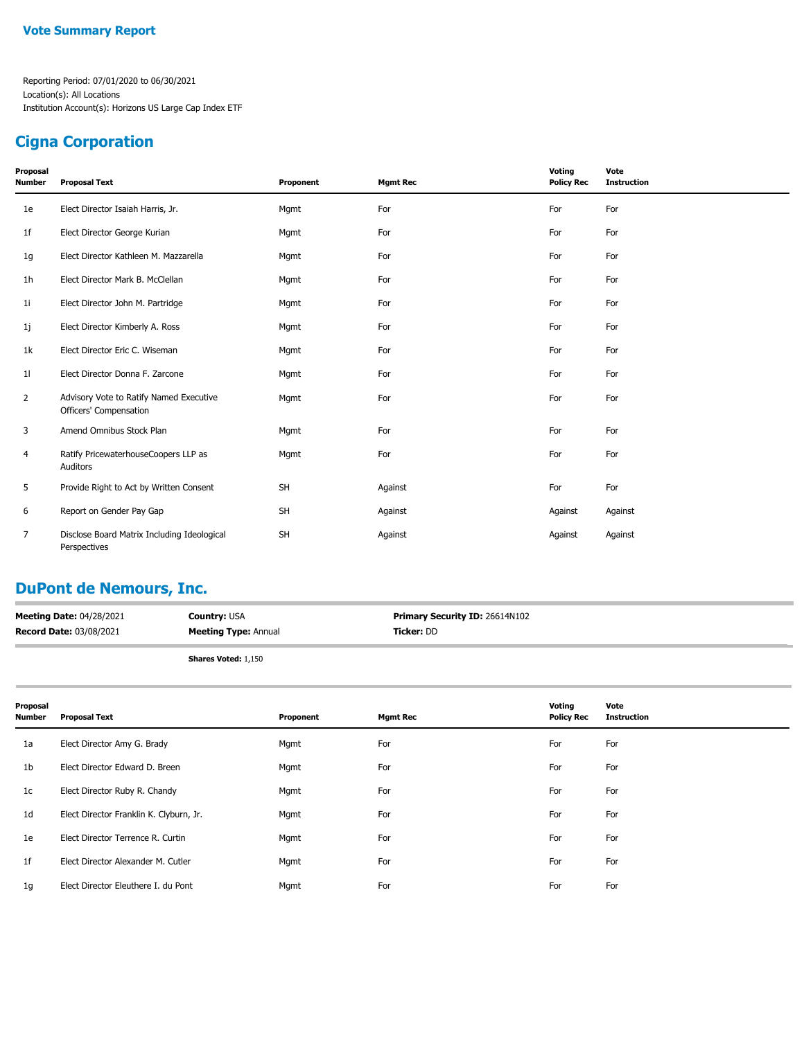### **Cigna Corporation**

| Proposal<br><b>Number</b> | <b>Proposal Text</b>                                              | Proponent | <b>Mgmt Rec</b> | Voting<br><b>Policy Rec</b> | Vote<br><b>Instruction</b> |
|---------------------------|-------------------------------------------------------------------|-----------|-----------------|-----------------------------|----------------------------|
| 1e                        | Elect Director Isaiah Harris, Jr.                                 | Mgmt      | For             | For                         | For                        |
| 1 <sub>f</sub>            | Elect Director George Kurian                                      | Mgmt      | For             | For                         | For                        |
| 1g                        | Elect Director Kathleen M. Mazzarella                             | Mgmt      | For             | For                         | For                        |
| 1h                        | Elect Director Mark B. McClellan                                  | Mgmt      | For             | For                         | For                        |
| 1i                        | Elect Director John M. Partridge                                  | Mgmt      | For             | For                         | For                        |
| 1j                        | Elect Director Kimberly A. Ross                                   | Mgmt      | For             | For                         | For                        |
| 1k                        | Elect Director Eric C. Wiseman                                    | Mgmt      | For             | For                         | For                        |
| 11                        | Elect Director Donna F. Zarcone                                   | Mgmt      | For             | For                         | For                        |
| $\overline{2}$            | Advisory Vote to Ratify Named Executive<br>Officers' Compensation | Mgmt      | For             | For                         | For                        |
| 3                         | Amend Omnibus Stock Plan                                          | Mgmt      | For             | For                         | For                        |
| 4                         | Ratify PricewaterhouseCoopers LLP as<br>Auditors                  | Mgmt      | For             | For                         | For                        |
| 5                         | Provide Right to Act by Written Consent                           | <b>SH</b> | Against         | For                         | For                        |
| 6                         | Report on Gender Pay Gap                                          | <b>SH</b> | Against         | Against                     | Against                    |
| 7                         | Disclose Board Matrix Including Ideological<br>Perspectives       | <b>SH</b> | Against         | Against                     | Against                    |

## **DuPont de Nemours, Inc.**

| <b>Meeting Date: 04/28/2021</b> | <b>Country: USA</b>         | <b>Primary Security ID: 26614N102</b> |
|---------------------------------|-----------------------------|---------------------------------------|
| <b>Record Date: 03/08/2021</b>  | <b>Meeting Type: Annual</b> | Ticker: DD                            |
|                                 |                             |                                       |

**Shares Voted:** 1,150

| Proposal<br><b>Number</b> | <b>Proposal Text</b>                    | Proponent | <b>Mgmt Rec</b> | Voting<br><b>Policy Rec</b> | Vote<br><b>Instruction</b> |
|---------------------------|-----------------------------------------|-----------|-----------------|-----------------------------|----------------------------|
| 1a                        | Elect Director Amy G. Brady             | Mgmt      | For             | For                         | For                        |
| 1b                        | Elect Director Edward D. Breen          | Mgmt      | For             | For                         | For                        |
| 1 <sub>c</sub>            | Elect Director Ruby R. Chandy           | Mgmt      | For             | For                         | For                        |
| 1d                        | Elect Director Franklin K. Clyburn, Jr. | Mgmt      | For             | For                         | For                        |
| 1e                        | Elect Director Terrence R. Curtin       | Mgmt      | For             | For                         | For                        |
| 1f                        | Elect Director Alexander M. Cutler      | Mgmt      | For             | For                         | For                        |
| 1 <sub>g</sub>            | Elect Director Eleuthere I. du Pont     | Mgmt      | For             | For                         | For                        |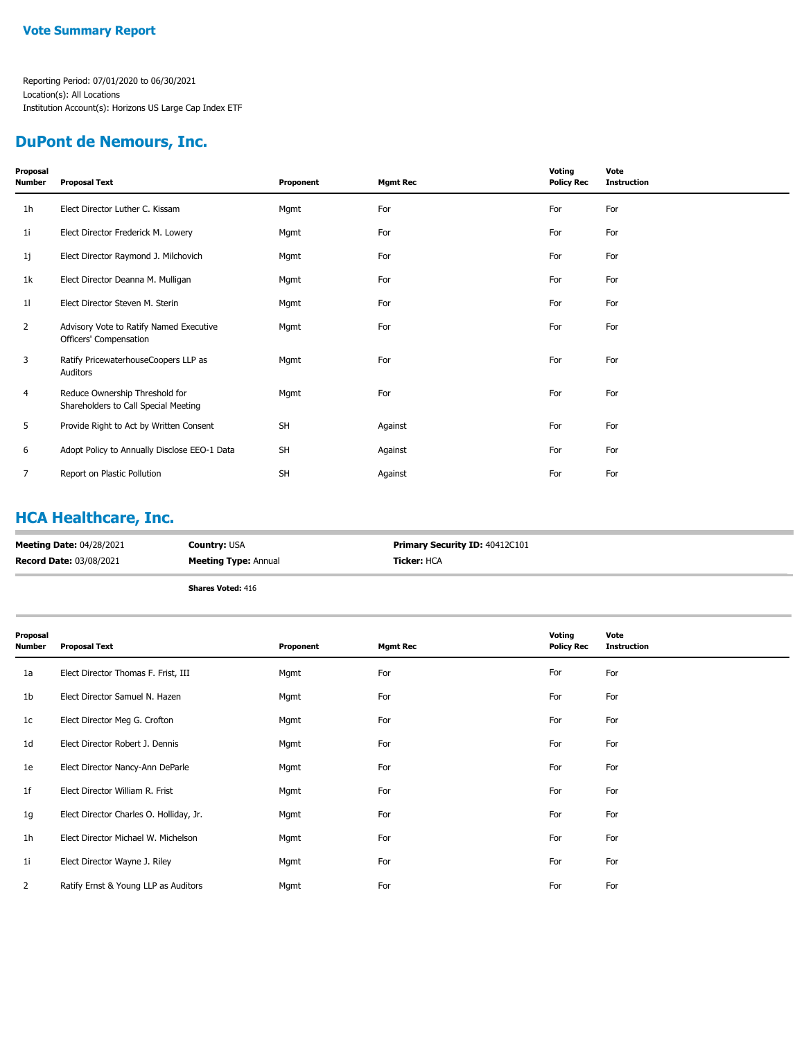### **DuPont de Nemours, Inc.**

| Proposal<br><b>Number</b> | <b>Proposal Text</b>                                                   | Proponent | <b>Mgmt Rec</b> | Voting<br><b>Policy Rec</b> | Vote<br><b>Instruction</b> |
|---------------------------|------------------------------------------------------------------------|-----------|-----------------|-----------------------------|----------------------------|
| 1 <sub>h</sub>            | Elect Director Luther C. Kissam                                        | Mgmt      | For             | For                         | For                        |
| 1i                        | Elect Director Frederick M. Lowery                                     | Mgmt      | For             | For                         | For                        |
| 1j                        | Elect Director Raymond J. Milchovich                                   | Mgmt      | For             | For                         | For                        |
| 1k                        | Elect Director Deanna M. Mulligan                                      | Mgmt      | For             | For                         | For                        |
| 11                        | Elect Director Steven M. Sterin                                        | Mgmt      | For             | For                         | For                        |
| 2                         | Advisory Vote to Ratify Named Executive<br>Officers' Compensation      | Mgmt      | For             | For                         | For                        |
| 3                         | Ratify PricewaterhouseCoopers LLP as<br>Auditors                       | Mgmt      | For             | For                         | For                        |
| 4                         | Reduce Ownership Threshold for<br>Shareholders to Call Special Meeting | Mgmt      | For             | For                         | For                        |
| 5                         | Provide Right to Act by Written Consent                                | <b>SH</b> | Against         | For                         | For                        |
| 6                         | Adopt Policy to Annually Disclose EEO-1 Data                           | <b>SH</b> | Against         | For                         | For                        |
| 7                         | Report on Plastic Pollution                                            | SH        | Against         | For                         | For                        |

#### **HCA Healthcare, Inc.**

| <b>Meeting Date: 04/28/2021</b> | <b>Country: USA</b>         | <b>Primary Security ID: 40412C101</b> |
|---------------------------------|-----------------------------|---------------------------------------|
| <b>Record Date: 03/08/2021</b>  | <b>Meeting Type: Annual</b> | <b>Ticker: HCA</b>                    |
|                                 | <b>Shares Voted: 416</b>    |                                       |

| Proposal<br><b>Number</b> | <b>Proposal Text</b>                    | Proponent | <b>Mgmt Rec</b> | Voting<br><b>Policy Rec</b> | Vote<br><b>Instruction</b> |
|---------------------------|-----------------------------------------|-----------|-----------------|-----------------------------|----------------------------|
| 1a                        | Elect Director Thomas F. Frist, III     | Mgmt      | For             | For                         | For                        |
| 1b                        | Elect Director Samuel N. Hazen          | Mgmt      | For             | For                         | For                        |
| 1 <sub>c</sub>            | Elect Director Meg G. Crofton           | Mgmt      | For             | For                         | For                        |
| 1 <sub>d</sub>            | Elect Director Robert J. Dennis         | Mgmt      | For             | For                         | For                        |
| 1e                        | Elect Director Nancy-Ann DeParle        | Mgmt      | For             | For                         | For                        |
| 1 <sup>f</sup>            | Elect Director William R. Frist         | Mgmt      | For             | For                         | For                        |
| 1g                        | Elect Director Charles O. Holliday, Jr. | Mgmt      | For             | For                         | For                        |
| 1h                        | Elect Director Michael W. Michelson     | Mgmt      | For             | For                         | For                        |
| 11                        | Elect Director Wayne J. Riley           | Mgmt      | For             | For                         | For                        |
| 2                         | Ratify Ernst & Young LLP as Auditors    | Mgmt      | For             | For                         | For                        |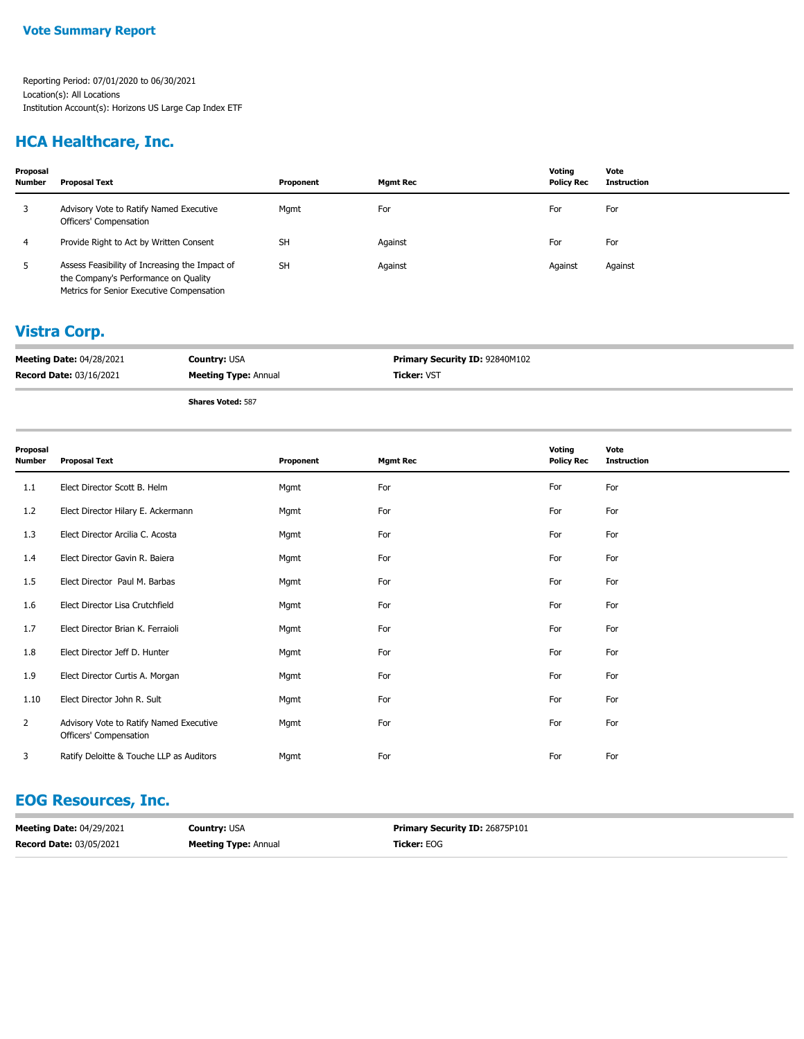### **HCA Healthcare, Inc.**

| Proposal<br><b>Number</b> | Proposal Text                                                                                                                       | Proponent | <b>Mgmt Rec</b> | Votina<br><b>Policy Rec</b> | Vote<br>Instruction |
|---------------------------|-------------------------------------------------------------------------------------------------------------------------------------|-----------|-----------------|-----------------------------|---------------------|
|                           | Advisory Vote to Ratify Named Executive<br>Officers' Compensation                                                                   | Mgmt      | For             | For                         | For                 |
| 4                         | Provide Right to Act by Written Consent                                                                                             | <b>SH</b> | Against         | For                         | For                 |
| ь                         | Assess Feasibility of Increasing the Impact of<br>the Company's Performance on Quality<br>Metrics for Senior Executive Compensation | <b>SH</b> | Against         | Against                     | Against             |

#### **Vistra Corp.**

| <b>Meeting Date: 04/28/2021</b> | <b>Country: USA</b>         | Primary Security ID: 92840M102 |
|---------------------------------|-----------------------------|--------------------------------|
| <b>Record Date: 03/16/2021</b>  | <b>Meeting Type: Annual</b> | <b>Ticker: VST</b>             |
|                                 | $-$                         |                                |

**Shares Voted:** 587

| Proposal<br><b>Number</b> | <b>Proposal Text</b>                                              | Proponent | <b>Mgmt Rec</b> | Voting<br><b>Policy Rec</b> | Vote<br><b>Instruction</b> |
|---------------------------|-------------------------------------------------------------------|-----------|-----------------|-----------------------------|----------------------------|
| 1.1                       | Elect Director Scott B. Helm                                      | Mgmt      | For             | For                         | For                        |
| 1.2                       | Elect Director Hilary E. Ackermann                                | Mgmt      | For             | For                         | For                        |
| 1.3                       | Elect Director Arcilia C. Acosta                                  | Mgmt      | For             | For                         | For                        |
| 1.4                       | Elect Director Gavin R. Baiera                                    | Mgmt      | For             | For                         | For                        |
| 1.5                       | Elect Director Paul M. Barbas                                     | Mgmt      | For             | For                         | For                        |
| 1.6                       | Elect Director Lisa Crutchfield                                   | Mgmt      | For             | For                         | For                        |
| 1.7                       | Elect Director Brian K. Ferraioli                                 | Mgmt      | For             | For                         | For                        |
| 1.8                       | Elect Director Jeff D. Hunter                                     | Mgmt      | For             | For                         | For                        |
| 1.9                       | Elect Director Curtis A. Morgan                                   | Mgmt      | For             | For                         | For                        |
| 1.10                      | Elect Director John R. Sult                                       | Mgmt      | For             | For                         | For                        |
| $\overline{2}$            | Advisory Vote to Ratify Named Executive<br>Officers' Compensation | Mgmt      | For             | For                         | For                        |
| 3                         | Ratify Deloitte & Touche LLP as Auditors                          | Mgmt      | For             | For                         | For                        |

### **EOG Resources, Inc.**

| <b>Meeting Date: 04/29/2021</b> | <b>Country: USA</b>         | <b>Primary Security ID: 26875P101</b> |
|---------------------------------|-----------------------------|---------------------------------------|
| <b>Record Date: 03/05/2021</b>  | <b>Meeting Type: Annual</b> | <b>Ticker: EOG</b>                    |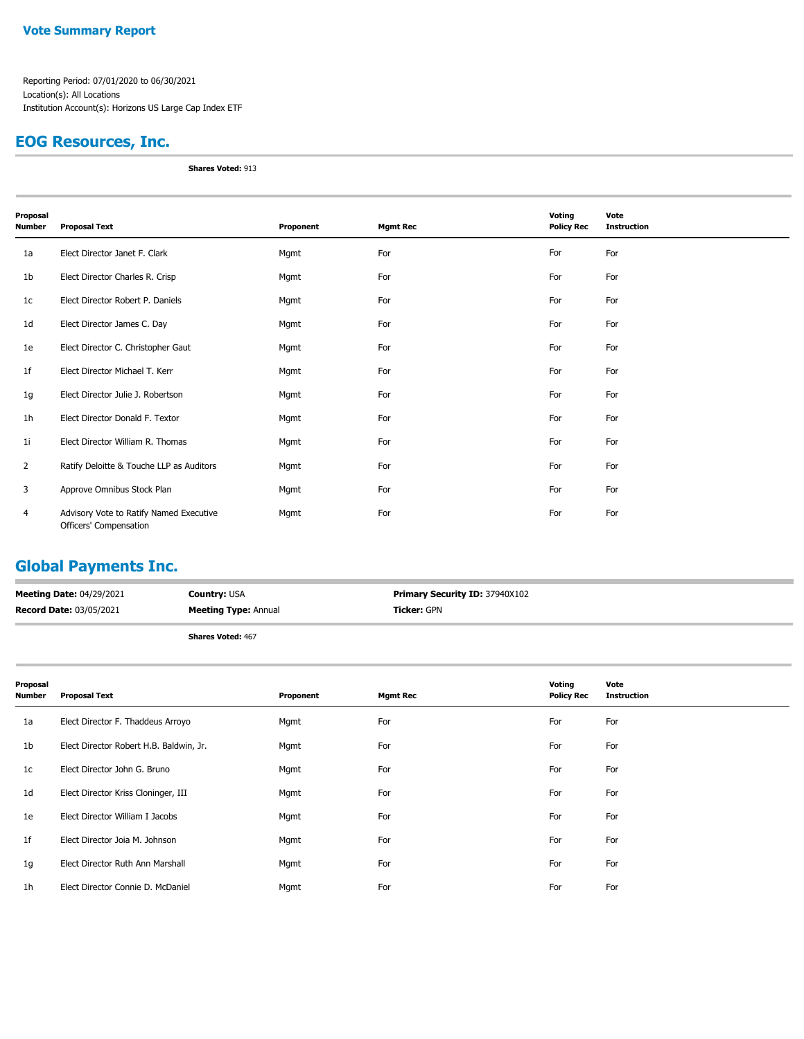### **EOG Resources, Inc.**

**Shares Voted:** 913

| Proposal<br>Number | <b>Proposal Text</b>                                              | Proponent | <b>Mgmt Rec</b> | Voting<br><b>Policy Rec</b> | Vote<br><b>Instruction</b> |
|--------------------|-------------------------------------------------------------------|-----------|-----------------|-----------------------------|----------------------------|
| 1a                 | Elect Director Janet F. Clark                                     | Mgmt      | For             | For                         | For                        |
| 1b                 | Elect Director Charles R. Crisp                                   | Mgmt      | For             | For                         | For                        |
| 1c                 | Elect Director Robert P. Daniels                                  | Mgmt      | For             | For                         | For                        |
| 1 <sub>d</sub>     | Elect Director James C. Day                                       | Mgmt      | For             | For                         | For                        |
| 1e                 | Elect Director C. Christopher Gaut                                | Mgmt      | For             | For                         | For                        |
| 1f                 | Elect Director Michael T. Kerr                                    | Mgmt      | For             | For                         | For                        |
| 1g                 | Elect Director Julie J. Robertson                                 | Mgmt      | For             | For                         | For                        |
| 1h                 | Elect Director Donald F. Textor                                   | Mgmt      | For             | For                         | For                        |
| 1i                 | Elect Director William R. Thomas                                  | Mgmt      | For             | For                         | For                        |
| $\overline{2}$     | Ratify Deloitte & Touche LLP as Auditors                          | Mgmt      | For             | For                         | For                        |
| 3                  | Approve Omnibus Stock Plan                                        | Mgmt      | For             | For                         | For                        |
| 4                  | Advisory Vote to Ratify Named Executive<br>Officers' Compensation | Mgmt      | For             | For                         | For                        |

## **Global Payments Inc.**

| <b>Meeting Date: 04/29/2021</b> | <b>Country: USA</b>         | <b>Primary Security ID: 37940X102</b> |
|---------------------------------|-----------------------------|---------------------------------------|
| <b>Record Date: 03/05/2021</b>  | <b>Meeting Type: Annual</b> | <b>Ticker:</b> GPN                    |
|                                 | <b>Shares Voted: 467</b>    |                                       |

| Proposal<br>Number | <b>Proposal Text</b>                    | Proponent | <b>Mgmt Rec</b> | Voting<br><b>Policy Rec</b> | Vote<br><b>Instruction</b> |
|--------------------|-----------------------------------------|-----------|-----------------|-----------------------------|----------------------------|
| 1a                 | Elect Director F. Thaddeus Arroyo       | Mgmt      | For             | For                         | For                        |
| 1b                 | Elect Director Robert H.B. Baldwin, Jr. | Mgmt      | For             | For                         | For                        |
| 1c                 | Elect Director John G. Bruno            | Mgmt      | For             | For                         | For                        |
| 1d                 | Elect Director Kriss Cloninger, III     | Mgmt      | For             | For                         | For                        |
| 1e                 | Elect Director William I Jacobs         | Mgmt      | For             | For                         | For                        |
| 1f                 | Elect Director Joia M. Johnson          | Mgmt      | For             | For                         | For                        |
| 1g                 | Elect Director Ruth Ann Marshall        | Mgmt      | For             | For                         | For                        |
| 1h                 | Elect Director Connie D. McDaniel       | Mgmt      | For             | For                         | For                        |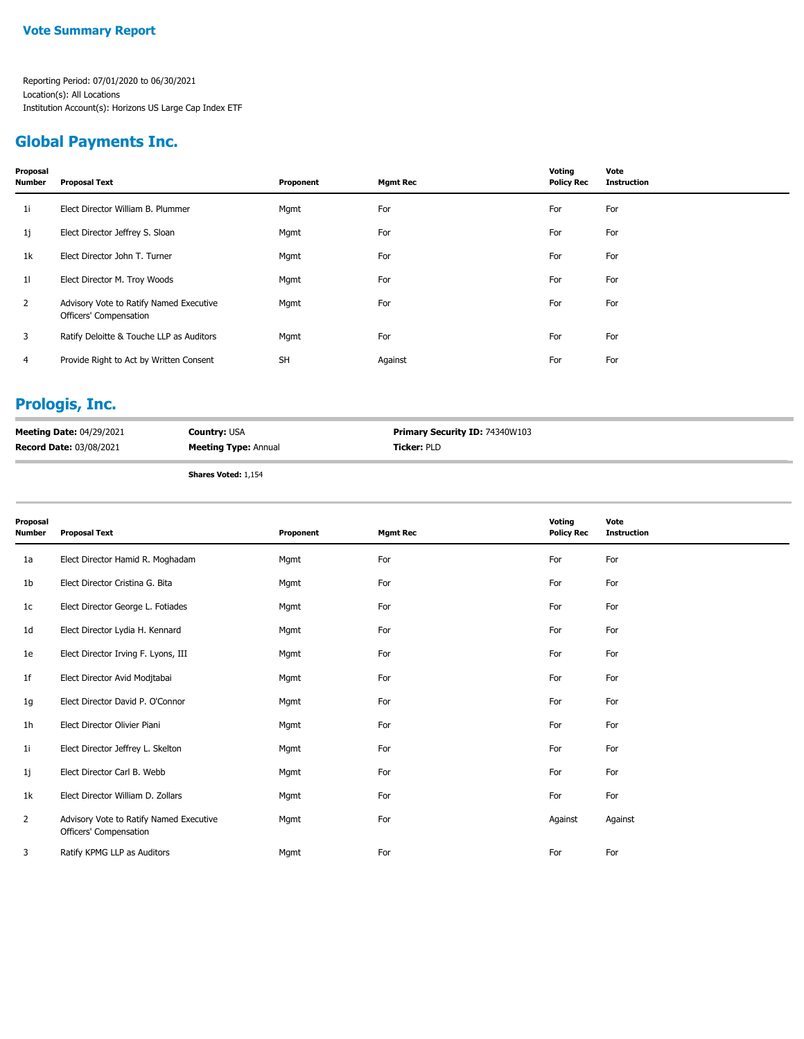### **Global Payments Inc.**

| Proposal<br><b>Number</b> | Proposal Text                                                     | Proponent | <b>Mgmt Rec</b> | Voting<br><b>Policy Rec</b> | Vote<br><b>Instruction</b> |
|---------------------------|-------------------------------------------------------------------|-----------|-----------------|-----------------------------|----------------------------|
| 1i                        | Elect Director William B. Plummer                                 | Mgmt      | For             | For                         | For                        |
| 1j                        | Elect Director Jeffrey S. Sloan                                   | Mgmt      | For             | For                         | For                        |
| 1k                        | Elect Director John T. Turner                                     | Mgmt      | For             | For                         | For                        |
| 11                        | Elect Director M. Troy Woods                                      | Mgmt      | For             | For                         | For                        |
| $\overline{2}$            | Advisory Vote to Ratify Named Executive<br>Officers' Compensation | Mgmt      | For             | For                         | For                        |
| 3                         | Ratify Deloitte & Touche LLP as Auditors                          | Mgmt      | For             | For                         | For                        |
| 4                         | Provide Right to Act by Written Consent                           | <b>SH</b> | Against         | For                         | For                        |

# **Prologis, Inc.**

| <b>Meeting Date: 04/29/2021</b> | <b>Country: USA</b>         | <b>Primary Security ID: 74340W103</b> |
|---------------------------------|-----------------------------|---------------------------------------|
| <b>Record Date: 03/08/2021</b>  | <b>Meeting Type: Annual</b> | <b>Ticker: PLD</b>                    |
|                                 |                             |                                       |

**Shares Voted:** 1,154

| Proposal<br>Number | <b>Proposal Text</b>                                              | Proponent | <b>Mgmt Rec</b> | Voting<br><b>Policy Rec</b> | Vote<br><b>Instruction</b> |
|--------------------|-------------------------------------------------------------------|-----------|-----------------|-----------------------------|----------------------------|
| 1a                 | Elect Director Hamid R. Moghadam                                  | Mgmt      | For             | For                         | For                        |
| 1b                 | Elect Director Cristina G. Bita                                   | Mgmt      | For             | For                         | For                        |
| 1c                 | Elect Director George L. Fotiades                                 | Mgmt      | For             | For                         | For                        |
| 1d                 | Elect Director Lydia H. Kennard                                   | Mgmt      | For             | For                         | For                        |
| 1e                 | Elect Director Irving F. Lyons, III                               | Mgmt      | For             | For                         | For                        |
| 1f                 | Elect Director Avid Modjtabai                                     | Mgmt      | For             | For                         | For                        |
| 1g                 | Elect Director David P. O'Connor                                  | Mgmt      | For             | For                         | For                        |
| 1h                 | Elect Director Olivier Piani                                      | Mgmt      | For             | For                         | For                        |
| 1i                 | Elect Director Jeffrey L. Skelton                                 | Mgmt      | For             | For                         | For                        |
| 1j                 | Elect Director Carl B. Webb                                       | Mgmt      | For             | For                         | For                        |
| 1k                 | Elect Director William D. Zollars                                 | Mgmt      | For             | For                         | For                        |
| 2                  | Advisory Vote to Ratify Named Executive<br>Officers' Compensation | Mgmt      | For             | Against                     | Against                    |
| 3                  | Ratify KPMG LLP as Auditors                                       | Mgmt      | For             | For                         | For                        |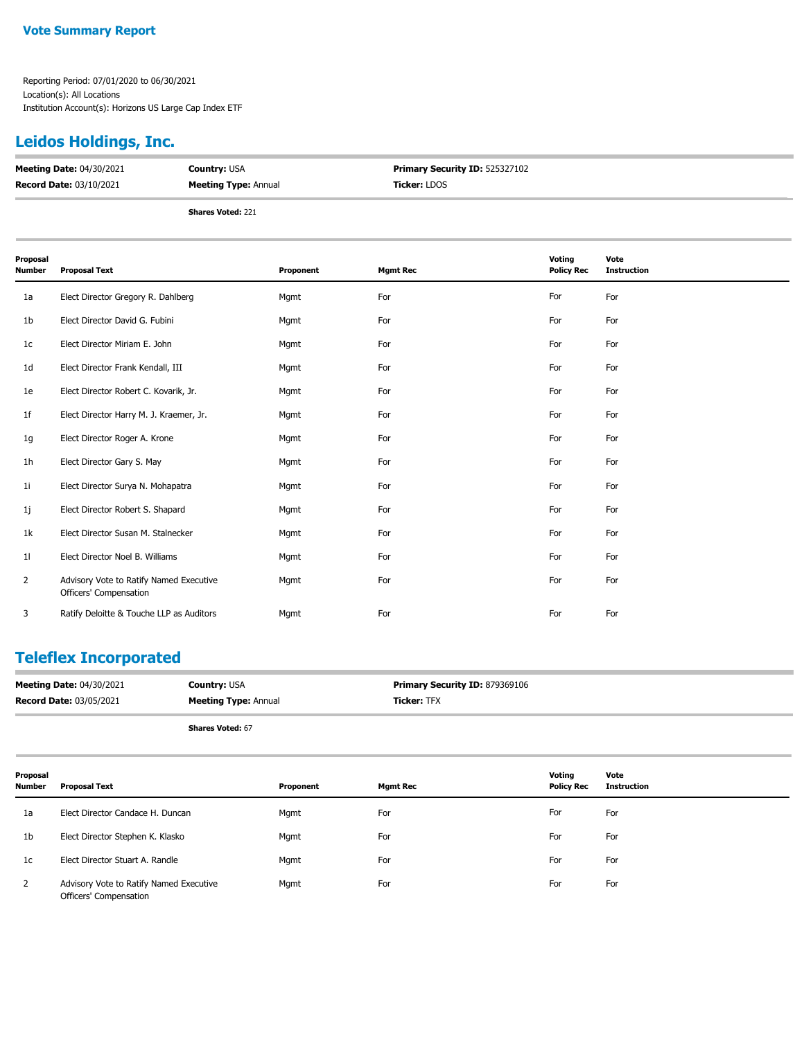## **Leidos Holdings, Inc.**

| <b>Meeting Date: 04/30/2021</b> | <b>Country: USA</b>         | Primary Security ID: 525327102 |
|---------------------------------|-----------------------------|--------------------------------|
| <b>Record Date: 03/10/2021</b>  | <b>Meeting Type: Annual</b> | <b>Ticker:</b> LDOS            |
|                                 | <b>Shares Voted: 221</b>    |                                |

| Proposal<br>Number | <b>Proposal Text</b>                                              | Proponent | <b>Mgmt Rec</b> | Voting<br><b>Policy Rec</b> | Vote<br><b>Instruction</b> |
|--------------------|-------------------------------------------------------------------|-----------|-----------------|-----------------------------|----------------------------|
| 1a                 | Elect Director Gregory R. Dahlberg                                | Mgmt      | For             | For                         | For                        |
| 1b                 | Elect Director David G. Fubini                                    | Mgmt      | For             | For                         | For                        |
| 1 <sub>c</sub>     | Elect Director Miriam E. John                                     | Mgmt      | For             | For                         | For                        |
| 1d                 | Elect Director Frank Kendall, III                                 | Mgmt      | For             | For                         | For                        |
| 1e                 | Elect Director Robert C. Kovarik, Jr.                             | Mgmt      | For             | For                         | For                        |
| 1f                 | Elect Director Harry M. J. Kraemer, Jr.                           | Mgmt      | For             | For                         | For                        |
| 1g                 | Elect Director Roger A. Krone                                     | Mgmt      | For             | For                         | For                        |
| 1h                 | Elect Director Gary S. May                                        | Mgmt      | For             | For                         | For                        |
| 1i                 | Elect Director Surya N. Mohapatra                                 | Mgmt      | For             | For                         | For                        |
| 1j                 | Elect Director Robert S. Shapard                                  | Mgmt      | For             | For                         | For                        |
| 1k                 | Elect Director Susan M. Stalnecker                                | Mgmt      | For             | For                         | For                        |
| 11                 | Elect Director Noel B. Williams                                   | Mgmt      | For             | For                         | For                        |
| $\overline{2}$     | Advisory Vote to Ratify Named Executive<br>Officers' Compensation | Mgmt      | For             | For                         | For                        |
| 3                  | Ratify Deloitte & Touche LLP as Auditors                          | Mgmt      | For             | For                         | For                        |

#### **Teleflex Incorporated**

| <b>Meeting Date: 04/30/2021</b> | <b>Country: USA</b>         | Primary Security ID: 879369106 |
|---------------------------------|-----------------------------|--------------------------------|
| <b>Record Date: 03/05/2021</b>  | <b>Meeting Type: Annual</b> | <b>Ticker: TFX</b>             |
|                                 | <b>Shares Voted: 67</b>     |                                |

| Proposal<br><b>Number</b> | Proposal Text                                                     | Proponent | <b>Mgmt Rec</b> | Voting<br><b>Policy Rec</b> | Vote<br><b>Instruction</b> |
|---------------------------|-------------------------------------------------------------------|-----------|-----------------|-----------------------------|----------------------------|
| 1a                        | Elect Director Candace H. Duncan                                  | Mgmt      | For             | For                         | For                        |
| 1b                        | Elect Director Stephen K. Klasko                                  | Mgmt      | For             | For                         | For                        |
| 1c                        | Elect Director Stuart A. Randle                                   | Mgmt      | For             | For                         | For                        |
| 2                         | Advisory Vote to Ratify Named Executive<br>Officers' Compensation | Mgmt      | For             | For                         | For                        |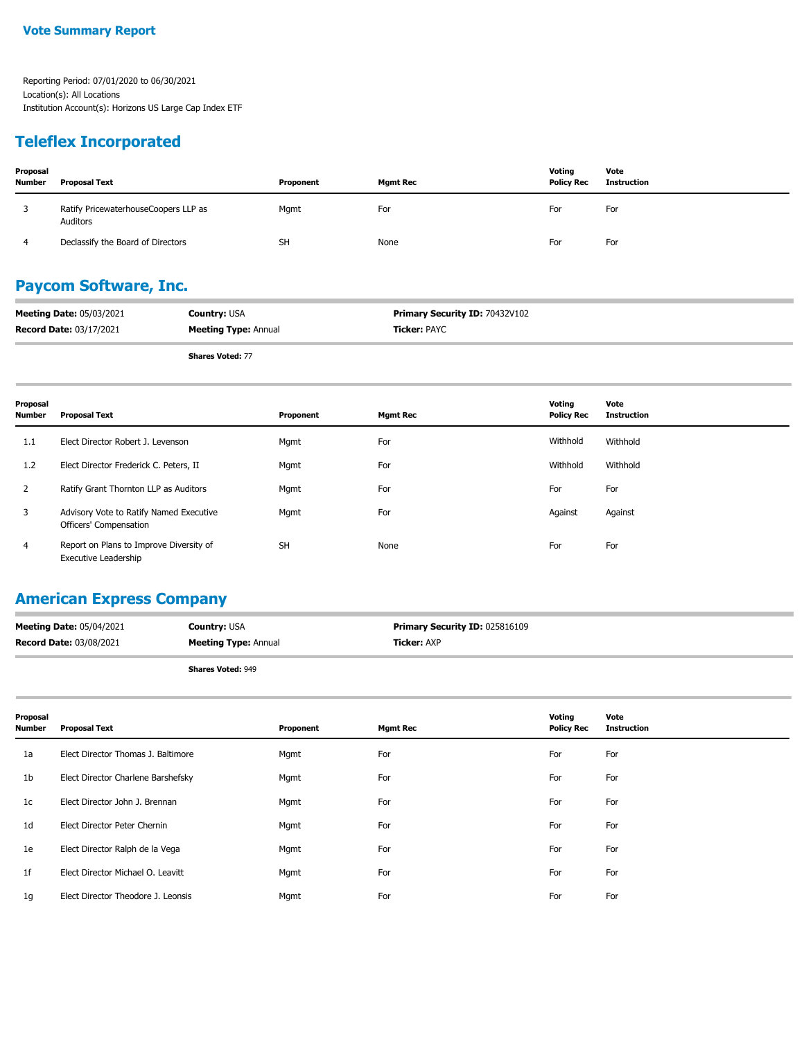### **Teleflex Incorporated**

| Proposal<br><b>Number</b> | <b>Proposal Text</b>                             | Proponent | <b>Mgmt Rec</b> | Voting<br><b>Policy Rec</b> | Vote<br>Instruction |
|---------------------------|--------------------------------------------------|-----------|-----------------|-----------------------------|---------------------|
|                           | Ratify PricewaterhouseCoopers LLP as<br>Auditors | Mgmt      | For             | For                         | For                 |
|                           | Declassify the Board of Directors                | <b>SH</b> | None            | For                         | For                 |

### **Paycom Software, Inc.**

| <b>Meeting Date: 05/03/2021</b> | <b>Country: USA</b>         | <b>Primary Security ID: 70432V102</b> |
|---------------------------------|-----------------------------|---------------------------------------|
| <b>Record Date: 03/17/2021</b>  | <b>Meeting Type: Annual</b> | <b>Ticker: PAYC</b>                   |
|                                 |                             |                                       |

**Shares Voted:** 77

| Proposal<br><b>Number</b> | Proposal Text                                                          | Proponent | <b>Mgmt Rec</b> | Voting<br><b>Policy Rec</b> | Vote<br>Instruction |
|---------------------------|------------------------------------------------------------------------|-----------|-----------------|-----------------------------|---------------------|
| 1.1                       | Elect Director Robert J. Levenson                                      | Mgmt      | For             | Withhold                    | Withhold            |
| 1.2                       | Elect Director Frederick C. Peters, II                                 | Mgmt      | For             | Withhold                    | Withhold            |
| 2                         | Ratify Grant Thornton LLP as Auditors                                  | Mgmt      | For             | For                         | For                 |
| 3                         | Advisory Vote to Ratify Named Executive<br>Officers' Compensation      | Mgmt      | For             | Against                     | Against             |
| 4                         | Report on Plans to Improve Diversity of<br><b>Executive Leadership</b> | <b>SH</b> | None            | For                         | For                 |

### **American Express Company**

| <b>Meeting Date: 05/04/2021</b> | <b>Country: USA</b>         | <b>Primary Security ID: 025816109</b> |
|---------------------------------|-----------------------------|---------------------------------------|
| <b>Record Date: 03/08/2021</b>  | <b>Meeting Type: Annual</b> | <b>Ticker:</b> AXP                    |
|                                 |                             |                                       |

| <b>Proposal Text</b>               | Proponent | <b>Mgmt Rec</b> | Voting<br><b>Policy Rec</b> | Vote<br><b>Instruction</b> |
|------------------------------------|-----------|-----------------|-----------------------------|----------------------------|
| Elect Director Thomas J. Baltimore | Mgmt      | For             | For                         | For                        |
| Elect Director Charlene Barshefsky | Mgmt      | For             | For                         | For                        |
| Elect Director John J. Brennan     | Mgmt      | For             | For                         | For                        |
| Elect Director Peter Chernin       | Mgmt      | For             | For                         | For                        |
| Elect Director Ralph de la Vega    | Mgmt      | For             | For                         | For                        |
| Elect Director Michael O. Leavitt  | Mgmt      | For             | For                         | For                        |
| Elect Director Theodore J. Leonsis | Mgmt      | For             | For                         | For                        |
|                                    |           |                 |                             |                            |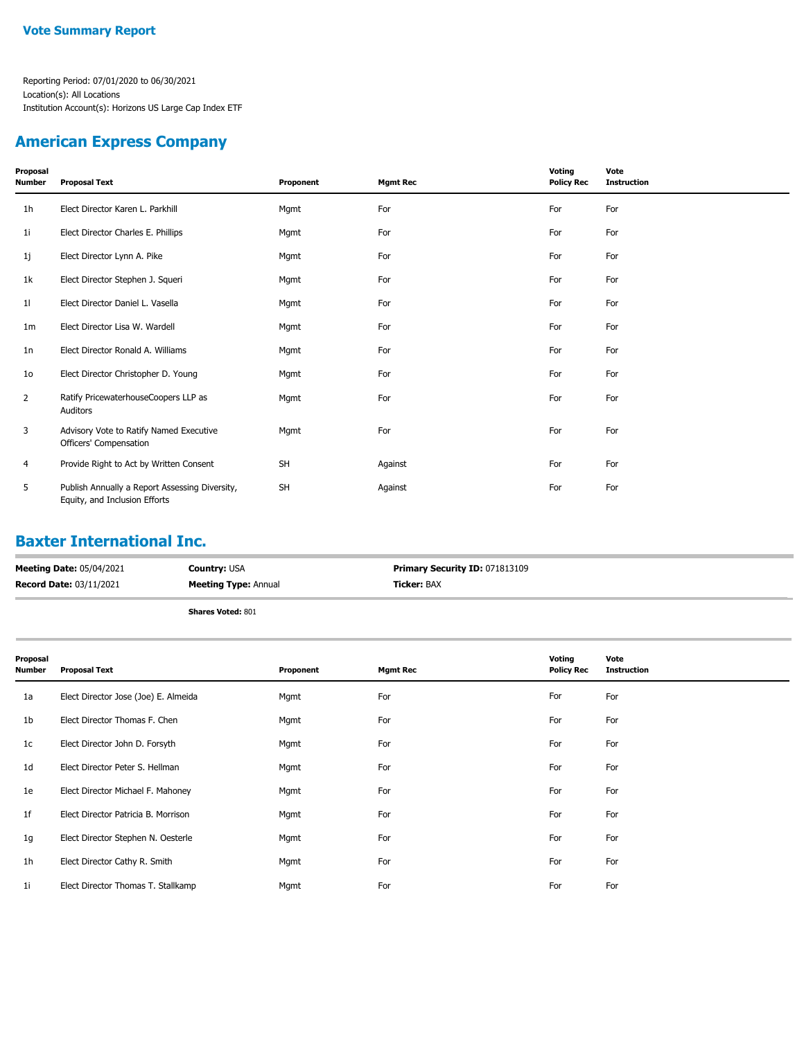### **American Express Company**

| Proposal<br>Number | <b>Proposal Text</b>                                                            | Proponent | <b>Mgmt Rec</b> | Voting<br><b>Policy Rec</b> | Vote<br><b>Instruction</b> |
|--------------------|---------------------------------------------------------------------------------|-----------|-----------------|-----------------------------|----------------------------|
| 1 <sub>h</sub>     | Elect Director Karen L. Parkhill                                                | Mgmt      | For             | For                         | For                        |
| 1i                 | Elect Director Charles E. Phillips                                              | Mgmt      | For             | For                         | For                        |
| 1j                 | Elect Director Lynn A. Pike                                                     | Mgmt      | For             | For                         | For                        |
| 1k                 | Elect Director Stephen J. Squeri                                                | Mgmt      | For             | For                         | For                        |
| 11                 | Elect Director Daniel L. Vasella                                                | Mgmt      | For             | For                         | For                        |
| 1m                 | Elect Director Lisa W. Wardell                                                  | Mgmt      | For             | For                         | For                        |
| 1n                 | Elect Director Ronald A. Williams                                               | Mgmt      | For             | For                         | For                        |
| 10 <sub>o</sub>    | Elect Director Christopher D. Young                                             | Mgmt      | For             | For                         | For                        |
| $\overline{2}$     | Ratify PricewaterhouseCoopers LLP as<br>Auditors                                | Mgmt      | For             | For                         | For                        |
| 3                  | Advisory Vote to Ratify Named Executive<br>Officers' Compensation               | Mgmt      | For             | For                         | For                        |
| 4                  | Provide Right to Act by Written Consent                                         | <b>SH</b> | Against         | For                         | For                        |
| 5                  | Publish Annually a Report Assessing Diversity,<br>Equity, and Inclusion Efforts | <b>SH</b> | Against         | For                         | For                        |

### **Baxter International Inc.**

| <b>Meeting Date: 05/04/2021</b> | <b>Country: USA</b>         | <b>Primary Security ID: 071813109</b> |
|---------------------------------|-----------------------------|---------------------------------------|
| <b>Record Date: 03/11/2021</b>  | <b>Meeting Type: Annual</b> | <b>Ticker: BAX</b>                    |
|                                 | Shares Voted: 801           |                                       |

| Proposal<br>Number | <b>Proposal Text</b>                 | Proponent | <b>Mgmt Rec</b> | Voting<br><b>Policy Rec</b> | Vote<br><b>Instruction</b> |
|--------------------|--------------------------------------|-----------|-----------------|-----------------------------|----------------------------|
| 1a                 | Elect Director Jose (Joe) E. Almeida | Mgmt      | For             | For                         | For                        |
| 1b                 | Elect Director Thomas F. Chen        | Mgmt      | For             | For                         | For                        |
| 1c                 | Elect Director John D. Forsyth       | Mgmt      | For             | For                         | For                        |
| 1d                 | Elect Director Peter S. Hellman      | Mgmt      | For             | For                         | For                        |
| 1e                 | Elect Director Michael F. Mahoney    | Mgmt      | For             | For                         | For                        |
| 1f                 | Elect Director Patricia B. Morrison  | Mgmt      | For             | For                         | For                        |
| 1g                 | Elect Director Stephen N. Oesterle   | Mgmt      | For             | For                         | For                        |
| 1h                 | Elect Director Cathy R. Smith        | Mgmt      | For             | For                         | For                        |
| 1i                 | Elect Director Thomas T. Stallkamp   | Mgmt      | For             | For                         | For                        |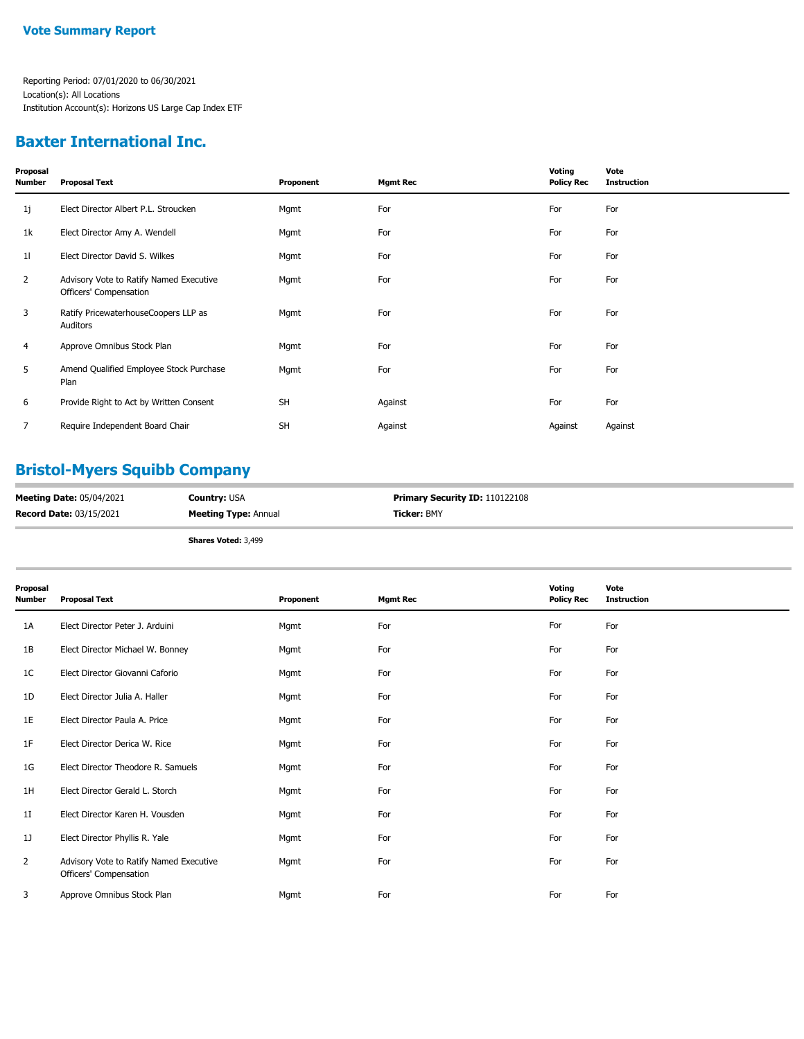### **Baxter International Inc.**

| Proposal<br>Number | <b>Proposal Text</b>                                              | Proponent | <b>Mgmt Rec</b> | Voting<br><b>Policy Rec</b> | Vote<br><b>Instruction</b> |
|--------------------|-------------------------------------------------------------------|-----------|-----------------|-----------------------------|----------------------------|
| 1j                 | Elect Director Albert P.L. Stroucken                              | Mgmt      | For             | For                         | For                        |
| 1k                 | Elect Director Amy A. Wendell                                     | Mgmt      | For             | For                         | For                        |
| 11                 | Elect Director David S. Wilkes                                    | Mgmt      | For             | For                         | For                        |
| 2                  | Advisory Vote to Ratify Named Executive<br>Officers' Compensation | Mgmt      | For             | For                         | For                        |
| 3                  | Ratify PricewaterhouseCoopers LLP as<br>Auditors                  | Mgmt      | For             | For                         | For                        |
| 4                  | Approve Omnibus Stock Plan                                        | Mgmt      | For             | For                         | For                        |
| 5                  | Amend Qualified Employee Stock Purchase<br>Plan                   | Mgmt      | For             | For                         | For                        |
| 6                  | Provide Right to Act by Written Consent                           | <b>SH</b> | Against         | For                         | For                        |
| 7                  | Require Independent Board Chair                                   | <b>SH</b> | Against         | Against                     | Against                    |
|                    |                                                                   |           |                 |                             |                            |

### **Bristol-Myers Squibb Company**

| <b>Meeting Date: 05/04/2021</b> | <b>Countrv:</b> USA         | <b>Primary Security ID: 110122108</b> |
|---------------------------------|-----------------------------|---------------------------------------|
| <b>Record Date: 03/15/2021</b>  | <b>Meeting Type: Annual</b> | <b>Ticker: BMY</b>                    |

**Shares Voted:** 3,499

| Proposal<br>Number | <b>Proposal Text</b>                                              | Proponent | <b>Mgmt Rec</b> | Voting<br><b>Policy Rec</b> | Vote<br><b>Instruction</b> |
|--------------------|-------------------------------------------------------------------|-----------|-----------------|-----------------------------|----------------------------|
| 1A                 | Elect Director Peter J. Arduini                                   | Mgmt      | For             | For                         | For                        |
| 1B                 | Elect Director Michael W. Bonney                                  | Mgmt      | For             | For                         | For                        |
| 1C                 | Elect Director Giovanni Caforio                                   | Mgmt      | For             | For                         | For                        |
| 1D                 | Elect Director Julia A. Haller                                    | Mgmt      | For             | For                         | For                        |
| 1E                 | Elect Director Paula A. Price                                     | Mgmt      | For             | For                         | For                        |
| 1F                 | Elect Director Derica W. Rice                                     | Mgmt      | For             | For                         | For                        |
| 1G                 | Elect Director Theodore R. Samuels                                | Mgmt      | For             | For                         | For                        |
| 1H                 | Elect Director Gerald L. Storch                                   | Mgmt      | For             | For                         | For                        |
| 1 <sub>I</sub>     | Elect Director Karen H. Vousden                                   | Mgmt      | For             | For                         | For                        |
| 1]                 | Elect Director Phyllis R. Yale                                    | Mgmt      | For             | For                         | For                        |
| $\overline{2}$     | Advisory Vote to Ratify Named Executive<br>Officers' Compensation | Mgmt      | For             | For                         | For                        |
| 3                  | Approve Omnibus Stock Plan                                        | Mgmt      | For             | For                         | For                        |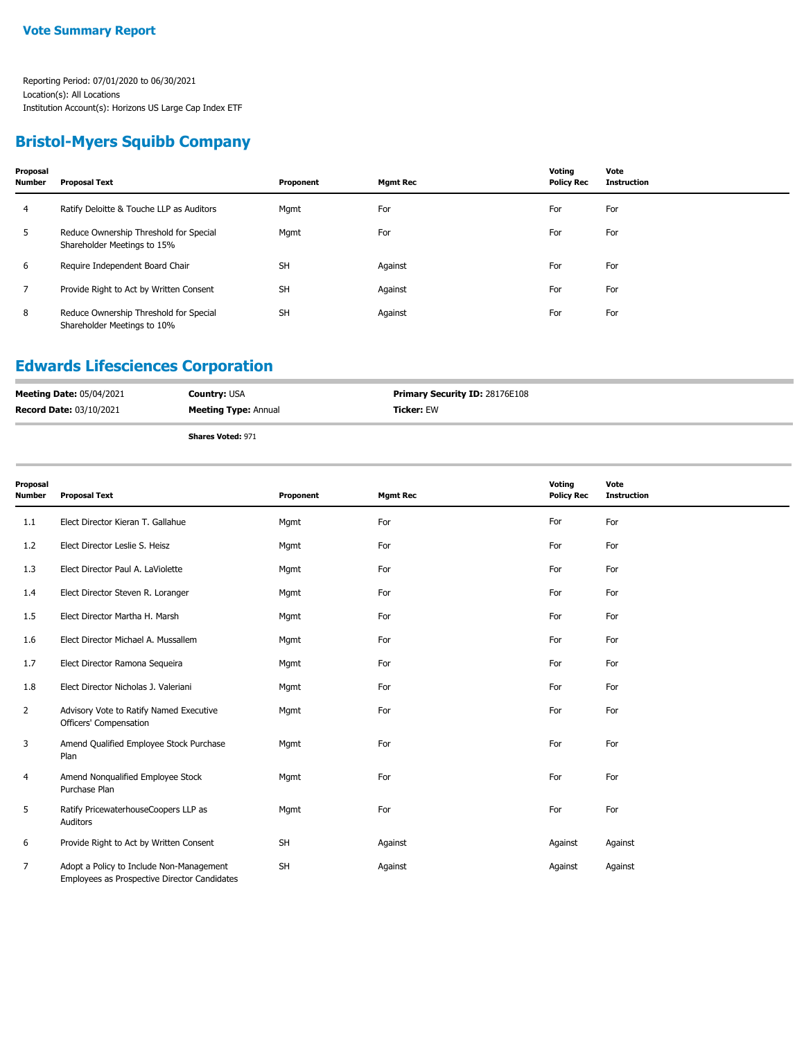### **Bristol-Myers Squibb Company**

| Proposal<br><b>Number</b> | <b>Proposal Text</b>                                                  | Proponent | <b>Mgmt Rec</b> | Voting<br><b>Policy Rec</b> | Vote<br><b>Instruction</b> |
|---------------------------|-----------------------------------------------------------------------|-----------|-----------------|-----------------------------|----------------------------|
| 4                         | Ratify Deloitte & Touche LLP as Auditors                              | Mgmt      | For             | For                         | For                        |
| 5                         | Reduce Ownership Threshold for Special<br>Shareholder Meetings to 15% | Mgmt      | For             | For                         | For                        |
| 6                         | Require Independent Board Chair                                       | <b>SH</b> | Against         | For                         | For                        |
|                           | Provide Right to Act by Written Consent                               | <b>SH</b> | Against         | For                         | For                        |
| 8                         | Reduce Ownership Threshold for Special<br>Shareholder Meetings to 10% | <b>SH</b> | Against         | For                         | For                        |

### **Edwards Lifesciences Corporation**

| <b>Meeting Date: 05/04/2021</b> | <b>Country: USA</b>         | <b>Primary Security ID: 28176E108</b> |
|---------------------------------|-----------------------------|---------------------------------------|
| <b>Record Date: 03/10/2021</b>  | <b>Meeting Type: Annual</b> | Ticker: EW                            |
|                                 |                             |                                       |

| Proposal<br>Number | <b>Proposal Text</b>                                                                     | Proponent | <b>Mgmt Rec</b> | Voting<br><b>Policy Rec</b> | Vote<br><b>Instruction</b> |
|--------------------|------------------------------------------------------------------------------------------|-----------|-----------------|-----------------------------|----------------------------|
| 1.1                | Elect Director Kieran T. Gallahue                                                        | Mgmt      | For             | For                         | For                        |
| 1.2                | Elect Director Leslie S. Heisz                                                           | Mgmt      | For             | For                         | For                        |
| 1.3                | Elect Director Paul A. LaViolette                                                        | Mgmt      | For             | For                         | For                        |
| 1.4                | Elect Director Steven R. Loranger                                                        | Mgmt      | For             | For                         | For                        |
| 1.5                | Elect Director Martha H. Marsh                                                           | Mgmt      | For             | For                         | For                        |
| 1.6                | Elect Director Michael A. Mussallem                                                      | Mgmt      | For             | For                         | For                        |
| 1.7                | Elect Director Ramona Sequeira                                                           | Mgmt      | For             | For                         | For                        |
| 1.8                | Elect Director Nicholas J. Valeriani                                                     | Mgmt      | For             | For                         | For                        |
| $\overline{2}$     | Advisory Vote to Ratify Named Executive<br>Officers' Compensation                        | Mgmt      | For             | For                         | For                        |
| 3                  | Amend Qualified Employee Stock Purchase<br>Plan                                          | Mgmt      | For             | For                         | For                        |
| 4                  | Amend Nonqualified Employee Stock<br>Purchase Plan                                       | Mgmt      | For             | For                         | For                        |
| 5                  | Ratify PricewaterhouseCoopers LLP as<br>Auditors                                         | Mgmt      | For             | For                         | For                        |
| 6                  | Provide Right to Act by Written Consent                                                  | <b>SH</b> | Against         | Against                     | Against                    |
| 7                  | Adopt a Policy to Include Non-Management<br>Employees as Prospective Director Candidates | <b>SH</b> | Against         | Against                     | Against                    |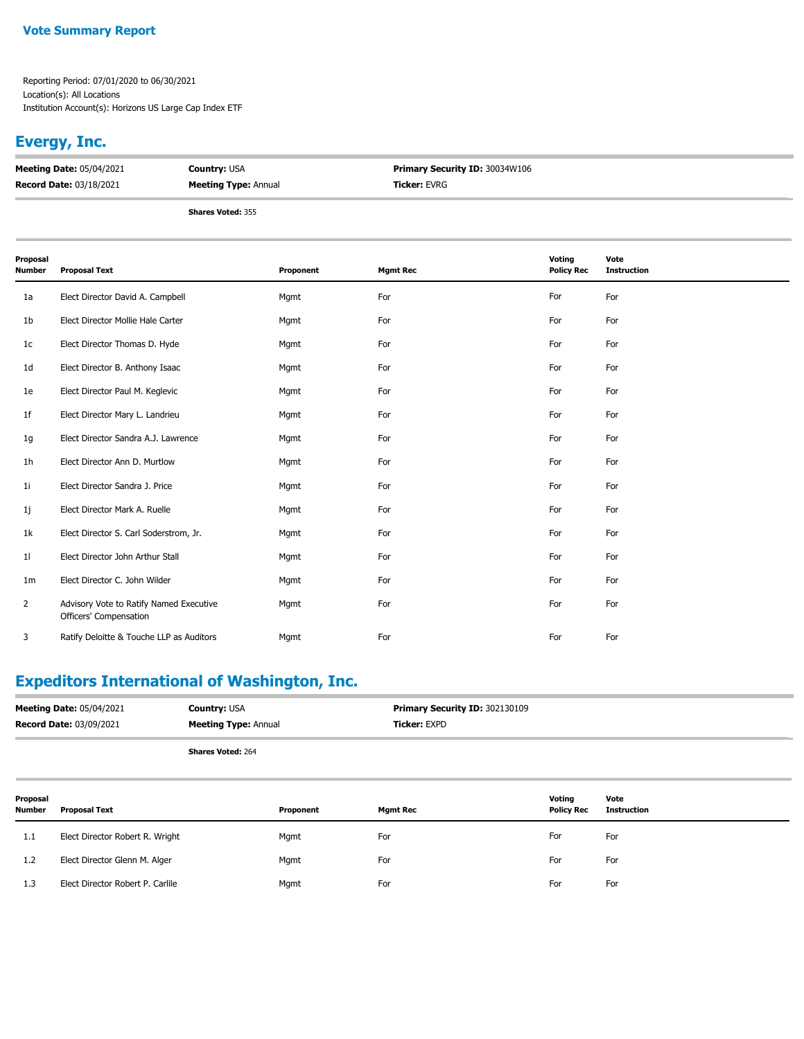#### **Vote Summary Report**

Reporting Period: 07/01/2020 to 06/30/2021 Location(s): All Locations Institution Account(s): Horizons US Large Cap Index ETF

### **Evergy, Inc.**

| <b>Meeting Date: 05/04/2021</b> | <b>Country: USA</b>         | <b>Primary Security ID: 30034W106</b> |
|---------------------------------|-----------------------------|---------------------------------------|
| <b>Record Date: 03/18/2021</b>  | <b>Meeting Type: Annual</b> | <b>Ticker: EVRG</b>                   |
|                                 |                             |                                       |

**Shares Voted:** 355

| Proposal<br>Number | <b>Proposal Text</b>                                              | Proponent | <b>Mgmt Rec</b> | Voting<br><b>Policy Rec</b> | Vote<br><b>Instruction</b> |
|--------------------|-------------------------------------------------------------------|-----------|-----------------|-----------------------------|----------------------------|
| 1a                 | Elect Director David A. Campbell                                  | Mgmt      | For             | For                         | For                        |
| 1b                 | Elect Director Mollie Hale Carter                                 | Mgmt      | For             | For                         | For                        |
| 1 <sub>c</sub>     | Elect Director Thomas D. Hyde                                     | Mgmt      | For             | For                         | For                        |
| 1 <sub>d</sub>     | Elect Director B. Anthony Isaac                                   | Mgmt      | For             | For                         | For                        |
| 1e                 | Elect Director Paul M. Keglevic                                   | Mgmt      | For             | For                         | For                        |
| 1f                 | Elect Director Mary L. Landrieu                                   | Mgmt      | For             | For                         | For                        |
| 1g                 | Elect Director Sandra A.J. Lawrence                               | Mgmt      | For             | For                         | For                        |
| 1 <sub>h</sub>     | Elect Director Ann D. Murtlow                                     | Mgmt      | For             | For                         | For                        |
| 11                 | Elect Director Sandra J. Price                                    | Mgmt      | For             | For                         | For                        |
| 1j                 | Elect Director Mark A. Ruelle                                     | Mgmt      | For             | For                         | For                        |
| 1k                 | Elect Director S. Carl Soderstrom, Jr.                            | Mgmt      | For             | For                         | For                        |
| 11                 | Elect Director John Arthur Stall                                  | Mgmt      | For             | For                         | For                        |
| 1 <sub>m</sub>     | Elect Director C. John Wilder                                     | Mgmt      | For             | For                         | For                        |
| $\overline{2}$     | Advisory Vote to Ratify Named Executive<br>Officers' Compensation | Mgmt      | For             | For                         | For                        |
| 3                  | Ratify Deloitte & Touche LLP as Auditors                          | Mgmt      | For             | For                         | For                        |

## **Expeditors International of Washington, Inc.**

| <b>Meeting Date: 05/04/2021</b> | <b>Country: USA</b>         | <b>Primary Security ID: 302130109</b> |
|---------------------------------|-----------------------------|---------------------------------------|
| <b>Record Date: 03/09/2021</b>  | <b>Meeting Type: Annual</b> | <b>Ticker: EXPD</b>                   |
|                                 | <b>Shares Voted: 264</b>    |                                       |

| Proposal<br><b>Number</b> | <b>Proposal Text</b>             | Proponent | <b>Mgmt Rec</b> | Voting<br><b>Policy Rec</b> | Vote<br>Instruction |
|---------------------------|----------------------------------|-----------|-----------------|-----------------------------|---------------------|
| 1.1                       | Elect Director Robert R. Wright  | Mgmt      | For             | For                         | For                 |
| 1.2                       | Elect Director Glenn M. Alger    | Mgmt      | For             | For                         | For                 |
| 1.3                       | Elect Director Robert P. Carlile | Mgmt      | For             | For                         | For                 |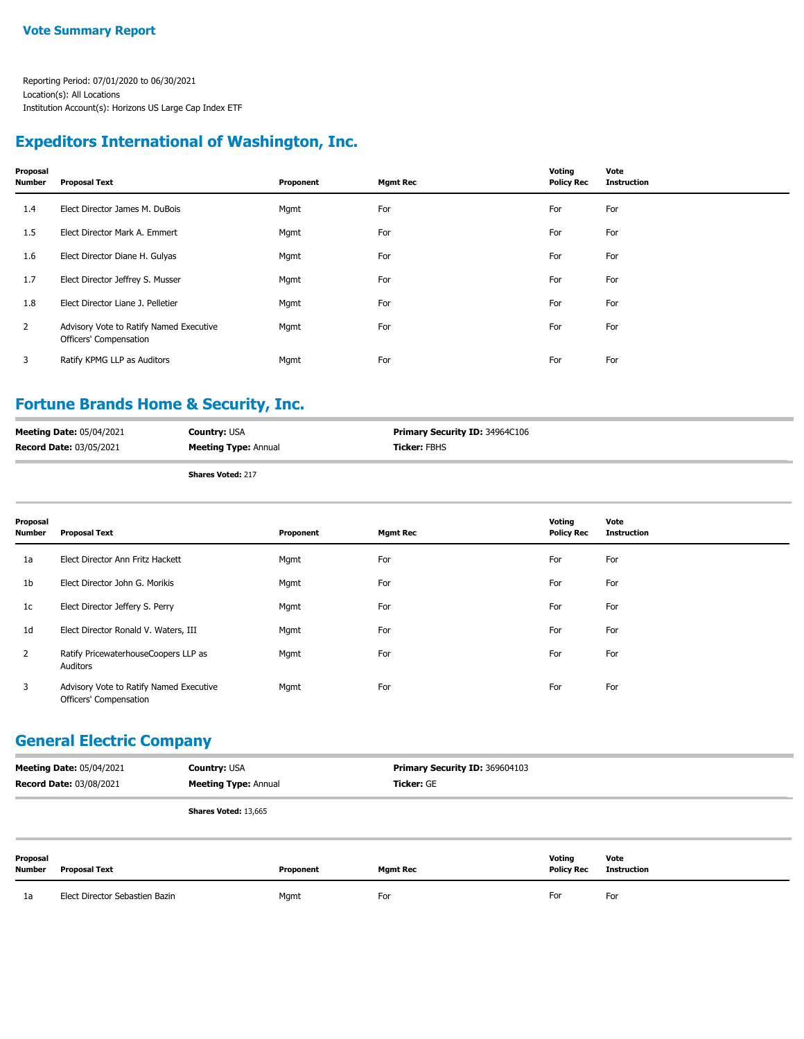### **Expeditors International of Washington, Inc.**

| Proposal<br>Number | <b>Proposal Text</b>                                              | Proponent | <b>Mgmt Rec</b> | Voting<br><b>Policy Rec</b> | Vote<br><b>Instruction</b> |
|--------------------|-------------------------------------------------------------------|-----------|-----------------|-----------------------------|----------------------------|
| 1.4                | Elect Director James M. DuBois                                    | Mgmt      | For             | For                         | For                        |
| 1.5                | Elect Director Mark A. Emmert                                     | Mgmt      | For             | For                         | For                        |
| 1.6                | Elect Director Diane H. Gulyas                                    | Mgmt      | For             | For                         | For                        |
| 1.7                | Elect Director Jeffrey S. Musser                                  | Mgmt      | For             | For                         | For                        |
| 1.8                | Elect Director Liane J. Pelletier                                 | Mgmt      | For             | For                         | For                        |
| 2                  | Advisory Vote to Ratify Named Executive<br>Officers' Compensation | Mgmt      | For             | For                         | For                        |
| 3                  | Ratify KPMG LLP as Auditors                                       | Mgmt      | For             | For                         | For                        |

### **Fortune Brands Home & Security, Inc.**

| <b>Record Date: 03/05/2021</b>  | <b>Meeting Type: Annual</b> | <b>Ticker:</b> FBHS                   |  |
|---------------------------------|-----------------------------|---------------------------------------|--|
| <b>Meeting Date: 05/04/2021</b> | <b>Country:</b> USA         | <b>Primary Security ID: 34964C106</b> |  |

|  | <b>Shares Voted: 217</b> |  |
|--|--------------------------|--|
|  |                          |  |

| Proposal<br><b>Number</b> | <b>Proposal Text</b>                                              | Proponent | <b>Mgmt Rec</b> | Voting<br><b>Policy Rec</b> | Vote<br><b>Instruction</b> |
|---------------------------|-------------------------------------------------------------------|-----------|-----------------|-----------------------------|----------------------------|
| 1a                        | Elect Director Ann Fritz Hackett                                  | Mgmt      | For             | For                         | For                        |
| 1 <sub>b</sub>            | Elect Director John G. Morikis                                    | Mgmt      | For             | For                         | For                        |
| 1c                        | Elect Director Jeffery S. Perry                                   | Mgmt      | For             | For                         | For                        |
| 1 <sub>d</sub>            | Elect Director Ronald V. Waters, III                              | Mgmt      | For             | For                         | For                        |
| $\mathbf{2}$              | Ratify PricewaterhouseCoopers LLP as<br>Auditors                  | Mgmt      | For             | For                         | For                        |
| 3                         | Advisory Vote to Ratify Named Executive<br>Officers' Compensation | Mgmt      | For             | For                         | For                        |

#### **General Electric Company**

| <b>Meeting Date: 05/04/2021</b><br><b>Record Date: 03/08/2021</b> |                                | <b>Country: USA</b><br><b>Meeting Type: Annual</b> |           | Primary Security ID: 369604103<br>Ticker: GE |                             |                     |
|-------------------------------------------------------------------|--------------------------------|----------------------------------------------------|-----------|----------------------------------------------|-----------------------------|---------------------|
|                                                                   |                                | Shares Voted: 13,665                               |           |                                              |                             |                     |
| Proposal<br>Number                                                | <b>Proposal Text</b>           |                                                    | Proponent | <b>Mgmt Rec</b>                              | Voting<br><b>Policy Rec</b> | Vote<br>Instruction |
| 1a                                                                | Elect Director Sebastien Bazin |                                                    | Mgmt      | For                                          | For                         | For                 |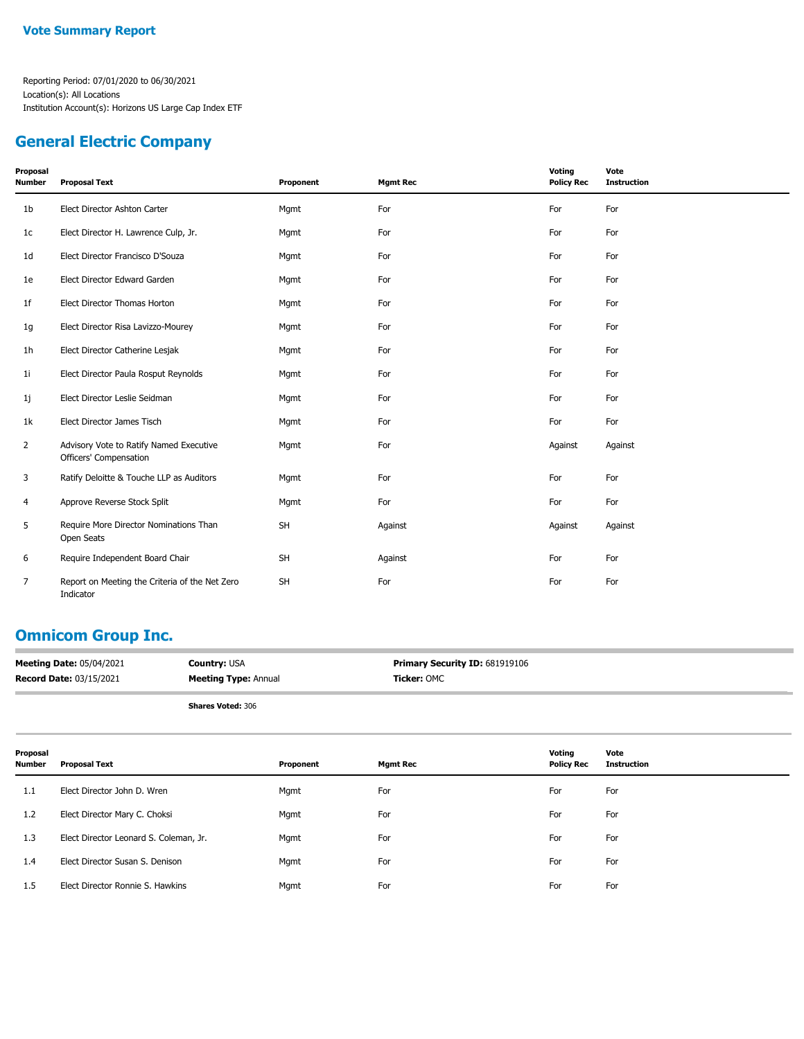### **General Electric Company**

| Proposal<br><b>Number</b> | <b>Proposal Text</b>                                              | Proponent | <b>Mgmt Rec</b> | Voting<br><b>Policy Rec</b> | Vote<br><b>Instruction</b> |
|---------------------------|-------------------------------------------------------------------|-----------|-----------------|-----------------------------|----------------------------|
| 1 <sub>b</sub>            | Elect Director Ashton Carter                                      | Mgmt      | For             | For                         | For                        |
| 1c                        | Elect Director H. Lawrence Culp, Jr.                              | Mgmt      | For             | For                         | For                        |
| 1d                        | Elect Director Francisco D'Souza                                  | Mgmt      | For             | For                         | For                        |
| 1e                        | Elect Director Edward Garden                                      | Mgmt      | For             | For                         | For                        |
| 1 <sub>f</sub>            | Elect Director Thomas Horton                                      | Mgmt      | For             | For                         | For                        |
| 1g                        | Elect Director Risa Lavizzo-Mourey                                | Mgmt      | For             | For                         | For                        |
| 1 <sub>h</sub>            | Elect Director Catherine Lesjak                                   | Mgmt      | For             | For                         | For                        |
| 11                        | Elect Director Paula Rosput Reynolds                              | Mgmt      | For             | For                         | For                        |
| 1j                        | Elect Director Leslie Seidman                                     | Mgmt      | For             | For                         | For                        |
| 1k                        | Elect Director James Tisch                                        | Mgmt      | For             | For                         | For                        |
| $\overline{2}$            | Advisory Vote to Ratify Named Executive<br>Officers' Compensation | Mgmt      | For             | Against                     | Against                    |
| 3                         | Ratify Deloitte & Touche LLP as Auditors                          | Mgmt      | For             | For                         | For                        |
| $\overline{4}$            | Approve Reverse Stock Split                                       | Mgmt      | For             | For                         | For                        |
| 5                         | Require More Director Nominations Than<br>Open Seats              | <b>SH</b> | Against         | Against                     | Against                    |
| 6                         | Require Independent Board Chair                                   | <b>SH</b> | Against         | For                         | For                        |
| 7                         | Report on Meeting the Criteria of the Net Zero<br>Indicator       | <b>SH</b> | For             | For                         | For                        |

### **Omnicom Group Inc.**

| <b>Meeting Date: 05/04/2021</b> | <b>Country: USA</b>         | Primary Security ID: 681919106 |
|---------------------------------|-----------------------------|--------------------------------|
| <b>Record Date: 03/15/2021</b>  | <b>Meeting Type: Annual</b> | Ticker: OMC                    |
|                                 |                             |                                |

| Proposal<br>Number | Proposal Text                          | Proponent | <b>Mgmt Rec</b> | Voting<br><b>Policy Rec</b> | Vote<br><b>Instruction</b> |
|--------------------|----------------------------------------|-----------|-----------------|-----------------------------|----------------------------|
| 1.1                | Elect Director John D. Wren            | Mgmt      | For             | For                         | For                        |
| 1.2                | Elect Director Mary C. Choksi          | Mgmt      | For             | For                         | For                        |
| 1.3                | Elect Director Leonard S. Coleman, Jr. | Mgmt      | For             | For                         | For                        |
| 1.4                | Elect Director Susan S. Denison        | Mgmt      | For             | For                         | For                        |
| 1.5                | Elect Director Ronnie S. Hawkins       | Mgmt      | For             | For                         | For                        |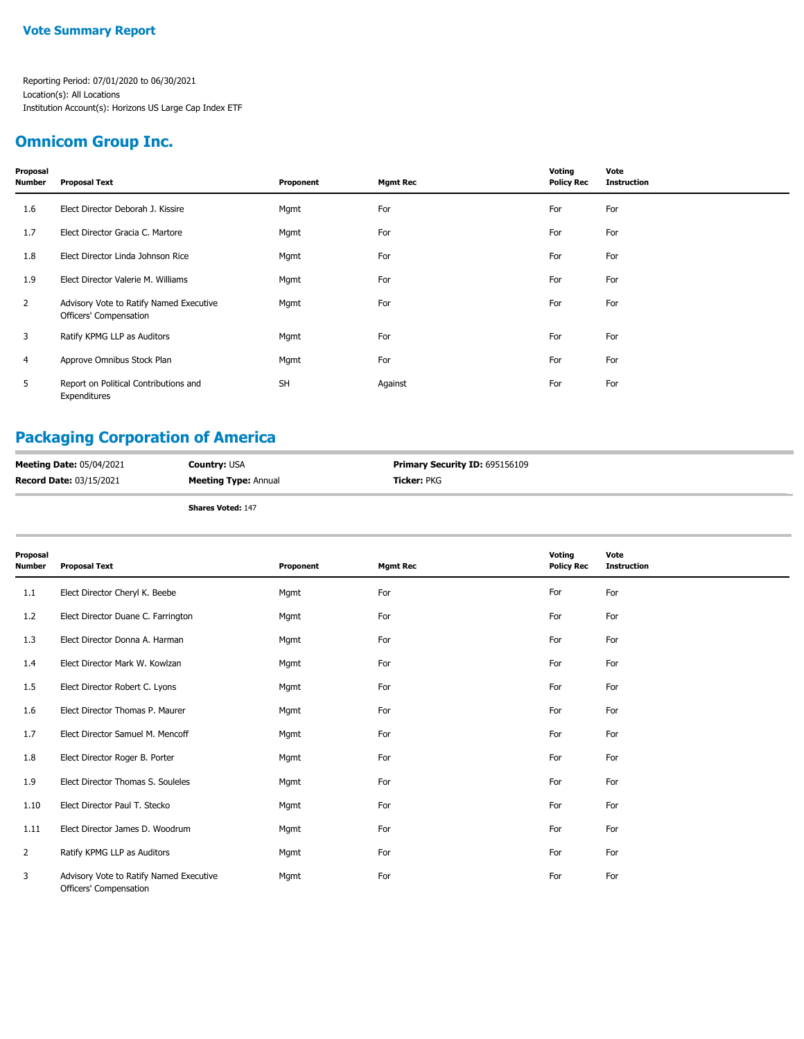### **Omnicom Group Inc.**

| Proposal<br><b>Number</b> | <b>Proposal Text</b>                                              | Proponent | <b>Mgmt Rec</b> | Voting<br><b>Policy Rec</b> | Vote<br><b>Instruction</b> |
|---------------------------|-------------------------------------------------------------------|-----------|-----------------|-----------------------------|----------------------------|
| 1.6                       | Elect Director Deborah J. Kissire                                 | Mgmt      | For             | For                         | For                        |
| 1.7                       | Elect Director Gracia C. Martore                                  | Mgmt      | For             | For                         | For                        |
| 1.8                       | Elect Director Linda Johnson Rice                                 | Mgmt      | For             | For                         | For                        |
| 1.9                       | Elect Director Valerie M. Williams                                | Mgmt      | For             | For                         | For                        |
| $\overline{2}$            | Advisory Vote to Ratify Named Executive<br>Officers' Compensation | Mgmt      | For             | For                         | For                        |
| 3                         | Ratify KPMG LLP as Auditors                                       | Mgmt      | For             | For                         | For                        |
| 4                         | Approve Omnibus Stock Plan                                        | Mgmt      | For             | For                         | For                        |
| 5                         | Report on Political Contributions and<br>Expenditures             | <b>SH</b> | Against         | For                         | For                        |

# **Packaging Corporation of America**

| <b>Meeting Date: 05/04/2021</b> | <b>Country: USA</b>         | <b>Primary Security ID: 695156109</b> |
|---------------------------------|-----------------------------|---------------------------------------|
| <b>Record Date: 03/15/2021</b>  | <b>Meeting Type: Annual</b> | <b>Ticker:</b> PKG                    |
|                                 | <b>Shares Voted: 147</b>    |                                       |

| Proposal<br><b>Number</b> | <b>Proposal Text</b>                                              | Proponent | <b>Mgmt Rec</b> | Voting<br><b>Policy Rec</b> | Vote<br><b>Instruction</b> |
|---------------------------|-------------------------------------------------------------------|-----------|-----------------|-----------------------------|----------------------------|
| 1.1                       | Elect Director Cheryl K. Beebe                                    | Mgmt      | For             | For                         | For                        |
| 1.2                       | Elect Director Duane C. Farrington                                | Mgmt      | For             | For                         | For                        |
| 1.3                       | Elect Director Donna A. Harman                                    | Mgmt      | For             | For                         | For                        |
| 1.4                       | Elect Director Mark W. Kowlzan                                    | Mgmt      | For             | For                         | For                        |
| 1.5                       | Elect Director Robert C. Lyons                                    | Mgmt      | For             | For                         | For                        |
| 1.6                       | Elect Director Thomas P. Maurer                                   | Mgmt      | For             | For                         | For                        |
| 1.7                       | Elect Director Samuel M. Mencoff                                  | Mgmt      | For             | For                         | For                        |
| 1.8                       | Elect Director Roger B. Porter                                    | Mgmt      | For             | For                         | For                        |
| 1.9                       | Elect Director Thomas S. Souleles                                 | Mgmt      | For             | For                         | For                        |
| 1.10                      | Elect Director Paul T. Stecko                                     | Mgmt      | For             | For                         | For                        |
| 1.11                      | Elect Director James D. Woodrum                                   | Mgmt      | For             | For                         | For                        |
| $\overline{2}$            | Ratify KPMG LLP as Auditors                                       | Mgmt      | For             | For                         | For                        |
| 3                         | Advisory Vote to Ratify Named Executive<br>Officers' Compensation | Mgmt      | For             | For                         | For                        |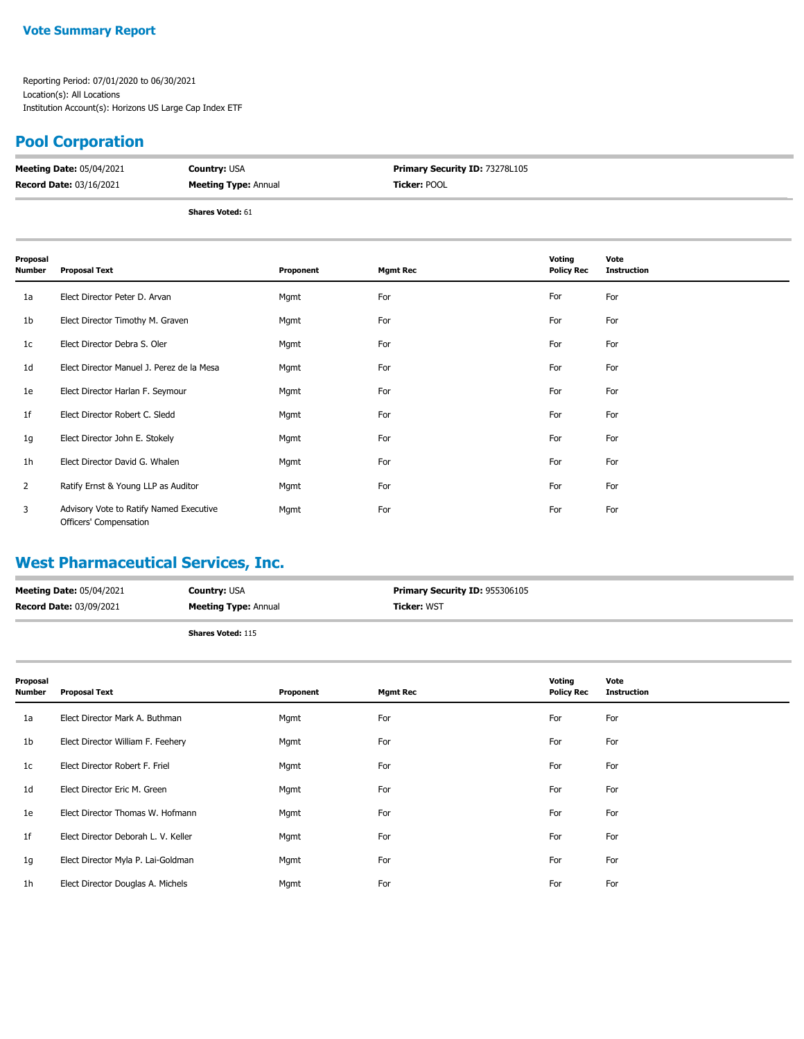#### **Vote Summary Report**

Reporting Period: 07/01/2020 to 06/30/2021 Location(s): All Locations Institution Account(s): Horizons US Large Cap Index ETF

### **Pool Corporation**

| <b>Meeting Date: 05/04/2021</b> | <b>Country: USA</b>         | Primary Security ID: 73278L105 |
|---------------------------------|-----------------------------|--------------------------------|
| <b>Record Date: 03/16/2021</b>  | <b>Meeting Type: Annual</b> | <b>Ticker:</b> POOL            |
|                                 |                             |                                |

**Shares Voted:** 61

| Proposal<br><b>Number</b> | <b>Proposal Text</b>                                              | Proponent | <b>Mgmt Rec</b> | Voting<br><b>Policy Rec</b> | Vote<br><b>Instruction</b> |
|---------------------------|-------------------------------------------------------------------|-----------|-----------------|-----------------------------|----------------------------|
| 1a                        | Elect Director Peter D. Arvan                                     | Mgmt      | For             | For                         | For                        |
| 1b                        | Elect Director Timothy M. Graven                                  | Mgmt      | For             | For                         | For                        |
| 1 <sub>c</sub>            | Elect Director Debra S. Oler                                      | Mgmt      | For             | For                         | For                        |
| 1 <sub>d</sub>            | Elect Director Manuel J. Perez de la Mesa                         | Mgmt      | For             | For                         | For                        |
| 1e                        | Elect Director Harlan F. Seymour                                  | Mgmt      | For             | For                         | For                        |
| 1f                        | Elect Director Robert C. Sledd                                    | Mgmt      | For             | For                         | For                        |
| 1g                        | Elect Director John E. Stokely                                    | Mgmt      | For             | For                         | For                        |
| 1 <sub>h</sub>            | Elect Director David G. Whalen                                    | Mgmt      | For             | For                         | For                        |
| $\overline{2}$            | Ratify Ernst & Young LLP as Auditor                               | Mgmt      | For             | For                         | For                        |
| 3                         | Advisory Vote to Ratify Named Executive<br>Officers' Compensation | Mgmt      | For             | For                         | For                        |

### **West Pharmaceutical Services, Inc.**

| <b>Meeting Date: 05/04/2021</b> | <b>Country: USA</b>         | <b>Primary Security ID: 955306105</b> |
|---------------------------------|-----------------------------|---------------------------------------|
| <b>Record Date: 03/09/2021</b>  | <b>Meeting Type: Annual</b> | <b>Ticker: WST</b>                    |
|                                 | <b>Shares Voted: 115</b>    |                                       |

| Proposal<br><b>Number</b> | <b>Proposal Text</b>                | Proponent | <b>Mgmt Rec</b> | Voting<br><b>Policy Rec</b> | Vote<br><b>Instruction</b> |
|---------------------------|-------------------------------------|-----------|-----------------|-----------------------------|----------------------------|
| 1a                        | Elect Director Mark A. Buthman      | Mgmt      | For             | For                         | For                        |
| 1 <sub>b</sub>            | Elect Director William F. Feehery   | Mgmt      | For             | For                         | For                        |
| 1c                        | Elect Director Robert F. Friel      | Mgmt      | For             | For                         | For                        |
| 1d                        | Elect Director Eric M. Green        | Mgmt      | For             | For                         | For                        |
| 1e                        | Elect Director Thomas W. Hofmann    | Mgmt      | For             | For                         | For                        |
| 1 <sup>f</sup>            | Elect Director Deborah L. V. Keller | Mgmt      | For             | For                         | For                        |
| 1g                        | Elect Director Myla P. Lai-Goldman  | Mgmt      | For             | For                         | For                        |
| 1h                        | Elect Director Douglas A. Michels   | Mgmt      | For             | For                         | For                        |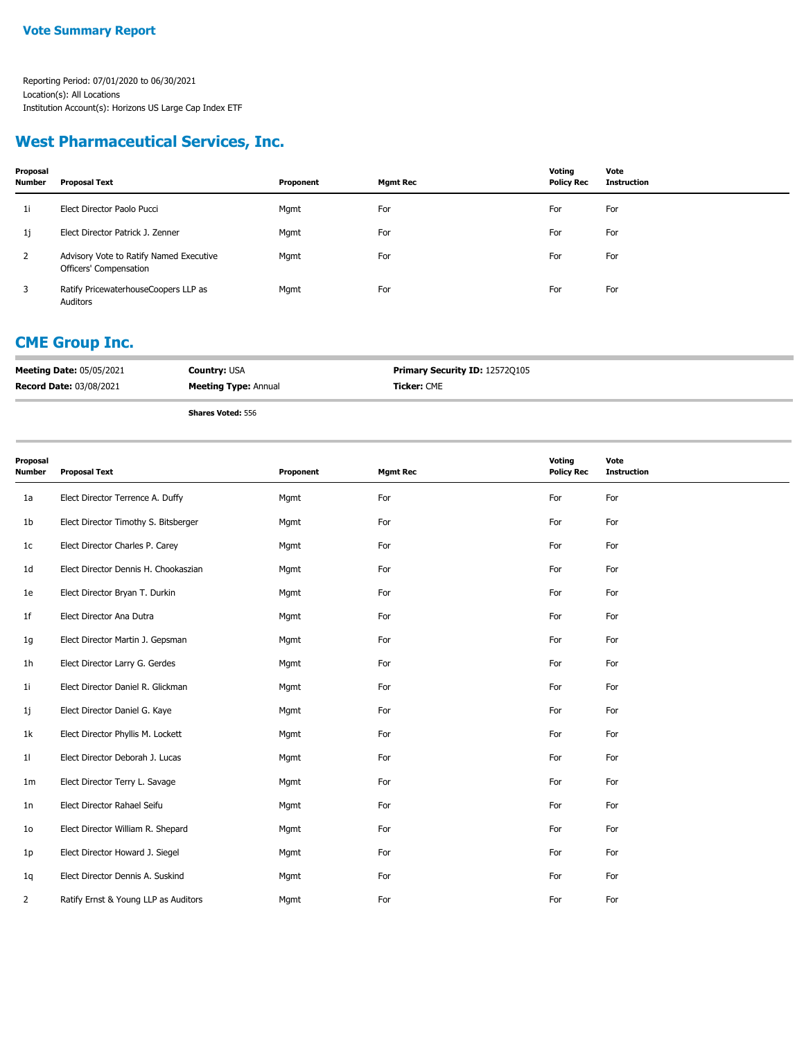### **West Pharmaceutical Services, Inc.**

| Proposal<br><b>Number</b> | <b>Proposal Text</b>                                              | Proponent | <b>Mgmt Rec</b> | Voting<br><b>Policy Rec</b> | Vote<br><b>Instruction</b> |
|---------------------------|-------------------------------------------------------------------|-----------|-----------------|-----------------------------|----------------------------|
| 1i                        | Elect Director Paolo Pucci                                        | Mgmt      | For             | For                         | For                        |
| 1j                        | Elect Director Patrick J. Zenner                                  | Mgmt      | For             | For                         | For                        |
| 2                         | Advisory Vote to Ratify Named Executive<br>Officers' Compensation | Mgmt      | For             | For                         | For                        |
| 3                         | Ratify PricewaterhouseCoopers LLP as<br>Auditors                  | Mgmt      | For             | For                         | For                        |

# **CME Group Inc.**

| <b>Meeting Date: 05/05/2021</b> | <b>Country: USA</b>         | <b>Primary Security ID: 12572Q105</b> |
|---------------------------------|-----------------------------|---------------------------------------|
| <b>Record Date: 03/08/2021</b>  | <b>Meeting Type: Annual</b> | <b>Ticker:</b> CME                    |
|                                 |                             |                                       |

| Proposal<br>Number | <b>Proposal Text</b>                 | Proponent | <b>Mgmt Rec</b> | Voting<br><b>Policy Rec</b> | Vote<br><b>Instruction</b> |
|--------------------|--------------------------------------|-----------|-----------------|-----------------------------|----------------------------|
| 1a                 | Elect Director Terrence A. Duffy     | Mgmt      | For             | For                         | For                        |
| 1b                 | Elect Director Timothy S. Bitsberger | Mgmt      | For             | For                         | For                        |
| 1 <sub>c</sub>     | Elect Director Charles P. Carey      | Mgmt      | For             | For                         | For                        |
| 1d                 | Elect Director Dennis H. Chookaszian | Mgmt      | For             | For                         | For                        |
| 1e                 | Elect Director Bryan T. Durkin       | Mgmt      | For             | For                         | For                        |
| 1f                 | Elect Director Ana Dutra             | Mgmt      | For             | For                         | For                        |
| 1g                 | Elect Director Martin J. Gepsman     | Mgmt      | For             | For                         | For                        |
| 1h                 | Elect Director Larry G. Gerdes       | Mgmt      | For             | For                         | For                        |
| 11                 | Elect Director Daniel R. Glickman    | Mgmt      | For             | For                         | For                        |
| 1j                 | Elect Director Daniel G. Kaye        | Mgmt      | For             | For                         | For                        |
| 1k                 | Elect Director Phyllis M. Lockett    | Mgmt      | For             | For                         | For                        |
| 11                 | Elect Director Deborah J. Lucas      | Mgmt      | For             | For                         | For                        |
| 1m                 | Elect Director Terry L. Savage       | Mgmt      | For             | For                         | For                        |
| 1n                 | Elect Director Rahael Seifu          | Mgmt      | For             | For                         | For                        |
| 10 <sup>°</sup>    | Elect Director William R. Shepard    | Mgmt      | For             | For                         | For                        |
| 1p                 | Elect Director Howard J. Siegel      | Mgmt      | For             | For                         | For                        |
| 1q                 | Elect Director Dennis A. Suskind     | Mgmt      | For             | For                         | For                        |
| $\overline{2}$     | Ratify Ernst & Young LLP as Auditors | Mgmt      | For             | For                         | For                        |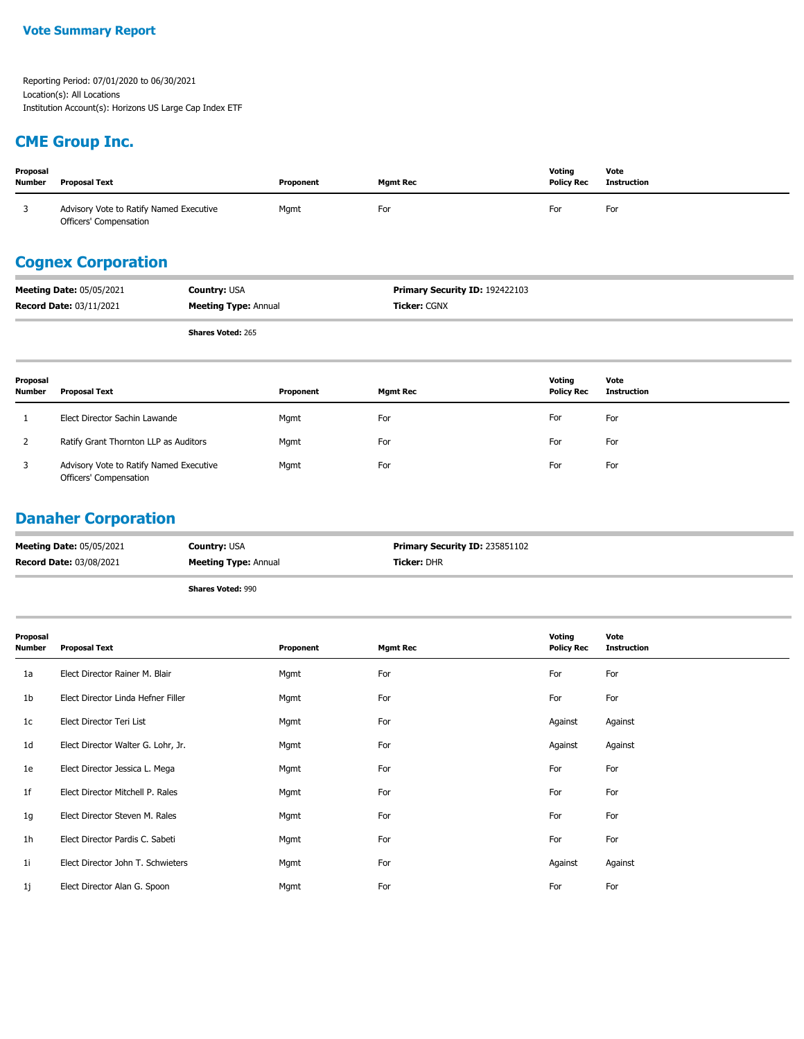## **CME Group Inc.**

| Proposal<br><b>Number</b>                                                                                                       | Proposal Text                                                     | Proponent | <b>Mgmt Rec</b> | Voting<br><b>Policy Rec</b> | Vote<br><b>Instruction</b> |  |  |
|---------------------------------------------------------------------------------------------------------------------------------|-------------------------------------------------------------------|-----------|-----------------|-----------------------------|----------------------------|--|--|
|                                                                                                                                 | Advisory Vote to Ratify Named Executive<br>Officers' Compensation | Mgmt      | For             | For                         | For                        |  |  |
| <b>Cognex Corporation</b>                                                                                                       |                                                                   |           |                 |                             |                            |  |  |
| Mastine Bats: 05/05/2021<br>$D_n$ $m = m$ ; $D_n = m$ $D_n$ , $ID_n$ , $102423102$<br>$C_{\text{intra}}$ and $C_{\text{intra}}$ |                                                                   |           |                 |                             |                            |  |  |

| <b>Meeting Date: 05/05/2021</b> | <b>Country: USA</b>         | <b>Primary Security ID: 192422103</b> |
|---------------------------------|-----------------------------|---------------------------------------|
| <b>Record Date: 03/11/2021</b>  | <b>Meeting Type: Annual</b> | <b>Ticker:</b> CGNX                   |
|                                 | <b>Shares Voted: 265</b>    |                                       |

| Proposal<br><b>Number</b> | Proposal Text                                                     | Proponent | <b>Mgmt Rec</b> | Voting<br><b>Policy Rec</b> | Vote<br><b>Instruction</b> |
|---------------------------|-------------------------------------------------------------------|-----------|-----------------|-----------------------------|----------------------------|
|                           | Elect Director Sachin Lawande                                     | Mgmt      | For             | For                         | For                        |
|                           | Ratify Grant Thornton LLP as Auditors                             | Mgmt      | For             | For                         | For                        |
|                           | Advisory Vote to Ratify Named Executive<br>Officers' Compensation | Mgmt      | For             | For                         | For                        |

### **Danaher Corporation**

| <b>Meeting Date: 05/05/2021</b> | <b>Country: USA</b>         | Primary Security ID: 235851102 |
|---------------------------------|-----------------------------|--------------------------------|
| <b>Record Date: 03/08/2021</b>  | <b>Meeting Type: Annual</b> | <b>Ticker: DHR</b>             |
|                                 | <b>Shares Voted: 990</b>    |                                |

| Proposal<br><b>Number</b> | <b>Proposal Text</b>               | Proponent | <b>Mgmt Rec</b> | Voting<br><b>Policy Rec</b> | Vote<br><b>Instruction</b> |
|---------------------------|------------------------------------|-----------|-----------------|-----------------------------|----------------------------|
| 1a                        | Elect Director Rainer M. Blair     | Mgmt      | For             | For                         | For                        |
| 1 <sub>b</sub>            | Elect Director Linda Hefner Filler | Mgmt      | For             | For                         | For                        |
| 1c                        | Elect Director Teri List           | Mgmt      | For             | Against                     | Against                    |
| 1 <sub>d</sub>            | Elect Director Walter G. Lohr, Jr. | Mgmt      | For             | Against                     | Against                    |
| 1e                        | Elect Director Jessica L. Mega     | Mgmt      | For             | For                         | For                        |
| 1f                        | Elect Director Mitchell P. Rales   | Mgmt      | For             | For                         | For                        |
| 1g                        | Elect Director Steven M. Rales     | Mgmt      | For             | For                         | For                        |
| 1 <sub>h</sub>            | Elect Director Pardis C. Sabeti    | Mgmt      | For             | For                         | For                        |
| 1 <sub>i</sub>            | Elect Director John T. Schwieters  | Mgmt      | For             | Against                     | Against                    |
| 1j                        | Elect Director Alan G. Spoon       | Mgmt      | For             | For                         | For                        |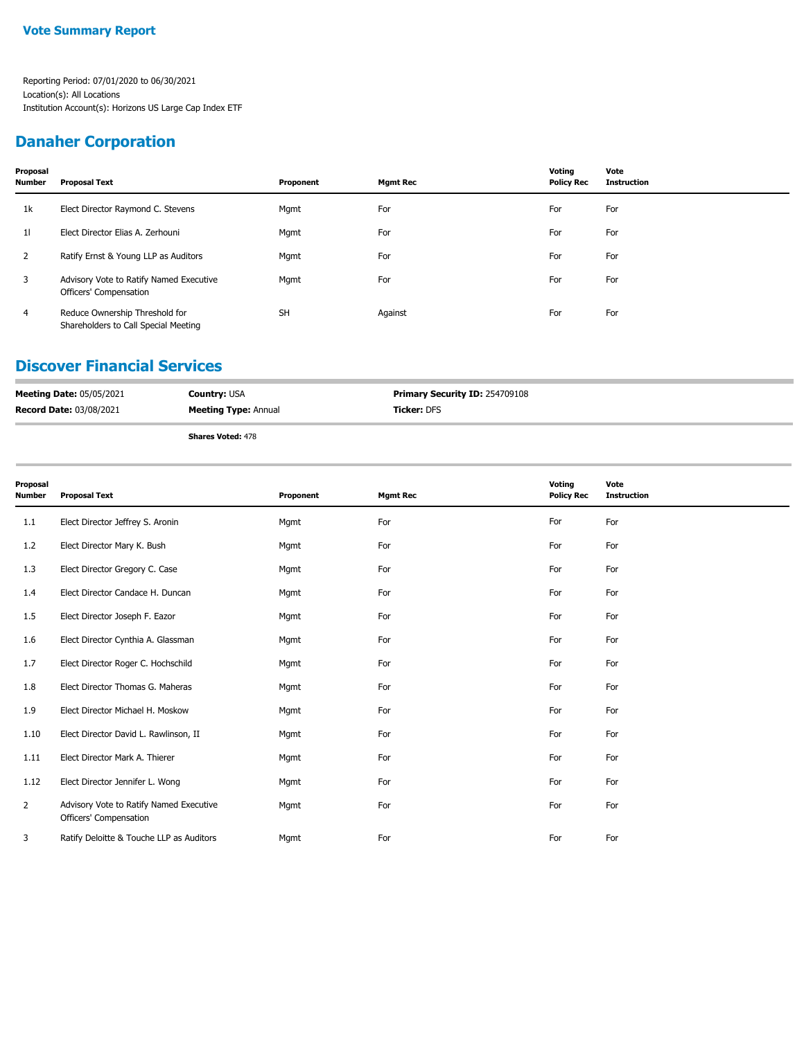### **Danaher Corporation**

| Proposal<br><b>Number</b> | <b>Proposal Text</b>                                                   | Proponent | <b>Mgmt Rec</b> | Voting<br><b>Policy Rec</b> | Vote<br><b>Instruction</b> |
|---------------------------|------------------------------------------------------------------------|-----------|-----------------|-----------------------------|----------------------------|
| 1k                        | Elect Director Raymond C. Stevens                                      | Mgmt      | For             | For                         | For                        |
| 11                        | Elect Director Elias A. Zerhouni                                       | Mgmt      | For             | For                         | For                        |
| 2                         | Ratify Ernst & Young LLP as Auditors                                   | Mgmt      | For             | For                         | For                        |
| 3                         | Advisory Vote to Ratify Named Executive<br>Officers' Compensation      | Mgmt      | For             | For                         | For                        |
| $\overline{4}$            | Reduce Ownership Threshold for<br>Shareholders to Call Special Meeting | <b>SH</b> | Against         | For                         | For                        |

#### **Discover Financial Services**

| <b>Meeting Date: 05/05/2021</b> | <b>Country: USA</b>         | <b>Primary Security ID: 254709108</b> |
|---------------------------------|-----------------------------|---------------------------------------|
| <b>Record Date: 03/08/2021</b>  | <b>Meeting Type: Annual</b> | <b>Ticker:</b> DFS                    |
|                                 |                             |                                       |

| Proposal<br>Number | <b>Proposal Text</b>                                              | Proponent | <b>Mgmt Rec</b> | Voting<br><b>Policy Rec</b> | Vote<br><b>Instruction</b> |
|--------------------|-------------------------------------------------------------------|-----------|-----------------|-----------------------------|----------------------------|
| 1.1                | Elect Director Jeffrey S. Aronin                                  | Mgmt      | For             | For                         | For                        |
| 1.2                | Elect Director Mary K. Bush                                       | Mgmt      | For             | For                         | For                        |
| 1.3                | Elect Director Gregory C. Case                                    | Mgmt      | For             | For                         | For                        |
| 1.4                | Elect Director Candace H. Duncan                                  | Mgmt      | For             | For                         | For                        |
| 1.5                | Elect Director Joseph F. Eazor                                    | Mgmt      | For             | For                         | For                        |
| 1.6                | Elect Director Cynthia A. Glassman                                | Mgmt      | For             | For                         | For                        |
| 1.7                | Elect Director Roger C. Hochschild                                | Mgmt      | For             | For                         | For                        |
| 1.8                | Elect Director Thomas G. Maheras                                  | Mgmt      | For             | For                         | For                        |
| 1.9                | Elect Director Michael H. Moskow                                  | Mgmt      | For             | For                         | For                        |
| 1.10               | Elect Director David L. Rawlinson, II                             | Mgmt      | For             | For                         | For                        |
| 1.11               | Elect Director Mark A. Thierer                                    | Mgmt      | For             | For                         | For                        |
| 1.12               | Elect Director Jennifer L. Wong                                   | Mgmt      | For             | For                         | For                        |
| $\overline{2}$     | Advisory Vote to Ratify Named Executive<br>Officers' Compensation | Mgmt      | For             | For                         | For                        |
| 3                  | Ratify Deloitte & Touche LLP as Auditors                          | Mgmt      | For             | For                         | For                        |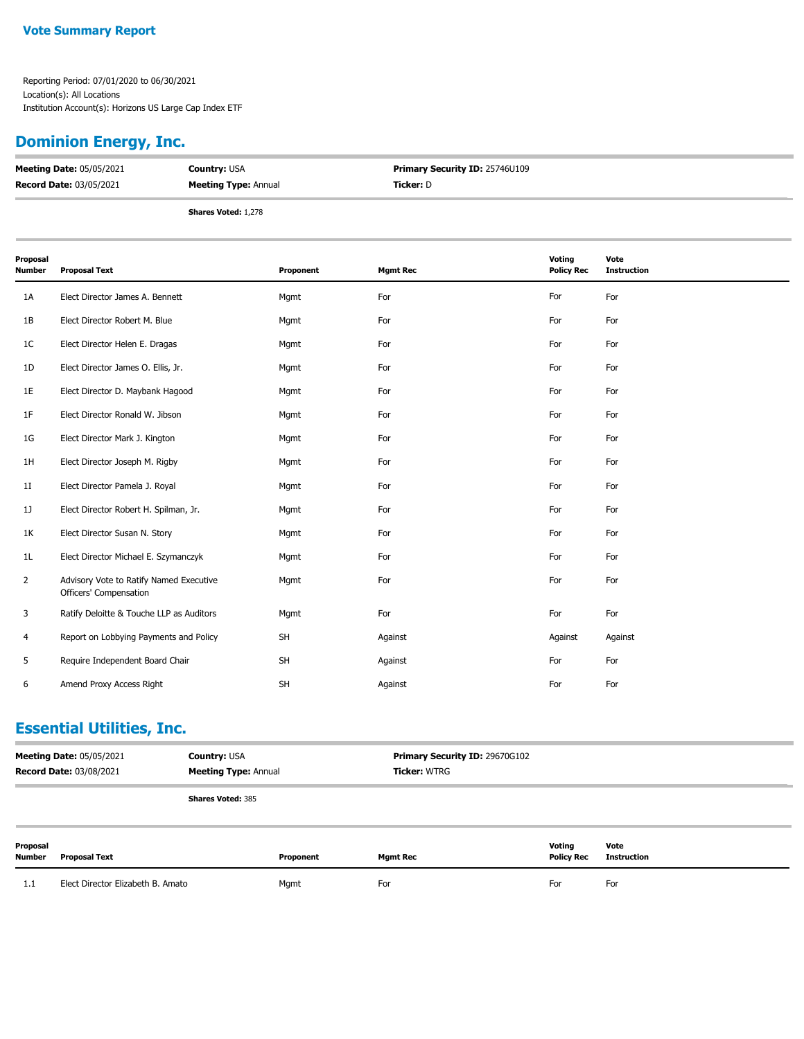## **Dominion Energy, Inc.**

| <b>Meeting Date: 05/05/2021</b> | <b>Country: USA</b>         | <b>Primary Security ID: 25746U109</b> |  |
|---------------------------------|-----------------------------|---------------------------------------|--|
| <b>Record Date: 03/05/2021</b>  | <b>Meeting Type: Annual</b> | Ticker: D                             |  |
|                                 | <b>Shares Voted: 1,278</b>  |                                       |  |

| Proposal<br><b>Number</b> | <b>Proposal Text</b>                                              | Proponent | <b>Mgmt Rec</b> | <b>Voting</b><br><b>Policy Rec</b> | Vote<br><b>Instruction</b> |
|---------------------------|-------------------------------------------------------------------|-----------|-----------------|------------------------------------|----------------------------|
| 1A                        | Elect Director James A. Bennett                                   | Mgmt      | For             | For                                | For                        |
| 1B                        | Elect Director Robert M. Blue                                     | Mgmt      | For             | For                                | For                        |
| 1 <sup>C</sup>            | Elect Director Helen E. Dragas                                    | Mgmt      | For             | For                                | For                        |
| 1D                        | Elect Director James O. Ellis, Jr.                                | Mgmt      | For             | For                                | For                        |
| 1E                        | Elect Director D. Maybank Hagood                                  | Mgmt      | For             | For                                | For                        |
| 1F                        | Elect Director Ronald W. Jibson                                   | Mgmt      | For             | For                                | For                        |
| 1G                        | Elect Director Mark J. Kington                                    | Mgmt      | For             | For                                | For                        |
| 1H                        | Elect Director Joseph M. Rigby                                    | Mgmt      | For             | For                                | For                        |
| 11                        | Elect Director Pamela J. Royal                                    | Mgmt      | For             | For                                | For                        |
| 1J                        | Elect Director Robert H. Spilman, Jr.                             | Mgmt      | For             | For                                | For                        |
| 1K                        | Elect Director Susan N. Story                                     | Mgmt      | For             | For                                | For                        |
| 1 <sub>L</sub>            | Elect Director Michael E. Szymanczyk                              | Mgmt      | For             | For                                | For                        |
| 2                         | Advisory Vote to Ratify Named Executive<br>Officers' Compensation | Mgmt      | For             | For                                | For                        |
| 3                         | Ratify Deloitte & Touche LLP as Auditors                          | Mgmt      | For             | For                                | For                        |
| 4                         | Report on Lobbying Payments and Policy                            | <b>SH</b> | Against         | Against                            | Against                    |
| 5                         | Require Independent Board Chair                                   | <b>SH</b> | Against         | For                                | For                        |
| 6                         | Amend Proxy Access Right                                          | SH        | Against         | For                                | For                        |

## **Essential Utilities, Inc.**

| <b>Meeting Date: 05/05/2021</b><br><b>Record Date: 03/08/2021</b> |                                   | <b>Country: USA</b><br><b>Meeting Type: Annual</b> |           | <b>Primary Security ID: 29670G102</b><br><b>Ticker: WTRG</b> |                             |                            |
|-------------------------------------------------------------------|-----------------------------------|----------------------------------------------------|-----------|--------------------------------------------------------------|-----------------------------|----------------------------|
|                                                                   |                                   | <b>Shares Voted: 385</b>                           |           |                                                              |                             |                            |
| Proposal<br>Number                                                | Proposal Text                     |                                                    | Proponent | <b>Mgmt Rec</b>                                              | Voting<br><b>Policy Rec</b> | Vote<br><b>Instruction</b> |
| 1.1                                                               | Elect Director Elizabeth B. Amato |                                                    | Mgmt      | For                                                          | For                         | For                        |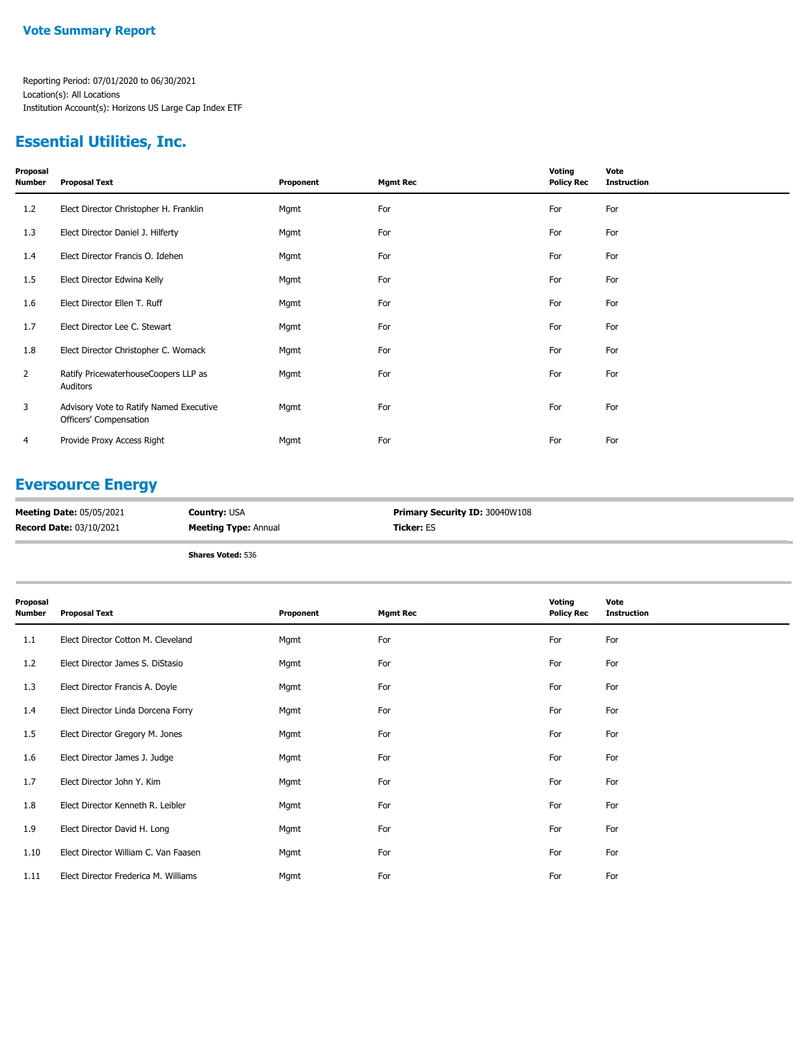## **Essential Utilities, Inc.**

| Proposal<br>Number | <b>Proposal Text</b>                                              | Proponent | <b>Mgmt Rec</b> | Voting<br><b>Policy Rec</b> | Vote<br><b>Instruction</b> |
|--------------------|-------------------------------------------------------------------|-----------|-----------------|-----------------------------|----------------------------|
| 1.2                | Elect Director Christopher H. Franklin                            | Mgmt      | For             | For                         | For                        |
| 1.3                | Elect Director Daniel J. Hilferty                                 | Mgmt      | For             | For                         | For                        |
| 1.4                | Elect Director Francis O. Idehen                                  | Mgmt      | For             | For                         | For                        |
| 1.5                | Elect Director Edwina Kelly                                       | Mgmt      | For             | For                         | For                        |
| 1.6                | Elect Director Ellen T. Ruff                                      | Mgmt      | For             | For                         | For                        |
| 1.7                | Elect Director Lee C. Stewart                                     | Mgmt      | For             | For                         | For                        |
| 1.8                | Elect Director Christopher C. Womack                              | Mgmt      | For             | For                         | For                        |
| $\overline{2}$     | Ratify PricewaterhouseCoopers LLP as<br>Auditors                  | Mgmt      | For             | For                         | For                        |
| 3                  | Advisory Vote to Ratify Named Executive<br>Officers' Compensation | Mgmt      | For             | For                         | For                        |
| 4                  | Provide Proxy Access Right                                        | Mgmt      | For             | For                         | For                        |

### **Eversource Energy**

| <b>Meeting Date: 05/05/2021</b> | <b>Country: USA</b>         | Primary Security ID: 30040W108 |
|---------------------------------|-----------------------------|--------------------------------|
| <b>Record Date: 03/10/2021</b>  | <b>Meeting Type: Annual</b> | <b>Ticker: ES</b>              |
|                                 | <b>Shares Voted: 536</b>    |                                |

| Proposal<br><b>Number</b> | <b>Proposal Text</b>                 | Proponent | <b>Mgmt Rec</b> | Voting<br><b>Policy Rec</b> | Vote<br><b>Instruction</b> |
|---------------------------|--------------------------------------|-----------|-----------------|-----------------------------|----------------------------|
| 1.1                       | Elect Director Cotton M. Cleveland   | Mgmt      | For             | For                         | For                        |
| 1.2                       | Elect Director James S. DiStasio     | Mgmt      | For             | For                         | For                        |
| 1.3                       | Elect Director Francis A. Doyle      | Mgmt      | For             | For                         | For                        |
| 1.4                       | Elect Director Linda Dorcena Forry   | Mgmt      | For             | For                         | For                        |
| 1.5                       | Elect Director Gregory M. Jones      | Mgmt      | For             | For                         | For                        |
| 1.6                       | Elect Director James J. Judge        | Mgmt      | For             | For                         | For                        |
| 1.7                       | Elect Director John Y. Kim           | Mgmt      | For             | For                         | For                        |
| 1.8                       | Elect Director Kenneth R. Leibler    | Mgmt      | For             | For                         | For                        |
| 1.9                       | Elect Director David H. Long         | Mgmt      | For             | For                         | For                        |
| 1.10                      | Elect Director William C. Van Faasen | Mgmt      | For             | For                         | For                        |
| 1.11                      | Elect Director Frederica M. Williams | Mgmt      | For             | For                         | For                        |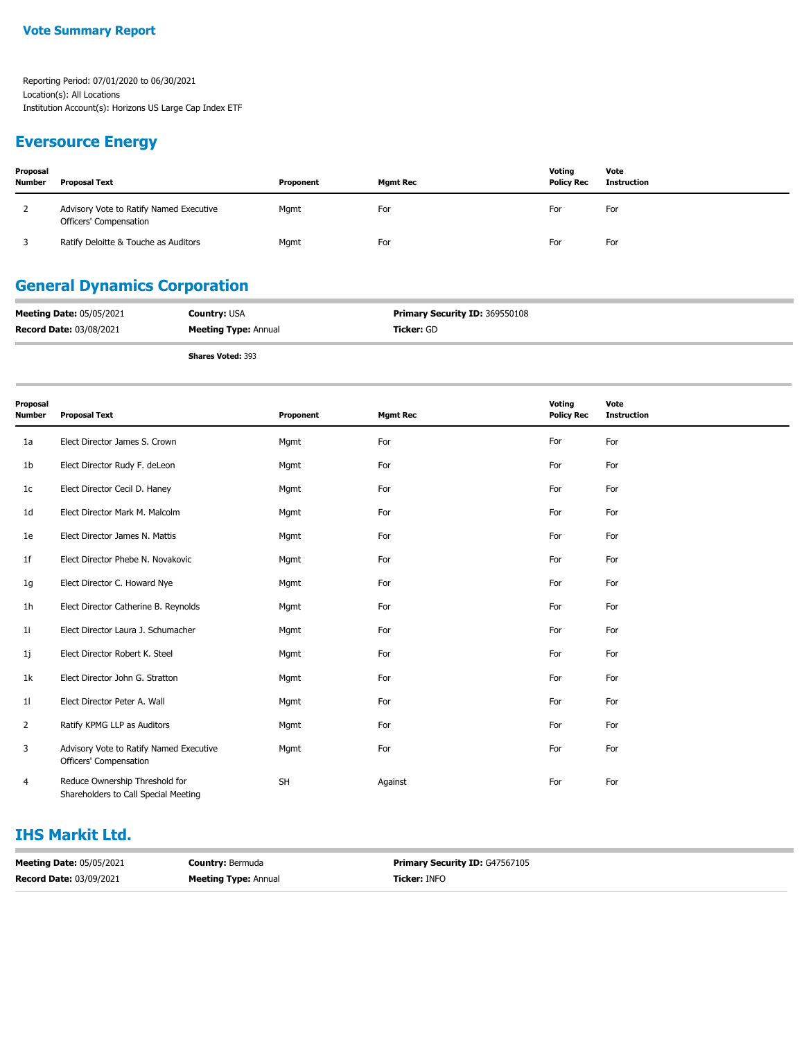### **Eversource Energy**

| Proposal<br>Number | <b>Proposal Text</b>                                              | Proponent | Mgmt Rec | Voting<br><b>Policy Rec</b> | Vote<br>Instruction |
|--------------------|-------------------------------------------------------------------|-----------|----------|-----------------------------|---------------------|
|                    | Advisory Vote to Ratify Named Executive<br>Officers' Compensation | Mgmt      | For      | For                         | For                 |
|                    | Ratify Deloitte & Touche as Auditors                              | Mgmt      | For      | For                         | For                 |

# **General Dynamics Corporation**

| <b>Meeting Date: 05/05/2021</b> | <b>Country: USA</b>         | Primary Security ID: 369550108 |
|---------------------------------|-----------------------------|--------------------------------|
| <b>Record Date: 03/08/2021</b>  | <b>Meeting Type: Annual</b> | <b>Ticker: GD</b>              |
|                                 | <b>Shares Voted: 393</b>    |                                |

| 311 <b>dies vulleu</b> i 393 |  |  |
|------------------------------|--|--|
|                              |  |  |
|                              |  |  |

| Proposal<br><b>Number</b> | <b>Proposal Text</b>                                                   | Proponent | <b>Mgmt Rec</b> | Voting<br><b>Policy Rec</b> | Vote<br><b>Instruction</b> |
|---------------------------|------------------------------------------------------------------------|-----------|-----------------|-----------------------------|----------------------------|
| 1a                        | Elect Director James S. Crown                                          | Mgmt      | For             | For                         | For                        |
| 1b                        | Elect Director Rudy F. deLeon                                          | Mgmt      | For             | For                         | For                        |
| 1 <sup>c</sup>            | Elect Director Cecil D. Haney                                          | Mgmt      | For             | For                         | For                        |
| 1d                        | Elect Director Mark M. Malcolm                                         | Mgmt      | For             | For                         | For                        |
| 1e                        | Elect Director James N. Mattis                                         | Mgmt      | For             | For                         | For                        |
| 1f                        | Elect Director Phebe N. Novakovic                                      | Mgmt      | For             | For                         | For                        |
| 1g                        | Elect Director C. Howard Nye                                           | Mgmt      | For             | For                         | For                        |
| 1 <sub>h</sub>            | Elect Director Catherine B. Reynolds                                   | Mgmt      | For             | For                         | For                        |
| 1i                        | Elect Director Laura J. Schumacher                                     | Mgmt      | For             | For                         | For                        |
| 1j                        | Elect Director Robert K. Steel                                         | Mgmt      | For             | For                         | For                        |
| 1k                        | Elect Director John G. Stratton                                        | Mgmt      | For             | For                         | For                        |
| 11                        | Elect Director Peter A. Wall                                           | Mgmt      | For             | For                         | For                        |
| 2                         | Ratify KPMG LLP as Auditors                                            | Mgmt      | For             | For                         | For                        |
| 3                         | Advisory Vote to Ratify Named Executive<br>Officers' Compensation      | Mgmt      | For             | For                         | For                        |
| 4                         | Reduce Ownership Threshold for<br>Shareholders to Call Special Meeting | <b>SH</b> | Against         | For                         | For                        |

### **IHS Markit Ltd.**

| <b>Meeting Date: 05/05/2021</b> | <b>Country: Bermuda</b>     | <b>Primary Security ID: G47567105</b> |
|---------------------------------|-----------------------------|---------------------------------------|
| <b>Record Date: 03/09/2021</b>  | <b>Meeting Type: Annual</b> | <b>Ticker: INFO</b>                   |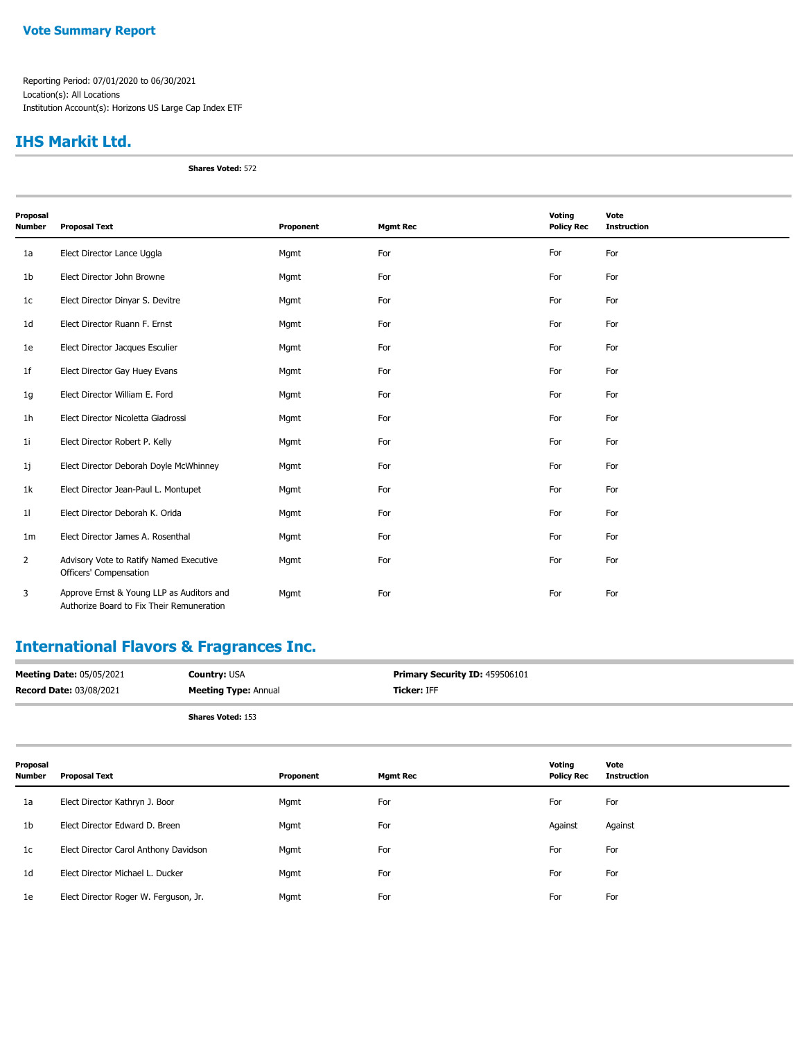#### **Vote Summary Report**

Reporting Period: 07/01/2020 to 06/30/2021 Location(s): All Locations Institution Account(s): Horizons US Large Cap Index ETF

#### **IHS Markit Ltd.**

**Shares Voted:** 572

| Proposal       |                                                                                        |           |                 | Voting            | Vote               |
|----------------|----------------------------------------------------------------------------------------|-----------|-----------------|-------------------|--------------------|
| <b>Number</b>  | <b>Proposal Text</b>                                                                   | Proponent | <b>Mgmt Rec</b> | <b>Policy Rec</b> | <b>Instruction</b> |
| 1a             | Elect Director Lance Uggla                                                             | Mgmt      | For             | For               | For                |
| 1b             | Elect Director John Browne                                                             | Mgmt      | For             | For               | For                |
| 1 <sub>c</sub> | Elect Director Dinyar S. Devitre                                                       | Mgmt      | For             | For               | For                |
| 1 <sub>d</sub> | Elect Director Ruann F. Ernst                                                          | Mgmt      | For             | For               | For                |
| 1e             | Elect Director Jacques Esculier                                                        | Mgmt      | For             | For               | For                |
| 1 <sup>f</sup> | Elect Director Gay Huey Evans                                                          | Mgmt      | For             | For               | For                |
| 1g             | Elect Director William E. Ford                                                         | Mgmt      | For             | For               | For                |
| 1 <sub>h</sub> | Elect Director Nicoletta Giadrossi                                                     | Mgmt      | For             | For               | For                |
| 11             | Elect Director Robert P. Kelly                                                         | Mgmt      | For             | For               | For                |
| 1j             | Elect Director Deborah Doyle McWhinney                                                 | Mgmt      | For             | For               | For                |
| 1k             | Elect Director Jean-Paul L. Montupet                                                   | Mgmt      | For             | For               | For                |
| 11             | Elect Director Deborah K. Orida                                                        | Mgmt      | For             | For               | For                |
| 1 <sub>m</sub> | Elect Director James A. Rosenthal                                                      | Mgmt      | For             | For               | For                |
| $\overline{2}$ | Advisory Vote to Ratify Named Executive<br>Officers' Compensation                      | Mgmt      | For             | For               | For                |
| 3              | Approve Ernst & Young LLP as Auditors and<br>Authorize Board to Fix Their Remuneration | Mgmt      | For             | For               | For                |

# **International Flavors & Fragrances Inc.**

| <b>Meeting Date: 05/05/2021</b> | <b>Country: USA</b>         | Primary Security ID: 459506101 |
|---------------------------------|-----------------------------|--------------------------------|
| <b>Record Date: 03/08/2021</b>  | <b>Meeting Type: Annual</b> | <b>Ticker: IFF</b>             |
|                                 | <b>Shares Voted: 153</b>    |                                |

| Proposal<br>Number | <b>Proposal Text</b>                  | Proponent | <b>Mgmt Rec</b> | Voting<br><b>Policy Rec</b> | Vote<br><b>Instruction</b> |
|--------------------|---------------------------------------|-----------|-----------------|-----------------------------|----------------------------|
| 1a                 | Elect Director Kathryn J. Boor        | Mgmt      | For             | For                         | For                        |
| 1 <sub>b</sub>     | Elect Director Edward D. Breen        | Mgmt      | For             | Against                     | Against                    |
| 1c                 | Elect Director Carol Anthony Davidson | Mgmt      | For             | For                         | For                        |
| 1d                 | Elect Director Michael L. Ducker      | Mgmt      | For             | For                         | For                        |
| 1e                 | Elect Director Roger W. Ferguson, Jr. | Mgmt      | For             | For                         | For                        |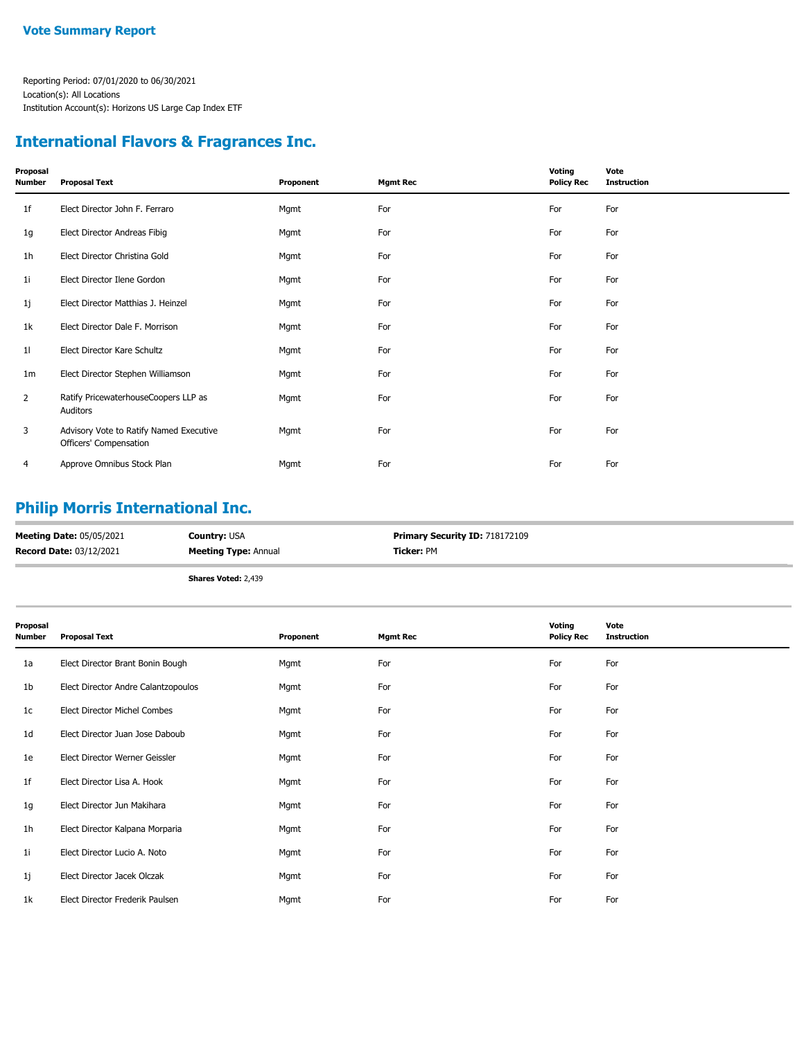### **International Flavors & Fragrances Inc.**

| Proposal<br>Number | <b>Proposal Text</b>                                              | Proponent | <b>Mgmt Rec</b> | Voting<br><b>Policy Rec</b> | Vote<br><b>Instruction</b> |
|--------------------|-------------------------------------------------------------------|-----------|-----------------|-----------------------------|----------------------------|
| 1f                 | Elect Director John F. Ferraro                                    | Mgmt      | For             | For                         | For                        |
| 1g                 | Elect Director Andreas Fibig                                      | Mgmt      | For             | For                         | For                        |
| 1h                 | Elect Director Christina Gold                                     | Mgmt      | For             | For                         | For                        |
| 1i                 | Elect Director Ilene Gordon                                       | Mgmt      | For             | For                         | For                        |
| 1j                 | Elect Director Matthias J. Heinzel                                | Mgmt      | For             | For                         | For                        |
| 1k                 | Elect Director Dale F. Morrison                                   | Mgmt      | For             | For                         | For                        |
| 11                 | Elect Director Kare Schultz                                       | Mgmt      | For             | For                         | For                        |
| 1 <sub>m</sub>     | Elect Director Stephen Williamson                                 | Mgmt      | For             | For                         | For                        |
| $\overline{2}$     | Ratify PricewaterhouseCoopers LLP as<br>Auditors                  | Mgmt      | For             | For                         | For                        |
| 3                  | Advisory Vote to Ratify Named Executive<br>Officers' Compensation | Mgmt      | For             | For                         | For                        |
| 4                  | Approve Omnibus Stock Plan                                        | Mgmt      | For             | For                         | For                        |

## **Philip Morris International Inc.**

| <b>Meeting Date: 05/05/2021</b> | <b>Country: USA</b>         | <b>Primary Security ID: 718172109</b> |
|---------------------------------|-----------------------------|---------------------------------------|
| <b>Record Date: 03/12/2021</b>  | <b>Meeting Type: Annual</b> | Ticker: PM                            |
|                                 | <b>Shares Voted: 2,439</b>  |                                       |

| Proposal<br><b>Number</b> | <b>Proposal Text</b>                | Proponent | <b>Mgmt Rec</b> | Voting<br><b>Policy Rec</b> | Vote<br><b>Instruction</b> |
|---------------------------|-------------------------------------|-----------|-----------------|-----------------------------|----------------------------|
| 1a                        | Elect Director Brant Bonin Bough    | Mgmt      | For             | For                         | For                        |
| 1 <sub>b</sub>            | Elect Director Andre Calantzopoulos | Mgmt      | For             | For                         | For                        |
| 1c                        | <b>Elect Director Michel Combes</b> | Mgmt      | For             | For                         | For                        |
| 1 <sub>d</sub>            | Elect Director Juan Jose Daboub     | Mgmt      | For             | For                         | For                        |
| 1e                        | Elect Director Werner Geissler      | Mgmt      | For             | For                         | For                        |
| 1f                        | Elect Director Lisa A. Hook         | Mgmt      | For             | For                         | For                        |
| 1g                        | Elect Director Jun Makihara         | Mgmt      | For             | For                         | For                        |
| 1 <sub>h</sub>            | Elect Director Kalpana Morparia     | Mgmt      | For             | For                         | For                        |
| 1i                        | Elect Director Lucio A. Noto        | Mgmt      | For             | For                         | For                        |
| 1j                        | Elect Director Jacek Olczak         | Mgmt      | For             | For                         | For                        |
| 1k                        | Elect Director Frederik Paulsen     | Mgmt      | For             | For                         | For                        |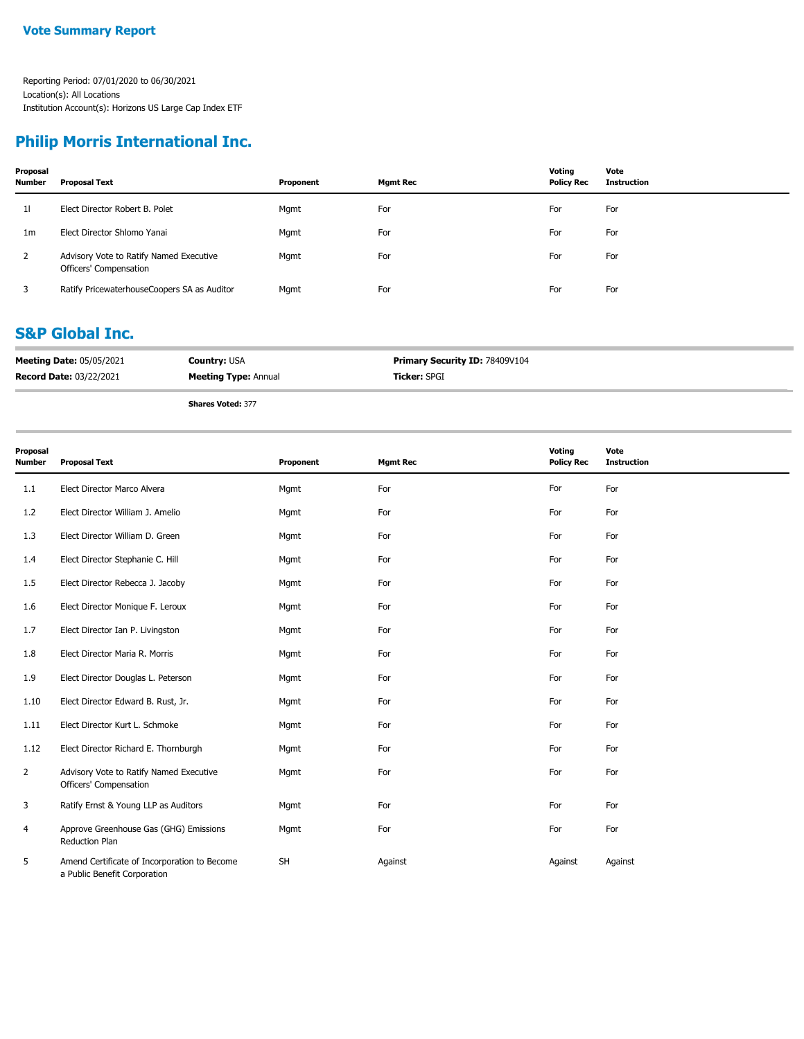## **Philip Morris International Inc.**

| Proposal<br><b>Number</b> | Proposal Text                                                     | Proponent | <b>Mgmt Rec</b> | Voting<br><b>Policy Rec</b> | Vote<br><b>Instruction</b> |
|---------------------------|-------------------------------------------------------------------|-----------|-----------------|-----------------------------|----------------------------|
| 11                        | Elect Director Robert B. Polet                                    | Mgmt      | For             | For                         | For                        |
| 1 <sub>m</sub>            | Elect Director Shlomo Yanai                                       | Mgmt      | For             | For                         | For                        |
| 2                         | Advisory Vote to Ratify Named Executive<br>Officers' Compensation | Mgmt      | For             | For                         | For                        |
|                           | Ratify PricewaterhouseCoopers SA as Auditor                       | Mgmt      | For             | For                         | For                        |

### **S&P Global Inc.**

| <b>Meeting Date: 05/05/2021</b> | <b>Country: USA</b>         | <b>Primary Security ID: 78409V104</b> |
|---------------------------------|-----------------------------|---------------------------------------|
| <b>Record Date: 03/22/2021</b>  | <b>Meeting Type: Annual</b> | <b>Ticker: SPGI</b>                   |
|                                 | Change Makedy 277           |                                       |

| Proposal<br><b>Number</b> | <b>Proposal Text</b>                                                         | Proponent | <b>Mgmt Rec</b> | Voting<br><b>Policy Rec</b> | Vote<br><b>Instruction</b> |
|---------------------------|------------------------------------------------------------------------------|-----------|-----------------|-----------------------------|----------------------------|
| 1.1                       | Elect Director Marco Alvera                                                  | Mgmt      | For             | For                         | For                        |
| 1.2                       | Elect Director William J. Amelio                                             | Mgmt      | For             | For                         | For                        |
| 1.3                       | Elect Director William D. Green                                              | Mgmt      | For             | For                         | For                        |
| 1.4                       | Elect Director Stephanie C. Hill                                             | Mgmt      | For             | For                         | For                        |
| 1.5                       | Elect Director Rebecca J. Jacoby                                             | Mgmt      | For             | For                         | For                        |
| 1.6                       | Elect Director Monique F. Leroux                                             | Mgmt      | For             | For                         | For                        |
| 1.7                       | Elect Director Ian P. Livingston                                             | Mgmt      | For             | For                         | For                        |
| 1.8                       | Elect Director Maria R. Morris                                               | Mgmt      | For             | For                         | For                        |
| 1.9                       | Elect Director Douglas L. Peterson                                           | Mgmt      | For             | For                         | For                        |
| 1.10                      | Elect Director Edward B. Rust, Jr.                                           | Mgmt      | For             | For                         | For                        |
| 1.11                      | Elect Director Kurt L. Schmoke                                               | Mgmt      | For             | For                         | For                        |
| 1.12                      | Elect Director Richard E. Thornburgh                                         | Mgmt      | For             | For                         | For                        |
| $\overline{2}$            | Advisory Vote to Ratify Named Executive<br>Officers' Compensation            | Mgmt      | For             | For                         | For                        |
| 3                         | Ratify Ernst & Young LLP as Auditors                                         | Mgmt      | For             | For                         | For                        |
| 4                         | Approve Greenhouse Gas (GHG) Emissions<br>Reduction Plan                     | Mgmt      | For             | For                         | For                        |
| 5                         | Amend Certificate of Incorporation to Become<br>a Public Benefit Corporation | <b>SH</b> | Against         | Against                     | Against                    |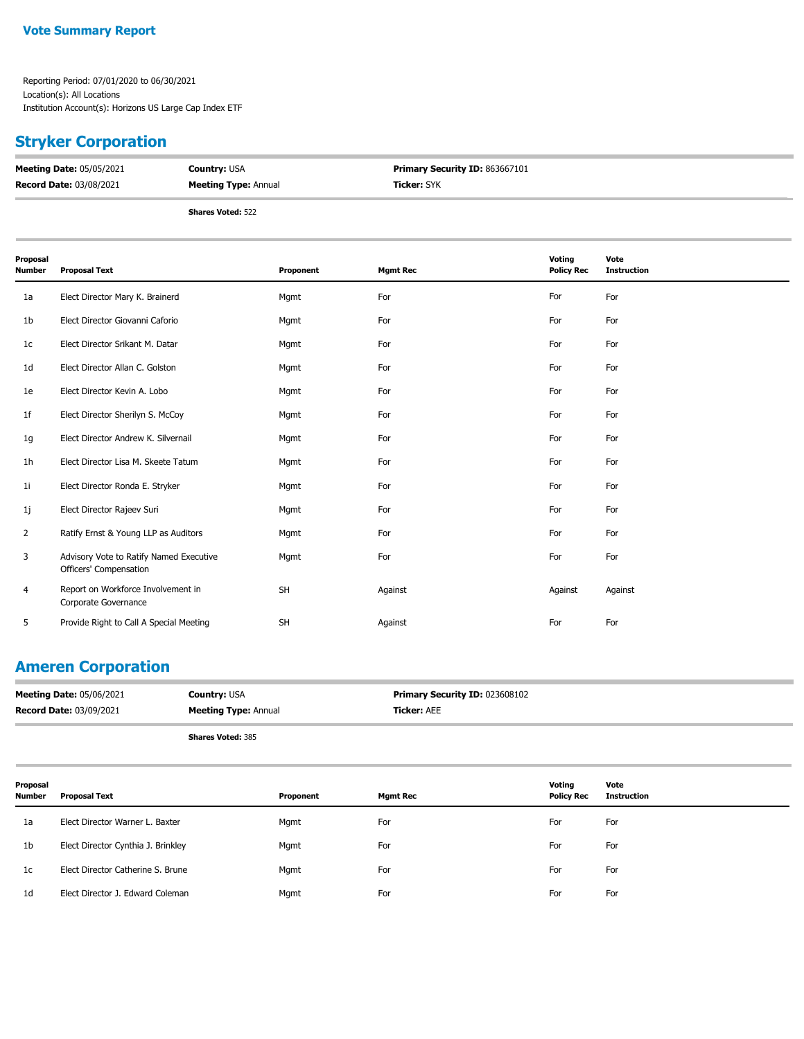## **Stryker Corporation**

| <b>Meeting Date: 05/05/2021</b> | <b>Country: USA</b>         | <b>Primary Security ID: 863667101</b> |
|---------------------------------|-----------------------------|---------------------------------------|
| <b>Record Date: 03/08/2021</b>  | <b>Meeting Type: Annual</b> | <b>Ticker:</b> SYK                    |
|                                 | <b>Shares Voted: 522</b>    |                                       |

| Proposal<br><b>Number</b> | <b>Proposal Text</b>                                              | Proponent | <b>Mgmt Rec</b> | Voting<br><b>Policy Rec</b> | Vote<br><b>Instruction</b> |
|---------------------------|-------------------------------------------------------------------|-----------|-----------------|-----------------------------|----------------------------|
| 1a                        | Elect Director Mary K. Brainerd                                   | Mgmt      | For             | For                         | For                        |
| 1b                        | Elect Director Giovanni Caforio                                   | Mgmt      | For             | For                         | For                        |
| 1 <sub>c</sub>            | Elect Director Srikant M. Datar                                   | Mgmt      | For             | For                         | For                        |
| 1 <sub>d</sub>            | Elect Director Allan C. Golston                                   | Mgmt      | For             | For                         | For                        |
| 1e                        | Elect Director Kevin A. Lobo                                      | Mgmt      | For             | For                         | For                        |
| 1f                        | Elect Director Sherilyn S. McCoy                                  | Mgmt      | For             | For                         | For                        |
| 1g                        | Elect Director Andrew K. Silvernail                               | Mgmt      | For             | For                         | For                        |
| 1 <sub>h</sub>            | Elect Director Lisa M. Skeete Tatum                               | Mgmt      | For             | For                         | For                        |
| 1i                        | Elect Director Ronda E. Stryker                                   | Mgmt      | For             | For                         | For                        |
| 1j                        | Elect Director Rajeev Suri                                        | Mgmt      | For             | For                         | For                        |
| 2                         | Ratify Ernst & Young LLP as Auditors                              | Mgmt      | For             | For                         | For                        |
| 3                         | Advisory Vote to Ratify Named Executive<br>Officers' Compensation | Mgmt      | For             | For                         | For                        |
| 4                         | Report on Workforce Involvement in<br>Corporate Governance        | <b>SH</b> | Against         | Against                     | Against                    |
| 5                         | Provide Right to Call A Special Meeting                           | SH        | Against         | For                         | For                        |

## **Ameren Corporation**

| <b>Meeting Date: 05/06/2021</b> | <b>Country: USA</b>         | <b>Primary Security ID: 023608102</b> |
|---------------------------------|-----------------------------|---------------------------------------|
| <b>Record Date: 03/09/2021</b>  | <b>Meeting Type: Annual</b> | <b>Ticker: AEE</b>                    |
|                                 | <b>Shares Voted: 385</b>    |                                       |

| Proposal<br><b>Number</b> | <b>Proposal Text</b>               | Proponent | <b>Mgmt Rec</b> | Votina<br><b>Policy Rec</b> | Vote<br>Instruction |
|---------------------------|------------------------------------|-----------|-----------------|-----------------------------|---------------------|
| 1a                        | Elect Director Warner L. Baxter    | Mgmt      | For             | For                         | For                 |
| 1b                        | Elect Director Cynthia J. Brinkley | Mgmt      | For             | For                         | For                 |
| 1c                        | Elect Director Catherine S. Brune  | Mgmt      | For             | For                         | For                 |
| 1 <sub>d</sub>            | Elect Director J. Edward Coleman   | Mgmt      | For             | For                         | For                 |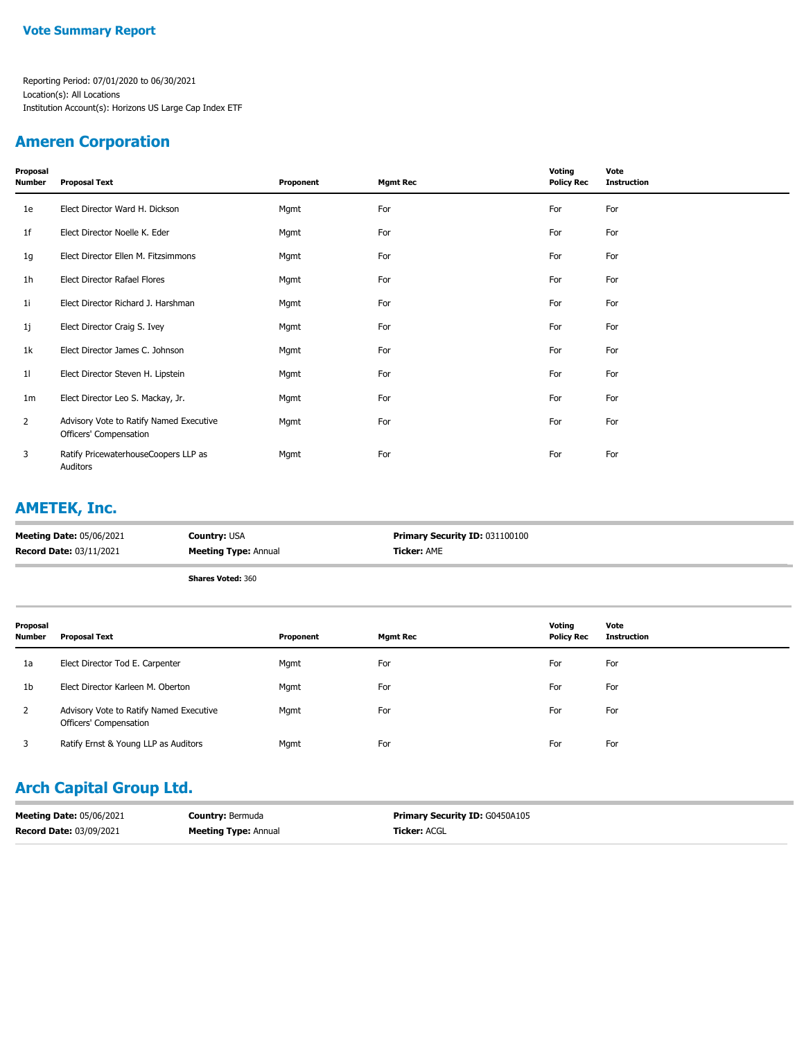### **Ameren Corporation**

| Proposal<br>Number | <b>Proposal Text</b>                                              | Proponent | <b>Mgmt Rec</b> | Voting<br><b>Policy Rec</b> | Vote<br><b>Instruction</b> |
|--------------------|-------------------------------------------------------------------|-----------|-----------------|-----------------------------|----------------------------|
| 1e                 | Elect Director Ward H. Dickson                                    | Mgmt      | For             | For                         | For                        |
| 1f                 | Elect Director Noelle K. Eder                                     | Mgmt      | For             | For                         | For                        |
| 1g                 | Elect Director Ellen M. Fitzsimmons                               | Mgmt      | For             | For                         | For                        |
| 1h                 | Elect Director Rafael Flores                                      | Mgmt      | For             | For                         | For                        |
| 1i                 | Elect Director Richard J. Harshman                                | Mgmt      | For             | For                         | For                        |
| 1j                 | Elect Director Craig S. Ivey                                      | Mgmt      | For             | For                         | For                        |
| 1k                 | Elect Director James C. Johnson                                   | Mgmt      | For             | For                         | For                        |
| 11                 | Elect Director Steven H. Lipstein                                 | Mgmt      | For             | For                         | For                        |
| 1m                 | Elect Director Leo S. Mackay, Jr.                                 | Mgmt      | For             | For                         | For                        |
| $\overline{2}$     | Advisory Vote to Ratify Named Executive<br>Officers' Compensation | Mgmt      | For             | For                         | For                        |
| 3                  | Ratify PricewaterhouseCoopers LLP as<br>Auditors                  | Mgmt      | For             | For                         | For                        |

## **AMETEK, Inc.**

| <b>Meeting Date: 05/06/2021</b> | <b>Country: USA</b>         | <b>Primary Security ID: 031100100</b> |
|---------------------------------|-----------------------------|---------------------------------------|
| <b>Record Date: 03/11/2021</b>  | <b>Meeting Type: Annual</b> | <b>Ticker: AME</b>                    |
|                                 | <b>Shares Voted: 360</b>    |                                       |

| Proposal<br><b>Number</b> | Proposal Text                                                     | Proponent | Mgmt Rec | Voting<br><b>Policy Rec</b> | Vote<br><b>Instruction</b> |
|---------------------------|-------------------------------------------------------------------|-----------|----------|-----------------------------|----------------------------|
| 1a                        | Elect Director Tod E. Carpenter                                   | Mgmt      | For      | For                         | For                        |
| 1 <sub>b</sub>            | Elect Director Karleen M. Oberton                                 | Mgmt      | For      | For                         | For                        |
| 2                         | Advisory Vote to Ratify Named Executive<br>Officers' Compensation | Mgmt      | For      | For                         | For                        |
|                           | Ratify Ernst & Young LLP as Auditors                              | Mgmt      | For      | For                         | For                        |

## **Arch Capital Group Ltd.**

| <b>Meeting Date: 05/06/2021</b> | <b>Country: Bermuda</b>     | <b>Primary Security ID: G0450A105</b> |
|---------------------------------|-----------------------------|---------------------------------------|
| <b>Record Date: 03/09/2021</b>  | <b>Meeting Type: Annual</b> | <b>Ticker:</b> ACGL                   |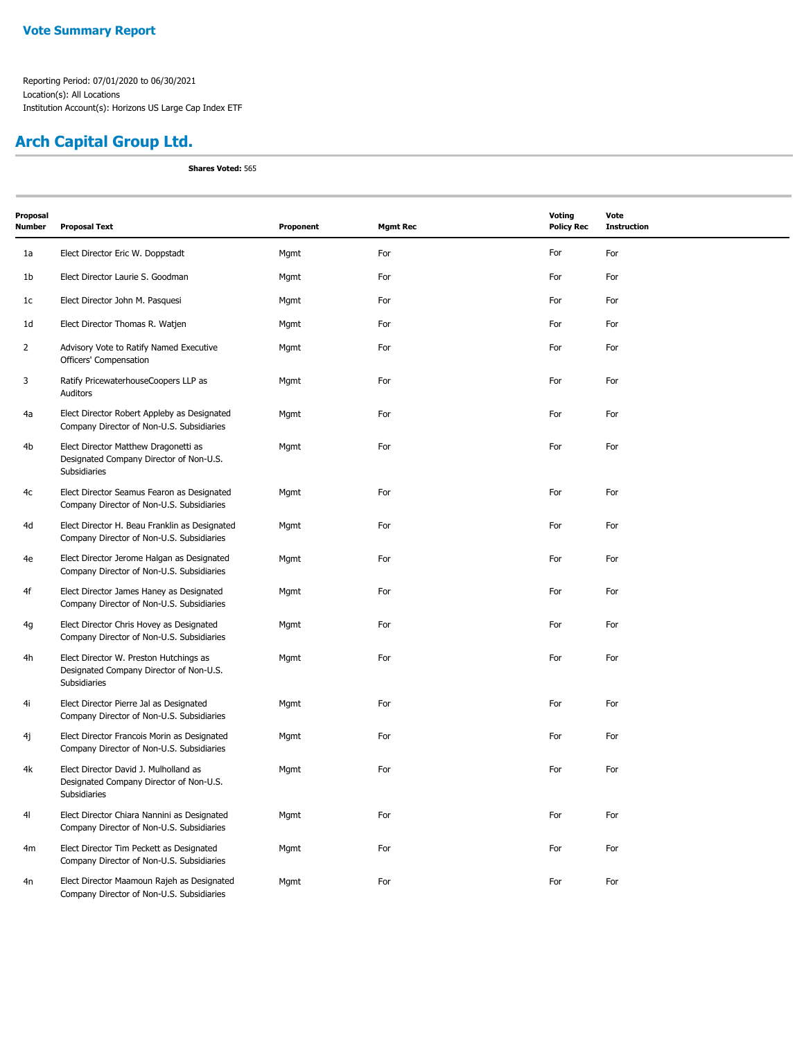## **Arch Capital Group Ltd.**

| Proposal<br>Number | <b>Proposal Text</b>                                                                              | Proponent | <b>Mgmt Rec</b> | <b>Voting</b><br><b>Policy Rec</b> | Vote<br><b>Instruction</b> |
|--------------------|---------------------------------------------------------------------------------------------------|-----------|-----------------|------------------------------------|----------------------------|
| 1a                 | Elect Director Eric W. Doppstadt                                                                  | Mgmt      | For             | For                                | For                        |
| 1b                 | Elect Director Laurie S. Goodman                                                                  | Mgmt      | For             | For                                | For                        |
| 1c                 | Elect Director John M. Pasquesi                                                                   | Mgmt      | For             | For                                | For                        |
| 1d                 | Elect Director Thomas R. Watjen                                                                   | Mgmt      | For             | For                                | For                        |
| 2                  | Advisory Vote to Ratify Named Executive<br>Officers' Compensation                                 | Mgmt      | For             | For                                | For                        |
| 3                  | Ratify PricewaterhouseCoopers LLP as<br>Auditors                                                  | Mgmt      | For             | For                                | For                        |
| 4a                 | Elect Director Robert Appleby as Designated<br>Company Director of Non-U.S. Subsidiaries          | Mgmt      | For             | For                                | For                        |
| 4b                 | Elect Director Matthew Dragonetti as<br>Designated Company Director of Non-U.S.<br>Subsidiaries   | Mgmt      | For             | For                                | For                        |
| 4c                 | Elect Director Seamus Fearon as Designated<br>Company Director of Non-U.S. Subsidiaries           | Mgmt      | For             | For                                | For                        |
| 4d                 | Elect Director H. Beau Franklin as Designated<br>Company Director of Non-U.S. Subsidiaries        | Mgmt      | For             | For                                | For                        |
| 4e                 | Elect Director Jerome Halgan as Designated<br>Company Director of Non-U.S. Subsidiaries           | Mgmt      | For             | For                                | For                        |
| 4f                 | Elect Director James Haney as Designated<br>Company Director of Non-U.S. Subsidiaries             | Mgmt      | For             | For                                | For                        |
| 4g                 | Elect Director Chris Hovey as Designated<br>Company Director of Non-U.S. Subsidiaries             | Mgmt      | For             | For                                | For                        |
| 4h                 | Elect Director W. Preston Hutchings as<br>Designated Company Director of Non-U.S.<br>Subsidiaries | Mgmt      | For             | For                                | For                        |
| 4i                 | Elect Director Pierre Jal as Designated<br>Company Director of Non-U.S. Subsidiaries              | Mgmt      | For             | For                                | For                        |
| 4j                 | Elect Director Francois Morin as Designated<br>Company Director of Non-U.S. Subsidiaries          | Mgmt      | For             | For                                | For                        |
| 4k                 | Elect Director David J. Mulholland as<br>Designated Company Director of Non-U.S.<br>Subsidiaries  | Mgmt      | For             | For                                | For                        |
| 4 <sub>l</sub>     | Elect Director Chiara Nannini as Designated<br>Company Director of Non-U.S. Subsidiaries          | Mgmt      | For             | For                                | For                        |
| 4m                 | Elect Director Tim Peckett as Designated<br>Company Director of Non-U.S. Subsidiaries             | Mgmt      | For             | For                                | For                        |
| 4n                 | Elect Director Maamoun Rajeh as Designated<br>Company Director of Non-U.S. Subsidiaries           | Mgmt      | For             | For                                | For                        |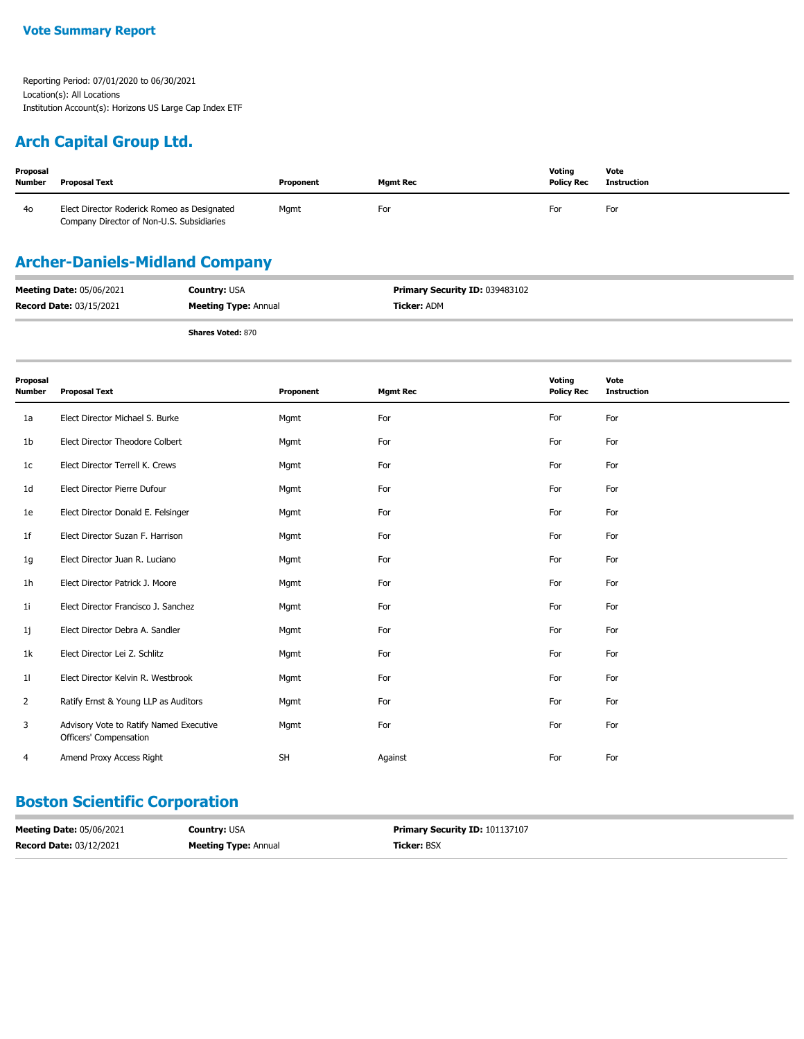### **Arch Capital Group Ltd.**

| Proposal<br><b>Number</b> | <b>Proposal Text</b>                                                                     | Proponent | <b>Mamt Rec</b> | Votina<br><b>Policy Rec</b> | Vote<br>Instruction |
|---------------------------|------------------------------------------------------------------------------------------|-----------|-----------------|-----------------------------|---------------------|
| 40                        | Elect Director Roderick Romeo as Designated<br>Company Director of Non-U.S. Subsidiaries | Mgmt      | For             | For                         | For                 |

## **Archer-Daniels-Midland Company**

| <b>Meeting Date: 05/06/2021</b> | <b>Country: USA</b>         | <b>Primary Security ID: 039483102</b> |
|---------------------------------|-----------------------------|---------------------------------------|
| <b>Record Date: 03/15/2021</b>  | <b>Meeting Type: Annual</b> | <b>Ticker: ADM</b>                    |
|                                 | <b>Shares Voted: 870</b>    |                                       |

| Proposal<br><b>Number</b> | <b>Proposal Text</b>                                              | Proponent | <b>Mgmt Rec</b> | Voting<br><b>Policy Rec</b> | Vote<br><b>Instruction</b> |
|---------------------------|-------------------------------------------------------------------|-----------|-----------------|-----------------------------|----------------------------|
| 1a                        | Elect Director Michael S. Burke                                   | Mgmt      | For             | For                         | For                        |
| 1b                        | Elect Director Theodore Colbert                                   | Mgmt      | For             | For                         | For                        |
| 1 <sub>c</sub>            | Elect Director Terrell K. Crews                                   | Mgmt      | For             | For                         | For                        |
| 1 <sub>d</sub>            | Elect Director Pierre Dufour                                      | Mgmt      | For             | For                         | For                        |
| 1e                        | Elect Director Donald E. Felsinger                                | Mgmt      | For             | For                         | For                        |
| 1f                        | Elect Director Suzan F. Harrison                                  | Mgmt      | For             | For                         | For                        |
| 1g                        | Elect Director Juan R. Luciano                                    | Mgmt      | For             | For                         | For                        |
| 1h                        | Elect Director Patrick J. Moore                                   | Mgmt      | For             | For                         | For                        |
| 1i                        | Elect Director Francisco J. Sanchez                               | Mgmt      | For             | For                         | For                        |
| 1j                        | Elect Director Debra A. Sandler                                   | Mgmt      | For             | For                         | For                        |
| 1k                        | Elect Director Lei Z. Schlitz                                     | Mgmt      | For             | For                         | For                        |
| 11                        | Elect Director Kelvin R. Westbrook                                | Mgmt      | For             | For                         | For                        |
| $\overline{2}$            | Ratify Ernst & Young LLP as Auditors                              | Mgmt      | For             | For                         | For                        |
| 3                         | Advisory Vote to Ratify Named Executive<br>Officers' Compensation | Mgmt      | For             | For                         | For                        |
| 4                         | Amend Proxy Access Right                                          | <b>SH</b> | Against         | For                         | For                        |

### **Boston Scientific Corporation**

| <b>Meeting Date: 05/06/2021</b> | <b>Country: USA</b>         | <b>Primary Security ID: 101137107</b> |
|---------------------------------|-----------------------------|---------------------------------------|
| <b>Record Date: 03/12/2021</b>  | <b>Meeting Type: Annual</b> | <b>Ticker: BSX</b>                    |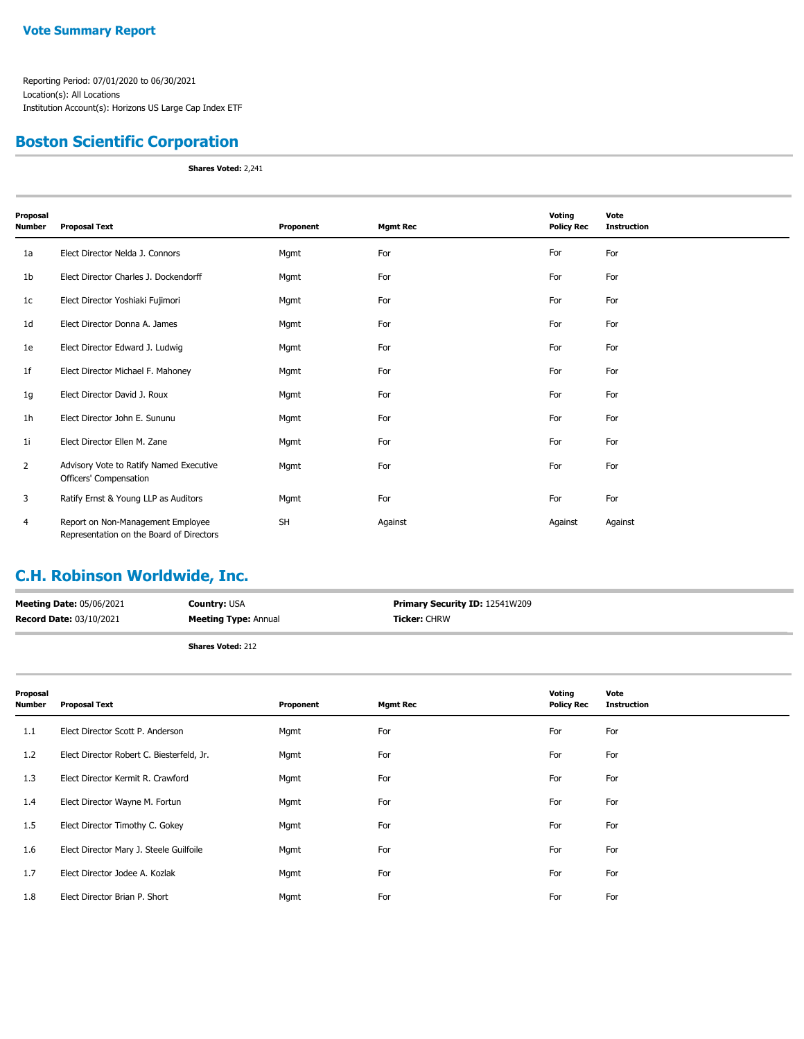### **Boston Scientific Corporation**

**Shares Voted:** 2,241

| Proposal<br>Number | <b>Proposal Text</b>                                                          | Proponent | <b>Mgmt Rec</b> | Voting<br><b>Policy Rec</b> | Vote<br><b>Instruction</b> |
|--------------------|-------------------------------------------------------------------------------|-----------|-----------------|-----------------------------|----------------------------|
| 1a                 | Elect Director Nelda J. Connors                                               | Mgmt      | For             | For                         | For                        |
| 1b                 | Elect Director Charles J. Dockendorff                                         | Mgmt      | For             | For                         | For                        |
| 1c                 | Elect Director Yoshiaki Fujimori                                              | Mgmt      | For             | For                         | For                        |
| 1d                 | Elect Director Donna A. James                                                 | Mgmt      | For             | For                         | For                        |
| 1e                 | Elect Director Edward J. Ludwig                                               | Mgmt      | For             | For                         | For                        |
| 1f                 | Elect Director Michael F. Mahoney                                             | Mgmt      | For             | For                         | For                        |
| 1g                 | Elect Director David J. Roux                                                  | Mgmt      | For             | For                         | For                        |
| 1h                 | Elect Director John E. Sununu                                                 | Mgmt      | For             | For                         | For                        |
| 1i                 | Elect Director Ellen M. Zane                                                  | Mgmt      | For             | For                         | For                        |
| 2                  | Advisory Vote to Ratify Named Executive<br>Officers' Compensation             | Mgmt      | For             | For                         | For                        |
| 3                  | Ratify Ernst & Young LLP as Auditors                                          | Mgmt      | For             | For                         | For                        |
| 4                  | Report on Non-Management Employee<br>Representation on the Board of Directors | <b>SH</b> | Against         | Against                     | Against                    |

### **C.H. Robinson Worldwide, Inc.**

| <b>Meeting Date: 05/06/2021</b> | <b>Country: USA</b>         | <b>Primary Security ID: 12541W209</b> |
|---------------------------------|-----------------------------|---------------------------------------|
| Record Date: 03/10/2021         | <b>Meeting Type: Annual</b> | <b>Ticker: CHRW</b>                   |
|                                 |                             |                                       |

| Proposal<br>Number | <b>Proposal Text</b>                      | Proponent | <b>Mgmt Rec</b> | Voting<br><b>Policy Rec</b> | Vote<br><b>Instruction</b> |
|--------------------|-------------------------------------------|-----------|-----------------|-----------------------------|----------------------------|
| 1.1                | Elect Director Scott P. Anderson          | Mgmt      | For             | For                         | For                        |
| 1.2                | Elect Director Robert C. Biesterfeld, Jr. | Mgmt      | For             | For                         | For                        |
| 1.3                | Elect Director Kermit R. Crawford         | Mgmt      | For             | For                         | For                        |
| 1.4                | Elect Director Wayne M. Fortun            | Mgmt      | For             | For                         | For                        |
| 1.5                | Elect Director Timothy C. Gokey           | Mgmt      | For             | For                         | For                        |
| 1.6                | Elect Director Mary J. Steele Guilfoile   | Mgmt      | For             | For                         | For                        |
| 1.7                | Elect Director Jodee A. Kozlak            | Mgmt      | For             | For                         | For                        |
| 1.8                | Elect Director Brian P. Short             | Mgmt      | For             | For                         | For                        |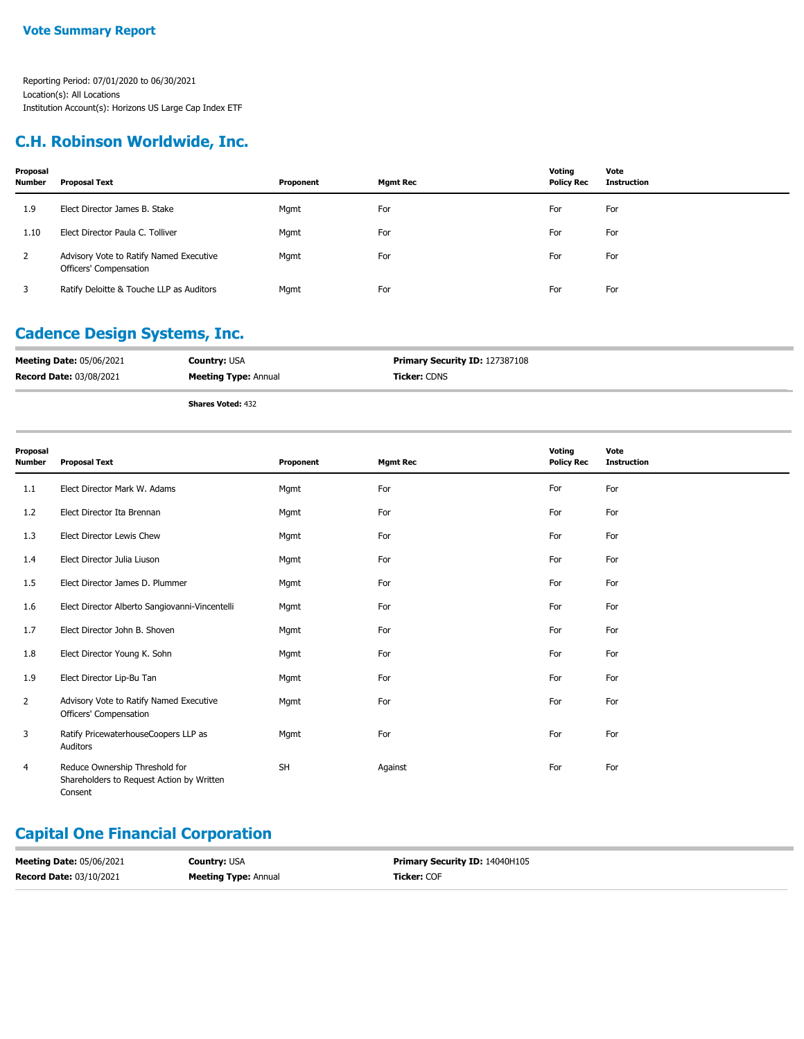### **C.H. Robinson Worldwide, Inc.**

| Proposal<br><b>Number</b> | Proposal Text                                                     | Proponent | Mgmt Rec | Voting<br><b>Policy Rec</b> | Vote<br>Instruction |
|---------------------------|-------------------------------------------------------------------|-----------|----------|-----------------------------|---------------------|
| 1.9                       | Elect Director James B. Stake                                     | Mgmt      | For      | For                         | For                 |
| 1.10                      | Elect Director Paula C. Tolliver                                  | Mgmt      | For      | For                         | For                 |
| 2                         | Advisory Vote to Ratify Named Executive<br>Officers' Compensation | Mgmt      | For      | For                         | For                 |
|                           | Ratify Deloitte & Touche LLP as Auditors                          | Mgmt      | For      | For                         | For                 |

## **Cadence Design Systems, Inc.**

| <b>Meeting Date: 05/06/2021</b> | <b>Country: USA</b>         | Primary Security ID: 127387108 |
|---------------------------------|-----------------------------|--------------------------------|
| <b>Record Date: 03/08/2021</b>  | <b>Meeting Type: Annual</b> | <b>Ticker:</b> CDNS            |
|                                 | <b>Shares Voted: 432</b>    |                                |

**Proposal Number Proposal Text Proponent Mgmt Rec Voting Policy Rec Vote Instruction** 1.1 Elect Director Mark W. Adams Mgmt For For For 1.2 Elect Director Ita Brennan **For For For For For For For For** For For For For For For 1.3 Elect Director Lewis Chew **For** Mgmt **For For For For For** For For For For 1.4 Elect Director Julia Liuson **For** Mgmt **For For For For For** For For For For 1.5 Elect Director James D. Plummer Mgmt Mgmt For For For For For For For For 1.6 Elect Director Alberto Sangiovanni-Vincentelli Mgmt For For For For For For For For 1.7 Elect Director John B. Shoven **For Mgmt** For For For For For For For For For 1.8 Elect Director Young K. Sohn **Mgmt** Mgmt For For For For For For For For 1.9 Elect Director Lip-Bu Tan **For** Mgmt **For For For For For** For For For For Advisory Vote to Ratify Named Executive Mgmt For For For Officers' Compensation  $\overline{2}$ Ratify PricewaterhouseCoopers LLP as Mgmt For For For Auditors 3 Reduce Ownership Threshold for SH Against For For Shareholders to Request Action by Written Consent 4

### **Capital One Financial Corporation**

| <b>Meeting Date: 05/06/2021</b> | <b>Country:</b> USA         | Primary Security ID: 14040H105 |
|---------------------------------|-----------------------------|--------------------------------|
| <b>Record Date: 03/10/2021</b>  | <b>Meeting Type: Annual</b> | <b>Ticker: COF</b>             |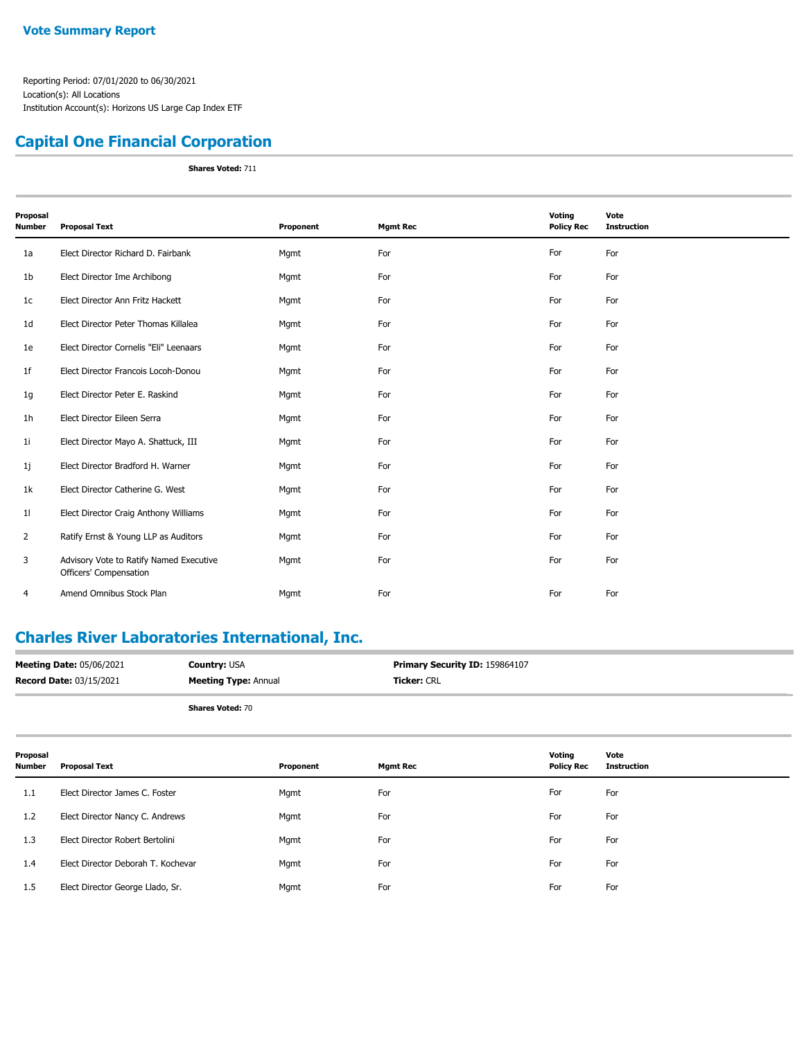### **Capital One Financial Corporation**

**Shares Voted:** 711

| Proposal<br><b>Number</b> | <b>Proposal Text</b>                                              | Proponent | <b>Mgmt Rec</b> | Voting<br><b>Policy Rec</b> | Vote<br><b>Instruction</b> |
|---------------------------|-------------------------------------------------------------------|-----------|-----------------|-----------------------------|----------------------------|
|                           |                                                                   |           |                 |                             |                            |
| 1a                        | Elect Director Richard D. Fairbank                                | Mgmt      | For             | For                         | For                        |
| 1 <sub>b</sub>            | Elect Director Ime Archibong                                      | Mgmt      | For             | For                         | For                        |
| 1c                        | Elect Director Ann Fritz Hackett                                  | Mgmt      | For             | For                         | For                        |
| 1 <sub>d</sub>            | Elect Director Peter Thomas Killalea                              | Mgmt      | For             | For                         | For                        |
| 1e                        | Elect Director Cornelis "Eli" Leenaars                            | Mgmt      | For             | For                         | For                        |
| 1 <sub>f</sub>            | Elect Director Francois Locoh-Donou                               | Mgmt      | For             | For                         | For                        |
| 1g                        | Elect Director Peter E. Raskind                                   | Mgmt      | For             | For                         | For                        |
| 1 <sub>h</sub>            | Elect Director Eileen Serra                                       | Mgmt      | For             | For                         | For                        |
| 11                        | Elect Director Mayo A. Shattuck, III                              | Mgmt      | For             | For                         | For                        |
| 1j                        | Elect Director Bradford H. Warner                                 | Mgmt      | For             | For                         | For                        |
| 1k                        | Elect Director Catherine G. West                                  | Mgmt      | For             | For                         | For                        |
| 11                        | Elect Director Craig Anthony Williams                             | Mgmt      | For             | For                         | For                        |
| $\overline{2}$            | Ratify Ernst & Young LLP as Auditors                              | Mgmt      | For             | For                         | For                        |
| 3                         | Advisory Vote to Ratify Named Executive<br>Officers' Compensation | Mgmt      | For             | For                         | For                        |
| 4                         | Amend Omnibus Stock Plan                                          | Mgmt      | For             | For                         | For                        |

### **Charles River Laboratories International, Inc.**

| <b>Meeting Date: 05/06/2021</b> | <b>Country:</b> USA         | <b>Primary Security ID: 159864107</b> |
|---------------------------------|-----------------------------|---------------------------------------|
| <b>Record Date: 03/15/2021</b>  | <b>Meeting Type: Annual</b> | <b>Ticker: CRL</b>                    |
|                                 |                             |                                       |

| Proposal<br>Number | <b>Proposal Text</b>               | Proponent | <b>Mgmt Rec</b> | Voting<br><b>Policy Rec</b> | Vote<br><b>Instruction</b> |
|--------------------|------------------------------------|-----------|-----------------|-----------------------------|----------------------------|
| 1.1                | Elect Director James C. Foster     | Mgmt      | For             | For                         | For                        |
| 1.2                | Elect Director Nancy C. Andrews    | Mgmt      | For             | For                         | For                        |
| 1.3                | Elect Director Robert Bertolini    | Mgmt      | For             | For                         | For                        |
| 1.4                | Elect Director Deborah T. Kochevar | Mgmt      | For             | For                         | For                        |
| 1.5                | Elect Director George Llado, Sr.   | Mgmt      | For             | For                         | For                        |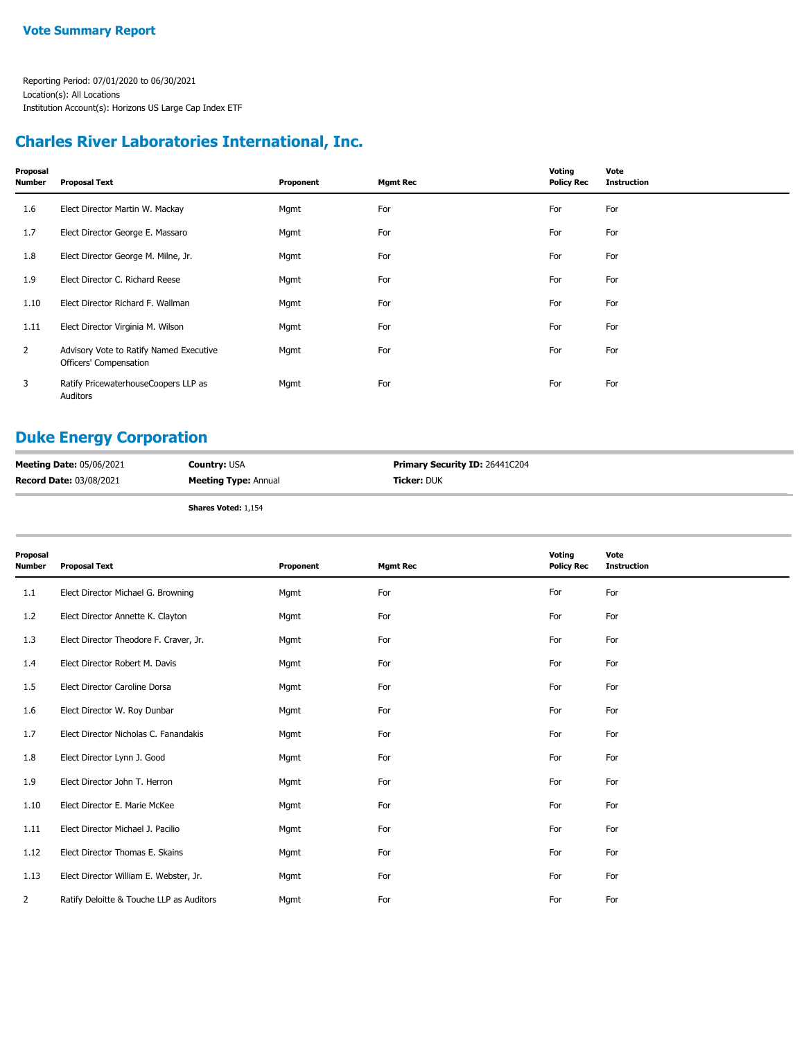### **Charles River Laboratories International, Inc.**

| Proposal<br>Number | <b>Proposal Text</b>                                              | Proponent | <b>Mgmt Rec</b> | Voting<br><b>Policy Rec</b> | Vote<br><b>Instruction</b> |
|--------------------|-------------------------------------------------------------------|-----------|-----------------|-----------------------------|----------------------------|
| 1.6                | Elect Director Martin W. Mackay                                   | Mgmt      | For             | For                         | For                        |
| 1.7                | Elect Director George E. Massaro                                  | Mgmt      | For             | For                         | For                        |
| 1.8                | Elect Director George M. Milne, Jr.                               | Mgmt      | For             | For                         | For                        |
| 1.9                | Elect Director C. Richard Reese                                   | Mgmt      | For             | For                         | For                        |
| 1.10               | Elect Director Richard F. Wallman                                 | Mgmt      | For             | For                         | For                        |
| 1.11               | Elect Director Virginia M. Wilson                                 | Mgmt      | For             | For                         | For                        |
| $\overline{2}$     | Advisory Vote to Ratify Named Executive<br>Officers' Compensation | Mgmt      | For             | For                         | For                        |
| 3                  | Ratify PricewaterhouseCoopers LLP as<br>Auditors                  | Mgmt      | For             | For                         | For                        |

## **Duke Energy Corporation**

| <b>Meeting Date: 05/06/2021</b> | <b>Country: USA</b>         | <b>Primary Security ID: 26441C204</b> |
|---------------------------------|-----------------------------|---------------------------------------|
| Record Date: 03/08/2021         | <b>Meeting Type: Annual</b> | <b>Ticker:</b> DUK                    |
|                                 | <b>Shares Voted: 1,154</b>  |                                       |

| Proposal<br><b>Number</b> | <b>Proposal Text</b>                     | Proponent | <b>Mgmt Rec</b> | Voting<br><b>Policy Rec</b> | Vote<br><b>Instruction</b> |
|---------------------------|------------------------------------------|-----------|-----------------|-----------------------------|----------------------------|
| 1.1                       | Elect Director Michael G. Browning       | Mgmt      | For             | For                         | For                        |
| 1.2                       | Elect Director Annette K. Clayton        | Mgmt      | For             | For                         | For                        |
| 1.3                       | Elect Director Theodore F. Craver, Jr.   | Mgmt      | For             | For                         | For                        |
| 1.4                       | Elect Director Robert M. Davis           | Mgmt      | For             | For                         | For                        |
| 1.5                       | Elect Director Caroline Dorsa            | Mgmt      | For             | For                         | For                        |
| 1.6                       | Elect Director W. Roy Dunbar             | Mgmt      | For             | For                         | For                        |
| 1.7                       | Elect Director Nicholas C. Fanandakis    | Mgmt      | For             | For                         | For                        |
| 1.8                       | Elect Director Lynn J. Good              | Mgmt      | For             | For                         | For                        |
| 1.9                       | Elect Director John T. Herron            | Mgmt      | For             | For                         | For                        |
| 1.10                      | Elect Director E. Marie McKee            | Mgmt      | For             | For                         | For                        |
| 1.11                      | Elect Director Michael J. Pacilio        | Mgmt      | For             | For                         | For                        |
| 1.12                      | Elect Director Thomas E. Skains          | Mgmt      | For             | For                         | For                        |
| 1.13                      | Elect Director William E. Webster, Jr.   | Mgmt      | For             | For                         | For                        |
| 2                         | Ratify Deloitte & Touche LLP as Auditors | Mgmt      | For             | For                         | For                        |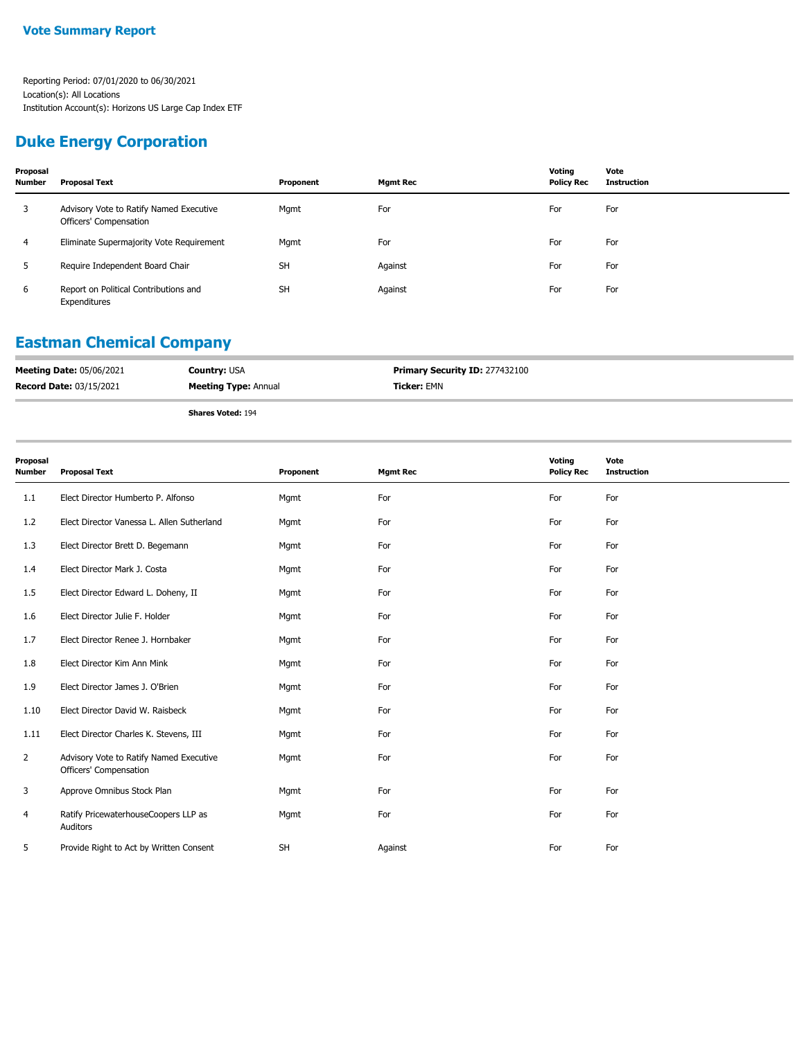### **Duke Energy Corporation**

| Proposal<br><b>Number</b> | Proposal Text                                                     | Proponent | <b>Mgmt Rec</b> | Voting<br><b>Policy Rec</b> | Vote<br><b>Instruction</b> |
|---------------------------|-------------------------------------------------------------------|-----------|-----------------|-----------------------------|----------------------------|
| 3                         | Advisory Vote to Ratify Named Executive<br>Officers' Compensation | Mgmt      | For             | For                         | For                        |
| 4                         | Eliminate Supermajority Vote Requirement                          | Mgmt      | For             | For                         | For                        |
| 5                         | Require Independent Board Chair                                   | <b>SH</b> | Against         | For                         | For                        |
| 6                         | Report on Political Contributions and<br>Expenditures             | <b>SH</b> | Against         | For                         | For                        |

# **Eastman Chemical Company**

| <b>Meeting Date: 05/06/2021</b> | <b>Country: USA</b>         | <b>Primary Security ID: 277432100</b> |
|---------------------------------|-----------------------------|---------------------------------------|
| <b>Record Date: 03/15/2021</b>  | <b>Meeting Type: Annual</b> | <b>Ticker:</b> EMN                    |
|                                 |                             |                                       |

| Proposal<br>Number | <b>Proposal Text</b>                                              | Proponent | <b>Mgmt Rec</b> | Voting<br><b>Policy Rec</b> | Vote<br><b>Instruction</b> |
|--------------------|-------------------------------------------------------------------|-----------|-----------------|-----------------------------|----------------------------|
| 1.1                | Elect Director Humberto P. Alfonso                                | Mgmt      | For             | For                         | For                        |
| 1.2                | Elect Director Vanessa L. Allen Sutherland                        | Mgmt      | For             | For                         | For                        |
| 1.3                | Elect Director Brett D. Begemann                                  | Mgmt      | For             | For                         | For                        |
| 1.4                | Elect Director Mark J. Costa                                      | Mgmt      | For             | For                         | For                        |
| 1.5                | Elect Director Edward L. Doheny, II                               | Mgmt      | For             | For                         | For                        |
| 1.6                | Elect Director Julie F. Holder                                    | Mgmt      | For             | For                         | For                        |
| 1.7                | Elect Director Renee J. Hornbaker                                 | Mgmt      | For             | For                         | For                        |
| 1.8                | Elect Director Kim Ann Mink                                       | Mgmt      | For             | For                         | For                        |
| 1.9                | Elect Director James J. O'Brien                                   | Mgmt      | For             | For                         | For                        |
| 1.10               | Elect Director David W. Raisbeck                                  | Mgmt      | For             | For                         | For                        |
| 1.11               | Elect Director Charles K. Stevens, III                            | Mgmt      | For             | For                         | For                        |
| $\overline{2}$     | Advisory Vote to Ratify Named Executive<br>Officers' Compensation | Mgmt      | For             | For                         | For                        |
| 3                  | Approve Omnibus Stock Plan                                        | Mgmt      | For             | For                         | For                        |
| 4                  | Ratify PricewaterhouseCoopers LLP as<br>Auditors                  | Mgmt      | For             | For                         | For                        |
| 5                  | Provide Right to Act by Written Consent                           | <b>SH</b> | Against         | For                         | For                        |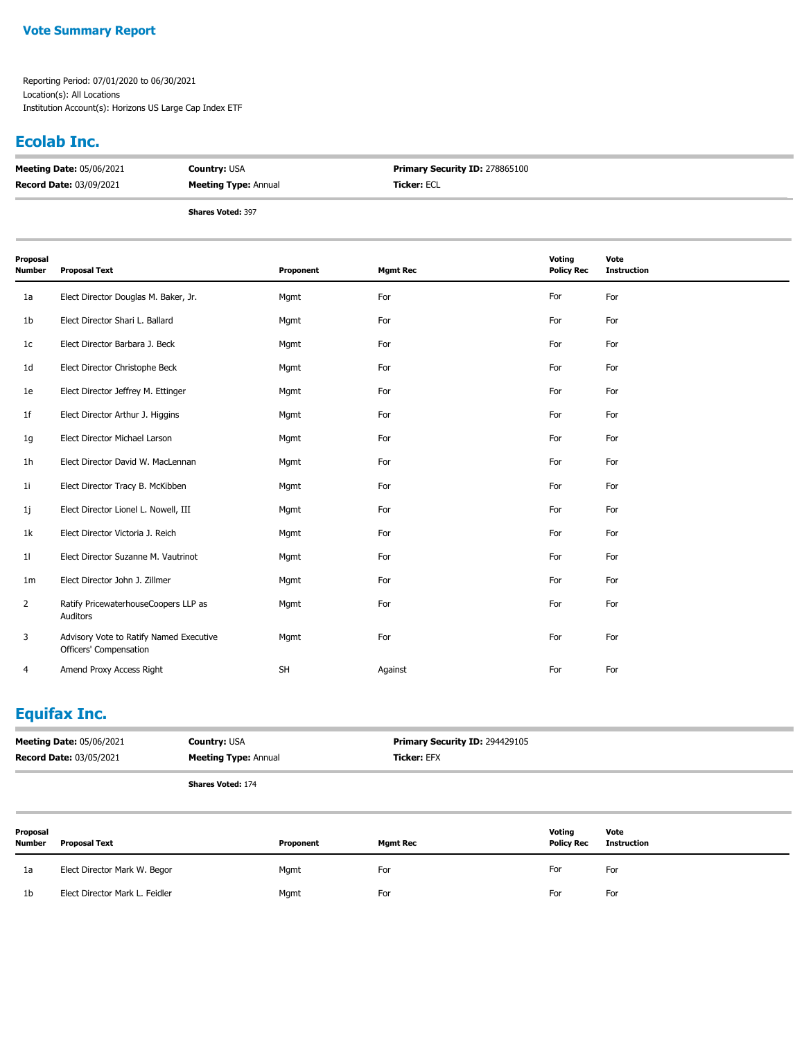#### **Vote Summary Report**

Reporting Period: 07/01/2020 to 06/30/2021 Location(s): All Locations Institution Account(s): Horizons US Large Cap Index ETF

#### **Ecolab Inc.**

| <b>Meeting Date: 05/06/2021</b> | <b>Country: USA</b>         | <b>Primary Security ID: 278865100</b> |
|---------------------------------|-----------------------------|---------------------------------------|
| <b>Record Date: 03/09/2021</b>  | <b>Meeting Type: Annual</b> | <b>Ticker: ECL</b>                    |
|                                 |                             |                                       |

**Shares Voted:** 397

| Proposal<br>Number | <b>Proposal Text</b>                                              | Proponent | <b>Mgmt Rec</b> | Voting<br><b>Policy Rec</b> | Vote<br><b>Instruction</b> |
|--------------------|-------------------------------------------------------------------|-----------|-----------------|-----------------------------|----------------------------|
| 1a                 | Elect Director Douglas M. Baker, Jr.                              | Mgmt      | For             | For                         | For                        |
| 1b                 | Elect Director Shari L. Ballard                                   | Mgmt      | For             | For                         | For                        |
| 1c                 | Elect Director Barbara J. Beck                                    | Mgmt      | For             | For                         | For                        |
| 1d                 | Elect Director Christophe Beck                                    | Mgmt      | For             | For                         | For                        |
| 1e                 | Elect Director Jeffrey M. Ettinger                                | Mgmt      | For             | For                         | For                        |
| 1f                 | Elect Director Arthur J. Higgins                                  | Mgmt      | For             | For                         | For                        |
| 1g                 | Elect Director Michael Larson                                     | Mgmt      | For             | For                         | For                        |
| 1h                 | Elect Director David W. MacLennan                                 | Mgmt      | For             | For                         | For                        |
| 11                 | Elect Director Tracy B. McKibben                                  | Mgmt      | For             | For                         | For                        |
| 1j                 | Elect Director Lionel L. Nowell, III                              | Mgmt      | For             | For                         | For                        |
| 1k                 | Elect Director Victoria J. Reich                                  | Mgmt      | For             | For                         | For                        |
| 11                 | Elect Director Suzanne M. Vautrinot                               | Mgmt      | For             | For                         | For                        |
| 1m                 | Elect Director John J. Zillmer                                    | Mgmt      | For             | For                         | For                        |
| $\overline{2}$     | Ratify PricewaterhouseCoopers LLP as<br>Auditors                  | Mgmt      | For             | For                         | For                        |
| 3                  | Advisory Vote to Ratify Named Executive<br>Officers' Compensation | Mgmt      | For             | For                         | For                        |
| 4                  | Amend Proxy Access Right                                          | <b>SH</b> | Against         | For                         | For                        |

## **Equifax Inc.**

| <b>Meeting Date: 05/06/2021</b> | <b>Country: USA</b>         | <b>Primary Security ID: 294429105</b> |
|---------------------------------|-----------------------------|---------------------------------------|
| <b>Record Date: 03/05/2021</b>  | <b>Meeting Type: Annual</b> | <b>Ticker:</b> EFX                    |

| Proposal<br><b>Number</b> | <b>Proposal Text</b>           | Proponent | <b>Mgmt Rec</b> | Voting<br><b>Policy Rec</b> | Vote<br><b>Instruction</b> |
|---------------------------|--------------------------------|-----------|-----------------|-----------------------------|----------------------------|
| 1a                        | Elect Director Mark W. Begor   | Mgmt      | For             | For                         | For                        |
| 1 <sub>b</sub>            | Elect Director Mark L. Feidler | Mgmt      | For             | For                         | For                        |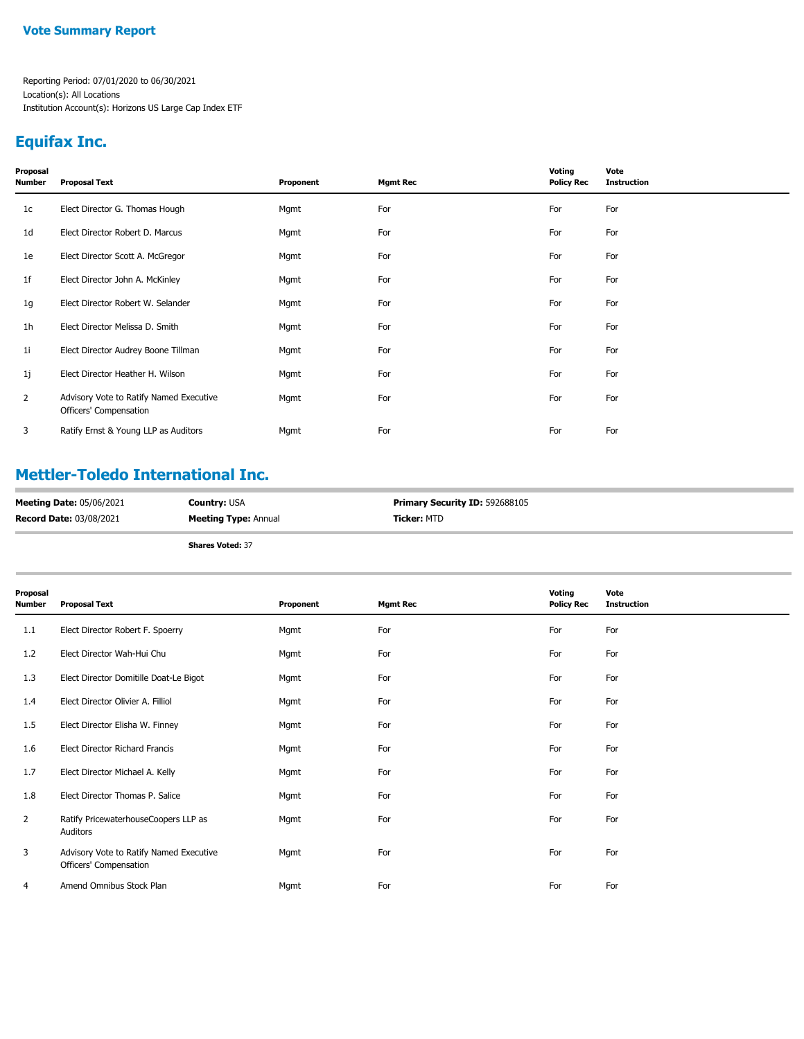## **Equifax Inc.**

| Proposal<br>Number | <b>Proposal Text</b>                                              | Proponent | <b>Mgmt Rec</b> | Voting<br><b>Policy Rec</b> | Vote<br><b>Instruction</b> |
|--------------------|-------------------------------------------------------------------|-----------|-----------------|-----------------------------|----------------------------|
| 1 <sub>c</sub>     | Elect Director G. Thomas Hough                                    | Mgmt      | For             | For                         | For                        |
| 1d                 | Elect Director Robert D. Marcus                                   | Mgmt      | For             | For                         | For                        |
| 1e                 | Elect Director Scott A. McGregor                                  | Mgmt      | For             | For                         | For                        |
| 1f                 | Elect Director John A. McKinley                                   | Mgmt      | For             | For                         | For                        |
| 1g                 | Elect Director Robert W. Selander                                 | Mgmt      | For             | For                         | For                        |
| 1h                 | Elect Director Melissa D. Smith                                   | Mgmt      | For             | For                         | For                        |
| 11                 | Elect Director Audrey Boone Tillman                               | Mgmt      | For             | For                         | For                        |
| 1j                 | Elect Director Heather H. Wilson                                  | Mgmt      | For             | For                         | For                        |
| $\overline{2}$     | Advisory Vote to Ratify Named Executive<br>Officers' Compensation | Mgmt      | For             | For                         | For                        |
| 3                  | Ratify Ernst & Young LLP as Auditors                              | Mgmt      | For             | For                         | For                        |
|                    |                                                                   |           |                 |                             |                            |

## **Mettler-Toledo International Inc.**

| <b>Meeting Date: 05/06/2021</b> | <b>Country: USA</b>         | Primary Security ID: 592688105 |
|---------------------------------|-----------------------------|--------------------------------|
| <b>Record Date: 03/08/2021</b>  | <b>Meeting Type: Annual</b> | <b>Ticker:</b> MTD             |
|                                 |                             |                                |

| Proposal<br>Number | <b>Proposal Text</b>                                              | Proponent | <b>Mgmt Rec</b> | Voting<br><b>Policy Rec</b> | Vote<br><b>Instruction</b> |
|--------------------|-------------------------------------------------------------------|-----------|-----------------|-----------------------------|----------------------------|
| 1.1                | Elect Director Robert F. Spoerry                                  | Mgmt      | For             | For                         | For                        |
| 1.2                | Elect Director Wah-Hui Chu                                        | Mgmt      | For             | For                         | For                        |
| 1.3                | Elect Director Domitille Doat-Le Bigot                            | Mgmt      | For             | For                         | For                        |
| 1.4                | Elect Director Olivier A. Filliol                                 | Mgmt      | For             | For                         | For                        |
| 1.5                | Elect Director Elisha W. Finney                                   | Mgmt      | For             | For                         | For                        |
| 1.6                | Elect Director Richard Francis                                    | Mgmt      | For             | For                         | For                        |
| 1.7                | Elect Director Michael A. Kelly                                   | Mgmt      | For             | For                         | For                        |
| 1.8                | Elect Director Thomas P. Salice                                   | Mgmt      | For             | For                         | For                        |
| $\overline{2}$     | Ratify PricewaterhouseCoopers LLP as<br>Auditors                  | Mgmt      | For             | For                         | For                        |
| 3                  | Advisory Vote to Ratify Named Executive<br>Officers' Compensation | Mgmt      | For             | For                         | For                        |
| 4                  | Amend Omnibus Stock Plan                                          | Mgmt      | For             | For                         | For                        |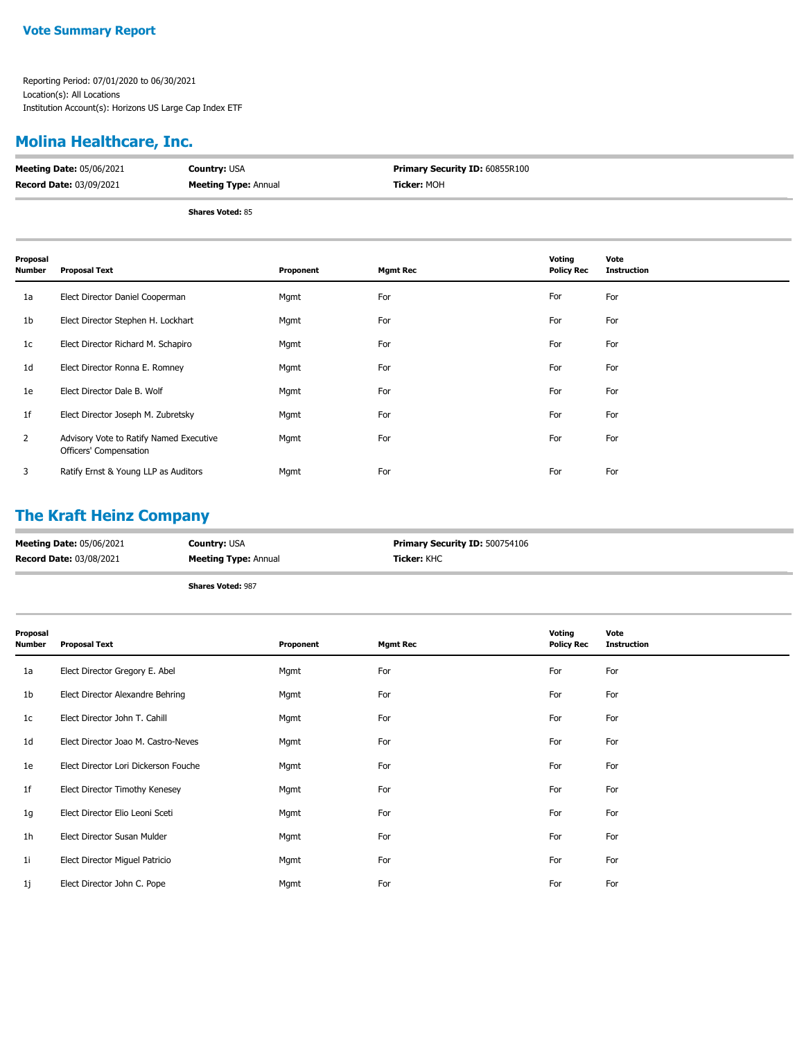## **Molina Healthcare, Inc.**

| <b>Meeting Date: 05/06/2021</b> | <b>Country: USA</b>         | Primary Security ID: 60855R100 |
|---------------------------------|-----------------------------|--------------------------------|
| Record Date: 03/09/2021         | <b>Meeting Type: Annual</b> | <b>Ticker:</b> MOH             |
|                                 |                             |                                |

**Shares Voted:** 85

| Proposal<br><b>Number</b> | <b>Proposal Text</b>                                              | Proponent | <b>Mgmt Rec</b> | Voting<br><b>Policy Rec</b> | Vote<br><b>Instruction</b> |
|---------------------------|-------------------------------------------------------------------|-----------|-----------------|-----------------------------|----------------------------|
| 1a                        | Elect Director Daniel Cooperman                                   | Mgmt      | For             | For                         | For                        |
| 1b                        | Elect Director Stephen H. Lockhart                                | Mgmt      | For             | For                         | For                        |
| 1 <sub>c</sub>            | Elect Director Richard M. Schapiro                                | Mgmt      | For             | For                         | For                        |
| 1 <sub>d</sub>            | Elect Director Ronna E. Romney                                    | Mgmt      | For             | For                         | For                        |
| 1e                        | Elect Director Dale B. Wolf                                       | Mgmt      | For             | For                         | For                        |
| 1 <sup>f</sup>            | Elect Director Joseph M. Zubretsky                                | Mgmt      | For             | For                         | For                        |
| $\overline{2}$            | Advisory Vote to Ratify Named Executive<br>Officers' Compensation | Mgmt      | For             | For                         | For                        |
| 3                         | Ratify Ernst & Young LLP as Auditors                              | Mgmt      | For             | For                         | For                        |

## **The Kraft Heinz Company**

| <b>Meeting Date: 05/06/2021</b> | <b>Country: USA</b>         | <b>Primary Security ID: 500754106</b> |
|---------------------------------|-----------------------------|---------------------------------------|
| <b>Record Date: 03/08/2021</b>  | <b>Meeting Type: Annual</b> | <b>Ticker:</b> KHC                    |
|                                 | <b>Shares Voted: 987</b>    |                                       |

| Proposal<br><b>Number</b> | <b>Proposal Text</b>                 | Proponent | <b>Mgmt Rec</b> | Voting<br><b>Policy Rec</b> | Vote<br><b>Instruction</b> |
|---------------------------|--------------------------------------|-----------|-----------------|-----------------------------|----------------------------|
| 1a                        | Elect Director Gregory E. Abel       | Mgmt      | For             | For                         | For                        |
| 1b                        | Elect Director Alexandre Behring     | Mgmt      | For             | For                         | For                        |
| 1c                        | Elect Director John T. Cahill        | Mgmt      | For             | For                         | For                        |
| 1 <sub>d</sub>            | Elect Director Joao M. Castro-Neves  | Mgmt      | For             | For                         | For                        |
| 1e                        | Elect Director Lori Dickerson Fouche | Mgmt      | For             | For                         | For                        |
| 1f                        | Elect Director Timothy Kenesey       | Mgmt      | For             | For                         | For                        |
| 1g                        | Elect Director Elio Leoni Sceti      | Mgmt      | For             | For                         | For                        |
| 1 <sub>h</sub>            | Elect Director Susan Mulder          | Mgmt      | For             | For                         | For                        |
| 1i                        | Elect Director Miguel Patricio       | Mgmt      | For             | For                         | For                        |
| 1j                        | Elect Director John C. Pope          | Mgmt      | For             | For                         | For                        |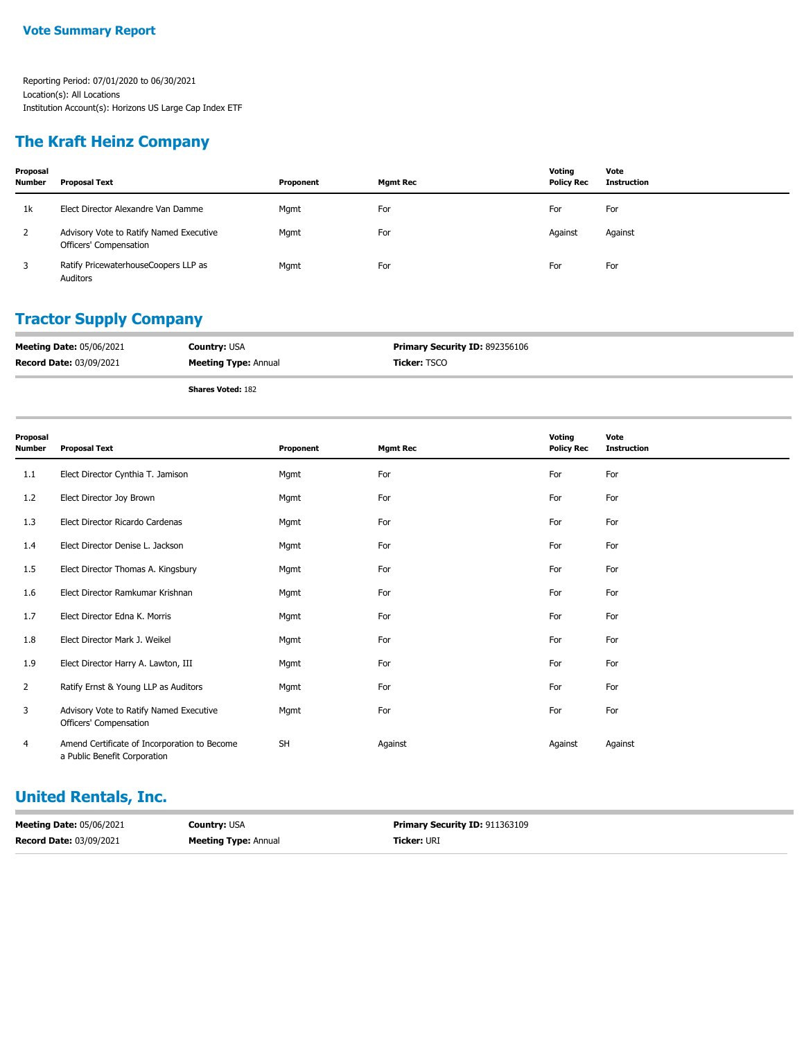#### **The Kraft Heinz Company**

| Proposal<br><b>Number</b> | <b>Proposal Text</b>                                              | Proponent | <b>Mgmt Rec</b> | Votina<br><b>Policy Rec</b> | Vote<br><b>Instruction</b> |
|---------------------------|-------------------------------------------------------------------|-----------|-----------------|-----------------------------|----------------------------|
| 1k                        | Elect Director Alexandre Van Damme                                | Mgmt      | For             | For                         | For                        |
| 2                         | Advisory Vote to Ratify Named Executive<br>Officers' Compensation | Mgmt      | For             | Against                     | Against                    |
|                           | Ratify PricewaterhouseCoopers LLP as<br>Auditors                  | Mgmt      | For             | For                         | For                        |

#### **Tractor Supply Company**

| <b>Meeting Date: 05/06/2021</b> | <b>Country: USA</b>         | <b>Primary Security ID: 892356106</b> |
|---------------------------------|-----------------------------|---------------------------------------|
| <b>Record Date: 03/09/2021</b>  | <b>Meeting Type: Annual</b> | Ticker: TSCO                          |

**Shares Voted:** 182

| Proposal<br><b>Number</b> | <b>Proposal Text</b>                                                         | Proponent | <b>Mgmt Rec</b> | Voting<br><b>Policy Rec</b> | Vote<br><b>Instruction</b> |
|---------------------------|------------------------------------------------------------------------------|-----------|-----------------|-----------------------------|----------------------------|
| 1.1                       | Elect Director Cynthia T. Jamison                                            | Mgmt      | For             | For                         | For                        |
| 1.2                       | Elect Director Joy Brown                                                     | Mgmt      | For             | For                         | For                        |
| 1.3                       | Elect Director Ricardo Cardenas                                              | Mgmt      | For             | For                         | For                        |
| 1.4                       | Elect Director Denise L. Jackson                                             | Mgmt      | For             | For                         | For                        |
| 1.5                       | Elect Director Thomas A. Kingsbury                                           | Mgmt      | For             | For                         | For                        |
| 1.6                       | Elect Director Ramkumar Krishnan                                             | Mgmt      | For             | For                         | For                        |
| 1.7                       | Elect Director Edna K. Morris                                                | Mgmt      | For             | For                         | For                        |
| 1.8                       | Elect Director Mark J. Weikel                                                | Mgmt      | For             | For                         | For                        |
| 1.9                       | Elect Director Harry A. Lawton, III                                          | Mgmt      | For             | For                         | For                        |
| $\overline{2}$            | Ratify Ernst & Young LLP as Auditors                                         | Mgmt      | For             | For                         | For                        |
| 3                         | Advisory Vote to Ratify Named Executive<br>Officers' Compensation            | Mgmt      | For             | For                         | For                        |
| 4                         | Amend Certificate of Incorporation to Become<br>a Public Benefit Corporation | <b>SH</b> | Against         | Against                     | Against                    |

#### **United Rentals, Inc.**

| <b>Meeting Date: 05/06/2021</b> | <b>Country: USA</b>         | <b>Primary Security ID: 911363109</b> |
|---------------------------------|-----------------------------|---------------------------------------|
| <b>Record Date: 03/09/2021</b>  | <b>Meeting Type: Annual</b> | <b>Ticker: URI</b>                    |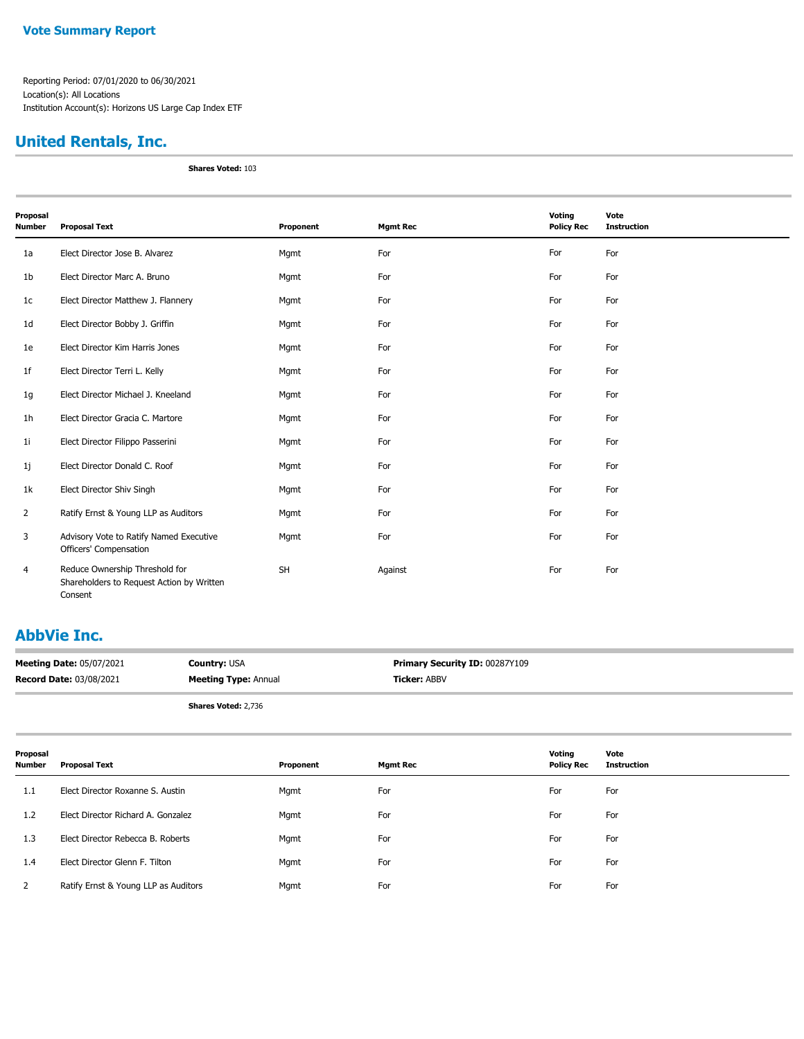## **United Rentals, Inc.**

**Shares Voted:** 103

| Proposal       |                                                                                        |           |                 | Voting            | Vote               |
|----------------|----------------------------------------------------------------------------------------|-----------|-----------------|-------------------|--------------------|
| <b>Number</b>  | <b>Proposal Text</b>                                                                   | Proponent | <b>Mgmt Rec</b> | <b>Policy Rec</b> | <b>Instruction</b> |
| 1a             | Elect Director Jose B. Alvarez                                                         | Mgmt      | For             | For               | For                |
| 1 <sub>b</sub> | Elect Director Marc A. Bruno                                                           | Mgmt      | For             | For               | For                |
| 1c             | Elect Director Matthew J. Flannery                                                     | Mgmt      | For             | For               | For                |
| 1d             | Elect Director Bobby J. Griffin                                                        | Mgmt      | For             | For               | For                |
| 1e             | Elect Director Kim Harris Jones                                                        | Mgmt      | For             | For               | For                |
| 1 <sub>f</sub> | Elect Director Terri L. Kelly                                                          | Mgmt      | For             | For               | For                |
| 1g             | Elect Director Michael J. Kneeland                                                     | Mgmt      | For             | For               | For                |
| 1h             | Elect Director Gracia C. Martore                                                       | Mgmt      | For             | For               | For                |
| 11             | Elect Director Filippo Passerini                                                       | Mgmt      | For             | For               | For                |
| 1j             | Elect Director Donald C. Roof                                                          | Mgmt      | For             | For               | For                |
| 1k             | Elect Director Shiv Singh                                                              | Mgmt      | For             | For               | For                |
| 2              | Ratify Ernst & Young LLP as Auditors                                                   | Mgmt      | For             | For               | For                |
| 3              | Advisory Vote to Ratify Named Executive<br>Officers' Compensation                      | Mgmt      | For             | For               | For                |
| 4              | Reduce Ownership Threshold for<br>Shareholders to Request Action by Written<br>Consent | <b>SH</b> | Against         | For               | For                |

#### **AbbVie Inc.**

| <b>Meeting Date: 05/07/2021</b> | <b>Country: USA</b>         | <b>Primary Security ID: 00287Y109</b> |
|---------------------------------|-----------------------------|---------------------------------------|
| <b>Record Date: 03/08/2021</b>  | <b>Meeting Type: Annual</b> | <b>Ticker: ABBV</b>                   |
|                                 |                             |                                       |

**Shares Voted:** 2,736

| Proposal<br>Number | Proposal Text                        | Proponent | Mgmt Rec | Voting<br><b>Policy Rec</b> | Vote<br><b>Instruction</b> |
|--------------------|--------------------------------------|-----------|----------|-----------------------------|----------------------------|
| 1.1                | Elect Director Roxanne S. Austin     | Mgmt      | For      | For                         | For                        |
| 1.2                | Elect Director Richard A. Gonzalez   | Mgmt      | For      | For                         | For                        |
| 1.3                | Elect Director Rebecca B. Roberts    | Mgmt      | For      | For                         | For                        |
| 1.4                | Elect Director Glenn F. Tilton       | Mgmt      | For      | For                         | For                        |
|                    | Ratify Ernst & Young LLP as Auditors | Mgmt      | For      | For                         | For                        |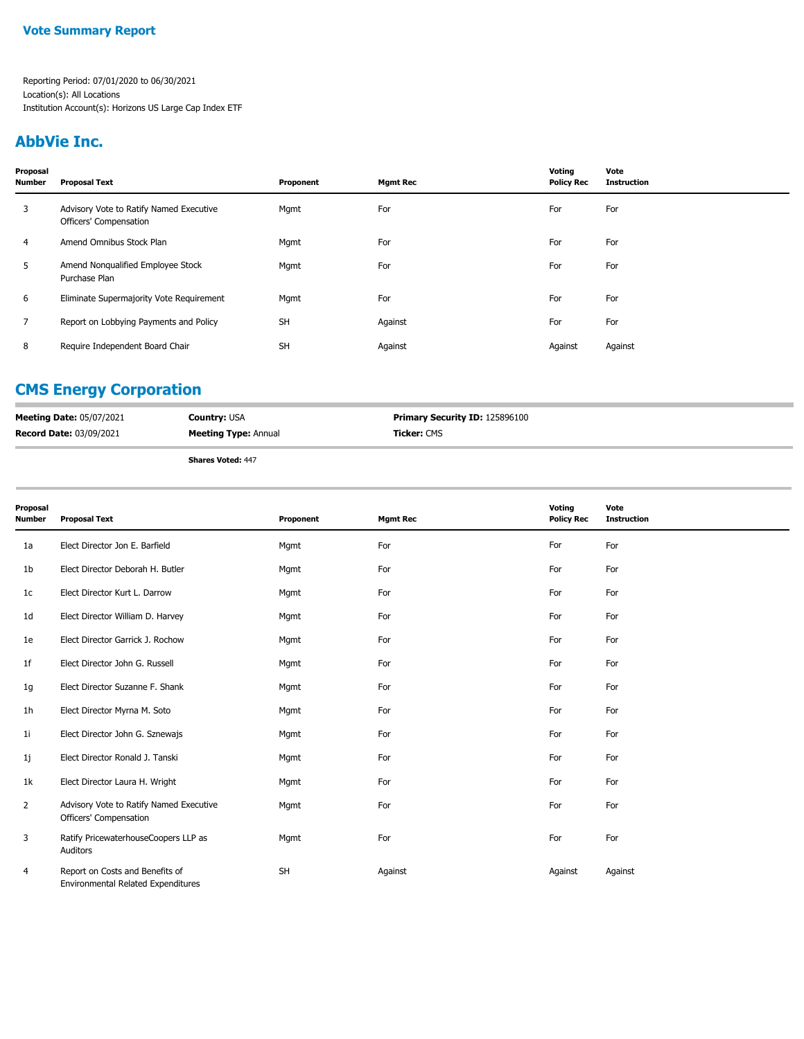#### **AbbVie Inc.**

| Proposal<br><b>Number</b> | <b>Proposal Text</b>                                              | Proponent | <b>Mgmt Rec</b> | Voting<br><b>Policy Rec</b> | Vote<br><b>Instruction</b> |
|---------------------------|-------------------------------------------------------------------|-----------|-----------------|-----------------------------|----------------------------|
| 3                         | Advisory Vote to Ratify Named Executive<br>Officers' Compensation | Mgmt      | For             | For                         | For                        |
| 4                         | Amend Omnibus Stock Plan                                          | Mgmt      | For             | For                         | For                        |
| 5                         | Amend Nonqualified Employee Stock<br>Purchase Plan                | Mgmt      | For             | For                         | For                        |
| 6                         | Eliminate Supermajority Vote Requirement                          | Mgmt      | For             | For                         | For                        |
| $\overline{7}$            | Report on Lobbying Payments and Policy                            | <b>SH</b> | Against         | For                         | For                        |
| 8                         | Require Independent Board Chair                                   | <b>SH</b> | Against         | Against                     | Against                    |

#### **CMS Energy Corporation**

| <b>Meeting Date: 05/07/2021</b> | <b>Country: USA</b>         | Primary Security ID: 125896100 |
|---------------------------------|-----------------------------|--------------------------------|
| <b>Record Date: 03/09/2021</b>  | <b>Meeting Type: Annual</b> | <b>Ticker: CMS</b>             |
|                                 | $AL = 11.44$                |                                |

**Shares Voted:** 447

| Proposal<br>Number | <b>Proposal Text</b>                                                  | Proponent | <b>Mgmt Rec</b> | Voting<br><b>Policy Rec</b> | Vote<br><b>Instruction</b> |
|--------------------|-----------------------------------------------------------------------|-----------|-----------------|-----------------------------|----------------------------|
| 1a                 | Elect Director Jon E. Barfield                                        | Mgmt      | For             | For                         | For                        |
| 1b                 | Elect Director Deborah H. Butler                                      | Mgmt      | For             | For                         | For                        |
| 1c                 | Elect Director Kurt L. Darrow                                         | Mgmt      | For             | For                         | For                        |
| 1d                 | Elect Director William D. Harvey                                      | Mgmt      | For             | For                         | For                        |
| 1e                 | Elect Director Garrick J. Rochow                                      | Mgmt      | For             | For                         | For                        |
| 1f                 | Elect Director John G. Russell                                        | Mgmt      | For             | For                         | For                        |
| 1g                 | Elect Director Suzanne F. Shank                                       | Mgmt      | For             | For                         | For                        |
| 1h                 | Elect Director Myrna M. Soto                                          | Mgmt      | For             | For                         | For                        |
| 11                 | Elect Director John G. Sznewajs                                       | Mgmt      | For             | For                         | For                        |
| 1j                 | Elect Director Ronald J. Tanski                                       | Mgmt      | For             | For                         | For                        |
| 1k                 | Elect Director Laura H. Wright                                        | Mgmt      | For             | For                         | For                        |
| $\overline{2}$     | Advisory Vote to Ratify Named Executive<br>Officers' Compensation     | Mgmt      | For             | For                         | For                        |
| 3                  | Ratify PricewaterhouseCoopers LLP as<br>Auditors                      | Mgmt      | For             | For                         | For                        |
| 4                  | Report on Costs and Benefits of<br>Environmental Related Expenditures | <b>SH</b> | Against         | Against                     | Against                    |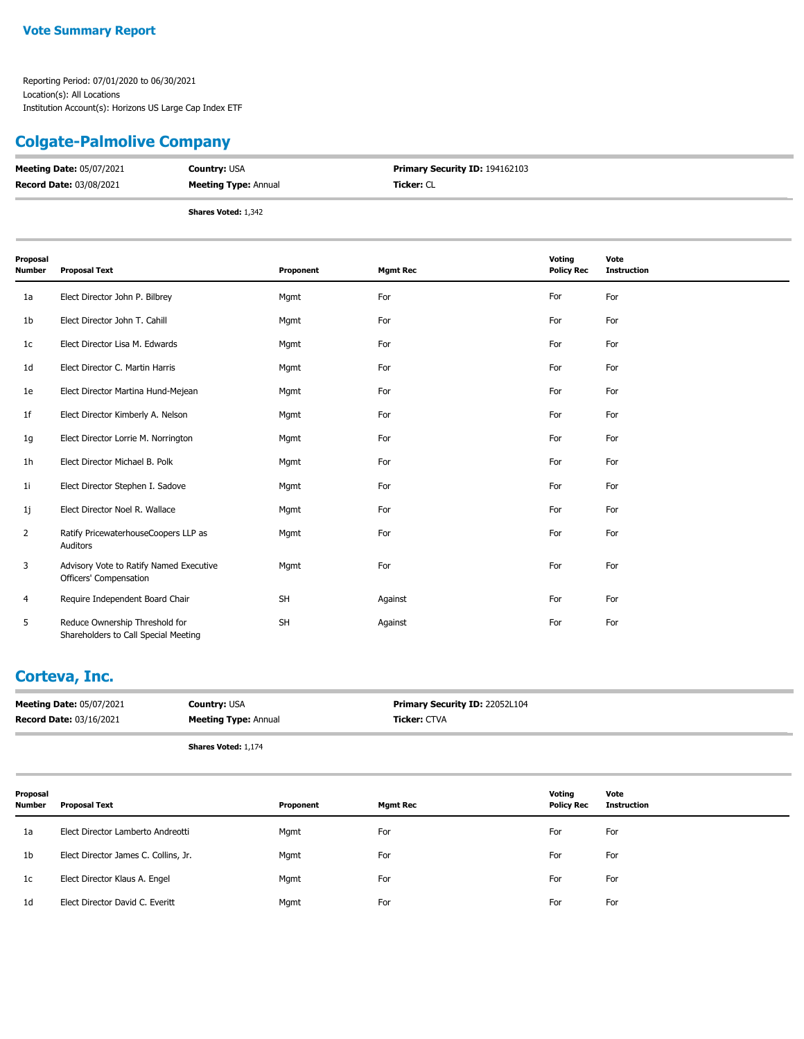## **Colgate-Palmolive Company**

| <b>Meeting Date: 05/07/2021</b> | <b>Country: USA</b>         | <b>Primary Security ID: 194162103</b> |
|---------------------------------|-----------------------------|---------------------------------------|
| <b>Record Date: 03/08/2021</b>  | <b>Meeting Type: Annual</b> | <b>Ticker:</b> CL                     |
|                                 | <b>Shares Voted: 1,342</b>  |                                       |

| Proposal<br>Number | <b>Proposal Text</b>                                                   | Proponent | <b>Mgmt Rec</b> | Voting<br><b>Policy Rec</b> | Vote<br><b>Instruction</b> |
|--------------------|------------------------------------------------------------------------|-----------|-----------------|-----------------------------|----------------------------|
| 1a                 | Elect Director John P. Bilbrey                                         | Mgmt      | For             | For                         | For                        |
| 1b                 | Elect Director John T. Cahill                                          | Mgmt      | For             | For                         | For                        |
| 1c                 | Elect Director Lisa M. Edwards                                         | Mgmt      | For             | For                         | For                        |
| 1d                 | Elect Director C. Martin Harris                                        | Mgmt      | For             | For                         | For                        |
| 1e                 | Elect Director Martina Hund-Mejean                                     | Mgmt      | For             | For                         | For                        |
| 1f                 | Elect Director Kimberly A. Nelson                                      | Mgmt      | For             | For                         | For                        |
| 1g                 | Elect Director Lorrie M. Norrington                                    | Mgmt      | For             | For                         | For                        |
| 1h                 | Elect Director Michael B. Polk                                         | Mgmt      | For             | For                         | For                        |
| 1i                 | Elect Director Stephen I. Sadove                                       | Mgmt      | For             | For                         | For                        |
| 1j                 | Elect Director Noel R. Wallace                                         | Mgmt      | For             | For                         | For                        |
| $\overline{2}$     | Ratify PricewaterhouseCoopers LLP as<br>Auditors                       | Mgmt      | For             | For                         | For                        |
| 3                  | Advisory Vote to Ratify Named Executive<br>Officers' Compensation      | Mgmt      | For             | For                         | For                        |
| 4                  | Require Independent Board Chair                                        | <b>SH</b> | Against         | For                         | For                        |
| 5                  | Reduce Ownership Threshold for<br>Shareholders to Call Special Meeting | <b>SH</b> | Against         | For                         | For                        |

#### **Corteva, Inc.**

|                    | <b>Meeting Date: 05/07/2021</b><br><b>Record Date: 03/16/2021</b> | <b>Country: USA</b><br><b>Meeting Type: Annual</b> |           |     | Primary Security ID: 22052L104<br>Ticker: CTVA |                             |                            |
|--------------------|-------------------------------------------------------------------|----------------------------------------------------|-----------|-----|------------------------------------------------|-----------------------------|----------------------------|
|                    |                                                                   | Shares Voted: 1,174                                |           |     |                                                |                             |                            |
| Proposal<br>Number | <b>Proposal Text</b>                                              |                                                    | Proponent |     | <b>Mgmt Rec</b>                                | Voting<br><b>Policy Rec</b> | Vote<br><b>Instruction</b> |
| 1a                 | Elect Director Lamberto Andreotti                                 |                                                    | Mgmt      | For |                                                | For                         | For                        |
| 1b                 | Elect Director James C. Collins, Jr.                              |                                                    | Mgmt      | For |                                                | For                         | For                        |
| 1 <sub>c</sub>     | Elect Director Klaus A. Engel                                     |                                                    | Mgmt      | For |                                                | For                         | For                        |
| 1 <sub>d</sub>     | Elect Director David C. Everitt                                   |                                                    | Mgmt      | For |                                                | For                         | For                        |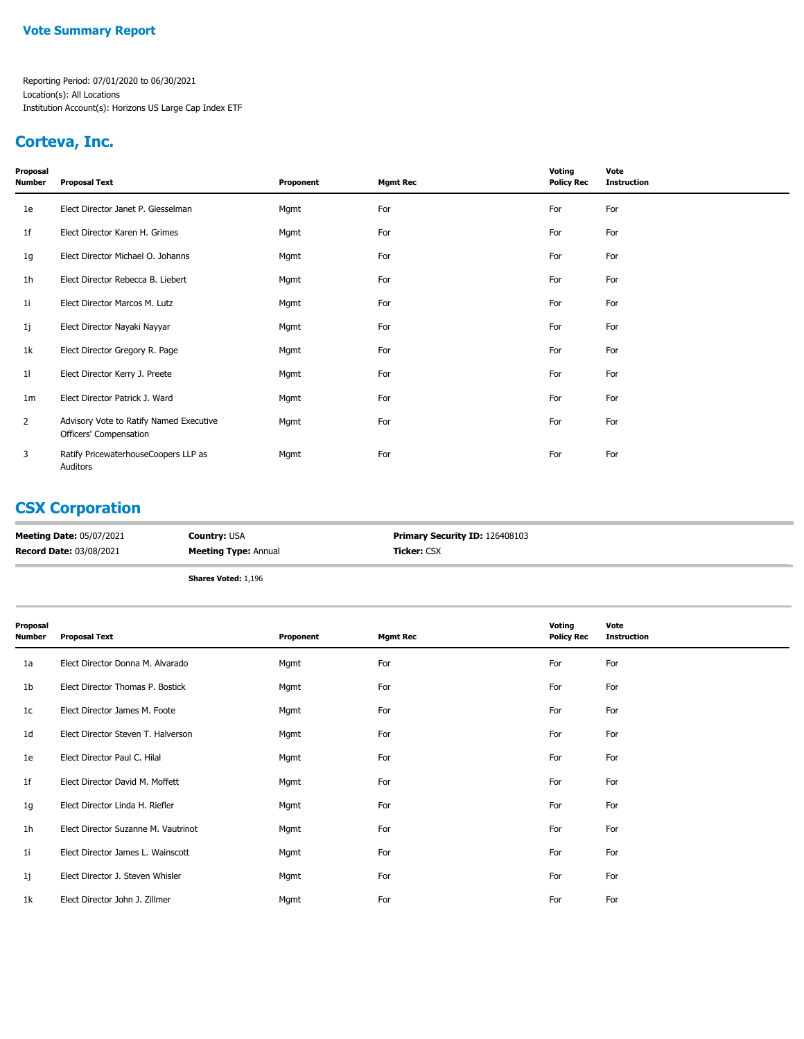#### **Corteva, Inc.**

| Proposal<br>Number | <b>Proposal Text</b>                                              | Proponent | <b>Mgmt Rec</b> | Voting<br><b>Policy Rec</b> | Vote<br><b>Instruction</b> |
|--------------------|-------------------------------------------------------------------|-----------|-----------------|-----------------------------|----------------------------|
| 1e                 | Elect Director Janet P. Giesselman                                | Mgmt      | For             | For                         | For                        |
| 1f                 | Elect Director Karen H. Grimes                                    | Mgmt      | For             | For                         | For                        |
| 1g                 | Elect Director Michael O. Johanns                                 | Mgmt      | For             | For                         | For                        |
| 1h                 | Elect Director Rebecca B. Liebert                                 | Mgmt      | For             | For                         | For                        |
| 1i                 | Elect Director Marcos M. Lutz                                     | Mgmt      | For             | For                         | For                        |
| 1j                 | Elect Director Nayaki Nayyar                                      | Mgmt      | For             | For                         | For                        |
| 1k                 | Elect Director Gregory R. Page                                    | Mgmt      | For             | For                         | For                        |
| 11                 | Elect Director Kerry J. Preete                                    | Mgmt      | For             | For                         | For                        |
| 1m                 | Elect Director Patrick J. Ward                                    | Mgmt      | For             | For                         | For                        |
| $\overline{2}$     | Advisory Vote to Ratify Named Executive<br>Officers' Compensation | Mgmt      | For             | For                         | For                        |
| 3                  | Ratify PricewaterhouseCoopers LLP as<br>Auditors                  | Mgmt      | For             | For                         | For                        |

## **CSX Corporation**

| <b>Meeting Date: 05/07/2021</b> | <b>Country: USA</b>         | Primary Security ID: 126408103 |
|---------------------------------|-----------------------------|--------------------------------|
| <b>Record Date: 03/08/2021</b>  | <b>Meeting Type: Annual</b> | <b>Ticker: CSX</b>             |
|                                 | <b>Shares Voted: 1,196</b>  |                                |

| Proposal<br>Number | <b>Proposal Text</b>                | Proponent | <b>Mgmt Rec</b> | Voting<br><b>Policy Rec</b> | Vote<br><b>Instruction</b> |
|--------------------|-------------------------------------|-----------|-----------------|-----------------------------|----------------------------|
| 1a                 | Elect Director Donna M. Alvarado    | Mgmt      | For             | For                         | For                        |
| 1b                 | Elect Director Thomas P. Bostick    | Mgmt      | For             | For                         | For                        |
| 1c                 | Elect Director James M. Foote       | Mgmt      | For             | For                         | For                        |
| 1d                 | Elect Director Steven T. Halverson  | Mgmt      | For             | For                         | For                        |
| 1e                 | Elect Director Paul C. Hilal        | Mgmt      | For             | For                         | For                        |
| 1f                 | Elect Director David M. Moffett     | Mgmt      | For             | For                         | For                        |
| 1g                 | Elect Director Linda H. Riefler     | Mgmt      | For             | For                         | For                        |
| 1h                 | Elect Director Suzanne M. Vautrinot | Mgmt      | For             | For                         | For                        |
| 1i                 | Elect Director James L. Wainscott   | Mgmt      | For             | For                         | For                        |
| 1j                 | Elect Director J. Steven Whisler    | Mgmt      | For             | For                         | For                        |
| 1k                 | Elect Director John J. Zillmer      | Mgmt      | For             | For                         | For                        |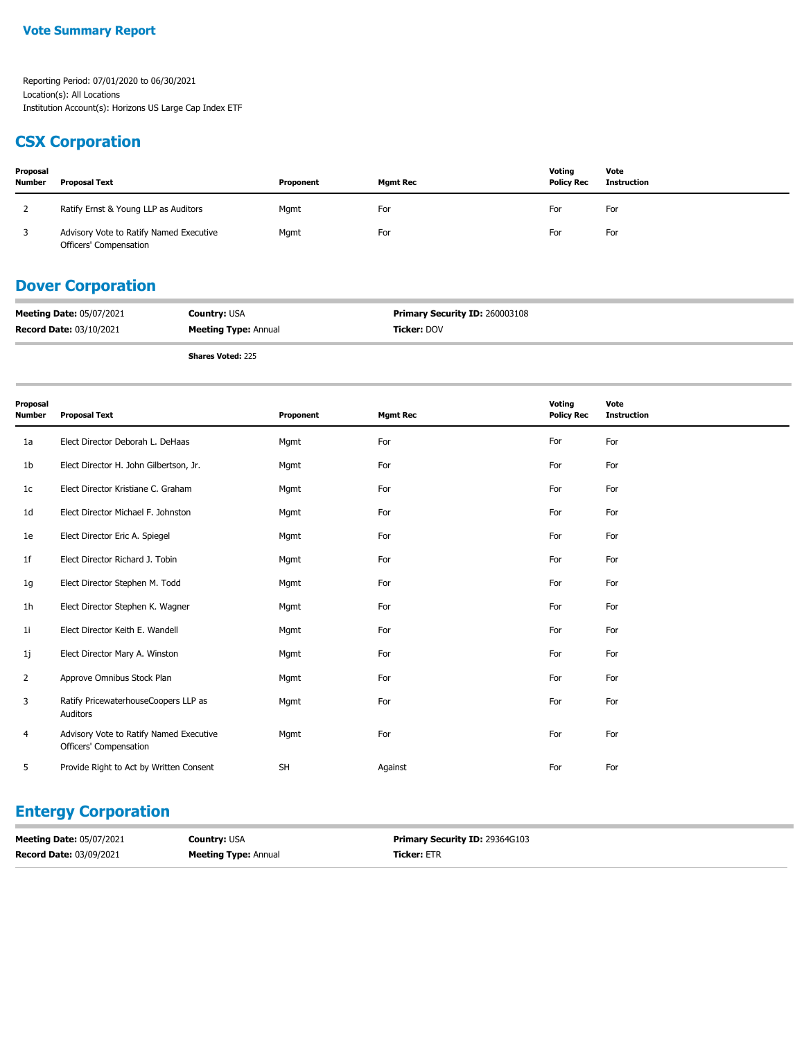#### **CSX Corporation**

| Proposal<br><b>Number</b> | <b>Proposal Text</b>                                              | Proponent | <b>Mamt Rec</b> | Voting<br><b>Policy Rec</b> | Vote<br>Instruction |
|---------------------------|-------------------------------------------------------------------|-----------|-----------------|-----------------------------|---------------------|
|                           | Ratify Ernst & Young LLP as Auditors                              | Mgmt      | For             | For                         | For                 |
|                           | Advisory Vote to Ratify Named Executive<br>Officers' Compensation | Mgmt      | For             | For                         | For                 |

## **Dover Corporation**

| <b>Meeting Date: 05/07/2021</b> | <b>Country: USA</b>         | <b>Primary Security ID: 260003108</b> |
|---------------------------------|-----------------------------|---------------------------------------|
| <b>Record Date: 03/10/2021</b>  | <b>Meeting Type: Annual</b> | <b>Ticker:</b> DOV                    |

**Shares Voted:** 225

| Proposal<br><b>Number</b> | <b>Proposal Text</b>                                              | Proponent | <b>Mgmt Rec</b> | Voting<br><b>Policy Rec</b> | Vote<br><b>Instruction</b> |
|---------------------------|-------------------------------------------------------------------|-----------|-----------------|-----------------------------|----------------------------|
| 1a                        | Elect Director Deborah L. DeHaas                                  | Mgmt      | For             | For                         | For                        |
| 1b                        | Elect Director H. John Gilbertson, Jr.                            | Mgmt      | For             | For                         | For                        |
| 1 <sub>c</sub>            | Elect Director Kristiane C. Graham                                | Mgmt      | For             | For                         | For                        |
| 1 <sub>d</sub>            | Elect Director Michael F. Johnston                                | Mgmt      | For             | For                         | For                        |
| 1e                        | Elect Director Eric A. Spiegel                                    | Mgmt      | For             | For                         | For                        |
| 1 <sup>f</sup>            | Elect Director Richard J. Tobin                                   | Mgmt      | For             | For                         | For                        |
| 1g                        | Elect Director Stephen M. Todd                                    | Mgmt      | For             | For                         | For                        |
| 1 <sub>h</sub>            | Elect Director Stephen K. Wagner                                  | Mgmt      | For             | For                         | For                        |
| 11                        | Elect Director Keith E. Wandell                                   | Mgmt      | For             | For                         | For                        |
| 1j                        | Elect Director Mary A. Winston                                    | Mgmt      | For             | For                         | For                        |
| $\overline{2}$            | Approve Omnibus Stock Plan                                        | Mgmt      | For             | For                         | For                        |
| 3                         | Ratify PricewaterhouseCoopers LLP as<br>Auditors                  | Mgmt      | For             | For                         | For                        |
| 4                         | Advisory Vote to Ratify Named Executive<br>Officers' Compensation | Mgmt      | For             | For                         | For                        |
| 5                         | Provide Right to Act by Written Consent                           | <b>SH</b> | Against         | For                         | For                        |

## **Entergy Corporation**

| <b>Meeting Date: 05/07/2021</b> | <b>Country: USA</b>         | <b>Primary Security ID: 29364G103</b> |
|---------------------------------|-----------------------------|---------------------------------------|
| Record Date: 03/09/2021         | <b>Meeting Type: Annual</b> | <b>Ticker: ETR</b>                    |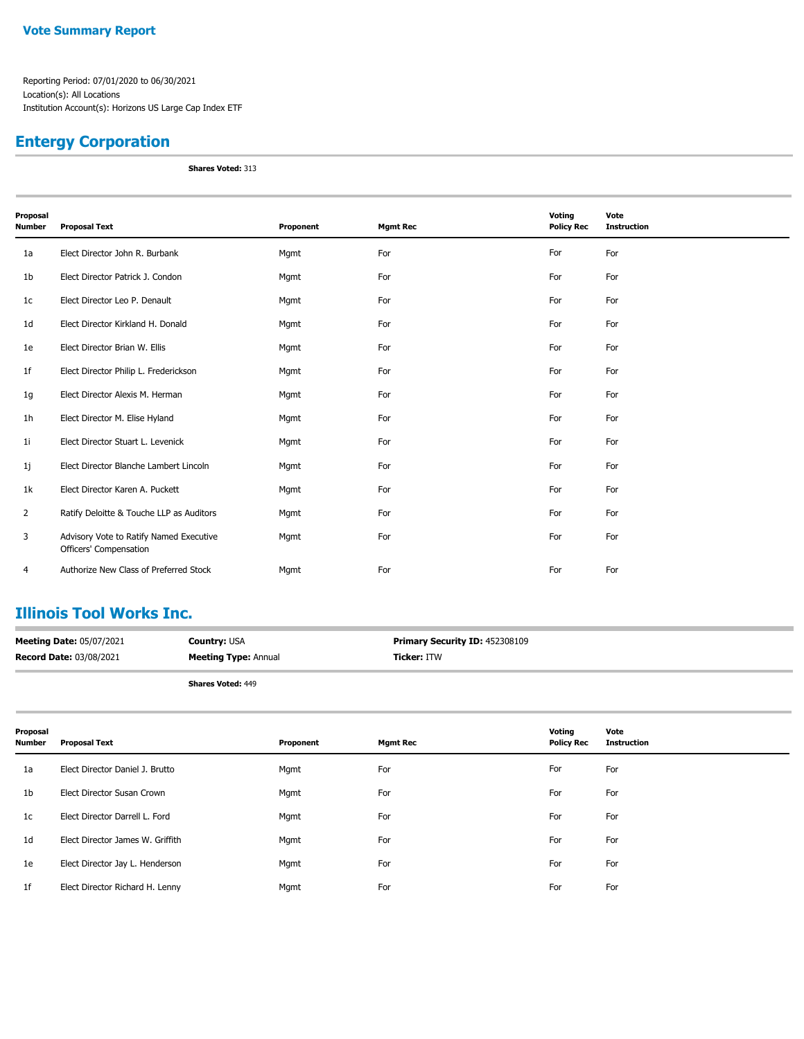#### **Entergy Corporation**

**Shares Voted:** 313

| Proposal<br><b>Number</b> | <b>Proposal Text</b>                                              | Proponent | <b>Mgmt Rec</b> | Voting<br><b>Policy Rec</b> | Vote<br><b>Instruction</b> |
|---------------------------|-------------------------------------------------------------------|-----------|-----------------|-----------------------------|----------------------------|
| 1a                        | Elect Director John R. Burbank                                    | Mgmt      | For             | For                         | For                        |
| 1b                        | Elect Director Patrick J. Condon                                  | Mgmt      | For             | For                         | For                        |
| 1 <sub>c</sub>            | Elect Director Leo P. Denault                                     | Mgmt      | For             | For                         | For                        |
| 1 <sub>d</sub>            | Elect Director Kirkland H. Donald                                 | Mgmt      | For             | For                         | For                        |
| 1e                        | Elect Director Brian W. Ellis                                     | Mgmt      | For             | For                         | For                        |
| 1f                        | Elect Director Philip L. Frederickson                             | Mgmt      | For             | For                         | For                        |
| 1g                        | Elect Director Alexis M. Herman                                   | Mgmt      | For             | For                         | For                        |
| 1h                        | Elect Director M. Elise Hyland                                    | Mgmt      | For             | For                         | For                        |
| 11                        | Elect Director Stuart L. Levenick                                 | Mgmt      | For             | For                         | For                        |
| 1j                        | Elect Director Blanche Lambert Lincoln                            | Mgmt      | For             | For                         | For                        |
| 1k                        | Elect Director Karen A. Puckett                                   | Mgmt      | For             | For                         | For                        |
| $\overline{2}$            | Ratify Deloitte & Touche LLP as Auditors                          | Mgmt      | For             | For                         | For                        |
| 3                         | Advisory Vote to Ratify Named Executive<br>Officers' Compensation | Mgmt      | For             | For                         | For                        |
| 4                         | Authorize New Class of Preferred Stock                            | Mgmt      | For             | For                         | For                        |

### **Illinois Tool Works Inc.**

| <b>Meeting Date: 05/07/2021</b> | <b>Country: USA</b>         | <b>Primary Security ID: 452308109</b> |
|---------------------------------|-----------------------------|---------------------------------------|
| <b>Record Date: 03/08/2021</b>  | <b>Meeting Type: Annual</b> | <b>Ticker: ITW</b>                    |
|                                 | <b>Shares Voted: 449</b>    |                                       |

| Proposal<br><b>Number</b> | <b>Proposal Text</b>             | Proponent | <b>Mgmt Rec</b> | Voting<br><b>Policy Rec</b> | Vote<br><b>Instruction</b> |
|---------------------------|----------------------------------|-----------|-----------------|-----------------------------|----------------------------|
| 1a                        | Elect Director Daniel J. Brutto  | Mgmt      | For             | For                         | For                        |
| 1 <sub>b</sub>            | Elect Director Susan Crown       | Mgmt      | For             | For                         | For                        |
| 1c                        | Elect Director Darrell L. Ford   | Mgmt      | For             | For                         | For                        |
| 1 <sub>d</sub>            | Elect Director James W. Griffith | Mgmt      | For             | For                         | For                        |
| 1e                        | Elect Director Jay L. Henderson  | Mgmt      | For             | For                         | For                        |
| 1f                        | Elect Director Richard H. Lenny  | Mgmt      | For             | For                         | For                        |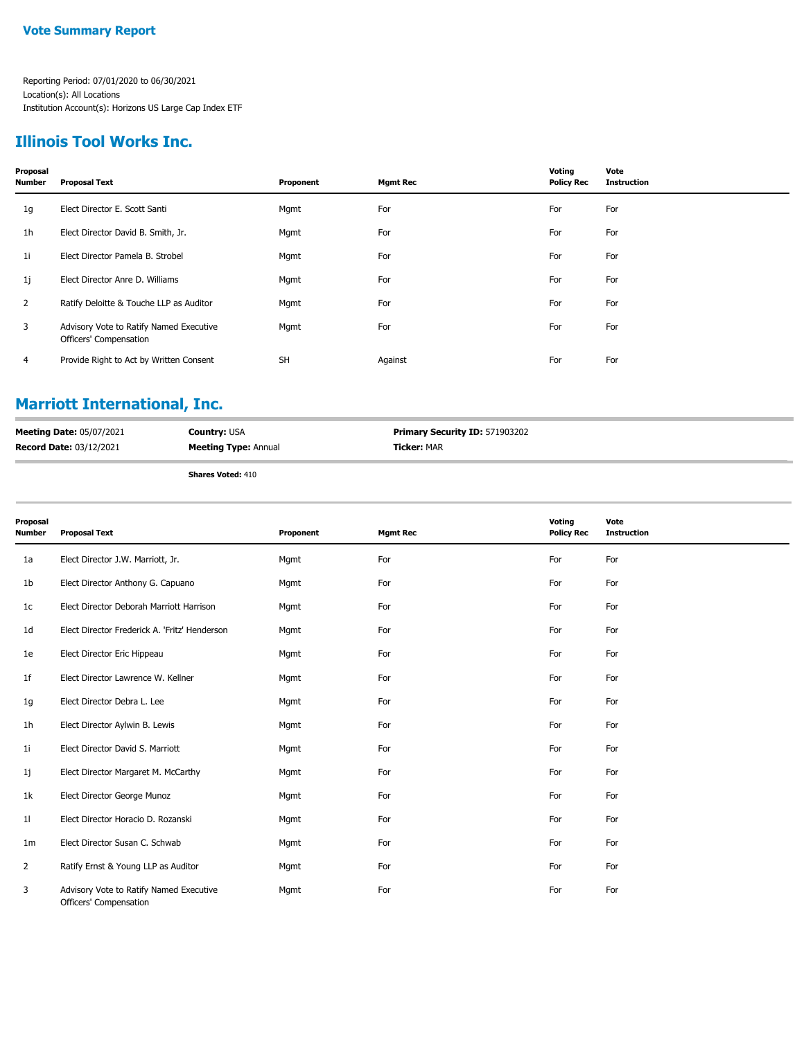### **Illinois Tool Works Inc.**

| Proposal<br>Number | <b>Proposal Text</b>                                              | Proponent | <b>Mgmt Rec</b> | Voting<br><b>Policy Rec</b> | Vote<br><b>Instruction</b> |
|--------------------|-------------------------------------------------------------------|-----------|-----------------|-----------------------------|----------------------------|
| 1g                 | Elect Director E. Scott Santi                                     | Mgmt      | For             | For                         | For                        |
| 1h                 | Elect Director David B. Smith, Jr.                                | Mgmt      | For             | For                         | For                        |
| 1i                 | Elect Director Pamela B. Strobel                                  | Mgmt      | For             | For                         | For                        |
| 1j                 | Elect Director Anre D. Williams                                   | Mgmt      | For             | For                         | For                        |
| 2                  | Ratify Deloitte & Touche LLP as Auditor                           | Mgmt      | For             | For                         | For                        |
| 3                  | Advisory Vote to Ratify Named Executive<br>Officers' Compensation | Mgmt      | For             | For                         | For                        |
| 4                  | Provide Right to Act by Written Consent                           | <b>SH</b> | Against         | For                         | For                        |
|                    |                                                                   |           |                 |                             |                            |

## **Marriott International, Inc.**

| <b>Meeting Date: 05/07/2021</b> | <b>Country:</b> USA         | <b>Primary Security ID: 571903202</b> |
|---------------------------------|-----------------------------|---------------------------------------|
| <b>Record Date: 03/12/2021</b>  | <b>Meeting Type: Annual</b> | <b>Ticker: MAR</b>                    |
|                                 |                             |                                       |

**Shares Voted:** 410

| Proposal<br>Number | <b>Proposal Text</b>                                              | Proponent | <b>Mgmt Rec</b> | Voting<br><b>Policy Rec</b> | Vote<br><b>Instruction</b> |
|--------------------|-------------------------------------------------------------------|-----------|-----------------|-----------------------------|----------------------------|
| 1a                 | Elect Director J.W. Marriott, Jr.                                 | Mgmt      | For             | For                         | For                        |
| 1b                 | Elect Director Anthony G. Capuano                                 | Mgmt      | For             | For                         | For                        |
| 1c                 | Elect Director Deborah Marriott Harrison                          | Mgmt      | For             | For                         | For                        |
| 1 <sub>d</sub>     | Elect Director Frederick A. 'Fritz' Henderson                     | Mgmt      | For             | For                         | For                        |
| 1e                 | Elect Director Eric Hippeau                                       | Mgmt      | For             | For                         | For                        |
| 1f                 | Elect Director Lawrence W. Kellner                                | Mgmt      | For             | For                         | For                        |
| 1g                 | Elect Director Debra L. Lee                                       | Mgmt      | For             | For                         | For                        |
| 1h                 | Elect Director Aylwin B. Lewis                                    | Mgmt      | For             | For                         | For                        |
| 1i                 | Elect Director David S. Marriott                                  | Mgmt      | For             | For                         | For                        |
| 1j                 | Elect Director Margaret M. McCarthy                               | Mgmt      | For             | For                         | For                        |
| 1k                 | Elect Director George Munoz                                       | Mgmt      | For             | For                         | For                        |
| 11                 | Elect Director Horacio D. Rozanski                                | Mgmt      | For             | For                         | For                        |
| 1 <sub>m</sub>     | Elect Director Susan C. Schwab                                    | Mgmt      | For             | For                         | For                        |
| $\overline{2}$     | Ratify Ernst & Young LLP as Auditor                               | Mgmt      | For             | For                         | For                        |
| 3                  | Advisory Vote to Ratify Named Executive<br>Officers' Compensation | Mgmt      | For             | For                         | For                        |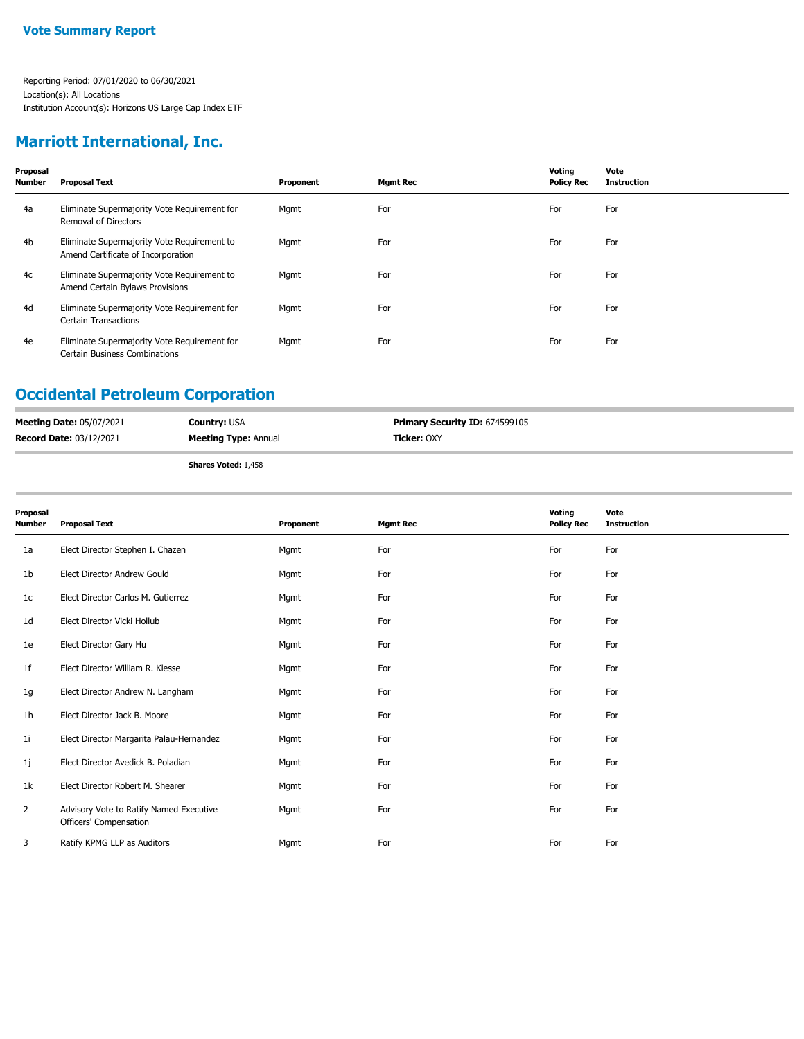## **Marriott International, Inc.**

| Proposal<br><b>Number</b> | <b>Proposal Text</b>                                                              | Proponent | <b>Mgmt Rec</b> | Voting<br><b>Policy Rec</b> | Vote<br><b>Instruction</b> |
|---------------------------|-----------------------------------------------------------------------------------|-----------|-----------------|-----------------------------|----------------------------|
| 4a                        | Eliminate Supermajority Vote Requirement for<br>Removal of Directors              | Mgmt      | For             | For                         | For                        |
| 4 <sub>b</sub>            | Eliminate Supermajority Vote Requirement to<br>Amend Certificate of Incorporation | Mgmt      | For             | For                         | For                        |
| 4c                        | Eliminate Supermajority Vote Requirement to<br>Amend Certain Bylaws Provisions    | Mgmt      | For             | For                         | For                        |
| 4d                        | Eliminate Supermajority Vote Requirement for<br><b>Certain Transactions</b>       | Mgmt      | For             | For                         | For                        |
| 4e                        | Eliminate Supermajority Vote Requirement for<br>Certain Business Combinations     | Mgmt      | For             | For                         | For                        |

### **Occidental Petroleum Corporation**

| <b>Meeting Date: 05/07/2021</b> | <b>Country: USA</b>         | <b>Primary Security ID: 674599105</b> |
|---------------------------------|-----------------------------|---------------------------------------|
| <b>Record Date: 03/12/2021</b>  | <b>Meeting Type: Annual</b> | <b>Ticker: OXY</b>                    |
|                                 | <b>Shares Voted: 1,458</b>  |                                       |

| Proposal<br><b>Number</b> | <b>Proposal Text</b>                                              | Proponent | <b>Mgmt Rec</b> | Voting<br><b>Policy Rec</b> | Vote<br><b>Instruction</b> |
|---------------------------|-------------------------------------------------------------------|-----------|-----------------|-----------------------------|----------------------------|
| 1a                        | Elect Director Stephen I. Chazen                                  | Mgmt      | For             | For                         | For                        |
| 1b                        | Elect Director Andrew Gould                                       | Mgmt      | For             | For                         | For                        |
| 1c                        | Elect Director Carlos M. Gutierrez                                | Mgmt      | For             | For                         | For                        |
| 1 <sub>d</sub>            | Elect Director Vicki Hollub                                       | Mgmt      | For             | For                         | For                        |
| 1e                        | Elect Director Gary Hu                                            | Mgmt      | For             | For                         | For                        |
| 1f                        | Elect Director William R. Klesse                                  | Mgmt      | For             | For                         | For                        |
| 1g                        | Elect Director Andrew N. Langham                                  | Mgmt      | For             | For                         | For                        |
| 1h                        | Elect Director Jack B. Moore                                      | Mgmt      | For             | For                         | For                        |
| 1i                        | Elect Director Margarita Palau-Hernandez                          | Mgmt      | For             | For                         | For                        |
| 1j                        | Elect Director Avedick B. Poladian                                | Mgmt      | For             | For                         | For                        |
| 1k                        | Elect Director Robert M. Shearer                                  | Mgmt      | For             | For                         | For                        |
| 2                         | Advisory Vote to Ratify Named Executive<br>Officers' Compensation | Mgmt      | For             | For                         | For                        |
| 3                         | Ratify KPMG LLP as Auditors                                       | Mgmt      | For             | For                         | For                        |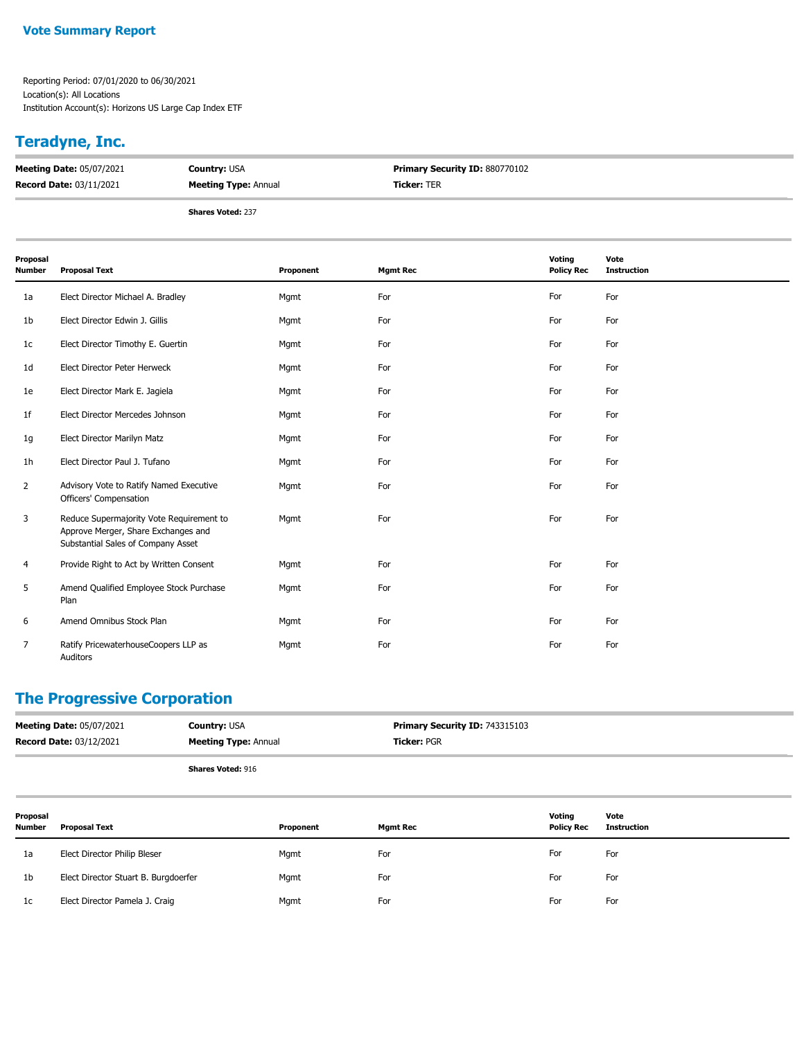#### **Vote Summary Report**

Reporting Period: 07/01/2020 to 06/30/2021 Location(s): All Locations Institution Account(s): Horizons US Large Cap Index ETF

## **Teradyne, Inc.**

| <b>Meeting Date: 05/07/2021</b> | <b>Country: USA</b>         | <b>Primary Security ID: 880770102</b> |
|---------------------------------|-----------------------------|---------------------------------------|
| <b>Record Date: 03/11/2021</b>  | <b>Meeting Type: Annual</b> | <b>Ticker: TER</b>                    |
|                                 |                             |                                       |

**Shares Voted:** 237

| Proposal<br><b>Number</b> | <b>Proposal Text</b>                                                                                                  | Proponent | <b>Mgmt Rec</b> | Voting<br><b>Policy Rec</b> | Vote<br><b>Instruction</b> |
|---------------------------|-----------------------------------------------------------------------------------------------------------------------|-----------|-----------------|-----------------------------|----------------------------|
| 1a                        | Elect Director Michael A. Bradley                                                                                     | Mgmt      | For             | For                         | For                        |
| 1b                        | Elect Director Edwin J. Gillis                                                                                        | Mgmt      | For             | For                         | For                        |
| 1c                        | Elect Director Timothy E. Guertin                                                                                     | Mgmt      | For             | For                         | For                        |
| 1d                        | Elect Director Peter Herweck                                                                                          | Mgmt      | For             | For                         | For                        |
| 1e                        | Elect Director Mark E. Jagiela                                                                                        | Mgmt      | For             | For                         | For                        |
| 1f                        | Elect Director Mercedes Johnson                                                                                       | Mgmt      | For             | For                         | For                        |
| 1g                        | Elect Director Marilyn Matz                                                                                           | Mgmt      | For             | For                         | For                        |
| 1h                        | Elect Director Paul J. Tufano                                                                                         | Mgmt      | For             | For                         | For                        |
| $\overline{2}$            | Advisory Vote to Ratify Named Executive<br>Officers' Compensation                                                     | Mgmt      | For             | For                         | For                        |
| 3                         | Reduce Supermajority Vote Requirement to<br>Approve Merger, Share Exchanges and<br>Substantial Sales of Company Asset | Mgmt      | For             | For                         | For                        |
| 4                         | Provide Right to Act by Written Consent                                                                               | Mgmt      | For             | For                         | For                        |
| 5                         | Amend Qualified Employee Stock Purchase<br>Plan                                                                       | Mgmt      | For             | For                         | For                        |
| 6                         | Amend Omnibus Stock Plan                                                                                              | Mgmt      | For             | For                         | For                        |
| 7                         | Ratify PricewaterhouseCoopers LLP as<br>Auditors                                                                      | Mgmt      | For             | For                         | For                        |

#### **The Progressive Corporation**

| <b>Meeting Date: 05/07/2021</b><br><b>Record Date: 03/12/2021</b> | <b>Country: USA</b><br><b>Meeting Type: Annual</b> | Primary Security ID: 743315103<br><b>Ticker: PGR</b> |        |      |
|-------------------------------------------------------------------|----------------------------------------------------|------------------------------------------------------|--------|------|
|                                                                   | <b>Shares Voted: 916</b>                           |                                                      |        |      |
| Pronosal                                                          |                                                    |                                                      | Votina | Vote |

| Proposal<br><b>Number</b> | <b>Proposal Text</b>                 | Proponent | <b>Mgmt Rec</b> | Votina<br><b>Policy Rec</b> | Vote<br><b>Instruction</b> |
|---------------------------|--------------------------------------|-----------|-----------------|-----------------------------|----------------------------|
| 1a                        | Elect Director Philip Bleser         | Mgmt      | For             | For                         | For                        |
| 1b                        | Elect Director Stuart B. Burgdoerfer | Mgmt      | For             | For                         | For                        |
| 1c                        | Elect Director Pamela J. Craig       | Mgmt      | For             | For                         | For                        |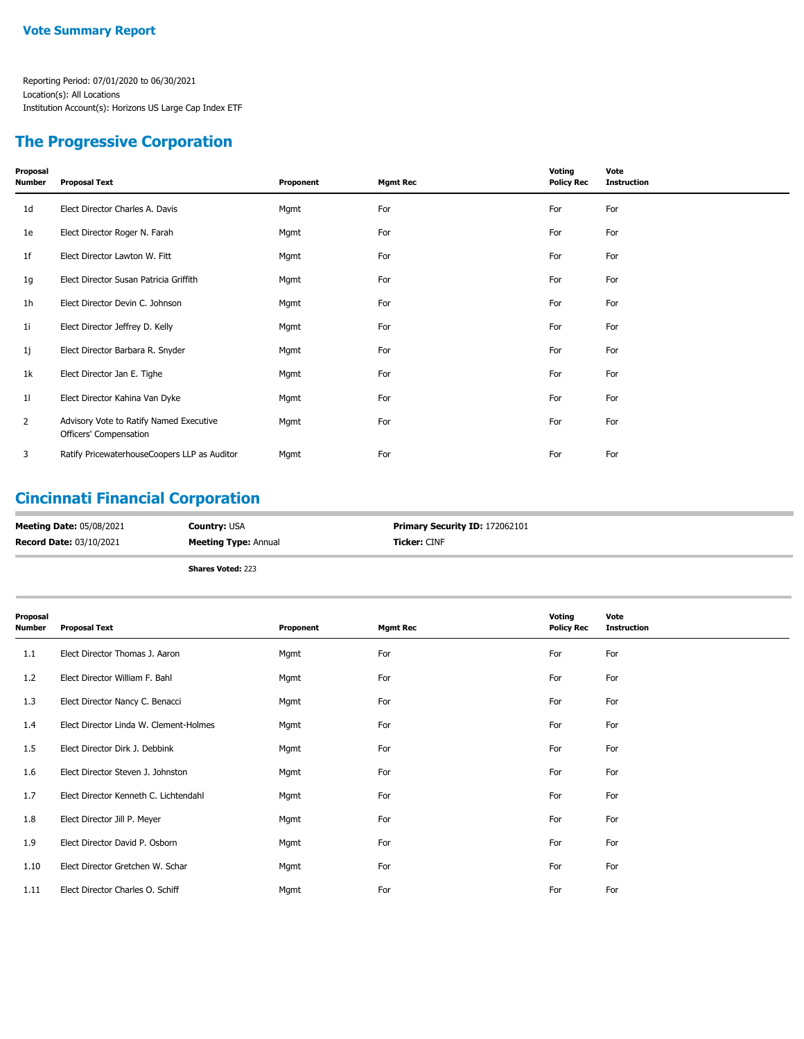#### **The Progressive Corporation**

| Proposal<br>Number | <b>Proposal Text</b>                                              | Proponent | <b>Mgmt Rec</b> | Voting<br><b>Policy Rec</b> | Vote<br><b>Instruction</b> |
|--------------------|-------------------------------------------------------------------|-----------|-----------------|-----------------------------|----------------------------|
| 1d                 | Elect Director Charles A. Davis                                   | Mgmt      | For             | For                         | For                        |
| 1e                 | Elect Director Roger N. Farah                                     | Mgmt      | For             | For                         | For                        |
| 1f                 | Elect Director Lawton W. Fitt                                     | Mgmt      | For             | For                         | For                        |
| 1g                 | Elect Director Susan Patricia Griffith                            | Mgmt      | For             | For                         | For                        |
| 1h                 | Elect Director Devin C. Johnson                                   | Mgmt      | For             | For                         | For                        |
| 1i                 | Elect Director Jeffrey D. Kelly                                   | Mgmt      | For             | For                         | For                        |
| 1j                 | Elect Director Barbara R. Snyder                                  | Mgmt      | For             | For                         | For                        |
| 1k                 | Elect Director Jan E. Tighe                                       | Mgmt      | For             | For                         | For                        |
| 11                 | Elect Director Kahina Van Dyke                                    | Mgmt      | For             | For                         | For                        |
| $\overline{2}$     | Advisory Vote to Ratify Named Executive<br>Officers' Compensation | Mgmt      | For             | For                         | For                        |
| 3                  | Ratify PricewaterhouseCoopers LLP as Auditor                      | Mgmt      | For             | For                         | For                        |

### **Cincinnati Financial Corporation**

| <b>Meeting Date: 05/08/2021</b> | <b>Country: USA</b>         | <b>Primary Security ID: 172062101</b> |
|---------------------------------|-----------------------------|---------------------------------------|
| <b>Record Date: 03/10/2021</b>  | <b>Meeting Type: Annual</b> | <b>Ticker:</b> CINF                   |
|                                 | <b>Shares Voted: 223</b>    |                                       |

| Proposal<br><b>Number</b> | <b>Proposal Text</b>                   | Proponent | <b>Mgmt Rec</b> | Voting<br><b>Policy Rec</b> | Vote<br><b>Instruction</b> |
|---------------------------|----------------------------------------|-----------|-----------------|-----------------------------|----------------------------|
| 1.1                       | Elect Director Thomas J. Aaron         | Mgmt      | For             | For                         | For                        |
| 1.2                       | Elect Director William F. Bahl         | Mgmt      | For             | For                         | For                        |
| 1.3                       | Elect Director Nancy C. Benacci        | Mgmt      | For             | For                         | For                        |
| 1.4                       | Elect Director Linda W. Clement-Holmes | Mgmt      | For             | For                         | For                        |
| 1.5                       | Elect Director Dirk J. Debbink         | Mgmt      | For             | For                         | For                        |
| 1.6                       | Elect Director Steven J. Johnston      | Mgmt      | For             | For                         | For                        |
| 1.7                       | Elect Director Kenneth C. Lichtendahl  | Mgmt      | For             | For                         | For                        |
| 1.8                       | Elect Director Jill P. Meyer           | Mgmt      | For             | For                         | For                        |
| 1.9                       | Elect Director David P. Osborn         | Mgmt      | For             | For                         | For                        |
| 1.10                      | Elect Director Gretchen W. Schar       | Mgmt      | For             | For                         | For                        |
| 1.11                      | Elect Director Charles O. Schiff       | Mgmt      | For             | For                         | For                        |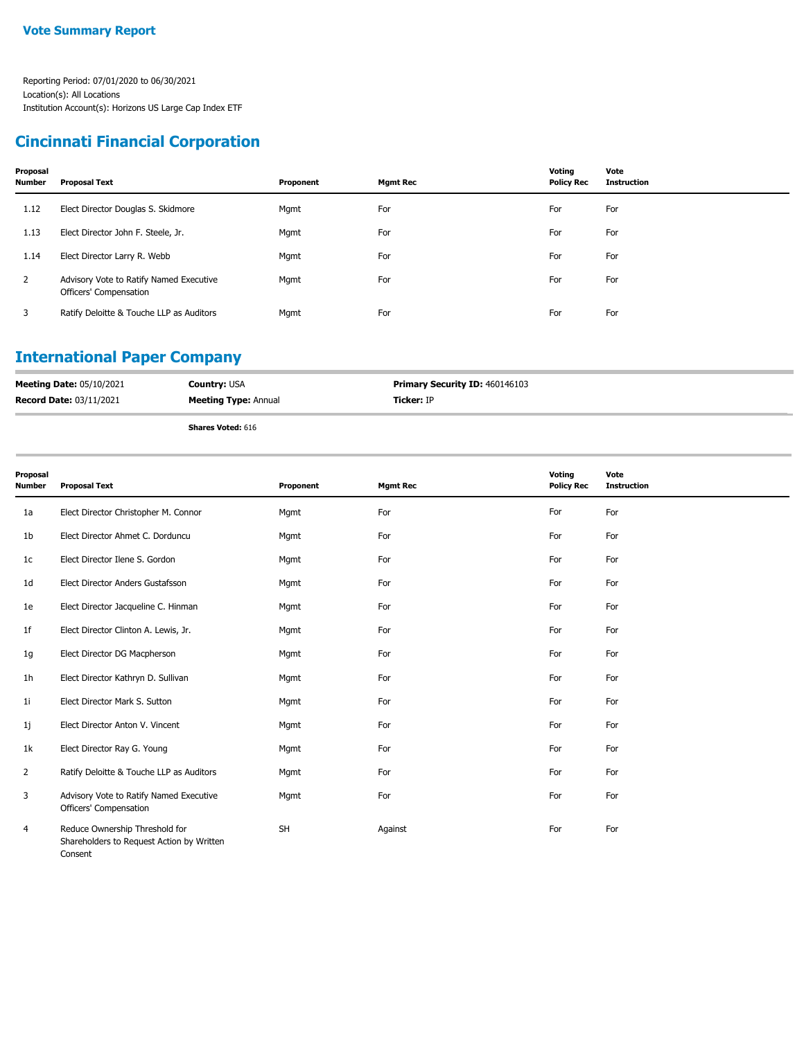### **Cincinnati Financial Corporation**

| Proposal<br><b>Number</b> | <b>Proposal Text</b>                                              | Proponent | <b>Mgmt Rec</b> | Voting<br><b>Policy Rec</b> | Vote<br><b>Instruction</b> |
|---------------------------|-------------------------------------------------------------------|-----------|-----------------|-----------------------------|----------------------------|
| 1.12                      | Elect Director Douglas S. Skidmore                                | Mgmt      | For             | For                         | For                        |
| 1.13                      | Elect Director John F. Steele, Jr.                                | Mgmt      | For             | For                         | For                        |
| 1.14                      | Elect Director Larry R. Webb                                      | Mgmt      | For             | For                         | For                        |
| $\mathbf{2}$              | Advisory Vote to Ratify Named Executive<br>Officers' Compensation | Mgmt      | For             | For                         | For                        |
| 3                         | Ratify Deloitte & Touche LLP as Auditors                          | Mgmt      | For             | For                         | For                        |

# **International Paper Company**

| <b>Meeting Date: 05/10/2021</b> | <b>Country: USA</b>         | <b>Primary Security ID: 460146103</b> |
|---------------------------------|-----------------------------|---------------------------------------|
| <b>Record Date: 03/11/2021</b>  | <b>Meeting Type: Annual</b> | <b>Ticker:</b> IP                     |
|                                 | <b>Shares Voted: 616</b>    |                                       |

| Proposal<br>Number | <b>Proposal Text</b>                                                                   | Proponent | <b>Mgmt Rec</b> | Voting<br><b>Policy Rec</b> | Vote<br><b>Instruction</b> |
|--------------------|----------------------------------------------------------------------------------------|-----------|-----------------|-----------------------------|----------------------------|
| 1a                 | Elect Director Christopher M. Connor                                                   | Mgmt      | For             | For                         | For                        |
| 1b                 | Elect Director Ahmet C. Dorduncu                                                       | Mgmt      | For             | For                         | For                        |
| 1c                 | Elect Director Ilene S. Gordon                                                         | Mgmt      | For             | For                         | For                        |
| 1 <sub>d</sub>     | Elect Director Anders Gustafsson                                                       | Mgmt      | For             | For                         | For                        |
| 1e                 | Elect Director Jacqueline C. Hinman                                                    | Mgmt      | For             | For                         | For                        |
| 1f                 | Elect Director Clinton A. Lewis, Jr.                                                   | Mgmt      | For             | For                         | For                        |
| 1g                 | Elect Director DG Macpherson                                                           | Mgmt      | For             | For                         | For                        |
| 1 <sub>h</sub>     | Elect Director Kathryn D. Sullivan                                                     | Mgmt      | For             | For                         | For                        |
| 1i                 | Elect Director Mark S. Sutton                                                          | Mgmt      | For             | For                         | For                        |
| 1j                 | Elect Director Anton V. Vincent                                                        | Mgmt      | For             | For                         | For                        |
| 1k                 | Elect Director Ray G. Young                                                            | Mgmt      | For             | For                         | For                        |
| $\overline{2}$     | Ratify Deloitte & Touche LLP as Auditors                                               | Mgmt      | For             | For                         | For                        |
| 3                  | Advisory Vote to Ratify Named Executive<br>Officers' Compensation                      | Mgmt      | For             | For                         | For                        |
| 4                  | Reduce Ownership Threshold for<br>Shareholders to Request Action by Written<br>Consent | <b>SH</b> | Against         | For                         | For                        |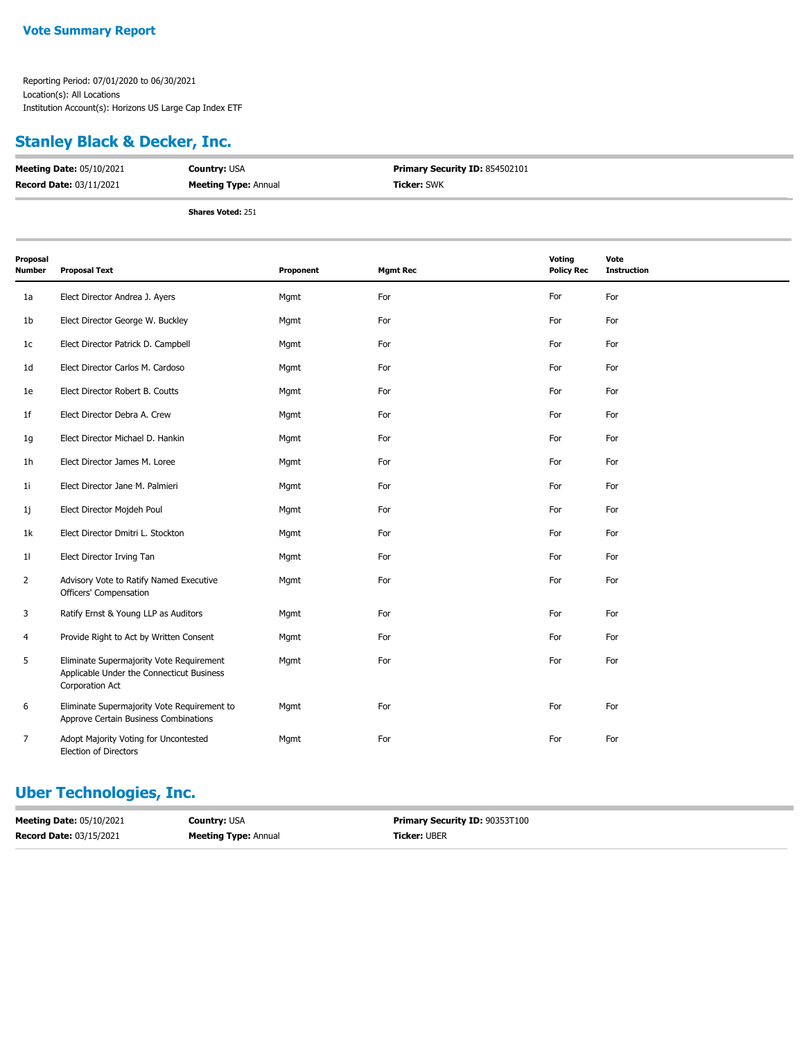#### **Stanley Black & Decker, Inc.**

| <b>Meeting Date: 05/10/2021</b> | <b>Country: USA</b>         | <b>Primary Security ID: 854502101</b> |
|---------------------------------|-----------------------------|---------------------------------------|
| <b>Record Date: 03/11/2021</b>  | <b>Meeting Type: Annual</b> | <b>Ticker:</b> SWK                    |
|                                 | <b>Shares Voted: 251</b>    |                                       |

| Proposal<br>Number | <b>Proposal Text</b>                                                                                     | Proponent | <b>Mgmt Rec</b> | Voting<br><b>Policy Rec</b> | Vote<br><b>Instruction</b> |
|--------------------|----------------------------------------------------------------------------------------------------------|-----------|-----------------|-----------------------------|----------------------------|
| 1a                 | Elect Director Andrea J. Ayers                                                                           | Mgmt      | For             | For                         | For                        |
| 1b                 | Elect Director George W. Buckley                                                                         | Mgmt      | For             | For                         | For                        |
| 1c                 | Elect Director Patrick D. Campbell                                                                       | Mgmt      | For             | For                         | For                        |
| 1 <sub>d</sub>     | Elect Director Carlos M. Cardoso                                                                         | Mgmt      | For             | For                         | For                        |
| 1e                 | Elect Director Robert B. Coutts                                                                          | Mgmt      | For             | For                         | For                        |
| 1f                 | Elect Director Debra A. Crew                                                                             | Mgmt      | For             | For                         | For                        |
| 1g                 | Elect Director Michael D. Hankin                                                                         | Mgmt      | For             | For                         | For                        |
| 1h                 | Elect Director James M. Loree                                                                            | Mgmt      | For             | For                         | For                        |
| 1i                 | Elect Director Jane M. Palmieri                                                                          | Mgmt      | For             | For                         | For                        |
| 1j                 | Elect Director Mojdeh Poul                                                                               | Mgmt      | For             | For                         | For                        |
| 1k                 | Elect Director Dmitri L. Stockton                                                                        | Mgmt      | For             | For                         | For                        |
| 11                 | Elect Director Irving Tan                                                                                | Mgmt      | For             | For                         | For                        |
| $\overline{2}$     | Advisory Vote to Ratify Named Executive<br>Officers' Compensation                                        | Mgmt      | For             | For                         | For                        |
| 3                  | Ratify Ernst & Young LLP as Auditors                                                                     | Mgmt      | For             | For                         | For                        |
| 4                  | Provide Right to Act by Written Consent                                                                  | Mgmt      | For             | For                         | For                        |
| 5                  | Eliminate Supermajority Vote Requirement<br>Applicable Under the Connecticut Business<br>Corporation Act | Mgmt      | For             | For                         | For                        |
| 6                  | Eliminate Supermajority Vote Requirement to<br>Approve Certain Business Combinations                     | Mgmt      | For             | For                         | For                        |
| 7                  | Adopt Majority Voting for Uncontested<br>Election of Directors                                           | Mgmt      | For             | For                         | For                        |

#### **Uber Technologies, Inc.**

| <b>Meeting Date: 05/10/2021</b> | <b>Country: USA</b>         | <b>Primary Security ID: 90353T100</b> |
|---------------------------------|-----------------------------|---------------------------------------|
| <b>Record Date: 03/15/2021</b>  | <b>Meeting Type: Annual</b> | <b>Ticker: UBER</b>                   |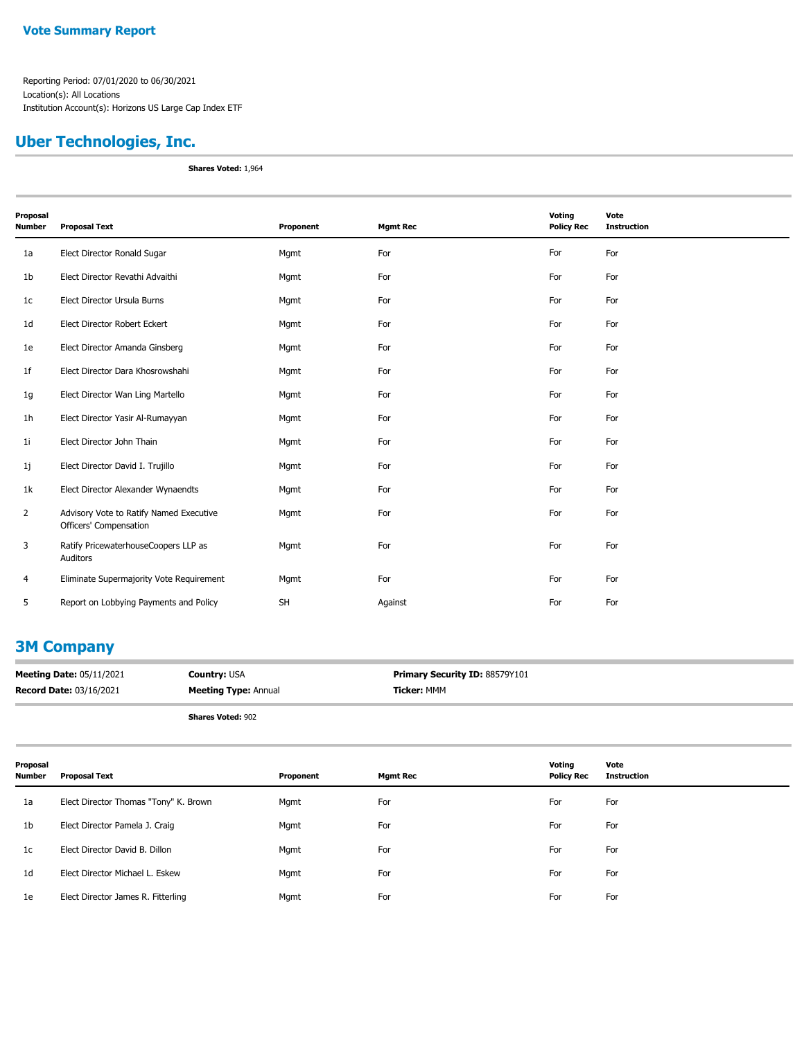## **Uber Technologies, Inc.**

**Shares Voted:** 1,964

| Proposal<br><b>Number</b> | <b>Proposal Text</b>                                              | Proponent | <b>Mgmt Rec</b> | Voting<br><b>Policy Rec</b> | Vote<br><b>Instruction</b> |
|---------------------------|-------------------------------------------------------------------|-----------|-----------------|-----------------------------|----------------------------|
| 1a                        | Elect Director Ronald Sugar                                       | Mgmt      | For             | For                         | For                        |
| 1 <sub>b</sub>            | Elect Director Revathi Advaithi                                   | Mgmt      | For             | For                         | For                        |
| 1c                        | Elect Director Ursula Burns                                       | Mgmt      | For             | For                         | For                        |
| 1 <sub>d</sub>            | Elect Director Robert Eckert                                      | Mgmt      | For             | For                         | For                        |
| 1e                        | Elect Director Amanda Ginsberg                                    | Mgmt      | For             | For                         | For                        |
| 1 <sub>f</sub>            | Elect Director Dara Khosrowshahi                                  | Mgmt      | For             | For                         | For                        |
| 1g                        | Elect Director Wan Ling Martello                                  | Mgmt      | For             | For                         | For                        |
| 1 <sub>h</sub>            | Elect Director Yasir Al-Rumayyan                                  | Mgmt      | For             | For                         | For                        |
| 11                        | Elect Director John Thain                                         | Mgmt      | For             | For                         | For                        |
| 1j                        | Elect Director David I. Trujillo                                  | Mgmt      | For             | For                         | For                        |
| 1k                        | Elect Director Alexander Wynaendts                                | Mgmt      | For             | For                         | For                        |
| $\overline{2}$            | Advisory Vote to Ratify Named Executive<br>Officers' Compensation | Mgmt      | For             | For                         | For                        |
| 3                         | Ratify PricewaterhouseCoopers LLP as<br>Auditors                  | Mgmt      | For             | For                         | For                        |
| 4                         | Eliminate Supermajority Vote Requirement                          | Mgmt      | For             | For                         | For                        |
| 5                         | Report on Lobbying Payments and Policy                            | <b>SH</b> | Against         | For                         | For                        |

#### **3M Company**

| <b>Meeting Date: 05/11/2021</b> | <b>Country:</b> USA         | <b>Primary Security ID: 88579Y101</b> |
|---------------------------------|-----------------------------|---------------------------------------|
| <b>Record Date: 03/16/2021</b>  | <b>Meeting Type: Annual</b> | Ticker: MMM                           |
|                                 |                             |                                       |

**Shares Voted:** 902

| Proposal<br><b>Number</b> | <b>Proposal Text</b>                  | Proponent | <b>Mgmt Rec</b> | Voting<br><b>Policy Rec</b> | Vote<br><b>Instruction</b> |
|---------------------------|---------------------------------------|-----------|-----------------|-----------------------------|----------------------------|
| 1a                        | Elect Director Thomas "Tony" K. Brown | Mgmt      | For             | For                         | For                        |
| 1b                        | Elect Director Pamela J. Craig        | Mgmt      | For             | For                         | For                        |
| 1c                        | Elect Director David B. Dillon        | Mgmt      | For             | For                         | For                        |
| 1d                        | Elect Director Michael L. Eskew       | Mgmt      | For             | For                         | For                        |
| 1e                        | Elect Director James R. Fitterling    | Mgmt      | For             | For                         | For                        |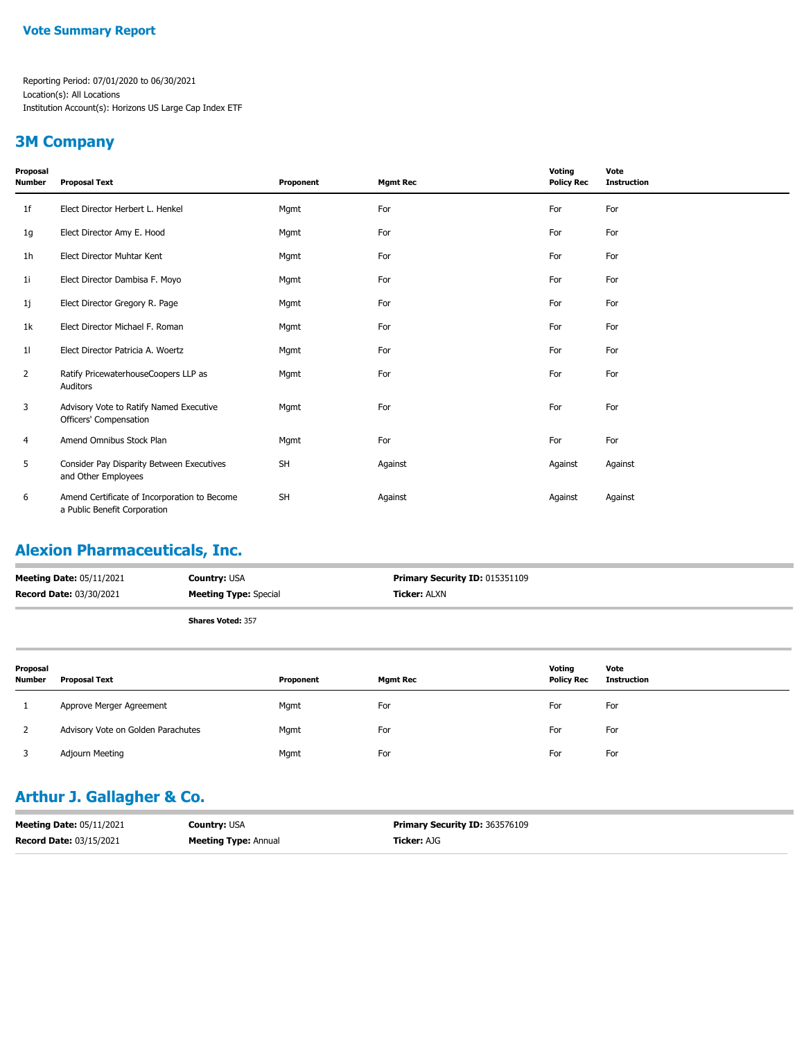#### **3M Company**

| Proposal<br>Number | <b>Proposal Text</b>                                                         | Proponent | <b>Mgmt Rec</b> | Voting<br><b>Policy Rec</b> | Vote<br><b>Instruction</b> |
|--------------------|------------------------------------------------------------------------------|-----------|-----------------|-----------------------------|----------------------------|
| 1f                 | Elect Director Herbert L. Henkel                                             | Mgmt      | For             | For                         | For                        |
| 1g                 | Elect Director Amy E. Hood                                                   | Mgmt      | For             | For                         | For                        |
| 1h                 | Elect Director Muhtar Kent                                                   | Mgmt      | For             | For                         | For                        |
| 1i                 | Elect Director Dambisa F. Moyo                                               | Mgmt      | For             | For                         | For                        |
| 1j                 | Elect Director Gregory R. Page                                               | Mgmt      | For             | For                         | For                        |
| 1k                 | Elect Director Michael F. Roman                                              | Mgmt      | For             | For                         | For                        |
| 11                 | Elect Director Patricia A. Woertz                                            | Mgmt      | For             | For                         | For                        |
| $\overline{2}$     | Ratify PricewaterhouseCoopers LLP as<br>Auditors                             | Mgmt      | For             | For                         | For                        |
| 3                  | Advisory Vote to Ratify Named Executive<br>Officers' Compensation            | Mgmt      | For             | For                         | For                        |
| 4                  | Amend Omnibus Stock Plan                                                     | Mgmt      | For             | For                         | For                        |
| 5                  | Consider Pay Disparity Between Executives<br>and Other Employees             | <b>SH</b> | Against         | Against                     | Against                    |
| 6                  | Amend Certificate of Incorporation to Become<br>a Public Benefit Corporation | <b>SH</b> | Against         | Against                     | Against                    |

## **Alexion Pharmaceuticals, Inc.**

| <b>Meeting Date: 05/11/2021</b> | <b>Country: USA</b>          | <b>Primary Security ID: 015351109</b> |
|---------------------------------|------------------------------|---------------------------------------|
| <b>Record Date: 03/30/2021</b>  | <b>Meeting Type: Special</b> | <b>Ticker: ALXN</b>                   |
|                                 | <b>Shares Voted: 357</b>     |                                       |

| Proposal<br><b>Number</b> | <b>Proposal Text</b>               | Proponent | <b>Mgmt Rec</b> | Votina<br><b>Policy Rec</b> | Vote<br><b>Instruction</b> |
|---------------------------|------------------------------------|-----------|-----------------|-----------------------------|----------------------------|
|                           | Approve Merger Agreement           | Mgmt      | For             | For                         | For                        |
|                           | Advisory Vote on Golden Parachutes | Mgmt      | For             | For                         | For                        |
|                           | Adjourn Meeting                    | Mgmt      | For             | For                         | For                        |

## **Arthur J. Gallagher & Co.**

| <b>Meeting Date: 05/11/2021</b> | <b>Country: USA</b>         | <b>Primary Security ID: 363576109</b> |
|---------------------------------|-----------------------------|---------------------------------------|
| <b>Record Date: 03/15/2021</b>  | <b>Meeting Type: Annual</b> | <b>Ticker: AJG</b>                    |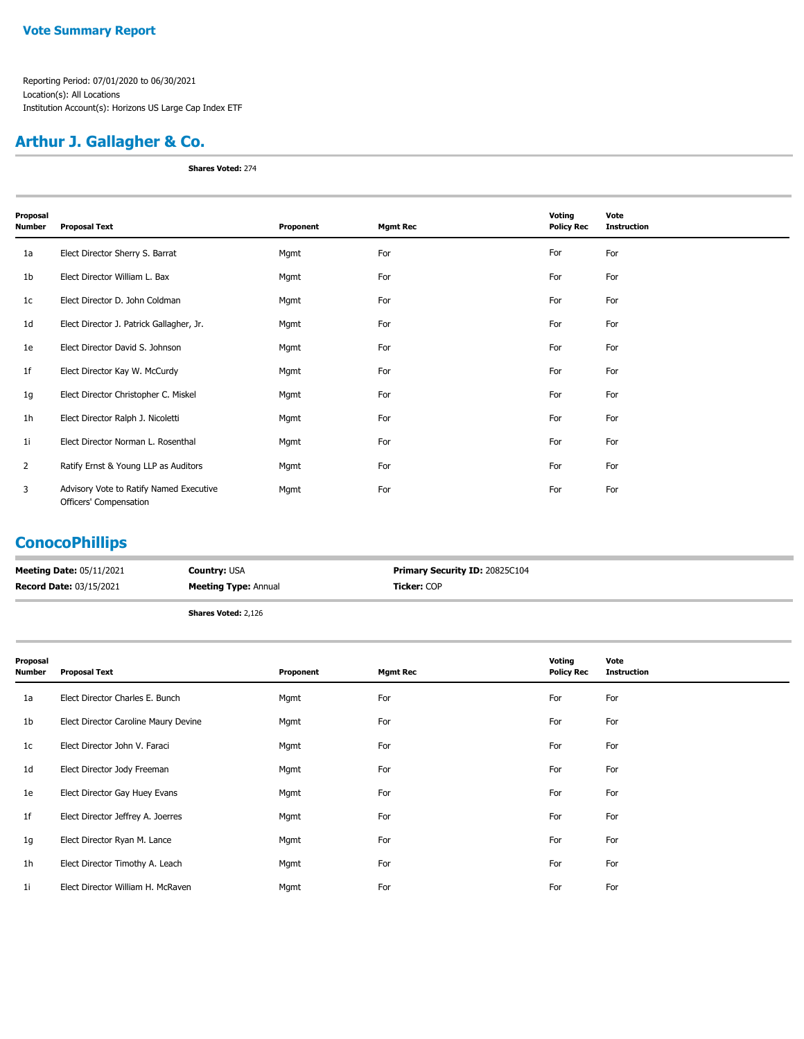## **Arthur J. Gallagher & Co.**

**Shares Voted:** 274

| Proposal<br>Number | <b>Proposal Text</b>                                              | Proponent | <b>Mgmt Rec</b> | Voting<br><b>Policy Rec</b> | Vote<br><b>Instruction</b> |
|--------------------|-------------------------------------------------------------------|-----------|-----------------|-----------------------------|----------------------------|
| 1a                 | Elect Director Sherry S. Barrat                                   | Mgmt      | For             | For                         | For                        |
| 1b                 | Elect Director William L. Bax                                     | Mgmt      | For             | For                         | For                        |
| 1c                 | Elect Director D. John Coldman                                    | Mgmt      | For             | For                         | For                        |
| 1d                 | Elect Director J. Patrick Gallagher, Jr.                          | Mgmt      | For             | For                         | For                        |
| 1e                 | Elect Director David S. Johnson                                   | Mgmt      | For             | For                         | For                        |
| 1f                 | Elect Director Kay W. McCurdy                                     | Mgmt      | For             | For                         | For                        |
| 1g                 | Elect Director Christopher C. Miskel                              | Mgmt      | For             | For                         | For                        |
| 1h                 | Elect Director Ralph J. Nicoletti                                 | Mgmt      | For             | For                         | For                        |
| 1i                 | Elect Director Norman L. Rosenthal                                | Mgmt      | For             | For                         | For                        |
| $\overline{2}$     | Ratify Ernst & Young LLP as Auditors                              | Mgmt      | For             | For                         | For                        |
| 3                  | Advisory Vote to Ratify Named Executive<br>Officers' Compensation | Mgmt      | For             | For                         | For                        |

#### **ConocoPhillips**

| <b>Meeting Date: 05/11/2021</b> | <b>Country: USA</b>         | <b>Primary Security ID: 20825C104</b> |
|---------------------------------|-----------------------------|---------------------------------------|
| <b>Record Date: 03/15/2021</b>  | <b>Meeting Type: Annual</b> | <b>Ticker:</b> COP                    |
|                                 |                             |                                       |

**Shares Voted:** 2,126

| Proposal<br>Number | <b>Proposal Text</b>                 | Proponent | <b>Mgmt Rec</b> | Voting<br><b>Policy Rec</b> | Vote<br><b>Instruction</b> |
|--------------------|--------------------------------------|-----------|-----------------|-----------------------------|----------------------------|
| 1a                 | Elect Director Charles E. Bunch      | Mgmt      | For             | For                         | For                        |
| 1b                 | Elect Director Caroline Maury Devine | Mgmt      | For             | For                         | For                        |
| 1c                 | Elect Director John V. Faraci        | Mgmt      | For             | For                         | For                        |
| 1d                 | Elect Director Jody Freeman          | Mgmt      | For             | For                         | For                        |
| 1e                 | Elect Director Gay Huey Evans        | Mgmt      | For             | For                         | For                        |
| 1f                 | Elect Director Jeffrey A. Joerres    | Mgmt      | For             | For                         | For                        |
| 1g                 | Elect Director Ryan M. Lance         | Mgmt      | For             | For                         | For                        |
| 1 <sub>h</sub>     | Elect Director Timothy A. Leach      | Mgmt      | For             | For                         | For                        |
| 1i                 | Elect Director William H. McRaven    | Mgmt      | For             | For                         | For                        |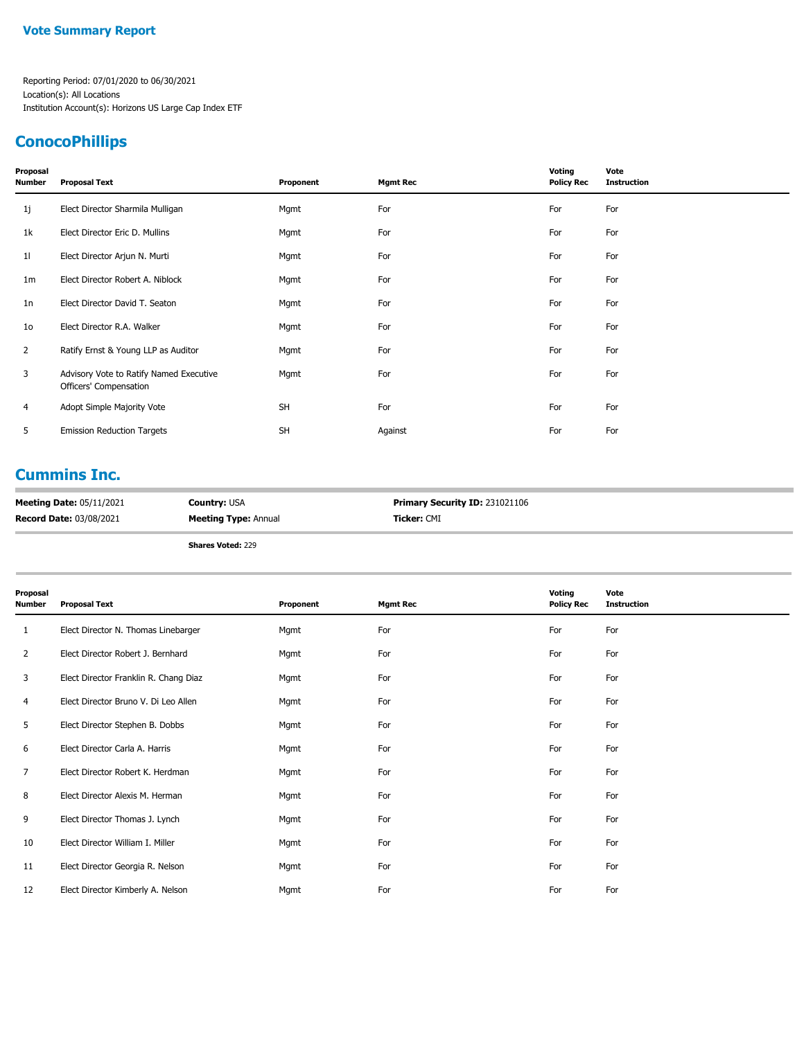#### **Vote Summary Report**

Reporting Period: 07/01/2020 to 06/30/2021 Location(s): All Locations Institution Account(s): Horizons US Large Cap Index ETF

# **ConocoPhillips**

| Proposal<br>Number | <b>Proposal Text</b>                                              | Proponent | <b>Mgmt Rec</b> | Voting<br><b>Policy Rec</b> | Vote<br><b>Instruction</b> |
|--------------------|-------------------------------------------------------------------|-----------|-----------------|-----------------------------|----------------------------|
| 1j                 | Elect Director Sharmila Mulligan                                  | Mgmt      | For             | For                         | For                        |
| 1k                 | Elect Director Eric D. Mullins                                    | Mgmt      | For             | For                         | For                        |
| 11                 | Elect Director Arjun N. Murti                                     | Mgmt      | For             | For                         | For                        |
| 1m                 | Elect Director Robert A. Niblock                                  | Mgmt      | For             | For                         | For                        |
| 1n                 | Elect Director David T. Seaton                                    | Mgmt      | For             | For                         | For                        |
| 10                 | Elect Director R.A. Walker                                        | Mgmt      | For             | For                         | For                        |
| $\mathbf{2}$       | Ratify Ernst & Young LLP as Auditor                               | Mgmt      | For             | For                         | For                        |
| 3                  | Advisory Vote to Ratify Named Executive<br>Officers' Compensation | Mgmt      | For             | For                         | For                        |
| 4                  | Adopt Simple Majority Vote                                        | <b>SH</b> | For             | For                         | For                        |
| 5                  | <b>Emission Reduction Targets</b>                                 | <b>SH</b> | Against         | For                         | For                        |
|                    |                                                                   |           |                 |                             |                            |

### **Cummins Inc.**

| <b>Meeting Date: 05/11/2021</b> | <b>Country:</b> USA         | <b>Primary Security ID: 231021106</b> |
|---------------------------------|-----------------------------|---------------------------------------|
| <b>Record Date: 03/08/2021</b>  | <b>Meeting Type: Annual</b> | <b>Ticker:</b> CMI                    |

**Shares Voted:** 229

| Proposal<br><b>Number</b> | <b>Proposal Text</b>                  | Proponent | <b>Mgmt Rec</b> | Voting<br><b>Policy Rec</b> | Vote<br><b>Instruction</b> |
|---------------------------|---------------------------------------|-----------|-----------------|-----------------------------|----------------------------|
| 1                         | Elect Director N. Thomas Linebarger   | Mgmt      | For             | For                         | For                        |
| 2                         | Elect Director Robert J. Bernhard     | Mgmt      | For             | For                         | For                        |
| 3                         | Elect Director Franklin R. Chang Diaz | Mgmt      | For             | For                         | For                        |
| 4                         | Elect Director Bruno V. Di Leo Allen  | Mgmt      | For             | For                         | For                        |
| 5                         | Elect Director Stephen B. Dobbs       | Mgmt      | For             | For                         | For                        |
| 6                         | Elect Director Carla A. Harris        | Mgmt      | For             | For                         | For                        |
| 7                         | Elect Director Robert K. Herdman      | Mgmt      | For             | For                         | For                        |
| 8                         | Elect Director Alexis M. Herman       | Mgmt      | For             | For                         | For                        |
| 9                         | Elect Director Thomas J. Lynch        | Mgmt      | For             | For                         | For                        |
| 10                        | Elect Director William I. Miller      | Mgmt      | For             | For                         | For                        |
| 11                        | Elect Director Georgia R. Nelson      | Mgmt      | For             | For                         | For                        |
| 12                        | Elect Director Kimberly A. Nelson     | Mgmt      | For             | For                         | For                        |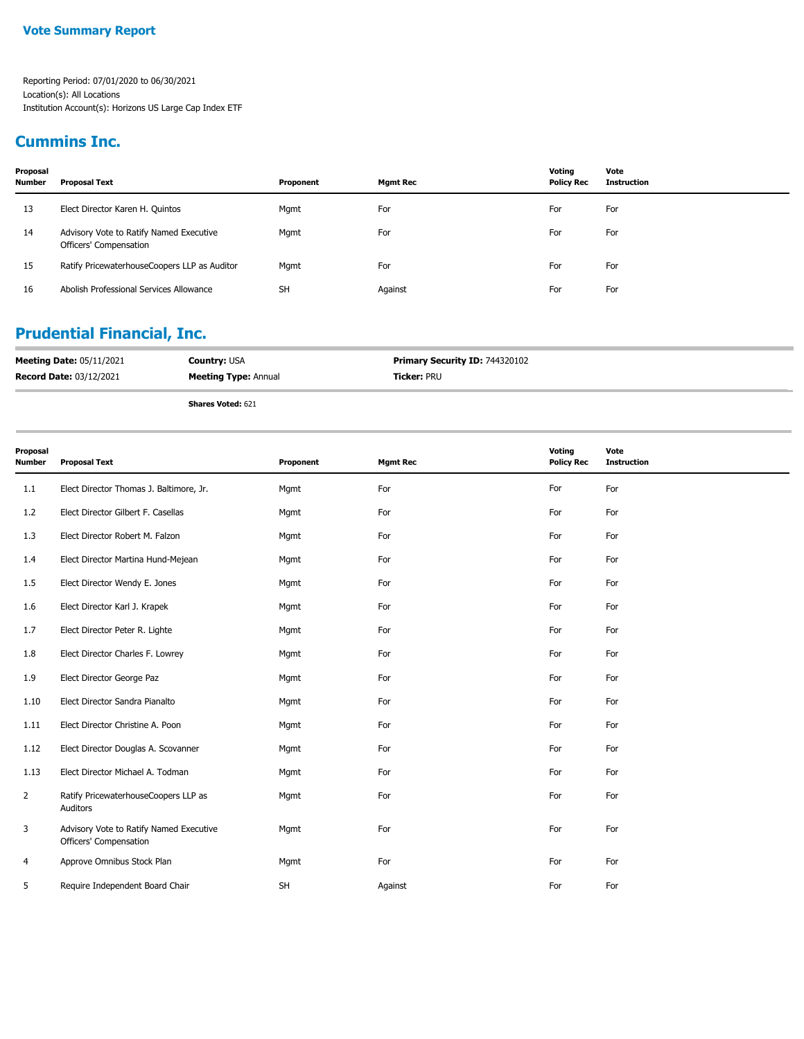### **Cummins Inc.**

| Proposal<br><b>Number</b> | Proposal Text                                                     | Proponent | Mgmt Rec | Votina<br><b>Policy Rec</b> | Vote<br>Instruction |
|---------------------------|-------------------------------------------------------------------|-----------|----------|-----------------------------|---------------------|
| 13                        | Elect Director Karen H. Quintos                                   | Mgmt      | For      | For                         | For                 |
| 14                        | Advisory Vote to Ratify Named Executive<br>Officers' Compensation | Mgmt      | For      | For                         | For                 |
| 15                        | Ratify PricewaterhouseCoopers LLP as Auditor                      | Mgmt      | For      | For                         | For                 |
| 16                        | Abolish Professional Services Allowance                           | <b>SH</b> | Against  | For                         | For                 |

## **Prudential Financial, Inc.**

| <b>Meeting Date: 05/11/2021</b> | <b>Country: USA</b>         | <b>Primary Security ID: 744320102</b> |
|---------------------------------|-----------------------------|---------------------------------------|
| <b>Record Date: 03/12/2021</b>  | <b>Meeting Type: Annual</b> | <b>Ticker:</b> PRU                    |
|                                 | <b>Shares Voted: 621</b>    |                                       |

| Proposal<br><b>Number</b> | <b>Proposal Text</b>                                              | Proponent | <b>Mgmt Rec</b> | Voting<br><b>Policy Rec</b> | Vote<br><b>Instruction</b> |
|---------------------------|-------------------------------------------------------------------|-----------|-----------------|-----------------------------|----------------------------|
| 1.1                       | Elect Director Thomas J. Baltimore, Jr.                           | Mgmt      | For             | For                         | For                        |
| 1.2                       | Elect Director Gilbert F. Casellas                                | Mgmt      | For             | For                         | For                        |
| 1.3                       | Elect Director Robert M. Falzon                                   | Mgmt      | For             | For                         | For                        |
| 1.4                       | Elect Director Martina Hund-Mejean                                | Mgmt      | For             | For                         | For                        |
| 1.5                       | Elect Director Wendy E. Jones                                     | Mgmt      | For             | For                         | For                        |
| 1.6                       | Elect Director Karl J. Krapek                                     | Mgmt      | For             | For                         | For                        |
| 1.7                       | Elect Director Peter R. Lighte                                    | Mgmt      | For             | For                         | For                        |
| 1.8                       | Elect Director Charles F. Lowrey                                  | Mgmt      | For             | For                         | For                        |
| 1.9                       | Elect Director George Paz                                         | Mgmt      | For             | For                         | For                        |
| 1.10                      | Elect Director Sandra Pianalto                                    | Mgmt      | For             | For                         | For                        |
| 1.11                      | Elect Director Christine A. Poon                                  | Mgmt      | For             | For                         | For                        |
| 1.12                      | Elect Director Douglas A. Scovanner                               | Mgmt      | For             | For                         | For                        |
| 1.13                      | Elect Director Michael A. Todman                                  | Mgmt      | For             | For                         | For                        |
| 2                         | Ratify PricewaterhouseCoopers LLP as<br>Auditors                  | Mgmt      | For             | For                         | For                        |
| 3                         | Advisory Vote to Ratify Named Executive<br>Officers' Compensation | Mgmt      | For             | For                         | For                        |
| 4                         | Approve Omnibus Stock Plan                                        | Mgmt      | For             | For                         | For                        |
| 5                         | Require Independent Board Chair                                   | <b>SH</b> | Against         | For                         | For                        |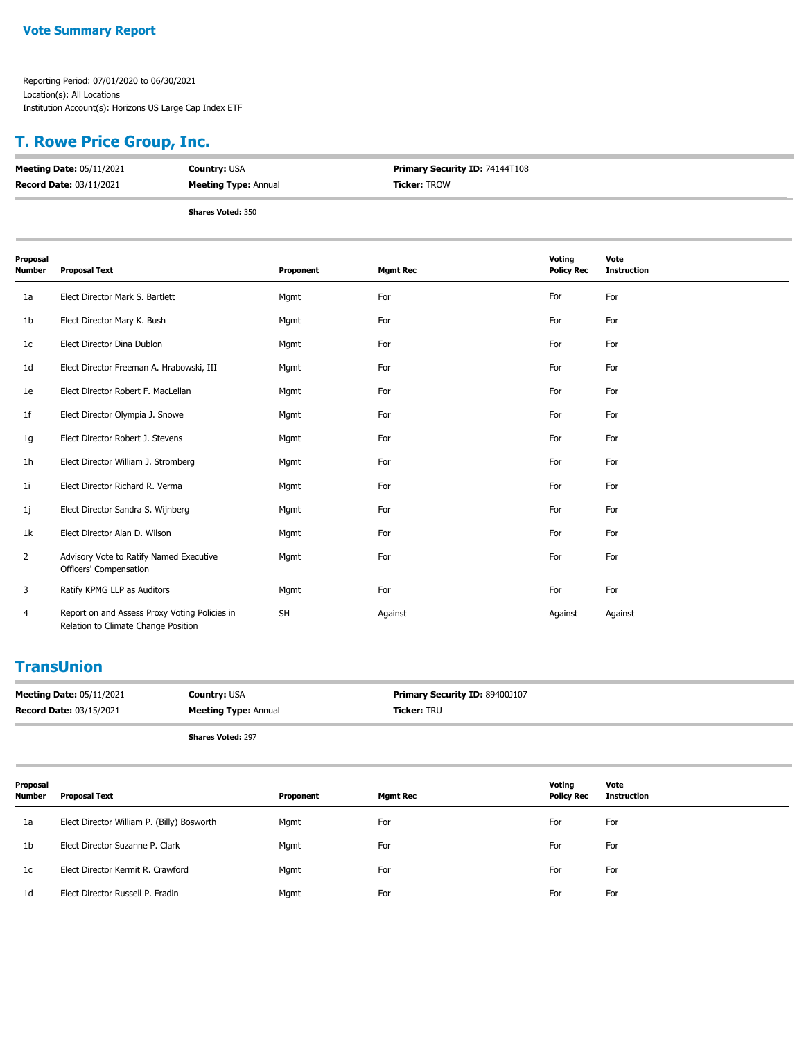#### **T. Rowe Price Group, Inc.**

| <b>Meeting Date: 05/11/2021</b> | <b>Country: USA</b>         | <b>Primary Security ID: 74144T108</b> |  |
|---------------------------------|-----------------------------|---------------------------------------|--|
| <b>Record Date: 03/11/2021</b>  | <b>Meeting Type: Annual</b> | <b>Ticker: TROW</b>                   |  |
|                                 |                             |                                       |  |
|                                 | <b>Shares Voted: 350</b>    |                                       |  |

| Proposal<br>Number | <b>Proposal Text</b>                                                                 | Proponent | <b>Mgmt Rec</b> | Voting<br><b>Policy Rec</b> | Vote<br><b>Instruction</b> |
|--------------------|--------------------------------------------------------------------------------------|-----------|-----------------|-----------------------------|----------------------------|
| 1a                 | Elect Director Mark S. Bartlett                                                      | Mgmt      | For             | For                         | For                        |
| 1b                 | Elect Director Mary K. Bush                                                          | Mgmt      | For             | For                         | For                        |
| 1c                 | Elect Director Dina Dublon                                                           | Mgmt      | For             | For                         | For                        |
| 1d                 | Elect Director Freeman A. Hrabowski, III                                             | Mgmt      | For             | For                         | For                        |
| 1e                 | Elect Director Robert F. MacLellan                                                   | Mgmt      | For             | For                         | For                        |
| 1f                 | Elect Director Olympia J. Snowe                                                      | Mgmt      | For             | For                         | For                        |
| 1g                 | Elect Director Robert J. Stevens                                                     | Mgmt      | For             | For                         | For                        |
| 1h                 | Elect Director William J. Stromberg                                                  | Mgmt      | For             | For                         | For                        |
| 1i                 | Elect Director Richard R. Verma                                                      | Mgmt      | For             | For                         | For                        |
| 1j                 | Elect Director Sandra S. Wijnberg                                                    | Mgmt      | For             | For                         | For                        |
| 1k                 | Elect Director Alan D. Wilson                                                        | Mgmt      | For             | For                         | For                        |
| $\overline{2}$     | Advisory Vote to Ratify Named Executive<br>Officers' Compensation                    | Mgmt      | For             | For                         | For                        |
| 3                  | Ratify KPMG LLP as Auditors                                                          | Mgmt      | For             | For                         | For                        |
| 4                  | Report on and Assess Proxy Voting Policies in<br>Relation to Climate Change Position | <b>SH</b> | Against         | Against                     | Against                    |

### **TransUnion**

| <b>Meeting Date: 05/11/2021</b> | <b>Country: USA</b>         | Primary Security ID: 89400J107 |
|---------------------------------|-----------------------------|--------------------------------|
| <b>Record Date: 03/15/2021</b>  | <b>Meeting Type: Annual</b> | <b>Ticker: TRU</b>             |
|                                 | <b>Shares Voted: 297</b>    |                                |

| Proposal<br>Number | Proposal Text                              | Proponent | <b>Mgmt Rec</b> | Voting<br><b>Policy Rec</b> | Vote<br>Instruction |
|--------------------|--------------------------------------------|-----------|-----------------|-----------------------------|---------------------|
| 1a                 | Elect Director William P. (Billy) Bosworth | Mgmt      | For             | For                         | For                 |
| 1 <sub>b</sub>     | Elect Director Suzanne P. Clark            | Mgmt      | For             | For                         | For                 |
| 1c                 | Elect Director Kermit R. Crawford          | Mgmt      | For             | For                         | For                 |
| 1d                 | Elect Director Russell P. Fradin           | Mgmt      | For             | For                         | For                 |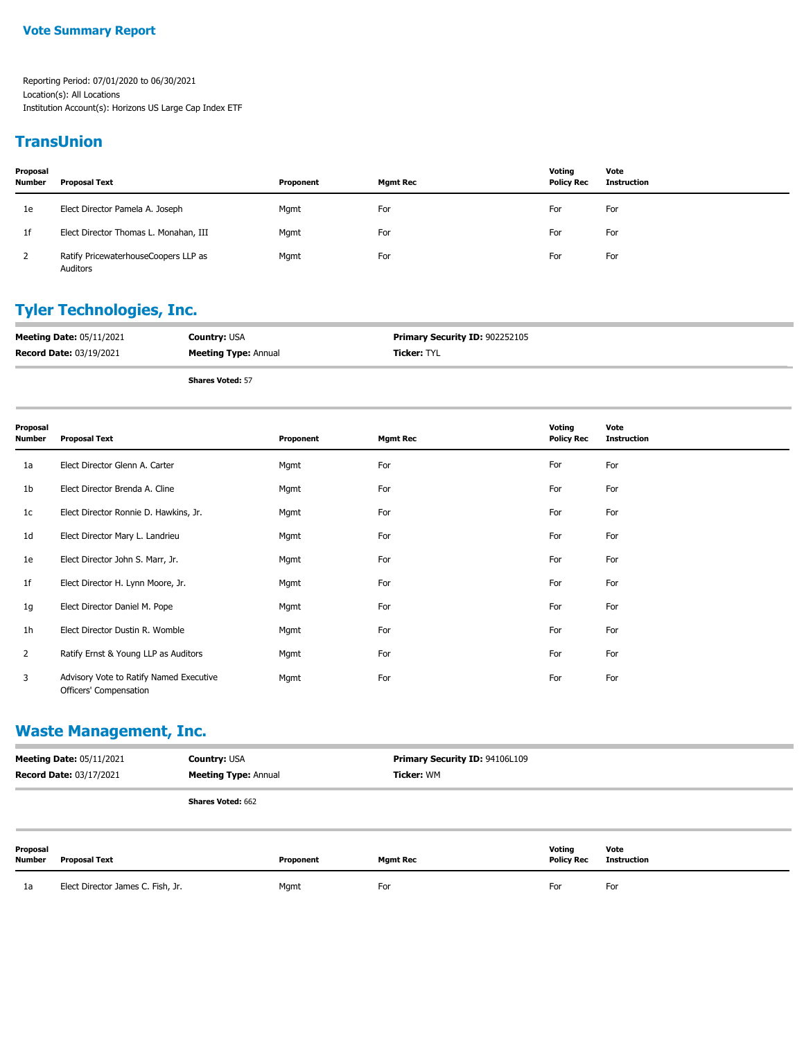#### **TransUnion**

| Proposal<br><b>Number</b> | Proposal Text                                    | Proponent | Mgmt Rec | Votina<br><b>Policy Rec</b> | Vote<br><b>Instruction</b> |
|---------------------------|--------------------------------------------------|-----------|----------|-----------------------------|----------------------------|
| 1e                        | Elect Director Pamela A. Joseph                  | Mgmt      | For      | For                         | For                        |
| 1f                        | Elect Director Thomas L. Monahan, III            | Mgmt      | For      | For                         | For                        |
|                           | Ratify PricewaterhouseCoopers LLP as<br>Auditors | Mgmt      | For      | For                         | For                        |

#### **Tyler Technologies, Inc.**

| <b>Meeting Date: 05/11/2021</b> | <b>Country: USA</b>         | <b>Primary Security ID: 902252105</b> |
|---------------------------------|-----------------------------|---------------------------------------|
| <b>Record Date: 03/19/2021</b>  | <b>Meeting Type: Annual</b> | <b>Ticker:</b> TYL                    |
|                                 | <b>Shares Voted: 57</b>     |                                       |

| Proposal<br><b>Number</b> | <b>Proposal Text</b>                                              | Proponent | <b>Mgmt Rec</b> | Voting<br><b>Policy Rec</b> | Vote<br><b>Instruction</b> |
|---------------------------|-------------------------------------------------------------------|-----------|-----------------|-----------------------------|----------------------------|
| 1a                        | Elect Director Glenn A. Carter                                    | Mgmt      | For             | For                         | For                        |
| 1b                        | Elect Director Brenda A. Cline                                    | Mgmt      | For             | For                         | For                        |
| 1c                        | Elect Director Ronnie D. Hawkins, Jr.                             | Mgmt      | For             | For                         | For                        |
| 1d                        | Elect Director Mary L. Landrieu                                   | Mgmt      | For             | For                         | For                        |
| 1e                        | Elect Director John S. Marr, Jr.                                  | Mgmt      | For             | For                         | For                        |
| 1f                        | Elect Director H. Lynn Moore, Jr.                                 | Mgmt      | For             | For                         | For                        |
| 1g                        | Elect Director Daniel M. Pope                                     | Mgmt      | For             | For                         | For                        |
| 1 <sub>h</sub>            | Elect Director Dustin R. Womble                                   | Mgmt      | For             | For                         | For                        |
| 2                         | Ratify Ernst & Young LLP as Auditors                              | Mgmt      | For             | For                         | For                        |
| 3                         | Advisory Vote to Ratify Named Executive<br>Officers' Compensation | Mgmt      | For             | For                         | For                        |

## **Waste Management, Inc.**

| <b>Meeting Date: 05/11/2021</b><br><b>Country: USA</b><br><b>Record Date: 03/17/2021</b><br><b>Meeting Type: Annual</b> |                                   | Primary Security ID: 94106L109<br>Ticker: WM |           |                 |                             |                            |
|-------------------------------------------------------------------------------------------------------------------------|-----------------------------------|----------------------------------------------|-----------|-----------------|-----------------------------|----------------------------|
|                                                                                                                         |                                   | <b>Shares Voted: 662</b>                     |           |                 |                             |                            |
| Proposal<br>Number                                                                                                      | <b>Proposal Text</b>              |                                              | Proponent | <b>Mgmt Rec</b> | Votina<br><b>Policy Rec</b> | Vote<br><b>Instruction</b> |
| 1a                                                                                                                      | Elect Director James C. Fish, Jr. |                                              | Mgmt      | For             | For                         | For                        |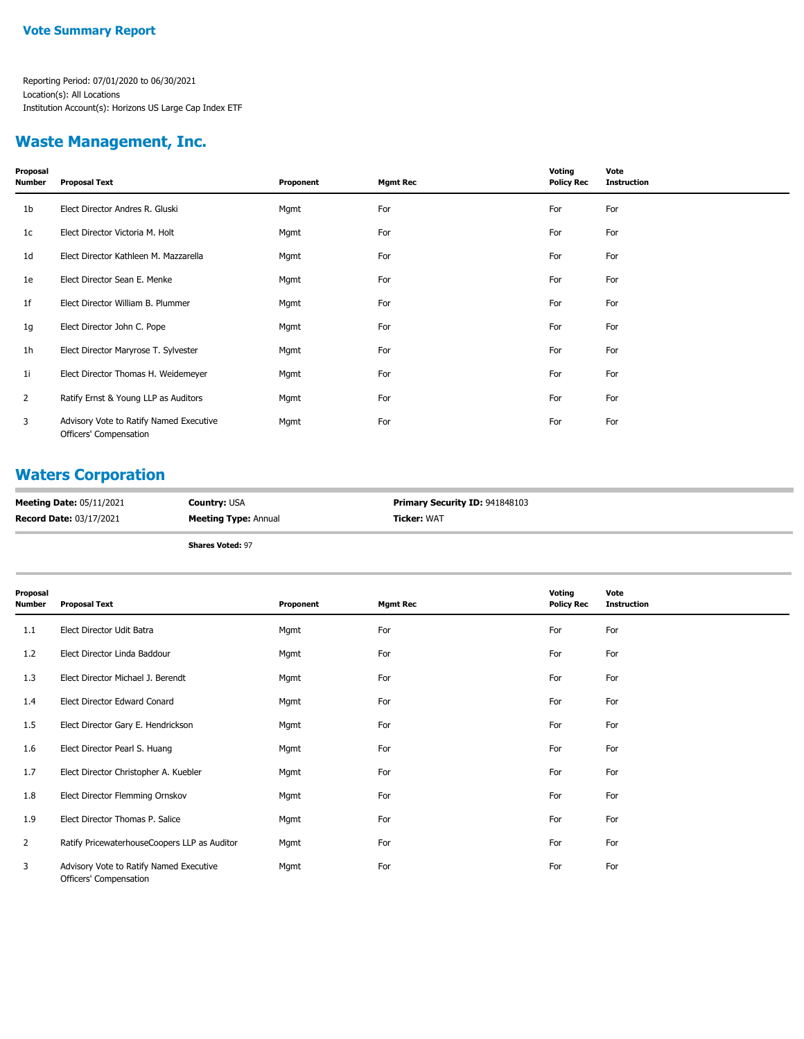#### **Waste Management, Inc.**

| Proposal<br><b>Number</b> | <b>Proposal Text</b>                                              | Proponent | <b>Mgmt Rec</b> | Voting<br><b>Policy Rec</b> | Vote<br><b>Instruction</b> |
|---------------------------|-------------------------------------------------------------------|-----------|-----------------|-----------------------------|----------------------------|
| 1b                        | Elect Director Andres R. Gluski                                   | Mgmt      | For             | For                         | For                        |
| 1c                        | Elect Director Victoria M. Holt                                   | Mgmt      | For             | For                         | For                        |
| 1d                        | Elect Director Kathleen M. Mazzarella                             | Mgmt      | For             | For                         | For                        |
| 1e                        | Elect Director Sean E. Menke                                      | Mgmt      | For             | For                         | For                        |
| 1f                        | Elect Director William B. Plummer                                 | Mgmt      | For             | For                         | For                        |
| 1g                        | Elect Director John C. Pope                                       | Mgmt      | For             | For                         | For                        |
| 1h                        | Elect Director Maryrose T. Sylvester                              | Mgmt      | For             | For                         | For                        |
| 1i                        | Elect Director Thomas H. Weidemeyer                               | Mgmt      | For             | For                         | For                        |
| 2                         | Ratify Ernst & Young LLP as Auditors                              | Mgmt      | For             | For                         | For                        |
| 3                         | Advisory Vote to Ratify Named Executive<br>Officers' Compensation | Mgmt      | For             | For                         | For                        |

#### **Waters Corporation**

| <b>Meeting Date: 05/11/2021</b> | <b>Countrv:</b> USA         | <b>Primary Security ID: 941848103</b> |
|---------------------------------|-----------------------------|---------------------------------------|
| <b>Record Date: 03/17/2021</b>  | <b>Meeting Type: Annual</b> | <b>Ticker: WAT</b>                    |

**Shares Voted:** 97

| Proposal<br>Number | <b>Proposal Text</b>                                              | Proponent | <b>Mgmt Rec</b> | Voting<br><b>Policy Rec</b> | Vote<br><b>Instruction</b> |
|--------------------|-------------------------------------------------------------------|-----------|-----------------|-----------------------------|----------------------------|
| 1.1                | Elect Director Udit Batra                                         | Mgmt      | For             | For                         | For                        |
| 1.2                | Elect Director Linda Baddour                                      | Mgmt      | For             | For                         | For                        |
| 1.3                | Elect Director Michael J. Berendt                                 | Mgmt      | For             | For                         | For                        |
| 1.4                | Elect Director Edward Conard                                      | Mgmt      | For             | For                         | For                        |
| 1.5                | Elect Director Gary E. Hendrickson                                | Mgmt      | For             | For                         | For                        |
| 1.6                | Elect Director Pearl S. Huang                                     | Mgmt      | For             | For                         | For                        |
| 1.7                | Elect Director Christopher A. Kuebler                             | Mgmt      | For             | For                         | For                        |
| 1.8                | Elect Director Flemming Ornskov                                   | Mgmt      | For             | For                         | For                        |
| 1.9                | Elect Director Thomas P. Salice                                   | Mgmt      | For             | For                         | For                        |
| $\overline{2}$     | Ratify PricewaterhouseCoopers LLP as Auditor                      | Mgmt      | For             | For                         | For                        |
| 3                  | Advisory Vote to Ratify Named Executive<br>Officers' Compensation | Mgmt      | For             | For                         | For                        |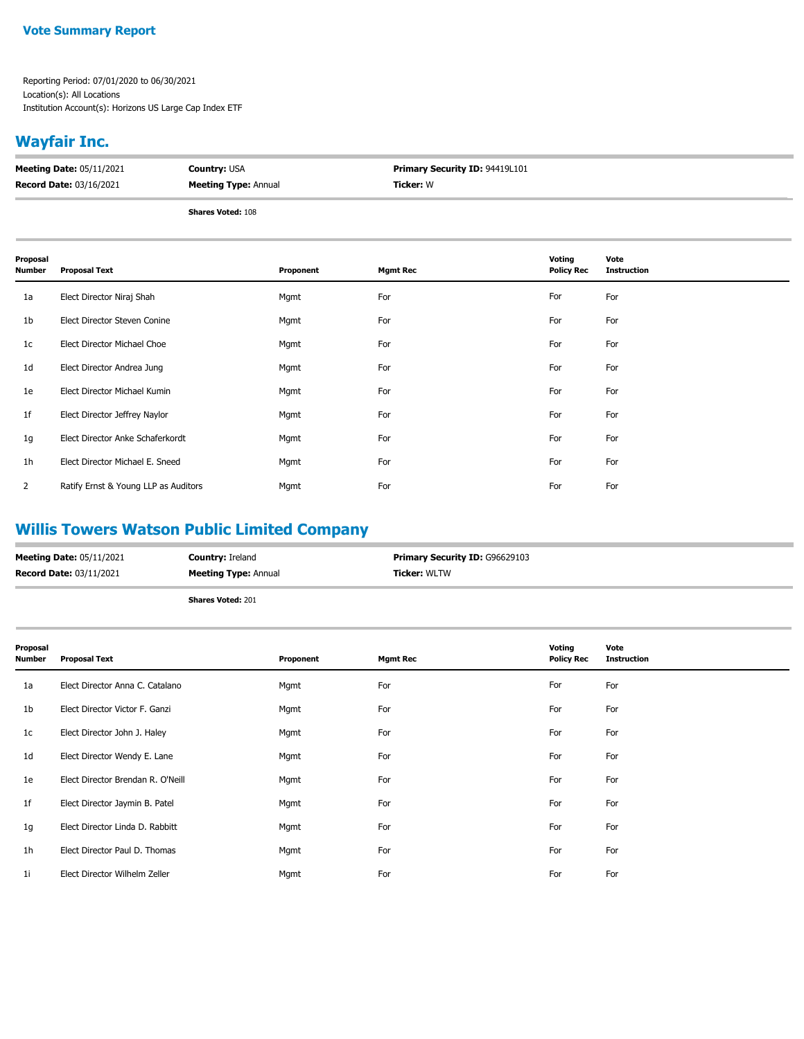#### **Vote Summary Report**

Reporting Period: 07/01/2020 to 06/30/2021 Location(s): All Locations Institution Account(s): Horizons US Large Cap Index ETF

## **Wayfair Inc.**

| <b>Meeting Date: 05/11/2021</b> | <b>Country: USA</b>         | <b>Primary Security ID: 94419L101</b> |
|---------------------------------|-----------------------------|---------------------------------------|
| <b>Record Date: 03/16/2021</b>  | <b>Meeting Type: Annual</b> | Ticker: W                             |
|                                 |                             |                                       |

**Shares Voted:** 108

| Proposal<br><b>Number</b> | <b>Proposal Text</b>                 | Proponent | <b>Mgmt Rec</b> | Voting<br><b>Policy Rec</b> | Vote<br><b>Instruction</b> |
|---------------------------|--------------------------------------|-----------|-----------------|-----------------------------|----------------------------|
| 1a                        | Elect Director Niraj Shah            | Mgmt      | For             | For                         | For                        |
| 1b                        | Elect Director Steven Conine         | Mgmt      | For             | For                         | For                        |
| 1 <sub>c</sub>            | Elect Director Michael Choe          | Mgmt      | For             | For                         | For                        |
| 1 <sub>d</sub>            | Elect Director Andrea Jung           | Mgmt      | For             | For                         | For                        |
| 1e                        | Elect Director Michael Kumin         | Mgmt      | For             | For                         | For                        |
| 1f                        | Elect Director Jeffrey Naylor        | Mgmt      | For             | For                         | For                        |
| 1g                        | Elect Director Anke Schaferkordt     | Mgmt      | For             | For                         | For                        |
| 1 <sub>h</sub>            | Elect Director Michael E. Sneed      | Mgmt      | For             | For                         | For                        |
| $\overline{2}$            | Ratify Ernst & Young LLP as Auditors | Mgmt      | For             | For                         | For                        |

## **Willis Towers Watson Public Limited Company**

| <b>Meeting Date: 05/11/2021</b> | <b>Country: Ireland</b>     | <b>Primary Security ID: G96629103</b> |
|---------------------------------|-----------------------------|---------------------------------------|
| <b>Record Date: 03/11/2021</b>  | <b>Meeting Type: Annual</b> | <b>Ticker: WLTW</b>                   |
|                                 | <b>Shares Voted: 201</b>    |                                       |

| Proposal<br>Number | <b>Proposal Text</b>              | Proponent | <b>Mgmt Rec</b> | Voting<br><b>Policy Rec</b> | Vote<br><b>Instruction</b> |
|--------------------|-----------------------------------|-----------|-----------------|-----------------------------|----------------------------|
| 1a                 | Elect Director Anna C. Catalano   | Mgmt      | For             | For                         | For                        |
| 1b                 | Elect Director Victor F. Ganzi    | Mgmt      | For             | For                         | For                        |
| 1c                 | Elect Director John J. Haley      | Mgmt      | For             | For                         | For                        |
| 1d                 | Elect Director Wendy E. Lane      | Mgmt      | For             | For                         | For                        |
| 1e                 | Elect Director Brendan R. O'Neill | Mgmt      | For             | For                         | For                        |
| 1f                 | Elect Director Jaymin B. Patel    | Mgmt      | For             | For                         | For                        |
| 1g                 | Elect Director Linda D. Rabbitt   | Mgmt      | For             | For                         | For                        |
| 1h                 | Elect Director Paul D. Thomas     | Mgmt      | For             | For                         | For                        |
| 1i                 | Elect Director Wilhelm Zeller     | Mgmt      | For             | For                         | For                        |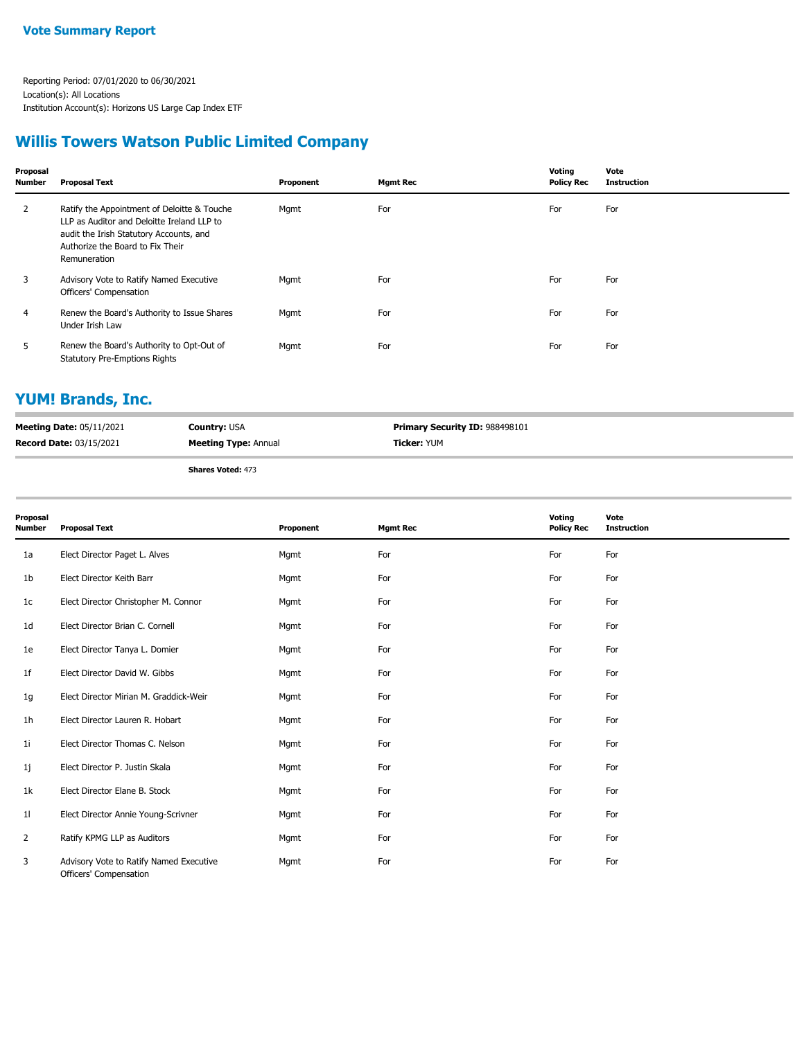#### **Willis Towers Watson Public Limited Company**

| Proposal<br>Number | <b>Proposal Text</b>                                                                                                                                                                     | Proponent | <b>Mgmt Rec</b> | Voting<br><b>Policy Rec</b> | Vote<br><b>Instruction</b> |
|--------------------|------------------------------------------------------------------------------------------------------------------------------------------------------------------------------------------|-----------|-----------------|-----------------------------|----------------------------|
| $\mathbf{2}$       | Ratify the Appointment of Deloitte & Touche<br>LLP as Auditor and Deloitte Ireland LLP to<br>audit the Irish Statutory Accounts, and<br>Authorize the Board to Fix Their<br>Remuneration | Mgmt      | For             | For                         | For                        |
| 3                  | Advisory Vote to Ratify Named Executive<br>Officers' Compensation                                                                                                                        | Mgmt      | For             | For                         | For                        |
| $\overline{4}$     | Renew the Board's Authority to Issue Shares<br>Under Irish Law                                                                                                                           | Mgmt      | For             | For                         | For                        |
| 5                  | Renew the Board's Authority to Opt-Out of<br><b>Statutory Pre-Emptions Rights</b>                                                                                                        | Mgmt      | For             | For                         | For                        |

## **YUM! Brands, Inc.**

| <b>Meeting Date: 05/11/2021</b> | <b>Country: USA</b>         | <b>Primary Security ID: 988498101</b> |
|---------------------------------|-----------------------------|---------------------------------------|
| <b>Record Date: 03/15/2021</b>  | <b>Meeting Type: Annual</b> | <b>Ticker:</b> YUM                    |
|                                 | <b>Shares Voted: 473</b>    |                                       |

| Proposal<br><b>Number</b> | <b>Proposal Text</b>                                              | Proponent | <b>Mgmt Rec</b> | Voting<br><b>Policy Rec</b> | Vote<br><b>Instruction</b> |
|---------------------------|-------------------------------------------------------------------|-----------|-----------------|-----------------------------|----------------------------|
| 1a                        | Elect Director Paget L. Alves                                     | Mgmt      | For             | For                         | For                        |
| 1 <sub>b</sub>            | Elect Director Keith Barr                                         | Mgmt      | For             | For                         | For                        |
| 1 <sub>c</sub>            | Elect Director Christopher M. Connor                              | Mgmt      | For             | For                         | For                        |
| 1 <sub>d</sub>            | Elect Director Brian C. Cornell                                   | Mgmt      | For             | For                         | For                        |
| 1e                        | Elect Director Tanya L. Domier                                    | Mgmt      | For             | For                         | For                        |
| 1 <sub>f</sub>            | Elect Director David W. Gibbs                                     | Mgmt      | For             | For                         | For                        |
| 1g                        | Elect Director Mirian M. Graddick-Weir                            | Mgmt      | For             | For                         | For                        |
| 1h                        | Elect Director Lauren R. Hobart                                   | Mgmt      | For             | For                         | For                        |
| 11                        | Elect Director Thomas C. Nelson                                   | Mgmt      | For             | For                         | For                        |
| 1j                        | Elect Director P. Justin Skala                                    | Mgmt      | For             | For                         | For                        |
| 1k                        | Elect Director Elane B. Stock                                     | Mgmt      | For             | For                         | For                        |
| 11                        | Elect Director Annie Young-Scrivner                               | Mgmt      | For             | For                         | For                        |
| 2                         | Ratify KPMG LLP as Auditors                                       | Mgmt      | For             | For                         | For                        |
| 3                         | Advisory Vote to Ratify Named Executive<br>Officers' Compensation | Mgmt      | For             | For                         | For                        |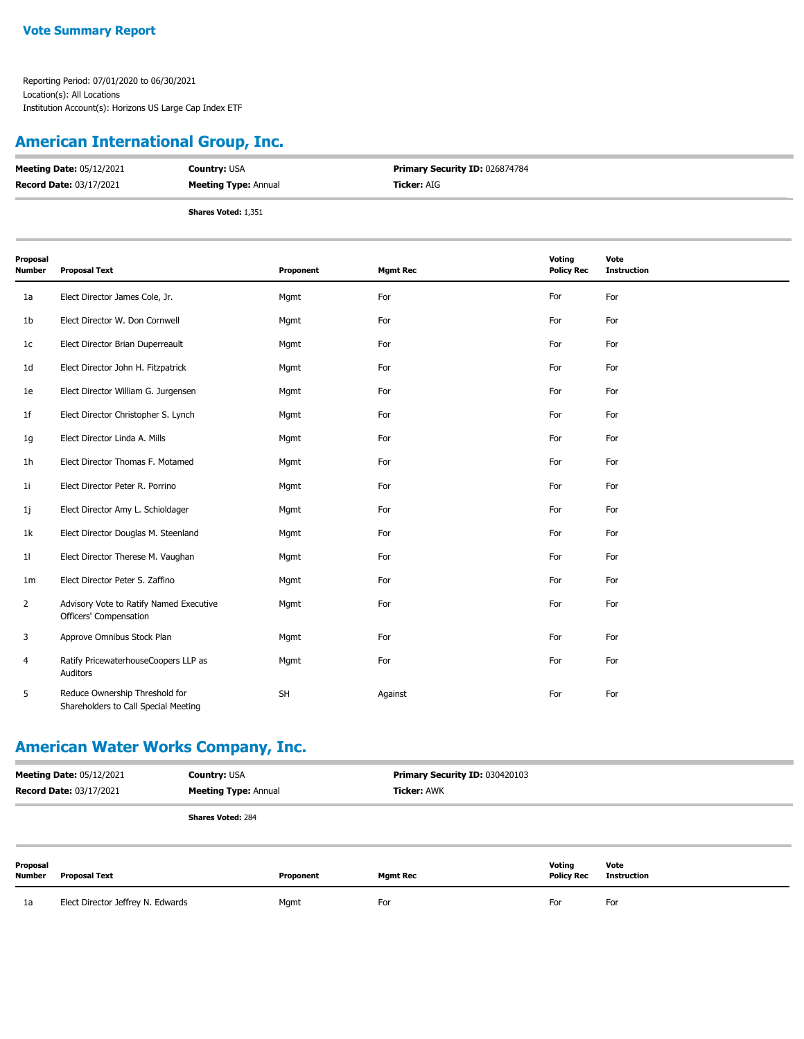## **American International Group, Inc.**

| <b>Meeting Date: 05/12/2021</b> | <b>Country: USA</b>         | <b>Primary Security ID: 026874784</b> |
|---------------------------------|-----------------------------|---------------------------------------|
| <b>Record Date: 03/17/2021</b>  | <b>Meeting Type: Annual</b> | <b>Ticker:</b> AIG                    |
|                                 | <b>Shares Voted: 1,351</b>  |                                       |

| Proposal<br>Number | <b>Proposal Text</b>                                                   | Proponent | <b>Mgmt Rec</b> | Voting<br><b>Policy Rec</b> | Vote<br><b>Instruction</b> |
|--------------------|------------------------------------------------------------------------|-----------|-----------------|-----------------------------|----------------------------|
| 1a                 | Elect Director James Cole, Jr.                                         | Mgmt      | For             | For                         | For                        |
| 1b                 | Elect Director W. Don Cornwell                                         | Mgmt      | For             | For                         | For                        |
| 1c                 | Elect Director Brian Duperreault                                       | Mgmt      | For             | For                         | For                        |
| 1d                 | Elect Director John H. Fitzpatrick                                     | Mgmt      | For             | For                         | For                        |
| 1e                 | Elect Director William G. Jurgensen                                    | Mgmt      | For             | For                         | For                        |
| 1f                 | Elect Director Christopher S. Lynch                                    | Mgmt      | For             | For                         | For                        |
| 1g                 | Elect Director Linda A. Mills                                          | Mgmt      | For             | For                         | For                        |
| 1h                 | Elect Director Thomas F. Motamed                                       | Mgmt      | For             | For                         | For                        |
| 11                 | Elect Director Peter R. Porrino                                        | Mgmt      | For             | For                         | For                        |
| 1j                 | Elect Director Amy L. Schioldager                                      | Mgmt      | For             | For                         | For                        |
| 1k                 | Elect Director Douglas M. Steenland                                    | Mgmt      | For             | For                         | For                        |
| 11                 | Elect Director Therese M. Vaughan                                      | Mgmt      | For             | For                         | For                        |
| 1 <sub>m</sub>     | Elect Director Peter S. Zaffino                                        | Mgmt      | For             | For                         | For                        |
| $\overline{2}$     | Advisory Vote to Ratify Named Executive<br>Officers' Compensation      | Mgmt      | For             | For                         | For                        |
| 3                  | Approve Omnibus Stock Plan                                             | Mgmt      | For             | For                         | For                        |
| 4                  | Ratify PricewaterhouseCoopers LLP as<br>Auditors                       | Mgmt      | For             | For                         | For                        |
| 5                  | Reduce Ownership Threshold for<br>Shareholders to Call Special Meeting | SH        | Against         | For                         | For                        |

## **American Water Works Company, Inc.**

| <b>Meeting Date: 05/12/2021</b><br><b>Record Date: 03/17/2021</b> |                                   | <b>Country: USA</b><br><b>Meeting Type: Annual</b> |           | Primary Security ID: 030420103<br><b>Ticker: AWK</b> |                             |                            |
|-------------------------------------------------------------------|-----------------------------------|----------------------------------------------------|-----------|------------------------------------------------------|-----------------------------|----------------------------|
|                                                                   |                                   | <b>Shares Voted: 284</b>                           |           |                                                      |                             |                            |
| Proposal<br>Number                                                | Proposal Text                     |                                                    | Proponent | <b>Mgmt Rec</b>                                      | Votina<br><b>Policy Rec</b> | Vote<br><b>Instruction</b> |
| 1a                                                                | Elect Director Jeffrey N. Edwards |                                                    | Mgmt      | For                                                  | For                         | For                        |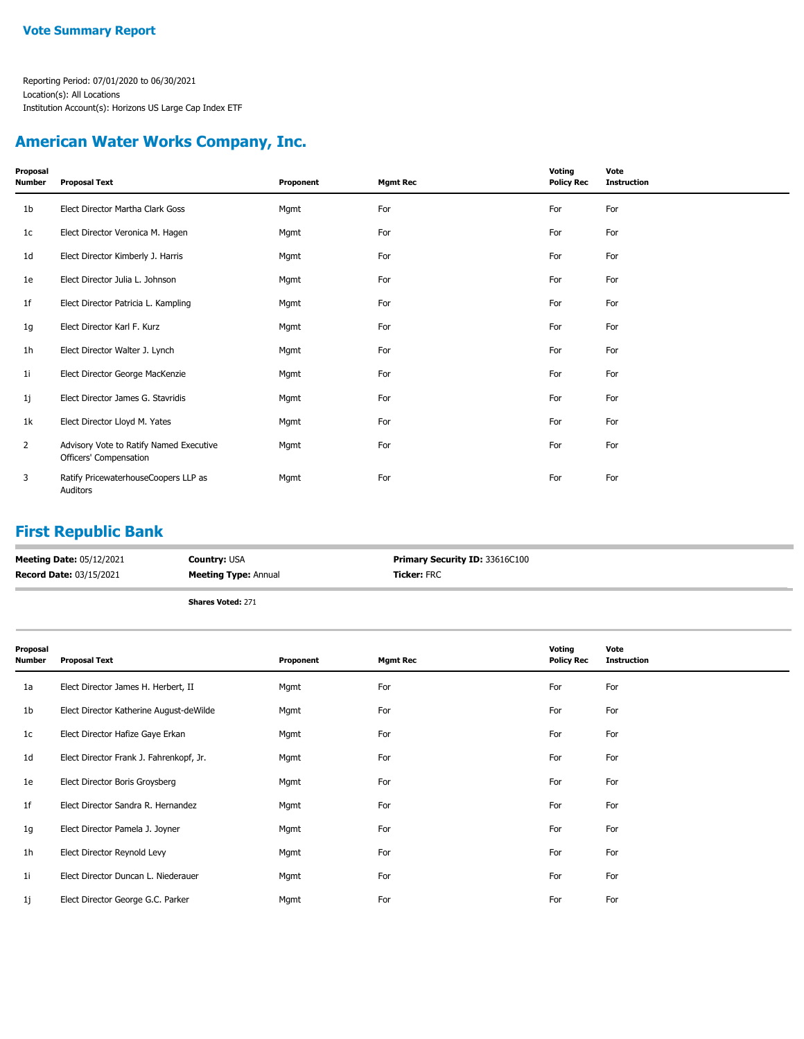## **American Water Works Company, Inc.**

| Proposal<br>Number | <b>Proposal Text</b>                                              | Proponent | <b>Mgmt Rec</b> | Voting<br><b>Policy Rec</b> | Vote<br><b>Instruction</b> |
|--------------------|-------------------------------------------------------------------|-----------|-----------------|-----------------------------|----------------------------|
| 1b                 | Elect Director Martha Clark Goss                                  | Mgmt      | For             | For                         | For                        |
| 1c                 | Elect Director Veronica M. Hagen                                  | Mgmt      | For             | For                         | For                        |
| 1d                 | Elect Director Kimberly J. Harris                                 | Mgmt      | For             | For                         | For                        |
| 1e                 | Elect Director Julia L. Johnson                                   | Mgmt      | For             | For                         | For                        |
| 1f                 | Elect Director Patricia L. Kampling                               | Mgmt      | For             | For                         | For                        |
| 1g                 | Elect Director Karl F. Kurz                                       | Mgmt      | For             | For                         | For                        |
| 1h                 | Elect Director Walter J. Lynch                                    | Mgmt      | For             | For                         | For                        |
| 11                 | Elect Director George MacKenzie                                   | Mgmt      | For             | For                         | For                        |
| 1j                 | Elect Director James G. Stavridis                                 | Mgmt      | For             | For                         | For                        |
| 1k                 | Elect Director Lloyd M. Yates                                     | Mgmt      | For             | For                         | For                        |
| $\overline{2}$     | Advisory Vote to Ratify Named Executive<br>Officers' Compensation | Mgmt      | For             | For                         | For                        |
| 3                  | Ratify PricewaterhouseCoopers LLP as<br>Auditors                  | Mgmt      | For             | For                         | For                        |

#### **First Republic Bank**

| <b>Meeting Date: 05/12/2021</b> | <b>Country: USA</b>         | <b>Primary Security ID: 33616C100</b> |
|---------------------------------|-----------------------------|---------------------------------------|
| <b>Record Date: 03/15/2021</b>  | <b>Meeting Type: Annual</b> | <b>Ticker: FRC</b>                    |
|                                 | <b>Shares Voted: 271</b>    |                                       |

| Proposal<br>Number | <b>Proposal Text</b>                    | Proponent | <b>Mgmt Rec</b> | Voting<br><b>Policy Rec</b> | Vote<br><b>Instruction</b> |
|--------------------|-----------------------------------------|-----------|-----------------|-----------------------------|----------------------------|
| 1a                 | Elect Director James H. Herbert, II     | Mgmt      | For             | For                         | For                        |
| 1b                 | Elect Director Katherine August-deWilde | Mgmt      | For             | For                         | For                        |
| 1c                 | Elect Director Hafize Gaye Erkan        | Mgmt      | For             | For                         | For                        |
| 1d                 | Elect Director Frank J. Fahrenkopf, Jr. | Mgmt      | For             | For                         | For                        |
| 1e                 | Elect Director Boris Groysberg          | Mgmt      | For             | For                         | For                        |
| 1f                 | Elect Director Sandra R. Hernandez      | Mgmt      | For             | For                         | For                        |
| 1g                 | Elect Director Pamela J. Joyner         | Mgmt      | For             | For                         | For                        |
| 1 <sub>h</sub>     | Elect Director Reynold Levy             | Mgmt      | For             | For                         | For                        |
| 1i                 | Elect Director Duncan L. Niederauer     | Mgmt      | For             | For                         | For                        |
| 1j                 | Elect Director George G.C. Parker       | Mgmt      | For             | For                         | For                        |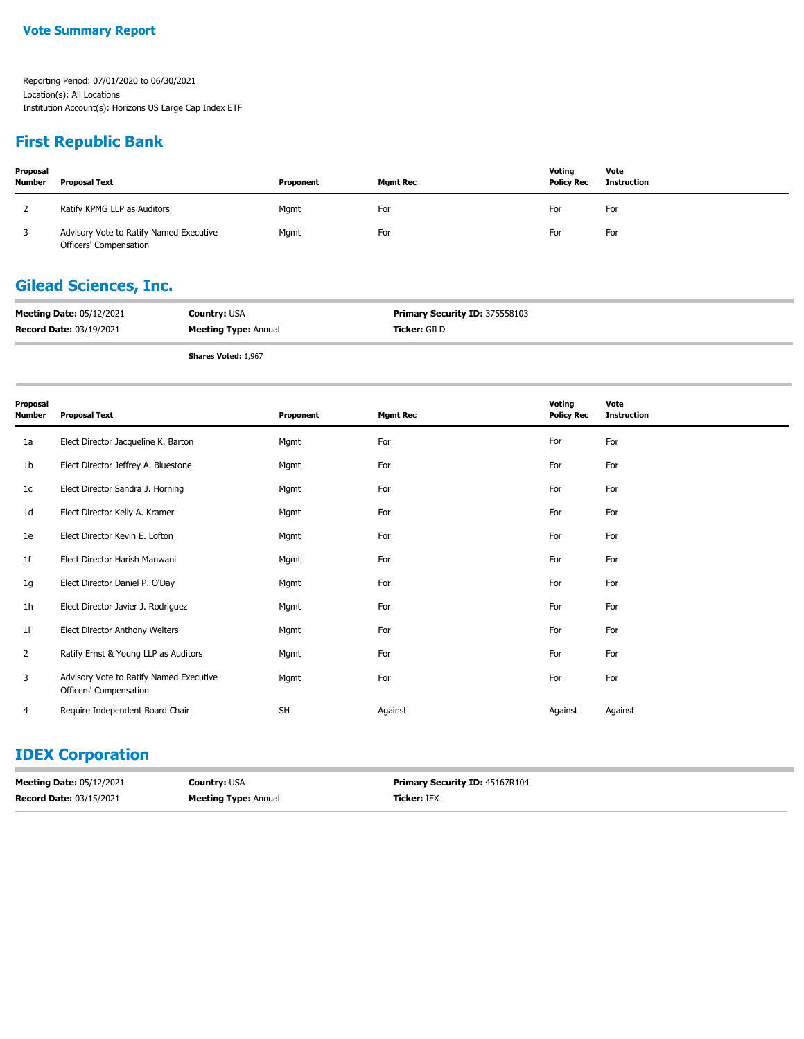#### **First Republic Bank**

| Proposal<br><b>Number</b> | Proposal Text                                                     | Proponent | <b>Mamt Rec</b> | Voting<br><b>Policy Rec</b> | Vote<br>Instruction |
|---------------------------|-------------------------------------------------------------------|-----------|-----------------|-----------------------------|---------------------|
|                           | Ratify KPMG LLP as Auditors                                       | Mgmt      | For             | For                         | For                 |
|                           | Advisory Vote to Ratify Named Executive<br>Officers' Compensation | Mgmt      | For             | For                         | For                 |

## **Gilead Sciences, Inc.**

| <b>Meeting Date: 05/12/2021</b> | <b>Country: USA</b>         | <b>Primary Security ID: 375558103</b> |
|---------------------------------|-----------------------------|---------------------------------------|
| <b>Record Date: 03/19/2021</b>  | <b>Meeting Type: Annual</b> | Ticker: GILD                          |

**Shares Voted:** 1,967

| Proposal<br><b>Number</b> | <b>Proposal Text</b>                                              | Proponent | <b>Mgmt Rec</b> | Voting<br><b>Policy Rec</b> | Vote<br><b>Instruction</b> |
|---------------------------|-------------------------------------------------------------------|-----------|-----------------|-----------------------------|----------------------------|
| 1a                        | Elect Director Jacqueline K. Barton                               | Mgmt      | For             | For                         | For                        |
| 1 <sub>b</sub>            | Elect Director Jeffrey A. Bluestone                               | Mgmt      | For             | For                         | For                        |
| 1 <sub>c</sub>            | Elect Director Sandra J. Horning                                  | Mgmt      | For             | For                         | For                        |
| 1 <sub>d</sub>            | Elect Director Kelly A. Kramer                                    | Mgmt      | For             | For                         | For                        |
| 1e                        | Elect Director Kevin E. Lofton                                    | Mgmt      | For             | For                         | For                        |
| 1 <sup>f</sup>            | Elect Director Harish Manwani                                     | Mgmt      | For             | For                         | For                        |
| 1g                        | Elect Director Daniel P. O'Day                                    | Mgmt      | For             | For                         | For                        |
| 1 <sub>h</sub>            | Elect Director Javier J. Rodriguez                                | Mgmt      | For             | For                         | For                        |
| 1i                        | Elect Director Anthony Welters                                    | Mgmt      | For             | For                         | For                        |
| $\overline{2}$            | Ratify Ernst & Young LLP as Auditors                              | Mgmt      | For             | For                         | For                        |
| 3                         | Advisory Vote to Ratify Named Executive<br>Officers' Compensation | Mgmt      | For             | For                         | For                        |
| $\overline{4}$            | Require Independent Board Chair                                   | <b>SH</b> | Against         | Against                     | Against                    |

## **IDEX Corporation**

| <b>Meeting Date: 05/12/2021</b> | <b>Country:</b> USA         | <b>Primary Security ID: 45167R104</b> |
|---------------------------------|-----------------------------|---------------------------------------|
| <b>Record Date: 03/15/2021</b>  | <b>Meeting Type: Annual</b> | <b>Ticker:</b> IEX                    |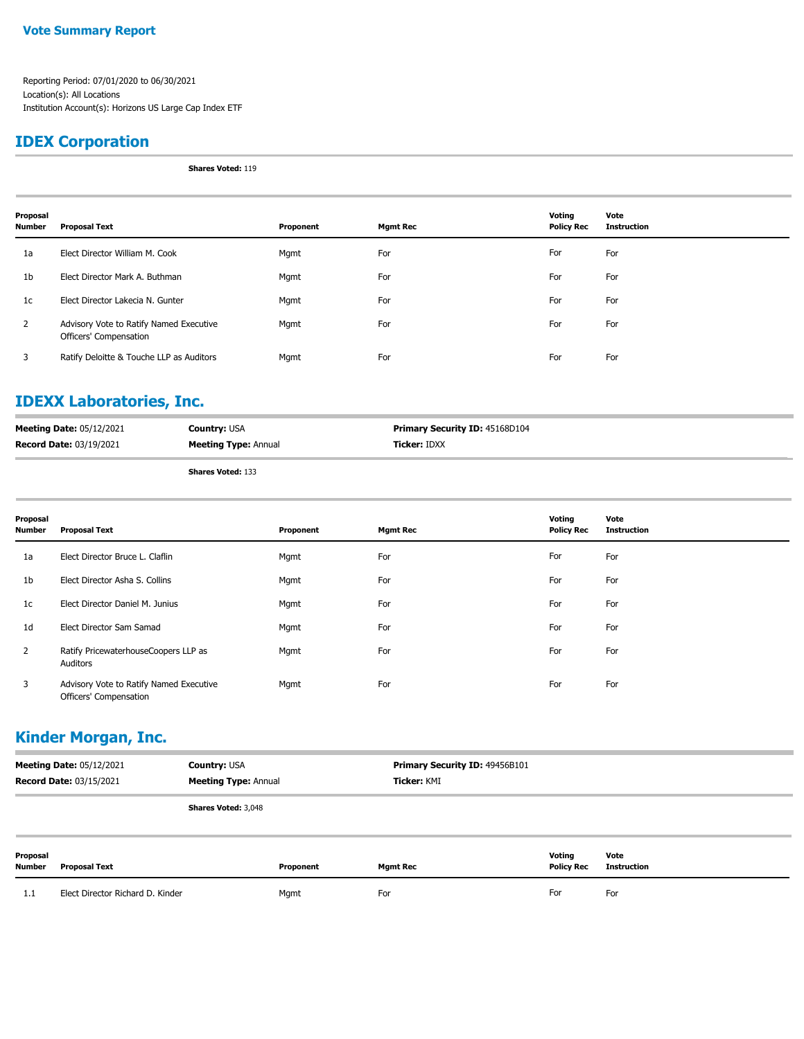#### **Vote Summary Report**

Reporting Period: 07/01/2020 to 06/30/2021 Location(s): All Locations Institution Account(s): Horizons US Large Cap Index ETF

### **IDEX Corporation**

**Shares Voted:** 119

| Proposal<br><b>Number</b> | Proposal Text                                                     | Proponent | <b>Mgmt Rec</b> | Voting<br><b>Policy Rec</b> | Vote<br><b>Instruction</b> |
|---------------------------|-------------------------------------------------------------------|-----------|-----------------|-----------------------------|----------------------------|
| 1a                        | Elect Director William M. Cook                                    | Mgmt      | For             | For                         | For                        |
| 1 <sub>b</sub>            | Elect Director Mark A. Buthman                                    | Mgmt      | For             | For                         | For                        |
| 1c                        | Elect Director Lakecia N. Gunter                                  | Mgmt      | For             | For                         | For                        |
| 2                         | Advisory Vote to Ratify Named Executive<br>Officers' Compensation | Mgmt      | For             | For                         | For                        |
| 3                         | Ratify Deloitte & Touche LLP as Auditors                          | Mgmt      | For             | For                         | For                        |

## **IDEXX Laboratories, Inc.**

| <b>Meeting Date: 05/12/2021</b> | <b>Country: USA</b>         | <b>Primary Security ID: 45168D104</b> |
|---------------------------------|-----------------------------|---------------------------------------|
| <b>Record Date: 03/19/2021</b>  | <b>Meeting Type: Annual</b> | <b>Ticker: IDXX</b>                   |
|                                 | <b>Shares Voted: 133</b>    |                                       |

**Shares Voted:** 133

| Proposal<br><b>Number</b> | <b>Proposal Text</b>                                              | Proponent | <b>Mgmt Rec</b> | Voting<br><b>Policy Rec</b> | Vote<br><b>Instruction</b> |
|---------------------------|-------------------------------------------------------------------|-----------|-----------------|-----------------------------|----------------------------|
| 1a                        | Elect Director Bruce L. Claflin                                   | Mgmt      | For             | For                         | For                        |
| 1 <sub>b</sub>            | Elect Director Asha S. Collins                                    | Mgmt      | For             | For                         | For                        |
| 1 <sub>c</sub>            | Elect Director Daniel M. Junius                                   | Mgmt      | For             | For                         | For                        |
| 1 <sub>d</sub>            | Elect Director Sam Samad                                          | Mgmt      | For             | For                         | For                        |
| $\mathbf{2}$              | Ratify PricewaterhouseCoopers LLP as<br>Auditors                  | Mgmt      | For             | For                         | For                        |
| 3                         | Advisory Vote to Ratify Named Executive<br>Officers' Compensation | Mgmt      | For             | For                         | For                        |

#### **Kinder Morgan, Inc.**

|                    | <b>Meeting Date: 05/12/2021</b><br><b>Record Date: 03/15/2021</b> | <b>Country: USA</b><br><b>Meeting Type: Annual</b> |           | Primary Security ID: 49456B101<br>Ticker: KMI |                             |                            |
|--------------------|-------------------------------------------------------------------|----------------------------------------------------|-----------|-----------------------------------------------|-----------------------------|----------------------------|
|                    |                                                                   | <b>Shares Voted: 3,048</b>                         |           |                                               |                             |                            |
| Proposal<br>Number | <b>Proposal Text</b>                                              |                                                    | Proponent | <b>Mgmt Rec</b>                               | Voting<br><b>Policy Rec</b> | Vote<br><b>Instruction</b> |
| 1.1                | Elect Director Richard D. Kinder                                  |                                                    | Mgmt      | For                                           | For                         | For                        |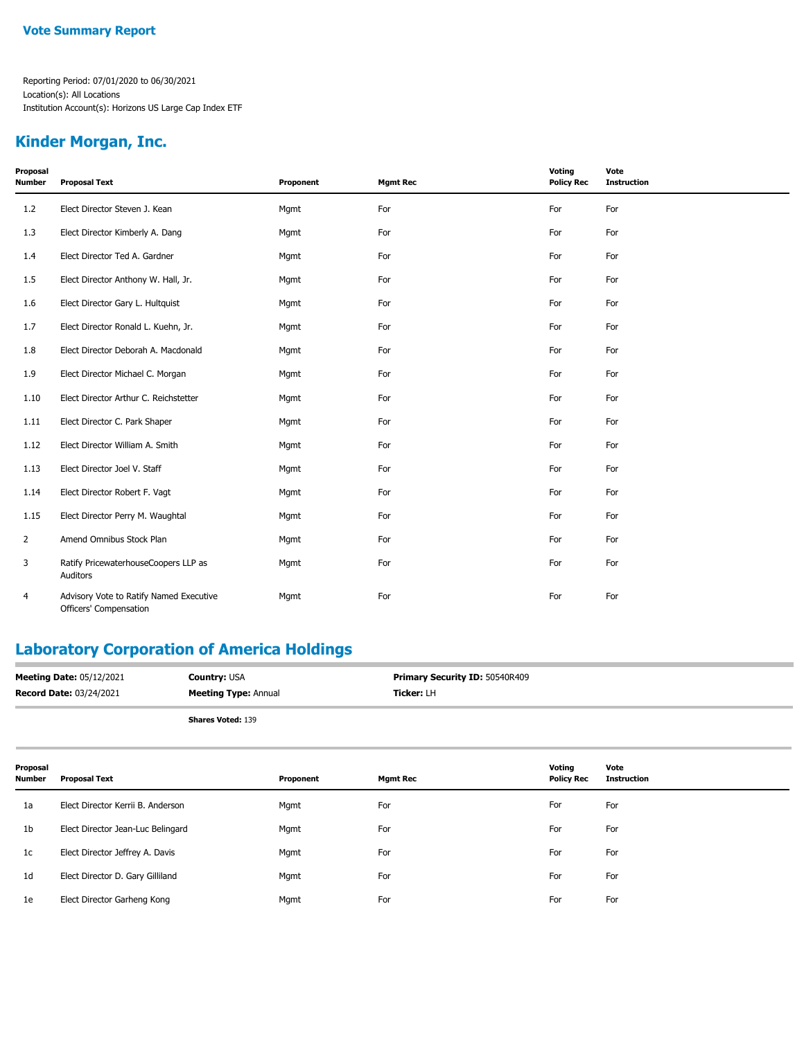#### **Kinder Morgan, Inc.**

| Proposal<br><b>Number</b> | <b>Proposal Text</b>                                              | Proponent | <b>Mgmt Rec</b> | Voting<br><b>Policy Rec</b> | Vote<br><b>Instruction</b> |
|---------------------------|-------------------------------------------------------------------|-----------|-----------------|-----------------------------|----------------------------|
| 1.2                       | Elect Director Steven J. Kean                                     | Mgmt      | For             | For                         | For                        |
| 1.3                       | Elect Director Kimberly A. Dang                                   | Mgmt      | For             | For                         | For                        |
| 1.4                       | Elect Director Ted A. Gardner                                     | Mgmt      | For             | For                         | For                        |
| 1.5                       | Elect Director Anthony W. Hall, Jr.                               | Mgmt      | For             | For                         | For                        |
| 1.6                       | Elect Director Gary L. Hultquist                                  | Mgmt      | For             | For                         | For                        |
| 1.7                       | Elect Director Ronald L. Kuehn, Jr.                               | Mgmt      | For             | For                         | For                        |
| 1.8                       | Elect Director Deborah A. Macdonald                               | Mgmt      | For             | For                         | For                        |
| 1.9                       | Elect Director Michael C. Morgan                                  | Mgmt      | For             | For                         | For                        |
| 1.10                      | Elect Director Arthur C. Reichstetter                             | Mgmt      | For             | For                         | For                        |
| 1.11                      | Elect Director C. Park Shaper                                     | Mgmt      | For             | For                         | For                        |
| 1.12                      | Elect Director William A. Smith                                   | Mgmt      | For             | For                         | For                        |
| 1.13                      | Elect Director Joel V. Staff                                      | Mgmt      | For             | For                         | For                        |
| 1.14                      | Elect Director Robert F. Vagt                                     | Mgmt      | For             | For                         | For                        |
| 1.15                      | Elect Director Perry M. Waughtal                                  | Mgmt      | For             | For                         | For                        |
| $\overline{2}$            | Amend Omnibus Stock Plan                                          | Mgmt      | For             | For                         | For                        |
| 3                         | Ratify PricewaterhouseCoopers LLP as<br>Auditors                  | Mgmt      | For             | For                         | For                        |
| 4                         | Advisory Vote to Ratify Named Executive<br>Officers' Compensation | Mgmt      | For             | For                         | For                        |

## **Laboratory Corporation of America Holdings**

| <b>Meeting Date: 05/12/2021</b> | <b>Country: USA</b>         | <b>Primary Security ID: 50540R409</b> |
|---------------------------------|-----------------------------|---------------------------------------|
| <b>Record Date: 03/24/2021</b>  | <b>Meeting Type: Annual</b> | <b>Ticker:</b> LH                     |
|                                 | <b>Shares Voted: 139</b>    |                                       |

| Proposal<br><b>Number</b> | <b>Proposal Text</b>              | Proponent | <b>Mgmt Rec</b> | Voting<br><b>Policy Rec</b> | Vote<br><b>Instruction</b> |
|---------------------------|-----------------------------------|-----------|-----------------|-----------------------------|----------------------------|
| 1a                        | Elect Director Kerrii B. Anderson | Mgmt      | For             | For                         | For                        |
| 1b                        | Elect Director Jean-Luc Belingard | Mgmt      | For             | For                         | For                        |
| 1c                        | Elect Director Jeffrey A. Davis   | Mgmt      | For             | For                         | For                        |
| 1d                        | Elect Director D. Gary Gilliland  | Mgmt      | For             | For                         | For                        |
| 1e                        | Elect Director Garheng Kong       | Mgmt      | For             | For                         | For                        |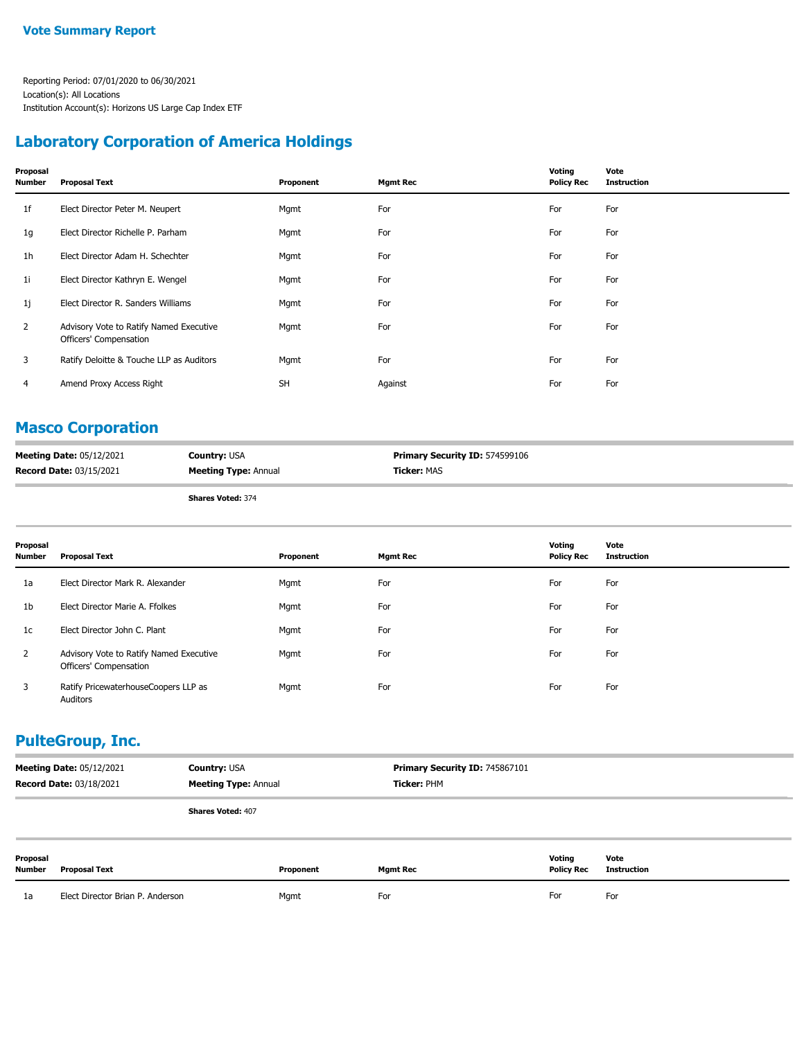#### **Laboratory Corporation of America Holdings**

| Proposal<br>Number | <b>Proposal Text</b>                                              | Proponent | <b>Mgmt Rec</b> | Voting<br><b>Policy Rec</b> | Vote<br><b>Instruction</b> |
|--------------------|-------------------------------------------------------------------|-----------|-----------------|-----------------------------|----------------------------|
| 1f                 | Elect Director Peter M. Neupert                                   | Mgmt      | For             | For                         | For                        |
| 1g                 | Elect Director Richelle P. Parham                                 | Mgmt      | For             | For                         | For                        |
| 1h                 | Elect Director Adam H. Schechter                                  | Mgmt      | For             | For                         | For                        |
| 11                 | Elect Director Kathryn E. Wengel                                  | Mgmt      | For             | For                         | For                        |
| 1j                 | Elect Director R. Sanders Williams                                | Mgmt      | For             | For                         | For                        |
| 2                  | Advisory Vote to Ratify Named Executive<br>Officers' Compensation | Mgmt      | For             | For                         | For                        |
| 3                  | Ratify Deloitte & Touche LLP as Auditors                          | Mgmt      | For             | For                         | For                        |
| 4                  | Amend Proxy Access Right                                          | <b>SH</b> | Against         | For                         | For                        |

#### **Masco Corporation**

| <b>Meeting Date: 05/12/2021</b> | <b>Country: USA</b>         | <b>Primary Security ID: 574599106</b> |
|---------------------------------|-----------------------------|---------------------------------------|
| <b>Record Date: 03/15/2021</b>  | <b>Meeting Type: Annual</b> | <b>Ticker:</b> MAS                    |

**Shares Voted:** 374

| Proposal<br><b>Number</b> | <b>Proposal Text</b>                                              | Proponent | <b>Mgmt Rec</b> | Voting<br><b>Policy Rec</b> | Vote<br><b>Instruction</b> |
|---------------------------|-------------------------------------------------------------------|-----------|-----------------|-----------------------------|----------------------------|
| 1a                        | Elect Director Mark R. Alexander                                  | Mgmt      | For             | For                         | For                        |
| 1 <sub>b</sub>            | Elect Director Marie A. Ffolkes                                   | Mgmt      | For             | For                         | For                        |
| 1 <sub>c</sub>            | Elect Director John C. Plant                                      | Mgmt      | For             | For                         | For                        |
| $\overline{2}$            | Advisory Vote to Ratify Named Executive<br>Officers' Compensation | Mgmt      | For             | For                         | For                        |
| 3                         | Ratify PricewaterhouseCoopers LLP as<br>Auditors                  | Mgmt      | For             | For                         | For                        |

#### **PulteGroup, Inc.**

| <b>Meeting Date: 05/12/2021</b><br><b>Country: USA</b><br><b>Record Date: 03/18/2021</b><br><b>Meeting Type: Annual</b> |                                  | Primary Security ID: 745867101<br>Ticker: PHM |           |                 |                             |                            |
|-------------------------------------------------------------------------------------------------------------------------|----------------------------------|-----------------------------------------------|-----------|-----------------|-----------------------------|----------------------------|
|                                                                                                                         |                                  | <b>Shares Voted: 407</b>                      |           |                 |                             |                            |
| Proposal<br>Number                                                                                                      | <b>Proposal Text</b>             |                                               | Proponent | <b>Mgmt Rec</b> | Votina<br><b>Policy Rec</b> | Vote<br><b>Instruction</b> |
| 1a                                                                                                                      | Elect Director Brian P. Anderson |                                               | Mgmt      | For             | For                         | For                        |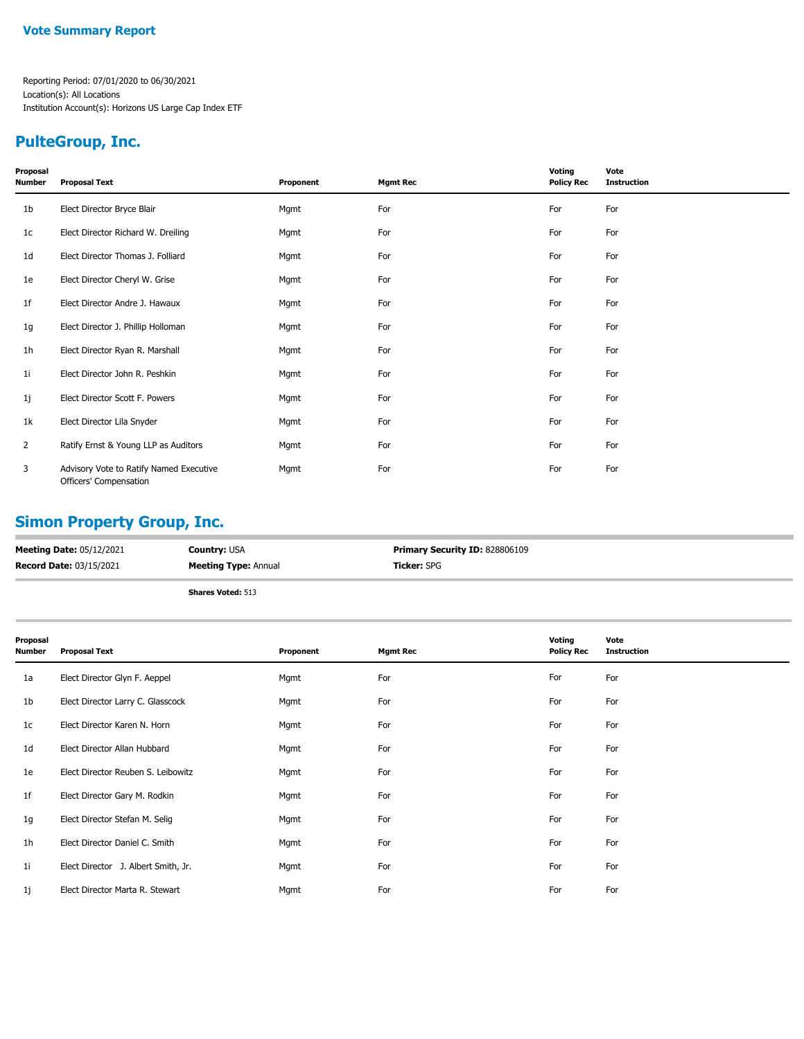#### **Vote Summary Report**

Reporting Period: 07/01/2020 to 06/30/2021 Location(s): All Locations Institution Account(s): Horizons US Large Cap Index ETF

## **PulteGroup, Inc.**

| Proposal<br>Number | <b>Proposal Text</b>                                              | Proponent | <b>Mgmt Rec</b> | Voting<br><b>Policy Rec</b> | Vote<br><b>Instruction</b> |
|--------------------|-------------------------------------------------------------------|-----------|-----------------|-----------------------------|----------------------------|
| 1 <sub>b</sub>     | Elect Director Bryce Blair                                        | Mgmt      | For             | For                         | For                        |
| 1c                 | Elect Director Richard W. Dreiling                                | Mgmt      | For             | For                         | For                        |
| 1d                 | Elect Director Thomas J. Folliard                                 | Mgmt      | For             | For                         | For                        |
| 1e                 | Elect Director Cheryl W. Grise                                    | Mgmt      | For             | For                         | For                        |
| 1f                 | Elect Director Andre J. Hawaux                                    | Mgmt      | For             | For                         | For                        |
| 1g                 | Elect Director J. Phillip Holloman                                | Mgmt      | For             | For                         | For                        |
| 1 <sub>h</sub>     | Elect Director Ryan R. Marshall                                   | Mgmt      | For             | For                         | For                        |
| 1i                 | Elect Director John R. Peshkin                                    | Mgmt      | For             | For                         | For                        |
| 1j                 | Elect Director Scott F. Powers                                    | Mgmt      | For             | For                         | For                        |
| 1k                 | Elect Director Lila Snyder                                        | Mgmt      | For             | For                         | For                        |
| $\overline{2}$     | Ratify Ernst & Young LLP as Auditors                              | Mgmt      | For             | For                         | For                        |
| 3                  | Advisory Vote to Ratify Named Executive<br>Officers' Compensation | Mgmt      | For             | For                         | For                        |

## **Simon Property Group, Inc.**

| <b>Meeting Date: 05/12/2021</b> | <b>Country: USA</b>         | <b>Primary Security ID: 828806109</b> |
|---------------------------------|-----------------------------|---------------------------------------|
| <b>Record Date: 03/15/2021</b>  | <b>Meeting Type: Annual</b> | <b>Ticker:</b> SPG                    |
|                                 | <b>Shares Voted: 513</b>    |                                       |

| Proposal<br><b>Number</b> | <b>Proposal Text</b>                | Proponent | <b>Mgmt Rec</b> | Voting<br><b>Policy Rec</b> | Vote<br><b>Instruction</b> |
|---------------------------|-------------------------------------|-----------|-----------------|-----------------------------|----------------------------|
| 1a                        | Elect Director Glyn F. Aeppel       | Mgmt      | For             | For                         | For                        |
| 1b                        | Elect Director Larry C. Glasscock   | Mgmt      | For             | For                         | For                        |
| 1 <sub>c</sub>            | Elect Director Karen N. Horn        | Mgmt      | For             | For                         | For                        |
| 1 <sub>d</sub>            | Elect Director Allan Hubbard        | Mgmt      | For             | For                         | For                        |
| 1e                        | Elect Director Reuben S. Leibowitz  | Mgmt      | For             | For                         | For                        |
| 1f                        | Elect Director Gary M. Rodkin       | Mgmt      | For             | For                         | For                        |
| 1g                        | Elect Director Stefan M. Selig      | Mgmt      | For             | For                         | For                        |
| 1 <sub>h</sub>            | Elect Director Daniel C. Smith      | Mgmt      | For             | For                         | For                        |
| 1i                        | Elect Director J. Albert Smith, Jr. | Mgmt      | For             | For                         | For                        |
| 1j                        | Elect Director Marta R. Stewart     | Mgmt      | For             | For                         | For                        |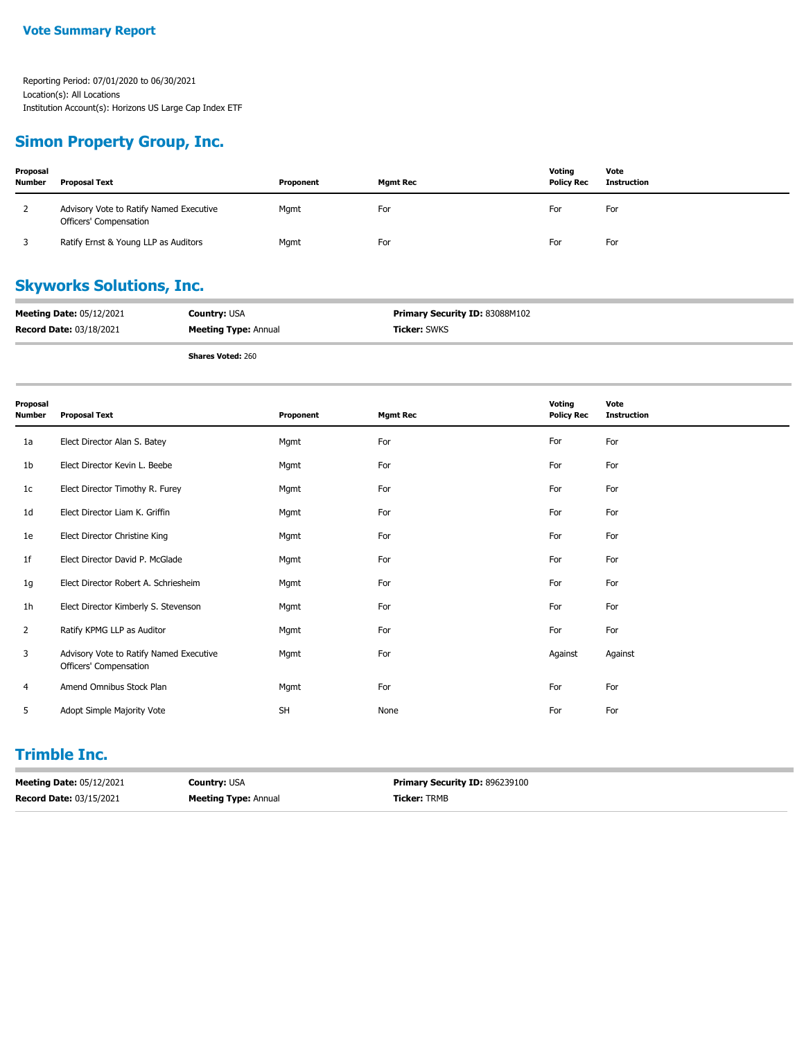#### **Simon Property Group, Inc.**

| Proposal<br><b>Number</b> | <b>Proposal Text</b>                                              | Proponent | <b>Mgmt Rec</b> | Voting<br><b>Policy Rec</b> | Vote<br>Instruction |
|---------------------------|-------------------------------------------------------------------|-----------|-----------------|-----------------------------|---------------------|
|                           | Advisory Vote to Ratify Named Executive<br>Officers' Compensation | Mgmt      | For             | For                         | For                 |
|                           | Ratify Ernst & Young LLP as Auditors                              | Mgmt      | For             | For                         | For                 |

## **Skyworks Solutions, Inc.**

| <b>Meeting Date: 05/12/2021</b> | <b>Country: USA</b>         | Primary Security ID: 83088M102 |
|---------------------------------|-----------------------------|--------------------------------|
| <b>Record Date: 03/18/2021</b>  | <b>Meeting Type: Annual</b> | <b>Ficker:</b> SWKS            |
|                                 |                             |                                |

**Shares Voted:** 260

| Proposal<br><b>Number</b> | <b>Proposal Text</b>                                              | Proponent | <b>Mgmt Rec</b> | Voting<br><b>Policy Rec</b> | Vote<br><b>Instruction</b> |
|---------------------------|-------------------------------------------------------------------|-----------|-----------------|-----------------------------|----------------------------|
| 1a                        | Elect Director Alan S. Batey                                      | Mgmt      | For             | For                         | For                        |
| 1b                        | Elect Director Kevin L. Beebe                                     | Mgmt      | For             | For                         | For                        |
| 1 <sub>c</sub>            | Elect Director Timothy R. Furey                                   | Mgmt      | For             | For                         | For                        |
| 1 <sub>d</sub>            | Elect Director Liam K. Griffin                                    | Mgmt      | For             | For                         | For                        |
| 1e                        | Elect Director Christine King                                     | Mgmt      | For             | For                         | For                        |
| 1f                        | Elect Director David P. McGlade                                   | Mgmt      | For             | For                         | For                        |
| 1g                        | Elect Director Robert A. Schriesheim                              | Mgmt      | For             | For                         | For                        |
| 1 <sub>h</sub>            | Elect Director Kimberly S. Stevenson                              | Mgmt      | For             | For                         | For                        |
| $\overline{2}$            | Ratify KPMG LLP as Auditor                                        | Mgmt      | For             | For                         | For                        |
| 3                         | Advisory Vote to Ratify Named Executive<br>Officers' Compensation | Mgmt      | For             | Against                     | Against                    |
| 4                         | Amend Omnibus Stock Plan                                          | Mgmt      | For             | For                         | For                        |
| 5                         | Adopt Simple Majority Vote                                        | <b>SH</b> | None            | For                         | For                        |

### **Trimble Inc.**

| <b>Meeting Date: 05/12/2021</b> | <b>Country: USA</b>         | <b>Primary Security ID: 896239100</b> |
|---------------------------------|-----------------------------|---------------------------------------|
| <b>Record Date: 03/15/2021</b>  | <b>Meeting Type: Annual</b> | <b>Ticker: TRMB</b>                   |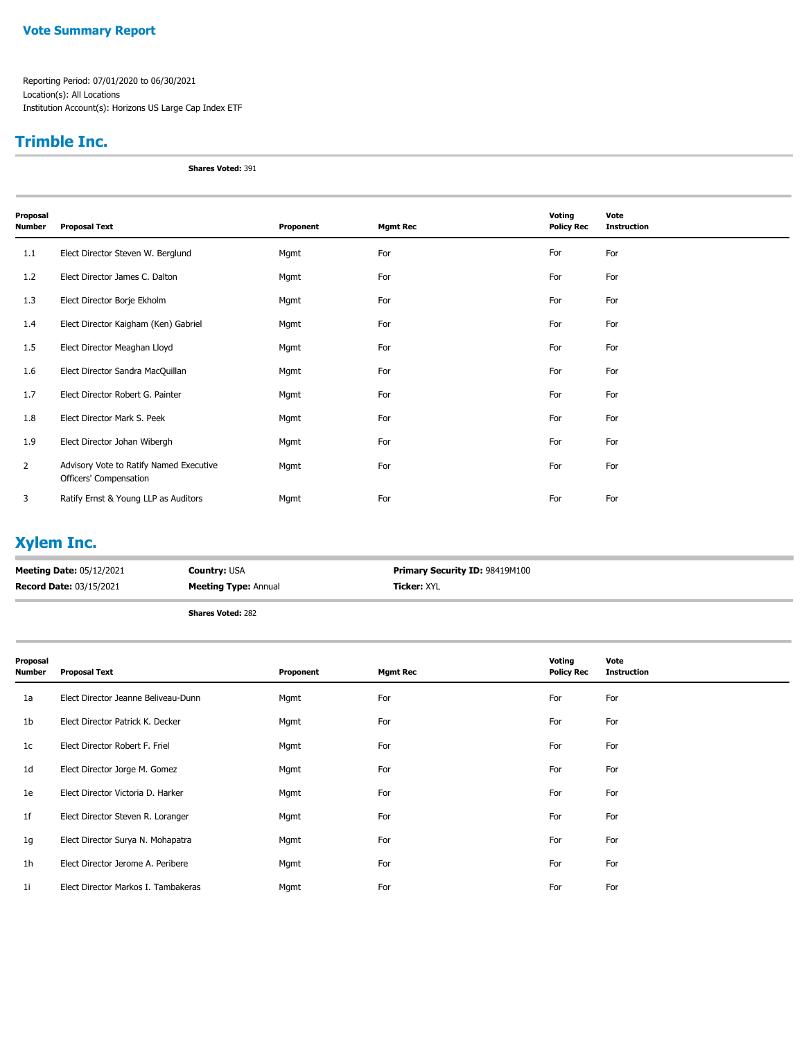#### **Vote Summary Report**

Reporting Period: 07/01/2020 to 06/30/2021 Location(s): All Locations Institution Account(s): Horizons US Large Cap Index ETF

#### **Trimble Inc.**

**Shares Voted:** 391

| Proposal<br>Number | <b>Proposal Text</b>                                              | Proponent | <b>Mgmt Rec</b> | Voting<br><b>Policy Rec</b> | Vote<br><b>Instruction</b> |
|--------------------|-------------------------------------------------------------------|-----------|-----------------|-----------------------------|----------------------------|
| 1.1                | Elect Director Steven W. Berglund                                 | Mgmt      | For             | For                         | For                        |
| 1.2                | Elect Director James C. Dalton                                    | Mgmt      | For             | For                         | For                        |
| 1.3                | Elect Director Borje Ekholm                                       | Mgmt      | For             | For                         | For                        |
| 1.4                | Elect Director Kaigham (Ken) Gabriel                              | Mgmt      | For             | For                         | For                        |
| 1.5                | Elect Director Meaghan Lloyd                                      | Mgmt      | For             | For                         | For                        |
| 1.6                | Elect Director Sandra MacQuillan                                  | Mgmt      | For             | For                         | For                        |
| 1.7                | Elect Director Robert G. Painter                                  | Mgmt      | For             | For                         | For                        |
| 1.8                | Elect Director Mark S. Peek                                       | Mgmt      | For             | For                         | For                        |
| 1.9                | Elect Director Johan Wibergh                                      | Mgmt      | For             | For                         | For                        |
| $\overline{2}$     | Advisory Vote to Ratify Named Executive<br>Officers' Compensation | Mgmt      | For             | For                         | For                        |
| 3                  | Ratify Ernst & Young LLP as Auditors                              | Mgmt      | For             | For                         | For                        |

# **Xylem Inc.**

| <b>Meeting Date: 05/12/2021</b> | <b>Country:</b> USA         | <b>Primary Security ID: 98419M100</b> |
|---------------------------------|-----------------------------|---------------------------------------|
| <b>Record Date: 03/15/2021</b>  | <b>Meeting Type: Annual</b> | <b>Ticker: XYL</b>                    |
|                                 |                             |                                       |

**Shares Voted:** 282

| Proposal<br>Number | <b>Proposal Text</b>                | Proponent | <b>Mgmt Rec</b> | Voting<br><b>Policy Rec</b> | Vote<br><b>Instruction</b> |
|--------------------|-------------------------------------|-----------|-----------------|-----------------------------|----------------------------|
| 1a                 | Elect Director Jeanne Beliveau-Dunn | Mgmt      | For             | For                         | For                        |
| 1b                 | Elect Director Patrick K. Decker    | Mgmt      | For             | For                         | For                        |
| 1c                 | Elect Director Robert F. Friel      | Mgmt      | For             | For                         | For                        |
| 1d                 | Elect Director Jorge M. Gomez       | Mgmt      | For             | For                         | For                        |
| 1e                 | Elect Director Victoria D. Harker   | Mgmt      | For             | For                         | For                        |
| 1f                 | Elect Director Steven R. Loranger   | Mgmt      | For             | For                         | For                        |
| 1g                 | Elect Director Surya N. Mohapatra   | Mgmt      | For             | For                         | For                        |
| 1 <sub>h</sub>     | Elect Director Jerome A. Peribere   | Mgmt      | For             | For                         | For                        |
| 1i                 | Elect Director Markos I. Tambakeras | Mgmt      | For             | For                         | For                        |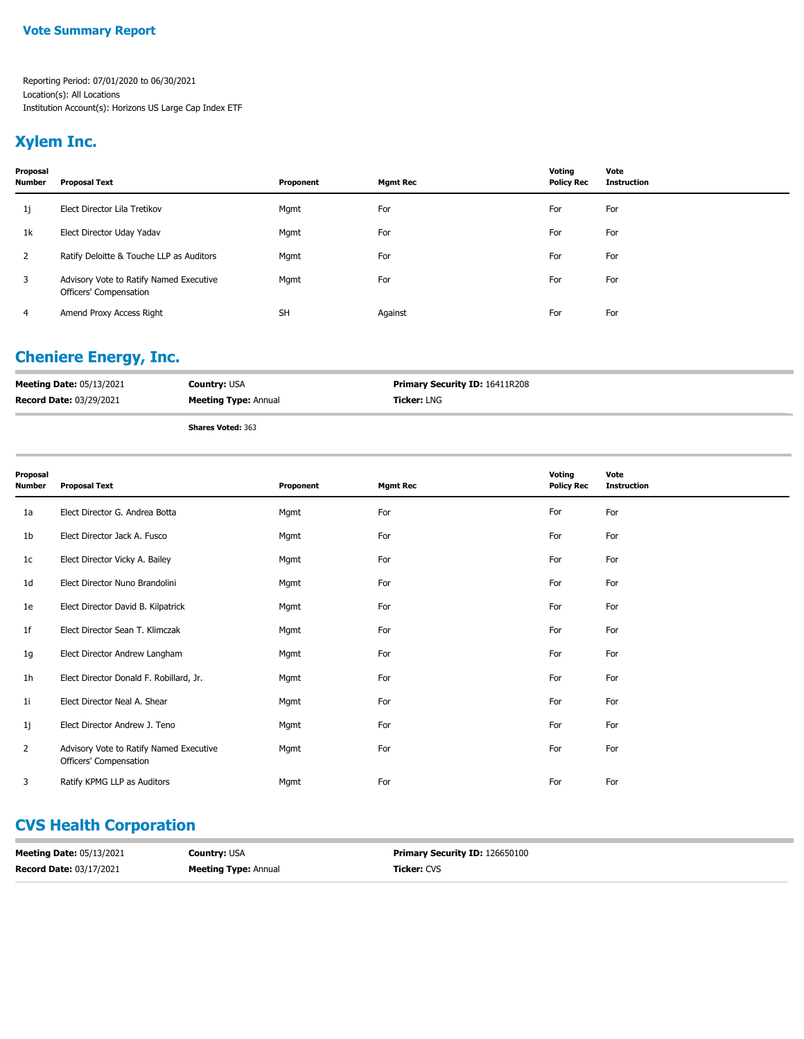#### **Vote Summary Report**

Reporting Period: 07/01/2020 to 06/30/2021 Location(s): All Locations Institution Account(s): Horizons US Large Cap Index ETF

#### **Xylem Inc.**

| Proposal<br><b>Number</b> | <b>Proposal Text</b>                                              | Proponent | <b>Mgmt Rec</b> | Votina<br><b>Policy Rec</b> | Vote<br><b>Instruction</b> |
|---------------------------|-------------------------------------------------------------------|-----------|-----------------|-----------------------------|----------------------------|
| 1j                        | Elect Director Lila Tretikov                                      | Mgmt      | For             | For                         | For                        |
| 1k                        | Elect Director Uday Yadav                                         | Mgmt      | For             | For                         | For                        |
| 2                         | Ratify Deloitte & Touche LLP as Auditors                          | Mgmt      | For             | For                         | For                        |
| 3                         | Advisory Vote to Ratify Named Executive<br>Officers' Compensation | Mgmt      | For             | For                         | For                        |
| 4                         | Amend Proxy Access Right                                          | <b>SH</b> | Against         | For                         | For                        |

# **Cheniere Energy, Inc.**

| <b>Meeting Date: 05/13/2021</b> | <b>Country: USA</b>         | <b>Primary Security ID: 16411R208</b> |
|---------------------------------|-----------------------------|---------------------------------------|
| <b>Record Date: 03/29/2021</b>  | <b>Meeting Type: Annual</b> | <b>Ticker: LNG</b>                    |
|                                 | <b>Shares Voted: 363</b>    |                                       |

| Proposal<br>Number | <b>Proposal Text</b>                                              | Proponent | <b>Mgmt Rec</b> | Voting<br><b>Policy Rec</b> | Vote<br><b>Instruction</b> |
|--------------------|-------------------------------------------------------------------|-----------|-----------------|-----------------------------|----------------------------|
| 1a                 | Elect Director G. Andrea Botta                                    | Mgmt      | For             | For                         | For                        |
| 1b                 | Elect Director Jack A. Fusco                                      | Mgmt      | For             | For                         | For                        |
| 1c                 | Elect Director Vicky A. Bailey                                    | Mgmt      | For             | For                         | For                        |
| 1 <sub>d</sub>     | Elect Director Nuno Brandolini                                    | Mgmt      | For             | For                         | For                        |
| 1e                 | Elect Director David B. Kilpatrick                                | Mgmt      | For             | For                         | For                        |
| 1f                 | Elect Director Sean T. Klimczak                                   | Mgmt      | For             | For                         | For                        |
| 1g                 | Elect Director Andrew Langham                                     | Mgmt      | For             | For                         | For                        |
| 1h                 | Elect Director Donald F. Robillard, Jr.                           | Mgmt      | For             | For                         | For                        |
| 11                 | Elect Director Neal A. Shear                                      | Mgmt      | For             | For                         | For                        |
| 1j                 | Elect Director Andrew J. Teno                                     | Mgmt      | For             | For                         | For                        |
| $\overline{2}$     | Advisory Vote to Ratify Named Executive<br>Officers' Compensation | Mgmt      | For             | For                         | For                        |
| 3                  | Ratify KPMG LLP as Auditors                                       | Mgmt      | For             | For                         | For                        |

# **CVS Health Corporation**

| <b>Meeting Date: 05/13/2021</b> | <b>Country: USA</b>         | <b>Primary Security ID: 126650100</b> |
|---------------------------------|-----------------------------|---------------------------------------|
| <b>Record Date: 03/17/2021</b>  | <b>Meeting Type: Annual</b> | <b>Ticker:</b> CVS                    |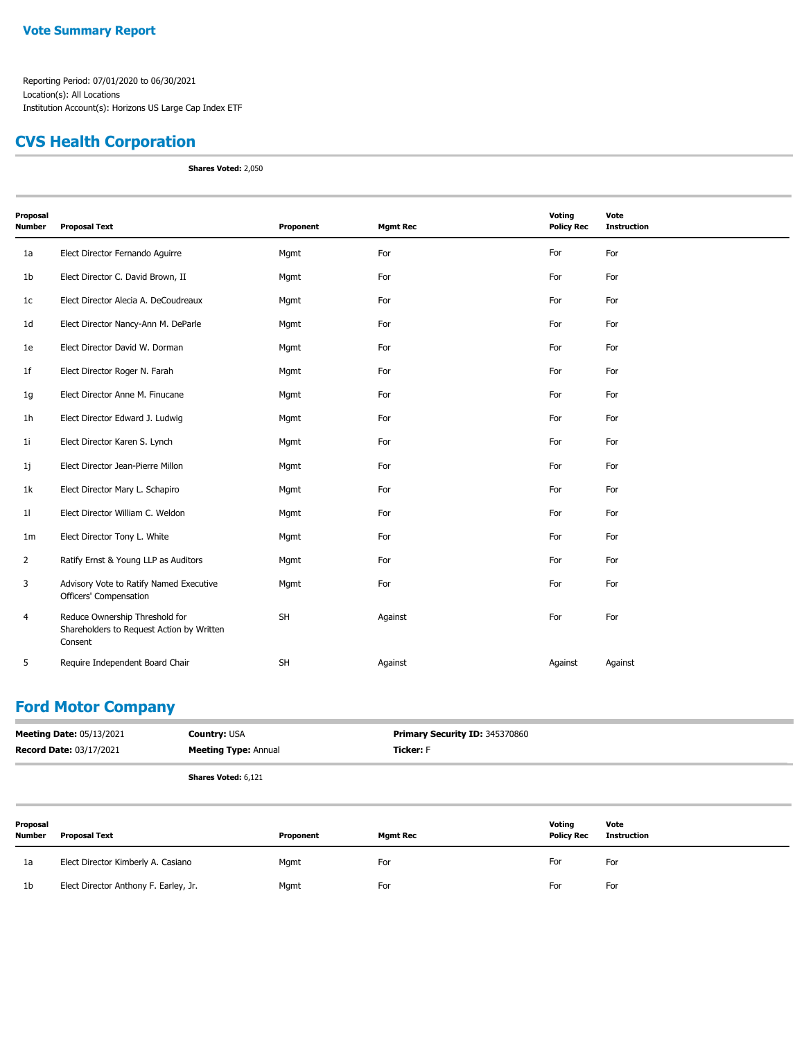#### **CVS Health Corporation**

**Shares Voted:** 2,050

| Proposal<br><b>Number</b> | <b>Proposal Text</b>                                                                   | Proponent | <b>Mgmt Rec</b> | Voting<br><b>Policy Rec</b> | Vote<br><b>Instruction</b> |
|---------------------------|----------------------------------------------------------------------------------------|-----------|-----------------|-----------------------------|----------------------------|
| 1a                        | Elect Director Fernando Aguirre                                                        | Mgmt      | For             | For                         | For                        |
| 1 <sub>b</sub>            | Elect Director C. David Brown, II                                                      | Mgmt      | For             | For                         | For                        |
| 1 <sub>c</sub>            | Elect Director Alecia A. DeCoudreaux                                                   | Mgmt      | For             | For                         | For                        |
| 1 <sub>d</sub>            | Elect Director Nancy-Ann M. DeParle                                                    | Mgmt      | For             | For                         | For                        |
| 1e                        | Elect Director David W. Dorman                                                         | Mgmt      | For             | For                         | For                        |
| 1 <sub>f</sub>            | Elect Director Roger N. Farah                                                          | Mgmt      | For             | For                         | For                        |
| 1g                        | Elect Director Anne M. Finucane                                                        | Mgmt      | For             | For                         | For                        |
| 1h                        | Elect Director Edward J. Ludwig                                                        | Mgmt      | For             | For                         | For                        |
| 1 <sub>i</sub>            | Elect Director Karen S. Lynch                                                          | Mgmt      | For             | For                         | For                        |
| 1j                        | Elect Director Jean-Pierre Millon                                                      | Mgmt      | For             | For                         | For                        |
| 1k                        | Elect Director Mary L. Schapiro                                                        | Mgmt      | For             | For                         | For                        |
| 11                        | Elect Director William C. Weldon                                                       | Mgmt      | For             | For                         | For                        |
| 1 <sub>m</sub>            | Elect Director Tony L. White                                                           | Mgmt      | For             | For                         | For                        |
| $\overline{2}$            | Ratify Ernst & Young LLP as Auditors                                                   | Mgmt      | For             | For                         | For                        |
| 3                         | Advisory Vote to Ratify Named Executive<br>Officers' Compensation                      | Mgmt      | For             | For                         | For                        |
| $\overline{4}$            | Reduce Ownership Threshold for<br>Shareholders to Request Action by Written<br>Consent | <b>SH</b> | Against         | For                         | For                        |
| 5                         | Require Independent Board Chair                                                        | <b>SH</b> | Against         | Against                     | Against                    |

#### **Ford Motor Company**

| <b>Meeting Date: 05/13/2021</b> | <b>Country: USA</b>         | Primary Security ID: 345370860 |
|---------------------------------|-----------------------------|--------------------------------|
| <b>Record Date: 03/17/2021</b>  | <b>Meeting Type: Annual</b> | <b>Ticker: F</b>               |
|                                 | <b>Shares Voted: 6,121</b>  |                                |

| Proposal<br>Number | <b>Proposal Text</b>                  | Proponent | <b>Mgmt Rec</b> | Voting<br><b>Policy Rec</b> | Vote<br>Instruction |
|--------------------|---------------------------------------|-----------|-----------------|-----------------------------|---------------------|
| 1a                 | Elect Director Kimberly A. Casiano    | Mgmt      | For             | For                         | For                 |
| 1b                 | Elect Director Anthony F. Earley, Jr. | Mgmt      | For             | For                         | For                 |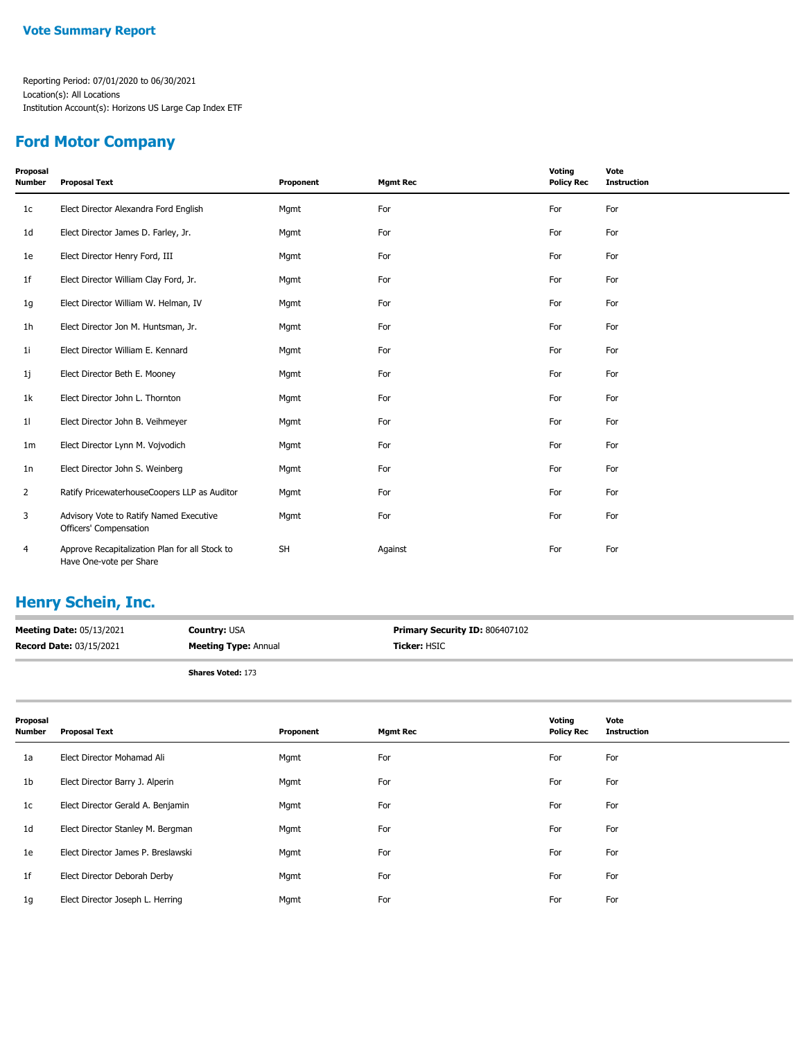#### **Ford Motor Company**

| Proposal<br><b>Number</b> | <b>Proposal Text</b>                                                      | Proponent | <b>Mgmt Rec</b> | Voting<br><b>Policy Rec</b> | Vote<br><b>Instruction</b> |
|---------------------------|---------------------------------------------------------------------------|-----------|-----------------|-----------------------------|----------------------------|
| 1 <sub>c</sub>            | Elect Director Alexandra Ford English                                     | Mgmt      | For             | For                         | For                        |
| 1 <sub>d</sub>            | Elect Director James D. Farley, Jr.                                       | Mgmt      | For             | For                         | For                        |
| 1e                        | Elect Director Henry Ford, III                                            | Mgmt      | For             | For                         | For                        |
| 1 <sub>f</sub>            | Elect Director William Clay Ford, Jr.                                     | Mgmt      | For             | For                         | For                        |
| 1g                        | Elect Director William W. Helman, IV                                      | Mgmt      | For             | For                         | For                        |
| 1 <sub>h</sub>            | Elect Director Jon M. Huntsman, Jr.                                       | Mgmt      | For             | For                         | For                        |
| 11                        | Elect Director William E. Kennard                                         | Mgmt      | For             | For                         | For                        |
| 1j                        | Elect Director Beth E. Mooney                                             | Mgmt      | For             | For                         | For                        |
| 1k                        | Elect Director John L. Thornton                                           | Mgmt      | For             | For                         | For                        |
| 11                        | Elect Director John B. Veihmeyer                                          | Mgmt      | For             | For                         | For                        |
| 1 <sub>m</sub>            | Elect Director Lynn M. Vojvodich                                          | Mgmt      | For             | For                         | For                        |
| 1n                        | Elect Director John S. Weinberg                                           | Mgmt      | For             | For                         | For                        |
| $\overline{2}$            | Ratify PricewaterhouseCoopers LLP as Auditor                              | Mgmt      | For             | For                         | For                        |
| 3                         | Advisory Vote to Ratify Named Executive<br>Officers' Compensation         | Mgmt      | For             | For                         | For                        |
| 4                         | Approve Recapitalization Plan for all Stock to<br>Have One-vote per Share | <b>SH</b> | Against         | For                         | For                        |

## **Henry Schein, Inc.**

| <b>Meeting Date: 05/13/2021</b> | <b>Country: USA</b>         | <b>Primary Security ID: 806407102</b> |
|---------------------------------|-----------------------------|---------------------------------------|
| <b>Record Date: 03/15/2021</b>  | <b>Meeting Type:</b> Annual | Ticker: HSIC                          |
|                                 |                             |                                       |

**Shares Voted:** 173

| Proposal<br>Number | <b>Proposal Text</b>               | Proponent | <b>Mgmt Rec</b> | Voting<br><b>Policy Rec</b> | Vote<br><b>Instruction</b> |
|--------------------|------------------------------------|-----------|-----------------|-----------------------------|----------------------------|
| 1a                 | Elect Director Mohamad Ali         | Mgmt      | For             | For                         | For                        |
| 1b                 | Elect Director Barry J. Alperin    | Mgmt      | For             | For                         | For                        |
| 1c                 | Elect Director Gerald A. Benjamin  | Mgmt      | For             | For                         | For                        |
| 1 <sub>d</sub>     | Elect Director Stanley M. Bergman  | Mgmt      | For             | For                         | For                        |
| 1e                 | Elect Director James P. Breslawski | Mgmt      | For             | For                         | For                        |
| 1f                 | Elect Director Deborah Derby       | Mgmt      | For             | For                         | For                        |
| 1g                 | Elect Director Joseph L. Herring   | Mgmt      | For             | For                         | For                        |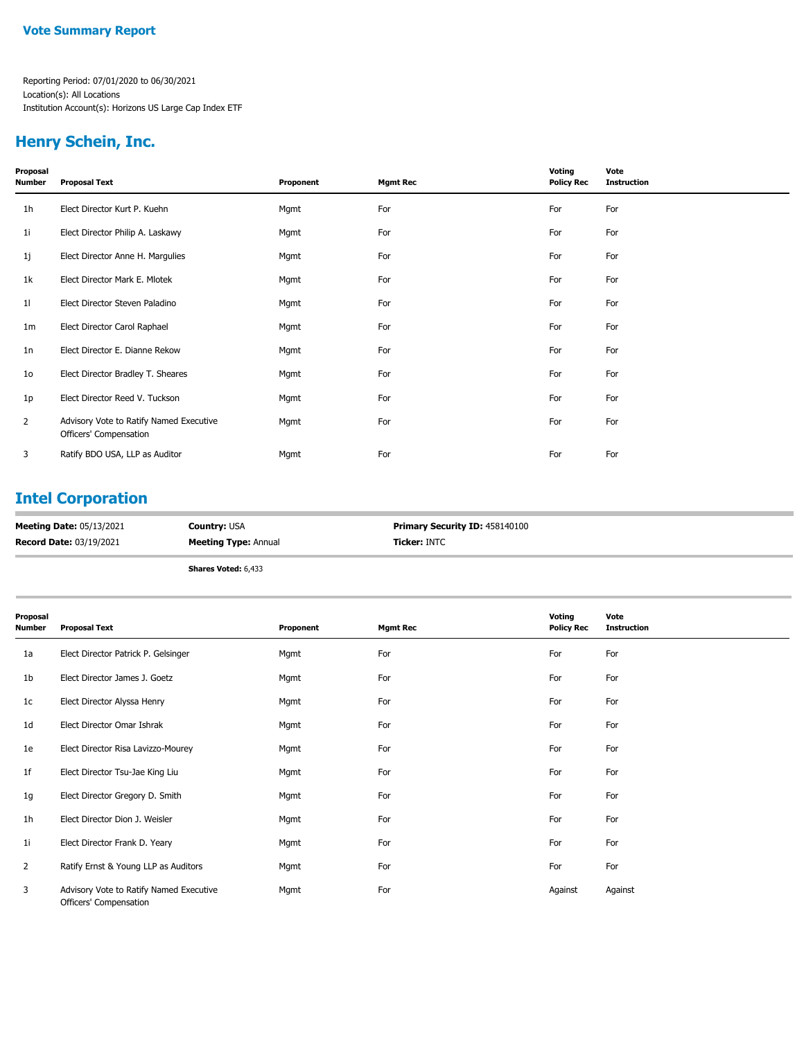#### **Henry Schein, Inc.**

| Proposal<br>Number | <b>Proposal Text</b>                                              | Proponent | <b>Mgmt Rec</b> | Voting<br><b>Policy Rec</b> | Vote<br><b>Instruction</b> |
|--------------------|-------------------------------------------------------------------|-----------|-----------------|-----------------------------|----------------------------|
| 1h                 | Elect Director Kurt P. Kuehn                                      | Mgmt      | For             | For                         | For                        |
| 1i                 | Elect Director Philip A. Laskawy                                  | Mgmt      | For             | For                         | For                        |
| 1j                 | Elect Director Anne H. Margulies                                  | Mgmt      | For             | For                         | For                        |
| 1k                 | Elect Director Mark E. Mlotek                                     | Mgmt      | For             | For                         | For                        |
| 11                 | Elect Director Steven Paladino                                    | Mgmt      | For             | For                         | For                        |
| 1m                 | Elect Director Carol Raphael                                      | Mgmt      | For             | For                         | For                        |
| 1n                 | Elect Director E. Dianne Rekow                                    | Mgmt      | For             | For                         | For                        |
| 10                 | Elect Director Bradley T. Sheares                                 | Mgmt      | For             | For                         | For                        |
| 1p                 | Elect Director Reed V. Tuckson                                    | Mgmt      | For             | For                         | For                        |
| 2                  | Advisory Vote to Ratify Named Executive<br>Officers' Compensation | Mgmt      | For             | For                         | For                        |
| 3                  | Ratify BDO USA, LLP as Auditor                                    | Mgmt      | For             | For                         | For                        |

#### **Intel Corporation**

| <b>Meeting Date: 05/13/2021</b> | <b>Country: USA</b>         | <b>Primary Security ID: 458140100</b> |
|---------------------------------|-----------------------------|---------------------------------------|
| <b>Record Date: 03/19/2021</b>  | <b>Meeting Type: Annual</b> | <b>Ticker: INTC</b>                   |
|                                 |                             |                                       |

**Shares Voted:** 6,433

| Proposal<br>Number | <b>Proposal Text</b>                                              | Proponent | <b>Mgmt Rec</b> | Voting<br><b>Policy Rec</b> | Vote<br><b>Instruction</b> |
|--------------------|-------------------------------------------------------------------|-----------|-----------------|-----------------------------|----------------------------|
| 1a                 | Elect Director Patrick P. Gelsinger                               | Mgmt      | For             | For                         | For                        |
| 1b                 | Elect Director James J. Goetz                                     | Mgmt      | For             | For                         | For                        |
| 1c                 | Elect Director Alyssa Henry                                       | Mgmt      | For             | For                         | For                        |
| 1d                 | Elect Director Omar Ishrak                                        | Mgmt      | For             | For                         | For                        |
| 1e                 | Elect Director Risa Lavizzo-Mourey                                | Mgmt      | For             | For                         | For                        |
| 1f                 | Elect Director Tsu-Jae King Liu                                   | Mgmt      | For             | For                         | For                        |
| 1g                 | Elect Director Gregory D. Smith                                   | Mgmt      | For             | For                         | For                        |
| 1h                 | Elect Director Dion J. Weisler                                    | Mgmt      | For             | For                         | For                        |
| 11                 | Elect Director Frank D. Yeary                                     | Mgmt      | For             | For                         | For                        |
| $\overline{2}$     | Ratify Ernst & Young LLP as Auditors                              | Mgmt      | For             | For                         | For                        |
| 3                  | Advisory Vote to Ratify Named Executive<br>Officers' Compensation | Mgmt      | For             | Against                     | Against                    |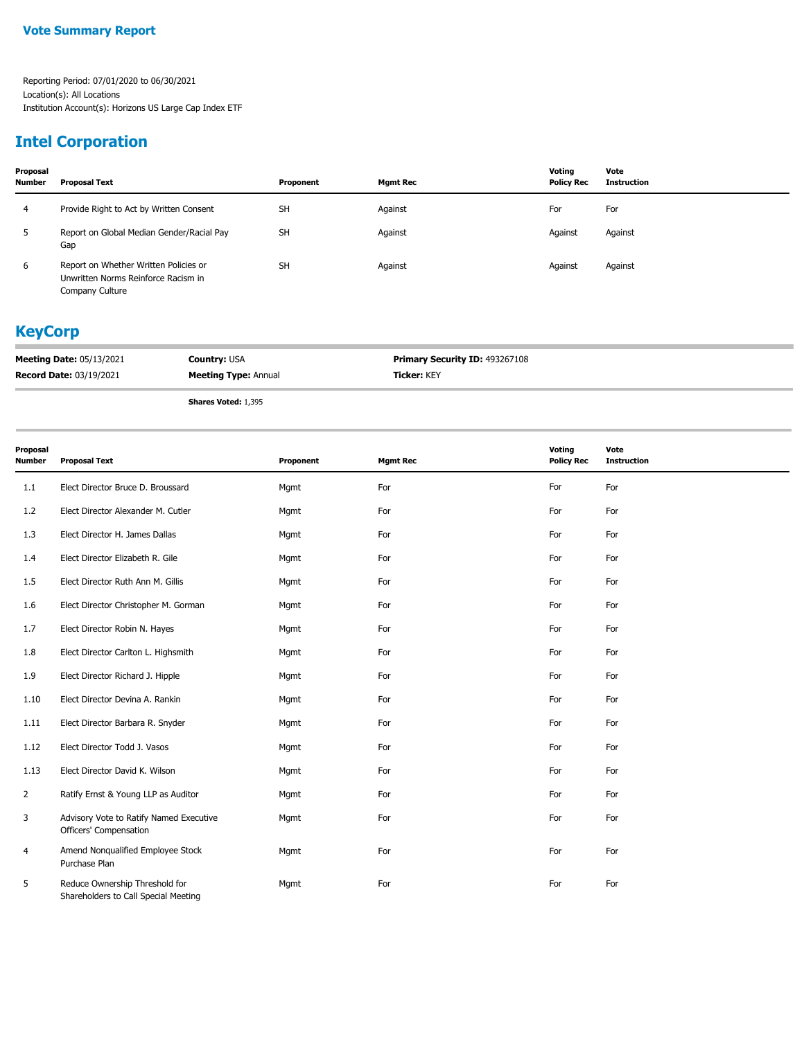## **Intel Corporation**

| Proposal<br><b>Number</b> | Proposal Text                                                                                   | Proponent | Mgmt Rec | Voting<br><b>Policy Rec</b> | Vote<br>Instruction |
|---------------------------|-------------------------------------------------------------------------------------------------|-----------|----------|-----------------------------|---------------------|
| 4                         | Provide Right to Act by Written Consent                                                         | <b>SH</b> | Against  | For                         | For                 |
|                           | Report on Global Median Gender/Racial Pay<br>Gap                                                | <b>SH</b> | Against  | Against                     | Against             |
| 6                         | Report on Whether Written Policies or<br>Unwritten Norms Reinforce Racism in<br>Company Culture | <b>SH</b> | Against  | Against                     | Against             |

#### **KeyCorp**

| <b>Meeting Date: 05/13/2021</b> | <b>Country: USA</b>         | <b>Primary Security ID: 493267108</b> |
|---------------------------------|-----------------------------|---------------------------------------|
| <b>Record Date: 03/19/2021</b>  | <b>Meeting Type: Annual</b> | <b>Ticker: KEY</b>                    |
|                                 |                             |                                       |

**Shares Voted:** 1,395

| Proposal<br><b>Number</b> | <b>Proposal Text</b>                                                   | Proponent | <b>Mgmt Rec</b> | Voting<br><b>Policy Rec</b> | Vote<br><b>Instruction</b> |
|---------------------------|------------------------------------------------------------------------|-----------|-----------------|-----------------------------|----------------------------|
| 1.1                       | Elect Director Bruce D. Broussard                                      | Mgmt      | For             | For                         | For                        |
| 1.2                       | Elect Director Alexander M. Cutler                                     | Mgmt      | For             | For                         | For                        |
| 1.3                       | Elect Director H. James Dallas                                         | Mgmt      | For             | For                         | For                        |
| 1.4                       | Elect Director Elizabeth R. Gile                                       | Mgmt      | For             | For                         | For                        |
| 1.5                       | Elect Director Ruth Ann M. Gillis                                      | Mgmt      | For             | For                         | For                        |
| 1.6                       | Elect Director Christopher M. Gorman                                   | Mgmt      | For             | For                         | For                        |
| 1.7                       | Elect Director Robin N. Hayes                                          | Mgmt      | For             | For                         | For                        |
| 1.8                       | Elect Director Carlton L. Highsmith                                    | Mgmt      | For             | For                         | For                        |
| 1.9                       | Elect Director Richard J. Hipple                                       | Mgmt      | For             | For                         | For                        |
| 1.10                      | Elect Director Devina A. Rankin                                        | Mgmt      | For             | For                         | For                        |
| 1.11                      | Elect Director Barbara R. Snyder                                       | Mgmt      | For             | For                         | For                        |
| 1.12                      | Elect Director Todd J. Vasos                                           | Mgmt      | For             | For                         | For                        |
| 1.13                      | Elect Director David K. Wilson                                         | Mgmt      | For             | For                         | For                        |
| $\overline{2}$            | Ratify Ernst & Young LLP as Auditor                                    | Mgmt      | For             | For                         | For                        |
| 3                         | Advisory Vote to Ratify Named Executive<br>Officers' Compensation      | Mgmt      | For             | For                         | For                        |
| 4                         | Amend Nonqualified Employee Stock<br>Purchase Plan                     | Mgmt      | For             | For                         | For                        |
| 5                         | Reduce Ownership Threshold for<br>Shareholders to Call Special Meeting | Mgmt      | For             | For                         | For                        |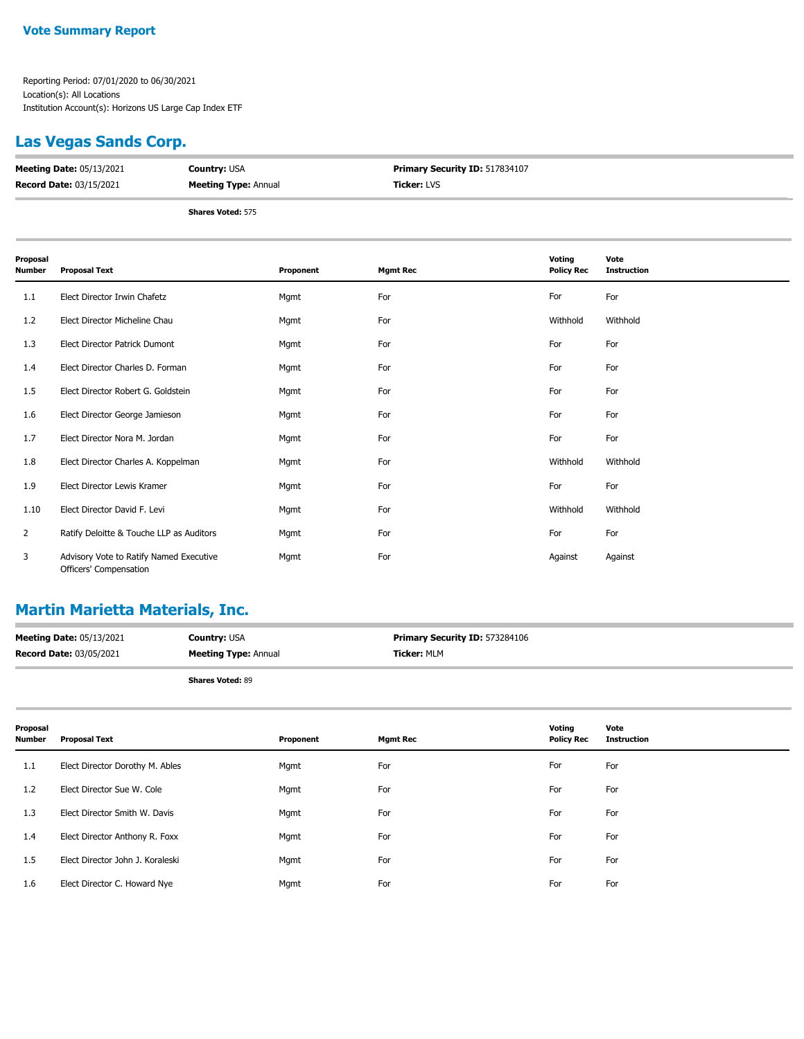#### **Las Vegas Sands Corp.**

| <b>Meeting Date: 05/13/2021</b> | <b>Country: USA</b>         | <b>Primary Security ID: 517834107</b> |
|---------------------------------|-----------------------------|---------------------------------------|
| <b>Record Date: 03/15/2021</b>  | <b>Meeting Type: Annual</b> | <b>Ticker: LVS</b>                    |
|                                 | <b>Shares Voted: 575</b>    |                                       |

| Proposal<br>Number | <b>Proposal Text</b>                                              | Proponent | <b>Mgmt Rec</b> | Voting<br><b>Policy Rec</b> | Vote<br><b>Instruction</b> |
|--------------------|-------------------------------------------------------------------|-----------|-----------------|-----------------------------|----------------------------|
| 1.1                | Elect Director Irwin Chafetz                                      | Mgmt      | For             | For                         | For                        |
| 1.2                | Elect Director Micheline Chau                                     | Mgmt      | For             | Withhold                    | Withhold                   |
| 1.3                | <b>Elect Director Patrick Dumont</b>                              | Mgmt      | For             | For                         | For                        |
| 1.4                | Elect Director Charles D. Forman                                  | Mgmt      | For             | For                         | For                        |
| 1.5                | Elect Director Robert G. Goldstein                                | Mgmt      | For             | For                         | For                        |
| 1.6                | Elect Director George Jamieson                                    | Mgmt      | For             | For                         | For                        |
| 1.7                | Elect Director Nora M. Jordan                                     | Mgmt      | For             | For                         | For                        |
| 1.8                | Elect Director Charles A. Koppelman                               | Mgmt      | For             | Withhold                    | Withhold                   |
| 1.9                | Elect Director Lewis Kramer                                       | Mgmt      | For             | For                         | For                        |
| 1.10               | Elect Director David F. Levi                                      | Mgmt      | For             | Withhold                    | Withhold                   |
| $\overline{2}$     | Ratify Deloitte & Touche LLP as Auditors                          | Mgmt      | For             | For                         | For                        |
| 3                  | Advisory Vote to Ratify Named Executive<br>Officers' Compensation | Mgmt      | For             | Against                     | Against                    |

## **Martin Marietta Materials, Inc.**

| <b>Meeting Date: 05/13/2021</b> | <b>Country: USA</b>         | Primary Security ID: 573284106 |
|---------------------------------|-----------------------------|--------------------------------|
| <b>Record Date: 03/05/2021</b>  | <b>Meeting Type: Annual</b> | <b>Ticker: MLM</b>             |
|                                 | <b>Shares Voted: 89</b>     |                                |

| Proposal<br><b>Number</b> | <b>Proposal Text</b>             | Proponent | <b>Mgmt Rec</b> | Voting<br><b>Policy Rec</b> | Vote<br><b>Instruction</b> |
|---------------------------|----------------------------------|-----------|-----------------|-----------------------------|----------------------------|
| 1.1                       | Elect Director Dorothy M. Ables  | Mgmt      | For             | For                         | For                        |
| 1.2                       | Elect Director Sue W. Cole       | Mgmt      | For             | For                         | For                        |
| 1.3                       | Elect Director Smith W. Davis    | Mgmt      | For             | For                         | For                        |
| 1.4                       | Elect Director Anthony R. Foxx   | Mgmt      | For             | For                         | For                        |
| 1.5                       | Elect Director John J. Koraleski | Mgmt      | For             | For                         | For                        |
| 1.6                       | Elect Director C. Howard Nye     | Mgmt      | For             | For                         | For                        |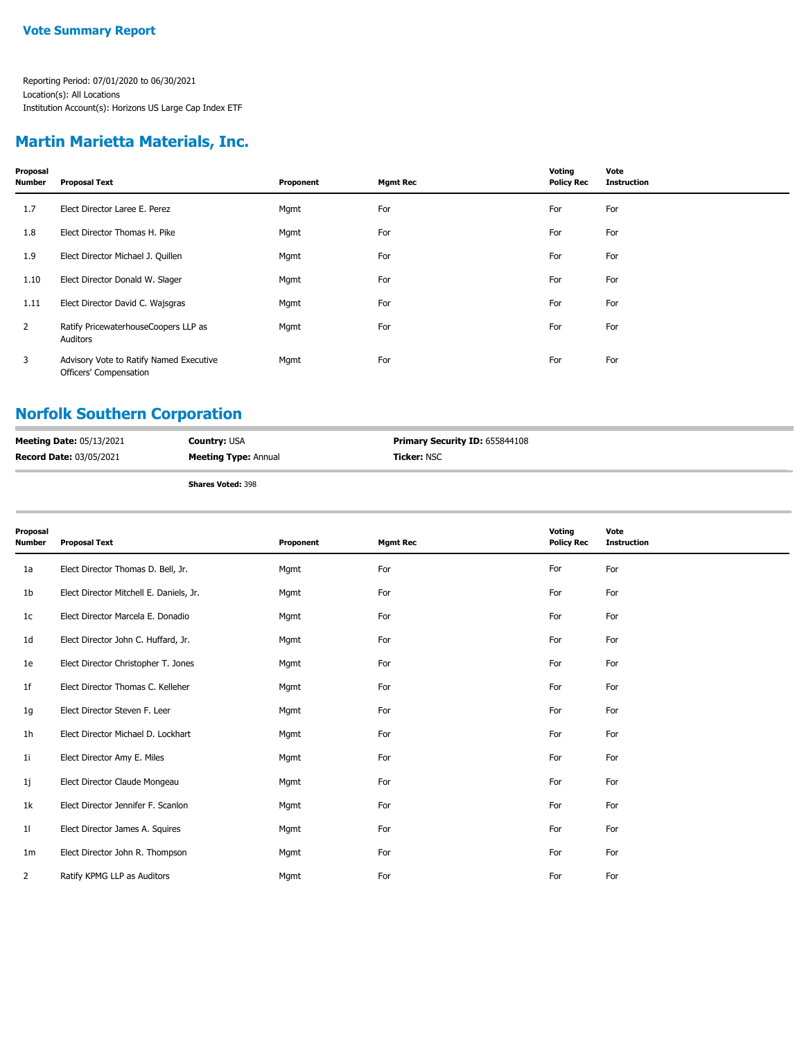#### **Martin Marietta Materials, Inc.**

| Proposal<br><b>Number</b> | <b>Proposal Text</b>                                              | Proponent | <b>Mgmt Rec</b> | Voting<br><b>Policy Rec</b> | Vote<br><b>Instruction</b> |
|---------------------------|-------------------------------------------------------------------|-----------|-----------------|-----------------------------|----------------------------|
| 1.7                       | Elect Director Laree E. Perez                                     | Mgmt      | For             | For                         | For                        |
| 1.8                       | Elect Director Thomas H. Pike                                     | Mgmt      | For             | For                         | For                        |
| 1.9                       | Elect Director Michael J. Quillen                                 | Mgmt      | For             | For                         | For                        |
| 1.10                      | Elect Director Donald W. Slager                                   | Mgmt      | For             | For                         | For                        |
| 1.11                      | Elect Director David C. Wajsgras                                  | Mgmt      | For             | For                         | For                        |
| $\mathbf{2}$              | Ratify PricewaterhouseCoopers LLP as<br>Auditors                  | Mgmt      | For             | For                         | For                        |
| 3                         | Advisory Vote to Ratify Named Executive<br>Officers' Compensation | Mgmt      | For             | For                         | For                        |

## **Norfolk Southern Corporation**

|                                 | .<br>$-1$                   |                                       |
|---------------------------------|-----------------------------|---------------------------------------|
| <b>Record Date: 03/05/2021</b>  | <b>Meeting Type: Annual</b> | <b>Ticker: NSC</b>                    |
| <b>Meeting Date: 05/13/2021</b> | <b>Country: USA</b>         | <b>Primary Security ID: 655844108</b> |

| Proposal<br><b>Number</b> | <b>Proposal Text</b>                    | Proponent | <b>Mgmt Rec</b> | Voting<br><b>Policy Rec</b> | Vote<br><b>Instruction</b> |
|---------------------------|-----------------------------------------|-----------|-----------------|-----------------------------|----------------------------|
| 1a                        | Elect Director Thomas D. Bell, Jr.      | Mgmt      | For             | For                         | For                        |
| 1 <sub>b</sub>            | Elect Director Mitchell E. Daniels, Jr. | Mgmt      | For             | For                         | For                        |
| 1 <sub>c</sub>            | Elect Director Marcela E. Donadio       | Mgmt      | For             | For                         | For                        |
| 1 <sub>d</sub>            | Elect Director John C. Huffard, Jr.     | Mgmt      | For             | For                         | For                        |
| 1e                        | Elect Director Christopher T. Jones     | Mgmt      | For             | For                         | For                        |
| 1 <sup>f</sup>            | Elect Director Thomas C. Kelleher       | Mgmt      | For             | For                         | For                        |
| 1g                        | Elect Director Steven F. Leer           | Mgmt      | For             | For                         | For                        |
| 1h                        | Elect Director Michael D. Lockhart      | Mgmt      | For             | For                         | For                        |
| 11                        | Elect Director Amy E. Miles             | Mgmt      | For             | For                         | For                        |
| 1j                        | Elect Director Claude Mongeau           | Mgmt      | For             | For                         | For                        |
| 1k                        | Elect Director Jennifer F. Scanlon      | Mgmt      | For             | For                         | For                        |
| 11                        | Elect Director James A. Squires         | Mgmt      | For             | For                         | For                        |
| 1m                        | Elect Director John R. Thompson         | Mgmt      | For             | For                         | For                        |
| 2                         | Ratify KPMG LLP as Auditors             | Mgmt      | For             | For                         | For                        |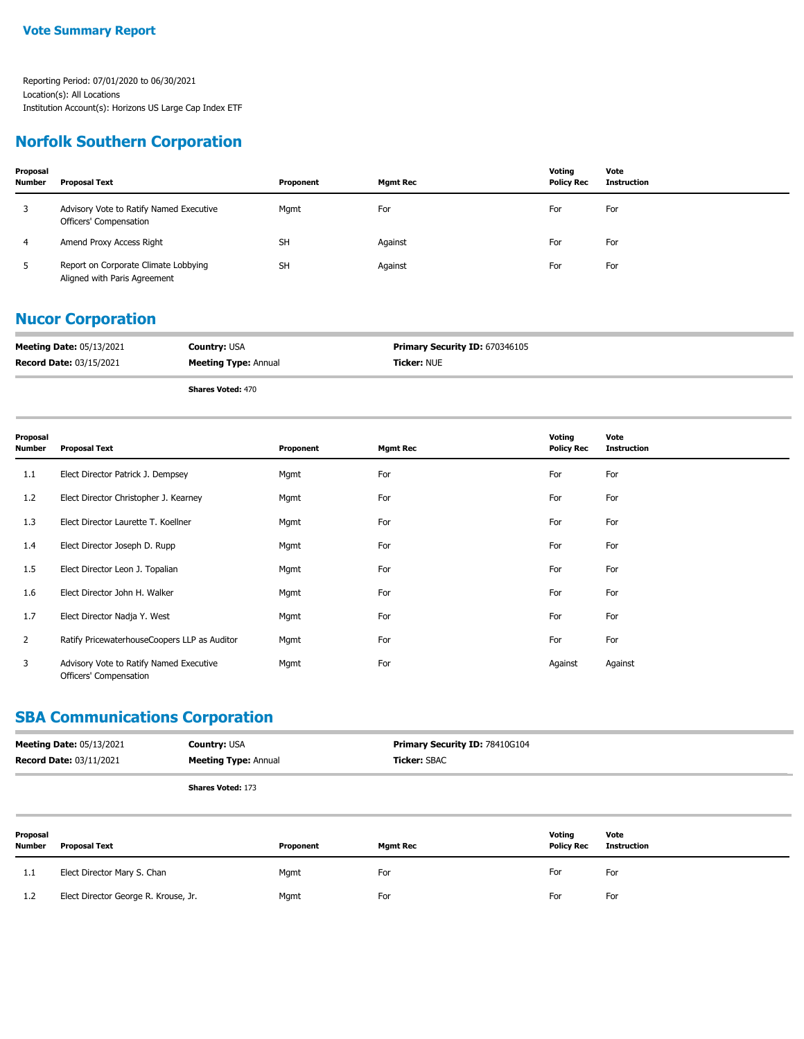#### **Norfolk Southern Corporation**

| Proposal<br><b>Number</b> | <b>Proposal Text</b>                                                 | Proponent | <b>Mgmt Rec</b> | Votina<br><b>Policy Rec</b> | Vote<br><b>Instruction</b> |
|---------------------------|----------------------------------------------------------------------|-----------|-----------------|-----------------------------|----------------------------|
| 3                         | Advisory Vote to Ratify Named Executive<br>Officers' Compensation    | Mgmt      | For             | For                         | For                        |
| 4                         | Amend Proxy Access Right                                             | <b>SH</b> | Against         | For                         | For                        |
| 5                         | Report on Corporate Climate Lobbying<br>Aligned with Paris Agreement | <b>SH</b> | Against         | For                         | For                        |

#### **Nucor Corporation**

| <b>Meeting Date: 05/13/2021</b> | <b>Country: USA</b>         | <b>Primary Security ID: 670346105</b> |
|---------------------------------|-----------------------------|---------------------------------------|
| <b>Record Date: 03/15/2021</b>  | <b>Meeting Type: Annual</b> | <b>Ticker: NUE</b>                    |

**Shares Voted:** 470

| Proposal<br><b>Number</b> | <b>Proposal Text</b>                                              | Proponent | <b>Mgmt Rec</b> | Voting<br><b>Policy Rec</b> | Vote<br><b>Instruction</b> |
|---------------------------|-------------------------------------------------------------------|-----------|-----------------|-----------------------------|----------------------------|
| 1.1                       | Elect Director Patrick J. Dempsey                                 | Mgmt      | For             | For                         | For                        |
| 1.2                       | Elect Director Christopher J. Kearney                             | Mgmt      | For             | For                         | For                        |
| 1.3                       | Elect Director Laurette T. Koellner                               | Mgmt      | For             | For                         | For                        |
| 1.4                       | Elect Director Joseph D. Rupp                                     | Mgmt      | For             | For                         | For                        |
| 1.5                       | Elect Director Leon J. Topalian                                   | Mgmt      | For             | For                         | For                        |
| 1.6                       | Elect Director John H. Walker                                     | Mgmt      | For             | For                         | For                        |
| 1.7                       | Elect Director Nadja Y. West                                      | Mgmt      | For             | For                         | For                        |
| $\overline{2}$            | Ratify PricewaterhouseCoopers LLP as Auditor                      | Mgmt      | For             | For                         | For                        |
| 3                         | Advisory Vote to Ratify Named Executive<br>Officers' Compensation | Mgmt      | For             | Against                     | Against                    |

## **SBA Communications Corporation**

| <b>Meeting Date: 05/13/2021</b> | <b>Country: USA</b>         | <b>Primary Security ID: 78410G104</b> |
|---------------------------------|-----------------------------|---------------------------------------|
| <b>Record Date: 03/11/2021</b>  | <b>Meeting Type: Annual</b> | <b>Ticker:</b> SBAC                   |
|                                 | <b>Shares Voted: 173</b>    |                                       |

| Proposal<br><b>Number</b> | <b>Proposal Text</b>                 | Proponent | <b>Mgmt Rec</b> | Voting<br><b>Policy Rec</b> | Vote<br><b>Instruction</b> |
|---------------------------|--------------------------------------|-----------|-----------------|-----------------------------|----------------------------|
| 1.1                       | Elect Director Mary S. Chan          | Mgmt      | For             | For                         | For                        |
| 1.2                       | Elect Director George R. Krouse, Jr. | Mgmt      | For             | For                         | For                        |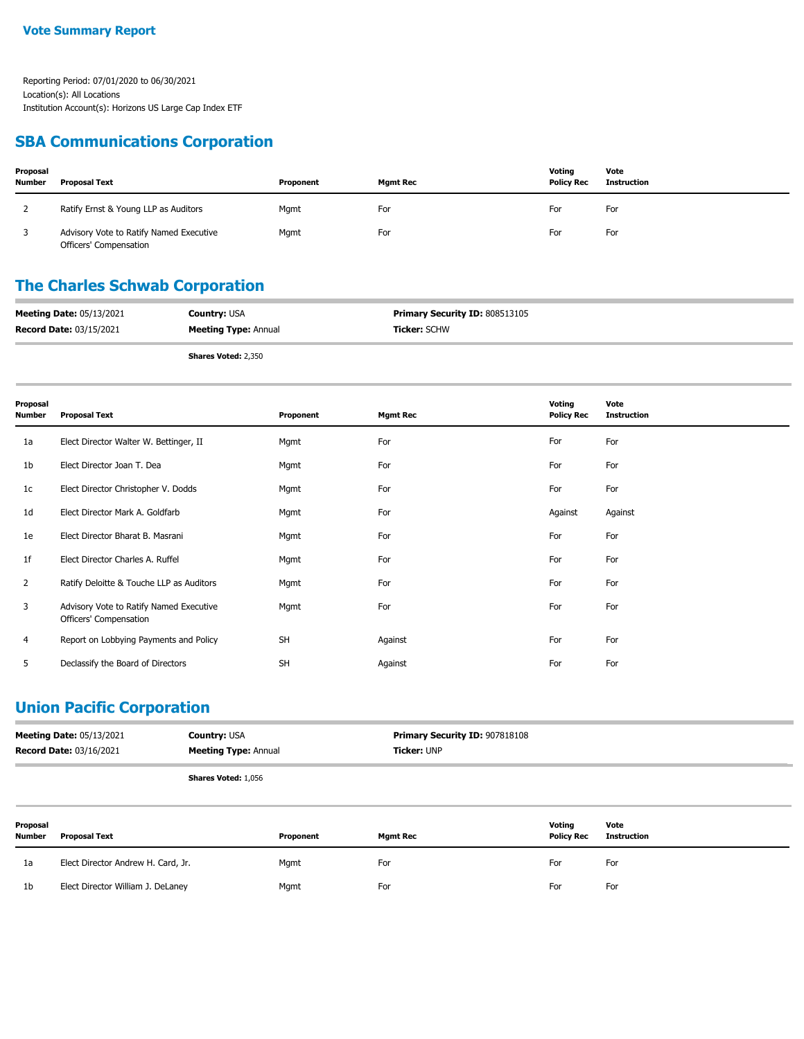#### **SBA Communications Corporation**

| Proposal<br><b>Number</b> | Proposal Text                                                     | Proponent | <b>Mgmt Rec</b> | Votina<br><b>Policy Rec</b> | Vote<br>Instruction |
|---------------------------|-------------------------------------------------------------------|-----------|-----------------|-----------------------------|---------------------|
|                           | Ratify Ernst & Young LLP as Auditors                              | Mgmt      | For             | For                         | For                 |
|                           | Advisory Vote to Ratify Named Executive<br>Officers' Compensation | Mgmt      | For             | For                         | For                 |

## **The Charles Schwab Corporation**

| <b>Meeting Date: 05/13/2021</b> | <b>Country: USA</b>         | <b>Primary Security ID: 808513105</b> |
|---------------------------------|-----------------------------|---------------------------------------|
| <b>Record Date: 03/15/2021</b>  | <b>Meeting Type: Annual</b> | <b>Ticker:</b> SCHW                   |
|                                 |                             |                                       |

**Shares Voted:** 2,350

| Proposal<br><b>Number</b> | <b>Proposal Text</b>                                              | Proponent | <b>Mgmt Rec</b> | Voting<br><b>Policy Rec</b> | Vote<br><b>Instruction</b> |
|---------------------------|-------------------------------------------------------------------|-----------|-----------------|-----------------------------|----------------------------|
| 1a                        | Elect Director Walter W. Bettinger, II                            | Mgmt      | For             | For                         | For                        |
| 1 <sub>b</sub>            | Elect Director Joan T. Dea                                        | Mgmt      | For             | For                         | For                        |
| 1c                        | Elect Director Christopher V. Dodds                               | Mgmt      | For             | For                         | For                        |
| 1d                        | Elect Director Mark A. Goldfarb                                   | Mgmt      | For             | Against                     | Against                    |
| 1e                        | Elect Director Bharat B. Masrani                                  | Mgmt      | For             | For                         | For                        |
| 1f                        | Elect Director Charles A. Ruffel                                  | Mgmt      | For             | For                         | For                        |
| $\overline{2}$            | Ratify Deloitte & Touche LLP as Auditors                          | Mgmt      | For             | For                         | For                        |
| 3                         | Advisory Vote to Ratify Named Executive<br>Officers' Compensation | Mgmt      | For             | For                         | For                        |
| 4                         | Report on Lobbying Payments and Policy                            | <b>SH</b> | Against         | For                         | For                        |
| 5                         | Declassify the Board of Directors                                 | <b>SH</b> | Against         | For                         | For                        |

### **Union Pacific Corporation**

| <b>Meeting Date: 05/13/2021</b> | <b>Country: USA</b>         | <b>Primary Security ID: 907818108</b> |
|---------------------------------|-----------------------------|---------------------------------------|
| <b>Record Date: 03/16/2021</b>  | <b>Meeting Type: Annual</b> | <b>Ticker:</b> UNP                    |
|                                 |                             |                                       |

**Shares Voted:** 1,056

| Proposal<br><b>Number</b> | <b>Proposal Text</b>               | Proponent | <b>Mgmt Rec</b> | Voting<br><b>Policy Rec</b> | Vote<br>Instruction |
|---------------------------|------------------------------------|-----------|-----------------|-----------------------------|---------------------|
| 1a                        | Elect Director Andrew H. Card, Jr. | Mgmt      | For             | For                         | For                 |
| 1 <sub>b</sub>            | Elect Director William J. DeLaney  | Mgmt      | For             | For                         | For                 |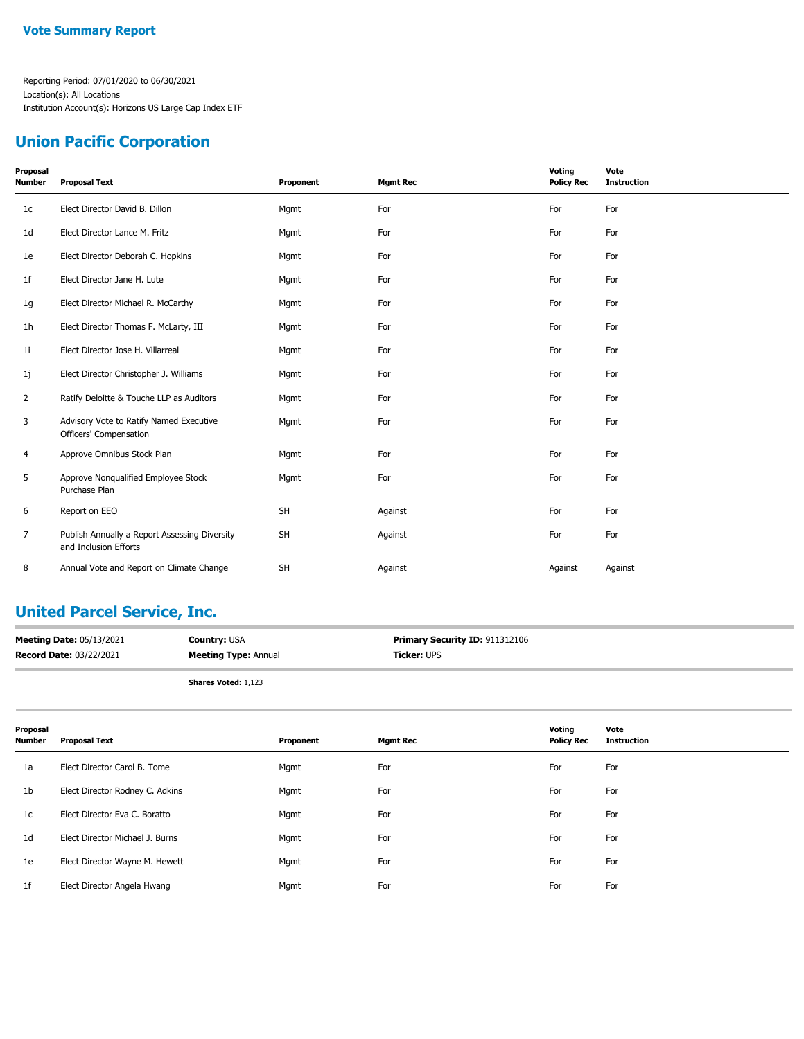### **Union Pacific Corporation**

| Proposal<br><b>Number</b> | <b>Proposal Text</b>                                                   | Proponent | <b>Mgmt Rec</b> | Voting<br><b>Policy Rec</b> | Vote<br><b>Instruction</b> |
|---------------------------|------------------------------------------------------------------------|-----------|-----------------|-----------------------------|----------------------------|
| 1 <sub>c</sub>            | Elect Director David B. Dillon                                         | Mgmt      | For             | For                         | For                        |
| 1 <sub>d</sub>            | Elect Director Lance M. Fritz                                          | Mgmt      | For             | For                         | For                        |
| 1e                        | Elect Director Deborah C. Hopkins                                      | Mgmt      | For             | For                         | For                        |
| 1f                        | Elect Director Jane H. Lute                                            | Mgmt      | For             | For                         | For                        |
| 1g                        | Elect Director Michael R. McCarthy                                     | Mgmt      | For             | For                         | For                        |
| 1 <sub>h</sub>            | Elect Director Thomas F. McLarty, III                                  | Mgmt      | For             | For                         | For                        |
| 11                        | Elect Director Jose H. Villarreal                                      | Mgmt      | For             | For                         | For                        |
| 1j                        | Elect Director Christopher J. Williams                                 | Mgmt      | For             | For                         | For                        |
| 2                         | Ratify Deloitte & Touche LLP as Auditors                               | Mgmt      | For             | For                         | For                        |
| 3                         | Advisory Vote to Ratify Named Executive<br>Officers' Compensation      | Mgmt      | For             | For                         | For                        |
| 4                         | Approve Omnibus Stock Plan                                             | Mgmt      | For             | For                         | For                        |
| 5                         | Approve Nonqualified Employee Stock<br>Purchase Plan                   | Mgmt      | For             | For                         | For                        |
| 6                         | Report on EEO                                                          | <b>SH</b> | Against         | For                         | For                        |
| $\overline{7}$            | Publish Annually a Report Assessing Diversity<br>and Inclusion Efforts | <b>SH</b> | Against         | For                         | For                        |
| 8                         | Annual Vote and Report on Climate Change                               | <b>SH</b> | Against         | Against                     | Against                    |

### **United Parcel Service, Inc.**

| <b>Meeting Date: 05/13/2021</b> | <b>Country: USA</b>         | <b>Primary Security ID: 911312106</b> |
|---------------------------------|-----------------------------|---------------------------------------|
| <b>Record Date: 03/22/2021</b>  | <b>Meeting Type: Annual</b> | <b>Ticker: UPS</b>                    |
|                                 | <b>Shares Voted: 1,123</b>  |                                       |

| Proposal<br><b>Number</b> | <b>Proposal Text</b>            | Proponent | <b>Mgmt Rec</b> | Voting<br><b>Policy Rec</b> | Vote<br><b>Instruction</b> |
|---------------------------|---------------------------------|-----------|-----------------|-----------------------------|----------------------------|
| 1a                        | Elect Director Carol B. Tome    | Mgmt      | For             | For                         | For                        |
| 1b                        | Elect Director Rodney C. Adkins | Mgmt      | For             | For                         | For                        |
| 1c                        | Elect Director Eva C. Boratto   | Mgmt      | For             | For                         | For                        |
| 1 <sub>d</sub>            | Elect Director Michael J. Burns | Mgmt      | For             | For                         | For                        |
| 1e                        | Elect Director Wayne M. Hewett  | Mgmt      | For             | For                         | For                        |
| 1f                        | Elect Director Angela Hwang     | Mgmt      | For             | For                         | For                        |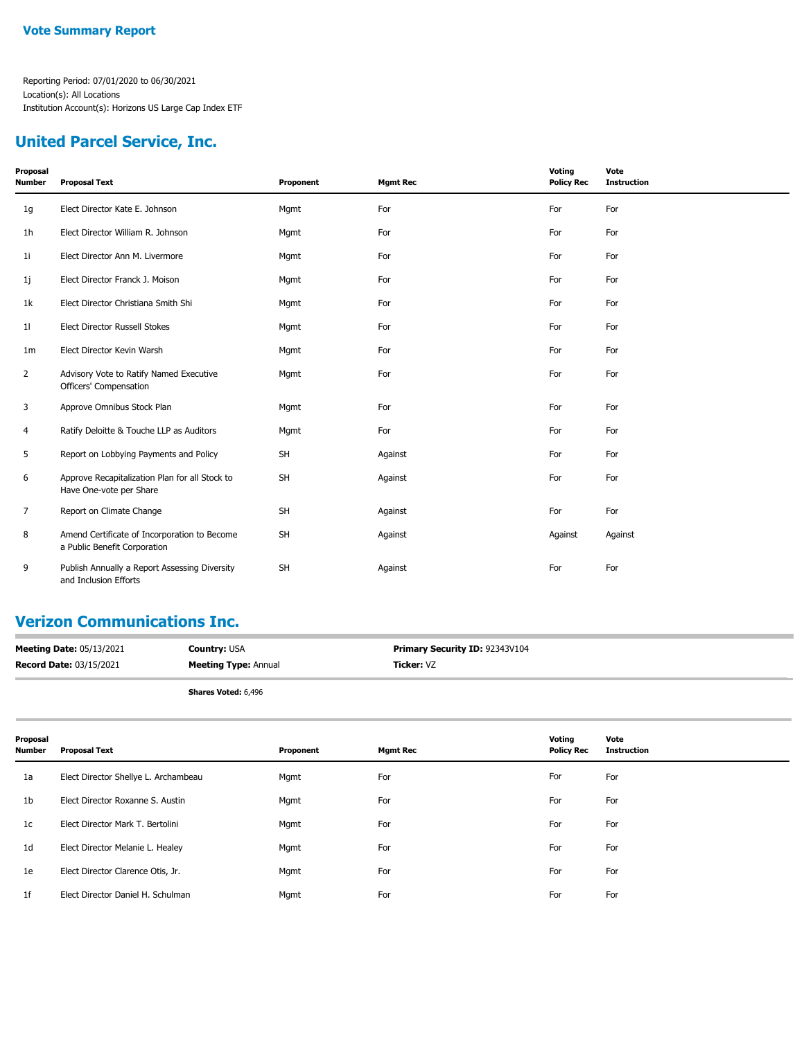### **United Parcel Service, Inc.**

| Proposal<br><b>Number</b> | <b>Proposal Text</b>                                                         | Proponent | <b>Mgmt Rec</b> | Voting<br><b>Policy Rec</b> | Vote<br><b>Instruction</b> |
|---------------------------|------------------------------------------------------------------------------|-----------|-----------------|-----------------------------|----------------------------|
| 1g                        | Elect Director Kate E. Johnson                                               | Mgmt      | For             | For                         | For                        |
| 1h                        | Elect Director William R. Johnson                                            | Mgmt      | For             | For                         | For                        |
| 11                        | Elect Director Ann M. Livermore                                              | Mgmt      | For             | For                         | For                        |
| 1j                        | Elect Director Franck J. Moison                                              | Mgmt      | For             | For                         | For                        |
| 1k                        | Elect Director Christiana Smith Shi                                          | Mgmt      | For             | For                         | For                        |
| 11                        | Elect Director Russell Stokes                                                | Mgmt      | For             | For                         | For                        |
| 1 <sub>m</sub>            | Elect Director Kevin Warsh                                                   | Mgmt      | For             | For                         | For                        |
| $\overline{2}$            | Advisory Vote to Ratify Named Executive<br>Officers' Compensation            | Mgmt      | For             | For                         | For                        |
| 3                         | Approve Omnibus Stock Plan                                                   | Mgmt      | For             | For                         | For                        |
| 4                         | Ratify Deloitte & Touche LLP as Auditors                                     | Mgmt      | For             | For                         | For                        |
| 5                         | Report on Lobbying Payments and Policy                                       | <b>SH</b> | Against         | For                         | For                        |
| 6                         | Approve Recapitalization Plan for all Stock to<br>Have One-vote per Share    | <b>SH</b> | Against         | For                         | For                        |
| 7                         | Report on Climate Change                                                     | <b>SH</b> | Against         | For                         | For                        |
| 8                         | Amend Certificate of Incorporation to Become<br>a Public Benefit Corporation | <b>SH</b> | Against         | Against                     | Against                    |
| 9                         | Publish Annually a Report Assessing Diversity<br>and Inclusion Efforts       | <b>SH</b> | Against         | For                         | For                        |

#### **Verizon Communications Inc.**

| <b>Meeting Date: 05/13/2021</b> | <b>Country: USA</b>         | Primary Security ID: 92343V104 |
|---------------------------------|-----------------------------|--------------------------------|
| <b>Record Date: 03/15/2021</b>  | <b>Meeting Type: Annual</b> | Ticker: VZ                     |

**Shares Voted:** 6,496

| Proposal<br>Number | <b>Proposal Text</b>                 | Proponent | <b>Mgmt Rec</b> | Voting<br><b>Policy Rec</b> | Vote<br>Instruction |
|--------------------|--------------------------------------|-----------|-----------------|-----------------------------|---------------------|
| 1a                 | Elect Director Shellye L. Archambeau | Mgmt      | For             | For                         | For                 |
| 1 <sub>b</sub>     | Elect Director Roxanne S. Austin     | Mgmt      | For             | For                         | For                 |
| 1 <sub>c</sub>     | Elect Director Mark T. Bertolini     | Mgmt      | For             | For                         | For                 |
| 1 <sub>d</sub>     | Elect Director Melanie L. Healey     | Mgmt      | For             | For                         | For                 |
| 1e                 | Elect Director Clarence Otis, Jr.    | Mgmt      | For             | For                         | For                 |
| 1 <sup>f</sup>     | Elect Director Daniel H. Schulman    | Mgmt      | For             | For                         | For                 |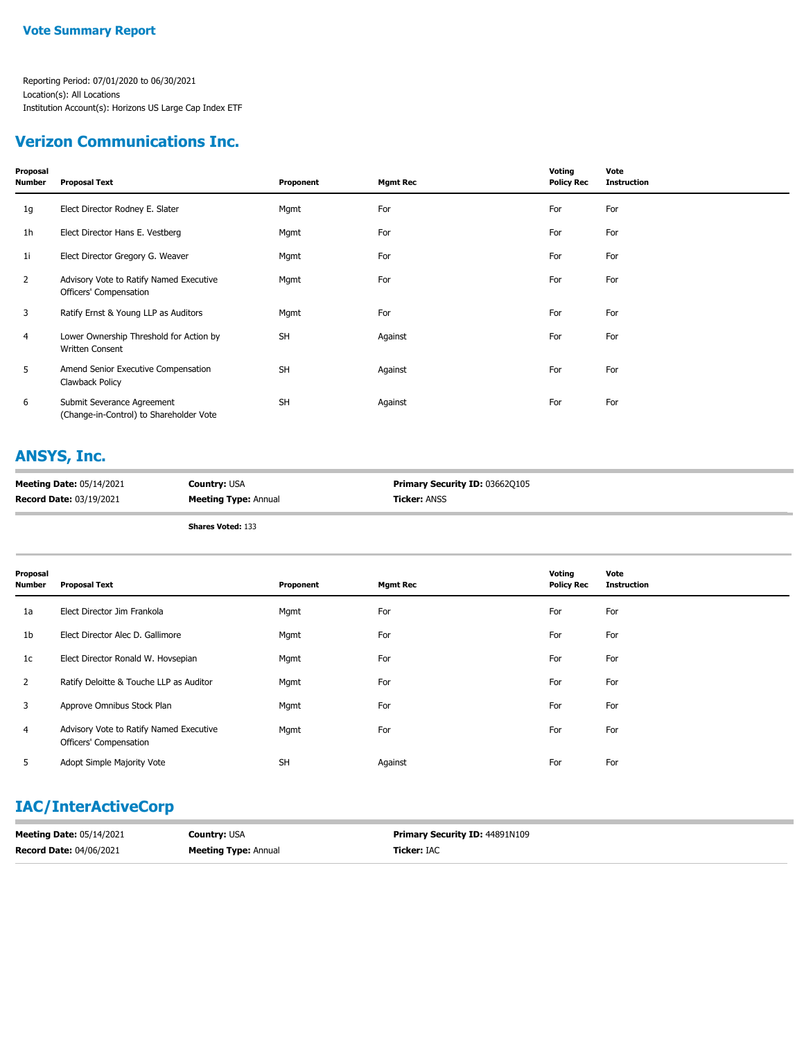### **Verizon Communications Inc.**

| Proposal<br><b>Number</b> | <b>Proposal Text</b>                                                  | Proponent | <b>Mgmt Rec</b> | Voting<br><b>Policy Rec</b> | Vote<br><b>Instruction</b> |
|---------------------------|-----------------------------------------------------------------------|-----------|-----------------|-----------------------------|----------------------------|
| 1g                        | Elect Director Rodney E. Slater                                       | Mgmt      | For             | For                         | For                        |
| 1 <sub>h</sub>            | Elect Director Hans E. Vestberg                                       | Mgmt      | For             | For                         | For                        |
| 11                        | Elect Director Gregory G. Weaver                                      | Mgmt      | For             | For                         | For                        |
| 2                         | Advisory Vote to Ratify Named Executive<br>Officers' Compensation     | Mgmt      | For             | For                         | For                        |
| 3                         | Ratify Ernst & Young LLP as Auditors                                  | Mgmt      | For             | For                         | For                        |
| 4                         | Lower Ownership Threshold for Action by<br>Written Consent            | <b>SH</b> | Against         | For                         | For                        |
| 5                         | Amend Senior Executive Compensation<br>Clawback Policy                | <b>SH</b> | Against         | For                         | For                        |
| 6                         | Submit Severance Agreement<br>(Change-in-Control) to Shareholder Vote | <b>SH</b> | Against         | For                         | For                        |

### **ANSYS, Inc.**

| <b>Meeting Date: 05/14/2021</b> | <b>Country: USA</b>         | <b>Primary Security ID: 036620105</b> |
|---------------------------------|-----------------------------|---------------------------------------|
| <b>Record Date: 03/19/2021</b>  | <b>Meeting Type: Annual</b> | <b>Ticker:</b> ANSS                   |

**Shares Voted:** 133

| Proposal<br>Number | <b>Proposal Text</b>                                              | Proponent | <b>Mgmt Rec</b> | Voting<br><b>Policy Rec</b> | Vote<br><b>Instruction</b> |
|--------------------|-------------------------------------------------------------------|-----------|-----------------|-----------------------------|----------------------------|
| 1a                 | Elect Director Jim Frankola                                       | Mgmt      | For             | For                         | For                        |
| 1b                 | Elect Director Alec D. Gallimore                                  | Mgmt      | For             | For                         | For                        |
| 1c                 | Elect Director Ronald W. Hovsepian                                | Mgmt      | For             | For                         | For                        |
| $\overline{2}$     | Ratify Deloitte & Touche LLP as Auditor                           | Mgmt      | For             | For                         | For                        |
| 3                  | Approve Omnibus Stock Plan                                        | Mgmt      | For             | For                         | For                        |
| 4                  | Advisory Vote to Ratify Named Executive<br>Officers' Compensation | Mgmt      | For             | For                         | For                        |
| 5                  | Adopt Simple Majority Vote                                        | <b>SH</b> | Against         | For                         | For                        |

### **IAC/InterActiveCorp**

| <b>Meeting Date: 05/14/2021</b> | <b>Country: USA</b>         | <b>Primary Security ID: 44891N109</b> |
|---------------------------------|-----------------------------|---------------------------------------|
| <b>Record Date: 04/06/2021</b>  | <b>Meeting Type: Annual</b> | <b>Ticker: IAC</b>                    |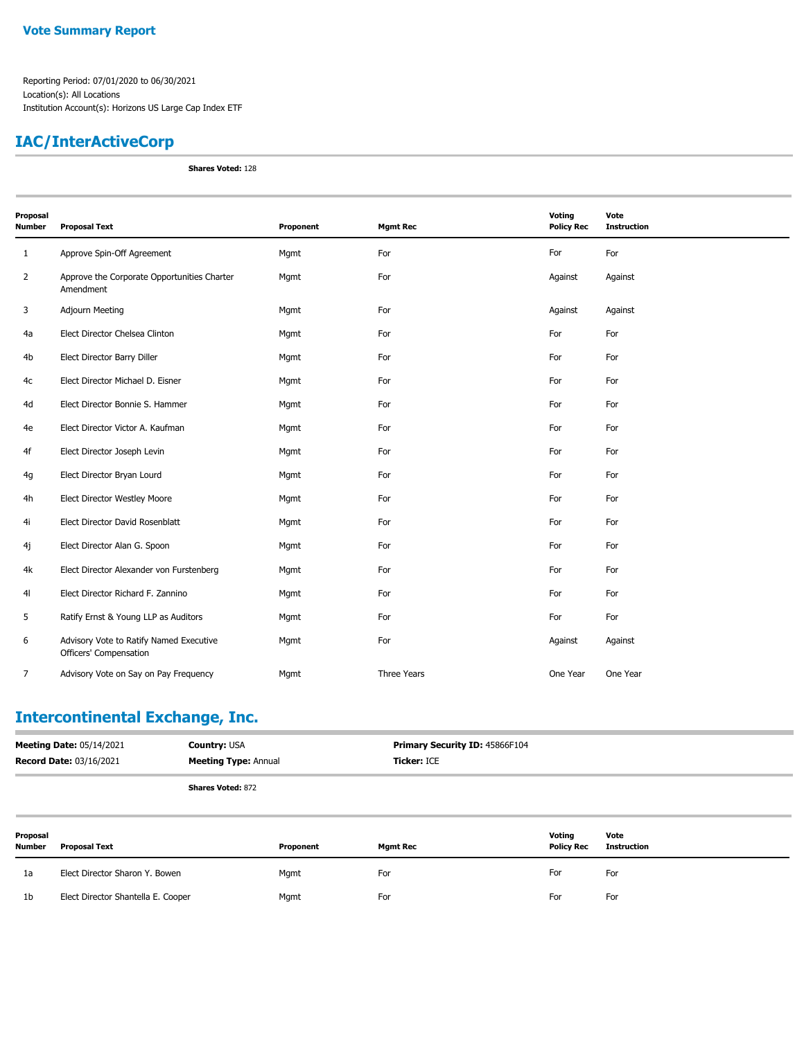### **IAC/InterActiveCorp**

**Shares Voted:** 128

| Proposal<br><b>Number</b> | <b>Proposal Text</b>                                              | Proponent | <b>Mgmt Rec</b> | Voting<br><b>Policy Rec</b> | Vote<br><b>Instruction</b> |
|---------------------------|-------------------------------------------------------------------|-----------|-----------------|-----------------------------|----------------------------|
| $\mathbf{1}$              | Approve Spin-Off Agreement                                        | Mgmt      | For             | For                         | For                        |
| $\overline{2}$            | Approve the Corporate Opportunities Charter<br>Amendment          | Mgmt      | For             | Against                     | Against                    |
| 3                         | <b>Adjourn Meeting</b>                                            | Mgmt      | For             | Against                     | Against                    |
| 4a                        | Elect Director Chelsea Clinton                                    | Mgmt      | For             | For                         | For                        |
| 4b                        | Elect Director Barry Diller                                       | Mgmt      | For             | For                         | For                        |
| 4c                        | Elect Director Michael D. Eisner                                  | Mgmt      | For             | For                         | For                        |
| 4d                        | Elect Director Bonnie S. Hammer                                   | Mgmt      | For             | For                         | For                        |
| 4e                        | Elect Director Victor A. Kaufman                                  | Mgmt      | For             | For                         | For                        |
| 4f                        | Elect Director Joseph Levin                                       | Mgmt      | For             | For                         | For                        |
| 4g                        | Elect Director Bryan Lourd                                        | Mgmt      | For             | For                         | For                        |
| 4h                        | Elect Director Westley Moore                                      | Mgmt      | For             | For                         | For                        |
| 4i                        | Elect Director David Rosenblatt                                   | Mgmt      | For             | For                         | For                        |
| 4j                        | Elect Director Alan G. Spoon                                      | Mgmt      | For             | For                         | For                        |
| 4k                        | Elect Director Alexander von Furstenberg                          | Mgmt      | For             | For                         | For                        |
| 41                        | Elect Director Richard F. Zannino                                 | Mgmt      | For             | For                         | For                        |
| 5                         | Ratify Ernst & Young LLP as Auditors                              | Mgmt      | For             | For                         | For                        |
| 6                         | Advisory Vote to Ratify Named Executive<br>Officers' Compensation | Mgmt      | For             | Against                     | Against                    |
| $\overline{7}$            | Advisory Vote on Say on Pay Frequency                             | Mgmt      | Three Years     | One Year                    | One Year                   |

# **Intercontinental Exchange, Inc.**

| <b>Meeting Date: 05/14/2021</b> | <b>Country: USA</b>         | <b>Primary Security ID: 45866F104</b> |
|---------------------------------|-----------------------------|---------------------------------------|
| <b>Record Date: 03/16/2021</b>  | <b>Meeting Type: Annual</b> | <b>Ticker: ICE</b>                    |
|                                 | <b>Shares Voted: 872</b>    |                                       |

| Proposal<br><b>Number</b> | <b>Proposal Text</b>               | Proponent | <b>Mgmt Rec</b> | Voting<br><b>Policy Rec</b> | Vote<br><b>Instruction</b> |
|---------------------------|------------------------------------|-----------|-----------------|-----------------------------|----------------------------|
| 1a                        | Elect Director Sharon Y. Bowen     | Mgmt      | For             | For                         | For                        |
| 1 <sub>b</sub>            | Elect Director Shantella E. Cooper | Mgmt      | For             | For                         | For                        |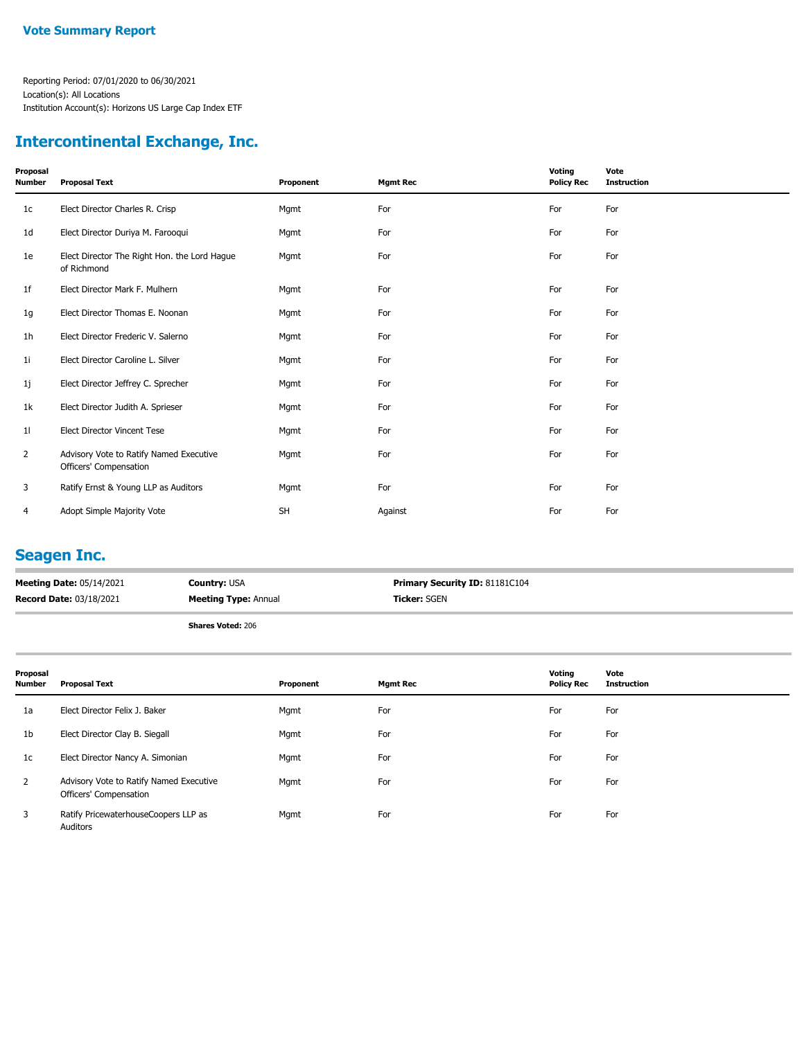## **Intercontinental Exchange, Inc.**

| Proposal<br><b>Number</b> | <b>Proposal Text</b>                                              | Proponent | <b>Mgmt Rec</b> | Voting<br><b>Policy Rec</b> | Vote<br><b>Instruction</b> |
|---------------------------|-------------------------------------------------------------------|-----------|-----------------|-----------------------------|----------------------------|
| 1 <sub>c</sub>            | Elect Director Charles R. Crisp                                   | Mgmt      | For             | For                         | For                        |
| 1 <sub>d</sub>            | Elect Director Duriya M. Farooqui                                 | Mgmt      | For             | For                         | For                        |
| 1e                        | Elect Director The Right Hon. the Lord Hague<br>of Richmond       | Mgmt      | For             | For                         | For                        |
| 1 <sup>f</sup>            | Elect Director Mark F. Mulhern                                    | Mgmt      | For             | For                         | For                        |
| 1g                        | Elect Director Thomas E. Noonan                                   | Mgmt      | For             | For                         | For                        |
| 1 <sub>h</sub>            | Elect Director Frederic V. Salerno                                | Mgmt      | For             | For                         | For                        |
| 11                        | Elect Director Caroline L. Silver                                 | Mgmt      | For             | For                         | For                        |
| 1j                        | Elect Director Jeffrey C. Sprecher                                | Mgmt      | For             | For                         | For                        |
| 1k                        | Elect Director Judith A. Sprieser                                 | Mgmt      | For             | For                         | For                        |
| 11                        | Elect Director Vincent Tese                                       | Mgmt      | For             | For                         | For                        |
| $\overline{2}$            | Advisory Vote to Ratify Named Executive<br>Officers' Compensation | Mgmt      | For             | For                         | For                        |
| 3                         | Ratify Ernst & Young LLP as Auditors                              | Mgmt      | For             | For                         | For                        |
| 4                         | Adopt Simple Majority Vote                                        | <b>SH</b> | Against         | For                         | For                        |

#### **Seagen Inc.**

| <b>Meeting Date: 05/14/2021</b> | <b>Country: USA</b>         | Primary Security ID: 81181C104 |
|---------------------------------|-----------------------------|--------------------------------|
| <b>Record Date: 03/18/2021</b>  | <b>Meeting Type: Annual</b> | <b>Ticker: SGEN</b>            |
|                                 | <b>Shares Voted: 206</b>    |                                |

| Proposal<br>Number | <b>Proposal Text</b>                                              | Proponent | <b>Mgmt Rec</b> | Voting<br><b>Policy Rec</b> | Vote<br><b>Instruction</b> |
|--------------------|-------------------------------------------------------------------|-----------|-----------------|-----------------------------|----------------------------|
| 1a                 | Elect Director Felix J. Baker                                     | Mgmt      | For             | For                         | For                        |
| 1b                 | Elect Director Clay B. Siegall                                    | Mgmt      | For             | For                         | For                        |
| 1c                 | Elect Director Nancy A. Simonian                                  | Mgmt      | For             | For                         | For                        |
| $\overline{2}$     | Advisory Vote to Ratify Named Executive<br>Officers' Compensation | Mgmt      | For             | For                         | For                        |
| 3                  | Ratify PricewaterhouseCoopers LLP as<br>Auditors                  | Mgmt      | For             | For                         | For                        |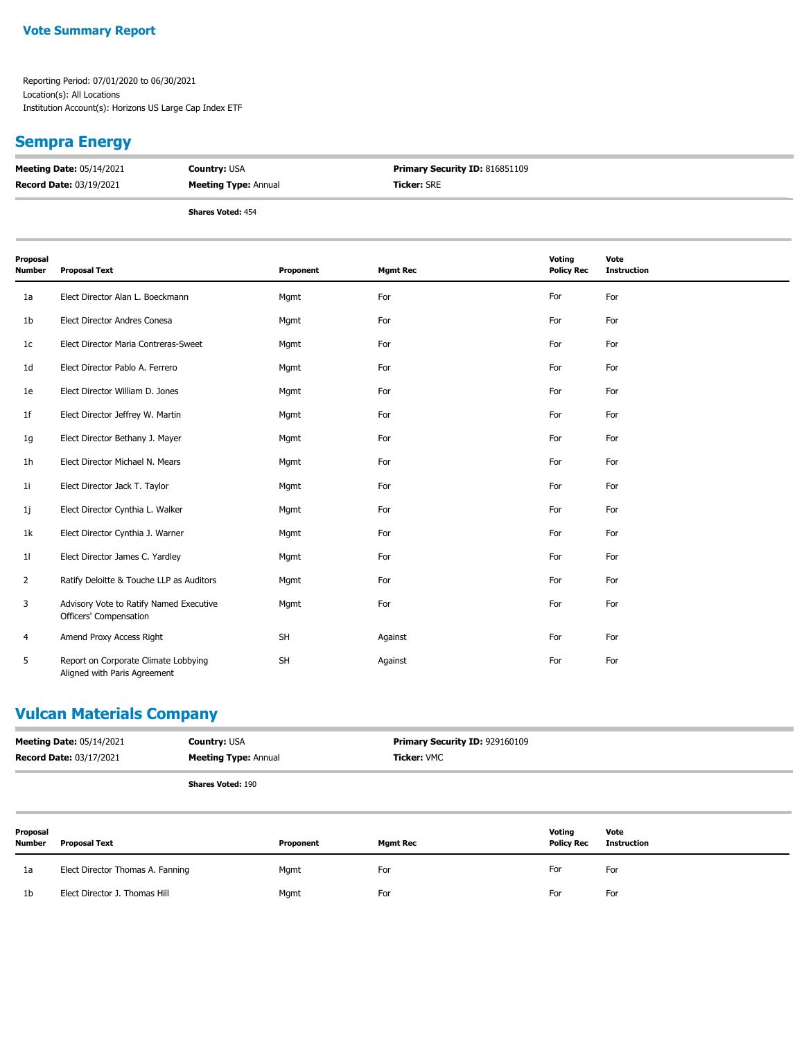#### **Vote Summary Report**

Reporting Period: 07/01/2020 to 06/30/2021 Location(s): All Locations Institution Account(s): Horizons US Large Cap Index ETF

#### **Sempra Energy**

| <b>Meeting Date: 05/14/2021</b> | <b>Country: USA</b>         | <b>Primary Security ID: 816851109</b> |
|---------------------------------|-----------------------------|---------------------------------------|
| <b>Record Date: 03/19/2021</b>  | <b>Meeting Type:</b> Annual | <b>Ticker: SRE</b>                    |
|                                 |                             |                                       |

**Shares Voted:** 454

| Proposal<br>Number | <b>Proposal Text</b>                                                 | Proponent | <b>Mgmt Rec</b> | Voting<br><b>Policy Rec</b> | Vote<br><b>Instruction</b> |
|--------------------|----------------------------------------------------------------------|-----------|-----------------|-----------------------------|----------------------------|
| 1a                 | Elect Director Alan L. Boeckmann                                     | Mgmt      | For             | For                         | For                        |
| 1b                 | Elect Director Andres Conesa                                         | Mgmt      | For             | For                         | For                        |
| 1c                 | Elect Director Maria Contreras-Sweet                                 | Mgmt      | For             | For                         | For                        |
| 1d                 | Elect Director Pablo A. Ferrero                                      | Mgmt      | For             | For                         | For                        |
| 1e                 | Elect Director William D. Jones                                      | Mgmt      | For             | For                         | For                        |
| 1f                 | Elect Director Jeffrey W. Martin                                     | Mgmt      | For             | For                         | For                        |
| 1g                 | Elect Director Bethany J. Mayer                                      | Mgmt      | For             | For                         | For                        |
| 1h                 | Elect Director Michael N. Mears                                      | Mgmt      | For             | For                         | For                        |
| 11                 | Elect Director Jack T. Taylor                                        | Mgmt      | For             | For                         | For                        |
| 1j                 | Elect Director Cynthia L. Walker                                     | Mgmt      | For             | For                         | For                        |
| 1k                 | Elect Director Cynthia J. Warner                                     | Mgmt      | For             | For                         | For                        |
| 11                 | Elect Director James C. Yardley                                      | Mgmt      | For             | For                         | For                        |
| $\overline{2}$     | Ratify Deloitte & Touche LLP as Auditors                             | Mgmt      | For             | For                         | For                        |
| 3                  | Advisory Vote to Ratify Named Executive<br>Officers' Compensation    | Mgmt      | For             | For                         | For                        |
| 4                  | Amend Proxy Access Right                                             | <b>SH</b> | Against         | For                         | For                        |
| 5                  | Report on Corporate Climate Lobbying<br>Aligned with Paris Agreement | <b>SH</b> | Against         | For                         | For                        |

#### **Vulcan Materials Company**

| <b>Meeting Date: 05/14/2021</b> | <b>Country: USA</b>         | <b>Primary Security ID: 929160109</b> |
|---------------------------------|-----------------------------|---------------------------------------|
| <b>Record Date: 03/17/2021</b>  | <b>Meeting Type: Annual</b> | <b>Ticker: VMC</b>                    |
|                                 |                             |                                       |

| Proposal<br><b>Number</b> | <b>Proposal Text</b>             | Proponent | Mgmt Rec | Voting<br><b>Policy Rec</b> | Vote<br>Instruction |
|---------------------------|----------------------------------|-----------|----------|-----------------------------|---------------------|
| 1a                        | Elect Director Thomas A. Fanning | Mgmt      | For      | For                         | For                 |
| 1 <sub>b</sub>            | Elect Director J. Thomas Hill    | Mgmt      | For      | For                         | For                 |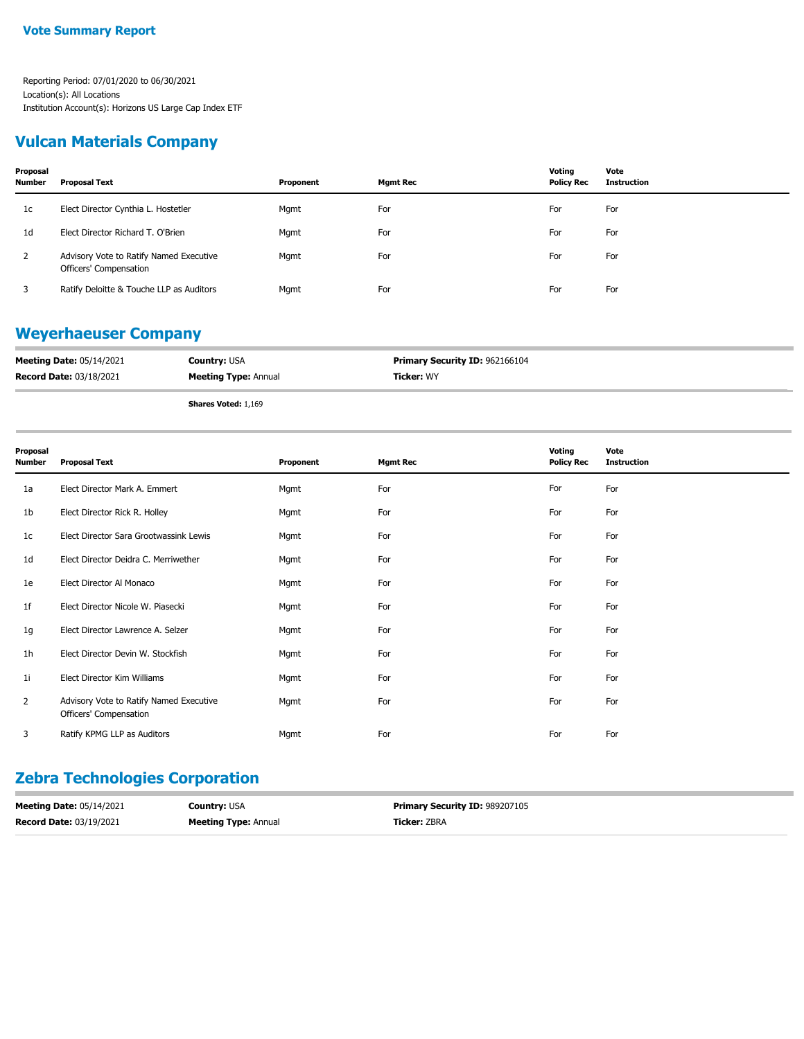#### **Vulcan Materials Company**

| Proposal<br><b>Number</b> | Proposal Text                                                     | Proponent | Mgmt Rec | Voting<br><b>Policy Rec</b> | Vote<br>Instruction |
|---------------------------|-------------------------------------------------------------------|-----------|----------|-----------------------------|---------------------|
| 1c                        | Elect Director Cynthia L. Hostetler                               | Mgmt      | For      | For                         | For                 |
| 1 <sub>d</sub>            | Elect Director Richard T. O'Brien                                 | Mgmt      | For      | For                         | For                 |
| 2                         | Advisory Vote to Ratify Named Executive<br>Officers' Compensation | Mgmt      | For      | For                         | For                 |
|                           | Ratify Deloitte & Touche LLP as Auditors                          | Mgmt      | For      | For                         | For                 |

#### **Weyerhaeuser Company**

| <b>Meeting Date: 05/14/2021</b> | <b>Country: USA</b>         | <b>Primary Security ID: 962166104</b> |
|---------------------------------|-----------------------------|---------------------------------------|
| <b>Record Date: 03/18/2021</b>  | <b>Meeting Type: Annual</b> | <b>Ticker:</b> WY                     |
|                                 | <b>Shares Voted: 1,169</b>  |                                       |

| Proposal<br><b>Number</b> | <b>Proposal Text</b>                                              | Proponent | <b>Mgmt Rec</b> | Voting<br><b>Policy Rec</b> | Vote<br><b>Instruction</b> |
|---------------------------|-------------------------------------------------------------------|-----------|-----------------|-----------------------------|----------------------------|
| 1a                        | Elect Director Mark A. Emmert                                     | Mgmt      | For             | For                         | For                        |
| 1b                        | Elect Director Rick R. Holley                                     | Mgmt      | For             | For                         | For                        |
| 1c                        | Elect Director Sara Grootwassink Lewis                            | Mgmt      | For             | For                         | For                        |
| 1d                        | Elect Director Deidra C. Merriwether                              | Mgmt      | For             | For                         | For                        |
| 1e                        | Elect Director Al Monaco                                          | Mgmt      | For             | For                         | For                        |
| 1f                        | Elect Director Nicole W. Piasecki                                 | Mgmt      | For             | For                         | For                        |
| 1g                        | Elect Director Lawrence A. Selzer                                 | Mgmt      | For             | For                         | For                        |
| 1 <sub>h</sub>            | Elect Director Devin W. Stockfish                                 | Mgmt      | For             | For                         | For                        |
| 1 <sub>i</sub>            | Elect Director Kim Williams                                       | Mgmt      | For             | For                         | For                        |
| $\overline{2}$            | Advisory Vote to Ratify Named Executive<br>Officers' Compensation | Mgmt      | For             | For                         | For                        |
| 3                         | Ratify KPMG LLP as Auditors                                       | Mgmt      | For             | For                         | For                        |

### **Zebra Technologies Corporation**

| <b>Meeting Date: 05/14/2021</b> | <b>Country: USA</b>         | <b>Primary Security ID: 989207105</b> |
|---------------------------------|-----------------------------|---------------------------------------|
| <b>Record Date: 03/19/2021</b>  | <b>Meeting Type: Annual</b> | <b>Ticker:</b> ZBRA                   |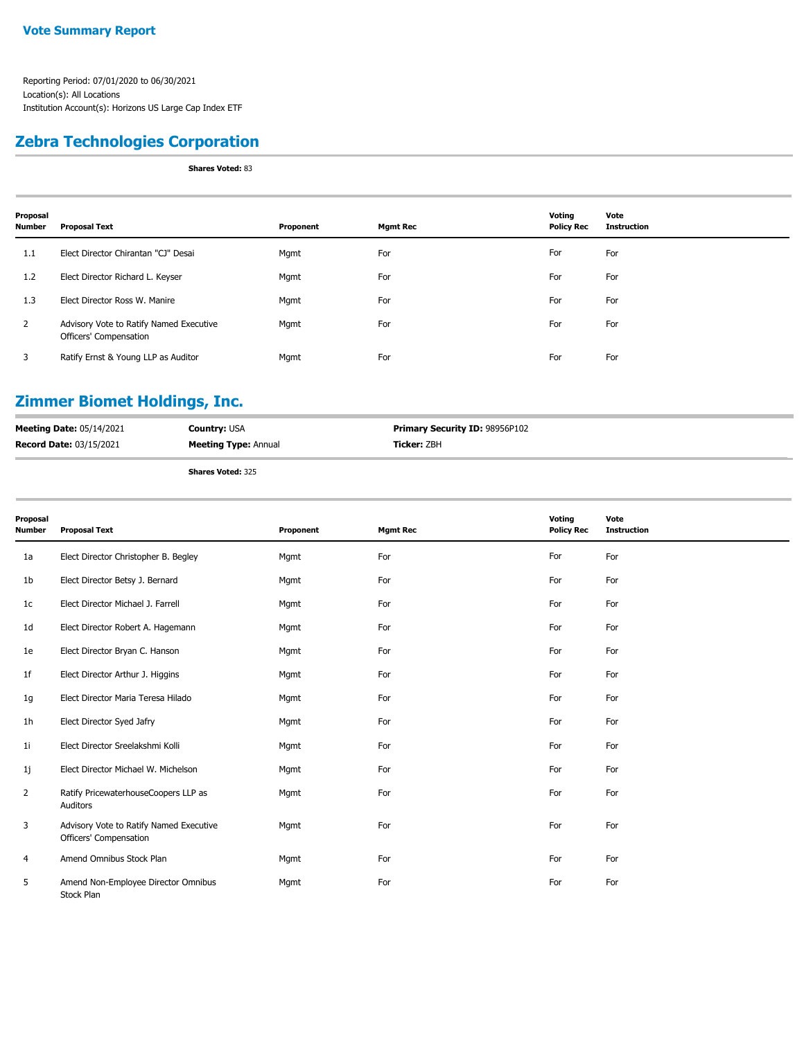### **Zebra Technologies Corporation**

**Shares Voted:** 83

| Proposal<br><b>Number</b> | <b>Proposal Text</b>                                              | Proponent | <b>Mgmt Rec</b> | Voting<br><b>Policy Rec</b> | Vote<br><b>Instruction</b> |
|---------------------------|-------------------------------------------------------------------|-----------|-----------------|-----------------------------|----------------------------|
| 1.1                       | Elect Director Chirantan "CJ" Desai                               | Mgmt      | For             | For                         | For                        |
| 1.2                       | Elect Director Richard L. Keyser                                  | Mgmt      | For             | For                         | For                        |
| 1.3                       | Elect Director Ross W. Manire                                     | Mgmt      | For             | For                         | For                        |
| 2                         | Advisory Vote to Ratify Named Executive<br>Officers' Compensation | Mgmt      | For             | For                         | For                        |
| 3                         | Ratify Ernst & Young LLP as Auditor                               | Mgmt      | For             | For                         | For                        |

## **Zimmer Biomet Holdings, Inc.**

| <b>Meeting Date: 05/14/2021</b> | <b>Country: USA</b>         | <b>Primary Security ID: 98956P102</b> |
|---------------------------------|-----------------------------|---------------------------------------|
| <b>Record Date: 03/15/2021</b>  | <b>Meeting Type: Annual</b> | <b>Ticker: ZBH</b>                    |
|                                 | Chairman Made de OOF        |                                       |

| Proposal<br><b>Number</b> | <b>Proposal Text</b>                                              | Proponent | <b>Mgmt Rec</b> | Voting<br><b>Policy Rec</b> | Vote<br><b>Instruction</b> |
|---------------------------|-------------------------------------------------------------------|-----------|-----------------|-----------------------------|----------------------------|
| 1a                        | Elect Director Christopher B. Begley                              | Mgmt      | For             | For                         | For                        |
| 1b                        | Elect Director Betsy J. Bernard                                   | Mgmt      | For             | For                         | For                        |
| 1 <sub>c</sub>            | Elect Director Michael J. Farrell                                 | Mgmt      | For             | For                         | For                        |
| 1 <sub>d</sub>            | Elect Director Robert A. Hagemann                                 | Mgmt      | For             | For                         | For                        |
| 1e                        | Elect Director Bryan C. Hanson                                    | Mgmt      | For             | For                         | For                        |
| 1 <sup>f</sup>            | Elect Director Arthur J. Higgins                                  | Mgmt      | For             | For                         | For                        |
| 1g                        | Elect Director Maria Teresa Hilado                                | Mgmt      | For             | For                         | For                        |
| 1 <sub>h</sub>            | Elect Director Syed Jafry                                         | Mgmt      | For             | For                         | For                        |
| 11                        | Elect Director Sreelakshmi Kolli                                  | Mgmt      | For             | For                         | For                        |
| 1j                        | Elect Director Michael W. Michelson                               | Mgmt      | For             | For                         | For                        |
| 2                         | Ratify PricewaterhouseCoopers LLP as<br>Auditors                  | Mgmt      | For             | For                         | For                        |
| 3                         | Advisory Vote to Ratify Named Executive<br>Officers' Compensation | Mgmt      | For             | For                         | For                        |
| 4                         | Amend Omnibus Stock Plan                                          | Mgmt      | For             | For                         | For                        |
| 5                         | Amend Non-Employee Director Omnibus<br>Stock Plan                 | Mgmt      | For             | For                         | For                        |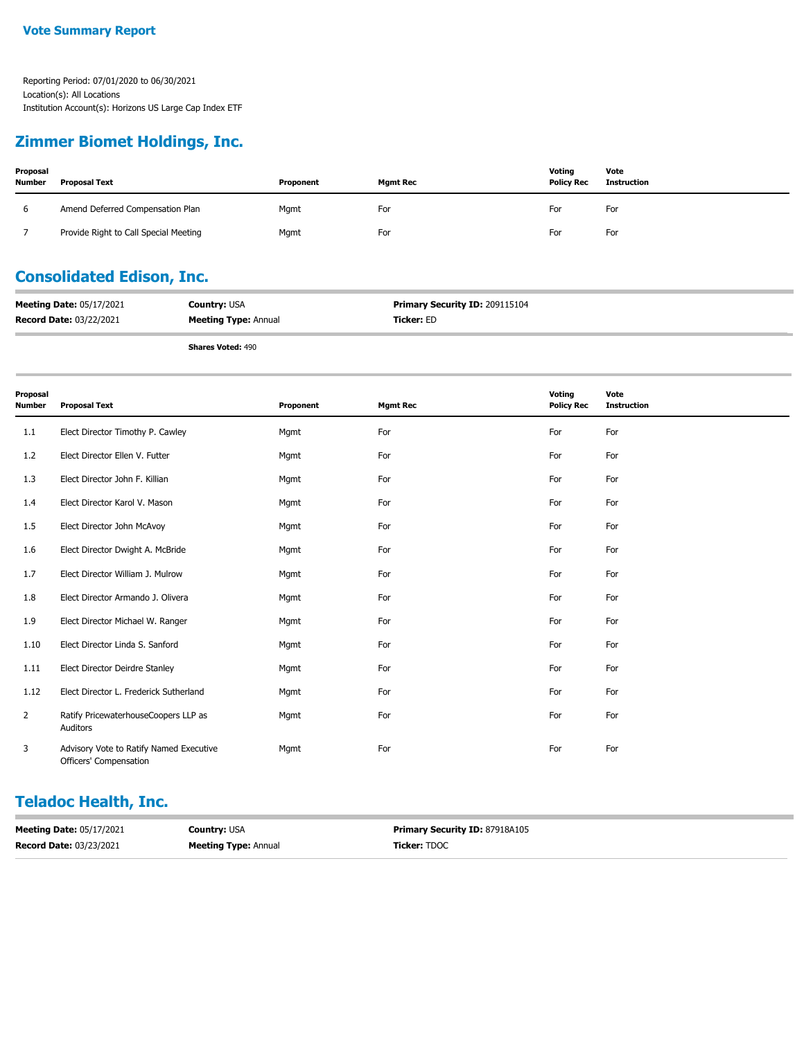#### **Zimmer Biomet Holdings, Inc.**

| Proposal<br><b>Number</b> | <b>Proposal Text</b>                  | Proponent | Mamt Rec | Voting<br><b>Policy Rec</b> | Vote<br>Instruction |
|---------------------------|---------------------------------------|-----------|----------|-----------------------------|---------------------|
| b                         | Amend Deferred Compensation Plan      | Mgmt      | For      | For                         | For                 |
|                           | Provide Right to Call Special Meeting | Mgmt      | For      | For                         | For                 |

## **Consolidated Edison, Inc.**

| <b>Meeting Date: 05/17/2021</b> | <b>Country: USA</b>         | <b>Primary Security ID: 209115104</b> |
|---------------------------------|-----------------------------|---------------------------------------|
| <b>Record Date: 03/22/2021</b>  | <b>Meeting Type: Annual</b> | <b>Ticker:</b> ED                     |

**Shares Voted:** 490

| Proposal<br><b>Number</b> | <b>Proposal Text</b>                                              | Proponent | <b>Mgmt Rec</b> | Voting<br><b>Policy Rec</b> | Vote<br><b>Instruction</b> |
|---------------------------|-------------------------------------------------------------------|-----------|-----------------|-----------------------------|----------------------------|
| 1.1                       | Elect Director Timothy P. Cawley                                  | Mgmt      | For             | For                         | For                        |
| 1.2                       | Elect Director Ellen V. Futter                                    | Mgmt      | For             | For                         | For                        |
| 1.3                       | Elect Director John F. Killian                                    | Mgmt      | For             | For                         | For                        |
| 1.4                       | Elect Director Karol V. Mason                                     | Mgmt      | For             | For                         | For                        |
| $1.5\,$                   | Elect Director John McAvoy                                        | Mgmt      | For             | For                         | For                        |
| 1.6                       | Elect Director Dwight A. McBride                                  | Mgmt      | For             | For                         | For                        |
| 1.7                       | Elect Director William J. Mulrow                                  | Mgmt      | For             | For                         | For                        |
| 1.8                       | Elect Director Armando J. Olivera                                 | Mgmt      | For             | For                         | For                        |
| 1.9                       | Elect Director Michael W. Ranger                                  | Mgmt      | For             | For                         | For                        |
| 1.10                      | Elect Director Linda S. Sanford                                   | Mgmt      | For             | For                         | For                        |
| 1.11                      | Elect Director Deirdre Stanley                                    | Mgmt      | For             | For                         | For                        |
| 1.12                      | Elect Director L. Frederick Sutherland                            | Mgmt      | For             | For                         | For                        |
| $\overline{2}$            | Ratify PricewaterhouseCoopers LLP as<br>Auditors                  | Mgmt      | For             | For                         | For                        |
| 3                         | Advisory Vote to Ratify Named Executive<br>Officers' Compensation | Mgmt      | For             | For                         | For                        |

### **Teladoc Health, Inc.**

| <b>Meeting Date: 05/17/2021</b> | <b>Country: USA</b>         | <b>Primary Security ID: 87918A105</b> |
|---------------------------------|-----------------------------|---------------------------------------|
| <b>Record Date: 03/23/2021</b>  | <b>Meeting Type: Annual</b> | <b>Ticker: TDOC</b>                   |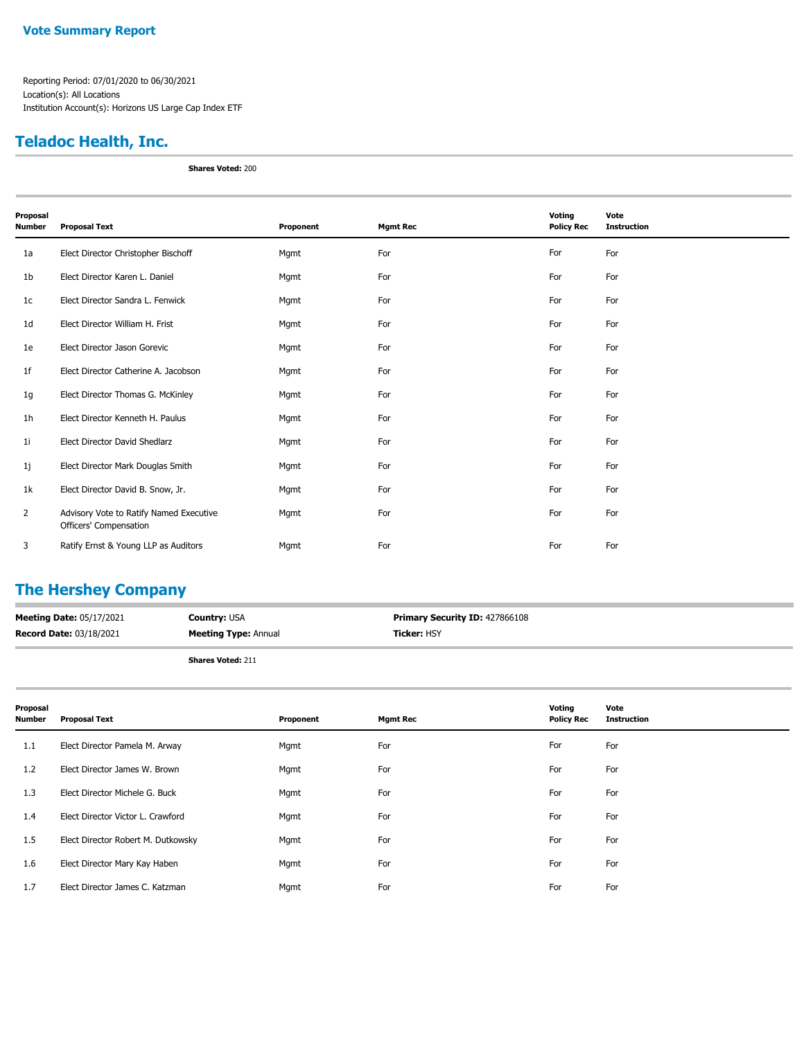#### **Teladoc Health, Inc.**

**Shares Voted:** 200

| Proposal<br><b>Number</b> | <b>Proposal Text</b>                                              | Proponent | <b>Mgmt Rec</b> | Voting<br><b>Policy Rec</b> | Vote<br><b>Instruction</b> |
|---------------------------|-------------------------------------------------------------------|-----------|-----------------|-----------------------------|----------------------------|
| 1a                        | Elect Director Christopher Bischoff                               | Mgmt      | For             | For                         | For                        |
| 1 <sub>b</sub>            | Elect Director Karen L. Daniel                                    | Mgmt      | For             | For                         | For                        |
| 1 <sub>c</sub>            | Elect Director Sandra L. Fenwick                                  | Mgmt      | For             | For                         | For                        |
| 1 <sub>d</sub>            | Elect Director William H. Frist                                   | Mgmt      | For             | For                         | For                        |
| 1e                        | Elect Director Jason Gorevic                                      | Mgmt      | For             | For                         | For                        |
| 1 <sup>f</sup>            | Elect Director Catherine A. Jacobson                              | Mgmt      | For             | For                         | For                        |
| 1g                        | Elect Director Thomas G. McKinley                                 | Mgmt      | For             | For                         | For                        |
| 1h                        | Elect Director Kenneth H. Paulus                                  | Mgmt      | For             | For                         | For                        |
| 11                        | Elect Director David Shedlarz                                     | Mgmt      | For             | For                         | For                        |
| 1j                        | Elect Director Mark Douglas Smith                                 | Mgmt      | For             | For                         | For                        |
| 1k                        | Elect Director David B. Snow, Jr.                                 | Mgmt      | For             | For                         | For                        |
| $\overline{2}$            | Advisory Vote to Ratify Named Executive<br>Officers' Compensation | Mgmt      | For             | For                         | For                        |
| 3                         | Ratify Ernst & Young LLP as Auditors                              | Mgmt      | For             | For                         | For                        |

## **The Hershey Company**

| <b>Meeting Date: 05/17/2021</b> | <b>Country: USA</b>         | <b>Primary Security ID: 427866108</b> |
|---------------------------------|-----------------------------|---------------------------------------|
| <b>Record Date: 03/18/2021</b>  | <b>Meeting Type:</b> Annual | <b>Ticker:</b> HSY                    |
|                                 |                             |                                       |

| Proposal<br><b>Number</b> | <b>Proposal Text</b>               | Proponent | <b>Mgmt Rec</b> | Voting<br><b>Policy Rec</b> | Vote<br><b>Instruction</b> |
|---------------------------|------------------------------------|-----------|-----------------|-----------------------------|----------------------------|
| 1.1                       | Elect Director Pamela M. Arway     | Mgmt      | For             | For                         | For                        |
| 1.2                       | Elect Director James W. Brown      | Mgmt      | For             | For                         | For                        |
| 1.3                       | Elect Director Michele G. Buck     | Mgmt      | For             | For                         | For                        |
| 1.4                       | Elect Director Victor L. Crawford  | Mgmt      | For             | For                         | For                        |
| 1.5                       | Elect Director Robert M. Dutkowsky | Mgmt      | For             | For                         | For                        |
| 1.6                       | Elect Director Mary Kay Haben      | Mgmt      | For             | For                         | For                        |
| 1.7                       | Elect Director James C. Katzman    | Mgmt      | For             | For                         | For                        |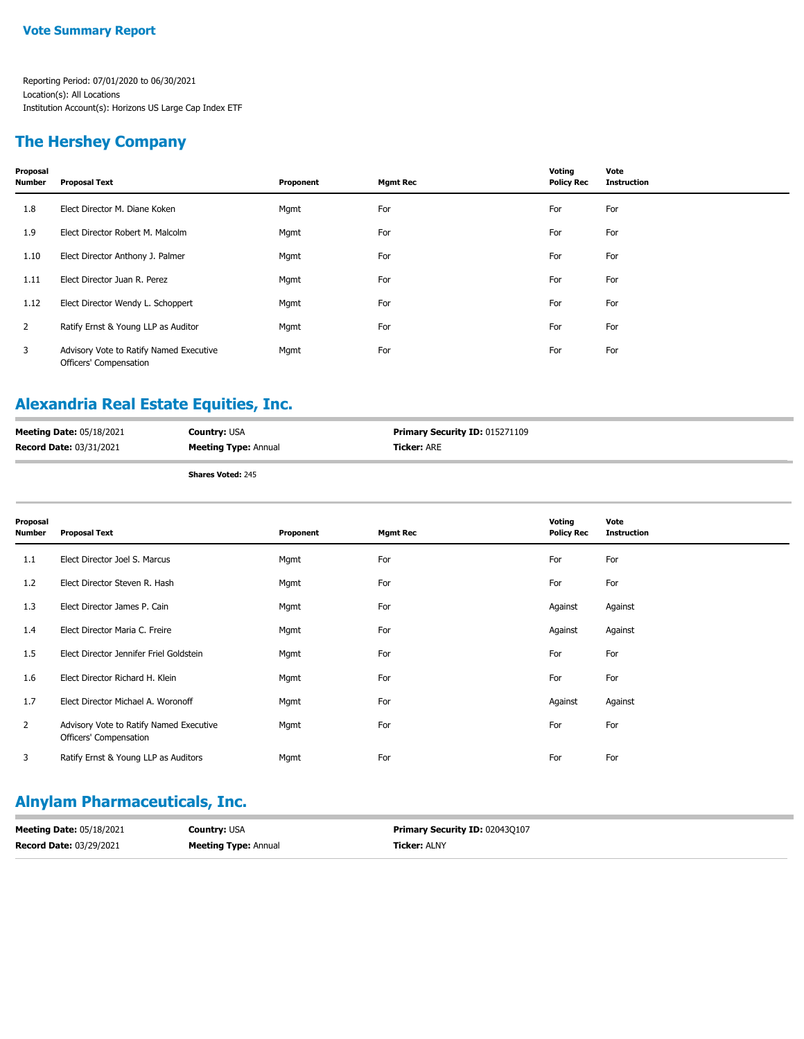#### **The Hershey Company**

| Proposal<br><b>Number</b> | <b>Proposal Text</b>                                              | Proponent | <b>Mgmt Rec</b> | Voting<br><b>Policy Rec</b> | Vote<br><b>Instruction</b> |
|---------------------------|-------------------------------------------------------------------|-----------|-----------------|-----------------------------|----------------------------|
| 1.8                       | Elect Director M. Diane Koken                                     | Mgmt      | For             | For                         | For                        |
| 1.9                       | Elect Director Robert M. Malcolm                                  | Mgmt      | For             | For                         | For                        |
| 1.10                      | Elect Director Anthony J. Palmer                                  | Mgmt      | For             | For                         | For                        |
| 1.11                      | Elect Director Juan R. Perez                                      | Mgmt      | For             | For                         | For                        |
| 1.12                      | Elect Director Wendy L. Schoppert                                 | Mgmt      | For             | For                         | For                        |
| $\overline{2}$            | Ratify Ernst & Young LLP as Auditor                               | Mgmt      | For             | For                         | For                        |
| 3                         | Advisory Vote to Ratify Named Executive<br>Officers' Compensation | Mgmt      | For             | For                         | For                        |

### **Alexandria Real Estate Equities, Inc.**

| <b>Meeting Date: 05/18/2021</b> | <b>Country: USA</b>         | <b>Primary Security ID: 015271109</b> |
|---------------------------------|-----------------------------|---------------------------------------|
| Record Date: 03/31/2021         | <b>Meeting Type: Annual</b> | <b>Ticker:</b> ARE                    |
|                                 | <b>Shares Voted: 245</b>    |                                       |

| Proposal<br><b>Number</b> | <b>Proposal Text</b>                                              | Proponent | <b>Mgmt Rec</b> | Voting<br><b>Policy Rec</b> | Vote<br><b>Instruction</b> |
|---------------------------|-------------------------------------------------------------------|-----------|-----------------|-----------------------------|----------------------------|
| 1.1                       | Elect Director Joel S. Marcus                                     | Mgmt      | For             | For                         | For                        |
| 1.2                       | Elect Director Steven R. Hash                                     | Mgmt      | For             | For                         | For                        |
| 1.3                       | Elect Director James P. Cain                                      | Mgmt      | For             | Against                     | Against                    |
| 1.4                       | Elect Director Maria C. Freire                                    | Mgmt      | For             | Against                     | Against                    |
| 1.5                       | Elect Director Jennifer Friel Goldstein                           | Mgmt      | For             | For                         | For                        |
| 1.6                       | Elect Director Richard H. Klein                                   | Mgmt      | For             | For                         | For                        |
| 1.7                       | Elect Director Michael A. Woronoff                                | Mgmt      | For             | Against                     | Against                    |
| $\overline{2}$            | Advisory Vote to Ratify Named Executive<br>Officers' Compensation | Mgmt      | For             | For                         | For                        |
| 3                         | Ratify Ernst & Young LLP as Auditors                              | Mgmt      | For             | For                         | For                        |

## **Alnylam Pharmaceuticals, Inc.**

| <b>Meeting Date: 05/18/2021</b> | <b>Country: USA</b>         | <b>Primary Security ID: 020430107</b> |
|---------------------------------|-----------------------------|---------------------------------------|
| <b>Record Date: 03/29/2021</b>  | <b>Meeting Type: Annual</b> | <b>Ticker:</b> ALNY                   |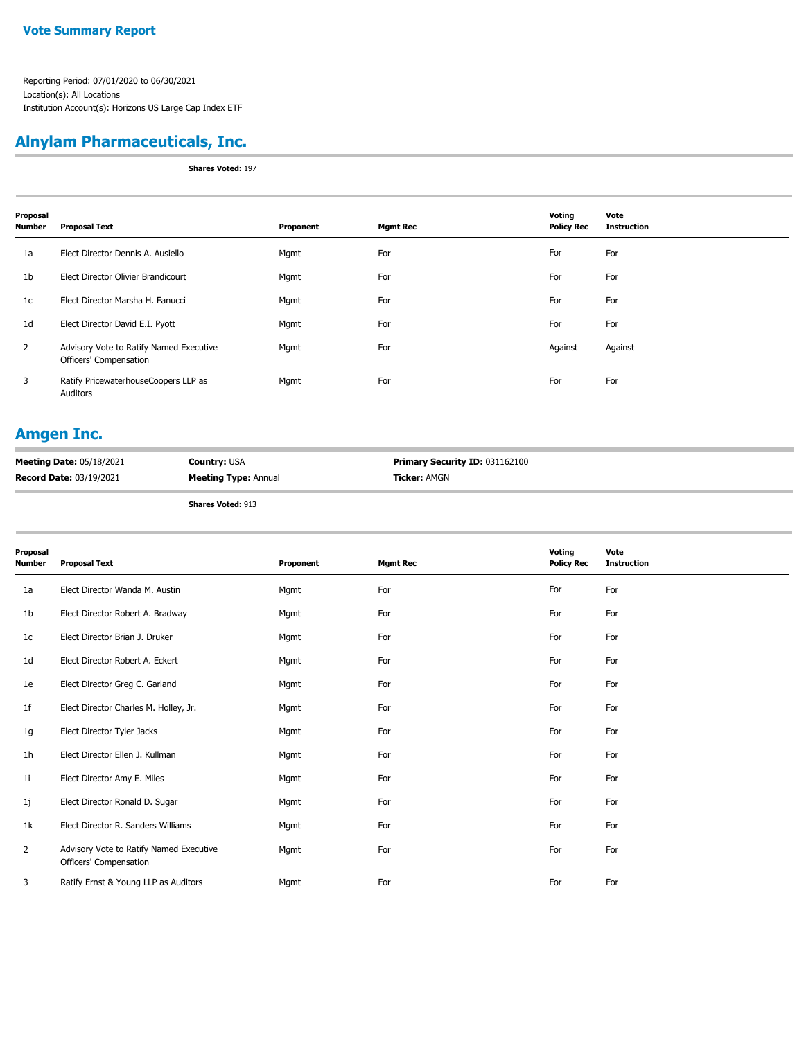## **Alnylam Pharmaceuticals, Inc.**

**Shares Voted:** 197

| Proposal<br><b>Number</b> | <b>Proposal Text</b>                                              | Proponent | <b>Mgmt Rec</b> | Voting<br><b>Policy Rec</b> | Vote<br><b>Instruction</b> |
|---------------------------|-------------------------------------------------------------------|-----------|-----------------|-----------------------------|----------------------------|
| 1a                        | Elect Director Dennis A. Ausiello                                 | Mgmt      | For             | For                         | For                        |
| 1 <sub>b</sub>            | Elect Director Olivier Brandicourt                                | Mgmt      | For             | For                         | For                        |
| 1c                        | Elect Director Marsha H. Fanucci                                  | Mgmt      | For             | For                         | For                        |
| 1 <sub>d</sub>            | Elect Director David E.I. Pyott                                   | Mgmt      | For             | For                         | For                        |
| $\overline{2}$            | Advisory Vote to Ratify Named Executive<br>Officers' Compensation | Mgmt      | For             | Against                     | Against                    |
| 3                         | Ratify PricewaterhouseCoopers LLP as<br>Auditors                  | Mgmt      | For             | For                         | For                        |

#### **Amgen Inc.**

| <b>Meeting Date: 05/18/2021</b> | <b>Country: USA</b>         | <b>Primary Security ID: 031162100</b> |
|---------------------------------|-----------------------------|---------------------------------------|
| <b>Record Date: 03/19/2021</b>  | <b>Meeting Type: Annual</b> | <b>Ticker: AMGN</b>                   |
|                                 |                             |                                       |

| Proposal<br>Number | <b>Proposal Text</b>                                              | Proponent | <b>Mgmt Rec</b> | Voting<br><b>Policy Rec</b> | Vote<br><b>Instruction</b> |
|--------------------|-------------------------------------------------------------------|-----------|-----------------|-----------------------------|----------------------------|
| 1a                 | Elect Director Wanda M. Austin                                    | Mgmt      | For             | For                         | For                        |
| 1b                 | Elect Director Robert A. Bradway                                  | Mgmt      | For             | For                         | For                        |
| 1c                 | Elect Director Brian J. Druker                                    | Mgmt      | For             | For                         | For                        |
| 1d                 | Elect Director Robert A. Eckert                                   | Mgmt      | For             | For                         | For                        |
| 1e                 | Elect Director Greg C. Garland                                    | Mgmt      | For             | For                         | For                        |
| 1f                 | Elect Director Charles M. Holley, Jr.                             | Mgmt      | For             | For                         | For                        |
| 1g                 | Elect Director Tyler Jacks                                        | Mgmt      | For             | For                         | For                        |
| 1h                 | Elect Director Ellen J. Kullman                                   | Mgmt      | For             | For                         | For                        |
| 11                 | Elect Director Amy E. Miles                                       | Mgmt      | For             | For                         | For                        |
| 1j                 | Elect Director Ronald D. Sugar                                    | Mgmt      | For             | For                         | For                        |
| 1k                 | Elect Director R. Sanders Williams                                | Mgmt      | For             | For                         | For                        |
| $\overline{2}$     | Advisory Vote to Ratify Named Executive<br>Officers' Compensation | Mgmt      | For             | For                         | For                        |
| 3                  | Ratify Ernst & Young LLP as Auditors                              | Mgmt      | For             | For                         | For                        |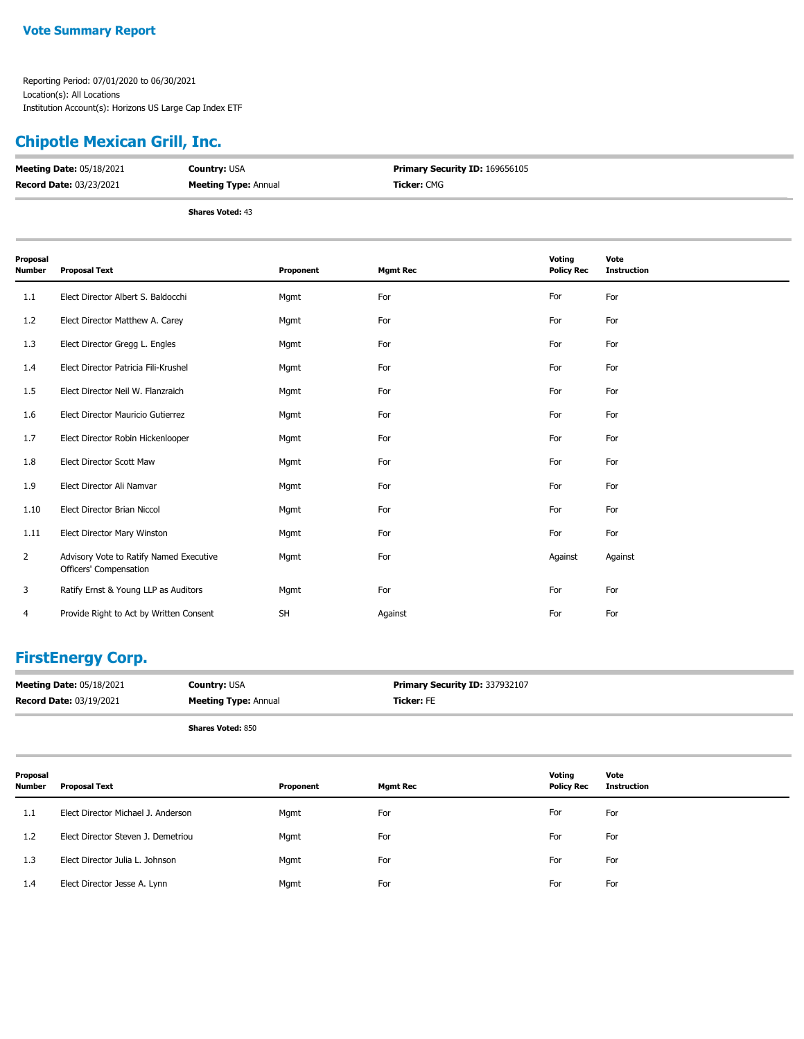## **Chipotle Mexican Grill, Inc.**

| <b>Meeting Date: 05/18/2021</b> | <b>Country: USA</b>         | <b>Primary Security ID: 169656105</b> |
|---------------------------------|-----------------------------|---------------------------------------|
| <b>Record Date: 03/23/2021</b>  | <b>Meeting Type: Annual</b> | <b>Ticker:</b> CMG                    |
|                                 | <b>Shares Voted: 43</b>     |                                       |

| Proposal<br>Number | <b>Proposal Text</b>                                              | Proponent | <b>Mgmt Rec</b> | Voting<br><b>Policy Rec</b> | Vote<br><b>Instruction</b> |
|--------------------|-------------------------------------------------------------------|-----------|-----------------|-----------------------------|----------------------------|
| 1.1                | Elect Director Albert S. Baldocchi                                | Mgmt      | For             | For                         | For                        |
| 1.2                | Elect Director Matthew A. Carey                                   | Mgmt      | For             | For                         | For                        |
| 1.3                | Elect Director Gregg L. Engles                                    | Mgmt      | For             | For                         | For                        |
| 1.4                | Elect Director Patricia Fili-Krushel                              | Mgmt      | For             | For                         | For                        |
| 1.5                | Elect Director Neil W. Flanzraich                                 | Mgmt      | For             | For                         | For                        |
| 1.6                | Elect Director Mauricio Gutierrez                                 | Mgmt      | For             | For                         | For                        |
| 1.7                | Elect Director Robin Hickenlooper                                 | Mgmt      | For             | For                         | For                        |
| 1.8                | Elect Director Scott Maw                                          | Mgmt      | For             | For                         | For                        |
| 1.9                | Elect Director Ali Namvar                                         | Mgmt      | For             | For                         | For                        |
| 1.10               | Elect Director Brian Niccol                                       | Mgmt      | For             | For                         | For                        |
| 1.11               | Elect Director Mary Winston                                       | Mgmt      | For             | For                         | For                        |
| $\overline{2}$     | Advisory Vote to Ratify Named Executive<br>Officers' Compensation | Mgmt      | For             | Against                     | Against                    |
| 3                  | Ratify Ernst & Young LLP as Auditors                              | Mgmt      | For             | For                         | For                        |
| 4                  | Provide Right to Act by Written Consent                           | <b>SH</b> | Against         | For                         | For                        |

#### **FirstEnergy Corp.**

| <b>Meeting Date: 05/18/2021</b> | <b>Country: USA</b>         | Primary Security ID: 337932107 |
|---------------------------------|-----------------------------|--------------------------------|
| <b>Record Date: 03/19/2021</b>  | <b>Meeting Type: Annual</b> | <b>Ticker:</b> FE              |
|                                 | <b>Shares Voted: 850</b>    |                                |

| Proposal<br><b>Number</b> | <b>Proposal Text</b>               | Proponent | <b>Mgmt Rec</b> | Votina<br><b>Policy Rec</b> | Vote<br><b>Instruction</b> |
|---------------------------|------------------------------------|-----------|-----------------|-----------------------------|----------------------------|
| 1.1                       | Elect Director Michael J. Anderson | Mgmt      | For             | For                         | For                        |
| 1.2                       | Elect Director Steven J. Demetriou | Mgmt      | For             | For                         | For                        |
| 1.3                       | Elect Director Julia L. Johnson    | Mgmt      | For             | For                         | For                        |
| 1.4                       | Elect Director Jesse A. Lynn       | Mgmt      | For             | For                         | For                        |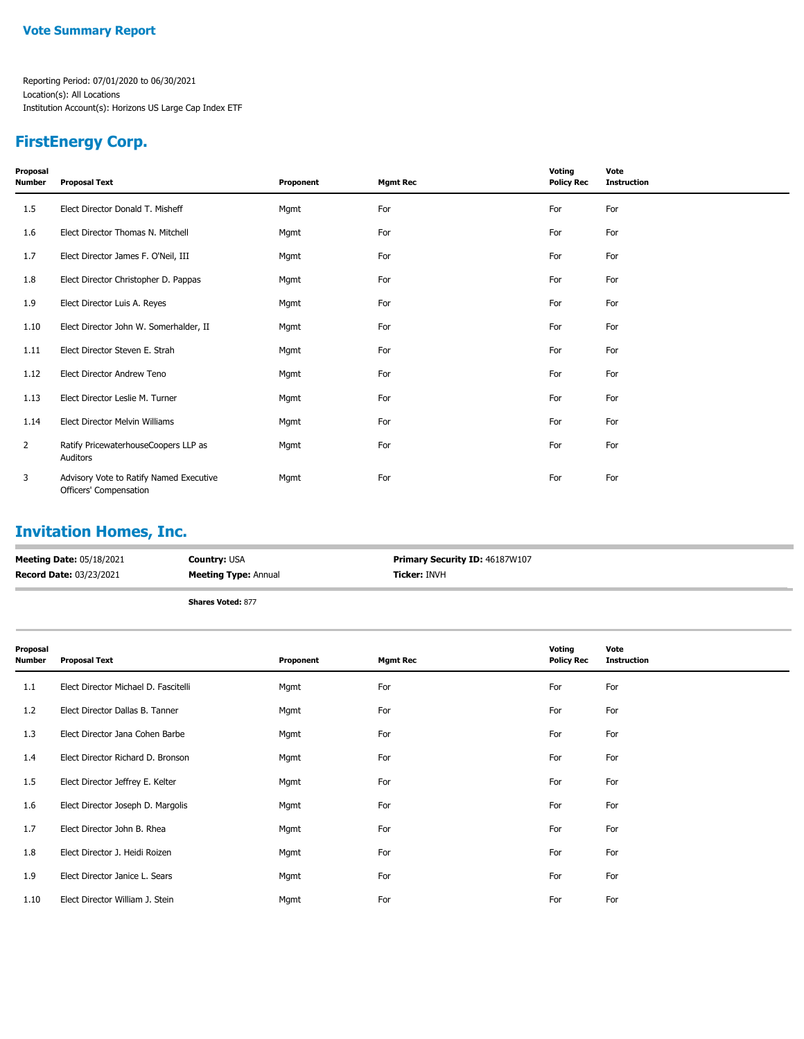## **FirstEnergy Corp.**

| Proposal<br>Number | <b>Proposal Text</b>                                              | Proponent | <b>Mgmt Rec</b> | Voting<br><b>Policy Rec</b> | Vote<br><b>Instruction</b> |
|--------------------|-------------------------------------------------------------------|-----------|-----------------|-----------------------------|----------------------------|
| $1.5\,$            | Elect Director Donald T. Misheff                                  | Mgmt      | For             | For                         | For                        |
| 1.6                | Elect Director Thomas N. Mitchell                                 | Mgmt      | For             | For                         | For                        |
| 1.7                | Elect Director James F. O'Neil, III                               | Mgmt      | For             | For                         | For                        |
| 1.8                | Elect Director Christopher D. Pappas                              | Mgmt      | For             | For                         | For                        |
| 1.9                | Elect Director Luis A. Reyes                                      | Mgmt      | For             | For                         | For                        |
| 1.10               | Elect Director John W. Somerhalder, II                            | Mgmt      | For             | For                         | For                        |
| 1.11               | Elect Director Steven E. Strah                                    | Mgmt      | For             | For                         | For                        |
| 1.12               | Elect Director Andrew Teno                                        | Mgmt      | For             | For                         | For                        |
| 1.13               | Elect Director Leslie M. Turner                                   | Mgmt      | For             | For                         | For                        |
| 1.14               | Elect Director Melvin Williams                                    | Mgmt      | For             | For                         | For                        |
| 2                  | Ratify PricewaterhouseCoopers LLP as<br>Auditors                  | Mgmt      | For             | For                         | For                        |
| 3                  | Advisory Vote to Ratify Named Executive<br>Officers' Compensation | Mgmt      | For             | For                         | For                        |

## **Invitation Homes, Inc.**

| <b>Meeting Date: 05/18/2021</b> | <b>Country: USA</b>         | <b>Primary Security ID: 46187W107</b> |
|---------------------------------|-----------------------------|---------------------------------------|
| <b>Record Date: 03/23/2021</b>  | <b>Meeting Type: Annual</b> | <b>Ticker: INVH</b>                   |
|                                 | <b>Shares Voted: 877</b>    |                                       |

| Proposal<br>Number | <b>Proposal Text</b>                 | Proponent | <b>Mgmt Rec</b> | Voting<br><b>Policy Rec</b> | Vote<br><b>Instruction</b> |
|--------------------|--------------------------------------|-----------|-----------------|-----------------------------|----------------------------|
| 1.1                | Elect Director Michael D. Fascitelli | Mgmt      | For             | For                         | For                        |
| 1.2                | Elect Director Dallas B. Tanner      | Mgmt      | For             | For                         | For                        |
| 1.3                | Elect Director Jana Cohen Barbe      | Mgmt      | For             | For                         | For                        |
| 1.4                | Elect Director Richard D. Bronson    | Mgmt      | For             | For                         | For                        |
| 1.5                | Elect Director Jeffrey E. Kelter     | Mgmt      | For             | For                         | For                        |
| 1.6                | Elect Director Joseph D. Margolis    | Mgmt      | For             | For                         | For                        |
| 1.7                | Elect Director John B. Rhea          | Mgmt      | For             | For                         | For                        |
| 1.8                | Elect Director J. Heidi Roizen       | Mgmt      | For             | For                         | For                        |
| 1.9                | Elect Director Janice L. Sears       | Mgmt      | For             | For                         | For                        |
| 1.10               | Elect Director William J. Stein      | Mgmt      | For             | For                         | For                        |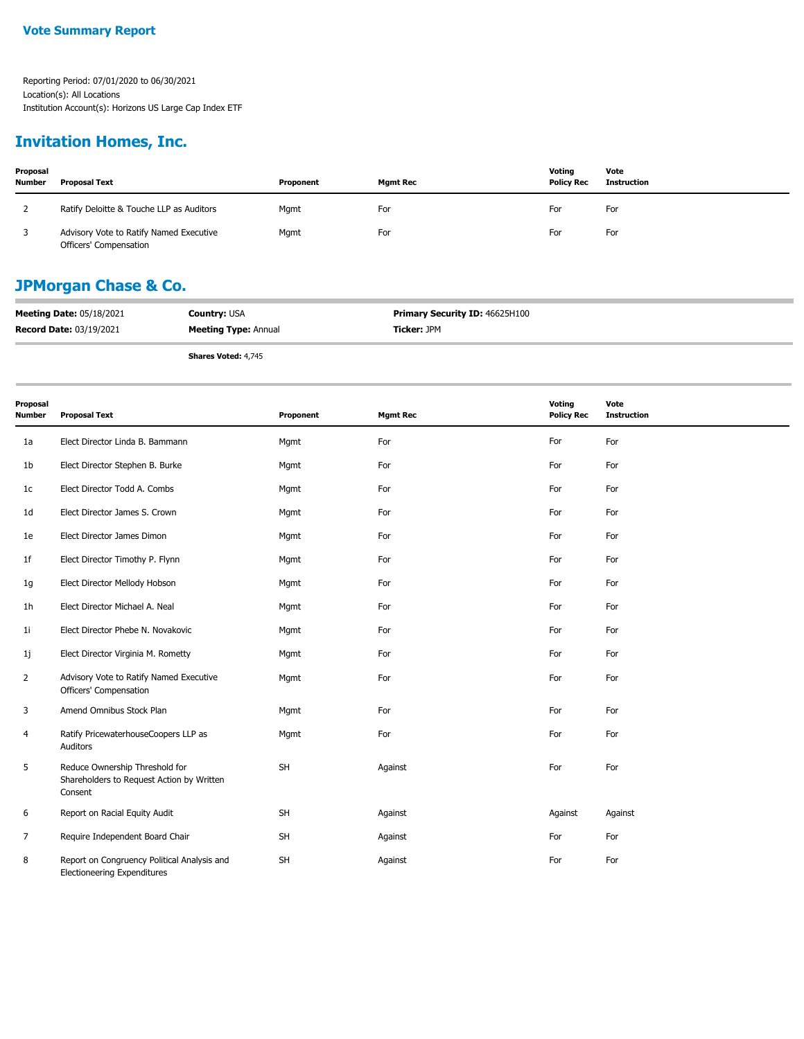#### **Invitation Homes, Inc.**

| Proposal<br><b>Number</b> | <b>Proposal Text</b>                                              | Proponent | <b>Mamt Rec</b> | Voting<br><b>Policy Rec</b> | Vote<br>Instruction |
|---------------------------|-------------------------------------------------------------------|-----------|-----------------|-----------------------------|---------------------|
|                           | Ratify Deloitte & Touche LLP as Auditors                          | Mgmt      | For             | For                         | For                 |
|                           | Advisory Vote to Ratify Named Executive<br>Officers' Compensation | Mgmt      | For             | For                         | For                 |

#### **JPMorgan Chase & Co.**

| <b>Meeting Date: 05/18/2021</b> | <b>Country: USA</b>         | <b>Primary Security ID: 46625H100</b> |
|---------------------------------|-----------------------------|---------------------------------------|
| <b>Record Date: 03/19/2021</b>  | <b>Meeting Type: Annual</b> | <b>Ticker:</b> JPM                    |

**Shares Voted:** 4,745

| Proposal<br><b>Number</b> | <b>Proposal Text</b>                                                                   | Proponent | <b>Mgmt Rec</b> | Voting<br><b>Policy Rec</b> | Vote<br><b>Instruction</b> |
|---------------------------|----------------------------------------------------------------------------------------|-----------|-----------------|-----------------------------|----------------------------|
| 1a                        | Elect Director Linda B. Bammann                                                        | Mgmt      | For             | For                         | For                        |
| 1 <sub>b</sub>            | Elect Director Stephen B. Burke                                                        | Mgmt      | For             | For                         | For                        |
| 1 <sub>c</sub>            | Elect Director Todd A. Combs                                                           | Mgmt      | For             | For                         | For                        |
| 1 <sub>d</sub>            | Elect Director James S. Crown                                                          | Mgmt      | For             | For                         | For                        |
| 1e                        | Elect Director James Dimon                                                             | Mgmt      | For             | For                         | For                        |
| 1 <sub>f</sub>            | Elect Director Timothy P. Flynn                                                        | Mgmt      | For             | For                         | For                        |
| 1g                        | Elect Director Mellody Hobson                                                          | Mgmt      | For             | For                         | For                        |
| 1 <sub>h</sub>            | Elect Director Michael A. Neal                                                         | Mgmt      | For             | For                         | For                        |
| 1i                        | Elect Director Phebe N. Novakovic                                                      | Mgmt      | For             | For                         | For                        |
| 1j                        | Elect Director Virginia M. Rometty                                                     | Mgmt      | For             | For                         | For                        |
| $\overline{2}$            | Advisory Vote to Ratify Named Executive<br>Officers' Compensation                      | Mgmt      | For             | For                         | For                        |
| 3                         | Amend Omnibus Stock Plan                                                               | Mgmt      | For             | For                         | For                        |
| 4                         | Ratify PricewaterhouseCoopers LLP as<br>Auditors                                       | Mgmt      | For             | For                         | For                        |
| 5                         | Reduce Ownership Threshold for<br>Shareholders to Request Action by Written<br>Consent | SH        | Against         | For                         | For                        |
| 6                         | Report on Racial Equity Audit                                                          | <b>SH</b> | Against         | Against                     | Against                    |
| 7                         | Require Independent Board Chair                                                        | <b>SH</b> | Against         | For                         | For                        |
| 8                         | Report on Congruency Political Analysis and<br><b>Electioneering Expenditures</b>      | <b>SH</b> | Against         | For                         | For                        |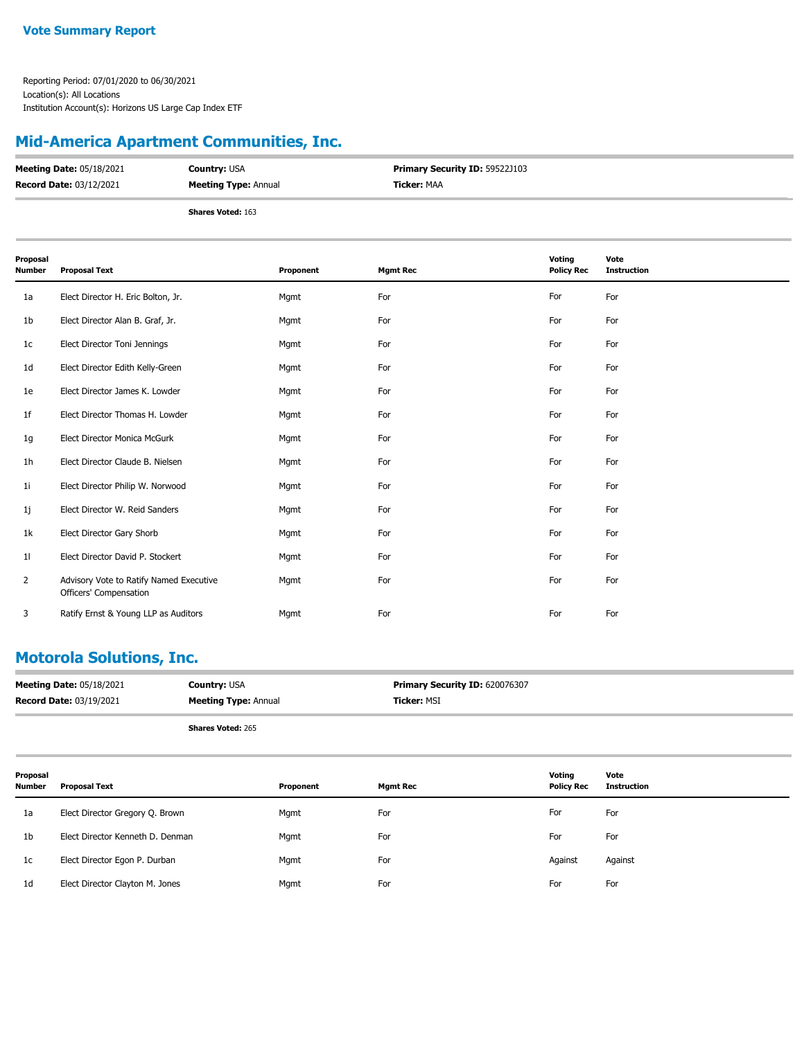### **Mid-America Apartment Communities, Inc.**

| <b>Meeting Date: 05/18/2021</b> | <b>Country: USA</b>         | <b>Primary Security ID: 59522J103</b> |
|---------------------------------|-----------------------------|---------------------------------------|
| Record Date: 03/12/2021         | <b>Meeting Type: Annual</b> | <b>Ticker:</b> MAA                    |
|                                 | <b>Shares Voted: 163</b>    |                                       |

| Proposal<br>Number | <b>Proposal Text</b>                                              | Proponent | <b>Mgmt Rec</b> | Voting<br><b>Policy Rec</b> | Vote<br><b>Instruction</b> |
|--------------------|-------------------------------------------------------------------|-----------|-----------------|-----------------------------|----------------------------|
| 1a                 | Elect Director H. Eric Bolton, Jr.                                | Mgmt      | For             | For                         | For                        |
| 1b                 | Elect Director Alan B. Graf, Jr.                                  | Mgmt      | For             | For                         | For                        |
| 1c                 | Elect Director Toni Jennings                                      | Mgmt      | For             | For                         | For                        |
| 1d                 | Elect Director Edith Kelly-Green                                  | Mgmt      | For             | For                         | For                        |
| 1e                 | Elect Director James K. Lowder                                    | Mgmt      | For             | For                         | For                        |
| 1f                 | Elect Director Thomas H. Lowder                                   | Mgmt      | For             | For                         | For                        |
| 1g                 | Elect Director Monica McGurk                                      | Mgmt      | For             | For                         | For                        |
| 1h                 | Elect Director Claude B. Nielsen                                  | Mgmt      | For             | For                         | For                        |
| 11                 | Elect Director Philip W. Norwood                                  | Mgmt      | For             | For                         | For                        |
| 1j                 | Elect Director W. Reid Sanders                                    | Mgmt      | For             | For                         | For                        |
| 1k                 | Elect Director Gary Shorb                                         | Mgmt      | For             | For                         | For                        |
| 11                 | Elect Director David P. Stockert                                  | Mgmt      | For             | For                         | For                        |
| 2                  | Advisory Vote to Ratify Named Executive<br>Officers' Compensation | Mgmt      | For             | For                         | For                        |
| 3                  | Ratify Ernst & Young LLP as Auditors                              | Mgmt      | For             | For                         | For                        |

#### **Motorola Solutions, Inc.**

| <b>Meeting Date: 05/18/2021</b> | <b>Country: USA</b>         | Primary Security ID: 620076307 |
|---------------------------------|-----------------------------|--------------------------------|
| <b>Record Date: 03/19/2021</b>  | <b>Meeting Type: Annual</b> | <b>Ticker: MSI</b>             |
|                                 | <b>Shares Voted: 265</b>    |                                |

| Proposal<br><b>Number</b> | Proposal Text                    | Proponent | <b>Mgmt Rec</b> | Votina<br><b>Policy Rec</b> | Vote<br><b>Instruction</b> |
|---------------------------|----------------------------------|-----------|-----------------|-----------------------------|----------------------------|
| 1a                        | Elect Director Gregory Q. Brown  | Mgmt      | For             | For                         | For                        |
| 1 <sub>b</sub>            | Elect Director Kenneth D. Denman | Mgmt      | For             | For                         | For                        |
| 1c                        | Elect Director Egon P. Durban    | Mgmt      | For             | Against                     | Against                    |
| 1 <sub>d</sub>            | Elect Director Clayton M. Jones  | Mgmt      | For             | For                         | For                        |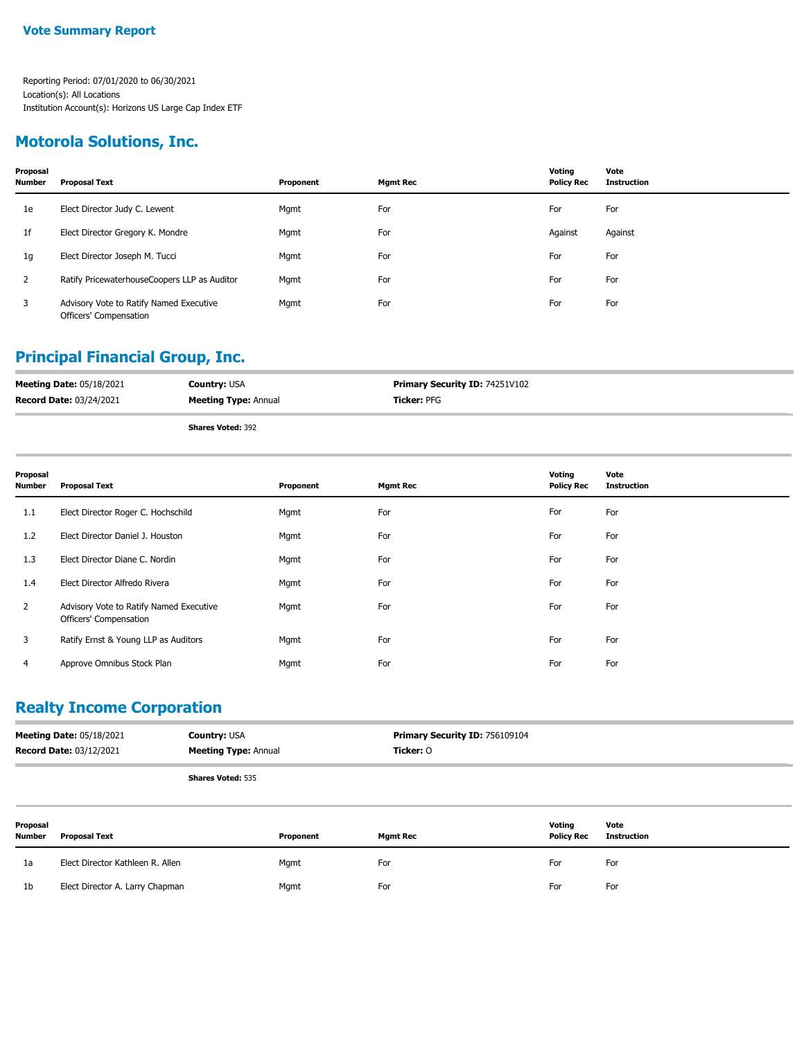#### **Motorola Solutions, Inc.**

| Proposal<br><b>Number</b> | <b>Proposal Text</b>                                              | Proponent | <b>Mgmt Rec</b> | Voting<br><b>Policy Rec</b> | Vote<br><b>Instruction</b> |
|---------------------------|-------------------------------------------------------------------|-----------|-----------------|-----------------------------|----------------------------|
| 1e                        | Elect Director Judy C. Lewent                                     | Mgmt      | For             | For                         | For                        |
| 1f                        | Elect Director Gregory K. Mondre                                  | Mgmt      | For             | Against                     | Against                    |
| 1g                        | Elect Director Joseph M. Tucci                                    | Mgmt      | For             | For                         | For                        |
| 2                         | Ratify PricewaterhouseCoopers LLP as Auditor                      | Mgmt      | For             | For                         | For                        |
| 3                         | Advisory Vote to Ratify Named Executive<br>Officers' Compensation | Mgmt      | For             | For                         | For                        |

## **Principal Financial Group, Inc.**

| <b>Meeting Date: 05/18/2021</b> | <b>Country: USA</b>         | <b>Primary Security ID: 74251V102</b> |
|---------------------------------|-----------------------------|---------------------------------------|
| <b>Record Date: 03/24/2021</b>  | <b>Meeting Type: Annual</b> | <b>Ticker:</b> PFG                    |
|                                 | <b>Shares Voted: 392</b>    |                                       |

| Proposal<br><b>Number</b> | <b>Proposal Text</b>                                              | Proponent | <b>Mgmt Rec</b> | Voting<br><b>Policy Rec</b> | Vote<br><b>Instruction</b> |
|---------------------------|-------------------------------------------------------------------|-----------|-----------------|-----------------------------|----------------------------|
| 1.1                       | Elect Director Roger C. Hochschild                                | Mgmt      | For             | For                         | For                        |
| 1.2                       | Elect Director Daniel J. Houston                                  | Mgmt      | For             | For                         | For                        |
| 1.3                       | Elect Director Diane C. Nordin                                    | Mgmt      | For             | For                         | For                        |
| 1.4                       | Elect Director Alfredo Rivera                                     | Mgmt      | For             | For                         | For                        |
| $\overline{2}$            | Advisory Vote to Ratify Named Executive<br>Officers' Compensation | Mgmt      | For             | For                         | For                        |
| 3                         | Ratify Ernst & Young LLP as Auditors                              | Mgmt      | For             | For                         | For                        |
| 4                         | Approve Omnibus Stock Plan                                        | Mgmt      | For             | For                         | For                        |

#### **Realty Income Corporation**

| <b>Record Date: 03/12/2021</b><br><b>Meeting Type: Annual</b><br>Ticker: 0 | <b>Meeting Date: 05/18/2021</b> | <b>Country:</b> USA | <b>Primary Security ID: 756109104</b> |
|----------------------------------------------------------------------------|---------------------------------|---------------------|---------------------------------------|
|                                                                            |                                 |                     |                                       |

| Proposal<br>Number | <b>Proposal Text</b>             | Proponent | <b>Mgmt Rec</b> | Voting<br><b>Policy Rec</b> | Vote<br>Instruction |
|--------------------|----------------------------------|-----------|-----------------|-----------------------------|---------------------|
| 1a                 | Elect Director Kathleen R. Allen | Mgmt      | For             | For                         | For                 |
| 1 <sub>b</sub>     | Elect Director A. Larry Chapman  | Mgmt      | For             | For                         | For                 |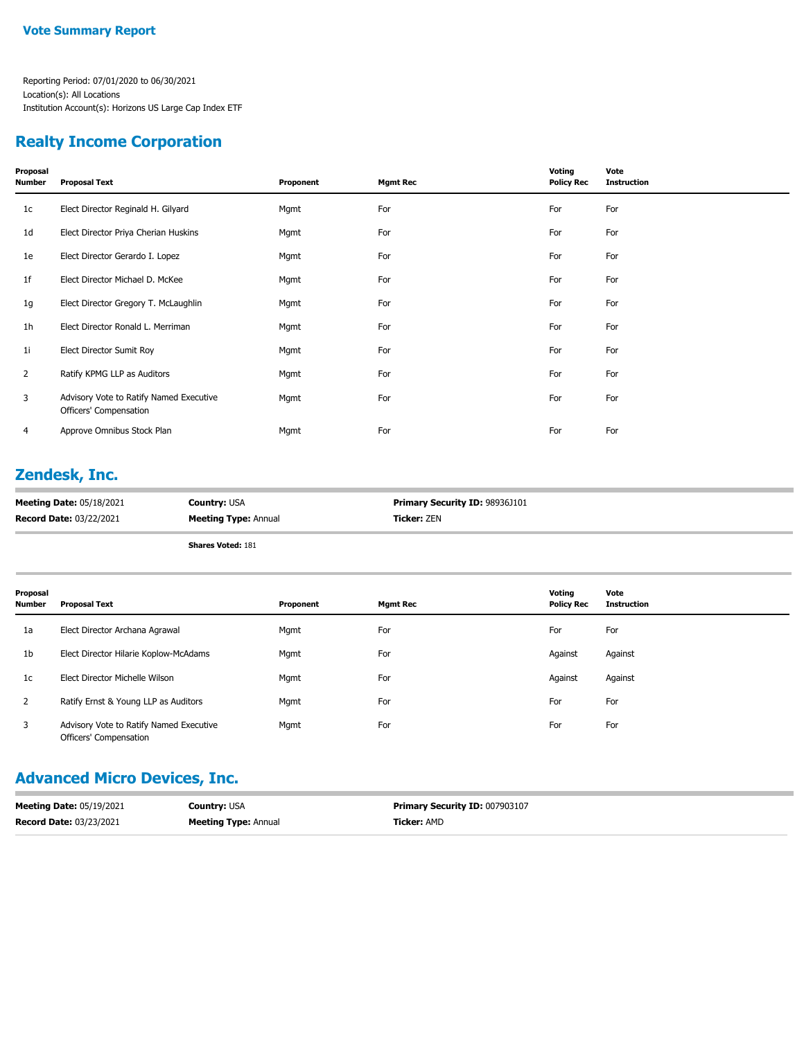#### **Realty Income Corporation**

| Proposal<br>Number | <b>Proposal Text</b>                                              | Proponent | <b>Mgmt Rec</b> | Voting<br><b>Policy Rec</b> | Vote<br><b>Instruction</b> |
|--------------------|-------------------------------------------------------------------|-----------|-----------------|-----------------------------|----------------------------|
| 1c                 | Elect Director Reginald H. Gilyard                                | Mgmt      | For             | For                         | For                        |
| 1d                 | Elect Director Priya Cherian Huskins                              | Mgmt      | For             | For                         | For                        |
| 1e                 | Elect Director Gerardo I. Lopez                                   | Mgmt      | For             | For                         | For                        |
| 1f                 | Elect Director Michael D. McKee                                   | Mgmt      | For             | For                         | For                        |
| 1g                 | Elect Director Gregory T. McLaughlin                              | Mgmt      | For             | For                         | For                        |
| 1 <sub>h</sub>     | Elect Director Ronald L. Merriman                                 | Mgmt      | For             | For                         | For                        |
| 11                 | Elect Director Sumit Roy                                          | Mgmt      | For             | For                         | For                        |
| $\overline{2}$     | Ratify KPMG LLP as Auditors                                       | Mgmt      | For             | For                         | For                        |
| 3                  | Advisory Vote to Ratify Named Executive<br>Officers' Compensation | Mgmt      | For             | For                         | For                        |
| 4                  | Approve Omnibus Stock Plan                                        | Mgmt      | For             | For                         | For                        |
|                    |                                                                   |           |                 |                             |                            |

#### **Zendesk, Inc.**

| <b>Meeting Date: 05/18/2021</b> | <b>Country: USA</b>         | <b>Primary Security ID: 98936J101</b> |
|---------------------------------|-----------------------------|---------------------------------------|
| <b>Record Date: 03/22/2021</b>  | <b>Meeting Type: Annual</b> | <b>Ticker: ZEN</b>                    |

**Shares Voted:** 181

| Proposal<br><b>Number</b> | <b>Proposal Text</b>                                              | Proponent | <b>Mgmt Rec</b> | Voting<br><b>Policy Rec</b> | Vote<br><b>Instruction</b> |
|---------------------------|-------------------------------------------------------------------|-----------|-----------------|-----------------------------|----------------------------|
| 1a                        | Elect Director Archana Agrawal                                    | Mgmt      | For             | For                         | For                        |
| 1 <sub>b</sub>            | Elect Director Hilarie Koplow-McAdams                             | Mgmt      | For             | Against                     | Against                    |
| 1c                        | Elect Director Michelle Wilson                                    | Mgmt      | For             | Against                     | Against                    |
|                           | Ratify Ernst & Young LLP as Auditors                              | Mgmt      | For             | For                         | For                        |
| 3                         | Advisory Vote to Ratify Named Executive<br>Officers' Compensation | Mgmt      | For             | For                         | For                        |

#### **Advanced Micro Devices, Inc.**

| <b>Meeting Date: 05/19/2021</b> | <b>Country: USA</b>         | Primary Security ID: 007903107 |
|---------------------------------|-----------------------------|--------------------------------|
| <b>Record Date: 03/23/2021</b>  | <b>Meeting Type: Annual</b> | <b>Ticker:</b> AMD             |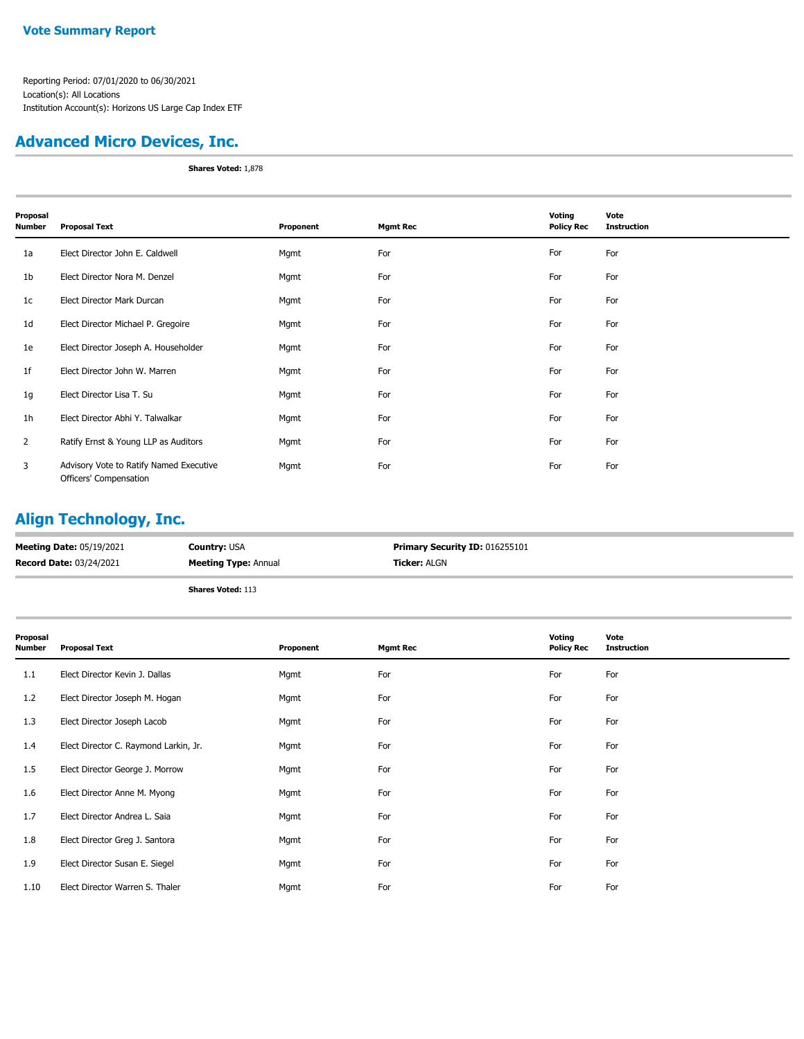#### **Advanced Micro Devices, Inc.**

**Shares Voted:** 1,878

| Proposal<br>Number | <b>Proposal Text</b>                                              | Proponent | <b>Mgmt Rec</b> | Voting<br><b>Policy Rec</b> | Vote<br><b>Instruction</b> |
|--------------------|-------------------------------------------------------------------|-----------|-----------------|-----------------------------|----------------------------|
| 1a                 | Elect Director John E. Caldwell                                   | Mgmt      | For             | For                         | For                        |
| 1b                 | Elect Director Nora M. Denzel                                     | Mgmt      | For             | For                         | For                        |
| 1 <sub>c</sub>     | Elect Director Mark Durcan                                        | Mgmt      | For             | For                         | For                        |
| 1d                 | Elect Director Michael P. Gregoire                                | Mgmt      | For             | For                         | For                        |
| 1e                 | Elect Director Joseph A. Householder                              | Mgmt      | For             | For                         | For                        |
| 1f                 | Elect Director John W. Marren                                     | Mgmt      | For             | For                         | For                        |
| 1g                 | Elect Director Lisa T. Su                                         | Mgmt      | For             | For                         | For                        |
| 1h                 | Elect Director Abhi Y. Talwalkar                                  | Mgmt      | For             | For                         | For                        |
| $\overline{2}$     | Ratify Ernst & Young LLP as Auditors                              | Mgmt      | For             | For                         | For                        |
| 3                  | Advisory Vote to Ratify Named Executive<br>Officers' Compensation | Mgmt      | For             | For                         | For                        |

## **Align Technology, Inc.**

| <b>Meeting Date: 05/19/2021</b> | <b>Country: USA</b>         | Primary Security ID: 016255101 |
|---------------------------------|-----------------------------|--------------------------------|
| <b>Record Date: 03/24/2021</b>  | <b>Meeting Type: Annual</b> | <b>Ticker: ALGN</b>            |
|                                 | <b>Shares Voted: 113</b>    |                                |

| Proposal<br><b>Number</b> | <b>Proposal Text</b>                  | Proponent | <b>Mgmt Rec</b> | Voting<br><b>Policy Rec</b> | Vote<br><b>Instruction</b> |
|---------------------------|---------------------------------------|-----------|-----------------|-----------------------------|----------------------------|
| 1.1                       | Elect Director Kevin J. Dallas        | Mgmt      | For             | For                         | For                        |
| 1.2                       | Elect Director Joseph M. Hogan        | Mgmt      | For             | For                         | For                        |
| 1.3                       | Elect Director Joseph Lacob           | Mgmt      | For             | For                         | For                        |
| 1.4                       | Elect Director C. Raymond Larkin, Jr. | Mgmt      | For             | For                         | For                        |
| 1.5                       | Elect Director George J. Morrow       | Mgmt      | For             | For                         | For                        |
| 1.6                       | Elect Director Anne M. Myong          | Mgmt      | For             | For                         | For                        |
| 1.7                       | Elect Director Andrea L. Saia         | Mgmt      | For             | For                         | For                        |
| 1.8                       | Elect Director Greg J. Santora        | Mgmt      | For             | For                         | For                        |
| 1.9                       | Elect Director Susan E. Siegel        | Mgmt      | For             | For                         | For                        |
| 1.10                      | Elect Director Warren S. Thaler       | Mgmt      | For             | For                         | For                        |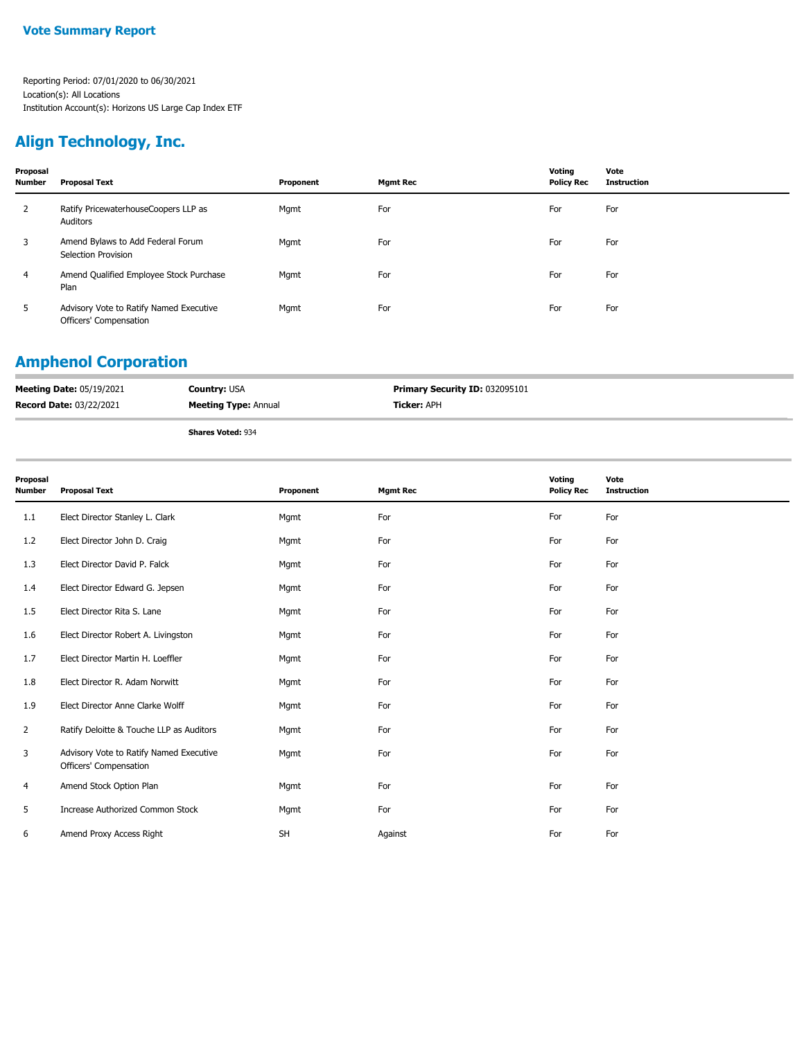## **Align Technology, Inc.**

| Proposal<br><b>Number</b> | <b>Proposal Text</b>                                              | Proponent | <b>Mgmt Rec</b> | Voting<br><b>Policy Rec</b> | Vote<br><b>Instruction</b> |
|---------------------------|-------------------------------------------------------------------|-----------|-----------------|-----------------------------|----------------------------|
| 2                         | Ratify PricewaterhouseCoopers LLP as<br>Auditors                  | Mgmt      | For             | For                         | For                        |
| 3                         | Amend Bylaws to Add Federal Forum<br>Selection Provision          | Mgmt      | For             | For                         | For                        |
| 4                         | Amend Qualified Employee Stock Purchase<br>Plan                   | Mgmt      | For             | For                         | For                        |
|                           | Advisory Vote to Ratify Named Executive<br>Officers' Compensation | Mgmt      | For             | For                         | For                        |

## **Amphenol Corporation**

| <b>Meeting Date: 05/19/2021</b> | <b>Country: USA</b>         | Primary Security ID: 032095101 |
|---------------------------------|-----------------------------|--------------------------------|
| <b>Record Date: 03/22/2021</b>  | <b>Meeting Type: Annual</b> | <b>Ficker:</b> APH             |
|                                 |                             |                                |

| Proposal<br>Number | <b>Proposal Text</b>                                              | Proponent | <b>Mgmt Rec</b> | Voting<br><b>Policy Rec</b> | Vote<br><b>Instruction</b> |
|--------------------|-------------------------------------------------------------------|-----------|-----------------|-----------------------------|----------------------------|
| 1.1                | Elect Director Stanley L. Clark                                   | Mgmt      | For             | For                         | For                        |
| 1.2                | Elect Director John D. Craig                                      | Mgmt      | For             | For                         | For                        |
| 1.3                | Elect Director David P. Falck                                     | Mgmt      | For             | For                         | For                        |
| 1.4                | Elect Director Edward G. Jepsen                                   | Mgmt      | For             | For                         | For                        |
| 1.5                | Elect Director Rita S. Lane                                       | Mgmt      | For             | For                         | For                        |
| 1.6                | Elect Director Robert A. Livingston                               | Mgmt      | For             | For                         | For                        |
| 1.7                | Elect Director Martin H. Loeffler                                 | Mgmt      | For             | For                         | For                        |
| 1.8                | Elect Director R. Adam Norwitt                                    | Mgmt      | For             | For                         | For                        |
| 1.9                | Elect Director Anne Clarke Wolff                                  | Mgmt      | For             | For                         | For                        |
| $\overline{2}$     | Ratify Deloitte & Touche LLP as Auditors                          | Mgmt      | For             | For                         | For                        |
| 3                  | Advisory Vote to Ratify Named Executive<br>Officers' Compensation | Mgmt      | For             | For                         | For                        |
| 4                  | Amend Stock Option Plan                                           | Mgmt      | For             | For                         | For                        |
| 5                  | Increase Authorized Common Stock                                  | Mgmt      | For             | For                         | For                        |
| 6                  | Amend Proxy Access Right                                          | <b>SH</b> | Against         | For                         | For                        |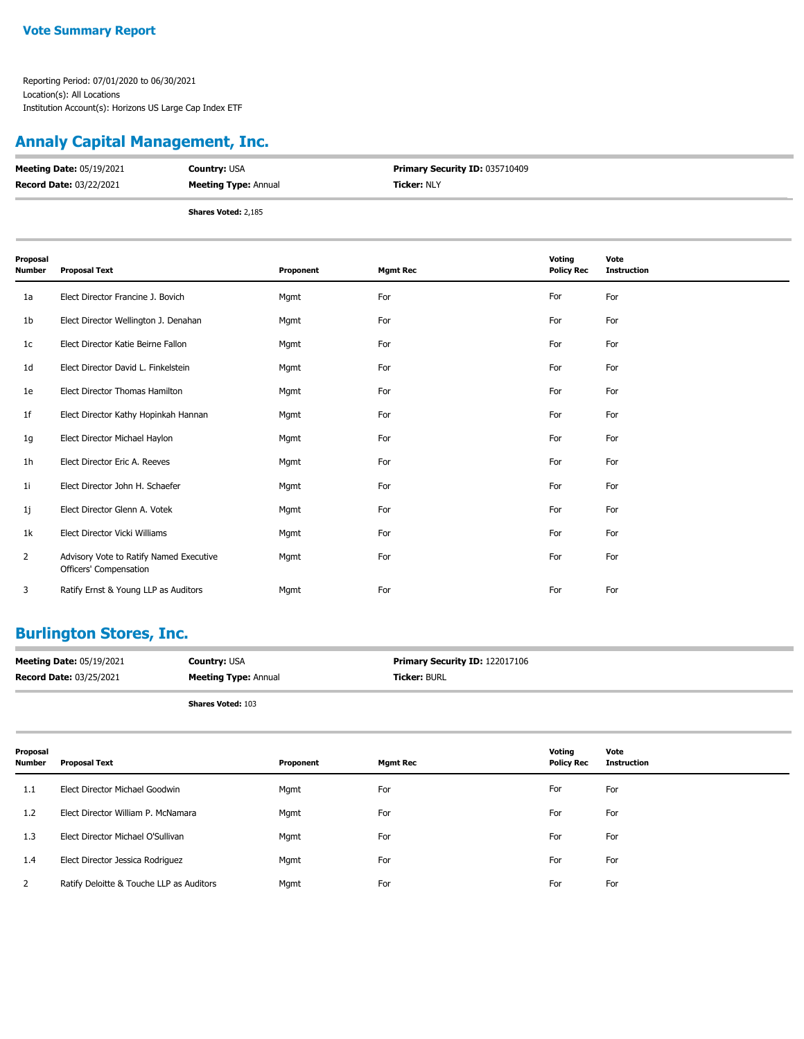### **Annaly Capital Management, Inc.**

| <b>Meeting Date: 05/19/2021</b> | <b>Country: USA</b>         | <b>Primary Security ID: 035710409</b> |
|---------------------------------|-----------------------------|---------------------------------------|
| <b>Record Date: 03/22/2021</b>  | <b>Meeting Type: Annual</b> | <b>Ticker: NLY</b>                    |
|                                 | <b>Shares Voted: 2,185</b>  |                                       |

| Proposal<br>Number | <b>Proposal Text</b>                                              | Proponent | <b>Mgmt Rec</b> | Voting<br><b>Policy Rec</b> | Vote<br><b>Instruction</b> |
|--------------------|-------------------------------------------------------------------|-----------|-----------------|-----------------------------|----------------------------|
| 1a                 | Elect Director Francine J. Bovich                                 | Mgmt      | For             | For                         | For                        |
| 1b                 | Elect Director Wellington J. Denahan                              | Mgmt      | For             | For                         | For                        |
| 1c                 | Elect Director Katie Beirne Fallon                                | Mgmt      | For             | For                         | For                        |
| 1d                 | Elect Director David L. Finkelstein                               | Mgmt      | For             | For                         | For                        |
| 1e                 | Elect Director Thomas Hamilton                                    | Mgmt      | For             | For                         | For                        |
| 1f                 | Elect Director Kathy Hopinkah Hannan                              | Mgmt      | For             | For                         | For                        |
| 1g                 | Elect Director Michael Haylon                                     | Mgmt      | For             | For                         | For                        |
| 1h                 | Elect Director Eric A. Reeves                                     | Mgmt      | For             | For                         | For                        |
| 11                 | Elect Director John H. Schaefer                                   | Mgmt      | For             | For                         | For                        |
| 1j                 | Elect Director Glenn A. Votek                                     | Mgmt      | For             | For                         | For                        |
| 1k                 | Elect Director Vicki Williams                                     | Mgmt      | For             | For                         | For                        |
| 2                  | Advisory Vote to Ratify Named Executive<br>Officers' Compensation | Mgmt      | For             | For                         | For                        |
| 3                  | Ratify Ernst & Young LLP as Auditors                              | Mgmt      | For             | For                         | For                        |

#### **Burlington Stores, Inc.**

| <b>Meeting Date: 05/19/2021</b> | <b>Country: USA</b>         | <b>Primary Security ID: 122017106</b> |
|---------------------------------|-----------------------------|---------------------------------------|
| <b>Record Date: 03/25/2021</b>  | <b>Meeting Type: Annual</b> | <b>Ticker: BURL</b>                   |
|                                 |                             |                                       |

|  | <b>Shares Voted: 103</b> |  |  |
|--|--------------------------|--|--|
|--|--------------------------|--|--|

| Proposal<br>Number | Proposal Text                            | Proponent | <b>Mgmt Rec</b> | Voting<br><b>Policy Rec</b> | Vote<br><b>Instruction</b> |
|--------------------|------------------------------------------|-----------|-----------------|-----------------------------|----------------------------|
| 1.1                | Elect Director Michael Goodwin           | Mgmt      | For             | For                         | For                        |
| 1.2                | Elect Director William P. McNamara       | Mgmt      | For             | For                         | For                        |
| 1.3                | Elect Director Michael O'Sullivan        | Mgmt      | For             | For                         | For                        |
| 1.4                | Elect Director Jessica Rodriguez         | Mgmt      | For             | For                         | For                        |
| 2                  | Ratify Deloitte & Touche LLP as Auditors | Mgmt      | For             | For                         | For                        |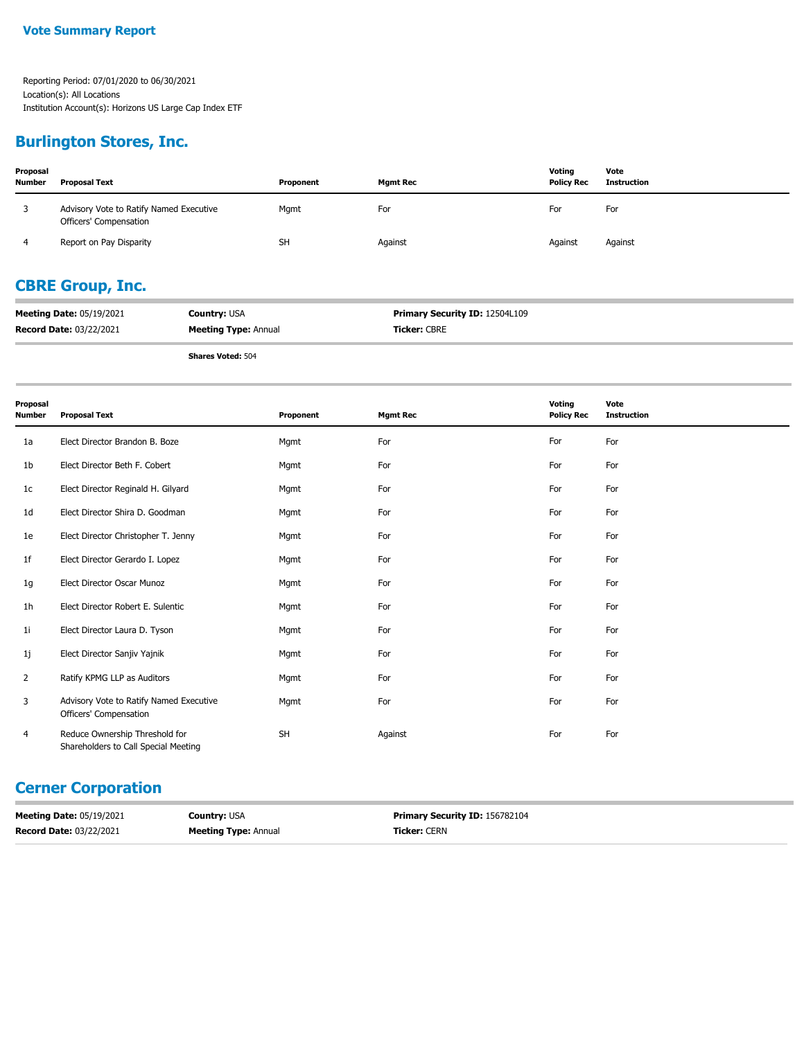#### **Burlington Stores, Inc.**

| Proposal<br><b>Number</b> | <b>Proposal Text</b>                                              | Proponent | <b>Mamt Rec</b> | Voting<br><b>Policy Rec</b> | Vote<br>Instruction |
|---------------------------|-------------------------------------------------------------------|-----------|-----------------|-----------------------------|---------------------|
| 3                         | Advisory Vote to Ratify Named Executive<br>Officers' Compensation | Mgmt      | For             | For                         | For                 |
|                           | Report on Pay Disparity                                           | <b>SH</b> | Against         | Against                     | Against             |

### **CBRE Group, Inc.**

| <b>Meeting Date: 05/19/2021</b> | <b>Country: USA</b>         | <b>Primary Security ID: 12504L109</b> |
|---------------------------------|-----------------------------|---------------------------------------|
| <b>Record Date: 03/22/2021</b>  | <b>Meeting Type: Annual</b> | <b>Ticker: CBRE</b>                   |

**Shares Voted:** 504

| Proposal<br><b>Number</b> | <b>Proposal Text</b>                                                   | Proponent | <b>Mgmt Rec</b> | Voting<br><b>Policy Rec</b> | Vote<br><b>Instruction</b> |
|---------------------------|------------------------------------------------------------------------|-----------|-----------------|-----------------------------|----------------------------|
| 1a                        | Elect Director Brandon B. Boze                                         | Mgmt      | For             | For                         | For                        |
| 1 <sub>b</sub>            | Elect Director Beth F. Cobert                                          | Mgmt      | For             | For                         | For                        |
| 1 <sub>c</sub>            | Elect Director Reginald H. Gilyard                                     | Mgmt      | For             | For                         | For                        |
| 1 <sub>d</sub>            | Elect Director Shira D. Goodman                                        | Mgmt      | For             | For                         | For                        |
| 1e                        | Elect Director Christopher T. Jenny                                    | Mgmt      | For             | For                         | For                        |
| 1 <sup>f</sup>            | Elect Director Gerardo I. Lopez                                        | Mgmt      | For             | For                         | For                        |
| 1g                        | Elect Director Oscar Munoz                                             | Mgmt      | For             | For                         | For                        |
| 1 <sub>h</sub>            | Elect Director Robert E. Sulentic                                      | Mgmt      | For             | For                         | For                        |
| 1 <sub>i</sub>            | Elect Director Laura D. Tyson                                          | Mgmt      | For             | For                         | For                        |
| 1j                        | Elect Director Sanjiv Yajnik                                           | Mgmt      | For             | For                         | For                        |
| 2                         | Ratify KPMG LLP as Auditors                                            | Mgmt      | For             | For                         | For                        |
| 3                         | Advisory Vote to Ratify Named Executive<br>Officers' Compensation      | Mgmt      | For             | For                         | For                        |
| $\overline{4}$            | Reduce Ownership Threshold for<br>Shareholders to Call Special Meeting | <b>SH</b> | Against         | For                         | For                        |

### **Cerner Corporation**

| <b>Meeting Date: 05/19/2021</b> | <b>Country: USA</b>         | Primary Security ID: 156782104 |
|---------------------------------|-----------------------------|--------------------------------|
| <b>Record Date: 03/22/2021</b>  | <b>Meeting Type: Annual</b> | <b>Ticker:</b> CERN            |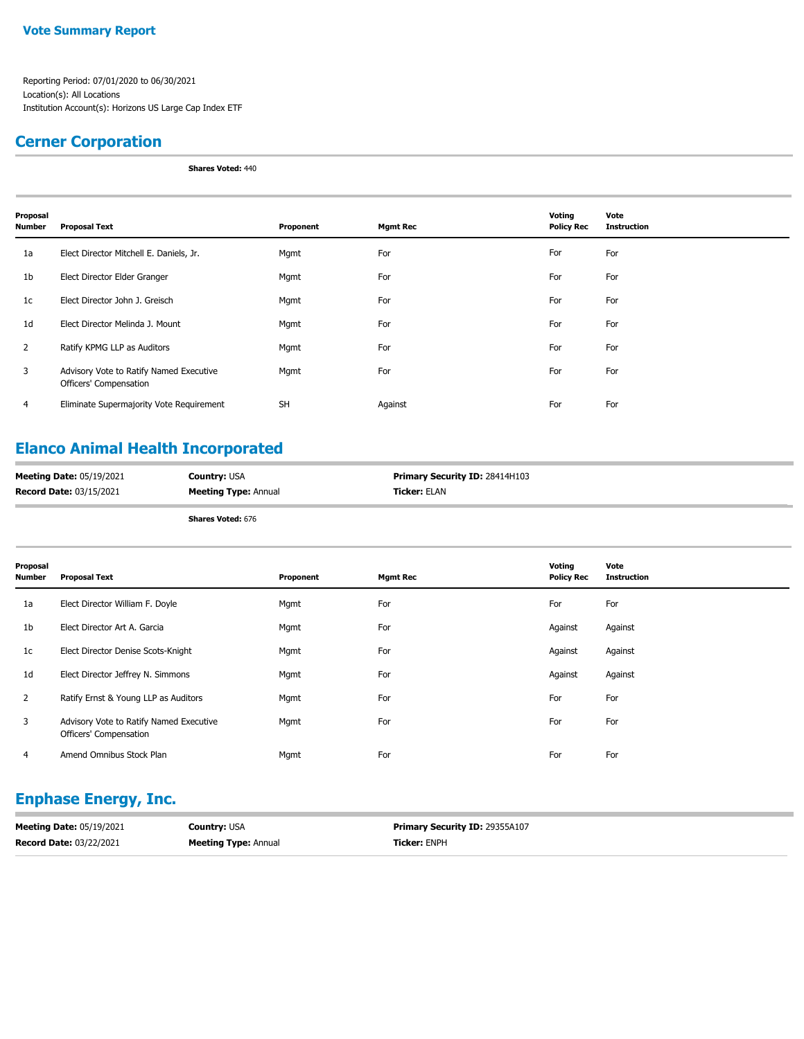#### **Vote Summary Report**

Reporting Period: 07/01/2020 to 06/30/2021 Location(s): All Locations Institution Account(s): Horizons US Large Cap Index ETF

#### **Cerner Corporation**

**Shares Voted:** 440

| Proposal<br>Number | <b>Proposal Text</b>                                              | Proponent | <b>Mgmt Rec</b> | Voting<br><b>Policy Rec</b> | Vote<br><b>Instruction</b> |
|--------------------|-------------------------------------------------------------------|-----------|-----------------|-----------------------------|----------------------------|
| 1a                 | Elect Director Mitchell E. Daniels, Jr.                           | Mgmt      | For             | For                         | For                        |
| 1b                 | Elect Director Elder Granger                                      | Mgmt      | For             | For                         | For                        |
| 1 <sub>c</sub>     | Elect Director John J. Greisch                                    | Mgmt      | For             | For                         | For                        |
| 1 <sub>d</sub>     | Elect Director Melinda J. Mount                                   | Mgmt      | For             | For                         | For                        |
| 2                  | Ratify KPMG LLP as Auditors                                       | Mgmt      | For             | For                         | For                        |
| 3                  | Advisory Vote to Ratify Named Executive<br>Officers' Compensation | Mgmt      | For             | For                         | For                        |
| 4                  | Eliminate Supermajority Vote Requirement                          | <b>SH</b> | Against         | For                         | For                        |

### **Elanco Animal Health Incorporated**

| <b>Meeting Date: 05/19/2021</b> | <b>Country: USA</b>         | <b>Primary Security ID: 28414H103</b> |
|---------------------------------|-----------------------------|---------------------------------------|
| <b>Record Date: 03/15/2021</b>  | <b>Meeting Type: Annual</b> | <b>Ticker:</b> ELAN                   |
|                                 |                             |                                       |

**Shares Voted:** 676

| Proposal<br>Number | <b>Proposal Text</b>                                              | Proponent | <b>Mgmt Rec</b> | Voting<br><b>Policy Rec</b> | Vote<br><b>Instruction</b> |
|--------------------|-------------------------------------------------------------------|-----------|-----------------|-----------------------------|----------------------------|
| 1a                 | Elect Director William F. Doyle                                   | Mgmt      | For             | For                         | For                        |
| 1b                 | Elect Director Art A. Garcia                                      | Mgmt      | For             | Against                     | Against                    |
| 1c                 | Elect Director Denise Scots-Knight                                | Mgmt      | For             | Against                     | Against                    |
| 1d                 | Elect Director Jeffrey N. Simmons                                 | Mgmt      | For             | Against                     | Against                    |
| $\overline{2}$     | Ratify Ernst & Young LLP as Auditors                              | Mgmt      | For             | For                         | For                        |
| 3                  | Advisory Vote to Ratify Named Executive<br>Officers' Compensation | Mgmt      | For             | For                         | For                        |
| 4                  | Amend Omnibus Stock Plan                                          | Mgmt      | For             | For                         | For                        |

## **Enphase Energy, Inc.**

| <b>Meeting Date: 05/19/2021</b> | <b>Country: USA</b>         | <b>Primary Security ID: 29355A107</b> |
|---------------------------------|-----------------------------|---------------------------------------|
| <b>Record Date: 03/22/2021</b>  | <b>Meeting Type: Annual</b> | <b>Ticker: ENPH</b>                   |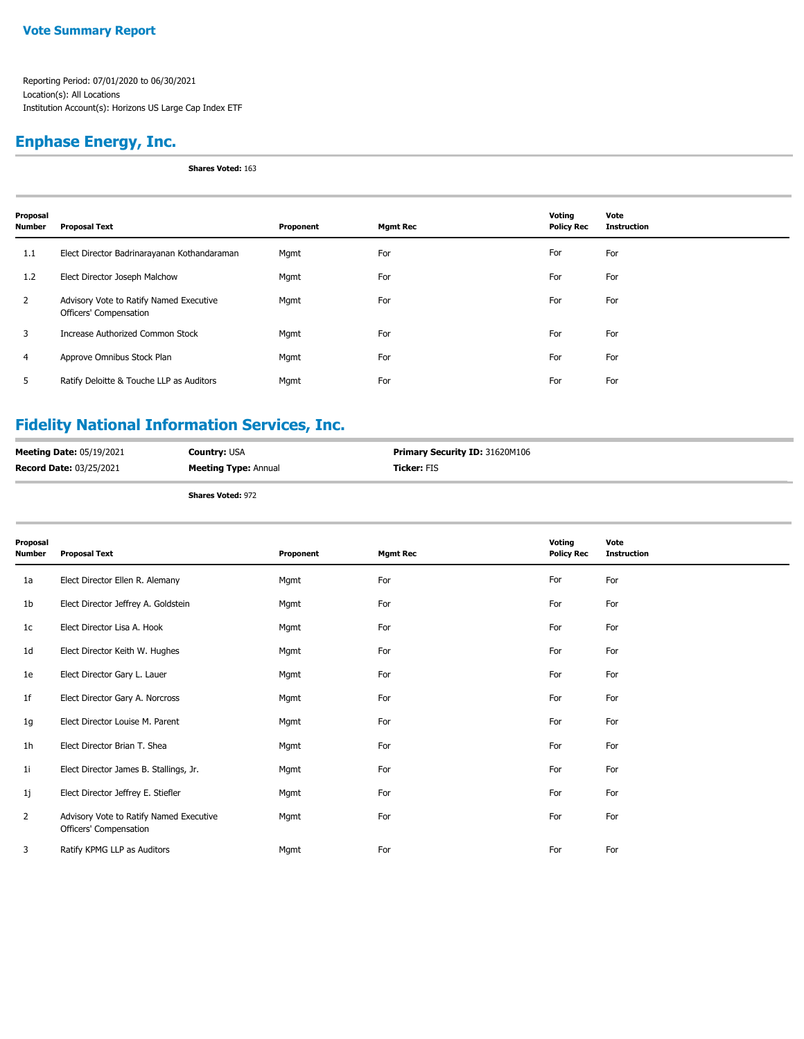#### **Enphase Energy, Inc.**

**Shares Voted:** 163

| Proposal<br><b>Number</b> | <b>Proposal Text</b>                                              | Proponent | <b>Mgmt Rec</b> | Voting<br><b>Policy Rec</b> | Vote<br><b>Instruction</b> |
|---------------------------|-------------------------------------------------------------------|-----------|-----------------|-----------------------------|----------------------------|
| 1.1                       | Elect Director Badrinarayanan Kothandaraman                       | Mgmt      | For             | For                         | For                        |
| 1.2                       | Elect Director Joseph Malchow                                     | Mgmt      | For             | For                         | For                        |
| 2                         | Advisory Vote to Ratify Named Executive<br>Officers' Compensation | Mgmt      | For             | For                         | For                        |
| 3                         | Increase Authorized Common Stock                                  | Mgmt      | For             | For                         | For                        |
| 4                         | Approve Omnibus Stock Plan                                        | Mgmt      | For             | For                         | For                        |
| 5                         | Ratify Deloitte & Touche LLP as Auditors                          | Mgmt      | For             | For                         | For                        |

## **Fidelity National Information Services, Inc.**

| <b>Meeting Date: 05/19/2021</b> | <b>Country: USA</b>         | <b>Primary Security ID: 31620M106</b> |
|---------------------------------|-----------------------------|---------------------------------------|
| <b>Record Date: 03/25/2021</b>  | <b>Meeting Type: Annual</b> | <b>Ticker: FIS</b>                    |
|                                 |                             |                                       |

| Proposal<br><b>Number</b> | <b>Proposal Text</b>                                              | Proponent | <b>Mgmt Rec</b> | Voting<br><b>Policy Rec</b> | Vote<br><b>Instruction</b> |
|---------------------------|-------------------------------------------------------------------|-----------|-----------------|-----------------------------|----------------------------|
| 1a                        | Elect Director Ellen R. Alemany                                   | Mgmt      | For             | For                         | For                        |
| 1 <sub>b</sub>            | Elect Director Jeffrey A. Goldstein                               | Mgmt      | For             | For                         | For                        |
| 1 <sub>c</sub>            | Elect Director Lisa A. Hook                                       | Mgmt      | For             | For                         | For                        |
| 1 <sub>d</sub>            | Elect Director Keith W. Hughes                                    | Mgmt      | For             | For                         | For                        |
| 1e                        | Elect Director Gary L. Lauer                                      | Mgmt      | For             | For                         | For                        |
| 1f                        | Elect Director Gary A. Norcross                                   | Mgmt      | For             | For                         | For                        |
| 1g                        | Elect Director Louise M. Parent                                   | Mgmt      | For             | For                         | For                        |
| 1 <sub>h</sub>            | Elect Director Brian T. Shea                                      | Mgmt      | For             | For                         | For                        |
| 11                        | Elect Director James B. Stallings, Jr.                            | Mgmt      | For             | For                         | For                        |
| 1j                        | Elect Director Jeffrey E. Stiefler                                | Mgmt      | For             | For                         | For                        |
| 2                         | Advisory Vote to Ratify Named Executive<br>Officers' Compensation | Mgmt      | For             | For                         | For                        |
| 3                         | Ratify KPMG LLP as Auditors                                       | Mgmt      | For             | For                         | For                        |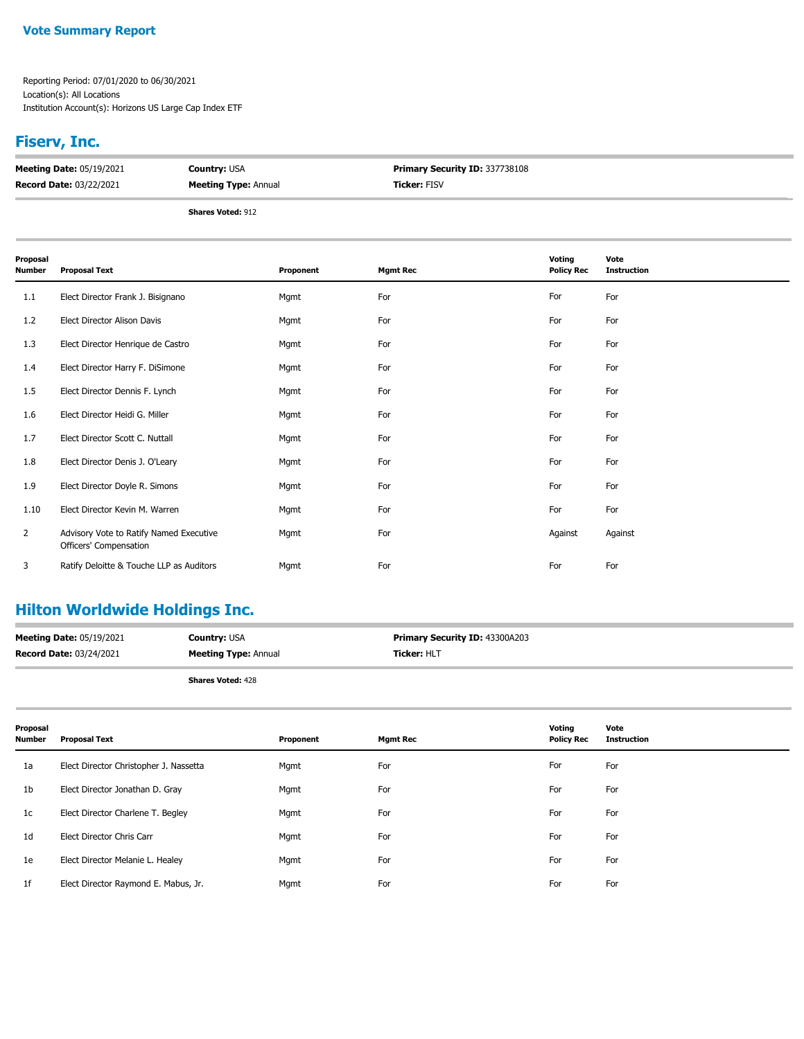#### **Vote Summary Report**

Reporting Period: 07/01/2020 to 06/30/2021 Location(s): All Locations Institution Account(s): Horizons US Large Cap Index ETF

#### **Fiserv, Inc.**

| <b>Meeting Date: 05/19/2021</b> | <b>Country: USA</b>         | <b>Primary Security ID: 337738108</b> |
|---------------------------------|-----------------------------|---------------------------------------|
| <b>Record Date: 03/22/2021</b>  | <b>Meeting Type: Annual</b> | <b>Ticker: FISV</b>                   |
|                                 |                             |                                       |

**Shares Voted:** 912

| Proposal<br>Number | <b>Proposal Text</b>                                              | Proponent | <b>Mgmt Rec</b> | Voting<br><b>Policy Rec</b> | Vote<br><b>Instruction</b> |
|--------------------|-------------------------------------------------------------------|-----------|-----------------|-----------------------------|----------------------------|
| 1.1                | Elect Director Frank J. Bisignano                                 | Mgmt      | For             | For                         | For                        |
| 1.2                | Elect Director Alison Davis                                       | Mgmt      | For             | For                         | For                        |
| 1.3                | Elect Director Henrique de Castro                                 | Mgmt      | For             | For                         | For                        |
| 1.4                | Elect Director Harry F. DiSimone                                  | Mgmt      | For             | For                         | For                        |
| 1.5                | Elect Director Dennis F. Lynch                                    | Mgmt      | For             | For                         | For                        |
| 1.6                | Elect Director Heidi G. Miller                                    | Mgmt      | For             | For                         | For                        |
| 1.7                | Elect Director Scott C. Nuttall                                   | Mgmt      | For             | For                         | For                        |
| 1.8                | Elect Director Denis J. O'Leary                                   | Mgmt      | For             | For                         | For                        |
| 1.9                | Elect Director Doyle R. Simons                                    | Mgmt      | For             | For                         | For                        |
| 1.10               | Elect Director Kevin M. Warren                                    | Mgmt      | For             | For                         | For                        |
| 2                  | Advisory Vote to Ratify Named Executive<br>Officers' Compensation | Mgmt      | For             | Against                     | Against                    |
| 3                  | Ratify Deloitte & Touche LLP as Auditors                          | Mgmt      | For             | For                         | For                        |

## **Hilton Worldwide Holdings Inc.**

| <b>Meeting Date: 05/19/2021</b> | <b>Country: USA</b>         | Primary Security ID: 43300A203 |
|---------------------------------|-----------------------------|--------------------------------|
| <b>Record Date: 03/24/2021</b>  | <b>Meeting Type: Annual</b> | <b>Ticker: HLT</b>             |
|                                 | <b>Shares Voted: 428</b>    |                                |

| Proposal<br><b>Number</b> | Proposal Text                          | Proponent | <b>Mgmt Rec</b> | Voting<br><b>Policy Rec</b> | Vote<br><b>Instruction</b> |
|---------------------------|----------------------------------------|-----------|-----------------|-----------------------------|----------------------------|
| 1a                        | Elect Director Christopher J. Nassetta | Mgmt      | For             | For                         | For                        |
| 1b                        | Elect Director Jonathan D. Gray        | Mgmt      | For             | For                         | For                        |
| 1c                        | Elect Director Charlene T. Begley      | Mgmt      | For             | For                         | For                        |
| 1 <sub>d</sub>            | Elect Director Chris Carr              | Mgmt      | For             | For                         | For                        |
| 1e                        | Elect Director Melanie L. Healey       | Mgmt      | For             | For                         | For                        |
| 1f                        | Elect Director Raymond E. Mabus, Jr.   | Mgmt      | For             | For                         | For                        |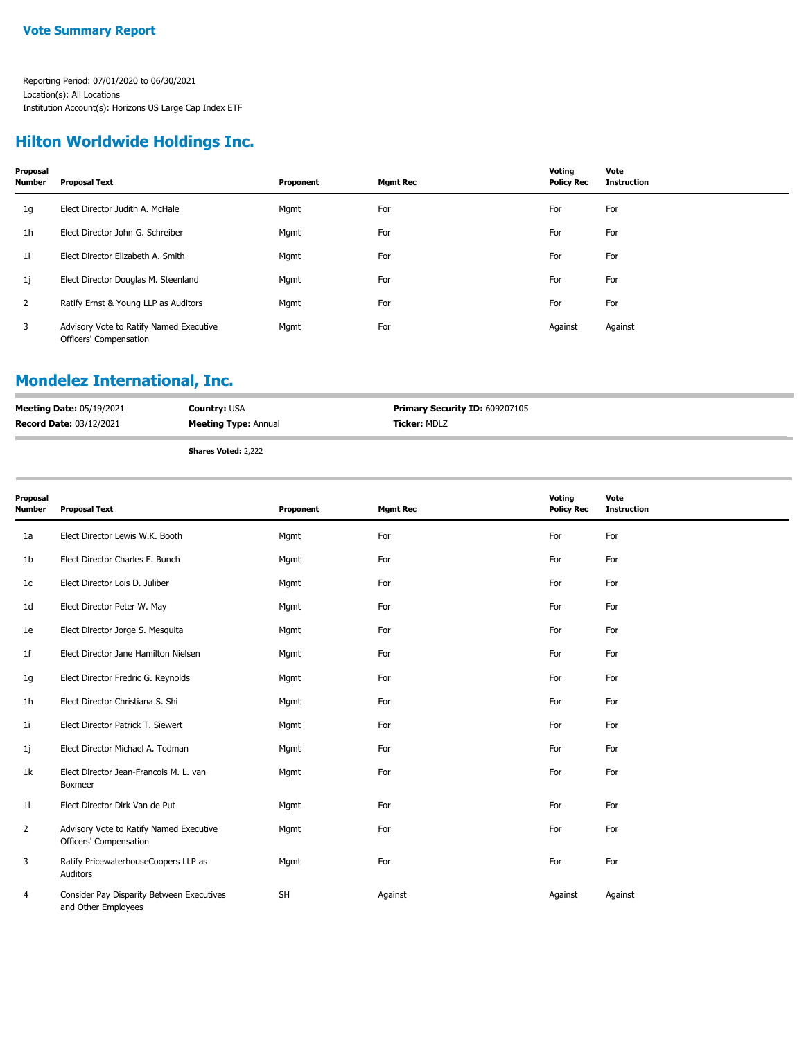#### **Hilton Worldwide Holdings Inc.**

| Proposal<br><b>Number</b> | <b>Proposal Text</b>                                              | Proponent | <b>Mgmt Rec</b> | Voting<br><b>Policy Rec</b> | Vote<br><b>Instruction</b> |
|---------------------------|-------------------------------------------------------------------|-----------|-----------------|-----------------------------|----------------------------|
| 1g                        | Elect Director Judith A. McHale                                   | Mgmt      | For             | For                         | For                        |
| 1 <sub>h</sub>            | Elect Director John G. Schreiber                                  | Mgmt      | For             | For                         | For                        |
| 1i                        | Elect Director Elizabeth A. Smith                                 | Mgmt      | For             | For                         | For                        |
| 1j                        | Elect Director Douglas M. Steenland                               | Mgmt      | For             | For                         | For                        |
| 2                         | Ratify Ernst & Young LLP as Auditors                              | Mgmt      | For             | For                         | For                        |
| 3                         | Advisory Vote to Ratify Named Executive<br>Officers' Compensation | Mgmt      | For             | Against                     | Against                    |

## **Mondelez International, Inc.**

| <b>Meeting Date: 05/19/2021</b> | <b>Country: USA</b>         | <b>Primary Security ID: 609207105</b> |
|---------------------------------|-----------------------------|---------------------------------------|
| <b>Record Date: 03/12/2021</b>  | <b>Meeting Type: Annual</b> | <b>Ticker: MDLZ</b>                   |
|                                 | .<br>$-1$                   |                                       |

**Shares Voted:** 2,222

| Proposal<br>Number | <b>Proposal Text</b>                                              | Proponent | <b>Mgmt Rec</b> | Voting<br><b>Policy Rec</b> | Vote<br><b>Instruction</b> |
|--------------------|-------------------------------------------------------------------|-----------|-----------------|-----------------------------|----------------------------|
| 1a                 | Elect Director Lewis W.K. Booth                                   | Mgmt      | For             | For                         | For                        |
| 1b                 | Elect Director Charles E. Bunch                                   | Mgmt      | For             | For                         | For                        |
| 1c                 | Elect Director Lois D. Juliber                                    | Mgmt      | For             | For                         | For                        |
| 1d                 | Elect Director Peter W. May                                       | Mgmt      | For             | For                         | For                        |
| 1e                 | Elect Director Jorge S. Mesquita                                  | Mgmt      | For             | For                         | For                        |
| 1f                 | Elect Director Jane Hamilton Nielsen                              | Mgmt      | For             | For                         | For                        |
| 1g                 | Elect Director Fredric G. Reynolds                                | Mgmt      | For             | For                         | For                        |
| 1h                 | Elect Director Christiana S. Shi                                  | Mgmt      | For             | For                         | For                        |
| 1i                 | Elect Director Patrick T. Siewert                                 | Mgmt      | For             | For                         | For                        |
| 1j                 | Elect Director Michael A. Todman                                  | Mgmt      | For             | For                         | For                        |
| 1k                 | Elect Director Jean-Francois M. L. van<br>Boxmeer                 | Mgmt      | For             | For                         | For                        |
| 11                 | Elect Director Dirk Van de Put                                    | Mgmt      | For             | For                         | For                        |
| 2                  | Advisory Vote to Ratify Named Executive<br>Officers' Compensation | Mgmt      | For             | For                         | For                        |
| 3                  | Ratify PricewaterhouseCoopers LLP as<br>Auditors                  | Mgmt      | For             | For                         | For                        |
| 4                  | Consider Pay Disparity Between Executives<br>and Other Employees  | <b>SH</b> | Against         | Against                     | Against                    |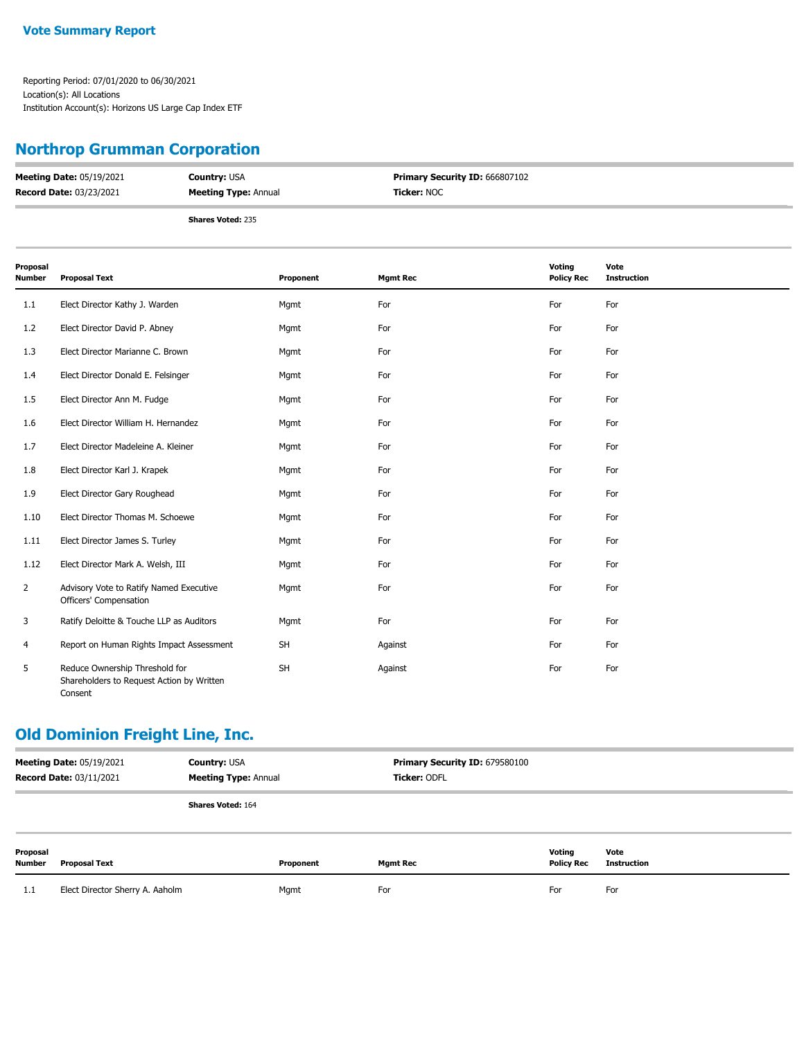#### **Vote Summary Report**

Reporting Period: 07/01/2020 to 06/30/2021 Location(s): All Locations Institution Account(s): Horizons US Large Cap Index ETF

## **Northrop Grumman Corporation**

| <b>Meeting Date: 05/19/2021</b> | <b>Country: USA</b>         | Primary Security ID: 666807102 |  |
|---------------------------------|-----------------------------|--------------------------------|--|
| <b>Record Date: 03/23/2021</b>  | <b>Meeting Type: Annual</b> | <b>Ticker: NOC</b>             |  |
|                                 | <b>Shares Voted: 235</b>    |                                |  |

| Proposal<br><b>Number</b> | <b>Proposal Text</b>                                                                   | Proponent | <b>Mgmt Rec</b> | Voting<br><b>Policy Rec</b> | Vote<br><b>Instruction</b> |
|---------------------------|----------------------------------------------------------------------------------------|-----------|-----------------|-----------------------------|----------------------------|
| 1.1                       | Elect Director Kathy J. Warden                                                         | Mgmt      | For             | For                         | For                        |
| 1.2                       | Elect Director David P. Abney                                                          | Mgmt      | For             | For                         | For                        |
| 1.3                       | Elect Director Marianne C. Brown                                                       | Mgmt      | For             | For                         | For                        |
| 1.4                       | Elect Director Donald E. Felsinger                                                     | Mgmt      | For             | For                         | For                        |
| 1.5                       | Elect Director Ann M. Fudge                                                            | Mgmt      | For             | For                         | For                        |
| 1.6                       | Elect Director William H. Hernandez                                                    | Mgmt      | For             | For                         | For                        |
| 1.7                       | Elect Director Madeleine A. Kleiner                                                    | Mgmt      | For             | For                         | For                        |
| 1.8                       | Elect Director Karl J. Krapek                                                          | Mgmt      | For             | For                         | For                        |
| 1.9                       | Elect Director Gary Roughead                                                           | Mgmt      | For             | For                         | For                        |
| 1.10                      | Elect Director Thomas M. Schoewe                                                       | Mgmt      | For             | For                         | For                        |
| 1.11                      | Elect Director James S. Turley                                                         | Mgmt      | For             | For                         | For                        |
| 1.12                      | Elect Director Mark A. Welsh, III                                                      | Mgmt      | For             | For                         | For                        |
| $\overline{2}$            | Advisory Vote to Ratify Named Executive<br>Officers' Compensation                      | Mgmt      | For             | For                         | For                        |
| 3                         | Ratify Deloitte & Touche LLP as Auditors                                               | Mgmt      | For             | For                         | For                        |
| 4                         | Report on Human Rights Impact Assessment                                               | SH        | Against         | For                         | For                        |
| 5                         | Reduce Ownership Threshold for<br>Shareholders to Request Action by Written<br>Consent | <b>SH</b> | Against         | For                         | For                        |

### **Old Dominion Freight Line, Inc.**

| <b>Meeting Date: 05/19/2021</b><br><b>Record Date: 03/11/2021</b> |                                 | <b>Country: USA</b><br><b>Meeting Type: Annual</b> |           | Primary Security ID: 679580100<br>Ticker: ODFL |                             |                            |
|-------------------------------------------------------------------|---------------------------------|----------------------------------------------------|-----------|------------------------------------------------|-----------------------------|----------------------------|
|                                                                   |                                 | <b>Shares Voted: 164</b>                           |           |                                                |                             |                            |
| Proposal<br><b>Number</b>                                         | <b>Proposal Text</b>            |                                                    | Proponent | <b>Mgmt Rec</b>                                | Voting<br><b>Policy Rec</b> | Vote<br><b>Instruction</b> |
| 1.1                                                               | Elect Director Sherry A. Aaholm |                                                    | Mgmt      | For                                            | For                         | For                        |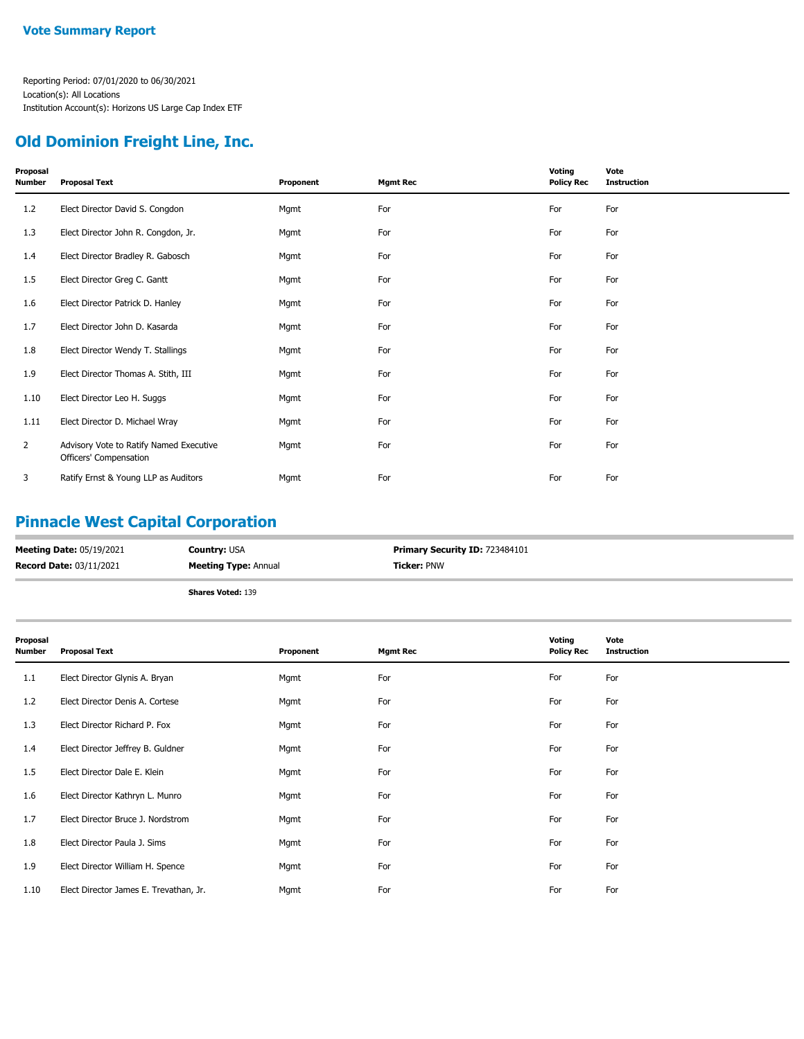#### **Old Dominion Freight Line, Inc.**

| Proposal<br><b>Number</b> | <b>Proposal Text</b>                                              | Proponent | <b>Mgmt Rec</b> | Voting<br><b>Policy Rec</b> | Vote<br><b>Instruction</b> |
|---------------------------|-------------------------------------------------------------------|-----------|-----------------|-----------------------------|----------------------------|
| 1.2                       | Elect Director David S. Congdon                                   | Mgmt      | For             | For                         | For                        |
| 1.3                       | Elect Director John R. Congdon, Jr.                               | Mgmt      | For             | For                         | For                        |
| 1.4                       | Elect Director Bradley R. Gabosch                                 | Mgmt      | For             | For                         | For                        |
| 1.5                       | Elect Director Greg C. Gantt                                      | Mgmt      | For             | For                         | For                        |
| 1.6                       | Elect Director Patrick D. Hanley                                  | Mgmt      | For             | For                         | For                        |
| 1.7                       | Elect Director John D. Kasarda                                    | Mgmt      | For             | For                         | For                        |
| 1.8                       | Elect Director Wendy T. Stallings                                 | Mgmt      | For             | For                         | For                        |
| 1.9                       | Elect Director Thomas A. Stith, III                               | Mgmt      | For             | For                         | For                        |
| 1.10                      | Elect Director Leo H. Suggs                                       | Mgmt      | For             | For                         | For                        |
| 1.11                      | Elect Director D. Michael Wray                                    | Mgmt      | For             | For                         | For                        |
| $\overline{2}$            | Advisory Vote to Ratify Named Executive<br>Officers' Compensation | Mgmt      | For             | For                         | For                        |
| 3                         | Ratify Ernst & Young LLP as Auditors                              | Mgmt      | For             | For                         | For                        |

## **Pinnacle West Capital Corporation**

| <b>Meeting Date: 05/19/2021</b> | <b>Country: USA</b>         | Primary Security ID: 723484101 |
|---------------------------------|-----------------------------|--------------------------------|
| <b>Record Date: 03/11/2021</b>  | <b>Meeting Type: Annual</b> | <b>Ticker: PNW</b>             |
|                                 | <b>Shares Voted: 139</b>    |                                |

| Proposal<br><b>Number</b> | <b>Proposal Text</b>                   | Proponent | <b>Mgmt Rec</b> | Voting<br><b>Policy Rec</b> | Vote<br><b>Instruction</b> |
|---------------------------|----------------------------------------|-----------|-----------------|-----------------------------|----------------------------|
| 1.1                       | Elect Director Glynis A. Bryan         | Mgmt      | For             | For                         | For                        |
| 1.2                       | Elect Director Denis A. Cortese        | Mgmt      | For             | For                         | For                        |
| 1.3                       | Elect Director Richard P. Fox          | Mgmt      | For             | For                         | For                        |
| 1.4                       | Elect Director Jeffrey B. Guldner      | Mgmt      | For             | For                         | For                        |
| 1.5                       | Elect Director Dale E. Klein           | Mgmt      | For             | For                         | For                        |
| 1.6                       | Elect Director Kathryn L. Munro        | Mgmt      | For             | For                         | For                        |
| 1.7                       | Elect Director Bruce J. Nordstrom      | Mgmt      | For             | For                         | For                        |
| 1.8                       | Elect Director Paula J. Sims           | Mgmt      | For             | For                         | For                        |
| 1.9                       | Elect Director William H. Spence       | Mgmt      | For             | For                         | For                        |
| 1.10                      | Elect Director James E. Trevathan, Jr. | Mgmt      | For             | For                         | For                        |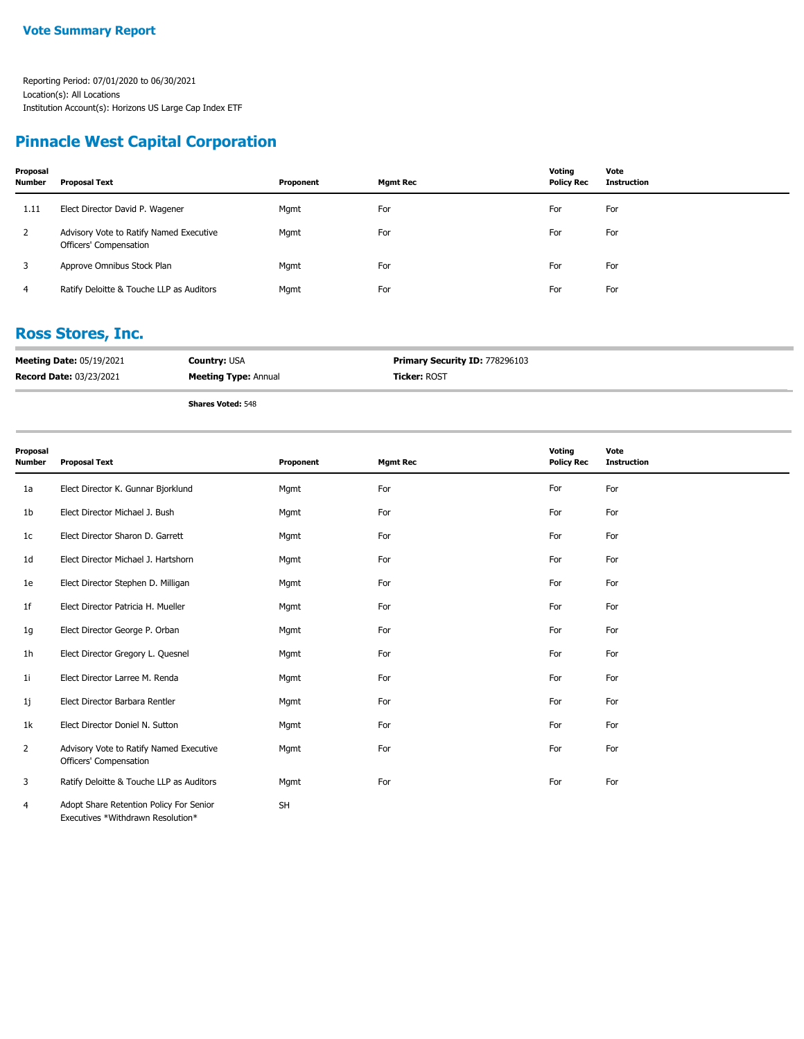### **Pinnacle West Capital Corporation**

| Proposal<br><b>Number</b> | Proposal Text                                                     | Proponent | Mgmt Rec | Voting<br><b>Policy Rec</b> | Vote<br><b>Instruction</b> |
|---------------------------|-------------------------------------------------------------------|-----------|----------|-----------------------------|----------------------------|
| 1.11                      | Elect Director David P. Wagener                                   | Mgmt      | For      | For                         | For                        |
| 2                         | Advisory Vote to Ratify Named Executive<br>Officers' Compensation | Mgmt      | For      | For                         | For                        |
| 3                         | Approve Omnibus Stock Plan                                        | Mgmt      | For      | For                         | For                        |
| 4                         | Ratify Deloitte & Touche LLP as Auditors                          | Mgmt      | For      | For                         | For                        |

#### **Ross Stores, Inc.**

| <b>Meeting Date: 05/19/2021</b> | <b>Country: USA</b>         | <b>Primary Security ID: 778296103</b> |
|---------------------------------|-----------------------------|---------------------------------------|
| <b>Record Date: 03/23/2021</b>  | <b>Meeting Type: Annual</b> | <b>Ticker: ROST</b>                   |
|                                 | <b>Shares Voted: 548</b>    |                                       |

**Proposal Number Proposal Text Proponent Mgmt Rec Voting Policy Rec Vote Instruction** 1a Elect Director K. Gunnar Bjorklund Mgmt Mgmt For For For For For For For For 1b Elect Director Michael J. Bush Mgmt For For For 1c Elect Director Sharon D. Garrett **Mgmt** Mgmt For For For For For For For For For 1d Elect Director Michael J. Hartshorn Mgmt Mgmt For For For For For For For For 1e Elect Director Stephen D. Milligan Mgmt Mgmt Mgmt For For For For For For For 1f Elect Director Patricia H. Mueller Mgmt For For For 1g Elect Director George P. Orban **For For Mgmt** For For For For For For For For For 1h Elect Director Gregory L. Quesnel Mgmt For For For 1i Elect Director Larree M. Renda Mgmt For For For 1j Elect Director Barbara Rentler Mgmt For For For 1k Elect Director Doniel N. Sutton **For Mgmt** For For For For For For For For For Advisory Vote to Ratify Named Executive Mgmt For For For Officers' Compensation 2 3 Ratify Deloitte & Touche LLP as Auditors Mgmt Mgmt For For For For For For For Adopt Share Retention Policy For Senior SH Executives \*Withdrawn Resolution\* 4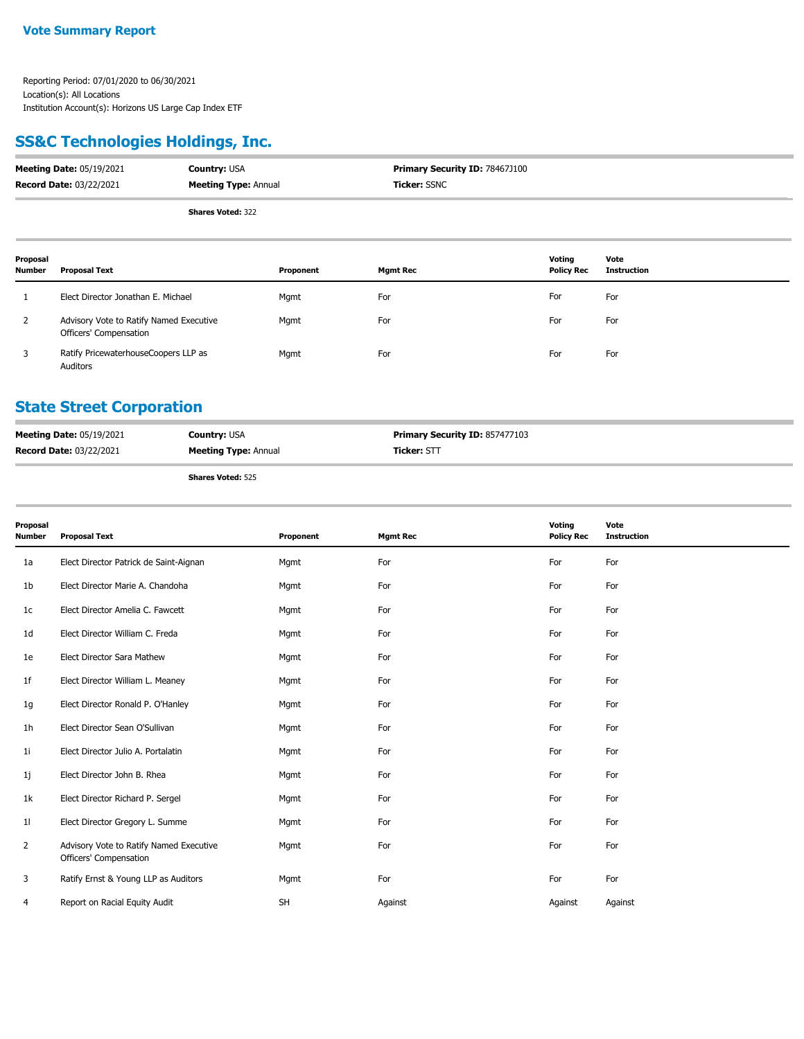## **SS&C Technologies Holdings, Inc.**

| <b>Meeting Date: 05/19/2021</b> | <b>Country: USA</b>         | <b>Primary Security ID: 78467J100</b> |
|---------------------------------|-----------------------------|---------------------------------------|
| <b>Record Date: 03/22/2021</b>  | <b>Meeting Type: Annual</b> | <b>Ticker:</b> SSNC                   |
|                                 | <b>Shares Voted: 322</b>    |                                       |

| <b>Shares Voted: 322</b> |  |
|--------------------------|--|
|                          |  |

| Proposal<br><b>Number</b> | <b>Proposal Text</b>                                              | Proponent | <b>Mgmt Rec</b> | Voting<br><b>Policy Rec</b> | Vote<br><b>Instruction</b> |
|---------------------------|-------------------------------------------------------------------|-----------|-----------------|-----------------------------|----------------------------|
|                           | Elect Director Jonathan E. Michael                                | Mgmt      | For             | For                         | For                        |
|                           | Advisory Vote to Ratify Named Executive<br>Officers' Compensation | Mgmt      | For             | For                         | For                        |
|                           | Ratify PricewaterhouseCoopers LLP as<br>Auditors                  | Mgmt      | For             | For                         | For                        |

## **State Street Corporation**

| <b>Meeting Date: 05/19/2021</b> | <b>Country: USA</b>         | <b>Primary Security ID: 857477103</b> |
|---------------------------------|-----------------------------|---------------------------------------|
| <b>Record Date: 03/22/2021</b>  | <b>Meeting Type: Annual</b> | <b>Ticker:</b> STT                    |
|                                 |                             |                                       |

| Proposal<br>Number | <b>Proposal Text</b>                                              | Proponent | <b>Mgmt Rec</b> | Voting<br><b>Policy Rec</b> | Vote<br><b>Instruction</b> |
|--------------------|-------------------------------------------------------------------|-----------|-----------------|-----------------------------|----------------------------|
| 1a                 | Elect Director Patrick de Saint-Aignan                            | Mgmt      | For             | For                         | For                        |
| 1b                 | Elect Director Marie A. Chandoha                                  | Mgmt      | For             | For                         | For                        |
| 1c                 | Elect Director Amelia C. Fawcett                                  | Mgmt      | For             | For                         | For                        |
| 1d                 | Elect Director William C. Freda                                   | Mgmt      | For             | For                         | For                        |
| 1e                 | Elect Director Sara Mathew                                        | Mgmt      | For             | For                         | For                        |
| 1f                 | Elect Director William L. Meaney                                  | Mgmt      | For             | For                         | For                        |
| 1g                 | Elect Director Ronald P. O'Hanley                                 | Mgmt      | For             | For                         | For                        |
| 1h                 | Elect Director Sean O'Sullivan                                    | Mgmt      | For             | For                         | For                        |
| 1i                 | Elect Director Julio A. Portalatin                                | Mgmt      | For             | For                         | For                        |
| 1j                 | Elect Director John B. Rhea                                       | Mgmt      | For             | For                         | For                        |
| 1k                 | Elect Director Richard P. Sergel                                  | Mgmt      | For             | For                         | For                        |
| 11                 | Elect Director Gregory L. Summe                                   | Mgmt      | For             | For                         | For                        |
| $\overline{2}$     | Advisory Vote to Ratify Named Executive<br>Officers' Compensation | Mgmt      | For             | For                         | For                        |
| 3                  | Ratify Ernst & Young LLP as Auditors                              | Mgmt      | For             | For                         | For                        |
| 4                  | Report on Racial Equity Audit                                     | <b>SH</b> | Against         | Against                     | Against                    |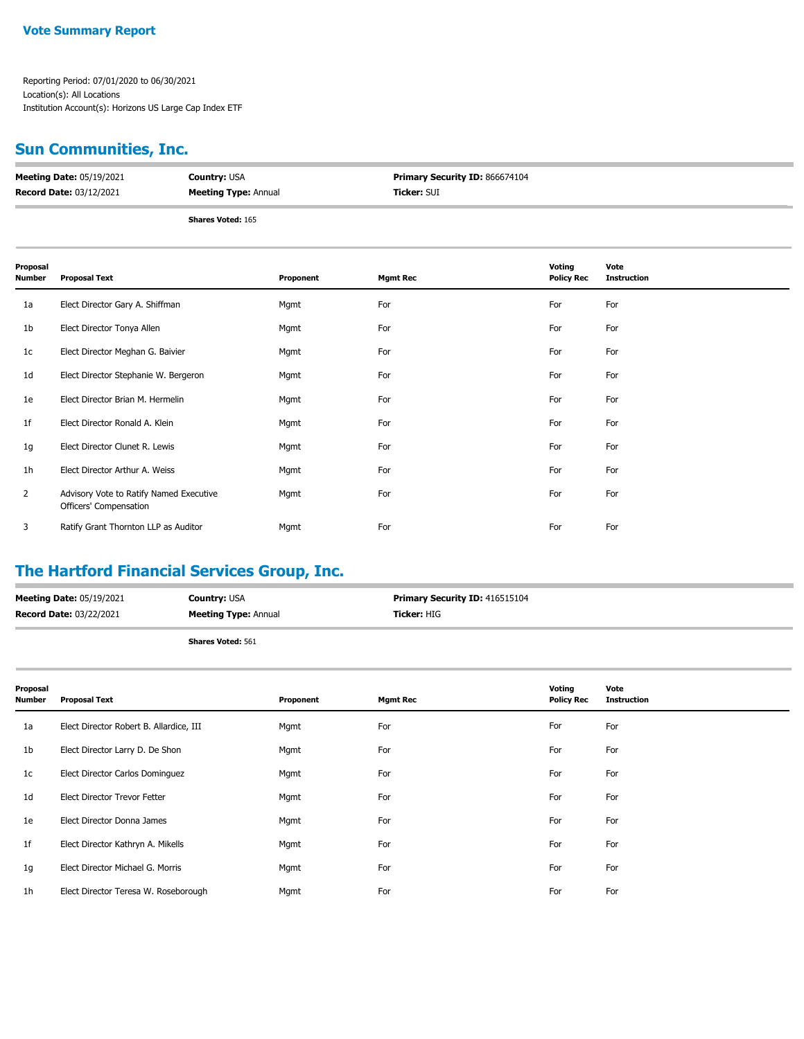# **Sun Communities, Inc.**

| <b>Meeting Date: 05/19/2021</b> | <b>Country: USA</b>         | <b>Primary Security ID: 866674104</b> |
|---------------------------------|-----------------------------|---------------------------------------|
| <b>Record Date: 03/12/2021</b>  | <b>Meeting Type: Annual</b> | <b>Ticker: SUI</b>                    |
|                                 | <b>Shares Voted: 165</b>    |                                       |

| Proposal<br><b>Number</b> | <b>Proposal Text</b>                                              | Proponent | <b>Mgmt Rec</b> | Voting<br><b>Policy Rec</b> | Vote<br><b>Instruction</b> |
|---------------------------|-------------------------------------------------------------------|-----------|-----------------|-----------------------------|----------------------------|
| 1a                        | Elect Director Gary A. Shiffman                                   | Mgmt      | For             | For                         | For                        |
| 1b                        | Elect Director Tonya Allen                                        | Mgmt      | For             | For                         | For                        |
| 1 <sub>c</sub>            | Elect Director Meghan G. Baivier                                  | Mgmt      | For             | For                         | For                        |
| 1 <sub>d</sub>            | Elect Director Stephanie W. Bergeron                              | Mgmt      | For             | For                         | For                        |
| 1e                        | Elect Director Brian M. Hermelin                                  | Mgmt      | For             | For                         | For                        |
| 1 <sub>f</sub>            | Elect Director Ronald A. Klein                                    | Mgmt      | For             | For                         | For                        |
| 1g                        | Elect Director Clunet R. Lewis                                    | Mgmt      | For             | For                         | For                        |
| 1 <sub>h</sub>            | Elect Director Arthur A. Weiss                                    | Mgmt      | For             | For                         | For                        |
| $\overline{2}$            | Advisory Vote to Ratify Named Executive<br>Officers' Compensation | Mgmt      | For             | For                         | For                        |
| 3                         | Ratify Grant Thornton LLP as Auditor                              | Mgmt      | For             | For                         | For                        |

## **The Hartford Financial Services Group, Inc.**

| <b>Meeting Date: 05/19/2021</b> | <b>Country: USA</b>         | <b>Primary Security ID: 416515104</b> |
|---------------------------------|-----------------------------|---------------------------------------|
| Record Date: 03/22/2021         | <b>Meeting Type: Annual</b> | <b>Ticker:</b> HIG                    |
|                                 | <b>Shares Voted: 561</b>    |                                       |

| Proposal<br>Number | <b>Proposal Text</b>                    | Proponent | <b>Mgmt Rec</b> | Voting<br><b>Policy Rec</b> | Vote<br><b>Instruction</b> |
|--------------------|-----------------------------------------|-----------|-----------------|-----------------------------|----------------------------|
| 1a                 | Elect Director Robert B. Allardice, III | Mgmt      | For             | For                         | For                        |
| 1b                 | Elect Director Larry D. De Shon         | Mgmt      | For             | For                         | For                        |
| 1c                 | Elect Director Carlos Dominguez         | Mgmt      | For             | For                         | For                        |
| 1d                 | <b>Elect Director Trevor Fetter</b>     | Mgmt      | For             | For                         | For                        |
| 1e                 | Elect Director Donna James              | Mgmt      | For             | For                         | For                        |
| 1f                 | Elect Director Kathryn A. Mikells       | Mgmt      | For             | For                         | For                        |
| 1g                 | Elect Director Michael G. Morris        | Mgmt      | For             | For                         | For                        |
| 1h                 | Elect Director Teresa W. Roseborough    | Mgmt      | For             | For                         | For                        |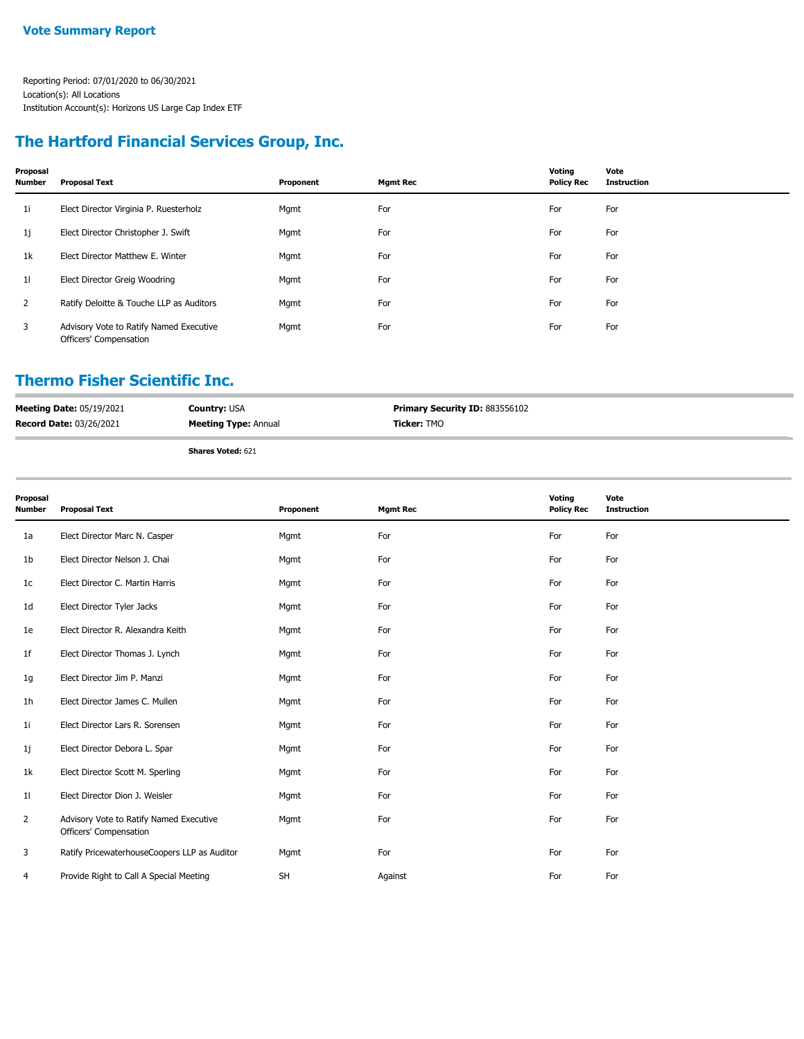### **The Hartford Financial Services Group, Inc.**

| Proposal<br><b>Number</b> | <b>Proposal Text</b>                                              | Proponent | <b>Mgmt Rec</b> | Voting<br><b>Policy Rec</b> | Vote<br><b>Instruction</b> |
|---------------------------|-------------------------------------------------------------------|-----------|-----------------|-----------------------------|----------------------------|
| 1i.                       | Elect Director Virginia P. Ruesterholz                            | Mgmt      | For             | For                         | For                        |
| 1j                        | Elect Director Christopher J. Swift                               | Mgmt      | For             | For                         | For                        |
| 1k                        | Elect Director Matthew E. Winter                                  | Mgmt      | For             | For                         | For                        |
| 11                        | Elect Director Greig Woodring                                     | Mgmt      | For             | For                         | For                        |
| $\overline{2}$            | Ratify Deloitte & Touche LLP as Auditors                          | Mgmt      | For             | For                         | For                        |
| 3                         | Advisory Vote to Ratify Named Executive<br>Officers' Compensation | Mgmt      | For             | For                         | For                        |

#### **Thermo Fisher Scientific Inc.**

| <b>Meeting Date: 05/19/2021</b> | <b>Country: USA</b>         | <b>Primary Security ID: 883556102</b> |
|---------------------------------|-----------------------------|---------------------------------------|
| <b>Record Date: 03/26/2021</b>  | <b>Meeting Type: Annual</b> | <b>Ticker:</b> TMO                    |
|                                 | <b>Shares Voted: 621</b>    |                                       |

| Proposal<br>Number | <b>Proposal Text</b>                                              | Proponent | <b>Mgmt Rec</b> | Voting<br><b>Policy Rec</b> | Vote<br><b>Instruction</b> |
|--------------------|-------------------------------------------------------------------|-----------|-----------------|-----------------------------|----------------------------|
| 1a                 | Elect Director Marc N. Casper                                     | Mgmt      | For             | For                         | For                        |
| 1b                 | Elect Director Nelson J. Chai                                     | Mgmt      | For             | For                         | For                        |
| 1c                 | Elect Director C. Martin Harris                                   | Mgmt      | For             | For                         | For                        |
| 1d                 | Elect Director Tyler Jacks                                        | Mgmt      | For             | For                         | For                        |
| 1e                 | Elect Director R. Alexandra Keith                                 | Mgmt      | For             | For                         | For                        |
| 1f                 | Elect Director Thomas J. Lynch                                    | Mgmt      | For             | For                         | For                        |
| 1g                 | Elect Director Jim P. Manzi                                       | Mgmt      | For             | For                         | For                        |
| 1h                 | Elect Director James C. Mullen                                    | Mgmt      | For             | For                         | For                        |
| 11                 | Elect Director Lars R. Sorensen                                   | Mgmt      | For             | For                         | For                        |
| 1j                 | Elect Director Debora L. Spar                                     | Mgmt      | For             | For                         | For                        |
| 1k                 | Elect Director Scott M. Sperling                                  | Mgmt      | For             | For                         | For                        |
| 11                 | Elect Director Dion J. Weisler                                    | Mgmt      | For             | For                         | For                        |
| 2                  | Advisory Vote to Ratify Named Executive<br>Officers' Compensation | Mgmt      | For             | For                         | For                        |
| 3                  | Ratify PricewaterhouseCoopers LLP as Auditor                      | Mgmt      | For             | For                         | For                        |
| 4                  | Provide Right to Call A Special Meeting                           | <b>SH</b> | Against         | For                         | For                        |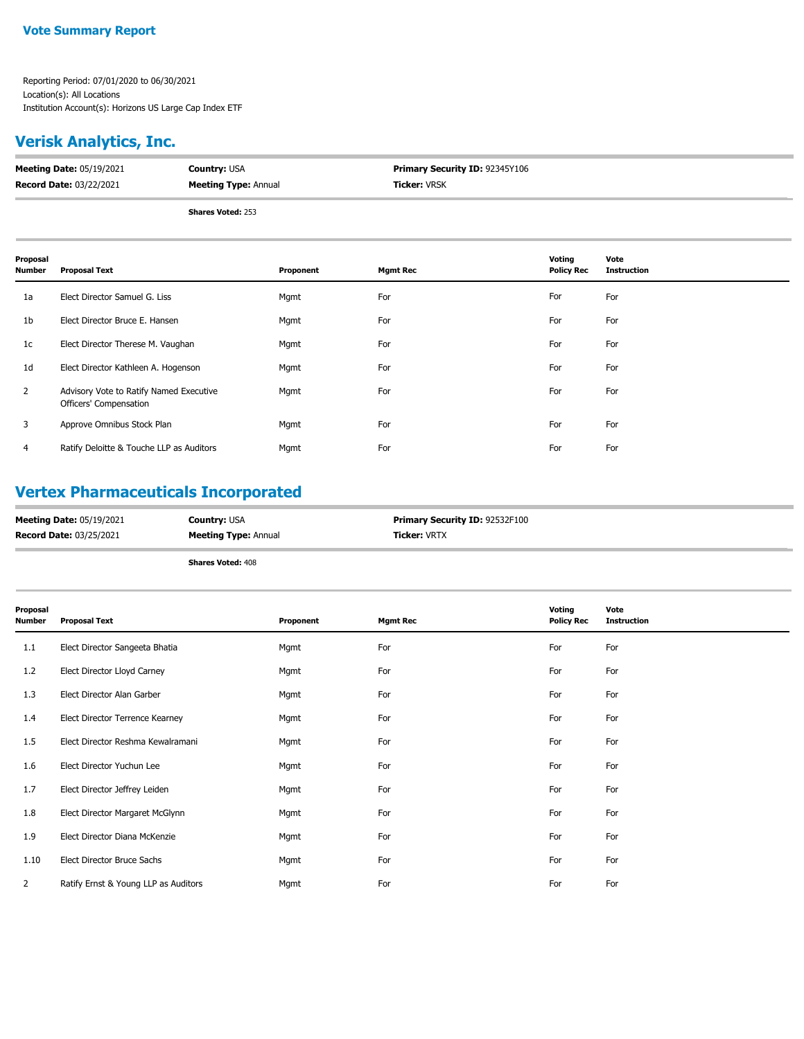## **Verisk Analytics, Inc.**

| <b>Meeting Date: 05/19/2021</b> | <b>Country: USA</b>         | <b>Primary Security ID: 92345Y106</b> |
|---------------------------------|-----------------------------|---------------------------------------|
| <b>Record Date: 03/22/2021</b>  | <b>Meeting Type: Annual</b> | <b>Ticker:</b> VRSK                   |
|                                 |                             |                                       |

**Shares Voted:** 253

| Proposal<br><b>Number</b> | <b>Proposal Text</b>                                              | Proponent | <b>Mgmt Rec</b> | Voting<br><b>Policy Rec</b> | Vote<br>Instruction |
|---------------------------|-------------------------------------------------------------------|-----------|-----------------|-----------------------------|---------------------|
| 1a                        | Elect Director Samuel G. Liss                                     | Mgmt      | For             | For                         | For                 |
| 1b                        | Elect Director Bruce E. Hansen                                    | Mgmt      | For             | For                         | For                 |
| 1c                        | Elect Director Therese M. Vaughan                                 | Mgmt      | For             | For                         | For                 |
| 1 <sub>d</sub>            | Elect Director Kathleen A. Hogenson                               | Mgmt      | For             | For                         | For                 |
| 2                         | Advisory Vote to Ratify Named Executive<br>Officers' Compensation | Mgmt      | For             | For                         | For                 |
| 3                         | Approve Omnibus Stock Plan                                        | Mgmt      | For             | For                         | For                 |
| 4                         | Ratify Deloitte & Touche LLP as Auditors                          | Mgmt      | For             | For                         | For                 |

### **Vertex Pharmaceuticals Incorporated**

| <b>Record Date: 03/25/2021</b><br><b>Ticker: VRTX</b><br><b>Meeting Type: Annual</b> | <b>Meeting Date: 05/19/2021</b> | <b>Country: USA</b> | <b>Primary Security ID: 92532F100</b> |
|--------------------------------------------------------------------------------------|---------------------------------|---------------------|---------------------------------------|
|                                                                                      |                                 |                     |                                       |

| Proposal<br>Number | <b>Proposal Text</b>                 | Proponent | <b>Mgmt Rec</b> | Voting<br><b>Policy Rec</b> | Vote<br><b>Instruction</b> |
|--------------------|--------------------------------------|-----------|-----------------|-----------------------------|----------------------------|
| 1.1                | Elect Director Sangeeta Bhatia       | Mgmt      | For             | For                         | For                        |
| 1.2                | Elect Director Lloyd Carney          | Mgmt      | For             | For                         | For                        |
| 1.3                | Elect Director Alan Garber           | Mgmt      | For             | For                         | For                        |
| 1.4                | Elect Director Terrence Kearney      | Mgmt      | For             | For                         | For                        |
| 1.5                | Elect Director Reshma Kewalramani    | Mgmt      | For             | For                         | For                        |
| 1.6                | Elect Director Yuchun Lee            | Mgmt      | For             | For                         | For                        |
| 1.7                | Elect Director Jeffrey Leiden        | Mgmt      | For             | For                         | For                        |
| 1.8                | Elect Director Margaret McGlynn      | Mgmt      | For             | For                         | For                        |
| 1.9                | Elect Director Diana McKenzie        | Mgmt      | For             | For                         | For                        |
| 1.10               | Elect Director Bruce Sachs           | Mgmt      | For             | For                         | For                        |
| $\overline{2}$     | Ratify Ernst & Young LLP as Auditors | Mgmt      | For             | For                         | For                        |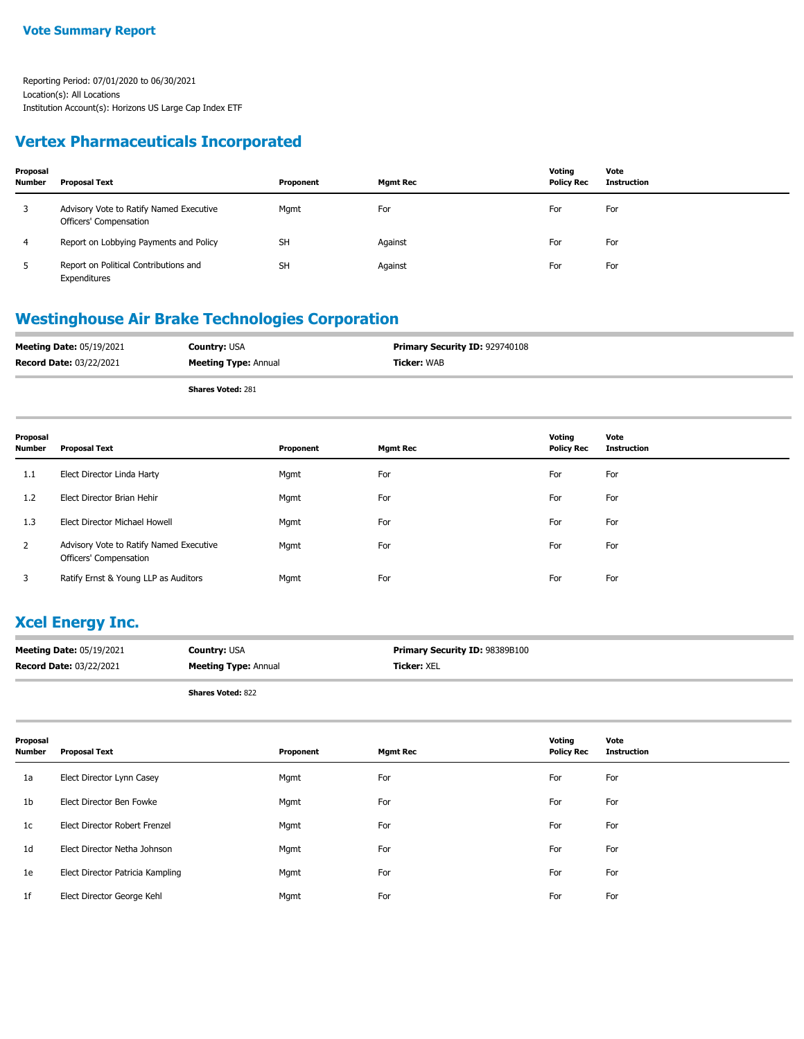### **Vertex Pharmaceuticals Incorporated**

| Proposal<br><b>Number</b> | Proposal Text                                                     | Proponent | <b>Mgmt Rec</b> | Voting<br><b>Policy Rec</b> | Vote<br><b>Instruction</b> |
|---------------------------|-------------------------------------------------------------------|-----------|-----------------|-----------------------------|----------------------------|
| 3                         | Advisory Vote to Ratify Named Executive<br>Officers' Compensation | Mgmt      | For             | For                         | For                        |
| 4                         | Report on Lobbying Payments and Policy                            | <b>SH</b> | Against         | For                         | For                        |
| 5                         | Report on Political Contributions and<br>Expenditures             | <b>SH</b> | Against         | For                         | For                        |

### **Westinghouse Air Brake Technologies Corporation**

| <b>Meeting Date: 05/19/2021</b> | <b>Country: USA</b>         | <b>Primary Security ID: 929740108</b> |
|---------------------------------|-----------------------------|---------------------------------------|
| <b>Record Date: 03/22/2021</b>  | <b>Meeting Type: Annual</b> | Ticker: WAB                           |
|                                 |                             |                                       |

**Shares Voted:** 281

| Proposal<br>Number | <b>Proposal Text</b>                                              | Proponent | <b>Mgmt Rec</b> | Voting<br><b>Policy Rec</b> | Vote<br><b>Instruction</b> |
|--------------------|-------------------------------------------------------------------|-----------|-----------------|-----------------------------|----------------------------|
| 1.1                | Elect Director Linda Harty                                        | Mgmt      | For             | For                         | For                        |
| 1.2                | Elect Director Brian Hehir                                        | Mgmt      | For             | For                         | For                        |
| 1.3                | Elect Director Michael Howell                                     | Mgmt      | For             | For                         | For                        |
| 2                  | Advisory Vote to Ratify Named Executive<br>Officers' Compensation | Mgmt      | For             | For                         | For                        |
| 3                  | Ratify Ernst & Young LLP as Auditors                              | Mgmt      | For             | For                         | For                        |

### **Xcel Energy Inc.**

| <b>Meeting Date: 05/19/2021</b> | <b>Country: USA</b>         | <b>Primary Security ID: 98389B100</b> |
|---------------------------------|-----------------------------|---------------------------------------|
| <b>Record Date: 03/22/2021</b>  | <b>Meeting Type: Annual</b> | <b>Ticker: XEL</b>                    |

| Proposal<br><b>Number</b> | <b>Proposal Text</b>             | Proponent | <b>Mgmt Rec</b> | Voting<br><b>Policy Rec</b> | Vote<br><b>Instruction</b> |
|---------------------------|----------------------------------|-----------|-----------------|-----------------------------|----------------------------|
| 1a                        | Elect Director Lynn Casey        | Mgmt      | For             | For                         | For                        |
| 1 <sub>b</sub>            | Elect Director Ben Fowke         | Mgmt      | For             | For                         | For                        |
| 1c                        | Elect Director Robert Frenzel    | Mgmt      | For             | For                         | For                        |
| 1 <sub>d</sub>            | Elect Director Netha Johnson     | Mgmt      | For             | For                         | For                        |
| 1e                        | Elect Director Patricia Kampling | Mgmt      | For             | For                         | For                        |
| 1f                        | Elect Director George Kehl       | Mgmt      | For             | For                         | For                        |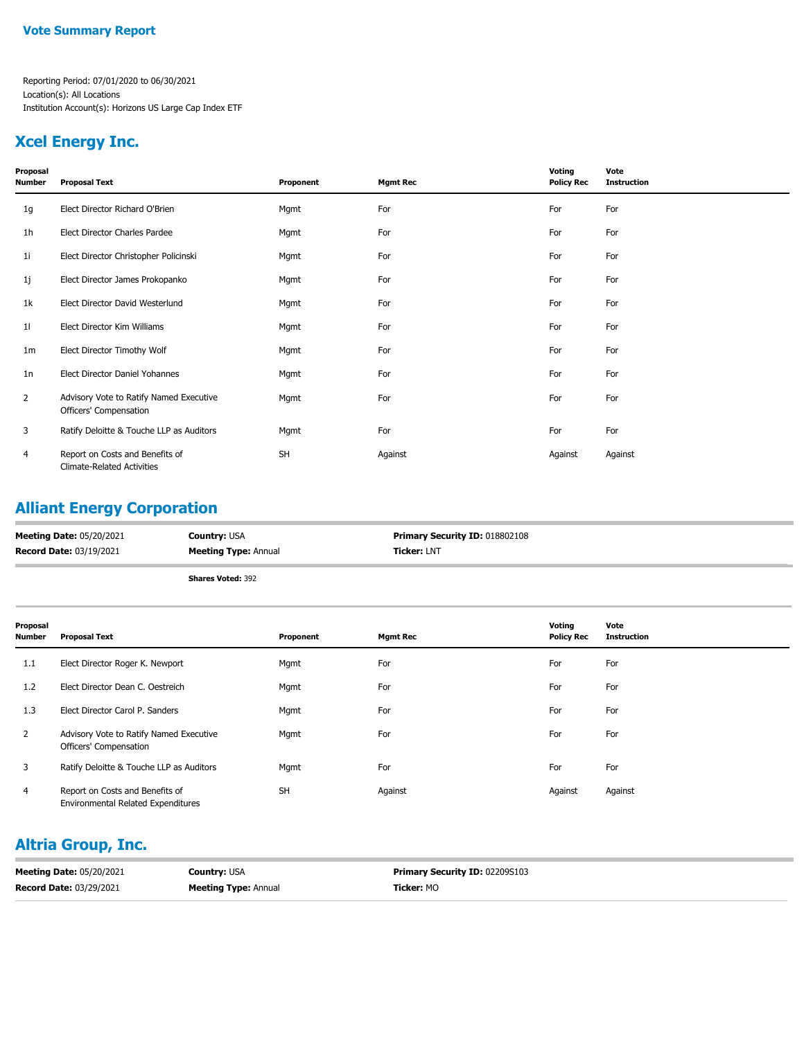### **Xcel Energy Inc.**

| Proposal<br><b>Number</b> | <b>Proposal Text</b>                                                 | Proponent | <b>Mgmt Rec</b> | Voting<br><b>Policy Rec</b> | Vote<br><b>Instruction</b> |
|---------------------------|----------------------------------------------------------------------|-----------|-----------------|-----------------------------|----------------------------|
| 1g                        | Elect Director Richard O'Brien                                       | Mgmt      | For             | For                         | For                        |
| 1h                        | Elect Director Charles Pardee                                        | Mgmt      | For             | For                         | For                        |
| 11                        | Elect Director Christopher Policinski                                | Mgmt      | For             | For                         | For                        |
| 1j                        | Elect Director James Prokopanko                                      | Mgmt      | For             | For                         | For                        |
| 1k                        | Elect Director David Westerlund                                      | Mgmt      | For             | For                         | For                        |
| 11                        | Elect Director Kim Williams                                          | Mgmt      | For             | For                         | For                        |
| 1 <sub>m</sub>            | Elect Director Timothy Wolf                                          | Mgmt      | For             | For                         | For                        |
| 1n                        | Elect Director Daniel Yohannes                                       | Mgmt      | For             | For                         | For                        |
| 2                         | Advisory Vote to Ratify Named Executive<br>Officers' Compensation    | Mgmt      | For             | For                         | For                        |
| 3                         | Ratify Deloitte & Touche LLP as Auditors                             | Mgmt      | For             | For                         | For                        |
| 4                         | Report on Costs and Benefits of<br><b>Climate-Related Activities</b> | <b>SH</b> | Against         | Against                     | Against                    |

## **Alliant Energy Corporation**

| <b>Meeting Date: 05/20/2021</b> | <b>Country: USA</b>         | <b>Primary Security ID: 018802108</b> |
|---------------------------------|-----------------------------|---------------------------------------|
| <b>Record Date: 03/19/2021</b>  | <b>Meeting Type: Annual</b> | <b>Ticker: LNT</b>                    |
|                                 | <b>Shares Voted: 392</b>    |                                       |

| Proposal<br><b>Number</b> | <b>Proposal Text</b>                                                         | Proponent | <b>Mgmt Rec</b> | Voting<br><b>Policy Rec</b> | Vote<br><b>Instruction</b> |
|---------------------------|------------------------------------------------------------------------------|-----------|-----------------|-----------------------------|----------------------------|
| 1.1                       | Elect Director Roger K. Newport                                              | Mgmt      | For             | For                         | For                        |
| 1.2                       | Elect Director Dean C. Oestreich                                             | Mgmt      | For             | For                         | For                        |
| 1.3                       | Elect Director Carol P. Sanders                                              | Mgmt      | For             | For                         | For                        |
| $\overline{2}$            | Advisory Vote to Ratify Named Executive<br>Officers' Compensation            | Mgmt      | For             | For                         | For                        |
| 3                         | Ratify Deloitte & Touche LLP as Auditors                                     | Mgmt      | For             | For                         | For                        |
| $\overline{4}$            | Report on Costs and Benefits of<br><b>Environmental Related Expenditures</b> | <b>SH</b> | Against         | Against                     | Against                    |

### **Altria Group, Inc.**

| <b>Meeting Date: 05/20/2021</b> | <b>Country: USA</b>         | <b>Primary Security ID: 02209S103</b> |
|---------------------------------|-----------------------------|---------------------------------------|
| <b>Record Date: 03/29/2021</b>  | <b>Meeting Type: Annual</b> | <b>Ticker:</b> MO                     |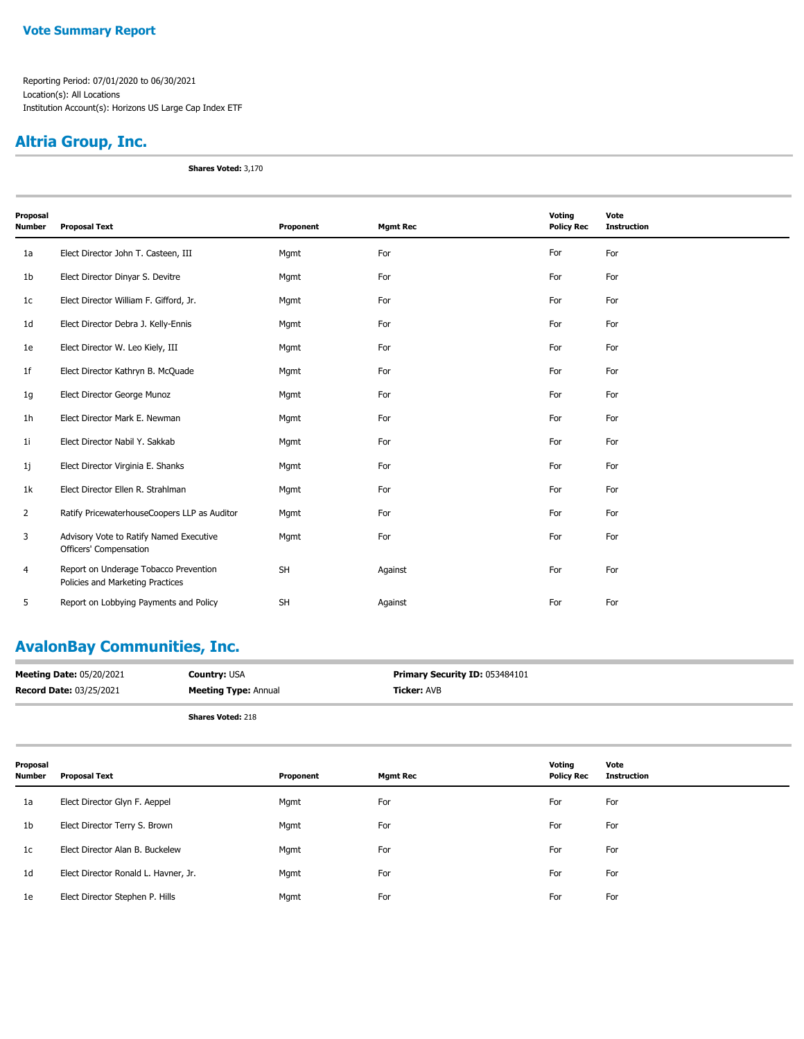#### **Vote Summary Report**

Reporting Period: 07/01/2020 to 06/30/2021 Location(s): All Locations Institution Account(s): Horizons US Large Cap Index ETF

## **Altria Group, Inc.**

**Shares Voted:** 3,170

| Proposal<br>Number | <b>Proposal Text</b>                                                      | Proponent | <b>Mgmt Rec</b> | Voting<br><b>Policy Rec</b> | Vote<br><b>Instruction</b> |
|--------------------|---------------------------------------------------------------------------|-----------|-----------------|-----------------------------|----------------------------|
| 1a                 | Elect Director John T. Casteen, III                                       | Mgmt      | For             | For                         | For                        |
| 1b                 | Elect Director Dinyar S. Devitre                                          | Mgmt      | For             | For                         | For                        |
| 1c                 | Elect Director William F. Gifford, Jr.                                    | Mgmt      | For             | For                         | For                        |
| 1d                 | Elect Director Debra J. Kelly-Ennis                                       | Mgmt      | For             | For                         | For                        |
| 1e                 | Elect Director W. Leo Kiely, III                                          | Mgmt      | For             | For                         | For                        |
| 1f                 | Elect Director Kathryn B. McQuade                                         | Mgmt      | For             | For                         | For                        |
| 1g                 | Elect Director George Munoz                                               | Mgmt      | For             | For                         | For                        |
| 1h                 | Elect Director Mark E. Newman                                             | Mgmt      | For             | For                         | For                        |
| 1i                 | Elect Director Nabil Y. Sakkab                                            | Mgmt      | For             | For                         | For                        |
| 1j                 | Elect Director Virginia E. Shanks                                         | Mgmt      | For             | For                         | For                        |
| 1k                 | Elect Director Ellen R. Strahlman                                         | Mgmt      | For             | For                         | For                        |
| $\overline{2}$     | Ratify PricewaterhouseCoopers LLP as Auditor                              | Mgmt      | For             | For                         | For                        |
| 3                  | Advisory Vote to Ratify Named Executive<br>Officers' Compensation         | Mgmt      | For             | For                         | For                        |
| 4                  | Report on Underage Tobacco Prevention<br>Policies and Marketing Practices | <b>SH</b> | Against         | For                         | For                        |
| 5                  | Report on Lobbying Payments and Policy                                    | <b>SH</b> | Against         | For                         | For                        |

## **AvalonBay Communities, Inc.**

| <b>Meeting Date: 05/20/2021</b> | <b>Country: USA</b>         | <b>Primary Security ID: 053484101</b> |
|---------------------------------|-----------------------------|---------------------------------------|
| <b>Record Date: 03/25/2021</b>  | <b>Meeting Type: Annual</b> | <b>Ticker: AVB</b>                    |
|                                 | <b>Shares Voted: 218</b>    |                                       |

| Proposal<br><b>Number</b> | <b>Proposal Text</b>                 | Proponent | <b>Mgmt Rec</b> | Voting<br><b>Policy Rec</b> | Vote<br>Instruction |
|---------------------------|--------------------------------------|-----------|-----------------|-----------------------------|---------------------|
| 1a                        | Elect Director Glyn F. Aeppel        | Mgmt      | For             | For                         | For                 |
| 1b                        | Elect Director Terry S. Brown        | Mgmt      | For             | For                         | For                 |
| 1c                        | Elect Director Alan B. Buckelew      | Mgmt      | For             | For                         | For                 |
| 1d                        | Elect Director Ronald L. Havner, Jr. | Mgmt      | For             | For                         | For                 |
| 1e                        | Elect Director Stephen P. Hills      | Mgmt      | For             | For                         | For                 |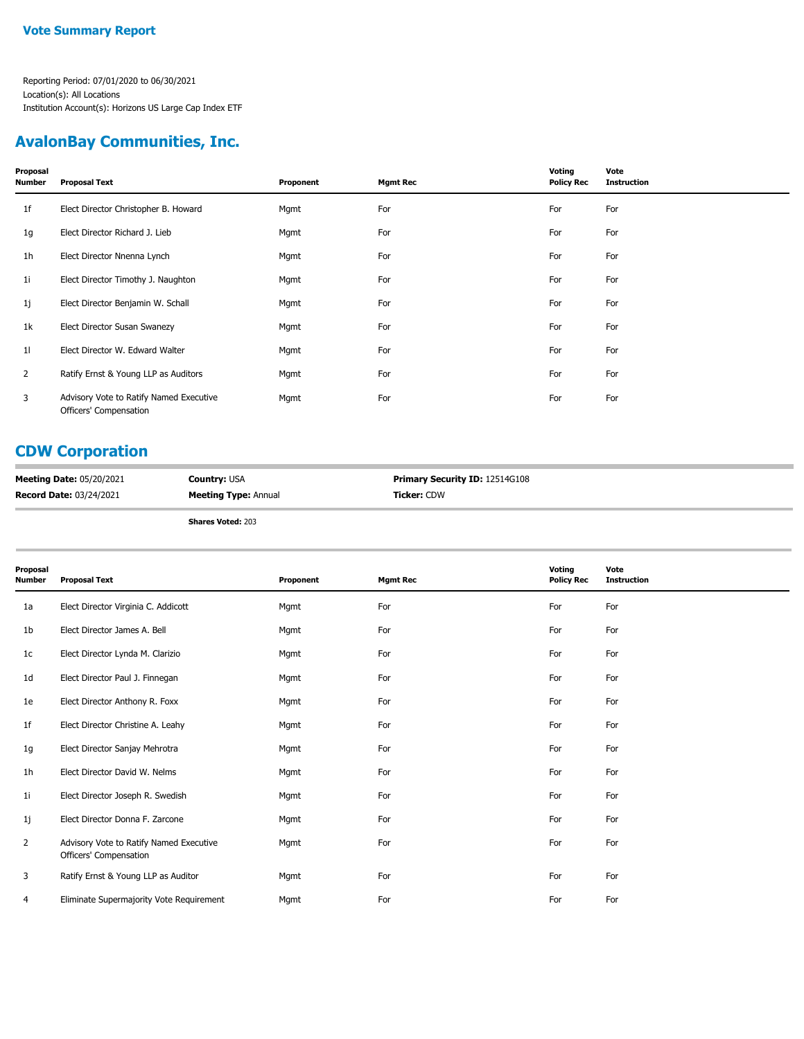### **AvalonBay Communities, Inc.**

| Proposal<br>Number | <b>Proposal Text</b>                                              | Proponent | <b>Mgmt Rec</b> | Voting<br><b>Policy Rec</b> | Vote<br><b>Instruction</b> |
|--------------------|-------------------------------------------------------------------|-----------|-----------------|-----------------------------|----------------------------|
| 1f                 | Elect Director Christopher B. Howard                              | Mgmt      | For             | For                         | For                        |
| 1g                 | Elect Director Richard J. Lieb                                    | Mgmt      | For             | For                         | For                        |
| 1h                 | Elect Director Nnenna Lynch                                       | Mgmt      | For             | For                         | For                        |
| 11                 | Elect Director Timothy J. Naughton                                | Mgmt      | For             | For                         | For                        |
| 1j                 | Elect Director Benjamin W. Schall                                 | Mgmt      | For             | For                         | For                        |
| 1k                 | Elect Director Susan Swanezy                                      | Mgmt      | For             | For                         | For                        |
| 11                 | Elect Director W. Edward Walter                                   | Mgmt      | For             | For                         | For                        |
| $\mathbf{2}$       | Ratify Ernst & Young LLP as Auditors                              | Mgmt      | For             | For                         | For                        |
| 3                  | Advisory Vote to Ratify Named Executive<br>Officers' Compensation | Mgmt      | For             | For                         | For                        |

# **CDW Corporation**

| <b>Meeting Date: 05/20/2021</b> | <b>Country: USA</b>         | <b>Primary Security ID: 12514G108</b> |
|---------------------------------|-----------------------------|---------------------------------------|
| <b>Record Date: 03/24/2021</b>  | <b>Meeting Type: Annual</b> | Ticker: CDW                           |

| Proposal<br>Number | <b>Proposal Text</b>                                              | Proponent | <b>Mgmt Rec</b> | Voting<br><b>Policy Rec</b> | Vote<br><b>Instruction</b> |
|--------------------|-------------------------------------------------------------------|-----------|-----------------|-----------------------------|----------------------------|
| 1a                 | Elect Director Virginia C. Addicott                               | Mgmt      | For             | For                         | For                        |
| 1b                 | Elect Director James A. Bell                                      | Mgmt      | For             | For                         | For                        |
| 1c                 | Elect Director Lynda M. Clarizio                                  | Mgmt      | For             | For                         | For                        |
| 1d                 | Elect Director Paul J. Finnegan                                   | Mgmt      | For             | For                         | For                        |
| 1e                 | Elect Director Anthony R. Foxx                                    | Mgmt      | For             | For                         | For                        |
| 1f                 | Elect Director Christine A. Leahy                                 | Mgmt      | For             | For                         | For                        |
| 1g                 | Elect Director Sanjay Mehrotra                                    | Mgmt      | For             | For                         | For                        |
| 1h                 | Elect Director David W. Nelms                                     | Mgmt      | For             | For                         | For                        |
| 1i                 | Elect Director Joseph R. Swedish                                  | Mgmt      | For             | For                         | For                        |
| 1j                 | Elect Director Donna F. Zarcone                                   | Mgmt      | For             | For                         | For                        |
| 2                  | Advisory Vote to Ratify Named Executive<br>Officers' Compensation | Mgmt      | For             | For                         | For                        |
| 3                  | Ratify Ernst & Young LLP as Auditor                               | Mgmt      | For             | For                         | For                        |
| 4                  | Eliminate Supermajority Vote Requirement                          | Mgmt      | For             | For                         | For                        |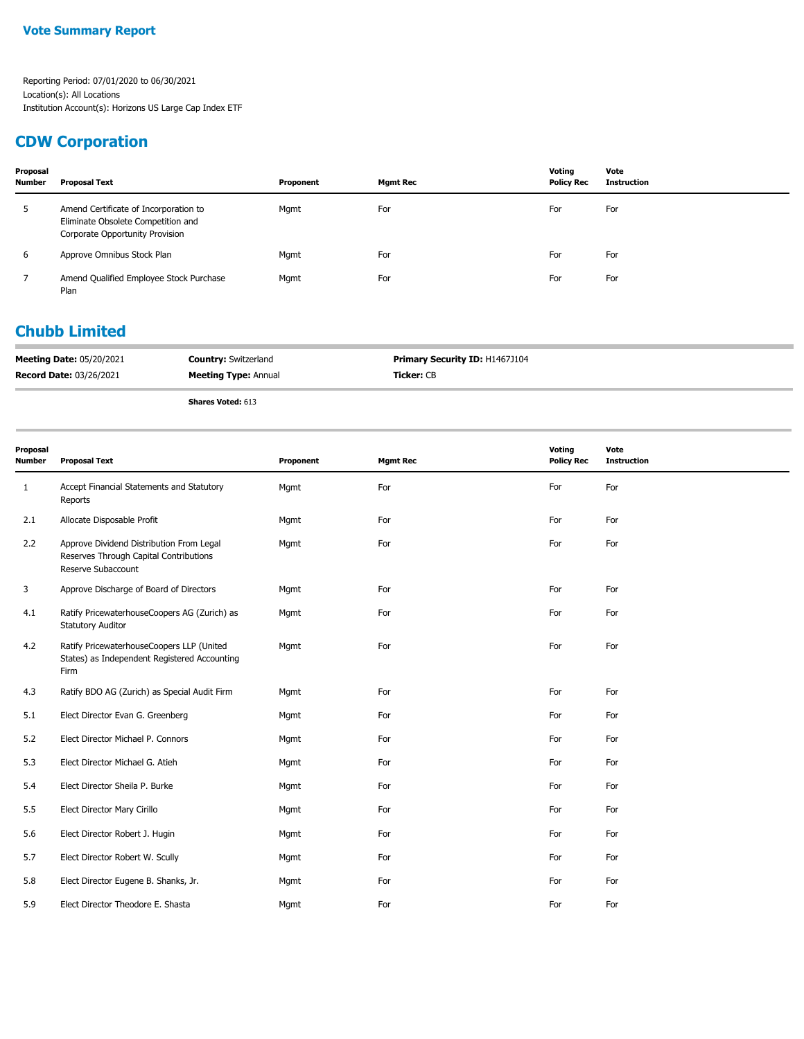## **CDW Corporation**

| Proposal<br><b>Number</b> | <b>Proposal Text</b>                                                                                           | Proponent | <b>Mgmt Rec</b> | Votina<br><b>Policy Rec</b> | Vote<br>Instruction |
|---------------------------|----------------------------------------------------------------------------------------------------------------|-----------|-----------------|-----------------------------|---------------------|
| ь                         | Amend Certificate of Incorporation to<br>Eliminate Obsolete Competition and<br>Corporate Opportunity Provision | Mgmt      | For             | For                         | For                 |
| 6                         | Approve Omnibus Stock Plan                                                                                     | Mgmt      | For             | For                         | For                 |
|                           | Amend Qualified Employee Stock Purchase<br>Plan                                                                | Mgmt      | For             | For                         | For                 |

#### **Chubb Limited**

| <b>Meeting Date: 05/20/2021</b> | <b>Country: Switzerland</b> | Primary Security ID: H1467J104 |
|---------------------------------|-----------------------------|--------------------------------|
| <b>Record Date: 03/26/2021</b>  | <b>Meeting Type: Annual</b> | <b>Ticker:</b> CB              |
|                                 | <b>Shares Voted: 613</b>    |                                |

| Proposal<br><b>Number</b> | <b>Proposal Text</b>                                                                                     | Proponent | <b>Mgmt Rec</b> | Voting<br><b>Policy Rec</b> | Vote<br><b>Instruction</b> |
|---------------------------|----------------------------------------------------------------------------------------------------------|-----------|-----------------|-----------------------------|----------------------------|
| 1                         | Accept Financial Statements and Statutory<br>Reports                                                     | Mgmt      | For             | For                         | For                        |
| 2.1                       | Allocate Disposable Profit                                                                               | Mgmt      | For             | For                         | For                        |
| 2.2                       | Approve Dividend Distribution From Legal<br>Reserves Through Capital Contributions<br>Reserve Subaccount | Mgmt      | For             | For                         | For                        |
| 3                         | Approve Discharge of Board of Directors                                                                  | Mgmt      | For             | For                         | For                        |
| 4.1                       | Ratify PricewaterhouseCoopers AG (Zurich) as<br><b>Statutory Auditor</b>                                 | Mgmt      | For             | For                         | For                        |
| 4.2                       | Ratify PricewaterhouseCoopers LLP (United<br>States) as Independent Registered Accounting<br>Firm        | Mgmt      | For             | For                         | For                        |
| 4.3                       | Ratify BDO AG (Zurich) as Special Audit Firm                                                             | Mgmt      | For             | For                         | For                        |
| 5.1                       | Elect Director Evan G. Greenberg                                                                         | Mgmt      | For             | For                         | For                        |
| 5.2                       | Elect Director Michael P. Connors                                                                        | Mgmt      | For             | For                         | For                        |
| 5.3                       | Elect Director Michael G. Atieh                                                                          | Mgmt      | For             | For                         | For                        |
| 5.4                       | Elect Director Sheila P. Burke                                                                           | Mgmt      | For             | For                         | For                        |
| 5.5                       | Elect Director Mary Cirillo                                                                              | Mgmt      | For             | For                         | For                        |
| 5.6                       | Elect Director Robert J. Hugin                                                                           | Mgmt      | For             | For                         | For                        |
| 5.7                       | Elect Director Robert W. Scully                                                                          | Mgmt      | For             | For                         | For                        |
| 5.8                       | Elect Director Eugene B. Shanks, Jr.                                                                     | Mgmt      | For             | For                         | For                        |
| 5.9                       | Elect Director Theodore E. Shasta                                                                        | Mgmt      | For             | For                         | For                        |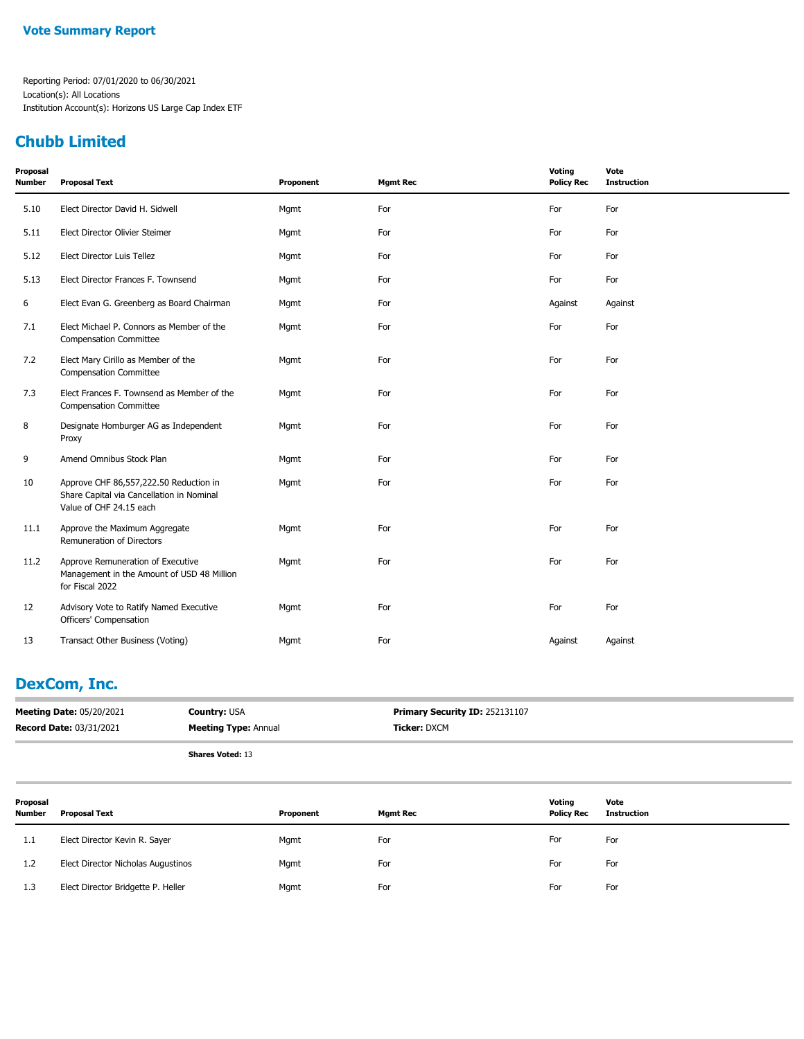### **Chubb Limited**

| Proposal<br><b>Number</b> | <b>Proposal Text</b>                                                                                           | Proponent | <b>Mgmt Rec</b> | Voting<br><b>Policy Rec</b> | Vote<br><b>Instruction</b> |
|---------------------------|----------------------------------------------------------------------------------------------------------------|-----------|-----------------|-----------------------------|----------------------------|
| 5.10                      | Elect Director David H. Sidwell                                                                                | Mgmt      | For             | For                         | For                        |
| 5.11                      | Elect Director Olivier Steimer                                                                                 | Mgmt      | For             | For                         | For                        |
| 5.12                      | Elect Director Luis Tellez                                                                                     | Mgmt      | For             | For                         | For                        |
| 5.13                      | Elect Director Frances F. Townsend                                                                             | Mgmt      | For             | For                         | For                        |
| 6                         | Elect Evan G. Greenberg as Board Chairman                                                                      | Mgmt      | For             | Against                     | Against                    |
| 7.1                       | Elect Michael P. Connors as Member of the<br><b>Compensation Committee</b>                                     | Mgmt      | For             | For                         | For                        |
| 7.2                       | Elect Mary Cirillo as Member of the<br><b>Compensation Committee</b>                                           | Mgmt      | For             | For                         | For                        |
| 7.3                       | Elect Frances F. Townsend as Member of the<br><b>Compensation Committee</b>                                    | Mgmt      | For             | For                         | For                        |
| 8                         | Designate Homburger AG as Independent<br>Proxy                                                                 | Mgmt      | For             | For                         | For                        |
| 9                         | Amend Omnibus Stock Plan                                                                                       | Mgmt      | For             | For                         | For                        |
| 10                        | Approve CHF 86,557,222.50 Reduction in<br>Share Capital via Cancellation in Nominal<br>Value of CHF 24.15 each | Mgmt      | For             | For                         | For                        |
| 11.1                      | Approve the Maximum Aggregate<br>Remuneration of Directors                                                     | Mgmt      | For             | For                         | For                        |
| 11.2                      | Approve Remuneration of Executive<br>Management in the Amount of USD 48 Million<br>for Fiscal 2022             | Mgmt      | For             | For                         | For                        |
| 12                        | Advisory Vote to Ratify Named Executive<br>Officers' Compensation                                              | Mgmt      | For             | For                         | For                        |
| 13                        | Transact Other Business (Voting)                                                                               | Mgmt      | For             | Against                     | Against                    |

### **DexCom, Inc.**

| <b>Meeting Date: 05/20/2021</b><br><b>Record Date: 03/31/2021</b> |                               | <b>Country: USA</b><br><b>Meeting Type: Annual</b> |           | Primary Security ID: 252131107<br>Ticker: DXCM |                 |                             |                            |  |
|-------------------------------------------------------------------|-------------------------------|----------------------------------------------------|-----------|------------------------------------------------|-----------------|-----------------------------|----------------------------|--|
|                                                                   |                               | <b>Shares Voted: 13</b>                            |           |                                                |                 |                             |                            |  |
| Proposal<br><b>Number</b>                                         | <b>Proposal Text</b>          |                                                    | Proponent |                                                | <b>Mgmt Rec</b> | Voting<br><b>Policy Rec</b> | Vote<br><b>Instruction</b> |  |
| 1.1                                                               | Elect Director Kevin R. Sayer |                                                    | Mgmt      | For                                            |                 | For                         | For                        |  |

| ---       | $1.0000$ $1.00000$ $1.00000$ $1.00000$ | .    | .   | .   | .   |
|-----------|----------------------------------------|------|-----|-----|-----|
| 1. 2<br>ᆠ | Elect Director Nicholas Augustinos     | Mgmt | For | For | For |
| 1.3       | Elect Director Bridgette P. Heller     | Mgmt | For | For | For |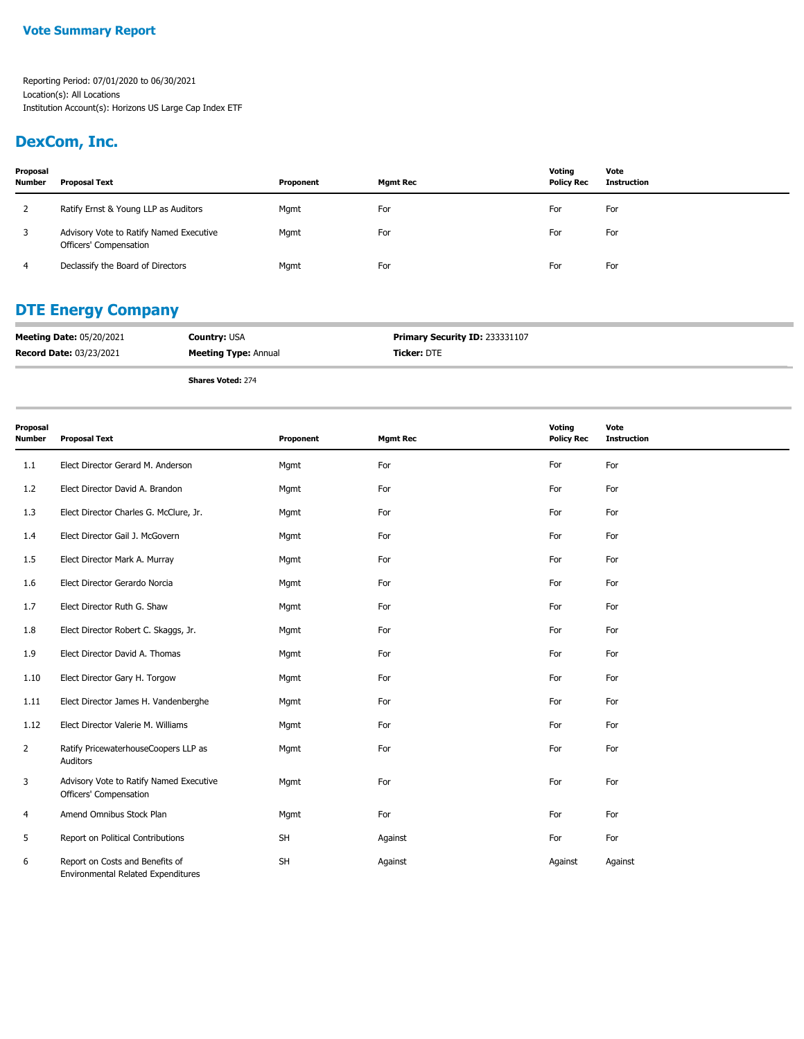## **DexCom, Inc.**

| Proposal<br><b>Number</b> | <b>Proposal Text</b>                                              | Proponent | Mgmt Rec | Voting<br><b>Policy Rec</b> | Vote<br>Instruction |
|---------------------------|-------------------------------------------------------------------|-----------|----------|-----------------------------|---------------------|
|                           | Ratify Ernst & Young LLP as Auditors                              | Mgmt      | For      | For                         | For                 |
|                           | Advisory Vote to Ratify Named Executive<br>Officers' Compensation | Mgmt      | For      | For                         | For                 |
| 4                         | Declassify the Board of Directors                                 | Mgmt      | For      | For                         | For                 |

### **DTE Energy Company**

| <b>Meeting Date: 05/20/2021</b> | <b>Country: USA</b>         | Primary Security ID: 233331107 |
|---------------------------------|-----------------------------|--------------------------------|
| <b>Record Date: 03/23/2021</b>  | <b>Meeting Type: Annual</b> | <b>Ticker:</b> DTE             |
|                                 | <b>Shares Voted: 274</b>    |                                |

| Proposal<br><b>Number</b> | <b>Proposal Text</b>                                                         | Proponent | <b>Mgmt Rec</b> | Voting<br><b>Policy Rec</b> | Vote<br><b>Instruction</b> |
|---------------------------|------------------------------------------------------------------------------|-----------|-----------------|-----------------------------|----------------------------|
| 1.1                       | Elect Director Gerard M. Anderson                                            | Mgmt      | For             | For                         | For                        |
| 1.2                       | Elect Director David A. Brandon                                              | Mgmt      | For             | For                         | For                        |
| 1.3                       | Elect Director Charles G. McClure, Jr.                                       | Mgmt      | For             | For                         | For                        |
| 1.4                       | Elect Director Gail J. McGovern                                              | Mgmt      | For             | For                         | For                        |
| 1.5                       | Elect Director Mark A. Murray                                                | Mgmt      | For             | For                         | For                        |
| 1.6                       | Elect Director Gerardo Norcia                                                | Mgmt      | For             | For                         | For                        |
| 1.7                       | Elect Director Ruth G. Shaw                                                  | Mgmt      | For             | For                         | For                        |
| 1.8                       | Elect Director Robert C. Skaggs, Jr.                                         | Mgmt      | For             | For                         | For                        |
| 1.9                       | Elect Director David A. Thomas                                               | Mgmt      | For             | For                         | For                        |
| 1.10                      | Elect Director Gary H. Torgow                                                | Mgmt      | For             | For                         | For                        |
| 1.11                      | Elect Director James H. Vandenberghe                                         | Mgmt      | For             | For                         | For                        |
| 1.12                      | Elect Director Valerie M. Williams                                           | Mgmt      | For             | For                         | For                        |
| $\overline{2}$            | Ratify PricewaterhouseCoopers LLP as<br>Auditors                             | Mgmt      | For             | For                         | For                        |
| 3                         | Advisory Vote to Ratify Named Executive<br>Officers' Compensation            | Mgmt      | For             | For                         | For                        |
| 4                         | Amend Omnibus Stock Plan                                                     | Mgmt      | For             | For                         | For                        |
| 5                         | Report on Political Contributions                                            | SH        | Against         | For                         | For                        |
| 6                         | Report on Costs and Benefits of<br><b>Environmental Related Expenditures</b> | SH        | Against         | Against                     | Against                    |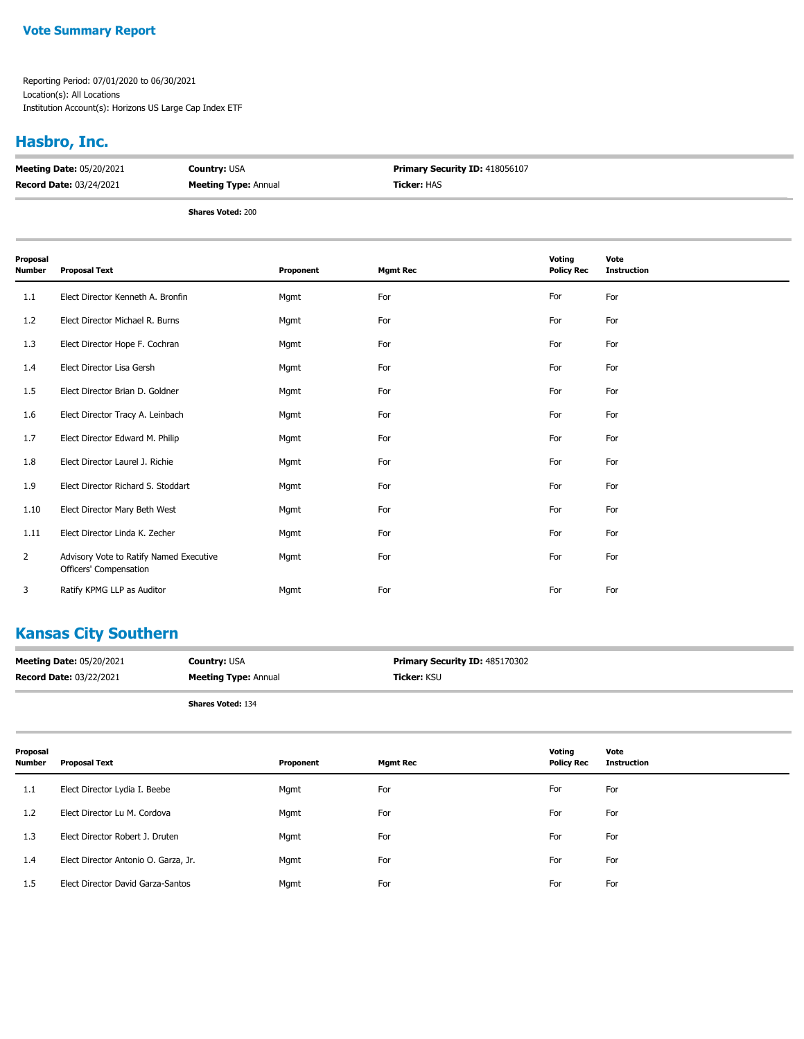#### **Vote Summary Report**

Reporting Period: 07/01/2020 to 06/30/2021 Location(s): All Locations Institution Account(s): Horizons US Large Cap Index ETF

## **Hasbro, Inc.**

| <b>Meeting Date: 05/20/2021</b> | <b>Country: USA</b>         | <b>Primary Security ID: 418056107</b> |
|---------------------------------|-----------------------------|---------------------------------------|
| <b>Record Date: 03/24/2021</b>  | <b>Meeting Type: Annual</b> | <b>Ticker:</b> HAS                    |
|                                 |                             |                                       |

**Shares Voted:** 200

| Proposal<br>Number | <b>Proposal Text</b>                                              | Proponent | <b>Mgmt Rec</b> | Voting<br><b>Policy Rec</b> | Vote<br><b>Instruction</b> |
|--------------------|-------------------------------------------------------------------|-----------|-----------------|-----------------------------|----------------------------|
| 1.1                | Elect Director Kenneth A. Bronfin                                 | Mgmt      | For             | For                         | For                        |
| 1.2                | Elect Director Michael R. Burns                                   | Mgmt      | For             | For                         | For                        |
| 1.3                | Elect Director Hope F. Cochran                                    | Mgmt      | For             | For                         | For                        |
| 1.4                | Elect Director Lisa Gersh                                         | Mgmt      | For             | For                         | For                        |
| 1.5                | Elect Director Brian D. Goldner                                   | Mgmt      | For             | For                         | For                        |
| 1.6                | Elect Director Tracy A. Leinbach                                  | Mgmt      | For             | For                         | For                        |
| 1.7                | Elect Director Edward M. Philip                                   | Mgmt      | For             | For                         | For                        |
| 1.8                | Elect Director Laurel J. Richie                                   | Mgmt      | For             | For                         | For                        |
| 1.9                | Elect Director Richard S. Stoddart                                | Mgmt      | For             | For                         | For                        |
| 1.10               | Elect Director Mary Beth West                                     | Mgmt      | For             | For                         | For                        |
| 1.11               | Elect Director Linda K. Zecher                                    | Mgmt      | For             | For                         | For                        |
| 2                  | Advisory Vote to Ratify Named Executive<br>Officers' Compensation | Mgmt      | For             | For                         | For                        |
| 3                  | Ratify KPMG LLP as Auditor                                        | Mgmt      | For             | For                         | For                        |

## **Kansas City Southern**

| <b>Meeting Date: 05/20/2021</b> | <b>Country: USA</b>         | <b>Primary Security ID: 485170302</b> |
|---------------------------------|-----------------------------|---------------------------------------|
| <b>Record Date: 03/22/2021</b>  | <b>Meeting Type: Annual</b> | <b>Ticker:</b> KSU                    |
|                                 |                             |                                       |

| Proposal<br><b>Number</b> | <b>Proposal Text</b>                 | Proponent | <b>Mgmt Rec</b> | Voting<br><b>Policy Rec</b> | Vote<br>Instruction |
|---------------------------|--------------------------------------|-----------|-----------------|-----------------------------|---------------------|
| 1.1                       | Elect Director Lydia I. Beebe        | Mgmt      | For             | For                         | For                 |
| 1.2                       | Elect Director Lu M. Cordova         | Mgmt      | For             | For                         | For                 |
| 1.3                       | Elect Director Robert J. Druten      | Mgmt      | For             | For                         | For                 |
| 1.4                       | Elect Director Antonio O. Garza, Jr. | Mgmt      | For             | For                         | For                 |
| 1.5                       | Elect Director David Garza-Santos    | Mgmt      | For             | For                         | For                 |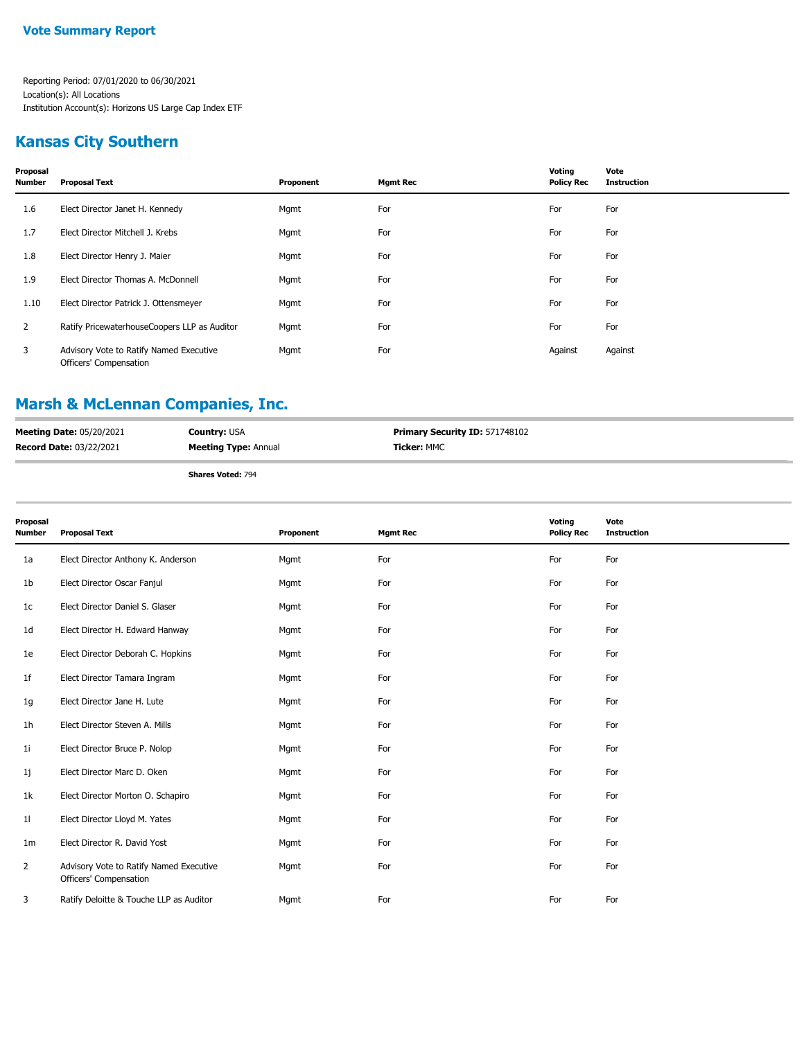### **Kansas City Southern**

| Proposal<br><b>Number</b> | <b>Proposal Text</b>                                              | Proponent | <b>Mgmt Rec</b> | Voting<br><b>Policy Rec</b> | Vote<br><b>Instruction</b> |
|---------------------------|-------------------------------------------------------------------|-----------|-----------------|-----------------------------|----------------------------|
| 1.6                       | Elect Director Janet H. Kennedy                                   | Mgmt      | For             | For                         | For                        |
| 1.7                       | Elect Director Mitchell J. Krebs                                  | Mgmt      | For             | For                         | For                        |
| 1.8                       | Elect Director Henry J. Maier                                     | Mgmt      | For             | For                         | For                        |
| 1.9                       | Elect Director Thomas A. McDonnell                                | Mgmt      | For             | For                         | For                        |
| 1.10                      | Elect Director Patrick J. Ottensmeyer                             | Mgmt      | For             | For                         | For                        |
| 2                         | Ratify PricewaterhouseCoopers LLP as Auditor                      | Mgmt      | For             | For                         | For                        |
| 3                         | Advisory Vote to Ratify Named Executive<br>Officers' Compensation | Mgmt      | For             | Against                     | Against                    |

## **Marsh & McLennan Companies, Inc.**

| <b>Meeting Date: 05/20/2021</b> | <b>Country: USA</b>         | <b>Primary Security ID: 571748102</b> |
|---------------------------------|-----------------------------|---------------------------------------|
| <b>Record Date: 03/22/2021</b>  | <b>Meeting Type: Annual</b> | <b>Ticker:</b> MMC                    |
|                                 |                             |                                       |

| <b>Shares Voted: 794</b> |  |
|--------------------------|--|
|                          |  |

| Proposal<br><b>Number</b> | <b>Proposal Text</b>                                              | Proponent | <b>Mgmt Rec</b> | Voting<br><b>Policy Rec</b> | Vote<br><b>Instruction</b> |
|---------------------------|-------------------------------------------------------------------|-----------|-----------------|-----------------------------|----------------------------|
| 1a                        | Elect Director Anthony K. Anderson                                | Mgmt      | For             | For                         | For                        |
| 1b                        | Elect Director Oscar Fanjul                                       | Mgmt      | For             | For                         | For                        |
| 1 <sub>c</sub>            | Elect Director Daniel S. Glaser                                   | Mgmt      | For             | For                         | For                        |
| 1 <sub>d</sub>            | Elect Director H. Edward Hanway                                   | Mgmt      | For             | For                         | For                        |
| 1e                        | Elect Director Deborah C. Hopkins                                 | Mgmt      | For             | For                         | For                        |
| 1f                        | Elect Director Tamara Ingram                                      | Mgmt      | For             | For                         | For                        |
| 1g                        | Elect Director Jane H. Lute                                       | Mgmt      | For             | For                         | For                        |
| 1 <sub>h</sub>            | Elect Director Steven A. Mills                                    | Mgmt      | For             | For                         | For                        |
| 1i                        | Elect Director Bruce P. Nolop                                     | Mgmt      | For             | For                         | For                        |
| 1j                        | Elect Director Marc D. Oken                                       | Mgmt      | For             | For                         | For                        |
| 1k                        | Elect Director Morton O. Schapiro                                 | Mgmt      | For             | For                         | For                        |
| 11                        | Elect Director Lloyd M. Yates                                     | Mgmt      | For             | For                         | For                        |
| 1 <sub>m</sub>            | Elect Director R. David Yost                                      | Mgmt      | For             | For                         | For                        |
| $\overline{2}$            | Advisory Vote to Ratify Named Executive<br>Officers' Compensation | Mgmt      | For             | For                         | For                        |
| 3                         | Ratify Deloitte & Touche LLP as Auditor                           | Mgmt      | For             | For                         | For                        |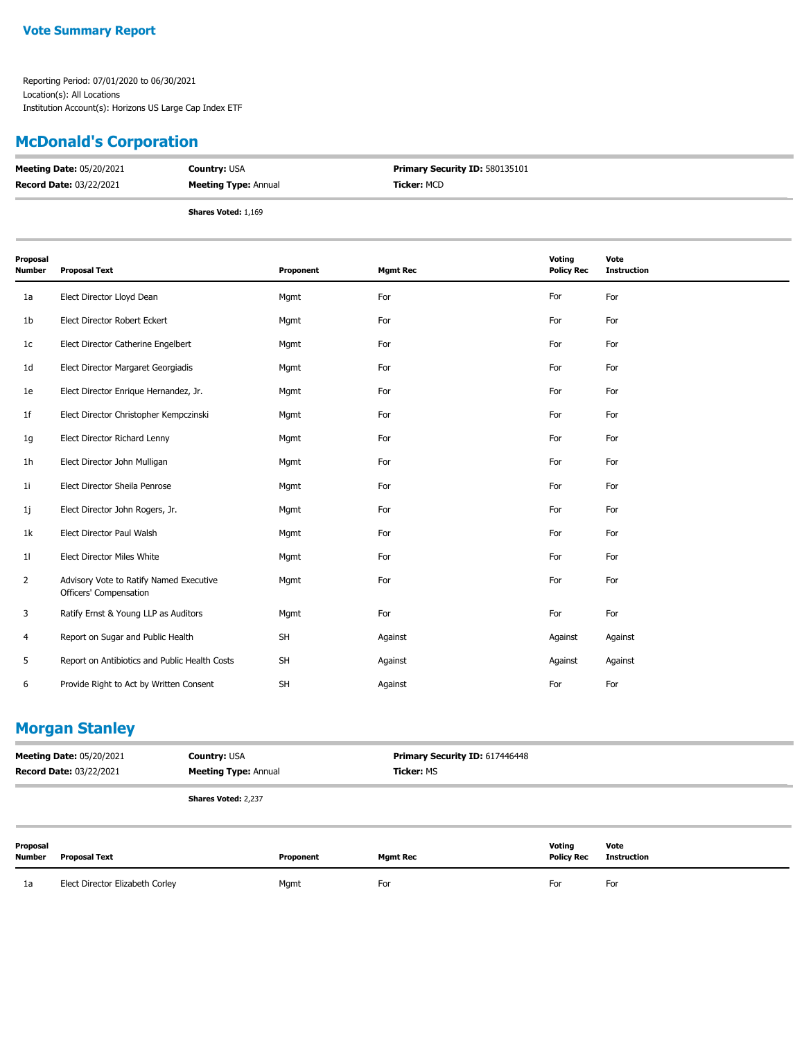### **McDonald's Corporation**

| <b>Meeting Date: 05/20/2021</b> | <b>Country: USA</b>         | <b>Primary Security ID: 580135101</b> |
|---------------------------------|-----------------------------|---------------------------------------|
| <b>Record Date: 03/22/2021</b>  | <b>Meeting Type: Annual</b> | <b>Ticker: MCD</b>                    |
|                                 | <b>Shares Voted: 1,169</b>  |                                       |

| Proposal<br>Number | <b>Proposal Text</b>                                              | Proponent | <b>Mgmt Rec</b> | Voting<br><b>Policy Rec</b> | Vote<br><b>Instruction</b> |
|--------------------|-------------------------------------------------------------------|-----------|-----------------|-----------------------------|----------------------------|
| 1a                 | Elect Director Lloyd Dean                                         | Mgmt      | For             | For                         | For                        |
| 1b                 | Elect Director Robert Eckert                                      | Mgmt      | For             | For                         | For                        |
| 1c                 | Elect Director Catherine Engelbert                                | Mgmt      | For             | For                         | For                        |
| 1d                 | Elect Director Margaret Georgiadis                                | Mgmt      | For             | For                         | For                        |
| 1e                 | Elect Director Enrique Hernandez, Jr.                             | Mgmt      | For             | For                         | For                        |
| 1f                 | Elect Director Christopher Kempczinski                            | Mgmt      | For             | For                         | For                        |
| 1g                 | Elect Director Richard Lenny                                      | Mgmt      | For             | For                         | For                        |
| 1h                 | Elect Director John Mulligan                                      | Mgmt      | For             | For                         | For                        |
| 11                 | Elect Director Sheila Penrose                                     | Mgmt      | For             | For                         | For                        |
| 1j                 | Elect Director John Rogers, Jr.                                   | Mgmt      | For             | For                         | For                        |
| 1k                 | Elect Director Paul Walsh                                         | Mgmt      | For             | For                         | For                        |
| 11                 | <b>Elect Director Miles White</b>                                 | Mgmt      | For             | For                         | For                        |
| 2                  | Advisory Vote to Ratify Named Executive<br>Officers' Compensation | Mgmt      | For             | For                         | For                        |
| 3                  | Ratify Ernst & Young LLP as Auditors                              | Mgmt      | For             | For                         | For                        |
| 4                  | Report on Sugar and Public Health                                 | <b>SH</b> | Against         | Against                     | Against                    |
| 5                  | Report on Antibiotics and Public Health Costs                     | <b>SH</b> | Against         | Against                     | Against                    |
| 6                  | Provide Right to Act by Written Consent                           | <b>SH</b> | Against         | For                         | For                        |

### **Morgan Stanley**

| <b>Meeting Date: 05/20/2021</b><br><b>Record Date: 03/22/2021</b> |                      | <b>Country: USA</b><br><b>Meeting Type: Annual</b> |           | Primary Security ID: 617446448<br><b>Ticker: MS</b> |                             |                     |
|-------------------------------------------------------------------|----------------------|----------------------------------------------------|-----------|-----------------------------------------------------|-----------------------------|---------------------|
|                                                                   |                      | Shares Voted: 2,237                                |           |                                                     |                             |                     |
| Proposal<br>Number                                                | <b>Proposal Text</b> |                                                    | Proponent | <b>Mgmt Rec</b>                                     | Voting<br><b>Policy Rec</b> | Vote<br>Instruction |

1a Elect Director Elizabeth Corley **For Mgmt** For For For For For For For For For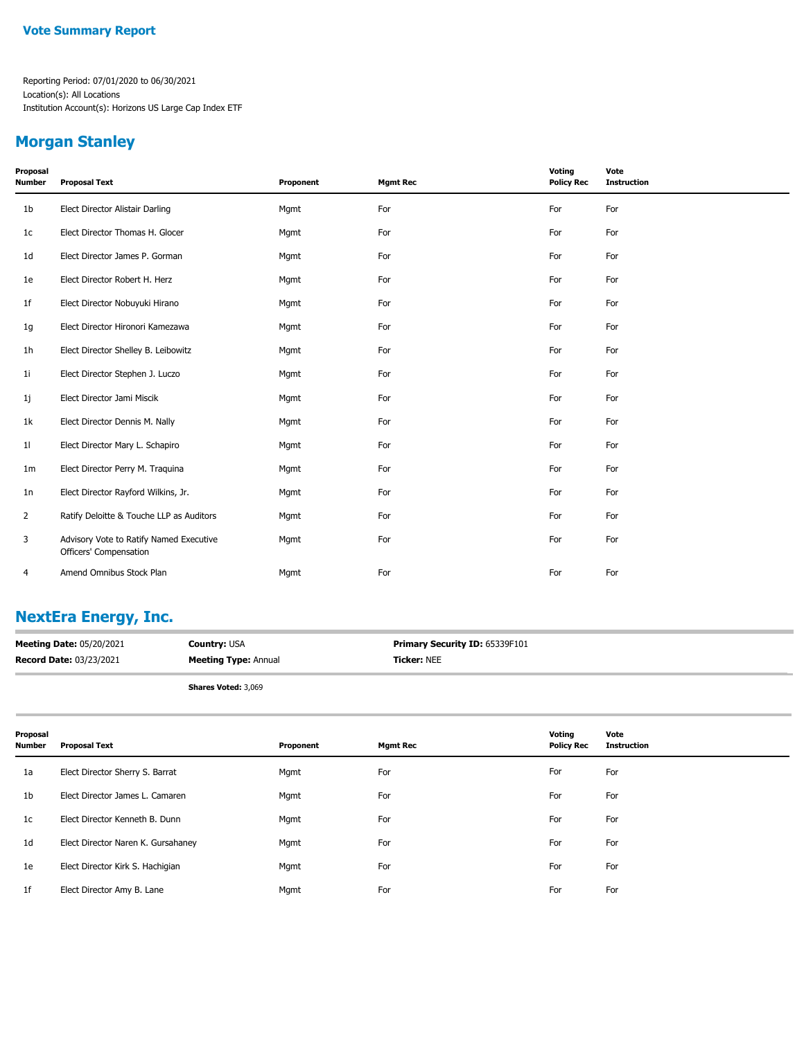### **Morgan Stanley**

| Proposal<br><b>Number</b> | <b>Proposal Text</b>                                              | Proponent | <b>Mgmt Rec</b> | Voting<br><b>Policy Rec</b> | Vote<br><b>Instruction</b> |
|---------------------------|-------------------------------------------------------------------|-----------|-----------------|-----------------------------|----------------------------|
| 1 <sub>b</sub>            | Elect Director Alistair Darling                                   | Mgmt      | For             | For                         | For                        |
| 1 <sub>c</sub>            | Elect Director Thomas H. Glocer                                   | Mgmt      | For             | For                         | For                        |
| 1d                        | Elect Director James P. Gorman                                    | Mgmt      | For             | For                         | For                        |
| 1e                        | Elect Director Robert H. Herz                                     | Mgmt      | For             | For                         | For                        |
| 1 <sup>f</sup>            | Elect Director Nobuyuki Hirano                                    | Mgmt      | For             | For                         | For                        |
| 1g                        | Elect Director Hironori Kamezawa                                  | Mgmt      | For             | For                         | For                        |
| 1 <sub>h</sub>            | Elect Director Shelley B. Leibowitz                               | Mgmt      | For             | For                         | For                        |
| 1i                        | Elect Director Stephen J. Luczo                                   | Mgmt      | For             | For                         | For                        |
| 1j                        | Elect Director Jami Miscik                                        | Mgmt      | For             | For                         | For                        |
| 1k                        | Elect Director Dennis M. Nally                                    | Mgmt      | For             | For                         | For                        |
| 11                        | Elect Director Mary L. Schapiro                                   | Mgmt      | For             | For                         | For                        |
| 1 <sub>m</sub>            | Elect Director Perry M. Traquina                                  | Mgmt      | For             | For                         | For                        |
| 1n                        | Elect Director Rayford Wilkins, Jr.                               | Mgmt      | For             | For                         | For                        |
| 2                         | Ratify Deloitte & Touche LLP as Auditors                          | Mgmt      | For             | For                         | For                        |
| 3                         | Advisory Vote to Ratify Named Executive<br>Officers' Compensation | Mgmt      | For             | For                         | For                        |
| 4                         | Amend Omnibus Stock Plan                                          | Mgmt      | For             | For                         | For                        |

## **NextEra Energy, Inc.**

| <b>Meeting Date: 05/20/2021</b> | <b>Country: USA</b>         | <b>Primary Security ID: 65339F101</b> |
|---------------------------------|-----------------------------|---------------------------------------|
| <b>Record Date: 03/23/2021</b>  | <b>Meeting Type: Annual</b> | <b>Ticker:</b> NEE                    |
|                                 |                             |                                       |

**Shares Voted:** 3,069

| Proposal<br><b>Number</b> | <b>Proposal Text</b>               | Proponent | <b>Mgmt Rec</b> | Voting<br><b>Policy Rec</b> | Vote<br><b>Instruction</b> |
|---------------------------|------------------------------------|-----------|-----------------|-----------------------------|----------------------------|
| 1a                        | Elect Director Sherry S. Barrat    | Mgmt      | For             | For                         | For                        |
| 1 <sub>b</sub>            | Elect Director James L. Camaren    | Mgmt      | For             | For                         | For                        |
| 1c                        | Elect Director Kenneth B. Dunn     | Mgmt      | For             | For                         | For                        |
| 1d                        | Elect Director Naren K. Gursahaney | Mgmt      | For             | For                         | For                        |
| 1e                        | Elect Director Kirk S. Hachigian   | Mgmt      | For             | For                         | For                        |
| 1 <sup>f</sup>            | Elect Director Amy B. Lane         | Mgmt      | For             | For                         | For                        |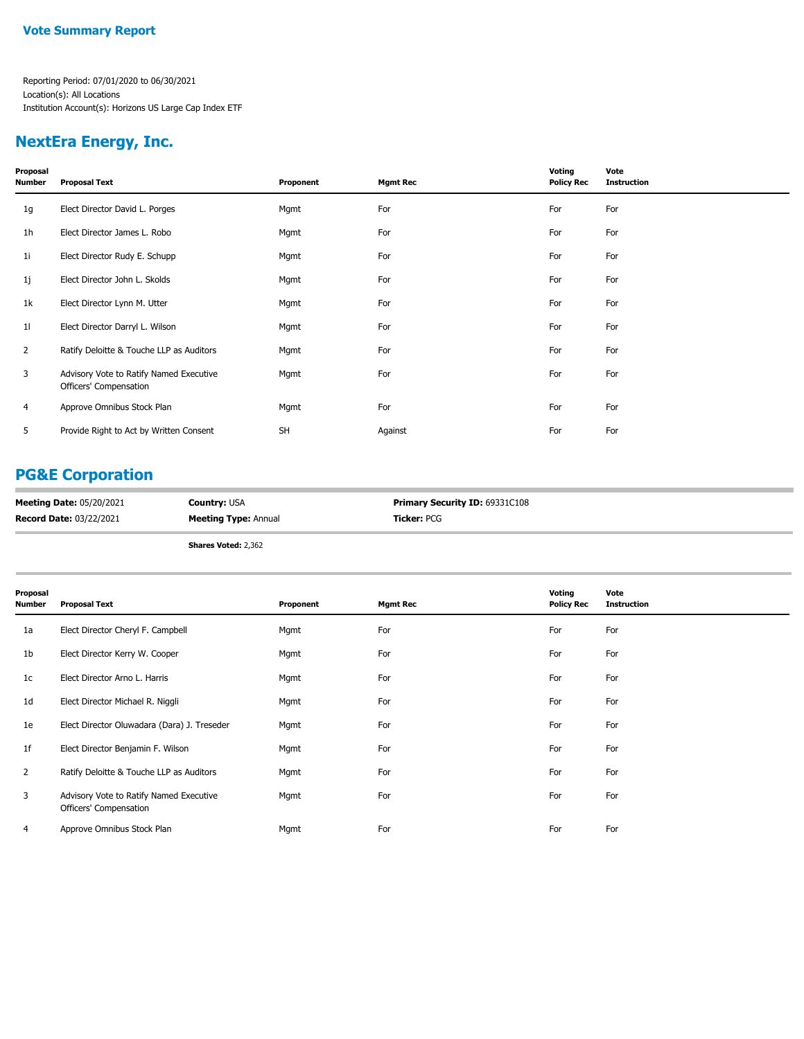### **NextEra Energy, Inc.**

| Proposal<br>Number | <b>Proposal Text</b>                                              | Proponent | <b>Mgmt Rec</b> | Voting<br><b>Policy Rec</b> | Vote<br><b>Instruction</b> |
|--------------------|-------------------------------------------------------------------|-----------|-----------------|-----------------------------|----------------------------|
| 1g                 | Elect Director David L. Porges                                    | Mgmt      | For             | For                         | For                        |
| 1h                 | Elect Director James L. Robo                                      | Mgmt      | For             | For                         | For                        |
| 1i                 | Elect Director Rudy E. Schupp                                     | Mgmt      | For             | For                         | For                        |
| 1j                 | Elect Director John L. Skolds                                     | Mgmt      | For             | For                         | For                        |
| 1k                 | Elect Director Lynn M. Utter                                      | Mgmt      | For             | For                         | For                        |
| 11                 | Elect Director Darryl L. Wilson                                   | Mgmt      | For             | For                         | For                        |
| $\overline{2}$     | Ratify Deloitte & Touche LLP as Auditors                          | Mgmt      | For             | For                         | For                        |
| 3                  | Advisory Vote to Ratify Named Executive<br>Officers' Compensation | Mgmt      | For             | For                         | For                        |
| 4                  | Approve Omnibus Stock Plan                                        | Mgmt      | For             | For                         | For                        |
| 5                  | Provide Right to Act by Written Consent                           | <b>SH</b> | Against         | For                         | For                        |
|                    |                                                                   |           |                 |                             |                            |

## **PG&E Corporation**

| <b>Meeting Date: 05/20/2021</b> | <b>Country: USA</b>         | <b>Primary Security ID: 69331C108</b> |
|---------------------------------|-----------------------------|---------------------------------------|
| <b>Record Date: 03/22/2021</b>  | <b>Meeting Type: Annual</b> | <b>Ticker: PCG</b>                    |

**Shares Voted:** 2,362

| Proposal<br>Number | <b>Proposal Text</b>                                              | Proponent | <b>Mgmt Rec</b> | Voting<br><b>Policy Rec</b> | Vote<br><b>Instruction</b> |
|--------------------|-------------------------------------------------------------------|-----------|-----------------|-----------------------------|----------------------------|
| 1a                 | Elect Director Cheryl F. Campbell                                 | Mgmt      | For             | For                         | For                        |
| 1b                 | Elect Director Kerry W. Cooper                                    | Mgmt      | For             | For                         | For                        |
| 1c                 | Elect Director Arno L. Harris                                     | Mgmt      | For             | For                         | For                        |
| 1d                 | Elect Director Michael R. Niggli                                  | Mgmt      | For             | For                         | For                        |
| 1e                 | Elect Director Oluwadara (Dara) J. Treseder                       | Mgmt      | For             | For                         | For                        |
| 1f                 | Elect Director Benjamin F. Wilson                                 | Mgmt      | For             | For                         | For                        |
| $\overline{2}$     | Ratify Deloitte & Touche LLP as Auditors                          | Mgmt      | For             | For                         | For                        |
| 3                  | Advisory Vote to Ratify Named Executive<br>Officers' Compensation | Mgmt      | For             | For                         | For                        |
| 4                  | Approve Omnibus Stock Plan                                        | Mgmt      | For             | For                         | For                        |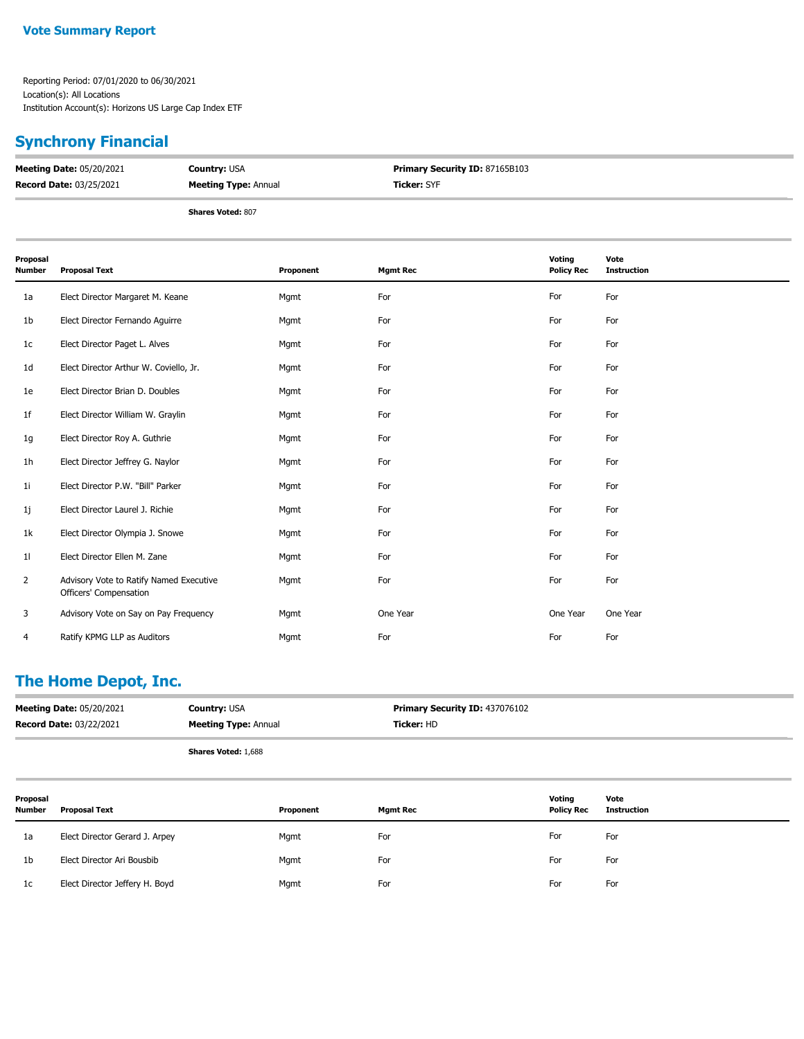# **Synchrony Financial**

| <b>Meeting Date: 05/20/2021</b> | <b>Country: USA</b>         | <b>Primary Security ID: 87165B103</b> |
|---------------------------------|-----------------------------|---------------------------------------|
| <b>Record Date: 03/25/2021</b>  | <b>Meeting Type: Annual</b> | <b>Ticker: SYF</b>                    |
|                                 | <b>Shares Voted: 807</b>    |                                       |

| Proposal<br>Number | <b>Proposal Text</b>                                              | Proponent | <b>Mgmt Rec</b> | Voting<br><b>Policy Rec</b> | Vote<br><b>Instruction</b> |
|--------------------|-------------------------------------------------------------------|-----------|-----------------|-----------------------------|----------------------------|
| 1a                 | Elect Director Margaret M. Keane                                  | Mgmt      | For             | For                         | For                        |
| 1b                 | Elect Director Fernando Aguirre                                   | Mgmt      | For             | For                         | For                        |
| 1c                 | Elect Director Paget L. Alves                                     | Mgmt      | For             | For                         | For                        |
| 1d                 | Elect Director Arthur W. Coviello, Jr.                            | Mgmt      | For             | For                         | For                        |
| 1e                 | Elect Director Brian D. Doubles                                   | Mgmt      | For             | For                         | For                        |
| 1f                 | Elect Director William W. Graylin                                 | Mgmt      | For             | For                         | For                        |
| 1g                 | Elect Director Roy A. Guthrie                                     | Mgmt      | For             | For                         | For                        |
| 1h                 | Elect Director Jeffrey G. Naylor                                  | Mgmt      | For             | For                         | For                        |
| 11                 | Elect Director P.W. "Bill" Parker                                 | Mgmt      | For             | For                         | For                        |
| 1j                 | Elect Director Laurel J. Richie                                   | Mgmt      | For             | For                         | For                        |
| 1k                 | Elect Director Olympia J. Snowe                                   | Mgmt      | For             | For                         | For                        |
| 11                 | Elect Director Ellen M. Zane                                      | Mgmt      | For             | For                         | For                        |
| $\overline{2}$     | Advisory Vote to Ratify Named Executive<br>Officers' Compensation | Mgmt      | For             | For                         | For                        |
| 3                  | Advisory Vote on Say on Pay Frequency                             | Mgmt      | One Year        | One Year                    | One Year                   |
| 4                  | Ratify KPMG LLP as Auditors                                       | Mgmt      | For             | For                         | For                        |

## **The Home Depot, Inc.**

| <b>Meeting Date: 05/20/2021</b> | <b>Country: USA</b>         | <b>Primary Security ID: 437076102</b> |
|---------------------------------|-----------------------------|---------------------------------------|
| <b>Record Date: 03/22/2021</b>  | <b>Meeting Type: Annual</b> | <b>Ticker: HD</b>                     |
|                                 | <b>Shares Voted: 1,688</b>  |                                       |

| Proposal<br><b>Number</b> | <b>Proposal Text</b>           | Proponent | <b>Mgmt Rec</b> | Voting<br><b>Policy Rec</b> | Vote<br><b>Instruction</b> |
|---------------------------|--------------------------------|-----------|-----------------|-----------------------------|----------------------------|
| 1a                        | Elect Director Gerard J. Arpey | Mgmt      | For             | For                         | For                        |
| 1b                        | Elect Director Ari Bousbib     | Mgmt      | For             | For                         | For                        |
| 1c                        | Elect Director Jeffery H. Boyd | Mgmt      | For             | For                         | For                        |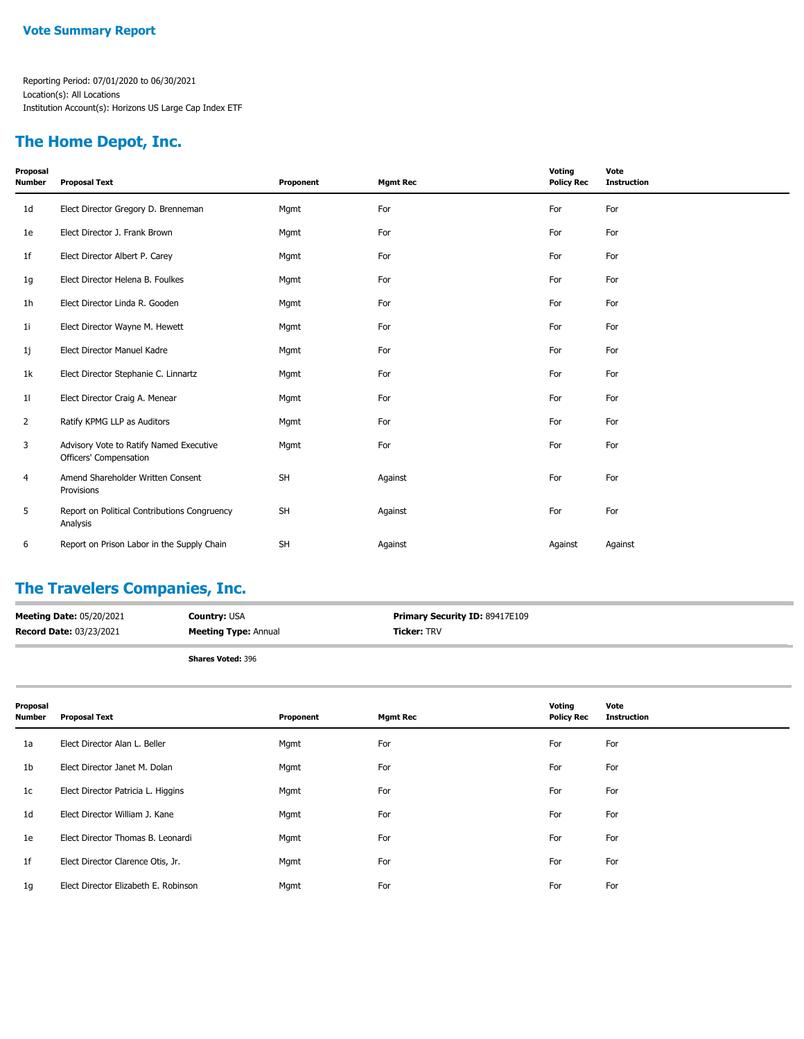### **The Home Depot, Inc.**

| Proposal<br><b>Number</b> | <b>Proposal Text</b>                                              | Proponent | <b>Mgmt Rec</b> | Voting<br><b>Policy Rec</b> | Vote<br><b>Instruction</b> |
|---------------------------|-------------------------------------------------------------------|-----------|-----------------|-----------------------------|----------------------------|
| 1 <sub>d</sub>            | Elect Director Gregory D. Brenneman                               | Mgmt      | For             | For                         | For                        |
| 1e                        | Elect Director J. Frank Brown                                     | Mgmt      | For             | For                         | For                        |
| 1f                        | Elect Director Albert P. Carey                                    | Mgmt      | For             | For                         | For                        |
| 1g                        | Elect Director Helena B. Foulkes                                  | Mgmt      | For             | For                         | For                        |
| 1h                        | Elect Director Linda R. Gooden                                    | Mgmt      | For             | For                         | For                        |
| 11                        | Elect Director Wayne M. Hewett                                    | Mgmt      | For             | For                         | For                        |
| 1j                        | Elect Director Manuel Kadre                                       | Mgmt      | For             | For                         | For                        |
| 1k                        | Elect Director Stephanie C. Linnartz                              | Mgmt      | For             | For                         | For                        |
| 11                        | Elect Director Craig A. Menear                                    | Mgmt      | For             | For                         | For                        |
| 2                         | Ratify KPMG LLP as Auditors                                       | Mgmt      | For             | For                         | For                        |
| 3                         | Advisory Vote to Ratify Named Executive<br>Officers' Compensation | Mgmt      | For             | For                         | For                        |
| 4                         | Amend Shareholder Written Consent<br>Provisions                   | <b>SH</b> | Against         | For                         | For                        |
| 5                         | Report on Political Contributions Congruency<br>Analysis          | <b>SH</b> | Against         | For                         | For                        |
| 6                         | Report on Prison Labor in the Supply Chain                        | SH        | Against         | Against                     | Against                    |

## **The Travelers Companies, Inc.**

| <b>Meeting Date: 05/20/2021</b> | <b>Country: USA</b>         | <b>Primary Security ID: 89417E109</b> |
|---------------------------------|-----------------------------|---------------------------------------|
| <b>Record Date: 03/23/2021</b>  | <b>Meeting Type: Annual</b> | <b>Ticker: TRV</b>                    |
|                                 |                             |                                       |

| Proposal<br>Number | <b>Proposal Text</b>                 | Proponent | Mgmt Rec | Voting<br><b>Policy Rec</b> | Vote<br><b>Instruction</b> |
|--------------------|--------------------------------------|-----------|----------|-----------------------------|----------------------------|
| 1a                 | Elect Director Alan L. Beller        | Mgmt      | For      | For                         | For                        |
| 1 <sub>b</sub>     | Elect Director Janet M. Dolan        | Mgmt      | For      | For                         | For                        |
| 1c                 | Elect Director Patricia L. Higgins   | Mgmt      | For      | For                         | For                        |
| 1 <sub>d</sub>     | Elect Director William J. Kane       | Mgmt      | For      | For                         | For                        |
| 1e                 | Elect Director Thomas B. Leonardi    | Mgmt      | For      | For                         | For                        |
| 1f                 | Elect Director Clarence Otis, Jr.    | Mgmt      | For      | For                         | For                        |
| 1g                 | Elect Director Elizabeth E. Robinson | Mgmt      | For      | For                         | For                        |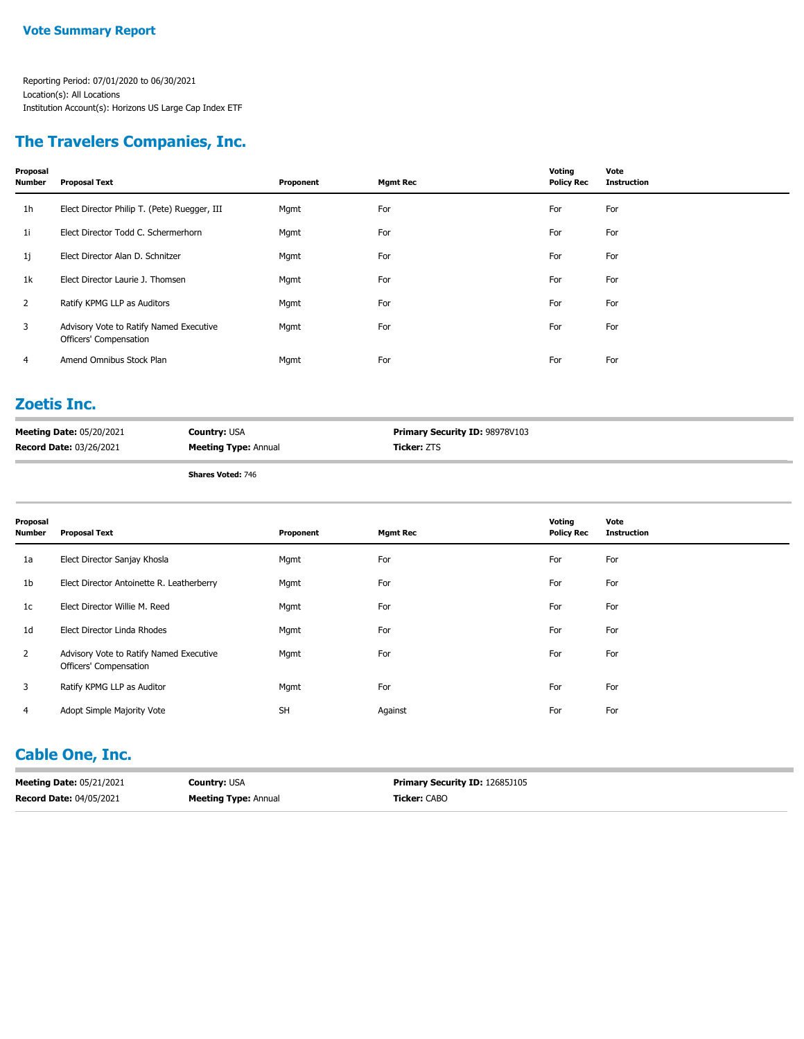### **The Travelers Companies, Inc.**

| Proposal<br>Number | <b>Proposal Text</b>                                              | Proponent | <b>Mgmt Rec</b> | Voting<br><b>Policy Rec</b> | Vote<br><b>Instruction</b> |
|--------------------|-------------------------------------------------------------------|-----------|-----------------|-----------------------------|----------------------------|
| 1h                 | Elect Director Philip T. (Pete) Ruegger, III                      | Mgmt      | For             | For                         | For                        |
| 1i                 | Elect Director Todd C. Schermerhorn                               | Mgmt      | For             | For                         | For                        |
| 1j                 | Elect Director Alan D. Schnitzer                                  | Mgmt      | For             | For                         | For                        |
| 1k                 | Elect Director Laurie J. Thomsen                                  | Mgmt      | For             | For                         | For                        |
| $\overline{2}$     | Ratify KPMG LLP as Auditors                                       | Mgmt      | For             | For                         | For                        |
| 3                  | Advisory Vote to Ratify Named Executive<br>Officers' Compensation | Mgmt      | For             | For                         | For                        |
| 4                  | Amend Omnibus Stock Plan                                          | Mgmt      | For             | For                         | For                        |
|                    |                                                                   |           |                 |                             |                            |

#### **Zoetis Inc.**

| <b>Meeting Date: 05/20/2021</b> | <b>Country:</b> USA         | <b>Primary Security ID: 98978V103</b> |
|---------------------------------|-----------------------------|---------------------------------------|
| <b>Record Date: 03/26/2021</b>  | <b>Meeting Type: Annual</b> | <b>Ticker:</b> ZTS                    |

**Shares Voted:** 746

| Proposal<br><b>Number</b> | <b>Proposal Text</b>                                              | Proponent | Mgmt Rec | Voting<br><b>Policy Rec</b> | Vote<br><b>Instruction</b> |
|---------------------------|-------------------------------------------------------------------|-----------|----------|-----------------------------|----------------------------|
| 1a                        | Elect Director Sanjay Khosla                                      | Mgmt      | For      | For                         | For                        |
| 1 <sub>b</sub>            | Elect Director Antoinette R. Leatherberry                         | Mgmt      | For      | For                         | For                        |
| 1c                        | Elect Director Willie M. Reed                                     | Mgmt      | For      | For                         | For                        |
| 1d                        | Elect Director Linda Rhodes                                       | Mgmt      | For      | For                         | For                        |
| 2                         | Advisory Vote to Ratify Named Executive<br>Officers' Compensation | Mgmt      | For      | For                         | For                        |
| 3                         | Ratify KPMG LLP as Auditor                                        | Mgmt      | For      | For                         | For                        |
| 4                         | Adopt Simple Majority Vote                                        | <b>SH</b> | Against  | For                         | For                        |

## **Cable One, Inc.**

| <b>Meeting Date: 05/21/2021</b> | <b>Country: USA</b>         | <b>Primary Security ID: 12685J105</b> |
|---------------------------------|-----------------------------|---------------------------------------|
| <b>Record Date: 04/05/2021</b>  | <b>Meeting Type: Annual</b> | <b>Ticker: CABO</b>                   |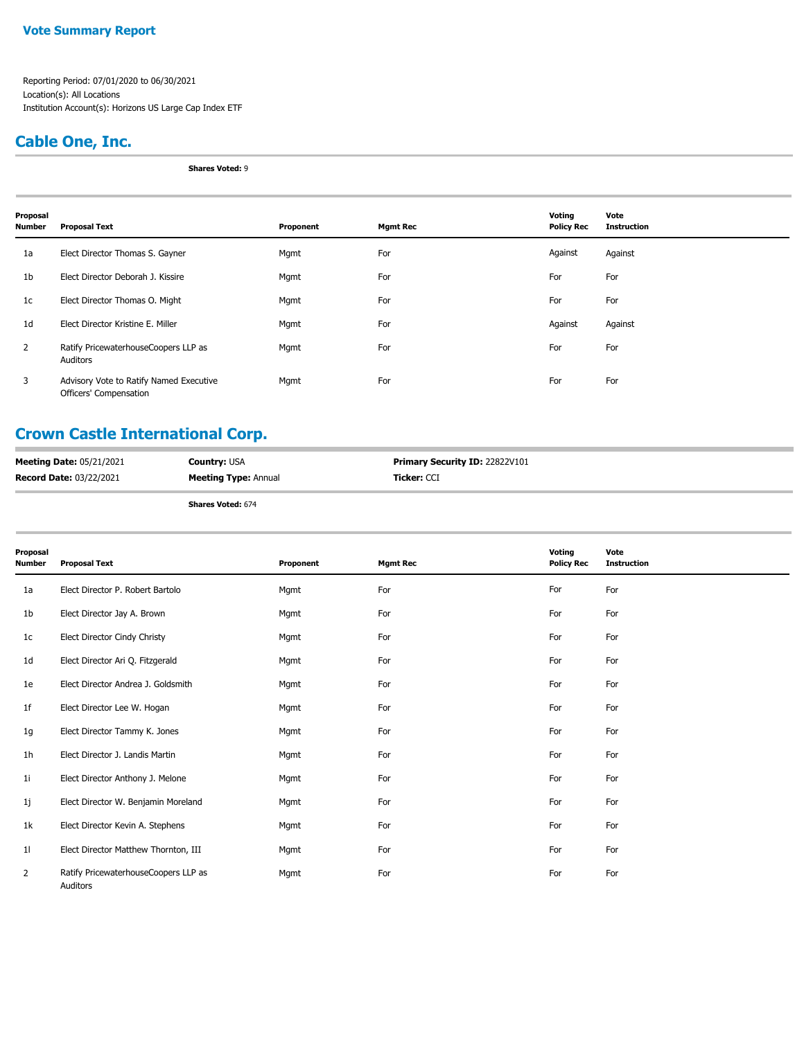#### **Vote Summary Report**

Reporting Period: 07/01/2020 to 06/30/2021 Location(s): All Locations Institution Account(s): Horizons US Large Cap Index ETF

## **Cable One, Inc.**

**Shares Voted:** 9

| Proposal<br><b>Number</b> | <b>Proposal Text</b>                                              | Proponent | <b>Mgmt Rec</b> | Voting<br><b>Policy Rec</b> | Vote<br><b>Instruction</b> |
|---------------------------|-------------------------------------------------------------------|-----------|-----------------|-----------------------------|----------------------------|
| 1a                        | Elect Director Thomas S. Gayner                                   | Mgmt      | For             | Against                     | Against                    |
| 1 <sub>b</sub>            | Elect Director Deborah J. Kissire                                 | Mgmt      | For             | For                         | For                        |
| 1c                        | Elect Director Thomas O. Might                                    | Mgmt      | For             | For                         | For                        |
| 1d                        | Elect Director Kristine E. Miller                                 | Mgmt      | For             | Against                     | Against                    |
| 2                         | Ratify PricewaterhouseCoopers LLP as<br>Auditors                  | Mgmt      | For             | For                         | For                        |
| 3                         | Advisory Vote to Ratify Named Executive<br>Officers' Compensation | Mgmt      | For             | For                         | For                        |

## **Crown Castle International Corp.**

| <b>Meeting Date: 05/21/2021</b> | <b>Country: USA</b>         | <b>Primary Security ID: 22822V101</b> |
|---------------------------------|-----------------------------|---------------------------------------|
| <b>Record Date: 03/22/2021</b>  | <b>Meeting Type: Annual</b> | <b>Ticker:</b> CCI                    |
|                                 | <b>Shares Voted: 674</b>    |                                       |

| Proposal<br><b>Number</b> | <b>Proposal Text</b>                             | Proponent | <b>Mgmt Rec</b> | Voting<br><b>Policy Rec</b> | Vote<br><b>Instruction</b> |
|---------------------------|--------------------------------------------------|-----------|-----------------|-----------------------------|----------------------------|
| 1a                        | Elect Director P. Robert Bartolo                 | Mgmt      | For             | For                         | For                        |
| 1 <sub>b</sub>            | Elect Director Jay A. Brown                      | Mgmt      | For             | For                         | For                        |
| 1c                        | Elect Director Cindy Christy                     | Mgmt      | For             | For                         | For                        |
| 1d                        | Elect Director Ari Q. Fitzgerald                 | Mgmt      | For             | For                         | For                        |
| 1e                        | Elect Director Andrea J. Goldsmith               | Mgmt      | For             | For                         | For                        |
| 1f                        | Elect Director Lee W. Hogan                      | Mgmt      | For             | For                         | For                        |
| 1g                        | Elect Director Tammy K. Jones                    | Mgmt      | For             | For                         | For                        |
| 1h                        | Elect Director J. Landis Martin                  | Mgmt      | For             | For                         | For                        |
| 11                        | Elect Director Anthony J. Melone                 | Mgmt      | For             | For                         | For                        |
| 1j                        | Elect Director W. Benjamin Moreland              | Mgmt      | For             | For                         | For                        |
| 1k                        | Elect Director Kevin A. Stephens                 | Mgmt      | For             | For                         | For                        |
| 11                        | Elect Director Matthew Thornton, III             | Mgmt      | For             | For                         | For                        |
| $\overline{2}$            | Ratify PricewaterhouseCoopers LLP as<br>Auditors | Mgmt      | For             | For                         | For                        |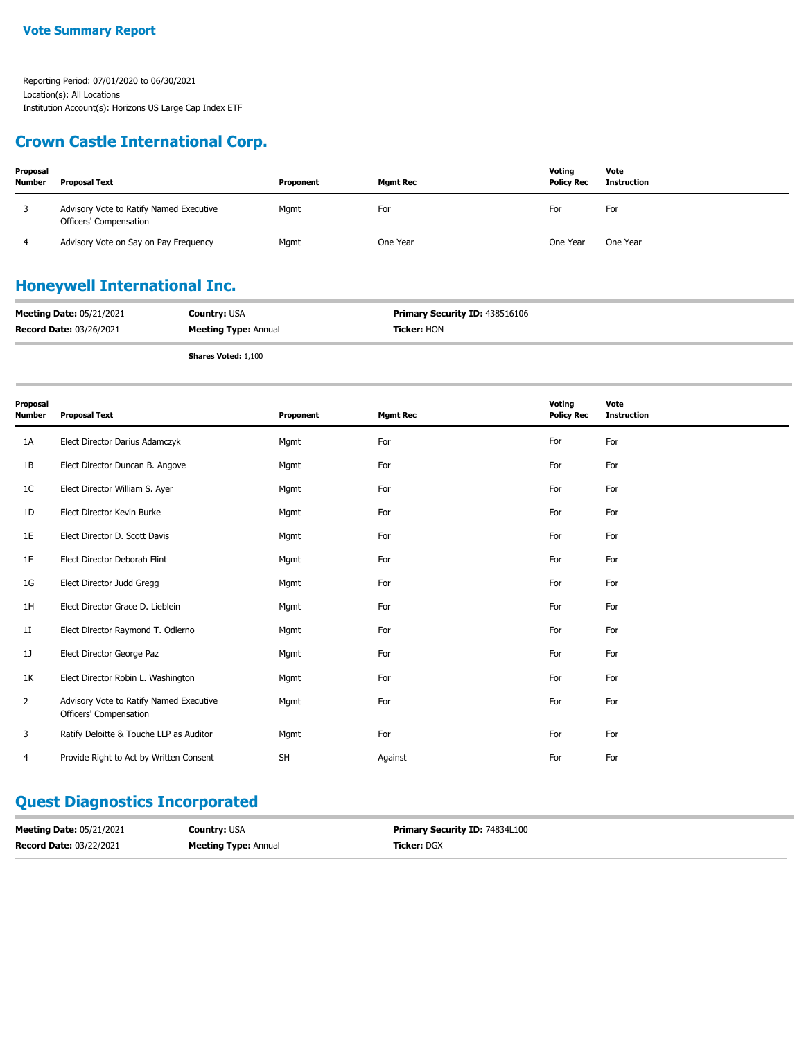### **Crown Castle International Corp.**

| Proposal<br><b>Number</b> | <b>Proposal Text</b>                                              | Proponent | Mamt Rec | Voting<br><b>Policy Rec</b> | Vote<br>Instruction |
|---------------------------|-------------------------------------------------------------------|-----------|----------|-----------------------------|---------------------|
|                           | Advisory Vote to Ratify Named Executive<br>Officers' Compensation | Mgmt      | For      | For                         | For                 |
|                           | Advisory Vote on Say on Pay Frequency                             | Mgmt      | One Year | One Year                    | One Year            |

## **Honeywell International Inc.**

| <b>Meeting Date: 05/21/2021</b> | <b>Country: USA</b>         | <b>Primary Security ID: 438516106</b> |
|---------------------------------|-----------------------------|---------------------------------------|
| <b>Record Date: 03/26/2021</b>  | <b>Meeting Type: Annual</b> | <b>Ticker:</b> HON                    |
|                                 |                             |                                       |

**Shares Voted:** 1,100

| Proposal<br><b>Number</b> | <b>Proposal Text</b>                                              | Proponent | <b>Mgmt Rec</b> | Voting<br><b>Policy Rec</b> | Vote<br><b>Instruction</b> |
|---------------------------|-------------------------------------------------------------------|-----------|-----------------|-----------------------------|----------------------------|
| 1A                        | Elect Director Darius Adamczyk                                    | Mgmt      | For             | For                         | For                        |
| 1B                        | Elect Director Duncan B. Angove                                   | Mgmt      | For             | For                         | For                        |
| 1C                        | Elect Director William S. Ayer                                    | Mgmt      | For             | For                         | For                        |
| 1D                        | Elect Director Kevin Burke                                        | Mgmt      | For             | For                         | For                        |
| 1E                        | Elect Director D. Scott Davis                                     | Mgmt      | For             | For                         | For                        |
| 1F                        | Elect Director Deborah Flint                                      | Mgmt      | For             | For                         | For                        |
| 1G                        | Elect Director Judd Gregg                                         | Mgmt      | For             | For                         | For                        |
| 1H                        | Elect Director Grace D. Lieblein                                  | Mgmt      | For             | For                         | For                        |
| 1I                        | Elect Director Raymond T. Odierno                                 | Mgmt      | For             | For                         | For                        |
| 1J                        | Elect Director George Paz                                         | Mgmt      | For             | For                         | For                        |
| 1K                        | Elect Director Robin L. Washington                                | Mgmt      | For             | For                         | For                        |
| $\overline{2}$            | Advisory Vote to Ratify Named Executive<br>Officers' Compensation | Mqmt      | For             | For                         | For                        |
| 3                         | Ratify Deloitte & Touche LLP as Auditor                           | Mgmt      | For             | For                         | For                        |
| 4                         | Provide Right to Act by Written Consent                           | <b>SH</b> | Against         | For                         | For                        |

### **Quest Diagnostics Incorporated**

| <b>Meeting Date: 05/21/2021</b> | <b>Country: USA</b>         | <b>Primary Security ID: 74834L100</b> |
|---------------------------------|-----------------------------|---------------------------------------|
| <b>Record Date: 03/22/2021</b>  | <b>Meeting Type: Annual</b> | <b>Ticker:</b> DGX                    |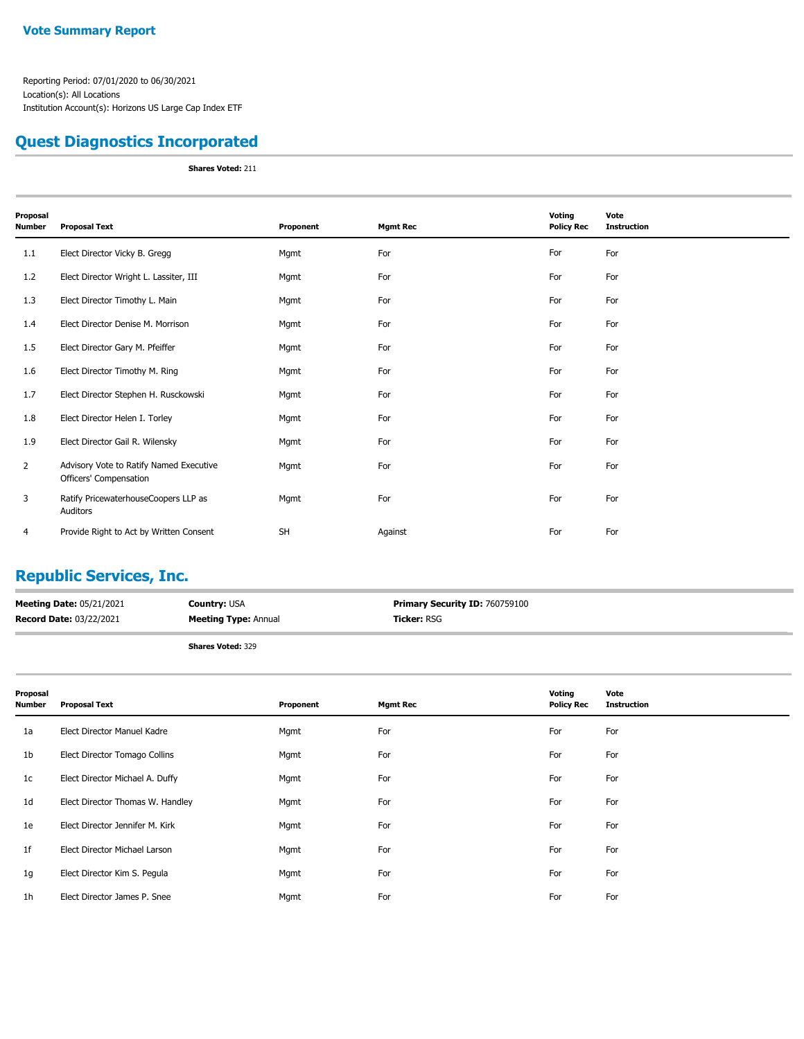### **Quest Diagnostics Incorporated**

**Shares Voted:** 211

| Proposal<br>Number | <b>Proposal Text</b>                                              | Proponent | <b>Mgmt Rec</b> | Voting<br><b>Policy Rec</b> | Vote<br><b>Instruction</b> |
|--------------------|-------------------------------------------------------------------|-----------|-----------------|-----------------------------|----------------------------|
| 1.1                | Elect Director Vicky B. Gregg                                     | Mgmt      | For             | For                         | For                        |
| 1.2                | Elect Director Wright L. Lassiter, III                            | Mgmt      | For             | For                         | For                        |
| 1.3                | Elect Director Timothy L. Main                                    | Mgmt      | For             | For                         | For                        |
| 1.4                | Elect Director Denise M. Morrison                                 | Mgmt      | For             | For                         | For                        |
| 1.5                | Elect Director Gary M. Pfeiffer                                   | Mgmt      | For             | For                         | For                        |
| 1.6                | Elect Director Timothy M. Ring                                    | Mgmt      | For             | For                         | For                        |
| 1.7                | Elect Director Stephen H. Rusckowski                              | Mgmt      | For             | For                         | For                        |
| 1.8                | Elect Director Helen I. Torley                                    | Mgmt      | For             | For                         | For                        |
| 1.9                | Elect Director Gail R. Wilensky                                   | Mgmt      | For             | For                         | For                        |
| $\overline{2}$     | Advisory Vote to Ratify Named Executive<br>Officers' Compensation | Mgmt      | For             | For                         | For                        |
| 3                  | Ratify PricewaterhouseCoopers LLP as<br>Auditors                  | Mgmt      | For             | For                         | For                        |
| 4                  | Provide Right to Act by Written Consent                           | <b>SH</b> | Against         | For                         | For                        |

## **Republic Services, Inc.**

| <b>Meeting Date: 05/21/2021</b> | <b>Country: USA</b>         | Primary Security ID: 760759100 |
|---------------------------------|-----------------------------|--------------------------------|
| <b>Record Date: 03/22/2021</b>  | <b>Meeting Type: Annual</b> | <b>Ticker:</b> RSG             |
|                                 |                             |                                |

| Proposal<br><b>Number</b> | <b>Proposal Text</b>             | Proponent | <b>Mgmt Rec</b> | Voting<br><b>Policy Rec</b> | Vote<br><b>Instruction</b> |
|---------------------------|----------------------------------|-----------|-----------------|-----------------------------|----------------------------|
| 1a                        | Elect Director Manuel Kadre      | Mgmt      | For             | For                         | For                        |
| 1b                        | Elect Director Tomago Collins    | Mgmt      | For             | For                         | For                        |
| 1 <sub>c</sub>            | Elect Director Michael A. Duffy  | Mgmt      | For             | For                         | For                        |
| 1d                        | Elect Director Thomas W. Handley | Mgmt      | For             | For                         | For                        |
| 1e                        | Elect Director Jennifer M. Kirk  | Mgmt      | For             | For                         | For                        |
| 1f                        | Elect Director Michael Larson    | Mgmt      | For             | For                         | For                        |
| 1g                        | Elect Director Kim S. Pegula     | Mgmt      | For             | For                         | For                        |
| 1 <sub>h</sub>            | Elect Director James P. Snee     | Mgmt      | For             | For                         | For                        |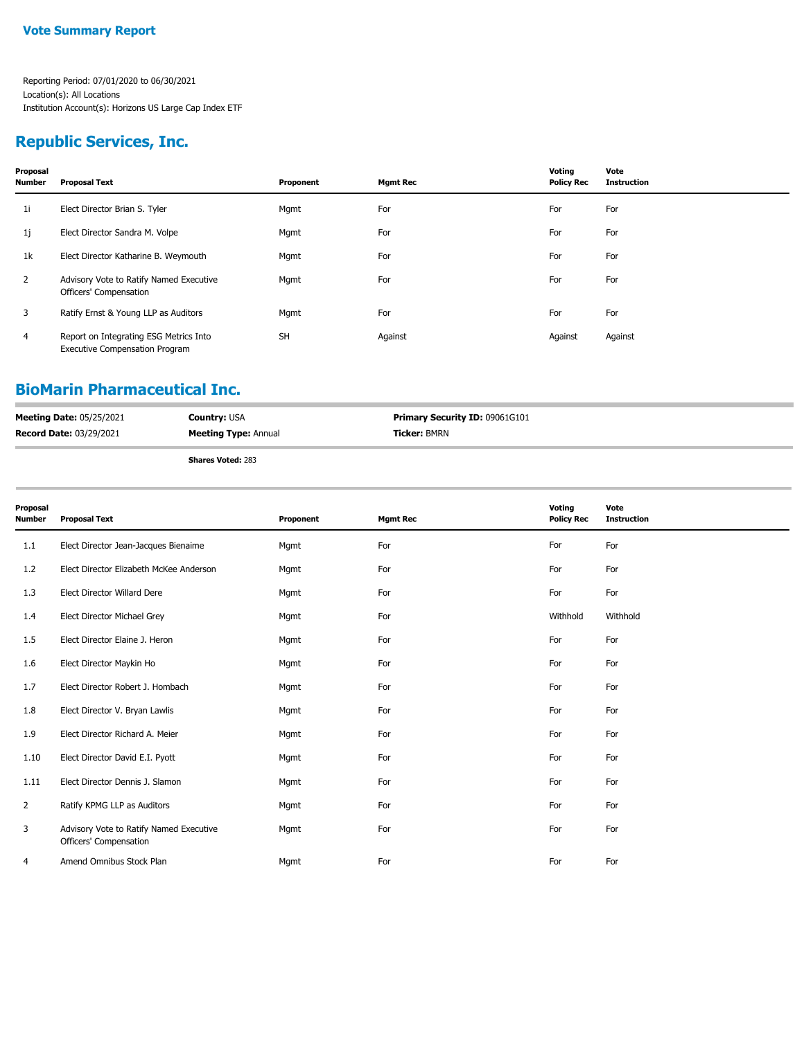## **Republic Services, Inc.**

| Proposal<br><b>Number</b> | <b>Proposal Text</b>                                                            | Proponent | <b>Mgmt Rec</b> | Voting<br><b>Policy Rec</b> | Vote<br><b>Instruction</b> |
|---------------------------|---------------------------------------------------------------------------------|-----------|-----------------|-----------------------------|----------------------------|
| 1i                        | Elect Director Brian S. Tyler                                                   | Mgmt      | For             | For                         | For                        |
| 1j                        | Elect Director Sandra M. Volpe                                                  | Mgmt      | For             | For                         | For                        |
| 1k                        | Elect Director Katharine B. Weymouth                                            | Mgmt      | For             | For                         | For                        |
| $\mathbf{2}$              | Advisory Vote to Ratify Named Executive<br>Officers' Compensation               | Mgmt      | For             | For                         | For                        |
| 3                         | Ratify Ernst & Young LLP as Auditors                                            | Mgmt      | For             | For                         | For                        |
| 4                         | Report on Integrating ESG Metrics Into<br><b>Executive Compensation Program</b> | <b>SH</b> | Against         | Against                     | Against                    |

### **BioMarin Pharmaceutical Inc.**

| <b>Meeting Date: 05/25/2021</b> | <b>Country: USA</b>         | <b>Primary Security ID: 09061G101</b> |
|---------------------------------|-----------------------------|---------------------------------------|
| <b>Record Date: 03/29/2021</b>  | <b>Meeting Type: Annual</b> | <b>Ticker: BMRN</b>                   |
|                                 | <b>Shares Voted: 283</b>    |                                       |

| Proposal<br>Number | <b>Proposal Text</b>                                              | Proponent | <b>Mgmt Rec</b> | Voting<br><b>Policy Rec</b> | Vote<br><b>Instruction</b> |
|--------------------|-------------------------------------------------------------------|-----------|-----------------|-----------------------------|----------------------------|
| 1.1                | Elect Director Jean-Jacques Bienaime                              | Mgmt      | For             | For                         | For                        |
| 1.2                | Elect Director Elizabeth McKee Anderson                           | Mgmt      | For             | For                         | For                        |
| 1.3                | Elect Director Willard Dere                                       | Mgmt      | For             | For                         | For                        |
| 1.4                | Elect Director Michael Grey                                       | Mgmt      | For             | Withhold                    | Withhold                   |
| 1.5                | Elect Director Elaine J. Heron                                    | Mgmt      | For             | For                         | For                        |
| 1.6                | Elect Director Maykin Ho                                          | Mgmt      | For             | For                         | For                        |
| 1.7                | Elect Director Robert J. Hombach                                  | Mgmt      | For             | For                         | For                        |
| 1.8                | Elect Director V. Bryan Lawlis                                    | Mgmt      | For             | For                         | For                        |
| 1.9                | Elect Director Richard A. Meier                                   | Mgmt      | For             | For                         | For                        |
| 1.10               | Elect Director David E.I. Pyott                                   | Mgmt      | For             | For                         | For                        |
| 1.11               | Elect Director Dennis J. Slamon                                   | Mgmt      | For             | For                         | For                        |
| $\overline{2}$     | Ratify KPMG LLP as Auditors                                       | Mgmt      | For             | For                         | For                        |
| 3                  | Advisory Vote to Ratify Named Executive<br>Officers' Compensation | Mgmt      | For             | For                         | For                        |
| 4                  | Amend Omnibus Stock Plan                                          | Mgmt      | For             | For                         | For                        |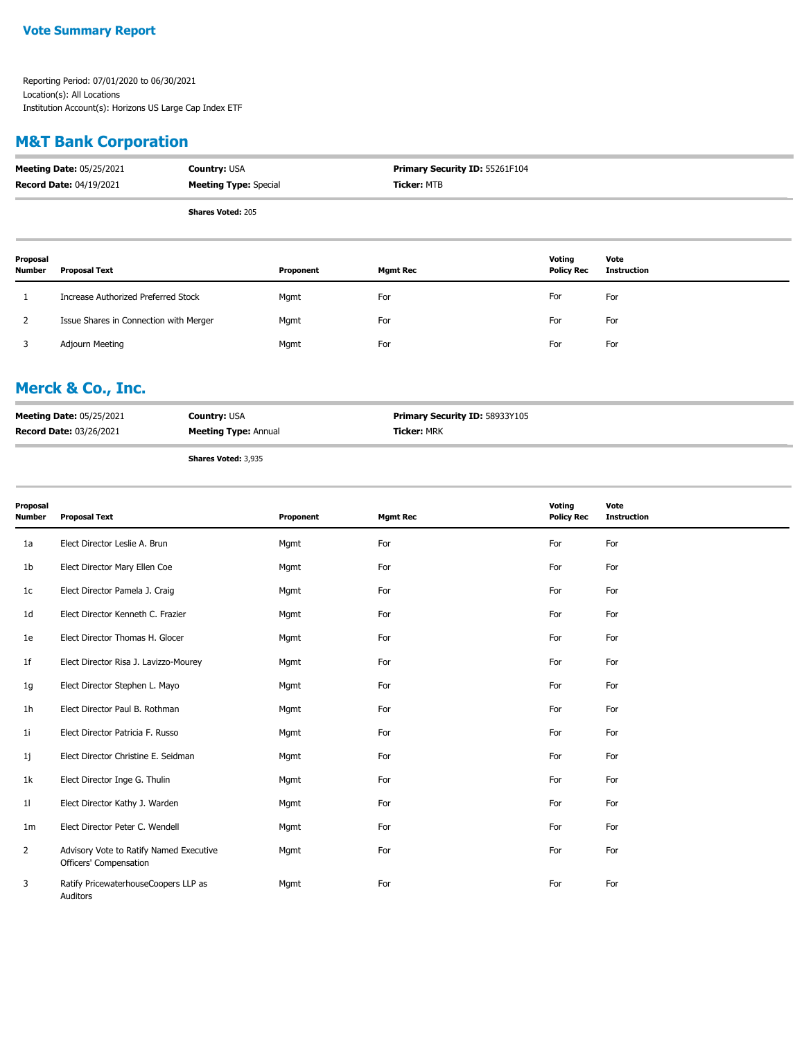### **M&T Bank Corporation**

| <b>Meeting Date: 05/25/2021</b> | <b>Country: USA</b>          | <b>Primary Security ID: 55261F104</b> |
|---------------------------------|------------------------------|---------------------------------------|
| <b>Record Date: 04/19/2021</b>  | <b>Meeting Type: Special</b> | Ticker: MTB                           |
|                                 | <b>Shares Voted: 205</b>     |                                       |

| Proposal<br><b>Number</b> | Proposal Text                          | Proponent | <b>Mgmt Rec</b> | Voting<br><b>Policy Rec</b> | Vote<br>Instruction |
|---------------------------|----------------------------------------|-----------|-----------------|-----------------------------|---------------------|
|                           | Increase Authorized Preferred Stock    | Mgmt      | For             | For                         | For                 |
|                           | Issue Shares in Connection with Merger | Mgmt      | For             | For                         | For                 |
|                           | Adjourn Meeting                        | Mgmt      | For             | For                         | For                 |

### **Merck & Co., Inc.**

| <b>Meeting Date: 05/25/2021</b> | <b>Country: USA</b>         | Primary Security ID: 58933Y105 |
|---------------------------------|-----------------------------|--------------------------------|
| <b>Record Date: 03/26/2021</b>  | <b>Meeting Type: Annual</b> | <b>Ticker: MRK</b>             |
|                                 |                             |                                |

**Shares Voted:** 3,935

| Proposal<br><b>Number</b> | <b>Proposal Text</b>                                              | Proponent | <b>Mgmt Rec</b> | Voting<br><b>Policy Rec</b> | Vote<br><b>Instruction</b> |
|---------------------------|-------------------------------------------------------------------|-----------|-----------------|-----------------------------|----------------------------|
| 1a                        | Elect Director Leslie A. Brun                                     | Mgmt      | For             | For                         | For                        |
| 1b                        | Elect Director Mary Ellen Coe                                     | Mgmt      | For             | For                         | For                        |
| 1c                        | Elect Director Pamela J. Craig                                    | Mgmt      | For             | For                         | For                        |
| 1d                        | Elect Director Kenneth C. Frazier                                 | Mgmt      | For             | For                         | For                        |
| 1e                        | Elect Director Thomas H. Glocer                                   | Mgmt      | For             | For                         | For                        |
| 1f                        | Elect Director Risa J. Lavizzo-Mourey                             | Mgmt      | For             | For                         | For                        |
| 1g                        | Elect Director Stephen L. Mayo                                    | Mgmt      | For             | For                         | For                        |
| 1h                        | Elect Director Paul B. Rothman                                    | Mgmt      | For             | For                         | For                        |
| 11                        | Elect Director Patricia F. Russo                                  | Mgmt      | For             | For                         | For                        |
| 1j                        | Elect Director Christine E. Seidman                               | Mgmt      | For             | For                         | For                        |
| 1k                        | Elect Director Inge G. Thulin                                     | Mgmt      | For             | For                         | For                        |
| 11                        | Elect Director Kathy J. Warden                                    | Mgmt      | For             | For                         | For                        |
| 1m                        | Elect Director Peter C. Wendell                                   | Mgmt      | For             | For                         | For                        |
| 2                         | Advisory Vote to Ratify Named Executive<br>Officers' Compensation | Mgmt      | For             | For                         | For                        |
| 3                         | Ratify PricewaterhouseCoopers LLP as<br>Auditors                  | Mgmt      | For             | For                         | For                        |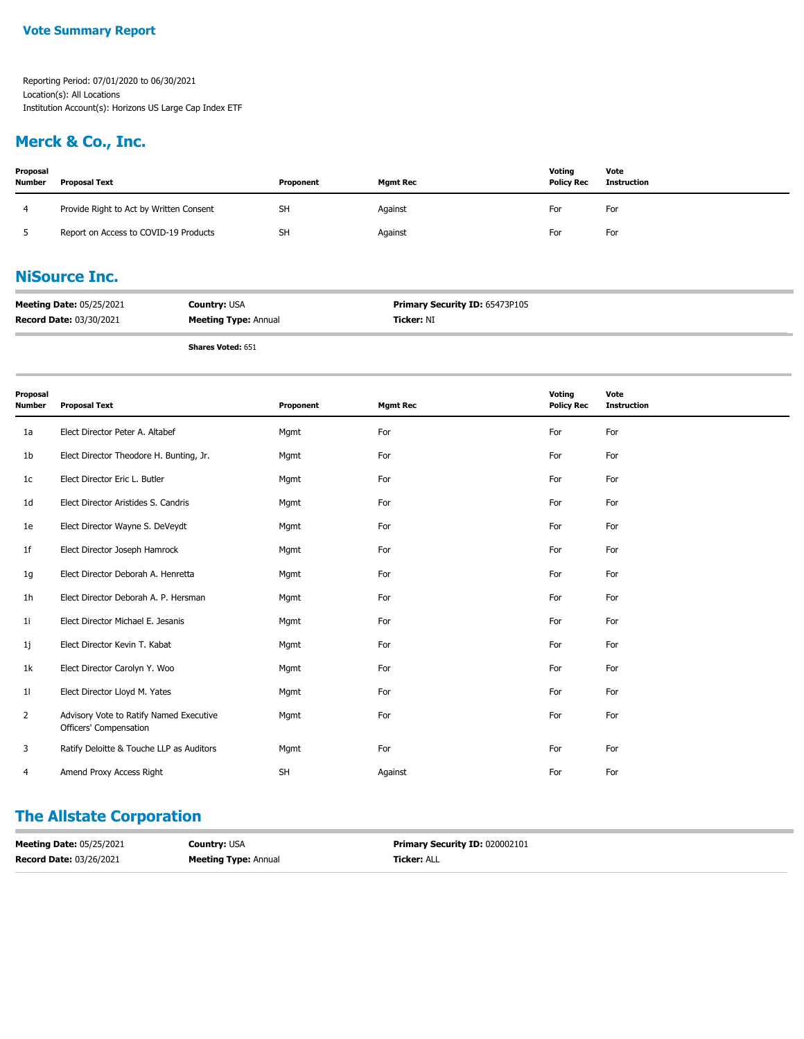#### **Vote Summary Report**

Reporting Period: 07/01/2020 to 06/30/2021 Location(s): All Locations Institution Account(s): Horizons US Large Cap Index ETF

### **Merck & Co., Inc.**

| Proposal<br><b>Number</b> | Proposal Text                           | Proponent | <b>Mgmt Rec</b> | Voting<br><b>Policy Rec</b> | Vote<br>Instruction |
|---------------------------|-----------------------------------------|-----------|-----------------|-----------------------------|---------------------|
|                           | Provide Right to Act by Written Consent | <b>SH</b> | Against         | For                         | For                 |
|                           | Report on Access to COVID-19 Products   | <b>SH</b> | Against         | For                         | For                 |

### **NiSource Inc.**

| <b>Meeting Date: 05/25/2021</b> | <b>Country: USA</b>         | <b>Primary Security ID: 65473P105</b> |
|---------------------------------|-----------------------------|---------------------------------------|
| <b>Record Date: 03/30/2021</b>  | <b>Meeting Type: Annual</b> | <b>Ticker:</b> NI                     |

**Shares Voted:** 651

| Proposal<br><b>Number</b> | <b>Proposal Text</b>                                              | Proponent | <b>Mgmt Rec</b> | Voting<br><b>Policy Rec</b> | Vote<br><b>Instruction</b> |
|---------------------------|-------------------------------------------------------------------|-----------|-----------------|-----------------------------|----------------------------|
| 1a                        | Elect Director Peter A. Altabef                                   | Mgmt      | For             | For                         | For                        |
| 1 <sub>b</sub>            | Elect Director Theodore H. Bunting, Jr.                           | Mgmt      | For             | For                         | For                        |
| 1c                        | Elect Director Eric L. Butler                                     | Mgmt      | For             | For                         | For                        |
| 1 <sub>d</sub>            | Elect Director Aristides S. Candris                               | Mgmt      | For             | For                         | For                        |
| 1e                        | Elect Director Wayne S. DeVeydt                                   | Mgmt      | For             | For                         | For                        |
| 1f                        | Elect Director Joseph Hamrock                                     | Mgmt      | For             | For                         | For                        |
| 1g                        | Elect Director Deborah A. Henretta                                | Mgmt      | For             | For                         | For                        |
| 1 <sub>h</sub>            | Elect Director Deborah A. P. Hersman                              | Mgmt      | For             | For                         | For                        |
| 11                        | Elect Director Michael E. Jesanis                                 | Mgmt      | For             | For                         | For                        |
| 1j                        | Elect Director Kevin T. Kabat                                     | Mgmt      | For             | For                         | For                        |
| 1k                        | Elect Director Carolyn Y. Woo                                     | Mgmt      | For             | For                         | For                        |
| 11                        | Elect Director Lloyd M. Yates                                     | Mgmt      | For             | For                         | For                        |
| 2                         | Advisory Vote to Ratify Named Executive<br>Officers' Compensation | Mgmt      | For             | For                         | For                        |
| 3                         | Ratify Deloitte & Touche LLP as Auditors                          | Mgmt      | For             | For                         | For                        |
| 4                         | Amend Proxy Access Right                                          | SH        | Against         | For                         | For                        |

### **The Allstate Corporation**

| <b>Meeting Date: 05/25/2021</b> | <b>Country: USA</b>         | <b>Primary Security ID: 020002101</b> |
|---------------------------------|-----------------------------|---------------------------------------|
| <b>Record Date: 03/26/2021</b>  | <b>Meeting Type: Annual</b> | <b>Ticker: ALL</b>                    |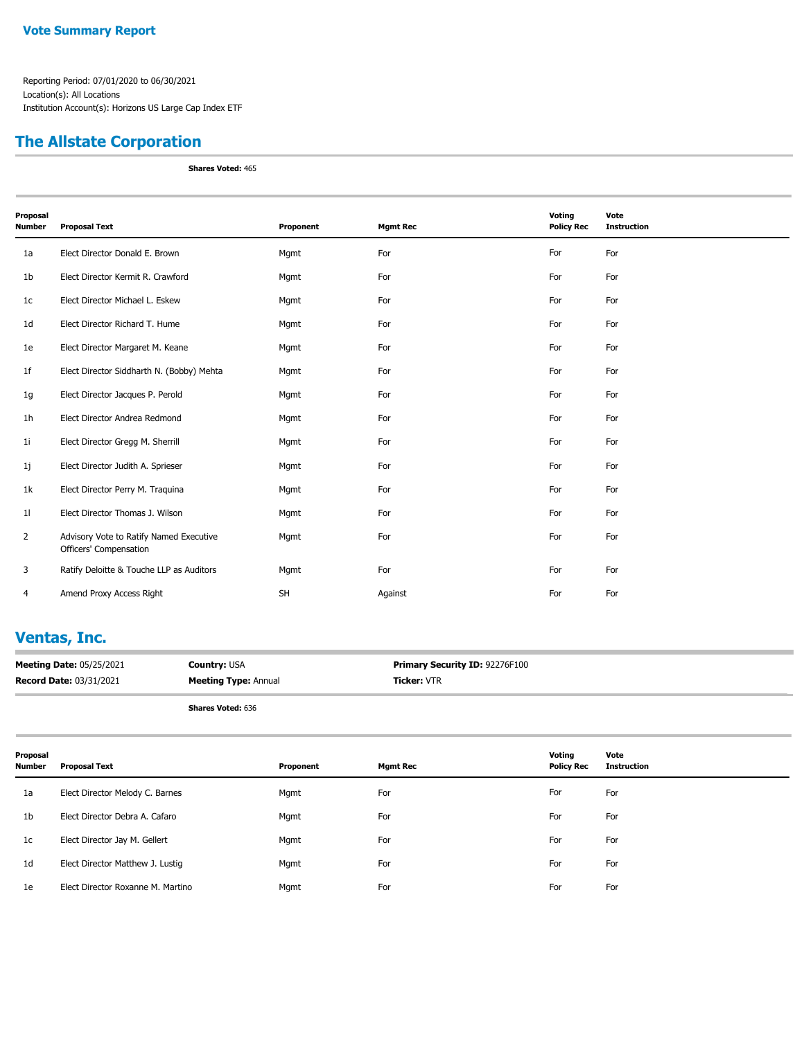### **The Allstate Corporation**

**Shares Voted:** 465

| Proposal<br><b>Number</b> | <b>Proposal Text</b>                                              | Proponent | <b>Mgmt Rec</b> | Voting<br><b>Policy Rec</b> | Vote<br><b>Instruction</b> |
|---------------------------|-------------------------------------------------------------------|-----------|-----------------|-----------------------------|----------------------------|
| 1a                        | Elect Director Donald E. Brown                                    | Mgmt      | For             | For                         | For                        |
| 1 <sub>b</sub>            | Elect Director Kermit R. Crawford                                 | Mgmt      | For             | For                         | For                        |
| 1 <sub>c</sub>            | Elect Director Michael L. Eskew                                   | Mgmt      | For             | For                         | For                        |
| 1 <sub>d</sub>            | Elect Director Richard T. Hume                                    | Mgmt      | For             | For                         | For                        |
| 1e                        | Elect Director Margaret M. Keane                                  | Mgmt      | For             | For                         | For                        |
| 1 <sup>f</sup>            | Elect Director Siddharth N. (Bobby) Mehta                         | Mgmt      | For             | For                         | For                        |
| 1g                        | Elect Director Jacques P. Perold                                  | Mgmt      | For             | For                         | For                        |
| 1 <sub>h</sub>            | Elect Director Andrea Redmond                                     | Mgmt      | For             | For                         | For                        |
| 11                        | Elect Director Gregg M. Sherrill                                  | Mgmt      | For             | For                         | For                        |
| 1j                        | Elect Director Judith A. Sprieser                                 | Mgmt      | For             | For                         | For                        |
| 1k                        | Elect Director Perry M. Traquina                                  | Mgmt      | For             | For                         | For                        |
| 11                        | Elect Director Thomas J. Wilson                                   | Mgmt      | For             | For                         | For                        |
| $\overline{2}$            | Advisory Vote to Ratify Named Executive<br>Officers' Compensation | Mgmt      | For             | For                         | For                        |
| 3                         | Ratify Deloitte & Touche LLP as Auditors                          | Mgmt      | For             | For                         | For                        |
| 4                         | Amend Proxy Access Right                                          | <b>SH</b> | Against         | For                         | For                        |

# **Ventas, Inc.**

| <b>Meeting Date: 05/25/2021</b> | <b>Country: USA</b>         | Primary Security ID: 92276F100 |
|---------------------------------|-----------------------------|--------------------------------|
| <b>Record Date: 03/31/2021</b>  | <b>Meeting Type: Annual</b> | <b>Ticker: VTR</b>             |
|                                 |                             |                                |

| Proposal<br><b>Number</b> | Proposal Text                     | Proponent | <b>Mgmt Rec</b> | Voting<br><b>Policy Rec</b> | Vote<br><b>Instruction</b> |
|---------------------------|-----------------------------------|-----------|-----------------|-----------------------------|----------------------------|
| 1a                        | Elect Director Melody C. Barnes   | Mgmt      | For             | For                         | For                        |
| 1 <sub>b</sub>            | Elect Director Debra A. Cafaro    | Mgmt      | For             | For                         | For                        |
| 1c                        | Elect Director Jay M. Gellert     | Mgmt      | For             | For                         | For                        |
| 1d                        | Elect Director Matthew J. Lustig  | Mgmt      | For             | For                         | For                        |
| 1e                        | Elect Director Roxanne M. Martino | Mgmt      | For             | For                         | For                        |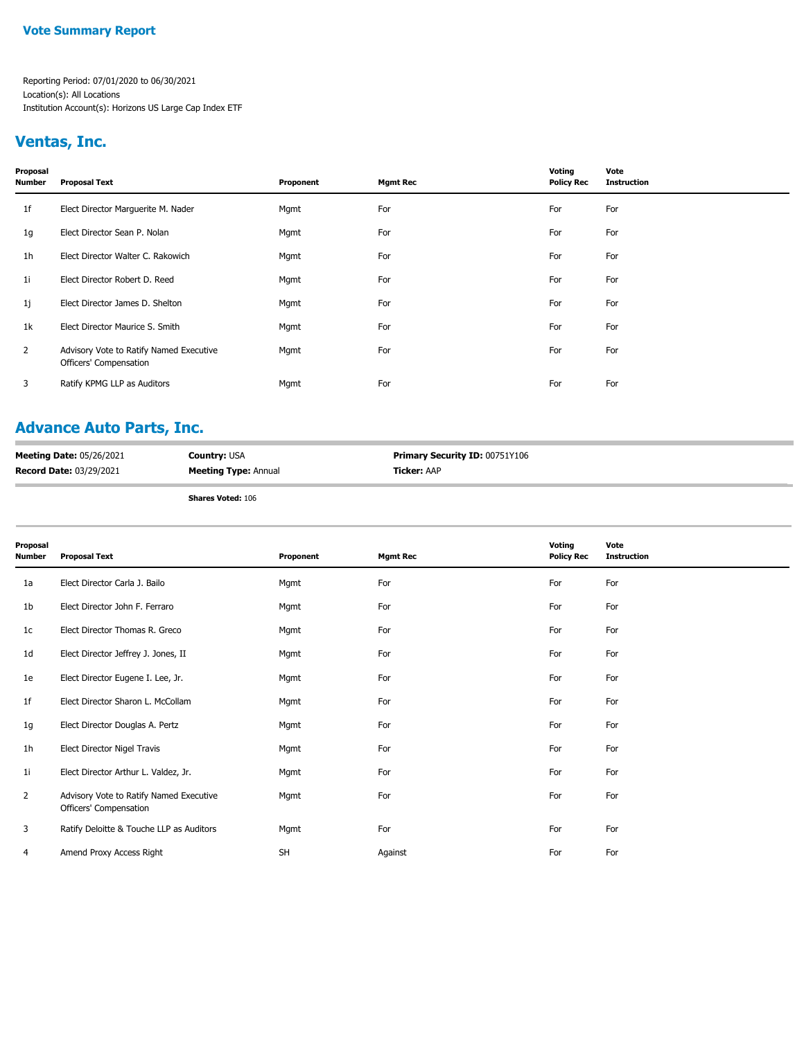#### **Vote Summary Report**

Reporting Period: 07/01/2020 to 06/30/2021 Location(s): All Locations Institution Account(s): Horizons US Large Cap Index ETF

### **Ventas, Inc.**

| Proposal<br>Number | <b>Proposal Text</b>                                              | Proponent | <b>Mgmt Rec</b> | Voting<br><b>Policy Rec</b> | Vote<br><b>Instruction</b> |
|--------------------|-------------------------------------------------------------------|-----------|-----------------|-----------------------------|----------------------------|
| 1f                 | Elect Director Marguerite M. Nader                                | Mgmt      | For             | For                         | For                        |
| 1g                 | Elect Director Sean P. Nolan                                      | Mgmt      | For             | For                         | For                        |
| 1h                 | Elect Director Walter C. Rakowich                                 | Mgmt      | For             | For                         | For                        |
| 1i                 | Elect Director Robert D. Reed                                     | Mgmt      | For             | For                         | For                        |
| 1j                 | Elect Director James D. Shelton                                   | Mgmt      | For             | For                         | For                        |
| 1k                 | Elect Director Maurice S. Smith                                   | Mgmt      | For             | For                         | For                        |
| $\mathbf{2}$       | Advisory Vote to Ratify Named Executive<br>Officers' Compensation | Mgmt      | For             | For                         | For                        |
| 3                  | Ratify KPMG LLP as Auditors                                       | Mgmt      | For             | For                         | For                        |
|                    |                                                                   |           |                 |                             |                            |

### **Advance Auto Parts, Inc.**

| <b>Meeting Date: 05/26/2021</b> | <b>Country: USA</b>         | <b>Primary Security ID: 00751Y106</b> |
|---------------------------------|-----------------------------|---------------------------------------|
| <b>Record Date: 03/29/2021</b>  | <b>Meeting Type: Annual</b> | <b>Ticker:</b> AAP                    |

| Proposal<br>Number | <b>Proposal Text</b>                                              | Proponent | <b>Mgmt Rec</b> | Voting<br><b>Policy Rec</b> | Vote<br><b>Instruction</b> |
|--------------------|-------------------------------------------------------------------|-----------|-----------------|-----------------------------|----------------------------|
| 1a                 | Elect Director Carla J. Bailo                                     | Mgmt      | For             | For                         | For                        |
| 1b                 | Elect Director John F. Ferraro                                    | Mgmt      | For             | For                         | For                        |
| 1c                 | Elect Director Thomas R. Greco                                    | Mgmt      | For             | For                         | For                        |
| 1d                 | Elect Director Jeffrey J. Jones, II                               | Mgmt      | For             | For                         | For                        |
| 1e                 | Elect Director Eugene I. Lee, Jr.                                 | Mgmt      | For             | For                         | For                        |
| 1f                 | Elect Director Sharon L. McCollam                                 | Mgmt      | For             | For                         | For                        |
| 1g                 | Elect Director Douglas A. Pertz                                   | Mgmt      | For             | For                         | For                        |
| 1 <sub>h</sub>     | Elect Director Nigel Travis                                       | Mgmt      | For             | For                         | For                        |
| 1i                 | Elect Director Arthur L. Valdez, Jr.                              | Mgmt      | For             | For                         | For                        |
| 2                  | Advisory Vote to Ratify Named Executive<br>Officers' Compensation | Mgmt      | For             | For                         | For                        |
| 3                  | Ratify Deloitte & Touche LLP as Auditors                          | Mgmt      | For             | For                         | For                        |
| 4                  | Amend Proxy Access Right                                          | SH        | Against         | For                         | For                        |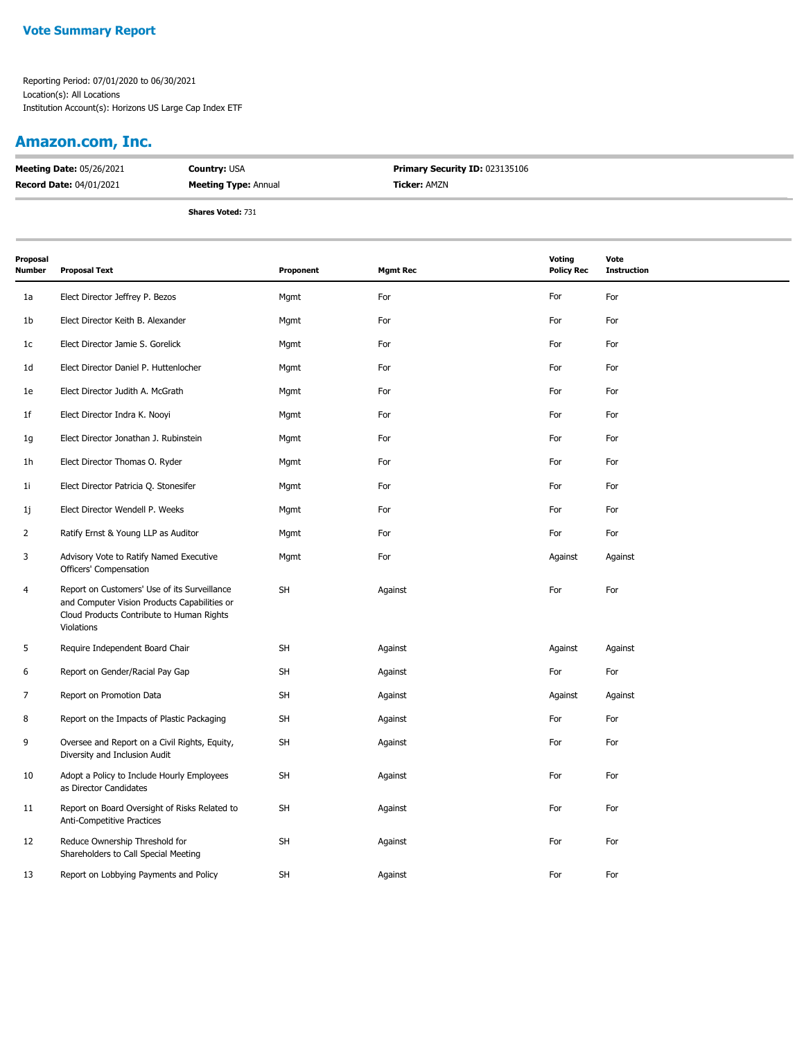### **Amazon.com, Inc.**

| <b>Meeting Date: 05/26/2021</b> | <b>Country: USA</b>         | <b>Primary Security ID: 023135106</b> |  |
|---------------------------------|-----------------------------|---------------------------------------|--|
| <b>Record Date: 04/01/2021</b>  | <b>Meeting Type: Annual</b> | <b>Ticker: AMZN</b>                   |  |
|                                 | $-1$ $-1$ $-1$              |                                       |  |

| Proposal<br>Number | <b>Proposal Text</b>                                                                                                                                    | Proponent | <b>Mgmt Rec</b> | Voting<br><b>Policy Rec</b> | Vote<br><b>Instruction</b> |
|--------------------|---------------------------------------------------------------------------------------------------------------------------------------------------------|-----------|-----------------|-----------------------------|----------------------------|
| 1a                 | Elect Director Jeffrey P. Bezos                                                                                                                         | Mgmt      | For             | For                         | For                        |
| 1b                 | Elect Director Keith B. Alexander                                                                                                                       | Mgmt      | For             | For                         | For                        |
| 1c                 | Elect Director Jamie S. Gorelick                                                                                                                        | Mgmt      | For             | For                         | For                        |
| 1d                 | Elect Director Daniel P. Huttenlocher                                                                                                                   | Mgmt      | For             | For                         | For                        |
| 1e                 | Elect Director Judith A. McGrath                                                                                                                        | Mgmt      | For             | For                         | For                        |
| 1f                 | Elect Director Indra K. Nooyi                                                                                                                           | Mgmt      | For             | For                         | For                        |
| 1g                 | Elect Director Jonathan J. Rubinstein                                                                                                                   | Mgmt      | For             | For                         | For                        |
| 1h                 | Elect Director Thomas O. Ryder                                                                                                                          | Mgmt      | For             | For                         | For                        |
| 1i                 | Elect Director Patricia Q. Stonesifer                                                                                                                   | Mgmt      | For             | For                         | For                        |
| 1j                 | Elect Director Wendell P. Weeks                                                                                                                         | Mgmt      | For             | For                         | For                        |
| 2                  | Ratify Ernst & Young LLP as Auditor                                                                                                                     | Mgmt      | For             | For                         | For                        |
| 3                  | Advisory Vote to Ratify Named Executive<br>Officers' Compensation                                                                                       | Mgmt      | For             | Against                     | Against                    |
| 4                  | Report on Customers' Use of its Surveillance<br>and Computer Vision Products Capabilities or<br>Cloud Products Contribute to Human Rights<br>Violations | <b>SH</b> | Against         | For                         | For                        |
| 5                  | Require Independent Board Chair                                                                                                                         | <b>SH</b> | Against         | Against                     | Against                    |
| 6                  | Report on Gender/Racial Pay Gap                                                                                                                         | <b>SH</b> | Against         | For                         | For                        |
| 7                  | Report on Promotion Data                                                                                                                                | <b>SH</b> | Against         | Against                     | Against                    |
| 8                  | Report on the Impacts of Plastic Packaging                                                                                                              | <b>SH</b> | Against         | For                         | For                        |
| 9                  | Oversee and Report on a Civil Rights, Equity,<br>Diversity and Inclusion Audit                                                                          | <b>SH</b> | Against         | For                         | For                        |
| 10                 | Adopt a Policy to Include Hourly Employees<br>as Director Candidates                                                                                    | <b>SH</b> | Against         | For                         | For                        |
| 11                 | Report on Board Oversight of Risks Related to<br>Anti-Competitive Practices                                                                             | <b>SH</b> | Against         | For                         | For                        |
| 12                 | Reduce Ownership Threshold for<br>Shareholders to Call Special Meeting                                                                                  | <b>SH</b> | Against         | For                         | For                        |
| 13                 | Report on Lobbying Payments and Policy                                                                                                                  | <b>SH</b> | Against         | For                         | For                        |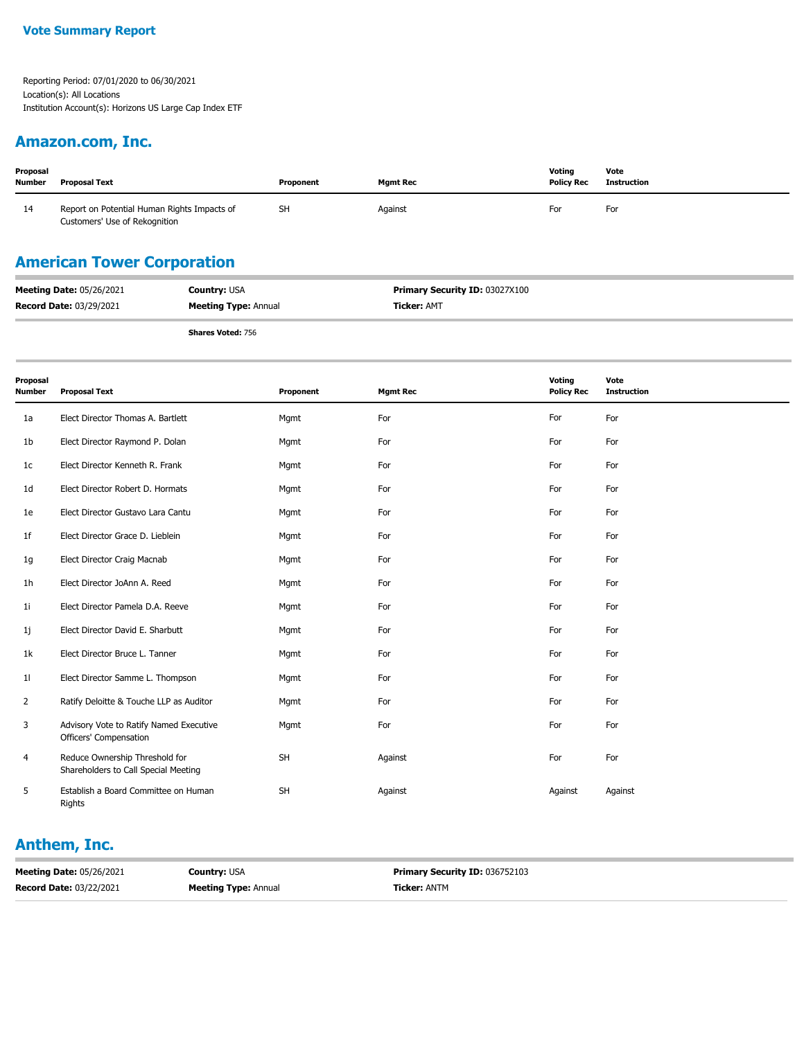#### **Amazon.com, Inc.**

| Proposal<br><b>Number</b> | <b>Proposal Text</b>                                                         | Proponent | <b>Mgmt Rec</b> | Votina<br><b>Policy Rec</b> | Vote<br>Instruction |
|---------------------------|------------------------------------------------------------------------------|-----------|-----------------|-----------------------------|---------------------|
| 14                        | Report on Potential Human Rights Impacts of<br>Customers' Use of Rekognition | <b>SH</b> | Against         | For                         | For                 |

## **American Tower Corporation**

| <b>Meeting Date: 05/26/2021</b> | <b>Country: USA</b>         | <b>Primary Security ID: 03027X100</b> |
|---------------------------------|-----------------------------|---------------------------------------|
| <b>Record Date: 03/29/2021</b>  | <b>Meeting Type: Annual</b> | <b>Ticker:</b> AMT                    |
|                                 | <b>Shares Voted: 756</b>    |                                       |

| Proposal<br><b>Number</b> | <b>Proposal Text</b>                                                   | Proponent | <b>Mgmt Rec</b> | Voting<br><b>Policy Rec</b> | Vote<br><b>Instruction</b> |
|---------------------------|------------------------------------------------------------------------|-----------|-----------------|-----------------------------|----------------------------|
| 1a                        | Elect Director Thomas A. Bartlett                                      | Mgmt      | For             | For                         | For                        |
| 1 <sub>b</sub>            | Elect Director Raymond P. Dolan                                        | Mgmt      | For             | For                         | For                        |
| 1 <sub>c</sub>            | Elect Director Kenneth R. Frank                                        | Mgmt      | For             | For                         | For                        |
| 1 <sub>d</sub>            | Elect Director Robert D. Hormats                                       | Mgmt      | For             | For                         | For                        |
| 1e                        | Elect Director Gustavo Lara Cantu                                      | Mgmt      | For             | For                         | For                        |
| 1f                        | Elect Director Grace D. Lieblein                                       | Mgmt      | For             | For                         | For                        |
| 1g                        | Elect Director Craig Macnab                                            | Mgmt      | For             | For                         | For                        |
| 1 <sub>h</sub>            | Elect Director JoAnn A. Reed                                           | Mgmt      | For             | For                         | For                        |
| 11                        | Elect Director Pamela D.A. Reeve                                       | Mgmt      | For             | For                         | For                        |
| 1j                        | Elect Director David E. Sharbutt                                       | Mgmt      | For             | For                         | For                        |
| 1k                        | Elect Director Bruce L. Tanner                                         | Mgmt      | For             | For                         | For                        |
| 11                        | Elect Director Samme L. Thompson                                       | Mgmt      | For             | For                         | For                        |
| $\overline{2}$            | Ratify Deloitte & Touche LLP as Auditor                                | Mgmt      | For             | For                         | For                        |
| 3                         | Advisory Vote to Ratify Named Executive<br>Officers' Compensation      | Mgmt      | For             | For                         | For                        |
| 4                         | Reduce Ownership Threshold for<br>Shareholders to Call Special Meeting | SH        | Against         | For                         | For                        |
| 5                         | Establish a Board Committee on Human<br>Rights                         | <b>SH</b> | Against         | Against                     | Against                    |

#### **Anthem, Inc.**

| <b>Meeting Date: 05/26/2021</b> | <b>Country: USA</b>         | <b>Primary Security ID: 036752103</b> |
|---------------------------------|-----------------------------|---------------------------------------|
| <b>Record Date: 03/22/2021</b>  | <b>Meeting Type: Annual</b> | <b>Ticker: ANTM</b>                   |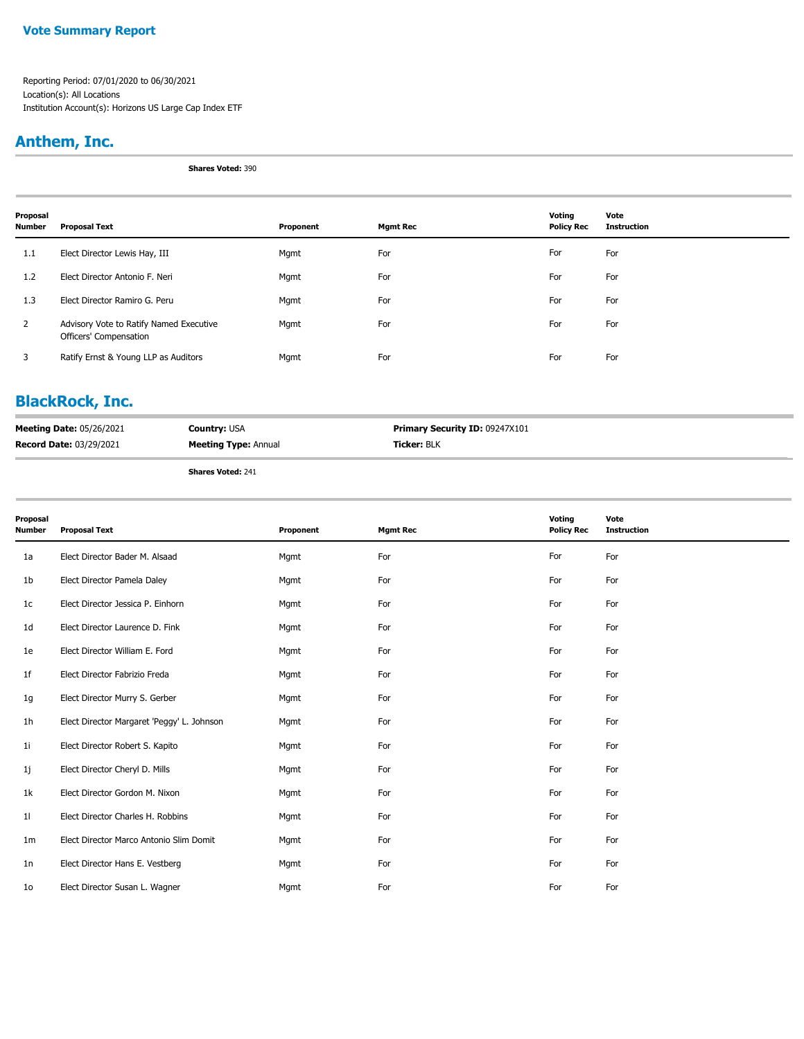#### **Vote Summary Report**

Reporting Period: 07/01/2020 to 06/30/2021 Location(s): All Locations Institution Account(s): Horizons US Large Cap Index ETF

### **Anthem, Inc.**

**Shares Voted:** 390

| Proposal<br><b>Number</b> | <b>Proposal Text</b>                                              | Proponent | <b>Mgmt Rec</b> | Voting<br><b>Policy Rec</b> | Vote<br><b>Instruction</b> |
|---------------------------|-------------------------------------------------------------------|-----------|-----------------|-----------------------------|----------------------------|
| 1.1                       | Elect Director Lewis Hay, III                                     | Mgmt      | For             | For                         | For                        |
| 1.2                       | Elect Director Antonio F. Neri                                    | Mgmt      | For             | For                         | For                        |
| 1.3                       | Elect Director Ramiro G. Peru                                     | Mgmt      | For             | For                         | For                        |
| 2                         | Advisory Vote to Ratify Named Executive<br>Officers' Compensation | Mgmt      | For             | For                         | For                        |
| 3                         | Ratify Ernst & Young LLP as Auditors                              | Mgmt      | For             | For                         | For                        |

## **BlackRock, Inc.**

| <b>Meeting Date: 05/26/2021</b> | <b>Country: USA</b>         | <b>Primary Security ID: 09247X101</b> |
|---------------------------------|-----------------------------|---------------------------------------|
| <b>Record Date: 03/29/2021</b>  | <b>Meeting Type: Annual</b> | <b>Ticker:</b> BLK                    |
|                                 |                             |                                       |

| Proposal<br><b>Number</b> | <b>Proposal Text</b>                       | Proponent | <b>Mgmt Rec</b> | Voting<br><b>Policy Rec</b> | Vote<br><b>Instruction</b> |
|---------------------------|--------------------------------------------|-----------|-----------------|-----------------------------|----------------------------|
| 1a                        | Elect Director Bader M. Alsaad             | Mgmt      | For             | For                         | For                        |
| 1b                        | Elect Director Pamela Daley                | Mgmt      | For             | For                         | For                        |
| 1c                        | Elect Director Jessica P. Einhorn          | Mgmt      | For             | For                         | For                        |
| 1d                        | Elect Director Laurence D. Fink            | Mgmt      | For             | For                         | For                        |
| 1e                        | Elect Director William E. Ford             | Mgmt      | For             | For                         | For                        |
| 1f                        | Elect Director Fabrizio Freda              | Mgmt      | For             | For                         | For                        |
| 1g                        | Elect Director Murry S. Gerber             | Mgmt      | For             | For                         | For                        |
| 1h                        | Elect Director Margaret 'Peggy' L. Johnson | Mgmt      | For             | For                         | For                        |
| 11                        | Elect Director Robert S. Kapito            | Mgmt      | For             | For                         | For                        |
| 1j                        | Elect Director Cheryl D. Mills             | Mgmt      | For             | For                         | For                        |
| 1k                        | Elect Director Gordon M. Nixon             | Mgmt      | For             | For                         | For                        |
| 11                        | Elect Director Charles H. Robbins          | Mgmt      | For             | For                         | For                        |
| 1m                        | Elect Director Marco Antonio Slim Domit    | Mgmt      | For             | For                         | For                        |
| 1n                        | Elect Director Hans E. Vestberg            | Mgmt      | For             | For                         | For                        |
| 10 <sup>°</sup>           | Elect Director Susan L. Wagner             | Mgmt      | For             | For                         | For                        |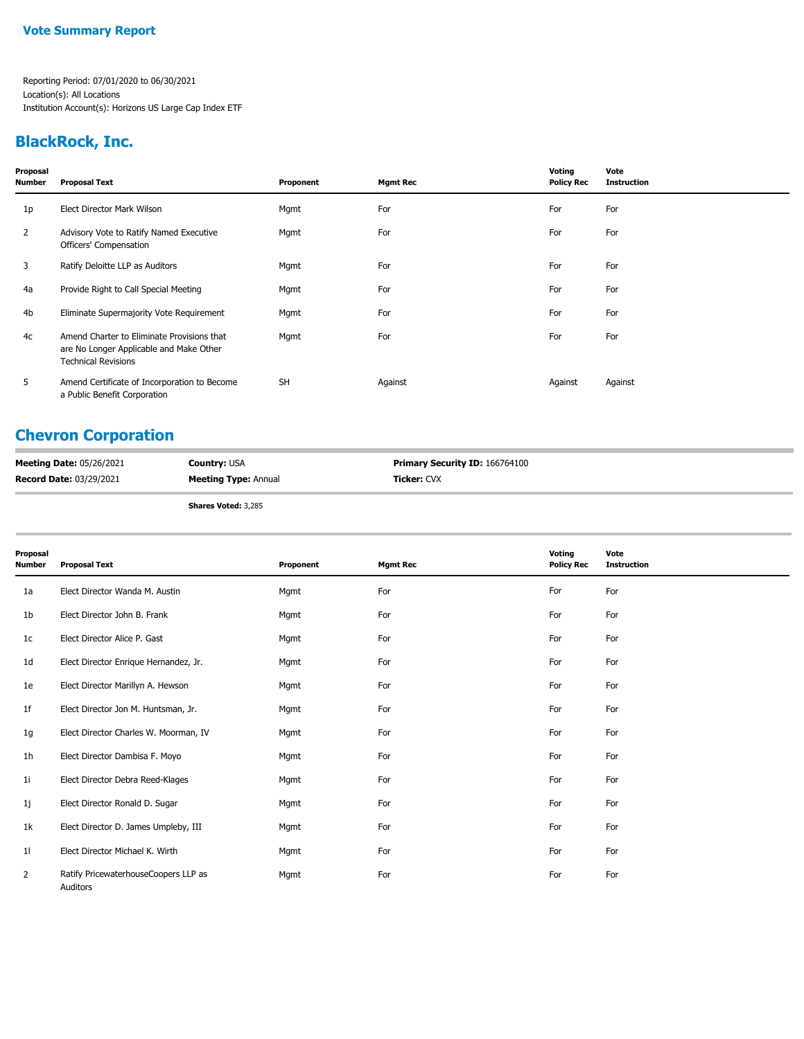## **BlackRock, Inc.**

| Proposal<br>Number | <b>Proposal Text</b>                                                                                                | Proponent | <b>Mgmt Rec</b> | Voting<br><b>Policy Rec</b> | Vote<br><b>Instruction</b> |
|--------------------|---------------------------------------------------------------------------------------------------------------------|-----------|-----------------|-----------------------------|----------------------------|
| 1p                 | Elect Director Mark Wilson                                                                                          | Mgmt      | For             | For                         | For                        |
| $\overline{2}$     | Advisory Vote to Ratify Named Executive<br>Officers' Compensation                                                   | Mgmt      | For             | For                         | For                        |
| 3                  | Ratify Deloitte LLP as Auditors                                                                                     | Mgmt      | For             | For                         | For                        |
| 4a                 | Provide Right to Call Special Meeting                                                                               | Mgmt      | For             | For                         | For                        |
| 4b                 | Eliminate Supermajority Vote Requirement                                                                            | Mgmt      | For             | For                         | For                        |
| 4c                 | Amend Charter to Eliminate Provisions that<br>are No Longer Applicable and Make Other<br><b>Technical Revisions</b> | Mgmt      | For             | For                         | For                        |
| 5                  | Amend Certificate of Incorporation to Become<br>a Public Benefit Corporation                                        | <b>SH</b> | Against         | Against                     | Against                    |

## **Chevron Corporation**

| <b>Meeting Date: 05/26/2021</b> | <b>Country: USA</b>         | Primary Security ID: 166764100 |
|---------------------------------|-----------------------------|--------------------------------|
| <b>Record Date: 03/29/2021</b>  | <b>Meeting Type: Annual</b> | <b>Ticker: CVX</b>             |
|                                 | <b>Shares Voted: 3,285</b>  |                                |

| Proposal<br><b>Number</b> | <b>Proposal Text</b>                             | Proponent | <b>Mgmt Rec</b> | Voting<br><b>Policy Rec</b> | Vote<br><b>Instruction</b> |
|---------------------------|--------------------------------------------------|-----------|-----------------|-----------------------------|----------------------------|
| 1a                        | Elect Director Wanda M. Austin                   | Mgmt      | For             | For                         | For                        |
| 1b                        | Elect Director John B. Frank                     | Mgmt      | For             | For                         | For                        |
| 1c                        | Elect Director Alice P. Gast                     | Mgmt      | For             | For                         | For                        |
| 1 <sub>d</sub>            | Elect Director Enrique Hernandez, Jr.            | Mgmt      | For             | For                         | For                        |
| 1e                        | Elect Director Marillyn A. Hewson                | Mgmt      | For             | For                         | For                        |
| 1f                        | Elect Director Jon M. Huntsman, Jr.              | Mgmt      | For             | For                         | For                        |
| 1g                        | Elect Director Charles W. Moorman, IV            | Mgmt      | For             | For                         | For                        |
| 1h                        | Elect Director Dambisa F. Moyo                   | Mgmt      | For             | For                         | For                        |
| 1i                        | Elect Director Debra Reed-Klages                 | Mgmt      | For             | For                         | For                        |
| 1j                        | Elect Director Ronald D. Sugar                   | Mgmt      | For             | For                         | For                        |
| 1k                        | Elect Director D. James Umpleby, III             | Mgmt      | For             | For                         | For                        |
| 11                        | Elect Director Michael K. Wirth                  | Mgmt      | For             | For                         | For                        |
| 2                         | Ratify PricewaterhouseCoopers LLP as<br>Auditors | Mgmt      | For             | For                         | For                        |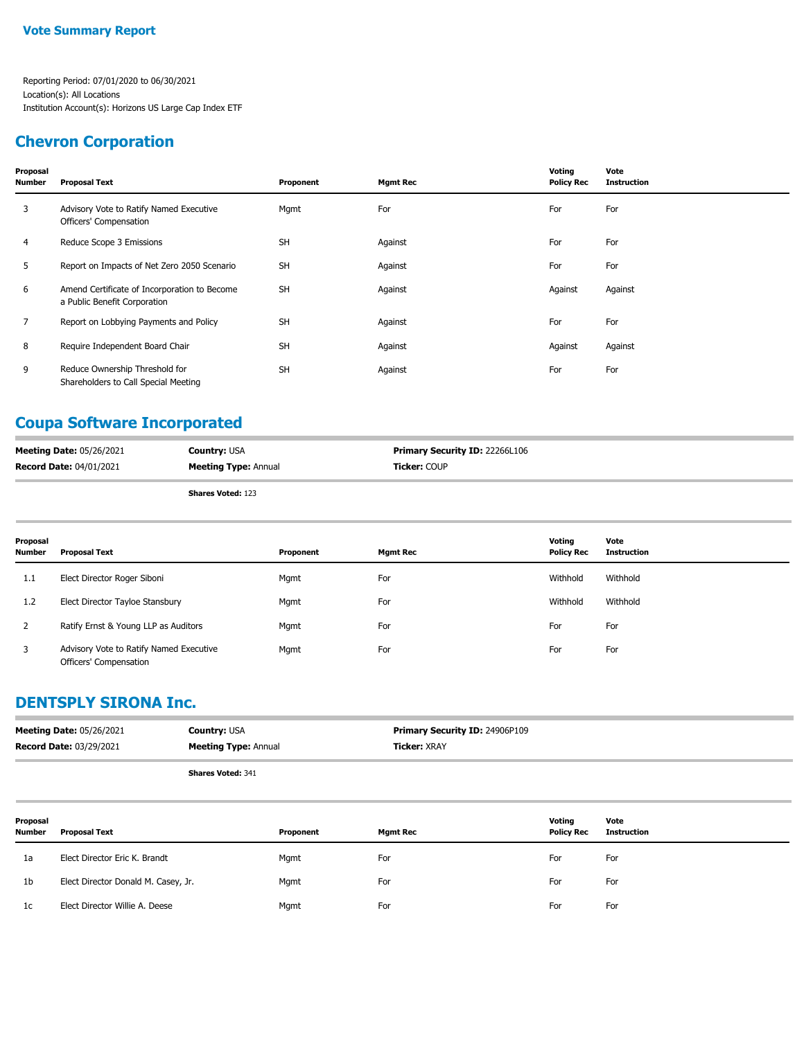### **Chevron Corporation**

| Proposal<br><b>Number</b> | <b>Proposal Text</b>                                                         | Proponent | <b>Mgmt Rec</b> | Voting<br><b>Policy Rec</b> | Vote<br><b>Instruction</b> |
|---------------------------|------------------------------------------------------------------------------|-----------|-----------------|-----------------------------|----------------------------|
| 3                         | Advisory Vote to Ratify Named Executive<br>Officers' Compensation            | Mgmt      | For             | For                         | For                        |
| 4                         | Reduce Scope 3 Emissions                                                     | <b>SH</b> | Against         | For                         | For                        |
| 5                         | Report on Impacts of Net Zero 2050 Scenario                                  | <b>SH</b> | Against         | For                         | For                        |
| 6                         | Amend Certificate of Incorporation to Become<br>a Public Benefit Corporation | <b>SH</b> | Against         | Against                     | Against                    |
| $\overline{7}$            | Report on Lobbying Payments and Policy                                       | <b>SH</b> | Against         | For                         | For                        |
| 8                         | Require Independent Board Chair                                              | <b>SH</b> | Against         | Against                     | Against                    |
| 9                         | Reduce Ownership Threshold for<br>Shareholders to Call Special Meeting       | <b>SH</b> | Against         | For                         | For                        |

## **Coupa Software Incorporated**

| <b>Meeting Date: 05/26/2021</b> | <b>Country: USA</b>         | <b>Primary Security ID: 22266L106</b> |
|---------------------------------|-----------------------------|---------------------------------------|
| <b>Record Date: 04/01/2021</b>  | <b>Meeting Type: Annual</b> | <b>Ticker: COUP</b>                   |
|                                 |                             |                                       |

**Shares Voted:** 123

| Proposal<br><b>Number</b> | Proposal Text                                                     | Proponent | <b>Mgmt Rec</b> | Votina<br><b>Policy Rec</b> | Vote<br>Instruction |
|---------------------------|-------------------------------------------------------------------|-----------|-----------------|-----------------------------|---------------------|
| 1.1                       | Elect Director Roger Siboni                                       | Mgmt      | For             | Withhold                    | Withhold            |
| 1.2                       | Elect Director Tayloe Stansbury                                   | Mgmt      | For             | Withhold                    | Withhold            |
|                           | Ratify Ernst & Young LLP as Auditors                              | Mgmt      | For             | For                         | For                 |
| 3                         | Advisory Vote to Ratify Named Executive<br>Officers' Compensation | Mgmt      | For             | For                         | For                 |

### **DENTSPLY SIRONA Inc.**

| <b>Meeting Date: 05/26/2021</b> | <b>Country: USA</b>         | <b>Primary Security ID: 24906P109</b> |
|---------------------------------|-----------------------------|---------------------------------------|
| <b>Record Date: 03/29/2021</b>  | <b>Meeting Type: Annual</b> | <b>Ticker:</b> XRAY                   |
|                                 | <b>Shares Voted: 341</b>    |                                       |

| Proposal<br><b>Number</b> | Proposal Text                       | Proponent | Mgmt Rec | Voting<br><b>Policy Rec</b> | Vote<br><b>Instruction</b> |
|---------------------------|-------------------------------------|-----------|----------|-----------------------------|----------------------------|
| 1a                        | Elect Director Eric K. Brandt       | Mgmt      | For      | For                         | For                        |
| 1b                        | Elect Director Donald M. Casey, Jr. | Mgmt      | For      | For                         | For                        |
| 1c                        | Elect Director Willie A. Deese      | Mgmt      | For      | For                         | For                        |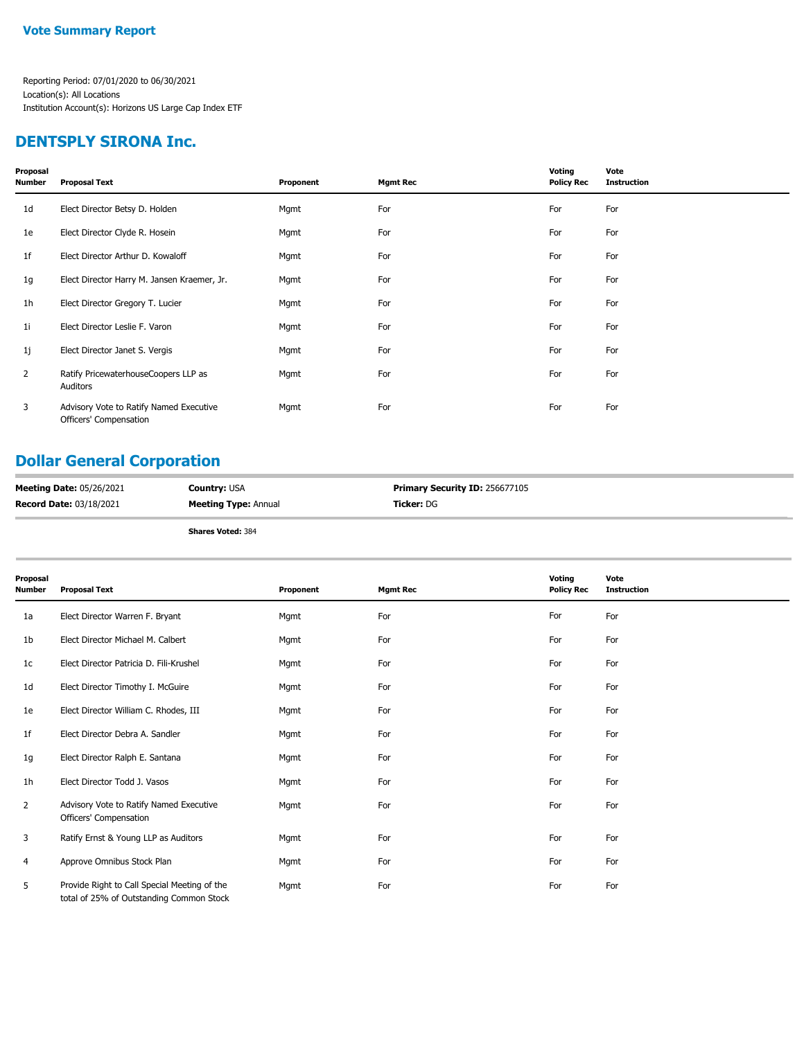### **DENTSPLY SIRONA Inc.**

| Proposal<br>Number | <b>Proposal Text</b>                                              | Proponent | <b>Mgmt Rec</b> | Voting<br><b>Policy Rec</b> | Vote<br><b>Instruction</b> |
|--------------------|-------------------------------------------------------------------|-----------|-----------------|-----------------------------|----------------------------|
| 1d                 | Elect Director Betsy D. Holden                                    | Mgmt      | For             | For                         | For                        |
| 1e                 | Elect Director Clyde R. Hosein                                    | Mgmt      | For             | For                         | For                        |
| 1f                 | Elect Director Arthur D. Kowaloff                                 | Mgmt      | For             | For                         | For                        |
| 1g                 | Elect Director Harry M. Jansen Kraemer, Jr.                       | Mgmt      | For             | For                         | For                        |
| 1h                 | Elect Director Gregory T. Lucier                                  | Mgmt      | For             | For                         | For                        |
| 1i                 | Elect Director Leslie F. Varon                                    | Mgmt      | For             | For                         | For                        |
| 1j                 | Elect Director Janet S. Vergis                                    | Mgmt      | For             | For                         | For                        |
| $\overline{2}$     | Ratify PricewaterhouseCoopers LLP as<br>Auditors                  | Mgmt      | For             | For                         | For                        |
| 3                  | Advisory Vote to Ratify Named Executive<br>Officers' Compensation | Mgmt      | For             | For                         | For                        |

## **Dollar General Corporation**

| <b>Meeting Date: 05/26/2021</b> | <b>Country:</b> USA         | <b>Primary Security ID: 256677105</b> |
|---------------------------------|-----------------------------|---------------------------------------|
| <b>Record Date: 03/18/2021</b>  | <b>Meeting Type: Annual</b> | <b>Ticker:</b> DG                     |

| Proposal<br>Number | <b>Proposal Text</b>                                                                     | Proponent | <b>Mgmt Rec</b> | Voting<br><b>Policy Rec</b> | Vote<br><b>Instruction</b> |
|--------------------|------------------------------------------------------------------------------------------|-----------|-----------------|-----------------------------|----------------------------|
| 1a                 | Elect Director Warren F. Bryant                                                          | Mgmt      | For             | For                         | For                        |
| 1b                 | Elect Director Michael M. Calbert                                                        | Mgmt      | For             | For                         | For                        |
| 1c                 | Elect Director Patricia D. Fili-Krushel                                                  | Mgmt      | For             | For                         | For                        |
| 1d                 | Elect Director Timothy I. McGuire                                                        | Mgmt      | For             | For                         | For                        |
| 1e                 | Elect Director William C. Rhodes, III                                                    | Mgmt      | For             | For                         | For                        |
| 1f                 | Elect Director Debra A. Sandler                                                          | Mgmt      | For             | For                         | For                        |
| 1g                 | Elect Director Ralph E. Santana                                                          | Mgmt      | For             | For                         | For                        |
| 1h                 | Elect Director Todd J. Vasos                                                             | Mgmt      | For             | For                         | For                        |
| $\overline{2}$     | Advisory Vote to Ratify Named Executive<br>Officers' Compensation                        | Mgmt      | For             | For                         | For                        |
| 3                  | Ratify Ernst & Young LLP as Auditors                                                     | Mgmt      | For             | For                         | For                        |
| 4                  | Approve Omnibus Stock Plan                                                               | Mgmt      | For             | For                         | For                        |
| 5                  | Provide Right to Call Special Meeting of the<br>total of 25% of Outstanding Common Stock | Mgmt      | For             | For                         | For                        |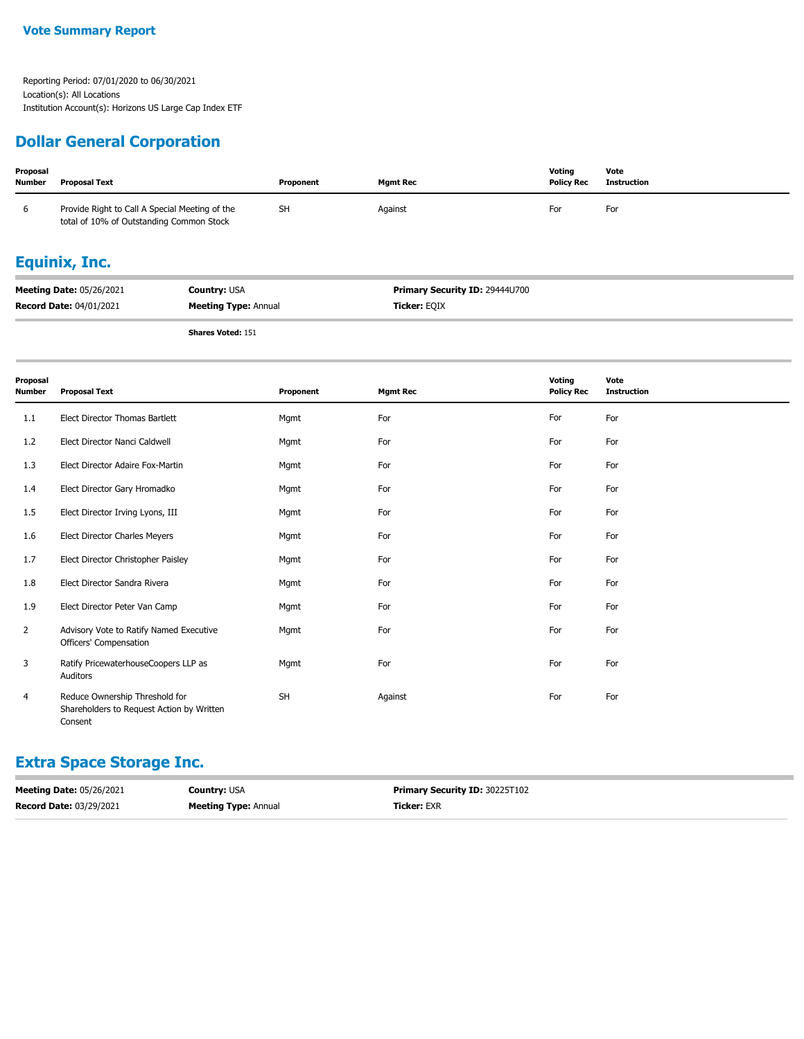### **Dollar General Corporation**

| Proposal<br><b>Number</b> | <b>Proposal Text</b>                                                                       |                                             | Proponent | <b>Mgmt Rec</b>                                | Voting<br><b>Policy Rec</b> | Vote<br><b>Instruction</b> |  |  |  |
|---------------------------|--------------------------------------------------------------------------------------------|---------------------------------------------|-----------|------------------------------------------------|-----------------------------|----------------------------|--|--|--|
| 6                         | Provide Right to Call A Special Meeting of the<br>total of 10% of Outstanding Common Stock |                                             | <b>SH</b> | Against                                        | For                         | For                        |  |  |  |
|                           | <b>Equinix, Inc.</b>                                                                       |                                             |           |                                                |                             |                            |  |  |  |
|                           | Meeting Date: 05/26/2021<br>Record Date: 04/01/2021                                        | Country: USA<br><b>Meeting Type: Annual</b> |           | Primary Security ID: 29444U700<br>Ticker: EQIX |                             |                            |  |  |  |
|                           |                                                                                            | <b>Shares Voted: 151</b>                    |           |                                                |                             |                            |  |  |  |
| Proposal<br><b>Number</b> | <b>Proposal Text</b>                                                                       |                                             | Proponent | <b>Mgmt Rec</b>                                | Voting<br><b>Policy Rec</b> | Vote<br><b>Instruction</b> |  |  |  |
| 1.1                       | Elect Director Thomas Bartlett                                                             |                                             | Mgmt      | For                                            | For                         | For                        |  |  |  |
| 1.2                       | Elect Director Nanci Caldwell                                                              |                                             | Mgmt      | For                                            | For                         | For                        |  |  |  |
| 1.3                       | Elect Director Adaire Fox-Martin                                                           |                                             | Mgmt      | For                                            | For                         | For                        |  |  |  |
| 1.4                       | Elect Director Gary Hromadko                                                               |                                             | Mgmt      | For                                            | For                         | For                        |  |  |  |
| 1.5                       | Elect Director Irving Lyons, III                                                           |                                             | Mgmt      | For                                            | For                         | For                        |  |  |  |
| 1.6                       | Elect Director Charles Meyers                                                              |                                             | Mgmt      | For                                            | For                         | For                        |  |  |  |
| 1.7                       | Elect Director Christopher Paisley                                                         |                                             | Mgmt      | For                                            | For                         | For                        |  |  |  |
| 1.8                       | Elect Director Sandra Rivera                                                               |                                             | Mgmt      | For                                            | For                         | For                        |  |  |  |
| 1.9                       | Elect Director Peter Van Camp                                                              |                                             | Mgmt      | For                                            | For                         | For                        |  |  |  |
| 2                         | Advisory Vote to Ratify Named Executive<br>Officers' Compensation                          |                                             | Mgmt      | For                                            | For                         | For                        |  |  |  |
| 3                         | Ratify PricewaterhouseCoopers LLP as<br>Auditors                                           |                                             | Mgmt      | For                                            | For                         | For                        |  |  |  |
| 4                         | Reduce Ownership Threshold for<br>Shareholders to Request Action by Written<br>Consent     |                                             | <b>SH</b> | Against                                        | For                         | For                        |  |  |  |

### **Extra Space Storage Inc.**

| <b>Meeting Date: 05/26/2021</b> | <b>Country: USA</b>         | <b>Primary Security ID: 30225T102</b> |
|---------------------------------|-----------------------------|---------------------------------------|
| <b>Record Date: 03/29/2021</b>  | <b>Meeting Type: Annual</b> | <b>Ticker:</b> EXR                    |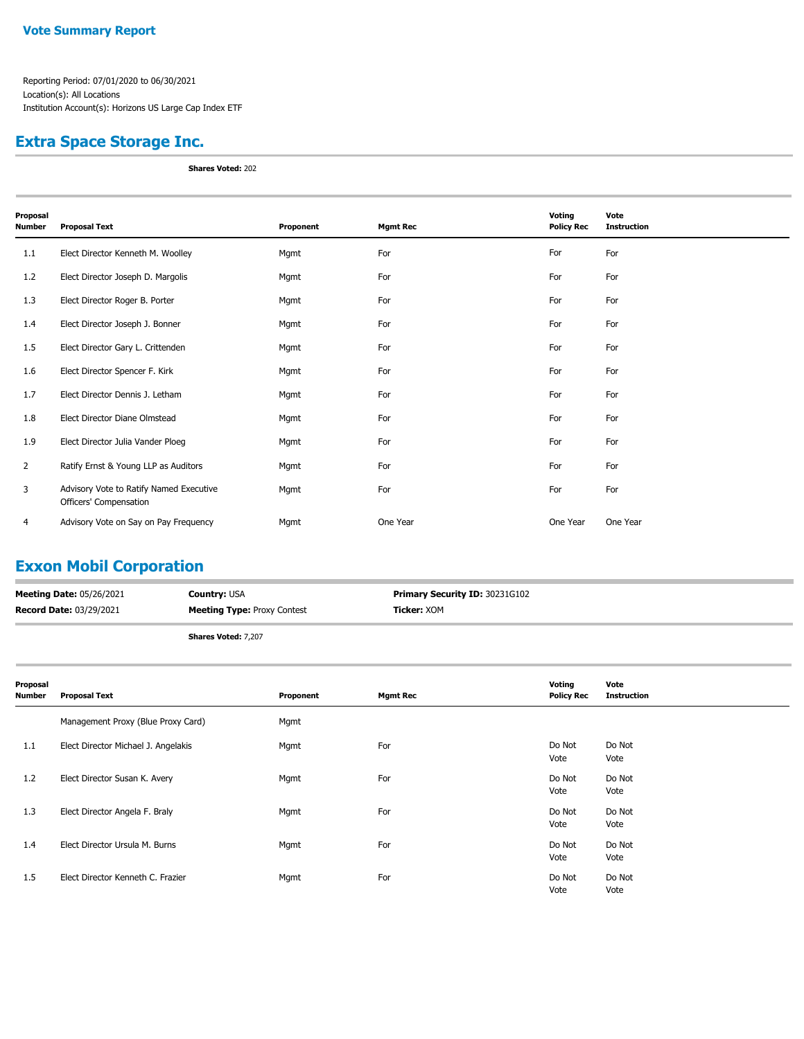### **Extra Space Storage Inc.**

**Shares Voted:** 202

| Proposal<br><b>Number</b> | <b>Proposal Text</b>                                              | Proponent | <b>Mgmt Rec</b> | <b>Voting</b><br><b>Policy Rec</b> | Vote<br><b>Instruction</b> |
|---------------------------|-------------------------------------------------------------------|-----------|-----------------|------------------------------------|----------------------------|
| 1.1                       | Elect Director Kenneth M. Woolley                                 | Mgmt      | For             | For                                | For                        |
| 1.2                       | Elect Director Joseph D. Margolis                                 | Mgmt      | For             | For                                | For                        |
| 1.3                       | Elect Director Roger B. Porter                                    | Mgmt      | For             | For                                | For                        |
| 1.4                       | Elect Director Joseph J. Bonner                                   | Mgmt      | For             | For                                | For                        |
| 1.5                       | Elect Director Gary L. Crittenden                                 | Mgmt      | For             | For                                | For                        |
| 1.6                       | Elect Director Spencer F. Kirk                                    | Mgmt      | For             | For                                | For                        |
| 1.7                       | Elect Director Dennis J. Letham                                   | Mgmt      | For             | For                                | For                        |
| 1.8                       | Elect Director Diane Olmstead                                     | Mgmt      | For             | For                                | For                        |
| 1.9                       | Elect Director Julia Vander Ploeg                                 | Mgmt      | For             | For                                | For                        |
| $\overline{2}$            | Ratify Ernst & Young LLP as Auditors                              | Mgmt      | For             | For                                | For                        |
| 3                         | Advisory Vote to Ratify Named Executive<br>Officers' Compensation | Mgmt      | For             | For                                | For                        |
| 4                         | Advisory Vote on Say on Pay Frequency                             | Mgmt      | One Year        | One Year                           | One Year                   |

# **Exxon Mobil Corporation**

| <b>Meeting Date: 05/26/2021</b> | <b>Country: USA</b>                | <b>Primary Security ID: 30231G102</b> |
|---------------------------------|------------------------------------|---------------------------------------|
| Record Date: 03/29/2021         | <b>Meeting Type: Proxy Contest</b> | <b>Ticker:</b> XOM                    |
|                                 | <b>Shares Voted: 7,207</b>         |                                       |

| Proposal<br>Number | <b>Proposal Text</b>                | Proponent | <b>Mgmt Rec</b> | Voting<br><b>Policy Rec</b> | Vote<br><b>Instruction</b> |
|--------------------|-------------------------------------|-----------|-----------------|-----------------------------|----------------------------|
|                    | Management Proxy (Blue Proxy Card)  | Mgmt      |                 |                             |                            |
| 1.1                | Elect Director Michael J. Angelakis | Mgmt      | For             | Do Not<br>Vote              | Do Not<br>Vote             |
| 1.2                | Elect Director Susan K. Avery       | Mgmt      | For             | Do Not<br>Vote              | Do Not<br>Vote             |
| 1.3                | Elect Director Angela F. Braly      | Mgmt      | For             | Do Not<br>Vote              | Do Not<br>Vote             |
| 1.4                | Elect Director Ursula M. Burns      | Mgmt      | For             | Do Not<br>Vote              | Do Not<br>Vote             |
| 1.5                | Elect Director Kenneth C. Frazier   | Mgmt      | For             | Do Not<br>Vote              | Do Not<br>Vote             |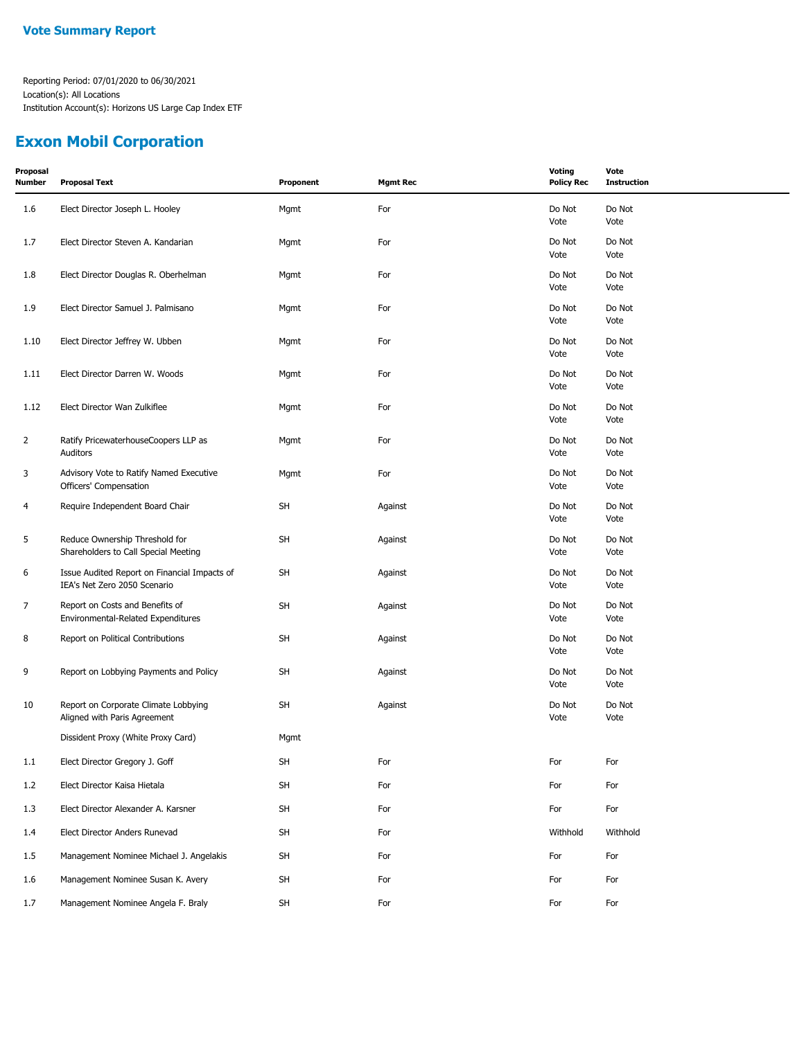### **Exxon Mobil Corporation**

| Proposal<br><b>Number</b> | <b>Proposal Text</b>                                                         | Proponent | <b>Mgmt Rec</b> | <b>Voting</b><br><b>Policy Rec</b> | Vote<br><b>Instruction</b> |
|---------------------------|------------------------------------------------------------------------------|-----------|-----------------|------------------------------------|----------------------------|
| 1.6                       | Elect Director Joseph L. Hooley                                              | Mgmt      | For             | Do Not<br>Vote                     | Do Not<br>Vote             |
| 1.7                       | Elect Director Steven A. Kandarian                                           | Mgmt      | For             | Do Not<br>Vote                     | Do Not<br>Vote             |
| 1.8                       | Elect Director Douglas R. Oberhelman                                         | Mgmt      | For             | Do Not<br>Vote                     | Do Not<br>Vote             |
| 1.9                       | Elect Director Samuel J. Palmisano                                           | Mgmt      | For             | Do Not<br>Vote                     | Do Not<br>Vote             |
| 1.10                      | Elect Director Jeffrey W. Ubben                                              | Mgmt      | For             | Do Not<br>Vote                     | Do Not<br>Vote             |
| 1.11                      | Elect Director Darren W. Woods                                               | Mgmt      | For             | Do Not<br>Vote                     | Do Not<br>Vote             |
| 1.12                      | Elect Director Wan Zulkiflee                                                 | Mgmt      | For             | Do Not<br>Vote                     | Do Not<br>Vote             |
| $\overline{2}$            | Ratify PricewaterhouseCoopers LLP as<br>Auditors                             | Mgmt      | For             | Do Not<br>Vote                     | Do Not<br>Vote             |
| 3                         | Advisory Vote to Ratify Named Executive<br>Officers' Compensation            | Mgmt      | For             | Do Not<br>Vote                     | Do Not<br>Vote             |
| 4                         | Require Independent Board Chair                                              | <b>SH</b> | Against         | Do Not<br>Vote                     | Do Not<br>Vote             |
| 5                         | Reduce Ownership Threshold for<br>Shareholders to Call Special Meeting       | <b>SH</b> | Against         | Do Not<br>Vote                     | Do Not<br>Vote             |
| 6                         | Issue Audited Report on Financial Impacts of<br>IEA's Net Zero 2050 Scenario | SH        | Against         | Do Not<br>Vote                     | Do Not<br>Vote             |
| $\overline{7}$            | Report on Costs and Benefits of<br>Environmental-Related Expenditures        | <b>SH</b> | Against         | Do Not<br>Vote                     | Do Not<br>Vote             |
| 8                         | Report on Political Contributions                                            | <b>SH</b> | Against         | Do Not<br>Vote                     | Do Not<br>Vote             |
| 9                         | Report on Lobbying Payments and Policy                                       | SH        | Against         | Do Not<br>Vote                     | Do Not<br>Vote             |
| 10                        | Report on Corporate Climate Lobbying<br>Aligned with Paris Agreement         | SH        | Against         | Do Not<br>Vote                     | Do Not<br>Vote             |
|                           | Dissident Proxy (White Proxy Card)                                           | Mgmt      |                 |                                    |                            |
| 1.1                       | Elect Director Gregory J. Goff                                               | SH        | For             | For                                | For                        |
| 1.2                       | Elect Director Kaisa Hietala                                                 | <b>SH</b> | For             | For                                | For                        |
| 1.3                       | Elect Director Alexander A. Karsner                                          | <b>SH</b> | For             | For                                | For                        |
| 1.4                       | Elect Director Anders Runevad                                                | <b>SH</b> | For             | Withhold                           | Withhold                   |
| 1.5                       | Management Nominee Michael J. Angelakis                                      | <b>SH</b> | For             | For                                | For                        |
| 1.6                       | Management Nominee Susan K. Avery                                            | <b>SH</b> | For             | For                                | For                        |
| 1.7                       | Management Nominee Angela F. Braly                                           | SH        | For             | For                                | For                        |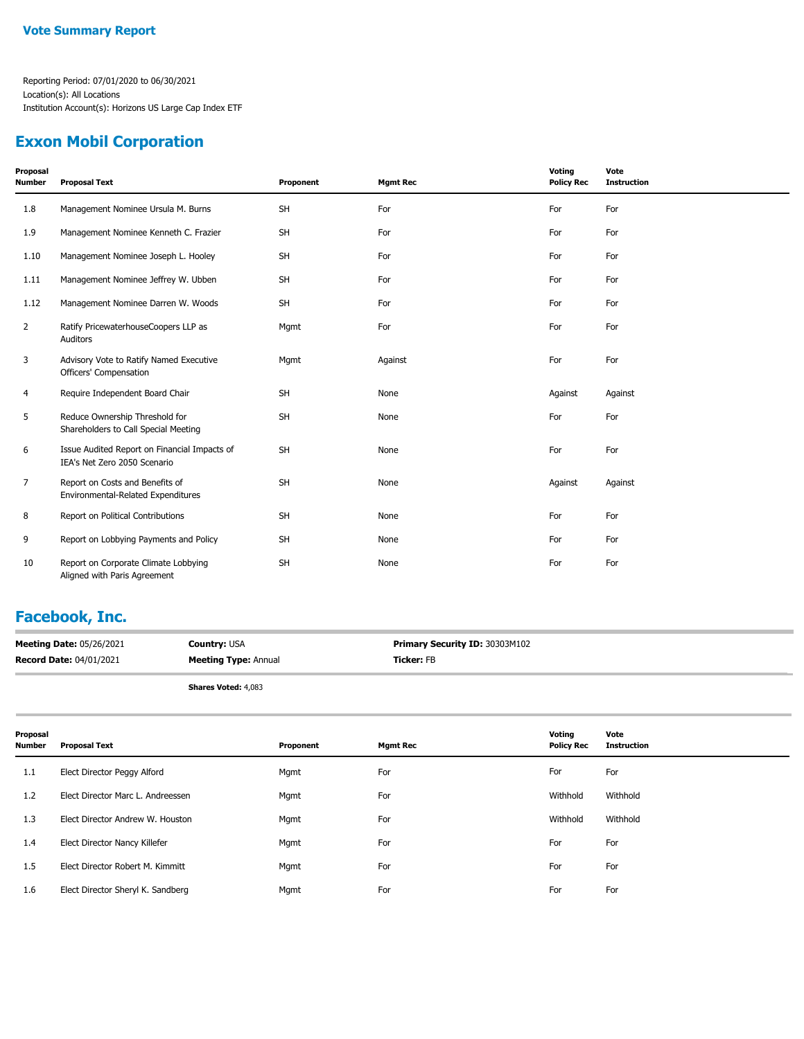### **Exxon Mobil Corporation**

| Proposal<br><b>Number</b> | <b>Proposal Text</b>                                                         | Proponent | <b>Mgmt Rec</b> | Voting<br><b>Policy Rec</b> | Vote<br><b>Instruction</b> |
|---------------------------|------------------------------------------------------------------------------|-----------|-----------------|-----------------------------|----------------------------|
| 1.8                       | Management Nominee Ursula M. Burns                                           | SH        | For             | For                         | For                        |
| 1.9                       | Management Nominee Kenneth C. Frazier                                        | <b>SH</b> | For             | For                         | For                        |
| 1.10                      | Management Nominee Joseph L. Hooley                                          | <b>SH</b> | For             | For                         | For                        |
| 1.11                      | Management Nominee Jeffrey W. Ubben                                          | SH        | For             | For                         | For                        |
| 1.12                      | Management Nominee Darren W. Woods                                           | <b>SH</b> | For             | For                         | For                        |
| $\overline{2}$            | Ratify PricewaterhouseCoopers LLP as<br>Auditors                             | Mgmt      | For             | For                         | For                        |
| 3                         | Advisory Vote to Ratify Named Executive<br>Officers' Compensation            | Mgmt      | Against         | For                         | For                        |
| 4                         | Require Independent Board Chair                                              | <b>SH</b> | None            | Against                     | Against                    |
| 5                         | Reduce Ownership Threshold for<br>Shareholders to Call Special Meeting       | SH        | None            | For                         | For                        |
| 6                         | Issue Audited Report on Financial Impacts of<br>IEA's Net Zero 2050 Scenario | <b>SH</b> | None            | For                         | For                        |
| $\overline{7}$            | Report on Costs and Benefits of<br>Environmental-Related Expenditures        | <b>SH</b> | None            | Against                     | Against                    |
| 8                         | Report on Political Contributions                                            | <b>SH</b> | None            | For                         | For                        |
| 9                         | Report on Lobbying Payments and Policy                                       | <b>SH</b> | None            | For                         | For                        |
| 10                        | Report on Corporate Climate Lobbying<br>Aligned with Paris Agreement         | <b>SH</b> | None            | For                         | For                        |

## **Facebook, Inc.**

| <b>Meeting Date: 05/26/2021</b> | <b>Country: USA</b>         | <b>Primary Security ID: 30303M102</b> |
|---------------------------------|-----------------------------|---------------------------------------|
| <b>Record Date: 04/01/2021</b>  | <b>Meeting Type: Annual</b> | <b>Ticker:</b> FB                     |
|                                 |                             |                                       |

**Shares Voted:** 4,083

| Proposal<br>Number | <b>Proposal Text</b>              | Proponent | <b>Mgmt Rec</b> | Voting<br><b>Policy Rec</b> | Vote<br><b>Instruction</b> |
|--------------------|-----------------------------------|-----------|-----------------|-----------------------------|----------------------------|
| 1.1                | Elect Director Peggy Alford       | Mgmt      | For             | For                         | For                        |
| 1.2                | Elect Director Marc L. Andreessen | Mgmt      | For             | Withhold                    | Withhold                   |
| 1.3                | Elect Director Andrew W. Houston  | Mgmt      | For             | Withhold                    | Withhold                   |
| 1.4                | Elect Director Nancy Killefer     | Mgmt      | For             | For                         | For                        |
| 1.5                | Elect Director Robert M. Kimmitt  | Mgmt      | For             | For                         | For                        |
| 1.6                | Elect Director Sheryl K. Sandberg | Mgmt      | For             | For                         | For                        |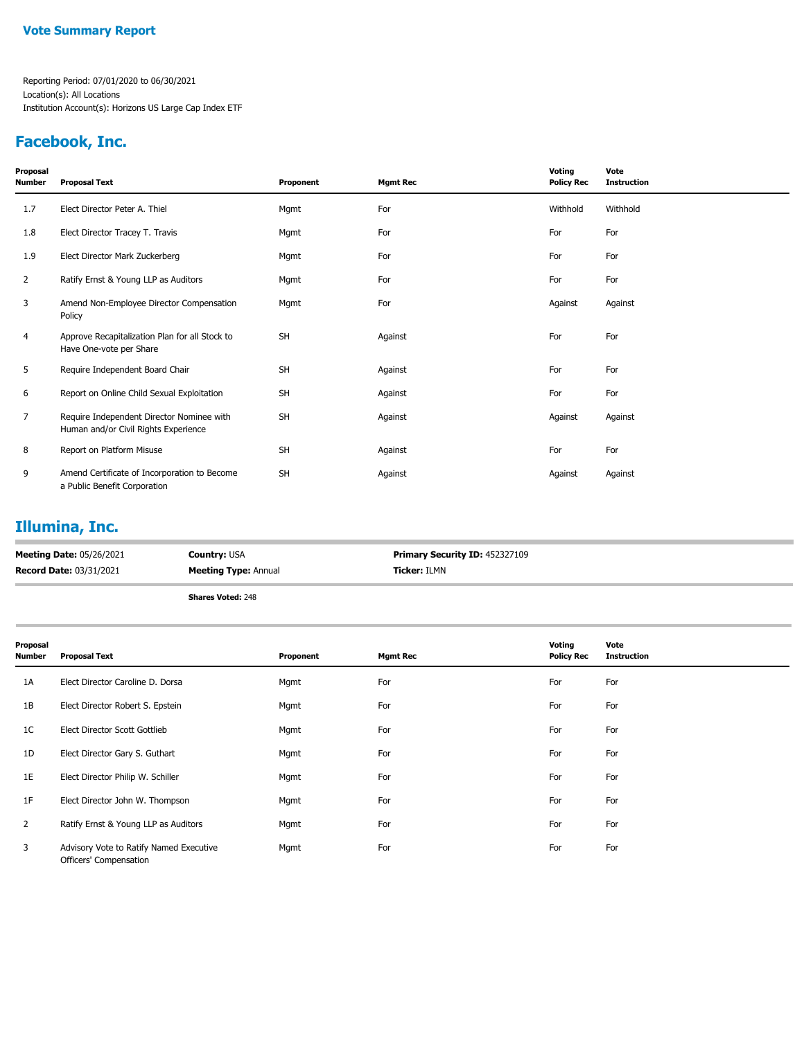### **Facebook, Inc.**

| Proposal<br><b>Number</b> | <b>Proposal Text</b>                                                              | Proponent | <b>Mgmt Rec</b> | Voting<br><b>Policy Rec</b> | Vote<br><b>Instruction</b> |
|---------------------------|-----------------------------------------------------------------------------------|-----------|-----------------|-----------------------------|----------------------------|
| 1.7                       | Elect Director Peter A. Thiel                                                     | Mgmt      | For             | Withhold                    | Withhold                   |
| 1.8                       | Elect Director Tracey T. Travis                                                   | Mgmt      | For             | For                         | For                        |
| 1.9                       | Elect Director Mark Zuckerberg                                                    | Mgmt      | For             | For                         | For                        |
| 2                         | Ratify Ernst & Young LLP as Auditors                                              | Mgmt      | For             | For                         | For                        |
| 3                         | Amend Non-Employee Director Compensation<br>Policy                                | Mgmt      | For             | Against                     | Against                    |
| 4                         | Approve Recapitalization Plan for all Stock to<br>Have One-vote per Share         | <b>SH</b> | Against         | For                         | For                        |
| 5                         | Require Independent Board Chair                                                   | <b>SH</b> | Against         | For                         | For                        |
| 6                         | Report on Online Child Sexual Exploitation                                        | SH        | Against         | For                         | For                        |
| $\overline{7}$            | Require Independent Director Nominee with<br>Human and/or Civil Rights Experience | SH        | Against         | Against                     | Against                    |
| 8                         | Report on Platform Misuse                                                         | SH        | Against         | For                         | For                        |
| 9                         | Amend Certificate of Incorporation to Become<br>a Public Benefit Corporation      | <b>SH</b> | Against         | Against                     | Against                    |

# **Illumina, Inc.**

| <b>Meeting Date: 05/26/2021</b> | <b>Country: USA</b>         | <b>Primary Security ID: 452327109</b> |
|---------------------------------|-----------------------------|---------------------------------------|
| <b>Record Date: 03/31/2021</b>  | <b>Meeting Type: Annual</b> | <b>Ticker:</b> ILMN                   |
|                                 | <b>Shares Voted: 248</b>    |                                       |

| Proposal<br>Number | <b>Proposal Text</b>                                              | Proponent | <b>Mgmt Rec</b> | Voting<br><b>Policy Rec</b> | Vote<br><b>Instruction</b> |
|--------------------|-------------------------------------------------------------------|-----------|-----------------|-----------------------------|----------------------------|
| 1A                 | Elect Director Caroline D. Dorsa                                  | Mgmt      | For             | For                         | For                        |
| 1B                 | Elect Director Robert S. Epstein                                  | Mgmt      | For             | For                         | For                        |
| 1C                 | Elect Director Scott Gottlieb                                     | Mgmt      | For             | For                         | For                        |
| 1D                 | Elect Director Gary S. Guthart                                    | Mgmt      | For             | For                         | For                        |
| 1E                 | Elect Director Philip W. Schiller                                 | Mgmt      | For             | For                         | For                        |
| 1F                 | Elect Director John W. Thompson                                   | Mgmt      | For             | For                         | For                        |
| $\overline{2}$     | Ratify Ernst & Young LLP as Auditors                              | Mgmt      | For             | For                         | For                        |
| 3                  | Advisory Vote to Ratify Named Executive<br>Officers' Compensation | Mgmt      | For             | For                         | For                        |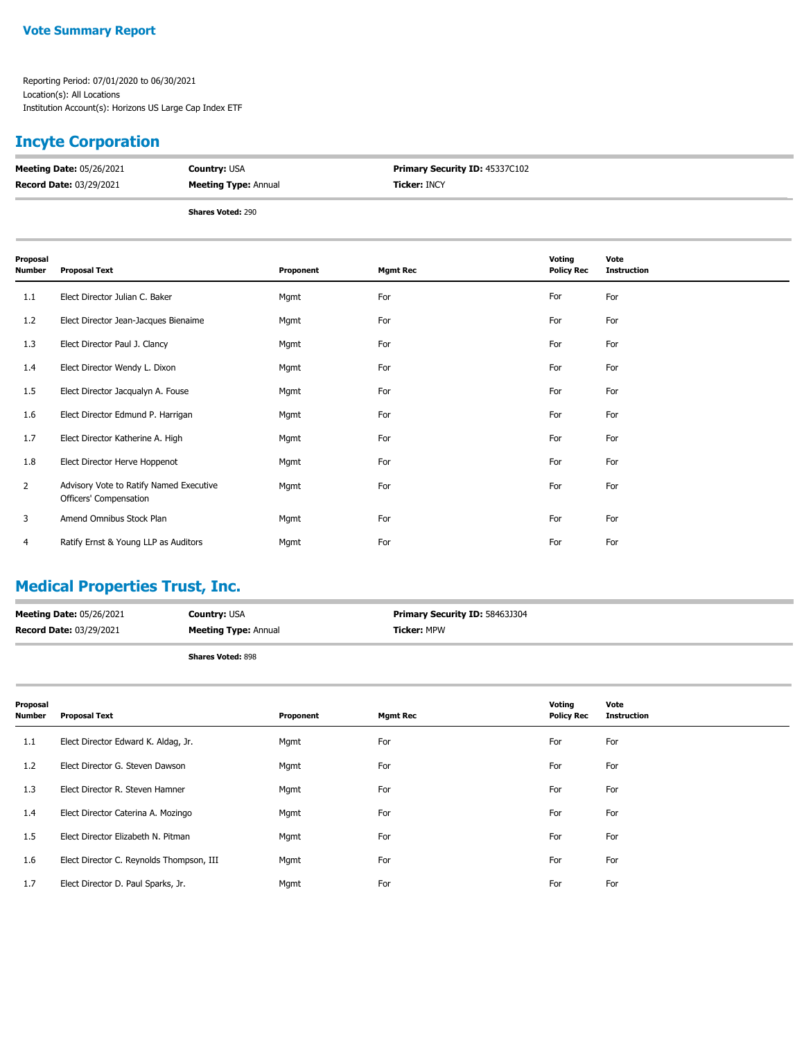## **Incyte Corporation**

| <b>Meeting Date: 05/26/2021</b> | <b>Country: USA</b>         | Primary Security ID: 45337C102 |
|---------------------------------|-----------------------------|--------------------------------|
| <b>Record Date: 03/29/2021</b>  | <b>Meeting Type: Annual</b> | <b>Ticker: INCY</b>            |
|                                 |                             |                                |

**Shares Voted:** 290

| Proposal<br><b>Number</b> | <b>Proposal Text</b>                                              | Proponent | <b>Mgmt Rec</b> | <b>Voting</b><br><b>Policy Rec</b> | Vote<br><b>Instruction</b> |
|---------------------------|-------------------------------------------------------------------|-----------|-----------------|------------------------------------|----------------------------|
| 1.1                       | Elect Director Julian C. Baker                                    | Mgmt      | For             | For                                | For                        |
| 1.2                       | Elect Director Jean-Jacques Bienaime                              | Mgmt      | For             | For                                | For                        |
| 1.3                       | Elect Director Paul J. Clancy                                     | Mgmt      | For             | For                                | For                        |
| 1.4                       | Elect Director Wendy L. Dixon                                     | Mgmt      | For             | For                                | For                        |
| 1.5                       | Elect Director Jacqualyn A. Fouse                                 | Mgmt      | For             | For                                | For                        |
| 1.6                       | Elect Director Edmund P. Harrigan                                 | Mgmt      | For             | For                                | For                        |
| 1.7                       | Elect Director Katherine A. High                                  | Mgmt      | For             | For                                | For                        |
| 1.8                       | Elect Director Herve Hoppenot                                     | Mgmt      | For             | For                                | For                        |
| $\overline{2}$            | Advisory Vote to Ratify Named Executive<br>Officers' Compensation | Mgmt      | For             | For                                | For                        |
| 3                         | Amend Omnibus Stock Plan                                          | Mgmt      | For             | For                                | For                        |
| 4                         | Ratify Ernst & Young LLP as Auditors                              | Mgmt      | For             | For                                | For                        |

## **Medical Properties Trust, Inc.**

| <b>Meeting Date: 05/26/2021</b> | <b>Country: USA</b>         | <b>Primary Security ID: 58463J304</b> |
|---------------------------------|-----------------------------|---------------------------------------|
| <b>Record Date: 03/29/2021</b>  | <b>Meeting Type: Annual</b> | <b>Ticker: MPW</b>                    |
|                                 |                             |                                       |

| Proposal<br><b>Number</b> | <b>Proposal Text</b>                     | Proponent | <b>Mgmt Rec</b> | Voting<br><b>Policy Rec</b> | Vote<br><b>Instruction</b> |
|---------------------------|------------------------------------------|-----------|-----------------|-----------------------------|----------------------------|
| 1.1                       | Elect Director Edward K. Aldag, Jr.      | Mgmt      | For             | For                         | For                        |
| 1.2                       | Elect Director G. Steven Dawson          | Mgmt      | For             | For                         | For                        |
| 1.3                       | Elect Director R. Steven Hamner          | Mgmt      | For             | For                         | For                        |
| $1.4^{\circ}$             | Elect Director Caterina A. Mozingo       | Mgmt      | For             | For                         | For                        |
| 1.5                       | Elect Director Elizabeth N. Pitman       | Mgmt      | For             | For                         | For                        |
| 1.6                       | Elect Director C. Reynolds Thompson, III | Mgmt      | For             | For                         | For                        |
| 1.7                       | Elect Director D. Paul Sparks, Jr.       | Mgmt      | For             | For                         | For                        |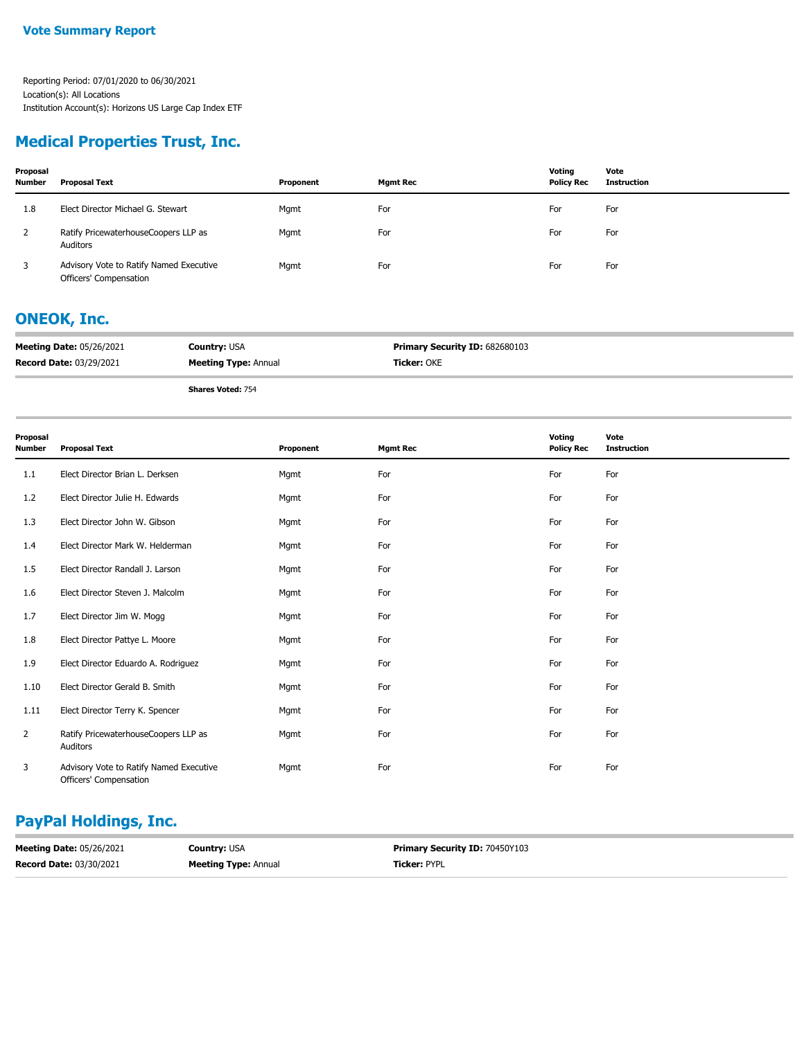## **Medical Properties Trust, Inc.**

| Proposal<br><b>Number</b> | Proposal Text                                                     | Proponent | <b>Mgmt Rec</b> | Votina<br><b>Policy Rec</b> | Vote<br>Instruction |
|---------------------------|-------------------------------------------------------------------|-----------|-----------------|-----------------------------|---------------------|
| 1.8                       | Elect Director Michael G. Stewart                                 | Mgmt      | For             | For                         | For                 |
| 2                         | Ratify PricewaterhouseCoopers LLP as<br>Auditors                  | Mgmt      | For             | For                         | For                 |
| 3                         | Advisory Vote to Ratify Named Executive<br>Officers' Compensation | Mgmt      | For             | For                         | For                 |

## **ONEOK, Inc.**

| <b>Meeting Date: 05/26/2021</b> | <b>Country: USA</b>         | <b>Primary Security ID: 682680103</b> |
|---------------------------------|-----------------------------|---------------------------------------|
| <b>Record Date: 03/29/2021</b>  | <b>Meeting Type: Annual</b> | <b>Ticker: OKE</b>                    |

**Shares Voted:** 754

| Proposal<br><b>Number</b> | <b>Proposal Text</b>                                              | Proponent | <b>Mgmt Rec</b> | Voting<br><b>Policy Rec</b> | Vote<br><b>Instruction</b> |
|---------------------------|-------------------------------------------------------------------|-----------|-----------------|-----------------------------|----------------------------|
| 1.1                       | Elect Director Brian L. Derksen                                   | Mgmt      | For             | For                         | For                        |
| 1.2                       | Elect Director Julie H. Edwards                                   | Mgmt      | For             | For                         | For                        |
| 1.3                       | Elect Director John W. Gibson                                     | Mgmt      | For             | For                         | For                        |
| 1.4                       | Elect Director Mark W. Helderman                                  | Mgmt      | For             | For                         | For                        |
| 1.5                       | Elect Director Randall J. Larson                                  | Mgmt      | For             | For                         | For                        |
| 1.6                       | Elect Director Steven J. Malcolm                                  | Mgmt      | For             | For                         | For                        |
| 1.7                       | Elect Director Jim W. Mogg                                        | Mgmt      | For             | For                         | For                        |
| 1.8                       | Elect Director Pattye L. Moore                                    | Mgmt      | For             | For                         | For                        |
| 1.9                       | Elect Director Eduardo A. Rodriguez                               | Mgmt      | For             | For                         | For                        |
| 1.10                      | Elect Director Gerald B. Smith                                    | Mgmt      | For             | For                         | For                        |
| 1.11                      | Elect Director Terry K. Spencer                                   | Mgmt      | For             | For                         | For                        |
| 2                         | Ratify PricewaterhouseCoopers LLP as<br>Auditors                  | Mgmt      | For             | For                         | For                        |
| 3                         | Advisory Vote to Ratify Named Executive<br>Officers' Compensation | Mgmt      | For             | For                         | For                        |

## **PayPal Holdings, Inc.**

| <b>Meeting Date: 05/26/2021</b> | <b>Country: USA</b>         | <b>Primary Security ID: 70450Y103</b> |
|---------------------------------|-----------------------------|---------------------------------------|
| <b>Record Date: 03/30/2021</b>  | <b>Meeting Type: Annual</b> | Ticker: PYPL                          |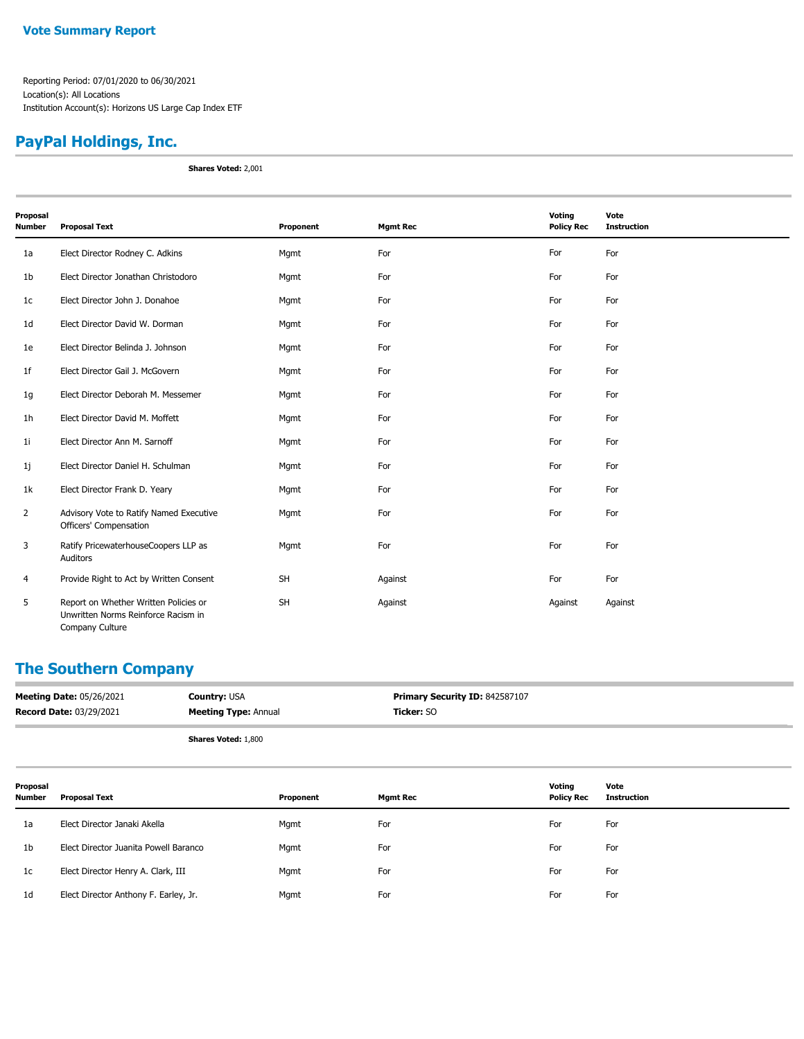# **PayPal Holdings, Inc.**

**Shares Voted:** 2,001

| Proposal       |                                                                                                 |           |                 | Voting            | Vote               |
|----------------|-------------------------------------------------------------------------------------------------|-----------|-----------------|-------------------|--------------------|
| <b>Number</b>  | <b>Proposal Text</b>                                                                            | Proponent | <b>Mgmt Rec</b> | <b>Policy Rec</b> | <b>Instruction</b> |
| 1a             | Elect Director Rodney C. Adkins                                                                 | Mgmt      | For             | For               | For                |
| 1 <sub>b</sub> | Elect Director Jonathan Christodoro                                                             | Mgmt      | For             | For               | For                |
| 1 <sub>c</sub> | Elect Director John J. Donahoe                                                                  | Mgmt      | For             | For               | For                |
| 1 <sub>d</sub> | Elect Director David W. Dorman                                                                  | Mgmt      | For             | For               | For                |
| 1e             | Elect Director Belinda J. Johnson                                                               | Mgmt      | For             | For               | For                |
| 1f             | Elect Director Gail J. McGovern                                                                 | Mgmt      | For             | For               | For                |
| 1g             | Elect Director Deborah M. Messemer                                                              | Mgmt      | For             | For               | For                |
| 1 <sub>h</sub> | Elect Director David M. Moffett                                                                 | Mgmt      | For             | For               | For                |
| 1 <sub>i</sub> | Elect Director Ann M. Sarnoff                                                                   | Mgmt      | For             | For               | For                |
| 1j             | Elect Director Daniel H. Schulman                                                               | Mgmt      | For             | For               | For                |
| 1k             | Elect Director Frank D. Yeary                                                                   | Mgmt      | For             | For               | For                |
| $\overline{2}$ | Advisory Vote to Ratify Named Executive<br>Officers' Compensation                               | Mgmt      | For             | For               | For                |
| 3              | Ratify PricewaterhouseCoopers LLP as<br>Auditors                                                | Mgmt      | For             | For               | For                |
| 4              | Provide Right to Act by Written Consent                                                         | SH        | Against         | For               | For                |
| 5              | Report on Whether Written Policies or<br>Unwritten Norms Reinforce Racism in<br>Company Culture | <b>SH</b> | Against         | Against           | Against            |

## **The Southern Company**

| <b>Meeting Date: 05/26/2021</b> | <b>Country: USA</b>         | Primary Security ID: 842587107 |
|---------------------------------|-----------------------------|--------------------------------|
| <b>Record Date: 03/29/2021</b>  | <b>Meeting Type: Annual</b> | <b>Ticker: SO</b>              |
|                                 | <b>Shares Voted: 1,800</b>  |                                |

| Proposal<br><b>Number</b> | Proposal Text                         | Proponent | <b>Mgmt Rec</b> | Votina<br><b>Policy Rec</b> | Vote<br>Instruction |
|---------------------------|---------------------------------------|-----------|-----------------|-----------------------------|---------------------|
| 1a                        | Elect Director Janaki Akella          | Mgmt      | For             | For                         | For                 |
| 1 <sub>b</sub>            | Elect Director Juanita Powell Baranco | Mgmt      | For             | For                         | For                 |
| 1c                        | Elect Director Henry A. Clark, III    | Mgmt      | For             | For                         | For                 |
| 1 <sub>d</sub>            | Elect Director Anthony F. Earley, Jr. | Mgmt      | For             | For                         | For                 |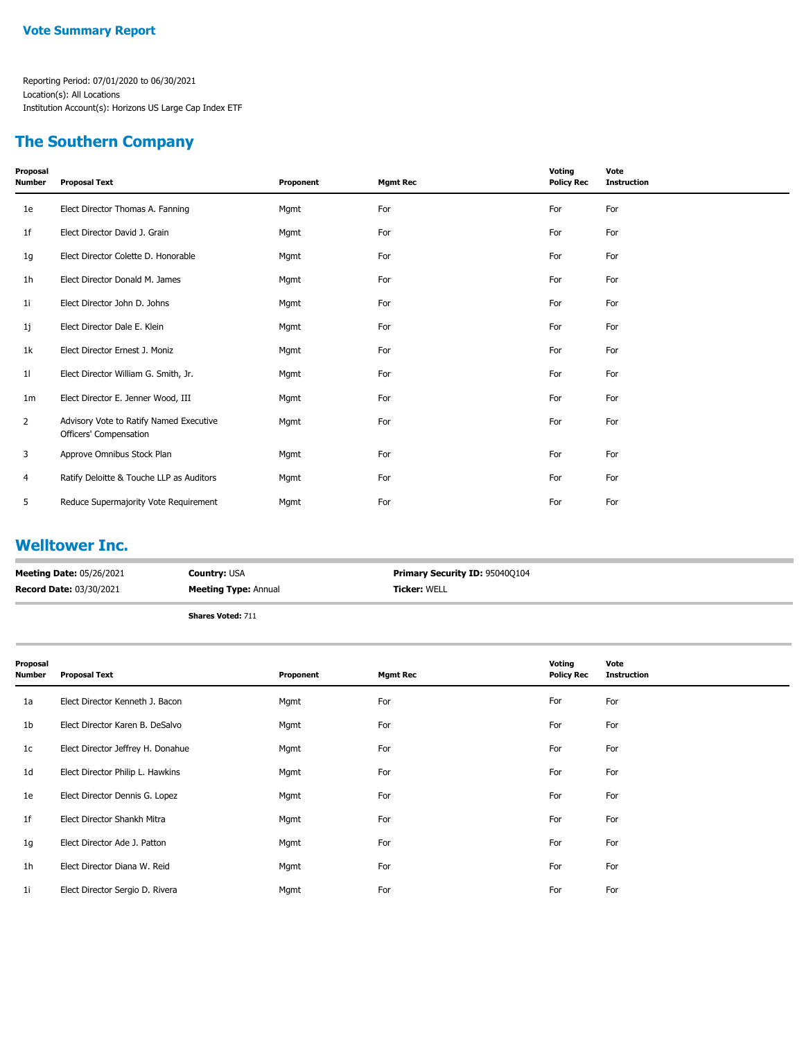## **The Southern Company**

| Proposal<br>Number | <b>Proposal Text</b>                                              | Proponent | <b>Mgmt Rec</b> | Voting<br><b>Policy Rec</b> | Vote<br><b>Instruction</b> |
|--------------------|-------------------------------------------------------------------|-----------|-----------------|-----------------------------|----------------------------|
| 1e                 | Elect Director Thomas A. Fanning                                  | Mgmt      | For             | For                         | For                        |
| 1f                 | Elect Director David J. Grain                                     | Mgmt      | For             | For                         | For                        |
| 1g                 | Elect Director Colette D. Honorable                               | Mgmt      | For             | For                         | For                        |
| 1h                 | Elect Director Donald M. James                                    | Mgmt      | For             | For                         | For                        |
| 1i                 | Elect Director John D. Johns                                      | Mgmt      | For             | For                         | For                        |
| 1j                 | Elect Director Dale E. Klein                                      | Mgmt      | For             | For                         | For                        |
| 1k                 | Elect Director Ernest J. Moniz                                    | Mgmt      | For             | For                         | For                        |
| 11                 | Elect Director William G. Smith, Jr.                              | Mgmt      | For             | For                         | For                        |
| 1m                 | Elect Director E. Jenner Wood, III                                | Mgmt      | For             | For                         | For                        |
| $\overline{2}$     | Advisory Vote to Ratify Named Executive<br>Officers' Compensation | Mgmt      | For             | For                         | For                        |
| 3                  | Approve Omnibus Stock Plan                                        | Mgmt      | For             | For                         | For                        |
| 4                  | Ratify Deloitte & Touche LLP as Auditors                          | Mgmt      | For             | For                         | For                        |
| 5                  | Reduce Supermajority Vote Requirement                             | Mgmt      | For             | For                         | For                        |
|                    |                                                                   |           |                 |                             |                            |

### **Welltower Inc.**

| <b>Meeting Date: 05/26/2021</b> | <b>Country: USA</b>         | <b>Primary Security ID: 95040Q104</b> |
|---------------------------------|-----------------------------|---------------------------------------|
| <b>Record Date: 03/30/2021</b>  | <b>Meeting Type: Annual</b> | <b>Ticker: WELL</b>                   |
|                                 | Shares Voted: 711           |                                       |

| Proposal<br><b>Number</b> | <b>Proposal Text</b>              | Proponent | <b>Mgmt Rec</b> | Voting<br><b>Policy Rec</b> | Vote<br><b>Instruction</b> |
|---------------------------|-----------------------------------|-----------|-----------------|-----------------------------|----------------------------|
| 1a                        | Elect Director Kenneth J. Bacon   | Mgmt      | For             | For                         | For                        |
| 1 <sub>b</sub>            | Elect Director Karen B. DeSalvo   | Mgmt      | For             | For                         | For                        |
| 1c                        | Elect Director Jeffrey H. Donahue | Mgmt      | For             | For                         | For                        |
| 1d                        | Elect Director Philip L. Hawkins  | Mgmt      | For             | For                         | For                        |
| 1e                        | Elect Director Dennis G. Lopez    | Mgmt      | For             | For                         | For                        |
| 1 <sup>f</sup>            | Elect Director Shankh Mitra       | Mgmt      | For             | For                         | For                        |
| 1g                        | Elect Director Ade J. Patton      | Mgmt      | For             | For                         | For                        |
| 1 <sub>h</sub>            | Elect Director Diana W. Reid      | Mgmt      | For             | For                         | For                        |
| 1i                        | Elect Director Sergio D. Rivera   | Mgmt      | For             | For                         | For                        |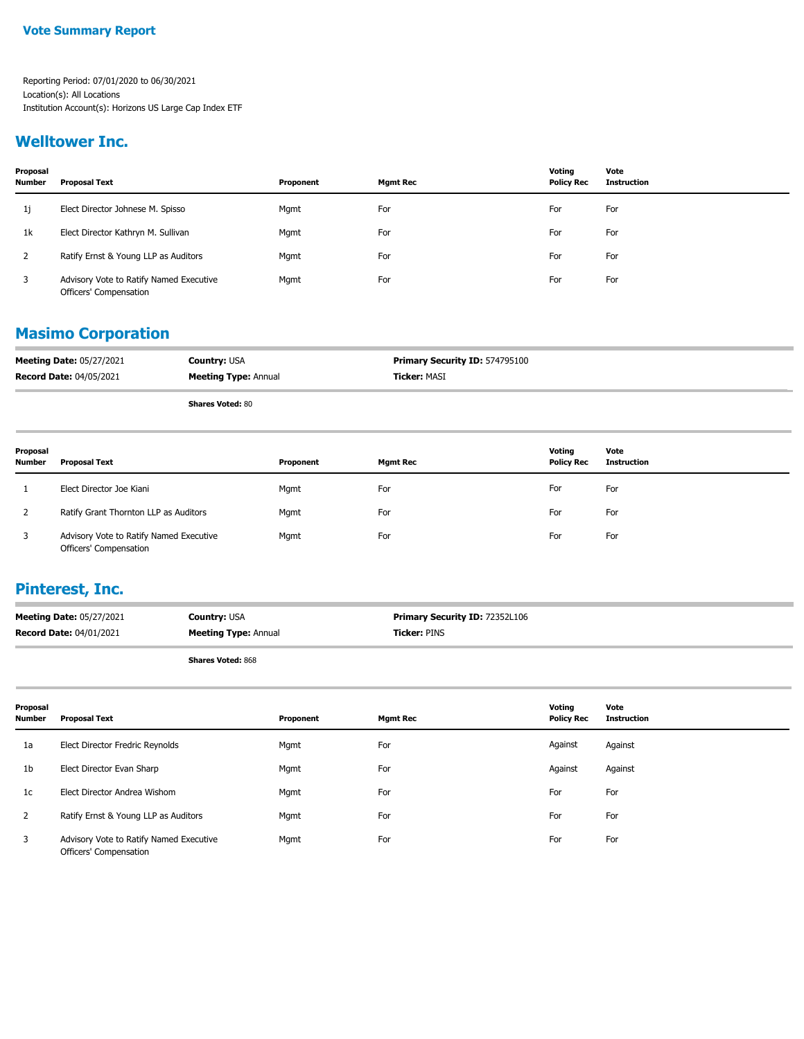### **Welltower Inc.**

| Proposal<br><b>Number</b> | <b>Proposal Text</b>                                              | Proponent | <b>Mgmt Rec</b> | Votina<br><b>Policy Rec</b> | Vote<br>Instruction |
|---------------------------|-------------------------------------------------------------------|-----------|-----------------|-----------------------------|---------------------|
| 1j                        | Elect Director Johnese M. Spisso                                  | Mgmt      | For             | For                         | For                 |
| 1k                        | Elect Director Kathryn M. Sullivan                                | Mgmt      | For             | For                         | For                 |
|                           | Ratify Ernst & Young LLP as Auditors                              | Mgmt      | For             | For                         | For                 |
| 3                         | Advisory Vote to Ratify Named Executive<br>Officers' Compensation | Mgmt      | For             | For                         | For                 |

### **Masimo Corporation**

| <b>Meeting Date: 05/27/2021</b> | <b>Country: USA</b>         | <b>Primary Security ID: 574795100</b> |
|---------------------------------|-----------------------------|---------------------------------------|
| <b>Record Date: 04/05/2021</b>  | <b>Meeting Type: Annual</b> | <b>Ticker: MASI</b>                   |
|                                 | .<br>--                     |                                       |

**Shares Voted:** 80

| Proposal<br><b>Number</b> | Proposal Text                                                     | Proponent | <b>Mgmt Rec</b> | Votina<br><b>Policy Rec</b> | Vote<br><b>Instruction</b> |
|---------------------------|-------------------------------------------------------------------|-----------|-----------------|-----------------------------|----------------------------|
|                           | Elect Director Joe Kiani                                          | Mgmt      | For             | For                         | For                        |
|                           | Ratify Grant Thornton LLP as Auditors                             | Mgmt      | For             | For                         | For                        |
| 3                         | Advisory Vote to Ratify Named Executive<br>Officers' Compensation | Mgmt      | For             | For                         | For                        |

### **Pinterest, Inc.**

| <b>Meeting Date: 05/27/2021</b> | <b>Country: USA</b>         | <b>Primary Security ID: 72352L106</b> |
|---------------------------------|-----------------------------|---------------------------------------|
| <b>Record Date: 04/01/2021</b>  | <b>Meeting Type: Annual</b> | <b>Ticker:</b> PINS                   |
|                                 |                             |                                       |

| Proposal<br><b>Number</b> | <b>Proposal Text</b>                                              | Proponent | <b>Mgmt Rec</b> | Voting<br><b>Policy Rec</b> | Vote<br><b>Instruction</b> |
|---------------------------|-------------------------------------------------------------------|-----------|-----------------|-----------------------------|----------------------------|
| 1a                        | Elect Director Fredric Reynolds                                   | Mgmt      | For             | Against                     | Against                    |
| 1b                        | Elect Director Evan Sharp                                         | Mgmt      | For             | Against                     | Against                    |
| 1 <sub>c</sub>            | Elect Director Andrea Wishom                                      | Mgmt      | For             | For                         | For                        |
| 2                         | Ratify Ernst & Young LLP as Auditors                              | Mgmt      | For             | For                         | For                        |
| 3                         | Advisory Vote to Ratify Named Executive<br>Officers' Compensation | Mgmt      | For             | For                         | For                        |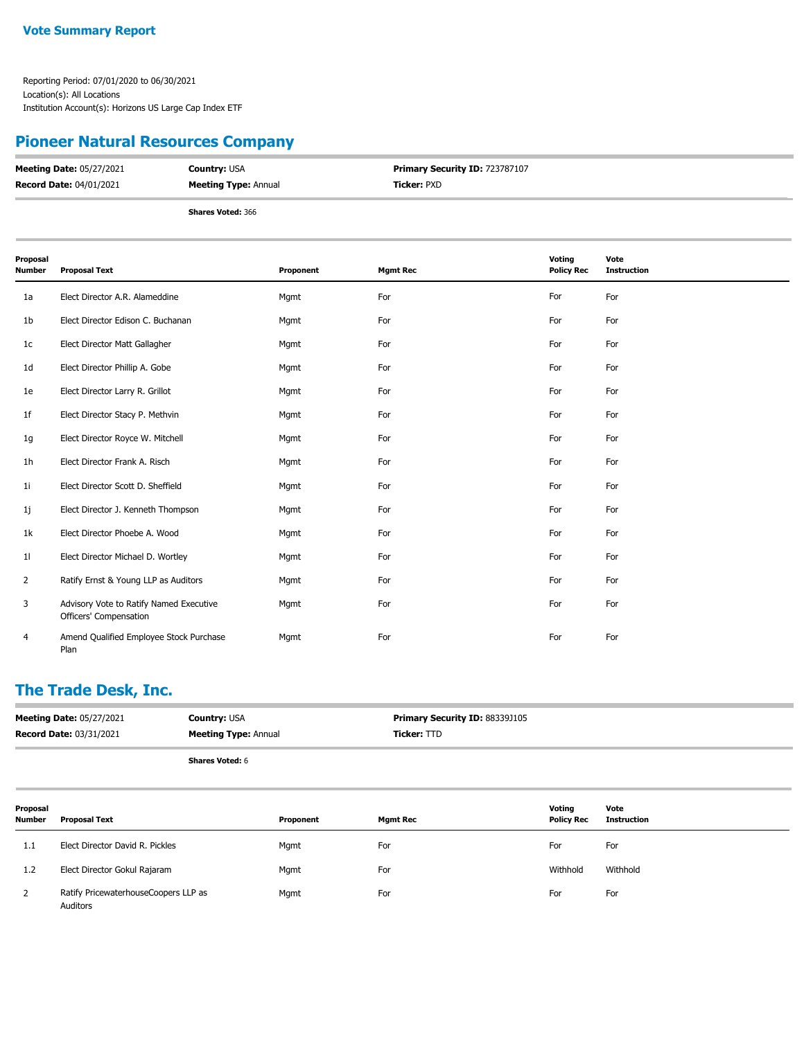## **Pioneer Natural Resources Company**

| <b>Meeting Date: 05/27/2021</b> | <b>Country: USA</b>         | Primary Security ID: 723787107 |
|---------------------------------|-----------------------------|--------------------------------|
| <b>Record Date: 04/01/2021</b>  | <b>Meeting Type: Annual</b> | <b>Ticker: PXD</b>             |
|                                 | <b>Shares Voted: 366</b>    |                                |

| Proposal<br><b>Number</b> | <b>Proposal Text</b>                                              | Proponent | <b>Mgmt Rec</b> | Voting<br><b>Policy Rec</b> | Vote<br><b>Instruction</b> |
|---------------------------|-------------------------------------------------------------------|-----------|-----------------|-----------------------------|----------------------------|
| 1a                        | Elect Director A.R. Alameddine                                    | Mgmt      | For             | For                         | For                        |
| 1 <sub>b</sub>            | Elect Director Edison C. Buchanan                                 | Mgmt      | For             | For                         | For                        |
| 1 <sub>c</sub>            | Elect Director Matt Gallagher                                     | Mgmt      | For             | For                         | For                        |
| 1 <sub>d</sub>            | Elect Director Phillip A. Gobe                                    | Mgmt      | For             | For                         | For                        |
| 1e                        | Elect Director Larry R. Grillot                                   | Mgmt      | For             | For                         | For                        |
| 1f                        | Elect Director Stacy P. Methvin                                   | Mgmt      | For             | For                         | For                        |
| 1g                        | Elect Director Royce W. Mitchell                                  | Mgmt      | For             | For                         | For                        |
| 1 <sub>h</sub>            | Elect Director Frank A. Risch                                     | Mgmt      | For             | For                         | For                        |
| 1 <sub>i</sub>            | Elect Director Scott D. Sheffield                                 | Mgmt      | For             | For                         | For                        |
| 1j                        | Elect Director J. Kenneth Thompson                                | Mgmt      | For             | For                         | For                        |
| 1k                        | Elect Director Phoebe A. Wood                                     | Mgmt      | For             | For                         | For                        |
| 11                        | Elect Director Michael D. Wortley                                 | Mgmt      | For             | For                         | For                        |
| $\overline{2}$            | Ratify Ernst & Young LLP as Auditors                              | Mgmt      | For             | For                         | For                        |
| 3                         | Advisory Vote to Ratify Named Executive<br>Officers' Compensation | Mgmt      | For             | For                         | For                        |
| 4                         | Amend Qualified Employee Stock Purchase<br>Plan                   | Mgmt      | For             | For                         | For                        |

## **The Trade Desk, Inc.**

| <b>Meeting Date: 05/27/2021</b><br><b>Record Date: 03/31/2021</b> |                                                  | <b>Country: USA</b><br><b>Meeting Type: Annual</b> |           | Primary Security ID: 88339J105<br>Ticker: TTD |                             |                            |
|-------------------------------------------------------------------|--------------------------------------------------|----------------------------------------------------|-----------|-----------------------------------------------|-----------------------------|----------------------------|
|                                                                   |                                                  | <b>Shares Voted: 6</b>                             |           |                                               |                             |                            |
| Proposal<br><b>Number</b>                                         | <b>Proposal Text</b>                             |                                                    | Proponent | <b>Mgmt Rec</b>                               | Voting<br><b>Policy Rec</b> | Vote<br><b>Instruction</b> |
| 1.1                                                               | Elect Director David R. Pickles                  |                                                    | Mgmt      | For                                           | For                         | For                        |
| 1.2                                                               | Elect Director Gokul Rajaram                     |                                                    | Mgmt      | For                                           | Withhold                    | Withhold                   |
| 2                                                                 | Ratify PricewaterhouseCoopers LLP as<br>Auditors |                                                    | Mgmt      | For                                           | For                         | For                        |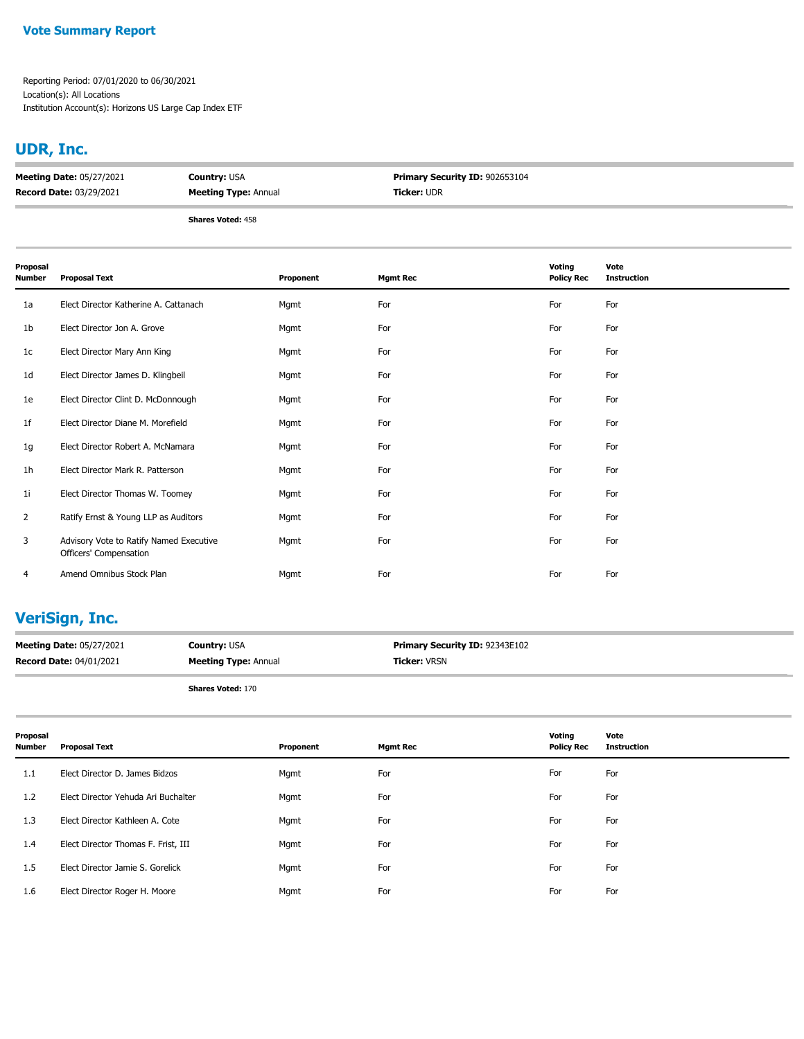#### **Vote Summary Report**

Reporting Period: 07/01/2020 to 06/30/2021 Location(s): All Locations Institution Account(s): Horizons US Large Cap Index ETF

## **UDR, Inc.**

| <b>Meeting Date: 05/27/2021</b> | <b>Country: USA</b>         | <b>Primary Security ID: 902653104</b> |  |
|---------------------------------|-----------------------------|---------------------------------------|--|
| <b>Record Date: 03/29/2021</b>  | <b>Meeting Type: Annual</b> | <b>Ticker: UDR</b>                    |  |
|                                 | <b>Shares Voted: 458</b>    |                                       |  |

| Proposal<br>Number | <b>Proposal Text</b>                                              | Proponent | <b>Mgmt Rec</b> | Voting<br><b>Policy Rec</b> | Vote<br><b>Instruction</b> |
|--------------------|-------------------------------------------------------------------|-----------|-----------------|-----------------------------|----------------------------|
| 1a                 | Elect Director Katherine A. Cattanach                             | Mgmt      | For             | For                         | For                        |
| 1 <sub>b</sub>     | Elect Director Jon A. Grove                                       | Mgmt      | For             | For                         | For                        |
| 1c                 | Elect Director Mary Ann King                                      | Mgmt      | For             | For                         | For                        |
| 1d                 | Elect Director James D. Klingbeil                                 | Mgmt      | For             | For                         | For                        |
| 1e                 | Elect Director Clint D. McDonnough                                | Mgmt      | For             | For                         | For                        |
| 1f                 | Elect Director Diane M. Morefield                                 | Mgmt      | For             | For                         | For                        |
| 1g                 | Elect Director Robert A. McNamara                                 | Mgmt      | For             | For                         | For                        |
| 1 <sub>h</sub>     | Elect Director Mark R. Patterson                                  | Mgmt      | For             | For                         | For                        |
| 1i                 | Elect Director Thomas W. Toomey                                   | Mgmt      | For             | For                         | For                        |
| $\overline{2}$     | Ratify Ernst & Young LLP as Auditors                              | Mgmt      | For             | For                         | For                        |
| 3                  | Advisory Vote to Ratify Named Executive<br>Officers' Compensation | Mgmt      | For             | For                         | For                        |
| 4                  | Amend Omnibus Stock Plan                                          | Mgmt      | For             | For                         | For                        |

## **VeriSign, Inc.**

| <b>Meeting Date: 05/27/2021</b> | <b>Country: USA</b>         | <b>Primary Security ID: 92343E102</b> |
|---------------------------------|-----------------------------|---------------------------------------|
| <b>Record Date: 04/01/2021</b>  | <b>Meeting Type: Annual</b> | <b>Ficker:</b> VRSN                   |
|                                 |                             |                                       |

| Proposal<br>Number | <b>Proposal Text</b>                | Proponent | <b>Mgmt Rec</b> | Voting<br><b>Policy Rec</b> | Vote<br><b>Instruction</b> |
|--------------------|-------------------------------------|-----------|-----------------|-----------------------------|----------------------------|
| 1.1                | Elect Director D. James Bidzos      | Mgmt      | For             | For                         | For                        |
| 1.2                | Elect Director Yehuda Ari Buchalter | Mgmt      | For             | For                         | For                        |
| 1.3                | Elect Director Kathleen A. Cote     | Mgmt      | For             | For                         | For                        |
| 1.4                | Elect Director Thomas F. Frist, III | Mgmt      | For             | For                         | For                        |
| 1.5                | Elect Director Jamie S. Gorelick    | Mgmt      | For             | For                         | For                        |
| 1.6                | Elect Director Roger H. Moore       | Mgmt      | For             | For                         | For                        |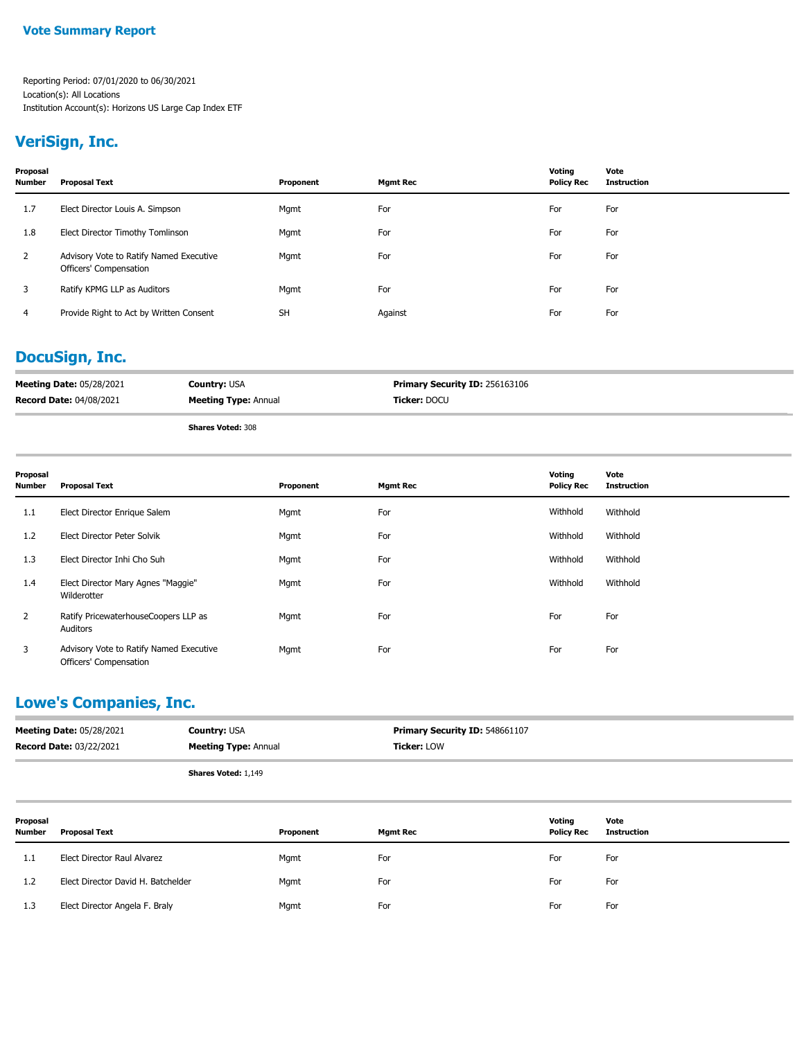### **VeriSign, Inc.**

| Proposal<br><b>Number</b> | <b>Proposal Text</b>                                              | Proponent | <b>Mgmt Rec</b> | Votina<br><b>Policy Rec</b> | Vote<br><b>Instruction</b> |
|---------------------------|-------------------------------------------------------------------|-----------|-----------------|-----------------------------|----------------------------|
| 1.7                       | Elect Director Louis A. Simpson                                   | Mgmt      | For             | For                         | For                        |
| 1.8                       | Elect Director Timothy Tomlinson                                  | Mgmt      | For             | For                         | For                        |
| 2                         | Advisory Vote to Ratify Named Executive<br>Officers' Compensation | Mgmt      | For             | For                         | For                        |
| 3                         | Ratify KPMG LLP as Auditors                                       | Mgmt      | For             | For                         | For                        |
| 4                         | Provide Right to Act by Written Consent                           | <b>SH</b> | Against         | For                         | For                        |

## **DocuSign, Inc.**

| <b>Meeting Date: 05/28/2021</b> | <b>Country: USA</b>         | <b>Primary Security ID: 256163106</b> |
|---------------------------------|-----------------------------|---------------------------------------|
| <b>Record Date: 04/08/2021</b>  | <b>Meeting Type: Annual</b> | <b>Ticker:</b> DOCU                   |
|                                 | <b>Shares Voted: 308</b>    |                                       |

| Proposal<br>Number | <b>Proposal Text</b>                                              | Proponent | <b>Mgmt Rec</b> | Voting<br><b>Policy Rec</b> | Vote<br><b>Instruction</b> |
|--------------------|-------------------------------------------------------------------|-----------|-----------------|-----------------------------|----------------------------|
| 1.1                | Elect Director Enrique Salem                                      | Mgmt      | For             | Withhold                    | Withhold                   |
| 1.2                | Elect Director Peter Solvik                                       | Mgmt      | For             | Withhold                    | Withhold                   |
| 1.3                | Elect Director Inhi Cho Suh                                       | Mgmt      | For             | Withhold                    | Withhold                   |
| 1.4                | Elect Director Mary Agnes "Maggie"<br>Wilderotter                 | Mgmt      | For             | Withhold                    | Withhold                   |
| $\mathbf{2}$       | Ratify PricewaterhouseCoopers LLP as<br>Auditors                  | Mgmt      | For             | For                         | For                        |
| 3                  | Advisory Vote to Ratify Named Executive<br>Officers' Compensation | Mgmt      | For             | For                         | For                        |

## **Lowe's Companies, Inc.**

| <b>Meeting Date: 05/28/2021</b> | <b>Country: USA</b>         | <b>Primary Security ID: 548661107</b> |
|---------------------------------|-----------------------------|---------------------------------------|
| <b>Record Date: 03/22/2021</b>  | <b>Meeting Type: Annual</b> | <b>Ticker: LOW</b>                    |
|                                 | <b>Shares Voted: 1,149</b>  |                                       |

| Proposal<br><b>Number</b> | <b>Proposal Text</b>               | Proponent | <b>Mgmt Rec</b> | Voting<br><b>Policy Rec</b> | Vote<br><b>Instruction</b> |
|---------------------------|------------------------------------|-----------|-----------------|-----------------------------|----------------------------|
| -1.1                      | Elect Director Raul Alvarez        | Mgmt      | For             | For                         | For                        |
| 1.2                       | Elect Director David H. Batchelder | Mgmt      | For             | For                         | For                        |
| 1.3                       | Elect Director Angela F. Braly     | Mgmt      | For             | For                         | For                        |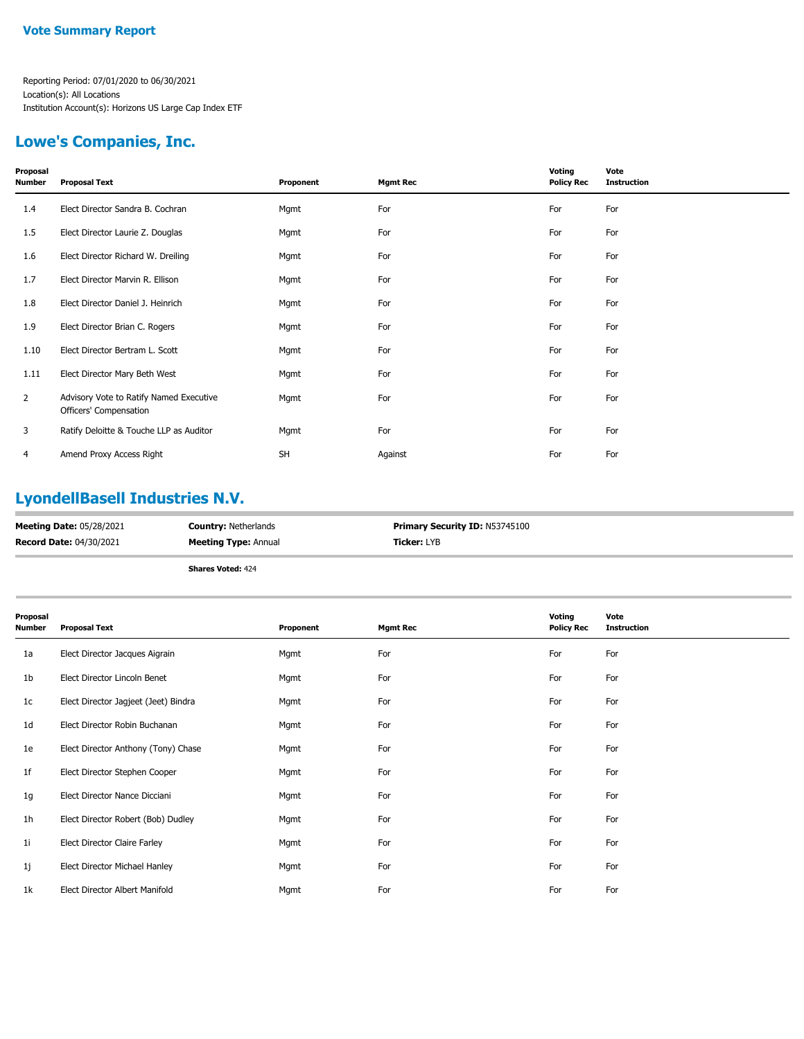## **Lowe's Companies, Inc.**

| Proposal<br>Number | <b>Proposal Text</b>                                              | Proponent | <b>Mgmt Rec</b> | Voting<br><b>Policy Rec</b> | Vote<br><b>Instruction</b> |
|--------------------|-------------------------------------------------------------------|-----------|-----------------|-----------------------------|----------------------------|
| 1.4                | Elect Director Sandra B. Cochran                                  | Mgmt      | For             | For                         | For                        |
| 1.5                | Elect Director Laurie Z. Douglas                                  | Mgmt      | For             | For                         | For                        |
| 1.6                | Elect Director Richard W. Dreiling                                | Mgmt      | For             | For                         | For                        |
| 1.7                | Elect Director Marvin R. Ellison                                  | Mgmt      | For             | For                         | For                        |
| 1.8                | Elect Director Daniel J. Heinrich                                 | Mgmt      | For             | For                         | For                        |
| 1.9                | Elect Director Brian C. Rogers                                    | Mgmt      | For             | For                         | For                        |
| 1.10               | Elect Director Bertram L. Scott                                   | Mgmt      | For             | For                         | For                        |
| 1.11               | Elect Director Mary Beth West                                     | Mgmt      | For             | For                         | For                        |
| $\mathbf{2}$       | Advisory Vote to Ratify Named Executive<br>Officers' Compensation | Mgmt      | For             | For                         | For                        |
| 3                  | Ratify Deloitte & Touche LLP as Auditor                           | Mgmt      | For             | For                         | For                        |
| 4                  | Amend Proxy Access Right                                          | <b>SH</b> | Against         | For                         | For                        |

# **LyondellBasell Industries N.V.**

|                                 | .<br>$-1$                   |                                       |
|---------------------------------|-----------------------------|---------------------------------------|
| <b>Record Date: 04/30/2021</b>  | <b>Meeting Type: Annual</b> | <b>Ticker:</b> LYB                    |
| <b>Meeting Date: 05/28/2021</b> | <b>Country: Netherlands</b> | <b>Primary Security ID: N53745100</b> |

| Proposal<br><b>Number</b> | <b>Proposal Text</b>                 | Proponent | <b>Mgmt Rec</b> | Voting<br><b>Policy Rec</b> | Vote<br><b>Instruction</b> |
|---------------------------|--------------------------------------|-----------|-----------------|-----------------------------|----------------------------|
| 1a                        | Elect Director Jacques Aigrain       | Mgmt      | For             | For                         | For                        |
| 1b                        | Elect Director Lincoln Benet         | Mgmt      | For             | For                         | For                        |
| 1c                        | Elect Director Jagjeet (Jeet) Bindra | Mgmt      | For             | For                         | For                        |
| 1 <sub>d</sub>            | Elect Director Robin Buchanan        | Mgmt      | For             | For                         | For                        |
| 1e                        | Elect Director Anthony (Tony) Chase  | Mgmt      | For             | For                         | For                        |
| 1f                        | Elect Director Stephen Cooper        | Mgmt      | For             | For                         | For                        |
| 1g                        | Elect Director Nance Dicciani        | Mgmt      | For             | For                         | For                        |
| 1 <sub>h</sub>            | Elect Director Robert (Bob) Dudley   | Mgmt      | For             | For                         | For                        |
| 11                        | Elect Director Claire Farley         | Mgmt      | For             | For                         | For                        |
| 1j                        | Elect Director Michael Hanley        | Mgmt      | For             | For                         | For                        |
| 1k                        | Elect Director Albert Manifold       | Mgmt      | For             | For                         | For                        |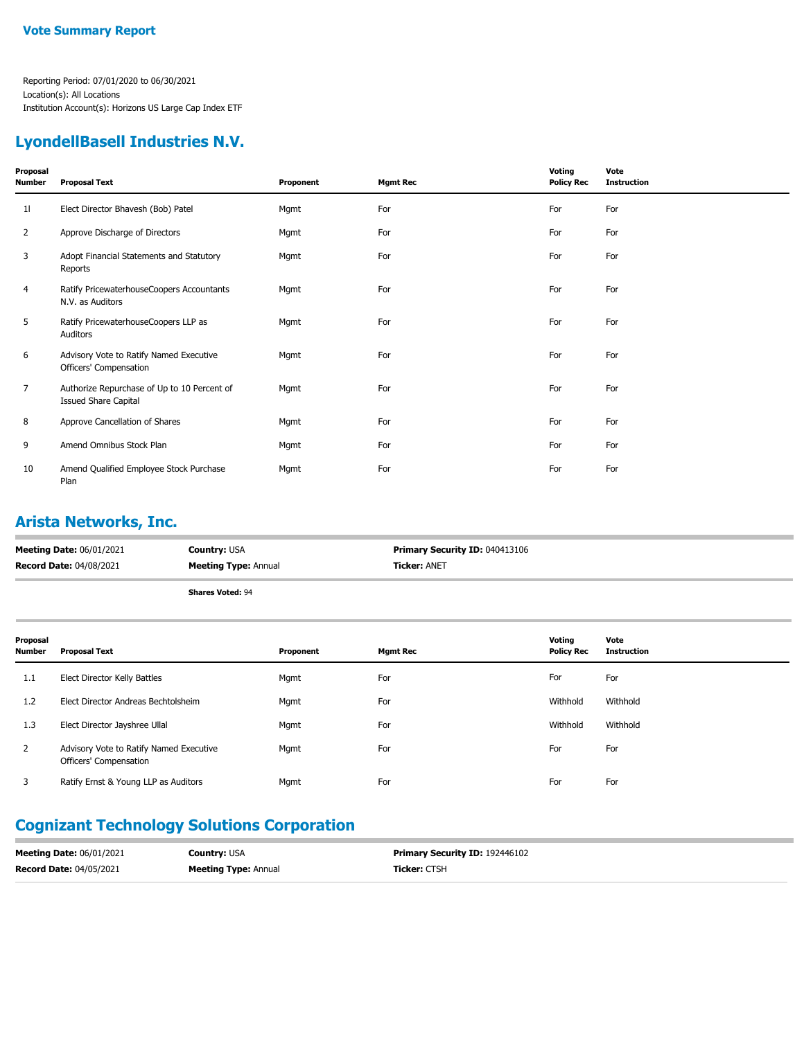### **LyondellBasell Industries N.V.**

| Proposal<br>Number | <b>Proposal Text</b>                                                       | Proponent | <b>Mgmt Rec</b> | Voting<br><b>Policy Rec</b> | Vote<br><b>Instruction</b> |
|--------------------|----------------------------------------------------------------------------|-----------|-----------------|-----------------------------|----------------------------|
| 11                 | Elect Director Bhavesh (Bob) Patel                                         | Mgmt      | For             | For                         | For                        |
| $\overline{2}$     | Approve Discharge of Directors                                             | Mgmt      | For             | For                         | For                        |
| 3                  | Adopt Financial Statements and Statutory<br>Reports                        | Mgmt      | For             | For                         | For                        |
| 4                  | Ratify PricewaterhouseCoopers Accountants<br>N.V. as Auditors              | Mgmt      | For             | For                         | For                        |
| 5                  | Ratify PricewaterhouseCoopers LLP as<br>Auditors                           | Mgmt      | For             | For                         | For                        |
| 6                  | Advisory Vote to Ratify Named Executive<br>Officers' Compensation          | Mgmt      | For             | For                         | For                        |
| $\overline{7}$     | Authorize Repurchase of Up to 10 Percent of<br><b>Issued Share Capital</b> | Mgmt      | For             | For                         | For                        |
| 8                  | Approve Cancellation of Shares                                             | Mgmt      | For             | For                         | For                        |
| 9                  | Amend Omnibus Stock Plan                                                   | Mgmt      | For             | For                         | For                        |
| 10                 | Amend Qualified Employee Stock Purchase<br>Plan                            | Mgmt      | For             | For                         | For                        |

## **Arista Networks, Inc.**

| <b>Meeting Date: 06/01/2021</b> | <b>Country: USA</b>         | Primary Security ID: 040413106 |
|---------------------------------|-----------------------------|--------------------------------|
| <b>Record Date: 04/08/2021</b>  | <b>Meeting Type: Annual</b> | <b>Ticker:</b> ANET            |
|                                 | <b>Shares Voted: 94</b>     |                                |

| Proposal<br><b>Number</b> | <b>Proposal Text</b>                                              | Proponent | <b>Mgmt Rec</b> | Voting<br><b>Policy Rec</b> | Vote<br><b>Instruction</b> |
|---------------------------|-------------------------------------------------------------------|-----------|-----------------|-----------------------------|----------------------------|
| 1.1                       | Elect Director Kelly Battles                                      | Mgmt      | For             | For                         | For                        |
| 1.2                       | Elect Director Andreas Bechtolsheim                               | Mgmt      | For             | Withhold                    | Withhold                   |
| 1.3                       | Elect Director Jayshree Ullal                                     | Mgmt      | For             | Withhold                    | Withhold                   |
| $\overline{2}$            | Advisory Vote to Ratify Named Executive<br>Officers' Compensation | Mgmt      | For             | For                         | For                        |
| 3                         | Ratify Ernst & Young LLP as Auditors                              | Mgmt      | For             | For                         | For                        |

# **Cognizant Technology Solutions Corporation**

| <b>Meeting Date: 06/01/2021</b> | <b>Country:</b> USA         | <b>Primary Security ID: 192446102</b> |
|---------------------------------|-----------------------------|---------------------------------------|
| <b>Record Date: 04/05/2021</b>  | <b>Meeting Type: Annual</b> | <b>Ticker: CTSH</b>                   |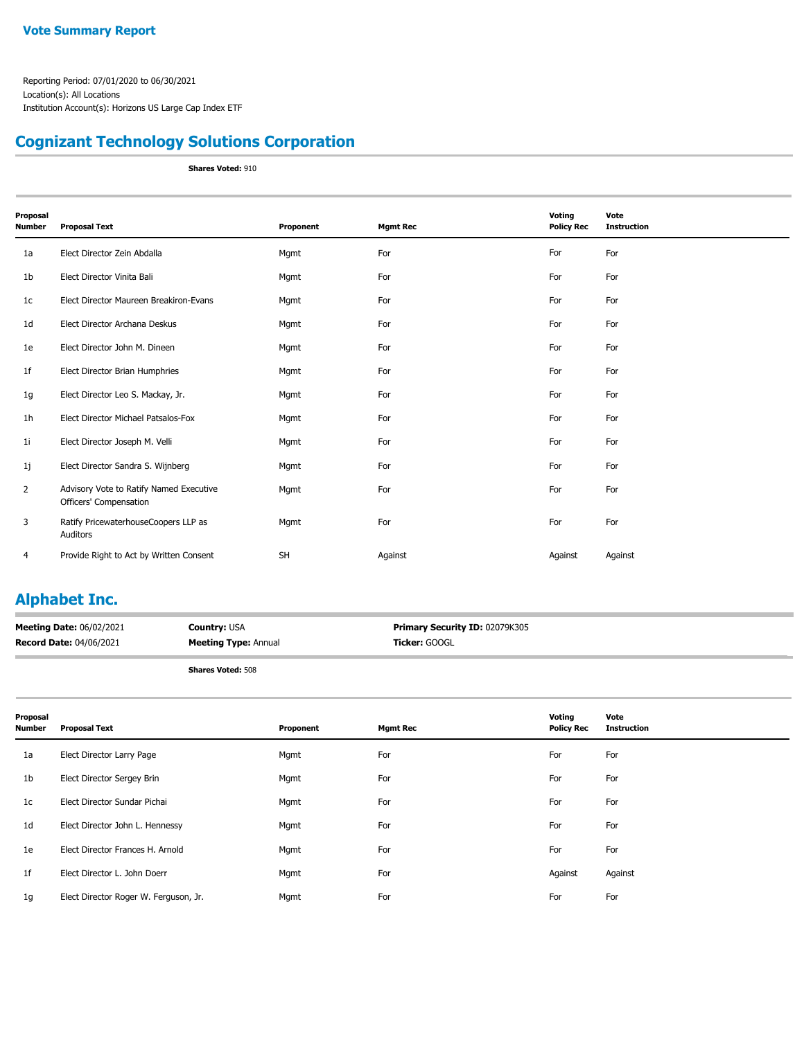## **Cognizant Technology Solutions Corporation**

**Shares Voted:** 910

| Proposal<br><b>Number</b> | <b>Proposal Text</b>                                              | Proponent | <b>Mgmt Rec</b> | Voting<br><b>Policy Rec</b> | Vote<br><b>Instruction</b> |
|---------------------------|-------------------------------------------------------------------|-----------|-----------------|-----------------------------|----------------------------|
| 1a                        | Elect Director Zein Abdalla                                       | Mgmt      | For             | For                         | For                        |
| 1b                        | Elect Director Vinita Bali                                        | Mgmt      | For             | For                         | For                        |
| 1c                        | Elect Director Maureen Breakiron-Evans                            | Mgmt      | For             | For                         | For                        |
| 1 <sub>d</sub>            | Elect Director Archana Deskus                                     | Mgmt      | For             | For                         | For                        |
| 1e                        | Elect Director John M. Dineen                                     | Mgmt      | For             | For                         | For                        |
| 1 <sub>f</sub>            | Elect Director Brian Humphries                                    | Mgmt      | For             | For                         | For                        |
| 1g                        | Elect Director Leo S. Mackay, Jr.                                 | Mgmt      | For             | For                         | For                        |
| 1 <sub>h</sub>            | Elect Director Michael Patsalos-Fox                               | Mgmt      | For             | For                         | For                        |
| 1 <sub>i</sub>            | Elect Director Joseph M. Velli                                    | Mgmt      | For             | For                         | For                        |
| 1j                        | Elect Director Sandra S. Wijnberg                                 | Mgmt      | For             | For                         | For                        |
| $\overline{2}$            | Advisory Vote to Ratify Named Executive<br>Officers' Compensation | Mgmt      | For             | For                         | For                        |
| 3                         | Ratify PricewaterhouseCoopers LLP as<br>Auditors                  | Mgmt      | For             | For                         | For                        |
| 4                         | Provide Right to Act by Written Consent                           | <b>SH</b> | Against         | Against                     | Against                    |

## **Alphabet Inc.**

| <b>Meeting Date: 06/02/2021</b> | <b>Country: USA</b>         | Primary Security ID: 02079K305 |
|---------------------------------|-----------------------------|--------------------------------|
| <b>Record Date: 04/06/2021</b>  | <b>Meeting Type: Annual</b> | Ticker: GOOGL                  |
|                                 |                             |                                |

| Proposal<br><b>Number</b> | <b>Proposal Text</b>                  | Proponent | <b>Mgmt Rec</b> | Voting<br><b>Policy Rec</b> | Vote<br><b>Instruction</b> |
|---------------------------|---------------------------------------|-----------|-----------------|-----------------------------|----------------------------|
| 1a                        | Elect Director Larry Page             | Mgmt      | For             | For                         | For                        |
| 1b                        | Elect Director Sergey Brin            | Mgmt      | For             | For                         | For                        |
| 1c                        | Elect Director Sundar Pichai          | Mgmt      | For             | For                         | For                        |
| 1d                        | Elect Director John L. Hennessy       | Mgmt      | For             | For                         | For                        |
| 1e                        | Elect Director Frances H. Arnold      | Mgmt      | For             | For                         | For                        |
| 1 <sup>f</sup>            | Elect Director L. John Doerr          | Mgmt      | For             | Against                     | Against                    |
| 1 <sub>g</sub>            | Elect Director Roger W. Ferguson, Jr. | Mgmt      | For             | For                         | For                        |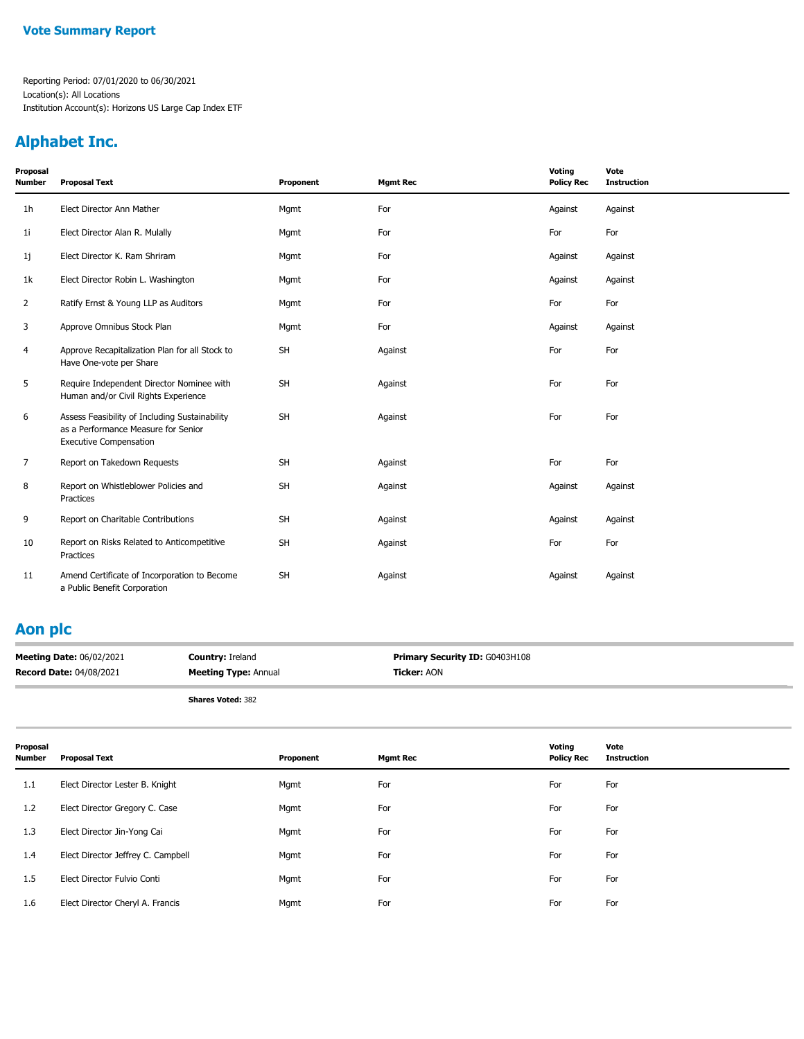## **Alphabet Inc.**

| Proposal<br><b>Number</b> | <b>Proposal Text</b>                                                                                                   | Proponent | <b>Mgmt Rec</b> | Voting<br><b>Policy Rec</b> | Vote<br><b>Instruction</b> |
|---------------------------|------------------------------------------------------------------------------------------------------------------------|-----------|-----------------|-----------------------------|----------------------------|
| 1 <sub>h</sub>            | Elect Director Ann Mather                                                                                              | Mgmt      | For             | Against                     | Against                    |
| 1 <sub>i</sub>            | Elect Director Alan R. Mulally                                                                                         | Mgmt      | For             | For                         | For                        |
| 1j                        | Elect Director K. Ram Shriram                                                                                          | Mgmt      | For             | Against                     | Against                    |
| 1k                        | Elect Director Robin L. Washington                                                                                     | Mgmt      | For             | Against                     | Against                    |
| 2                         | Ratify Ernst & Young LLP as Auditors                                                                                   | Mgmt      | For             | For                         | For                        |
| 3                         | Approve Omnibus Stock Plan                                                                                             | Mgmt      | For             | Against                     | Against                    |
| 4                         | Approve Recapitalization Plan for all Stock to<br>Have One-vote per Share                                              | <b>SH</b> | Against         | For                         | For                        |
| 5                         | Require Independent Director Nominee with<br>Human and/or Civil Rights Experience                                      | <b>SH</b> | Against         | For                         | For                        |
| 6                         | Assess Feasibility of Including Sustainability<br>as a Performance Measure for Senior<br><b>Executive Compensation</b> | SH        | Against         | For                         | For                        |
| 7                         | Report on Takedown Requests                                                                                            | <b>SH</b> | Against         | For                         | For                        |
| 8                         | Report on Whistleblower Policies and<br>Practices                                                                      | <b>SH</b> | Against         | Against                     | Against                    |
| 9                         | Report on Charitable Contributions                                                                                     | SH        | Against         | Against                     | Against                    |
| 10                        | Report on Risks Related to Anticompetitive<br>Practices                                                                | <b>SH</b> | Against         | For                         | For                        |
| 11                        | Amend Certificate of Incorporation to Become<br>a Public Benefit Corporation                                           | <b>SH</b> | Against         | Against                     | Against                    |

### **Aon plc**

| <b>Meeting Date: 06/02/2021</b> | <b>Country: Ireland</b>     | <b>Primary Security ID: G0403H108</b> |
|---------------------------------|-----------------------------|---------------------------------------|
| <b>Record Date: 04/08/2021</b>  | <b>Meeting Type: Annual</b> | <b>Ticker:</b> AON                    |

| Proposal<br><b>Number</b> | <b>Proposal Text</b>               | Proponent | <b>Mgmt Rec</b> | Voting<br><b>Policy Rec</b> | Vote<br><b>Instruction</b> |
|---------------------------|------------------------------------|-----------|-----------------|-----------------------------|----------------------------|
| 1.1                       | Elect Director Lester B. Knight    | Mgmt      | For             | For                         | For                        |
| 1.2                       | Elect Director Gregory C. Case     | Mgmt      | For             | For                         | For                        |
| 1.3                       | Elect Director Jin-Yong Cai        | Mgmt      | For             | For                         | For                        |
| 1.4                       | Elect Director Jeffrey C. Campbell | Mgmt      | For             | For                         | For                        |
| 1.5                       | Elect Director Fulvio Conti        | Mgmt      | For             | For                         | For                        |
| 1.6                       | Elect Director Cheryl A. Francis   | Mgmt      | For             | For                         | For                        |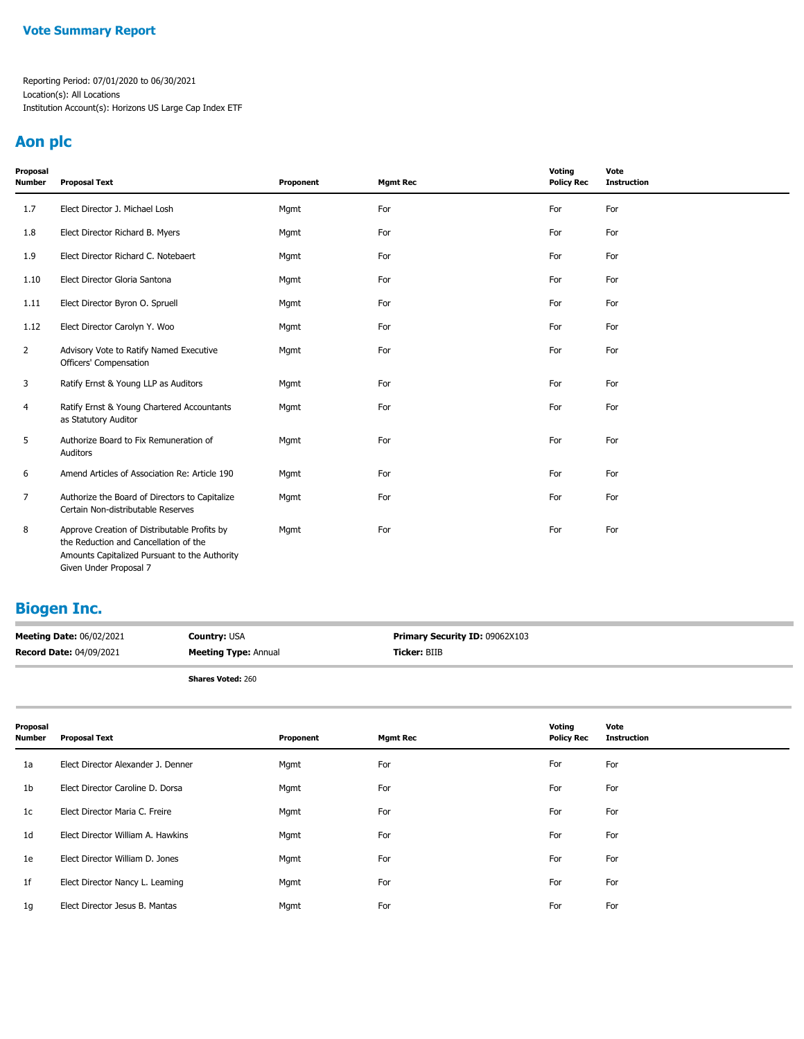## **Aon plc**

| Proposal<br><b>Number</b> | <b>Proposal Text</b>                                                                                                                                             | Proponent | <b>Mgmt Rec</b> | Voting<br><b>Policy Rec</b> | Vote<br><b>Instruction</b> |
|---------------------------|------------------------------------------------------------------------------------------------------------------------------------------------------------------|-----------|-----------------|-----------------------------|----------------------------|
| 1.7                       | Elect Director J. Michael Losh                                                                                                                                   | Mgmt      | For             | For                         | For                        |
| 1.8                       | Elect Director Richard B. Myers                                                                                                                                  | Mgmt      | For             | For                         | For                        |
| 1.9                       | Elect Director Richard C. Notebaert                                                                                                                              | Mgmt      | For             | For                         | For                        |
| 1.10                      | Elect Director Gloria Santona                                                                                                                                    | Mgmt      | For             | For                         | For                        |
| 1.11                      | Elect Director Byron O. Spruell                                                                                                                                  | Mgmt      | For             | For                         | For                        |
| 1.12                      | Elect Director Carolyn Y. Woo                                                                                                                                    | Mgmt      | For             | For                         | For                        |
| 2                         | Advisory Vote to Ratify Named Executive<br>Officers' Compensation                                                                                                | Mgmt      | For             | For                         | For                        |
| 3                         | Ratify Ernst & Young LLP as Auditors                                                                                                                             | Mgmt      | For             | For                         | For                        |
| 4                         | Ratify Ernst & Young Chartered Accountants<br>as Statutory Auditor                                                                                               | Mgmt      | For             | For                         | For                        |
| 5                         | Authorize Board to Fix Remuneration of<br>Auditors                                                                                                               | Mgmt      | For             | For                         | For                        |
| 6                         | Amend Articles of Association Re: Article 190                                                                                                                    | Mgmt      | For             | For                         | For                        |
| $\overline{7}$            | Authorize the Board of Directors to Capitalize<br>Certain Non-distributable Reserves                                                                             | Mgmt      | For             | For                         | For                        |
| 8                         | Approve Creation of Distributable Profits by<br>the Reduction and Cancellation of the<br>Amounts Capitalized Pursuant to the Authority<br>Given Under Proposal 7 | Mgmt      | For             | For                         | For                        |

## **Biogen Inc.**

| <b>Meeting Date: 06/02/2021</b> | <b>Country: USA</b>         | <b>Primary Security ID: 09062X103</b> |
|---------------------------------|-----------------------------|---------------------------------------|
| <b>Record Date: 04/09/2021</b>  | <b>Meeting Type: Annual</b> | <b>Ticker: BIIB</b>                   |
|                                 | <b>Shares Voted: 260</b>    |                                       |

| Proposal<br>Number | <b>Proposal Text</b>               | Proponent | <b>Mgmt Rec</b> | Voting<br><b>Policy Rec</b> | Vote<br><b>Instruction</b> |
|--------------------|------------------------------------|-----------|-----------------|-----------------------------|----------------------------|
| 1a                 | Elect Director Alexander J. Denner | Mgmt      | For             | For                         | For                        |
| 1b                 | Elect Director Caroline D. Dorsa   | Mgmt      | For             | For                         | For                        |
| 1c                 | Elect Director Maria C. Freire     | Mgmt      | For             | For                         | For                        |
| 1d                 | Elect Director William A. Hawkins  | Mgmt      | For             | For                         | For                        |
| 1e                 | Elect Director William D. Jones    | Mgmt      | For             | For                         | For                        |
| 1f                 | Elect Director Nancy L. Leaming    | Mgmt      | For             | For                         | For                        |
| 1g                 | Elect Director Jesus B. Mantas     | Mgmt      | For             | For                         | For                        |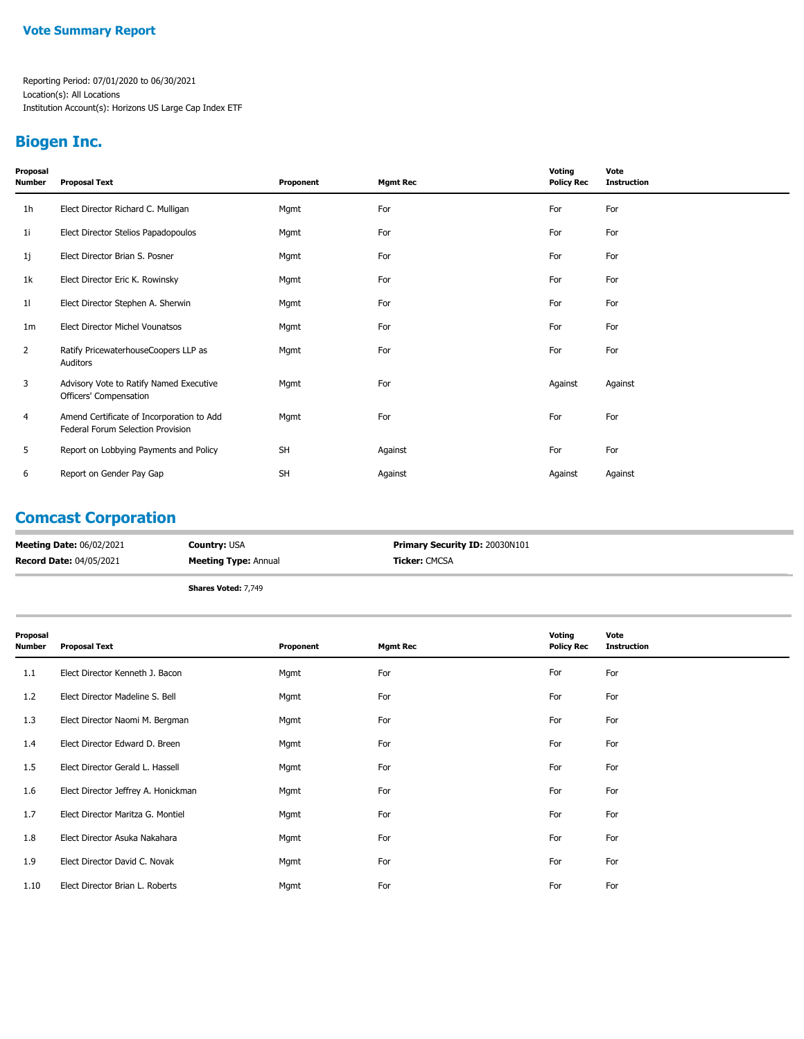## **Biogen Inc.**

| Proposal<br>Number | <b>Proposal Text</b>                                                           | Proponent | <b>Mgmt Rec</b> | Voting<br><b>Policy Rec</b> | Vote<br><b>Instruction</b> |
|--------------------|--------------------------------------------------------------------------------|-----------|-----------------|-----------------------------|----------------------------|
| 1 <sub>h</sub>     | Elect Director Richard C. Mulligan                                             | Mgmt      | For             | For                         | For                        |
| 1i                 | Elect Director Stelios Papadopoulos                                            | Mgmt      | For             | For                         | For                        |
| 1j                 | Elect Director Brian S. Posner                                                 | Mgmt      | For             | For                         | For                        |
| 1k                 | Elect Director Eric K. Rowinsky                                                | Mgmt      | For             | For                         | For                        |
| 11                 | Elect Director Stephen A. Sherwin                                              | Mgmt      | For             | For                         | For                        |
| 1 <sub>m</sub>     | Elect Director Michel Vounatsos                                                | Mgmt      | For             | For                         | For                        |
| 2                  | Ratify PricewaterhouseCoopers LLP as<br>Auditors                               | Mgmt      | For             | For                         | For                        |
| 3                  | Advisory Vote to Ratify Named Executive<br>Officers' Compensation              | Mgmt      | For             | Against                     | Against                    |
| 4                  | Amend Certificate of Incorporation to Add<br>Federal Forum Selection Provision | Mgmt      | For             | For                         | For                        |
| 5                  | Report on Lobbying Payments and Policy                                         | SH        | Against         | For                         | For                        |
| 6                  | Report on Gender Pay Gap                                                       | <b>SH</b> | Against         | Against                     | Against                    |

### **Comcast Corporation**

| <b>Meeting Date: 06/02/2021</b> | <b>Country: USA</b>         | <b>Primary Security ID: 20030N101</b> |
|---------------------------------|-----------------------------|---------------------------------------|
| <b>Record Date: 04/05/2021</b>  | <b>Meeting Type: Annual</b> | <b>Ticker: CMCSA</b>                  |
|                                 | .<br>$-1$                   |                                       |

**Shares Voted:** 7,749

| Proposal<br>Number | <b>Proposal Text</b>                | Proponent | <b>Mgmt Rec</b> | Voting<br><b>Policy Rec</b> | Vote<br><b>Instruction</b> |
|--------------------|-------------------------------------|-----------|-----------------|-----------------------------|----------------------------|
| 1.1                | Elect Director Kenneth J. Bacon     | Mgmt      | For             | For                         | For                        |
| 1.2                | Elect Director Madeline S. Bell     | Mgmt      | For             | For                         | For                        |
| 1.3                | Elect Director Naomi M. Bergman     | Mgmt      | For             | For                         | For                        |
| 1.4                | Elect Director Edward D. Breen      | Mgmt      | For             | For                         | For                        |
| 1.5                | Elect Director Gerald L. Hassell    | Mgmt      | For             | For                         | For                        |
| 1.6                | Elect Director Jeffrey A. Honickman | Mgmt      | For             | For                         | For                        |
| 1.7                | Elect Director Maritza G. Montiel   | Mgmt      | For             | For                         | For                        |
| 1.8                | Elect Director Asuka Nakahara       | Mgmt      | For             | For                         | For                        |
| 1.9                | Elect Director David C. Novak       | Mgmt      | For             | For                         | For                        |
| 1.10               | Elect Director Brian L. Roberts     | Mgmt      | For             | For                         | For                        |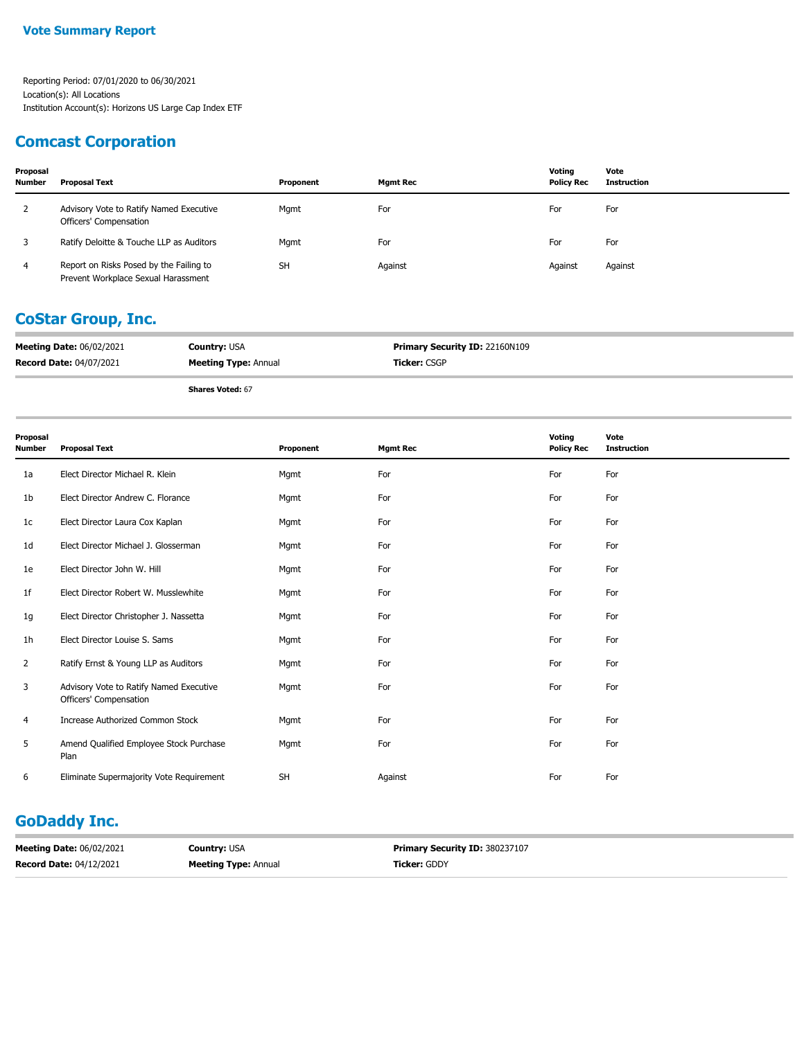### **Comcast Corporation**

| Proposal<br><b>Number</b> | <b>Proposal Text</b>                                                           | Proponent | Mamt Rec | Votina<br><b>Policy Rec</b> | Vote<br>Instruction |
|---------------------------|--------------------------------------------------------------------------------|-----------|----------|-----------------------------|---------------------|
| -2                        | Advisory Vote to Ratify Named Executive<br>Officers' Compensation              | Mgmt      | For      | For                         | For                 |
|                           | Ratify Deloitte & Touche LLP as Auditors                                       | Mgmt      | For      | For                         | For                 |
| 4                         | Report on Risks Posed by the Failing to<br>Prevent Workplace Sexual Harassment | <b>SH</b> | Against  | Against                     | Against             |

### **CoStar Group, Inc.**

| <b>Meeting Date: 06/02/2021</b> | <b>Country: USA</b>         | <b>Primary Security ID: 22160N109</b> |
|---------------------------------|-----------------------------|---------------------------------------|
| <b>Record Date: 04/07/2021</b>  | <b>Meeting Type: Annual</b> | Ticker: CSGP                          |

**Shares Voted:** 67

| Proposal<br><b>Number</b> | <b>Proposal Text</b>                                              | Proponent | <b>Mgmt Rec</b> | Voting<br><b>Policy Rec</b> | Vote<br><b>Instruction</b> |
|---------------------------|-------------------------------------------------------------------|-----------|-----------------|-----------------------------|----------------------------|
| 1a                        | Elect Director Michael R. Klein                                   | Mgmt      | For             | For                         | For                        |
| 1b                        | Elect Director Andrew C. Florance                                 | Mgmt      | For             | For                         | For                        |
| 1 <sup>c</sup>            | Elect Director Laura Cox Kaplan                                   | Mgmt      | For             | For                         | For                        |
| 1d                        | Elect Director Michael J. Glosserman                              | Mgmt      | For             | For                         | For                        |
| 1e                        | Elect Director John W. Hill                                       | Mgmt      | For             | For                         | For                        |
| 1 <sup>f</sup>            | Elect Director Robert W. Musslewhite                              | Mgmt      | For             | For                         | For                        |
| 1g                        | Elect Director Christopher J. Nassetta                            | Mgmt      | For             | For                         | For                        |
| 1h                        | Elect Director Louise S. Sams                                     | Mgmt      | For             | For                         | For                        |
| 2                         | Ratify Ernst & Young LLP as Auditors                              | Mgmt      | For             | For                         | For                        |
| 3                         | Advisory Vote to Ratify Named Executive<br>Officers' Compensation | Mgmt      | For             | For                         | For                        |
| 4                         | Increase Authorized Common Stock                                  | Mgmt      | For             | For                         | For                        |
| 5                         | Amend Qualified Employee Stock Purchase<br>Plan                   | Mgmt      | For             | For                         | For                        |
| 6                         | Eliminate Supermajority Vote Requirement                          | <b>SH</b> | Against         | For                         | For                        |

## **GoDaddy Inc.**

| <b>Meeting Date: 06/02/2021</b> | <b>Country: USA</b>         | <b>Primary Security ID: 380237107</b> |
|---------------------------------|-----------------------------|---------------------------------------|
| <b>Record Date: 04/12/2021</b>  | <b>Meeting Type: Annual</b> | <b>Ticker: GDDY</b>                   |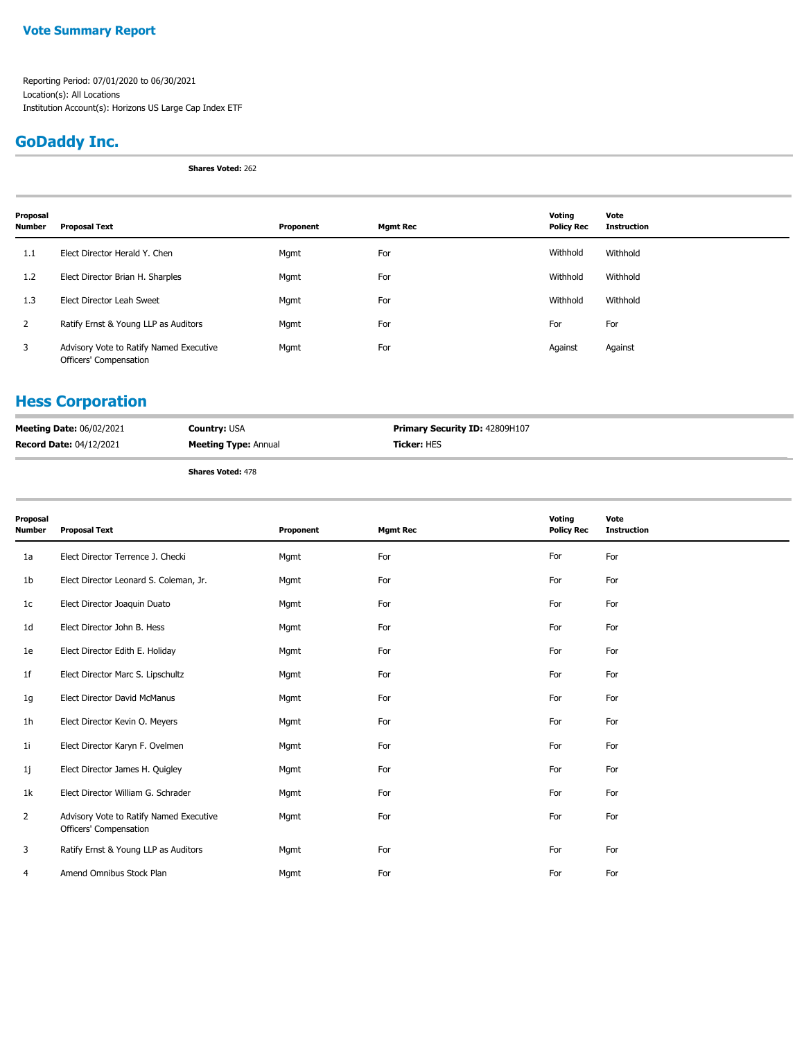#### **Vote Summary Report**

Reporting Period: 07/01/2020 to 06/30/2021 Location(s): All Locations Institution Account(s): Horizons US Large Cap Index ETF

## **GoDaddy Inc.**

**Shares Voted:** 262

| Proposal<br><b>Number</b> | <b>Proposal Text</b>                                              | Proponent | <b>Mgmt Rec</b> | Voting<br><b>Policy Rec</b> | Vote<br><b>Instruction</b> |
|---------------------------|-------------------------------------------------------------------|-----------|-----------------|-----------------------------|----------------------------|
| 1.1                       | Elect Director Herald Y. Chen                                     | Mgmt      | For             | Withhold                    | Withhold                   |
| 1.2                       | Elect Director Brian H. Sharples                                  | Mgmt      | For             | Withhold                    | Withhold                   |
| 1.3                       | Elect Director Leah Sweet                                         | Mgmt      | For             | Withhold                    | Withhold                   |
| $\overline{2}$            | Ratify Ernst & Young LLP as Auditors                              | Mgmt      | For             | For                         | For                        |
| 3                         | Advisory Vote to Ratify Named Executive<br>Officers' Compensation | Mgmt      | For             | Against                     | Against                    |

## **Hess Corporation**

| <b>Meeting Date: 06/02/2021</b> | <b>Country: USA</b>         | <b>Primary Security ID: 42809H107</b> |
|---------------------------------|-----------------------------|---------------------------------------|
| <b>Record Date: 04/12/2021</b>  | <b>Meeting Type: Annual</b> | <b>Ticker:</b> HES                    |
|                                 |                             |                                       |

| Proposal<br><b>Number</b> | <b>Proposal Text</b>                                              | Proponent | <b>Mgmt Rec</b> | Voting<br><b>Policy Rec</b> | Vote<br><b>Instruction</b> |
|---------------------------|-------------------------------------------------------------------|-----------|-----------------|-----------------------------|----------------------------|
| 1a                        | Elect Director Terrence J. Checki                                 | Mgmt      | For             | For                         | For                        |
| 1b                        | Elect Director Leonard S. Coleman, Jr.                            | Mgmt      | For             | For                         | For                        |
| 1 <sub>c</sub>            | Elect Director Joaquin Duato                                      | Mgmt      | For             | For                         | For                        |
| 1d                        | Elect Director John B. Hess                                       | Mgmt      | For             | For                         | For                        |
| 1e                        | Elect Director Edith E. Holiday                                   | Mgmt      | For             | For                         | For                        |
| 1f                        | Elect Director Marc S. Lipschultz                                 | Mgmt      | For             | For                         | For                        |
| 1g                        | Elect Director David McManus                                      | Mgmt      | For             | For                         | For                        |
| 1 <sub>h</sub>            | Elect Director Kevin O. Meyers                                    | Mgmt      | For             | For                         | For                        |
| 1 <sub>i</sub>            | Elect Director Karyn F. Ovelmen                                   | Mgmt      | For             | For                         | For                        |
| 1j                        | Elect Director James H. Quigley                                   | Mgmt      | For             | For                         | For                        |
| 1k                        | Elect Director William G. Schrader                                | Mgmt      | For             | For                         | For                        |
| 2                         | Advisory Vote to Ratify Named Executive<br>Officers' Compensation | Mgmt      | For             | For                         | For                        |
| 3                         | Ratify Ernst & Young LLP as Auditors                              | Mgmt      | For             | For                         | For                        |
| 4                         | Amend Omnibus Stock Plan                                          | Mgmt      | For             | For                         | For                        |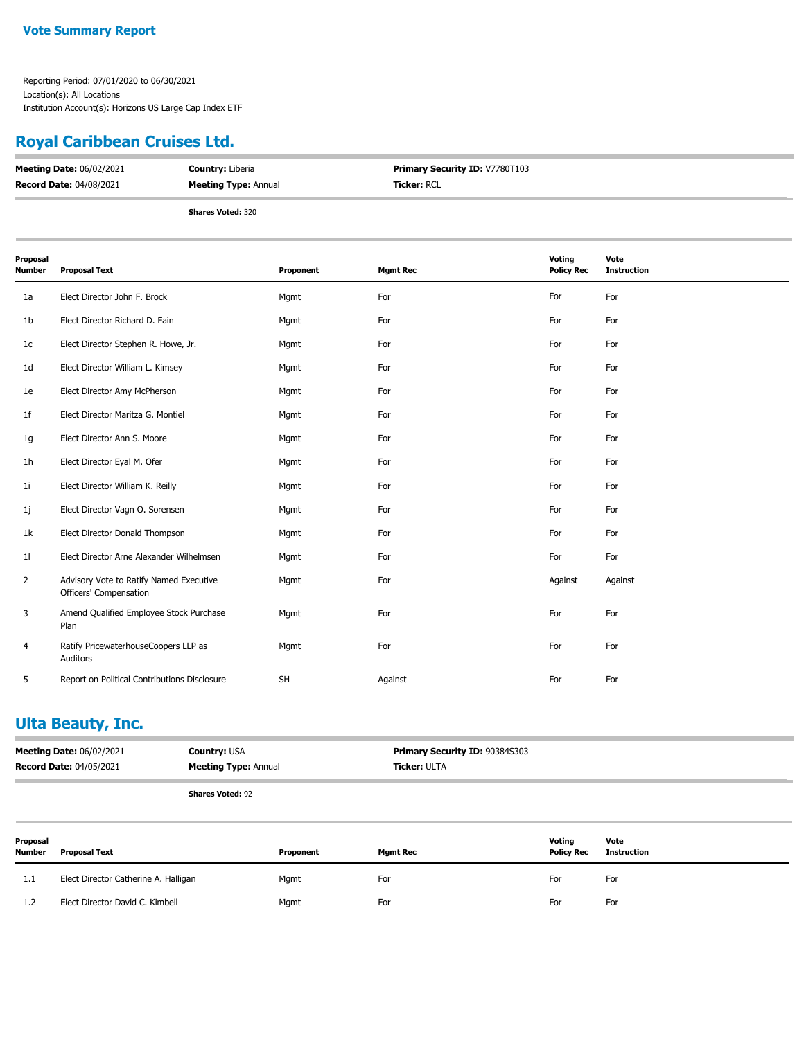### **Royal Caribbean Cruises Ltd.**

| <b>Meeting Date: 06/02/2021</b> | <b>Country: Liberia</b>     | <b>Primary Security ID: V7780T103</b> |
|---------------------------------|-----------------------------|---------------------------------------|
| <b>Record Date: 04/08/2021</b>  | <b>Meeting Type: Annual</b> | <b>Ticker: RCL</b>                    |
|                                 | <b>Shares Voted: 320</b>    |                                       |

| Proposal<br><b>Number</b> | <b>Proposal Text</b>                                              | Proponent | <b>Mgmt Rec</b> | Voting<br><b>Policy Rec</b> | Vote<br><b>Instruction</b> |
|---------------------------|-------------------------------------------------------------------|-----------|-----------------|-----------------------------|----------------------------|
| 1a                        | Elect Director John F. Brock                                      | Mgmt      | For             | For                         | For                        |
| 1 <sub>b</sub>            | Elect Director Richard D. Fain                                    | Mgmt      | For             | For                         | For                        |
| 1c                        | Elect Director Stephen R. Howe, Jr.                               | Mgmt      | For             | For                         | For                        |
| 1 <sub>d</sub>            | Elect Director William L. Kimsey                                  | Mgmt      | For             | For                         | For                        |
| 1e                        | Elect Director Amy McPherson                                      | Mgmt      | For             | For                         | For                        |
| 1 <sub>f</sub>            | Elect Director Maritza G. Montiel                                 | Mgmt      | For             | For                         | For                        |
| 1g                        | Elect Director Ann S. Moore                                       | Mgmt      | For             | For                         | For                        |
| 1 <sub>h</sub>            | Elect Director Eyal M. Ofer                                       | Mgmt      | For             | For                         | For                        |
| 1 <sub>i</sub>            | Elect Director William K. Reilly                                  | Mgmt      | For             | For                         | For                        |
| 1j                        | Elect Director Vagn O. Sorensen                                   | Mgmt      | For             | For                         | For                        |
| 1k                        | Elect Director Donald Thompson                                    | Mgmt      | For             | For                         | For                        |
| 11                        | Elect Director Arne Alexander Wilhelmsen                          | Mgmt      | For             | For                         | For                        |
| 2                         | Advisory Vote to Ratify Named Executive<br>Officers' Compensation | Mgmt      | For             | Against                     | Against                    |
| 3                         | Amend Qualified Employee Stock Purchase<br>Plan                   | Mgmt      | For             | For                         | For                        |
| $\overline{4}$            | Ratify PricewaterhouseCoopers LLP as<br>Auditors                  | Mgmt      | For             | For                         | For                        |
| 5                         | Report on Political Contributions Disclosure                      | SH        | Against         | For                         | For                        |

## **Ulta Beauty, Inc.**

| <b>Meeting Date: 06/02/2021</b> | <b>Country: USA</b>         | <b>Primary Security ID: 90384S303</b> |
|---------------------------------|-----------------------------|---------------------------------------|
| <b>Record Date: 04/05/2021</b>  | <b>Meeting Type: Annual</b> | <b>Ticker:</b> ULTA                   |
|                                 |                             |                                       |

| Proposal<br><b>Number</b> | <b>Proposal Text</b>                 | Proponent | <b>Mgmt Rec</b> | Voting<br><b>Policy Rec</b> | Vote<br><b>Instruction</b> |
|---------------------------|--------------------------------------|-----------|-----------------|-----------------------------|----------------------------|
| 1.1                       | Elect Director Catherine A. Halligan | Mgmt      | For             | For                         | For                        |
| 1.2                       | Elect Director David C. Kimbell      | Mgmt      | For             | For                         | For                        |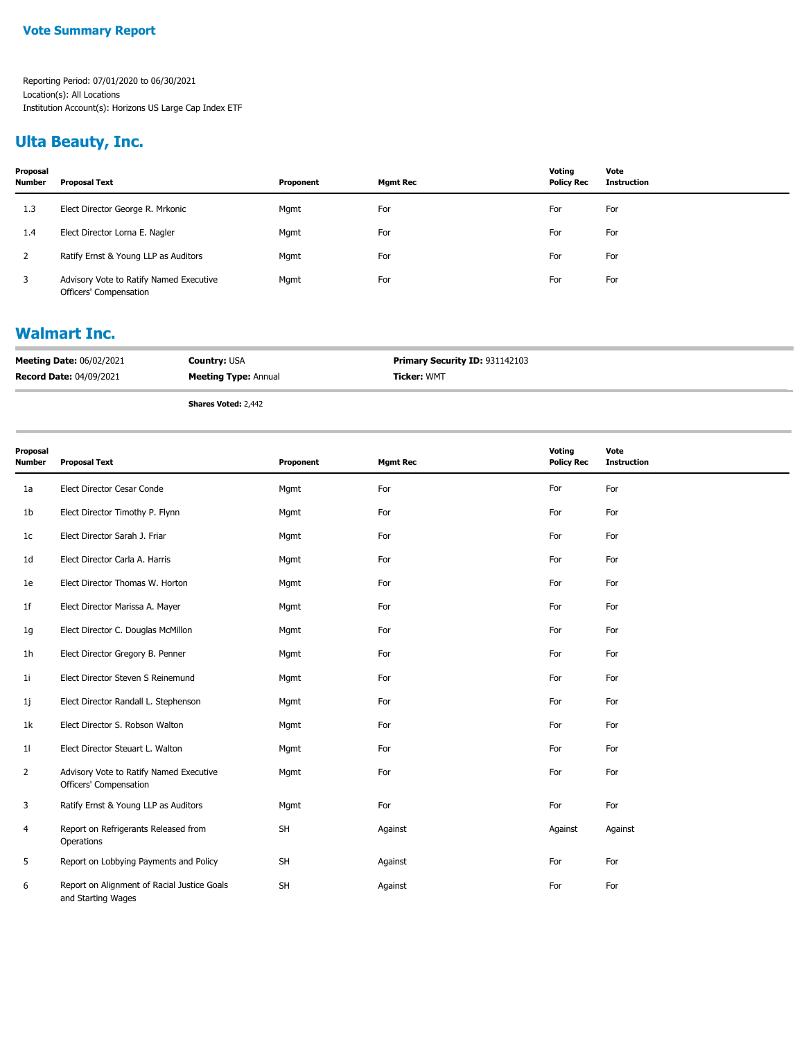## **Ulta Beauty, Inc.**

| Proposal<br><b>Number</b> | Proposal Text                                                     | Proponent | Mgmt Rec | Votina<br><b>Policy Rec</b> | Vote<br><b>Instruction</b> |
|---------------------------|-------------------------------------------------------------------|-----------|----------|-----------------------------|----------------------------|
| 1.3                       | Elect Director George R. Mrkonic                                  | Mgmt      | For      | For                         | For                        |
| 1.4                       | Elect Director Lorna E. Nagler                                    | Mgmt      | For      | For                         | For                        |
|                           | Ratify Ernst & Young LLP as Auditors                              | Mgmt      | For      | For                         | For                        |
| 3                         | Advisory Vote to Ratify Named Executive<br>Officers' Compensation | Mgmt      | For      | For                         | For                        |

### **Walmart Inc.**

| <b>Meeting Date: 06/02/2021</b> | <b>Country: USA</b>         | <b>Primary Security ID: 931142103</b> |
|---------------------------------|-----------------------------|---------------------------------------|
| <b>Record Date: 04/09/2021</b>  | <b>Meeting Type: Annual</b> | <b>Ticker: WMT</b>                    |
|                                 | Chause Matade 3, 443        |                                       |

**Shares Voted:** 2,442

| Proposal<br><b>Number</b> | <b>Proposal Text</b>                                              | Proponent | <b>Mgmt Rec</b> | Voting<br><b>Policy Rec</b> | Vote<br>Instruction |
|---------------------------|-------------------------------------------------------------------|-----------|-----------------|-----------------------------|---------------------|
| 1a                        | Elect Director Cesar Conde                                        | Mgmt      | For             | For                         | For                 |
| 1b                        | Elect Director Timothy P. Flynn                                   | Mgmt      | For             | For                         | For                 |
| 1 <sub>c</sub>            | Elect Director Sarah J. Friar                                     | Mgmt      | For             | For                         | For                 |
| 1 <sub>d</sub>            | Elect Director Carla A. Harris                                    | Mgmt      | For             | For                         | For                 |
| 1e                        | Elect Director Thomas W. Horton                                   | Mgmt      | For             | For                         | For                 |
| 1f                        | Elect Director Marissa A. Mayer                                   | Mgmt      | For             | For                         | For                 |
| 1g                        | Elect Director C. Douglas McMillon                                | Mgmt      | For             | For                         | For                 |
| 1 <sub>h</sub>            | Elect Director Gregory B. Penner                                  | Mgmt      | For             | For                         | For                 |
| 11                        | Elect Director Steven S Reinemund                                 | Mgmt      | For             | For                         | For                 |
| 1j                        | Elect Director Randall L. Stephenson                              | Mgmt      | For             | For                         | For                 |
| 1k                        | Elect Director S. Robson Walton                                   | Mgmt      | For             | For                         | For                 |
| 11                        | Elect Director Steuart L. Walton                                  | Mgmt      | For             | For                         | For                 |
| $\overline{2}$            | Advisory Vote to Ratify Named Executive<br>Officers' Compensation | Mgmt      | For             | For                         | For                 |
| 3                         | Ratify Ernst & Young LLP as Auditors                              | Mgmt      | For             | For                         | For                 |
| 4                         | Report on Refrigerants Released from<br>Operations                | SH        | Against         | Against                     | Against             |
| 5                         | Report on Lobbying Payments and Policy                            | SH        | Against         | For                         | For                 |
| 6                         | Report on Alignment of Racial Justice Goals<br>and Starting Wages | SH        | Against         | For                         | For                 |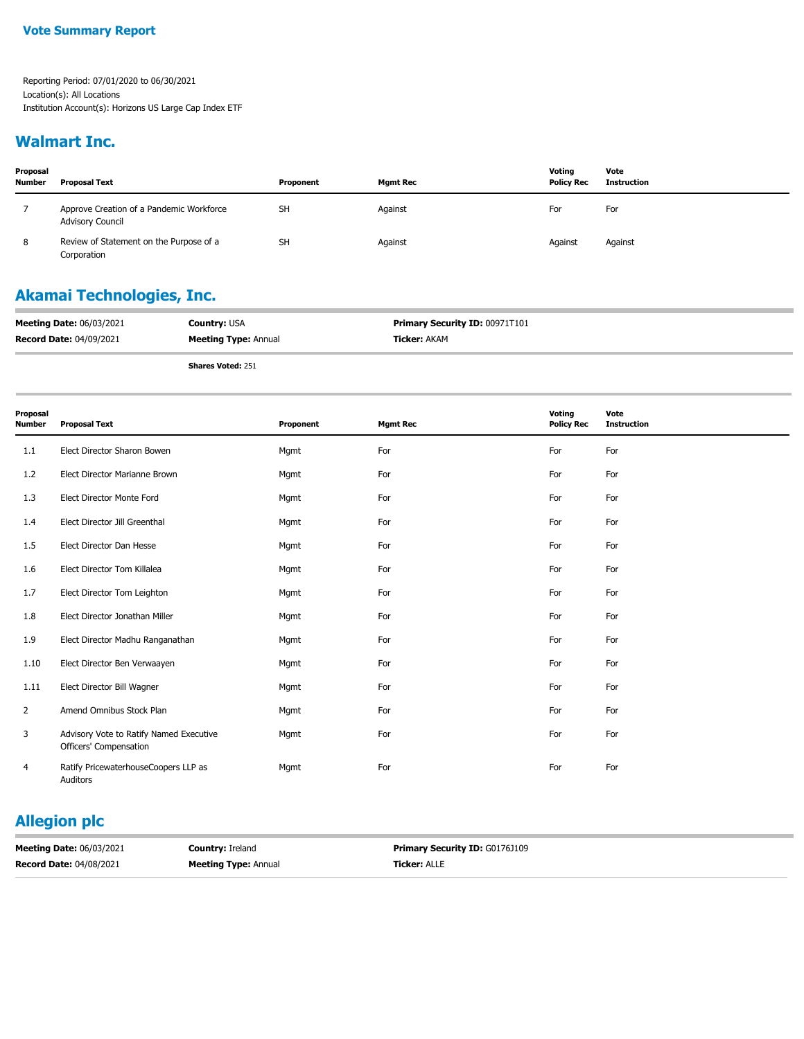### **Walmart Inc.**

| Proposal<br><b>Number</b> | <b>Proposal Text</b>                                                | Proponent | <b>Mgmt Rec</b> | Voting<br><b>Policy Rec</b> | Vote<br><b>Instruction</b> |
|---------------------------|---------------------------------------------------------------------|-----------|-----------------|-----------------------------|----------------------------|
|                           | Approve Creation of a Pandemic Workforce<br><b>Advisory Council</b> | <b>SH</b> | Against         | For                         | For                        |
| 8                         | Review of Statement on the Purpose of a<br>Corporation              | <b>SH</b> | Against         | Against                     | Against                    |

## **Akamai Technologies, Inc.**

| <b>Meeting Date: 06/03/2021</b> | <b>Country: USA</b>         | <b>Primary Security ID: 00971T101</b> |
|---------------------------------|-----------------------------|---------------------------------------|
| <b>Record Date: 04/09/2021</b>  | <b>Meeting Type: Annual</b> | <b>Ticker: AKAM</b>                   |
|                                 |                             |                                       |

**Shares Voted:** 251

| Proposal<br><b>Number</b> | <b>Proposal Text</b>                                              | Proponent | <b>Mgmt Rec</b> | Voting<br><b>Policy Rec</b> | Vote<br><b>Instruction</b> |
|---------------------------|-------------------------------------------------------------------|-----------|-----------------|-----------------------------|----------------------------|
| 1.1                       | Elect Director Sharon Bowen                                       | Mgmt      | For             | For                         | For                        |
| 1.2                       | Elect Director Marianne Brown                                     | Mgmt      | For             | For                         | For                        |
| 1.3                       | Elect Director Monte Ford                                         | Mgmt      | For             | For                         | For                        |
| 1.4                       | Elect Director Jill Greenthal                                     | Mgmt      | For             | For                         | For                        |
| 1.5                       | Elect Director Dan Hesse                                          | Mgmt      | For             | For                         | For                        |
| 1.6                       | Elect Director Tom Killalea                                       | Mgmt      | For             | For                         | For                        |
| 1.7                       | Elect Director Tom Leighton                                       | Mgmt      | For             | For                         | For                        |
| 1.8                       | Elect Director Jonathan Miller                                    | Mgmt      | For             | For                         | For                        |
| 1.9                       | Elect Director Madhu Ranganathan                                  | Mgmt      | For             | For                         | For                        |
| 1.10                      | Elect Director Ben Verwaayen                                      | Mgmt      | For             | For                         | For                        |
| 1.11                      | Elect Director Bill Wagner                                        | Mgmt      | For             | For                         | For                        |
| 2                         | Amend Omnibus Stock Plan                                          | Mgmt      | For             | For                         | For                        |
| 3                         | Advisory Vote to Ratify Named Executive<br>Officers' Compensation | Mgmt      | For             | For                         | For                        |
| 4                         | Ratify PricewaterhouseCoopers LLP as<br>Auditors                  | Mgmt      | For             | For                         | For                        |

## **Allegion plc**

| <b>Meeting Date: 06/03/2021</b> | <b>Country: Ireland</b>     | <b>Primary Security ID: G0176J109</b> |
|---------------------------------|-----------------------------|---------------------------------------|
| <b>Record Date: 04/08/2021</b>  | <b>Meeting Type: Annual</b> | <b>Ticker: ALLE</b>                   |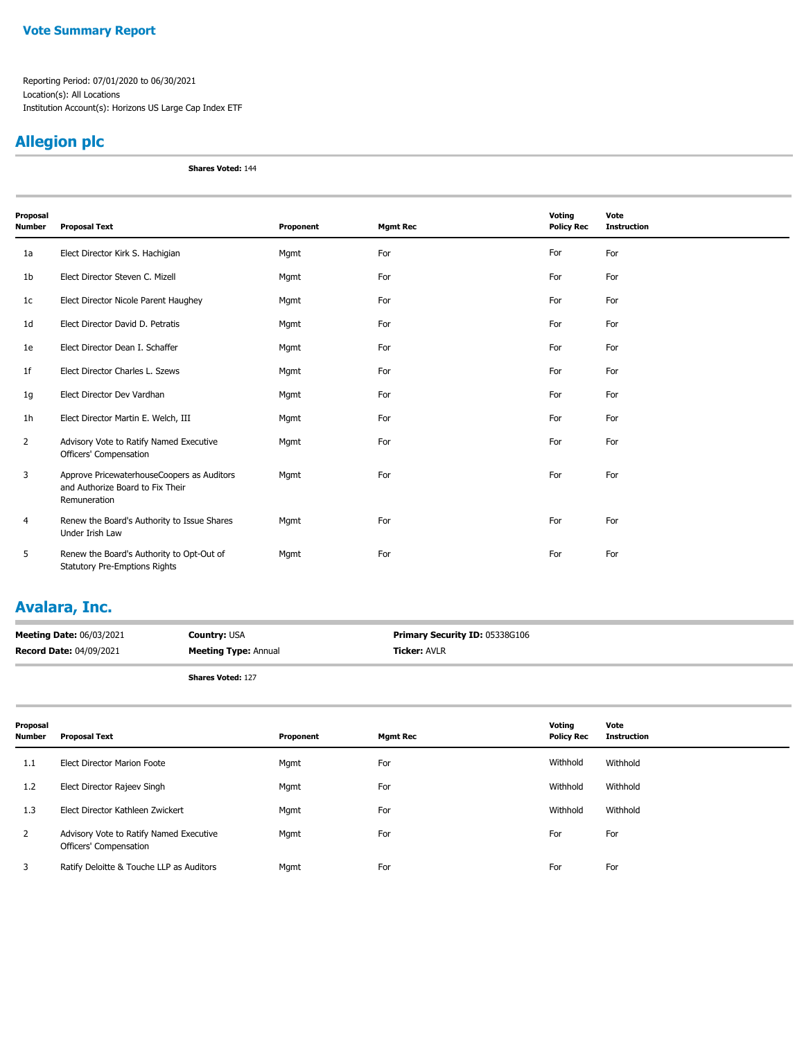#### **Vote Summary Report**

Reporting Period: 07/01/2020 to 06/30/2021 Location(s): All Locations Institution Account(s): Horizons US Large Cap Index ETF

## **Allegion plc**

**Shares Voted:** 144

| Proposal<br><b>Number</b> | <b>Proposal Text</b>                                                                           | Proponent | <b>Mgmt Rec</b> | Voting<br><b>Policy Rec</b> | Vote<br><b>Instruction</b> |
|---------------------------|------------------------------------------------------------------------------------------------|-----------|-----------------|-----------------------------|----------------------------|
| 1a                        | Elect Director Kirk S. Hachigian                                                               | Mgmt      | For             | For                         | For                        |
| 1 <sub>b</sub>            | Elect Director Steven C. Mizell                                                                | Mgmt      | For             | For                         | For                        |
| 1 <sub>c</sub>            | Elect Director Nicole Parent Haughey                                                           | Mgmt      | For             | For                         | For                        |
| 1 <sub>d</sub>            | Elect Director David D. Petratis                                                               | Mgmt      | For             | For                         | For                        |
| 1e                        | Elect Director Dean I. Schaffer                                                                | Mgmt      | For             | For                         | For                        |
| 1 <sub>f</sub>            | Elect Director Charles L. Szews                                                                | Mgmt      | For             | For                         | For                        |
| 1g                        | Elect Director Dev Vardhan                                                                     | Mgmt      | For             | For                         | For                        |
| 1h                        | Elect Director Martin E. Welch, III                                                            | Mgmt      | For             | For                         | For                        |
| $\overline{2}$            | Advisory Vote to Ratify Named Executive<br>Officers' Compensation                              | Mgmt      | For             | For                         | For                        |
| 3                         | Approve PricewaterhouseCoopers as Auditors<br>and Authorize Board to Fix Their<br>Remuneration | Mgmt      | For             | For                         | For                        |
| 4                         | Renew the Board's Authority to Issue Shares<br>Under Irish Law                                 | Mgmt      | For             | For                         | For                        |
| 5                         | Renew the Board's Authority to Opt-Out of<br><b>Statutory Pre-Emptions Rights</b>              | Mgmt      | For             | For                         | For                        |

### **Avalara, Inc.**

| <b>Meeting Date: 06/03/2021</b> | <b>Country: USA</b>         | <b>Primary Security ID: 05338G106</b> |
|---------------------------------|-----------------------------|---------------------------------------|
| <b>Record Date: 04/09/2021</b>  | <b>Meeting Type: Annual</b> | <b>Ticker: AVLR</b>                   |
|                                 | <b>Shares Voted: 127</b>    |                                       |

| Proposal<br>Number | <b>Proposal Text</b>                                              | Proponent | <b>Mgmt Rec</b> | Voting<br><b>Policy Rec</b> | Vote<br><b>Instruction</b> |
|--------------------|-------------------------------------------------------------------|-----------|-----------------|-----------------------------|----------------------------|
| 1.1                | Elect Director Marion Foote                                       | Mgmt      | For             | Withhold                    | Withhold                   |
| 1.2                | Elect Director Rajeev Singh                                       | Mgmt      | For             | Withhold                    | Withhold                   |
| 1.3                | Elect Director Kathleen Zwickert                                  | Mgmt      | For             | Withhold                    | Withhold                   |
| $\overline{2}$     | Advisory Vote to Ratify Named Executive<br>Officers' Compensation | Mgmt      | For             | For                         | For                        |
| 3                  | Ratify Deloitte & Touche LLP as Auditors                          | Mgmt      | For             | For                         | For                        |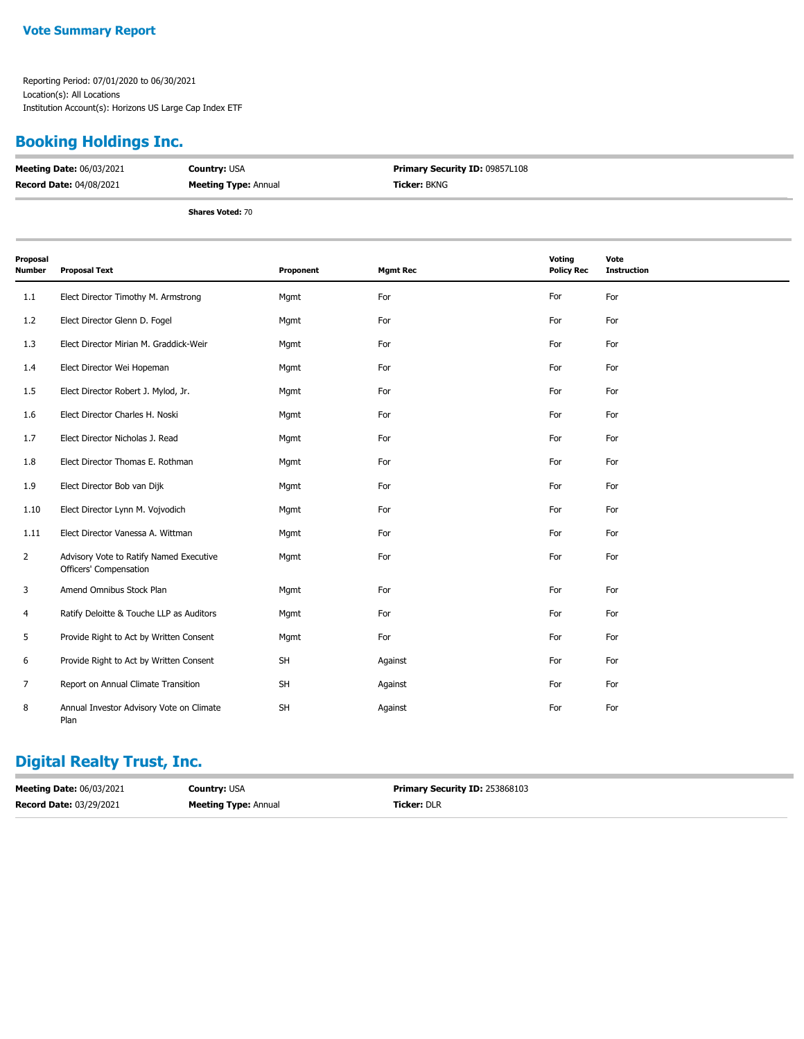### **Booking Holdings Inc.**

| <b>Meeting Date: 06/03/2021</b> | <b>Country: USA</b>         | Primary Security ID: 09857L108 |
|---------------------------------|-----------------------------|--------------------------------|
| <b>Record Date: 04/08/2021</b>  | <b>Meeting Type: Annual</b> | <b>Ticker: BKNG</b>            |
|                                 | <b>Shares Voted: 70</b>     |                                |

| Proposal<br><b>Number</b> | <b>Proposal Text</b>                                              | Proponent | <b>Mgmt Rec</b> | Voting<br><b>Policy Rec</b> | Vote<br><b>Instruction</b> |
|---------------------------|-------------------------------------------------------------------|-----------|-----------------|-----------------------------|----------------------------|
| 1.1                       | Elect Director Timothy M. Armstrong                               | Mgmt      | For             | For                         | For                        |
| 1.2                       | Elect Director Glenn D. Fogel                                     | Mgmt      | For             | For                         | For                        |
| 1.3                       | Elect Director Mirian M. Graddick-Weir                            | Mgmt      | For             | For                         | For                        |
| 1.4                       | Elect Director Wei Hopeman                                        | Mgmt      | For             | For                         | For                        |
| 1.5                       | Elect Director Robert J. Mylod, Jr.                               | Mgmt      | For             | For                         | For                        |
| 1.6                       | Elect Director Charles H. Noski                                   | Mgmt      | For             | For                         | For                        |
| 1.7                       | Elect Director Nicholas J. Read                                   | Mgmt      | For             | For                         | For                        |
| 1.8                       | Elect Director Thomas E. Rothman                                  | Mgmt      | For             | For                         | For                        |
| 1.9                       | Elect Director Bob van Dijk                                       | Mgmt      | For             | For                         | For                        |
| 1.10                      | Elect Director Lynn M. Vojvodich                                  | Mgmt      | For             | For                         | For                        |
| 1.11                      | Elect Director Vanessa A. Wittman                                 | Mgmt      | For             | For                         | For                        |
| 2                         | Advisory Vote to Ratify Named Executive<br>Officers' Compensation | Mgmt      | For             | For                         | For                        |
| 3                         | Amend Omnibus Stock Plan                                          | Mgmt      | For             | For                         | For                        |
| 4                         | Ratify Deloitte & Touche LLP as Auditors                          | Mgmt      | For             | For                         | For                        |
| 5                         | Provide Right to Act by Written Consent                           | Mgmt      | For             | For                         | For                        |
| 6                         | Provide Right to Act by Written Consent                           | <b>SH</b> | Against         | For                         | For                        |
| 7                         | Report on Annual Climate Transition                               | SH        | Against         | For                         | For                        |
| 8                         | Annual Investor Advisory Vote on Climate<br>Plan                  | SH        | Against         | For                         | For                        |

## **Digital Realty Trust, Inc.**

| <b>Meeting Date: 06/03/2021</b> | <b>Country: USA</b>         | <b>Primary Security ID: 253868103</b> |
|---------------------------------|-----------------------------|---------------------------------------|
| <b>Record Date: 03/29/2021</b>  | <b>Meeting Type: Annual</b> | <b>Ticker: DLR</b>                    |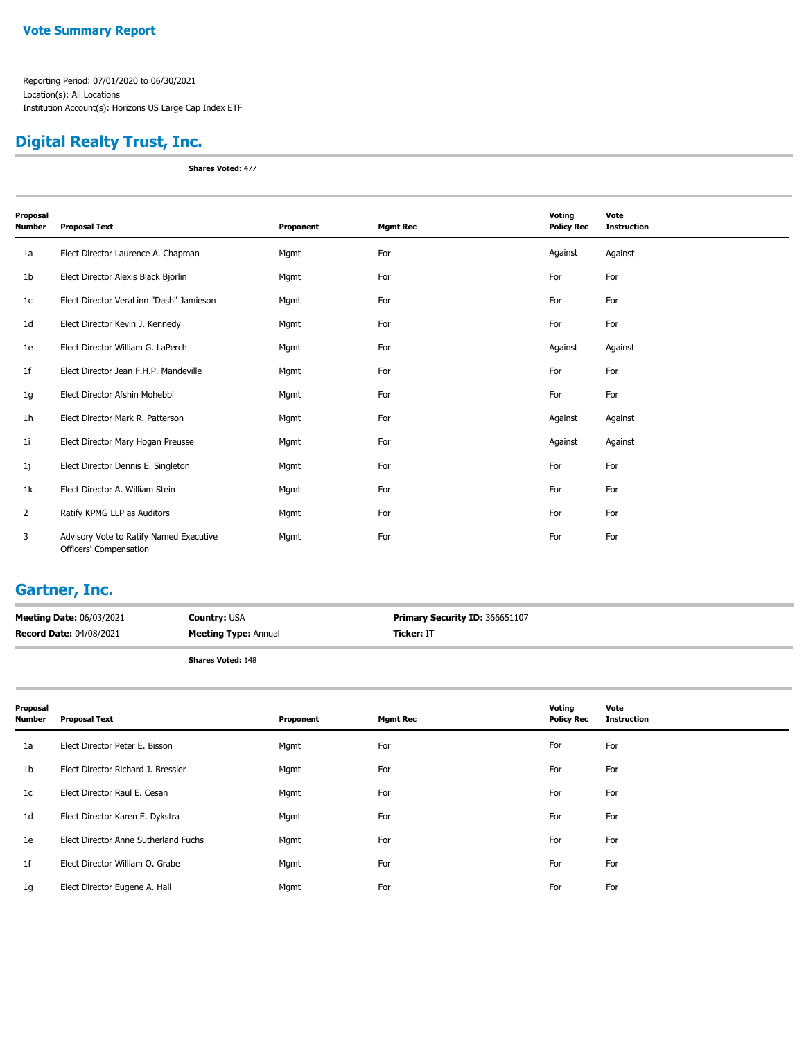## **Digital Realty Trust, Inc.**

**Shares Voted:** 477

| Proposal<br>Number | <b>Proposal Text</b>                                              | Proponent | <b>Mgmt Rec</b> | Voting<br><b>Policy Rec</b> | Vote<br><b>Instruction</b> |
|--------------------|-------------------------------------------------------------------|-----------|-----------------|-----------------------------|----------------------------|
| 1a                 | Elect Director Laurence A. Chapman                                | Mgmt      | For             | Against                     | Against                    |
| 1b                 | Elect Director Alexis Black Bjorlin                               | Mgmt      | For             | For                         | For                        |
| 1c                 | Elect Director VeraLinn "Dash" Jamieson                           | Mgmt      | For             | For                         | For                        |
| 1d                 | Elect Director Kevin J. Kennedy                                   | Mgmt      | For             | For                         | For                        |
| 1e                 | Elect Director William G. LaPerch                                 | Mgmt      | For             | Against                     | Against                    |
| 1f                 | Elect Director Jean F.H.P. Mandeville                             | Mgmt      | For             | For                         | For                        |
| 1g                 | Elect Director Afshin Mohebbi                                     | Mgmt      | For             | For                         | For                        |
| 1 <sub>h</sub>     | Elect Director Mark R. Patterson                                  | Mgmt      | For             | Against                     | Against                    |
| 1i                 | Elect Director Mary Hogan Preusse                                 | Mgmt      | For             | Against                     | Against                    |
| 1j                 | Elect Director Dennis E. Singleton                                | Mgmt      | For             | For                         | For                        |
| 1k                 | Elect Director A. William Stein                                   | Mgmt      | For             | For                         | For                        |
| $\overline{2}$     | Ratify KPMG LLP as Auditors                                       | Mgmt      | For             | For                         | For                        |
| 3                  | Advisory Vote to Ratify Named Executive<br>Officers' Compensation | Mgmt      | For             | For                         | For                        |

### **Gartner, Inc.**

| <b>Meeting Date: 06/03/2021</b> | <b>Country: USA</b>         | <b>Primary Security ID: 366651107</b> |
|---------------------------------|-----------------------------|---------------------------------------|
| <b>Record Date: 04/08/2021</b>  | <b>Meeting Type: Annual</b> | <b>Ticker: IT</b>                     |
|                                 |                             |                                       |

| Proposal<br><b>Number</b> | <b>Proposal Text</b>                 | Proponent | <b>Mgmt Rec</b> | Voting<br><b>Policy Rec</b> | Vote<br><b>Instruction</b> |
|---------------------------|--------------------------------------|-----------|-----------------|-----------------------------|----------------------------|
| 1a                        | Elect Director Peter E. Bisson       | Mgmt      | For             | For                         | For                        |
| 1 <sub>b</sub>            | Elect Director Richard J. Bressler   | Mgmt      | For             | For                         | For                        |
| 1 <sub>c</sub>            | Elect Director Raul E. Cesan         | Mgmt      | For             | For                         | For                        |
| 1 <sub>d</sub>            | Elect Director Karen E. Dykstra      | Mgmt      | For             | For                         | For                        |
| 1e                        | Elect Director Anne Sutherland Fuchs | Mgmt      | For             | For                         | For                        |
| 1 <sup>f</sup>            | Elect Director William O. Grabe      | Mgmt      | For             | For                         | For                        |
| 1g                        | Elect Director Eugene A. Hall        | Mgmt      | For             | For                         | For                        |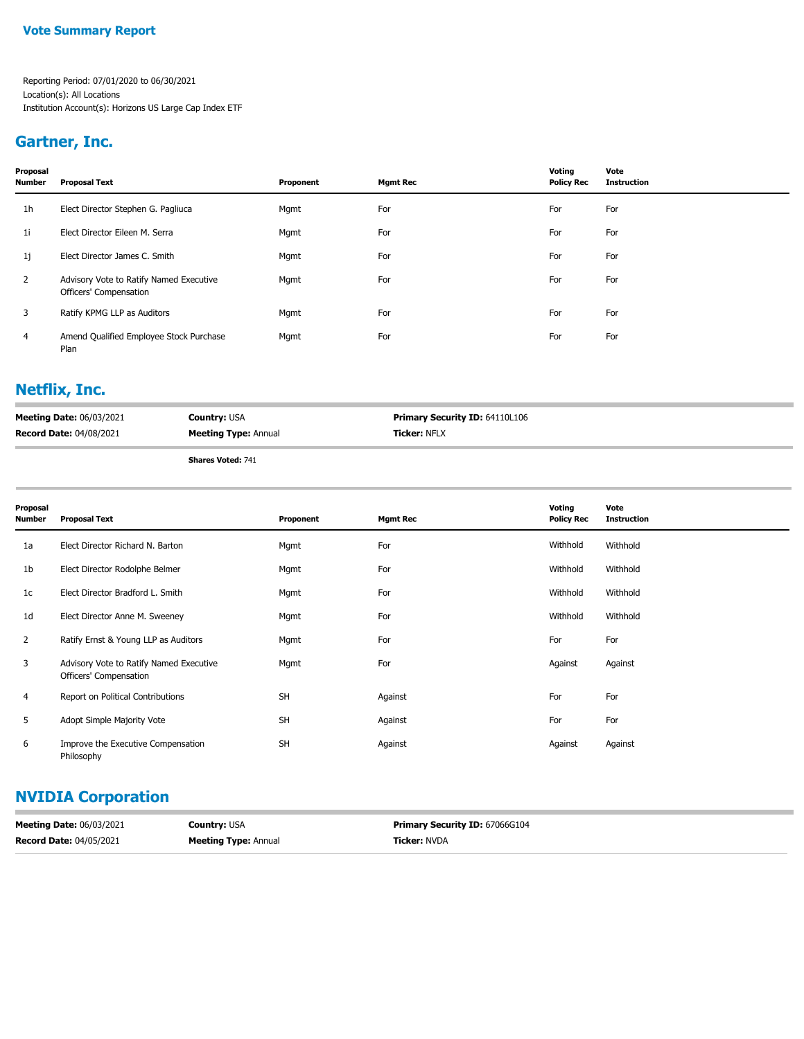#### **Vote Summary Report**

Reporting Period: 07/01/2020 to 06/30/2021 Location(s): All Locations Institution Account(s): Horizons US Large Cap Index ETF

### **Gartner, Inc.**

| Proposal<br><b>Number</b> | <b>Proposal Text</b>                                              | Proponent | <b>Mgmt Rec</b> | Voting<br><b>Policy Rec</b> | Vote<br>Instruction |
|---------------------------|-------------------------------------------------------------------|-----------|-----------------|-----------------------------|---------------------|
| 1h                        | Elect Director Stephen G. Pagliuca                                | Mgmt      | For             | For                         | For                 |
| 1i                        | Elect Director Eileen M. Serra                                    | Mgmt      | For             | For                         | For                 |
| 1j                        | Elect Director James C. Smith                                     | Mgmt      | For             | For                         | For                 |
| $\mathbf{2}$              | Advisory Vote to Ratify Named Executive<br>Officers' Compensation | Mgmt      | For             | For                         | For                 |
| 3                         | Ratify KPMG LLP as Auditors                                       | Mgmt      | For             | For                         | For                 |
| $\overline{4}$            | Amend Qualified Employee Stock Purchase<br>Plan                   | Mgmt      | For             | For                         | For                 |

### **Netflix, Inc.**

| <b>Meeting Date: 06/03/2021</b> | <b>Country: USA</b>         | <b>Primary Security ID: 64110L106</b> |
|---------------------------------|-----------------------------|---------------------------------------|
| <b>Record Date: 04/08/2021</b>  | <b>Meeting Type: Annual</b> | <b>Ticker: NFLX</b>                   |
|                                 | <b>Shares Voted: 741</b>    |                                       |

| Proposal<br>Number | <b>Proposal Text</b>                                              | Proponent | <b>Mgmt Rec</b> | Voting<br><b>Policy Rec</b> | Vote<br><b>Instruction</b> |
|--------------------|-------------------------------------------------------------------|-----------|-----------------|-----------------------------|----------------------------|
| 1a                 | Elect Director Richard N. Barton                                  | Mgmt      | For             | Withhold                    | Withhold                   |
| 1b                 | Elect Director Rodolphe Belmer                                    | Mgmt      | For             | Withhold                    | Withhold                   |
| 1c                 | Elect Director Bradford L. Smith                                  | Mgmt      | For             | Withhold                    | Withhold                   |
| 1d                 | Elect Director Anne M. Sweeney                                    | Mgmt      | For             | Withhold                    | Withhold                   |
| $\overline{2}$     | Ratify Ernst & Young LLP as Auditors                              | Mgmt      | For             | For                         | For                        |
| 3                  | Advisory Vote to Ratify Named Executive<br>Officers' Compensation | Mgmt      | For             | Against                     | Against                    |
| 4                  | Report on Political Contributions                                 | <b>SH</b> | Against         | For                         | For                        |
| 5                  | Adopt Simple Majority Vote                                        | <b>SH</b> | Against         | For                         | For                        |
| 6                  | Improve the Executive Compensation<br>Philosophy                  | <b>SH</b> | Against         | Against                     | Against                    |

# **NVIDIA Corporation**

| <b>Meeting Date: 06/03/2021</b> | <b>Country: USA</b>         | <b>Primary Security ID: 67066G104</b> |
|---------------------------------|-----------------------------|---------------------------------------|
| <b>Record Date: 04/05/2021</b>  | <b>Meeting Type: Annual</b> | <b>Ticker: NVDA</b>                   |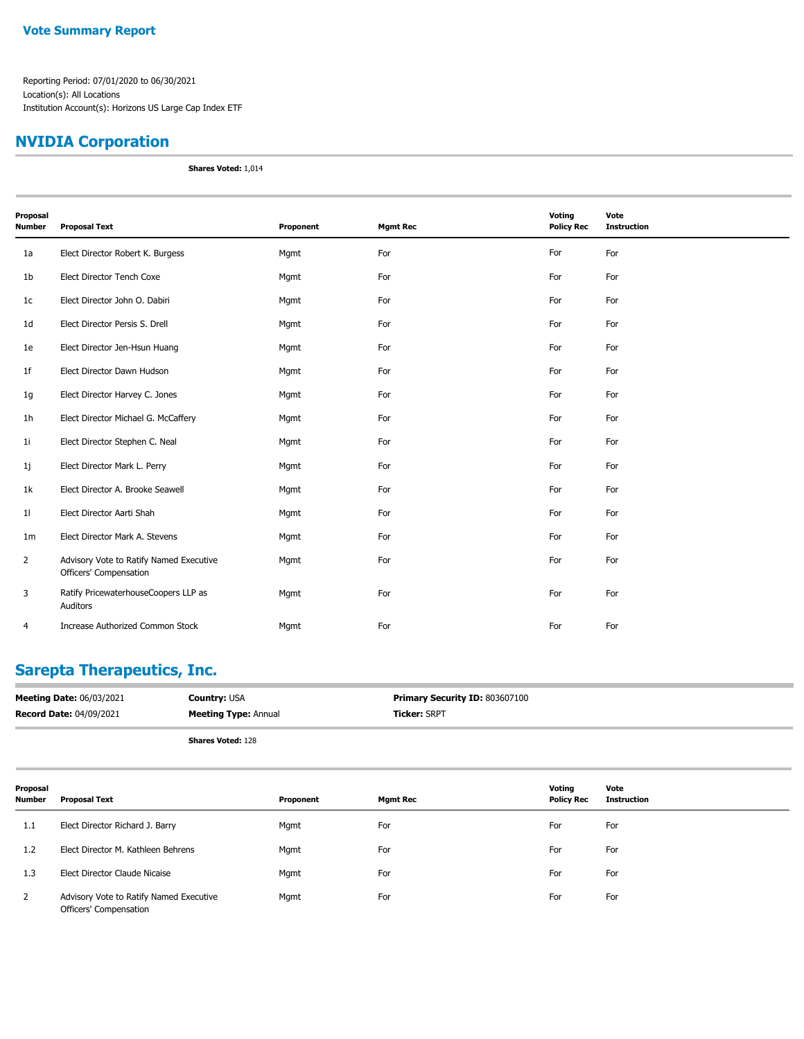## **NVIDIA Corporation**

**Shares Voted:** 1,014

| Proposal       |                                                                   |           |                 | Voting            | Vote               |
|----------------|-------------------------------------------------------------------|-----------|-----------------|-------------------|--------------------|
| <b>Number</b>  | <b>Proposal Text</b>                                              | Proponent | <b>Mgmt Rec</b> | <b>Policy Rec</b> | <b>Instruction</b> |
| 1a             | Elect Director Robert K. Burgess                                  | Mgmt      | For             | For               | For                |
| 1b             | Elect Director Tench Coxe                                         | Mgmt      | For             | For               | For                |
| 1 <sub>c</sub> | Elect Director John O. Dabiri                                     | Mgmt      | For             | For               | For                |
| 1 <sub>d</sub> | Elect Director Persis S. Drell                                    | Mgmt      | For             | For               | For                |
| 1e             | Elect Director Jen-Hsun Huang                                     | Mgmt      | For             | For               | For                |
| 1 <sub>f</sub> | Elect Director Dawn Hudson                                        | Mgmt      | For             | For               | For                |
| 1g             | Elect Director Harvey C. Jones                                    | Mgmt      | For             | For               | For                |
| 1h             | Elect Director Michael G. McCaffery                               | Mgmt      | For             | For               | For                |
| 11             | Elect Director Stephen C. Neal                                    | Mgmt      | For             | For               | For                |
| 1j             | Elect Director Mark L. Perry                                      | Mgmt      | For             | For               | For                |
| 1k             | Elect Director A. Brooke Seawell                                  | Mgmt      | For             | For               | For                |
| 11             | Elect Director Aarti Shah                                         | Mgmt      | For             | For               | For                |
| 1 <sub>m</sub> | Elect Director Mark A. Stevens                                    | Mgmt      | For             | For               | For                |
| $\overline{2}$ | Advisory Vote to Ratify Named Executive<br>Officers' Compensation | Mgmt      | For             | For               | For                |
| 3              | Ratify PricewaterhouseCoopers LLP as<br>Auditors                  | Mgmt      | For             | For               | For                |
| 4              | Increase Authorized Common Stock                                  | Mgmt      | For             | For               | For                |

### **Sarepta Therapeutics, Inc.**

| <b>Meeting Date: 06/03/2021</b> | <b>Country: USA</b>         | <b>Primary Security ID: 803607100</b> |
|---------------------------------|-----------------------------|---------------------------------------|
| <b>Record Date: 04/09/2021</b>  | <b>Meeting Type: Annual</b> | <b>Ticker: SRPT</b>                   |
|                                 | <b>Shares Voted: 128</b>    |                                       |

| Proposal<br><b>Number</b> | <b>Proposal Text</b>                                              | Proponent | <b>Mgmt Rec</b> | Votina<br><b>Policy Rec</b> | Vote<br><b>Instruction</b> |
|---------------------------|-------------------------------------------------------------------|-----------|-----------------|-----------------------------|----------------------------|
| 1.1                       | Elect Director Richard J. Barry                                   | Mgmt      | For             | For                         | For                        |
| 1.2                       | Elect Director M. Kathleen Behrens                                | Mgmt      | For             | For                         | For                        |
| 1.3                       | Elect Director Claude Nicaise                                     | Mgmt      | For             | For                         | For                        |
| 2                         | Advisory Vote to Ratify Named Executive<br>Officers' Compensation | Mgmt      | For             | For                         | For                        |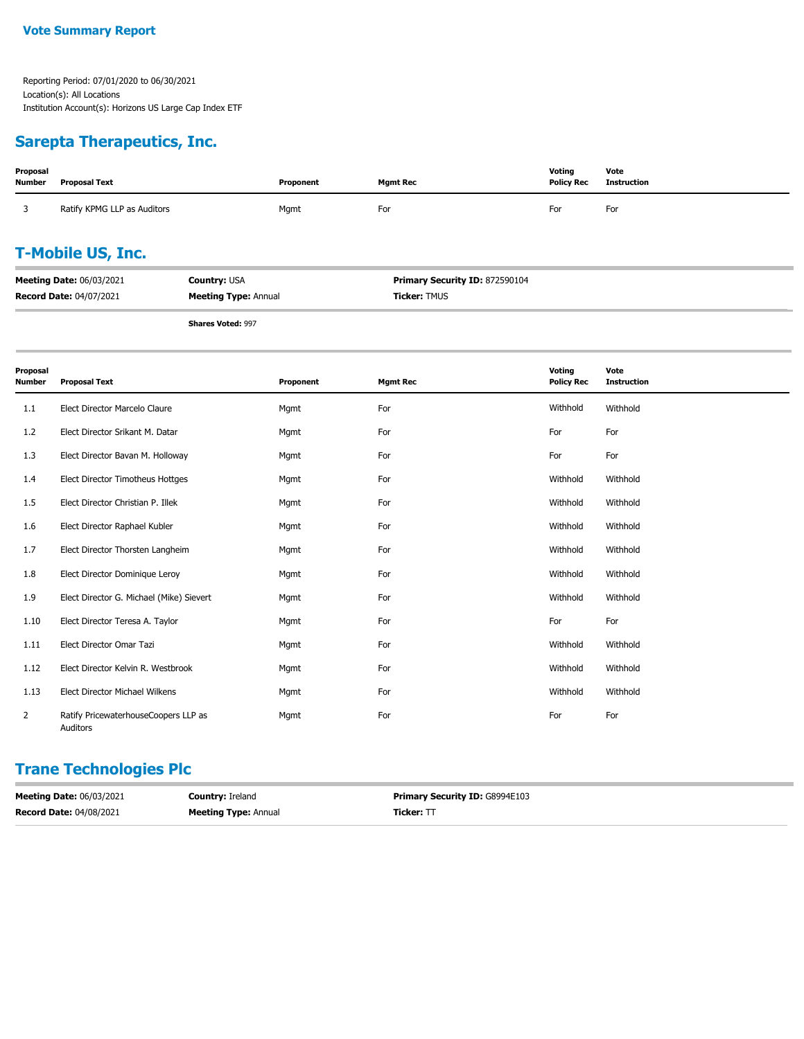### **Sarepta Therapeutics, Inc.**

| Proposal<br><b>Number</b> | Proposal Text                   |                             | Proponent | <b>Mgmt Rec</b>                | Voting<br><b>Policy Rec</b> | Vote<br><b>Instruction</b> |
|---------------------------|---------------------------------|-----------------------------|-----------|--------------------------------|-----------------------------|----------------------------|
|                           | Ratify KPMG LLP as Auditors     |                             | Mgmt      | For                            | For                         | For                        |
| <b>T-Mobile US, Inc.</b>  |                                 |                             |           |                                |                             |                            |
|                           | <b>Meeting Date: 06/03/2021</b> | <b>Country: USA</b>         |           | Primary Security ID: 872590104 |                             |                            |
|                           | <b>Record Date: 04/07/2021</b>  | <b>Meeting Type: Annual</b> |           | <b>Ticker: TMUS</b>            |                             |                            |
|                           |                                 | $-1$ $-1$ $-2$              |           |                                |                             |                            |

**Shares Voted:** 997

| Proposal<br><b>Number</b> | <b>Proposal Text</b>                             | Proponent | <b>Mgmt Rec</b> | Votina<br><b>Policy Rec</b> | Vote<br><b>Instruction</b> |
|---------------------------|--------------------------------------------------|-----------|-----------------|-----------------------------|----------------------------|
| 1.1                       | Elect Director Marcelo Claure                    | Mgmt      | For             | Withhold                    | Withhold                   |
| 1.2                       | Elect Director Srikant M. Datar                  | Mgmt      | For             | For                         | For                        |
| 1.3                       | Elect Director Bavan M. Holloway                 | Mgmt      | For             | For                         | For                        |
| 1.4                       | Elect Director Timotheus Hottges                 | Mgmt      | For             | Withhold                    | Withhold                   |
| 1.5                       | Elect Director Christian P. Illek                | Mgmt      | For             | Withhold                    | Withhold                   |
| 1.6                       | Elect Director Raphael Kubler                    | Mgmt      | For             | Withhold                    | Withhold                   |
| 1.7                       | Elect Director Thorsten Langheim                 | Mgmt      | For             | Withhold                    | Withhold                   |
| 1.8                       | Elect Director Dominique Leroy                   | Mgmt      | For             | Withhold                    | Withhold                   |
| 1.9                       | Elect Director G. Michael (Mike) Sievert         | Mgmt      | For             | Withhold                    | Withhold                   |
| 1.10                      | Elect Director Teresa A. Taylor                  | Mgmt      | For             | For                         | For                        |
| 1.11                      | Elect Director Omar Tazi                         | Mgmt      | For             | Withhold                    | Withhold                   |
| 1.12                      | Elect Director Kelvin R. Westbrook               | Mgmt      | For             | Withhold                    | Withhold                   |
| 1.13                      | Elect Director Michael Wilkens                   | Mgmt      | For             | Withhold                    | Withhold                   |
| $\overline{2}$            | Ratify PricewaterhouseCoopers LLP as<br>Auditors | Mgmt      | For             | For                         | For                        |

# **Trane Technologies Plc**

| <b>Meeting Date: 06/03/2021</b> | <b>Country: Ireland</b>     | <b>Primary Security ID: G8994E103</b> |
|---------------------------------|-----------------------------|---------------------------------------|
| <b>Record Date: 04/08/2021</b>  | <b>Meeting Type: Annual</b> | <b>Ticker:</b> TT                     |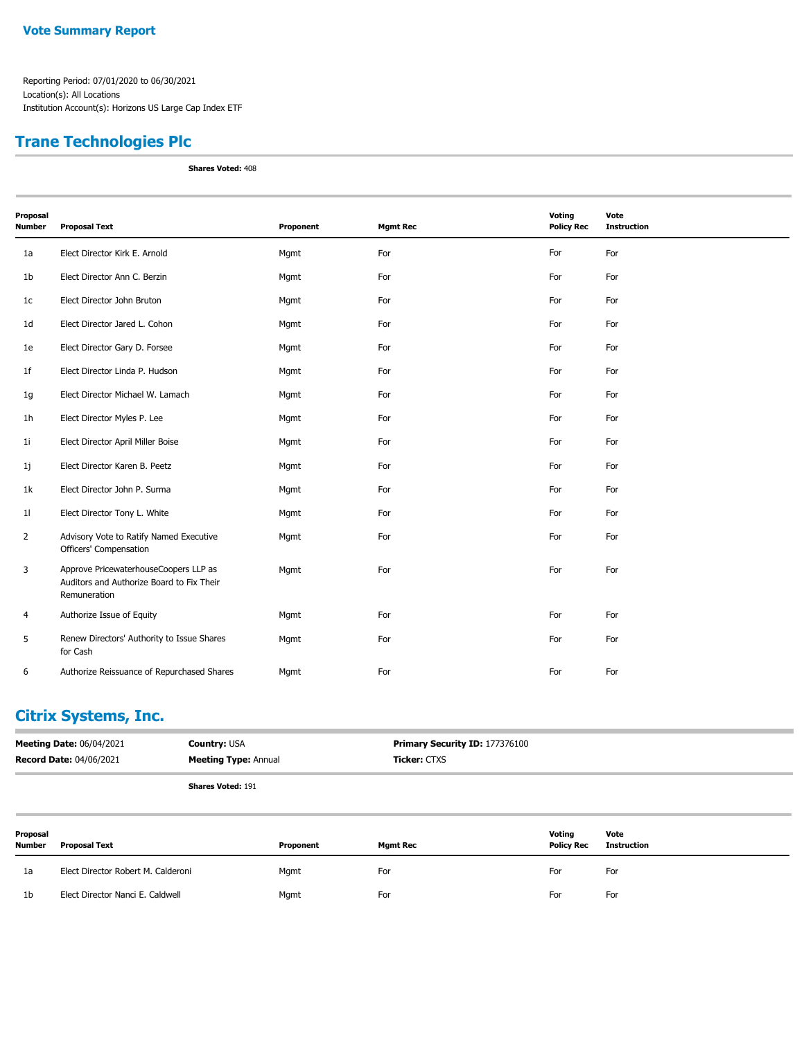## **Trane Technologies Plc**

**Shares Voted:** 408

| Proposal<br><b>Number</b> | <b>Proposal Text</b>                                                                               | Proponent | <b>Mgmt Rec</b> | Voting<br><b>Policy Rec</b> | Vote<br><b>Instruction</b> |
|---------------------------|----------------------------------------------------------------------------------------------------|-----------|-----------------|-----------------------------|----------------------------|
| 1a                        | Elect Director Kirk E. Arnold                                                                      | Mgmt      | For             | For                         | For                        |
| 1 <sub>b</sub>            | Elect Director Ann C. Berzin                                                                       | Mgmt      | For             | For                         | For                        |
| 1c                        | Elect Director John Bruton                                                                         | Mgmt      | For             | For                         | For                        |
| 1 <sub>d</sub>            | Elect Director Jared L. Cohon                                                                      | Mgmt      | For             | For                         | For                        |
| 1e                        | Elect Director Gary D. Forsee                                                                      | Mgmt      | For             | For                         | For                        |
| 1 <sub>f</sub>            | Elect Director Linda P. Hudson                                                                     | Mgmt      | For             | For                         | For                        |
| 1g                        | Elect Director Michael W. Lamach                                                                   | Mgmt      | For             | For                         | For                        |
| 1h                        | Elect Director Myles P. Lee                                                                        | Mgmt      | For             | For                         | For                        |
| 11                        | Elect Director April Miller Boise                                                                  | Mgmt      | For             | For                         | For                        |
| 1j                        | Elect Director Karen B. Peetz                                                                      | Mgmt      | For             | For                         | For                        |
| 1k                        | Elect Director John P. Surma                                                                       | Mgmt      | For             | For                         | For                        |
| 11                        | Elect Director Tony L. White                                                                       | Mgmt      | For             | For                         | For                        |
| $\overline{2}$            | Advisory Vote to Ratify Named Executive<br>Officers' Compensation                                  | Mgmt      | For             | For                         | For                        |
| 3                         | Approve PricewaterhouseCoopers LLP as<br>Auditors and Authorize Board to Fix Their<br>Remuneration | Mgmt      | For             | For                         | For                        |
| 4                         | Authorize Issue of Equity                                                                          | Mgmt      | For             | For                         | For                        |
| 5                         | Renew Directors' Authority to Issue Shares<br>for Cash                                             | Mgmt      | For             | For                         | For                        |
| 6                         | Authorize Reissuance of Repurchased Shares                                                         | Mgmt      | For             | For                         | For                        |

### **Citrix Systems, Inc.**

| <b>Meeting Date: 06/04/2021</b> | <b>Country: USA</b>         | <b>Primary Security ID: 177376100</b> |
|---------------------------------|-----------------------------|---------------------------------------|
| <b>Record Date: 04/06/2021</b>  | <b>Meeting Type:</b> Annual | <b>Ticker:</b> CTXS                   |
|                                 |                             |                                       |

| Proposal<br><b>Number</b> | Proposal Text                      | Proponent | <b>Mgmt Rec</b> | Voting<br><b>Policy Rec</b> | Vote<br>Instruction |
|---------------------------|------------------------------------|-----------|-----------------|-----------------------------|---------------------|
| 1a                        | Elect Director Robert M. Calderoni | Mgmt      | For             | For                         | For                 |
| 1 <sub>b</sub>            | Elect Director Nanci E. Caldwell   | Mgmt      | For             | For                         | For                 |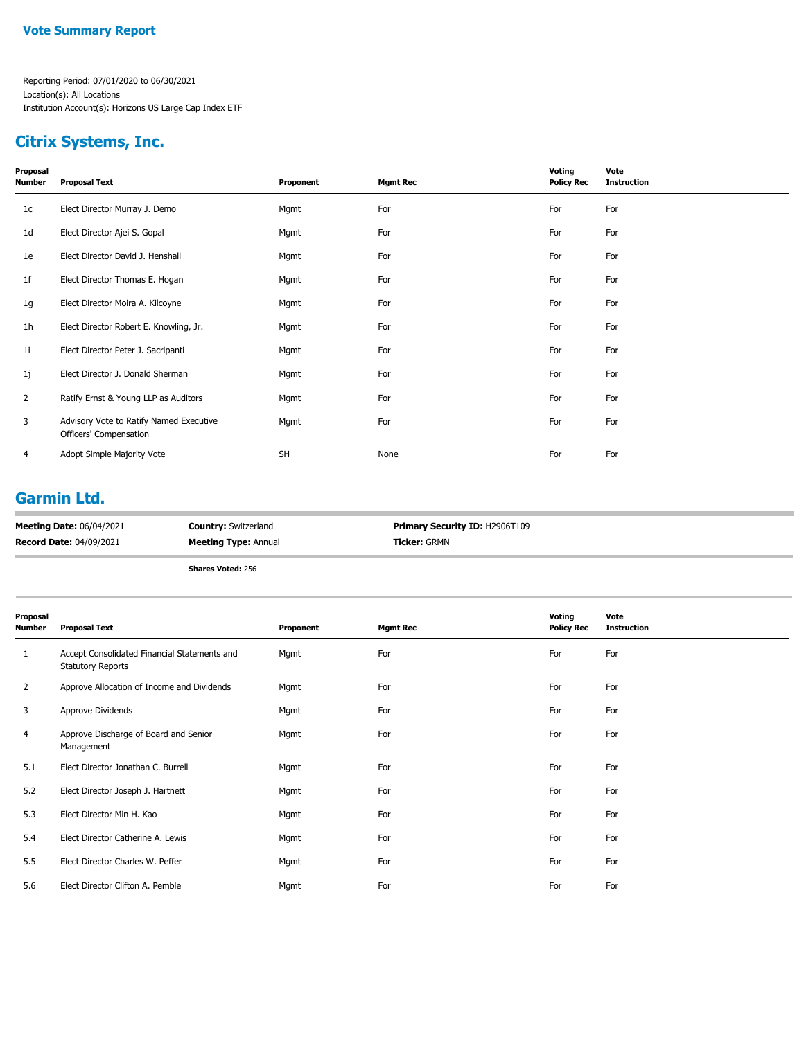## **Citrix Systems, Inc.**

| Proposal<br>Number | <b>Proposal Text</b>                                              | Proponent | <b>Mgmt Rec</b> | Voting<br><b>Policy Rec</b> | Vote<br><b>Instruction</b> |
|--------------------|-------------------------------------------------------------------|-----------|-----------------|-----------------------------|----------------------------|
| 1c                 | Elect Director Murray J. Demo                                     | Mgmt      | For             | For                         | For                        |
| 1d                 | Elect Director Ajei S. Gopal                                      | Mgmt      | For             | For                         | For                        |
| 1e                 | Elect Director David J. Henshall                                  | Mgmt      | For             | For                         | For                        |
| 1f                 | Elect Director Thomas E. Hogan                                    | Mgmt      | For             | For                         | For                        |
| 1g                 | Elect Director Moira A. Kilcoyne                                  | Mgmt      | For             | For                         | For                        |
| 1h                 | Elect Director Robert E. Knowling, Jr.                            | Mgmt      | For             | For                         | For                        |
| 1i                 | Elect Director Peter J. Sacripanti                                | Mgmt      | For             | For                         | For                        |
| 1j                 | Elect Director J. Donald Sherman                                  | Mgmt      | For             | For                         | For                        |
| $\overline{2}$     | Ratify Ernst & Young LLP as Auditors                              | Mgmt      | For             | For                         | For                        |
| 3                  | Advisory Vote to Ratify Named Executive<br>Officers' Compensation | Mgmt      | For             | For                         | For                        |
| 4                  | Adopt Simple Majority Vote                                        | <b>SH</b> | None            | For                         | For                        |

### **Garmin Ltd.**

| <b>Record Date: 04/09/2021</b>  | <b>Meeting Type: Annual</b> | <b>Ticker:</b> GRMN                   |
|---------------------------------|-----------------------------|---------------------------------------|
| <b>Meeting Date: 06/04/2021</b> | <b>Country: Switzerland</b> | <b>Primary Security ID: H2906T109</b> |

| Proposal<br>Number | <b>Proposal Text</b>                                                     | Proponent | <b>Mgmt Rec</b> | Voting<br><b>Policy Rec</b> | Vote<br><b>Instruction</b> |
|--------------------|--------------------------------------------------------------------------|-----------|-----------------|-----------------------------|----------------------------|
| 1                  | Accept Consolidated Financial Statements and<br><b>Statutory Reports</b> | Mgmt      | For             | For                         | For                        |
| $\mathbf{2}$       | Approve Allocation of Income and Dividends                               | Mgmt      | For             | For                         | For                        |
| 3                  | Approve Dividends                                                        | Mgmt      | For             | For                         | For                        |
| 4                  | Approve Discharge of Board and Senior<br>Management                      | Mgmt      | For             | For                         | For                        |
| 5.1                | Elect Director Jonathan C. Burrell                                       | Mgmt      | For             | For                         | For                        |
| 5.2                | Elect Director Joseph J. Hartnett                                        | Mgmt      | For             | For                         | For                        |
| 5.3                | Elect Director Min H. Kao                                                | Mgmt      | For             | For                         | For                        |
| 5.4                | Elect Director Catherine A. Lewis                                        | Mgmt      | For             | For                         | For                        |
| 5.5                | Elect Director Charles W. Peffer                                         | Mgmt      | For             | For                         | For                        |
| 5.6                | Elect Director Clifton A. Pemble                                         | Mgmt      | For             | For                         | For                        |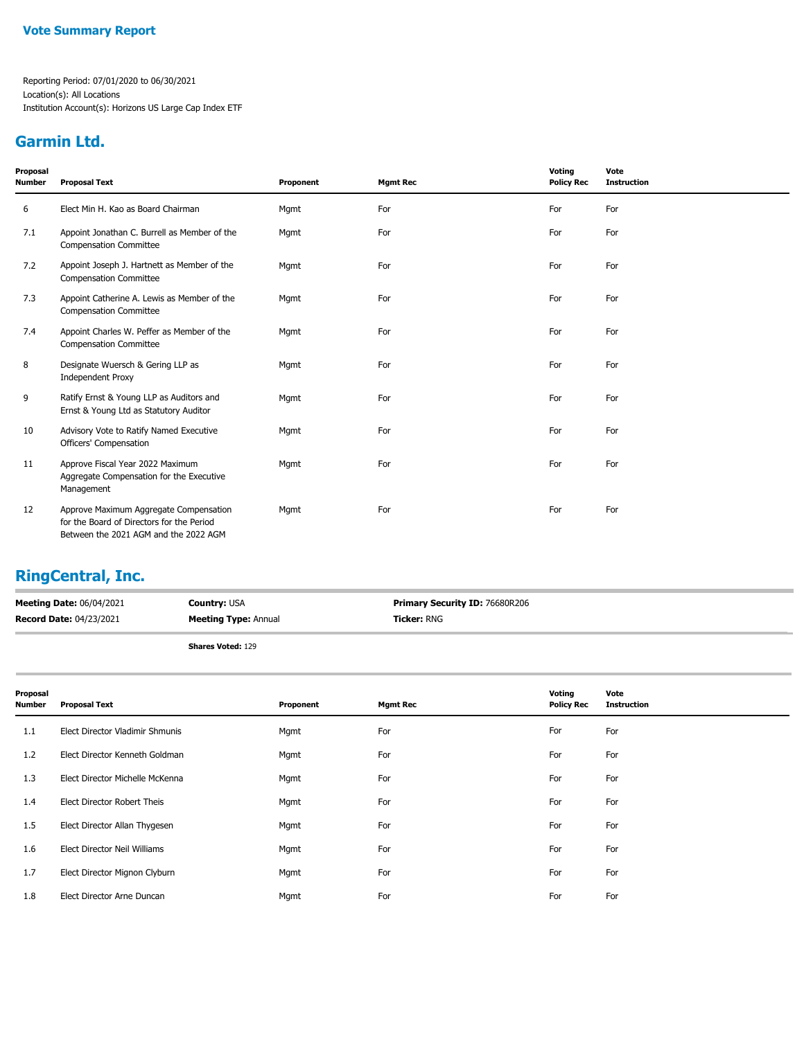## **Garmin Ltd.**

| Proposal<br><b>Number</b> | <b>Proposal Text</b>                                                                                                         | Proponent | <b>Mgmt Rec</b> | Voting<br><b>Policy Rec</b> | Vote<br><b>Instruction</b> |
|---------------------------|------------------------------------------------------------------------------------------------------------------------------|-----------|-----------------|-----------------------------|----------------------------|
| 6                         | Elect Min H. Kao as Board Chairman                                                                                           | Mgmt      | For             | For                         | For                        |
| 7.1                       | Appoint Jonathan C. Burrell as Member of the<br><b>Compensation Committee</b>                                                | Mgmt      | For             | For                         | For                        |
| 7.2                       | Appoint Joseph J. Hartnett as Member of the<br><b>Compensation Committee</b>                                                 | Mgmt      | For             | For                         | For                        |
| 7.3                       | Appoint Catherine A. Lewis as Member of the<br><b>Compensation Committee</b>                                                 | Mgmt      | For             | For                         | For                        |
| 7.4                       | Appoint Charles W. Peffer as Member of the<br><b>Compensation Committee</b>                                                  | Mgmt      | For             | For                         | For                        |
| 8                         | Designate Wuersch & Gering LLP as<br><b>Independent Proxy</b>                                                                | Mgmt      | For             | For                         | For                        |
| 9                         | Ratify Ernst & Young LLP as Auditors and<br>Ernst & Young Ltd as Statutory Auditor                                           | Mgmt      | For             | For                         | For                        |
| 10                        | Advisory Vote to Ratify Named Executive<br>Officers' Compensation                                                            | Mgmt      | For             | For                         | For                        |
| 11                        | Approve Fiscal Year 2022 Maximum<br>Aggregate Compensation for the Executive<br>Management                                   | Mgmt      | For             | For                         | For                        |
| 12                        | Approve Maximum Aggregate Compensation<br>for the Board of Directors for the Period<br>Between the 2021 AGM and the 2022 AGM | Mgmt      | For             | For                         | For                        |

## **RingCentral, Inc.**

| <b>Meeting Date: 06/04/2021</b> | <b>Country: USA</b>         | <b>Primary Security ID: 76680R206</b> |
|---------------------------------|-----------------------------|---------------------------------------|
| <b>Record Date: 04/23/2021</b>  | <b>Meeting Type:</b> Annual | <b>Ticker: RNG</b>                    |
|                                 |                             |                                       |

| Proposal<br><b>Number</b> | <b>Proposal Text</b>            | Proponent | <b>Mgmt Rec</b> | Voting<br><b>Policy Rec</b> | Vote<br><b>Instruction</b> |
|---------------------------|---------------------------------|-----------|-----------------|-----------------------------|----------------------------|
| 1.1                       | Elect Director Vladimir Shmunis | Mgmt      | For             | For                         | For                        |
| 1.2                       | Elect Director Kenneth Goldman  | Mgmt      | For             | For                         | For                        |
| 1.3                       | Elect Director Michelle McKenna | Mgmt      | For             | For                         | For                        |
| 1.4                       | Elect Director Robert Theis     | Mgmt      | For             | For                         | For                        |
| 1.5                       | Elect Director Allan Thygesen   | Mgmt      | For             | For                         | For                        |
| 1.6                       | Elect Director Neil Williams    | Mgmt      | For             | For                         | For                        |
| 1.7                       | Elect Director Mignon Clyburn   | Mgmt      | For             | For                         | For                        |
| 1.8                       | Elect Director Arne Duncan      | Mgmt      | For             | For                         | For                        |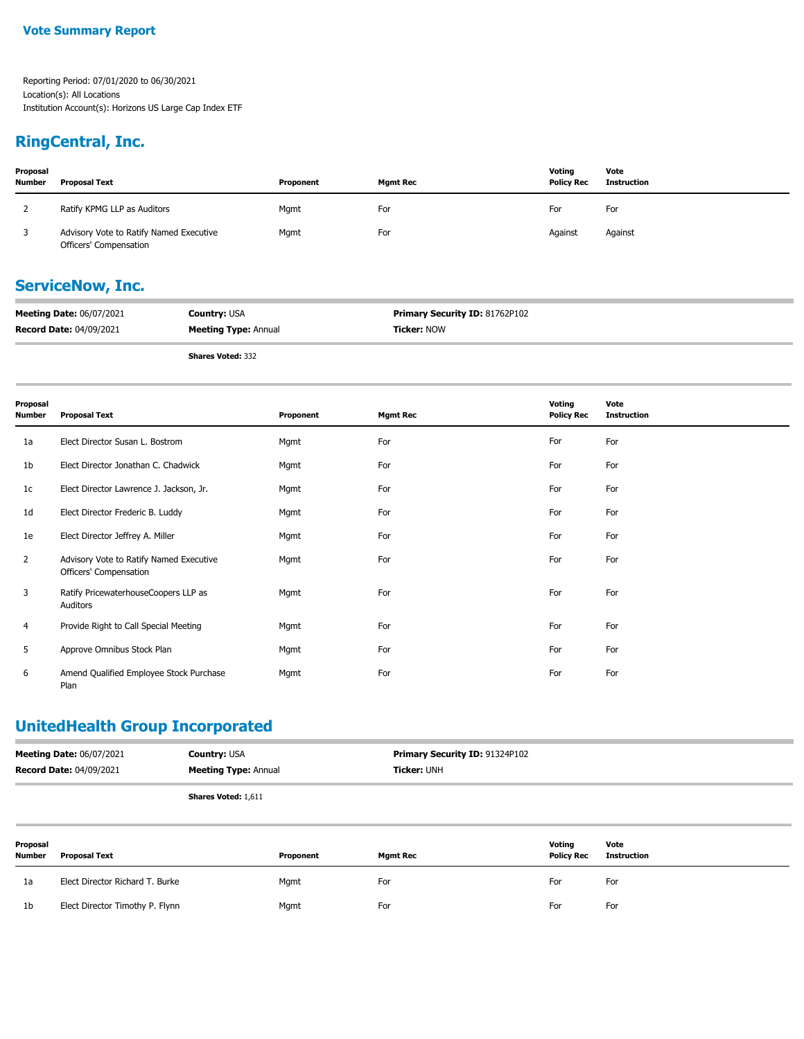### **RingCentral, Inc.**

| Proposal<br><b>Number</b> | Proposal Text                                                     | Proponent | <b>Mgmt Rec</b> | Votina<br><b>Policy Rec</b> | Vote<br>Instruction |
|---------------------------|-------------------------------------------------------------------|-----------|-----------------|-----------------------------|---------------------|
|                           | Ratify KPMG LLP as Auditors                                       | Mgmt      | For             | For                         | For                 |
|                           | Advisory Vote to Ratify Named Executive<br>Officers' Compensation | Mgmt      | For             | Against                     | Against             |

### **ServiceNow, Inc.**

| <b>Meeting Date: 06/07/2021</b> | <b>Country: USA</b>         | <b>Primary Security ID: 81762P102</b> |
|---------------------------------|-----------------------------|---------------------------------------|
| <b>Record Date: 04/09/2021</b>  | <b>Meeting Type: Annual</b> | <b>Ticker: NOW</b>                    |
|                                 |                             |                                       |

**Shares Voted:** 332

**Proposal Number Proposal Text Proponent Mgmt Rec Voting Policy Rec Vote Instruction** 1a Elect Director Susan L. Bostrom **For For Mgmt For** For For For For For For For 1b Elect Director Jonathan C. Chadwick Mgmt Mgmt For For For For For For For For 1c Elect Director Lawrence J. Jackson, Jr. Mgmt For For For 1d Elect Director Frederic B. Luddy Mgmt Mgmt For For For For For For For For 1e Elect Director Jeffrey A. Miller Mgmt For For For Advisory Vote to Ratify Named Executive Mgmt For For For Officers' Compensation 2 Ratify PricewaterhouseCoopers LLP as Mgmt For For For Auditors 3 4 Provide Right to Call Special Meeting Mgmt Mgmt For For For For For For For For 5 Approve Omnibus Stock Plan **For For Mgmt** For For For For For For For For Amend Qualified Employee Stock Purchase Mgmt For For For Plan 6

### **UnitedHealth Group Incorporated**

| <b>Meeting Date: 06/07/2021</b> | <b>Country: USA</b>         | <b>Primary Security ID: 91324P102</b> |
|---------------------------------|-----------------------------|---------------------------------------|
| <b>Record Date: 04/09/2021</b>  | <b>Meeting Type: Annual</b> | <b>Ticker: UNH</b>                    |
|                                 | <b>Shares Voted: 1.611</b>  |                                       |

| Proposal<br><b>Number</b> | Proposal Text                   | Proponent | <b>Mgmt Rec</b> | Voting<br><b>Policy Rec</b> | Vote<br>Instruction |
|---------------------------|---------------------------------|-----------|-----------------|-----------------------------|---------------------|
| 1a                        | Elect Director Richard T. Burke | Mgmt      | For             | For                         | For                 |
| 1b                        | Elect Director Timothy P. Flynn | Mgmt      | For             | For                         | For                 |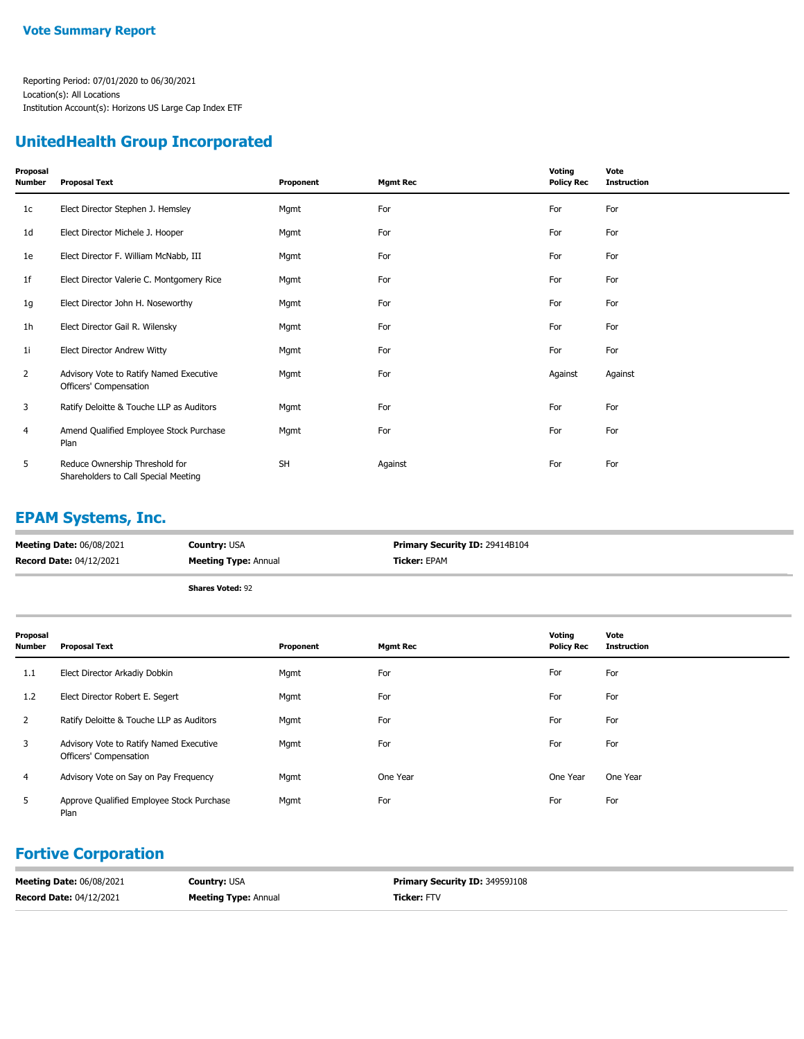## **UnitedHealth Group Incorporated**

| Proposal<br>Number | <b>Proposal Text</b>                                                   | Proponent | <b>Mgmt Rec</b> | Voting<br><b>Policy Rec</b> | Vote<br><b>Instruction</b> |
|--------------------|------------------------------------------------------------------------|-----------|-----------------|-----------------------------|----------------------------|
| 1 <sub>c</sub>     | Elect Director Stephen J. Hemsley                                      | Mgmt      | For             | For                         | For                        |
| 1d                 | Elect Director Michele J. Hooper                                       | Mgmt      | For             | For                         | For                        |
| 1e                 | Elect Director F. William McNabb, III                                  | Mgmt      | For             | For                         | For                        |
| 1f                 | Elect Director Valerie C. Montgomery Rice                              | Mgmt      | For             | For                         | For                        |
| 1g                 | Elect Director John H. Noseworthy                                      | Mgmt      | For             | For                         | For                        |
| 1h                 | Elect Director Gail R. Wilensky                                        | Mgmt      | For             | For                         | For                        |
| 1i                 | <b>Elect Director Andrew Witty</b>                                     | Mgmt      | For             | For                         | For                        |
| 2                  | Advisory Vote to Ratify Named Executive<br>Officers' Compensation      | Mgmt      | For             | Against                     | Against                    |
| 3                  | Ratify Deloitte & Touche LLP as Auditors                               | Mgmt      | For             | For                         | For                        |
| 4                  | Amend Qualified Employee Stock Purchase<br>Plan                        | Mgmt      | For             | For                         | For                        |
| 5                  | Reduce Ownership Threshold for<br>Shareholders to Call Special Meeting | SH        | Against         | For                         | For                        |

### **EPAM Systems, Inc.**

| <b>Meeting Date: 06/08/2021</b> | <b>Country: USA</b>         | <b>Primary Security ID: 29414B104</b> |
|---------------------------------|-----------------------------|---------------------------------------|
| <b>Record Date: 04/12/2021</b>  | <b>Meeting Type: Annual</b> | <b>Ticker:</b> EPAM                   |
|                                 | .<br>$-1$                   |                                       |

**Shares Voted:** 92

| Proposal<br>Number | <b>Proposal Text</b>                                              | Proponent | <b>Mgmt Rec</b> | Voting<br><b>Policy Rec</b> | Vote<br><b>Instruction</b> |
|--------------------|-------------------------------------------------------------------|-----------|-----------------|-----------------------------|----------------------------|
| 1.1                | Elect Director Arkadiy Dobkin                                     | Mgmt      | For             | For                         | For                        |
| 1.2                | Elect Director Robert E. Segert                                   | Mgmt      | For             | For                         | For                        |
| 2                  | Ratify Deloitte & Touche LLP as Auditors                          | Mgmt      | For             | For                         | For                        |
| 3                  | Advisory Vote to Ratify Named Executive<br>Officers' Compensation | Mgmt      | For             | For                         | For                        |
| 4                  | Advisory Vote on Say on Pay Frequency                             | Mgmt      | One Year        | One Year                    | One Year                   |
| 5                  | Approve Qualified Employee Stock Purchase<br>Plan                 | Mgmt      | For             | For                         | For                        |

## **Fortive Corporation**

| <b>Meeting Date: 06/08/2021</b> | <b>Country: USA</b>         | <b>Primary Security ID: 34959J108</b> |
|---------------------------------|-----------------------------|---------------------------------------|
| <b>Record Date: 04/12/2021</b>  | <b>Meeting Type: Annual</b> | Ticker: FTV                           |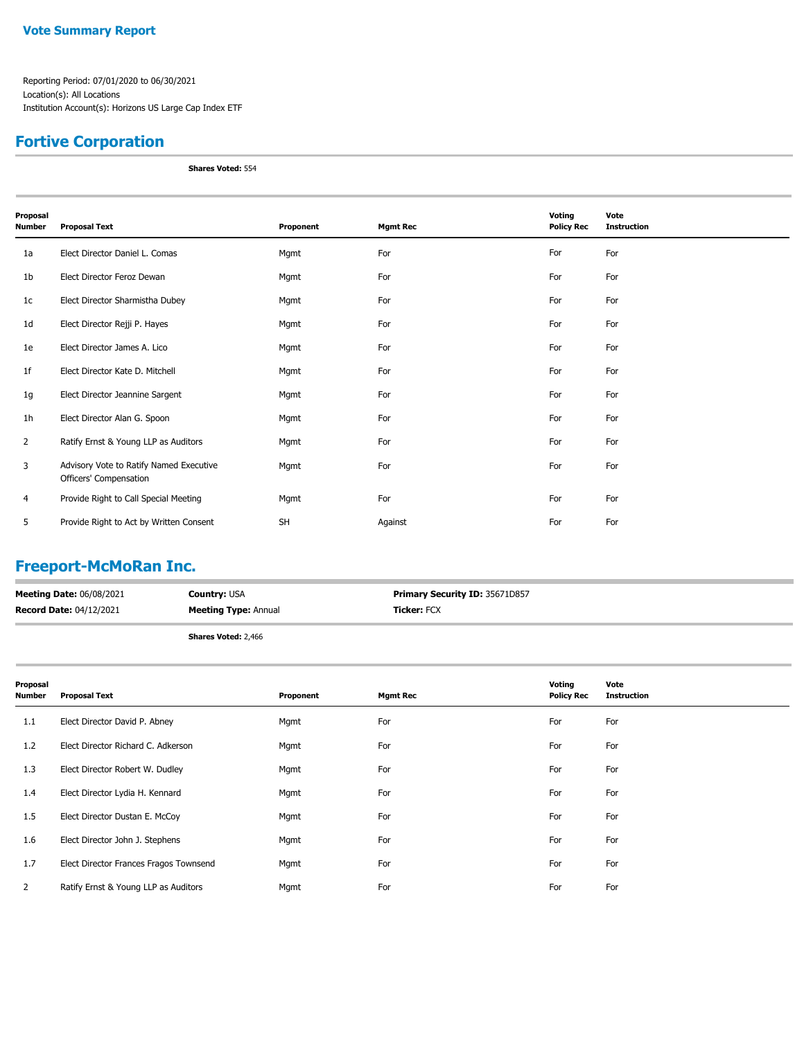## **Fortive Corporation**

**Shares Voted:** 554

| Proposal<br>Number | <b>Proposal Text</b>                                              | Proponent | <b>Mgmt Rec</b> | Voting<br><b>Policy Rec</b> | Vote<br><b>Instruction</b> |
|--------------------|-------------------------------------------------------------------|-----------|-----------------|-----------------------------|----------------------------|
| 1a                 | Elect Director Daniel L. Comas                                    | Mgmt      | For             | For                         | For                        |
| 1b                 | Elect Director Feroz Dewan                                        | Mgmt      | For             | For                         | For                        |
| 1c                 | Elect Director Sharmistha Dubey                                   | Mgmt      | For             | For                         | For                        |
| 1d                 | Elect Director Rejji P. Hayes                                     | Mgmt      | For             | For                         | For                        |
| 1e                 | Elect Director James A. Lico                                      | Mgmt      | For             | For                         | For                        |
| 1f                 | Elect Director Kate D. Mitchell                                   | Mgmt      | For             | For                         | For                        |
| 1g                 | Elect Director Jeannine Sargent                                   | Mgmt      | For             | For                         | For                        |
| 1h                 | Elect Director Alan G. Spoon                                      | Mgmt      | For             | For                         | For                        |
| $\overline{2}$     | Ratify Ernst & Young LLP as Auditors                              | Mgmt      | For             | For                         | For                        |
| 3                  | Advisory Vote to Ratify Named Executive<br>Officers' Compensation | Mgmt      | For             | For                         | For                        |
| 4                  | Provide Right to Call Special Meeting                             | Mgmt      | For             | For                         | For                        |
| 5                  | Provide Right to Act by Written Consent                           | <b>SH</b> | Against         | For                         | For                        |

## **Freeport-McMoRan Inc.**

| <b>Meeting Date: 06/08/2021</b> | <b>Country: USA</b>         | <b>Primary Security ID: 35671D857</b> |
|---------------------------------|-----------------------------|---------------------------------------|
| <b>Record Date: 04/12/2021</b>  | <b>Meeting Type: Annual</b> | <b>Ticker:</b> FCX                    |
|                                 | <b>Shares Voted: 2,466</b>  |                                       |

| Proposal<br>Number | <b>Proposal Text</b>                   | Proponent | <b>Mgmt Rec</b> | Voting<br><b>Policy Rec</b> | Vote<br><b>Instruction</b> |
|--------------------|----------------------------------------|-----------|-----------------|-----------------------------|----------------------------|
| 1.1                | Elect Director David P. Abney          | Mgmt      | For             | For                         | For                        |
| 1.2                | Elect Director Richard C. Adkerson     | Mgmt      | For             | For                         | For                        |
| 1.3                | Elect Director Robert W. Dudley        | Mgmt      | For             | For                         | For                        |
| 1.4                | Elect Director Lydia H. Kennard        | Mgmt      | For             | For                         | For                        |
| 1.5                | Elect Director Dustan E. McCoy         | Mgmt      | For             | For                         | For                        |
| 1.6                | Elect Director John J. Stephens        | Mgmt      | For             | For                         | For                        |
| 1.7                | Elect Director Frances Fragos Townsend | Mgmt      | For             | For                         | For                        |
| 2                  | Ratify Ernst & Young LLP as Auditors   | Mgmt      | For             | For                         | For                        |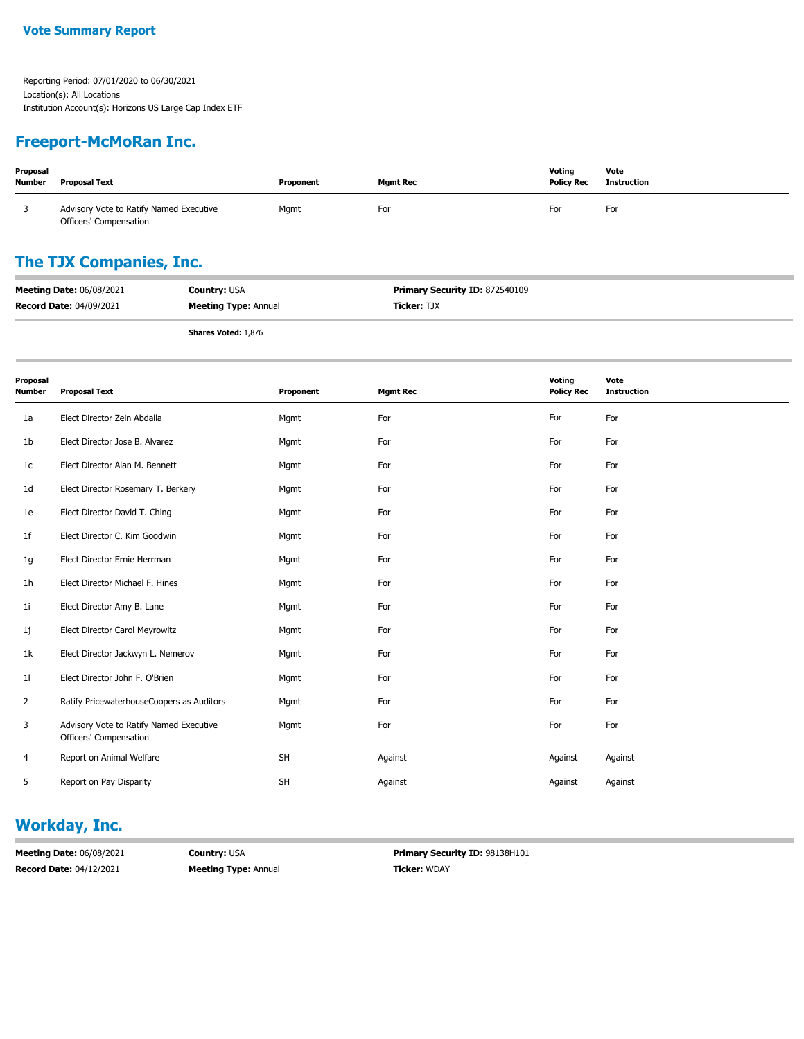### **Freeport-McMoRan Inc.**

| Proposal<br><b>Number</b> | <b>Proposal Text</b>                                              | Proponent | <b>Mgmt Rec</b> | Voting<br><b>Policy Rec</b> | Vote<br>Instruction |
|---------------------------|-------------------------------------------------------------------|-----------|-----------------|-----------------------------|---------------------|
|                           | Advisory Vote to Ratify Named Executive<br>Officers' Compensation | Mgmt      | For             | For                         | For                 |

## **The TJX Companies, Inc.**

| <b>Meeting Date: 06/08/2021</b> | <b>Country: USA</b>         | <b>Primary Security ID: 872540109</b> |
|---------------------------------|-----------------------------|---------------------------------------|
| <b>Record Date: 04/09/2021</b>  | <b>Meeting Type: Annual</b> | <b>Ticker: TJX</b>                    |
|                                 |                             |                                       |

**Shares Voted:** 1,876

| Proposal<br><b>Number</b> | <b>Proposal Text</b>                                              | Proponent | <b>Mgmt Rec</b> | Voting<br><b>Policy Rec</b> | Vote<br><b>Instruction</b> |
|---------------------------|-------------------------------------------------------------------|-----------|-----------------|-----------------------------|----------------------------|
| 1a                        | Elect Director Zein Abdalla                                       | Mgmt      | For             | For                         | For                        |
| 1b                        | Elect Director Jose B. Alvarez                                    | Mgmt      | For             | For                         | For                        |
| 1 <sup>c</sup>            | Elect Director Alan M. Bennett                                    | Mgmt      | For             | For                         | For                        |
| 1d                        | Elect Director Rosemary T. Berkery                                | Mgmt      | For             | For                         | For                        |
| 1e                        | Elect Director David T. Ching                                     | Mgmt      | For             | For                         | For                        |
| 1f                        | Elect Director C. Kim Goodwin                                     | Mgmt      | For             | For                         | For                        |
| 1g                        | Elect Director Ernie Herrman                                      | Mgmt      | For             | For                         | For                        |
| 1 <sub>h</sub>            | Elect Director Michael F. Hines                                   | Mgmt      | For             | For                         | For                        |
| 1i                        | Elect Director Amy B. Lane                                        | Mgmt      | For             | For                         | For                        |
| 1j                        | Elect Director Carol Meyrowitz                                    | Mgmt      | For             | For                         | For                        |
| 1k                        | Elect Director Jackwyn L. Nemerov                                 | Mgmt      | For             | For                         | For                        |
| 11                        | Elect Director John F. O'Brien                                    | Mgmt      | For             | For                         | For                        |
| $\overline{2}$            | Ratify PricewaterhouseCoopers as Auditors                         | Mgmt      | For             | For                         | For                        |
| 3                         | Advisory Vote to Ratify Named Executive<br>Officers' Compensation | Mgmt      | For             | For                         | For                        |
| 4                         | Report on Animal Welfare                                          | <b>SH</b> | Against         | Against                     | Against                    |
| 5                         | Report on Pay Disparity                                           | <b>SH</b> | Against         | Against                     | Against                    |

## **Workday, Inc.**

| <b>Meeting Date: 06/08/2021</b> | <b>Country: USA</b>         | <b>Primary Security ID: 98138H101</b> |
|---------------------------------|-----------------------------|---------------------------------------|
| <b>Record Date: 04/12/2021</b>  | <b>Meeting Type: Annual</b> | <b>Ticker: WDAY</b>                   |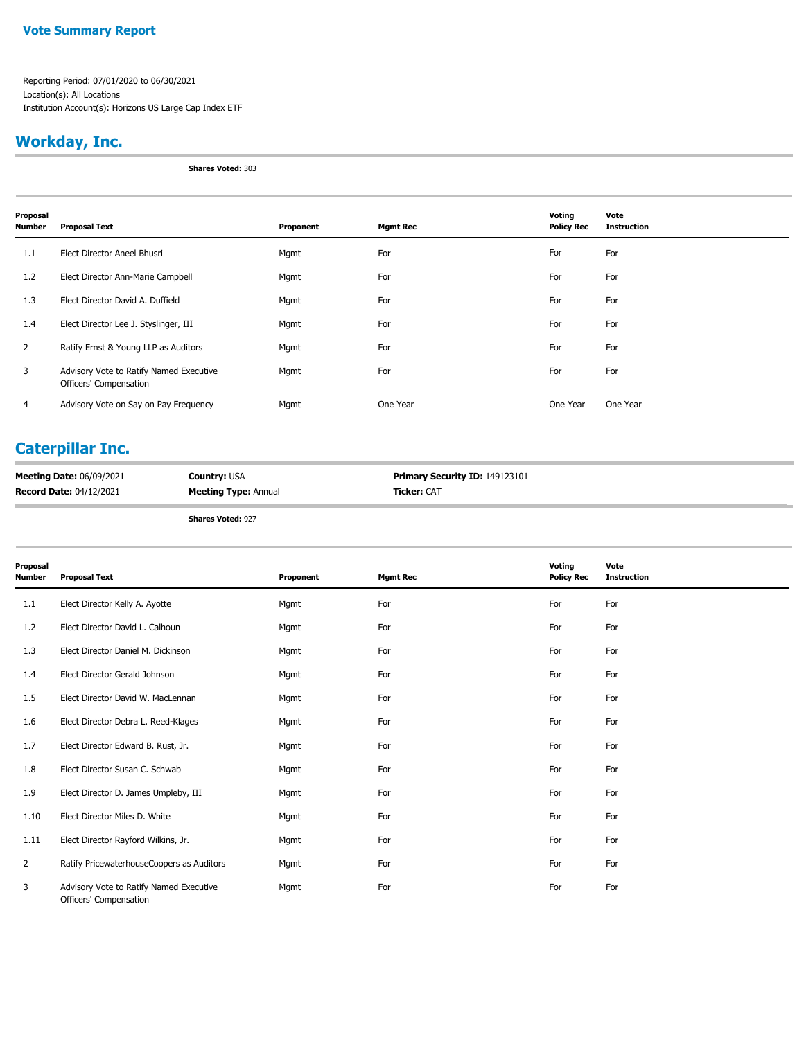#### **Vote Summary Report**

Reporting Period: 07/01/2020 to 06/30/2021 Location(s): All Locations Institution Account(s): Horizons US Large Cap Index ETF

## **Workday, Inc.**

**Shares Voted:** 303

| Proposal<br><b>Number</b> | <b>Proposal Text</b>                                              | Proponent | <b>Mgmt Rec</b> | Voting<br><b>Policy Rec</b> | Vote<br><b>Instruction</b> |
|---------------------------|-------------------------------------------------------------------|-----------|-----------------|-----------------------------|----------------------------|
| 1.1                       | Elect Director Aneel Bhusri                                       | Mgmt      | For             | For                         | For                        |
| 1.2                       | Elect Director Ann-Marie Campbell                                 | Mgmt      | For             | For                         | For                        |
| 1.3                       | Elect Director David A. Duffield                                  | Mgmt      | For             | For                         | For                        |
| 1.4                       | Elect Director Lee J. Styslinger, III                             | Mgmt      | For             | For                         | For                        |
| $\overline{2}$            | Ratify Ernst & Young LLP as Auditors                              | Mgmt      | For             | For                         | For                        |
| 3                         | Advisory Vote to Ratify Named Executive<br>Officers' Compensation | Mgmt      | For             | For                         | For                        |
| 4                         | Advisory Vote on Say on Pay Frequency                             | Mgmt      | One Year        | One Year                    | One Year                   |

## **Caterpillar Inc.**

| <b>Meeting Date: 06/09/2021</b> | <b>Country: USA</b>         | <b>Primary Security ID: 149123101</b> |
|---------------------------------|-----------------------------|---------------------------------------|
| <b>Record Date: 04/12/2021</b>  | <b>Meeting Type: Annual</b> | <b>Ticker:</b> CAT                    |

| Proposal<br>Number | <b>Proposal Text</b>                                              | Proponent | <b>Mgmt Rec</b> | Voting<br><b>Policy Rec</b> | Vote<br><b>Instruction</b> |
|--------------------|-------------------------------------------------------------------|-----------|-----------------|-----------------------------|----------------------------|
| 1.1                | Elect Director Kelly A. Ayotte                                    | Mgmt      | For             | For                         | For                        |
| 1.2                | Elect Director David L. Calhoun                                   | Mgmt      | For             | For                         | For                        |
| 1.3                | Elect Director Daniel M. Dickinson                                | Mgmt      | For             | For                         | For                        |
| 1.4                | Elect Director Gerald Johnson                                     | Mgmt      | For             | For                         | For                        |
| 1.5                | Elect Director David W. MacLennan                                 | Mgmt      | For             | For                         | For                        |
| 1.6                | Elect Director Debra L. Reed-Klages                               | Mgmt      | For             | For                         | For                        |
| 1.7                | Elect Director Edward B. Rust, Jr.                                | Mgmt      | For             | For                         | For                        |
| 1.8                | Elect Director Susan C. Schwab                                    | Mgmt      | For             | For                         | For                        |
| 1.9                | Elect Director D. James Umpleby, III                              | Mgmt      | For             | For                         | For                        |
| 1.10               | Elect Director Miles D. White                                     | Mgmt      | For             | For                         | For                        |
| 1.11               | Elect Director Rayford Wilkins, Jr.                               | Mgmt      | For             | For                         | For                        |
| $\overline{2}$     | Ratify PricewaterhouseCoopers as Auditors                         | Mgmt      | For             | For                         | For                        |
| 3                  | Advisory Vote to Ratify Named Executive<br>Officers' Compensation | Mgmt      | For             | For                         | For                        |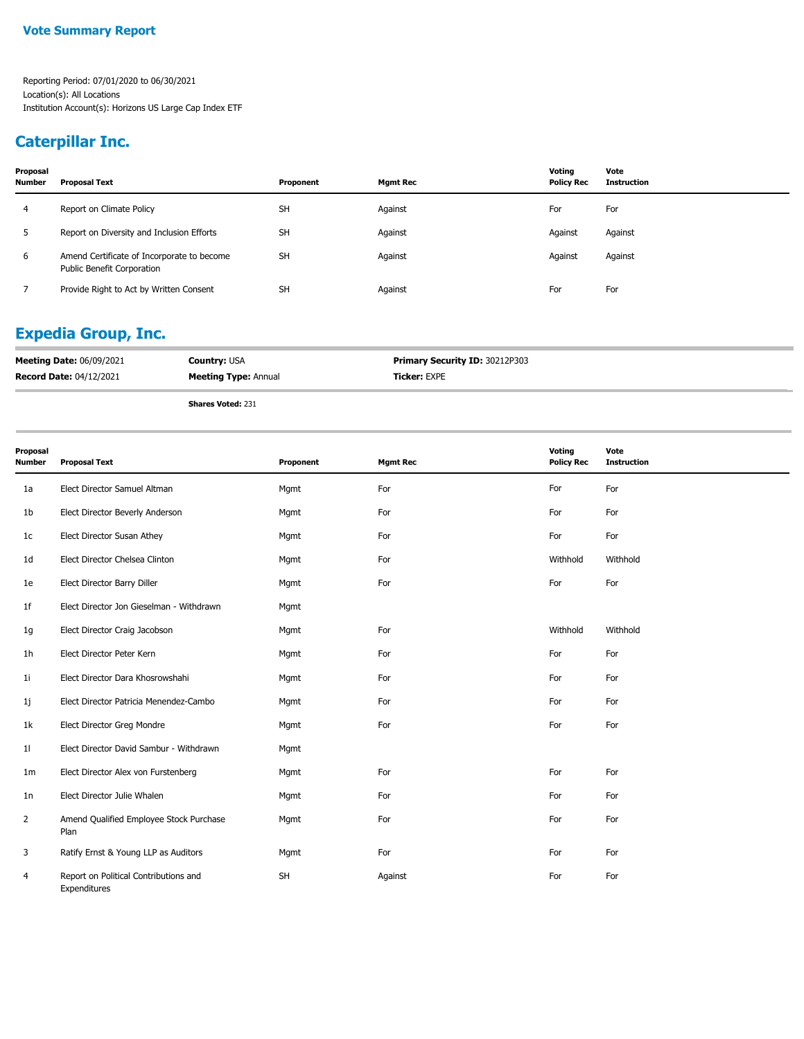#### **Vote Summary Report**

Reporting Period: 07/01/2020 to 06/30/2021 Location(s): All Locations Institution Account(s): Horizons US Large Cap Index ETF

## **Caterpillar Inc.**

| Proposal<br><b>Number</b> | Proposal Text                                                            | Proponent | <b>Mgmt Rec</b> | Votina<br><b>Policy Rec</b> | Vote<br>Instruction |
|---------------------------|--------------------------------------------------------------------------|-----------|-----------------|-----------------------------|---------------------|
| 4                         | Report on Climate Policy                                                 | <b>SH</b> | Against         | For                         | For                 |
| 5.                        | Report on Diversity and Inclusion Efforts                                | <b>SH</b> | Against         | Against                     | Against             |
| 6                         | Amend Certificate of Incorporate to become<br>Public Benefit Corporation | <b>SH</b> | Against         | Against                     | Against             |
|                           | Provide Right to Act by Written Consent                                  | <b>SH</b> | Against         | For                         | For                 |

### **Expedia Group, Inc.**

| <b>Meeting Date: 06/09/2021</b> | <b>Country: USA</b>         | <b>Primary Security ID: 30212P303</b> |
|---------------------------------|-----------------------------|---------------------------------------|
| <b>Record Date: 04/12/2021</b>  | <b>Meeting Type: Annual</b> | <b>Ticker: EXPE</b>                   |
|                                 | <b>Shares Voted: 231</b>    |                                       |

| Proposal<br><b>Number</b> | <b>Proposal Text</b>                                  | Proponent | <b>Mgmt Rec</b> | Voting<br><b>Policy Rec</b> | Vote<br><b>Instruction</b> |
|---------------------------|-------------------------------------------------------|-----------|-----------------|-----------------------------|----------------------------|
| 1a                        | Elect Director Samuel Altman                          | Mgmt      | For             | For                         | For                        |
| 1b                        | Elect Director Beverly Anderson                       | Mgmt      | For             | For                         | For                        |
| 1 <sub>c</sub>            | Elect Director Susan Athey                            | Mgmt      | For             | For                         | For                        |
| 1d                        | Elect Director Chelsea Clinton                        | Mgmt      | For             | Withhold                    | Withhold                   |
| 1e                        | Elect Director Barry Diller                           | Mgmt      | For             | For                         | For                        |
| 1f                        | Elect Director Jon Gieselman - Withdrawn              | Mgmt      |                 |                             |                            |
| 1g                        | Elect Director Craig Jacobson                         | Mgmt      | For             | Withhold                    | Withhold                   |
| 1h                        | Elect Director Peter Kern                             | Mgmt      | For             | For                         | For                        |
| 1 <sub>i</sub>            | Elect Director Dara Khosrowshahi                      | Mgmt      | For             | For                         | For                        |
| 1j                        | Elect Director Patricia Menendez-Cambo                | Mgmt      | For             | For                         | For                        |
| 1k                        | Elect Director Greg Mondre                            | Mgmt      | For             | For                         | For                        |
| 11                        | Elect Director David Sambur - Withdrawn               | Mgmt      |                 |                             |                            |
| 1m                        | Elect Director Alex von Furstenberg                   | Mgmt      | For             | For                         | For                        |
| 1n                        | Elect Director Julie Whalen                           | Mgmt      | For             | For                         | For                        |
| 2                         | Amend Qualified Employee Stock Purchase<br>Plan       | Mgmt      | For             | For                         | For                        |
| 3                         | Ratify Ernst & Young LLP as Auditors                  | Mgmt      | For             | For                         | For                        |
| 4                         | Report on Political Contributions and<br>Expenditures | <b>SH</b> | Against         | For                         | For                        |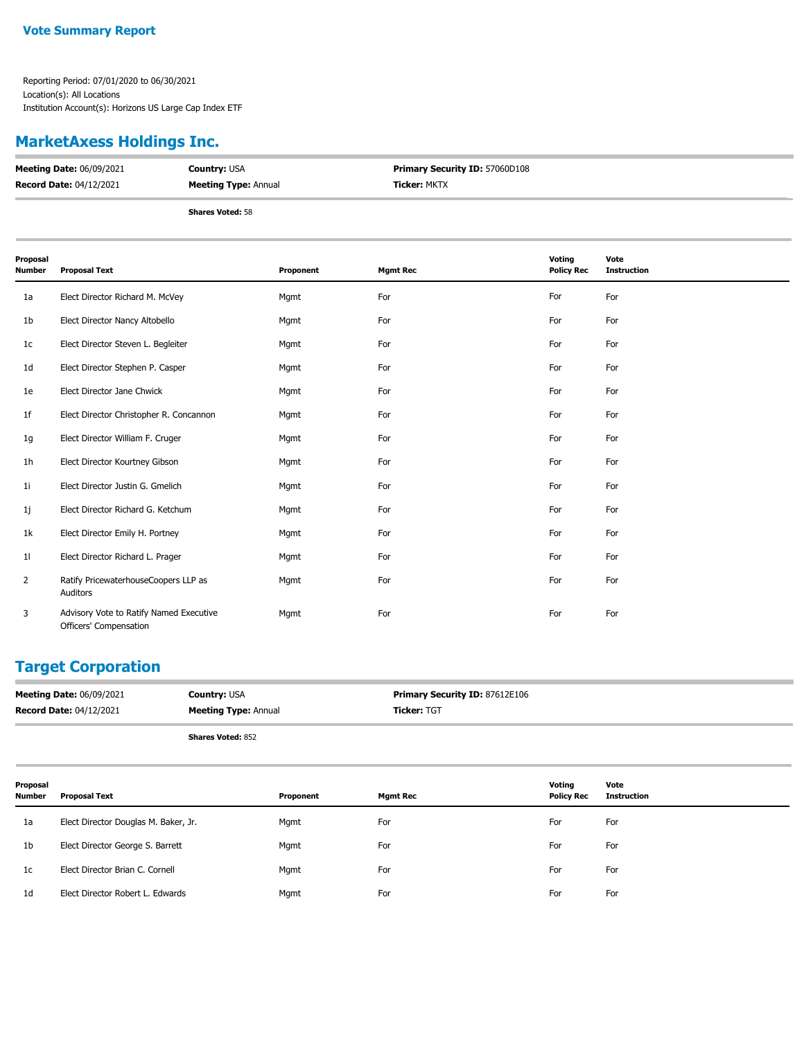### **MarketAxess Holdings Inc.**

| <b>Meeting Date: 06/09/2021</b> | <b>Country: USA</b>         | <b>Primary Security ID: 57060D108</b> |
|---------------------------------|-----------------------------|---------------------------------------|
| <b>Record Date: 04/12/2021</b>  | <b>Meeting Type: Annual</b> | <b>Ticker: MKTX</b>                   |
|                                 | <b>Shares Voted: 58</b>     |                                       |

**Proposal Number Proposal Text Proponent Mgmt Rec Voting Policy Rec Vote Instruction** 1a Elect Director Richard M. McVey Mgmt For For For 1b Elect Director Nancy Altobello Mgmt For For For 1c Elect Director Steven L. Begleiter **Mgmt** For For For For For For For For For 1d Elect Director Stephen P. Casper **For For Mgmt For For For For For** For For For For 1e Elect Director Jane Chwick Mgmt For For For 1f Elect Director Christopher R. Concannon Mgmt Mgmt For For For For For For For 1g Elect Director William F. Cruger Mgmt For For For 1h Elect Director Kourtney Gibson Mgmt For For For 1i Elect Director Justin G. Gmelich **Mgmt For** For For For For For For For For For 1j Elect Director Richard G. Ketchum Mgmt Mgmt For For For For For For For 1k Elect Director Emily H. Portney Mgmt For For For 1l Elect Director Richard L. Prager Mgmt For For For Ratify PricewaterhouseCoopers LLP as Mgmt For For For Auditors 2 Advisory Vote to Ratify Named Executive Mgmt For For For Officers' Compensation 3

### **Target Corporation**

| <b>Meeting Date: 06/09/2021</b> | <b>Country: USA</b>         | <b>Primary Security ID: 87612E106</b> |
|---------------------------------|-----------------------------|---------------------------------------|
| <b>Record Date: 04/12/2021</b>  | <b>Meeting Type: Annual</b> | <b>Ticker: TGT</b>                    |
|                                 | <b>Shares Voted: 852</b>    |                                       |

| Proposal<br>Number | Proposal Text                        | Proponent | Mgmt Rec | Voting<br><b>Policy Rec</b> | Vote<br>Instruction |
|--------------------|--------------------------------------|-----------|----------|-----------------------------|---------------------|
| 1a                 | Elect Director Douglas M. Baker, Jr. | Mgmt      | For      | For                         | For                 |
| 1 <sub>b</sub>     | Elect Director George S. Barrett     | Mgmt      | For      | For                         | For                 |
| 1c                 | Elect Director Brian C. Cornell      | Mgmt      | For      | For                         | For                 |
| 1 <sub>d</sub>     | Elect Director Robert L. Edwards     | Mgmt      | For      | For                         | For                 |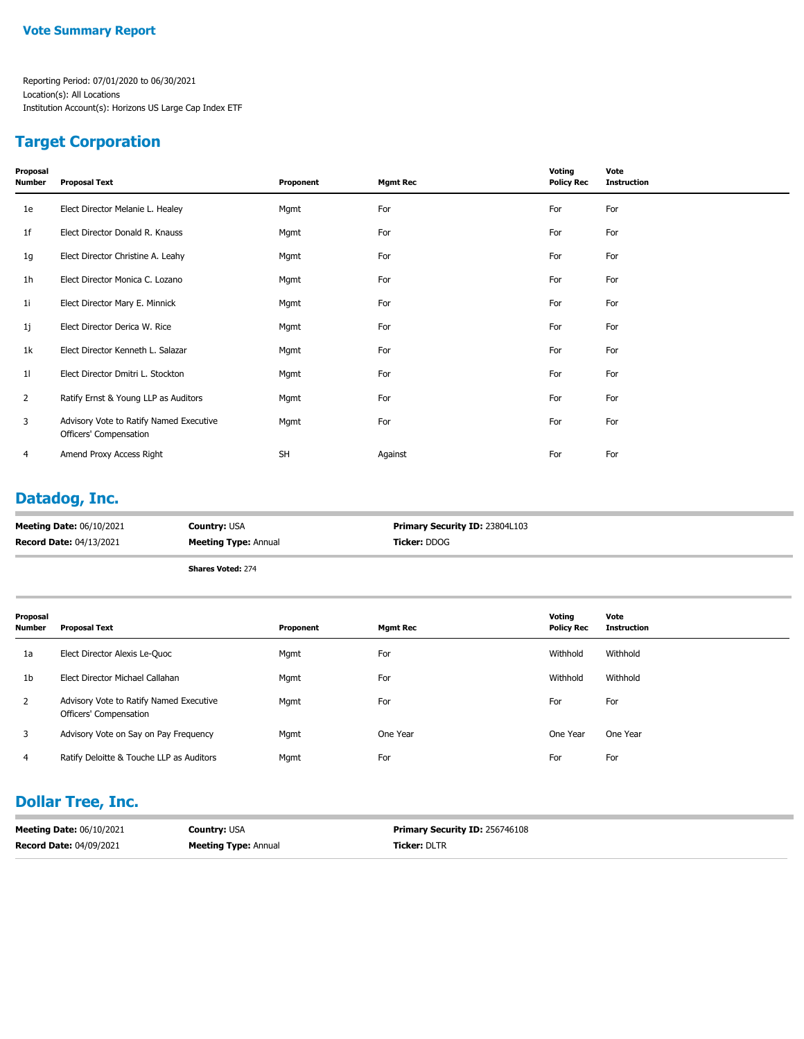### **Target Corporation**

| Proposal<br><b>Number</b> | <b>Proposal Text</b>                                              | Proponent | <b>Mgmt Rec</b> | Voting<br><b>Policy Rec</b> | Vote<br><b>Instruction</b> |
|---------------------------|-------------------------------------------------------------------|-----------|-----------------|-----------------------------|----------------------------|
| 1e                        | Elect Director Melanie L. Healey                                  | Mgmt      | For             | For                         | For                        |
| 1 <sup>f</sup>            | Elect Director Donald R. Knauss                                   | Mgmt      | For             | For                         | For                        |
| 1g                        | Elect Director Christine A. Leahy                                 | Mgmt      | For             | For                         | For                        |
| 1 <sub>h</sub>            | Elect Director Monica C. Lozano                                   | Mgmt      | For             | For                         | For                        |
| 11                        | Elect Director Mary E. Minnick                                    | Mgmt      | For             | For                         | For                        |
| 1j                        | Elect Director Derica W. Rice                                     | Mgmt      | For             | For                         | For                        |
| 1k                        | Elect Director Kenneth L. Salazar                                 | Mgmt      | For             | For                         | For                        |
| 11                        | Elect Director Dmitri L. Stockton                                 | Mgmt      | For             | For                         | For                        |
| 2                         | Ratify Ernst & Young LLP as Auditors                              | Mgmt      | For             | For                         | For                        |
| 3                         | Advisory Vote to Ratify Named Executive<br>Officers' Compensation | Mgmt      | For             | For                         | For                        |
| 4                         | Amend Proxy Access Right                                          | <b>SH</b> | Against         | For                         | For                        |

### **Datadog, Inc.**

| <b>Meeting Date: 06/10/2021</b> | <b>Country: USA</b>         | <b>Primary Security ID: 23804L103</b> |
|---------------------------------|-----------------------------|---------------------------------------|
| <b>Record Date: 04/13/2021</b>  | <b>Meeting Type: Annual</b> | <b>Ticker:</b> DDOG                   |
|                                 |                             |                                       |

**Shares Voted:** 274

| Proposal<br>Number | <b>Proposal Text</b>                                              | Proponent | <b>Mgmt Rec</b> | Voting<br><b>Policy Rec</b> | Vote<br><b>Instruction</b> |
|--------------------|-------------------------------------------------------------------|-----------|-----------------|-----------------------------|----------------------------|
| 1a                 | Elect Director Alexis Le-Quoc                                     | Mgmt      | For             | Withhold                    | Withhold                   |
| 1 <sub>b</sub>     | Elect Director Michael Callahan                                   | Mgmt      | For             | Withhold                    | Withhold                   |
| $\overline{2}$     | Advisory Vote to Ratify Named Executive<br>Officers' Compensation | Mgmt      | For             | For                         | For                        |
| 3                  | Advisory Vote on Say on Pay Frequency                             | Mgmt      | One Year        | One Year                    | One Year                   |
| 4                  | Ratify Deloitte & Touche LLP as Auditors                          | Mgmt      | For             | For                         | For                        |

### **Dollar Tree, Inc.**

| <b>Meeting Date: 06/10/2021</b> | <b>Country: USA</b>         | <b>Primary Security ID: 256746108</b> |
|---------------------------------|-----------------------------|---------------------------------------|
| <b>Record Date: 04/09/2021</b>  | <b>Meeting Type: Annual</b> | <b>Ticker: DLTR</b>                   |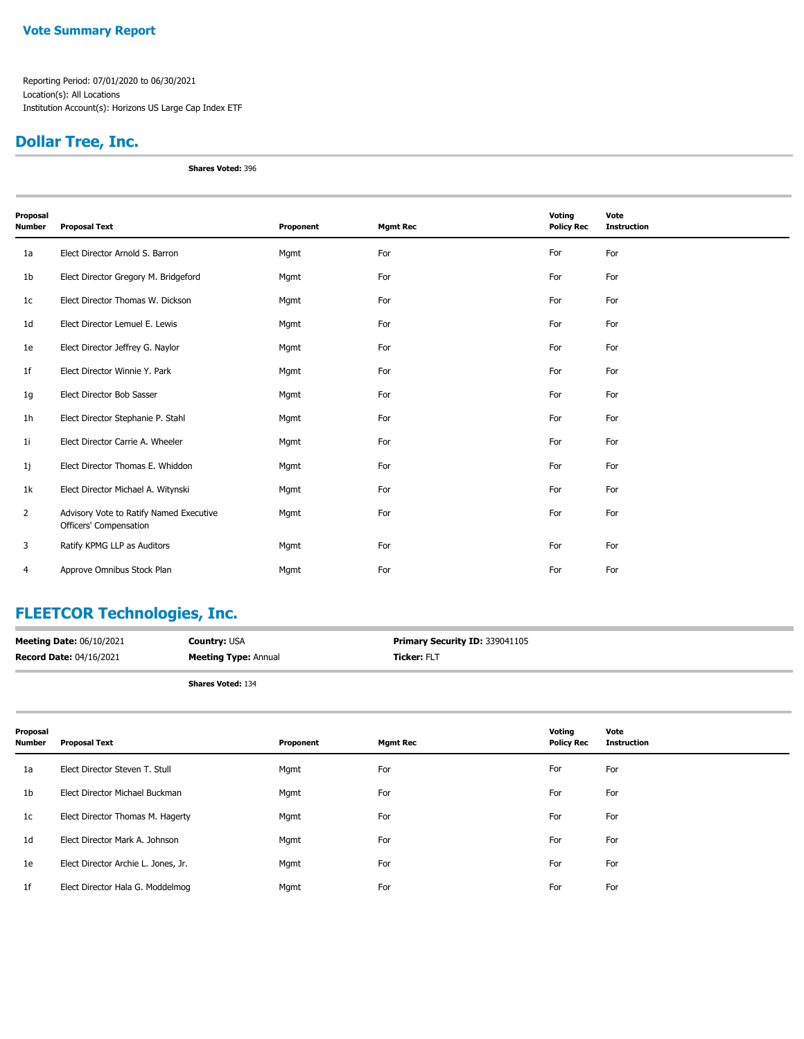Reporting Period: 07/01/2020 to 06/30/2021 Location(s): All Locations Institution Account(s): Horizons US Large Cap Index ETF

# **Dollar Tree, Inc.**

**Shares Voted:** 396

| Proposal<br><b>Number</b> | <b>Proposal Text</b>                                              | Proponent | <b>Mgmt Rec</b> | Voting<br><b>Policy Rec</b> | Vote<br><b>Instruction</b> |
|---------------------------|-------------------------------------------------------------------|-----------|-----------------|-----------------------------|----------------------------|
| 1a                        | Elect Director Arnold S. Barron                                   | Mgmt      | For             | For                         | For                        |
| 1 <sub>b</sub>            | Elect Director Gregory M. Bridgeford                              | Mgmt      | For             | For                         | For                        |
| 1 <sub>c</sub>            | Elect Director Thomas W. Dickson                                  | Mgmt      | For             | For                         | For                        |
| 1 <sub>d</sub>            | Elect Director Lemuel E. Lewis                                    | Mgmt      | For             | For                         | For                        |
| 1e                        | Elect Director Jeffrey G. Naylor                                  | Mgmt      | For             | For                         | For                        |
| 1f                        | Elect Director Winnie Y. Park                                     | Mgmt      | For             | For                         | For                        |
| 1g                        | Elect Director Bob Sasser                                         | Mgmt      | For             | For                         | For                        |
| 1 <sub>h</sub>            | Elect Director Stephanie P. Stahl                                 | Mgmt      | For             | For                         | For                        |
| 1 <sub>i</sub>            | Elect Director Carrie A. Wheeler                                  | Mgmt      | For             | For                         | For                        |
| 1j                        | Elect Director Thomas E. Whiddon                                  | Mgmt      | For             | For                         | For                        |
| 1k                        | Elect Director Michael A. Witynski                                | Mgmt      | For             | For                         | For                        |
| $\overline{2}$            | Advisory Vote to Ratify Named Executive<br>Officers' Compensation | Mgmt      | For             | For                         | For                        |
| 3                         | Ratify KPMG LLP as Auditors                                       | Mgmt      | For             | For                         | For                        |
| 4                         | Approve Omnibus Stock Plan                                        | Mgmt      | For             | For                         | For                        |

# **FLEETCOR Technologies, Inc.**

| <b>Meeting Date: 06/10/2021</b> | <b>Country: USA</b>         | <b>Primary Security ID: 339041105</b> |
|---------------------------------|-----------------------------|---------------------------------------|
| <b>Record Date: 04/16/2021</b>  | <b>Meeting Type: Annual</b> | <b>Ticker: FLT</b>                    |
|                                 | <b>Shares Voted: 134</b>    |                                       |

| Proposal<br><b>Number</b> | <b>Proposal Text</b>                | Proponent | <b>Mgmt Rec</b> | Voting<br><b>Policy Rec</b> | Vote<br><b>Instruction</b> |
|---------------------------|-------------------------------------|-----------|-----------------|-----------------------------|----------------------------|
| 1a                        | Elect Director Steven T. Stull      | Mgmt      | For             | For                         | For                        |
| 1b                        | Elect Director Michael Buckman      | Mgmt      | For             | For                         | For                        |
| 1c                        | Elect Director Thomas M. Hagerty    | Mgmt      | For             | For                         | For                        |
| 1d                        | Elect Director Mark A. Johnson      | Mgmt      | For             | For                         | For                        |
| 1e                        | Elect Director Archie L. Jones, Jr. | Mgmt      | For             | For                         | For                        |
| 1f                        | Elect Director Hala G. Moddelmog    | Mgmt      | For             | For                         | For                        |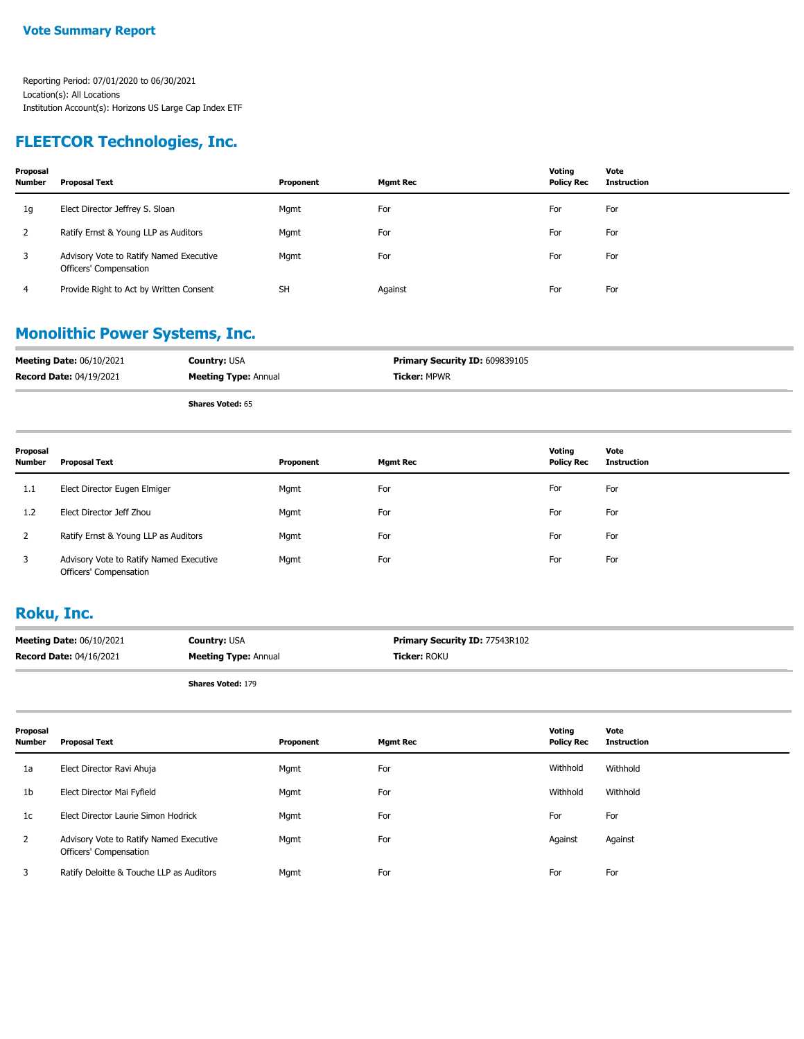### **FLEETCOR Technologies, Inc.**

| Proposal<br><b>Number</b> | <b>Proposal Text</b>                                              | Proponent | <b>Mgmt Rec</b> | Votina<br><b>Policy Rec</b> | Vote<br>Instruction |
|---------------------------|-------------------------------------------------------------------|-----------|-----------------|-----------------------------|---------------------|
| 1g                        | Elect Director Jeffrey S. Sloan                                   | Mgmt      | For             | For                         | For                 |
| ∠                         | Ratify Ernst & Young LLP as Auditors                              | Mgmt      | For             | For                         | For                 |
| 3                         | Advisory Vote to Ratify Named Executive<br>Officers' Compensation | Mgmt      | For             | For                         | For                 |
| 4                         | Provide Right to Act by Written Consent                           | <b>SH</b> | Against         | For                         | For                 |

### **Monolithic Power Systems, Inc.**

| <b>Meeting Date: 06/10/2021</b> | <b>Country: USA</b>         | Primary Security ID: 609839105 |
|---------------------------------|-----------------------------|--------------------------------|
| <b>Record Date: 04/19/2021</b>  | <b>Meeting Type: Annual</b> | <b>Ticker: MPWR</b>            |
|                                 | <b>Shares Voted: 65</b>     |                                |

| Proposal<br><b>Number</b> | Proposal Text                                                     | Proponent | <b>Mgmt Rec</b> | Voting<br><b>Policy Rec</b> | Vote<br><b>Instruction</b> |
|---------------------------|-------------------------------------------------------------------|-----------|-----------------|-----------------------------|----------------------------|
| 1.1                       | Elect Director Eugen Elmiger                                      | Mgmt      | For             | For                         | For                        |
| 1.2                       | Elect Director Jeff Zhou                                          | Mgmt      | For             | For                         | For                        |
|                           | Ratify Ernst & Young LLP as Auditors                              | Mgmt      | For             | For                         | For                        |
| 3                         | Advisory Vote to Ratify Named Executive<br>Officers' Compensation | Mgmt      | For             | For                         | For                        |

#### **Roku, Inc.**

| <b>Meeting Date: 06/10/2021</b> | <b>Country: USA</b>         | <b>Primary Security ID: 77543R102</b> |
|---------------------------------|-----------------------------|---------------------------------------|
| <b>Record Date: 04/16/2021</b>  | <b>Meeting Type: Annual</b> | Ticker: ROKU                          |
|                                 |                             |                                       |

**Shares Voted:** 179

| Proposal<br><b>Number</b> | <b>Proposal Text</b>                                              | Proponent | <b>Mgmt Rec</b> | Voting<br><b>Policy Rec</b> | Vote<br><b>Instruction</b> |
|---------------------------|-------------------------------------------------------------------|-----------|-----------------|-----------------------------|----------------------------|
| 1a                        | Elect Director Ravi Ahuja                                         | Mgmt      | For             | Withhold                    | Withhold                   |
| 1 <sub>b</sub>            | Elect Director Mai Fyfield                                        | Mgmt      | For             | Withhold                    | Withhold                   |
| 1c                        | Elect Director Laurie Simon Hodrick                               | Mgmt      | For             | For                         | For                        |
| $\mathbf{2}$              | Advisory Vote to Ratify Named Executive<br>Officers' Compensation | Mgmt      | For             | Against                     | Against                    |
| 3                         | Ratify Deloitte & Touche LLP as Auditors                          | Mgmt      | For             | For                         | For                        |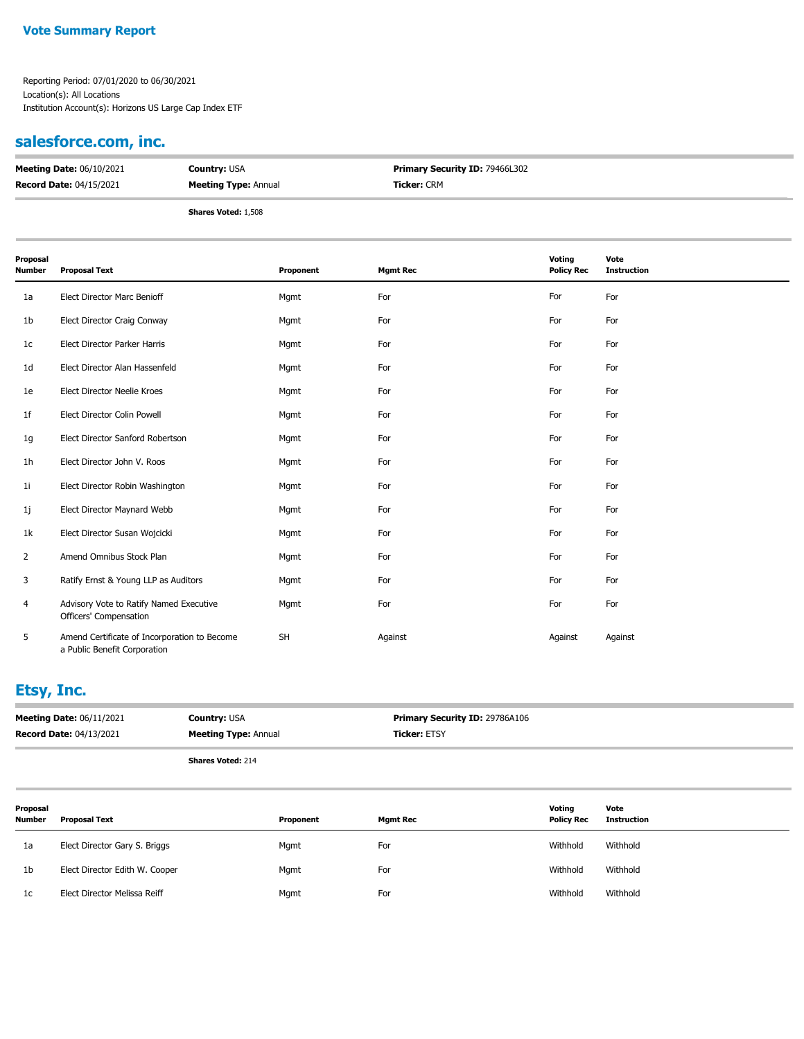Reporting Period: 07/01/2020 to 06/30/2021 Location(s): All Locations Institution Account(s): Horizons US Large Cap Index ETF

# **salesforce.com, inc.**

| <b>Meeting Date: 06/10/2021</b> | <b>Country: USA</b>         | <b>Primary Security ID: 79466L302</b> |
|---------------------------------|-----------------------------|---------------------------------------|
| <b>Record Date: 04/15/2021</b>  | <b>Meeting Type: Annual</b> | <b>Ticker: CRM</b>                    |
|                                 | <b>Shares Voted: 1,508</b>  |                                       |

| Proposal<br>Number | <b>Proposal Text</b>                                                         | Proponent | <b>Mgmt Rec</b> | Voting<br><b>Policy Rec</b> | Vote<br><b>Instruction</b> |
|--------------------|------------------------------------------------------------------------------|-----------|-----------------|-----------------------------|----------------------------|
| 1a                 | Elect Director Marc Benioff                                                  | Mgmt      | For             | For                         | For                        |
| 1b                 | Elect Director Craig Conway                                                  | Mgmt      | For             | For                         | For                        |
| 1c                 | Elect Director Parker Harris                                                 | Mgmt      | For             | For                         | For                        |
| 1d                 | Elect Director Alan Hassenfeld                                               | Mgmt      | For             | For                         | For                        |
| 1e                 | Elect Director Neelie Kroes                                                  | Mgmt      | For             | For                         | For                        |
| 1f                 | Elect Director Colin Powell                                                  | Mgmt      | For             | For                         | For                        |
| 1g                 | Elect Director Sanford Robertson                                             | Mgmt      | For             | For                         | For                        |
| 1 <sub>h</sub>     | Elect Director John V. Roos                                                  | Mgmt      | For             | For                         | For                        |
| 1i                 | Elect Director Robin Washington                                              | Mgmt      | For             | For                         | For                        |
| 1j                 | Elect Director Maynard Webb                                                  | Mgmt      | For             | For                         | For                        |
| 1k                 | Elect Director Susan Wojcicki                                                | Mgmt      | For             | For                         | For                        |
| $\overline{2}$     | Amend Omnibus Stock Plan                                                     | Mgmt      | For             | For                         | For                        |
| 3                  | Ratify Ernst & Young LLP as Auditors                                         | Mgmt      | For             | For                         | For                        |
| 4                  | Advisory Vote to Ratify Named Executive<br>Officers' Compensation            | Mgmt      | For             | For                         | For                        |
| 5                  | Amend Certificate of Incorporation to Become<br>a Public Benefit Corporation | <b>SH</b> | Against         | Against                     | Against                    |

# **Etsy, Inc.**

|                    | <b>Meeting Date: 06/11/2021</b><br><b>Record Date: 04/13/2021</b> | <b>Country: USA</b><br><b>Meeting Type: Annual</b> |  | Primary Security ID: 29786A106<br><b>Ticker: ETSY</b> |                             |                            |
|--------------------|-------------------------------------------------------------------|----------------------------------------------------|--|-------------------------------------------------------|-----------------------------|----------------------------|
|                    |                                                                   | <b>Shares Voted: 214</b>                           |  |                                                       |                             |                            |
| Proposal<br>Number | Proposal Text                                                     | Proponent                                          |  | <b>Mgmt Rec</b>                                       | Voting<br><b>Policy Rec</b> | Vote<br><b>Instruction</b> |

| 1a             | Elect Director Gary S. Briggs  | Mgmt | For | Withhold | Withhold |
|----------------|--------------------------------|------|-----|----------|----------|
| 1 <sub>b</sub> | Elect Director Edith W. Cooper | Mgmt | For | Withhold | Withhold |
| 1c             | Elect Director Melissa Reiff   | Mgmt | For | Withhold | Withhold |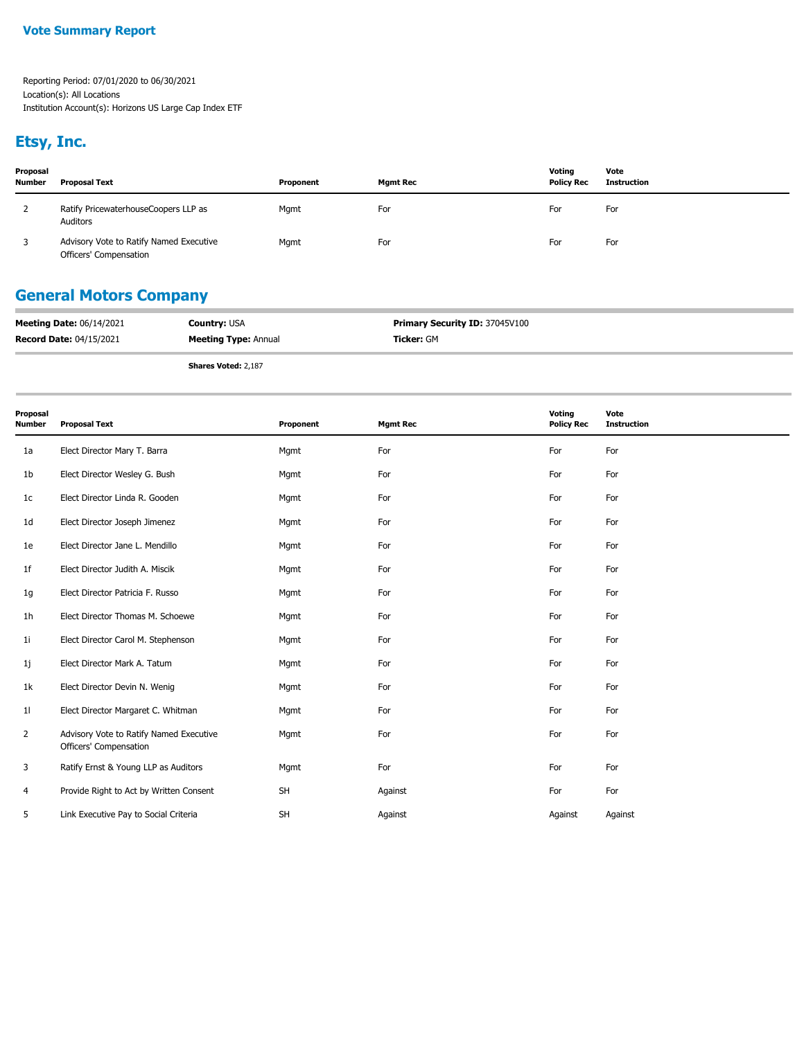# **Etsy, Inc.**

| Proposal<br><b>Number</b> | <b>Proposal Text</b>                                              | Proponent | Mamt Rec | Voting<br><b>Policy Rec</b> | Vote<br>Instruction |
|---------------------------|-------------------------------------------------------------------|-----------|----------|-----------------------------|---------------------|
|                           | Ratify PricewaterhouseCoopers LLP as<br>Auditors                  | Mgmt      | For      | For                         | For                 |
| 3                         | Advisory Vote to Ratify Named Executive<br>Officers' Compensation | Mgmt      | For      | For                         | For                 |

# **General Motors Company**

| <b>Meeting Date: 06/14/2021</b> | <b>Country: USA</b>         | <b>Primary Security ID: 37045V100</b> |
|---------------------------------|-----------------------------|---------------------------------------|
| <b>Record Date: 04/15/2021</b>  | <b>Meeting Type: Annual</b> | Ticker: GM                            |
|                                 |                             |                                       |

**Shares Voted:** 2,187

| Proposal<br><b>Number</b> | <b>Proposal Text</b>                                              | Proponent | <b>Mgmt Rec</b> | Voting<br><b>Policy Rec</b> | Vote<br><b>Instruction</b> |
|---------------------------|-------------------------------------------------------------------|-----------|-----------------|-----------------------------|----------------------------|
| 1a                        | Elect Director Mary T. Barra                                      | Mgmt      | For             | For                         | For                        |
| 1b                        | Elect Director Wesley G. Bush                                     | Mgmt      | For             | For                         | For                        |
| 1c                        | Elect Director Linda R. Gooden                                    | Mgmt      | For             | For                         | For                        |
| 1 <sub>d</sub>            | Elect Director Joseph Jimenez                                     | Mgmt      | For             | For                         | For                        |
| 1e                        | Elect Director Jane L. Mendillo                                   | Mgmt      | For             | For                         | For                        |
| 1f                        | Elect Director Judith A. Miscik                                   | Mgmt      | For             | For                         | For                        |
| 1g                        | Elect Director Patricia F. Russo                                  | Mgmt      | For             | For                         | For                        |
| 1 <sub>h</sub>            | Elect Director Thomas M. Schoewe                                  | Mgmt      | For             | For                         | For                        |
| 11                        | Elect Director Carol M. Stephenson                                | Mgmt      | For             | For                         | For                        |
| 1j                        | Elect Director Mark A. Tatum                                      | Mgmt      | For             | For                         | For                        |
| 1k                        | Elect Director Devin N. Wenig                                     | Mgmt      | For             | For                         | For                        |
| 11                        | Elect Director Margaret C. Whitman                                | Mgmt      | For             | For                         | For                        |
| 2                         | Advisory Vote to Ratify Named Executive<br>Officers' Compensation | Mgmt      | For             | For                         | For                        |
| 3                         | Ratify Ernst & Young LLP as Auditors                              | Mgmt      | For             | For                         | For                        |
| 4                         | Provide Right to Act by Written Consent                           | SH        | Against         | For                         | For                        |
| 5                         | Link Executive Pay to Social Criteria                             | <b>SH</b> | Against         | Against                     | Against                    |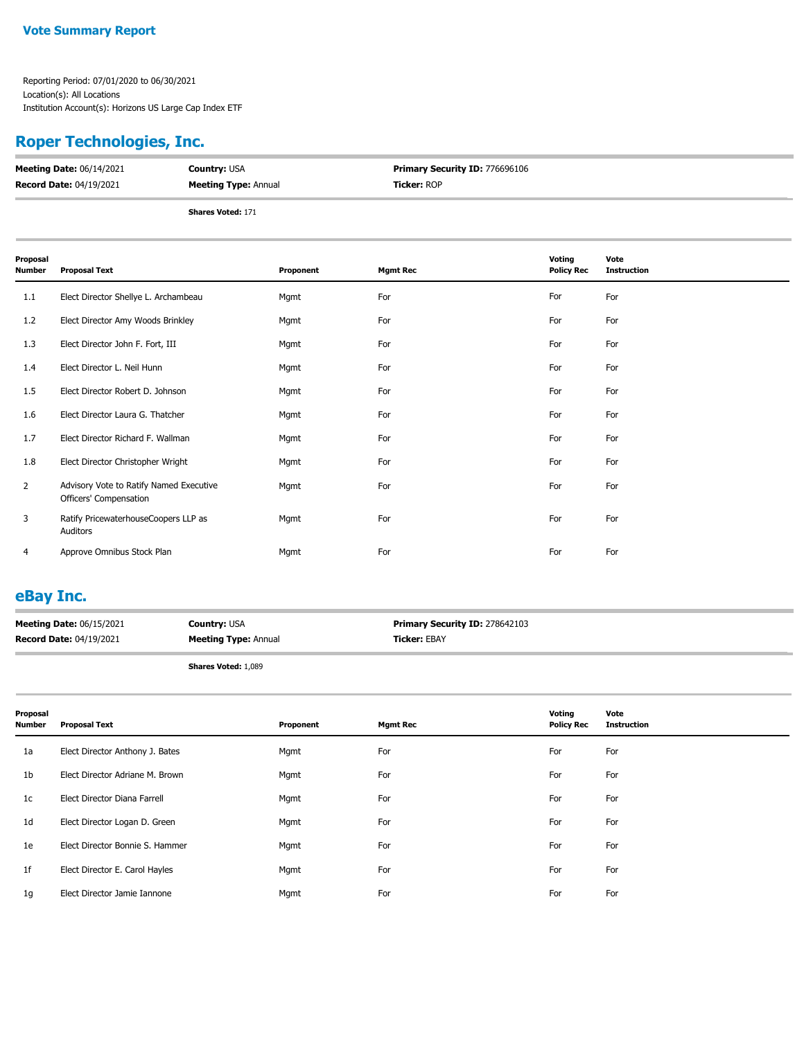### **Roper Technologies, Inc.**

| <b>Meeting Date: 06/14/2021</b> | <b>Country: USA</b>         | <b>Primary Security ID: 776696106</b> |
|---------------------------------|-----------------------------|---------------------------------------|
| <b>Record Date: 04/19/2021</b>  | <b>Meeting Type: Annual</b> | <b>Ticker: ROP</b>                    |
|                                 | <b>Shares Voted: 171</b>    |                                       |

| Proposal<br><b>Number</b> | <b>Proposal Text</b>                                              | Proponent | <b>Mgmt Rec</b> | Voting<br><b>Policy Rec</b> | Vote<br><b>Instruction</b> |
|---------------------------|-------------------------------------------------------------------|-----------|-----------------|-----------------------------|----------------------------|
| 1.1                       | Elect Director Shellye L. Archambeau                              | Mgmt      | For             | For                         | For                        |
| 1.2                       | Elect Director Amy Woods Brinkley                                 | Mgmt      | For             | For                         | For                        |
| 1.3                       | Elect Director John F. Fort, III                                  | Mgmt      | For             | For                         | For                        |
| 1.4                       | Elect Director L. Neil Hunn                                       | Mgmt      | For             | For                         | For                        |
| 1.5                       | Elect Director Robert D. Johnson                                  | Mgmt      | For             | For                         | For                        |
| 1.6                       | Elect Director Laura G. Thatcher                                  | Mgmt      | For             | For                         | For                        |
| 1.7                       | Elect Director Richard F. Wallman                                 | Mgmt      | For             | For                         | For                        |
| 1.8                       | Elect Director Christopher Wright                                 | Mgmt      | For             | For                         | For                        |
| $\overline{2}$            | Advisory Vote to Ratify Named Executive<br>Officers' Compensation | Mgmt      | For             | For                         | For                        |
| 3                         | Ratify PricewaterhouseCoopers LLP as<br>Auditors                  | Mgmt      | For             | For                         | For                        |
| 4                         | Approve Omnibus Stock Plan                                        | Mgmt      | For             | For                         | For                        |

### **eBay Inc.**

| <b>Meeting Date: 06/15/2021</b> | <b>Country: USA</b>         | <b>Primary Security ID: 278642103</b> |
|---------------------------------|-----------------------------|---------------------------------------|
| <b>Record Date: 04/19/2021</b>  | <b>Meeting Type: Annual</b> | <b>Ticker: EBAY</b>                   |
|                                 |                             |                                       |

**Shares Voted:** 1,089

| Proposal<br><b>Number</b> | <b>Proposal Text</b>            | Proponent | <b>Mgmt Rec</b> | Voting<br><b>Policy Rec</b> | Vote<br>Instruction |
|---------------------------|---------------------------------|-----------|-----------------|-----------------------------|---------------------|
| 1a                        | Elect Director Anthony J. Bates | Mgmt      | For             | For                         | For                 |
| 1 <sub>b</sub>            | Elect Director Adriane M. Brown | Mgmt      | For             | For                         | For                 |
| 1c                        | Elect Director Diana Farrell    | Mgmt      | For             | For                         | For                 |
| 1 <sub>d</sub>            | Elect Director Logan D. Green   | Mgmt      | For             | For                         | For                 |
| 1e                        | Elect Director Bonnie S. Hammer | Mgmt      | For             | For                         | For                 |
| 1 <sup>f</sup>            | Elect Director E. Carol Hayles  | Mgmt      | For             | For                         | For                 |
| 1g                        | Elect Director Jamie Iannone    | Mgmt      | For             | For                         | For                 |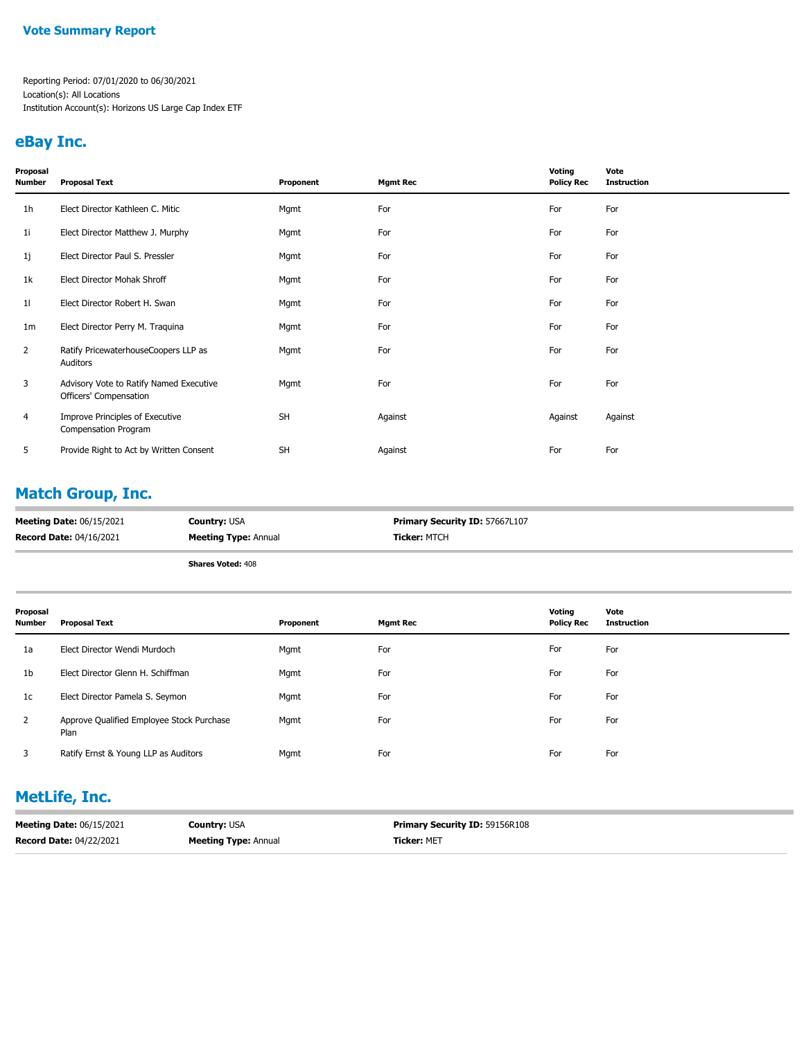Reporting Period: 07/01/2020 to 06/30/2021 Location(s): All Locations Institution Account(s): Horizons US Large Cap Index ETF

### **eBay Inc.**

| Proposal<br>Number | <b>Proposal Text</b>                                              | Proponent | <b>Mgmt Rec</b> | Voting<br><b>Policy Rec</b> | Vote<br><b>Instruction</b> |
|--------------------|-------------------------------------------------------------------|-----------|-----------------|-----------------------------|----------------------------|
| 1 <sub>h</sub>     | Elect Director Kathleen C. Mitic                                  | Mgmt      | For             | For                         | For                        |
| 1i                 | Elect Director Matthew J. Murphy                                  | Mgmt      | For             | For                         | For                        |
| 1j                 | Elect Director Paul S. Pressler                                   | Mgmt      | For             | For                         | For                        |
| 1k                 | Elect Director Mohak Shroff                                       | Mgmt      | For             | For                         | For                        |
| 11                 | Elect Director Robert H. Swan                                     | Mgmt      | For             | For                         | For                        |
| 1 <sub>m</sub>     | Elect Director Perry M. Traquina                                  | Mgmt      | For             | For                         | For                        |
| $\overline{2}$     | Ratify PricewaterhouseCoopers LLP as<br>Auditors                  | Mgmt      | For             | For                         | For                        |
| 3                  | Advisory Vote to Ratify Named Executive<br>Officers' Compensation | Mgmt      | For             | For                         | For                        |
| $\overline{4}$     | Improve Principles of Executive<br>Compensation Program           | <b>SH</b> | Against         | Against                     | Against                    |
| 5                  | Provide Right to Act by Written Consent                           | <b>SH</b> | Against         | For                         | For                        |

# **Match Group, Inc.**

| <b>Meeting Date: 06/15/2021</b> | <b>Country: USA</b>         | <b>Primary Security ID: 57667L107</b> |
|---------------------------------|-----------------------------|---------------------------------------|
| <b>Record Date: 04/16/2021</b>  | <b>Meeting Type: Annual</b> | <b>Ticker: MTCH</b>                   |

**Shares Voted:** 408

| Proposal<br>Number | <b>Proposal Text</b>                              | Proponent | <b>Mgmt Rec</b> | Voting<br><b>Policy Rec</b> | Vote<br><b>Instruction</b> |
|--------------------|---------------------------------------------------|-----------|-----------------|-----------------------------|----------------------------|
| 1a                 | Elect Director Wendi Murdoch                      | Mgmt      | For             | For                         | For                        |
| 1 <sub>b</sub>     | Elect Director Glenn H. Schiffman                 | Mgmt      | For             | For                         | For                        |
| 1c                 | Elect Director Pamela S. Seymon                   | Mgmt      | For             | For                         | For                        |
| $\overline{2}$     | Approve Qualified Employee Stock Purchase<br>Plan | Mgmt      | For             | For                         | For                        |
| 3                  | Ratify Ernst & Young LLP as Auditors              | Mgmt      | For             | For                         | For                        |

# **MetLife, Inc.**

| <b>Meeting Date: 06/15/2021</b> | <b>Country:</b> USA         | <b>Primary Security ID: 59156R108</b> |
|---------------------------------|-----------------------------|---------------------------------------|
| <b>Record Date: 04/22/2021</b>  | <b>Meeting Type: Annual</b> | <b>Ticker: MET</b>                    |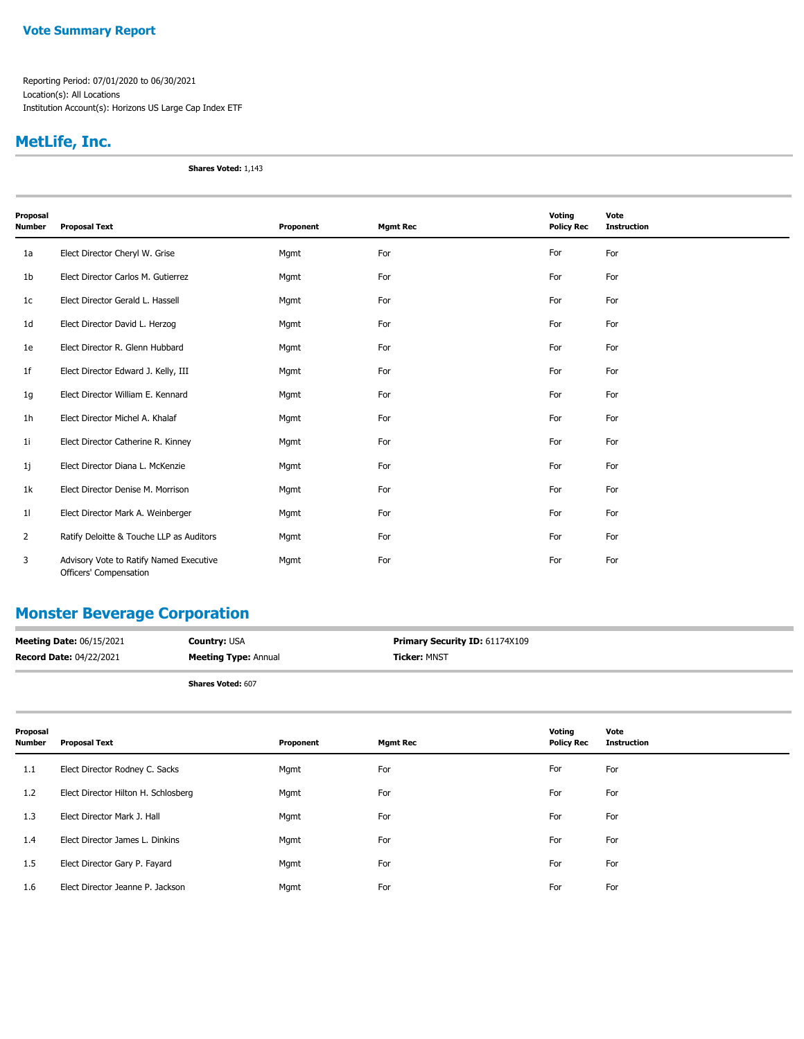Reporting Period: 07/01/2020 to 06/30/2021 Location(s): All Locations Institution Account(s): Horizons US Large Cap Index ETF

# **MetLife, Inc.**

**Shares Voted:** 1,143

| Proposal<br><b>Number</b> | <b>Proposal Text</b>                                              | Proponent | <b>Mgmt Rec</b> | Voting<br><b>Policy Rec</b> | Vote<br><b>Instruction</b> |
|---------------------------|-------------------------------------------------------------------|-----------|-----------------|-----------------------------|----------------------------|
| 1a                        | Elect Director Cheryl W. Grise                                    | Mgmt      | For             | For                         | For                        |
| 1 <sub>b</sub>            | Elect Director Carlos M. Gutierrez                                | Mgmt      | For             | For                         | For                        |
| 1 <sub>c</sub>            | Elect Director Gerald L. Hassell                                  | Mgmt      | For             | For                         | For                        |
| 1 <sub>d</sub>            | Elect Director David L. Herzog                                    | Mgmt      | For             | For                         | For                        |
| 1e                        | Elect Director R. Glenn Hubbard                                   | Mgmt      | For             | For                         | For                        |
| 1 <sup>f</sup>            | Elect Director Edward J. Kelly, III                               | Mgmt      | For             | For                         | For                        |
| 1g                        | Elect Director William E. Kennard                                 | Mgmt      | For             | For                         | For                        |
| 1 <sub>h</sub>            | Elect Director Michel A. Khalaf                                   | Mgmt      | For             | For                         | For                        |
| 11                        | Elect Director Catherine R. Kinney                                | Mgmt      | For             | For                         | For                        |
| 1j                        | Elect Director Diana L. McKenzie                                  | Mgmt      | For             | For                         | For                        |
| 1k                        | Elect Director Denise M. Morrison                                 | Mgmt      | For             | For                         | For                        |
| 11                        | Elect Director Mark A. Weinberger                                 | Mgmt      | For             | For                         | For                        |
| 2                         | Ratify Deloitte & Touche LLP as Auditors                          | Mgmt      | For             | For                         | For                        |
| 3                         | Advisory Vote to Ratify Named Executive<br>Officers' Compensation | Mgmt      | For             | For                         | For                        |

### **Monster Beverage Corporation**

| <b>Meeting Date: 06/15/2021</b> | <b>Country: USA</b>         | <b>Primary Security ID: 61174X109</b> |
|---------------------------------|-----------------------------|---------------------------------------|
| <b>Record Date: 04/22/2021</b>  | <b>Meeting Type: Annual</b> | <b>Ticker: MNST</b>                   |
|                                 | <b>Shares Voted: 607</b>    |                                       |

| Proposal<br>Number | <b>Proposal Text</b>                | Proponent | <b>Mgmt Rec</b> | Voting<br><b>Policy Rec</b> | Vote<br><b>Instruction</b> |
|--------------------|-------------------------------------|-----------|-----------------|-----------------------------|----------------------------|
| 1.1                | Elect Director Rodney C. Sacks      | Mgmt      | For             | For                         | For                        |
| 1.2                | Elect Director Hilton H. Schlosberg | Mgmt      | For             | For                         | For                        |
| 1.3                | Elect Director Mark J. Hall         | Mgmt      | For             | For                         | For                        |
| 1.4                | Elect Director James L. Dinkins     | Mgmt      | For             | For                         | For                        |
| $1.5\phantom{0}$   | Elect Director Gary P. Fayard       | Mgmt      | For             | For                         | For                        |
| 1.6                | Elect Director Jeanne P. Jackson    | Mgmt      | For             | For                         | For                        |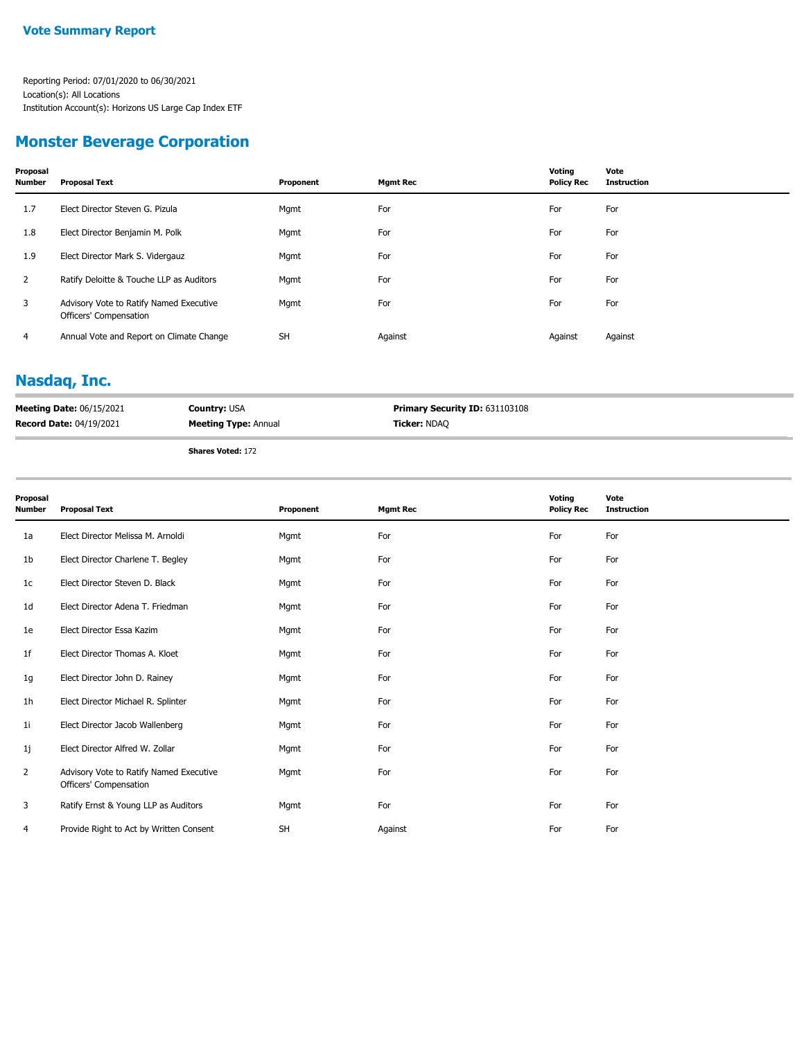### **Monster Beverage Corporation**

| Proposal<br>Number | <b>Proposal Text</b>                                              | Proponent | Mgmt Rec | Voting<br><b>Policy Rec</b> | Vote<br><b>Instruction</b> |
|--------------------|-------------------------------------------------------------------|-----------|----------|-----------------------------|----------------------------|
| 1.7                | Elect Director Steven G. Pizula                                   | Mgmt      | For      | For                         | For                        |
| 1.8                | Elect Director Benjamin M. Polk                                   | Mgmt      | For      | For                         | For                        |
| 1.9                | Elect Director Mark S. Vidergauz                                  | Mgmt      | For      | For                         | For                        |
| 2                  | Ratify Deloitte & Touche LLP as Auditors                          | Mgmt      | For      | For                         | For                        |
| 3                  | Advisory Vote to Ratify Named Executive<br>Officers' Compensation | Mgmt      | For      | For                         | For                        |
| 4                  | Annual Vote and Report on Climate Change                          | <b>SH</b> | Against  | Against                     | Against                    |

### **Nasdaq, Inc.**

| <b>Meeting Date: 06/15/2021</b> | <b>Country: USA</b>         | <b>Primary Security ID: 631103108</b> |
|---------------------------------|-----------------------------|---------------------------------------|
| <b>Record Date: 04/19/2021</b>  | <b>Meeting Type: Annual</b> | <b>Ticker: NDAQ</b>                   |
|                                 |                             |                                       |

**Shares Voted:** 172

| Proposal<br><b>Number</b> | <b>Proposal Text</b>                                              | Proponent | <b>Mgmt Rec</b> | Voting<br><b>Policy Rec</b> | Vote<br><b>Instruction</b> |
|---------------------------|-------------------------------------------------------------------|-----------|-----------------|-----------------------------|----------------------------|
| 1a                        | Elect Director Melissa M. Arnoldi                                 | Mgmt      | For             | For                         | For                        |
| 1b                        | Elect Director Charlene T. Begley                                 | Mgmt      | For             | For                         | For                        |
| 1c                        | Elect Director Steven D. Black                                    | Mgmt      | For             | For                         | For                        |
| 1d                        | Elect Director Adena T. Friedman                                  | Mgmt      | For             | For                         | For                        |
| 1e                        | Elect Director Essa Kazim                                         | Mgmt      | For             | For                         | For                        |
| 1f                        | Elect Director Thomas A. Kloet                                    | Mgmt      | For             | For                         | For                        |
| 1g                        | Elect Director John D. Rainey                                     | Mgmt      | For             | For                         | For                        |
| 1 <sub>h</sub>            | Elect Director Michael R. Splinter                                | Mgmt      | For             | For                         | For                        |
| 1i                        | Elect Director Jacob Wallenberg                                   | Mgmt      | For             | For                         | For                        |
| 1j                        | Elect Director Alfred W. Zollar                                   | Mgmt      | For             | For                         | For                        |
| 2                         | Advisory Vote to Ratify Named Executive<br>Officers' Compensation | Mgmt      | For             | For                         | For                        |
| 3                         | Ratify Ernst & Young LLP as Auditors                              | Mgmt      | For             | For                         | For                        |
| 4                         | Provide Right to Act by Written Consent                           | <b>SH</b> | Against         | For                         | For                        |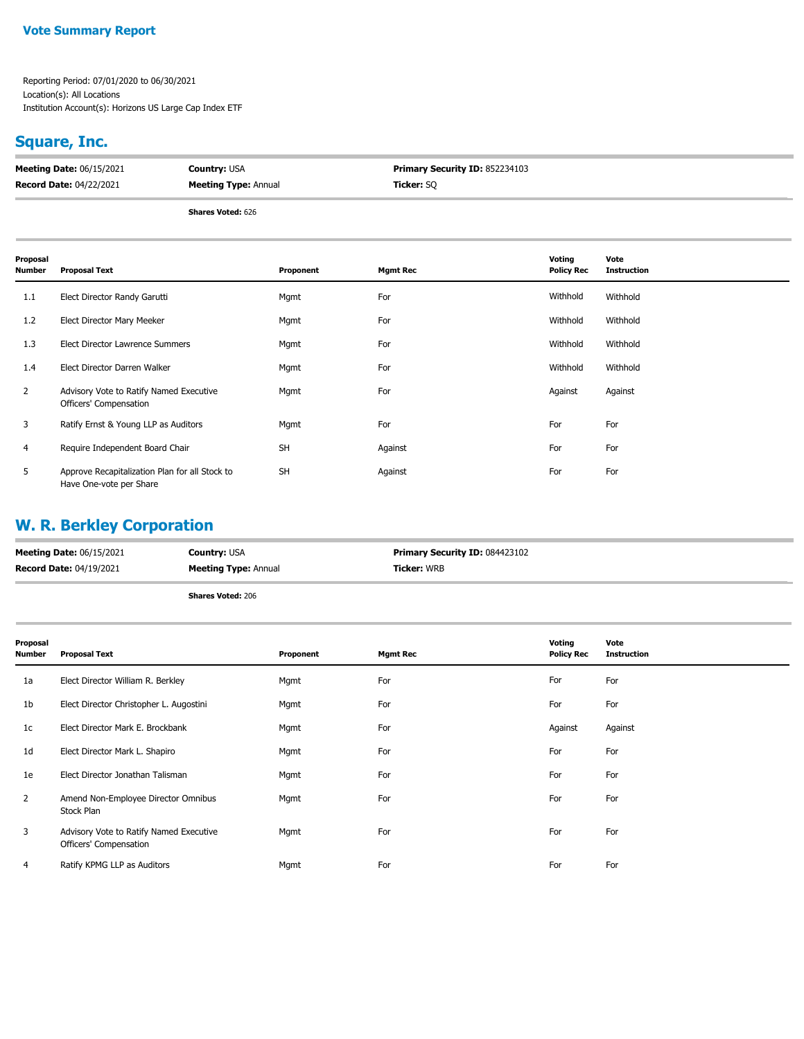Reporting Period: 07/01/2020 to 06/30/2021 Location(s): All Locations Institution Account(s): Horizons US Large Cap Index ETF

# **Square, Inc.**

| <b>Meeting Date: 06/15/2021</b> | <b>Country: USA</b>         | <b>Primary Security ID: 852234103</b> |
|---------------------------------|-----------------------------|---------------------------------------|
| <b>Record Date: 04/22/2021</b>  | <b>Meeting Type: Annual</b> | <b>Ticker:</b> SO                     |
|                                 |                             |                                       |

**Shares Voted:** 626

| Proposal<br><b>Number</b> | <b>Proposal Text</b>                                                      | Proponent | <b>Mgmt Rec</b> | Voting<br><b>Policy Rec</b> | Vote<br><b>Instruction</b> |
|---------------------------|---------------------------------------------------------------------------|-----------|-----------------|-----------------------------|----------------------------|
| 1.1                       | Elect Director Randy Garutti                                              | Mgmt      | For             | Withhold                    | Withhold                   |
| 1.2                       | Elect Director Mary Meeker                                                | Mgmt      | For             | Withhold                    | Withhold                   |
| 1.3                       | Elect Director Lawrence Summers                                           | Mgmt      | For             | Withhold                    | Withhold                   |
| 1.4                       | Elect Director Darren Walker                                              | Mgmt      | For             | Withhold                    | Withhold                   |
| 2                         | Advisory Vote to Ratify Named Executive<br>Officers' Compensation         | Mgmt      | For             | Against                     | Against                    |
| 3                         | Ratify Ernst & Young LLP as Auditors                                      | Mgmt      | For             | For                         | For                        |
| 4                         | Require Independent Board Chair                                           | <b>SH</b> | Against         | For                         | For                        |
| 5                         | Approve Recapitalization Plan for all Stock to<br>Have One-vote per Share | <b>SH</b> | Against         | For                         | For                        |

# **W. R. Berkley Corporation**

| <b>Meeting Date: 06/15/2021</b> | <b>Country: USA</b>         | <b>Primary Security ID: 084423102</b> |
|---------------------------------|-----------------------------|---------------------------------------|
| <b>Record Date: 04/19/2021</b>  | <b>Meeting Type: Annual</b> | <b>Ticker: WRB</b>                    |
|                                 | <b>Shares Voted: 206</b>    |                                       |

| Proposal<br><b>Number</b> | <b>Proposal Text</b>                                              | Proponent | <b>Mgmt Rec</b> | Voting<br><b>Policy Rec</b> | Vote<br><b>Instruction</b> |
|---------------------------|-------------------------------------------------------------------|-----------|-----------------|-----------------------------|----------------------------|
| 1a                        | Elect Director William R. Berkley                                 | Mgmt      | For             | For                         | For                        |
| 1b                        | Elect Director Christopher L. Augostini                           | Mgmt      | For             | For                         | For                        |
| 1c                        | Elect Director Mark E. Brockbank                                  | Mgmt      | For             | Against                     | Against                    |
| 1 <sub>d</sub>            | Elect Director Mark L. Shapiro                                    | Mgmt      | For             | For                         | For                        |
| 1e                        | Elect Director Jonathan Talisman                                  | Mgmt      | For             | For                         | For                        |
| $\overline{2}$            | Amend Non-Employee Director Omnibus<br>Stock Plan                 | Mgmt      | For             | For                         | For                        |
| 3                         | Advisory Vote to Ratify Named Executive<br>Officers' Compensation | Mgmt      | For             | For                         | For                        |
| 4                         | Ratify KPMG LLP as Auditors                                       | Mgmt      | For             | For                         | For                        |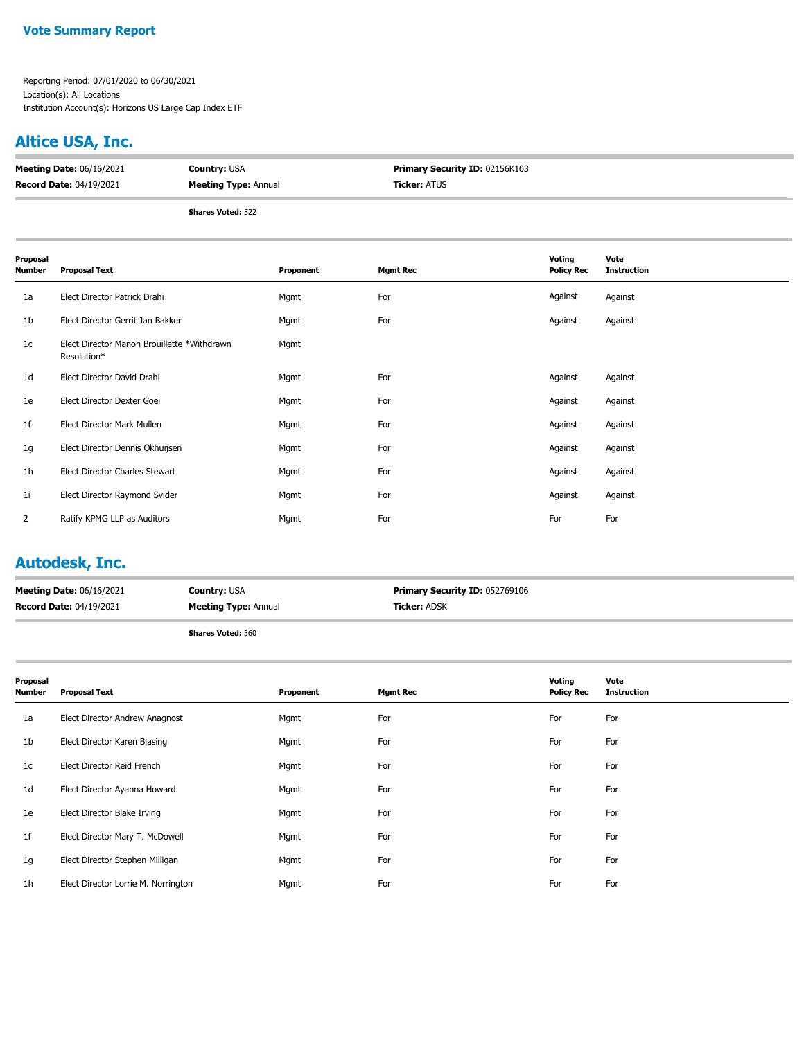### **Altice USA, Inc.**

| <b>Meeting Date: 06/16/2021</b> | <b>Country: USA</b>         | <b>Primary Security ID: 02156K103</b> |
|---------------------------------|-----------------------------|---------------------------------------|
| <b>Record Date: 04/19/2021</b>  | <b>Meeting Type: Annual</b> | <b>Ticker:</b> ATUS                   |
|                                 |                             |                                       |

**Shares Voted:** 522

| Proposal<br><b>Number</b> | <b>Proposal Text</b>                                       | Proponent | <b>Mgmt Rec</b> | Voting<br><b>Policy Rec</b> | Vote<br><b>Instruction</b> |
|---------------------------|------------------------------------------------------------|-----------|-----------------|-----------------------------|----------------------------|
| 1a                        | Elect Director Patrick Drahi                               | Mgmt      | For             | Against                     | Against                    |
| 1b                        | Elect Director Gerrit Jan Bakker                           | Mgmt      | For             | Against                     | Against                    |
| 1 <sub>c</sub>            | Elect Director Manon Brouillette *Withdrawn<br>Resolution* | Mgmt      |                 |                             |                            |
| 1 <sub>d</sub>            | Elect Director David Drahi                                 | Mgmt      | For             | Against                     | Against                    |
| 1e                        | Elect Director Dexter Goei                                 | Mgmt      | For             | Against                     | Against                    |
| 1f                        | Elect Director Mark Mullen                                 | Mgmt      | For             | Against                     | Against                    |
| 1g                        | Elect Director Dennis Okhuijsen                            | Mgmt      | For             | Against                     | Against                    |
| 1 <sub>h</sub>            | Elect Director Charles Stewart                             | Mgmt      | For             | Against                     | Against                    |
| 1 <sub>i</sub>            | Elect Director Raymond Svider                              | Mgmt      | For             | Against                     | Against                    |
| $\overline{2}$            | Ratify KPMG LLP as Auditors                                | Mgmt      | For             | For                         | For                        |

### **Autodesk, Inc.**

| <b>Meeting Date: 06/16/2021</b> | <b>Country: USA</b>         | <b>Primary Security ID: 052769106</b> |
|---------------------------------|-----------------------------|---------------------------------------|
| <b>Record Date: 04/19/2021</b>  | <b>Meeting Type: Annual</b> | <b>Ticker:</b> ADSK                   |
|                                 | <b>Shares Voted: 360</b>    |                                       |

| Proposal<br><b>Number</b> | <b>Proposal Text</b>                | Proponent | <b>Mgmt Rec</b> | Voting<br><b>Policy Rec</b> | Vote<br><b>Instruction</b> |
|---------------------------|-------------------------------------|-----------|-----------------|-----------------------------|----------------------------|
| 1a                        | Elect Director Andrew Anagnost      | Mgmt      | For             | For                         | For                        |
| 1 <sub>b</sub>            | Elect Director Karen Blasing        | Mgmt      | For             | For                         | For                        |
| 1 <sub>c</sub>            | Elect Director Reid French          | Mgmt      | For             | For                         | For                        |
| 1 <sub>d</sub>            | Elect Director Ayanna Howard        | Mgmt      | For             | For                         | For                        |
| 1e                        | Elect Director Blake Irving         | Mgmt      | For             | For                         | For                        |
| 1f                        | Elect Director Mary T. McDowell     | Mgmt      | For             | For                         | For                        |
| 1g                        | Elect Director Stephen Milligan     | Mgmt      | For             | For                         | For                        |
| 1 <sub>h</sub>            | Elect Director Lorrie M. Norrington | Mgmt      | For             | For                         | For                        |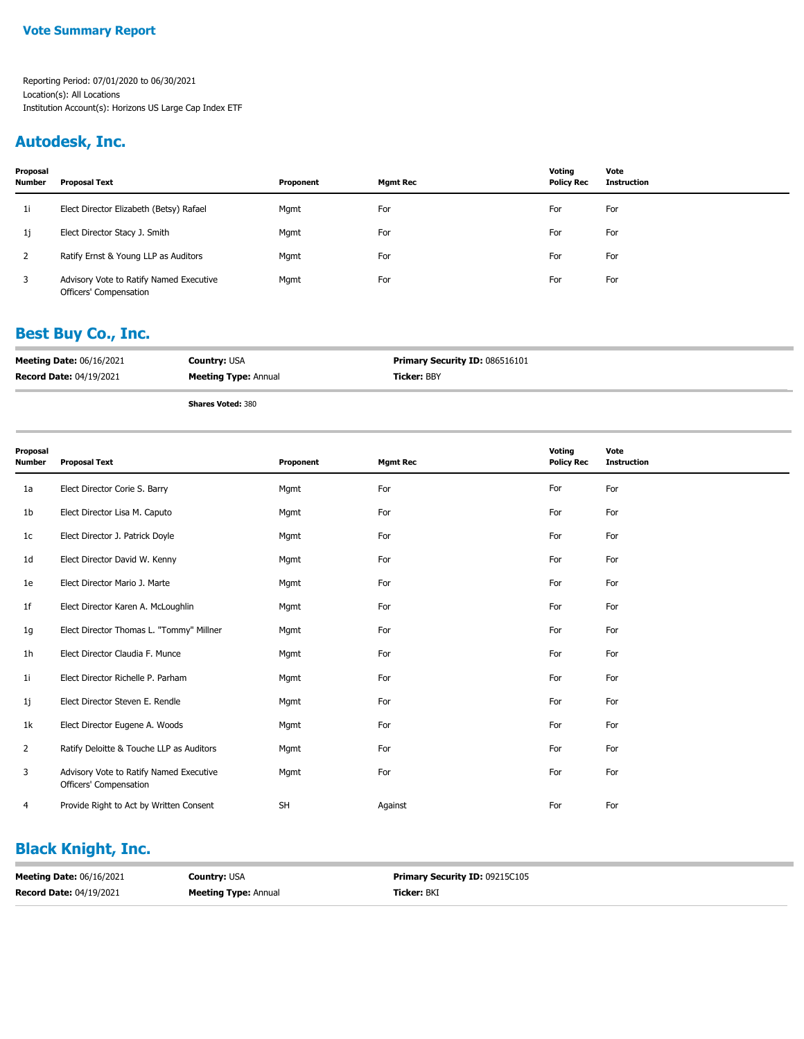### **Autodesk, Inc.**

| Proposal<br><b>Number</b> | Proposal Text                                                     | Proponent | Mgmt Rec | Votina<br><b>Policy Rec</b> | Vote<br><b>Instruction</b> |
|---------------------------|-------------------------------------------------------------------|-----------|----------|-----------------------------|----------------------------|
| 1i                        | Elect Director Elizabeth (Betsy) Rafael                           | Mgmt      | For      | For                         | For                        |
| 1j                        | Elect Director Stacy J. Smith                                     | Mgmt      | For      | For                         | For                        |
|                           | Ratify Ernst & Young LLP as Auditors                              | Mgmt      | For      | For                         | For                        |
| 3                         | Advisory Vote to Ratify Named Executive<br>Officers' Compensation | Mgmt      | For      | For                         | For                        |

### **Best Buy Co., Inc.**

| <b>Meeting Date: 06/16/2021</b> | <b>Country: USA</b>         | <b>Primary Security ID: 086516101</b> |
|---------------------------------|-----------------------------|---------------------------------------|
| <b>Record Date: 04/19/2021</b>  | <b>Meeting Type: Annual</b> | <b>Ticker: BBY</b>                    |
|                                 | <b>Shares Voted: 380</b>    |                                       |

| Proposal<br><b>Number</b> | <b>Proposal Text</b>                                              | Proponent | <b>Mgmt Rec</b> | Voting<br><b>Policy Rec</b> | Vote<br><b>Instruction</b> |
|---------------------------|-------------------------------------------------------------------|-----------|-----------------|-----------------------------|----------------------------|
| 1a                        | Elect Director Corie S. Barry                                     | Mgmt      | For             | For                         | For                        |
| 1b                        | Elect Director Lisa M. Caputo                                     | Mgmt      | For             | For                         | For                        |
| 1c                        | Elect Director J. Patrick Doyle                                   | Mgmt      | For             | For                         | For                        |
| 1d                        | Elect Director David W. Kenny                                     | Mgmt      | For             | For                         | For                        |
| 1e                        | Elect Director Mario J. Marte                                     | Mgmt      | For             | For                         | For                        |
| 1f                        | Elect Director Karen A. McLoughlin                                | Mgmt      | For             | For                         | For                        |
| 1g                        | Elect Director Thomas L. "Tommy" Millner                          | Mgmt      | For             | For                         | For                        |
| 1 <sub>h</sub>            | Elect Director Claudia F. Munce                                   | Mgmt      | For             | For                         | For                        |
| 11                        | Elect Director Richelle P. Parham                                 | Mgmt      | For             | For                         | For                        |
| 1j                        | Elect Director Steven E. Rendle                                   | Mgmt      | For             | For                         | For                        |
| 1k                        | Elect Director Eugene A. Woods                                    | Mgmt      | For             | For                         | For                        |
| $\overline{2}$            | Ratify Deloitte & Touche LLP as Auditors                          | Mgmt      | For             | For                         | For                        |
| 3                         | Advisory Vote to Ratify Named Executive<br>Officers' Compensation | Mgmt      | For             | For                         | For                        |
| 4                         | Provide Right to Act by Written Consent                           | SH        | Against         | For                         | For                        |

# **Black Knight, Inc.**

| <b>Meeting Date: 06/16/2021</b> | <b>Country: USA</b>         | <b>Primary Security ID: 09215C105</b> |
|---------------------------------|-----------------------------|---------------------------------------|
| <b>Record Date: 04/19/2021</b>  | <b>Meeting Type: Annual</b> | <b>Ticker:</b> BKI                    |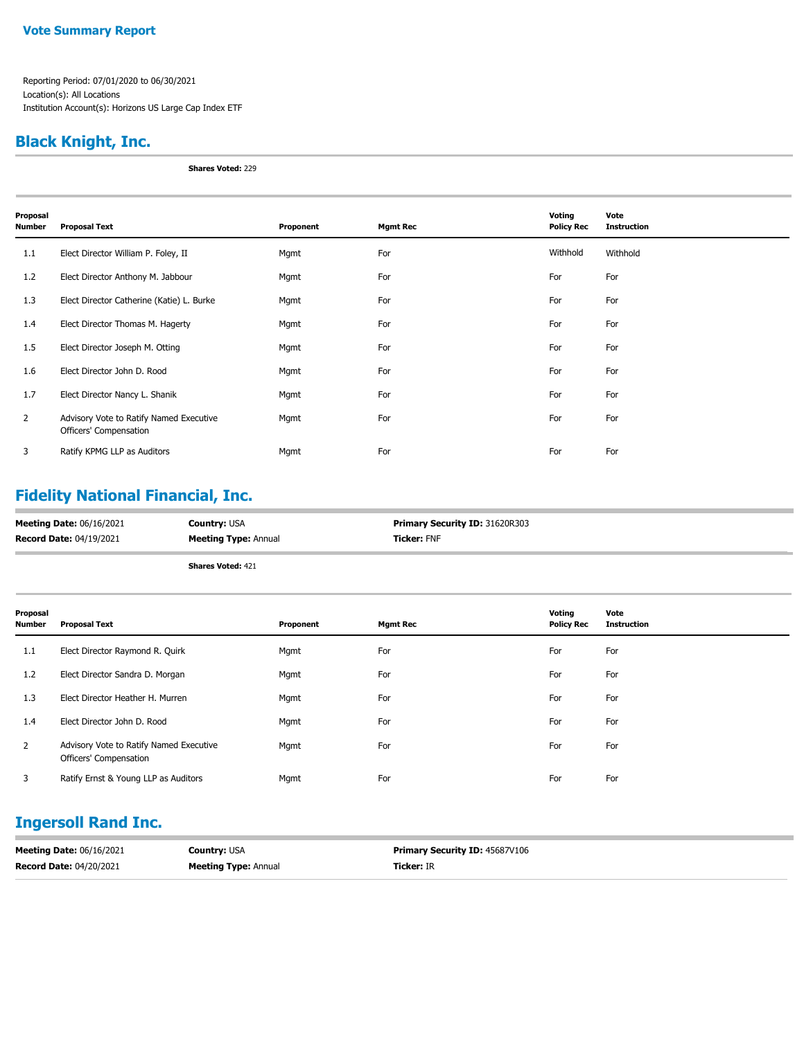Reporting Period: 07/01/2020 to 06/30/2021 Location(s): All Locations Institution Account(s): Horizons US Large Cap Index ETF

### **Black Knight, Inc.**

**Shares Voted:** 229

| Proposal<br>Number | <b>Proposal Text</b>                                              | Proponent | <b>Mgmt Rec</b> | Voting<br><b>Policy Rec</b> | Vote<br><b>Instruction</b> |
|--------------------|-------------------------------------------------------------------|-----------|-----------------|-----------------------------|----------------------------|
| 1.1                | Elect Director William P. Foley, II                               | Mgmt      | For             | Withhold                    | Withhold                   |
| 1.2                | Elect Director Anthony M. Jabbour                                 | Mgmt      | For             | For                         | For                        |
| 1.3                | Elect Director Catherine (Katie) L. Burke                         | Mgmt      | For             | For                         | For                        |
| 1.4                | Elect Director Thomas M. Hagerty                                  | Mgmt      | For             | For                         | For                        |
| 1.5                | Elect Director Joseph M. Otting                                   | Mgmt      | For             | For                         | For                        |
| 1.6                | Elect Director John D. Rood                                       | Mgmt      | For             | For                         | For                        |
| 1.7                | Elect Director Nancy L. Shanik                                    | Mgmt      | For             | For                         | For                        |
| $\mathbf{2}$       | Advisory Vote to Ratify Named Executive<br>Officers' Compensation | Mgmt      | For             | For                         | For                        |
| 3                  | Ratify KPMG LLP as Auditors                                       | Mgmt      | For             | For                         | For                        |

# **Fidelity National Financial, Inc.**

| <b>Meeting Date: 06/16/2021</b> | <b>Country: USA</b>         | <b>Primary Security ID: 31620R303</b> |
|---------------------------------|-----------------------------|---------------------------------------|
| <b>Record Date: 04/19/2021</b>  | <b>Meeting Type: Annual</b> | <b>Ticker: FNF</b>                    |

**Shares Voted:** 421

| Proposal<br>Number | <b>Proposal Text</b>                                              | Proponent | <b>Mgmt Rec</b> | Voting<br><b>Policy Rec</b> | Vote<br><b>Instruction</b> |
|--------------------|-------------------------------------------------------------------|-----------|-----------------|-----------------------------|----------------------------|
| 1.1                | Elect Director Raymond R. Quirk                                   | Mgmt      | For             | For                         | For                        |
| 1.2                | Elect Director Sandra D. Morgan                                   | Mgmt      | For             | For                         | For                        |
| 1.3                | Elect Director Heather H. Murren                                  | Mgmt      | For             | For                         | For                        |
| 1.4                | Elect Director John D. Rood                                       | Mgmt      | For             | For                         | For                        |
| $\overline{2}$     | Advisory Vote to Ratify Named Executive<br>Officers' Compensation | Mgmt      | For             | For                         | For                        |
| 3                  | Ratify Ernst & Young LLP as Auditors                              | Mgmt      | For             | For                         | For                        |

### **Ingersoll Rand Inc.**

| <b>Meeting Date: 06/16/2021</b> | <b>Country: USA</b>         | <b>Primary Security ID: 45687V106</b> |
|---------------------------------|-----------------------------|---------------------------------------|
| <b>Record Date: 04/20/2021</b>  | <b>Meeting Type: Annual</b> | <b>Ticker:</b> IR                     |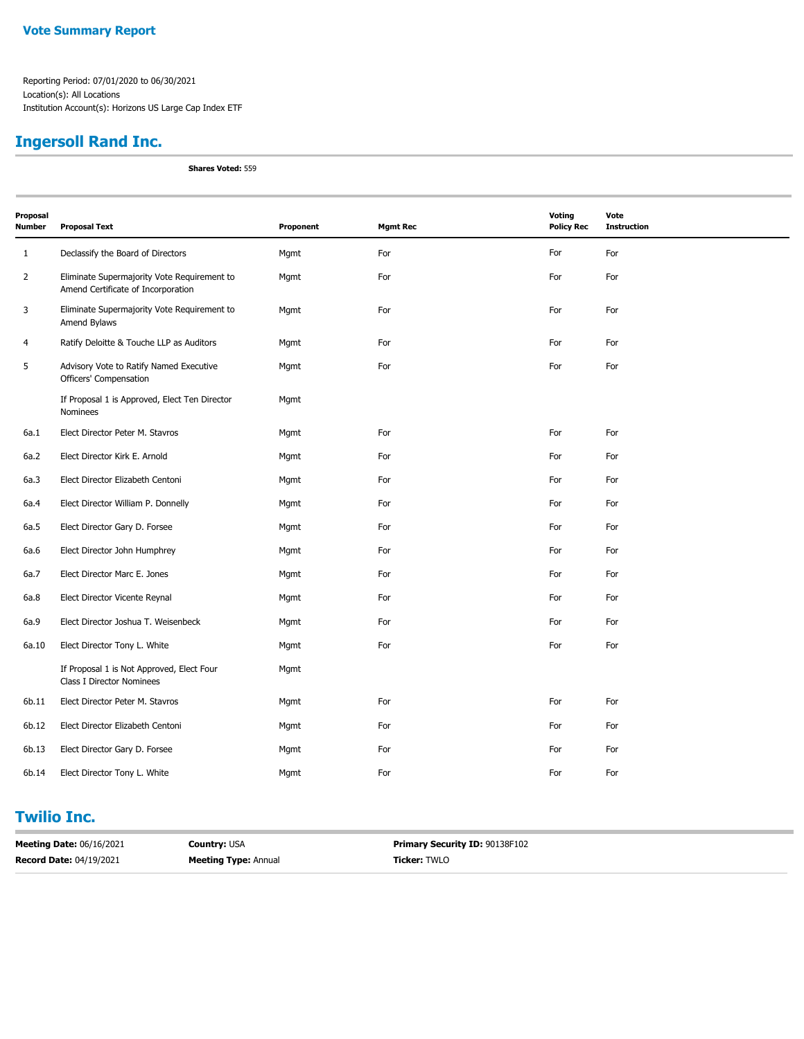# **Ingersoll Rand Inc.**

**Shares Voted:** 559

| Proposal<br><b>Number</b> | <b>Proposal Text</b>                                                              | Proponent | <b>Mgmt Rec</b> | Voting<br><b>Policy Rec</b> | Vote<br><b>Instruction</b> |
|---------------------------|-----------------------------------------------------------------------------------|-----------|-----------------|-----------------------------|----------------------------|
| $\mathbf{1}$              | Declassify the Board of Directors                                                 | Mgmt      | For             | For                         | For                        |
| $\overline{2}$            | Eliminate Supermajority Vote Requirement to<br>Amend Certificate of Incorporation | Mgmt      | For             | For                         | For                        |
| 3                         | Eliminate Supermajority Vote Requirement to<br>Amend Bylaws                       | Mgmt      | For             | For                         | For                        |
| $\overline{4}$            | Ratify Deloitte & Touche LLP as Auditors                                          | Mgmt      | For             | For                         | For                        |
| 5                         | Advisory Vote to Ratify Named Executive<br>Officers' Compensation                 | Mgmt      | For             | For                         | For                        |
|                           | If Proposal 1 is Approved, Elect Ten Director<br>Nominees                         | Mgmt      |                 |                             |                            |
| 6a.1                      | Elect Director Peter M. Stavros                                                   | Mgmt      | For             | For                         | For                        |
| 6a.2                      | Elect Director Kirk E. Arnold                                                     | Mgmt      | For             | For                         | For                        |
| 6a.3                      | Elect Director Elizabeth Centoni                                                  | Mgmt      | For             | For                         | For                        |
| 6a.4                      | Elect Director William P. Donnelly                                                | Mgmt      | For             | For                         | For                        |
| 6a.5                      | Elect Director Gary D. Forsee                                                     | Mgmt      | For             | For                         | For                        |
| 6a.6                      | Elect Director John Humphrey                                                      | Mgmt      | For             | For                         | For                        |
| 6a.7                      | Elect Director Marc E. Jones                                                      | Mgmt      | For             | For                         | For                        |
| 6a.8                      | Elect Director Vicente Reynal                                                     | Mgmt      | For             | For                         | For                        |
| 6a.9                      | Elect Director Joshua T. Weisenbeck                                               | Mgmt      | For             | For                         | For                        |
| 6a.10                     | Elect Director Tony L. White                                                      | Mgmt      | For             | For                         | For                        |
|                           | If Proposal 1 is Not Approved, Elect Four<br>Class I Director Nominees            | Mgmt      |                 |                             |                            |
| 6b.11                     | Elect Director Peter M. Stavros                                                   | Mgmt      | For             | For                         | For                        |
| 6b.12                     | Elect Director Elizabeth Centoni                                                  | Mgmt      | For             | For                         | For                        |
| 6b.13                     | Elect Director Gary D. Forsee                                                     | Mgmt      | For             | For                         | For                        |
| 6b.14                     | Elect Director Tony L. White                                                      | Mgmt      | For             | For                         | For                        |

#### **Twilio Inc.**

| <b>Meeting Date: 06/16/2021</b> | <b>Country: USA</b>         | <b>Primary Security ID: 90138F102</b> |
|---------------------------------|-----------------------------|---------------------------------------|
| <b>Record Date: 04/19/2021</b>  | <b>Meeting Type: Annual</b> | <b>Ticker: TWLO</b>                   |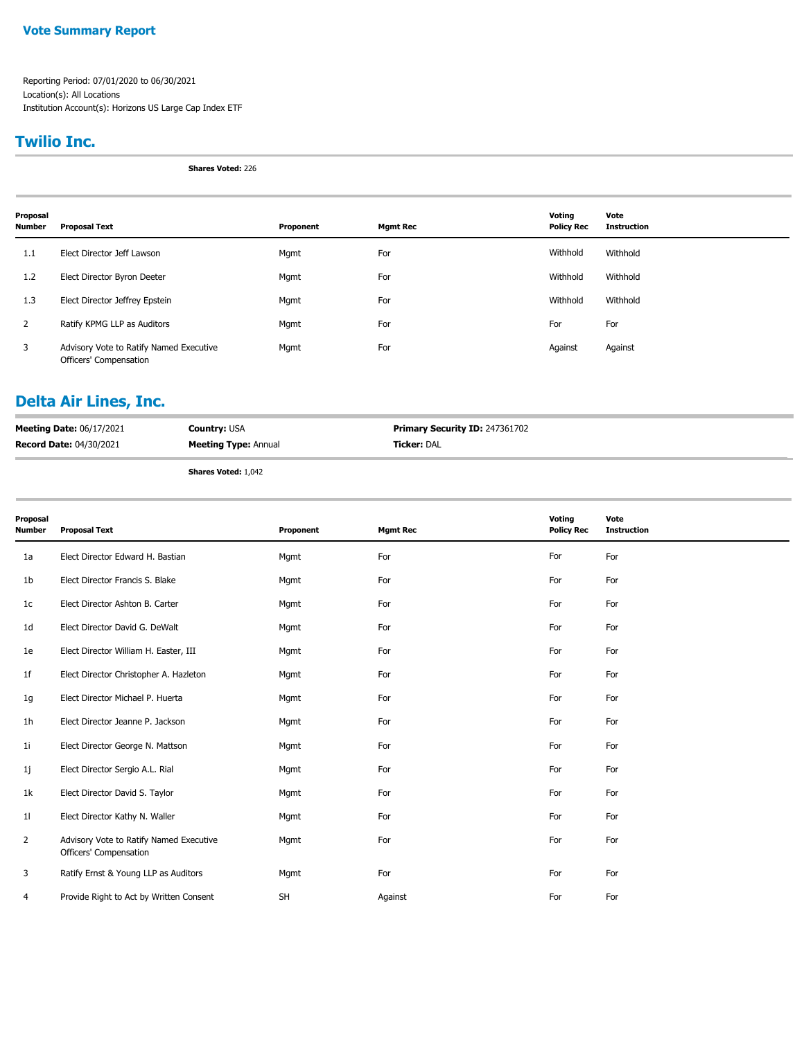Reporting Period: 07/01/2020 to 06/30/2021 Location(s): All Locations Institution Account(s): Horizons US Large Cap Index ETF

#### **Twilio Inc.**

**Shares Voted:** 226

| Proposal<br><b>Number</b> | <b>Proposal Text</b>                                              | Proponent | <b>Mgmt Rec</b> | Voting<br><b>Policy Rec</b> | Vote<br><b>Instruction</b> |
|---------------------------|-------------------------------------------------------------------|-----------|-----------------|-----------------------------|----------------------------|
| 1.1                       | Elect Director Jeff Lawson                                        | Mgmt      | For             | Withhold                    | Withhold                   |
| 1.2                       | Elect Director Byron Deeter                                       | Mgmt      | For             | Withhold                    | Withhold                   |
| 1.3                       | Elect Director Jeffrey Epstein                                    | Mgmt      | For             | Withhold                    | Withhold                   |
| 2                         | Ratify KPMG LLP as Auditors                                       | Mgmt      | For             | For                         | For                        |
| 3                         | Advisory Vote to Ratify Named Executive<br>Officers' Compensation | Mgmt      | For             | Against                     | Against                    |

# **Delta Air Lines, Inc.**

| <b>Meeting Date: 06/17/2021</b> | <b>Country: USA</b>         | <b>Primary Security ID: 247361702</b> |
|---------------------------------|-----------------------------|---------------------------------------|
| <b>Record Date: 04/30/2021</b>  | <b>Meeting Type: Annual</b> | <b>Ticker:</b> DAL                    |
|                                 |                             |                                       |

**Shares Voted:** 1,042

| Proposal<br><b>Number</b> | <b>Proposal Text</b>                                              | Proponent | <b>Mgmt Rec</b> | Voting<br><b>Policy Rec</b> | Vote<br><b>Instruction</b> |
|---------------------------|-------------------------------------------------------------------|-----------|-----------------|-----------------------------|----------------------------|
| 1a                        | Elect Director Edward H. Bastian                                  | Mgmt      | For             | For                         | For                        |
| 1 <sub>b</sub>            | Elect Director Francis S. Blake                                   | Mgmt      | For             | For                         | For                        |
| 1c                        | Elect Director Ashton B. Carter                                   | Mgmt      | For             | For                         | For                        |
| 1 <sub>d</sub>            | Elect Director David G. DeWalt                                    | Mgmt      | For             | For                         | For                        |
| 1e                        | Elect Director William H. Easter, III                             | Mgmt      | For             | For                         | For                        |
| 1f                        | Elect Director Christopher A. Hazleton                            | Mgmt      | For             | For                         | For                        |
| 1g                        | Elect Director Michael P. Huerta                                  | Mgmt      | For             | For                         | For                        |
| 1 <sub>h</sub>            | Elect Director Jeanne P. Jackson                                  | Mgmt      | For             | For                         | For                        |
| 1 <sub>i</sub>            | Elect Director George N. Mattson                                  | Mgmt      | For             | For                         | For                        |
| 1j                        | Elect Director Sergio A.L. Rial                                   | Mgmt      | For             | For                         | For                        |
| 1k                        | Elect Director David S. Taylor                                    | Mgmt      | For             | For                         | For                        |
| 11                        | Elect Director Kathy N. Waller                                    | Mgmt      | For             | For                         | For                        |
| 2                         | Advisory Vote to Ratify Named Executive<br>Officers' Compensation | Mgmt      | For             | For                         | For                        |
| 3                         | Ratify Ernst & Young LLP as Auditors                              | Mgmt      | For             | For                         | For                        |
| 4                         | Provide Right to Act by Written Consent                           | SH        | Against         | For                         | For                        |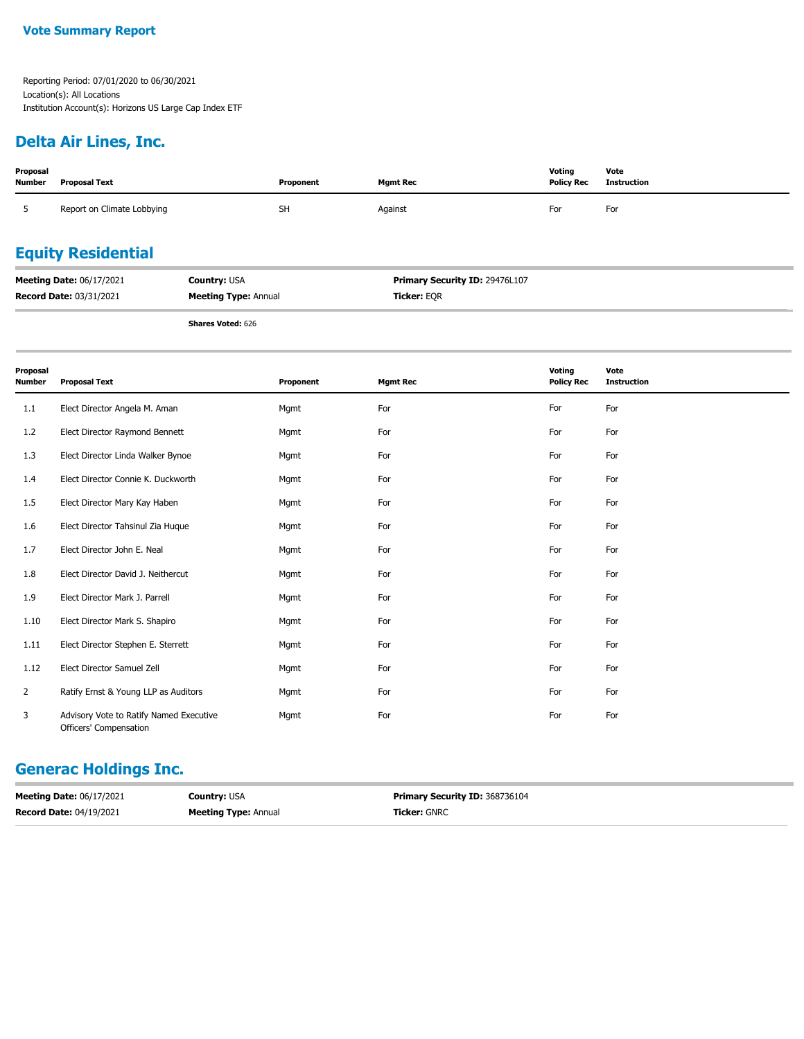Reporting Period: 07/01/2020 to 06/30/2021 Location(s): All Locations Institution Account(s): Horizons US Large Cap Index ETF

# **Delta Air Lines, Inc.**

| Proposal<br><b>Number</b> | <b>Proposal Text</b>       | Proponent | <b>Mgmt Rec</b> | Voting<br><b>Policy Rec</b> | Vote<br>Instruction |
|---------------------------|----------------------------|-----------|-----------------|-----------------------------|---------------------|
|                           | Report on Climate Lobbying | <b>SH</b> | Against         | For                         | For                 |
|                           | <b>Equity Residential</b>  |           |                 |                             |                     |

| <b>Meeting Date: 06/17/2021</b> | <b>Country: USA</b>         | <b>Primary Security ID: 29476L107</b> |
|---------------------------------|-----------------------------|---------------------------------------|
| <b>Record Date: 03/31/2021</b>  | <b>Meeting Type: Annual</b> | <b>Ticker: EOR</b>                    |

**Shares Voted:** 626

| Proposal<br><b>Number</b> | <b>Proposal Text</b>                                              | Proponent | <b>Mgmt Rec</b> | Voting<br><b>Policy Rec</b> | Vote<br><b>Instruction</b> |
|---------------------------|-------------------------------------------------------------------|-----------|-----------------|-----------------------------|----------------------------|
| 1.1                       | Elect Director Angela M. Aman                                     | Mgmt      | For             | For                         | For                        |
| 1.2                       | Elect Director Raymond Bennett                                    | Mgmt      | For             | For                         | For                        |
| 1.3                       | Elect Director Linda Walker Bynoe                                 | Mgmt      | For             | For                         | For                        |
| 1.4                       | Elect Director Connie K. Duckworth                                | Mgmt      | For             | For                         | For                        |
| 1.5                       | Elect Director Mary Kay Haben                                     | Mgmt      | For             | For                         | For                        |
| 1.6                       | Elect Director Tahsinul Zia Huque                                 | Mgmt      | For             | For                         | For                        |
| 1.7                       | Elect Director John E. Neal                                       | Mgmt      | For             | For                         | For                        |
| 1.8                       | Elect Director David J. Neithercut                                | Mgmt      | For             | For                         | For                        |
| 1.9                       | Elect Director Mark J. Parrell                                    | Mgmt      | For             | For                         | For                        |
| 1.10                      | Elect Director Mark S. Shapiro                                    | Mgmt      | For             | For                         | For                        |
| 1.11                      | Elect Director Stephen E. Sterrett                                | Mgmt      | For             | For                         | For                        |
| 1.12                      | Elect Director Samuel Zell                                        | Mgmt      | For             | For                         | For                        |
| $\overline{2}$            | Ratify Ernst & Young LLP as Auditors                              | Mgmt      | For             | For                         | For                        |
| 3                         | Advisory Vote to Ratify Named Executive<br>Officers' Compensation | Mgmt      | For             | For                         | For                        |

# **Generac Holdings Inc.**

| <b>Meeting Date: 06/17/2021</b> | <b>Country: USA</b>         | <b>Primary Security ID: 368736104</b> |
|---------------------------------|-----------------------------|---------------------------------------|
| <b>Record Date: 04/19/2021</b>  | <b>Meeting Type: Annual</b> | <b>Ticker:</b> GNRC                   |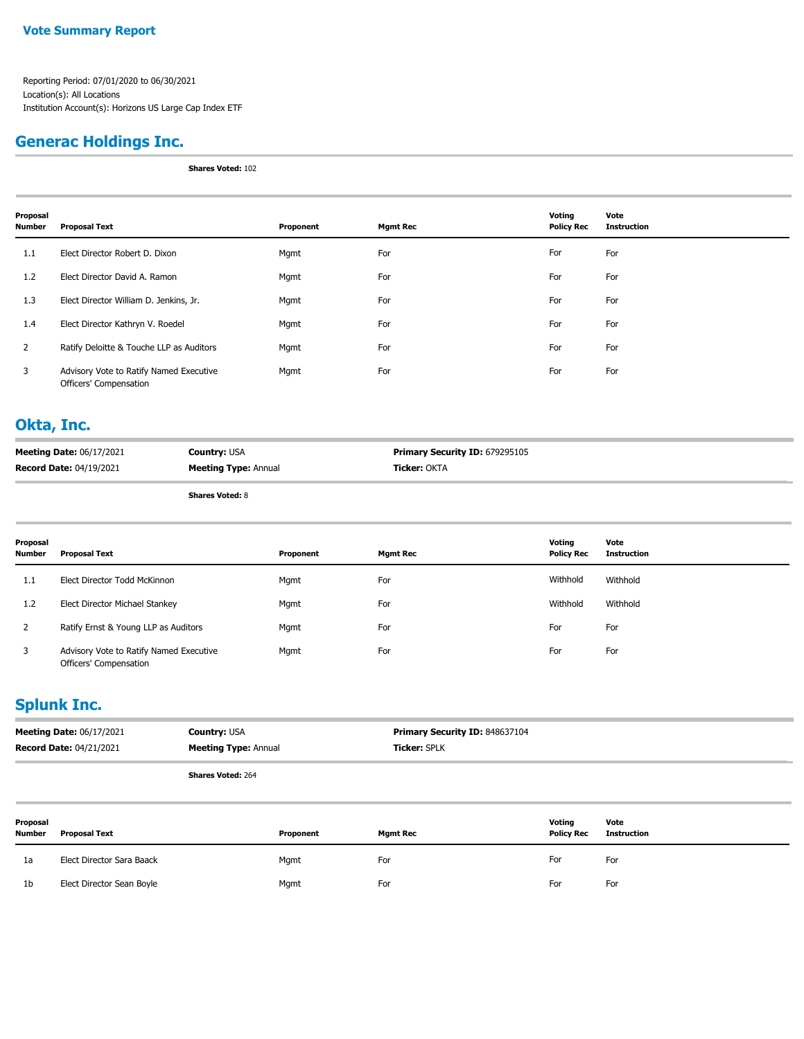Reporting Period: 07/01/2020 to 06/30/2021 Location(s): All Locations Institution Account(s): Horizons US Large Cap Index ETF

### **Generac Holdings Inc.**

**Shares Voted:** 102

| Proposal<br>Number | <b>Proposal Text</b>                                              | Proponent | <b>Mgmt Rec</b> | Voting<br><b>Policy Rec</b> | Vote<br><b>Instruction</b> |
|--------------------|-------------------------------------------------------------------|-----------|-----------------|-----------------------------|----------------------------|
| 1.1                | Elect Director Robert D. Dixon                                    | Mgmt      | For             | For                         | For                        |
| 1.2                | Elect Director David A. Ramon                                     | Mgmt      | For             | For                         | For                        |
| 1.3                | Elect Director William D. Jenkins, Jr.                            | Mgmt      | For             | For                         | For                        |
| 1.4                | Elect Director Kathryn V. Roedel                                  | Mgmt      | For             | For                         | For                        |
| $\overline{2}$     | Ratify Deloitte & Touche LLP as Auditors                          | Mgmt      | For             | For                         | For                        |
| 3                  | Advisory Vote to Ratify Named Executive<br>Officers' Compensation | Mgmt      | For             | For                         | For                        |

#### **Okta, Inc.**

| <b>Meeting Date: 06/17/2021</b> | <b>Country: USA</b>         | <b>Primary Security ID: 679295105</b> |
|---------------------------------|-----------------------------|---------------------------------------|
| <b>Record Date: 04/19/2021</b>  | <b>Meeting Type: Annual</b> | <b>Ticker:</b> OKTA                   |

**Shares Voted:** 8

| Proposal<br><b>Number</b> | Proposal Text                                                     | Proponent | Mgmt Rec | Votina<br><b>Policy Rec</b> | Vote<br>Instruction |
|---------------------------|-------------------------------------------------------------------|-----------|----------|-----------------------------|---------------------|
| 1.1                       | Elect Director Todd McKinnon                                      | Mgmt      | For      | Withhold                    | Withhold            |
| 1.2                       | Elect Director Michael Stankey                                    | Mgmt      | For      | Withhold                    | Withhold            |
|                           | Ratify Ernst & Young LLP as Auditors                              | Mgmt      | For      | For                         | For                 |
|                           | Advisory Vote to Ratify Named Executive<br>Officers' Compensation | Mgmt      | For      | For                         | For                 |

# **Splunk Inc.**

| <b>Meeting Date: 06/17/2021</b> | <b>Country: USA</b>         | <b>Primary Security ID: 848637104</b> |
|---------------------------------|-----------------------------|---------------------------------------|
| <b>Record Date: 04/21/2021</b>  | <b>Meeting Type: Annual</b> | <b>Ticker: SPLK</b>                   |
|                                 | <b>Shares Voted: 264</b>    |                                       |

| Proposal<br><b>Number</b> | <b>Proposal Text</b>      | Proponent | <b>Mgmt Rec</b> | Voting<br><b>Policy Rec</b> | Vote<br>Instruction |
|---------------------------|---------------------------|-----------|-----------------|-----------------------------|---------------------|
| 1a                        | Elect Director Sara Baack | Mgmt      | For             | For                         | For                 |
| 1b                        | Elect Director Sean Boyle | Mgmt      | For             | For                         | For                 |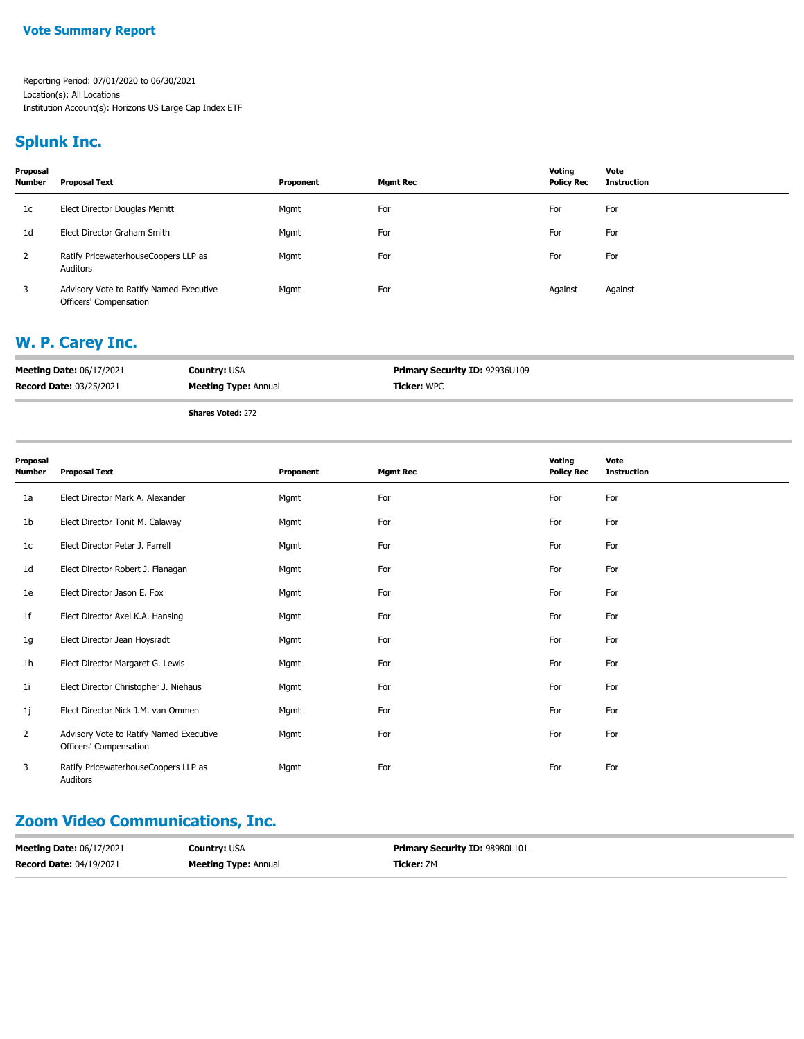### **Splunk Inc.**

| Proposal<br><b>Number</b> | <b>Proposal Text</b>                                              | Proponent | <b>Mgmt Rec</b> | Voting<br><b>Policy Rec</b> | Vote<br><b>Instruction</b> |
|---------------------------|-------------------------------------------------------------------|-----------|-----------------|-----------------------------|----------------------------|
| 1c                        | Elect Director Douglas Merritt                                    | Mgmt      | For             | For                         | For                        |
| 1 <sub>d</sub>            | Elect Director Graham Smith                                       | Mgmt      | For             | For                         | For                        |
| 2                         | Ratify PricewaterhouseCoopers LLP as<br>Auditors                  | Mgmt      | For             | For                         | For                        |
| 3                         | Advisory Vote to Ratify Named Executive<br>Officers' Compensation | Mgmt      | For             | Against                     | Against                    |

# **W. P. Carey Inc.**

| <b>Meeting Date: 06/17/2021</b> | <b>Country: USA</b>         | <b>Primary Security ID: 92936U109</b> |
|---------------------------------|-----------------------------|---------------------------------------|
| <b>Record Date: 03/25/2021</b>  | <b>Meeting Type: Annual</b> | <b>Ticker:</b> WPC                    |
|                                 |                             |                                       |

**Shares Voted:** 272

| Proposal<br><b>Number</b> | <b>Proposal Text</b>                                              | Proponent | <b>Mgmt Rec</b> | Voting<br><b>Policy Rec</b> | Vote<br><b>Instruction</b> |
|---------------------------|-------------------------------------------------------------------|-----------|-----------------|-----------------------------|----------------------------|
| 1a                        | Elect Director Mark A. Alexander                                  | Mgmt      | For             | For                         | For                        |
| 1b                        | Elect Director Tonit M. Calaway                                   | Mgmt      | For             | For                         | For                        |
| 1c                        | Elect Director Peter J. Farrell                                   | Mgmt      | For             | For                         | For                        |
| 1d                        | Elect Director Robert J. Flanagan                                 | Mgmt      | For             | For                         | For                        |
| 1e                        | Elect Director Jason E. Fox                                       | Mgmt      | For             | For                         | For                        |
| 1f                        | Elect Director Axel K.A. Hansing                                  | Mgmt      | For             | For                         | For                        |
| 1g                        | Elect Director Jean Hoysradt                                      | Mgmt      | For             | For                         | For                        |
| 1 <sub>h</sub>            | Elect Director Margaret G. Lewis                                  | Mgmt      | For             | For                         | For                        |
| 1 <sub>i</sub>            | Elect Director Christopher J. Niehaus                             | Mgmt      | For             | For                         | For                        |
| 1j                        | Elect Director Nick J.M. van Ommen                                | Mgmt      | For             | For                         | For                        |
| 2                         | Advisory Vote to Ratify Named Executive<br>Officers' Compensation | Mgmt      | For             | For                         | For                        |
| 3                         | Ratify PricewaterhouseCoopers LLP as<br>Auditors                  | Mgmt      | For             | For                         | For                        |

# **Zoom Video Communications, Inc.**

| <b>Meeting Date: 06/17/2021</b> | <b>Country:</b> USA         | <b>Primary Security ID: 98980L101</b> |
|---------------------------------|-----------------------------|---------------------------------------|
| <b>Record Date: 04/19/2021</b>  | <b>Meeting Type: Annual</b> | <b>Ticker:</b> ZM                     |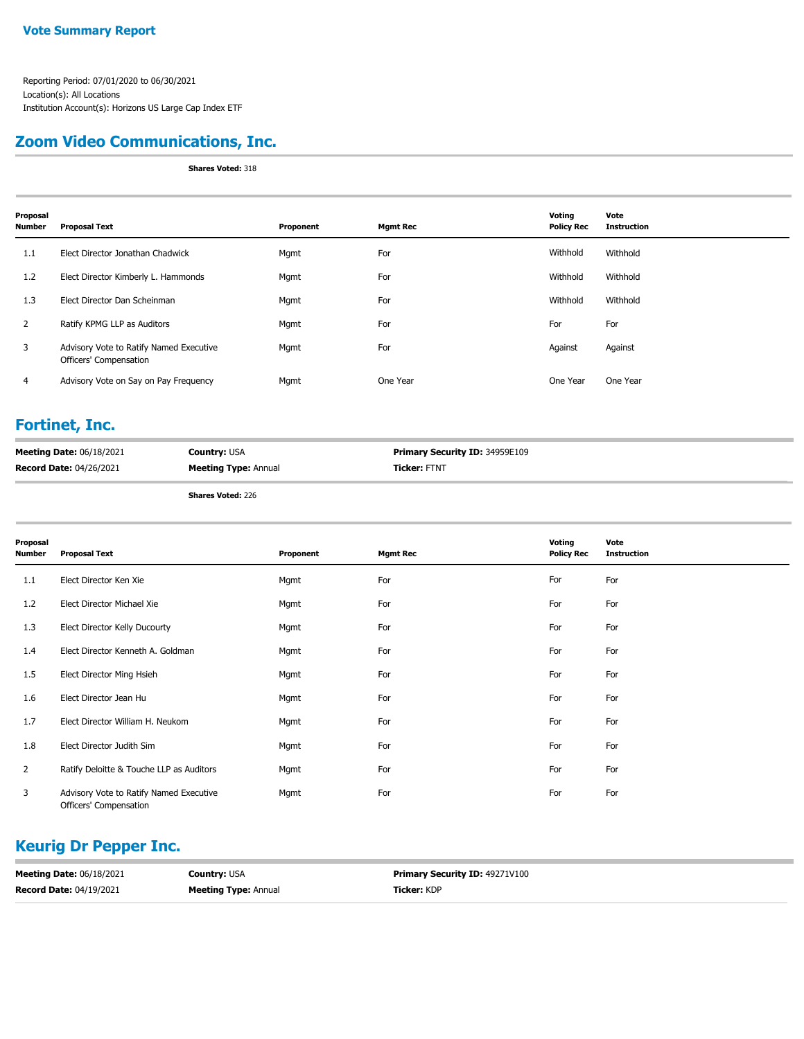### **Zoom Video Communications, Inc.**

**Shares Voted:** 318

| Proposal<br>Number | <b>Proposal Text</b>                                              | Proponent | Mgmt Rec | Voting<br><b>Policy Rec</b> | Vote<br><b>Instruction</b> |
|--------------------|-------------------------------------------------------------------|-----------|----------|-----------------------------|----------------------------|
| 1.1                | Elect Director Jonathan Chadwick                                  | Mgmt      | For      | Withhold                    | Withhold                   |
| 1.2                | Elect Director Kimberly L. Hammonds                               | Mgmt      | For      | Withhold                    | Withhold                   |
| 1.3                | Elect Director Dan Scheinman                                      | Mgmt      | For      | Withhold                    | Withhold                   |
| 2                  | Ratify KPMG LLP as Auditors                                       | Mgmt      | For      | For                         | For                        |
| 3                  | Advisory Vote to Ratify Named Executive<br>Officers' Compensation | Mgmt      | For      | Against                     | Against                    |
| 4                  | Advisory Vote on Say on Pay Frequency                             | Mgmt      | One Year | One Year                    | One Year                   |

#### **Fortinet, Inc.**

| <b>Meeting Date: 06/18/2021</b> | <b>Country: USA</b>         | <b>Primary Security ID: 34959E109</b> |
|---------------------------------|-----------------------------|---------------------------------------|
| <b>Record Date: 04/26/2021</b>  | <b>Meeting Type: Annual</b> | <b>Ticker: FTNT</b>                   |

**Shares Voted:** 226

| Proposal<br><b>Number</b> | <b>Proposal Text</b>                                              | Proponent | <b>Mgmt Rec</b> | Voting<br><b>Policy Rec</b> | Vote<br><b>Instruction</b> |
|---------------------------|-------------------------------------------------------------------|-----------|-----------------|-----------------------------|----------------------------|
| 1.1                       | Elect Director Ken Xie                                            | Mgmt      | For             | For                         | For                        |
| 1.2                       | Elect Director Michael Xie                                        | Mgmt      | For             | For                         | For                        |
| 1.3                       | Elect Director Kelly Ducourty                                     | Mgmt      | For             | For                         | For                        |
| 1.4                       | Elect Director Kenneth A. Goldman                                 | Mgmt      | For             | For                         | For                        |
| 1.5                       | Elect Director Ming Hsieh                                         | Mgmt      | For             | For                         | For                        |
| 1.6                       | Elect Director Jean Hu                                            | Mgmt      | For             | For                         | For                        |
| 1.7                       | Elect Director William H. Neukom                                  | Mgmt      | For             | For                         | For                        |
| 1.8                       | Elect Director Judith Sim                                         | Mgmt      | For             | For                         | For                        |
| $\overline{2}$            | Ratify Deloitte & Touche LLP as Auditors                          | Mgmt      | For             | For                         | For                        |
| 3                         | Advisory Vote to Ratify Named Executive<br>Officers' Compensation | Mgmt      | For             | For                         | For                        |

# **Keurig Dr Pepper Inc.**

| <b>Meeting Date: 06/18/2021</b> | <b>Country:</b> USA         | <b>Primary Security ID: 49271V100</b> |
|---------------------------------|-----------------------------|---------------------------------------|
| <b>Record Date: 04/19/2021</b>  | <b>Meeting Type: Annual</b> | <b>Ticker:</b> KDP                    |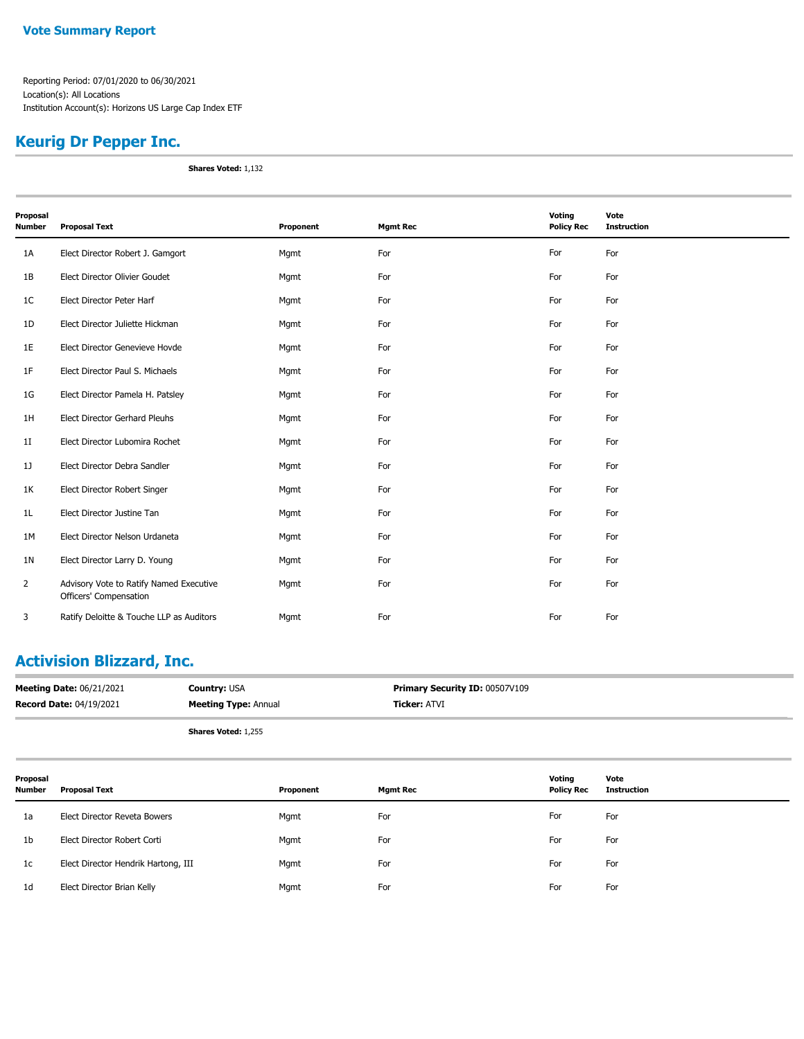### **Keurig Dr Pepper Inc.**

**Shares Voted:** 1,132

| Proposal<br><b>Number</b> | <b>Proposal Text</b>                                              | Proponent | <b>Mgmt Rec</b> | Voting<br><b>Policy Rec</b> | Vote<br><b>Instruction</b> |
|---------------------------|-------------------------------------------------------------------|-----------|-----------------|-----------------------------|----------------------------|
|                           |                                                                   |           |                 |                             |                            |
| 1A                        | Elect Director Robert J. Gamgort                                  | Mgmt      | For             | For                         | For                        |
| 1B                        | Elect Director Olivier Goudet                                     | Mgmt      | For             | For                         | For                        |
| 1 <sup>C</sup>            | Elect Director Peter Harf                                         | Mgmt      | For             | For                         | For                        |
| 1D                        | Elect Director Juliette Hickman                                   | Mgmt      | For             | For                         | For                        |
| 1E                        | Elect Director Genevieve Hovde                                    | Mgmt      | For             | For                         | For                        |
| 1F                        | Elect Director Paul S. Michaels                                   | Mgmt      | For             | For                         | For                        |
| 1G                        | Elect Director Pamela H. Patsley                                  | Mgmt      | For             | For                         | For                        |
| 1H                        | Elect Director Gerhard Pleuhs                                     | Mgmt      | For             | For                         | For                        |
| 1I                        | Elect Director Lubomira Rochet                                    | Mgmt      | For             | For                         | For                        |
| 1]                        | Elect Director Debra Sandler                                      | Mgmt      | For             | For                         | For                        |
| 1K                        | Elect Director Robert Singer                                      | Mgmt      | For             | For                         | For                        |
| 1L                        | Elect Director Justine Tan                                        | Mgmt      | For             | For                         | For                        |
| 1M                        | Elect Director Nelson Urdaneta                                    | Mgmt      | For             | For                         | For                        |
| 1 <sub>N</sub>            | Elect Director Larry D. Young                                     | Mgmt      | For             | For                         | For                        |
| $\overline{2}$            | Advisory Vote to Ratify Named Executive<br>Officers' Compensation | Mgmt      | For             | For                         | For                        |
| 3                         | Ratify Deloitte & Touche LLP as Auditors                          | Mgmt      | For             | For                         | For                        |

# **Activision Blizzard, Inc.**

| <b>Meeting Date: 06/21/2021</b> | <b>Country: USA</b>         | Primary Security ID: 00507V109 |
|---------------------------------|-----------------------------|--------------------------------|
| <b>Record Date: 04/19/2021</b>  | <b>Meeting Type: Annual</b> | <b>Ticker: ATVI</b>            |
|                                 | <b>Shares Voted: 1,255</b>  |                                |

| Proposal<br>Number | <b>Proposal Text</b>                | Proponent | <b>Mgmt Rec</b> | Voting<br><b>Policy Rec</b> | Vote<br>Instruction |
|--------------------|-------------------------------------|-----------|-----------------|-----------------------------|---------------------|
| 1a                 | Elect Director Reveta Bowers        | Mgmt      | For             | For                         | For                 |
| 1 <sub>b</sub>     | Elect Director Robert Corti         | Mgmt      | For             | For                         | For                 |
| 1c                 | Elect Director Hendrik Hartong, III | Mgmt      | For             | For                         | For                 |
| 1 <sub>d</sub>     | Elect Director Brian Kelly          | Mgmt      | For             | For                         | For                 |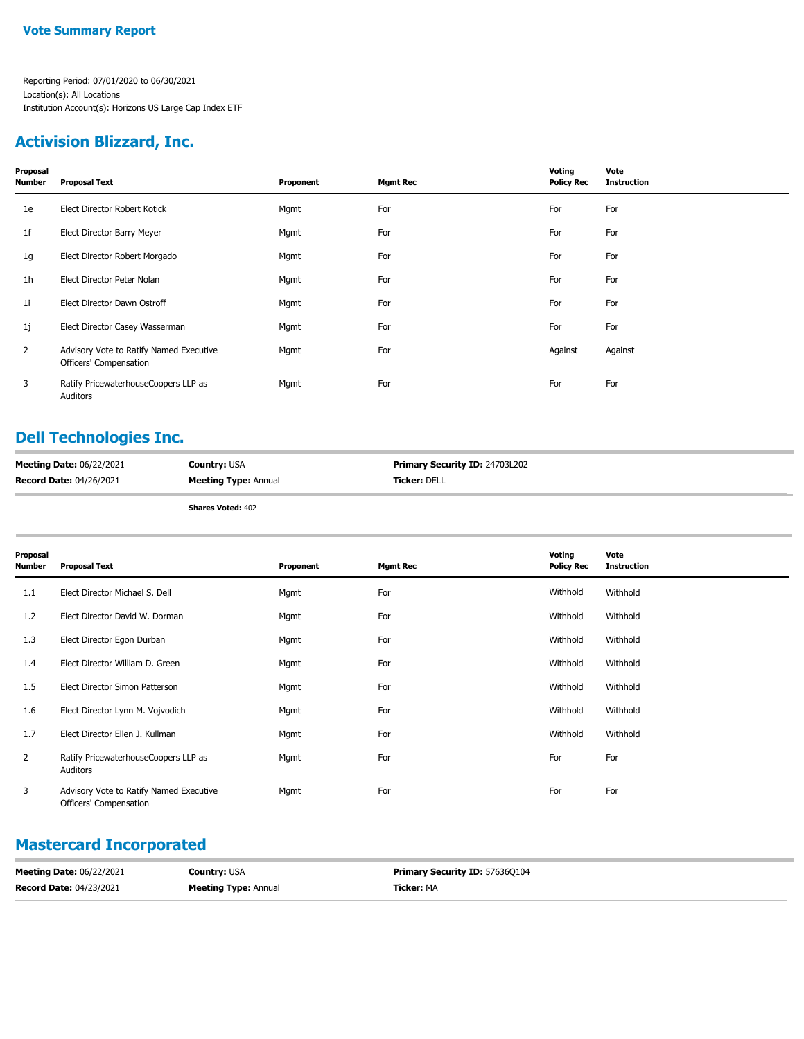### **Activision Blizzard, Inc.**

| Proposal<br>Number | <b>Proposal Text</b>                                              | Proponent | <b>Mgmt Rec</b> | Voting<br><b>Policy Rec</b> | Vote<br><b>Instruction</b> |
|--------------------|-------------------------------------------------------------------|-----------|-----------------|-----------------------------|----------------------------|
| 1e                 | Elect Director Robert Kotick                                      | Mgmt      | For             | For                         | For                        |
| 1f                 | Elect Director Barry Meyer                                        | Mgmt      | For             | For                         | For                        |
| 1g                 | Elect Director Robert Morgado                                     | Mgmt      | For             | For                         | For                        |
| 1h                 | Elect Director Peter Nolan                                        | Mgmt      | For             | For                         | For                        |
| 11                 | Elect Director Dawn Ostroff                                       | Mgmt      | For             | For                         | For                        |
| 1j                 | Elect Director Casey Wasserman                                    | Mgmt      | For             | For                         | For                        |
| $\overline{2}$     | Advisory Vote to Ratify Named Executive<br>Officers' Compensation | Mgmt      | For             | Against                     | Against                    |
| 3                  | Ratify PricewaterhouseCoopers LLP as<br>Auditors                  | Mgmt      | For             | For                         | For                        |

# **Dell Technologies Inc.**

| <b>Meeting Date: 06/22/2021</b> | <b>Country: USA</b>         | <b>Primary Security ID: 24703L202</b> |
|---------------------------------|-----------------------------|---------------------------------------|
| <b>Record Date: 04/26/2021</b>  | <b>Meeting Type: Annual</b> | <b>Ticker: DELL</b>                   |
|                                 | <b>Shares Voted: 402</b>    |                                       |

| Proposal<br><b>Number</b> | <b>Proposal Text</b>                                              | Proponent | <b>Mgmt Rec</b> | Voting<br><b>Policy Rec</b> | Vote<br><b>Instruction</b> |
|---------------------------|-------------------------------------------------------------------|-----------|-----------------|-----------------------------|----------------------------|
| 1.1                       | Elect Director Michael S. Dell                                    | Mgmt      | For             | Withhold                    | Withhold                   |
| 1.2                       | Elect Director David W. Dorman                                    | Mgmt      | For             | Withhold                    | Withhold                   |
| 1.3                       | Elect Director Egon Durban                                        | Mgmt      | For             | Withhold                    | Withhold                   |
| 1.4                       | Elect Director William D. Green                                   | Mgmt      | For             | Withhold                    | Withhold                   |
| 1.5                       | Elect Director Simon Patterson                                    | Mgmt      | For             | Withhold                    | Withhold                   |
| 1.6                       | Elect Director Lynn M. Vojvodich                                  | Mgmt      | For             | Withhold                    | Withhold                   |
| 1.7                       | Elect Director Ellen J. Kullman                                   | Mgmt      | For             | Withhold                    | Withhold                   |
| 2                         | Ratify PricewaterhouseCoopers LLP as<br>Auditors                  | Mgmt      | For             | For                         | For                        |
| 3                         | Advisory Vote to Ratify Named Executive<br>Officers' Compensation | Mgmt      | For             | For                         | For                        |

### **Mastercard Incorporated**

| <b>Meeting Date: 06/22/2021</b> | <b>Country: USA</b>         | <b>Primary Security ID: 576360104</b> |
|---------------------------------|-----------------------------|---------------------------------------|
| <b>Record Date: 04/23/2021</b>  | <b>Meeting Type: Annual</b> | <b>Ticker: MA</b>                     |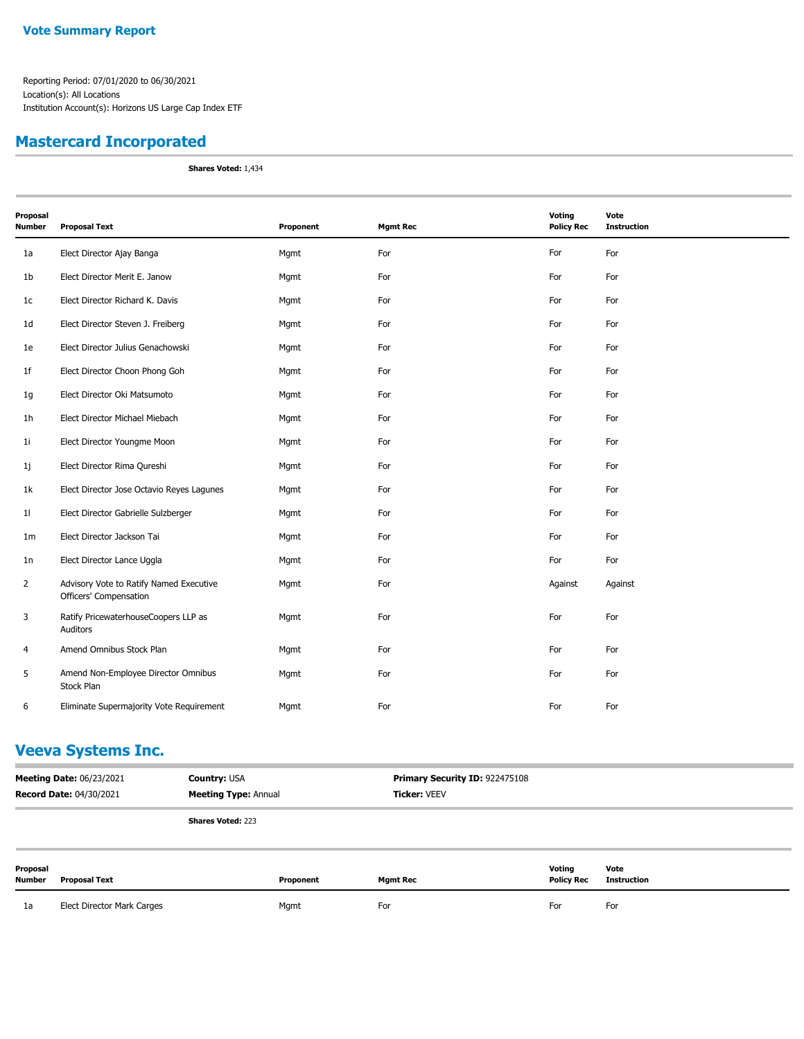### **Mastercard Incorporated**

**Shares Voted:** 1,434

| Proposal<br><b>Number</b> | <b>Proposal Text</b>                                              | Proponent | <b>Mgmt Rec</b> | Voting<br><b>Policy Rec</b> | Vote<br><b>Instruction</b> |
|---------------------------|-------------------------------------------------------------------|-----------|-----------------|-----------------------------|----------------------------|
|                           |                                                                   |           |                 |                             |                            |
| 1a                        | Elect Director Ajay Banga                                         | Mgmt      | For             | For                         | For                        |
| 1 <sub>b</sub>            | Elect Director Merit E. Janow                                     | Mgmt      | For             | For                         | For                        |
| 1c                        | Elect Director Richard K. Davis                                   | Mgmt      | For             | For                         | For                        |
| 1 <sub>d</sub>            | Elect Director Steven J. Freiberg                                 | Mgmt      | For             | For                         | For                        |
| 1e                        | Elect Director Julius Genachowski                                 | Mgmt      | For             | For                         | For                        |
| 1 <sup>f</sup>            | Elect Director Choon Phong Goh                                    | Mgmt      | For             | For                         | For                        |
| 1g                        | Elect Director Oki Matsumoto                                      | Mgmt      | For             | For                         | For                        |
| 1 <sub>h</sub>            | Elect Director Michael Miebach                                    | Mgmt      | For             | For                         | For                        |
| 1 <sub>i</sub>            | Elect Director Youngme Moon                                       | Mgmt      | For             | For                         | For                        |
| 1j                        | Elect Director Rima Qureshi                                       | Mgmt      | For             | For                         | For                        |
| 1k                        | Elect Director Jose Octavio Reyes Lagunes                         | Mgmt      | For             | For                         | For                        |
| 11                        | Elect Director Gabrielle Sulzberger                               | Mgmt      | For             | For                         | For                        |
| 1 <sub>m</sub>            | Elect Director Jackson Tai                                        | Mgmt      | For             | For                         | For                        |
| 1n                        | Elect Director Lance Uggla                                        | Mgmt      | For             | For                         | For                        |
| $\overline{2}$            | Advisory Vote to Ratify Named Executive<br>Officers' Compensation | Mgmt      | For             | Against                     | Against                    |
| 3                         | Ratify PricewaterhouseCoopers LLP as<br>Auditors                  | Mgmt      | For             | For                         | For                        |
| 4                         | Amend Omnibus Stock Plan                                          | Mgmt      | For             | For                         | For                        |
| 5                         | Amend Non-Employee Director Omnibus<br>Stock Plan                 | Mgmt      | For             | For                         | For                        |
| 6                         | Eliminate Supermajority Vote Requirement                          | Mgmt      | For             | For                         | For                        |

### **Veeva Systems Inc.**

| <b>Meeting Date: 06/23/2021</b><br><b>Record Date: 04/30/2021</b> |                            | <b>Country: USA</b><br><b>Meeting Type: Annual</b> |           | Primary Security ID: 922475108<br><b>Ticker: VEEV</b> |                             |                     |
|-------------------------------------------------------------------|----------------------------|----------------------------------------------------|-----------|-------------------------------------------------------|-----------------------------|---------------------|
|                                                                   |                            | <b>Shares Voted: 223</b>                           |           |                                                       |                             |                     |
| Proposal<br>Number                                                | <b>Proposal Text</b>       |                                                    | Proponent | <b>Mgmt Rec</b>                                       | Voting<br><b>Policy Rec</b> | Vote<br>Instruction |
| 1a                                                                | Elect Director Mark Carges |                                                    | Mgmt      | For                                                   | For                         | For                 |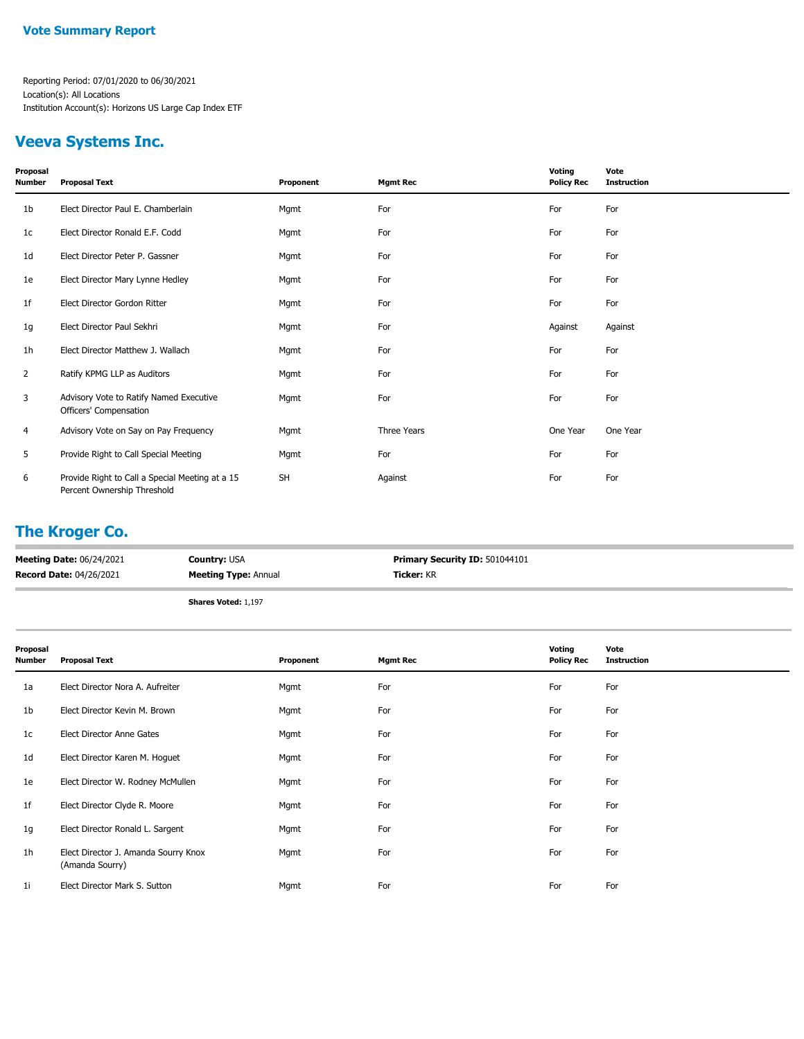### **Veeva Systems Inc.**

| Proposal<br><b>Number</b> | <b>Proposal Text</b>                                                           | Proponent | <b>Mgmt Rec</b> | Voting<br><b>Policy Rec</b> | Vote<br><b>Instruction</b> |
|---------------------------|--------------------------------------------------------------------------------|-----------|-----------------|-----------------------------|----------------------------|
| 1 <sub>b</sub>            | Elect Director Paul E. Chamberlain                                             | Mgmt      | For             | For                         | For                        |
| 1 <sub>c</sub>            | Elect Director Ronald E.F. Codd                                                | Mgmt      | For             | For                         | For                        |
| 1 <sub>d</sub>            | Elect Director Peter P. Gassner                                                | Mgmt      | For             | For                         | For                        |
| 1e                        | Elect Director Mary Lynne Hedley                                               | Mgmt      | For             | For                         | For                        |
| 1f                        | Elect Director Gordon Ritter                                                   | Mgmt      | For             | For                         | For                        |
| 1g                        | Elect Director Paul Sekhri                                                     | Mgmt      | For             | Against                     | Against                    |
| 1 <sub>h</sub>            | Elect Director Matthew J. Wallach                                              | Mgmt      | For             | For                         | For                        |
| $\overline{2}$            | Ratify KPMG LLP as Auditors                                                    | Mgmt      | For             | For                         | For                        |
| 3                         | Advisory Vote to Ratify Named Executive<br>Officers' Compensation              | Mgmt      | For             | For                         | For                        |
| $\overline{4}$            | Advisory Vote on Say on Pay Frequency                                          | Mgmt      | Three Years     | One Year                    | One Year                   |
| 5                         | Provide Right to Call Special Meeting                                          | Mgmt      | For             | For                         | For                        |
| 6                         | Provide Right to Call a Special Meeting at a 15<br>Percent Ownership Threshold | <b>SH</b> | Against         | For                         | For                        |

### **The Kroger Co.**

| <b>Meeting Date: 06/24/2021</b> | <b>Country: USA</b>         | <b>Primary Security ID: 501044101</b> |
|---------------------------------|-----------------------------|---------------------------------------|
| <b>Record Date: 04/26/2021</b>  | <b>Meeting Type: Annual</b> | <b>Ticker:</b> KR                     |
|                                 | <b>Shares Voted: 1,197</b>  |                                       |

| Proposal<br>Number | <b>Proposal Text</b>                                    | Proponent | <b>Mgmt Rec</b> | Voting<br><b>Policy Rec</b> | Vote<br><b>Instruction</b> |
|--------------------|---------------------------------------------------------|-----------|-----------------|-----------------------------|----------------------------|
| 1a                 | Elect Director Nora A. Aufreiter                        | Mgmt      | For             | For                         | For                        |
| 1b                 | Elect Director Kevin M. Brown                           | Mgmt      | For             | For                         | For                        |
| 1c                 | Elect Director Anne Gates                               | Mgmt      | For             | For                         | For                        |
| 1d                 | Elect Director Karen M. Hoguet                          | Mgmt      | For             | For                         | For                        |
| 1e                 | Elect Director W. Rodney McMullen                       | Mgmt      | For             | For                         | For                        |
| 1f                 | Elect Director Clyde R. Moore                           | Mgmt      | For             | For                         | For                        |
| 1g                 | Elect Director Ronald L. Sargent                        | Mgmt      | For             | For                         | For                        |
| 1h                 | Elect Director J. Amanda Sourry Knox<br>(Amanda Sourry) | Mgmt      | For             | For                         | For                        |
| 1i                 | Elect Director Mark S. Sutton                           | Mgmt      | For             | For                         | For                        |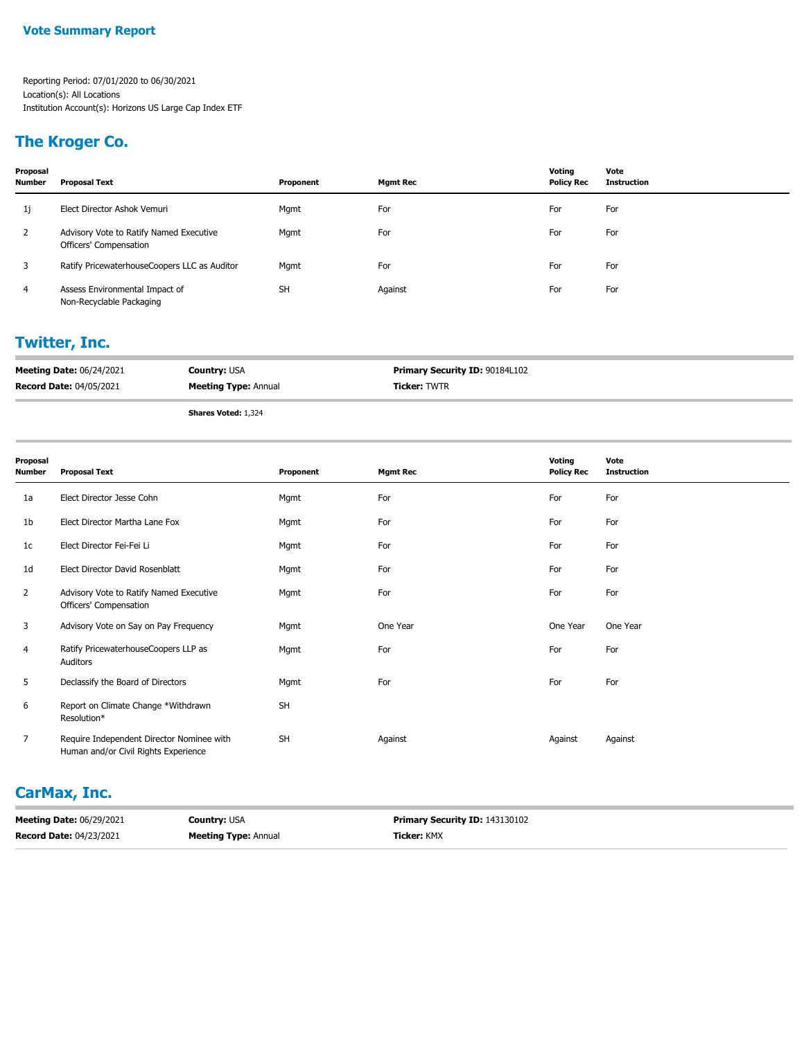### **The Kroger Co.**

| Proposal<br><b>Number</b> | <b>Proposal Text</b>                                              | Proponent | <b>Mgmt Rec</b> | Voting<br><b>Policy Rec</b> | Vote<br><b>Instruction</b> |
|---------------------------|-------------------------------------------------------------------|-----------|-----------------|-----------------------------|----------------------------|
| 1j                        | Elect Director Ashok Vemuri                                       | Mgmt      | For             | For                         | For                        |
| 2                         | Advisory Vote to Ratify Named Executive<br>Officers' Compensation | Mgmt      | For             | For                         | For                        |
| 3                         | Ratify PricewaterhouseCoopers LLC as Auditor                      | Mgmt      | For             | For                         | For                        |
| 4                         | Assess Environmental Impact of<br>Non-Recyclable Packaging        | <b>SH</b> | Against         | For                         | For                        |

# **Twitter, Inc.**

| <b>Meeting Date: 06/24/2021</b> | <b>Country: USA</b>         | <b>Primary Security ID: 90184L102</b> |
|---------------------------------|-----------------------------|---------------------------------------|
| <b>Record Date: 04/05/2021</b>  | <b>Meeting Type: Annual</b> | <b>Ticker: TWTR</b>                   |
|                                 |                             |                                       |

**Shares Voted:** 1,324

| Proposal       |                                                                                   |           |                 | Voting            | Vote               |
|----------------|-----------------------------------------------------------------------------------|-----------|-----------------|-------------------|--------------------|
| Number         | <b>Proposal Text</b>                                                              | Proponent | <b>Mgmt Rec</b> | <b>Policy Rec</b> | <b>Instruction</b> |
| 1a             | Elect Director Jesse Cohn                                                         | Mgmt      | For             | For               | For                |
| 1b             | Elect Director Martha Lane Fox                                                    | Mgmt      | For             | For               | For                |
| 1c             | Elect Director Fei-Fei Li                                                         | Mgmt      | For             | For               | For                |
| 1d             | Elect Director David Rosenblatt                                                   | Mgmt      | For             | For               | For                |
| $\overline{2}$ | Advisory Vote to Ratify Named Executive<br>Officers' Compensation                 | Mgmt      | For             | For               | For                |
| 3              | Advisory Vote on Say on Pay Frequency                                             | Mgmt      | One Year        | One Year          | One Year           |
| 4              | Ratify PricewaterhouseCoopers LLP as<br>Auditors                                  | Mgmt      | For             | For               | For                |
| 5              | Declassify the Board of Directors                                                 | Mgmt      | For             | For               | For                |
| 6              | Report on Climate Change *Withdrawn<br>Resolution*                                | <b>SH</b> |                 |                   |                    |
| $\overline{7}$ | Require Independent Director Nominee with<br>Human and/or Civil Rights Experience | SH        | Against         | Against           | Against            |

### **CarMax, Inc.**

| <b>Meeting Date: 06/29/2021</b> | <b>Country: USA</b>         | <b>Primary Security ID: 143130102</b> |
|---------------------------------|-----------------------------|---------------------------------------|
| <b>Record Date: 04/23/2021</b>  | <b>Meeting Type: Annual</b> | <b>Ticker:</b> KMX                    |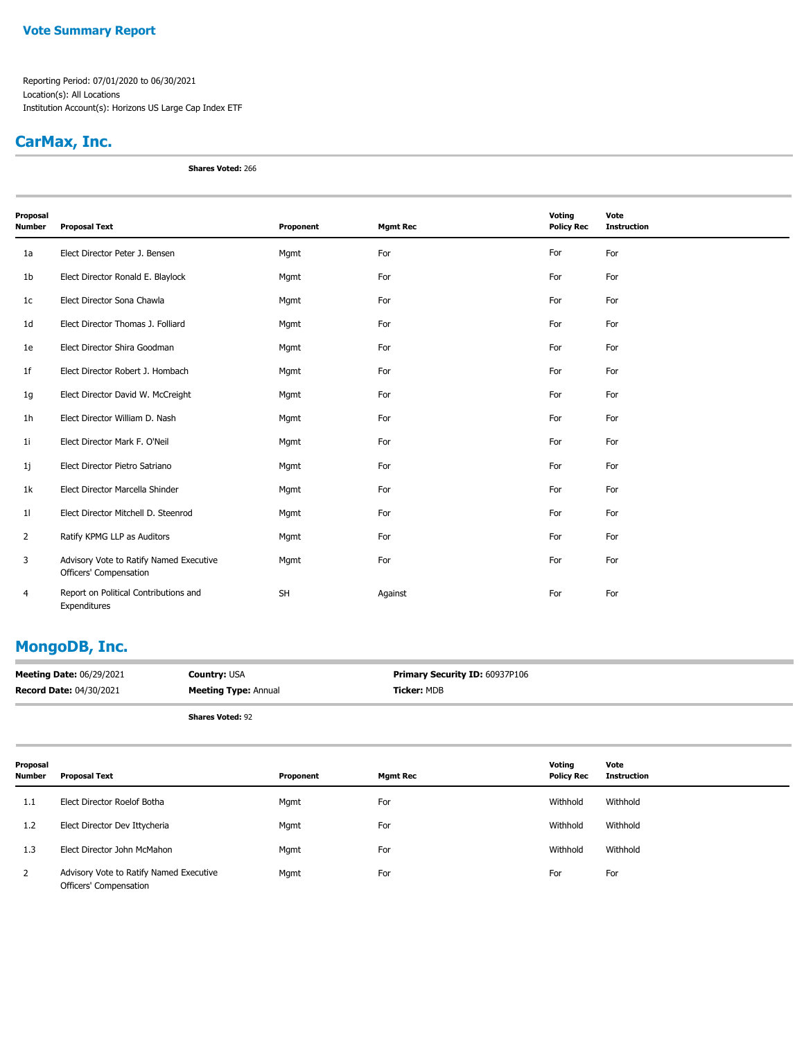Reporting Period: 07/01/2020 to 06/30/2021 Location(s): All Locations Institution Account(s): Horizons US Large Cap Index ETF

### **CarMax, Inc.**

**Shares Voted:** 266

| Proposal       |                                                                   |           |                 | Voting            | Vote               |
|----------------|-------------------------------------------------------------------|-----------|-----------------|-------------------|--------------------|
| <b>Number</b>  | <b>Proposal Text</b>                                              | Proponent | <b>Mgmt Rec</b> | <b>Policy Rec</b> | <b>Instruction</b> |
| 1a             | Elect Director Peter J. Bensen                                    | Mgmt      | For             | For               | For                |
| 1 <sub>b</sub> | Elect Director Ronald E. Blaylock                                 | Mgmt      | For             | For               | For                |
| 1 <sub>c</sub> | Elect Director Sona Chawla                                        | Mgmt      | For             | For               | For                |
| 1 <sub>d</sub> | Elect Director Thomas J. Folliard                                 | Mgmt      | For             | For               | For                |
| 1e             | Elect Director Shira Goodman                                      | Mgmt      | For             | For               | For                |
| 1 <sub>f</sub> | Elect Director Robert J. Hombach                                  | Mgmt      | For             | For               | For                |
| 1g             | Elect Director David W. McCreight                                 | Mgmt      | For             | For               | For                |
| 1 <sub>h</sub> | Elect Director William D. Nash                                    | Mgmt      | For             | For               | For                |
| 11             | Elect Director Mark F. O'Neil                                     | Mgmt      | For             | For               | For                |
| 1j             | Elect Director Pietro Satriano                                    | Mgmt      | For             | For               | For                |
| 1k             | Elect Director Marcella Shinder                                   | Mgmt      | For             | For               | For                |
| 11             | Elect Director Mitchell D. Steenrod                               | Mgmt      | For             | For               | For                |
| 2              | Ratify KPMG LLP as Auditors                                       | Mgmt      | For             | For               | For                |
| 3              | Advisory Vote to Ratify Named Executive<br>Officers' Compensation | Mgmt      | For             | For               | For                |
| 4              | Report on Political Contributions and<br>Expenditures             | <b>SH</b> | Against         | For               | For                |

### **MongoDB, Inc.**

| <b>Meeting Date: 06/29/2021</b> | <b>Country: USA</b>         | Primary Security ID: 60937P106 |
|---------------------------------|-----------------------------|--------------------------------|
| <b>Record Date: 04/30/2021</b>  | <b>Meeting Type: Annual</b> | <b>Ticker: MDB</b>             |
|                                 | <b>Shares Voted: 92</b>     |                                |

| Proposal<br><b>Number</b> | Proposal Text                                                     | Proponent | <b>Mgmt Rec</b> | Voting<br><b>Policy Rec</b> | Vote<br><b>Instruction</b> |
|---------------------------|-------------------------------------------------------------------|-----------|-----------------|-----------------------------|----------------------------|
| 1.1                       | Elect Director Roelof Botha                                       | Mgmt      | For             | Withhold                    | Withhold                   |
| 1.2                       | Elect Director Dev Ittycheria                                     | Mgmt      | For             | Withhold                    | Withhold                   |
| 1.3                       | Elect Director John McMahon                                       | Mgmt      | For             | Withhold                    | Withhold                   |
| 2                         | Advisory Vote to Ratify Named Executive<br>Officers' Compensation | Mgmt      | For             | For                         | For                        |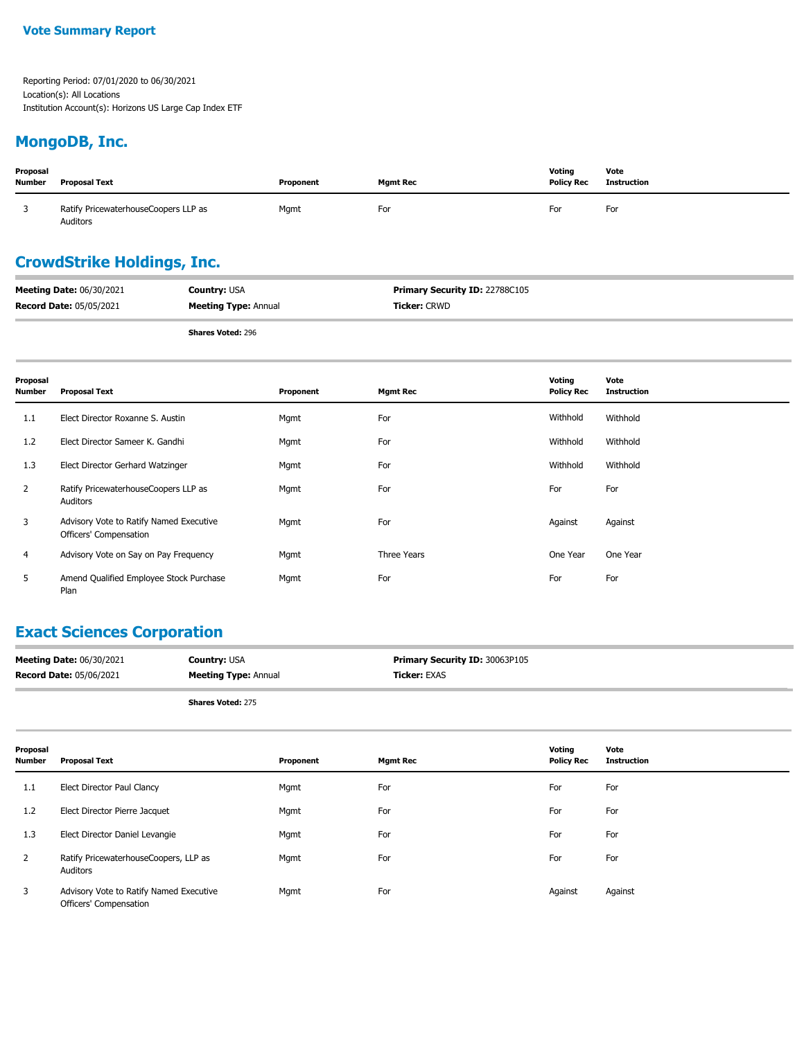### **MongoDB, Inc.**

| Proposal<br><b>Number</b> | <b>Proposal Text</b>                             | Proponent | <b>Mgmt Rec</b> | Votina<br><b>Policy Rec</b> | Vote<br><b>Instruction</b> |
|---------------------------|--------------------------------------------------|-----------|-----------------|-----------------------------|----------------------------|
|                           | Ratify PricewaterhouseCoopers LLP as<br>Auditors | Mgmt      | For             | For                         | For                        |

# **CrowdStrike Holdings, Inc.**

| <b>Meeting Date: 06/30/2021</b> | <b>Country: USA</b>         | <b>Primary Security ID: 22788C105</b> |
|---------------------------------|-----------------------------|---------------------------------------|
| <b>Record Date: 05/05/2021</b>  | <b>Meeting Type: Annual</b> | <b>Ticker: CRWD</b>                   |
|                                 | <b>Shares Voted: 296</b>    |                                       |

| Proposal<br><b>Number</b> | <b>Proposal Text</b>                                              | Proponent | <b>Mgmt Rec</b> | Voting<br><b>Policy Rec</b> | Vote<br><b>Instruction</b> |
|---------------------------|-------------------------------------------------------------------|-----------|-----------------|-----------------------------|----------------------------|
| 1.1                       | Elect Director Roxanne S. Austin                                  | Mgmt      | For             | Withhold                    | Withhold                   |
| 1.2                       | Elect Director Sameer K. Gandhi                                   | Mgmt      | For             | Withhold                    | Withhold                   |
| 1.3                       | Elect Director Gerhard Watzinger                                  | Mgmt      | For             | Withhold                    | Withhold                   |
| $\mathbf{2}$              | Ratify PricewaterhouseCoopers LLP as<br>Auditors                  | Mgmt      | For             | For                         | For                        |
| 3                         | Advisory Vote to Ratify Named Executive<br>Officers' Compensation | Mgmt      | For             | Against                     | Against                    |
| 4                         | Advisory Vote on Say on Pay Frequency                             | Mgmt      | Three Years     | One Year                    | One Year                   |
| 5.                        | Amend Qualified Employee Stock Purchase<br>Plan                   | Mgmt      | For             | For                         | For                        |

# **Exact Sciences Corporation**

| <b>Meeting Date: 06/30/2021</b> | <b>Country: USA</b>         | <b>Primary Security ID: 30063P105</b> |
|---------------------------------|-----------------------------|---------------------------------------|
| <b>Record Date: 05/06/2021</b>  | <b>Meeting Type: Annual</b> | <b>Ticker: EXAS</b>                   |
|                                 |                             |                                       |

**Shares Voted:** 275

| Proposal<br>Number | <b>Proposal Text</b>                                              | Proponent | <b>Mgmt Rec</b> | Voting<br><b>Policy Rec</b> | Vote<br><b>Instruction</b> |
|--------------------|-------------------------------------------------------------------|-----------|-----------------|-----------------------------|----------------------------|
| 1.1                | Elect Director Paul Clancy                                        | Mgmt      | For             | For                         | For                        |
| 1.2                | Elect Director Pierre Jacquet                                     | Mgmt      | For             | For                         | For                        |
| 1.3                | Elect Director Daniel Levangie                                    | Mgmt      | For             | For                         | For                        |
| 2                  | Ratify PricewaterhouseCoopers, LLP as<br>Auditors                 | Mgmt      | For             | For                         | For                        |
| 3                  | Advisory Vote to Ratify Named Executive<br>Officers' Compensation | Mgmt      | For             | Against                     | Against                    |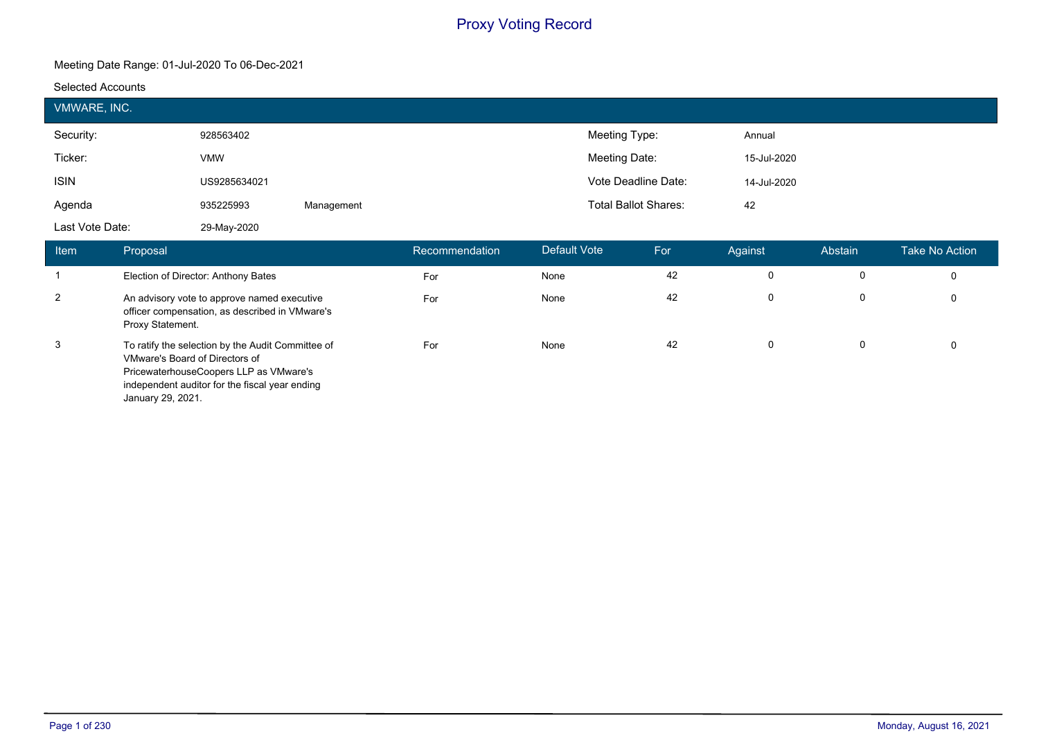#### **Meeting Date Range: 01-Jul-2020 To 06-Dec-2021**

#### **Selected Accounts**

|                                | <b>VMWARE, INC.</b>                                 |                                                                                                                                               |            |                |              |                             |    |             |         |                       |
|--------------------------------|-----------------------------------------------------|-----------------------------------------------------------------------------------------------------------------------------------------------|------------|----------------|--------------|-----------------------------|----|-------------|---------|-----------------------|
| Security:                      |                                                     | 928563402                                                                                                                                     |            |                |              | Meeting Type:               |    | Annual      |         |                       |
| Ticker:                        |                                                     | <b>VMW</b>                                                                                                                                    |            |                |              | Meeting Date:               |    | 15-Jul-2020 |         |                       |
| <b>ISIN</b>                    |                                                     | US9285634021                                                                                                                                  |            |                |              | Vote Deadline Date:         |    | 14-Jul-2020 |         |                       |
| Agenda                         |                                                     | 935225993                                                                                                                                     | Management |                |              | <b>Total Ballot Shares:</b> |    | 42          |         |                       |
| Last Vote Date:<br>29-May-2020 |                                                     |                                                                                                                                               |            |                |              |                             |    |             |         |                       |
| <b>Item</b>                    | Proposal                                            |                                                                                                                                               |            | Recommendation | Default Vote | For                         |    | Against     | Abstain | <b>Take No Action</b> |
| $\overline{1}$                 |                                                     | Election of Director: Anthony Bates                                                                                                           |            | For            | None         |                             | 42 | 0           | 0       | 0                     |
| $\overline{2}$                 | Proxy Statement.                                    | An advisory vote to approve named executive<br>officer compensation, as described in VMware's                                                 |            | For            | None         |                             | 42 | $\mathbf 0$ | 0       | 0                     |
| 3                              | VMware's Board of Directors of<br>January 29, 2021. | To ratify the selection by the Audit Committee of<br>PricewaterhouseCoopers LLP as VMware's<br>independent auditor for the fiscal year ending |            | For            | None         |                             | 42 | 0           | 0       | 0                     |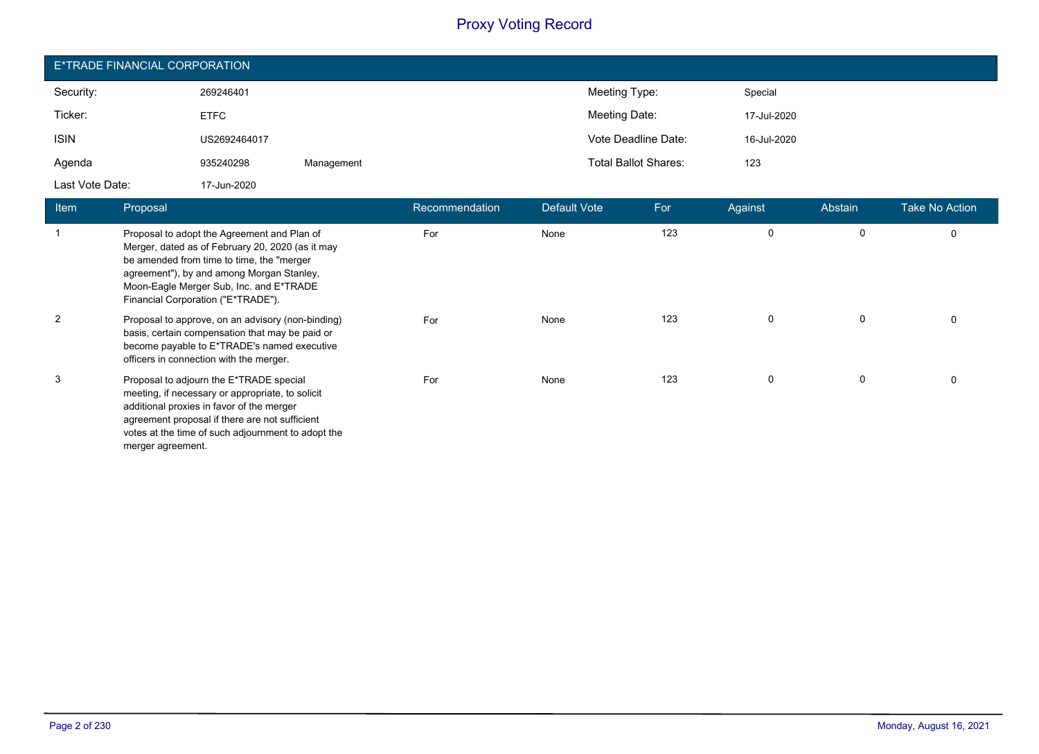| E*TRADE FINANCIAL CORPORATION |              |            |                             |             |  |  |  |
|-------------------------------|--------------|------------|-----------------------------|-------------|--|--|--|
| Security:                     | 269246401    |            | Meeting Type:               | Special     |  |  |  |
| Ticker:                       | <b>ETFC</b>  |            | Meeting Date:               | 17-Jul-2020 |  |  |  |
| <b>ISIN</b>                   | US2692464017 |            | Vote Deadline Date:         | 16-Jul-2020 |  |  |  |
| Agenda                        | 935240298    | Management | <b>Total Ballot Shares:</b> | 123         |  |  |  |
| Last Vote Date:               | 17-Jun-2020  |            |                             |             |  |  |  |

| <b>Item</b> | Proposal                                                                                                                                                                                                                                                                    | Recommendation | Default Vote | For | Against     | Abstain | <b>Take No Action</b> |
|-------------|-----------------------------------------------------------------------------------------------------------------------------------------------------------------------------------------------------------------------------------------------------------------------------|----------------|--------------|-----|-------------|---------|-----------------------|
|             | Proposal to adopt the Agreement and Plan of<br>Merger, dated as of February 20, 2020 (as it may<br>be amended from time to time, the "merger"<br>agreement"), by and among Morgan Stanley,<br>Moon-Eagle Merger Sub, Inc. and E*TRADE<br>Financial Corporation ("E*TRADE"). | For            | None         | 123 | $\Omega$    | 0       | 0                     |
| 2           | Proposal to approve, on an advisory (non-binding)<br>basis, certain compensation that may be paid or<br>become payable to E*TRADE's named executive<br>officers in connection with the merger.                                                                              | For            | None         | 123 | $\Omega$    | 0       | 0                     |
| 3           | Proposal to adjourn the E*TRADE special<br>meeting, if necessary or appropriate, to solicit<br>additional proxies in favor of the merger<br>agreement proposal if there are not sufficient<br>votes at the time of such adjournment to adopt the<br>merger agreement.       | For            | None         | 123 | $\mathbf 0$ | 0       | 0                     |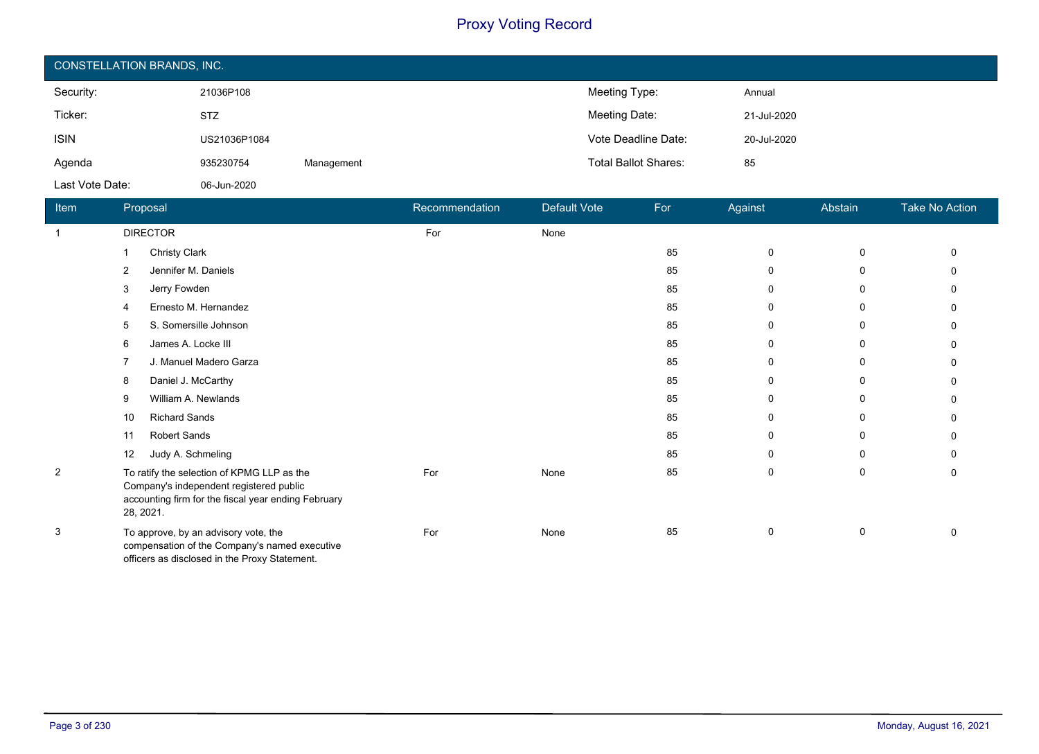| <b>CONSTELLATION BRANDS, INC.</b> |              |            |                             |             |  |  |  |
|-----------------------------------|--------------|------------|-----------------------------|-------------|--|--|--|
| Security:                         | 21036P108    |            | Meeting Type:               | Annual      |  |  |  |
| Ticker:                           | <b>STZ</b>   |            | Meeting Date:               | 21-Jul-2020 |  |  |  |
| <b>ISIN</b>                       | US21036P1084 |            | Vote Deadline Date:         | 20-Jul-2020 |  |  |  |
| Agenda                            | 935230754    | Management | <b>Total Ballot Shares:</b> | 85          |  |  |  |
| Last Vote Date:                   | 06-Jun-2020  |            |                             |             |  |  |  |

| <b>Item</b>    | Proposal                                                                                                                                                  | Recommendation | <b>Default Vote</b> | For | Against      | Abstain     | Take No Action |
|----------------|-----------------------------------------------------------------------------------------------------------------------------------------------------------|----------------|---------------------|-----|--------------|-------------|----------------|
| -1             | <b>DIRECTOR</b>                                                                                                                                           | For            | None                |     |              |             |                |
|                | <b>Christy Clark</b>                                                                                                                                      |                |                     | 85  | 0            | 0           | $\Omega$       |
|                | Jennifer M. Daniels<br>2                                                                                                                                  |                |                     | 85  | 0            | 0           | $\Omega$       |
|                | Jerry Fowden<br>3                                                                                                                                         |                |                     | 85  | $\mathbf 0$  | 0           | $\Omega$       |
|                | Ernesto M. Hernandez                                                                                                                                      |                |                     | 85  | $\Omega$     | 0           | 0              |
|                | S. Somersille Johnson<br>5                                                                                                                                |                |                     | 85  | $\Omega$     | 0           | $\Omega$       |
|                | James A. Locke III<br>6                                                                                                                                   |                |                     | 85  | 0            | 0           | 0              |
|                | J. Manuel Madero Garza                                                                                                                                    |                |                     | 85  | $\mathbf 0$  | $\mathbf 0$ | $\Omega$       |
|                | Daniel J. McCarthy<br>8                                                                                                                                   |                |                     | 85  | 0            | 0           | 0              |
|                | William A. Newlands<br>9                                                                                                                                  |                |                     | 85  | $\mathbf 0$  | 0           | 0              |
|                | <b>Richard Sands</b><br>10                                                                                                                                |                |                     | 85  | $\mathbf{0}$ | 0           | $\Omega$       |
|                | <b>Robert Sands</b><br>11                                                                                                                                 |                |                     | 85  | 0            | 0           | 0              |
|                | Judy A. Schmeling<br>12                                                                                                                                   |                |                     | 85  | $\Omega$     | $\mathbf 0$ | 0              |
| $\overline{c}$ | To ratify the selection of KPMG LLP as the<br>Company's independent registered public<br>accounting firm for the fiscal year ending February<br>28, 2021. | For            | None                | 85  | 0            | 0           | 0              |
| 3              | To approve, by an advisory vote, the<br>compensation of the Company's named executive<br>officers as disclosed in the Proxy Statement.                    | For            | None                | 85  | 0            | 0           | 0              |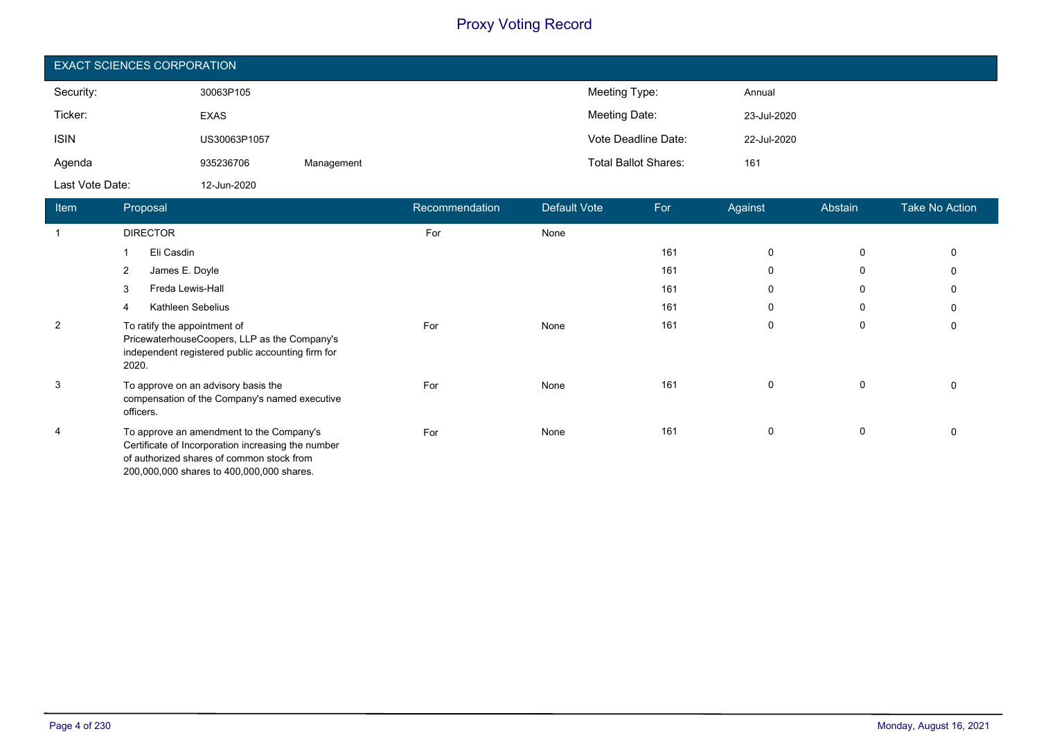| <b>EXACT SCIENCES CORPORATION</b> |              |            |                             |             |  |  |
|-----------------------------------|--------------|------------|-----------------------------|-------------|--|--|
| Security:                         | 30063P105    |            | Meeting Type:               | Annual      |  |  |
| Ticker:                           | <b>EXAS</b>  |            | Meeting Date:               | 23-Jul-2020 |  |  |
| <b>ISIN</b>                       | US30063P1057 |            | Vote Deadline Date:         | 22-Jul-2020 |  |  |
| Agenda                            | 935236706    | Management | <b>Total Ballot Shares:</b> | 161         |  |  |
| Last Vote Date:                   | 12-Jun-2020  |            |                             |             |  |  |

| Item           | Proposal                                                                                                                                                                                 | Recommendation | Default Vote | For | Against     | Abstain | <b>Take No Action</b> |
|----------------|------------------------------------------------------------------------------------------------------------------------------------------------------------------------------------------|----------------|--------------|-----|-------------|---------|-----------------------|
|                | <b>DIRECTOR</b>                                                                                                                                                                          | For            | None         |     |             |         |                       |
|                | Eli Casdin                                                                                                                                                                               |                |              | 161 | $\mathbf 0$ | 0       | 0                     |
|                | $\overline{2}$<br>James E. Doyle                                                                                                                                                         |                |              | 161 | $\mathbf 0$ | 0       | 0                     |
|                | 3<br>Freda Lewis-Hall                                                                                                                                                                    |                |              | 161 | 0           | 0       | 0                     |
|                | Kathleen Sebelius                                                                                                                                                                        |                |              | 161 | 0           | 0       | 0                     |
| $\overline{2}$ | To ratify the appointment of<br>PricewaterhouseCoopers, LLP as the Company's<br>independent registered public accounting firm for<br>2020.                                               | For            | None         | 161 | $\mathbf 0$ | 0       | $\mathbf 0$           |
| 3              | To approve on an advisory basis the<br>compensation of the Company's named executive<br>officers.                                                                                        | For            | None         | 161 | 0           | 0       | 0                     |
| 4              | To approve an amendment to the Company's<br>Certificate of Incorporation increasing the number<br>of authorized shares of common stock from<br>200,000,000 shares to 400,000,000 shares. | For            | None         | 161 | 0           | 0       | 0                     |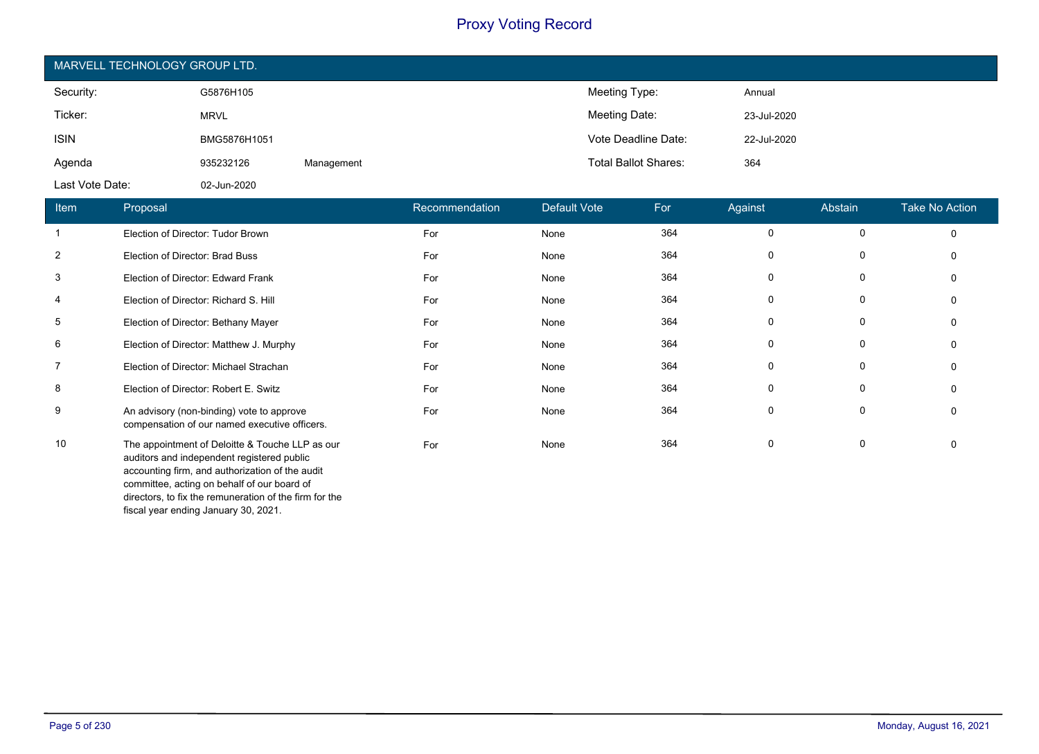| MARVELL TECHNOLOGY GROUP LTD. |              |            |                             |             |  |  |
|-------------------------------|--------------|------------|-----------------------------|-------------|--|--|
| Security:                     | G5876H105    |            | Meeting Type:               | Annual      |  |  |
| Ticker:                       | <b>MRVL</b>  |            | Meeting Date:               | 23-Jul-2020 |  |  |
| <b>ISIN</b>                   | BMG5876H1051 |            | Vote Deadline Date:         | 22-Jul-2020 |  |  |
| Agenda                        | 935232126    | Management | <b>Total Ballot Shares:</b> | 364         |  |  |
| Last Vote Date:               | 02-Jun-2020  |            |                             |             |  |  |

| Item           | Proposal                                                                                                                                                                                                                                                                                          | Recommendation | Default Vote | For | Against     | Abstain      | <b>Take No Action</b> |
|----------------|---------------------------------------------------------------------------------------------------------------------------------------------------------------------------------------------------------------------------------------------------------------------------------------------------|----------------|--------------|-----|-------------|--------------|-----------------------|
|                | Election of Director: Tudor Brown                                                                                                                                                                                                                                                                 | For            | None         | 364 | 0           | 0            | $\Omega$              |
| $\overline{2}$ | Election of Director: Brad Buss                                                                                                                                                                                                                                                                   | For            | None         | 364 | 0           | 0            | 0                     |
| 3              | Election of Director: Edward Frank                                                                                                                                                                                                                                                                | For            | None         | 364 | 0           | 0            | $\Omega$              |
| 4              | Election of Director: Richard S. Hill                                                                                                                                                                                                                                                             | For            | None         | 364 | 0           | 0            | $\Omega$              |
| 5              | Election of Director: Bethany Mayer                                                                                                                                                                                                                                                               | For            | None         | 364 | 0           | 0            | $\Omega$              |
| 6              | Election of Director: Matthew J. Murphy                                                                                                                                                                                                                                                           | For            | None         | 364 | $\mathbf 0$ | 0            | $\Omega$              |
| 7              | Election of Director: Michael Strachan                                                                                                                                                                                                                                                            | For            | None         | 364 | 0           | 0            | $\mathbf{0}$          |
| 8              | Election of Director: Robert E. Switz                                                                                                                                                                                                                                                             | For            | None         | 364 | 0           | $\mathbf{0}$ | $\mathbf{0}$          |
| 9              | An advisory (non-binding) vote to approve<br>compensation of our named executive officers.                                                                                                                                                                                                        | For            | None         | 364 | 0           | 0            | 0                     |
| 10             | The appointment of Deloitte & Touche LLP as our<br>auditors and independent registered public<br>accounting firm, and authorization of the audit<br>committee, acting on behalf of our board of<br>directors, to fix the remuneration of the firm for the<br>fiscal year ending January 30, 2021. | For            | None         | 364 | 0           | 0            | $\mathbf{0}$          |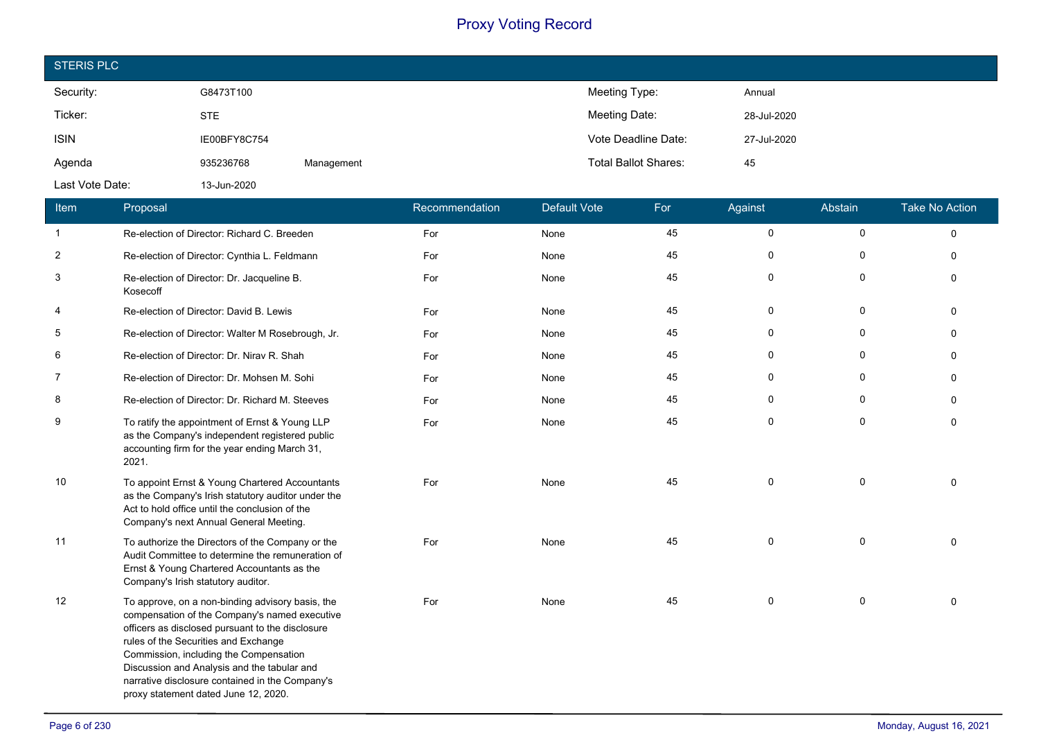| <b>STERIS PLC</b> |              |            |                             |             |
|-------------------|--------------|------------|-----------------------------|-------------|
| Security:         | G8473T100    |            | Meeting Type:               | Annual      |
| Ticker:           | <b>STE</b>   |            | Meeting Date:               | 28-Jul-2020 |
| <b>ISIN</b>       | IE00BFY8C754 |            | Vote Deadline Date:         | 27-Jul-2020 |
| Agenda            | 935236768    | Management | <b>Total Ballot Shares:</b> | 45          |
| Last Vote Date:   | 13-Jun-2020  |            |                             |             |

| Item           | Proposal                                                                                                                                                                                                                                                                                                                                                                          | Recommendation | <b>Default Vote</b> | For | Against     | Abstain      | <b>Take No Action</b> |
|----------------|-----------------------------------------------------------------------------------------------------------------------------------------------------------------------------------------------------------------------------------------------------------------------------------------------------------------------------------------------------------------------------------|----------------|---------------------|-----|-------------|--------------|-----------------------|
| $\mathbf{1}$   | Re-election of Director: Richard C. Breeden                                                                                                                                                                                                                                                                                                                                       | For            | None                | 45  | 0           | $\mathsf{O}$ | $\mathbf 0$           |
| $\sqrt{2}$     | Re-election of Director: Cynthia L. Feldmann                                                                                                                                                                                                                                                                                                                                      | For            | None                | 45  | 0           | 0            | $\mathbf 0$           |
| 3              | Re-election of Director: Dr. Jacqueline B.<br>Kosecoff                                                                                                                                                                                                                                                                                                                            | For            | None                | 45  | 0           | 0            | $\Omega$              |
| 4              | Re-election of Director: David B. Lewis                                                                                                                                                                                                                                                                                                                                           | For            | None                | 45  | 0           | $\mathbf 0$  | $\Omega$              |
| 5              | Re-election of Director: Walter M Rosebrough, Jr.                                                                                                                                                                                                                                                                                                                                 | For            | None                | 45  | $\mathbf 0$ | 0            | $\Omega$              |
| 6              | Re-election of Director: Dr. Nirav R. Shah                                                                                                                                                                                                                                                                                                                                        | For            | None                | 45  | $\mathbf 0$ | 0            | $\Omega$              |
| $\overline{7}$ | Re-election of Director: Dr. Mohsen M. Sohi                                                                                                                                                                                                                                                                                                                                       | For            | None                | 45  | $\mathbf 0$ | $\mathbf 0$  | $\mathbf 0$           |
| 8              | Re-election of Director: Dr. Richard M. Steeves                                                                                                                                                                                                                                                                                                                                   | For            | None                | 45  | $\mathbf 0$ | 0            | $\Omega$              |
| 9              | To ratify the appointment of Ernst & Young LLP<br>as the Company's independent registered public<br>accounting firm for the year ending March 31,<br>2021.                                                                                                                                                                                                                        | For            | None                | 45  | $\mathbf 0$ | $\mathbf 0$  | $\mathbf 0$           |
| 10             | To appoint Ernst & Young Chartered Accountants<br>as the Company's Irish statutory auditor under the<br>Act to hold office until the conclusion of the<br>Company's next Annual General Meeting.                                                                                                                                                                                  | For            | None                | 45  | $\mathbf 0$ | $\mathbf 0$  | $\Omega$              |
| 11             | To authorize the Directors of the Company or the<br>Audit Committee to determine the remuneration of<br>Ernst & Young Chartered Accountants as the<br>Company's Irish statutory auditor.                                                                                                                                                                                          | For            | None                | 45  | $\mathsf 0$ | $\mathsf{O}$ | $\Omega$              |
| 12             | To approve, on a non-binding advisory basis, the<br>compensation of the Company's named executive<br>officers as disclosed pursuant to the disclosure<br>rules of the Securities and Exchange<br>Commission, including the Compensation<br>Discussion and Analysis and the tabular and<br>narrative disclosure contained in the Company's<br>proxy statement dated June 12, 2020. | For            | None                | 45  | $\mathbf 0$ | 0            | $\Omega$              |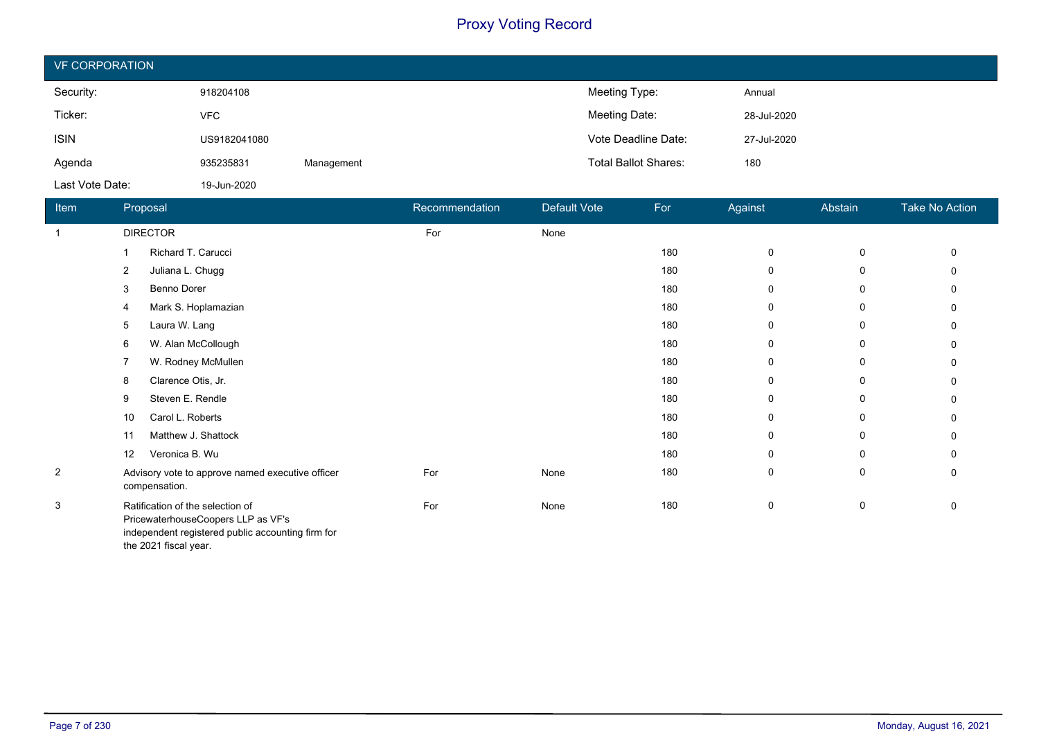| <b>VF CORPORATION</b> |              |            |                             |             |  |  |
|-----------------------|--------------|------------|-----------------------------|-------------|--|--|
| Security:             | 918204108    |            | Meeting Type:               | Annual      |  |  |
| Ticker:               | <b>VFC</b>   |            | Meeting Date:               | 28-Jul-2020 |  |  |
| <b>ISIN</b>           | US9182041080 |            | Vote Deadline Date:         | 27-Jul-2020 |  |  |
| Agenda                | 935235831    | Management | <b>Total Ballot Shares:</b> | 180         |  |  |
| Last Vote Date:       | 19-Jun-2020  |            |                             |             |  |  |

| Item           | Proposal                                                                                                                                             | Recommendation | Default Vote | For | Against | Abstain | <b>Take No Action</b> |
|----------------|------------------------------------------------------------------------------------------------------------------------------------------------------|----------------|--------------|-----|---------|---------|-----------------------|
| $\overline{1}$ | <b>DIRECTOR</b>                                                                                                                                      | For            | None         |     |         |         |                       |
|                | Richard T. Carucci                                                                                                                                   |                |              | 180 | 0       | 0       | $\mathbf{0}$          |
|                | Juliana L. Chugg<br>2                                                                                                                                |                |              | 180 | 0       | 0       | 0                     |
|                | Benno Dorer<br>3                                                                                                                                     |                |              | 180 | 0       | 0       | 0                     |
|                | Mark S. Hoplamazian<br>4                                                                                                                             |                |              | 180 | 0       | 0       | 0                     |
|                | Laura W. Lang<br>5                                                                                                                                   |                |              | 180 | 0       | 0       | 0                     |
|                | W. Alan McCollough<br>6                                                                                                                              |                |              | 180 | 0       | 0       | 0                     |
|                | W. Rodney McMullen                                                                                                                                   |                |              | 180 | 0       | 0       | 0                     |
|                | Clarence Otis, Jr.<br>8                                                                                                                              |                |              | 180 | 0       | 0       | 0                     |
|                | Steven E. Rendle<br>9                                                                                                                                |                |              | 180 | 0       | 0       | 0                     |
|                | Carol L. Roberts<br>10                                                                                                                               |                |              | 180 | 0       | 0       | 0                     |
|                | Matthew J. Shattock<br>11                                                                                                                            |                |              | 180 | 0       | 0       | 0                     |
|                | Veronica B. Wu<br>12                                                                                                                                 |                |              | 180 | 0       | 0       | $\mathbf{0}$          |
| $\overline{2}$ | Advisory vote to approve named executive officer<br>compensation.                                                                                    | For            | None         | 180 | 0       | 0       | 0                     |
| 3              | Ratification of the selection of<br>PricewaterhouseCoopers LLP as VF's<br>independent registered public accounting firm for<br>the 2021 fiscal year. | For            | None         | 180 | 0       | 0       | 0                     |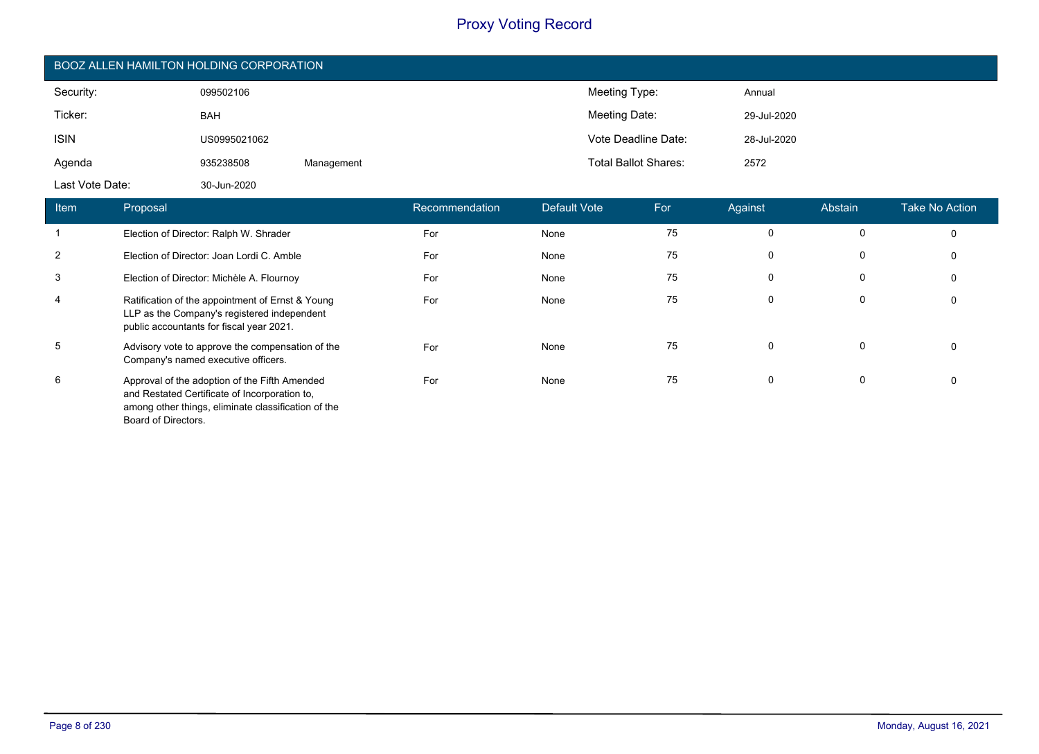| BOOZ ALLEN HAMILTON HOLDING CORPORATION |                                                                                                                                                       |                                        |            |                |                             |                     |             |             |                       |
|-----------------------------------------|-------------------------------------------------------------------------------------------------------------------------------------------------------|----------------------------------------|------------|----------------|-----------------------------|---------------------|-------------|-------------|-----------------------|
| Security:                               |                                                                                                                                                       | 099502106                              |            |                | Meeting Type:               |                     | Annual      |             |                       |
| Ticker:                                 |                                                                                                                                                       | <b>BAH</b>                             |            |                | Meeting Date:               |                     | 29-Jul-2020 |             |                       |
| <b>ISIN</b>                             |                                                                                                                                                       | US0995021062                           |            |                |                             | Vote Deadline Date: | 28-Jul-2020 |             |                       |
| Agenda                                  |                                                                                                                                                       | 935238508                              | Management |                | <b>Total Ballot Shares:</b> |                     | 2572        |             |                       |
| Last Vote Date:                         |                                                                                                                                                       | 30-Jun-2020                            |            |                |                             |                     |             |             |                       |
| Item                                    | Proposal                                                                                                                                              |                                        |            | Recommendation | Default Vote                | For                 | Against     | Abstain     | <b>Take No Action</b> |
|                                         |                                                                                                                                                       | Election of Director: Ralph W. Shrader |            | For            | None                        | 75                  | 0           | 0           | 0                     |
| $\overline{2}$                          | Election of Director: Joan Lordi C. Amble                                                                                                             |                                        | For        | None           | 75                          | $\mathbf 0$         | 0           | $\Omega$    |                       |
| 3                                       | Election of Director: Michèle A. Flournoy                                                                                                             |                                        |            | For            | None                        | 75                  | $\mathbf 0$ | 0           | 0                     |
| 4                                       | Ratification of the appointment of Ernst & Young<br>LLP as the Company's registered independent<br>public accountants for fiscal year 2021.           |                                        |            | For            | None                        | 75                  | 0           | 0           | 0                     |
| 5                                       | Advisory vote to approve the compensation of the<br>Company's named executive officers.                                                               |                                        |            | For            | None                        | 75                  | $\mathbf 0$ | $\mathbf 0$ | 0                     |
| 6                                       | Approval of the adoption of the Fifth Amended<br>and Restated Certificate of Incorporation to,<br>among other things, eliminate classification of the |                                        | For        | None           | 75                          | 0                   | 0           | 0           |                       |

Board of Directors.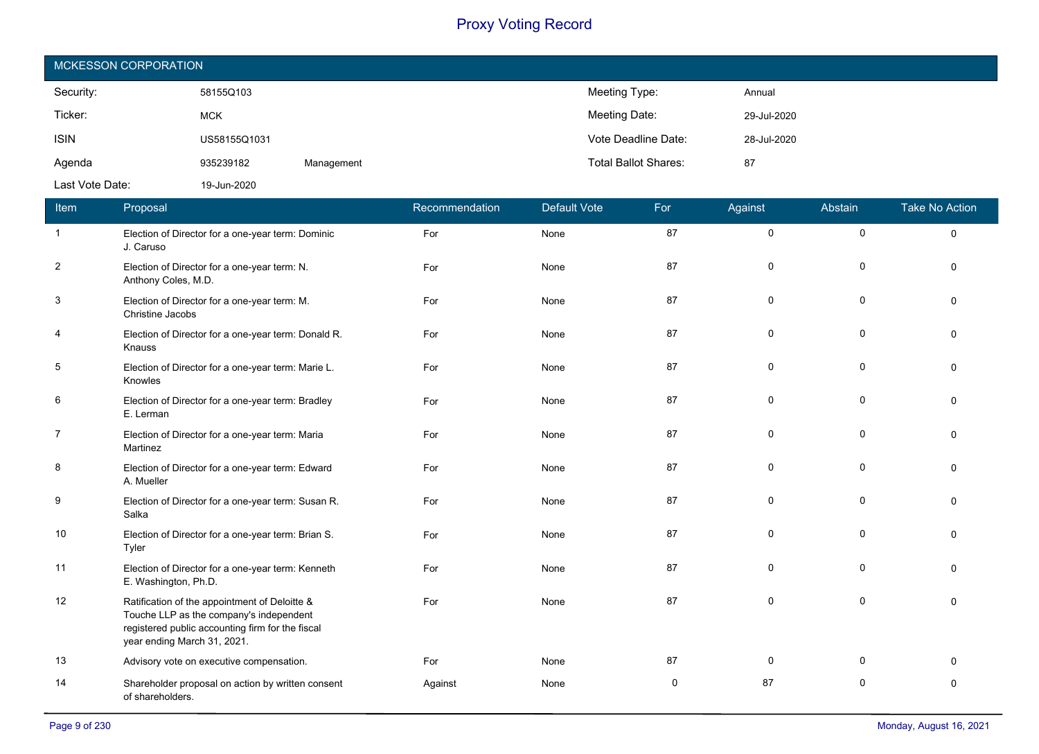| MCKESSON CORPORATION |              |            |                             |             |  |  |
|----------------------|--------------|------------|-----------------------------|-------------|--|--|
| Security:            | 58155Q103    |            | Meeting Type:               | Annual      |  |  |
| Ticker:              | <b>MCK</b>   |            | Meeting Date:               | 29-Jul-2020 |  |  |
| <b>ISIN</b>          | US58155Q1031 |            | Vote Deadline Date:         | 28-Jul-2020 |  |  |
| Agenda               | 935239182    | Management | <b>Total Ballot Shares:</b> | 87          |  |  |
| Last Vote Date:      | 19-Jun-2020  |            |                             |             |  |  |

| Item           | Proposal                                                                                                                                                                    | Recommendation | <b>Default Vote</b> | For | Against     | Abstain     | <b>Take No Action</b> |
|----------------|-----------------------------------------------------------------------------------------------------------------------------------------------------------------------------|----------------|---------------------|-----|-------------|-------------|-----------------------|
| $\overline{1}$ | Election of Director for a one-year term: Dominic<br>J. Caruso                                                                                                              | For            | None                | 87  | $\mathbf 0$ | $\pmb{0}$   | $\Omega$              |
| $\overline{2}$ | Election of Director for a one-year term: N.<br>Anthony Coles, M.D.                                                                                                         | For            | None                | 87  | 0           | 0           | 0                     |
| 3              | Election of Director for a one-year term: M.<br>Christine Jacobs                                                                                                            | For            | None                | 87  | 0           | $\pmb{0}$   | $\Omega$              |
| 4              | Election of Director for a one-year term: Donald R.<br>Knauss                                                                                                               | For            | None                | 87  | 0           | 0           | $\Omega$              |
| $\overline{5}$ | Election of Director for a one-year term: Marie L.<br>Knowles                                                                                                               | For            | None                | 87  | 0           | 0           | $\Omega$              |
| 6              | Election of Director for a one-year term: Bradley<br>E. Lerman                                                                                                              | For            | None                | 87  | 0           | 0           | $\Omega$              |
| $\overline{7}$ | Election of Director for a one-year term: Maria<br>Martinez                                                                                                                 | For            | None                | 87  | $\mathbf 0$ | 0           | $\Omega$              |
| 8              | Election of Director for a one-year term: Edward<br>A. Mueller                                                                                                              | For            | None                | 87  | $\mathbf 0$ | 0           | $\Omega$              |
| 9              | Election of Director for a one-year term: Susan R.<br>Salka                                                                                                                 | For            | None                | 87  | $\mathbf 0$ | $\mathbf 0$ | $\Omega$              |
| 10             | Election of Director for a one-year term: Brian S.<br>Tyler                                                                                                                 | For            | None                | 87  | 0           | $\mathbf 0$ | $\Omega$              |
| 11             | Election of Director for a one-year term: Kenneth<br>E. Washington, Ph.D.                                                                                                   | For            | None                | 87  | $\mathbf 0$ | $\pmb{0}$   | $\Omega$              |
| 12             | Ratification of the appointment of Deloitte &<br>Touche LLP as the company's independent<br>registered public accounting firm for the fiscal<br>year ending March 31, 2021. | For            | None                | 87  | $\mathbf 0$ | $\mathbf 0$ | $\Omega$              |
| 13             | Advisory vote on executive compensation.                                                                                                                                    | For            | None                | 87  | $\mathbf 0$ | 0           | $\Omega$              |
| 14             | Shareholder proposal on action by written consent<br>of shareholders.                                                                                                       | Against        | None                | 0   | 87          | 0           | $\mathbf 0$           |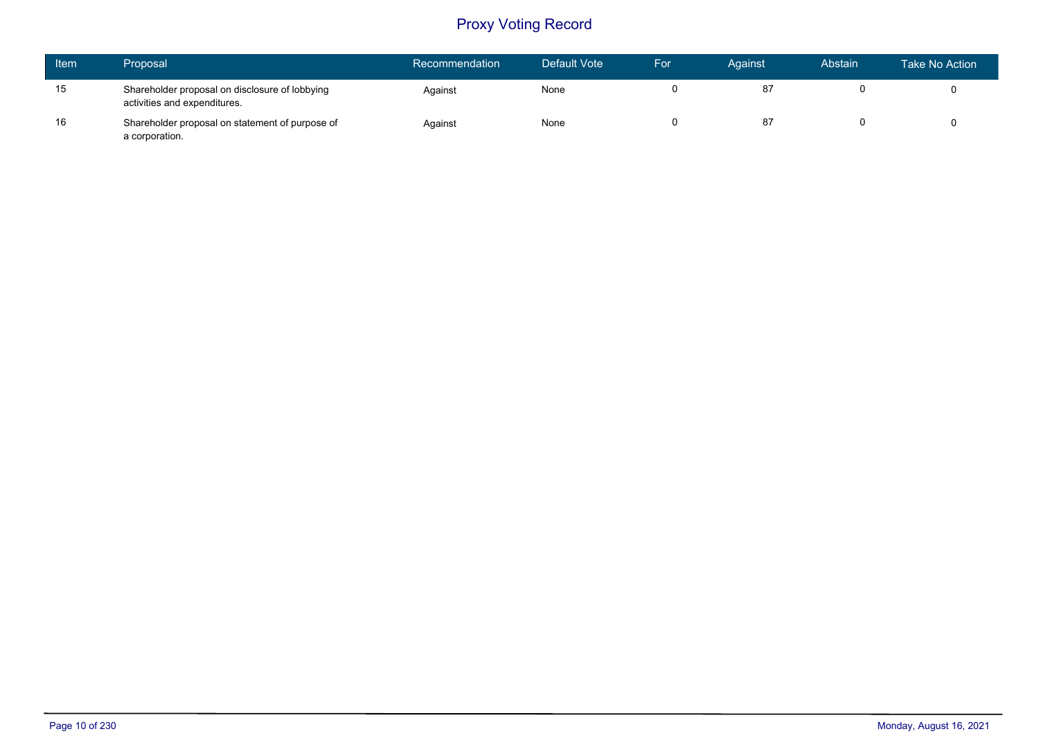| <b>Item</b> | Proposal                                                                       | Recommendation | Default Vote | For | Against | Abstain | Take No Action |
|-------------|--------------------------------------------------------------------------------|----------------|--------------|-----|---------|---------|----------------|
| 15          | Shareholder proposal on disclosure of lobbying<br>activities and expenditures. | Against        | None         |     |         |         |                |
| 16          | Shareholder proposal on statement of purpose of<br>a corporation.              | Against        | None         |     |         |         |                |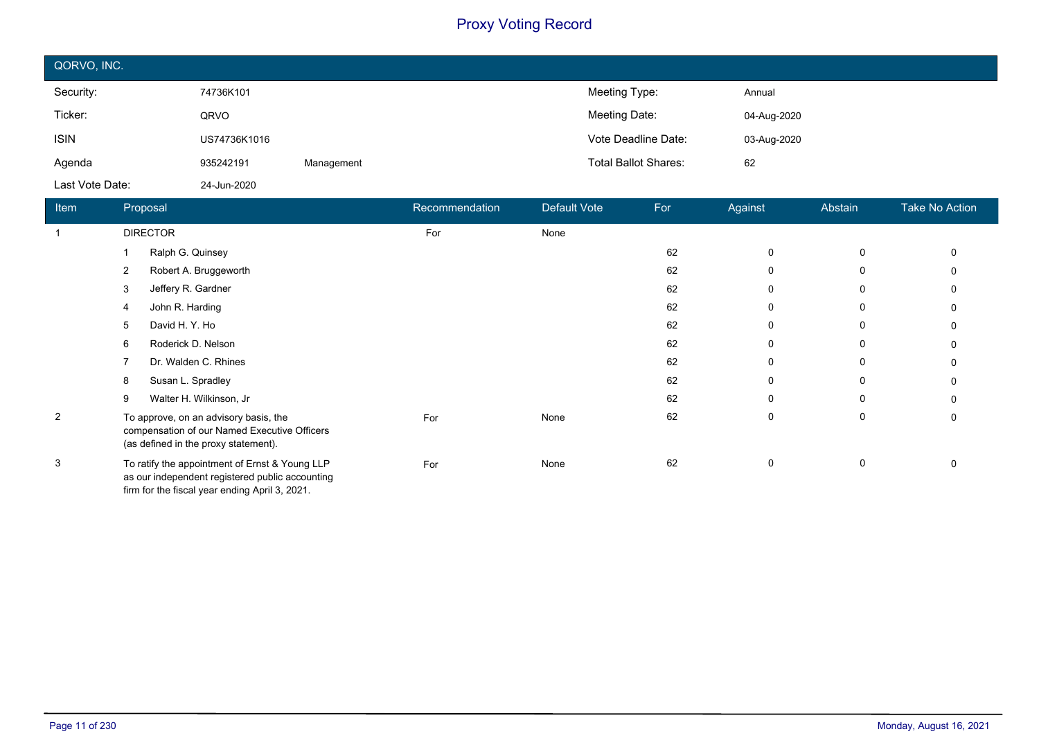| QORVO, INC.     |              |            |                             |             |
|-----------------|--------------|------------|-----------------------------|-------------|
| Security:       | 74736K101    |            | Meeting Type:               | Annual      |
| Ticker:         | QRVO         |            | Meeting Date:               | 04-Aug-2020 |
| <b>ISIN</b>     | US74736K1016 |            | Vote Deadline Date:         | 03-Aug-2020 |
| Agenda          | 935242191    | Management | <b>Total Ballot Shares:</b> | 62          |
| Last Vote Date: | 24-Jun-2020  |            |                             |             |

| Item           | Proposal                                                                                                                                            | Recommendation | <b>Default Vote</b> | For | Against     | Abstain     | Take No Action |
|----------------|-----------------------------------------------------------------------------------------------------------------------------------------------------|----------------|---------------------|-----|-------------|-------------|----------------|
| $\mathbf 1$    | <b>DIRECTOR</b>                                                                                                                                     | For            | None                |     |             |             |                |
|                | Ralph G. Quinsey                                                                                                                                    |                |                     | 62  | $\mathbf 0$ | $\mathbf 0$ | $\mathbf{0}$   |
|                | Robert A. Bruggeworth<br>2                                                                                                                          |                |                     | 62  | 0           | 0           | 0              |
|                | Jeffery R. Gardner<br>3                                                                                                                             |                |                     | 62  | 0           | 0           | $\Omega$       |
|                | John R. Harding<br>4                                                                                                                                |                |                     | 62  | 0           | 0           | 0              |
|                | David H.Y. Ho<br>5                                                                                                                                  |                |                     | 62  | 0           | 0           | 0              |
|                | Roderick D. Nelson<br>6                                                                                                                             |                |                     | 62  | 0           | 0           | $\Omega$       |
|                | Dr. Walden C. Rhines                                                                                                                                |                |                     | 62  | $\mathbf 0$ | 0           | 0              |
|                | Susan L. Spradley<br>8                                                                                                                              |                |                     | 62  | 0           | 0           | 0              |
|                | Walter H. Wilkinson, Jr<br>9                                                                                                                        |                |                     | 62  | $\mathbf 0$ | 0           | $\Omega$       |
| $\overline{2}$ | To approve, on an advisory basis, the<br>compensation of our Named Executive Officers<br>(as defined in the proxy statement).                       | For            | None                | 62  | 0           | 0           | 0              |
| 3              | To ratify the appointment of Ernst & Young LLP<br>as our independent registered public accounting<br>firm for the fiscal year ending April 3, 2021. | For            | None                | 62  | 0           | $\mathbf 0$ | 0              |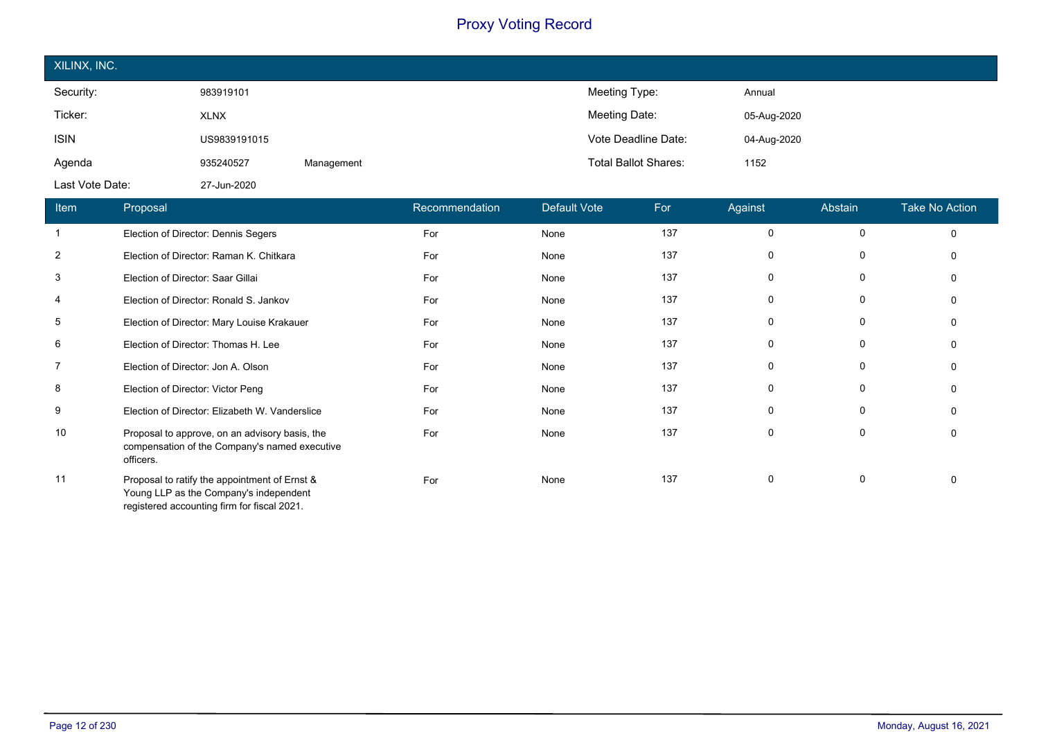| XILINX, INC.    |              |            |                             |             |
|-----------------|--------------|------------|-----------------------------|-------------|
| Security:       | 983919101    |            | Meeting Type:               | Annual      |
| Ticker:         | <b>XLNX</b>  |            | Meeting Date:               | 05-Aug-2020 |
| <b>ISIN</b>     | US9839191015 |            | Vote Deadline Date:         | 04-Aug-2020 |
| Agenda          | 935240527    | Management | <b>Total Ballot Shares:</b> | 1152        |
| Last Vote Date: | 27-Jun-2020  |            |                             |             |

| Item           | Proposal                                                                                                                               | Recommendation | Default Vote | For | Against      | Abstain      | <b>Take No Action</b> |
|----------------|----------------------------------------------------------------------------------------------------------------------------------------|----------------|--------------|-----|--------------|--------------|-----------------------|
| $\mathbf 1$    | Election of Director: Dennis Segers                                                                                                    | For            | None         | 137 | $\mathbf 0$  | $\mathbf{0}$ | $\Omega$              |
| $\overline{2}$ | Election of Director: Raman K. Chitkara                                                                                                | For            | None         | 137 | 0            | 0            |                       |
| 3              | Election of Director: Saar Gillai                                                                                                      | For            | None         | 137 | 0            | 0            |                       |
| 4              | Election of Director: Ronald S. Jankov                                                                                                 | For            | None         | 137 | 0            | 0            |                       |
| 5              | Election of Director: Mary Louise Krakauer                                                                                             | For            | None         | 137 | 0            | 0            |                       |
| 6              | Election of Director: Thomas H. Lee                                                                                                    | For            | None         | 137 | 0            | 0            |                       |
| 7              | Election of Director: Jon A. Olson                                                                                                     | For            | None         | 137 | 0            | 0            |                       |
| 8              | Election of Director: Victor Peng                                                                                                      | For            | None         | 137 | 0            | 0            |                       |
| 9              | Election of Director: Elizabeth W. Vanderslice                                                                                         | For            | None         | 137 | $\mathbf{0}$ | $\Omega$     |                       |
| 10             | Proposal to approve, on an advisory basis, the<br>compensation of the Company's named executive<br>officers.                           | For            | None         | 137 | 0            | 0            |                       |
| 11             | Proposal to ratify the appointment of Ernst &<br>Young LLP as the Company's independent<br>registered accounting firm for fiscal 2021. | For            | None         | 137 | 0            | 0            |                       |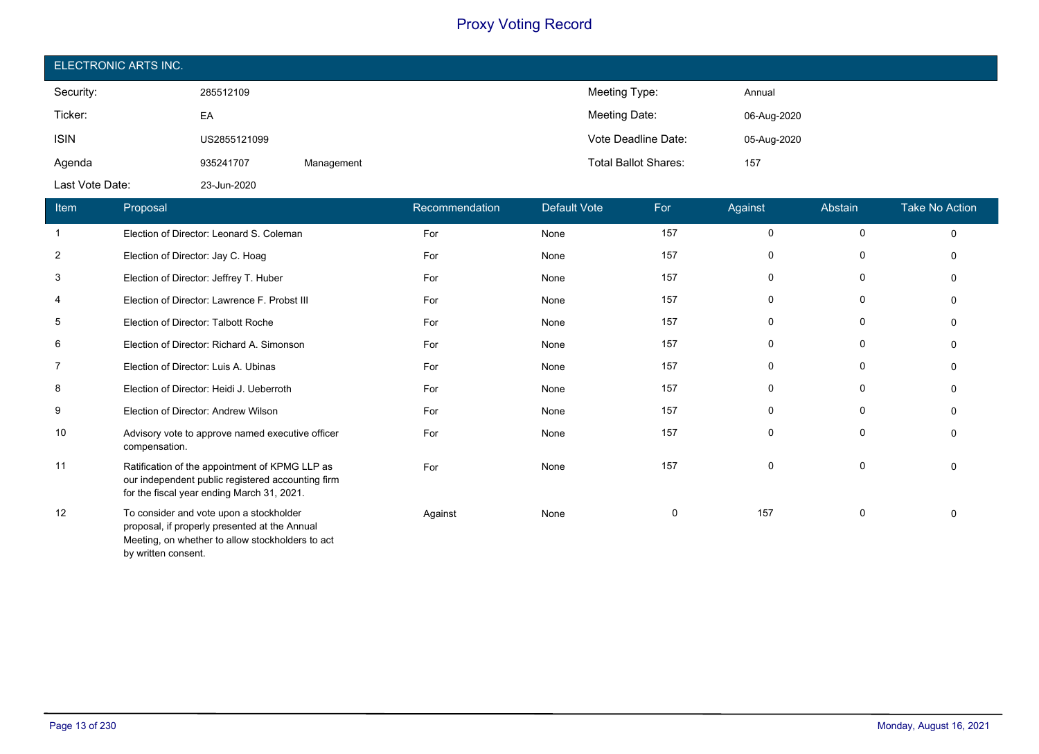| ELECTRONIC ARTS INC. |              |            |                             |             |  |  |  |
|----------------------|--------------|------------|-----------------------------|-------------|--|--|--|
| Security:            | 285512109    |            | Meeting Type:               | Annual      |  |  |  |
| Ticker:              | EA           |            | Meeting Date:               | 06-Aug-2020 |  |  |  |
| <b>ISIN</b>          | US2855121099 |            | Vote Deadline Date:         | 05-Aug-2020 |  |  |  |
| Agenda               | 935241707    | Management | <b>Total Ballot Shares:</b> | 157         |  |  |  |
| Last Vote Date:      | 23-Jun-2020  |            |                             |             |  |  |  |

| Item           | Proposal                                                                                                                                          | Recommendation | <b>Default Vote</b> | For | Against     | Abstain     | <b>Take No Action</b> |
|----------------|---------------------------------------------------------------------------------------------------------------------------------------------------|----------------|---------------------|-----|-------------|-------------|-----------------------|
|                | Election of Director: Leonard S. Coleman                                                                                                          | For            | None                | 157 | 0           | $\mathbf 0$ | $\Omega$              |
| $\overline{2}$ | Election of Director: Jay C. Hoag                                                                                                                 | For            | None                | 157 | 0           | 0           | $\Omega$              |
| 3              | Election of Director: Jeffrey T. Huber                                                                                                            | For            | None                | 157 | $\mathbf 0$ | $\mathbf 0$ | $\Omega$              |
| 4              | Election of Director: Lawrence F. Probst III                                                                                                      | For            | None                | 157 | 0           | 0           | $\Omega$              |
| 5              | Election of Director: Talbott Roche                                                                                                               | For            | None                | 157 | 0           | 0           | $\Omega$              |
| 6              | Election of Director: Richard A. Simonson                                                                                                         | For            | None                | 157 | 0           | 0           | $\Omega$              |
| $\overline{7}$ | Election of Director: Luis A. Ubinas                                                                                                              | For            | None                | 157 | $\mathbf 0$ | 0           | $\Omega$              |
| 8              | Election of Director: Heidi J. Ueberroth                                                                                                          | For            | None                | 157 | 0           | $\mathbf 0$ | $\Omega$              |
| 9              | Election of Director: Andrew Wilson                                                                                                               | For            | None                | 157 | 0           | 0           | $\Omega$              |
| 10             | Advisory vote to approve named executive officer<br>compensation.                                                                                 | For            | None                | 157 | $\mathbf 0$ | 0           | $\Omega$              |
| 11             | Ratification of the appointment of KPMG LLP as<br>our independent public registered accounting firm<br>for the fiscal year ending March 31, 2021. | For            | None                | 157 | 0           | 0           | 0                     |
| 12             | To consider and vote upon a stockholder<br>proposal, if properly presented at the Annual<br>Meeting, on whether to allow stockholders to act      | Against        | None                | 0   | 157         | 0           | $\mathbf 0$           |

by written consent.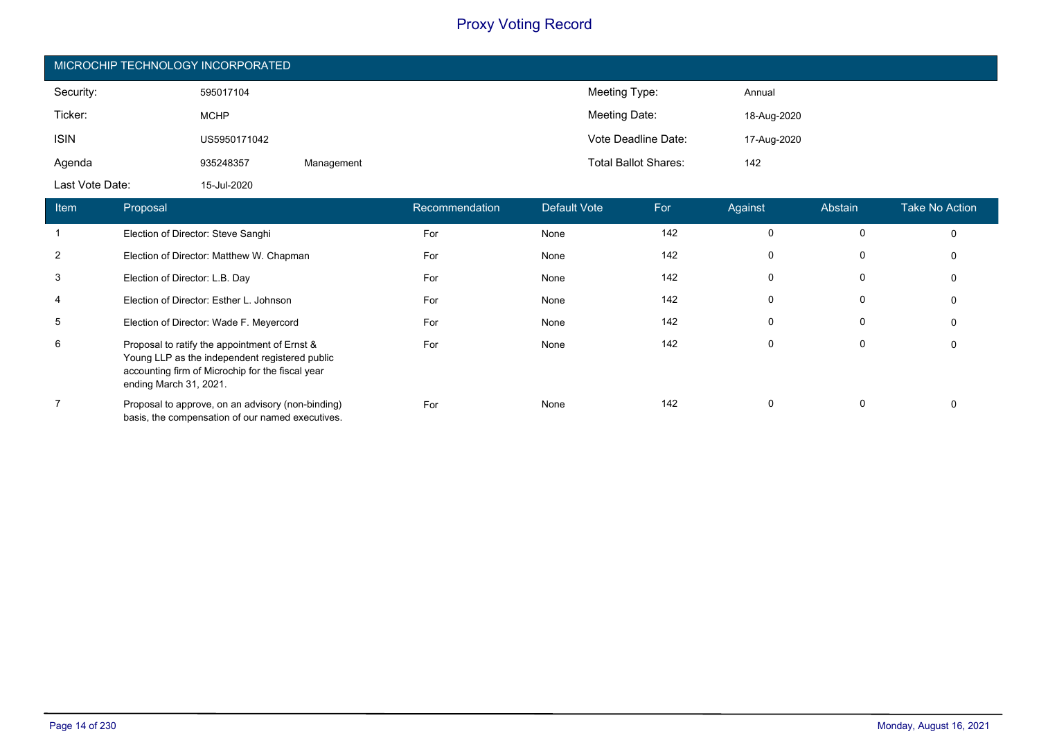|                                          | MICROCHIP TECHNOLOGY INCORPORATED |            |                           |                            |                             |              |             |                |                         |  |
|------------------------------------------|-----------------------------------|------------|---------------------------|----------------------------|-----------------------------|--------------|-------------|----------------|-------------------------|--|
| Security:                                | 595017104                         |            |                           |                            | Meeting Type:               |              | Annual      |                |                         |  |
| Ticker:                                  | <b>MCHP</b>                       |            |                           |                            | Meeting Date:               |              | 18-Aug-2020 |                |                         |  |
| <b>ISIN</b>                              | US5950171042                      |            |                           |                            | Vote Deadline Date:         |              | 17-Aug-2020 |                |                         |  |
| Agenda                                   | 935248357                         | Management |                           |                            | <b>Total Ballot Shares:</b> |              | 142         |                |                         |  |
| Last Vote Date:                          | 15-Jul-2020                       |            |                           |                            |                             |              |             |                |                         |  |
| <b>The company</b><br><b>Designation</b> |                                   |            | De a a marca a maladiana. | $D = 4 \cdot 14 \cdot 164$ |                             | <b>TEACH</b> | $A = -1$    | $A$ is $A = 1$ | $T = 1.4$ May $A = 1.4$ |  |

| <b>Item</b>    | Proposal                                                                                                                                                                      | Recommendation | Default Vote | For | Against     | Abstain  | Take No Action |
|----------------|-------------------------------------------------------------------------------------------------------------------------------------------------------------------------------|----------------|--------------|-----|-------------|----------|----------------|
|                | Election of Director: Steve Sanghi                                                                                                                                            | For            | None         | 142 | 0           | $\Omega$ | 0              |
| $\overline{2}$ | Election of Director: Matthew W. Chapman                                                                                                                                      | For            | None         | 142 | 0           | 0        | 0              |
| 3              | Election of Director: L.B. Day                                                                                                                                                | For            | None         | 142 | $\mathbf 0$ | 0        | 0              |
| $\overline{4}$ | Election of Director: Esther L. Johnson                                                                                                                                       | For            | None         | 142 | $\mathbf 0$ | 0        | 0              |
| 5              | Election of Director: Wade F. Meyercord                                                                                                                                       | For            | None         | 142 | $\mathbf 0$ | 0        | 0              |
| 6              | Proposal to ratify the appointment of Ernst &<br>Young LLP as the independent registered public<br>accounting firm of Microchip for the fiscal year<br>ending March 31, 2021. | For            | None         | 142 | $\mathbf 0$ | 0        | 0              |
| $\overline{7}$ | Proposal to approve, on an advisory (non-binding)<br>basis, the compensation of our named executives.                                                                         | For            | None         | 142 | 0           | 0        | 0              |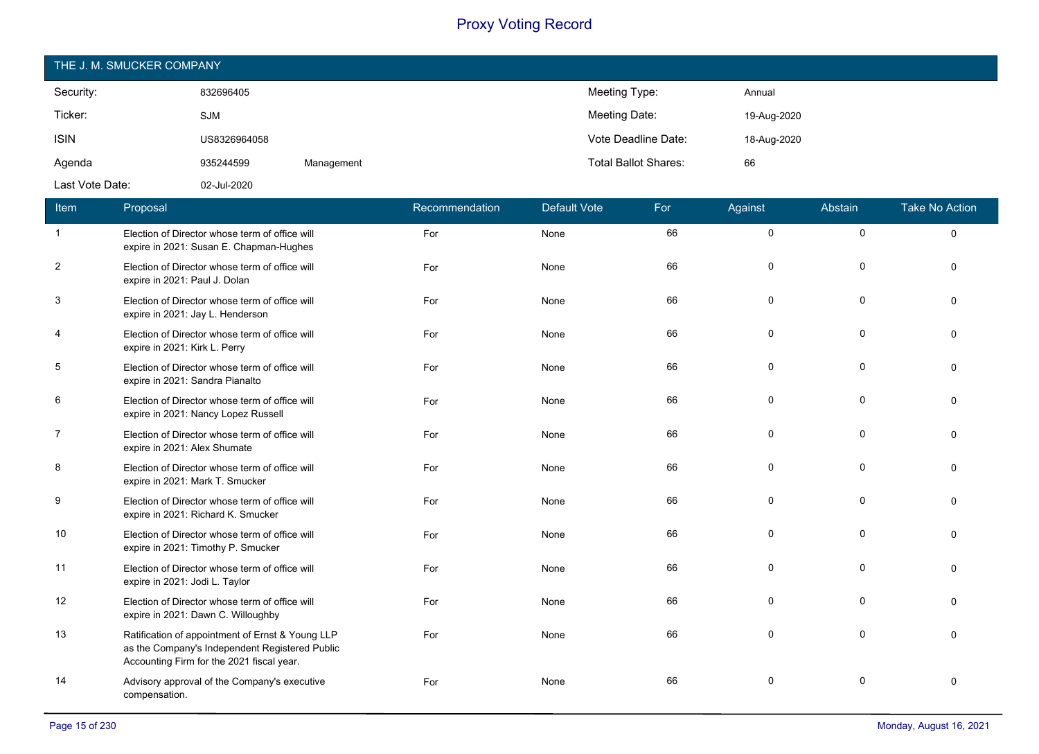| THE J. M. SMUCKER COMPANY |              |            |                             |             |  |  |  |
|---------------------------|--------------|------------|-----------------------------|-------------|--|--|--|
| Security:                 | 832696405    |            | Meeting Type:               | Annual      |  |  |  |
| Ticker:                   | <b>SJM</b>   |            | Meeting Date:               | 19-Aug-2020 |  |  |  |
| <b>ISIN</b>               | US8326964058 |            | Vote Deadline Date:         | 18-Aug-2020 |  |  |  |
| Agenda                    | 935244599    | Management | <b>Total Ballot Shares:</b> | 66          |  |  |  |
| Last Vote Date:           | 02-Jul-2020  |            |                             |             |  |  |  |

| Item           | Proposal                                                                                                                                        | Recommendation | <b>Default Vote</b> | For | Against     | Abstain     | <b>Take No Action</b> |
|----------------|-------------------------------------------------------------------------------------------------------------------------------------------------|----------------|---------------------|-----|-------------|-------------|-----------------------|
| $\mathbf{1}$   | Election of Director whose term of office will<br>expire in 2021: Susan E. Chapman-Hughes                                                       | For            | None                | 66  | $\mathbf 0$ | 0           | $\Omega$              |
| $\overline{2}$ | Election of Director whose term of office will<br>expire in 2021: Paul J. Dolan                                                                 | For            | None                | 66  | 0           | $\mathbf 0$ | $\Omega$              |
| 3              | Election of Director whose term of office will<br>expire in 2021: Jay L. Henderson                                                              | For            | None                | 66  | 0           | 0           | $\Omega$              |
| $\overline{4}$ | Election of Director whose term of office will<br>expire in 2021: Kirk L. Perry                                                                 | For            | None                | 66  | 0           | $\mathbf 0$ | $\Omega$              |
| 5              | Election of Director whose term of office will<br>expire in 2021: Sandra Pianalto                                                               | For            | None                | 66  | 0           | 0           | $\Omega$              |
| 6              | Election of Director whose term of office will<br>expire in 2021: Nancy Lopez Russell                                                           | For            | None                | 66  | 0           | $\mathbf 0$ | $\Omega$              |
| $\overline{7}$ | Election of Director whose term of office will<br>expire in 2021: Alex Shumate                                                                  | For            | None                | 66  | 0           | 0           | $\Omega$              |
| 8              | Election of Director whose term of office will<br>expire in 2021: Mark T. Smucker                                                               | For            | None                | 66  | 0           | 0           | $\Omega$              |
| 9              | Election of Director whose term of office will<br>expire in 2021: Richard K. Smucker                                                            | For            | None                | 66  | 0           | $\mathbf 0$ | $\Omega$              |
| 10             | Election of Director whose term of office will<br>expire in 2021: Timothy P. Smucker                                                            | For            | None                | 66  | 0           | 0           | $\Omega$              |
| 11             | Election of Director whose term of office will<br>expire in 2021: Jodi L. Taylor                                                                | For            | None                | 66  | 0           | $\mathbf 0$ | $\Omega$              |
| 12             | Election of Director whose term of office will<br>expire in 2021: Dawn C. Willoughby                                                            | For            | None                | 66  | 0           | 0           | $\Omega$              |
| 13             | Ratification of appointment of Ernst & Young LLP<br>as the Company's Independent Registered Public<br>Accounting Firm for the 2021 fiscal year. | For            | None                | 66  | $\mathbf 0$ | $\mathbf 0$ | $\Omega$              |
| 14             | Advisory approval of the Company's executive<br>compensation.                                                                                   | For            | None                | 66  | 0           | $\Omega$    | $\Omega$              |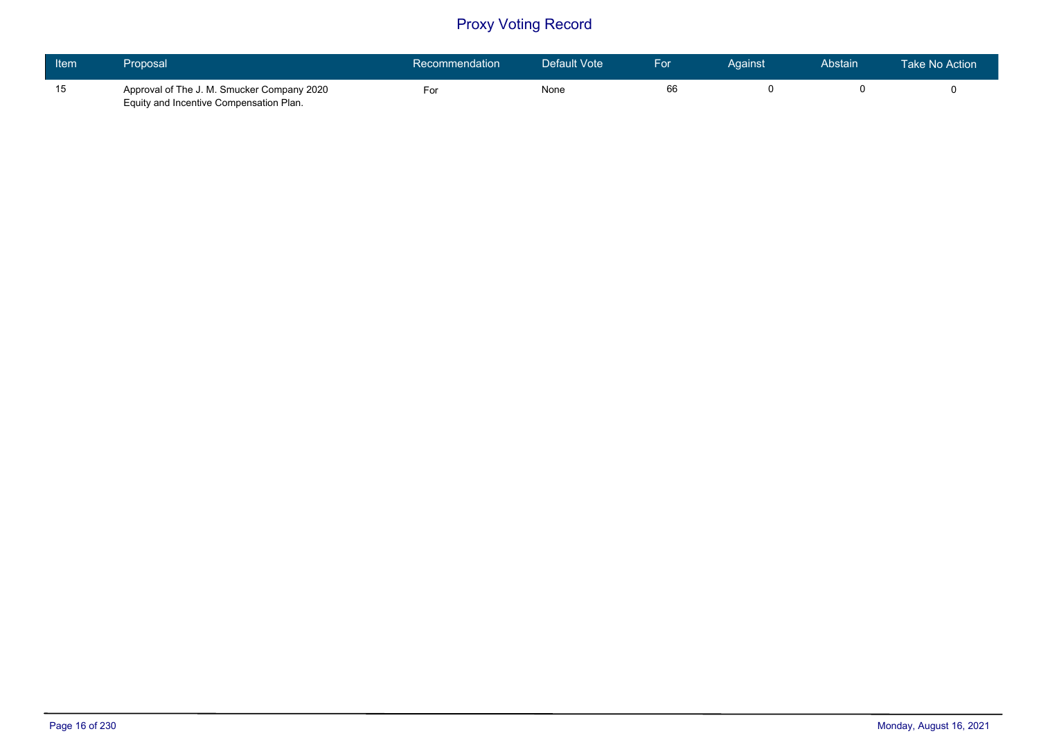| <b>Item</b> | <b>Proposal</b>                                                                       | Recommendation | Default Vote | For | Against | Abstain | Take No Action |
|-------------|---------------------------------------------------------------------------------------|----------------|--------------|-----|---------|---------|----------------|
| 15          | Approval of The J. M. Smucker Company 2020<br>Equity and Incentive Compensation Plan. | -or            | None         | 66  |         |         |                |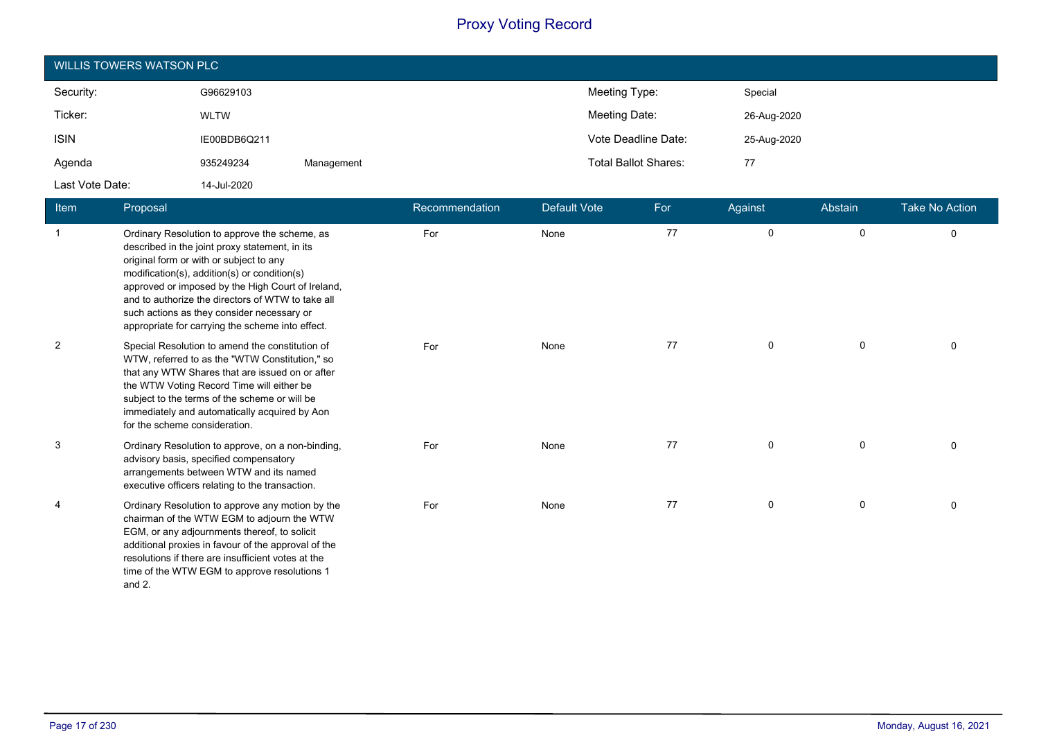| WILLIS TOWERS WATSON PLC |              |            |  |                             |             |  |  |
|--------------------------|--------------|------------|--|-----------------------------|-------------|--|--|
| Security:                | G96629103    |            |  | Meeting Type:               | Special     |  |  |
| Ticker:                  | <b>WLTW</b>  |            |  | Meeting Date:               | 26-Aug-2020 |  |  |
| <b>ISIN</b>              | IE00BDB6Q211 |            |  | Vote Deadline Date:         | 25-Aug-2020 |  |  |
| Agenda                   | 935249234    | Management |  | <b>Total Ballot Shares:</b> | 77          |  |  |
| Last Vote Date:          | 14-Jul-2020  |            |  |                             |             |  |  |

| <b>Item</b>    | Proposal                                                                                                                                                                                                                                                                                                                                                                                               | Recommendation | <b>Default Vote</b> | For | Against     | Abstain | <b>Take No Action</b> |
|----------------|--------------------------------------------------------------------------------------------------------------------------------------------------------------------------------------------------------------------------------------------------------------------------------------------------------------------------------------------------------------------------------------------------------|----------------|---------------------|-----|-------------|---------|-----------------------|
| $\mathbf{1}$   | Ordinary Resolution to approve the scheme, as<br>described in the joint proxy statement, in its<br>original form or with or subject to any<br>modification(s), addition(s) or condition(s)<br>approved or imposed by the High Court of Ireland,<br>and to authorize the directors of WTW to take all<br>such actions as they consider necessary or<br>appropriate for carrying the scheme into effect. | For            | None                | 77  | 0           | 0       | $\mathbf 0$           |
| $\overline{c}$ | Special Resolution to amend the constitution of<br>WTW, referred to as the "WTW Constitution," so<br>that any WTW Shares that are issued on or after<br>the WTW Voting Record Time will either be<br>subject to the terms of the scheme or will be<br>immediately and automatically acquired by Aon<br>for the scheme consideration.                                                                   | For            | None                | 77  | 0           | 0       | $\Omega$              |
| 3              | Ordinary Resolution to approve, on a non-binding,<br>advisory basis, specified compensatory<br>arrangements between WTW and its named<br>executive officers relating to the transaction.                                                                                                                                                                                                               | For            | None                | 77  | 0           | 0       | $\Omega$              |
| $\overline{4}$ | Ordinary Resolution to approve any motion by the<br>chairman of the WTW EGM to adjourn the WTW<br>EGM, or any adjournments thereof, to solicit<br>additional proxies in favour of the approval of the<br>resolutions if there are insufficient votes at the<br>time of the WTW EGM to approve resolutions 1<br>and 2.                                                                                  | For            | None                | 77  | $\mathbf 0$ | 0       | $\Omega$              |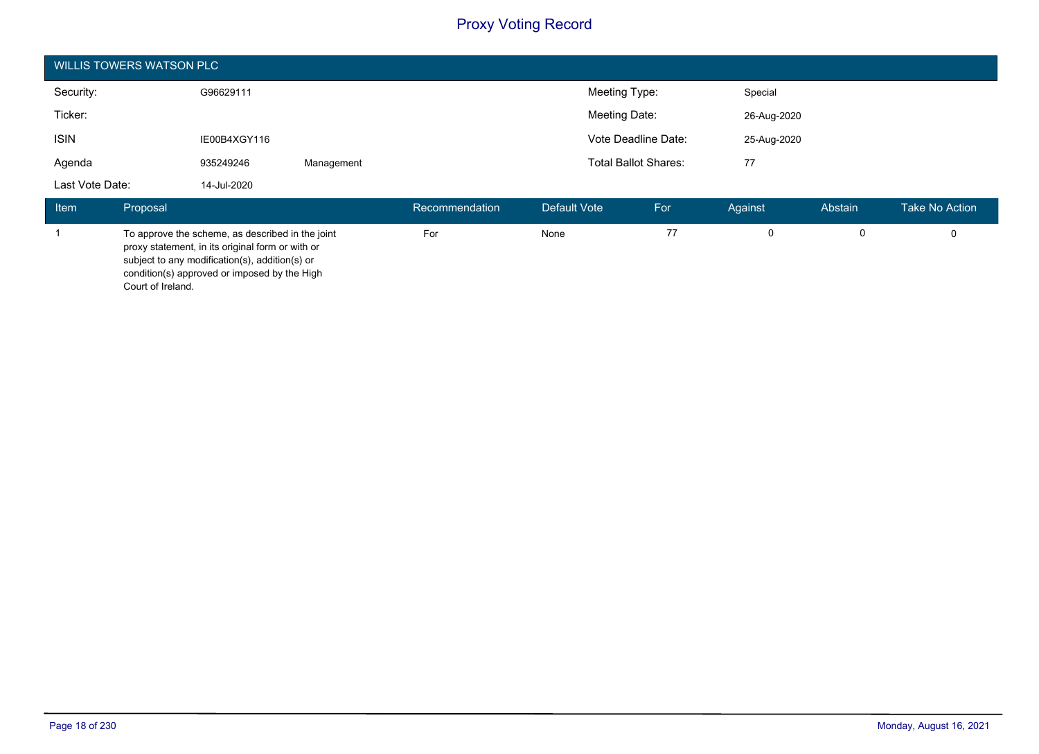|                 | <b>WILLIS TOWERS WATSON PLC</b> |                                                                                                                                                                                                        |            |                |               |                             |             |             |                |
|-----------------|---------------------------------|--------------------------------------------------------------------------------------------------------------------------------------------------------------------------------------------------------|------------|----------------|---------------|-----------------------------|-------------|-------------|----------------|
| Security:       |                                 | Meeting Type:<br>G96629111                                                                                                                                                                             |            |                | Special       |                             |             |             |                |
| Ticker:         |                                 |                                                                                                                                                                                                        |            |                | Meeting Date: |                             | 26-Aug-2020 |             |                |
| <b>ISIN</b>     |                                 | IE00B4XGY116                                                                                                                                                                                           |            |                |               | Vote Deadline Date:         |             | 25-Aug-2020 |                |
| Agenda          |                                 | 935249246                                                                                                                                                                                              | Management |                |               | <b>Total Ballot Shares:</b> | 77          |             |                |
| Last Vote Date: |                                 | 14-Jul-2020                                                                                                                                                                                            |            |                |               |                             |             |             |                |
| <b>Item</b>     | Proposal                        |                                                                                                                                                                                                        |            | Recommendation | Default Vote  | For                         | Against     | Abstain     | Take No Action |
| 1               |                                 | To approve the scheme, as described in the joint<br>proxy statement, in its original form or with or<br>subject to any modification(s), addition(s) or<br>condition(s) approved or imposed by the High |            | For            | None          | 77                          | 0           | 0           | 0              |

Court of Ireland.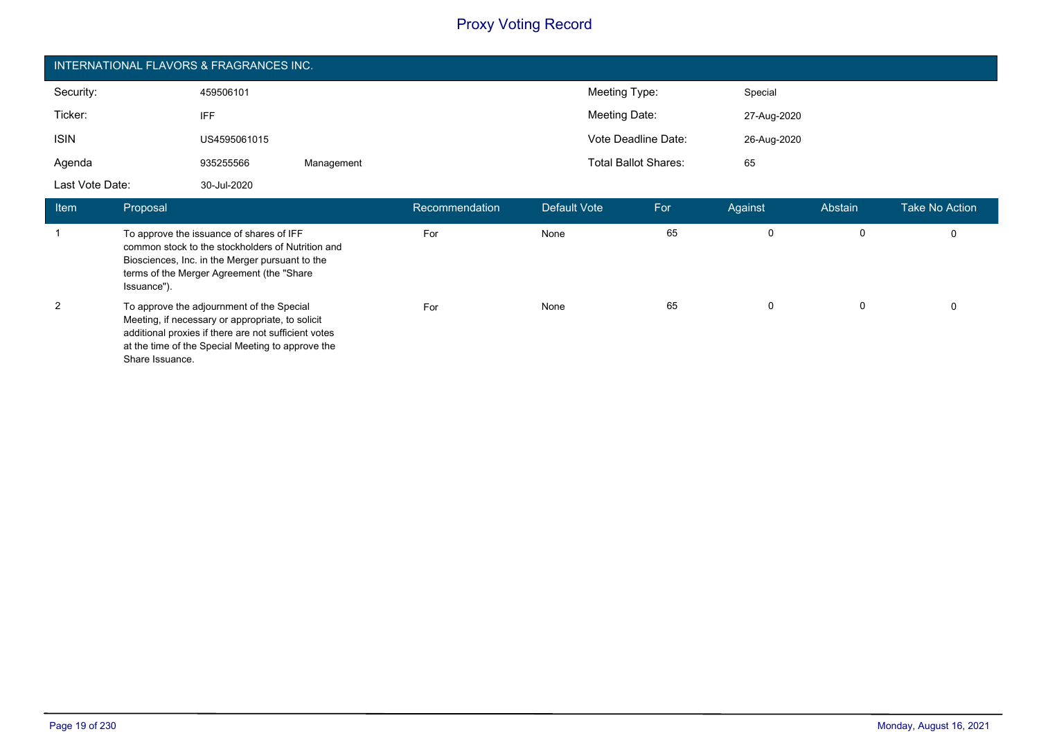| INTERNATIONAL FLAVORS & FRAGRANCES INC. |              |            |                             |             |  |  |
|-----------------------------------------|--------------|------------|-----------------------------|-------------|--|--|
| Security:                               | 459506101    |            | Meeting Type:               | Special     |  |  |
| Ticker:                                 | <b>IFF</b>   |            | Meeting Date:               | 27-Aug-2020 |  |  |
| <b>ISIN</b>                             | US4595061015 |            | Vote Deadline Date:         | 26-Aug-2020 |  |  |
| Agenda                                  | 935255566    | Management | <b>Total Ballot Shares:</b> | 65          |  |  |
| Last Vote Date:                         | 30-Jul-2020  |            |                             |             |  |  |

| <b>Item</b> | Proposal                                                                                                                                                                                                                      | ˈ Recommendation ˈ | Default Vote | For | Against  | Abstain | <b>Take No Action</b> |
|-------------|-------------------------------------------------------------------------------------------------------------------------------------------------------------------------------------------------------------------------------|--------------------|--------------|-----|----------|---------|-----------------------|
|             | To approve the issuance of shares of IFF<br>common stock to the stockholders of Nutrition and<br>Biosciences, Inc. in the Merger pursuant to the<br>terms of the Merger Agreement (the "Share"<br>Issuance").                 | For                | None         | 65  | 0        |         |                       |
| 2           | To approve the adjournment of the Special<br>Meeting, if necessary or appropriate, to solicit<br>additional proxies if there are not sufficient votes<br>at the time of the Special Meeting to approve the<br>Share Issuance. | For                | None         | 65  | $\Omega$ |         |                       |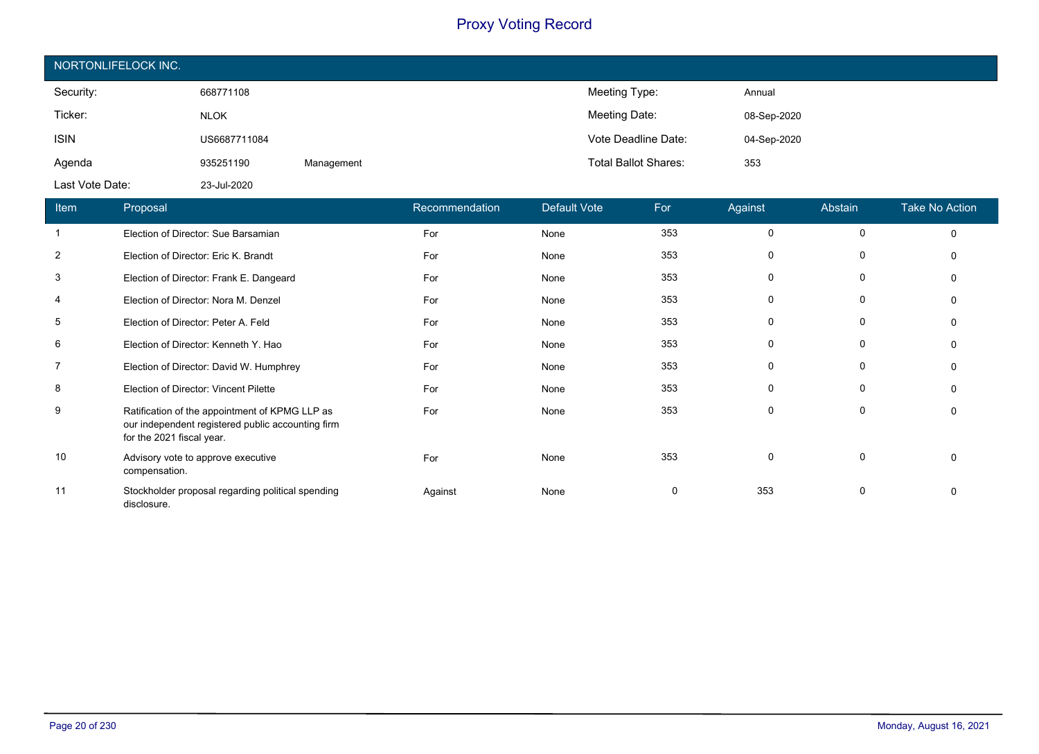| NORTONLIFELOCK INC. |              |            |                             |             |  |  |  |
|---------------------|--------------|------------|-----------------------------|-------------|--|--|--|
| Security:           | 668771108    |            | Meeting Type:               | Annual      |  |  |  |
| Ticker:             | <b>NLOK</b>  |            | Meeting Date:               | 08-Sep-2020 |  |  |  |
| <b>ISIN</b>         | US6687711084 |            | Vote Deadline Date:         | 04-Sep-2020 |  |  |  |
| Agenda              | 935251190    | Management | <b>Total Ballot Shares:</b> | 353         |  |  |  |
| Last Vote Date:     | 23-Jul-2020  |            |                             |             |  |  |  |

| Item           | Proposal                                                                                                                         | Recommendation | Default Vote | For | Against     | Abstain     | <b>Take No Action</b> |
|----------------|----------------------------------------------------------------------------------------------------------------------------------|----------------|--------------|-----|-------------|-------------|-----------------------|
|                | Election of Director: Sue Barsamian                                                                                              | For            | None         | 353 | $\mathbf 0$ | $\mathbf 0$ | $\Omega$              |
| $\overline{2}$ | Election of Director: Eric K. Brandt                                                                                             | For            | None         | 353 | 0           | 0           |                       |
| 3              | Election of Director: Frank E. Dangeard                                                                                          | For            | None         | 353 | 0           | $\Omega$    |                       |
| $\overline{4}$ | Election of Director: Nora M. Denzel                                                                                             | For            | None         | 353 | $\Omega$    | 0           | O                     |
| 5              | Election of Director: Peter A. Feld                                                                                              | For            | None         | 353 | 0           | 0           | 0                     |
| 6              | Election of Director: Kenneth Y. Hao                                                                                             | For            | None         | 353 | $\Omega$    | $\Omega$    |                       |
| 7              | Election of Director: David W. Humphrey                                                                                          | For            | None         | 353 | $\Omega$    | 0           | $\Omega$              |
| 8              | Election of Director: Vincent Pilette                                                                                            | For            | None         | 353 | 0           | 0           |                       |
| 9              | Ratification of the appointment of KPMG LLP as<br>our independent registered public accounting firm<br>for the 2021 fiscal year. | For            | None         | 353 | $\Omega$    | 0           | $\Omega$              |
| 10             | Advisory vote to approve executive<br>compensation.                                                                              | For            | None         | 353 | $\Omega$    | $\Omega$    | $\Omega$              |
| 11             | Stockholder proposal regarding political spending<br>disclosure.                                                                 | Against        | None         | 0   | 353         | 0           |                       |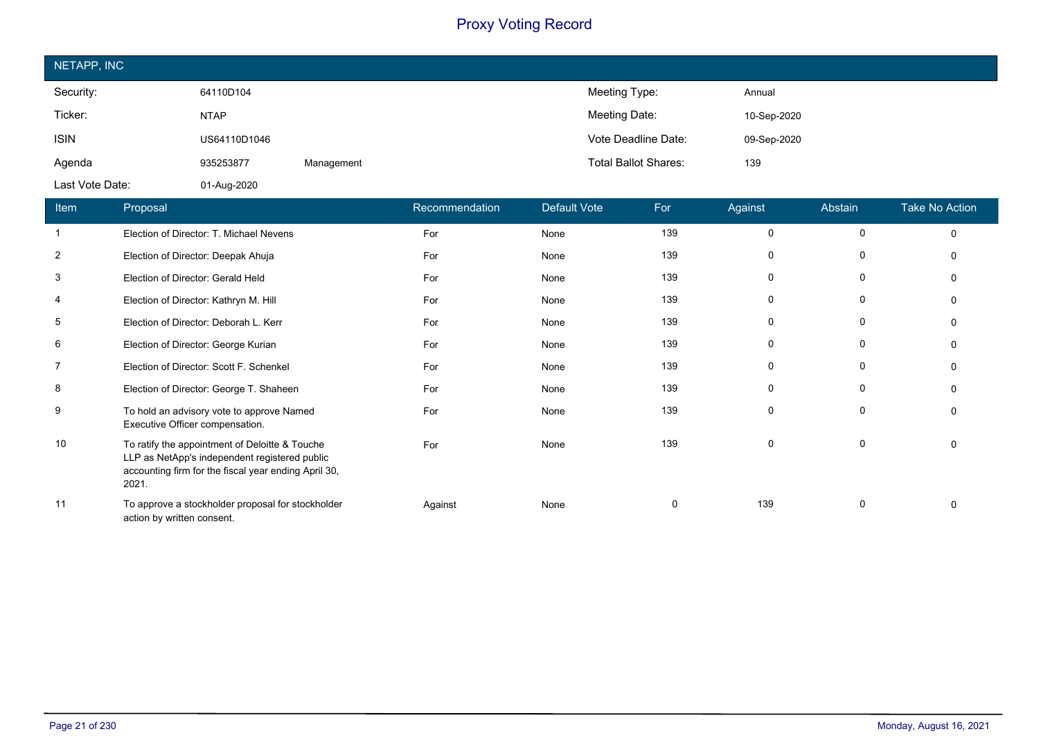| NETAPP, INC     |              |            |                             |             |
|-----------------|--------------|------------|-----------------------------|-------------|
| Security:       | 64110D104    |            | Meeting Type:               | Annual      |
| Ticker:         | <b>NTAP</b>  |            | Meeting Date:               | 10-Sep-2020 |
| <b>ISIN</b>     | US64110D1046 |            | Vote Deadline Date:         | 09-Sep-2020 |
| Agenda          | 935253877    | Management | <b>Total Ballot Shares:</b> | 139         |
| Last Vote Date: | 01-Aug-2020  |            |                             |             |

| Item           | <b>Proposal</b>                                                                                                                                                  | Recommendation | Default Vote | For | Against      | Abstain     | <b>Take No Action</b> |
|----------------|------------------------------------------------------------------------------------------------------------------------------------------------------------------|----------------|--------------|-----|--------------|-------------|-----------------------|
|                | Election of Director: T. Michael Nevens                                                                                                                          | For            | None         | 139 | $\Omega$     | $\Omega$    | $\Omega$              |
| $\overline{2}$ | Election of Director: Deepak Ahuja                                                                                                                               | For            | None         | 139 | 0            | $\Omega$    | O                     |
| 3              | Election of Director: Gerald Held                                                                                                                                | For            | None         | 139 | 0            | 0           |                       |
| 4              | Election of Director: Kathryn M. Hill                                                                                                                            | For            | None         | 139 | 0            | 0           |                       |
| 5              | Election of Director: Deborah L. Kerr                                                                                                                            | For            | None         | 139 | $\mathbf{0}$ | 0           | n                     |
| 6              | Election of Director: George Kurian                                                                                                                              | For            | None         | 139 | 0            | 0           |                       |
| 7              | Election of Director: Scott F. Schenkel                                                                                                                          | For            | None         | 139 | $\Omega$     | 0           |                       |
| 8              | Election of Director: George T. Shaheen                                                                                                                          | For            | None         | 139 | 0            | 0           | 0                     |
| 9              | To hold an advisory vote to approve Named<br>Executive Officer compensation.                                                                                     | For            | None         | 139 | 0            | $\mathbf 0$ | $\Omega$              |
| 10             | To ratify the appointment of Deloitte & Touche<br>LLP as NetApp's independent registered public<br>accounting firm for the fiscal year ending April 30,<br>2021. | For            | None         | 139 | $\Omega$     | 0           | $\Omega$              |
| 11             | To approve a stockholder proposal for stockholder<br>action by written consent.                                                                                  | Against        | None         | 0   | 139          | 0           | $\Omega$              |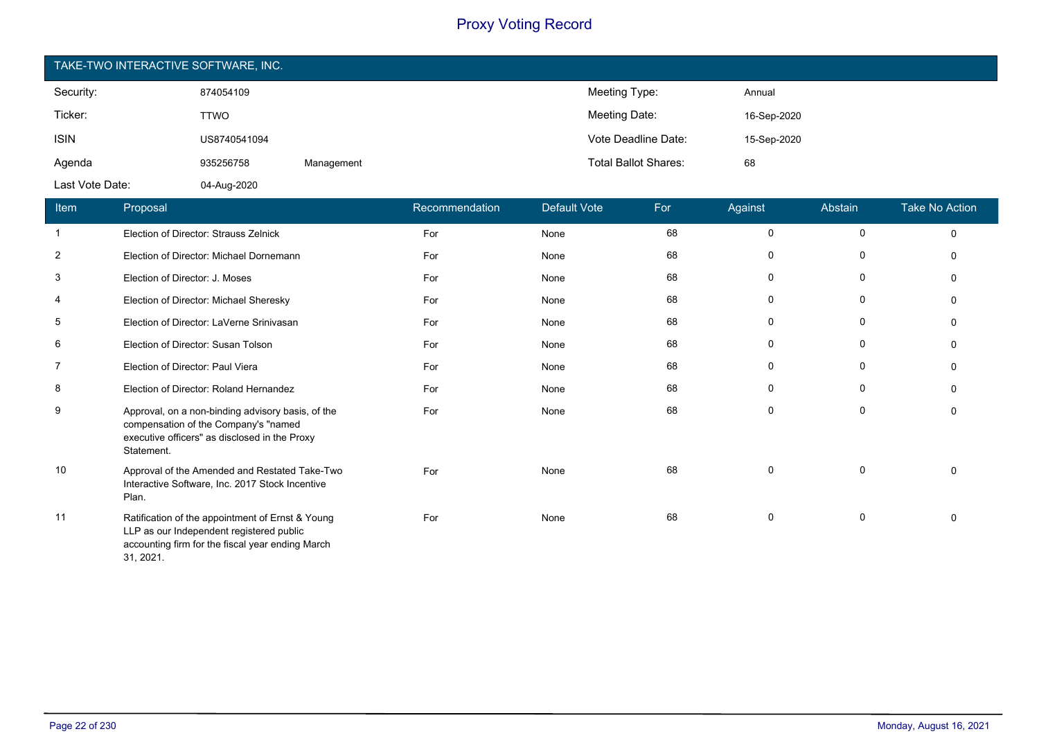| TAKE-TWO INTERACTIVE SOFTWARE, INC. |              |            |                             |             |  |  |
|-------------------------------------|--------------|------------|-----------------------------|-------------|--|--|
| Security:                           | 874054109    |            | Meeting Type:               | Annual      |  |  |
| Ticker:                             | <b>TTWO</b>  |            | Meeting Date:               | 16-Sep-2020 |  |  |
| <b>ISIN</b>                         | US8740541094 |            | Vote Deadline Date:         | 15-Sep-2020 |  |  |
| Agenda                              | 935256758    | Management | <b>Total Ballot Shares:</b> | 68          |  |  |
| Last Vote Date:                     | 04-Aug-2020  |            |                             |             |  |  |

| Item           | Proposal                                                                                                                                                      | Recommendation | Default Vote | For | Against     | Abstain     | <b>Take No Action</b> |
|----------------|---------------------------------------------------------------------------------------------------------------------------------------------------------------|----------------|--------------|-----|-------------|-------------|-----------------------|
| -1             | Election of Director: Strauss Zelnick                                                                                                                         | For            | None         | 68  | $\mathbf 0$ | $\pmb{0}$   | $\mathbf 0$           |
| $\overline{2}$ | Election of Director: Michael Dornemann                                                                                                                       | For            | None         | 68  | $\mathbf 0$ | 0           | $\Omega$              |
| 3              | Election of Director: J. Moses                                                                                                                                | For            | None         | 68  | $\mathbf 0$ | $\mathbf 0$ | $\Omega$              |
| 4              | Election of Director: Michael Sheresky                                                                                                                        | For            | None         | 68  | 0           | 0           | $\Omega$              |
| 5              | Election of Director: LaVerne Srinivasan                                                                                                                      | For            | None         | 68  | 0           | 0           | $\Omega$              |
| 6              | Election of Director: Susan Tolson                                                                                                                            | For            | None         | 68  | 0           | 0           | $\Omega$              |
| 7              | Election of Director: Paul Viera                                                                                                                              | For            | None         | 68  | 0           | 0           | $\Omega$              |
| 8              | Election of Director: Roland Hernandez                                                                                                                        | For            | None         | 68  | $\Omega$    | 0           | $\Omega$              |
| 9              | Approval, on a non-binding advisory basis, of the<br>compensation of the Company's "named<br>executive officers" as disclosed in the Proxy<br>Statement.      | For            | None         | 68  | 0           | 0           | $\Omega$              |
| 10             | Approval of the Amended and Restated Take-Two<br>Interactive Software, Inc. 2017 Stock Incentive<br>Plan.                                                     | For            | None         | 68  | 0           | 0           | $\Omega$              |
| 11             | Ratification of the appointment of Ernst & Young<br>LLP as our Independent registered public<br>accounting firm for the fiscal year ending March<br>31, 2021. | For            | None         | 68  | 0           | 0           | $\Omega$              |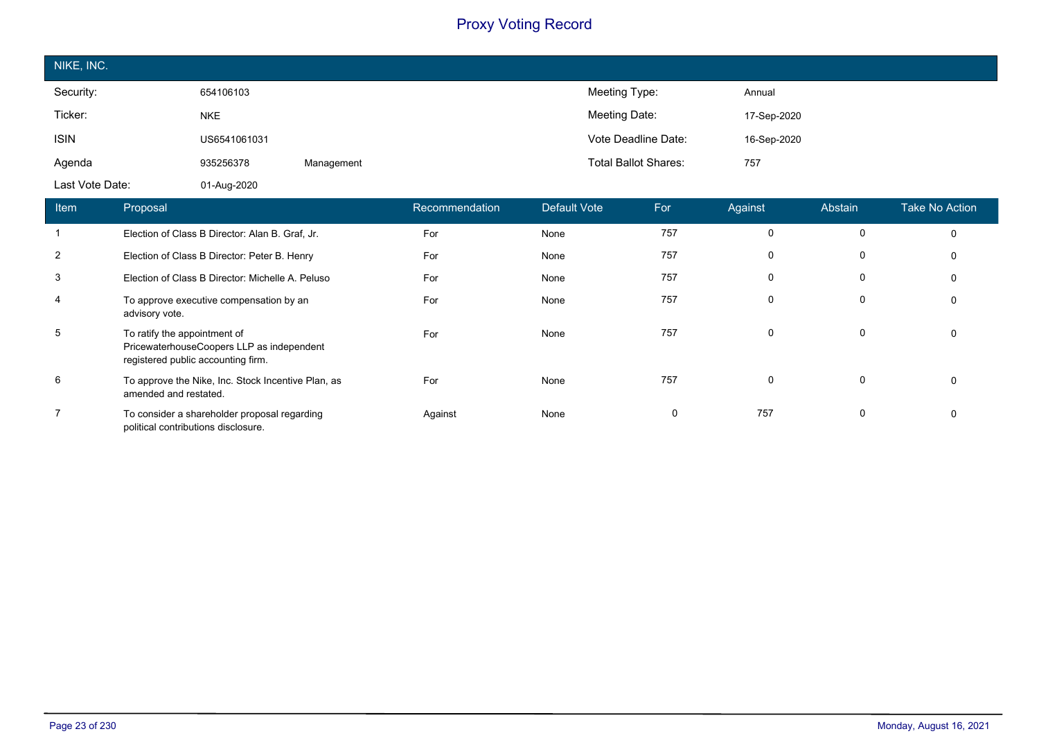| NIKE, INC.      |              |            |                             |             |
|-----------------|--------------|------------|-----------------------------|-------------|
| Security:       | 654106103    |            | Meeting Type:               | Annual      |
| Ticker:         | <b>NKE</b>   |            | Meeting Date:               | 17-Sep-2020 |
| <b>ISIN</b>     | US6541061031 |            | Vote Deadline Date:         | 16-Sep-2020 |
| Agenda          | 935256378    | Management | <b>Total Ballot Shares:</b> | 757         |
| Last Vote Date: | 01-Aug-2020  |            |                             |             |

| Item           | Proposal                                                                                                        | Recommendation | Default Vote | For | Against     | Abstain      | <b>Take No Action</b> |
|----------------|-----------------------------------------------------------------------------------------------------------------|----------------|--------------|-----|-------------|--------------|-----------------------|
|                | Election of Class B Director: Alan B. Graf, Jr.                                                                 | For            | None         | 757 | $\mathbf 0$ |              | $\mathbf 0$           |
| 2              | Election of Class B Director: Peter B. Henry                                                                    | For            | None         | 757 | $\mathbf 0$ | 0            | $\mathbf 0$           |
| 3              | Election of Class B Director: Michelle A. Peluso                                                                | For            | None         | 757 | $\mathbf 0$ | 0            | 0                     |
| 4              | To approve executive compensation by an<br>advisory vote.                                                       | For            | None         | 757 | $\mathbf 0$ | 0            | $\mathbf 0$           |
| 5              | To ratify the appointment of<br>PricewaterhouseCoopers LLP as independent<br>registered public accounting firm. | For            | None         | 757 | $\mathbf 0$ | $\mathbf{0}$ | 0                     |
| 6              | To approve the Nike, Inc. Stock Incentive Plan, as<br>amended and restated.                                     | For            | None         | 757 | $\Omega$    | $\mathbf{0}$ | $\mathbf 0$           |
| $\overline{7}$ | To consider a shareholder proposal regarding<br>political contributions disclosure.                             | Against        | None         | 0   | 757         | 0            | $\mathbf 0$           |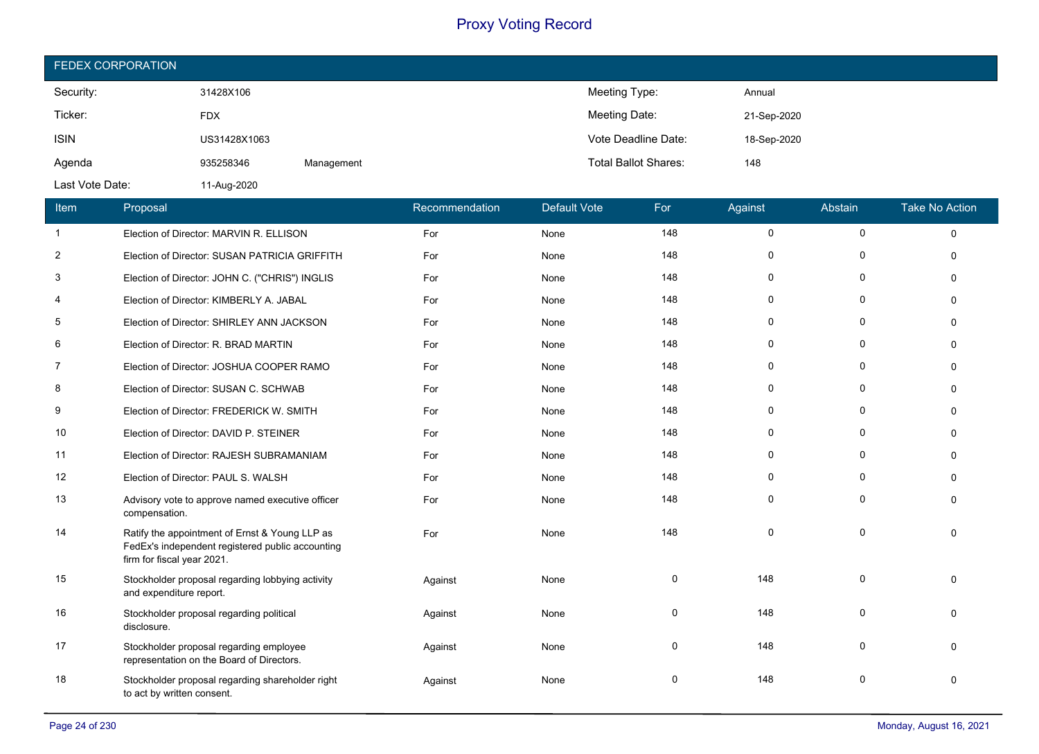| <b>FEDEX CORPORATION</b> |              |            |                             |             |  |  |  |
|--------------------------|--------------|------------|-----------------------------|-------------|--|--|--|
| Security:                | 31428X106    |            | Meeting Type:               | Annual      |  |  |  |
| Ticker:                  | <b>FDX</b>   |            | Meeting Date:               | 21-Sep-2020 |  |  |  |
| <b>ISIN</b>              | US31428X1063 |            | Vote Deadline Date:         | 18-Sep-2020 |  |  |  |
| Agenda                   | 935258346    | Management | <b>Total Ballot Shares:</b> | 148         |  |  |  |
| Last Vote Date:          | 11-Aug-2020  |            |                             |             |  |  |  |

| Item           | Proposal                                                                                                                         | Recommendation | <b>Default Vote</b> | For      | Against     | Abstain  | <b>Take No Action</b> |
|----------------|----------------------------------------------------------------------------------------------------------------------------------|----------------|---------------------|----------|-------------|----------|-----------------------|
| $\mathbf{1}$   | Election of Director: MARVIN R. ELLISON                                                                                          | For            | None                | 148      | $\mathsf 0$ | 0        | $\mathbf 0$           |
| $\overline{2}$ | Election of Director: SUSAN PATRICIA GRIFFITH                                                                                    | For            | None                | 148      | 0           | 0        | $\Omega$              |
| 3              | Election of Director: JOHN C. ("CHRIS") INGLIS                                                                                   | For            | None                | 148      | 0           | 0        | $\Omega$              |
| 4              | Election of Director: KIMBERLY A. JABAL                                                                                          | For            | None                | 148      | 0           | 0        | $\Omega$              |
| 5              | Election of Director: SHIRLEY ANN JACKSON                                                                                        | For            | None                | 148      | 0           | $\Omega$ | $\Omega$              |
| 6              | Election of Director: R. BRAD MARTIN                                                                                             | For            | None                | 148      | 0           | $\Omega$ | $\Omega$              |
| $\overline{7}$ | Election of Director: JOSHUA COOPER RAMO                                                                                         | For            | None                | 148      | 0           | 0        | 0                     |
| 8              | Election of Director: SUSAN C. SCHWAB                                                                                            | For            | None                | 148      | 0           | $\Omega$ | $\Omega$              |
| 9              | Election of Director: FREDERICK W. SMITH                                                                                         | For            | None                | 148      | 0           | $\Omega$ | $\Omega$              |
| 10             | Election of Director: DAVID P. STEINER                                                                                           | For            | None                | 148      | 0           | 0        | 0                     |
| 11             | Election of Director: RAJESH SUBRAMANIAM                                                                                         | For            | None                | 148      | 0           | $\Omega$ | $\Omega$              |
| 12             | Election of Director: PAUL S. WALSH                                                                                              | For            | None                | 148      | 0           | 0        | $\Omega$              |
| 13             | Advisory vote to approve named executive officer<br>compensation.                                                                | For            | None                | 148      | 0           | 0        | $\Omega$              |
| 14             | Ratify the appointment of Ernst & Young LLP as<br>FedEx's independent registered public accounting<br>firm for fiscal year 2021. | For            | None                | 148      | $\Omega$    | $\Omega$ | $\Omega$              |
| 15             | Stockholder proposal regarding lobbying activity<br>and expenditure report.                                                      | Against        | None                | $\Omega$ | 148         | $\Omega$ | $\Omega$              |
| 16             | Stockholder proposal regarding political<br>disclosure.                                                                          | Against        | None                | 0        | 148         | $\Omega$ | $\Omega$              |
| 17             | Stockholder proposal regarding employee<br>representation on the Board of Directors.                                             | Against        | None                | 0        | 148         | 0        | $\Omega$              |
| 18             | Stockholder proposal regarding shareholder right<br>to act by written consent.                                                   | Against        | None                | $\Omega$ | 148         | $\Omega$ | $\Omega$              |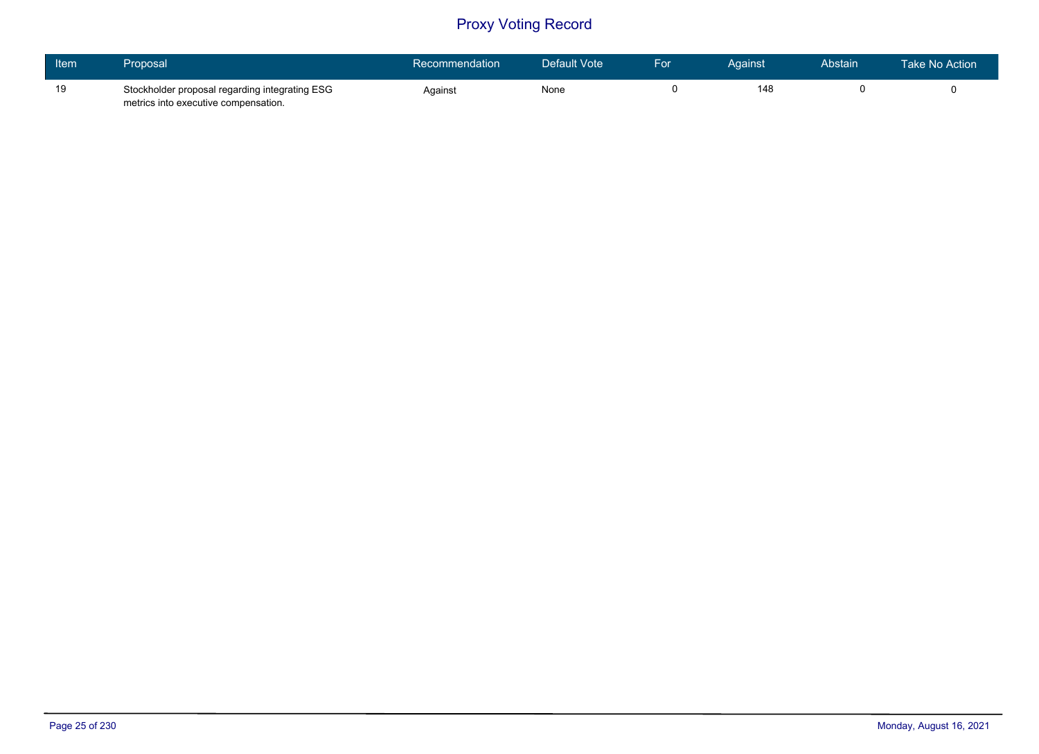| Item | Proposal                                                                               | Recommendation | Default Vote | For | Against | Abstain | Take No Action |
|------|----------------------------------------------------------------------------------------|----------------|--------------|-----|---------|---------|----------------|
| 19   | Stockholder proposal regarding integrating ESG<br>metrics into executive compensation. | Against        | None         |     | 148     |         |                |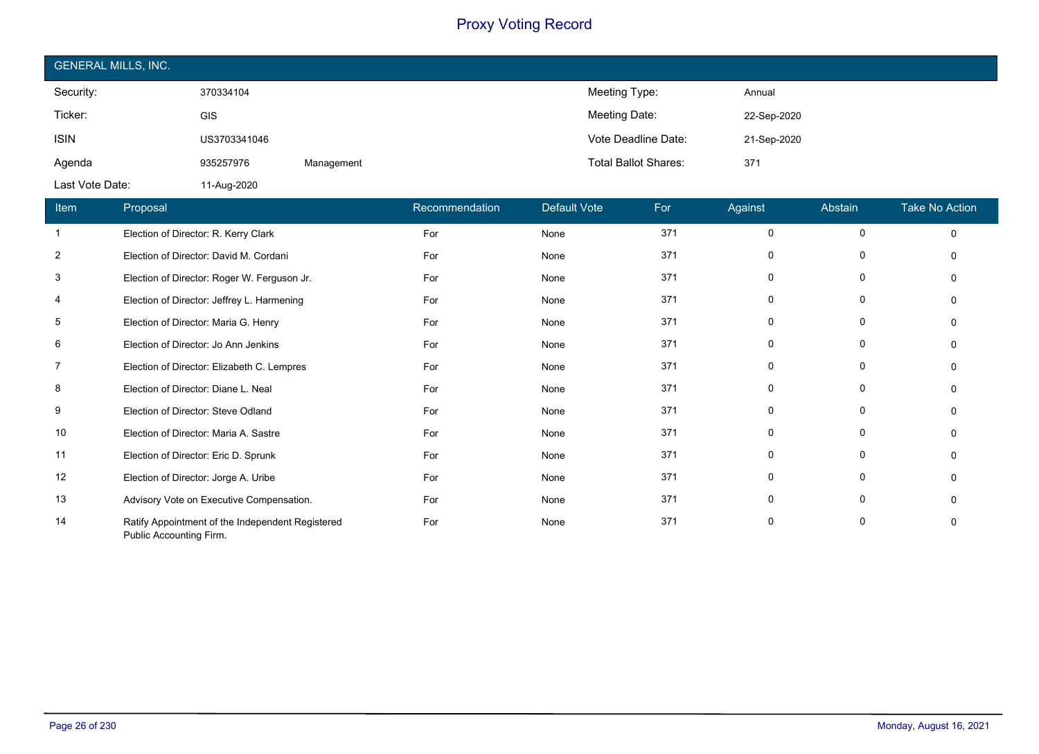| <b>GENERAL MILLS, INC.</b> |              |            |                             |             |  |  |  |
|----------------------------|--------------|------------|-----------------------------|-------------|--|--|--|
| Security:                  | 370334104    |            | Meeting Type:               | Annual      |  |  |  |
| Ticker:                    | GIS          |            | Meeting Date:               | 22-Sep-2020 |  |  |  |
| <b>ISIN</b>                | US3703341046 |            | Vote Deadline Date:         | 21-Sep-2020 |  |  |  |
| Agenda                     | 935257976    | Management | <b>Total Ballot Shares:</b> | 371         |  |  |  |
| Last Vote Date:            | 11-Aug-2020  |            |                             |             |  |  |  |

| Item           | Proposal                                                                    | Recommendation | <b>Default Vote</b> | For | Against      | Abstain     | Take No Action |
|----------------|-----------------------------------------------------------------------------|----------------|---------------------|-----|--------------|-------------|----------------|
|                | Election of Director: R. Kerry Clark                                        | For            | None                | 371 | $\Omega$     | 0           |                |
| $\overline{2}$ | Election of Director: David M. Cordani                                      | For            | None                | 371 | <sup>0</sup> | 0           |                |
| 3              | Election of Director: Roger W. Ferguson Jr.                                 | For            | None                | 371 | $\Omega$     | 0           |                |
| 4              | Election of Director: Jeffrey L. Harmening                                  | For            | None                | 371 | $\Omega$     | 0           |                |
| 5              | Election of Director: Maria G. Henry                                        | For            | None                | 371 | $\Omega$     | 0           |                |
| 6              | Election of Director: Jo Ann Jenkins                                        | For            | None                | 371 | $\Omega$     | 0           |                |
| 7              | Election of Director: Elizabeth C. Lempres                                  | For            | None                | 371 | $\Omega$     | $\mathbf 0$ |                |
| 8              | Election of Director: Diane L. Neal                                         | For            | None                | 371 | 0            | 0           |                |
| 9              | Election of Director: Steve Odland                                          | For            | None                | 371 | 0            | $\Omega$    |                |
| 10             | Election of Director: Maria A. Sastre                                       | For            | None                | 371 | $\Omega$     | $\Omega$    |                |
| 11             | Election of Director: Eric D. Sprunk                                        | For            | None                | 371 | $\Omega$     | 0           |                |
| 12             | Election of Director: Jorge A. Uribe                                        | For            | None                | 371 | $\Omega$     | 0           |                |
| 13             | Advisory Vote on Executive Compensation.                                    | For            | None                | 371 | $\Omega$     | 0           |                |
| 14             | Ratify Appointment of the Independent Registered<br>Public Accounting Firm. | For            | None                | 371 | $\Omega$     | 0           |                |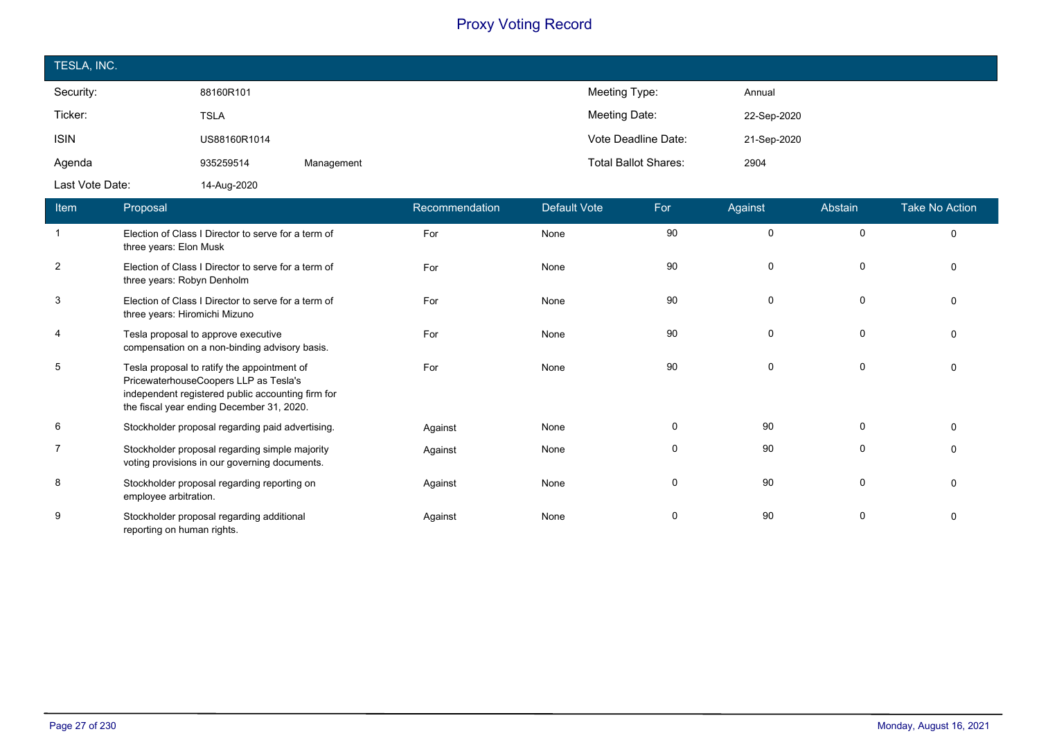| TESLA, INC.     |              |            |                             |             |
|-----------------|--------------|------------|-----------------------------|-------------|
| Security:       | 88160R101    |            | Meeting Type:               | Annual      |
| Ticker:         | <b>TSLA</b>  |            | Meeting Date:               | 22-Sep-2020 |
| <b>ISIN</b>     | US88160R1014 |            | Vote Deadline Date:         | 21-Sep-2020 |
| Agenda          | 935259514    | Management | <b>Total Ballot Shares:</b> | 2904        |
| Last Vote Date: | 14-Aug-2020  |            |                             |             |

| <b>Item</b>    | Proposal                                                                                                                                                                               | Recommendation | <b>Default Vote</b> | For      | Against     | Abstain  | <b>Take No Action</b> |
|----------------|----------------------------------------------------------------------------------------------------------------------------------------------------------------------------------------|----------------|---------------------|----------|-------------|----------|-----------------------|
|                | Election of Class I Director to serve for a term of<br>three years: Elon Musk                                                                                                          | For            | None                | 90       | $\mathbf 0$ | $\Omega$ | $\Omega$              |
| $\overline{2}$ | Election of Class I Director to serve for a term of<br>three years: Robyn Denholm                                                                                                      | For            | None                | 90       | 0           | $\Omega$ | $\Omega$              |
| 3              | Election of Class I Director to serve for a term of<br>three years: Hiromichi Mizuno                                                                                                   | For            | None                | 90       | $\mathbf 0$ | 0        | $\Omega$              |
| 4              | Tesla proposal to approve executive<br>compensation on a non-binding advisory basis.                                                                                                   | For            | None                | 90       | $\mathbf 0$ | $\Omega$ | $\Omega$              |
| 5              | Tesla proposal to ratify the appointment of<br>PricewaterhouseCoopers LLP as Tesla's<br>independent registered public accounting firm for<br>the fiscal year ending December 31, 2020. | For            | None                | 90       | 0           | $\Omega$ | $\Omega$              |
| 6              | Stockholder proposal regarding paid advertising.                                                                                                                                       | Against        | None                | $\Omega$ | 90          | $\Omega$ | $\Omega$              |
|                | Stockholder proposal regarding simple majority<br>voting provisions in our governing documents.                                                                                        | Against        | None                | 0        | 90          | 0        | $\mathbf{0}$          |
| 8              | Stockholder proposal regarding reporting on<br>employee arbitration.                                                                                                                   | Against        | None                | $\Omega$ | 90          | $\Omega$ | $\Omega$              |
| 9              | Stockholder proposal regarding additional<br>reporting on human rights.                                                                                                                | Against        | None                | $\Omega$ | 90          | $\Omega$ | $\Omega$              |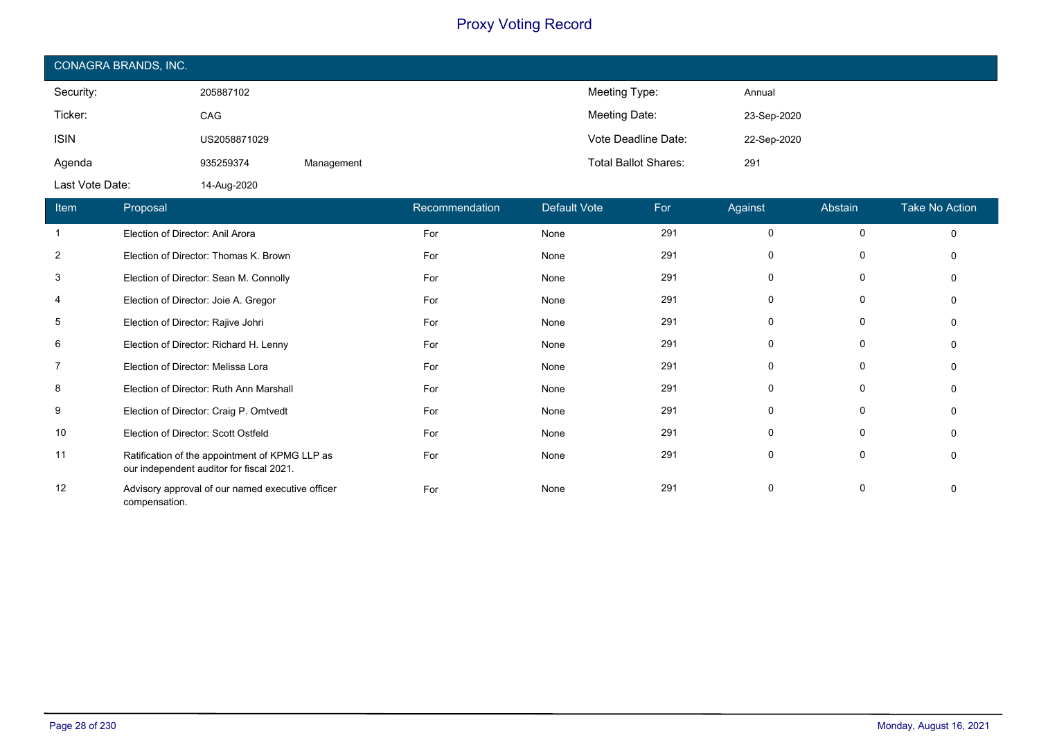| CONAGRA BRANDS, INC. |              |            |                             |             |  |  |  |
|----------------------|--------------|------------|-----------------------------|-------------|--|--|--|
| Security:            | 205887102    |            | Meeting Type:               | Annual      |  |  |  |
| Ticker:              | <b>CAG</b>   |            | Meeting Date:               | 23-Sep-2020 |  |  |  |
| <b>ISIN</b>          | US2058871029 |            | Vote Deadline Date:         | 22-Sep-2020 |  |  |  |
| Agenda               | 935259374    | Management | <b>Total Ballot Shares:</b> | 291         |  |  |  |
| Last Vote Date:      | 14-Aug-2020  |            |                             |             |  |  |  |

| Item           | Proposal                                                                                   | Recommendation | <b>Default Vote</b> | For | Against      | Abstain  | <b>Take No Action</b> |
|----------------|--------------------------------------------------------------------------------------------|----------------|---------------------|-----|--------------|----------|-----------------------|
|                | Election of Director: Anil Arora                                                           | For            | None                | 291 | $\Omega$     | $\Omega$ | $\Omega$              |
| 2              | Election of Director: Thomas K. Brown                                                      | For            | None                | 291 |              |          |                       |
| 3              | Election of Director: Sean M. Connolly                                                     | For            | None                | 291 | n            |          |                       |
| 4              | Election of Director: Joie A. Gregor                                                       | For            | None                | 291 | <sup>0</sup> | $\Omega$ |                       |
| 5              | Election of Director: Rajive Johri                                                         | For            | None                | 291 | 0            |          |                       |
| 6              | Election of Director: Richard H. Lenny                                                     | For            | None                | 291 | n            |          |                       |
| $\overline{7}$ | Election of Director: Melissa Lora                                                         | For            | None                | 291 |              | $\Omega$ |                       |
| 8              | Election of Director: Ruth Ann Marshall                                                    | For            | None                | 291 | 0            |          |                       |
| 9              | Election of Director: Craig P. Omtvedt                                                     | For            | None                | 291 | $\Omega$     |          |                       |
| 10             | Election of Director: Scott Ostfeld                                                        | For            | None                | 291 | <sup>0</sup> | $\Omega$ |                       |
| 11             | Ratification of the appointment of KPMG LLP as<br>our independent auditor for fiscal 2021. | For            | None                | 291 | $\Omega$     |          |                       |
| 12             | Advisory approval of our named executive officer<br>compensation.                          | For            | None                | 291 |              |          |                       |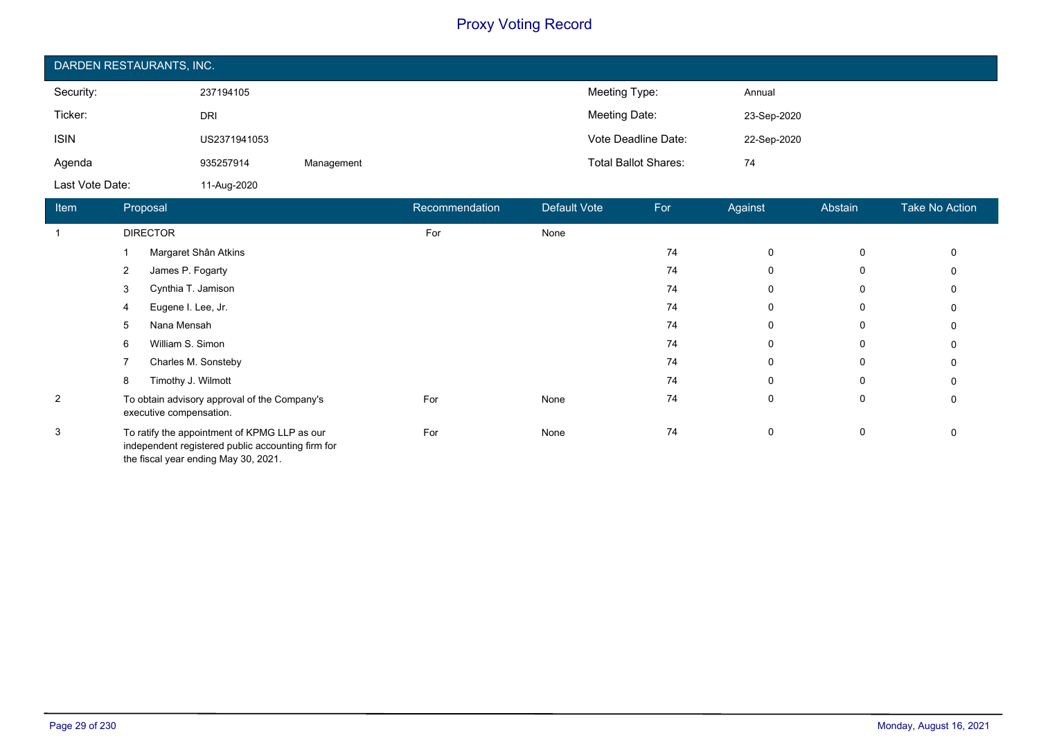| DARDEN RESTAURANTS, INC. |              |            |                             |             |  |  |  |
|--------------------------|--------------|------------|-----------------------------|-------------|--|--|--|
| Security:                | 237194105    |            | Meeting Type:               | Annual      |  |  |  |
| Ticker:                  | <b>DRI</b>   |            | Meeting Date:               | 23-Sep-2020 |  |  |  |
| <b>ISIN</b>              | US2371941053 |            | Vote Deadline Date:         | 22-Sep-2020 |  |  |  |
| Agenda                   | 935257914    | Management | <b>Total Ballot Shares:</b> | 74          |  |  |  |
| Last Vote Date:          | 11-Aug-2020  |            |                             |             |  |  |  |

| <b>Item</b>    | Proposal                                                                                                                                  | Recommendation | <b>Default Vote</b> | For | Against     | Abstain     | Take No Action |
|----------------|-------------------------------------------------------------------------------------------------------------------------------------------|----------------|---------------------|-----|-------------|-------------|----------------|
|                | <b>DIRECTOR</b>                                                                                                                           | For            | None                |     |             |             |                |
|                | Margaret Shân Atkins                                                                                                                      |                |                     | 74  | $\mathbf 0$ | 0           | $\Omega$       |
|                | James P. Fogarty<br>2                                                                                                                     |                |                     | 74  | 0           | 0           | 0              |
|                | Cynthia T. Jamison<br>3                                                                                                                   |                |                     | 74  | 0           | 0           |                |
|                | Eugene I. Lee, Jr.<br>4                                                                                                                   |                |                     | 74  | $\Omega$    | 0           |                |
|                | Nana Mensah<br>5                                                                                                                          |                |                     | 74  | 0           | $\mathbf 0$ | 0              |
|                | William S. Simon<br>6                                                                                                                     |                |                     | 74  | $\Omega$    | 0           | $\Omega$       |
|                | Charles M. Sonsteby                                                                                                                       |                |                     | 74  | 0           | 0           | 0              |
|                | Timothy J. Wilmott<br>8                                                                                                                   |                |                     | 74  | $\Omega$    | $\mathbf 0$ |                |
| $\overline{2}$ | To obtain advisory approval of the Company's<br>executive compensation.                                                                   | For            | None                | 74  | 0           | 0           | 0              |
| 3              | To ratify the appointment of KPMG LLP as our<br>independent registered public accounting firm for<br>the fiscal year ending May 30, 2021. | For            | None                | 74  | 0           | 0           | 0              |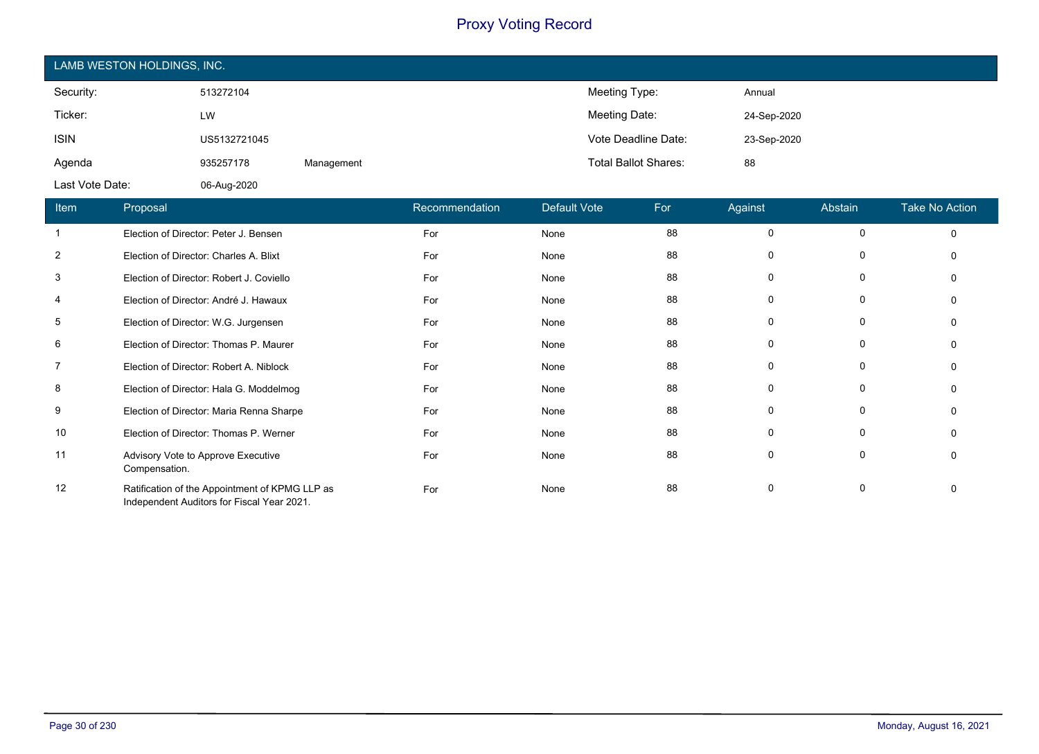| LAMB WESTON HOLDINGS, INC. |              |            |                             |             |  |  |  |
|----------------------------|--------------|------------|-----------------------------|-------------|--|--|--|
| Security:                  | 513272104    |            | Meeting Type:               | Annual      |  |  |  |
| Ticker:                    | LW           |            | Meeting Date:               | 24-Sep-2020 |  |  |  |
| <b>ISIN</b>                | US5132721045 |            | Vote Deadline Date:         | 23-Sep-2020 |  |  |  |
| Agenda                     | 935257178    | Management | <b>Total Ballot Shares:</b> | 88          |  |  |  |
| Last Vote Date:            | 06-Aug-2020  |            |                             |             |  |  |  |

| Item           | Proposal                                                                                     | Recommendation | <b>Default Vote</b> | For | Against  | Abstain  | <b>Take No Action</b> |
|----------------|----------------------------------------------------------------------------------------------|----------------|---------------------|-----|----------|----------|-----------------------|
|                | Election of Director: Peter J. Bensen                                                        | For            | None                | 88  | 0        | $\Omega$ | $\mathbf 0$           |
| 2              | Election of Director: Charles A. Blixt                                                       | For            | None                | 88  | 0        |          |                       |
| 3              | Election of Director: Robert J. Coviello                                                     | For            | None                | 88  | $\Omega$ |          |                       |
| 4              | Election of Director: André J. Hawaux                                                        | For            | None                | 88  | $\Omega$ | n        |                       |
| 5              | Election of Director: W.G. Jurgensen                                                         | For            | None                | 88  | 0        |          |                       |
| 6              | Election of Director: Thomas P. Maurer                                                       | For            | None                | 88  | 0        |          | O                     |
| $\overline{7}$ | Election of Director: Robert A. Niblock                                                      | For            | None                | 88  | $\Omega$ | $\Omega$ | $\Omega$              |
| 8              | Election of Director: Hala G. Moddelmog                                                      | For            | None                | 88  | 0        |          | O                     |
| 9              | Election of Director: Maria Renna Sharpe                                                     | For            | None                | 88  | 0        |          | O                     |
| 10             | Election of Director: Thomas P. Werner                                                       | For            | None                | 88  | $\Omega$ | $\Omega$ | O                     |
| 11             | Advisory Vote to Approve Executive<br>Compensation.                                          | For            | None                | 88  | 0        |          | O                     |
| 12             | Ratification of the Appointment of KPMG LLP as<br>Independent Auditors for Fiscal Year 2021. | For            | None                | 88  | 0        |          | $\Omega$              |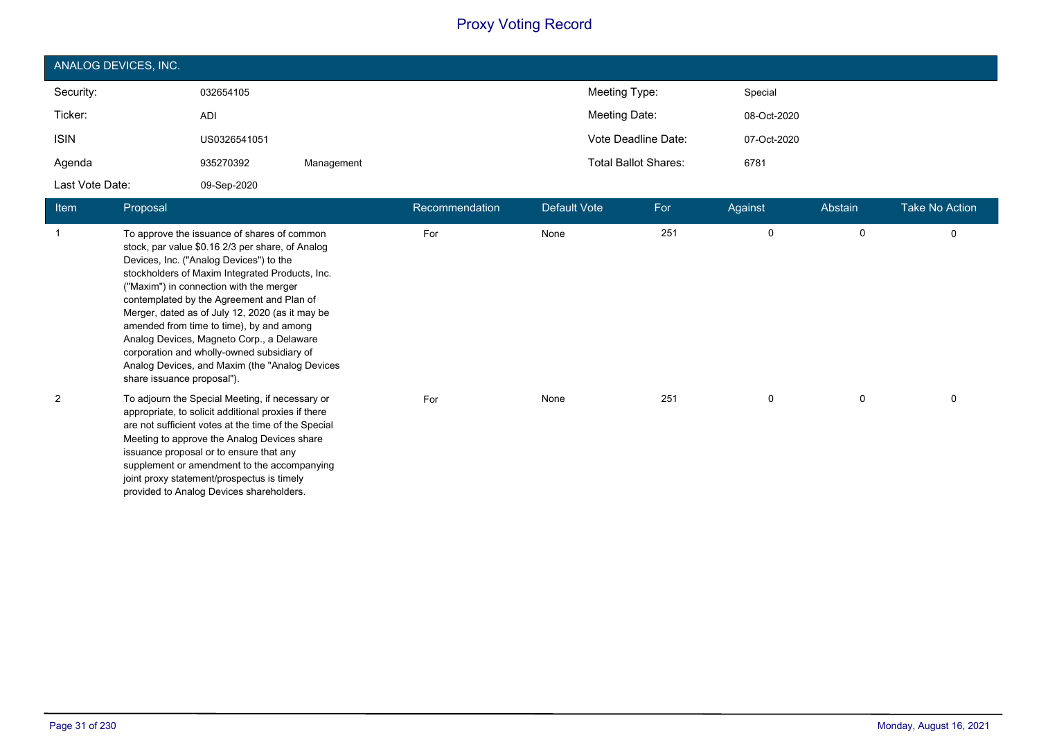| ANALOG DEVICES, INC. |              |            |                             |             |  |  |
|----------------------|--------------|------------|-----------------------------|-------------|--|--|
| Security:            | 032654105    |            | Meeting Type:               | Special     |  |  |
| Ticker:              | ADI          |            | Meeting Date:               | 08-Oct-2020 |  |  |
| <b>ISIN</b>          | US0326541051 |            | Vote Deadline Date:         | 07-Oct-2020 |  |  |
| Agenda               | 935270392    | Management | <b>Total Ballot Shares:</b> | 6781        |  |  |
| Last Vote Date:      | 09-Sep-2020  |            |                             |             |  |  |

| <b>Item</b> | Proposal                                                                                                                                                                                                                                                                                                                                                                                                                                                                                                                                                         | Recommendation | Default Vote | For | Against | Abstain | <b>Take No Action</b> |
|-------------|------------------------------------------------------------------------------------------------------------------------------------------------------------------------------------------------------------------------------------------------------------------------------------------------------------------------------------------------------------------------------------------------------------------------------------------------------------------------------------------------------------------------------------------------------------------|----------------|--------------|-----|---------|---------|-----------------------|
| 1           | To approve the issuance of shares of common<br>stock, par value \$0.16 2/3 per share, of Analog<br>Devices, Inc. ("Analog Devices") to the<br>stockholders of Maxim Integrated Products, Inc.<br>("Maxim") in connection with the merger<br>contemplated by the Agreement and Plan of<br>Merger, dated as of July 12, 2020 (as it may be<br>amended from time to time), by and among<br>Analog Devices, Magneto Corp., a Delaware<br>corporation and wholly-owned subsidiary of<br>Analog Devices, and Maxim (the "Analog Devices"<br>share issuance proposal"). | For            | None         | 251 | 0       | 0       | 0                     |
| 2           | To adjourn the Special Meeting, if necessary or<br>appropriate, to solicit additional proxies if there<br>are not sufficient votes at the time of the Special<br>Meeting to approve the Analog Devices share<br>issuance proposal or to ensure that any<br>supplement or amendment to the accompanying<br>joint proxy statement/prospectus is timely<br>provided to Analog Devices shareholders.                                                                                                                                                                 | For            | None         | 251 | 0       | 0       | 0                     |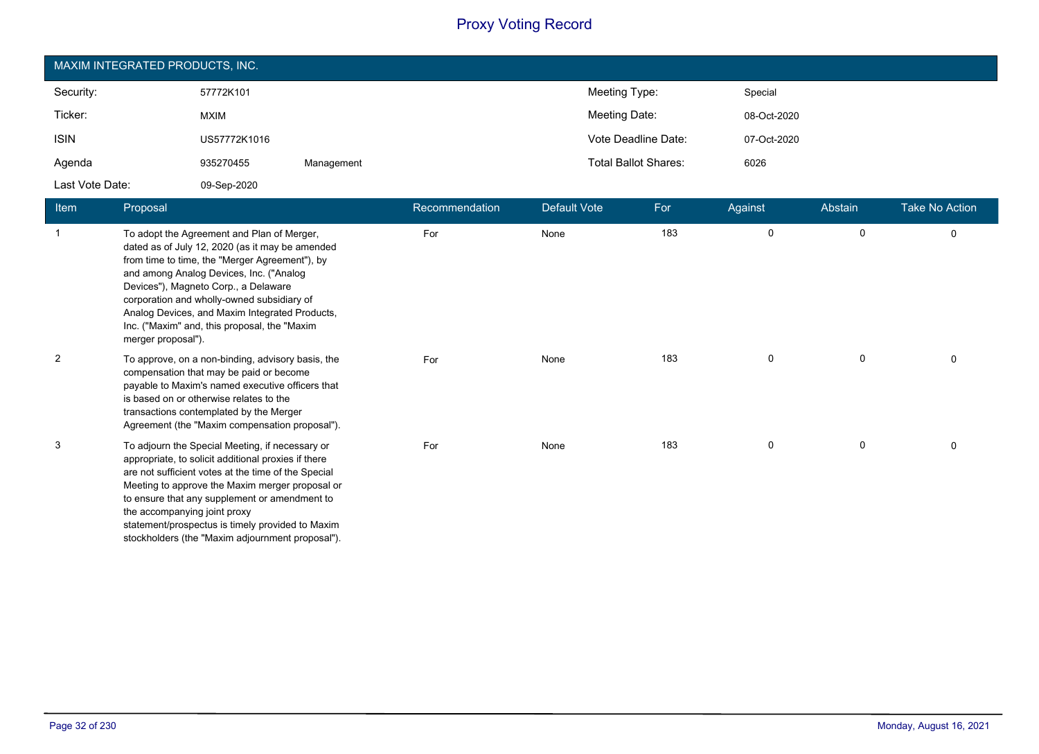| MAXIM INTEGRATED PRODUCTS, INC. |              |            |                             |             |  |  |  |
|---------------------------------|--------------|------------|-----------------------------|-------------|--|--|--|
| Security:                       | 57772K101    |            | Meeting Type:               | Special     |  |  |  |
| Ticker:                         | <b>MXIM</b>  |            | Meeting Date:               | 08-Oct-2020 |  |  |  |
| <b>ISIN</b>                     | US57772K1016 |            | Vote Deadline Date:         | 07-Oct-2020 |  |  |  |
| Agenda                          | 935270455    | Management | <b>Total Ballot Shares:</b> | 6026        |  |  |  |
| Last Vote Date:                 | 09-Sep-2020  |            |                             |             |  |  |  |

| <b>Item</b>    | Proposal                                                                                                                                                                                                                                                                                                                                                                                                  | Recommendation | Default Vote | For | Against | Abstain | <b>Take No Action</b> |
|----------------|-----------------------------------------------------------------------------------------------------------------------------------------------------------------------------------------------------------------------------------------------------------------------------------------------------------------------------------------------------------------------------------------------------------|----------------|--------------|-----|---------|---------|-----------------------|
|                | To adopt the Agreement and Plan of Merger,<br>dated as of July 12, 2020 (as it may be amended<br>from time to time, the "Merger Agreement"), by<br>and among Analog Devices, Inc. ("Analog<br>Devices"), Magneto Corp., a Delaware<br>corporation and wholly-owned subsidiary of<br>Analog Devices, and Maxim Integrated Products,<br>Inc. ("Maxim" and, this proposal, the "Maxim"<br>merger proposal"). | For            | None         | 183 | 0       | 0       | 0                     |
| $\overline{2}$ | To approve, on a non-binding, advisory basis, the<br>compensation that may be paid or become<br>payable to Maxim's named executive officers that<br>is based on or otherwise relates to the<br>transactions contemplated by the Merger<br>Agreement (the "Maxim compensation proposal").                                                                                                                  | For            | None         | 183 | 0       | 0       | 0                     |
| 3              | To adjourn the Special Meeting, if necessary or<br>appropriate, to solicit additional proxies if there<br>are not sufficient votes at the time of the Special<br>Meeting to approve the Maxim merger proposal or<br>to ensure that any supplement or amendment to<br>the accompanying joint proxy<br>statement/prospectus is timely provided to Maxim<br>stockholders (the "Maxim adjournment proposal"). | For            | None         | 183 | 0       | 0       | 0                     |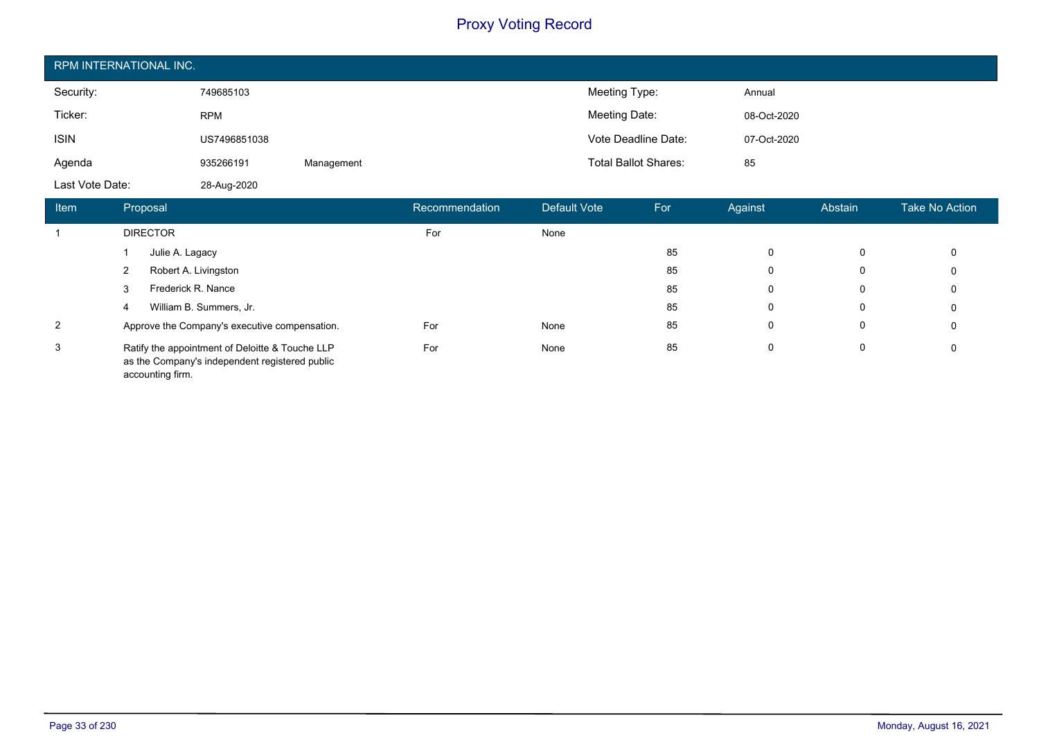| RPM INTERNATIONAL INC. |              |            |                             |             |  |  |
|------------------------|--------------|------------|-----------------------------|-------------|--|--|
| Security:              | 749685103    |            | Meeting Type:               | Annual      |  |  |
| Ticker:                | <b>RPM</b>   |            | Meeting Date:               | 08-Oct-2020 |  |  |
| <b>ISIN</b>            | US7496851038 |            | Vote Deadline Date:         | 07-Oct-2020 |  |  |
| Agenda                 | 935266191    | Management | <b>Total Ballot Shares:</b> | 85          |  |  |
| Last Vote Date:        | 28-Aug-2020  |            |                             |             |  |  |

| Item           | Proposal                                                                                                              | Recommendation | Default Vote | For | Against | Abstain | <b>Take No Action</b> |
|----------------|-----------------------------------------------------------------------------------------------------------------------|----------------|--------------|-----|---------|---------|-----------------------|
|                | <b>DIRECTOR</b>                                                                                                       | For            | None         |     |         |         |                       |
|                | Julie A. Lagacy                                                                                                       |                |              | 85  | 0       | 0       | 0                     |
|                | Robert A. Livingston                                                                                                  |                |              | 85  | 0       | 0       | 0                     |
|                | Frederick R. Nance<br>3                                                                                               |                |              | 85  | 0       | 0       | 0                     |
|                | William B. Summers, Jr.<br>4                                                                                          |                |              | 85  | 0       | 0       | 0                     |
| $\overline{2}$ | Approve the Company's executive compensation.                                                                         | For            | None         | 85  | 0       | 0       | 0                     |
| 3              | Ratify the appointment of Deloitte & Touche LLP<br>as the Company's independent registered public<br>accounting firm. | For            | None         | 85  | 0       | 0       | 0                     |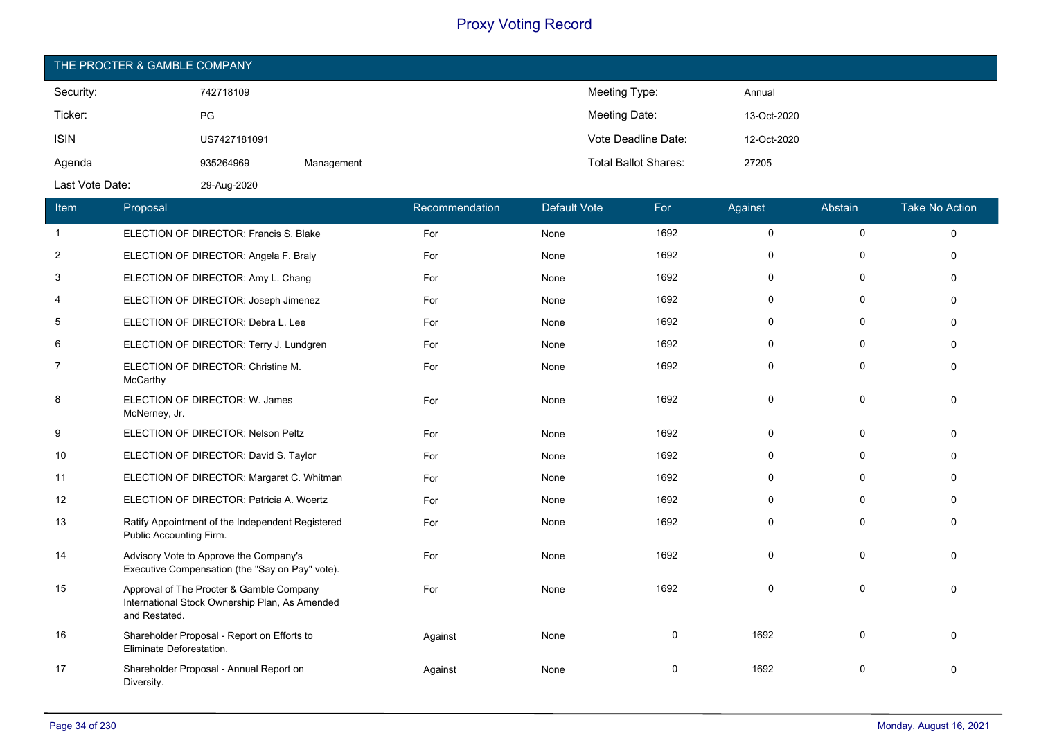|                 | THE PROCTER & GAMBLE COMPANY |                                                                                           |            |                |                     |                             |              |             |                       |
|-----------------|------------------------------|-------------------------------------------------------------------------------------------|------------|----------------|---------------------|-----------------------------|--------------|-------------|-----------------------|
| Security:       |                              | 742718109                                                                                 |            |                | Meeting Type:       |                             | Annual       |             |                       |
| Ticker:         |                              | PG                                                                                        |            |                | Meeting Date:       |                             | 13-Oct-2020  |             |                       |
| <b>ISIN</b>     |                              | US7427181091                                                                              |            |                |                     | Vote Deadline Date:         | 12-Oct-2020  |             |                       |
| Agenda          |                              | 935264969                                                                                 | Management |                |                     | <b>Total Ballot Shares:</b> | 27205        |             |                       |
| Last Vote Date: |                              | 29-Aug-2020                                                                               |            |                |                     |                             |              |             |                       |
| Item            | Proposal                     |                                                                                           |            | Recommendation | <b>Default Vote</b> | For                         | Against      | Abstain     | <b>Take No Action</b> |
| $\mathbf{1}$    |                              | ELECTION OF DIRECTOR: Francis S. Blake                                                    |            | For            | None                | 1692                        | $\mathbf 0$  | $\pmb{0}$   | $\Omega$              |
| $\overline{2}$  |                              | ELECTION OF DIRECTOR: Angela F. Braly                                                     |            | For            | None                | 1692                        | $\mathbf 0$  | $\Omega$    | $\Omega$              |
| 3               |                              | ELECTION OF DIRECTOR: Amy L. Chang                                                        |            | For            | None                | 1692                        | $\mathbf 0$  | $\mathbf 0$ | $\Omega$              |
| 4               |                              | ELECTION OF DIRECTOR: Joseph Jimenez                                                      |            | For            | None                | 1692                        | $\mathbf 0$  | $\Omega$    | $\Omega$              |
| 5               |                              | ELECTION OF DIRECTOR: Debra L. Lee                                                        |            | For            | None                | 1692                        | $\mathbf 0$  | $\mathbf 0$ | $\Omega$              |
| 6               |                              | ELECTION OF DIRECTOR: Terry J. Lundgren                                                   |            | For            | None                | 1692                        | $\mathbf 0$  | $\Omega$    | $\Omega$              |
| $\overline{7}$  | McCarthy                     | ELECTION OF DIRECTOR: Christine M.                                                        |            | For            | None                | 1692                        | $\mathbf 0$  | $\mathbf 0$ | $\Omega$              |
| 8               | McNerney, Jr.                | ELECTION OF DIRECTOR: W. James                                                            |            | For            | None                | 1692                        | $\mathbf 0$  | $\Omega$    | $\Omega$              |
| 9               |                              | ELECTION OF DIRECTOR: Nelson Peltz                                                        |            | For            | None                | 1692                        | $\mathbf 0$  | $\mathbf 0$ | $\Omega$              |
| 10              |                              | ELECTION OF DIRECTOR: David S. Taylor                                                     |            | For            | None                | 1692                        | $\Omega$     | $\Omega$    | $\Omega$              |
| 11              |                              | ELECTION OF DIRECTOR: Margaret C. Whitman                                                 |            | For            | None                | 1692                        | $\Omega$     | $\Omega$    | $\Omega$              |
| 12              |                              | ELECTION OF DIRECTOR: Patricia A. Woertz                                                  |            | For            | None                | 1692                        | $\Omega$     | $\Omega$    | $\Omega$              |
| 13              | Public Accounting Firm.      | Ratify Appointment of the Independent Registered                                          |            | For            | None                | 1692                        | $\mathbf{0}$ | $\Omega$    | $\Omega$              |
| 14              |                              | Advisory Vote to Approve the Company's<br>Executive Compensation (the "Say on Pay" vote). |            | For            | None                | 1692                        | 0            | $\mathbf 0$ | $\Omega$              |

| 14 | Advisory Vote to Approve the Company's<br>Executive Compensation (the "Say on Pay" vote).                   | For     | None | 1692 |      |  |
|----|-------------------------------------------------------------------------------------------------------------|---------|------|------|------|--|
| 15 | Approval of The Procter & Gamble Company<br>International Stock Ownership Plan, As Amended<br>and Restated. | For     | None | 1692 |      |  |
| 16 | Shareholder Proposal - Report on Efforts to<br>Eliminate Deforestation.                                     | Against | None | 0    | 1692 |  |
| 17 | Shareholder Proposal - Annual Report on<br>Diversity.                                                       | Against | None | 0    | 1692 |  |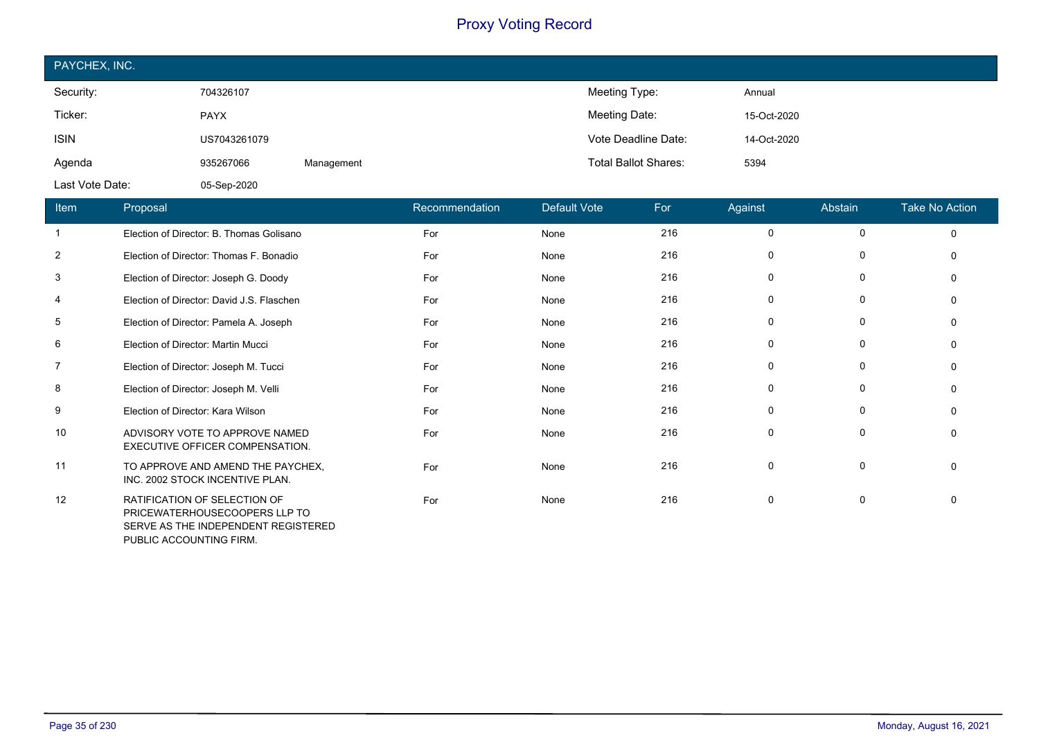| PAYCHEX, INC.   |              |            |                             |             |
|-----------------|--------------|------------|-----------------------------|-------------|
| Security:       | 704326107    |            | Meeting Type:               | Annual      |
| Ticker:         | <b>PAYX</b>  |            | Meeting Date:               | 15-Oct-2020 |
| <b>ISIN</b>     | US7043261079 |            | Vote Deadline Date:         | 14-Oct-2020 |
| Agenda          | 935267066    | Management | <b>Total Ballot Shares:</b> | 5394        |
| Last Vote Date: | 05-Sep-2020  |            |                             |             |

| Item | Proposal                                                                                             | Recommendation | Default Vote | For | Against     | Abstain     | Take No Action |
|------|------------------------------------------------------------------------------------------------------|----------------|--------------|-----|-------------|-------------|----------------|
|      | Election of Director: B. Thomas Golisano                                                             | For            | None         | 216 | 0           | $\mathbf 0$ | $\Omega$       |
| 2    | Election of Director: Thomas F. Bonadio                                                              | For            | None         | 216 | 0           | 0           | $\mathbf{0}$   |
| 3    | Election of Director: Joseph G. Doody                                                                | For            | None         | 216 | 0           | 0           | $\mathbf{0}$   |
| 4    | Election of Director: David J.S. Flaschen                                                            | For            | None         | 216 | 0           | 0           | $\mathbf{0}$   |
| 5    | Election of Director: Pamela A. Joseph                                                               | For            | None         | 216 | 0           | 0           | $\mathbf{0}$   |
| 6    | Election of Director: Martin Mucci                                                                   | For            | None         | 216 | 0           | 0           | $\mathbf{0}$   |
| 7    | Election of Director: Joseph M. Tucci                                                                | For            | None         | 216 | 0           | 0           | $\mathbf{0}$   |
| 8    | Election of Director: Joseph M. Velli                                                                | For            | None         | 216 | $\mathbf 0$ | 0           | $\Omega$       |
| 9    | Election of Director: Kara Wilson                                                                    | For            | None         | 216 | 0           | 0           | 0              |
| 10   | ADVISORY VOTE TO APPROVE NAMED<br>EXECUTIVE OFFICER COMPENSATION.                                    | For            | None         | 216 | $\mathbf 0$ | 0           | 0              |
| 11   | TO APPROVE AND AMEND THE PAYCHEX,<br>INC. 2002 STOCK INCENTIVE PLAN.                                 | For            | None         | 216 | $\mathbf 0$ | $\mathbf 0$ | $\mathbf{0}$   |
| 12   | RATIFICATION OF SELECTION OF<br>PRICEWATERHOUSECOOPERS LLP TO<br>SERVE AS THE INDEPENDENT REGISTERED | For            | None         | 216 | 0           | 0           | $\mathbf{0}$   |

PUBLIC ACCOUNTING FIRM.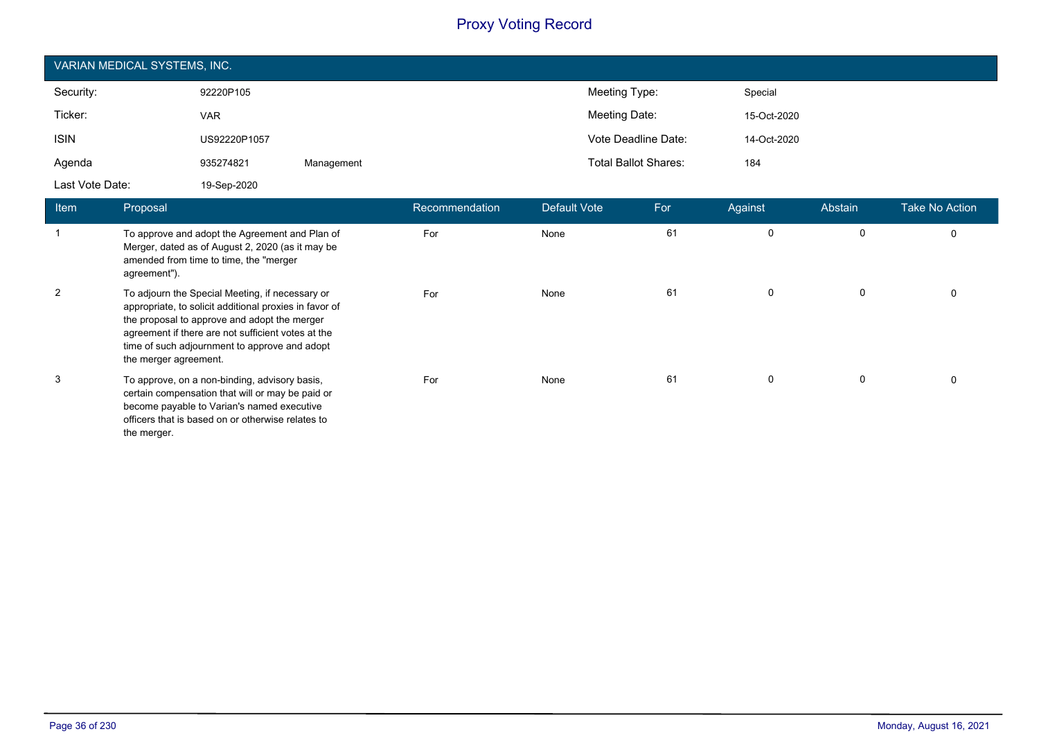| VARIAN MEDICAL SYSTEMS, INC. |              |            |                             |             |  |  |  |
|------------------------------|--------------|------------|-----------------------------|-------------|--|--|--|
| Security:                    | 92220P105    |            | Meeting Type:               | Special     |  |  |  |
| Ticker:                      | <b>VAR</b>   |            | Meeting Date:               | 15-Oct-2020 |  |  |  |
| <b>ISIN</b>                  | US92220P1057 |            | Vote Deadline Date:         | 14-Oct-2020 |  |  |  |
| Agenda                       | 935274821    | Management | <b>Total Ballot Shares:</b> | 184         |  |  |  |
| Last Vote Date:              | 19-Sep-2020  |            |                             |             |  |  |  |

| <b>Item</b> | Proposal                                                                                                                                                                                                                                                                                  | Recommendation | Default Vote | For | Against     | Abstain | <b>Take No Action</b> |
|-------------|-------------------------------------------------------------------------------------------------------------------------------------------------------------------------------------------------------------------------------------------------------------------------------------------|----------------|--------------|-----|-------------|---------|-----------------------|
|             | To approve and adopt the Agreement and Plan of<br>Merger, dated as of August 2, 2020 (as it may be<br>amended from time to time, the "merger<br>agreement").                                                                                                                              | For            | None         | 61  | $\mathbf 0$ | 0       | 0                     |
| 2           | To adjourn the Special Meeting, if necessary or<br>appropriate, to solicit additional proxies in favor of<br>the proposal to approve and adopt the merger<br>agreement if there are not sufficient votes at the<br>time of such adjournment to approve and adopt<br>the merger agreement. | For            | None         | 61  | $\mathbf 0$ | 0       | 0                     |
| 3           | To approve, on a non-binding, advisory basis,<br>certain compensation that will or may be paid or<br>become payable to Varian's named executive<br>officers that is based on or otherwise relates to<br>the merger.                                                                       | For            | None         | 61  | $\mathbf 0$ | 0       | $\Omega$              |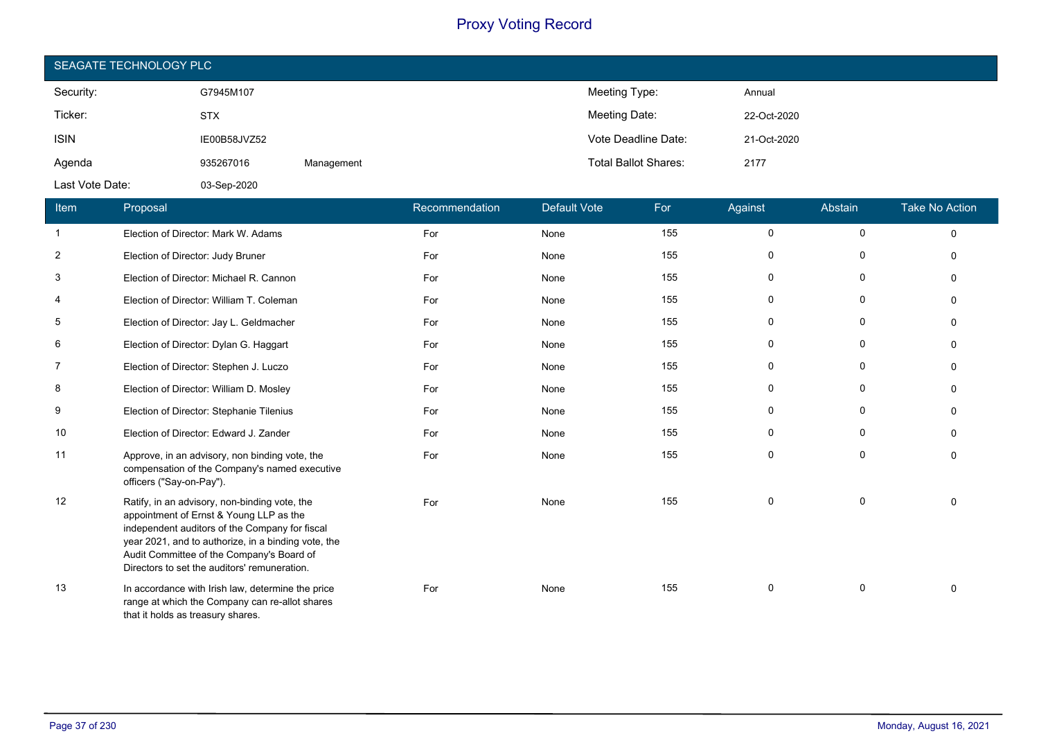| SEAGATE TECHNOLOGY PLC |              |            |                             |             |  |  |  |
|------------------------|--------------|------------|-----------------------------|-------------|--|--|--|
| Security:              | G7945M107    |            | Meeting Type:               | Annual      |  |  |  |
| Ticker:                | <b>STX</b>   |            | Meeting Date:               | 22-Oct-2020 |  |  |  |
| <b>ISIN</b>            | IE00B58JVZ52 |            | Vote Deadline Date:         | 21-Oct-2020 |  |  |  |
| Agenda                 | 935267016    | Management | <b>Total Ballot Shares:</b> | 2177        |  |  |  |
| Last Vote Date:        | 03-Sep-2020  |            |                             |             |  |  |  |

| Item       | Proposal                                                                                                                                                                                                                                                                                       | Recommendation | Default Vote | For | Against  | Abstain      | <b>Take No Action</b> |
|------------|------------------------------------------------------------------------------------------------------------------------------------------------------------------------------------------------------------------------------------------------------------------------------------------------|----------------|--------------|-----|----------|--------------|-----------------------|
| 1          | Election of Director: Mark W. Adams                                                                                                                                                                                                                                                            | For            | None         | 155 | 0        | 0            | $\Omega$              |
| $\sqrt{2}$ | Election of Director: Judy Bruner                                                                                                                                                                                                                                                              | For            | None         | 155 | 0        | 0            | $\Omega$              |
| 3          | Election of Director: Michael R. Cannon                                                                                                                                                                                                                                                        | For            | None         | 155 | 0        | 0            | $\Omega$              |
| 4          | Election of Director: William T. Coleman                                                                                                                                                                                                                                                       | For            | None         | 155 | $\Omega$ | 0            |                       |
| 5          | Election of Director: Jay L. Geldmacher                                                                                                                                                                                                                                                        | For            | None         | 155 | 0        | $\mathbf{0}$ |                       |
| 6          | Election of Director: Dylan G. Haggart                                                                                                                                                                                                                                                         | For            | None         | 155 | 0        | 0            |                       |
| 7          | Election of Director: Stephen J. Luczo                                                                                                                                                                                                                                                         | For            | None         | 155 | 0        | 0            | $\Omega$              |
| 8          | Election of Director: William D. Mosley                                                                                                                                                                                                                                                        | For            | None         | 155 | 0        | 0            | $\Omega$              |
| 9          | Election of Director: Stephanie Tilenius                                                                                                                                                                                                                                                       | For            | None         | 155 | 0        | 0            | ∩                     |
| 10         | Election of Director: Edward J. Zander                                                                                                                                                                                                                                                         | For            | None         | 155 | 0        | 0            |                       |
| 11         | Approve, in an advisory, non binding vote, the<br>compensation of the Company's named executive<br>officers ("Say-on-Pay").                                                                                                                                                                    | For            | None         | 155 | $\Omega$ | $\mathbf 0$  | $\Omega$              |
| 12         | Ratify, in an advisory, non-binding vote, the<br>appointment of Ernst & Young LLP as the<br>independent auditors of the Company for fiscal<br>year 2021, and to authorize, in a binding vote, the<br>Audit Committee of the Company's Board of<br>Directors to set the auditors' remuneration. | For            | None         | 155 | $\Omega$ | 0            | $\Omega$              |
| 13         | In accordance with Irish law, determine the price<br>range at which the Company can re-allot shares<br>that it holds as treasury shares.                                                                                                                                                       | For            | None         | 155 | $\Omega$ | 0            |                       |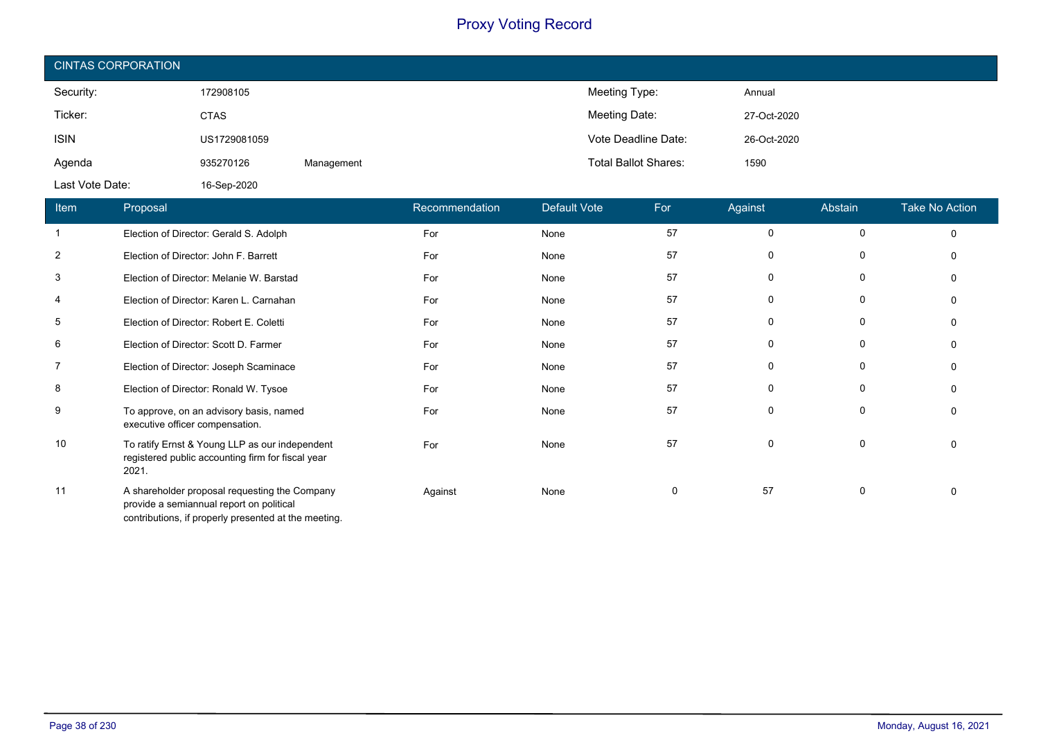| <b>CINTAS CORPORATION</b> |              |            |                             |             |  |  |
|---------------------------|--------------|------------|-----------------------------|-------------|--|--|
| Security:                 | 172908105    |            | Meeting Type:               | Annual      |  |  |
| Ticker:                   | <b>CTAS</b>  |            | Meeting Date:               | 27-Oct-2020 |  |  |
| <b>ISIN</b>               | US1729081059 |            | Vote Deadline Date:         | 26-Oct-2020 |  |  |
| Agenda                    | 935270126    | Management | <b>Total Ballot Shares:</b> | 1590        |  |  |
| Last Vote Date:           | 16-Sep-2020  |            |                             |             |  |  |

| Item           | Proposal                                                                                                                                          | Recommendation | <b>Default Vote</b> | For      | Against     | Abstain      | <b>Take No Action</b> |
|----------------|---------------------------------------------------------------------------------------------------------------------------------------------------|----------------|---------------------|----------|-------------|--------------|-----------------------|
|                | Election of Director: Gerald S. Adolph                                                                                                            | For            | None                | 57       | 0           | $\mathbf{0}$ | $\Omega$              |
| $\overline{2}$ | Election of Director: John F. Barrett                                                                                                             | For            | None                | 57       | 0           | 0            | $\Omega$              |
| 3              | Election of Director: Melanie W. Barstad                                                                                                          | For            | None                | 57       | $\mathbf 0$ | 0            | $\Omega$              |
| 4              | Election of Director: Karen L. Carnahan                                                                                                           | For            | None                | 57       | 0           | 0            | $\Omega$              |
| 5              | Election of Director: Robert E. Coletti                                                                                                           | For            | None                | 57       | 0           | 0            | $\Omega$              |
| 6              | Election of Director: Scott D. Farmer                                                                                                             | For            | None                | 57       | 0           | 0            | 0                     |
| 7              | Election of Director: Joseph Scaminace                                                                                                            | For            | None                | 57       | 0           | 0            | $\Omega$              |
| 8              | Election of Director: Ronald W. Tysoe                                                                                                             | For            | None                | 57       | 0           | 0            | $\Omega$              |
| 9              | To approve, on an advisory basis, named<br>executive officer compensation.                                                                        | For            | None                | 57       | 0           | 0            | $\Omega$              |
| 10             | To ratify Ernst & Young LLP as our independent<br>registered public accounting firm for fiscal year<br>2021.                                      | For            | None                | 57       | $\mathbf 0$ | 0            | $\Omega$              |
| 11             | A shareholder proposal requesting the Company<br>provide a semiannual report on political<br>contributions, if properly presented at the meeting. | Against        | None                | $\Omega$ | 57          | 0            | $\Omega$              |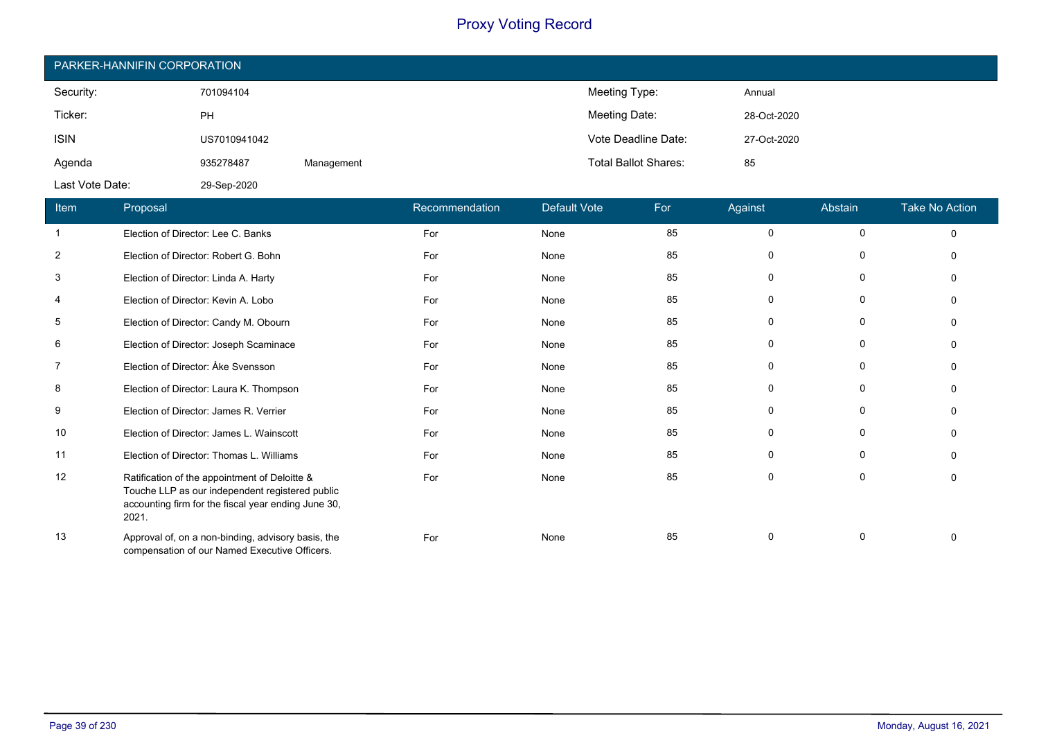| PARKER-HANNIFIN CORPORATION |              |            |                             |             |  |  |  |
|-----------------------------|--------------|------------|-----------------------------|-------------|--|--|--|
| Security:                   | 701094104    |            | Meeting Type:               | Annual      |  |  |  |
| Ticker:                     | PH           |            | Meeting Date:               | 28-Oct-2020 |  |  |  |
| <b>ISIN</b>                 | US7010941042 |            | Vote Deadline Date:         | 27-Oct-2020 |  |  |  |
| Agenda                      | 935278487    | Management | <b>Total Ballot Shares:</b> | 85          |  |  |  |
| Last Vote Date:             | 29-Sep-2020  |            |                             |             |  |  |  |

| Item           | Proposal                                                                                                                                                         | Recommendation | <b>Default Vote</b> | For | Against      | Abstain  | <b>Take No Action</b> |
|----------------|------------------------------------------------------------------------------------------------------------------------------------------------------------------|----------------|---------------------|-----|--------------|----------|-----------------------|
|                | Election of Director: Lee C. Banks                                                                                                                               | For            | None                | 85  | $\Omega$     | $\Omega$ |                       |
| $\overline{2}$ | Election of Director: Robert G. Bohn                                                                                                                             | For            | None                | 85  | $\Omega$     | 0        |                       |
| 3              | Election of Director: Linda A. Harty                                                                                                                             | For            | None                | 85  | <sup>0</sup> | 0        |                       |
| 4              | Election of Director: Kevin A. Lobo                                                                                                                              | For            | None                | 85  | $\Omega$     | $\Omega$ |                       |
| 5              | Election of Director: Candy M. Obourn                                                                                                                            | For            | None                | 85  | $\Omega$     | 0        |                       |
| 6              | Election of Director: Joseph Scaminace                                                                                                                           | For            | None                | 85  | ŋ            | $\Omega$ |                       |
| $\overline{7}$ | Election of Director: Åke Svensson                                                                                                                               | For            | None                | 85  | $\Omega$     | $\Omega$ |                       |
| 8              | Election of Director: Laura K. Thompson                                                                                                                          | For            | None                | 85  | 0            | 0        |                       |
| 9              | Election of Director: James R. Verrier                                                                                                                           | For            | None                | 85  | ŋ            | $\Omega$ |                       |
| 10             | Election of Director: James L. Wainscott                                                                                                                         | For            | None                | 85  | $\Omega$     | $\Omega$ |                       |
| 11             | Election of Director: Thomas L. Williams                                                                                                                         | For            | None                | 85  | $\Omega$     | 0        |                       |
| 12             | Ratification of the appointment of Deloitte &<br>Touche LLP as our independent registered public<br>accounting firm for the fiscal year ending June 30,<br>2021. | For            | None                | 85  | $\Omega$     | $\Omega$ |                       |
| 13             | Approval of, on a non-binding, advisory basis, the<br>compensation of our Named Executive Officers.                                                              | For            | None                | 85  | $\Omega$     | 0        |                       |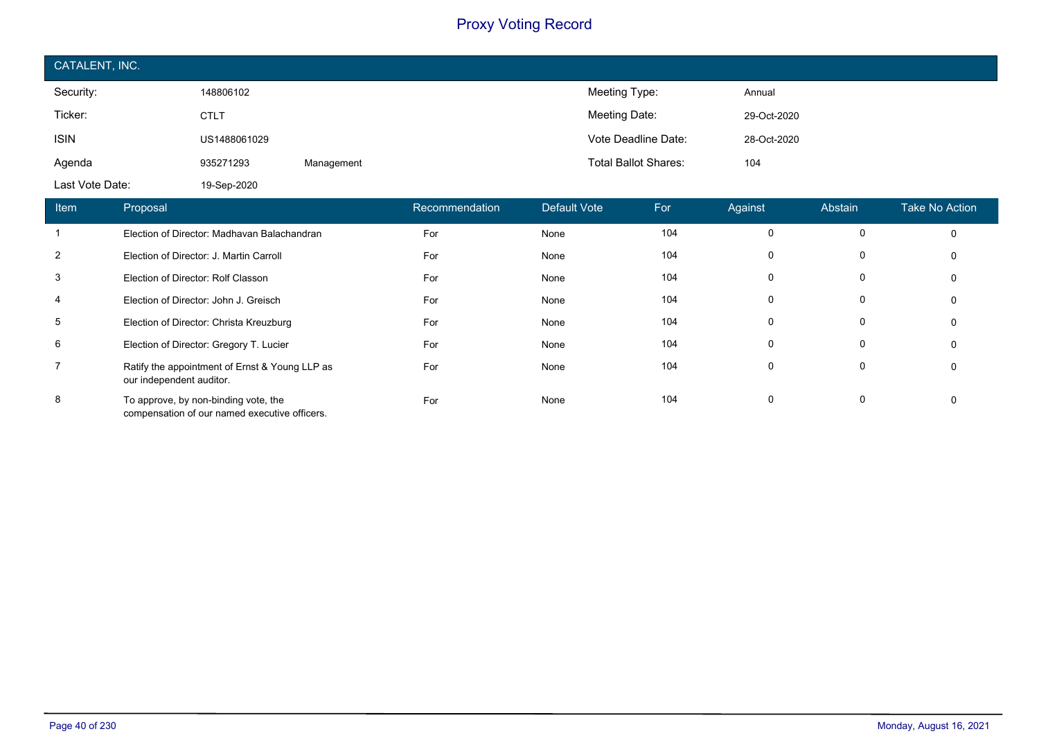| CATALENT, INC.  |              |            |                             |             |  |  |
|-----------------|--------------|------------|-----------------------------|-------------|--|--|
| Security:       | 148806102    |            | Meeting Type:               | Annual      |  |  |
| Ticker:         | <b>CTLT</b>  |            | Meeting Date:               | 29-Oct-2020 |  |  |
| <b>ISIN</b>     | US1488061029 |            | Vote Deadline Date:         | 28-Oct-2020 |  |  |
| Agenda          | 935271293    | Management | <b>Total Ballot Shares:</b> | 104         |  |  |
| Last Vote Date: | 19-Sep-2020  |            |                             |             |  |  |

| <b>Item</b>    | Proposal                                                                              | Recommendation | Default Vote | For | Against  | Abstain  | <b>Take No Action</b> |
|----------------|---------------------------------------------------------------------------------------|----------------|--------------|-----|----------|----------|-----------------------|
| 1              | Election of Director: Madhavan Balachandran                                           | For            | None         | 104 | 0        |          | $\Omega$              |
| $\overline{2}$ | Election of Director: J. Martin Carroll                                               | For            | None         | 104 |          |          | 0                     |
| 3              | Election of Director: Rolf Classon                                                    | For            | None         | 104 | $\Omega$ |          | 0                     |
| 4              | Election of Director: John J. Greisch                                                 | For            | None         | 104 | 0        | $\Omega$ | $\Omega$              |
| 5              | Election of Director: Christa Kreuzburg                                               | For            | None         | 104 | 0        | 0        |                       |
| 6              | Election of Director: Gregory T. Lucier                                               | For            | None         | 104 | 0        |          |                       |
| $\overline{7}$ | Ratify the appointment of Ernst & Young LLP as<br>our independent auditor.            | For            | None         | 104 | $\Omega$ |          |                       |
| 8              | To approve, by non-binding vote, the<br>compensation of our named executive officers. | For            | None         | 104 | $\Omega$ | $\Omega$ |                       |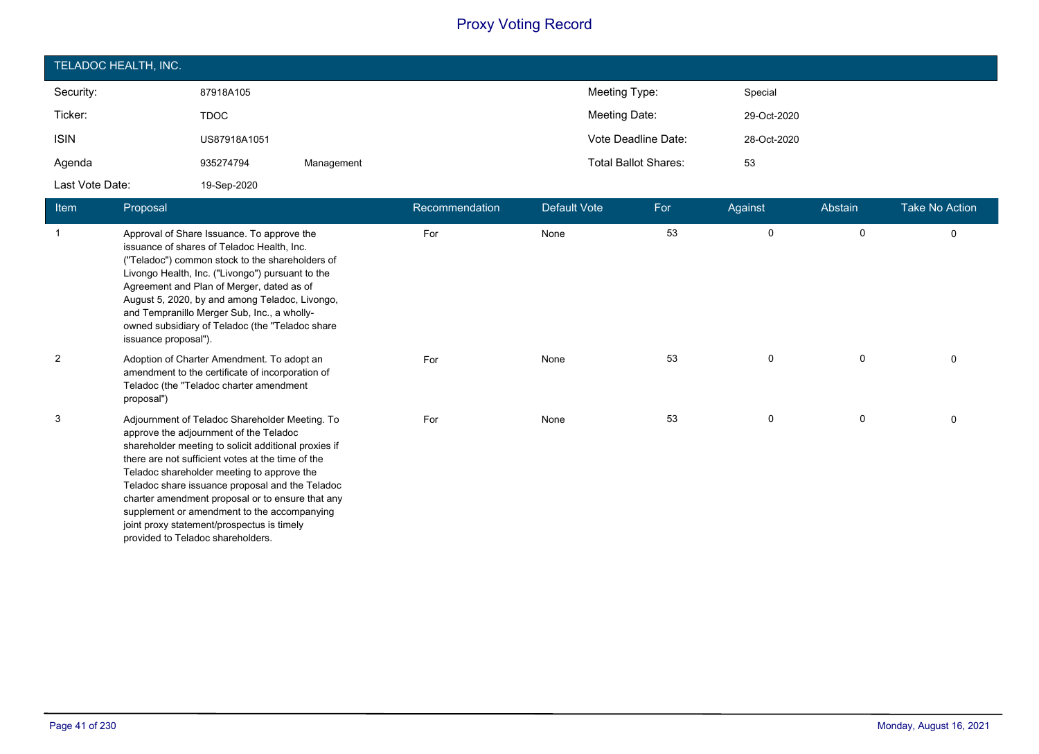| TELADOC HEALTH, INC. |              |            |                             |             |  |  |
|----------------------|--------------|------------|-----------------------------|-------------|--|--|
| Security:            | 87918A105    |            | Meeting Type:               | Special     |  |  |
| Ticker:              | <b>TDOC</b>  |            | Meeting Date:               | 29-Oct-2020 |  |  |
| <b>ISIN</b>          | US87918A1051 |            | Vote Deadline Date:         | 28-Oct-2020 |  |  |
| Agenda               | 935274794    | Management | <b>Total Ballot Shares:</b> | 53          |  |  |
| Last Vote Date:      | 19-Sep-2020  |            |                             |             |  |  |

| Item           | Proposal                                                                                                                                                                                                                                                                                                                                                                                                                                                                                     | Recommendation | <b>Default Vote</b> | For | Against | Abstain | <b>Take No Action</b> |
|----------------|----------------------------------------------------------------------------------------------------------------------------------------------------------------------------------------------------------------------------------------------------------------------------------------------------------------------------------------------------------------------------------------------------------------------------------------------------------------------------------------------|----------------|---------------------|-----|---------|---------|-----------------------|
| $\mathbf{1}$   | Approval of Share Issuance. To approve the<br>issuance of shares of Teladoc Health, Inc.<br>("Teladoc") common stock to the shareholders of<br>Livongo Health, Inc. ("Livongo") pursuant to the<br>Agreement and Plan of Merger, dated as of<br>August 5, 2020, by and among Teladoc, Livongo,<br>and Tempranillo Merger Sub, Inc., a wholly-<br>owned subsidiary of Teladoc (the "Teladoc share<br>issuance proposal").                                                                     | For            | None                | 53  | 0       | 0       | 0                     |
| $\overline{2}$ | Adoption of Charter Amendment. To adopt an<br>amendment to the certificate of incorporation of<br>Teladoc (the "Teladoc charter amendment<br>proposal")                                                                                                                                                                                                                                                                                                                                      | For            | None                | 53  | 0       | 0       |                       |
| 3              | Adjournment of Teladoc Shareholder Meeting. To<br>approve the adjournment of the Teladoc<br>shareholder meeting to solicit additional proxies if<br>there are not sufficient votes at the time of the<br>Teladoc shareholder meeting to approve the<br>Teladoc share issuance proposal and the Teladoc<br>charter amendment proposal or to ensure that any<br>supplement or amendment to the accompanying<br>joint proxy statement/prospectus is timely<br>provided to Teladoc shareholders. | For            | None                | 53  | 0       | 0       | $\Omega$              |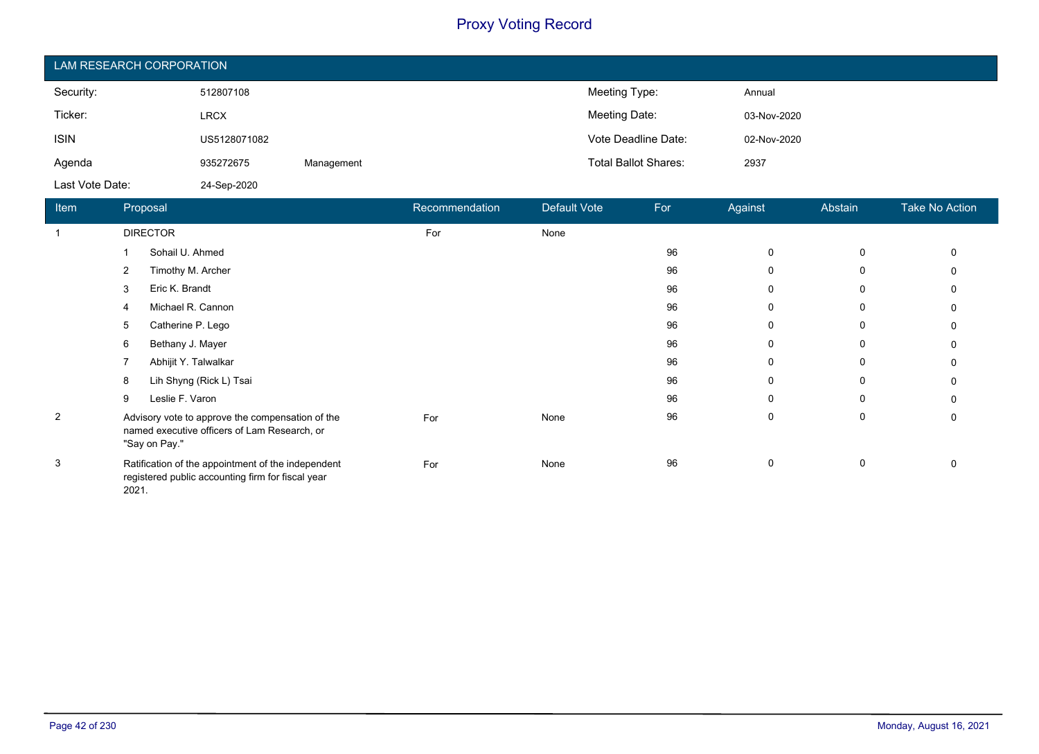| LAM RESEARCH CORPORATION |              |            |                             |             |  |  |  |
|--------------------------|--------------|------------|-----------------------------|-------------|--|--|--|
| Security:                | 512807108    |            | Meeting Type:               | Annual      |  |  |  |
| Ticker:                  | <b>LRCX</b>  |            | Meeting Date:               | 03-Nov-2020 |  |  |  |
| <b>ISIN</b>              | US5128071082 |            | Vote Deadline Date:         | 02-Nov-2020 |  |  |  |
| Agenda                   | 935272675    | Management | <b>Total Ballot Shares:</b> | 2937        |  |  |  |
| Last Vote Date:          | 24-Sep-2020  |            |                             |             |  |  |  |

| Item           | Proposal                                                                                                          | Recommendation | Default Vote | For | Against      | Abstain | <b>Take No Action</b> |
|----------------|-------------------------------------------------------------------------------------------------------------------|----------------|--------------|-----|--------------|---------|-----------------------|
| -1             | <b>DIRECTOR</b>                                                                                                   | For            | None         |     |              |         |                       |
|                | Sohail U. Ahmed                                                                                                   |                |              | 96  | 0            | 0       |                       |
|                | Timothy M. Archer<br>2                                                                                            |                |              | 96  | 0            | 0       |                       |
|                | Eric K. Brandt<br>3                                                                                               |                |              | 96  | $\Omega$     | 0       |                       |
|                | Michael R. Cannon<br>4                                                                                            |                |              | 96  | $\mathbf{0}$ | 0       |                       |
|                | Catherine P. Lego<br>5                                                                                            |                |              | 96  | 0            | 0       |                       |
|                | Bethany J. Mayer<br>6                                                                                             |                |              | 96  | $\Omega$     | 0       |                       |
|                | Abhijit Y. Talwalkar                                                                                              |                |              | 96  | $\mathbf{0}$ | 0       |                       |
|                | Lih Shyng (Rick L) Tsai<br>8                                                                                      |                |              | 96  | $\mathbf{0}$ | 0       | 0                     |
|                | Leslie F. Varon<br>9                                                                                              |                |              | 96  | $\Omega$     | 0       |                       |
| $\overline{2}$ | Advisory vote to approve the compensation of the<br>named executive officers of Lam Research, or<br>"Say on Pay." | For            | None         | 96  | 0            | 0       | 0                     |
| 3              | Ratification of the appointment of the independent<br>registered public accounting firm for fiscal year<br>2021.  | For            | None         | 96  | 0            | 0       |                       |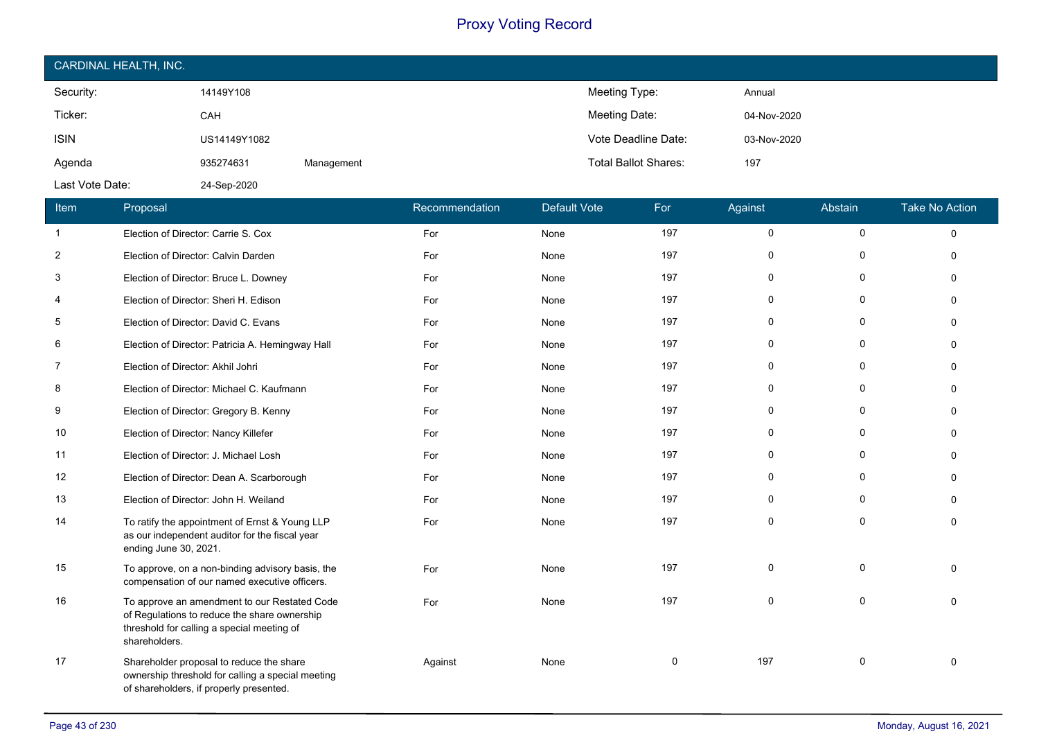| CARDINAL HEALTH, INC. |              |            |                             |             |  |  |  |
|-----------------------|--------------|------------|-----------------------------|-------------|--|--|--|
| Security:             | 14149Y108    |            | Meeting Type:               | Annual      |  |  |  |
| Ticker:               | CAH          |            | Meeting Date:               | 04-Nov-2020 |  |  |  |
| <b>ISIN</b>           | US14149Y1082 |            | Vote Deadline Date:         | 03-Nov-2020 |  |  |  |
| Agenda                | 935274631    | Management | <b>Total Ballot Shares:</b> | 197         |  |  |  |
| Last Vote Date:       | 24-Sep-2020  |            |                             |             |  |  |  |

| Item           | Proposal                                                                                                                                                    | Recommendation | <b>Default Vote</b> | For      | Against      | Abstain      | <b>Take No Action</b> |
|----------------|-------------------------------------------------------------------------------------------------------------------------------------------------------------|----------------|---------------------|----------|--------------|--------------|-----------------------|
| $\mathbf{1}$   | Election of Director: Carrie S. Cox                                                                                                                         | For            | None                | 197      | $\mathbf 0$  | $\mathbf 0$  | $\Omega$              |
| $\overline{2}$ | Election of Director: Calvin Darden                                                                                                                         | For            | None                | 197      | $\mathbf{0}$ | $\Omega$     | $\Omega$              |
| 3              | Election of Director: Bruce L. Downey                                                                                                                       | For            | None                | 197      | $\Omega$     | $\Omega$     | $\Omega$              |
| 4              | Election of Director: Sheri H. Edison                                                                                                                       | For            | None                | 197      | 0            | 0            | $\Omega$              |
| 5              | Election of Director: David C. Evans                                                                                                                        | For            | None                | 197      | $\mathbf 0$  | 0            | $\Omega$              |
| 6              | Election of Director: Patricia A. Hemingway Hall                                                                                                            | For            | None                | 197      | $\mathbf{0}$ | $\Omega$     | $\Omega$              |
| $\overline{7}$ | Election of Director: Akhil Johri                                                                                                                           | For            | None                | 197      | 0            | 0            | $\Omega$              |
| 8              | Election of Director: Michael C. Kaufmann                                                                                                                   | For            | None                | 197      | 0            | 0            | n                     |
| 9              | Election of Director: Gregory B. Kenny                                                                                                                      | For            | None                | 197      | 0            | $\Omega$     | $\Omega$              |
| 10             | Election of Director: Nancy Killefer                                                                                                                        | For            | None                | 197      | $\mathbf 0$  | $\mathbf 0$  | $\Omega$              |
| 11             | Election of Director: J. Michael Losh                                                                                                                       | For            | None                | 197      | $\mathbf 0$  | 0            | $\Omega$              |
| 12             | Election of Director: Dean A. Scarborough                                                                                                                   | For            | None                | 197      | $\mathbf{0}$ | $\Omega$     | $\Omega$              |
| 13             | Election of Director: John H. Weiland                                                                                                                       | For            | None                | 197      | $\mathbf{0}$ | $\Omega$     | $\Omega$              |
| 14             | To ratify the appointment of Ernst & Young LLP<br>as our independent auditor for the fiscal year<br>ending June 30, 2021.                                   | For            | None                | 197      | $\mathbf{0}$ | $\mathbf{0}$ | $\Omega$              |
| 15             | To approve, on a non-binding advisory basis, the<br>compensation of our named executive officers.                                                           | For            | None                | 197      | $\mathbf{0}$ | $\mathbf{0}$ | $\Omega$              |
| 16             | To approve an amendment to our Restated Code<br>of Regulations to reduce the share ownership<br>threshold for calling a special meeting of<br>shareholders. | For            | None                | 197      | $\Omega$     | $\mathbf{0}$ | $\Omega$              |
| 17             | Shareholder proposal to reduce the share<br>ownership threshold for calling a special meeting<br>of shareholders, if properly presented.                    | Against        | None                | $\Omega$ | 197          | 0            | $\Omega$              |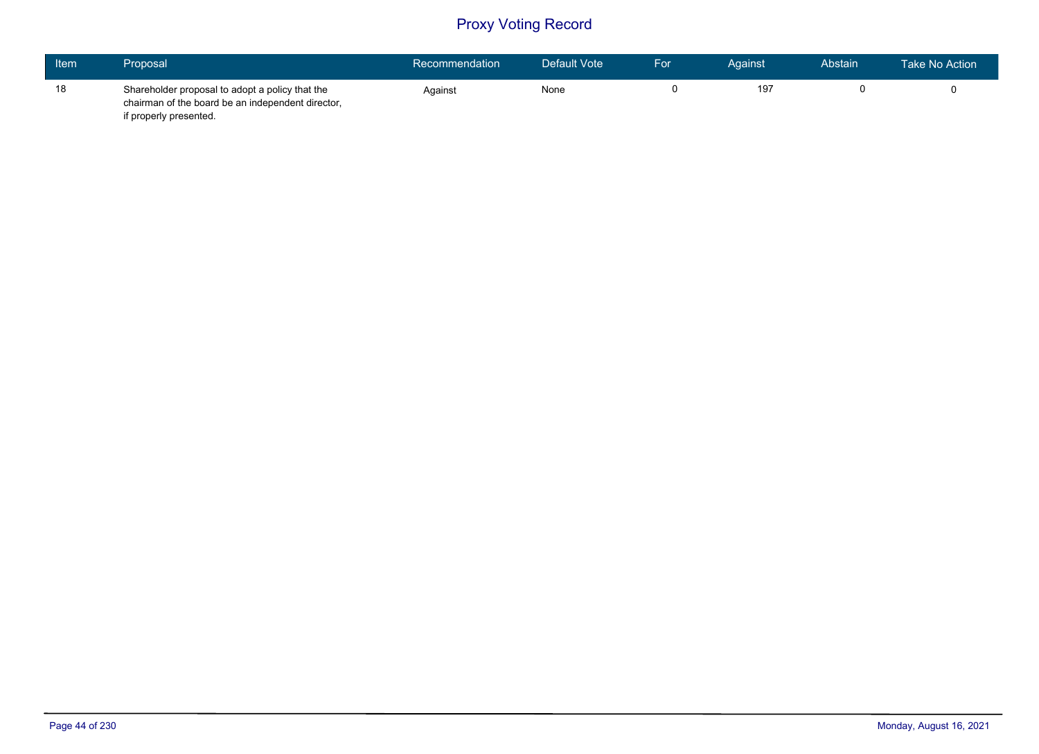| Item | Proposal                                                                                                                       | Recommendation | Default Vote | For | Against | Abstain | Take No Action |
|------|--------------------------------------------------------------------------------------------------------------------------------|----------------|--------------|-----|---------|---------|----------------|
| 18   | Shareholder proposal to adopt a policy that the<br>chairman of the board be an independent director,<br>if properly presented. | Against        | None         |     | 197     |         |                |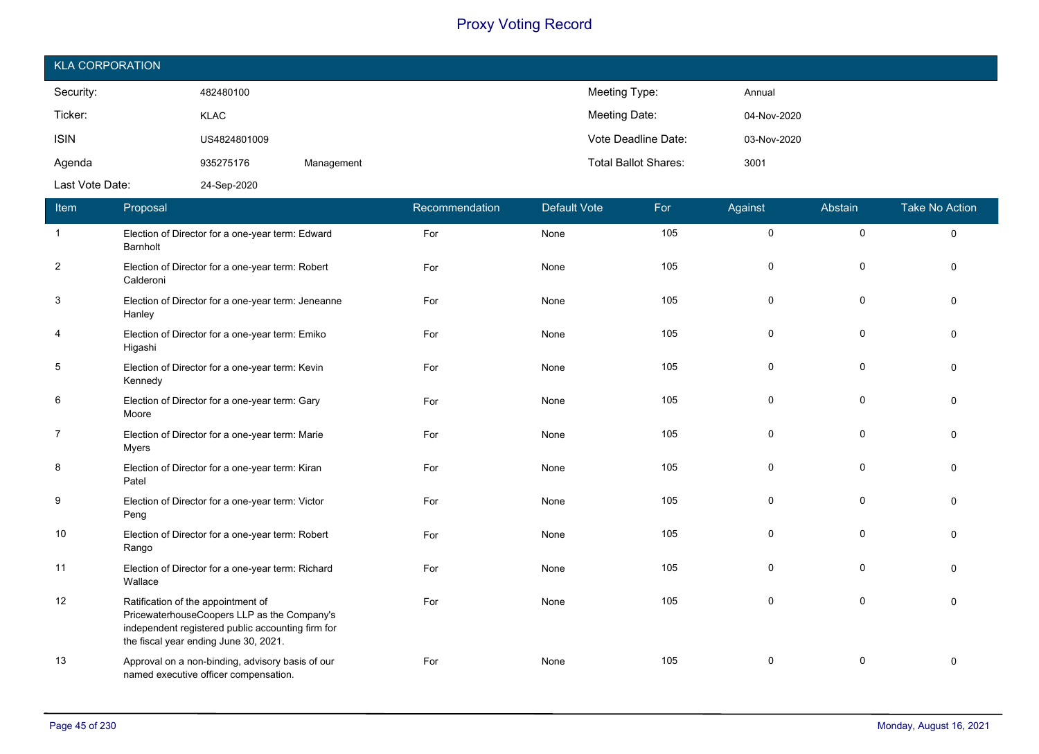| <b>KLA CORPORATION</b> |              |            |                             |             |  |  |  |
|------------------------|--------------|------------|-----------------------------|-------------|--|--|--|
| Security:              | 482480100    |            | Meeting Type:               | Annual      |  |  |  |
| Ticker:                | <b>KLAC</b>  |            | Meeting Date:               | 04-Nov-2020 |  |  |  |
| <b>ISIN</b>            | US4824801009 |            | Vote Deadline Date:         | 03-Nov-2020 |  |  |  |
| Agenda                 | 935275176    | Management | <b>Total Ballot Shares:</b> | 3001        |  |  |  |
| Last Vote Date:        | 24-Sep-2020  |            |                             |             |  |  |  |

| Item                    | Proposal                                                                                                                                                                        | Recommendation | <b>Default Vote</b> | For | Against     | Abstain     | <b>Take No Action</b> |
|-------------------------|---------------------------------------------------------------------------------------------------------------------------------------------------------------------------------|----------------|---------------------|-----|-------------|-------------|-----------------------|
| $\overline{\mathbf{1}}$ | Election of Director for a one-year term: Edward<br>Barnholt                                                                                                                    | For            | None                | 105 | $\mathbf 0$ | $\mathbf 0$ | $\mathbf 0$           |
| $\overline{2}$          | Election of Director for a one-year term: Robert<br>Calderoni                                                                                                                   | For            | None                | 105 | $\Omega$    | 0           | $\Omega$              |
| 3                       | Election of Director for a one-year term: Jeneanne<br>Hanley                                                                                                                    | For            | None                | 105 | $\Omega$    | $\Omega$    | $\Omega$              |
| 4                       | Election of Director for a one-year term: Emiko<br>Higashi                                                                                                                      | For            | None                | 105 | $\Omega$    | $\mathbf 0$ | $\Omega$              |
| 5                       | Election of Director for a one-year term: Kevin<br>Kennedy                                                                                                                      | For            | None                | 105 | 0           | 0           | $\Omega$              |
| 6                       | Election of Director for a one-year term: Gary<br>Moore                                                                                                                         | For            | None                | 105 | $\Omega$    | $\mathbf 0$ | $\Omega$              |
| $\overline{7}$          | Election of Director for a one-year term: Marie<br>Myers                                                                                                                        | For            | None                | 105 | 0           | 0           | $\Omega$              |
| 8                       | Election of Director for a one-year term: Kiran<br>Patel                                                                                                                        | For            | None                | 105 | $\Omega$    | $\Omega$    | $\Omega$              |
| 9                       | Election of Director for a one-year term: Victor<br>Peng                                                                                                                        | For            | None                | 105 | $\Omega$    | $\mathbf 0$ | $\Omega$              |
| 10                      | Election of Director for a one-year term: Robert<br>Rango                                                                                                                       | For            | None                | 105 | $\mathbf 0$ | 0           | $\Omega$              |
| 11                      | Election of Director for a one-year term: Richard<br>Wallace                                                                                                                    | For            | None                | 105 | $\Omega$    | $\Omega$    | $\Omega$              |
| 12                      | Ratification of the appointment of<br>PricewaterhouseCoopers LLP as the Company's<br>independent registered public accounting firm for<br>the fiscal year ending June 30, 2021. | For            | None                | 105 | $\Omega$    | $\mathbf 0$ | $\Omega$              |
| 13                      | Approval on a non-binding, advisory basis of our<br>named executive officer compensation.                                                                                       | For            | None                | 105 | $\mathbf 0$ | 0           | $\Omega$              |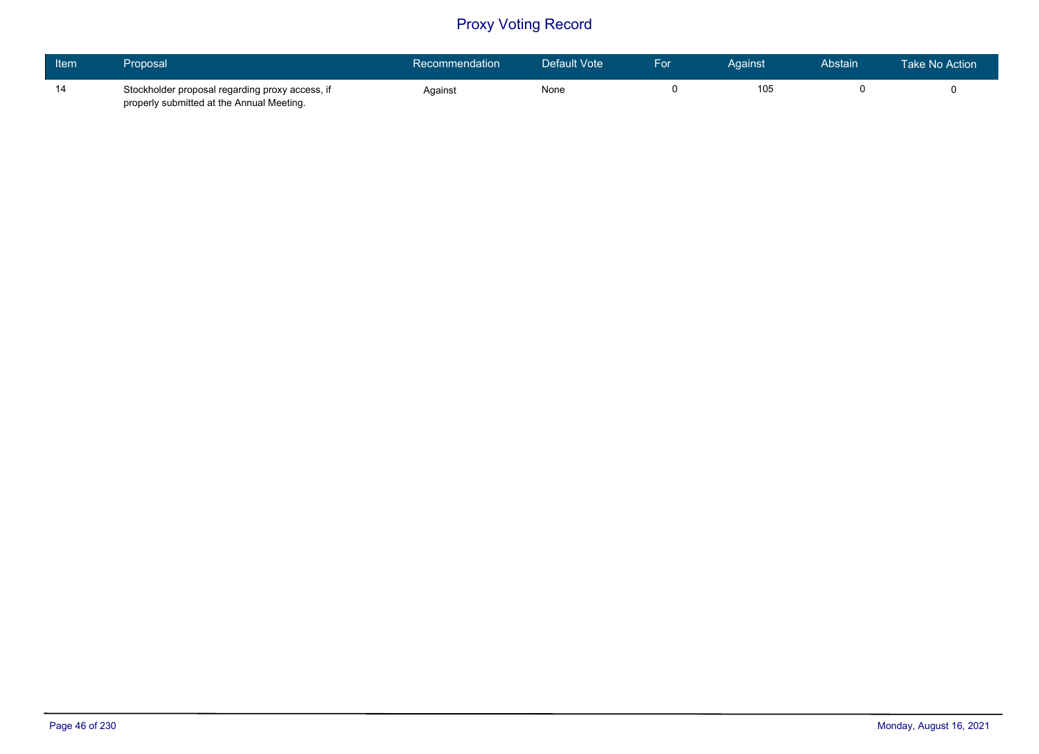| Item | Proposal                                                                                     | Recommendation | Default Vote | For | Against | <b>Abstain</b> | Take No Action |
|------|----------------------------------------------------------------------------------------------|----------------|--------------|-----|---------|----------------|----------------|
| 14   | Stockholder proposal regarding proxy access, if<br>properly submitted at the Annual Meeting. | Against        | None         |     | 105     |                |                |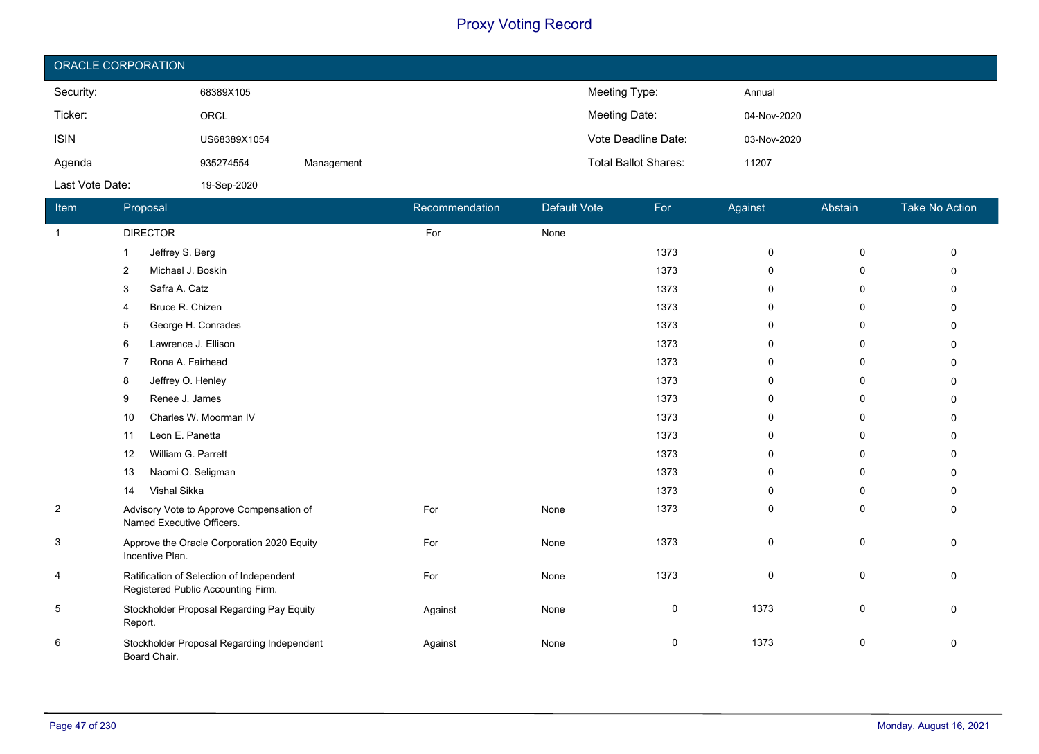| ORACLE CORPORATION |              |            |                             |             |  |  |  |  |
|--------------------|--------------|------------|-----------------------------|-------------|--|--|--|--|
| Security:          | 68389X105    |            | Meeting Type:               | Annual      |  |  |  |  |
| Ticker:            | ORCL         |            | Meeting Date:               | 04-Nov-2020 |  |  |  |  |
| <b>ISIN</b>        | US68389X1054 |            | Vote Deadline Date:         | 03-Nov-2020 |  |  |  |  |
| Agenda             | 935274554    | Management | <b>Total Ballot Shares:</b> | 11207       |  |  |  |  |
| Last Vote Date:    | 19-Sep-2020  |            |                             |             |  |  |  |  |

| Item           | Proposal                                                                       | Recommendation | Default Vote | For         | Against      | Abstain     | <b>Take No Action</b> |
|----------------|--------------------------------------------------------------------------------|----------------|--------------|-------------|--------------|-------------|-----------------------|
| $\overline{1}$ | <b>DIRECTOR</b>                                                                | For            | None         |             |              |             |                       |
|                | Jeffrey S. Berg<br>1                                                           |                |              | 1373        | $\mathbf 0$  | $\mathbf 0$ | $\Omega$              |
|                | Michael J. Boskin<br>2                                                         |                |              | 1373        | $\mathbf{0}$ | 0           | U                     |
|                | Safra A. Catz<br>3                                                             |                |              | 1373        | 0            | 0           |                       |
|                | Bruce R. Chizen<br>4                                                           |                |              | 1373        | 0            | 0           |                       |
|                | George H. Conrades<br>5                                                        |                |              | 1373        | 0            | 0           |                       |
|                | Lawrence J. Ellison<br>6                                                       |                |              | 1373        | 0            | 0           |                       |
|                | Rona A. Fairhead<br>7                                                          |                |              | 1373        | $\mathbf{0}$ | 0           |                       |
|                | Jeffrey O. Henley<br>8                                                         |                |              | 1373        | 0            | 0           | n                     |
|                | Renee J. James<br>9                                                            |                |              | 1373        | $\mathbf{0}$ | 0           |                       |
|                | Charles W. Moorman IV<br>10                                                    |                |              | 1373        | 0            | 0           |                       |
|                | Leon E. Panetta<br>11                                                          |                |              | 1373        | $\mathbf{0}$ | 0           | n                     |
|                | William G. Parrett<br>12                                                       |                |              | 1373        | $\mathbf{0}$ | 0           |                       |
|                | Naomi O. Seligman<br>13                                                        |                |              | 1373        | $\mathbf{0}$ | 0           |                       |
|                | Vishal Sikka<br>14                                                             |                |              | 1373        | 0            | 0           | 0                     |
| $\overline{2}$ | Advisory Vote to Approve Compensation of<br>Named Executive Officers.          | For            | None         | 1373        | 0            | 0           | 0                     |
| 3              | Approve the Oracle Corporation 2020 Equity<br>Incentive Plan.                  | For            | None         | 1373        | $\mathbf 0$  | 0           | 0                     |
| 4              | Ratification of Selection of Independent<br>Registered Public Accounting Firm. | For            | None         | 1373        | $\mathbf 0$  | $\pmb{0}$   | $\Omega$              |
| 5              | Stockholder Proposal Regarding Pay Equity<br>Report.                           | Against        | None         | $\mathbf 0$ | 1373         | 0           | $\Omega$              |
| 6              | Stockholder Proposal Regarding Independent<br>Board Chair.                     | Against        | None         | 0           | 1373         | 0           | 0                     |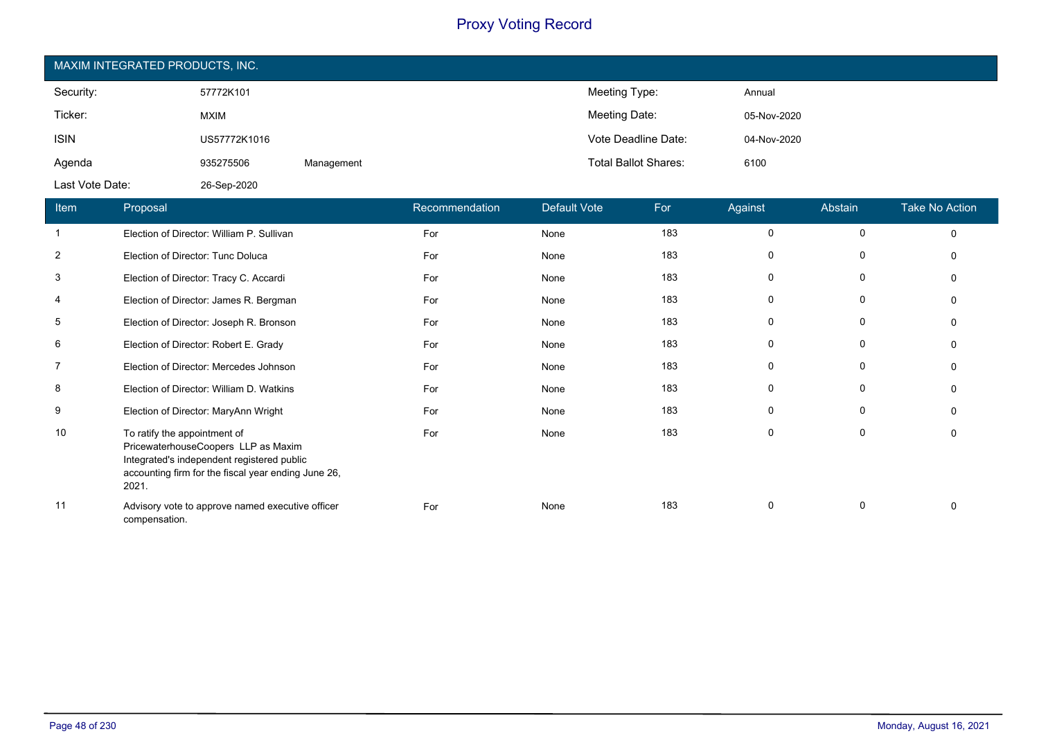| MAXIM INTEGRATED PRODUCTS, INC. |              |            |                             |             |  |  |  |  |
|---------------------------------|--------------|------------|-----------------------------|-------------|--|--|--|--|
| Security:                       | 57772K101    |            | Meeting Type:               | Annual      |  |  |  |  |
| Ticker:                         | <b>MXIM</b>  |            | Meeting Date:               | 05-Nov-2020 |  |  |  |  |
| <b>ISIN</b>                     | US57772K1016 |            | Vote Deadline Date:         | 04-Nov-2020 |  |  |  |  |
| Agenda                          | 935275506    | Management | <b>Total Ballot Shares:</b> | 6100        |  |  |  |  |
| Last Vote Date:                 | 26-Sep-2020  |            |                             |             |  |  |  |  |

| Item           | Proposal                                                                                                                                                                          | Recommendation | <b>Default Vote</b> | For | Against  | Abstain      | Take No Action |
|----------------|-----------------------------------------------------------------------------------------------------------------------------------------------------------------------------------|----------------|---------------------|-----|----------|--------------|----------------|
| $\mathbf{1}$   | Election of Director: William P. Sullivan                                                                                                                                         | For            | None                | 183 | 0        | 0            | $\Omega$       |
| $\overline{2}$ | Election of Director: Tunc Doluca                                                                                                                                                 | For            | None                | 183 | $\Omega$ | 0            | $\Omega$       |
| 3              | Election of Director: Tracy C. Accardi                                                                                                                                            | For            | None                | 183 | 0        | $\mathbf 0$  | $\Omega$       |
| 4              | Election of Director: James R. Bergman                                                                                                                                            | For            | None                | 183 | 0        | 0            | $\Omega$       |
| 5              | Election of Director: Joseph R. Bronson                                                                                                                                           | For            | None                | 183 | $\Omega$ | 0            | $\Omega$       |
| 6              | Election of Director: Robert E. Grady                                                                                                                                             | For            | None                | 183 | 0        | 0            | $\Omega$       |
| $\overline{7}$ | Election of Director: Mercedes Johnson                                                                                                                                            | For            | None                | 183 | 0        | 0            | $\Omega$       |
| 8              | Election of Director: William D. Watkins                                                                                                                                          | For            | None                | 183 | 0        | 0            | $\Omega$       |
| 9              | Election of Director: MaryAnn Wright                                                                                                                                              | For            | None                | 183 | 0        | $\mathbf{0}$ | $\Omega$       |
| 10             | To ratify the appointment of<br>PricewaterhouseCoopers LLP as Maxim<br>Integrated's independent registered public<br>accounting firm for the fiscal year ending June 26,<br>2021. | For            | None                | 183 | 0        | 0            | 0              |
| 11             | Advisory vote to approve named executive officer<br>compensation.                                                                                                                 | For            | None                | 183 | 0        | 0            | $\Omega$       |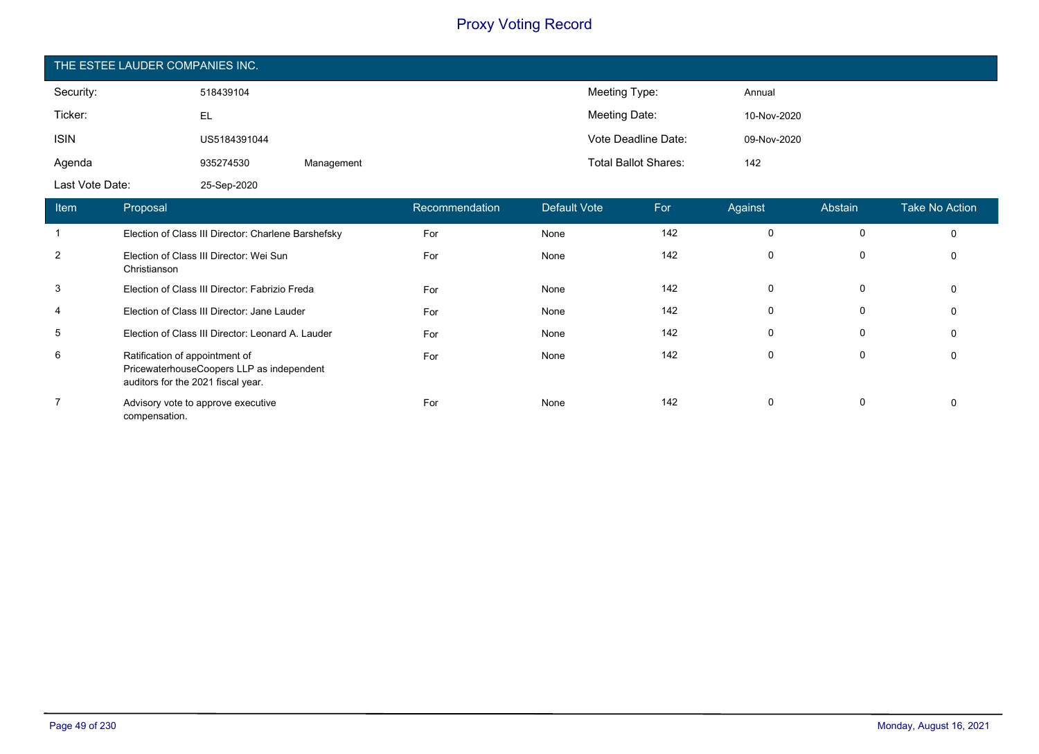| THE ESTEE LAUDER COMPANIES INC. |              |            |                             |             |  |  |  |  |
|---------------------------------|--------------|------------|-----------------------------|-------------|--|--|--|--|
| Security:                       | 518439104    |            | Meeting Type:               | Annual      |  |  |  |  |
| Ticker:                         | EL           |            | Meeting Date:               | 10-Nov-2020 |  |  |  |  |
| <b>ISIN</b>                     | US5184391044 |            | Vote Deadline Date:         | 09-Nov-2020 |  |  |  |  |
| Agenda                          | 935274530    | Management | <b>Total Ballot Shares:</b> | 142         |  |  |  |  |
| Last Vote Date:                 | 25-Sep-2020  |            |                             |             |  |  |  |  |

| Item | Proposal                                                                                                          | Recommendation | Default Vote | For | Against     | Abstain | Take No Action |
|------|-------------------------------------------------------------------------------------------------------------------|----------------|--------------|-----|-------------|---------|----------------|
|      | Election of Class III Director: Charlene Barshefsky                                                               | For            | None         | 142 | $\mathbf 0$ | 0       | 0              |
| 2    | Election of Class III Director: Wei Sun<br>Christianson                                                           | For            | None         | 142 | 0           | 0       | 0              |
| 3    | Election of Class III Director: Fabrizio Freda                                                                    | For            | None         | 142 | 0           | 0       | 0              |
| 4    | Election of Class III Director: Jane Lauder                                                                       | For            | None         | 142 | $\mathbf 0$ | 0       | 0              |
| 5    | Election of Class III Director: Leonard A. Lauder                                                                 | For            | None         | 142 | $\mathbf 0$ | 0       | 0              |
| 6    | Ratification of appointment of<br>PricewaterhouseCoopers LLP as independent<br>auditors for the 2021 fiscal year. | For            | None         | 142 | $\mathbf 0$ | 0       | 0              |
|      | Advisory vote to approve executive<br>compensation.                                                               | For            | None         | 142 | 0           | 0       | 0              |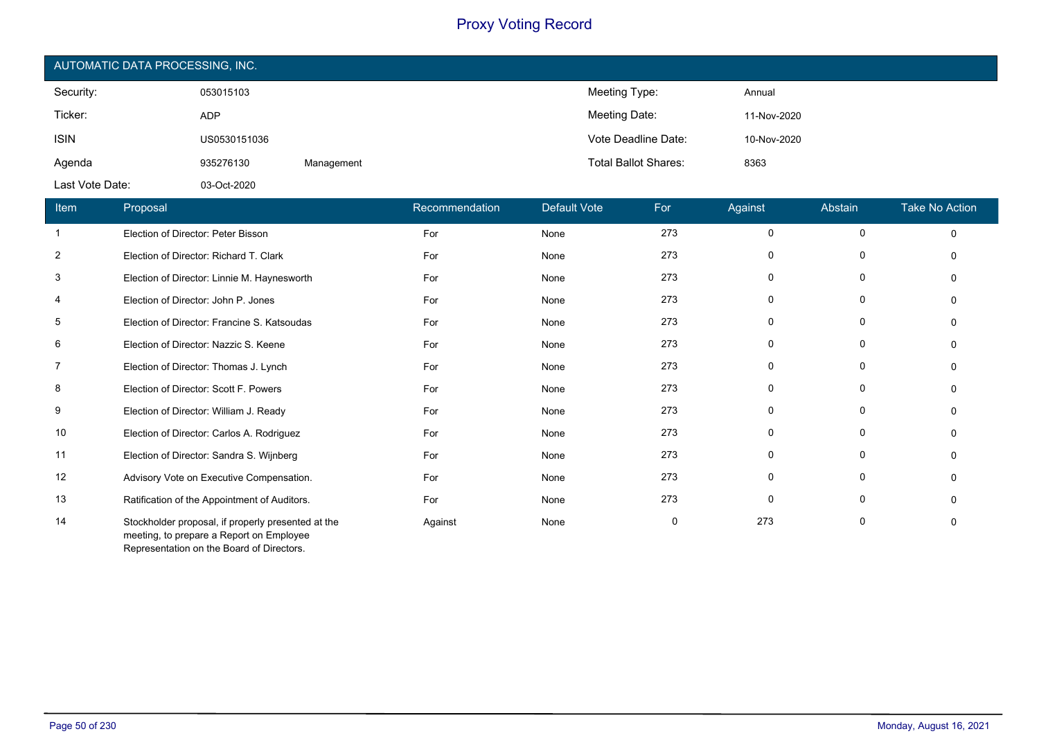| AUTOMATIC DATA PROCESSING, INC. |              |            |                             |             |  |  |  |  |
|---------------------------------|--------------|------------|-----------------------------|-------------|--|--|--|--|
| Security:                       | 053015103    |            | Meeting Type:               | Annual      |  |  |  |  |
| Ticker:                         | <b>ADP</b>   |            | Meeting Date:               | 11-Nov-2020 |  |  |  |  |
| <b>ISIN</b>                     | US0530151036 |            | Vote Deadline Date:         | 10-Nov-2020 |  |  |  |  |
| Agenda                          | 935276130    | Management | <b>Total Ballot Shares:</b> | 8363        |  |  |  |  |
| Last Vote Date:                 | 03-Oct-2020  |            |                             |             |  |  |  |  |

| Item           | Proposal                                                                                       | Recommendation | Default Vote | For | Against     | Abstain     | <b>Take No Action</b> |
|----------------|------------------------------------------------------------------------------------------------|----------------|--------------|-----|-------------|-------------|-----------------------|
|                | Election of Director: Peter Bisson                                                             | For            | None         | 273 | $\mathbf 0$ | $\mathbf 0$ | $\Omega$              |
| $\overline{2}$ | Election of Director: Richard T. Clark                                                         | For            | None         | 273 | 0           | 0           | $\Omega$              |
| 3              | Election of Director: Linnie M. Haynesworth                                                    | For            | None         | 273 | 0           | 0           |                       |
| 4              | Election of Director: John P. Jones                                                            | For            | None         | 273 | 0           | 0           |                       |
| 5              | Election of Director: Francine S. Katsoudas                                                    | For            | None         | 273 | $\mathbf 0$ | $\mathbf 0$ |                       |
| 6              | Election of Director: Nazzic S. Keene                                                          | For            | None         | 273 | 0           | 0           | $\Omega$              |
| 7              | Election of Director: Thomas J. Lynch                                                          | For            | None         | 273 | 0           | 0           | $\Omega$              |
| 8              | Election of Director: Scott F. Powers                                                          | For            | None         | 273 | 0           | 0           | $\Omega$              |
| 9              | Election of Director: William J. Ready                                                         | For            | None         | 273 | 0           | 0           |                       |
| 10             | Election of Director: Carlos A. Rodriguez                                                      | For            | None         | 273 | 0           | 0           |                       |
| 11             | Election of Director: Sandra S. Wijnberg                                                       | For            | None         | 273 | 0           | 0           |                       |
| 12             | Advisory Vote on Executive Compensation.                                                       | For            | None         | 273 | 0           | $\Omega$    |                       |
| 13             | Ratification of the Appointment of Auditors.                                                   | For            | None         | 273 | 0           | 0           | $\Omega$              |
| 14             | Stockholder proposal, if properly presented at the<br>meeting, to prepare a Report on Employee | Against        | None         | 0   | 273         | 0           | 0                     |

Representation on the Board of Directors.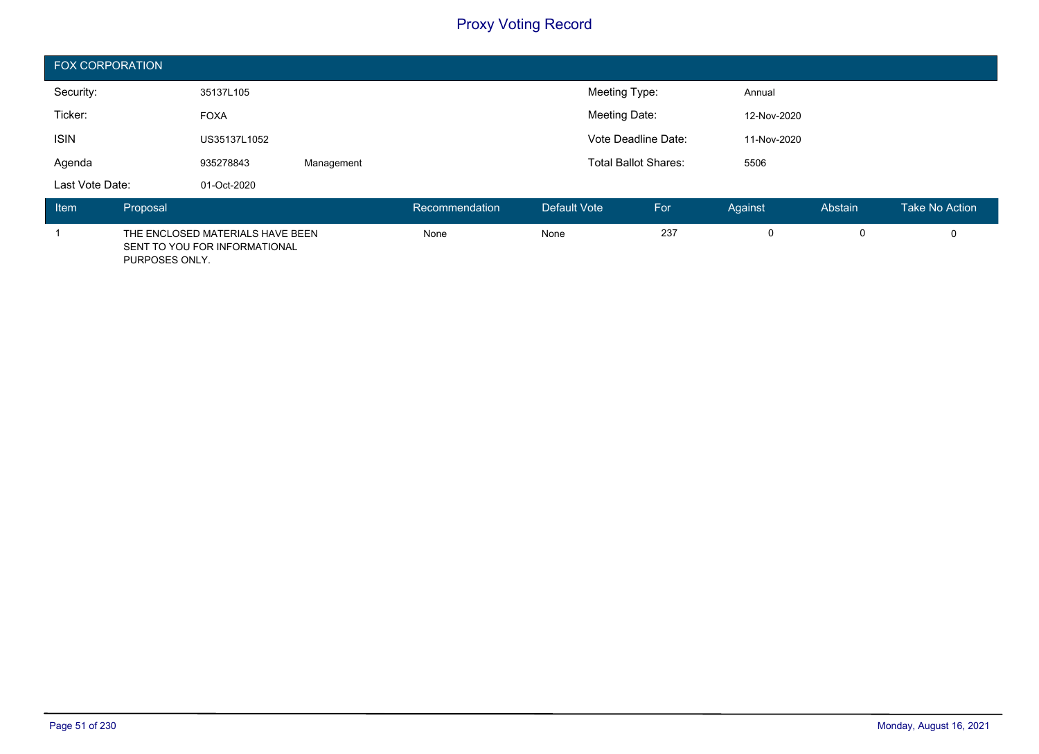| <b>FOX CORPORATION</b> |          |                                                                   |            |                             |                     |               |             |         |         |                |
|------------------------|----------|-------------------------------------------------------------------|------------|-----------------------------|---------------------|---------------|-------------|---------|---------|----------------|
| Security:              |          | 35137L105                                                         |            |                             |                     | Meeting Type: |             | Annual  |         |                |
| Ticker:                |          | <b>FOXA</b>                                                       |            |                             | Meeting Date:       |               | 12-Nov-2020 |         |         |                |
| <b>ISIN</b>            |          | US35137L1052                                                      |            |                             | Vote Deadline Date: |               | 11-Nov-2020 |         |         |                |
| Agenda                 |          | 935278843                                                         | Management | <b>Total Ballot Shares:</b> |                     | 5506          |             |         |         |                |
| Last Vote Date:        |          | 01-Oct-2020                                                       |            |                             |                     |               |             |         |         |                |
| Item                   | Proposal |                                                                   |            | Recommendation              | Default Vote        |               | For         | Against | Abstain | Take No Action |
|                        |          | THE ENCLOSED MATERIALS HAVE BEEN<br>SENT TO YOU FOR INFORMATIONAL |            | None                        | None                |               | 237         | 0       | 0       |                |

PURPOSES ONLY.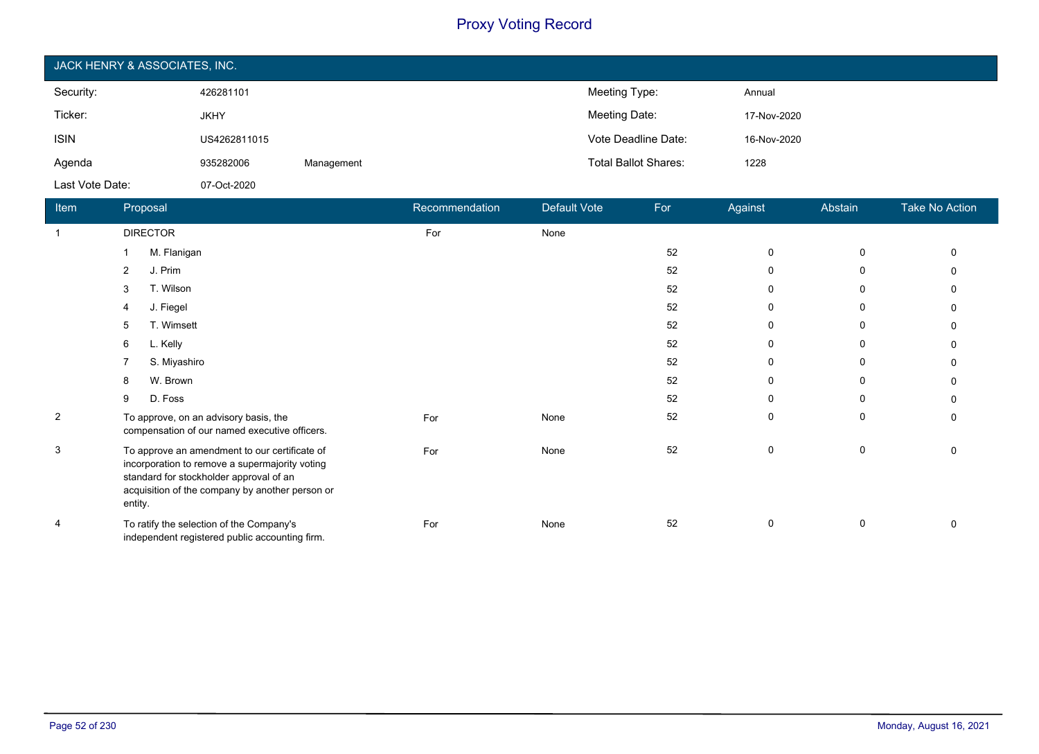| JACK HENRY & ASSOCIATES, INC. |              |            |                             |             |  |  |  |  |
|-------------------------------|--------------|------------|-----------------------------|-------------|--|--|--|--|
| Security:                     | 426281101    |            | Meeting Type:               | Annual      |  |  |  |  |
| Ticker:                       | <b>JKHY</b>  |            | Meeting Date:               | 17-Nov-2020 |  |  |  |  |
| <b>ISIN</b>                   | US4262811015 |            | Vote Deadline Date:         | 16-Nov-2020 |  |  |  |  |
| Agenda                        | 935282006    | Management | <b>Total Ballot Shares:</b> | 1228        |  |  |  |  |
| Last Vote Date:               | 07-Oct-2020  |            |                             |             |  |  |  |  |

| Item           | Proposal                                                                                                                                                                                                 | Recommendation | Default Vote | For | Against     | Abstain      | Take No Action |
|----------------|----------------------------------------------------------------------------------------------------------------------------------------------------------------------------------------------------------|----------------|--------------|-----|-------------|--------------|----------------|
| $\overline{1}$ | <b>DIRECTOR</b>                                                                                                                                                                                          | For            | None         |     |             |              |                |
|                | M. Flanigan                                                                                                                                                                                              |                |              | 52  | $\mathbf 0$ | 0            |                |
|                | J. Prim<br>2                                                                                                                                                                                             |                |              | 52  | 0           | $\mathbf{0}$ |                |
|                | T. Wilson<br>3                                                                                                                                                                                           |                |              | 52  | 0           | 0            |                |
|                | J. Fiegel<br>4                                                                                                                                                                                           |                |              | 52  | 0           | $\Omega$     |                |
|                | T. Wimsett<br>5                                                                                                                                                                                          |                |              | 52  | 0           | $\Omega$     |                |
|                | L. Kelly<br>6                                                                                                                                                                                            |                |              | 52  | 0           | $\mathbf{0}$ |                |
|                | S. Miyashiro                                                                                                                                                                                             |                |              | 52  | 0           | $\mathbf{0}$ |                |
|                | W. Brown<br>8                                                                                                                                                                                            |                |              | 52  | $\mathbf 0$ | $\Omega$     |                |
|                | D. Foss<br>9                                                                                                                                                                                             |                |              | 52  | 0           | $\Omega$     |                |
| $\overline{2}$ | To approve, on an advisory basis, the<br>compensation of our named executive officers.                                                                                                                   | For            | None         | 52  | 0           | $\mathbf{0}$ | ∩              |
| 3              | To approve an amendment to our certificate of<br>incorporation to remove a supermajority voting<br>standard for stockholder approval of an<br>acquisition of the company by another person or<br>entity. | For            | None         | 52  | 0           | $\mathbf 0$  | $\Omega$       |
| 4              | To ratify the selection of the Company's<br>independent registered public accounting firm.                                                                                                               | For            | None         | 52  | 0           | 0            | $\Omega$       |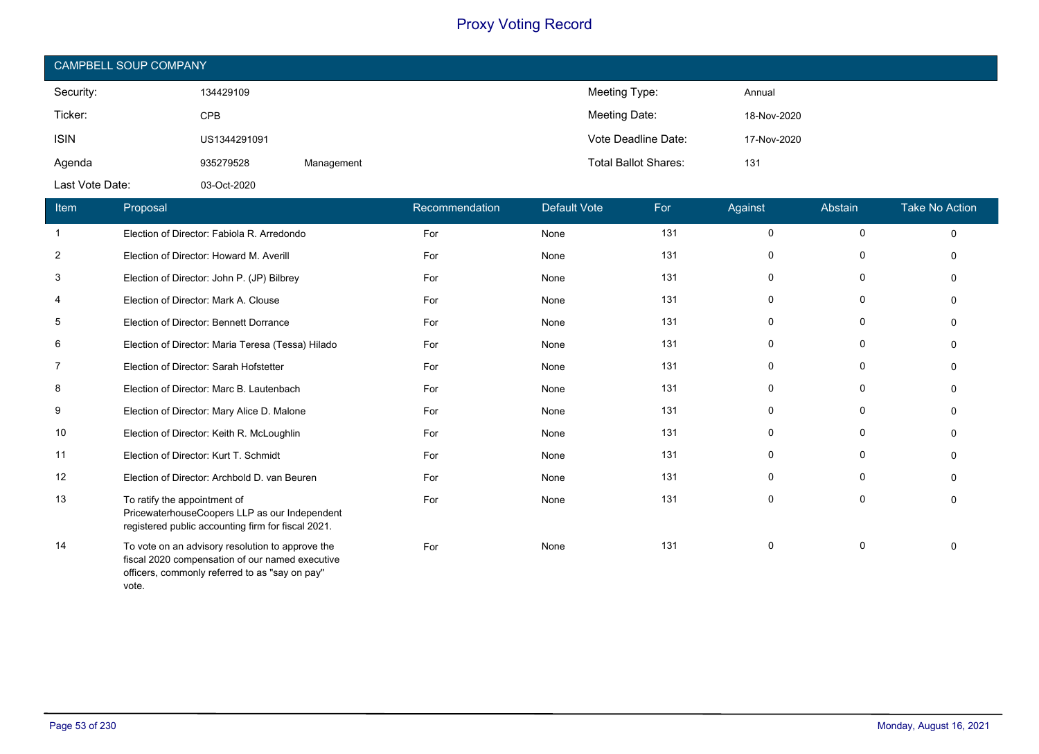| CAMPBELL SOUP COMPANY |              |            |                             |             |  |  |  |
|-----------------------|--------------|------------|-----------------------------|-------------|--|--|--|
| Security:             | 134429109    |            | Meeting Type:               | Annual      |  |  |  |
| Ticker:               | <b>CPB</b>   |            | Meeting Date:               | 18-Nov-2020 |  |  |  |
| <b>ISIN</b>           | US1344291091 |            | Vote Deadline Date:         | 17-Nov-2020 |  |  |  |
| Agenda                | 935279528    | Management | <b>Total Ballot Shares:</b> | 131         |  |  |  |
| Last Vote Date:       | 03-Oct-2020  |            |                             |             |  |  |  |

| Item           | Proposal                                                                                                                                              | Recommendation | Default Vote | For | Against      | Abstain | <b>Take No Action</b> |
|----------------|-------------------------------------------------------------------------------------------------------------------------------------------------------|----------------|--------------|-----|--------------|---------|-----------------------|
| -1             | Election of Director: Fabiola R. Arredondo                                                                                                            | For            | None         | 131 | 0            | 0       | 0                     |
| $\overline{2}$ | Election of Director: Howard M. Averill                                                                                                               | For            | None         | 131 | 0            | 0       | 0                     |
| 3              | Election of Director: John P. (JP) Bilbrey                                                                                                            | For            | None         | 131 | $\Omega$     | 0       | <sup>0</sup>          |
| 4              | Election of Director: Mark A. Clouse                                                                                                                  | For            | None         | 131 | $\mathbf{0}$ | 0       |                       |
| 5              | Election of Director: Bennett Dorrance                                                                                                                | For            | None         | 131 | 0            | 0       |                       |
| 6              | Election of Director: Maria Teresa (Tessa) Hilado                                                                                                     | For            | None         | 131 | 0            | 0       |                       |
| 7              | Election of Director: Sarah Hofstetter                                                                                                                | For            | None         | 131 | $\mathbf{0}$ | 0       |                       |
| 8              | Election of Director: Marc B. Lautenbach                                                                                                              | For            | None         | 131 | 0            | 0       |                       |
| 9              | Election of Director: Mary Alice D. Malone                                                                                                            | For            | None         | 131 | 0            | 0       |                       |
| 10             | Election of Director: Keith R. McLoughlin                                                                                                             | For            | None         | 131 | $\mathbf{0}$ | 0       |                       |
| 11             | Election of Director: Kurt T. Schmidt                                                                                                                 | For            | None         | 131 | $\mathbf{0}$ | 0       | <sup>0</sup>          |
| 12             | Election of Director: Archbold D. van Beuren                                                                                                          | For            | None         | 131 | 0            | 0       |                       |
| 13             | To ratify the appointment of<br>PricewaterhouseCoopers LLP as our Independent<br>registered public accounting firm for fiscal 2021.                   | For            | None         | 131 | $\mathbf{0}$ | 0       | <sup>0</sup>          |
| 14             | To vote on an advisory resolution to approve the<br>fiscal 2020 compensation of our named executive<br>officers, commonly referred to as "say on pay" | For            | None         | 131 | 0            | 0       |                       |

vote.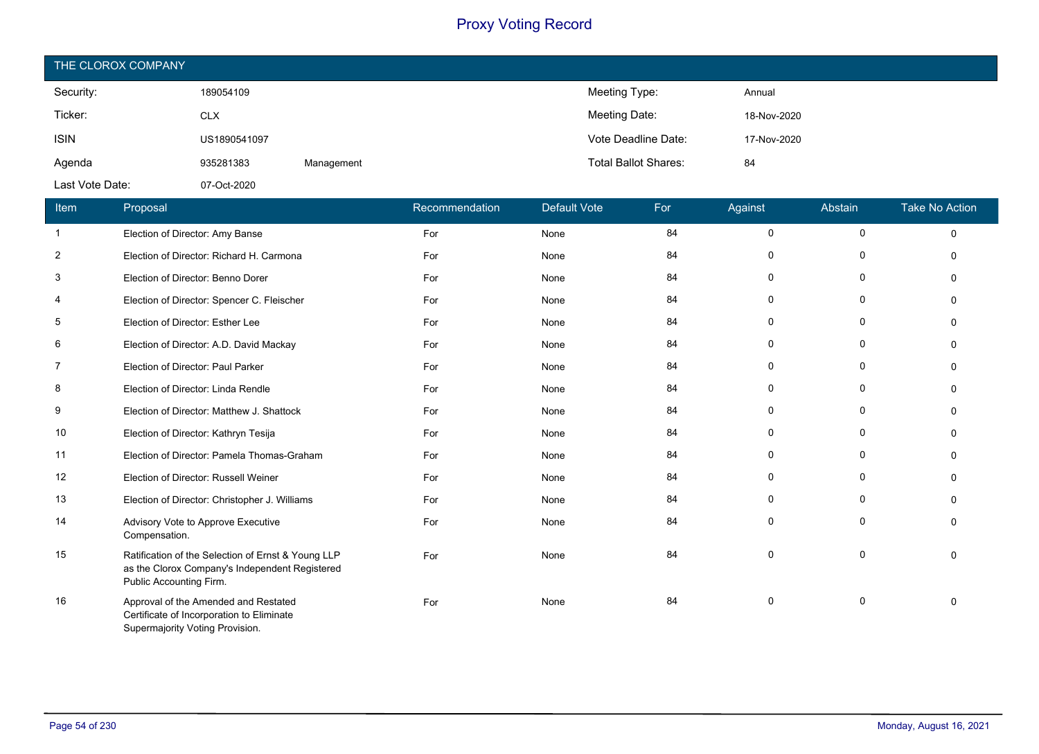| THE CLOROX COMPANY |              |            |                             |             |  |  |
|--------------------|--------------|------------|-----------------------------|-------------|--|--|
| Security:          | 189054109    |            | Meeting Type:               | Annual      |  |  |
| Ticker:            | <b>CLX</b>   |            | Meeting Date:               | 18-Nov-2020 |  |  |
| <b>ISIN</b>        | US1890541097 |            | Vote Deadline Date:         | 17-Nov-2020 |  |  |
| Agenda             | 935281383    | Management | <b>Total Ballot Shares:</b> | 84          |  |  |
| Last Vote Date:    | 07-Oct-2020  |            |                             |             |  |  |

| Item           | Proposal                                                                                                                        | Recommendation | <b>Default Vote</b> | For | Against  | Abstain      | <b>Take No Action</b> |
|----------------|---------------------------------------------------------------------------------------------------------------------------------|----------------|---------------------|-----|----------|--------------|-----------------------|
| $\mathbf{1}$   | Election of Director: Amy Banse                                                                                                 | For            | None                | 84  | 0        | 0            | $\Omega$              |
| $\overline{2}$ | Election of Director: Richard H. Carmona                                                                                        | For            | None                | 84  | $\Omega$ | 0            |                       |
| 3              | Election of Director: Benno Dorer                                                                                               | For            | None                | 84  | $\Omega$ | 0            |                       |
| 4              | Election of Director: Spencer C. Fleischer                                                                                      | For            | None                | 84  | $\Omega$ | $\mathbf 0$  |                       |
| 5              | Election of Director: Esther Lee                                                                                                | For            | None                | 84  | $\Omega$ | $\Omega$     |                       |
| 6              | Election of Director: A.D. David Mackay                                                                                         | For            | None                | 84  | $\Omega$ | 0            | $\Omega$              |
| $\overline{7}$ | Election of Director: Paul Parker                                                                                               | For            | None                | 84  | $\Omega$ | 0            | $\Omega$              |
| 8              | Election of Director: Linda Rendle                                                                                              | For            | None                | 84  | $\Omega$ | $\mathbf{0}$ | $\Omega$              |
| 9              | Election of Director: Matthew J. Shattock                                                                                       | For            | None                | 84  | 0        | 0            |                       |
| 10             | Election of Director: Kathryn Tesija                                                                                            | For            | None                | 84  | 0        | 0            |                       |
| 11             | Election of Director: Pamela Thomas-Graham                                                                                      | For            | None                | 84  | 0        | 0            |                       |
| 12             | Election of Director: Russell Weiner                                                                                            | For            | None                | 84  | $\Omega$ | 0            |                       |
| 13             | Election of Director: Christopher J. Williams                                                                                   | For            | None                | 84  | $\Omega$ | $\mathbf{0}$ |                       |
| 14             | Advisory Vote to Approve Executive<br>Compensation.                                                                             | For            | None                | 84  | $\Omega$ | $\Omega$     |                       |
| 15             | Ratification of the Selection of Ernst & Young LLP<br>as the Clorox Company's Independent Registered<br>Public Accounting Firm. | For            | None                | 84  | $\Omega$ | 0            | ∩                     |
| 16             | Approval of the Amended and Restated<br>Certificate of Incorporation to Eliminate<br>Supermajority Voting Provision.            | For            | None                | 84  | $\Omega$ | 0            | $\Omega$              |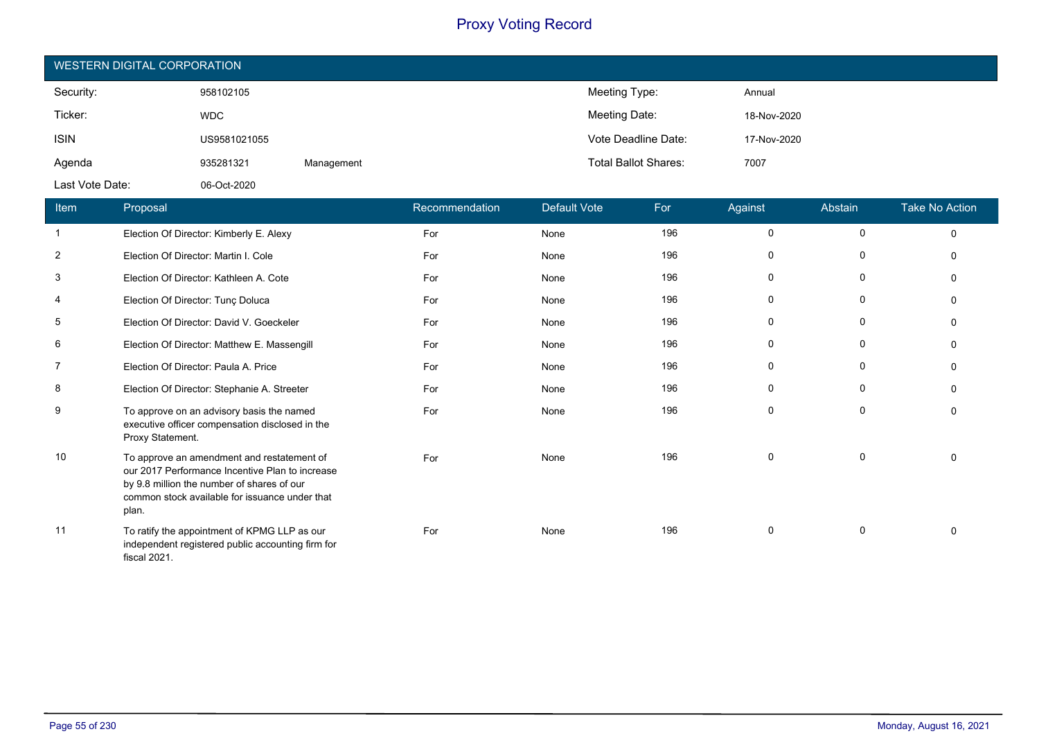| WESTERN DIGITAL CORPORATION |              |            |                             |             |  |  |
|-----------------------------|--------------|------------|-----------------------------|-------------|--|--|
| Security:                   | 958102105    |            | Meeting Type:               | Annual      |  |  |
| Ticker:                     | <b>WDC</b>   |            | Meeting Date:               | 18-Nov-2020 |  |  |
| <b>ISIN</b>                 | US9581021055 |            | Vote Deadline Date:         | 17-Nov-2020 |  |  |
| Agenda                      | 935281321    | Management | <b>Total Ballot Shares:</b> | 7007        |  |  |
| Last Vote Date:             | 06-Oct-2020  |            |                             |             |  |  |

| Item           | Proposal                                                                                                                                                                                               | Recommendation | <b>Default Vote</b> | For | Against  | Abstain     | <b>Take No Action</b> |
|----------------|--------------------------------------------------------------------------------------------------------------------------------------------------------------------------------------------------------|----------------|---------------------|-----|----------|-------------|-----------------------|
| $\mathbf{1}$   | Election Of Director: Kimberly E. Alexy                                                                                                                                                                | For            | None                | 196 | $\Omega$ | 0           | $\Omega$              |
| $\overline{2}$ | Election Of Director: Martin I. Cole                                                                                                                                                                   | For            | None                | 196 | $\Omega$ | 0           |                       |
| 3              | Election Of Director: Kathleen A. Cote                                                                                                                                                                 | For            | None                | 196 | 0        | 0           |                       |
| 4              | Election Of Director: Tunç Doluca                                                                                                                                                                      | For            | None                | 196 | 0        | $\mathbf 0$ |                       |
| 5              | Election Of Director: David V. Goeckeler                                                                                                                                                               | For            | None                | 196 | $\Omega$ | 0           |                       |
| 6              | Election Of Director: Matthew E. Massengill                                                                                                                                                            | For            | None                | 196 | $\Omega$ | 0           |                       |
| $\overline{7}$ | Election Of Director: Paula A. Price                                                                                                                                                                   | For            | None                | 196 | 0        | $\mathbf 0$ |                       |
| 8              | Election Of Director: Stephanie A. Streeter                                                                                                                                                            | For            | None                | 196 | $\Omega$ | $\mathbf 0$ |                       |
| 9              | To approve on an advisory basis the named<br>executive officer compensation disclosed in the<br>Proxy Statement.                                                                                       | For            | None                | 196 | $\Omega$ | $\Omega$    |                       |
| 10             | To approve an amendment and restatement of<br>our 2017 Performance Incentive Plan to increase<br>by 9.8 million the number of shares of our<br>common stock available for issuance under that<br>plan. | For            | None                | 196 | $\Omega$ | $\mathbf 0$ |                       |
| 11             | To ratify the appointment of KPMG LLP as our<br>independent registered public accounting firm for<br>fiscal 2021.                                                                                      | For            | None                | 196 | $\Omega$ | 0           |                       |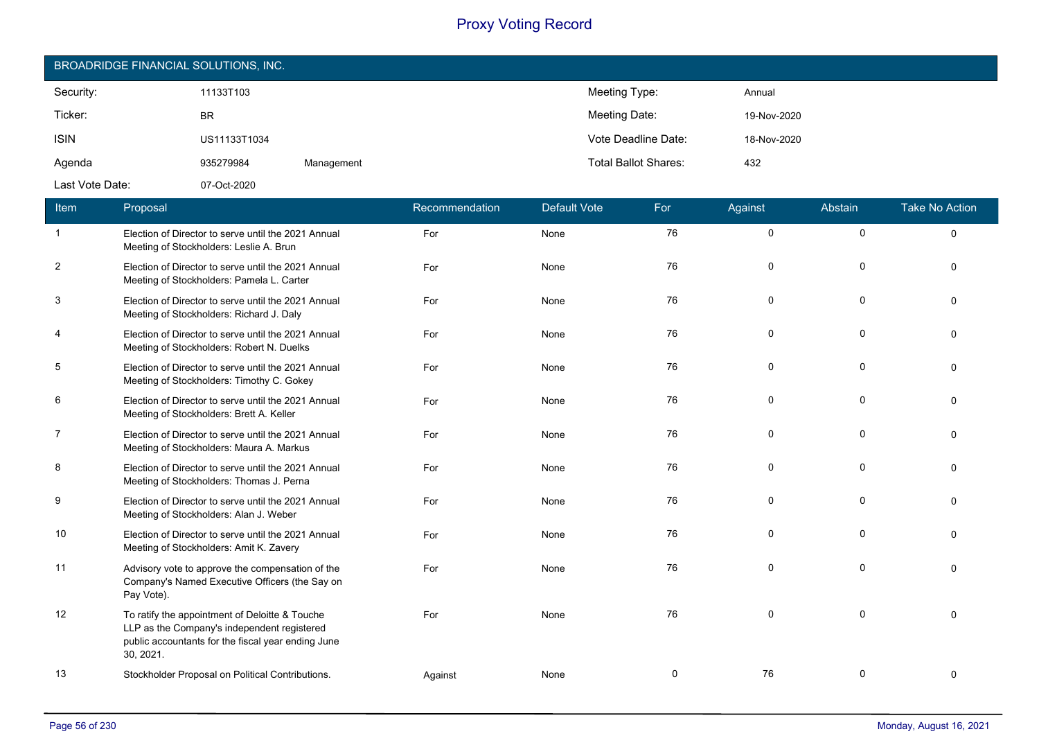| BROADRIDGE FINANCIAL SOLUTIONS, INC. |              |            |                             |             |  |  |
|--------------------------------------|--------------|------------|-----------------------------|-------------|--|--|
| Security:                            | 11133T103    |            | Meeting Type:               | Annual      |  |  |
| Ticker:                              | <b>BR</b>    |            | Meeting Date:               | 19-Nov-2020 |  |  |
| <b>ISIN</b>                          | US11133T1034 |            | Vote Deadline Date:         | 18-Nov-2020 |  |  |
| Agenda                               | 935279984    | Management | <b>Total Ballot Shares:</b> | 432         |  |  |
| Last Vote Date:                      | 07-Oct-2020  |            |                             |             |  |  |

| Item           | Proposal                                                                                                                                                         | Recommendation | <b>Default Vote</b> | For | Against  | Abstain     | <b>Take No Action</b> |
|----------------|------------------------------------------------------------------------------------------------------------------------------------------------------------------|----------------|---------------------|-----|----------|-------------|-----------------------|
| $\mathbf{1}$   | Election of Director to serve until the 2021 Annual<br>Meeting of Stockholders: Leslie A. Brun                                                                   | For            | None                | 76  | $\Omega$ | $\mathbf 0$ | $\Omega$              |
| $\overline{2}$ | Election of Director to serve until the 2021 Annual<br>Meeting of Stockholders: Pamela L. Carter                                                                 | For            | None                | 76  | 0        | $\mathbf 0$ | $\Omega$              |
| 3              | Election of Director to serve until the 2021 Annual<br>Meeting of Stockholders: Richard J. Daly                                                                  | For            | None                | 76  | 0        | 0           | $\Omega$              |
| 4              | Election of Director to serve until the 2021 Annual<br>Meeting of Stockholders: Robert N. Duelks                                                                 | For            | None                | 76  | 0        | $\mathbf 0$ | $\Omega$              |
| 5              | Election of Director to serve until the 2021 Annual<br>Meeting of Stockholders: Timothy C. Gokey                                                                 | For            | None                | 76  | 0        | 0           | $\Omega$              |
| 6              | Election of Director to serve until the 2021 Annual<br>Meeting of Stockholders: Brett A. Keller                                                                  | For            | None                | 76  | 0        | $\mathbf 0$ | $\Omega$              |
| $\overline{7}$ | Election of Director to serve until the 2021 Annual<br>Meeting of Stockholders: Maura A. Markus                                                                  | For            | None                | 76  | 0        | 0           | $\Omega$              |
| 8              | Election of Director to serve until the 2021 Annual<br>Meeting of Stockholders: Thomas J. Perna                                                                  | For            | None                | 76  | 0        | 0           | $\Omega$              |
| 9              | Election of Director to serve until the 2021 Annual<br>Meeting of Stockholders: Alan J. Weber                                                                    | For            | None                | 76  | $\Omega$ | $\Omega$    | $\Omega$              |
| 10             | Election of Director to serve until the 2021 Annual<br>Meeting of Stockholders: Amit K. Zavery                                                                   | For            | None                | 76  | 0        | 0           | $\Omega$              |
| 11             | Advisory vote to approve the compensation of the<br>Company's Named Executive Officers (the Say on<br>Pay Vote).                                                 | For            | None                | 76  | $\Omega$ | $\Omega$    | $\Omega$              |
| 12             | To ratify the appointment of Deloitte & Touche<br>LLP as the Company's independent registered<br>public accountants for the fiscal year ending June<br>30, 2021. | For            | None                | 76  | 0        | $\mathbf 0$ | $\Omega$              |
| 13             | Stockholder Proposal on Political Contributions.                                                                                                                 | Against        | None                | 0   | 76       | 0           | $\Omega$              |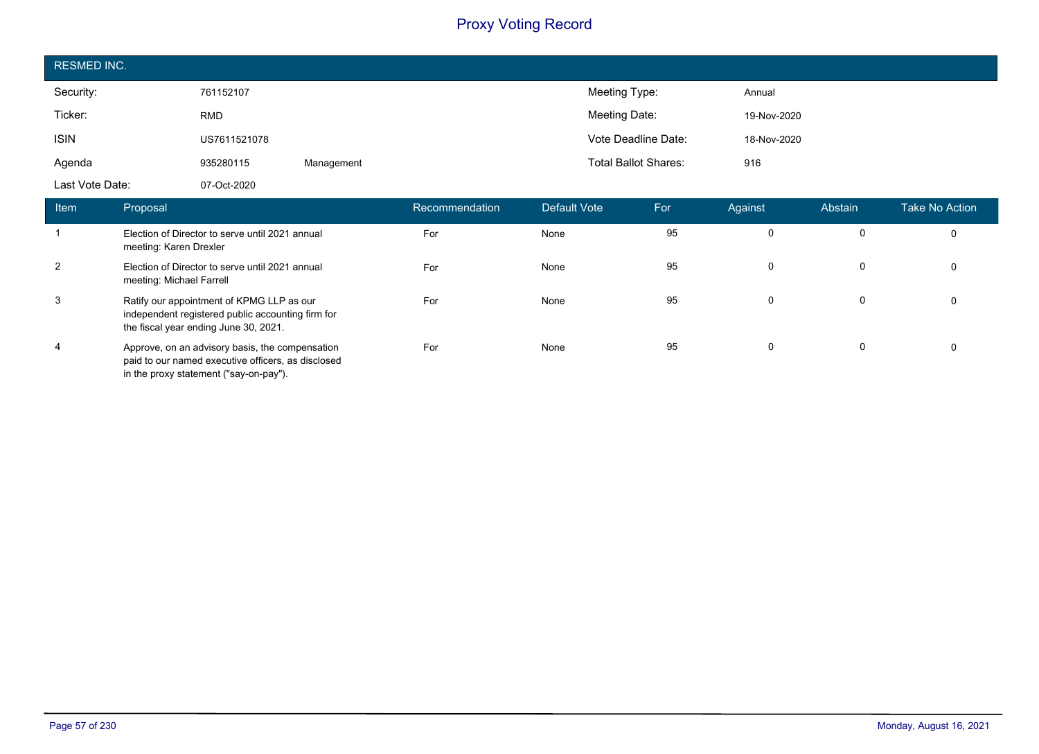| <b>RESMED INC.</b> |              |            |                             |             |
|--------------------|--------------|------------|-----------------------------|-------------|
| Security:          | 761152107    |            | Meeting Type:               | Annual      |
| Ticker:            | <b>RMD</b>   |            | Meeting Date:               | 19-Nov-2020 |
| <b>ISIN</b>        | US7611521078 |            | Vote Deadline Date:         | 18-Nov-2020 |
| Agenda             | 935280115    | Management | <b>Total Ballot Shares:</b> | 916         |
| Last Vote Date:    | 07-Oct-2020  |            |                             |             |

| Item | Proposal                                                                                                                                        | Recommendation | Default Vote | For | Against | Abstain | <b>Take No Action</b> |
|------|-------------------------------------------------------------------------------------------------------------------------------------------------|----------------|--------------|-----|---------|---------|-----------------------|
|      | Election of Director to serve until 2021 annual<br>meeting: Karen Drexler                                                                       | For            | None         | 95  |         |         | $\Omega$              |
| 2    | Election of Director to serve until 2021 annual<br>meeting: Michael Farrell                                                                     | For            | None         | 95  |         | 0       | $\Omega$              |
| 3    | Ratify our appointment of KPMG LLP as our<br>independent registered public accounting firm for<br>the fiscal year ending June 30, 2021.         | For            | None         | 95  |         | 0       |                       |
| 4    | Approve, on an advisory basis, the compensation<br>paid to our named executive officers, as disclosed<br>in the proxy statement ("say-on-pay"). | For            | None         | 95  |         | 0       |                       |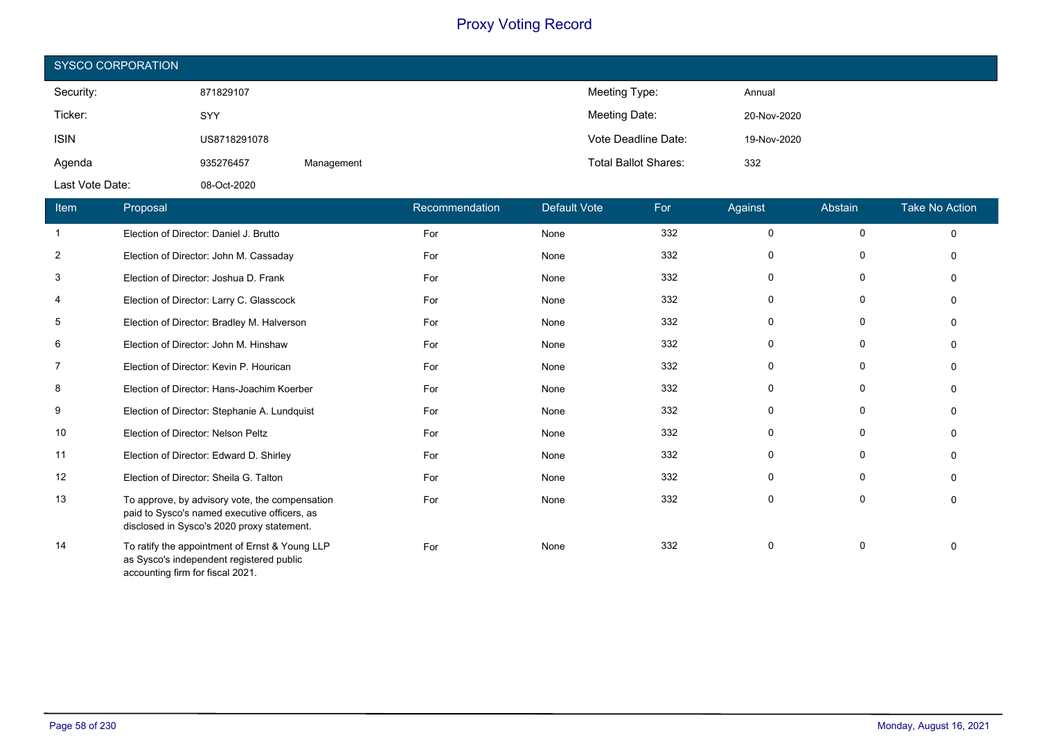| <b>SYSCO CORPORATION</b> |              |            |                             |             |  |  |
|--------------------------|--------------|------------|-----------------------------|-------------|--|--|
| Security:                | 871829107    |            | Meeting Type:               | Annual      |  |  |
| Ticker:                  | SYY          |            | Meeting Date:               | 20-Nov-2020 |  |  |
| <b>ISIN</b>              | US8718291078 |            | Vote Deadline Date:         | 19-Nov-2020 |  |  |
| Agenda                   | 935276457    | Management | <b>Total Ballot Shares:</b> | 332         |  |  |
| Last Vote Date:          | 08-Oct-2020  |            |                             |             |  |  |

| Item | Proposal                                                                                                                                     | Recommendation | <b>Default Vote</b> | For | Against  | Abstain     | <b>Take No Action</b> |
|------|----------------------------------------------------------------------------------------------------------------------------------------------|----------------|---------------------|-----|----------|-------------|-----------------------|
|      | Election of Director: Daniel J. Brutto                                                                                                       | For            | None                | 332 | 0        | 0           | $\Omega$              |
| 2    | Election of Director: John M. Cassaday                                                                                                       | For            | None                | 332 | $\Omega$ | $\Omega$    |                       |
| 3    | Election of Director: Joshua D. Frank                                                                                                        | For            | None                | 332 | $\Omega$ | 0           |                       |
| 4    | Election of Director: Larry C. Glasscock                                                                                                     | For            | None                | 332 | 0        | 0           |                       |
| 5    | Election of Director: Bradley M. Halverson                                                                                                   | For            | None                | 332 | $\Omega$ | 0           |                       |
| 6    | Election of Director: John M. Hinshaw                                                                                                        | For            | None                | 332 | $\Omega$ | 0           |                       |
| 7    | Election of Director: Kevin P. Hourican                                                                                                      | For            | None                | 332 | $\Omega$ | $\mathbf 0$ |                       |
| 8    | Election of Director: Hans-Joachim Koerber                                                                                                   | For            | None                | 332 | $\Omega$ | 0           |                       |
| 9    | Election of Director: Stephanie A. Lundquist                                                                                                 | For            | None                | 332 | 0        | 0           |                       |
| 10   | Election of Director: Nelson Peltz                                                                                                           | For            | None                | 332 | 0        | 0           |                       |
| 11   | Election of Director: Edward D. Shirley                                                                                                      | For            | None                | 332 | 0        | 0           |                       |
| 12   | Election of Director: Sheila G. Talton                                                                                                       | For            | None                | 332 | $\Omega$ | $\mathbf 0$ |                       |
| 13   | To approve, by advisory vote, the compensation<br>paid to Sysco's named executive officers, as<br>disclosed in Sysco's 2020 proxy statement. | For            | None                | 332 | $\Omega$ | 0           |                       |
| 14   | To ratify the appointment of Ernst & Young LLP<br>as Sysco's independent registered public<br>accounting firm for fiscal 2021.               | For            | None                | 332 | $\Omega$ | $\Omega$    |                       |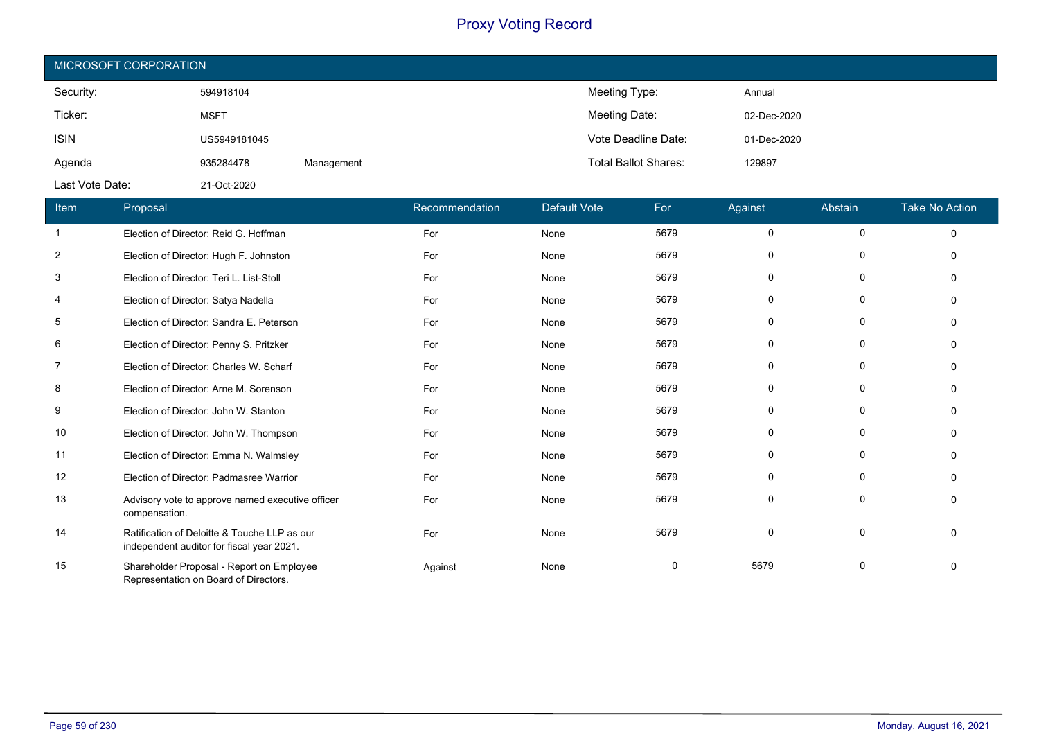| MICROSOFT CORPORATION |              |            |                             |             |  |  |  |
|-----------------------|--------------|------------|-----------------------------|-------------|--|--|--|
| Security:             | 594918104    |            | Meeting Type:               | Annual      |  |  |  |
| Ticker:               | <b>MSFT</b>  |            | Meeting Date:               | 02-Dec-2020 |  |  |  |
| <b>ISIN</b>           | US5949181045 |            | Vote Deadline Date:         | 01-Dec-2020 |  |  |  |
| Agenda                | 935284478    | Management | <b>Total Ballot Shares:</b> | 129897      |  |  |  |
| Last Vote Date:       | 21-Oct-2020  |            |                             |             |  |  |  |

| Item           | Proposal                                                                                  | Recommendation | <b>Default Vote</b> | For  | Against  | Abstain      | <b>Take No Action</b> |
|----------------|-------------------------------------------------------------------------------------------|----------------|---------------------|------|----------|--------------|-----------------------|
| $\mathbf{1}$   | Election of Director: Reid G. Hoffman                                                     | For            | None                | 5679 | $\Omega$ | $\mathbf 0$  | $\Omega$              |
| $\overline{2}$ | Election of Director: Hugh F. Johnston                                                    | For            | None                | 5679 | 0        | 0            |                       |
| 3              | Election of Director: Teri L. List-Stoll                                                  | For            | None                | 5679 | 0        | 0            |                       |
| 4              | Election of Director: Satya Nadella                                                       | For            | None                | 5679 | 0        | 0            |                       |
| 5              | Election of Director: Sandra E. Peterson                                                  | For            | None                | 5679 | $\Omega$ | 0            |                       |
| 6              | Election of Director: Penny S. Pritzker                                                   | For            | None                | 5679 | 0        | 0            |                       |
| 7              | Election of Director: Charles W. Scharf                                                   | For            | None                | 5679 | 0        | 0            |                       |
| 8              | Election of Director: Arne M. Sorenson                                                    | For            | None                | 5679 | 0        | $\Omega$     |                       |
| 9              | Election of Director: John W. Stanton                                                     | For            | None                | 5679 | $\Omega$ | 0            |                       |
| 10             | Election of Director: John W. Thompson                                                    | For            | None                | 5679 | 0        | $\mathbf{0}$ |                       |
| 11             | Election of Director: Emma N. Walmsley                                                    | For            | None                | 5679 | 0        | 0            |                       |
| 12             | Election of Director: Padmasree Warrior                                                   | For            | None                | 5679 | 0        | 0            |                       |
| 13             | Advisory vote to approve named executive officer<br>compensation.                         | For            | None                | 5679 | $\Omega$ | 0            |                       |
| 14             | Ratification of Deloitte & Touche LLP as our<br>independent auditor for fiscal year 2021. | For            | None                | 5679 | $\Omega$ | $\Omega$     |                       |
| 15             | Shareholder Proposal - Report on Employee<br>Representation on Board of Directors.        | Against        | None                | 0    | 5679     | $\Omega$     |                       |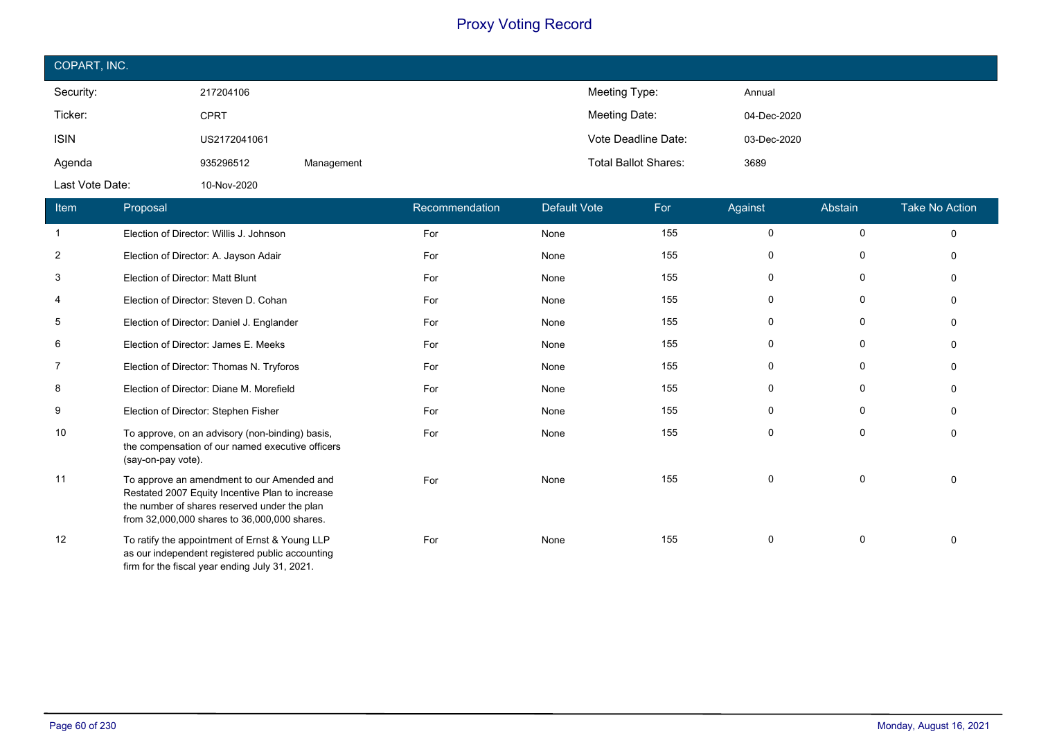| COPART, INC.    |              |            |                             |             |  |  |  |
|-----------------|--------------|------------|-----------------------------|-------------|--|--|--|
| Security:       | 217204106    |            | Meeting Type:               | Annual      |  |  |  |
| Ticker:         | <b>CPRT</b>  |            | Meeting Date:               | 04-Dec-2020 |  |  |  |
| <b>ISIN</b>     | US2172041061 |            | Vote Deadline Date:         | 03-Dec-2020 |  |  |  |
| Agenda          | 935296512    | Management | <b>Total Ballot Shares:</b> | 3689        |  |  |  |
| Last Vote Date: | 10-Nov-2020  |            |                             |             |  |  |  |

| Item | Proposal                                                                                                                                                                                      | Recommendation | <b>Default Vote</b> | For | Against     | Abstain     | <b>Take No Action</b> |
|------|-----------------------------------------------------------------------------------------------------------------------------------------------------------------------------------------------|----------------|---------------------|-----|-------------|-------------|-----------------------|
|      | Election of Director: Willis J. Johnson                                                                                                                                                       | For            | None                | 155 | $\mathbf 0$ | $\mathbf 0$ | $\Omega$              |
| 2    | Election of Director: A. Jayson Adair                                                                                                                                                         | For            | None                | 155 | $\Omega$    | 0           | $\Omega$              |
| 3    | Election of Director: Matt Blunt                                                                                                                                                              | For            | None                | 155 | 0           | 0           | $\Omega$              |
| 4    | Election of Director: Steven D. Cohan                                                                                                                                                         | For            | None                | 155 | 0           | 0           | $\Omega$              |
| 5    | Election of Director: Daniel J. Englander                                                                                                                                                     | For            | None                | 155 | 0           | 0           | $\Omega$              |
| 6    | Election of Director: James E. Meeks                                                                                                                                                          | For            | None                | 155 | 0           | 0           | $\Omega$              |
| 7    | Election of Director: Thomas N. Tryforos                                                                                                                                                      | For            | None                | 155 | 0           | 0           | $\Omega$              |
| 8    | Election of Director: Diane M. Morefield                                                                                                                                                      | For            | None                | 155 | 0           | 0           | $\Omega$              |
| 9    | Election of Director: Stephen Fisher                                                                                                                                                          | For            | None                | 155 | $\Omega$    | 0           | $\Omega$              |
| 10   | To approve, on an advisory (non-binding) basis,<br>the compensation of our named executive officers<br>(say-on-pay vote).                                                                     | For            | None                | 155 | $\mathbf 0$ | 0           | 0                     |
| 11   | To approve an amendment to our Amended and<br>Restated 2007 Equity Incentive Plan to increase<br>the number of shares reserved under the plan<br>from 32,000,000 shares to 36,000,000 shares. | For            | None                | 155 | 0           | $\mathbf 0$ | $\Omega$              |
| 12   | To ratify the appointment of Ernst & Young LLP<br>as our independent registered public accounting<br>firm for the fiscal year ending July 31, 2021.                                           | For            | None                | 155 | $\mathbf 0$ | $\mathbf 0$ | $\Omega$              |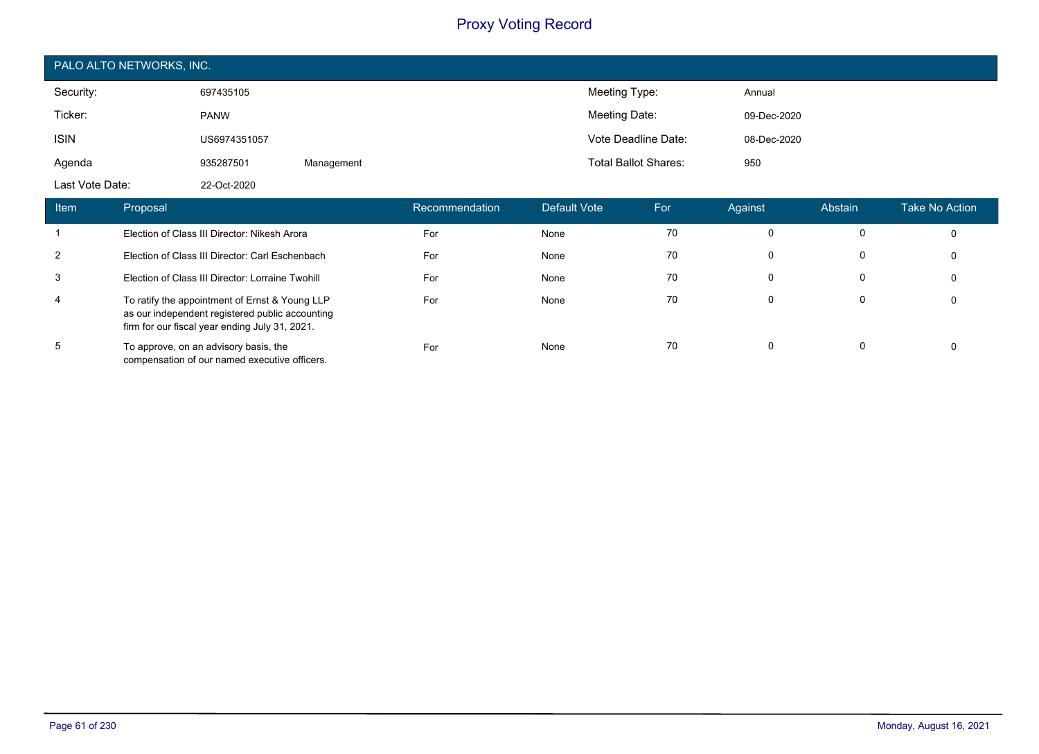|                  | PALO ALTO NETWORKS, INC. |            |                |              |                             |             |         |                |  |
|------------------|--------------------------|------------|----------------|--------------|-----------------------------|-------------|---------|----------------|--|
| Security:        | 697435105                |            |                |              | Meeting Type:               | Annual      |         |                |  |
| Ticker:          | <b>PANW</b>              |            |                |              | Meeting Date:               | 09-Dec-2020 |         |                |  |
| <b>ISIN</b>      | US6974351057             |            |                |              | Vote Deadline Date:         | 08-Dec-2020 |         |                |  |
| Agenda           | 935287501                | Management |                |              | <b>Total Ballot Shares:</b> | 950         |         |                |  |
| Last Vote Date:  | 22-Oct-2020              |            |                |              |                             |             |         |                |  |
| Proposal<br>Item |                          |            | Recommendation | Default Vote | For                         | Against     | Abstain | Take No Action |  |

|   | Election of Class III Director: Nikesh Arora                                                                                                        | For | None | 70 | 0 | 0        |
|---|-----------------------------------------------------------------------------------------------------------------------------------------------------|-----|------|----|---|----------|
| 2 | Election of Class III Director: Carl Eschenbach                                                                                                     | For | None | 70 |   | 0        |
| 3 | Election of Class III Director: Lorraine Twohill                                                                                                    | For | None | 70 | 0 | 0        |
| 4 | To ratify the appointment of Ernst & Young LLP<br>as our independent registered public accounting<br>firm for our fiscal year ending July 31, 2021. | For | None | 70 | 0 | $\Omega$ |
| 5 | To approve, on an advisory basis, the<br>compensation of our named executive officers.                                                              | For | None | 70 | 0 | 0        |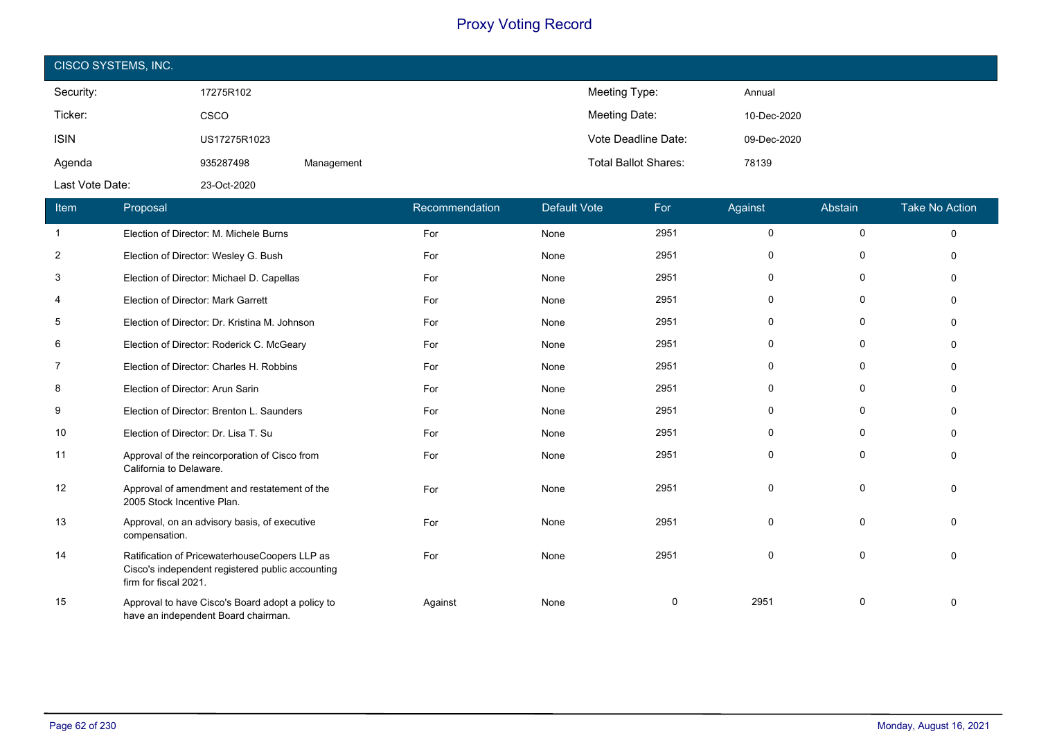| CISCO SYSTEMS, INC. |              |            |                             |             |  |  |  |
|---------------------|--------------|------------|-----------------------------|-------------|--|--|--|
| Security:           | 17275R102    |            | Meeting Type:               | Annual      |  |  |  |
| Ticker:             | <b>CSCO</b>  |            | Meeting Date:               | 10-Dec-2020 |  |  |  |
| <b>ISIN</b>         | US17275R1023 |            | Vote Deadline Date:         | 09-Dec-2020 |  |  |  |
| Agenda              | 935287498    | Management | <b>Total Ballot Shares:</b> | 78139       |  |  |  |
| Last Vote Date:     | 23-Oct-2020  |            |                             |             |  |  |  |

| Item           | Proposal                                                                                                                   | Recommendation | <b>Default Vote</b> | For  | Against      | Abstain      | <b>Take No Action</b> |
|----------------|----------------------------------------------------------------------------------------------------------------------------|----------------|---------------------|------|--------------|--------------|-----------------------|
| $\mathbf{1}$   | Election of Director: M. Michele Burns                                                                                     | For            | None                | 2951 | 0            | 0            | $\Omega$              |
| $\overline{2}$ | Election of Director: Wesley G. Bush                                                                                       | For            | None                | 2951 | 0            | 0            |                       |
| 3              | Election of Director: Michael D. Capellas                                                                                  | For            | None                | 2951 | $\Omega$     | 0            |                       |
| 4              | Election of Director: Mark Garrett                                                                                         | For            | None                | 2951 | $\Omega$     | 0            |                       |
| 5              | Election of Director: Dr. Kristina M. Johnson                                                                              | For            | None                | 2951 | $\Omega$     | $\mathbf 0$  |                       |
| 6              | Election of Director: Roderick C. McGeary                                                                                  | For            | None                | 2951 | $\Omega$     | $\mathbf{0}$ |                       |
| $\overline{7}$ | Election of Director: Charles H. Robbins                                                                                   | For            | None                | 2951 | $\Omega$     | $\mathbf{0}$ |                       |
| 8              | Election of Director: Arun Sarin                                                                                           | For            | None                | 2951 | 0            | 0            | ∩                     |
| 9              | Election of Director: Brenton L. Saunders                                                                                  | For            | None                | 2951 | 0            | 0            |                       |
| 10             | Election of Director: Dr. Lisa T. Su                                                                                       | For            | None                | 2951 | <sup>0</sup> | $\Omega$     |                       |
| 11             | Approval of the reincorporation of Cisco from<br>California to Delaware.                                                   | For            | None                | 2951 | $\Omega$     | 0            |                       |
| 12             | Approval of amendment and restatement of the<br>2005 Stock Incentive Plan.                                                 | For            | None                | 2951 | $\Omega$     | 0            |                       |
| 13             | Approval, on an advisory basis, of executive<br>compensation.                                                              | For            | None                | 2951 | $\Omega$     | 0            | ∩                     |
| 14             | Ratification of PricewaterhouseCoopers LLP as<br>Cisco's independent registered public accounting<br>firm for fiscal 2021. | For            | None                | 2951 | $\Omega$     | 0            | $\Omega$              |
| 15             | Approval to have Cisco's Board adopt a policy to<br>have an independent Board chairman.                                    | Against        | None                | 0    | 2951         | 0            |                       |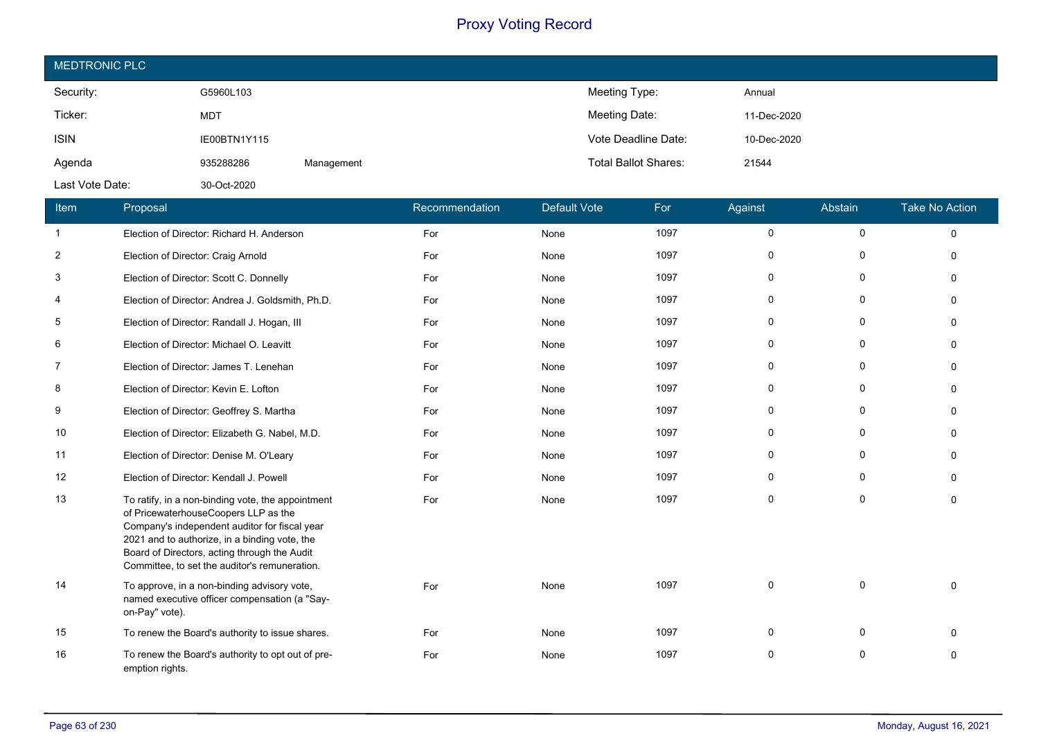| <b>MEDTRONIC PLC</b> |              |            |                             |             |  |  |  |
|----------------------|--------------|------------|-----------------------------|-------------|--|--|--|
| Security:            | G5960L103    |            | Meeting Type:               | Annual      |  |  |  |
| Ticker:              | <b>MDT</b>   |            | Meeting Date:               | 11-Dec-2020 |  |  |  |
| <b>ISIN</b>          | IE00BTN1Y115 |            | Vote Deadline Date:         | 10-Dec-2020 |  |  |  |
| Agenda               | 935288286    | Management | <b>Total Ballot Shares:</b> | 21544       |  |  |  |
| Last Vote Date:      | 30-Oct-2020  |            |                             |             |  |  |  |

| Item | Proposal                                                                                                                                                                                                                                                                                     | Recommendation | <b>Default Vote</b> | For  | Against     | Abstain      | <b>Take No Action</b> |
|------|----------------------------------------------------------------------------------------------------------------------------------------------------------------------------------------------------------------------------------------------------------------------------------------------|----------------|---------------------|------|-------------|--------------|-----------------------|
| -1   | Election of Director: Richard H. Anderson                                                                                                                                                                                                                                                    | For            | None                | 1097 | 0           | $\mathbf 0$  | $\Omega$              |
| 2    | Election of Director: Craig Arnold                                                                                                                                                                                                                                                           | For            | None                | 1097 | 0           | 0            | $\Omega$              |
| 3    | Election of Director: Scott C. Donnelly                                                                                                                                                                                                                                                      | For            | None                | 1097 | 0           | $\Omega$     | $\Omega$              |
| 4    | Election of Director: Andrea J. Goldsmith, Ph.D.                                                                                                                                                                                                                                             | For            | None                | 1097 | $\mathbf 0$ | $\mathbf 0$  | $\Omega$              |
| 5    | Election of Director: Randall J. Hogan, III                                                                                                                                                                                                                                                  | For            | None                | 1097 | $\mathbf 0$ | $\Omega$     | $\Omega$              |
| 6    | Election of Director: Michael O. Leavitt                                                                                                                                                                                                                                                     | For            | None                | 1097 | 0           | $\mathbf 0$  | $\mathbf 0$           |
| 7    | Election of Director: James T. Lenehan                                                                                                                                                                                                                                                       | For            | None                | 1097 | 0           | $\Omega$     | $\Omega$              |
| 8    | Election of Director: Kevin E. Lofton                                                                                                                                                                                                                                                        | For            | None                | 1097 | $\mathbf 0$ | $\mathbf 0$  | $\Omega$              |
| 9    | Election of Director: Geoffrey S. Martha                                                                                                                                                                                                                                                     | For            | None                | 1097 | $\Omega$    | $\Omega$     | $\Omega$              |
| 10   | Election of Director: Elizabeth G. Nabel, M.D.                                                                                                                                                                                                                                               | For            | None                | 1097 | 0           | $\mathbf 0$  | $\Omega$              |
| 11   | Election of Director: Denise M. O'Leary                                                                                                                                                                                                                                                      | For            | None                | 1097 | $\mathbf 0$ | $\Omega$     | $\Omega$              |
| 12   | Election of Director: Kendall J. Powell                                                                                                                                                                                                                                                      | For            | None                | 1097 | 0           | $\Omega$     | $\Omega$              |
| 13   | To ratify, in a non-binding vote, the appointment<br>of PricewaterhouseCoopers LLP as the<br>Company's independent auditor for fiscal year<br>2021 and to authorize, in a binding vote, the<br>Board of Directors, acting through the Audit<br>Committee, to set the auditor's remuneration. | For            | None                | 1097 | $\Omega$    | $\Omega$     | $\Omega$              |
| 14   | To approve, in a non-binding advisory vote,<br>named executive officer compensation (a "Say-<br>on-Pay" vote).                                                                                                                                                                               | For            | None                | 1097 | $\mathbf 0$ | $\mathbf{0}$ | $\Omega$              |
| 15   | To renew the Board's authority to issue shares.                                                                                                                                                                                                                                              | For            | None                | 1097 | $\mathbf 0$ | 0            | $\Omega$              |
| 16   | To renew the Board's authority to opt out of pre-<br>emption rights.                                                                                                                                                                                                                         | For            | None                | 1097 | 0           | 0            | 0                     |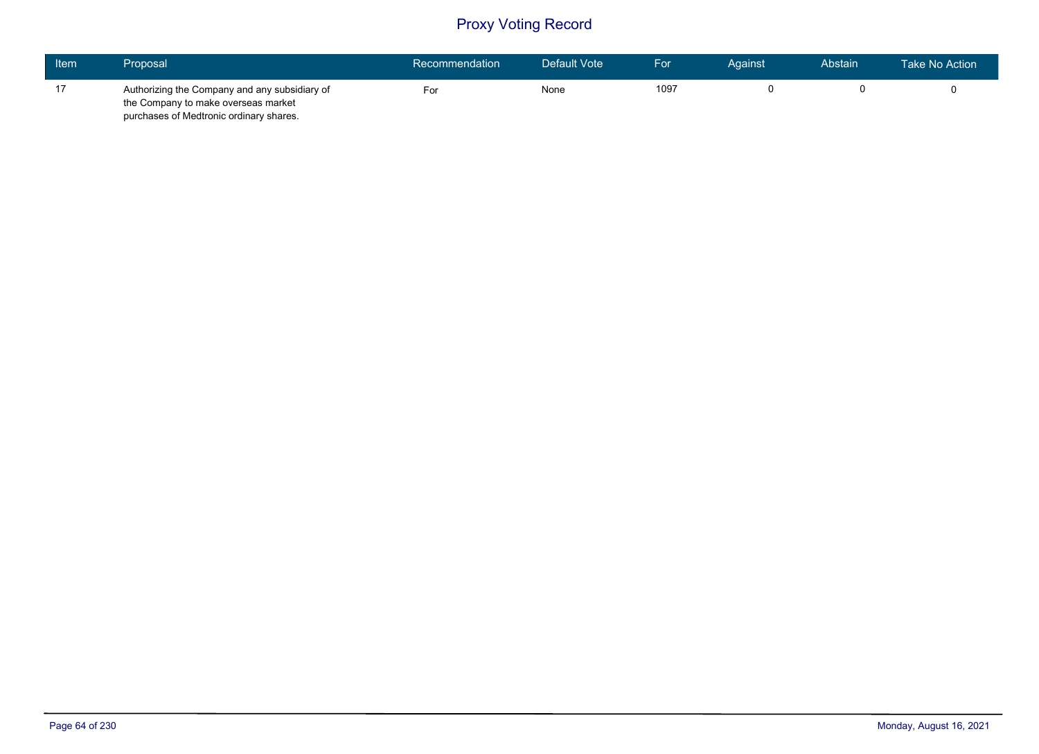| Item | Proposal <b>'</b>                             | Recommendation | Default Vote | For  | Aɑainst | Abstain | Take No Action |
|------|-----------------------------------------------|----------------|--------------|------|---------|---------|----------------|
| 17   | Authorizing the Company and any subsidiary of | ⊦or            | None         | 1097 |         |         |                |
|      | the Company to make overseas market           |                |              |      |         |         |                |
|      | purchases of Medtronic ordinary shares.       |                |              |      |         |         |                |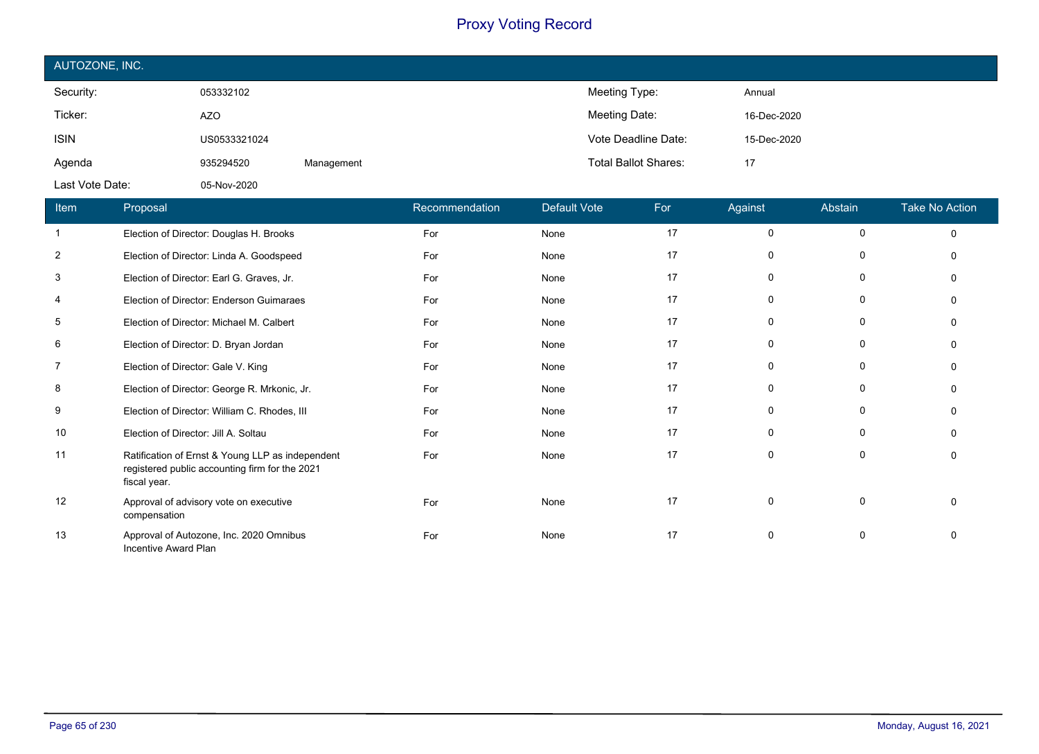| AUTOZONE, INC.  |              |            |                             |             |  |  |  |
|-----------------|--------------|------------|-----------------------------|-------------|--|--|--|
| Security:       | 053332102    |            | Meeting Type:               | Annual      |  |  |  |
| Ticker:         | <b>AZO</b>   |            | Meeting Date:               | 16-Dec-2020 |  |  |  |
| <b>ISIN</b>     | US0533321024 |            | Vote Deadline Date:         | 15-Dec-2020 |  |  |  |
| Agenda          | 935294520    | Management | <b>Total Ballot Shares:</b> | 17          |  |  |  |
| Last Vote Date: | 05-Nov-2020  |            |                             |             |  |  |  |

| Item           | Proposal                                                                                                           | Recommendation | <b>Default Vote</b> | For | Against     | Abstain     | <b>Take No Action</b> |
|----------------|--------------------------------------------------------------------------------------------------------------------|----------------|---------------------|-----|-------------|-------------|-----------------------|
|                | Election of Director: Douglas H. Brooks                                                                            | For            | None                | 17  | $\Omega$    | $\mathbf 0$ | $\Omega$              |
| 2              | Election of Director: Linda A. Goodspeed                                                                           | For            | None                | 17  | 0           | 0           |                       |
| 3              | Election of Director: Earl G. Graves, Jr.                                                                          | For            | None                | 17  | $\Omega$    | 0           |                       |
| $\overline{4}$ | Election of Director: Enderson Guimaraes                                                                           | For            | None                | 17  | $\Omega$    | $\Omega$    |                       |
| 5              | Election of Director: Michael M. Calbert                                                                           | For            | None                | 17  | $\Omega$    | 0           |                       |
| 6              | Election of Director: D. Bryan Jordan                                                                              | For            | None                | 17  | $\Omega$    | 0           |                       |
| 7              | Election of Director: Gale V. King                                                                                 | For            | None                | 17  | $\Omega$    | 0           |                       |
| 8              | Election of Director: George R. Mrkonic, Jr.                                                                       | For            | None                | 17  | 0           | $\Omega$    |                       |
| 9              | Election of Director: William C. Rhodes, III                                                                       | For            | None                | 17  | $\Omega$    | 0           |                       |
| 10             | Election of Director: Jill A. Soltau                                                                               | For            | None                | 17  | 0           | $\Omega$    |                       |
| 11             | Ratification of Ernst & Young LLP as independent<br>registered public accounting firm for the 2021<br>fiscal year. | For            | None                | 17  | $\Omega$    | $\Omega$    |                       |
| 12             | Approval of advisory vote on executive<br>compensation                                                             | For            | None                | 17  | $\mathbf 0$ | $\mathbf 0$ |                       |
| 13             | Approval of Autozone, Inc. 2020 Omnibus<br>Incentive Award Plan                                                    | For            | None                | 17  | $\Omega$    | 0           |                       |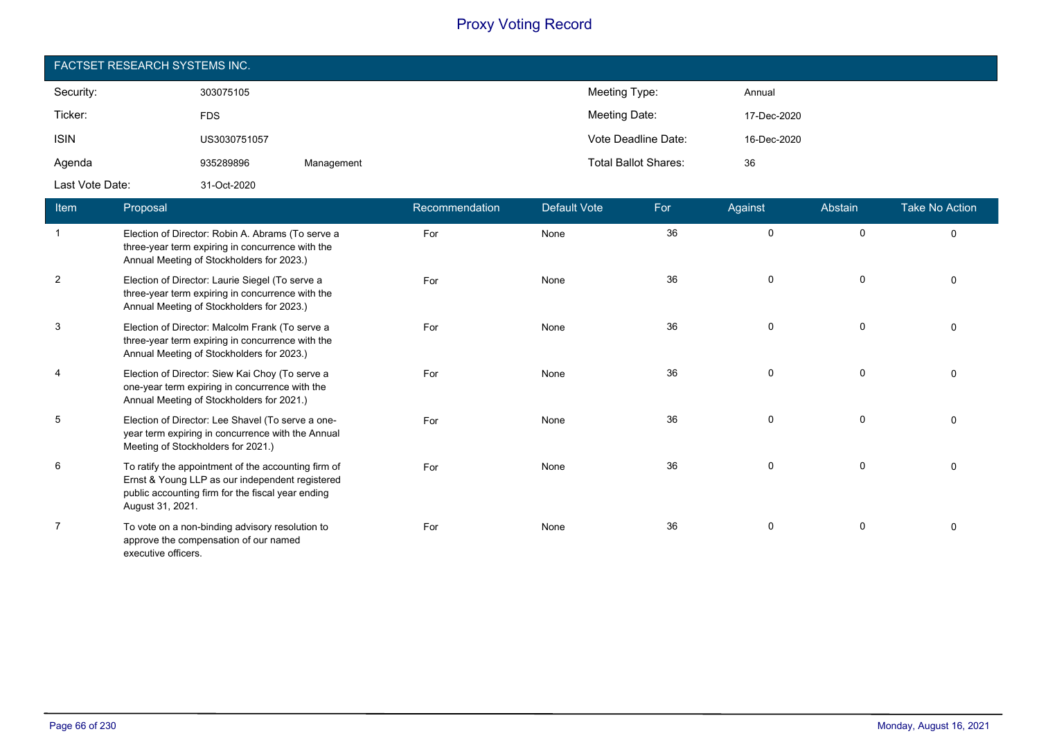| <b>FACTSET RESEARCH SYSTEMS INC.</b> |              |            |                             |             |  |  |  |  |
|--------------------------------------|--------------|------------|-----------------------------|-------------|--|--|--|--|
| Security:                            | 303075105    |            | Meeting Type:               | Annual      |  |  |  |  |
| Ticker:                              | <b>FDS</b>   |            | Meeting Date:               | 17-Dec-2020 |  |  |  |  |
| <b>ISIN</b>                          | US3030751057 |            | Vote Deadline Date:         | 16-Dec-2020 |  |  |  |  |
| Agenda                               | 935289896    | Management | <b>Total Ballot Shares:</b> | 36          |  |  |  |  |
| Last Vote Date:                      | 31-Oct-2020  |            |                             |             |  |  |  |  |

| Item           | Proposal                                                                                                                                                                        | Recommendation | <b>Default Vote</b> | For | Against     | Abstain     | <b>Take No Action</b> |
|----------------|---------------------------------------------------------------------------------------------------------------------------------------------------------------------------------|----------------|---------------------|-----|-------------|-------------|-----------------------|
| -1             | Election of Director: Robin A. Abrams (To serve a<br>three-year term expiring in concurrence with the<br>Annual Meeting of Stockholders for 2023.)                              | For            | None                | 36  | $\mathbf 0$ | $\mathbf 0$ | $\Omega$              |
| $\overline{2}$ | Election of Director: Laurie Siegel (To serve a<br>three-year term expiring in concurrence with the<br>Annual Meeting of Stockholders for 2023.)                                | For            | None                | 36  | $\mathbf 0$ | 0           |                       |
| 3              | Election of Director: Malcolm Frank (To serve a<br>three-year term expiring in concurrence with the<br>Annual Meeting of Stockholders for 2023.)                                | For            | None                | 36  | $\Omega$    | $\mathbf 0$ |                       |
| $\overline{4}$ | Election of Director: Siew Kai Choy (To serve a<br>one-year term expiring in concurrence with the<br>Annual Meeting of Stockholders for 2021.)                                  | For            | None                | 36  | $\Omega$    | $\mathbf 0$ |                       |
| 5              | Election of Director: Lee Shavel (To serve a one-<br>year term expiring in concurrence with the Annual<br>Meeting of Stockholders for 2021.)                                    | For            | None                | 36  | $\mathbf 0$ | 0           |                       |
| 6              | To ratify the appointment of the accounting firm of<br>Ernst & Young LLP as our independent registered<br>public accounting firm for the fiscal year ending<br>August 31, 2021. | For            | None                | 36  | $\Omega$    | 0           | $\Omega$              |
| 7              | To vote on a non-binding advisory resolution to<br>approve the compensation of our named<br>executive officers.                                                                 | For            | None                | 36  | 0           | 0           |                       |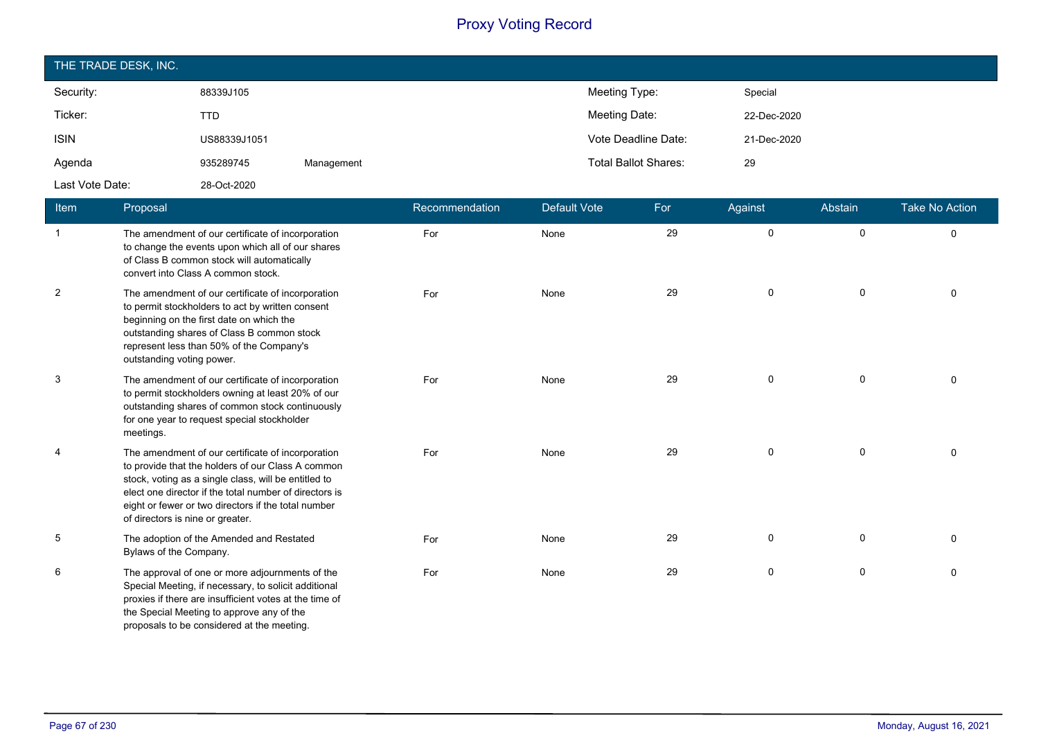| THE TRADE DESK, INC. |              |            |                             |             |  |  |  |  |
|----------------------|--------------|------------|-----------------------------|-------------|--|--|--|--|
| Security:            | 88339J105    |            | Meeting Type:               | Special     |  |  |  |  |
| Ticker:              | <b>TTD</b>   |            | Meeting Date:               | 22-Dec-2020 |  |  |  |  |
| <b>ISIN</b>          | US88339J1051 |            | Vote Deadline Date:         | 21-Dec-2020 |  |  |  |  |
| Agenda               | 935289745    | Management | <b>Total Ballot Shares:</b> | 29          |  |  |  |  |
| Last Vote Date:      | 28-Oct-2020  |            |                             |             |  |  |  |  |

| <b>Item</b>    | Proposal                                                                                                                                                                                                                                                                                                            | Recommendation | <b>Default Vote</b> | For | Against     | Abstain     | <b>Take No Action</b> |
|----------------|---------------------------------------------------------------------------------------------------------------------------------------------------------------------------------------------------------------------------------------------------------------------------------------------------------------------|----------------|---------------------|-----|-------------|-------------|-----------------------|
| $\overline{1}$ | The amendment of our certificate of incorporation<br>to change the events upon which all of our shares<br>of Class B common stock will automatically<br>convert into Class A common stock.                                                                                                                          | For            | None                | 29  | $\mathbf 0$ | $\mathbf 0$ | $\mathbf 0$           |
| $\overline{2}$ | The amendment of our certificate of incorporation<br>to permit stockholders to act by written consent<br>beginning on the first date on which the<br>outstanding shares of Class B common stock<br>represent less than 50% of the Company's<br>outstanding voting power.                                            | For            | None                | 29  | $\mathsf 0$ | $\pmb{0}$   | $\mathbf{0}$          |
| 3              | The amendment of our certificate of incorporation<br>to permit stockholders owning at least 20% of our<br>outstanding shares of common stock continuously<br>for one year to request special stockholder<br>meetings.                                                                                               | For            | None                | 29  | $\mathsf 0$ | 0           | $\mathbf{0}$          |
| 4              | The amendment of our certificate of incorporation<br>to provide that the holders of our Class A common<br>stock, voting as a single class, will be entitled to<br>elect one director if the total number of directors is<br>eight or fewer or two directors if the total number<br>of directors is nine or greater. | For            | None                | 29  | $\mathbf 0$ | 0           | $\Omega$              |
| 5              | The adoption of the Amended and Restated<br>Bylaws of the Company.                                                                                                                                                                                                                                                  | For            | None                | 29  | $\mathbf 0$ | $\mathbf 0$ | $\Omega$              |
| 6              | The approval of one or more adjournments of the<br>Special Meeting, if necessary, to solicit additional<br>proxies if there are insufficient votes at the time of<br>the Special Meeting to approve any of the<br>proposals to be considered at the meeting.                                                        | For            | None                | 29  | $\mathsf 0$ | 0           | $\Omega$              |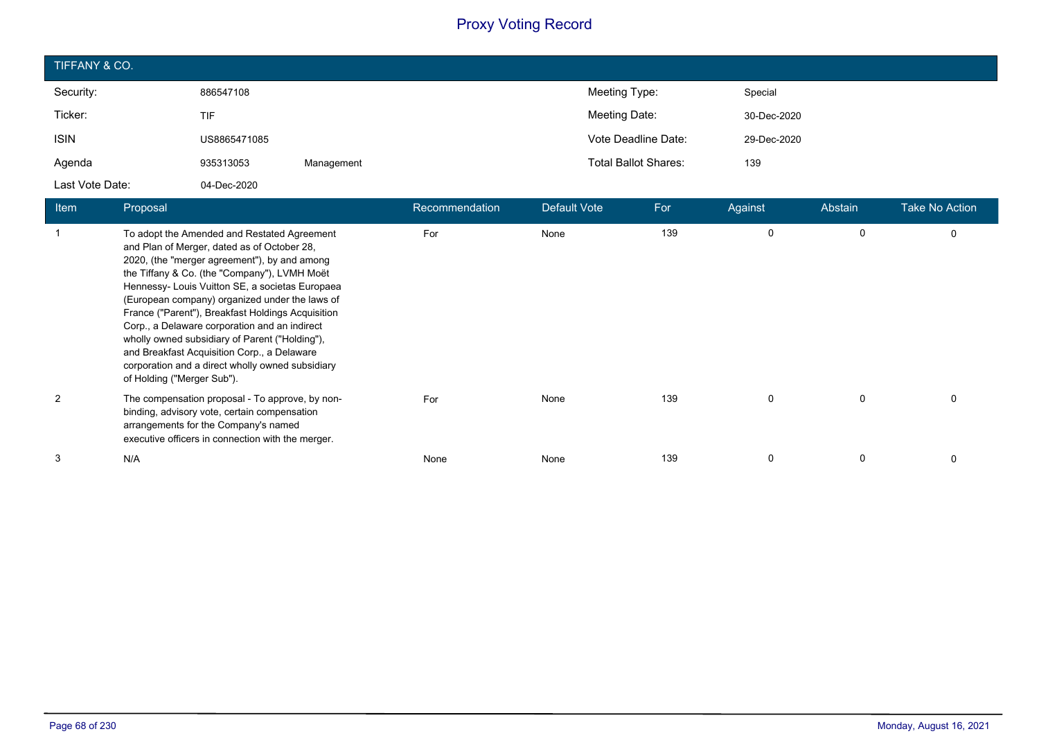| TIFFANY & CO.   |              |            |                             |             |  |  |  |  |
|-----------------|--------------|------------|-----------------------------|-------------|--|--|--|--|
| Security:       | 886547108    |            | Meeting Type:               | Special     |  |  |  |  |
| Ticker:         | <b>TIF</b>   |            | Meeting Date:               | 30-Dec-2020 |  |  |  |  |
| <b>ISIN</b>     | US8865471085 |            | Vote Deadline Date:         | 29-Dec-2020 |  |  |  |  |
| Agenda          | 935313053    | Management | <b>Total Ballot Shares:</b> | 139         |  |  |  |  |
| Last Vote Date: | 04-Dec-2020  |            |                             |             |  |  |  |  |

| Item | Proposal                                                                                                                                                                                                                                                                                                                                                                                                                                                                                                                                                                                 | Recommendation | Default Vote | For | Against | Abstain | Take No Action |
|------|------------------------------------------------------------------------------------------------------------------------------------------------------------------------------------------------------------------------------------------------------------------------------------------------------------------------------------------------------------------------------------------------------------------------------------------------------------------------------------------------------------------------------------------------------------------------------------------|----------------|--------------|-----|---------|---------|----------------|
|      | To adopt the Amended and Restated Agreement<br>and Plan of Merger, dated as of October 28,<br>2020, (the "merger agreement"), by and among<br>the Tiffany & Co. (the "Company"), LVMH Moët<br>Hennessy- Louis Vuitton SE, a societas Europaea<br>(European company) organized under the laws of<br>France ("Parent"), Breakfast Holdings Acquisition<br>Corp., a Delaware corporation and an indirect<br>wholly owned subsidiary of Parent ("Holding"),<br>and Breakfast Acquisition Corp., a Delaware<br>corporation and a direct wholly owned subsidiary<br>of Holding ("Merger Sub"). | For            | None         | 139 | 0       | 0       | 0              |
| 2    | The compensation proposal - To approve, by non-<br>binding, advisory vote, certain compensation<br>arrangements for the Company's named<br>executive officers in connection with the merger.                                                                                                                                                                                                                                                                                                                                                                                             | For            | None         | 139 | 0       | 0       | 0              |
| 3    | N/A                                                                                                                                                                                                                                                                                                                                                                                                                                                                                                                                                                                      | None           | None         | 139 | 0       | 0       | 0              |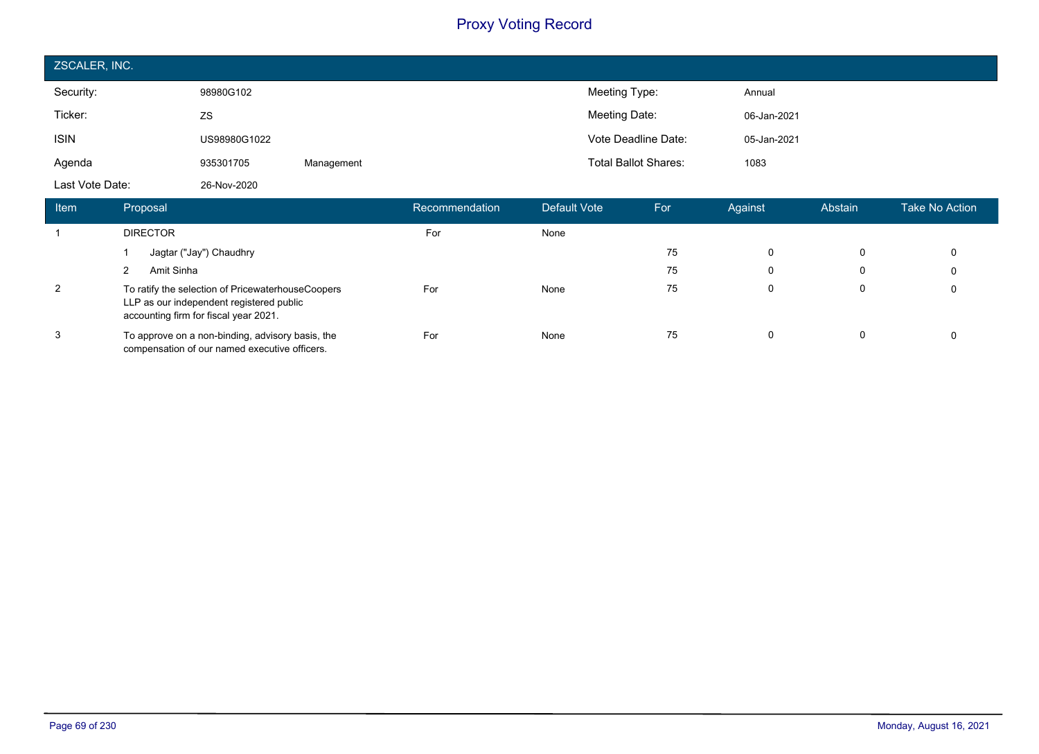| ZSCALER, INC.   |              |            |                             |             |  |  |  |  |
|-----------------|--------------|------------|-----------------------------|-------------|--|--|--|--|
| Security:       | 98980G102    |            | Meeting Type:               | Annual      |  |  |  |  |
| Ticker:         | ZS           |            | Meeting Date:               | 06-Jan-2021 |  |  |  |  |
| <b>ISIN</b>     | US98980G1022 |            | Vote Deadline Date:         | 05-Jan-2021 |  |  |  |  |
| Agenda          | 935301705    | Management | <b>Total Ballot Shares:</b> | 1083        |  |  |  |  |
| Last Vote Date: | 26-Nov-2020  |            |                             |             |  |  |  |  |

| ltem | Proposal                                                                                                                               | Recommendation | Default Vote | For | Against  | Abstain | Take No Action <b>\</b> |
|------|----------------------------------------------------------------------------------------------------------------------------------------|----------------|--------------|-----|----------|---------|-------------------------|
|      | <b>DIRECTOR</b>                                                                                                                        | For            | None         |     |          |         |                         |
|      | Jagtar ("Jay") Chaudhry                                                                                                                |                |              | 75  | 0        | 0       | $\mathbf 0$             |
|      | Amit Sinha                                                                                                                             |                |              | 75  | 0        | 0       | 0                       |
| 2    | To ratify the selection of PricewaterhouseCoopers<br>LLP as our independent registered public<br>accounting firm for fiscal year 2021. | For            | None         | 75  | $\Omega$ | 0       | 0                       |
| 3    | To approve on a non-binding, advisory basis, the<br>compensation of our named executive officers.                                      | For            | None         | 75  | 0        | 0       | 0                       |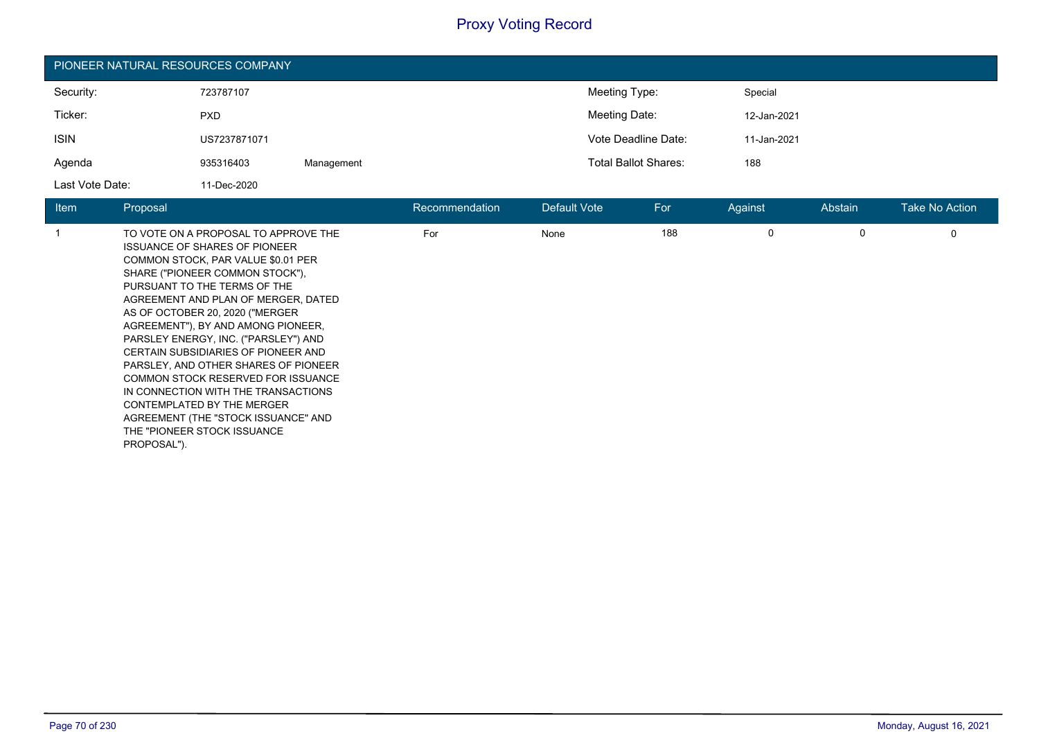| PIONEER NATURAL RESOURCES COMPANY |              |            |                             |             |  |  |  |  |
|-----------------------------------|--------------|------------|-----------------------------|-------------|--|--|--|--|
| Security:                         | 723787107    |            | Meeting Type:               | Special     |  |  |  |  |
| Ticker:                           | <b>PXD</b>   |            | Meeting Date:               | 12-Jan-2021 |  |  |  |  |
| <b>ISIN</b>                       | US7237871071 |            | Vote Deadline Date:         | 11-Jan-2021 |  |  |  |  |
| Agenda                            | 935316403    | Management | <b>Total Ballot Shares:</b> | 188         |  |  |  |  |
| Last Vote Date:                   | 11-Dec-2020  |            |                             |             |  |  |  |  |

| <b>Item</b> | Proposal                                                                                                                                                                                                                                                                                                                                                                                                                                                                                                                                                                                                                            | Recommendation | Default Vote | For | Against  | Abstain | Take No Action |
|-------------|-------------------------------------------------------------------------------------------------------------------------------------------------------------------------------------------------------------------------------------------------------------------------------------------------------------------------------------------------------------------------------------------------------------------------------------------------------------------------------------------------------------------------------------------------------------------------------------------------------------------------------------|----------------|--------------|-----|----------|---------|----------------|
|             | TO VOTE ON A PROPOSAL TO APPROVE THE<br><b>ISSUANCE OF SHARES OF PIONEER</b><br>COMMON STOCK, PAR VALUE \$0.01 PER<br>SHARE ("PIONEER COMMON STOCK"),<br>PURSUANT TO THE TERMS OF THE<br>AGREEMENT AND PLAN OF MERGER, DATED<br>AS OF OCTOBER 20, 2020 ("MERGER<br>AGREEMENT"), BY AND AMONG PIONEER,<br>PARSLEY ENERGY, INC. ("PARSLEY") AND<br>CERTAIN SUBSIDIARIES OF PIONEER AND<br>PARSLEY, AND OTHER SHARES OF PIONEER<br><b>COMMON STOCK RESERVED FOR ISSUANCE</b><br>IN CONNECTION WITH THE TRANSACTIONS<br>CONTEMPLATED BY THE MERGER<br>AGREEMENT (THE "STOCK ISSUANCE" AND<br>THE "PIONEER STOCK ISSUANCE<br>PROPOSAL"). | For            | None         | 188 | $\Omega$ | 0       | 0              |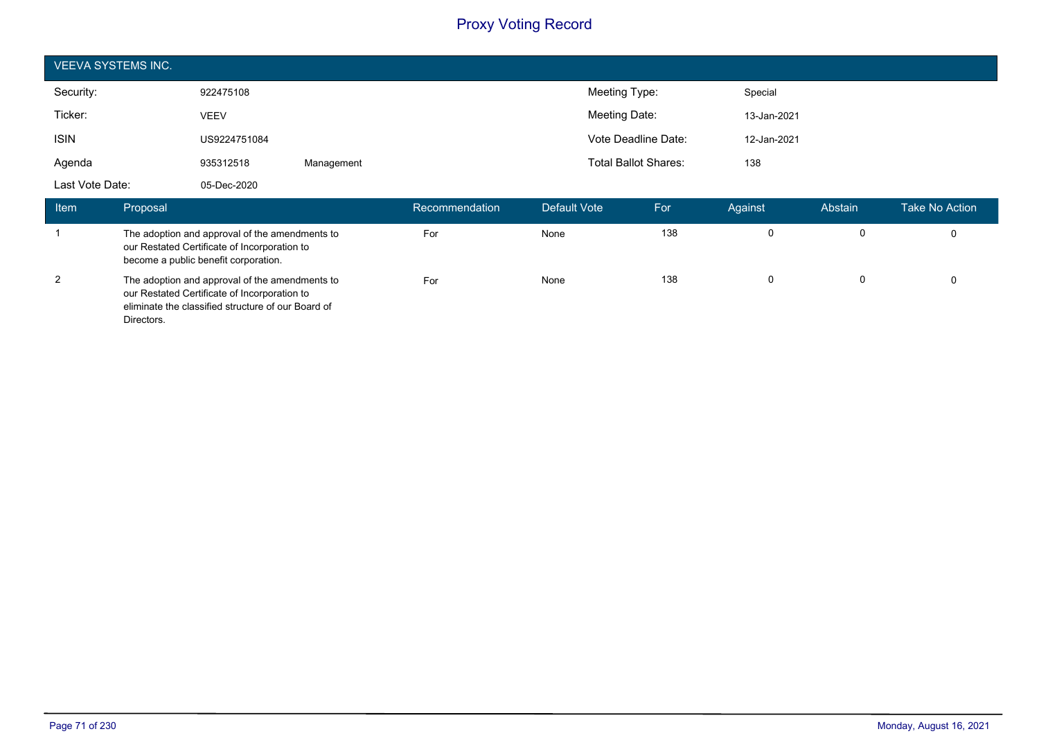| <b>VEEVA SYSTEMS INC.</b> |              |            |                |              |                             |             |         |                |
|---------------------------|--------------|------------|----------------|--------------|-----------------------------|-------------|---------|----------------|
| Security:                 | 922475108    |            |                |              | Meeting Type:               | Special     |         |                |
| Ticker:                   | <b>VEEV</b>  |            |                |              | Meeting Date:               | 13-Jan-2021 |         |                |
| <b>ISIN</b>               | US9224751084 |            |                |              | Vote Deadline Date:         | 12-Jan-2021 |         |                |
| Agenda                    | 935312518    | Management |                |              | <b>Total Ballot Shares:</b> | 138         |         |                |
| Last Vote Date:           | 05-Dec-2020  |            |                |              |                             |             |         |                |
| Item<br>Proposal          |              |            | Recommendation | Default Vote | For                         | Against     | Abstain | Take No Action |

| 115111 | i iupusal                                                                                                                                                          | MCWITHICHUAUVH | <b>Delault</b> vult | וט ו | nyallist | Avəlallı | LANG INU MULIUIL |
|--------|--------------------------------------------------------------------------------------------------------------------------------------------------------------------|----------------|---------------------|------|----------|----------|------------------|
|        | The adoption and approval of the amendments to<br>our Restated Certificate of Incorporation to<br>become a public benefit corporation.                             | For            | None                | 138  |          |          |                  |
| 2      | The adoption and approval of the amendments to<br>our Restated Certificate of Incorporation to<br>eliminate the classified structure of our Board of<br>Directors. | For            | None                | 138  |          |          |                  |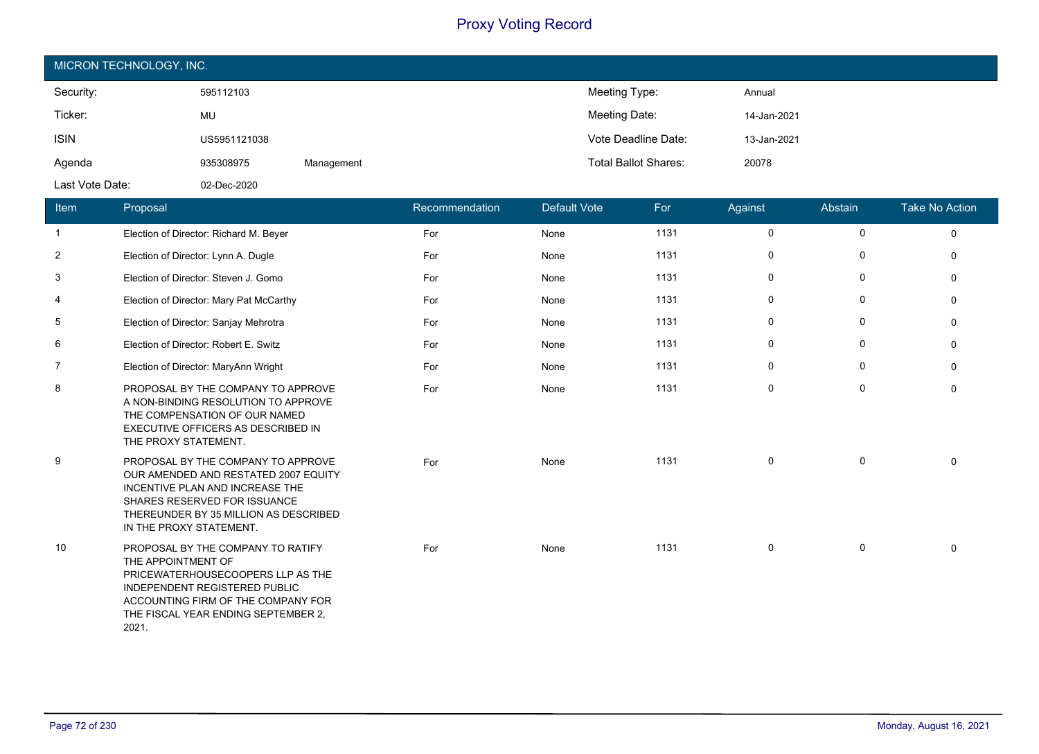| MICRON TECHNOLOGY, INC. |              |            |                             |             |  |  |  |  |
|-------------------------|--------------|------------|-----------------------------|-------------|--|--|--|--|
| Security:               | 595112103    |            | Meeting Type:               | Annual      |  |  |  |  |
| Ticker:                 | MU           |            | Meeting Date:               | 14-Jan-2021 |  |  |  |  |
| <b>ISIN</b>             | US5951121038 |            | Vote Deadline Date:         | 13-Jan-2021 |  |  |  |  |
| Agenda                  | 935308975    | Management | <b>Total Ballot Shares:</b> | 20078       |  |  |  |  |
| Last Vote Date:         | 02-Dec-2020  |            |                             |             |  |  |  |  |

| Item | <b>Proposal</b>                                                                                                                                                                                                            | Recommendation | <b>Default Vote</b> | For  | Against     | Abstain     | <b>Take No Action</b> |
|------|----------------------------------------------------------------------------------------------------------------------------------------------------------------------------------------------------------------------------|----------------|---------------------|------|-------------|-------------|-----------------------|
| 1    | Election of Director: Richard M. Beyer                                                                                                                                                                                     | For            | None                | 1131 | $\mathbf 0$ | $\mathbf 0$ | $\Omega$              |
| 2    | Election of Director: Lynn A. Dugle                                                                                                                                                                                        | For            | None                | 1131 | $\mathbf 0$ | $\mathbf 0$ | $\Omega$              |
| 3    | Election of Director: Steven J. Gomo                                                                                                                                                                                       | For            | None                | 1131 | $\mathbf 0$ | $\mathbf 0$ | $\Omega$              |
| 4    | Election of Director: Mary Pat McCarthy                                                                                                                                                                                    | For            | None                | 1131 | $\mathbf 0$ | $\mathbf 0$ | $\Omega$              |
| 5    | Election of Director: Sanjay Mehrotra                                                                                                                                                                                      | For            | None                | 1131 | $\mathbf 0$ | 0           | $\mathbf 0$           |
| 6    | Election of Director: Robert E. Switz                                                                                                                                                                                      | For            | None                | 1131 | $\mathbf 0$ | $\mathbf 0$ | $\mathbf 0$           |
| 7    | Election of Director: MaryAnn Wright                                                                                                                                                                                       | For            | None                | 1131 | 0           | 0           | $\Omega$              |
| 8    | PROPOSAL BY THE COMPANY TO APPROVE<br>A NON-BINDING RESOLUTION TO APPROVE<br>THE COMPENSATION OF OUR NAMED<br>EXECUTIVE OFFICERS AS DESCRIBED IN<br>THE PROXY STATEMENT.                                                   | For            | None                | 1131 | $\mathbf 0$ | $\mathbf 0$ | $\Omega$              |
| 9    | PROPOSAL BY THE COMPANY TO APPROVE<br>OUR AMENDED AND RESTATED 2007 EQUITY<br>INCENTIVE PLAN AND INCREASE THE<br>SHARES RESERVED FOR ISSUANCE<br>THEREUNDER BY 35 MILLION AS DESCRIBED<br>IN THE PROXY STATEMENT.          | For            | None                | 1131 | $\mathbf 0$ | $\mathbf 0$ | $\Omega$              |
| 10   | PROPOSAL BY THE COMPANY TO RATIFY<br>THE APPOINTMENT OF<br>PRICEWATERHOUSECOOPERS LLP AS THE<br><b>INDEPENDENT REGISTERED PUBLIC</b><br>ACCOUNTING FIRM OF THE COMPANY FOR<br>THE FISCAL YEAR ENDING SEPTEMBER 2,<br>2021. | For            | None                | 1131 | $\mathbf 0$ | 0           | $\Omega$              |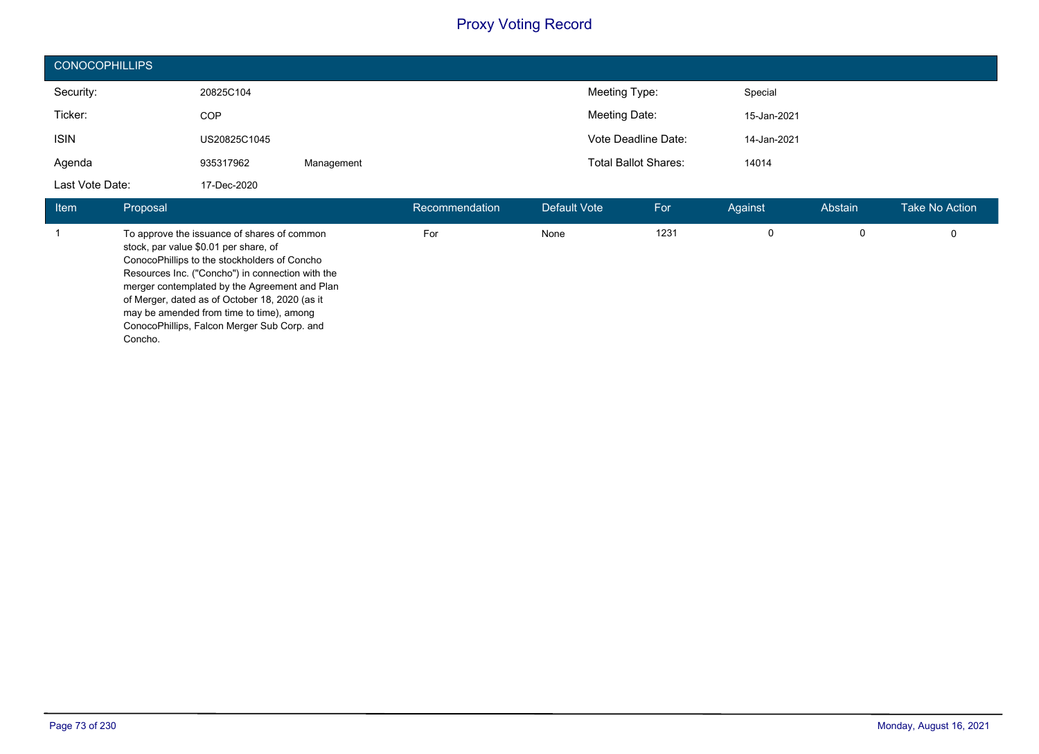| <b>CONOCOPHILLIPS</b> |              |            |                             |             |  |  |  |  |
|-----------------------|--------------|------------|-----------------------------|-------------|--|--|--|--|
| Security:             | 20825C104    |            | Meeting Type:               | Special     |  |  |  |  |
| Ticker:               | <b>COP</b>   |            | Meeting Date:               | 15-Jan-2021 |  |  |  |  |
| <b>ISIN</b>           | US20825C1045 |            | Vote Deadline Date:         | 14-Jan-2021 |  |  |  |  |
| Agenda                | 935317962    | Management | <b>Total Ballot Shares:</b> | 14014       |  |  |  |  |
| Last Vote Date:       | 17-Dec-2020  |            |                             |             |  |  |  |  |

| Item | Proposal                                                                                                                                                                                                                                                                                                                                                                                          | Recommendation | Default Vote | For  | Against | Abstain | <b>Take No Action</b> |
|------|---------------------------------------------------------------------------------------------------------------------------------------------------------------------------------------------------------------------------------------------------------------------------------------------------------------------------------------------------------------------------------------------------|----------------|--------------|------|---------|---------|-----------------------|
|      | To approve the issuance of shares of common<br>stock, par value \$0.01 per share, of<br>ConocoPhillips to the stockholders of Concho<br>Resources Inc. ("Concho") in connection with the<br>merger contemplated by the Agreement and Plan<br>of Merger, dated as of October 18, 2020 (as it<br>may be amended from time to time), among<br>ConocoPhillips, Falcon Merger Sub Corp. and<br>Concho. | For            | None         | 1231 |         |         |                       |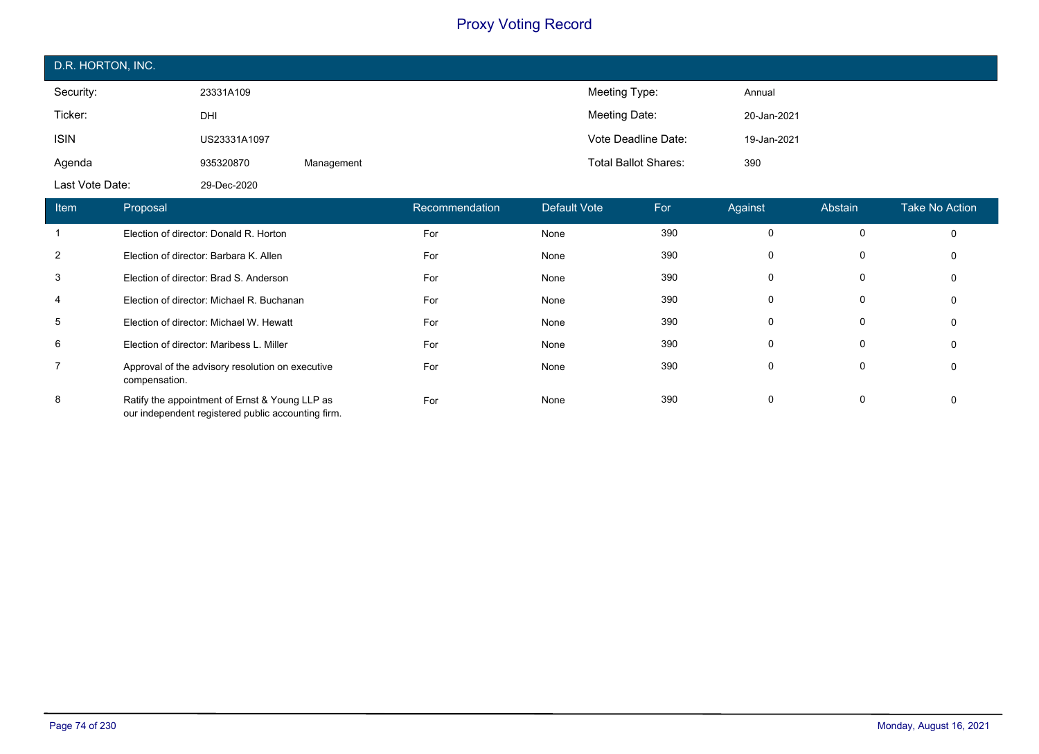| D.R. HORTON, INC.                  |              |            |                       |                  |                             |                  |             |                |                |
|------------------------------------|--------------|------------|-----------------------|------------------|-----------------------------|------------------|-------------|----------------|----------------|
| Security:                          | 23331A109    |            |                       |                  | Meeting Type:               |                  | Annual      |                |                |
| Ticker:                            | DHI          |            |                       |                  | Meeting Date:               |                  | 20-Jan-2021 |                |                |
| <b>ISIN</b>                        | US23331A1097 |            |                       |                  | Vote Deadline Date:         |                  | 19-Jan-2021 |                |                |
| Agenda                             | 935320870    | Management |                       |                  | <b>Total Ballot Shares:</b> |                  | 390         |                |                |
| Last Vote Date:                    | 29-Dec-2020  |            |                       |                  |                             |                  |             |                |                |
| H <sub>cm</sub><br><b>Dronoool</b> |              |            | <b>Docommondation</b> | $Dofquil$ $Moto$ |                             | $E_{\mathbf{A}}$ | A point     | <b>Abotoin</b> | Toko No Aotion |

| <b>Item</b>    | Proposal                                                                                             | Recommendation <sup>1</sup> | Default Vote | For | Against | Abstain  | <b>Take No Action</b> |
|----------------|------------------------------------------------------------------------------------------------------|-----------------------------|--------------|-----|---------|----------|-----------------------|
|                | Election of director: Donald R. Horton                                                               | For                         | None         | 390 | 0       | $\Omega$ | 0                     |
| 2              | Election of director: Barbara K. Allen                                                               | For                         | None         | 390 | 0       | 0        | 0                     |
| 3              | Election of director: Brad S. Anderson                                                               | For                         | None         | 390 | 0       | 0        | 0                     |
| 4              | Election of director: Michael R. Buchanan                                                            | For                         | None         | 390 | 0       | 0        | 0                     |
| 5              | Election of director: Michael W. Hewatt                                                              | For                         | None         | 390 | 0       | 0        | 0                     |
| 6              | Election of director: Maribess L. Miller                                                             | For                         | None         | 390 | 0       | 0        | 0                     |
| $\overline{7}$ | Approval of the advisory resolution on executive<br>compensation.                                    | For                         | None         | 390 | 0       | 0        | 0                     |
| 8              | Ratify the appointment of Ernst & Young LLP as<br>our independent registered public accounting firm. | For                         | None         | 390 | 0       | 0        | 0                     |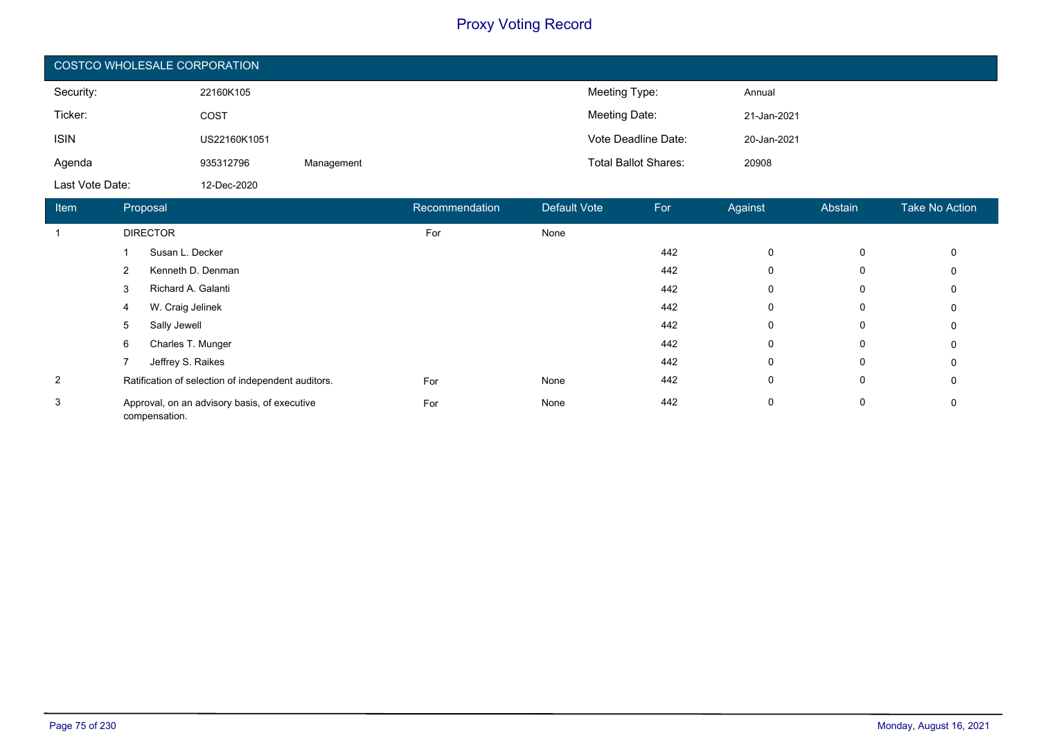| COSTCO WHOLESALE CORPORATION |              |            |                             |             |  |  |  |  |
|------------------------------|--------------|------------|-----------------------------|-------------|--|--|--|--|
| Security:                    | 22160K105    |            | Meeting Type:               | Annual      |  |  |  |  |
| Ticker:                      | COST         |            | Meeting Date:               | 21-Jan-2021 |  |  |  |  |
| <b>ISIN</b>                  | US22160K1051 |            | Vote Deadline Date:         | 20-Jan-2021 |  |  |  |  |
| Agenda                       | 935312796    | Management | <b>Total Ballot Shares:</b> | 20908       |  |  |  |  |
| Last Vote Date:              | 12-Dec-2020  |            |                             |             |  |  |  |  |

| <b>Item</b>    | Proposal                                                      |                    | Recommendation | Default Vote | For | Against     | Abstain | <b>Take No Action</b> |
|----------------|---------------------------------------------------------------|--------------------|----------------|--------------|-----|-------------|---------|-----------------------|
|                |                                                               | <b>DIRECTOR</b>    | For            | None         |     |             |         |                       |
|                |                                                               | Susan L. Decker    |                |              | 442 | 0           | 0       | 0                     |
|                | 2                                                             | Kenneth D. Denman  |                |              | 442 | 0           | 0       | 0                     |
|                | 3                                                             | Richard A. Galanti |                |              | 442 | 0           | 0       | 0                     |
|                | 4                                                             | W. Craig Jelinek   |                |              | 442 | 0           | 0       | 0                     |
|                | 5                                                             | Sally Jewell       |                |              | 442 | 0           | 0       | 0                     |
|                | 6                                                             | Charles T. Munger  |                |              | 442 | 0           | 0       | 0                     |
|                |                                                               | Jeffrey S. Raikes  |                |              | 442 | $\mathbf 0$ | 0       | 0                     |
| $\overline{2}$ | Ratification of selection of independent auditors.            |                    | For            | None         | 442 | 0           | 0       | 0                     |
| 3              | Approval, on an advisory basis, of executive<br>compensation. |                    | For            | None         | 442 | $\mathbf 0$ | 0       | 0                     |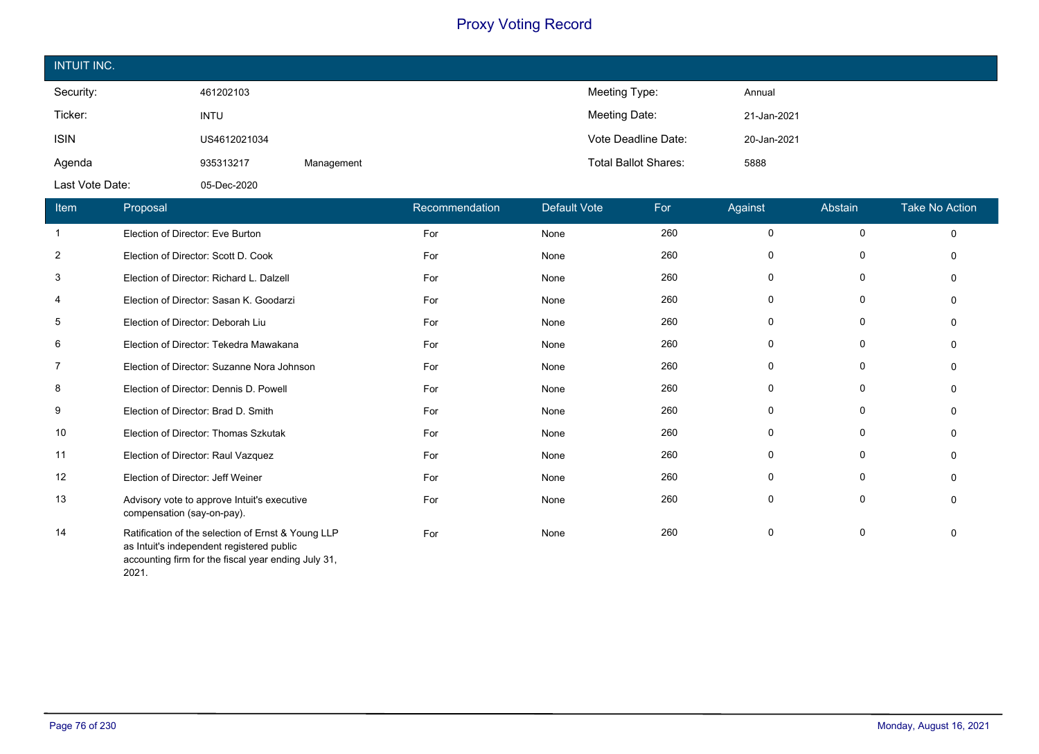| <b>INTUIT INC.</b> |              |            |                             |             |
|--------------------|--------------|------------|-----------------------------|-------------|
| Security:          | 461202103    |            | Meeting Type:               | Annual      |
| Ticker:            | <b>INTU</b>  |            | Meeting Date:               | 21-Jan-2021 |
| <b>ISIN</b>        | US4612021034 |            | Vote Deadline Date:         | 20-Jan-2021 |
| Agenda             | 935313217    | Management | <b>Total Ballot Shares:</b> | 5888        |
| Last Vote Date:    | 05-Dec-2020  |            |                             |             |

| Item           | Proposal                                                                                                                                               | Recommendation | Default Vote | For | Against | Abstain     | <b>Take No Action</b> |
|----------------|--------------------------------------------------------------------------------------------------------------------------------------------------------|----------------|--------------|-----|---------|-------------|-----------------------|
| -1             | Election of Director: Eve Burton                                                                                                                       | For            | None         | 260 | 0       | 0           | $\Omega$              |
| 2              | Election of Director: Scott D. Cook                                                                                                                    | For            | None         | 260 | 0       | 0           | $\Omega$              |
| 3              | Election of Director: Richard L. Dalzell                                                                                                               | For            | None         | 260 | 0       | 0           | $\Omega$              |
| 4              | Election of Director: Sasan K. Goodarzi                                                                                                                | For            | None         | 260 | 0       | 0           | $\Omega$              |
| 5              | Election of Director: Deborah Liu                                                                                                                      | For            | None         | 260 | 0       | 0           | $\Omega$              |
| 6              | Election of Director: Tekedra Mawakana                                                                                                                 | For            | None         | 260 | 0       | 0           | $\Omega$              |
| $\overline{7}$ | Election of Director: Suzanne Nora Johnson                                                                                                             | For            | None         | 260 | 0       | 0           | $\Omega$              |
| 8              | Election of Director: Dennis D. Powell                                                                                                                 | For            | None         | 260 | 0       | 0           | $\Omega$              |
| 9              | Election of Director: Brad D. Smith                                                                                                                    | For            | None         | 260 | 0       | 0           | $\Omega$              |
| 10             | Election of Director: Thomas Szkutak                                                                                                                   | For            | None         | 260 | 0       | 0           | $\Omega$              |
| 11             | Election of Director: Raul Vazquez                                                                                                                     | For            | None         | 260 | 0       | 0           |                       |
| 12             | Election of Director: Jeff Weiner                                                                                                                      | For            | None         | 260 | 0       | $\mathbf 0$ | $\Omega$              |
| 13             | Advisory vote to approve Intuit's executive<br>compensation (say-on-pay).                                                                              | For            | None         | 260 | 0       | 0           | 0                     |
| 14             | Ratification of the selection of Ernst & Young LLP<br>as Intuit's independent registered public<br>accounting firm for the fiscal year ending July 31, | For            | None         | 260 | 0       | $\mathbf 0$ | $\Omega$              |

2021.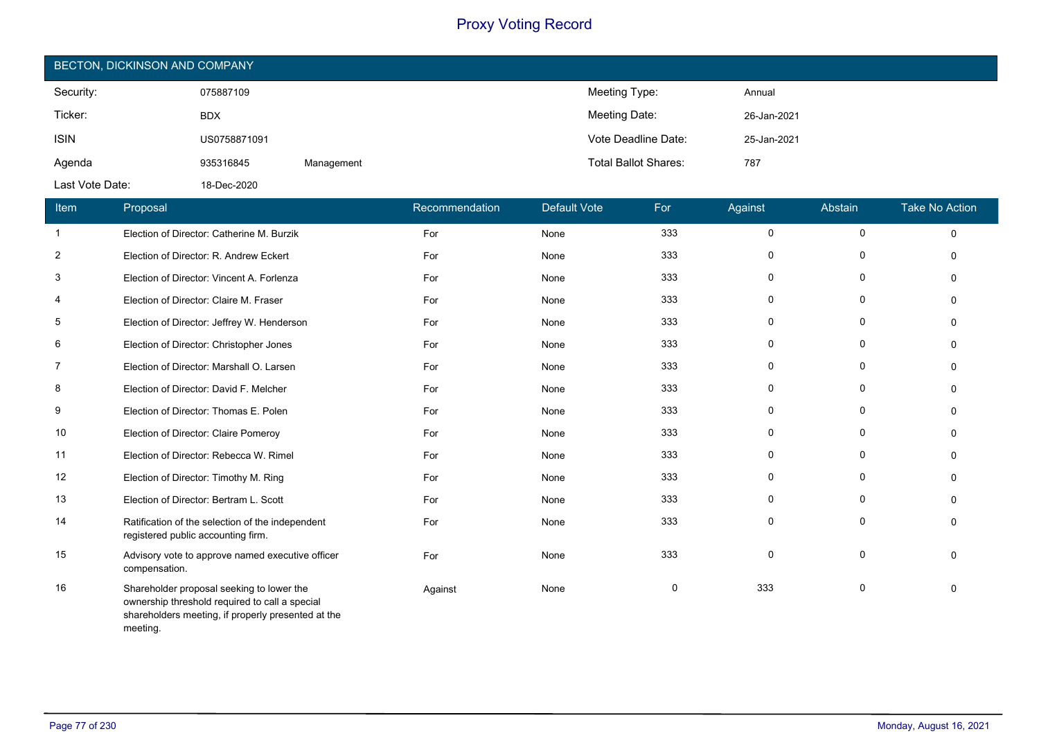| BECTON, DICKINSON AND COMPANY |              |            |                             |             |  |  |  |  |
|-------------------------------|--------------|------------|-----------------------------|-------------|--|--|--|--|
| Security:                     | 075887109    |            | Meeting Type:               | Annual      |  |  |  |  |
| Ticker:                       | <b>BDX</b>   |            | Meeting Date:               | 26-Jan-2021 |  |  |  |  |
| <b>ISIN</b>                   | US0758871091 |            | Vote Deadline Date:         | 25-Jan-2021 |  |  |  |  |
| Agenda                        | 935316845    | Management | <b>Total Ballot Shares:</b> | 787         |  |  |  |  |
| Last Vote Date:               | 18-Dec-2020  |            |                             |             |  |  |  |  |

| Item           | Proposal                                                                                                                                                      | Recommendation | <b>Default Vote</b> | For      | Against      | Abstain     | <b>Take No Action</b> |
|----------------|---------------------------------------------------------------------------------------------------------------------------------------------------------------|----------------|---------------------|----------|--------------|-------------|-----------------------|
| $\overline{1}$ | Election of Director: Catherine M. Burzik                                                                                                                     | For            | None                | 333      | $\mathsf{O}$ | $\mathbf 0$ | $\Omega$              |
| $\overline{2}$ | Election of Director: R. Andrew Eckert                                                                                                                        | For            | None                | 333      | 0            | 0           | $\mathbf{0}$          |
| 3              | Election of Director: Vincent A. Forlenza                                                                                                                     | For            | None                | 333      | $\mathbf 0$  | $\mathbf 0$ | $\Omega$              |
| 4              | Election of Director: Claire M. Fraser                                                                                                                        | For            | None                | 333      | $\mathbf 0$  | $\mathbf 0$ | $\Omega$              |
| 5              | Election of Director: Jeffrey W. Henderson                                                                                                                    | For            | None                | 333      | 0            | 0           | $\Omega$              |
| 6              | Election of Director: Christopher Jones                                                                                                                       | For            | None                | 333      | 0            | $\mathbf 0$ | $\Omega$              |
| 7              | Election of Director: Marshall O. Larsen                                                                                                                      | For            | None                | 333      | $\mathbf 0$  | 0           | $\Omega$              |
| 8              | Election of Director: David F. Melcher                                                                                                                        | For            | None                | 333      | 0            | 0           | $\mathbf{0}$          |
| 9              | Election of Director: Thomas E. Polen                                                                                                                         | For            | None                | 333      | $\mathbf 0$  | 0           | $\Omega$              |
| 10             | Election of Director: Claire Pomeroy                                                                                                                          | For            | None                | 333      | 0            | 0           | $\Omega$              |
| 11             | Election of Director: Rebecca W. Rimel                                                                                                                        | For            | None                | 333      | 0            | $\mathbf 0$ | $\Omega$              |
| 12             | Election of Director: Timothy M. Ring                                                                                                                         | For            | None                | 333      | 0            | 0           | $\Omega$              |
| 13             | Election of Director: Bertram L. Scott                                                                                                                        | For            | None                | 333      | 0            | 0           | $\Omega$              |
| 14             | Ratification of the selection of the independent<br>registered public accounting firm.                                                                        | For            | None                | 333      | $\mathbf 0$  | $\mathbf 0$ | $\Omega$              |
| 15             | Advisory vote to approve named executive officer<br>compensation.                                                                                             | For            | None                | 333      | $\mathbf 0$  | $\mathbf 0$ | $\mathbf{0}$          |
| 16             | Shareholder proposal seeking to lower the<br>ownership threshold required to call a special<br>shareholders meeting, if properly presented at the<br>meeting. | Against        | None                | $\Omega$ | 333          | 0           | $\Omega$              |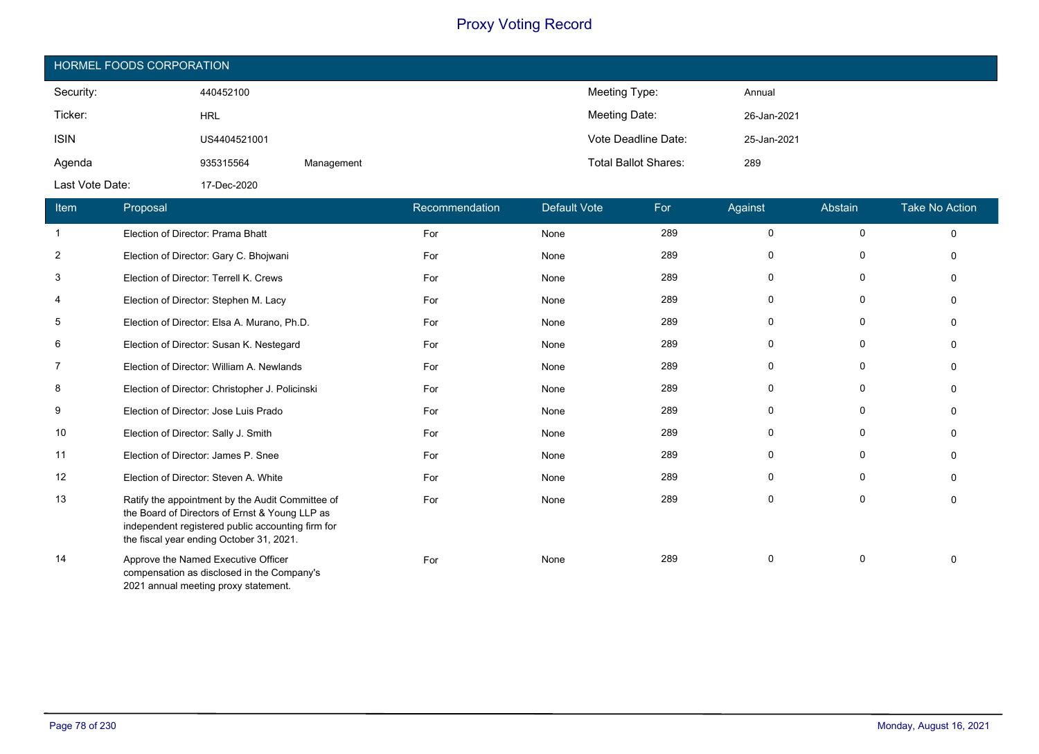| HORMEL FOODS CORPORATION |              |            |                             |             |  |  |  |
|--------------------------|--------------|------------|-----------------------------|-------------|--|--|--|
| Security:                | 440452100    |            | Meeting Type:               | Annual      |  |  |  |
| Ticker:                  | <b>HRL</b>   |            | Meeting Date:               | 26-Jan-2021 |  |  |  |
| <b>ISIN</b>              | US4404521001 |            | Vote Deadline Date:         | 25-Jan-2021 |  |  |  |
| Agenda                   | 935315564    | Management | <b>Total Ballot Shares:</b> | 289         |  |  |  |
| Last Vote Date:          | 17-Dec-2020  |            |                             |             |  |  |  |

| Item | Proposal                                                                                                                                                                                            | Recommendation | Default Vote | For | Against     | Abstain     | <b>Take No Action</b> |
|------|-----------------------------------------------------------------------------------------------------------------------------------------------------------------------------------------------------|----------------|--------------|-----|-------------|-------------|-----------------------|
| -1   | Election of Director: Prama Bhatt                                                                                                                                                                   | For            | None         | 289 | 0           | 0           | $\Omega$              |
| 2    | Election of Director: Gary C. Bhojwani                                                                                                                                                              | For            | None         | 289 | 0           | 0           | $\Omega$              |
| 3    | Election of Director: Terrell K. Crews                                                                                                                                                              | For            | None         | 289 | $\mathbf 0$ | 0           | $\Omega$              |
| 4    | Election of Director: Stephen M. Lacy                                                                                                                                                               | For            | None         | 289 | 0           | $\mathbf 0$ | $\Omega$              |
| 5    | Election of Director: Elsa A. Murano, Ph.D.                                                                                                                                                         | For            | None         | 289 | $\Omega$    | 0           | n                     |
| 6    | Election of Director: Susan K. Nestegard                                                                                                                                                            | For            | None         | 289 | 0           | 0           | $\Omega$              |
| 7    | Election of Director: William A. Newlands                                                                                                                                                           | For            | None         | 289 | 0           | 0           | n                     |
| 8    | Election of Director: Christopher J. Policinski                                                                                                                                                     | For            | None         | 289 | $\Omega$    | $\mathbf 0$ |                       |
| 9    | Election of Director: Jose Luis Prado                                                                                                                                                               | For            | None         | 289 | 0           | $\mathbf 0$ | n                     |
| 10   | Election of Director: Sally J. Smith                                                                                                                                                                | For            | None         | 289 | 0           | 0           | O                     |
| 11   | Election of Director: James P. Snee                                                                                                                                                                 | For            | None         | 289 | $\mathbf 0$ | 0           | $\Omega$              |
| 12   | Election of Director: Steven A. White                                                                                                                                                               | For            | None         | 289 | $\mathbf 0$ | 0           | $\Omega$              |
| 13   | Ratify the appointment by the Audit Committee of<br>the Board of Directors of Ernst & Young LLP as<br>independent registered public accounting firm for<br>the fiscal year ending October 31, 2021. | For            | None         | 289 | 0           | $\mathbf 0$ | $\Omega$              |
| 14   | Approve the Named Executive Officer<br>compensation as disclosed in the Company's<br>2021 annual meeting proxy statement.                                                                           | For            | None         | 289 | $\mathbf 0$ | $\mathbf 0$ | $\Omega$              |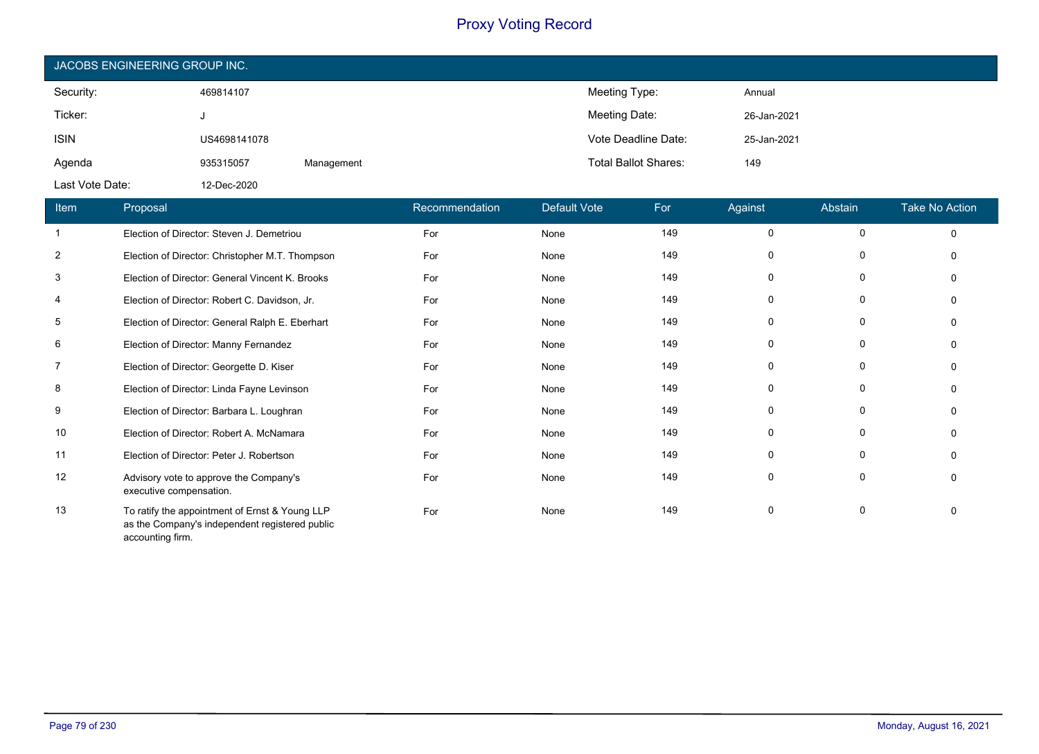| JACOBS ENGINEERING GROUP INC. |              |            |                             |             |  |  |  |
|-------------------------------|--------------|------------|-----------------------------|-------------|--|--|--|
| Security:                     | 469814107    |            | Meeting Type:               | Annual      |  |  |  |
| Ticker:                       |              |            | Meeting Date:               | 26-Jan-2021 |  |  |  |
| <b>ISIN</b>                   | US4698141078 |            | Vote Deadline Date:         | 25-Jan-2021 |  |  |  |
| Agenda                        | 935315057    | Management | <b>Total Ballot Shares:</b> | 149         |  |  |  |
| Last Vote Date:               | 12-Dec-2020  |            |                             |             |  |  |  |

| Item           | Proposal                                                                                                             | Recommendation | <b>Default Vote</b> | For | Against     | Abstain     | <b>Take No Action</b> |
|----------------|----------------------------------------------------------------------------------------------------------------------|----------------|---------------------|-----|-------------|-------------|-----------------------|
|                | Election of Director: Steven J. Demetriou                                                                            | For            | None                | 149 | 0           | 0           | $\mathbf 0$           |
| $\overline{2}$ | Election of Director: Christopher M.T. Thompson                                                                      | For            | None                | 149 | 0           | 0           | $\Omega$              |
| 3              | Election of Director: General Vincent K. Brooks                                                                      | For            | None                | 149 | $\mathbf 0$ | 0           | $\Omega$              |
| 4              | Election of Director: Robert C. Davidson, Jr.                                                                        | For            | None                | 149 | 0           | 0           | $\Omega$              |
| 5              | Election of Director: General Ralph E. Eberhart                                                                      | For            | None                | 149 | 0           | 0           | $\Omega$              |
| 6              | Election of Director: Manny Fernandez                                                                                | For            | None                | 149 | 0           | 0           | 0                     |
| 7              | Election of Director: Georgette D. Kiser                                                                             | For            | None                | 149 | 0           | 0           | $\Omega$              |
| 8              | Election of Director: Linda Fayne Levinson                                                                           | For            | None                | 149 | 0           | 0           | $\Omega$              |
| 9              | Election of Director: Barbara L. Loughran                                                                            | For            | None                | 149 | 0           | 0           | $\Omega$              |
| 10             | Election of Director: Robert A. McNamara                                                                             | For            | None                | 149 | $\mathbf 0$ | $\mathbf 0$ |                       |
| 11             | Election of Director: Peter J. Robertson                                                                             | For            | None                | 149 | 0           | 0           | $\Omega$              |
| 12             | Advisory vote to approve the Company's<br>executive compensation.                                                    | For            | None                | 149 | 0           | 0           | $\mathbf{0}$          |
| 13             | To ratify the appointment of Ernst & Young LLP<br>as the Company's independent registered public<br>accounting firm. | For            | None                | 149 | 0           | 0           | $\mathbf{0}$          |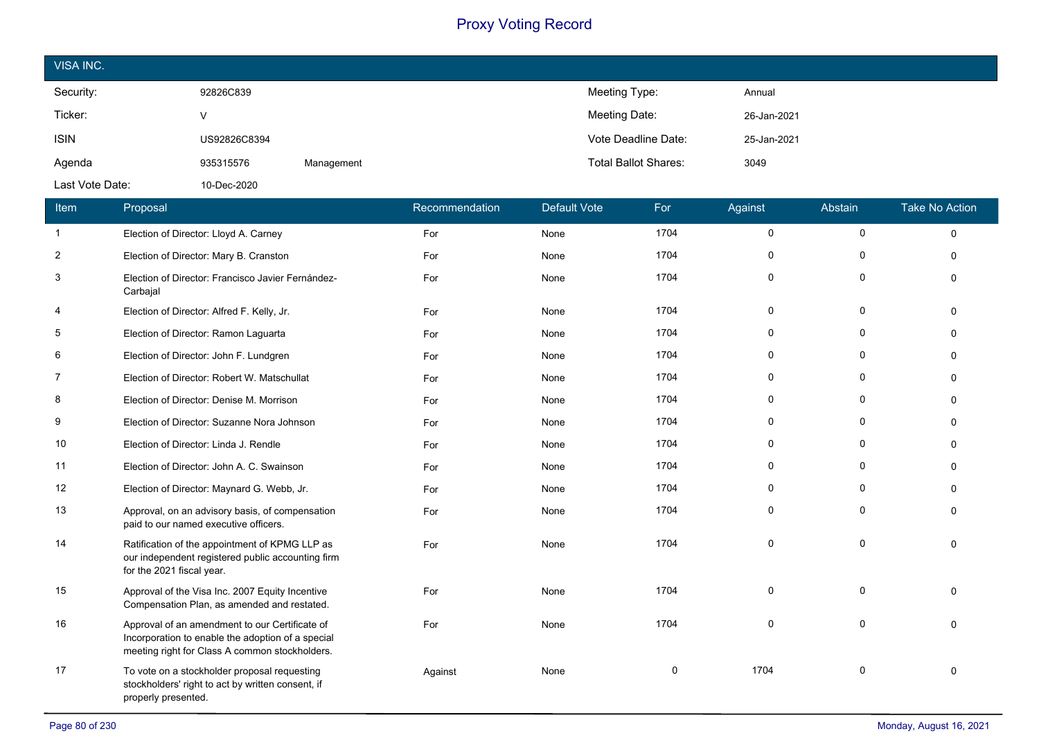| VISA INC.       |              |            |                             |             |
|-----------------|--------------|------------|-----------------------------|-------------|
| Security:       | 92826C839    |            | Meeting Type:               | Annual      |
| Ticker:         | v            |            | Meeting Date:               | 26-Jan-2021 |
| <b>ISIN</b>     | US92826C8394 |            | Vote Deadline Date:         | 25-Jan-2021 |
| Agenda          | 935315576    | Management | <b>Total Ballot Shares:</b> | 3049        |
| Last Vote Date: | 10-Dec-2020  |            |                             |             |

| Item           | Proposal                                                                                                                                              | Recommendation | <b>Default Vote</b> | For  | Against     | Abstain      | <b>Take No Action</b> |
|----------------|-------------------------------------------------------------------------------------------------------------------------------------------------------|----------------|---------------------|------|-------------|--------------|-----------------------|
| $\mathbf{1}$   | Election of Director: Lloyd A. Carney                                                                                                                 | For            | None                | 1704 | $\mathbf 0$ | 0            | $\Omega$              |
| $\overline{c}$ | Election of Director: Mary B. Cranston                                                                                                                | For            | None                | 1704 | $\Omega$    | 0            |                       |
| 3              | Election of Director: Francisco Javier Fernández-<br>Carbajal                                                                                         | For            | None                | 1704 | $\Omega$    | $\Omega$     | $\Omega$              |
| 4              | Election of Director: Alfred F. Kelly, Jr.                                                                                                            | For            | None                | 1704 | $\Omega$    | $\mathbf 0$  | $\Omega$              |
| 5              | Election of Director: Ramon Laguarta                                                                                                                  | For            | None                | 1704 | $\Omega$    | 0            | $\Omega$              |
| 6              | Election of Director: John F. Lundgren                                                                                                                | For            | None                | 1704 | $\Omega$    | $\Omega$     | $\Omega$              |
| 7              | Election of Director: Robert W. Matschullat                                                                                                           | For            | None                | 1704 | 0           | O            | $\Omega$              |
| 8              | Election of Director: Denise M. Morrison                                                                                                              | For            | None                | 1704 | $\Omega$    | $\Omega$     | $\Omega$              |
| 9              | Election of Director: Suzanne Nora Johnson                                                                                                            | For            | None                | 1704 | 0           | $\mathbf 0$  | $\Omega$              |
| 10             | Election of Director: Linda J. Rendle                                                                                                                 | For            | None                | 1704 | 0           | $\Omega$     |                       |
| 11             | Election of Director: John A. C. Swainson                                                                                                             | For            | None                | 1704 | $\Omega$    | $\mathbf{0}$ |                       |
| 12             | Election of Director: Maynard G. Webb, Jr.                                                                                                            | For            | None                | 1704 | 0           | $\mathbf 0$  | $\Omega$              |
| 13             | Approval, on an advisory basis, of compensation<br>paid to our named executive officers.                                                              | For            | None                | 1704 | 0           | $\mathbf 0$  |                       |
| 14             | Ratification of the appointment of KPMG LLP as<br>our independent registered public accounting firm<br>for the 2021 fiscal year.                      | For            | None                | 1704 | $\Omega$    | $\Omega$     | $\Omega$              |
| 15             | Approval of the Visa Inc. 2007 Equity Incentive<br>Compensation Plan, as amended and restated.                                                        | For            | None                | 1704 | $\Omega$    | $\Omega$     | $\Omega$              |
| 16             | Approval of an amendment to our Certificate of<br>Incorporation to enable the adoption of a special<br>meeting right for Class A common stockholders. | For            | None                | 1704 | $\Omega$    | $\Omega$     | $\Omega$              |
| 17             | To vote on a stockholder proposal requesting<br>stockholders' right to act by written consent, if<br>properly presented.                              | Against        | None                | 0    | 1704        | 0            | $\Omega$              |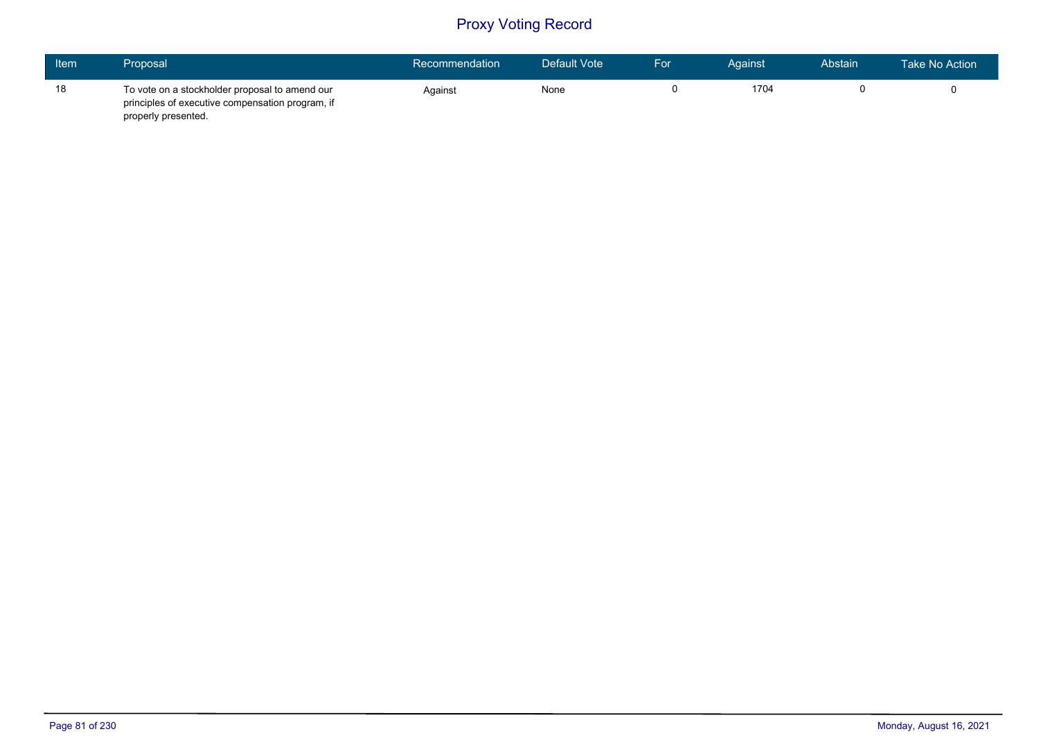| <b>Item</b> | Proposal                                                                                                                  | Recommendation | Default Vote | For | Against | Abstain | Take No Action \ |
|-------------|---------------------------------------------------------------------------------------------------------------------------|----------------|--------------|-----|---------|---------|------------------|
| 18          | To vote on a stockholder proposal to amend our<br>principles of executive compensation program, if<br>properly presented. | Against        | None         |     | 1704    |         |                  |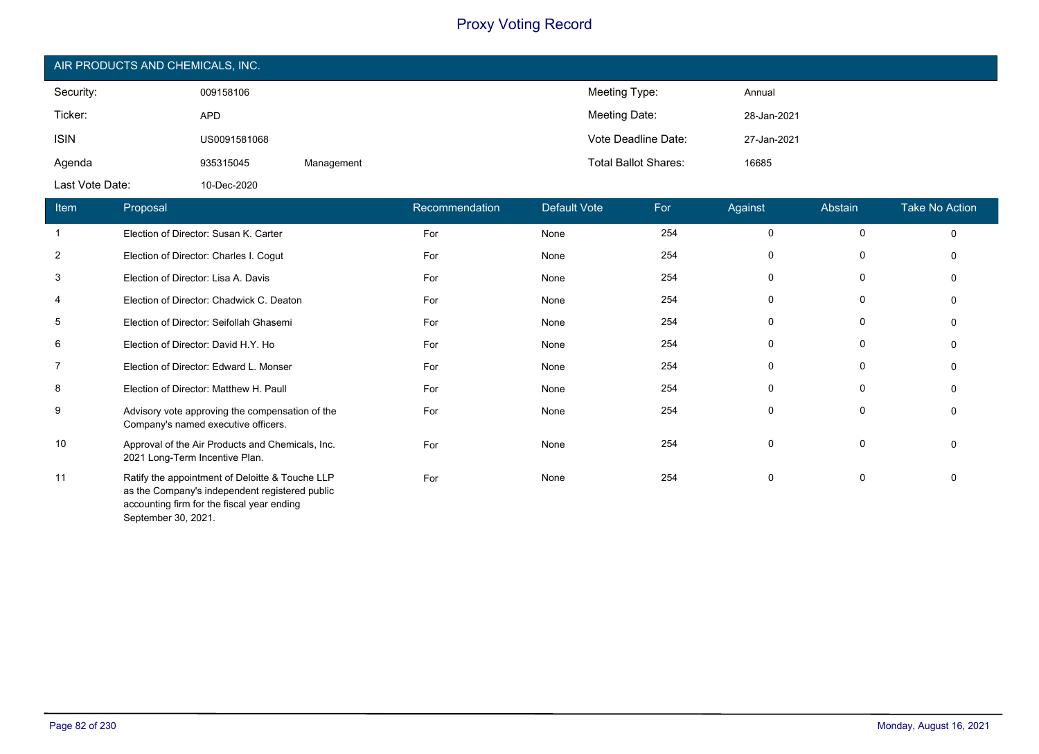| AIR PRODUCTS AND CHEMICALS, INC. |              |            |                             |             |  |  |
|----------------------------------|--------------|------------|-----------------------------|-------------|--|--|
| Security:                        | 009158106    |            | Meeting Type:               | Annual      |  |  |
| Ticker:                          | <b>APD</b>   |            | Meeting Date:               | 28-Jan-2021 |  |  |
| <b>ISIN</b>                      | US0091581068 |            | Vote Deadline Date:         | 27-Jan-2021 |  |  |
| Agenda                           | 935315045    | Management | <b>Total Ballot Shares:</b> | 16685       |  |  |
| Last Vote Date:                  | 10-Dec-2020  |            |                             |             |  |  |

| Item           | Proposal                                                                                                                                                               | Recommendation | Default Vote | For | Against     | Abstain     | <b>Take No Action</b> |
|----------------|------------------------------------------------------------------------------------------------------------------------------------------------------------------------|----------------|--------------|-----|-------------|-------------|-----------------------|
| $\mathbf{1}$   | Election of Director: Susan K. Carter                                                                                                                                  | For            | None         | 254 | 0           | $\mathbf 0$ | $\Omega$              |
| $\overline{2}$ | Election of Director: Charles I. Cogut                                                                                                                                 | For            | None         | 254 | $\mathbf 0$ | $\mathbf 0$ | $\Omega$              |
| 3              | Election of Director: Lisa A. Davis                                                                                                                                    | For            | None         | 254 | 0           | 0           | $\Omega$              |
| 4              | Election of Director: Chadwick C. Deaton                                                                                                                               | For            | None         | 254 | 0           | 0           | $\mathbf{0}$          |
| 5              | Election of Director: Seifollah Ghasemi                                                                                                                                | For            | None         | 254 | 0           | 0           | $\Omega$              |
| 6              | Election of Director: David H.Y. Ho                                                                                                                                    | For            | None         | 254 | 0           | 0           | 0                     |
| 7              | Election of Director: Edward L. Monser                                                                                                                                 | For            | None         | 254 | $\mathbf 0$ | 0           | $\Omega$              |
| 8              | Election of Director: Matthew H. Paull                                                                                                                                 | For            | None         | 254 | 0           | 0           | 0                     |
| 9              | Advisory vote approving the compensation of the<br>Company's named executive officers.                                                                                 | For            | None         | 254 | 0           | 0           | $\mathbf{0}$          |
| 10             | Approval of the Air Products and Chemicals, Inc.<br>2021 Long-Term Incentive Plan.                                                                                     | For            | None         | 254 | $\mathbf 0$ | $\mathbf 0$ | $\mathbf{0}$          |
| 11             | Ratify the appointment of Deloitte & Touche LLP<br>as the Company's independent registered public<br>accounting firm for the fiscal year ending<br>September 30, 2021. | For            | None         | 254 | $\mathbf 0$ | 0           | $\Omega$              |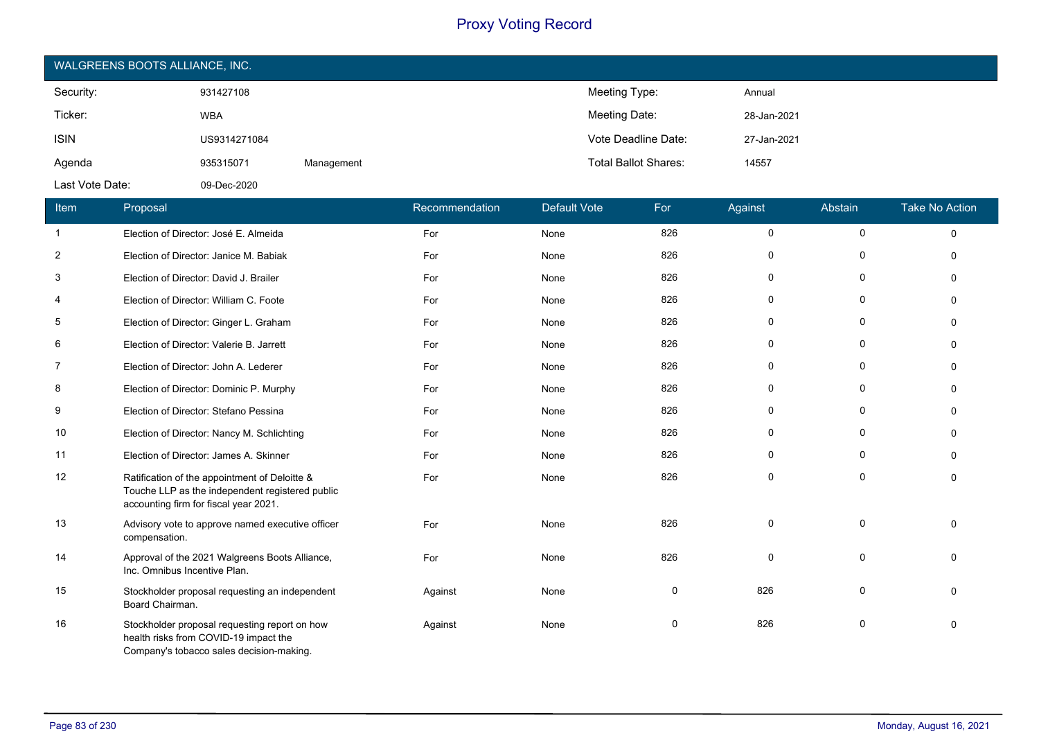| WALGREENS BOOTS ALLIANCE, INC. |              |            |                             |             |  |  |
|--------------------------------|--------------|------------|-----------------------------|-------------|--|--|
| Security:                      | 931427108    |            | Meeting Type:               | Annual      |  |  |
| Ticker:                        | <b>WBA</b>   |            | Meeting Date:               | 28-Jan-2021 |  |  |
| <b>ISIN</b>                    | US9314271084 |            | Vote Deadline Date:         | 27-Jan-2021 |  |  |
| Agenda                         | 935315071    | Management | <b>Total Ballot Shares:</b> | 14557       |  |  |
| Last Vote Date:                | 09-Dec-2020  |            |                             |             |  |  |

| Item           | Proposal                                                                                                                                  | Recommendation | <b>Default Vote</b> | For          | Against     | Abstain     | <b>Take No Action</b> |
|----------------|-------------------------------------------------------------------------------------------------------------------------------------------|----------------|---------------------|--------------|-------------|-------------|-----------------------|
| $\mathbf{1}$   | Election of Director: José E. Almeida                                                                                                     | For            | None                | 826          | 0           | $\mathbf 0$ | $\Omega$              |
| $\overline{2}$ | Election of Director: Janice M. Babiak                                                                                                    | For            | None                | 826          | $\mathbf 0$ | $\Omega$    | $\Omega$              |
| 3              | Election of Director: David J. Brailer                                                                                                    | For            | None                | 826          | 0           | 0           | $\Omega$              |
| 4              | Election of Director: William C. Foote                                                                                                    | For            | None                | 826          | $\mathbf 0$ | 0           | $\Omega$              |
| 5              | Election of Director: Ginger L. Graham                                                                                                    | For            | None                | 826          | 0           | 0           | $\Omega$              |
| 6              | Election of Director: Valerie B. Jarrett                                                                                                  | For            | None                | 826          | 0           | $\mathbf 0$ | $\Omega$              |
| 7              | Election of Director: John A. Lederer                                                                                                     | For            | None                | 826          | 0           | 0           | $\Omega$              |
| 8              | Election of Director: Dominic P. Murphy                                                                                                   | For            | None                | 826          | $\mathbf 0$ | $\mathbf 0$ | $\mathbf{0}$          |
| 9              | Election of Director: Stefano Pessina                                                                                                     | For            | None                | 826          | 0           | 0           | $\mathbf{0}$          |
| 10             | Election of Director: Nancy M. Schlichting                                                                                                | For            | None                | 826          | 0           | 0           | $\Omega$              |
| 11             | Election of Director: James A. Skinner                                                                                                    | For            | None                | 826          | $\mathbf 0$ | 0           | $\Omega$              |
| 12             | Ratification of the appointment of Deloitte &<br>Touche LLP as the independent registered public<br>accounting firm for fiscal year 2021. | For            | None                | 826          | $\mathbf 0$ | 0           | $\Omega$              |
| 13             | Advisory vote to approve named executive officer<br>compensation.                                                                         | For            | None                | 826          | $\mathbf 0$ | $\mathbf 0$ | $\Omega$              |
| 14             | Approval of the 2021 Walgreens Boots Alliance,<br>Inc. Omnibus Incentive Plan.                                                            | For            | None                | 826          | $\mathbf 0$ | $\Omega$    | $\Omega$              |
| 15             | Stockholder proposal requesting an independent<br>Board Chairman.                                                                         | Against        | None                | $\mathbf{0}$ | 826         | $\Omega$    | $\Omega$              |
| 16             | Stockholder proposal requesting report on how<br>health risks from COVID-19 impact the<br>Company's tobacco sales decision-making.        | Against        | None                | 0            | 826         | 0           | 0                     |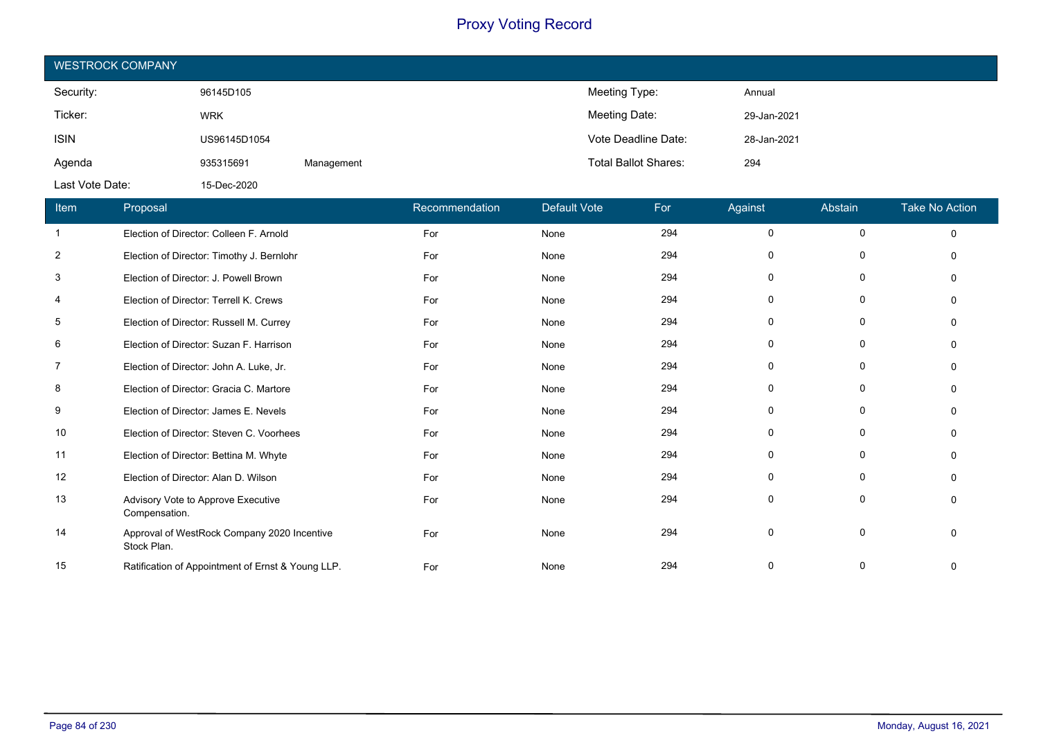| <b>WESTROCK COMPANY</b> |              |            |                             |             |  |  |
|-------------------------|--------------|------------|-----------------------------|-------------|--|--|
| Security:               | 96145D105    |            | Meeting Type:               | Annual      |  |  |
| Ticker:                 | <b>WRK</b>   |            | Meeting Date:               | 29-Jan-2021 |  |  |
| <b>ISIN</b>             | US96145D1054 |            | Vote Deadline Date:         | 28-Jan-2021 |  |  |
| Agenda                  | 935315691    | Management | <b>Total Ballot Shares:</b> | 294         |  |  |
| Last Vote Date:         | 15-Dec-2020  |            |                             |             |  |  |

| <b>Item</b>    | Proposal                                                   | Recommendation | <b>Default Vote</b> | For | Against     | Abstain      | <b>Take No Action</b> |
|----------------|------------------------------------------------------------|----------------|---------------------|-----|-------------|--------------|-----------------------|
| $\mathbf{1}$   | Election of Director: Colleen F. Arnold                    | For            | None                | 294 | 0           | $\mathbf 0$  | $\mathbf 0$           |
| $\overline{2}$ | Election of Director: Timothy J. Bernlohr                  | For            | None                | 294 | 0           | $\Omega$     | ∩                     |
| 3              | Election of Director: J. Powell Brown                      | For            | None                | 294 | 0           | $\Omega$     | $\Omega$              |
| 4              | Election of Director: Terrell K. Crews                     | For            | None                | 294 | 0           | 0            | ∩                     |
| 5              | Election of Director: Russell M. Currey                    | For            | None                | 294 | 0           | $\Omega$     | O                     |
| 6              | Election of Director: Suzan F. Harrison                    | For            | None                | 294 | 0           | $\Omega$     | ∩                     |
| 7              | Election of Director: John A. Luke, Jr.                    | For            | None                | 294 | 0           | $\Omega$     | ∩                     |
| 8              | Election of Director: Gracia C. Martore                    | For            | None                | 294 | 0           | $\mathbf{0}$ | $\Omega$              |
| 9              | Election of Director: James E. Nevels                      | For            | None                | 294 | 0           | $\Omega$     | $\Omega$              |
| 10             | Election of Director: Steven C. Voorhees                   | For            | None                | 294 | 0           | $\Omega$     | O                     |
| 11             | Election of Director: Bettina M. Whyte                     | For            | None                | 294 | 0           | $\Omega$     | O                     |
| 12             | Election of Director: Alan D. Wilson                       | For            | None                | 294 | 0           | $\Omega$     | O                     |
| 13             | Advisory Vote to Approve Executive<br>Compensation.        | For            | None                | 294 | $\mathbf 0$ |              | $\Omega$              |
| 14             | Approval of WestRock Company 2020 Incentive<br>Stock Plan. | For            | None                | 294 | 0           | $\Omega$     | $\Omega$              |
| 15             | Ratification of Appointment of Ernst & Young LLP.          | For            | None                | 294 | 0           |              | 0                     |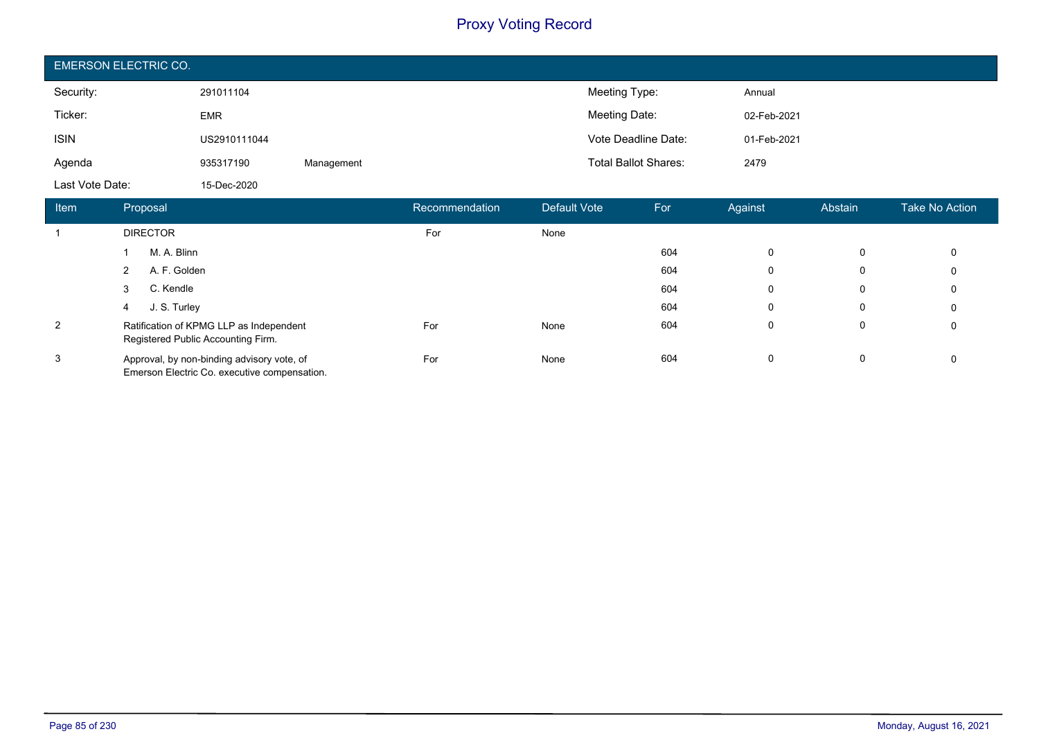| <b>EMERSON ELECTRIC CO.</b> |              |            |                             |             |  |  |
|-----------------------------|--------------|------------|-----------------------------|-------------|--|--|
| Security:                   | 291011104    |            | Meeting Type:               | Annual      |  |  |
| Ticker:                     | <b>EMR</b>   |            | Meeting Date:               | 02-Feb-2021 |  |  |
| <b>ISIN</b>                 | US2910111044 |            | Vote Deadline Date:         | 01-Feb-2021 |  |  |
| Agenda                      | 935317190    | Management | <b>Total Ballot Shares:</b> | 2479        |  |  |
| Last Vote Date:             | 15-Dec-2020  |            |                             |             |  |  |

| Item           | Proposal                                                                                   | Recommendation | Default Vote | For | Against     | Abstain | Take No Action |
|----------------|--------------------------------------------------------------------------------------------|----------------|--------------|-----|-------------|---------|----------------|
|                | <b>DIRECTOR</b>                                                                            | For            | None         |     |             |         |                |
|                | M. A. Blinn                                                                                |                |              | 604 | 0           | 0       | 0              |
|                | A. F. Golden<br>2                                                                          |                |              | 604 | 0           | 0       | 0              |
|                | C. Kendle<br>3                                                                             |                |              | 604 | $\mathbf 0$ | 0       | 0              |
|                | J. S. Turley<br>4                                                                          |                |              | 604 | 0           | 0       | 0              |
| $\overline{2}$ | Ratification of KPMG LLP as Independent<br>Registered Public Accounting Firm.              | For            | None         | 604 | $\mathbf 0$ | 0       | 0              |
| 3              | Approval, by non-binding advisory vote, of<br>Emerson Electric Co. executive compensation. | For            | None         | 604 | $\mathbf 0$ | 0       | 0              |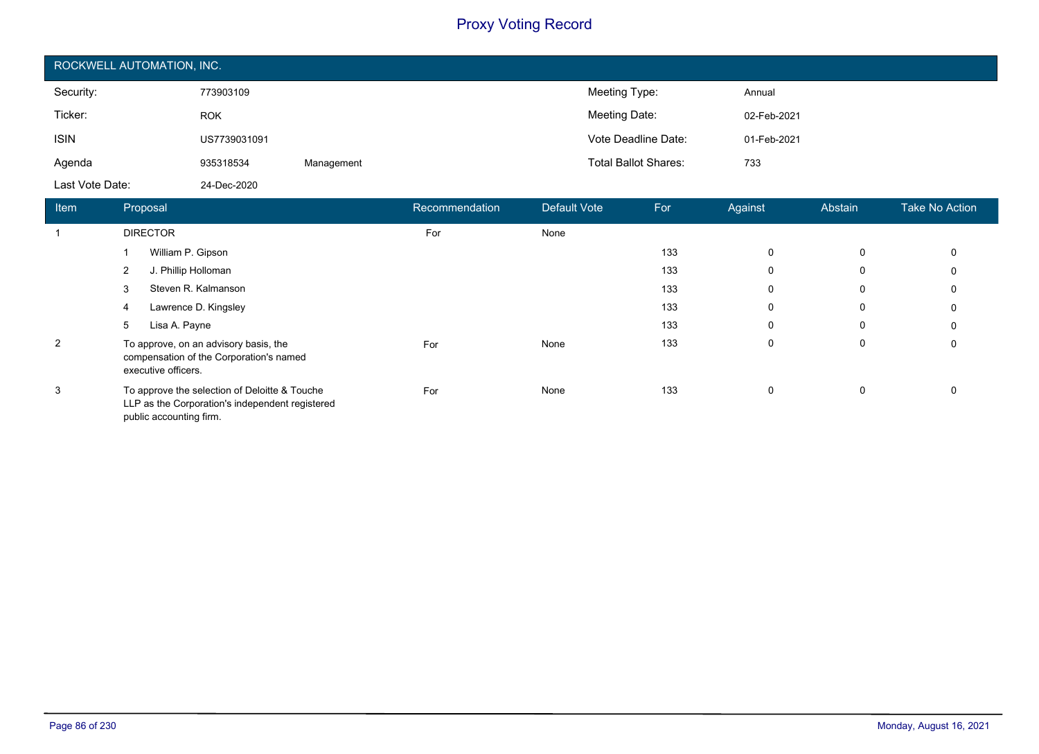| ROCKWELL AUTOMATION, INC. |              |            |                             |             |  |  |  |
|---------------------------|--------------|------------|-----------------------------|-------------|--|--|--|
| Security:                 | 773903109    |            | Meeting Type:               | Annual      |  |  |  |
| Ticker:                   | <b>ROK</b>   |            | Meeting Date:               | 02-Feb-2021 |  |  |  |
| <b>ISIN</b>               | US7739031091 |            | Vote Deadline Date:         | 01-Feb-2021 |  |  |  |
| Agenda                    | 935318534    | Management | <b>Total Ballot Shares:</b> | 733         |  |  |  |
| Last Vote Date:           | 24-Dec-2020  |            |                             |             |  |  |  |

| <b>Item</b>    | Proposal                                                                                                                    | Recommendation | Default Vote | For | Against  | Abstain | <b>Take No Action</b> |
|----------------|-----------------------------------------------------------------------------------------------------------------------------|----------------|--------------|-----|----------|---------|-----------------------|
|                | <b>DIRECTOR</b>                                                                                                             | For            | None         |     |          |         |                       |
|                | William P. Gipson                                                                                                           |                |              | 133 | 0        | 0       | 0                     |
|                | $\overline{2}$<br>J. Phillip Holloman                                                                                       |                |              | 133 | 0        | 0       | 0                     |
|                | Steven R. Kalmanson<br>3                                                                                                    |                |              | 133 | 0        | 0       | 0                     |
|                | Lawrence D. Kingsley<br>4                                                                                                   |                |              | 133 | $\Omega$ | 0       | 0                     |
|                | Lisa A. Payne<br>5                                                                                                          |                |              | 133 | 0        | 0       | 0                     |
| $\overline{2}$ | To approve, on an advisory basis, the<br>compensation of the Corporation's named<br>executive officers.                     | For            | None         | 133 | 0        | 0       | 0                     |
| 3              | To approve the selection of Deloitte & Touche<br>LLP as the Corporation's independent registered<br>public accounting firm. | For            | None         | 133 | 0        | 0       |                       |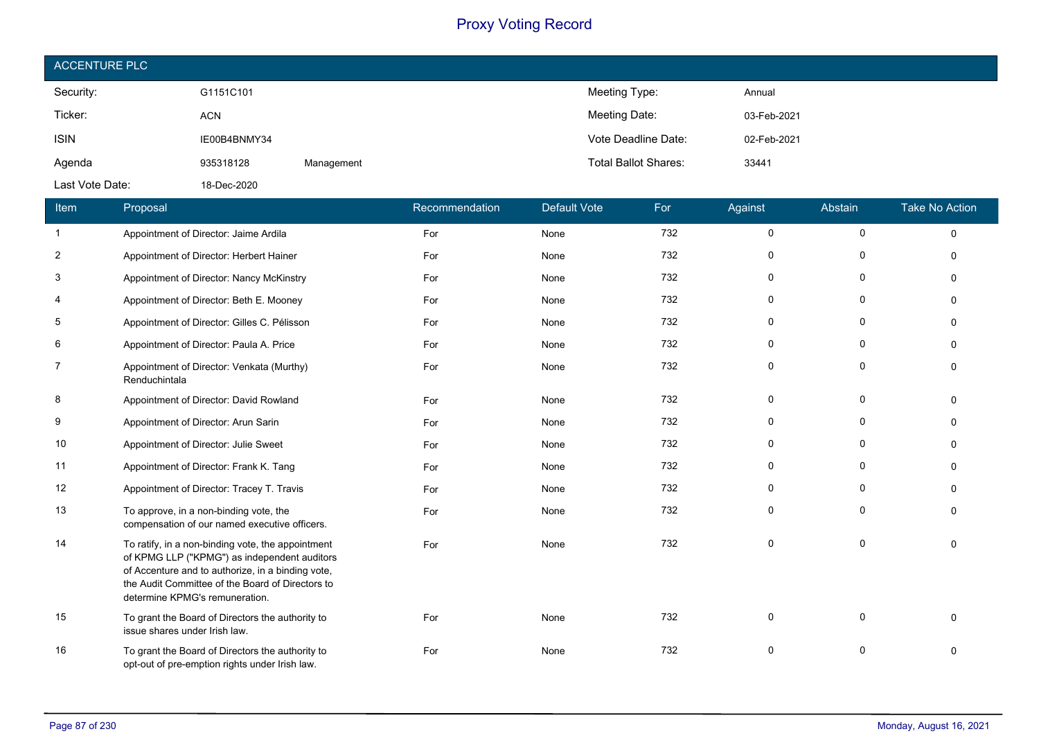| <b>ACCENTURE PLC</b> |              |            |                             |             |
|----------------------|--------------|------------|-----------------------------|-------------|
| Security:            | G1151C101    |            | Meeting Type:               | Annual      |
| Ticker:              | <b>ACN</b>   |            | Meeting Date:               | 03-Feb-2021 |
| <b>ISIN</b>          | IE00B4BNMY34 |            | Vote Deadline Date:         | 02-Feb-2021 |
| Agenda               | 935318128    | Management | <b>Total Ballot Shares:</b> | 33441       |
| Last Vote Date:      | 18-Dec-2020  |            |                             |             |

| Item           | Proposal                                                                                                                                                                                                                                     | Recommendation | <b>Default Vote</b> | For | Against      | Abstain     | <b>Take No Action</b> |
|----------------|----------------------------------------------------------------------------------------------------------------------------------------------------------------------------------------------------------------------------------------------|----------------|---------------------|-----|--------------|-------------|-----------------------|
| $\mathbf{1}$   | Appointment of Director: Jaime Ardila                                                                                                                                                                                                        | For            | None                | 732 | $\mathsf{O}$ | $\mathbf 0$ | $\Omega$              |
| $\overline{2}$ | Appointment of Director: Herbert Hainer                                                                                                                                                                                                      | For            | None                | 732 | 0            | 0           | $\Omega$              |
| 3              | Appointment of Director: Nancy McKinstry                                                                                                                                                                                                     | For            | None                | 732 | 0            | 0           | $\Omega$              |
| 4              | Appointment of Director: Beth E. Mooney                                                                                                                                                                                                      | For            | None                | 732 | $\mathbf 0$  | $\mathbf 0$ | $\mathbf{0}$          |
| 5              | Appointment of Director: Gilles C. Pélisson                                                                                                                                                                                                  | For            | None                | 732 | $\mathbf 0$  | $\mathbf 0$ | $\mathbf{0}$          |
| 6              | Appointment of Director: Paula A. Price                                                                                                                                                                                                      | For            | None                | 732 | $\mathbf 0$  | $\mathbf 0$ | $\Omega$              |
| $\overline{7}$ | Appointment of Director: Venkata (Murthy)<br>Renduchintala                                                                                                                                                                                   | For            | None                | 732 | $\mathbf 0$  | 0           | $\Omega$              |
| 8              | Appointment of Director: David Rowland                                                                                                                                                                                                       | For            | None                | 732 | $\mathbf 0$  | $\mathbf 0$ | $\Omega$              |
| 9              | Appointment of Director: Arun Sarin                                                                                                                                                                                                          | For            | None                | 732 | 0            | $\Omega$    | $\Omega$              |
| 10             | Appointment of Director: Julie Sweet                                                                                                                                                                                                         | For            | None                | 732 | 0            | 0           | $\Omega$              |
| 11             | Appointment of Director: Frank K. Tang                                                                                                                                                                                                       | For            | None                | 732 | $\mathbf 0$  | 0           | $\Omega$              |
| 12             | Appointment of Director: Tracey T. Travis                                                                                                                                                                                                    | For            | None                | 732 | $\mathbf 0$  | $\mathbf 0$ | $\Omega$              |
| 13             | To approve, in a non-binding vote, the<br>compensation of our named executive officers.                                                                                                                                                      | For            | None                | 732 | $\mathbf 0$  | $\Omega$    | $\Omega$              |
| 14             | To ratify, in a non-binding vote, the appointment<br>of KPMG LLP ("KPMG") as independent auditors<br>of Accenture and to authorize, in a binding vote,<br>the Audit Committee of the Board of Directors to<br>determine KPMG's remuneration. | For            | None                | 732 | $\mathbf 0$  | $\Omega$    | $\Omega$              |
| 15             | To grant the Board of Directors the authority to<br>issue shares under Irish law.                                                                                                                                                            | For            | None                | 732 | $\mathbf 0$  | $\Omega$    | $\Omega$              |
| 16             | To grant the Board of Directors the authority to<br>opt-out of pre-emption rights under Irish law.                                                                                                                                           | For            | None                | 732 | 0            | 0           | $\mathbf{0}$          |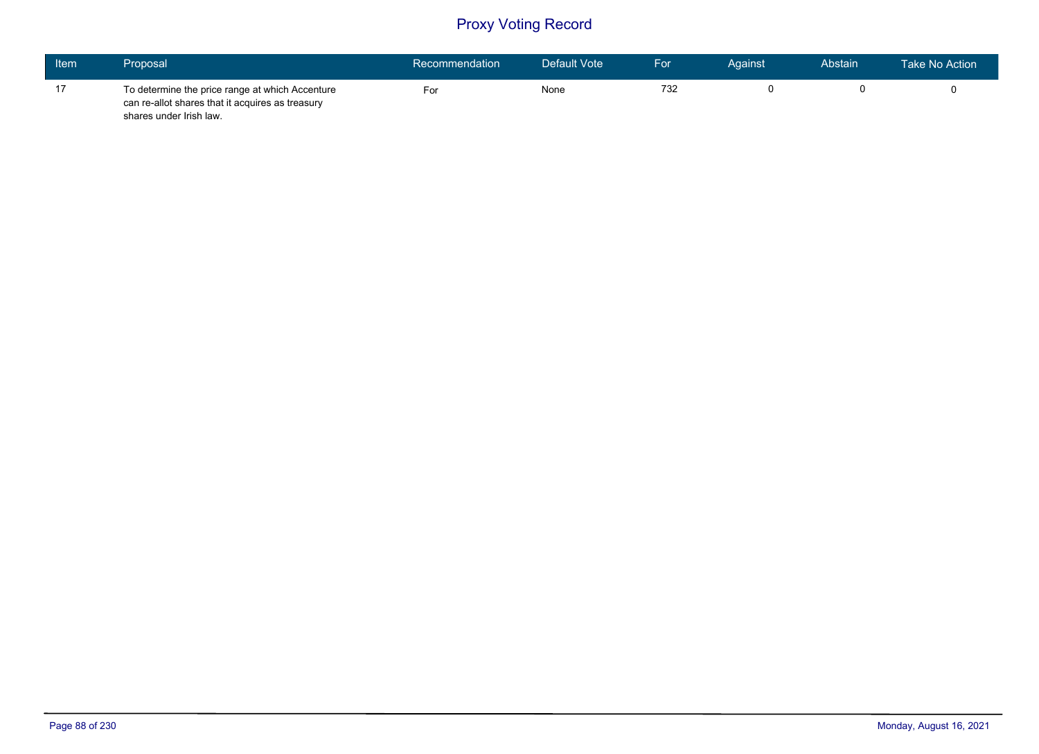| Item | Proposal                                                                                                                       | Recommendation | Default Vote | For | Against | Abstain | <b>Take No Action</b> |
|------|--------------------------------------------------------------------------------------------------------------------------------|----------------|--------------|-----|---------|---------|-----------------------|
| 17   | To determine the price range at which Accenture<br>can re-allot shares that it acquires as treasury<br>shares under Irish law. | For            | None         | 732 |         |         |                       |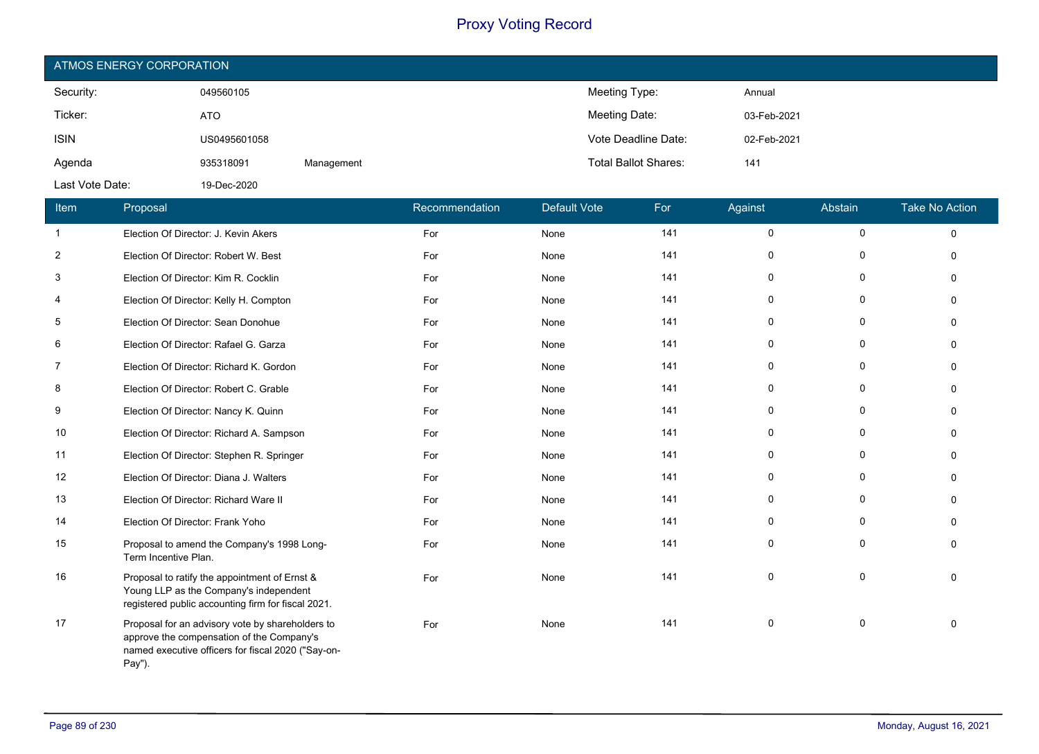| ATMOS ENERGY CORPORATION |              |            |                             |             |  |  |  |  |
|--------------------------|--------------|------------|-----------------------------|-------------|--|--|--|--|
| Security:                | 049560105    |            | Meeting Type:               | Annual      |  |  |  |  |
| Ticker:                  | <b>ATO</b>   |            | Meeting Date:               | 03-Feb-2021 |  |  |  |  |
| <b>ISIN</b>              | US0495601058 |            | Vote Deadline Date:         | 02-Feb-2021 |  |  |  |  |
| Agenda                   | 935318091    | Management | <b>Total Ballot Shares:</b> | 141         |  |  |  |  |
| Last Vote Date:          | 19-Dec-2020  |            |                             |             |  |  |  |  |

| Item           | Proposal                                                                                                                                                      | Recommendation | <b>Default Vote</b> | For | Against      | Abstain      | <b>Take No Action</b> |
|----------------|---------------------------------------------------------------------------------------------------------------------------------------------------------------|----------------|---------------------|-----|--------------|--------------|-----------------------|
| $\mathbf{1}$   | Election Of Director: J. Kevin Akers                                                                                                                          | For            | None                | 141 | $\mathbf 0$  | 0            | $\Omega$              |
| $\overline{2}$ | Election Of Director: Robert W. Best                                                                                                                          | For            | None                | 141 | $\mathbf 0$  | 0            | $\Omega$              |
| 3              | Election Of Director: Kim R. Cocklin                                                                                                                          | For            | None                | 141 | 0            | 0            | $\Omega$              |
| 4              | Election Of Director: Kelly H. Compton                                                                                                                        | For            | None                | 141 | 0            | $\mathbf 0$  | $\Omega$              |
| 5              | Election Of Director: Sean Donohue                                                                                                                            | For            | None                | 141 | $\mathbf{0}$ | $\mathbf 0$  | $\Omega$              |
| 6              | Election Of Director: Rafael G. Garza                                                                                                                         | For            | None                | 141 | $\mathbf{0}$ | $\mathbf 0$  | $\Omega$              |
| 7              | Election Of Director: Richard K. Gordon                                                                                                                       | For            | None                | 141 | 0            | 0            | $\Omega$              |
| 8              | Election Of Director: Robert C. Grable                                                                                                                        | For            | None                | 141 | 0            | 0            | $\Omega$              |
| 9              | Election Of Director: Nancy K. Quinn                                                                                                                          | For            | None                | 141 | 0            | 0            | $\Omega$              |
| 10             | Election Of Director: Richard A. Sampson                                                                                                                      | For            | None                | 141 | $\mathbf 0$  | $\mathbf 0$  | $\Omega$              |
| 11             | Election Of Director: Stephen R. Springer                                                                                                                     | For            | None                | 141 | $\mathbf 0$  | $\mathbf{0}$ | $\Omega$              |
| 12             | Election Of Director: Diana J. Walters                                                                                                                        | For            | None                | 141 | $\mathbf{0}$ | $\Omega$     | $\Omega$              |
| 13             | Election Of Director: Richard Ware II                                                                                                                         | For            | None                | 141 | $\mathbf 0$  | $\Omega$     | $\Omega$              |
| 14             | Election Of Director: Frank Yoho                                                                                                                              | For            | None                | 141 | $\mathbf{0}$ | $\Omega$     | $\Omega$              |
| 15             | Proposal to amend the Company's 1998 Long-<br>Term Incentive Plan.                                                                                            | For            | None                | 141 | $\mathbf 0$  | $\mathbf 0$  | $\Omega$              |
| 16             | Proposal to ratify the appointment of Ernst &<br>Young LLP as the Company's independent<br>registered public accounting firm for fiscal 2021.                 | For            | None                | 141 | 0            | $\mathbf{0}$ | $\Omega$              |
| 17             | Proposal for an advisory vote by shareholders to<br>approve the compensation of the Company's<br>named executive officers for fiscal 2020 ("Say-on-<br>Pay"). | For            | None                | 141 | 0            | 0            | $\Omega$              |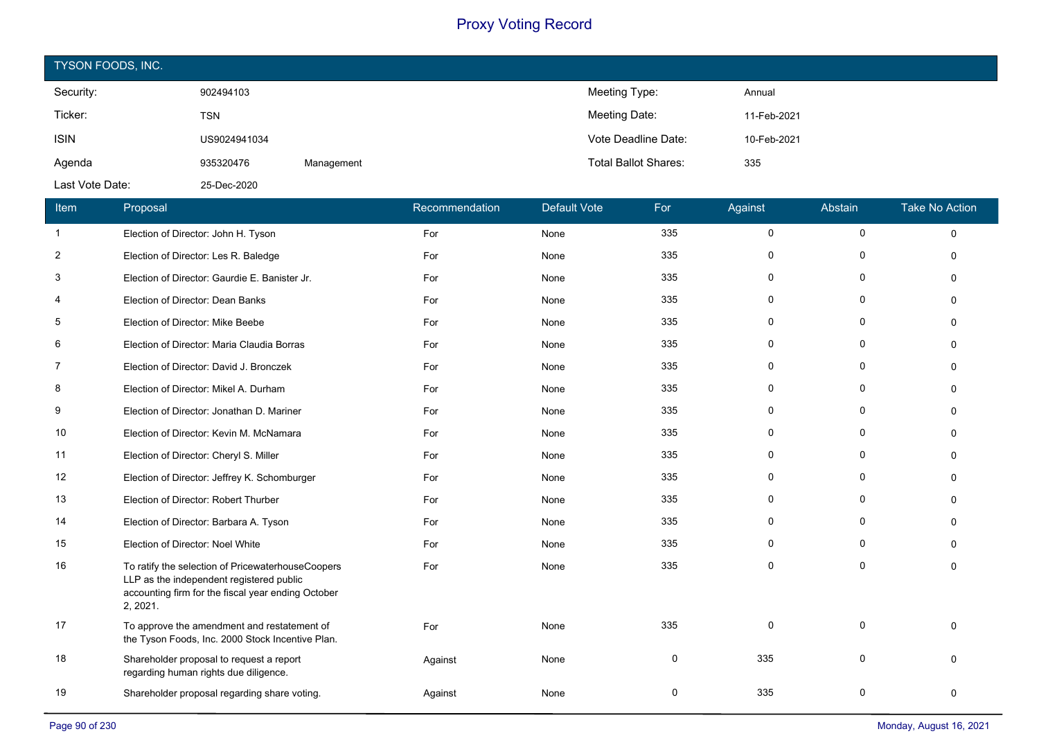| TYSON FOODS, INC. |              |            |                             |             |  |  |  |  |
|-------------------|--------------|------------|-----------------------------|-------------|--|--|--|--|
| Security:         | 902494103    |            | Meeting Type:               | Annual      |  |  |  |  |
| Ticker:           | <b>TSN</b>   |            | Meeting Date:               | 11-Feb-2021 |  |  |  |  |
| <b>ISIN</b>       | US9024941034 |            | Vote Deadline Date:         | 10-Feb-2021 |  |  |  |  |
| Agenda            | 935320476    | Management | <b>Total Ballot Shares:</b> | 335         |  |  |  |  |
| Last Vote Date:   | 25-Dec-2020  |            |                             |             |  |  |  |  |

| Item           | Proposal                                                                                                                                                        | Recommendation | <b>Default Vote</b> | For      | Against     | Abstain      | <b>Take No Action</b> |
|----------------|-----------------------------------------------------------------------------------------------------------------------------------------------------------------|----------------|---------------------|----------|-------------|--------------|-----------------------|
| $\mathbf{1}$   | Election of Director: John H. Tyson                                                                                                                             | For            | None                | 335      | $\pmb{0}$   | 0            | $\Omega$              |
| $\overline{2}$ | Election of Director: Les R. Baledge                                                                                                                            | For            | None                | 335      | 0           | $\Omega$     | $\Omega$              |
| 3              | Election of Director: Gaurdie E. Banister Jr.                                                                                                                   | For            | None                | 335      | $\Omega$    | $\mathbf{0}$ | $\Omega$              |
| 4              | Election of Director: Dean Banks                                                                                                                                | For            | None                | 335      | $\mathbf 0$ | 0            | $\Omega$              |
| 5              | Election of Director: Mike Beebe                                                                                                                                | For            | None                | 335      | 0           | $\mathbf{0}$ |                       |
| 6              | Election of Director: Maria Claudia Borras                                                                                                                      | For            | None                | 335      | 0           | 0            |                       |
| 7              | Election of Director: David J. Bronczek                                                                                                                         | For            | None                | 335      | $\Omega$    | $\mathbf{0}$ | $\Omega$              |
| 8              | Election of Director: Mikel A. Durham                                                                                                                           | For            | None                | 335      | $\Omega$    | 0            |                       |
| 9              | Election of Director: Jonathan D. Mariner                                                                                                                       | For            | None                | 335      | $\Omega$    | $\Omega$     |                       |
| 10             | Election of Director: Kevin M. McNamara                                                                                                                         | For            | None                | 335      | 0           | $\mathbf{0}$ |                       |
| 11             | Election of Director: Cheryl S. Miller                                                                                                                          | For            | None                | 335      | 0           | 0            |                       |
| 12             | Election of Director: Jeffrey K. Schomburger                                                                                                                    | For            | None                | 335      | $\Omega$    | 0            | $\Omega$              |
| 13             | Election of Director: Robert Thurber                                                                                                                            | For            | None                | 335      | 0           | $\mathbf{0}$ | O                     |
| 14             | Election of Director: Barbara A. Tyson                                                                                                                          | For            | None                | 335      | $\Omega$    | $\mathbf{0}$ | ŋ                     |
| 15             | Election of Director: Noel White                                                                                                                                | For            | None                | 335      | $\Omega$    | $\mathbf 0$  | $\Omega$              |
| 16             | To ratify the selection of PricewaterhouseCoopers<br>LLP as the independent registered public<br>accounting firm for the fiscal year ending October<br>2, 2021. | For            | None                | 335      | $\Omega$    | $\Omega$     | $\Omega$              |
| 17             | To approve the amendment and restatement of<br>the Tyson Foods, Inc. 2000 Stock Incentive Plan.                                                                 | For            | None                | 335      | $\Omega$    | $\mathbf 0$  | $\Omega$              |
| 18             | Shareholder proposal to request a report<br>regarding human rights due diligence.                                                                               | Against        | None                | 0        | 335         | $\mathbf 0$  |                       |
| 19             | Shareholder proposal regarding share voting.                                                                                                                    | Against        | None                | $\Omega$ | 335         | $\Omega$     | $\Omega$              |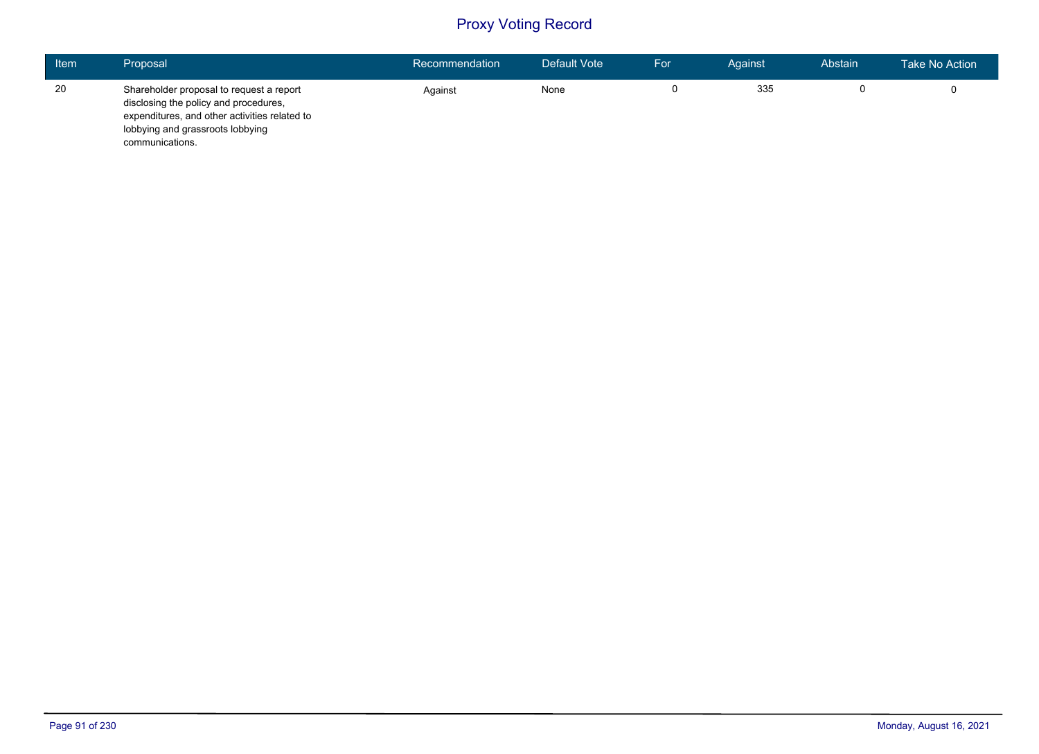| <b>Item</b> | Proposal                                                                                                                                                                                  | Recommendation | Default Vote | For | Against | Abstain | Take No Action |
|-------------|-------------------------------------------------------------------------------------------------------------------------------------------------------------------------------------------|----------------|--------------|-----|---------|---------|----------------|
| 20          | Shareholder proposal to request a report<br>disclosing the policy and procedures,<br>expenditures, and other activities related to<br>lobbying and grassroots lobbying<br>communications. | Against        | None         |     | 335     |         |                |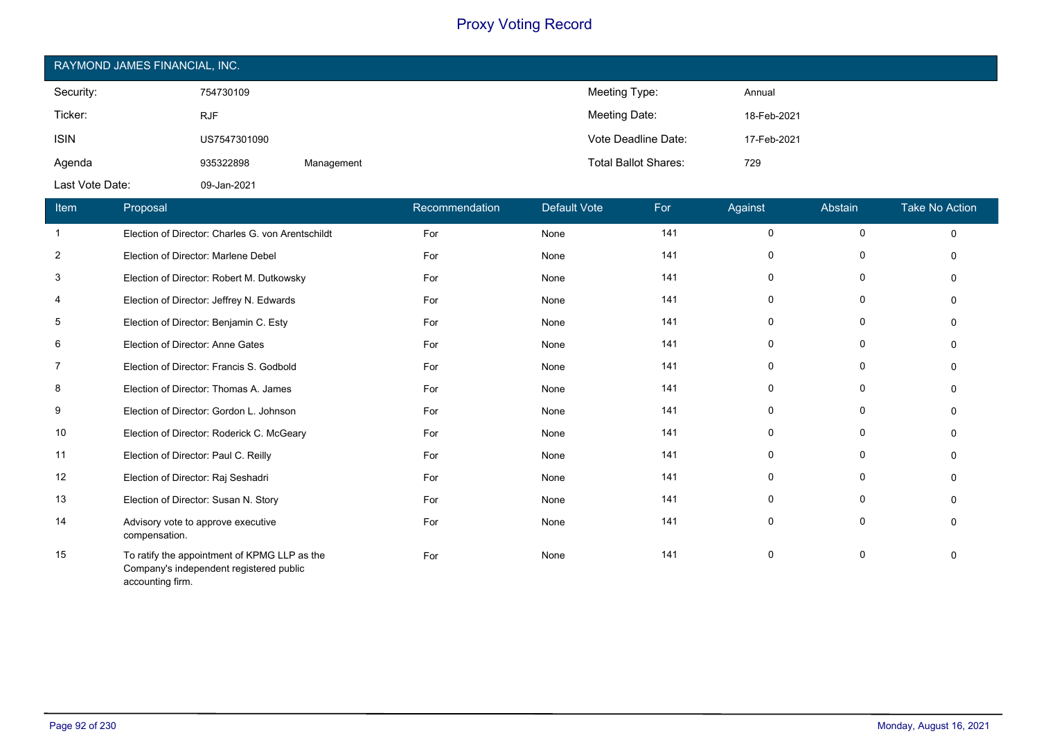| RAYMOND JAMES FINANCIAL, INC. |              |            |                             |             |  |  |  |  |
|-------------------------------|--------------|------------|-----------------------------|-------------|--|--|--|--|
| Security:                     | 754730109    |            | Meeting Type:               | Annual      |  |  |  |  |
| Ticker:                       | <b>RJF</b>   |            | Meeting Date:               | 18-Feb-2021 |  |  |  |  |
| <b>ISIN</b>                   | US7547301090 |            | Vote Deadline Date:         | 17-Feb-2021 |  |  |  |  |
| Agenda                        | 935322898    | Management | <b>Total Ballot Shares:</b> | 729         |  |  |  |  |
| Last Vote Date:               | 09-Jan-2021  |            |                             |             |  |  |  |  |

| Item           | <b>Proposal</b>                                                                                             | Recommendation | Default Vote | For | Against     | Abstain | <b>Take No Action</b> |
|----------------|-------------------------------------------------------------------------------------------------------------|----------------|--------------|-----|-------------|---------|-----------------------|
| -1             | Election of Director: Charles G. von Arentschildt                                                           | For            | None         | 141 | 0           | 0       | $\mathbf 0$           |
| $\overline{2}$ | Election of Director: Marlene Debel                                                                         | For            | None         | 141 | 0           | 0       | $\Omega$              |
| 3              | Election of Director: Robert M. Dutkowsky                                                                   | For            | None         | 141 | 0           | 0       | $\Omega$              |
| 4              | Election of Director: Jeffrey N. Edwards                                                                    | For            | None         | 141 | 0           | 0       | $\Omega$              |
| 5              | Election of Director: Benjamin C. Esty                                                                      | For            | None         | 141 | 0           | 0       | $\Omega$              |
| 6              | Election of Director: Anne Gates                                                                            | For            | None         | 141 | 0           | 0       | $\Omega$              |
| $\overline{7}$ | Election of Director: Francis S. Godbold                                                                    | For            | None         | 141 | $\mathbf 0$ | 0       | $\Omega$              |
| 8              | Election of Director: Thomas A. James                                                                       | For            | None         | 141 | 0           | 0       | $\Omega$              |
| 9              | Election of Director: Gordon L. Johnson                                                                     | For            | None         | 141 | 0           | 0       | 0                     |
| 10             | Election of Director: Roderick C. McGeary                                                                   | For            | None         | 141 | 0           | 0       | $\Omega$              |
| 11             | Election of Director: Paul C. Reilly                                                                        | For            | None         | 141 | 0           | 0       | $\Omega$              |
| 12             | Election of Director: Raj Seshadri                                                                          | For            | None         | 141 | $\mathbf 0$ | 0       | $\Omega$              |
| 13             | Election of Director: Susan N. Story                                                                        | For            | None         | 141 | 0           | 0       | $\Omega$              |
| 14             | Advisory vote to approve executive<br>compensation.                                                         | For            | None         | 141 | $\mathbf 0$ | 0       | $\Omega$              |
| 15             | To ratify the appointment of KPMG LLP as the<br>Company's independent registered public<br>accounting firm. | For            | None         | 141 | 0           | 0       | $\Omega$              |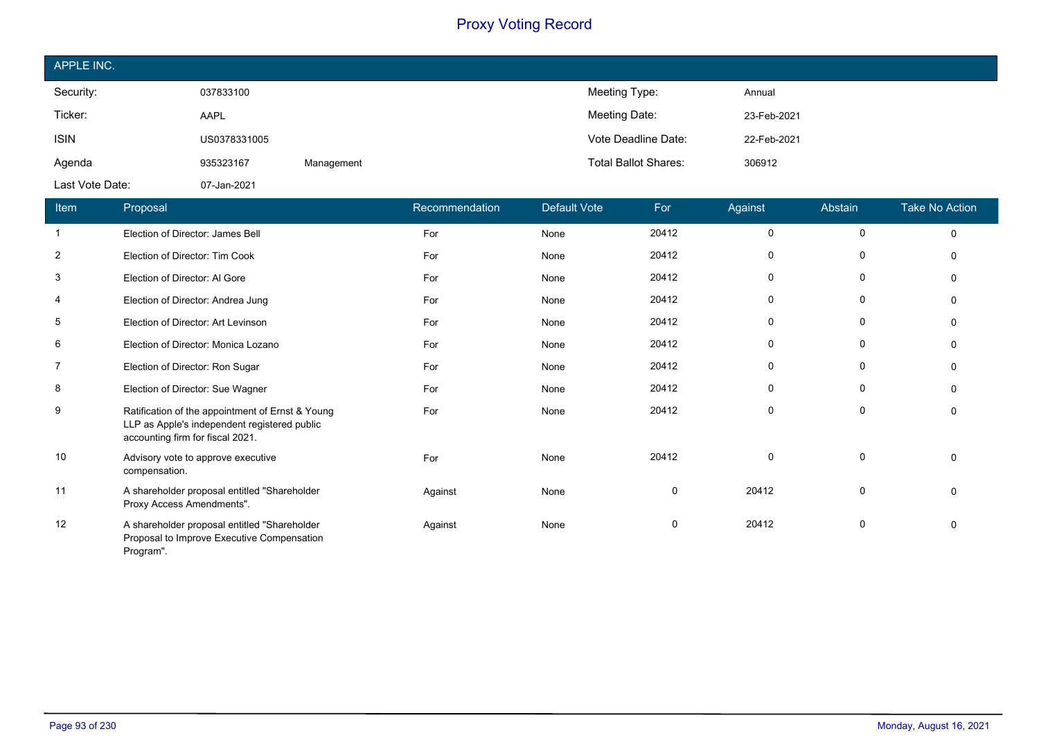| APPLE INC.      |              |            |                             |             |
|-----------------|--------------|------------|-----------------------------|-------------|
| Security:       | 037833100    |            | Meeting Type:               | Annual      |
| Ticker:         | AAPL         |            | Meeting Date:               | 23-Feb-2021 |
| <b>ISIN</b>     | US0378331005 |            | Vote Deadline Date:         | 22-Feb-2021 |
| Agenda          | 935323167    | Management | <b>Total Ballot Shares:</b> | 306912      |
| Last Vote Date: | 07-Jan-2021  |            |                             |             |

| Item           | <b>Proposal</b>                                                                                                                      | Recommendation | Default Vote | For   | Against     | Abstain  | <b>Take No Action</b> |
|----------------|--------------------------------------------------------------------------------------------------------------------------------------|----------------|--------------|-------|-------------|----------|-----------------------|
| -1             | Election of Director: James Bell                                                                                                     | For            | None         | 20412 | 0           | 0        | $\Omega$              |
| $\overline{2}$ | Election of Director: Tim Cook                                                                                                       | For            | None         | 20412 | 0           | 0        | $\Omega$              |
| 3              | Election of Director: Al Gore                                                                                                        | For            | None         | 20412 | 0           | 0        |                       |
| 4              | Election of Director: Andrea Jung                                                                                                    | For            | None         | 20412 | $\Omega$    | $\Omega$ | n                     |
| 5              | Election of Director: Art Levinson                                                                                                   | For            | None         | 20412 | 0           | 0        |                       |
| 6              | Election of Director: Monica Lozano                                                                                                  | For            | None         | 20412 | 0           | 0        |                       |
| 7              | Election of Director: Ron Sugar                                                                                                      | For            | None         | 20412 | 0           | 0        |                       |
| 8              | Election of Director: Sue Wagner                                                                                                     | For            | None         | 20412 | 0           | 0        | $\Omega$              |
| 9              | Ratification of the appointment of Ernst & Young<br>LLP as Apple's independent registered public<br>accounting firm for fiscal 2021. | For            | None         | 20412 | 0           | 0        | ∩                     |
| 10             | Advisory vote to approve executive<br>compensation.                                                                                  | For            | None         | 20412 | $\mathbf 0$ | 0        | $\Omega$              |
| 11             | A shareholder proposal entitled "Shareholder<br>Proxy Access Amendments".                                                            | Against        | None         | 0     | 20412       | 0        | $\Omega$              |
| 12             | A shareholder proposal entitled "Shareholder<br>Proposal to Improve Executive Compensation<br>Program".                              | Against        | None         | 0     | 20412       | 0        | $\Omega$              |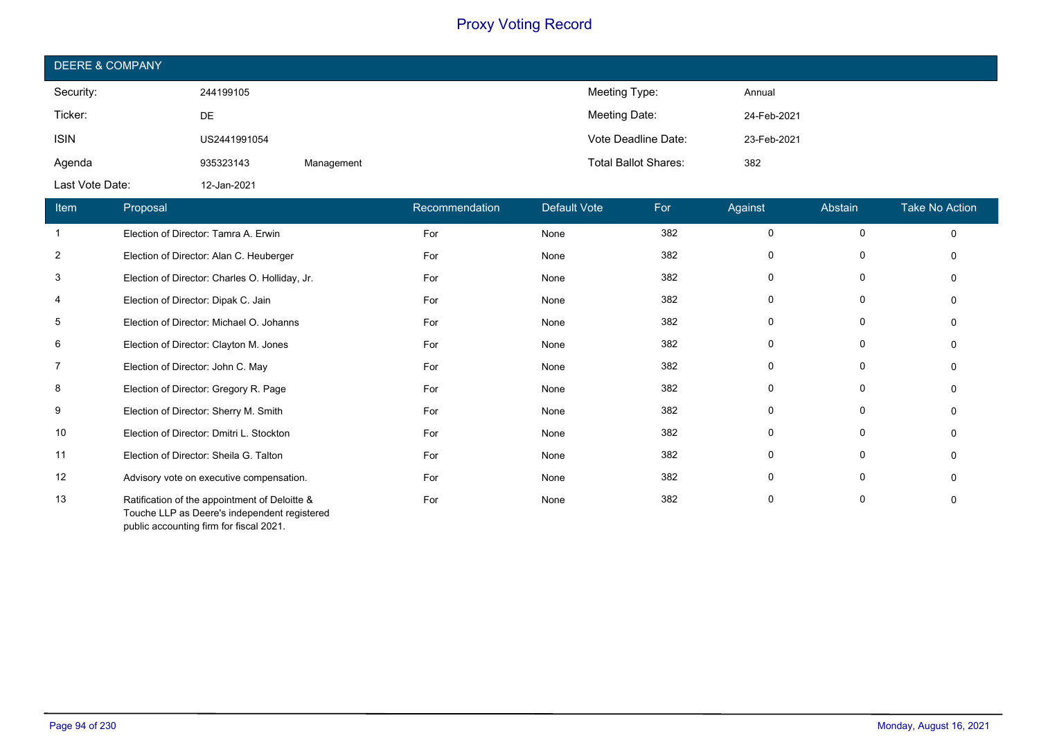| <b>DEERE &amp; COMPANY</b> |              |            |                             |             |  |  |  |  |
|----------------------------|--------------|------------|-----------------------------|-------------|--|--|--|--|
| Security:                  | 244199105    |            | Meeting Type:               | Annual      |  |  |  |  |
| Ticker:                    | DE           |            | Meeting Date:               | 24-Feb-2021 |  |  |  |  |
| <b>ISIN</b>                | US2441991054 |            | Vote Deadline Date:         | 23-Feb-2021 |  |  |  |  |
| Agenda                     | 935323143    | Management | <b>Total Ballot Shares:</b> | 382         |  |  |  |  |
| Last Vote Date:            | 12-Jan-2021  |            |                             |             |  |  |  |  |

| Item           | Proposal                                                                                      | Recommendation | <b>Default Vote</b> | For | Against  | Abstain     | <b>Take No Action</b> |
|----------------|-----------------------------------------------------------------------------------------------|----------------|---------------------|-----|----------|-------------|-----------------------|
|                | Election of Director: Tamra A. Erwin                                                          | For            | None                | 382 | $\Omega$ | $\mathbf 0$ | $\Omega$              |
| $\overline{2}$ | Election of Director: Alan C. Heuberger                                                       | For            | None                | 382 | $\Omega$ |             |                       |
| 3              | Election of Director: Charles O. Holliday, Jr.                                                | For            | None                | 382 | ŋ        | 0           |                       |
| 4              | Election of Director: Dipak C. Jain                                                           | For            | None                | 382 | 0        | 0           |                       |
| 5              | Election of Director: Michael O. Johanns                                                      | For            | None                | 382 |          | 0           |                       |
| 6              | Election of Director: Clayton M. Jones                                                        | For            | None                | 382 | 0        | 0           |                       |
| 7              | Election of Director: John C. May                                                             | For            | None                | 382 |          |             |                       |
| 8              | Election of Director: Gregory R. Page                                                         | For            | None                | 382 | $\Omega$ | 0           |                       |
| 9              | Election of Director: Sherry M. Smith                                                         | For            | None                | 382 | $\Omega$ | $\Omega$    |                       |
| 10             | Election of Director: Dmitri L. Stockton                                                      | For            | None                | 382 | $\Omega$ | $\Omega$    |                       |
| 11             | Election of Director: Sheila G. Talton                                                        | For            | None                | 382 | 0        | 0           |                       |
| 12             | Advisory vote on executive compensation.                                                      | For            | None                | 382 | ŋ        | $\Omega$    |                       |
| 13             | Ratification of the appointment of Deloitte &<br>Touche LLP as Deere's independent registered | For            | None                | 382 | 0        | 0           |                       |

public accounting firm for fiscal 2021.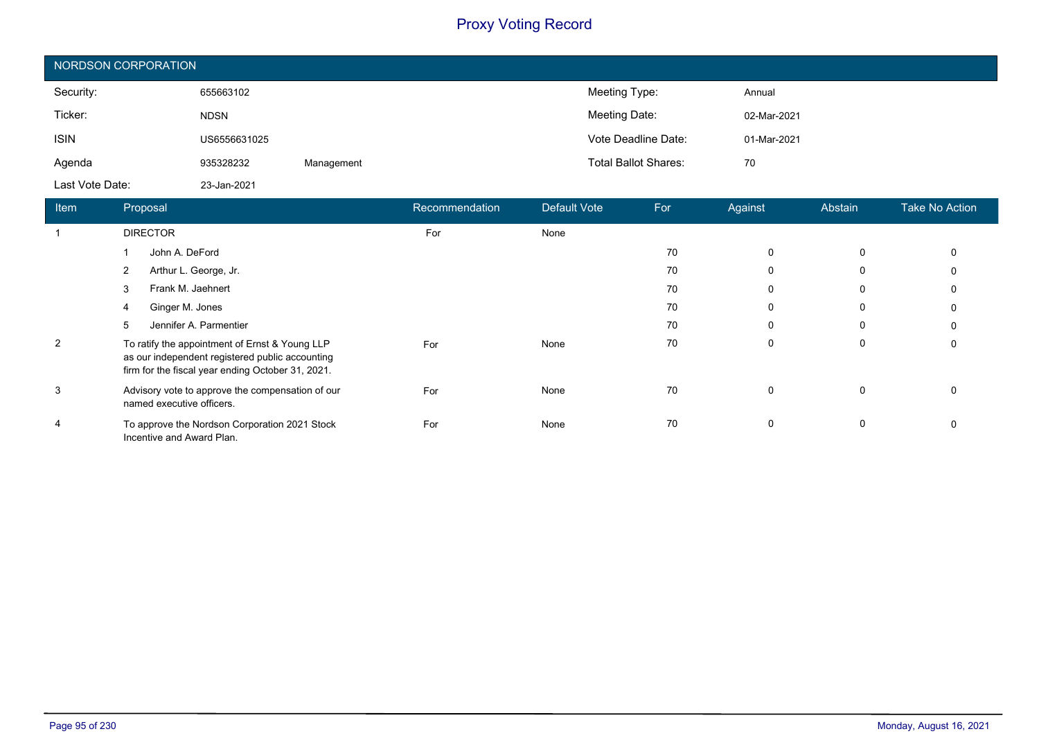| NORDSON CORPORATION |              |            |                             |             |  |  |
|---------------------|--------------|------------|-----------------------------|-------------|--|--|
| Security:           | 655663102    |            | Meeting Type:               | Annual      |  |  |
| Ticker:             | <b>NDSN</b>  |            | Meeting Date:               | 02-Mar-2021 |  |  |
| <b>ISIN</b>         | US6556631025 |            | Vote Deadline Date:         | 01-Mar-2021 |  |  |
| Agenda              | 935328232    | Management | <b>Total Ballot Shares:</b> | 70          |  |  |
| Last Vote Date:     | 23-Jan-2021  |            |                             |             |  |  |

| <b>Item</b>    | Proposal                                                                                                                                               | Recommendation | <b>Default Vote</b> | For | Against     | Abstain     | <b>Take No Action</b> |
|----------------|--------------------------------------------------------------------------------------------------------------------------------------------------------|----------------|---------------------|-----|-------------|-------------|-----------------------|
|                | <b>DIRECTOR</b>                                                                                                                                        | For            | None                |     |             |             |                       |
|                | John A. DeFord                                                                                                                                         |                |                     | 70  | 0           | $\mathbf 0$ | 0                     |
|                | Arthur L. George, Jr.<br>2                                                                                                                             |                |                     | 70  | 0           | 0           | 0                     |
|                | Frank M. Jaehnert<br>3                                                                                                                                 |                |                     | 70  | 0           | 0           | 0                     |
|                | Ginger M. Jones<br>4                                                                                                                                   |                |                     | 70  | 0           | 0           | 0                     |
|                | Jennifer A. Parmentier<br>5                                                                                                                            |                |                     | 70  | $\mathbf 0$ | 0           | 0                     |
| $\overline{2}$ | To ratify the appointment of Ernst & Young LLP<br>as our independent registered public accounting<br>firm for the fiscal year ending October 31, 2021. | For            | None                | 70  | $\mathbf 0$ | 0           | 0                     |
| 3              | Advisory vote to approve the compensation of our<br>named executive officers.                                                                          | For            | None                | 70  | $\mathbf 0$ | 0           | $\mathbf 0$           |
| 4              | To approve the Nordson Corporation 2021 Stock<br>Incentive and Award Plan.                                                                             | For            | None                | 70  | 0           | 0           | 0                     |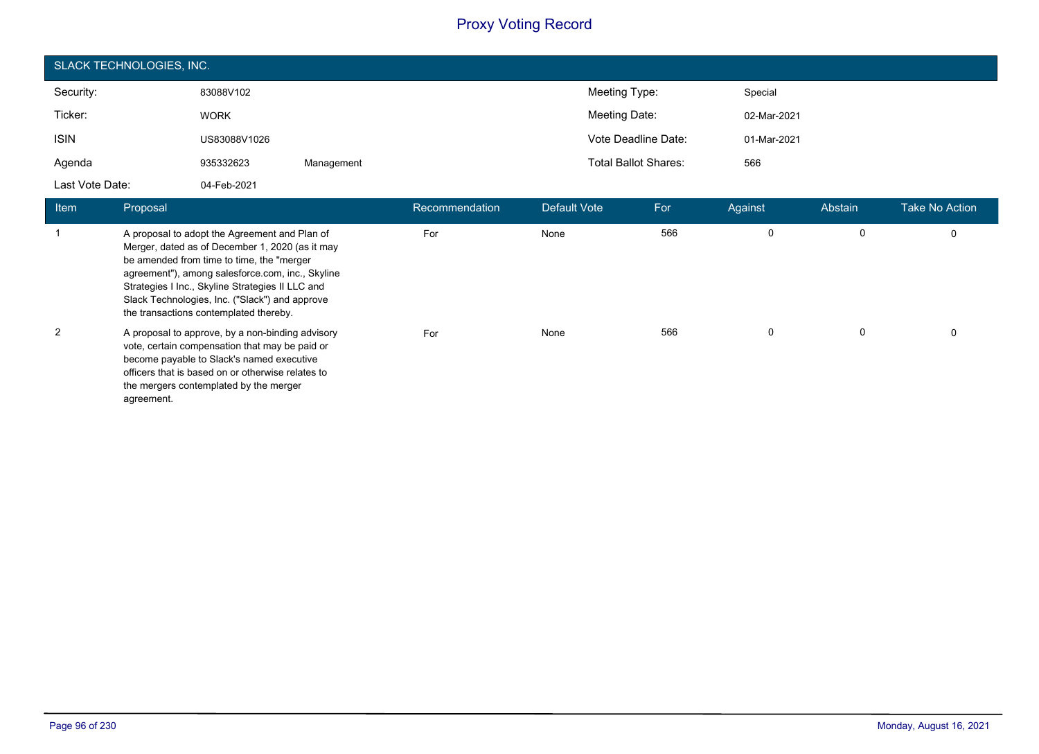| SLACK TECHNOLOGIES, INC. |              |            |                             |             |  |  |
|--------------------------|--------------|------------|-----------------------------|-------------|--|--|
| Security:                | 83088V102    |            | Meeting Type:               | Special     |  |  |
| Ticker:                  | <b>WORK</b>  |            | Meeting Date:               | 02-Mar-2021 |  |  |
| <b>ISIN</b>              | US83088V1026 |            | Vote Deadline Date:         | 01-Mar-2021 |  |  |
| Agenda                   | 935332623    | Management | <b>Total Ballot Shares:</b> | 566         |  |  |
| Last Vote Date:          | 04-Feb-2021  |            |                             |             |  |  |

| <b>Item</b>    | Proposal                                                                                                                                                                                                                                                                                                                                          | Recommendation | Default Vote | For | Against | Abstain | <b>Take No Action</b> |
|----------------|---------------------------------------------------------------------------------------------------------------------------------------------------------------------------------------------------------------------------------------------------------------------------------------------------------------------------------------------------|----------------|--------------|-----|---------|---------|-----------------------|
|                | A proposal to adopt the Agreement and Plan of<br>Merger, dated as of December 1, 2020 (as it may<br>be amended from time to time, the "merger<br>agreement"), among salesforce.com, inc., Skyline<br>Strategies I Inc., Skyline Strategies II LLC and<br>Slack Technologies, Inc. ("Slack") and approve<br>the transactions contemplated thereby. | For            | None         | 566 | 0       | 0       | 0                     |
| $\overline{2}$ | A proposal to approve, by a non-binding advisory<br>vote, certain compensation that may be paid or<br>become payable to Slack's named executive<br>officers that is based on or otherwise relates to<br>the mergers contemplated by the merger<br>agreement.                                                                                      | For            | None         | 566 | 0       | 0       | 0                     |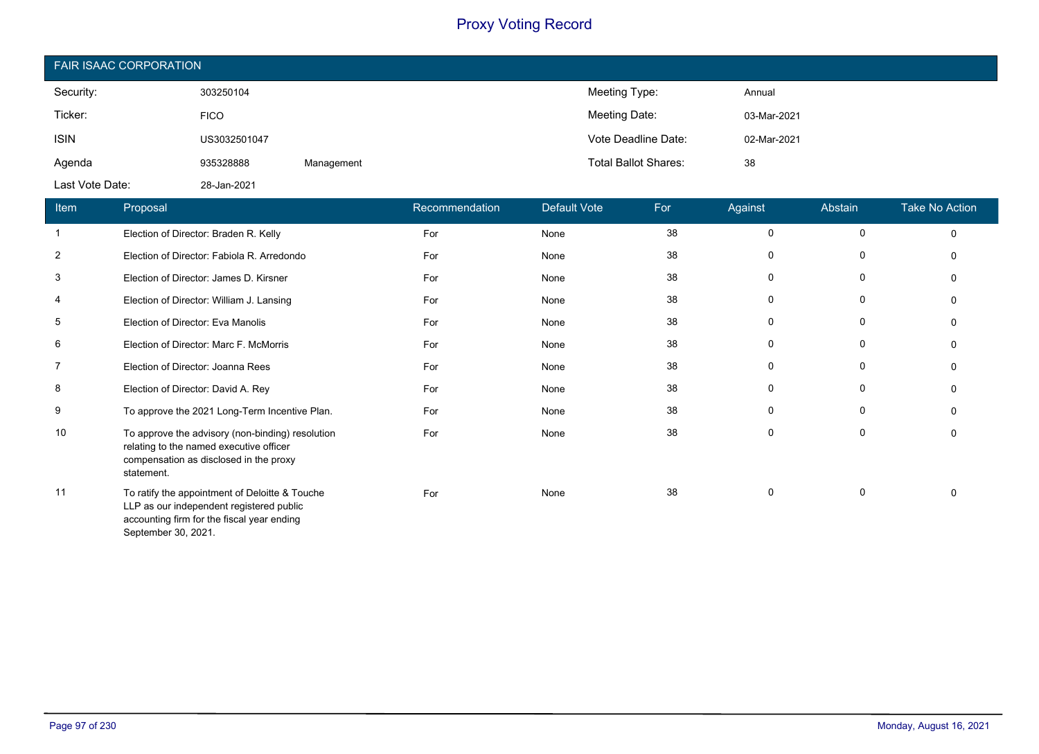| <b>FAIR ISAAC CORPORATION</b> |              |            |                             |             |  |  |
|-------------------------------|--------------|------------|-----------------------------|-------------|--|--|
| Security:                     | 303250104    |            | Meeting Type:               | Annual      |  |  |
| Ticker:                       | <b>FICO</b>  |            | Meeting Date:               | 03-Mar-2021 |  |  |
| <b>ISIN</b>                   | US3032501047 |            | Vote Deadline Date:         | 02-Mar-2021 |  |  |
| Agenda                        | 935328888    | Management | <b>Total Ballot Shares:</b> | 38          |  |  |
| Last Vote Date:               | 28-Jan-2021  |            |                             |             |  |  |

| <b>Item</b>    | Proposal                                                                                                                                                        | Recommendation | Default Vote | For | Against     | Abstain     | <b>Take No Action</b> |
|----------------|-----------------------------------------------------------------------------------------------------------------------------------------------------------------|----------------|--------------|-----|-------------|-------------|-----------------------|
| $\mathbf{1}$   | Election of Director: Braden R. Kelly                                                                                                                           | For            | None         | 38  | 0           | $\mathbf 0$ | $\mathbf 0$           |
| $\overline{2}$ | Election of Director: Fabiola R. Arredondo                                                                                                                      | For            | None         | 38  | 0           | 0           | $\Omega$              |
| 3              | Election of Director: James D. Kirsner                                                                                                                          | For            | None         | 38  | 0           | $\mathbf 0$ | $\Omega$              |
| 4              | Election of Director: William J. Lansing                                                                                                                        | For            | None         | 38  | 0           | 0           | $\Omega$              |
| 5              | Election of Director: Eva Manolis                                                                                                                               | For            | None         | 38  | $\mathbf 0$ | $\mathbf 0$ | $\Omega$              |
| 6              | Election of Director: Marc F. McMorris                                                                                                                          | For            | None         | 38  | 0           | 0           | $\mathbf{0}$          |
| $\overline{7}$ | Election of Director: Joanna Rees                                                                                                                               | For            | None         | 38  | $\mathbf 0$ | $\mathbf 0$ | $\mathbf{0}$          |
| 8              | Election of Director: David A. Rey                                                                                                                              | For            | None         | 38  | 0           | 0           | 0                     |
| 9              | To approve the 2021 Long-Term Incentive Plan.                                                                                                                   | For            | None         | 38  | 0           | 0           | $\Omega$              |
| 10             | To approve the advisory (non-binding) resolution<br>relating to the named executive officer<br>compensation as disclosed in the proxy<br>statement.             | For            | None         | 38  | $\mathbf 0$ | $\mathbf 0$ | $\Omega$              |
| 11             | To ratify the appointment of Deloitte & Touche<br>LLP as our independent registered public<br>accounting firm for the fiscal year ending<br>September 30, 2021. | For            | None         | 38  | $\mathbf 0$ | 0           | $\Omega$              |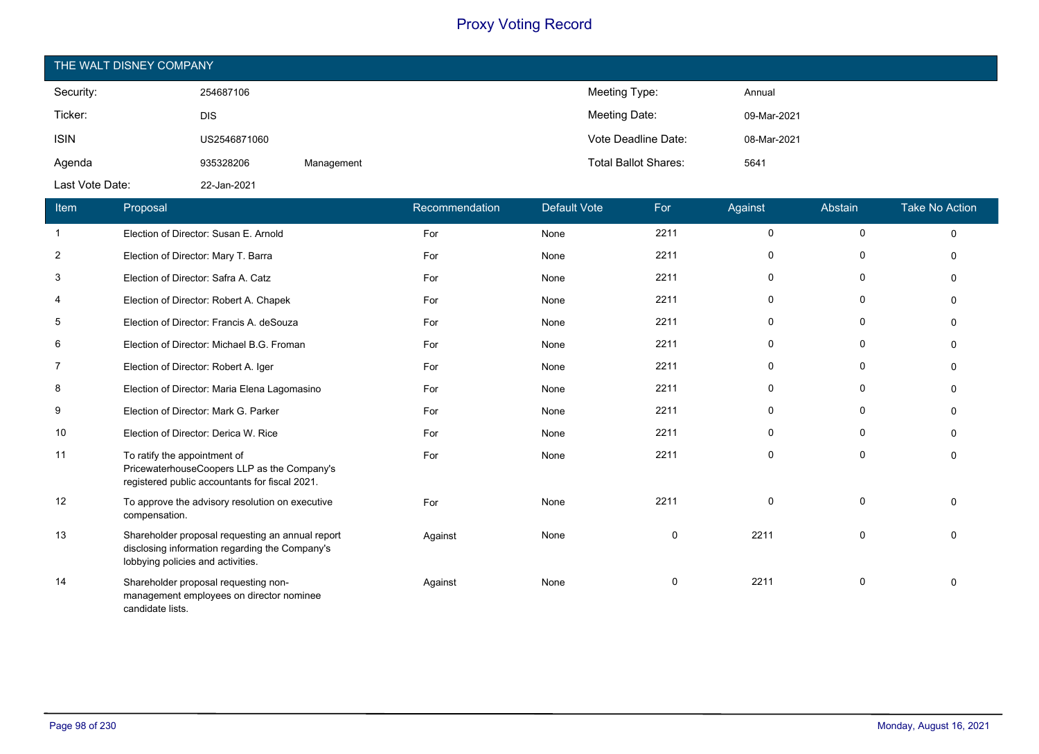| THE WALT DISNEY COMPANY |              |            |                             |             |  |  |  |
|-------------------------|--------------|------------|-----------------------------|-------------|--|--|--|
| Security:               | 254687106    |            | Meeting Type:               | Annual      |  |  |  |
| Ticker:                 | <b>DIS</b>   |            | Meeting Date:               | 09-Mar-2021 |  |  |  |
| <b>ISIN</b>             | US2546871060 |            | Vote Deadline Date:         | 08-Mar-2021 |  |  |  |
| Agenda                  | 935328206    | Management | <b>Total Ballot Shares:</b> | 5641        |  |  |  |
| Last Vote Date:         | 22-Jan-2021  |            |                             |             |  |  |  |

| Item           | Proposal                                                                                                                                | Recommendation | Default Vote | For         | Against     | Abstain     | Take No Action |
|----------------|-----------------------------------------------------------------------------------------------------------------------------------------|----------------|--------------|-------------|-------------|-------------|----------------|
| $\mathbf{1}$   | Election of Director: Susan E. Arnold                                                                                                   | For            | None         | 2211        | $\mathbf 0$ | 0           | $\mathbf 0$    |
| $\overline{c}$ | Election of Director: Mary T. Barra                                                                                                     | For            | None         | 2211        | 0           | 0           | $\Omega$       |
| 3              | Election of Director: Safra A. Catz                                                                                                     | For            | None         | 2211        | 0           | 0           | ∩              |
| 4              | Election of Director: Robert A. Chapek                                                                                                  | For            | None         | 2211        | 0           | $\mathbf 0$ | ∩              |
| 5              | Election of Director: Francis A. deSouza                                                                                                | For            | None         | 2211        | 0           | $\mathbf 0$ | ∩              |
| 6              | Election of Director: Michael B.G. Froman                                                                                               | For            | None         | 2211        | 0           | $\mathbf 0$ | ∩              |
| $\overline{7}$ | Election of Director: Robert A. Iger                                                                                                    | For            | None         | 2211        | 0           | 0           | O              |
| 8              | Election of Director: Maria Elena Lagomasino                                                                                            | For            | None         | 2211        | 0           | 0           | $\Omega$       |
| 9              | Election of Director: Mark G. Parker                                                                                                    | For            | None         | 2211        | 0           | 0           | O              |
| 10             | Election of Director: Derica W. Rice                                                                                                    | For            | None         | 2211        | 0           | $\mathbf 0$ | O              |
| 11             | To ratify the appointment of<br>PricewaterhouseCoopers LLP as the Company's<br>registered public accountants for fiscal 2021.           | For            | None         | 2211        | $\mathbf 0$ | $\mathbf 0$ | $\Omega$       |
| 12             | To approve the advisory resolution on executive<br>compensation.                                                                        | For            | None         | 2211        | $\Omega$    | 0           | $\Omega$       |
| 13             | Shareholder proposal requesting an annual report<br>disclosing information regarding the Company's<br>lobbying policies and activities. | Against        | None         | $\mathbf 0$ | 2211        | $\mathbf 0$ | $\Omega$       |
| 14             | Shareholder proposal requesting non-<br>management employees on director nominee<br>candidate lists.                                    | Against        | None         | $\mathbf 0$ | 2211        | 0           | $\Omega$       |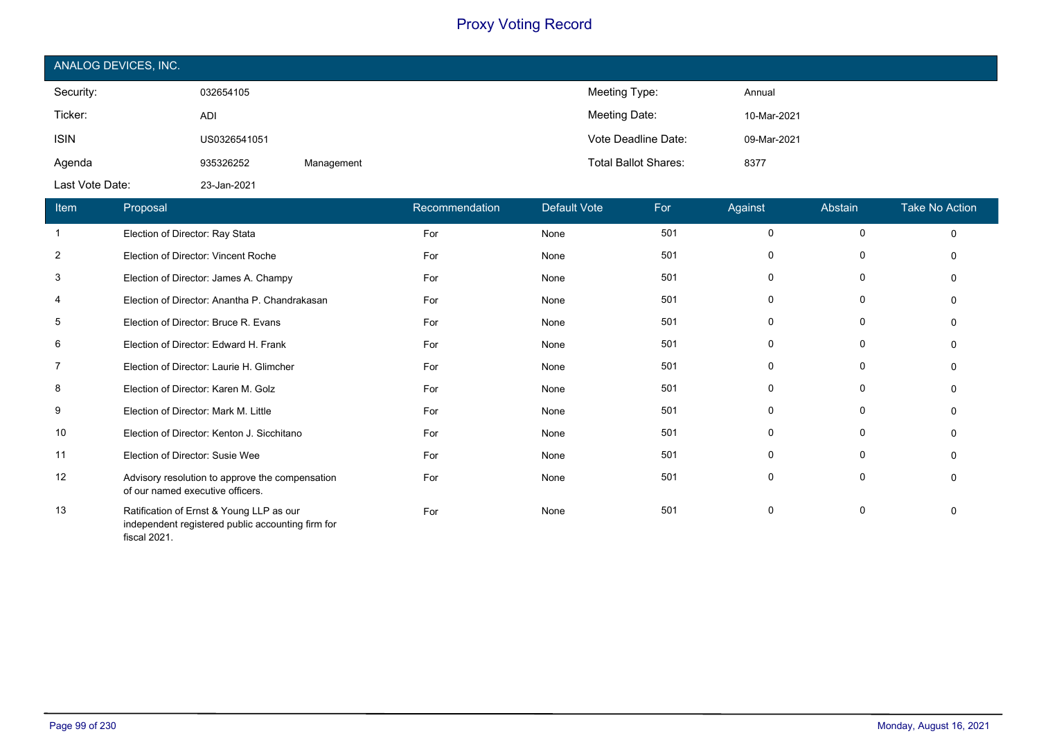| ANALOG DEVICES, INC. |              |            |                             |             |  |  |
|----------------------|--------------|------------|-----------------------------|-------------|--|--|
| Security:            | 032654105    |            | Meeting Type:               | Annual      |  |  |
| Ticker:              | <b>ADI</b>   |            | Meeting Date:               | 10-Mar-2021 |  |  |
| <b>ISIN</b>          | US0326541051 |            | Vote Deadline Date:         | 09-Mar-2021 |  |  |
| Agenda               | 935326252    | Management | <b>Total Ballot Shares:</b> | 8377        |  |  |
| Last Vote Date:      | 23-Jan-2021  |            |                             |             |  |  |

| Item           | Proposal                                                                                                      | Recommendation | <b>Default Vote</b> | For | Against  | Abstain     | <b>Take No Action</b> |
|----------------|---------------------------------------------------------------------------------------------------------------|----------------|---------------------|-----|----------|-------------|-----------------------|
| -1             | Election of Director: Ray Stata                                                                               | For            | None                | 501 | 0        | 0           | $\Omega$              |
| $\overline{2}$ | Election of Director: Vincent Roche                                                                           | For            | None                | 501 | 0        | 0           | O                     |
| 3              | Election of Director: James A. Champy                                                                         | For            | None                | 501 | $\Omega$ | 0           |                       |
| 4              | Election of Director: Anantha P. Chandrakasan                                                                 | For            | None                | 501 | 0        | 0           |                       |
| 5              | Election of Director: Bruce R. Evans                                                                          | For            | None                | 501 | 0        | 0           |                       |
| 6              | Election of Director: Edward H. Frank                                                                         | For            | None                | 501 | 0        | 0           | $\Omega$              |
| 7              | Election of Director: Laurie H. Glimcher                                                                      | For            | None                | 501 | $\Omega$ | 0           | $\Omega$              |
| 8              | Election of Director: Karen M. Golz                                                                           | For            | None                | 501 | 0        | 0           | n                     |
| 9              | Election of Director: Mark M. Little                                                                          | For            | None                | 501 | 0        | 0           |                       |
| 10             | Election of Director: Kenton J. Sicchitano                                                                    | For            | None                | 501 | 0        | $\mathbf 0$ |                       |
| 11             | Election of Director: Susie Wee                                                                               | For            | None                | 501 | 0        | 0           | $\Omega$              |
| 12             | Advisory resolution to approve the compensation<br>of our named executive officers.                           | For            | None                | 501 | 0        | 0           | $\Omega$              |
| 13             | Ratification of Ernst & Young LLP as our<br>independent registered public accounting firm for<br>fiscal 2021. | For            | None                | 501 | 0        | 0           | $\Omega$              |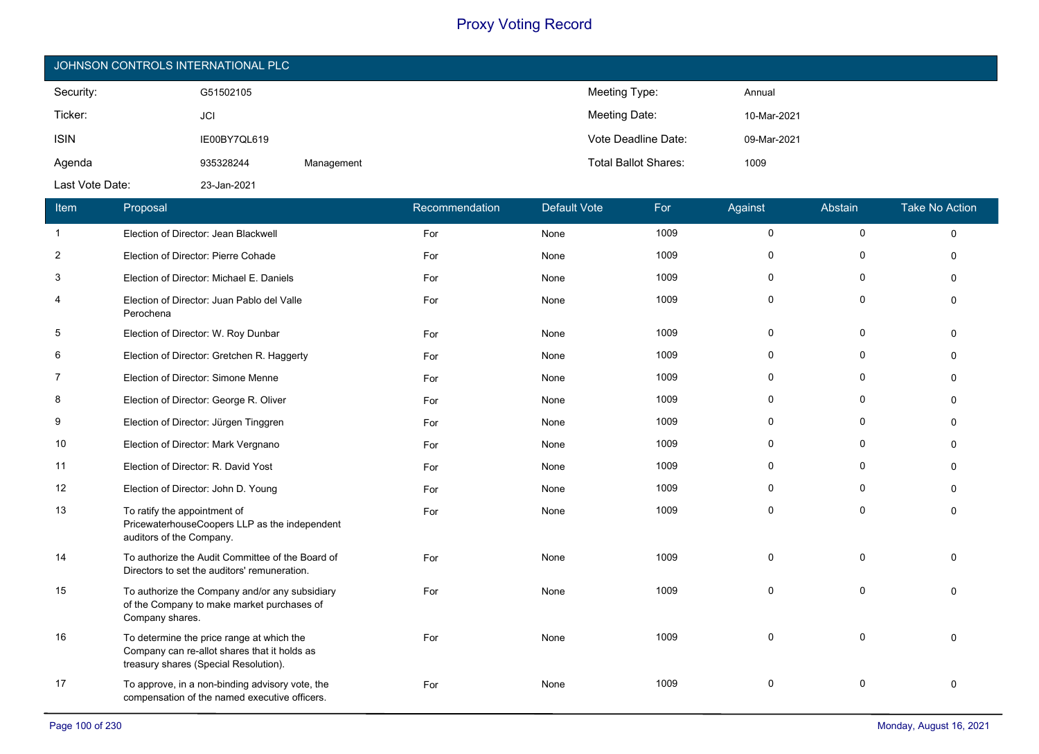| JOHNSON CONTROLS INTERNATIONAL PLC |              |            |                             |             |  |  |  |
|------------------------------------|--------------|------------|-----------------------------|-------------|--|--|--|
| Security:                          | G51502105    |            | Meeting Type:               | Annual      |  |  |  |
| Ticker:                            | <b>JCI</b>   |            | Meeting Date:               | 10-Mar-2021 |  |  |  |
| <b>ISIN</b>                        | IE00BY7QL619 |            | Vote Deadline Date:         | 09-Mar-2021 |  |  |  |
| Agenda                             | 935328244    | Management | <b>Total Ballot Shares:</b> | 1009        |  |  |  |
| Last Vote Date:                    | 23-Jan-2021  |            |                             |             |  |  |  |

| Item           | Proposal                                                                                                                           | Recommendation | <b>Default Vote</b> | For  | Against   | Abstain             | <b>Take No Action</b> |
|----------------|------------------------------------------------------------------------------------------------------------------------------------|----------------|---------------------|------|-----------|---------------------|-----------------------|
| $\mathbf{1}$   | Election of Director: Jean Blackwell                                                                                               | For            | None                | 1009 | $\pmb{0}$ | $\mathsf{O}\xspace$ | $\Omega$              |
| $\overline{2}$ | Election of Director: Pierre Cohade                                                                                                | For            | None                | 1009 | 0         | $\Omega$            |                       |
| 3              | Election of Director: Michael E. Daniels                                                                                           | For            | None                | 1009 | $\Omega$  | $\mathbf{0}$        |                       |
| 4              | Election of Director: Juan Pablo del Valle<br>Perochena                                                                            | For            | None                | 1009 | $\Omega$  | $\Omega$            | $\Omega$              |
| 5              | Election of Director: W. Roy Dunbar                                                                                                | For            | None                | 1009 | $\Omega$  | $\Omega$            | $\Omega$              |
| 6              | Election of Director: Gretchen R. Haggerty                                                                                         | For            | None                | 1009 | $\Omega$  | $\mathbf{0}$        | ∩                     |
| 7              | Election of Director: Simone Menne                                                                                                 | For            | None                | 1009 | 0         | 0                   |                       |
| 8              | Election of Director: George R. Oliver                                                                                             | For            | None                | 1009 | 0         | $\Omega$            | ∩                     |
| 9              | Election of Director: Jürgen Tinggren                                                                                              | For            | None                | 1009 | 0         | $\Omega$            | $\Omega$              |
| 10             | Election of Director: Mark Vergnano                                                                                                | For            | None                | 1009 | 0         | $\mathbf{0}$        |                       |
| 11             | Election of Director: R. David Yost                                                                                                | For            | None                | 1009 | $\Omega$  | $\mathbf 0$         |                       |
| 12             | Election of Director: John D. Young                                                                                                | For            | None                | 1009 | 0         | 0                   | $\Omega$              |
| 13             | To ratify the appointment of<br>PricewaterhouseCoopers LLP as the independent<br>auditors of the Company.                          | For            | None                | 1009 | $\Omega$  | $\Omega$            |                       |
| 14             | To authorize the Audit Committee of the Board of<br>Directors to set the auditors' remuneration.                                   | For            | None                | 1009 | 0         | $\mathbf 0$         | $\Omega$              |
| 15             | To authorize the Company and/or any subsidiary<br>of the Company to make market purchases of<br>Company shares.                    | For            | None                | 1009 | $\Omega$  | $\Omega$            |                       |
| 16             | To determine the price range at which the<br>Company can re-allot shares that it holds as<br>treasury shares (Special Resolution). | For            | None                | 1009 | $\Omega$  | $\Omega$            | $\Omega$              |
| 17             | To approve, in a non-binding advisory vote, the<br>compensation of the named executive officers.                                   | For            | None                | 1009 | $\Omega$  | $\Omega$            | $\Omega$              |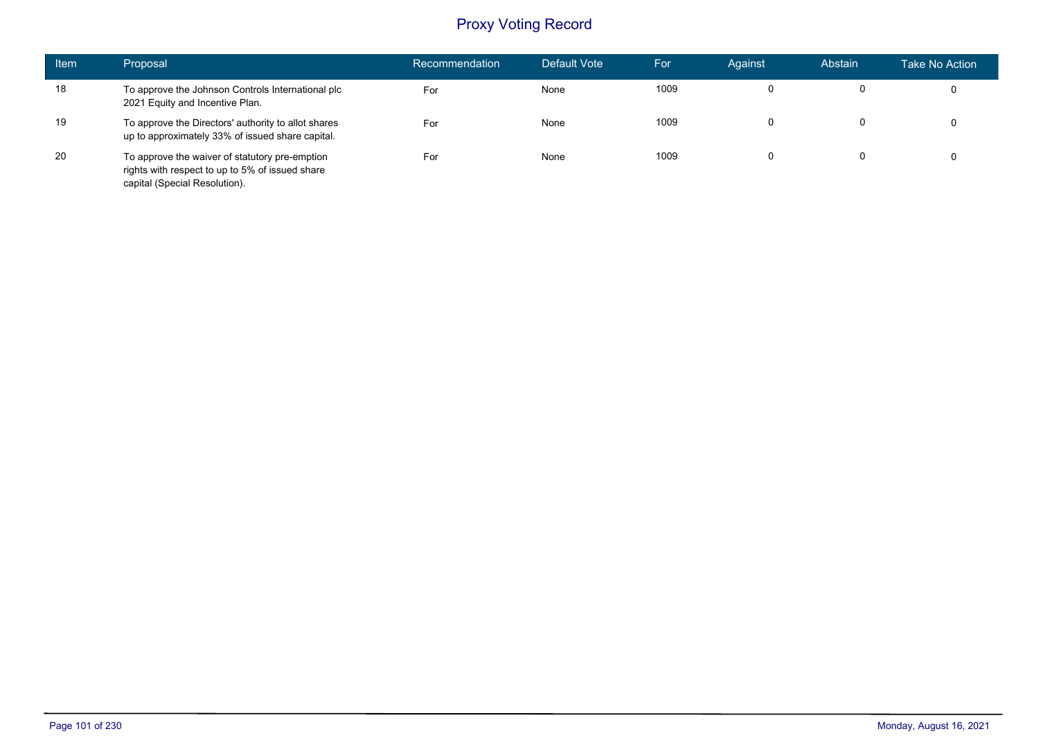| <b>Item</b> | Proposal                                                                                                                           | Recommendation | Default Vote | For  | Against | Abstain | Take No Action |
|-------------|------------------------------------------------------------------------------------------------------------------------------------|----------------|--------------|------|---------|---------|----------------|
| 18          | To approve the Johnson Controls International plc<br>2021 Equity and Incentive Plan.                                               | For            | None         | 1009 | 0       |         | 0              |
| 19          | To approve the Directors' authority to allot shares<br>up to approximately 33% of issued share capital.                            | For            | None         | 1009 | 0       | 0       | 0              |
| 20          | To approve the waiver of statutory pre-emption<br>rights with respect to up to 5% of issued share<br>capital (Special Resolution). | For            | None         | 1009 |         | 0       | 0              |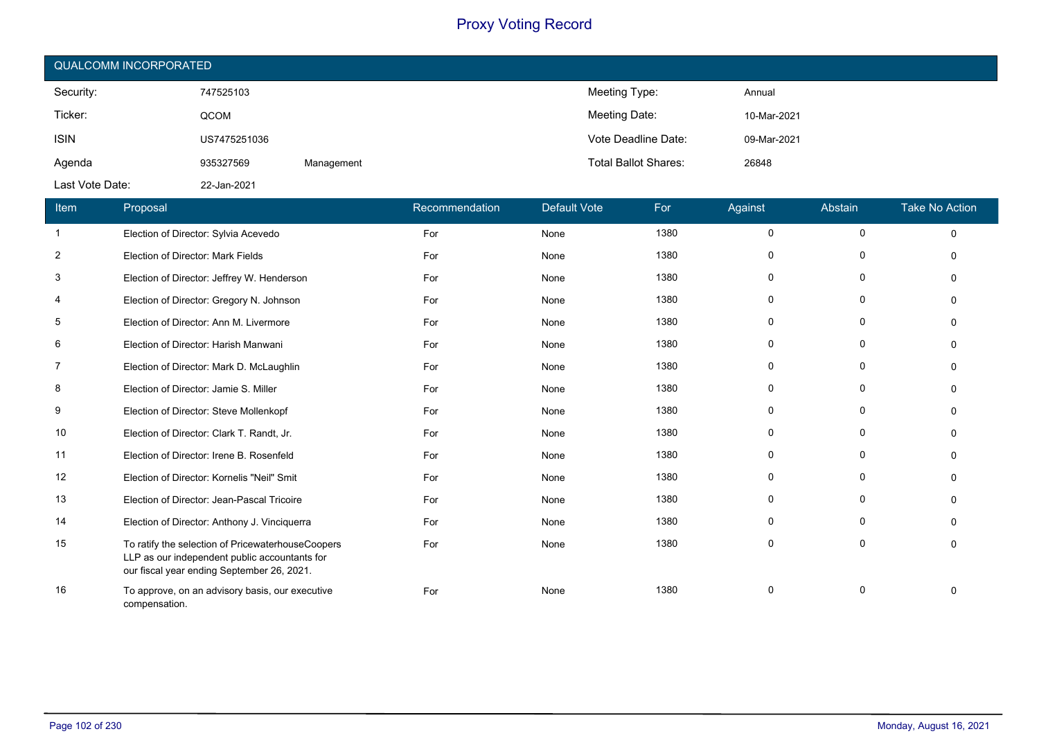| <b>QUALCOMM INCORPORATED</b> |              |            |                             |             |  |  |  |  |
|------------------------------|--------------|------------|-----------------------------|-------------|--|--|--|--|
| Security:                    | 747525103    |            | Meeting Type:               | Annual      |  |  |  |  |
| Ticker:                      | QCOM         |            | Meeting Date:               | 10-Mar-2021 |  |  |  |  |
| <b>ISIN</b>                  | US7475251036 |            | Vote Deadline Date:         | 09-Mar-2021 |  |  |  |  |
| Agenda                       | 935327569    | Management | <b>Total Ballot Shares:</b> | 26848       |  |  |  |  |
| Last Vote Date:              | 22-Jan-2021  |            |                             |             |  |  |  |  |

| Item           | Proposal                                                                                                                                         | Recommendation | <b>Default Vote</b> | For  | Against      | Abstain     | <b>Take No Action</b> |
|----------------|--------------------------------------------------------------------------------------------------------------------------------------------------|----------------|---------------------|------|--------------|-------------|-----------------------|
| $\mathbf{1}$   | Election of Director: Sylvia Acevedo                                                                                                             | For            | None                | 1380 | $\Omega$     | $\mathbf 0$ | $\Omega$              |
| $\overline{2}$ | Election of Director: Mark Fields                                                                                                                | For            | None                | 1380 | O            | $\Omega$    |                       |
| 3              | Election of Director: Jeffrey W. Henderson                                                                                                       | For            | None                | 1380 | 0            | 0           |                       |
| 4              | Election of Director: Gregory N. Johnson                                                                                                         | For            | None                | 1380 | $\Omega$     | $\Omega$    |                       |
| 5              | Election of Director: Ann M. Livermore                                                                                                           | For            | None                | 1380 | $\Omega$     | 0           |                       |
| 6              | Election of Director: Harish Manwani                                                                                                             | For            | None                | 1380 | 0            | $\Omega$    |                       |
| 7              | Election of Director: Mark D. McLaughlin                                                                                                         | For            | None                | 1380 | 0            | 0           |                       |
| 8              | Election of Director: Jamie S. Miller                                                                                                            | For            | None                | 1380 | $\Omega$     | $\Omega$    |                       |
| 9              | Election of Director: Steve Mollenkopf                                                                                                           | For            | None                | 1380 | $\Omega$     | $\Omega$    |                       |
| 10             | Election of Director: Clark T. Randt, Jr.                                                                                                        | For            | None                | 1380 | <sup>0</sup> | $\Omega$    |                       |
| 11             | Election of Director: Irene B. Rosenfeld                                                                                                         | For            | None                | 1380 | $\Omega$     | 0           |                       |
| 12             | Election of Director: Kornelis "Neil" Smit                                                                                                       | For            | None                | 1380 | 0            | $\Omega$    |                       |
| 13             | Election of Director: Jean-Pascal Tricoire                                                                                                       | For            | None                | 1380 | 0            | $\Omega$    |                       |
| 14             | Election of Director: Anthony J. Vinciquerra                                                                                                     | For            | None                | 1380 | 0            | $\Omega$    |                       |
| 15             | To ratify the selection of PricewaterhouseCoopers<br>LLP as our independent public accountants for<br>our fiscal year ending September 26, 2021. | For            | None                | 1380 | $\Omega$     | $\Omega$    | $\Omega$              |
| 16             | To approve, on an advisory basis, our executive<br>compensation.                                                                                 | For            | None                | 1380 | $\Omega$     | $\mathbf 0$ |                       |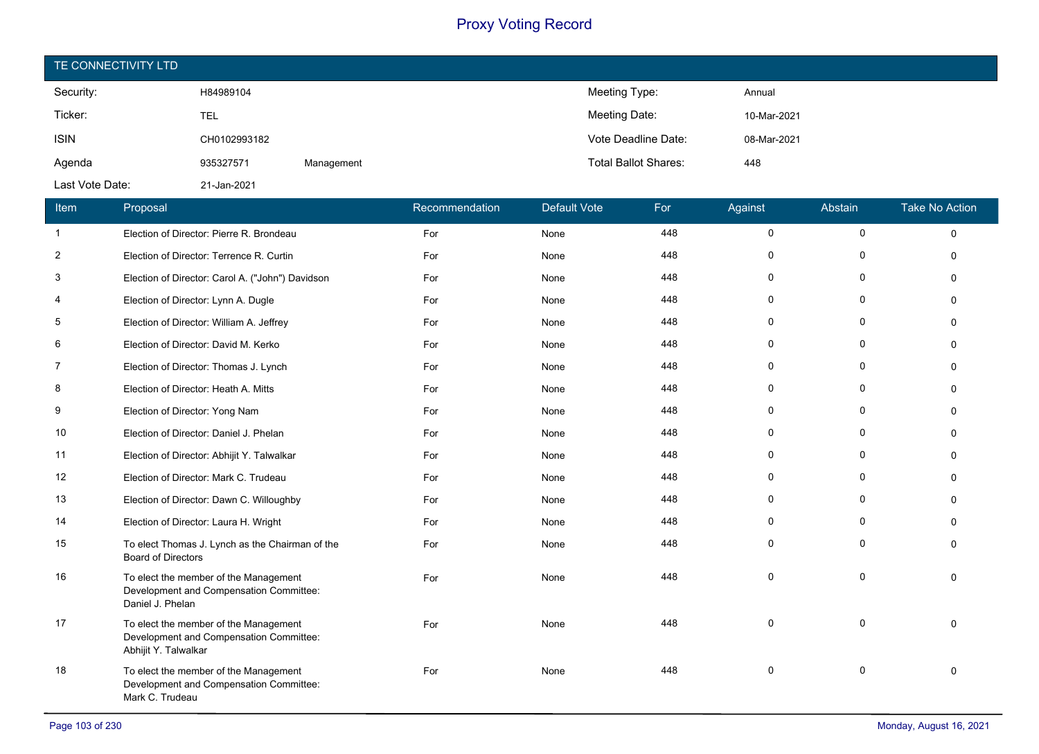| TE CONNECTIVITY LTD |              |            |                             |             |  |  |  |  |
|---------------------|--------------|------------|-----------------------------|-------------|--|--|--|--|
| Security:           | H84989104    |            | Meeting Type:               | Annual      |  |  |  |  |
| Ticker:             | TEL          |            | Meeting Date:               | 10-Mar-2021 |  |  |  |  |
| <b>ISIN</b>         | CH0102993182 |            | Vote Deadline Date:         | 08-Mar-2021 |  |  |  |  |
| Agenda              | 935327571    | Management | <b>Total Ballot Shares:</b> | 448         |  |  |  |  |
| Last Vote Date:     | 21-Jan-2021  |            |                             |             |  |  |  |  |

| Item         | Proposal                                                                                                 | Recommendation | <b>Default Vote</b> | For | Against     | Abstain      | <b>Take No Action</b> |
|--------------|----------------------------------------------------------------------------------------------------------|----------------|---------------------|-----|-------------|--------------|-----------------------|
| $\mathbf{1}$ | Election of Director: Pierre R. Brondeau                                                                 | For            | None                | 448 | $\mathbf 0$ | $\mathbf 0$  | $\Omega$              |
| 2            | Election of Director: Terrence R. Curtin                                                                 | For            | None                | 448 | $\Omega$    | O            | $\Omega$              |
| 3            | Election of Director: Carol A. ("John") Davidson                                                         | For            | None                | 448 | $\Omega$    | $\mathbf{0}$ | $\Omega$              |
| 4            | Election of Director: Lynn A. Dugle                                                                      | For            | None                | 448 | 0           | $\mathbf 0$  | $\Omega$              |
| 5            | Election of Director: William A. Jeffrey                                                                 | For            | None                | 448 | 0           | $\Omega$     |                       |
| 6            | Election of Director: David M. Kerko                                                                     | For            | None                | 448 | $\Omega$    | $\mathbf{0}$ |                       |
| 7            | Election of Director: Thomas J. Lynch                                                                    | For            | None                | 448 | $\Omega$    | $\mathbf{0}$ | ∩                     |
| 8            | Election of Director: Heath A. Mitts                                                                     | For            | None                | 448 | $\Omega$    | 0            |                       |
| 9            | Election of Director: Yong Nam                                                                           | For            | None                | 448 | 0           | $\mathbf{0}$ | $\Omega$              |
| 10           | Election of Director: Daniel J. Phelan                                                                   | For            | None                | 448 | 0           | 0            | $\Omega$              |
| 11           | Election of Director: Abhijit Y. Talwalkar                                                               | For            | None                | 448 | $\Omega$    | $\Omega$     |                       |
| 12           | Election of Director: Mark C. Trudeau                                                                    | For            | None                | 448 | $\Omega$    | $\Omega$     | ∩                     |
| 13           | Election of Director: Dawn C. Willoughby                                                                 | For            | None                | 448 | $\Omega$    | 0            | ∩                     |
| 14           | Election of Director: Laura H. Wright                                                                    | For            | None                | 448 | $\Omega$    | $\Omega$     |                       |
| 15           | To elect Thomas J. Lynch as the Chairman of the<br><b>Board of Directors</b>                             | For            | None                | 448 | $\Omega$    | $\mathbf{0}$ | $\Omega$              |
| 16           | To elect the member of the Management<br>Development and Compensation Committee:<br>Daniel J. Phelan     | For            | None                | 448 | $\Omega$    | $\Omega$     |                       |
| 17           | To elect the member of the Management<br>Development and Compensation Committee:<br>Abhijit Y. Talwalkar | For            | None                | 448 | $\Omega$    | $\Omega$     | $\Omega$              |
| 18           | To elect the member of the Management<br>Development and Compensation Committee:<br>Mark C. Trudeau      | For            | None                | 448 | $\Omega$    | $\mathbf 0$  | $\Omega$              |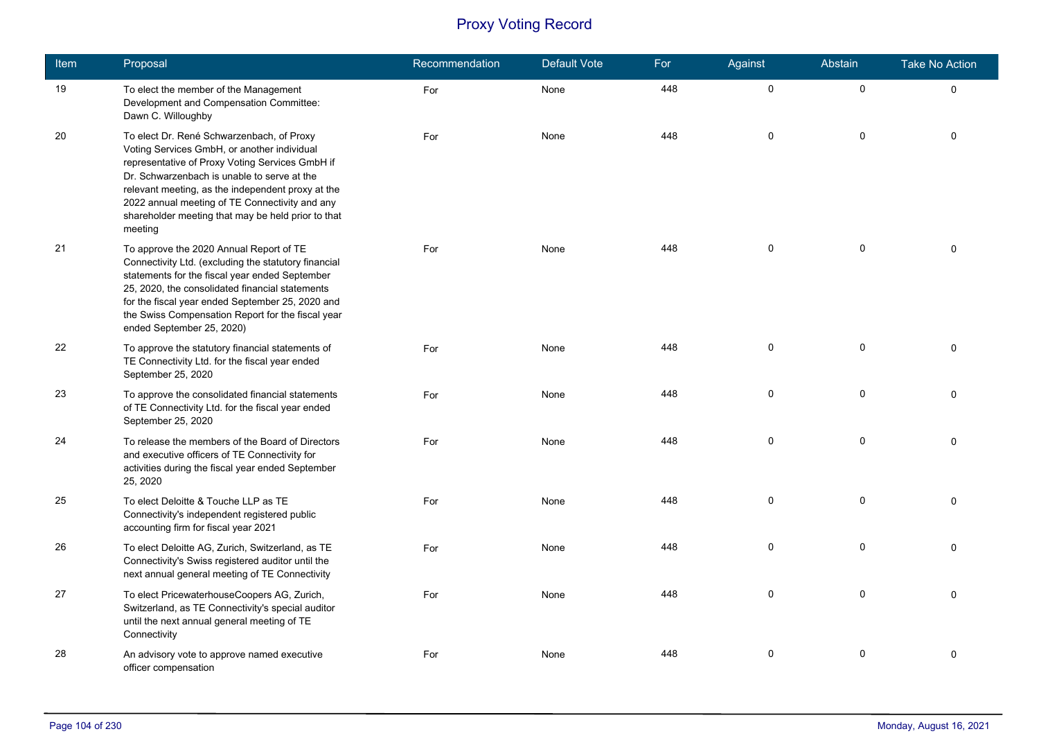| Item | Proposal                                                                                                                                                                                                                                                                                                                                                           | Recommendation | <b>Default Vote</b> | For | Against     | Abstain     | <b>Take No Action</b> |
|------|--------------------------------------------------------------------------------------------------------------------------------------------------------------------------------------------------------------------------------------------------------------------------------------------------------------------------------------------------------------------|----------------|---------------------|-----|-------------|-------------|-----------------------|
| 19   | To elect the member of the Management<br>Development and Compensation Committee:<br>Dawn C. Willoughby                                                                                                                                                                                                                                                             | For            | None                | 448 | $\pmb{0}$   | $\pmb{0}$   | $\mathbf 0$           |
| 20   | To elect Dr. René Schwarzenbach, of Proxy<br>Voting Services GmbH, or another individual<br>representative of Proxy Voting Services GmbH if<br>Dr. Schwarzenbach is unable to serve at the<br>relevant meeting, as the independent proxy at the<br>2022 annual meeting of TE Connectivity and any<br>shareholder meeting that may be held prior to that<br>meeting | For            | None                | 448 | 0           | $\mathbf 0$ | $\mathbf{0}$          |
| 21   | To approve the 2020 Annual Report of TE<br>Connectivity Ltd. (excluding the statutory financial<br>statements for the fiscal year ended September<br>25, 2020, the consolidated financial statements<br>for the fiscal year ended September 25, 2020 and<br>the Swiss Compensation Report for the fiscal year<br>ended September 25, 2020)                         | For            | None                | 448 | $\mathbf 0$ | $\mathbf 0$ | $\Omega$              |
| 22   | To approve the statutory financial statements of<br>TE Connectivity Ltd. for the fiscal year ended<br>September 25, 2020                                                                                                                                                                                                                                           | For            | None                | 448 | $\mathbf 0$ | $\mathbf 0$ | $\mathbf{0}$          |
| 23   | To approve the consolidated financial statements<br>of TE Connectivity Ltd. for the fiscal year ended<br>September 25, 2020                                                                                                                                                                                                                                        | For            | None                | 448 | 0           | $\mathbf 0$ | $\Omega$              |
| 24   | To release the members of the Board of Directors<br>and executive officers of TE Connectivity for<br>activities during the fiscal year ended September<br>25, 2020                                                                                                                                                                                                 | For            | None                | 448 | $\mathbf 0$ | $\mathbf 0$ | $\Omega$              |
| 25   | To elect Deloitte & Touche LLP as TE<br>Connectivity's independent registered public<br>accounting firm for fiscal year 2021                                                                                                                                                                                                                                       | For            | None                | 448 | $\pmb{0}$   | 0           | $\mathbf 0$           |
| 26   | To elect Deloitte AG, Zurich, Switzerland, as TE<br>Connectivity's Swiss registered auditor until the<br>next annual general meeting of TE Connectivity                                                                                                                                                                                                            | For            | None                | 448 | 0           | $\mathbf 0$ | $\Omega$              |
| 27   | To elect PricewaterhouseCoopers AG, Zurich,<br>Switzerland, as TE Connectivity's special auditor<br>until the next annual general meeting of TE<br>Connectivity                                                                                                                                                                                                    | For            | None                | 448 | 0           | $\mathbf 0$ | $\Omega$              |
| 28   | An advisory vote to approve named executive<br>officer compensation                                                                                                                                                                                                                                                                                                | For            | None                | 448 | $\mathbf 0$ | $\mathbf 0$ | 0                     |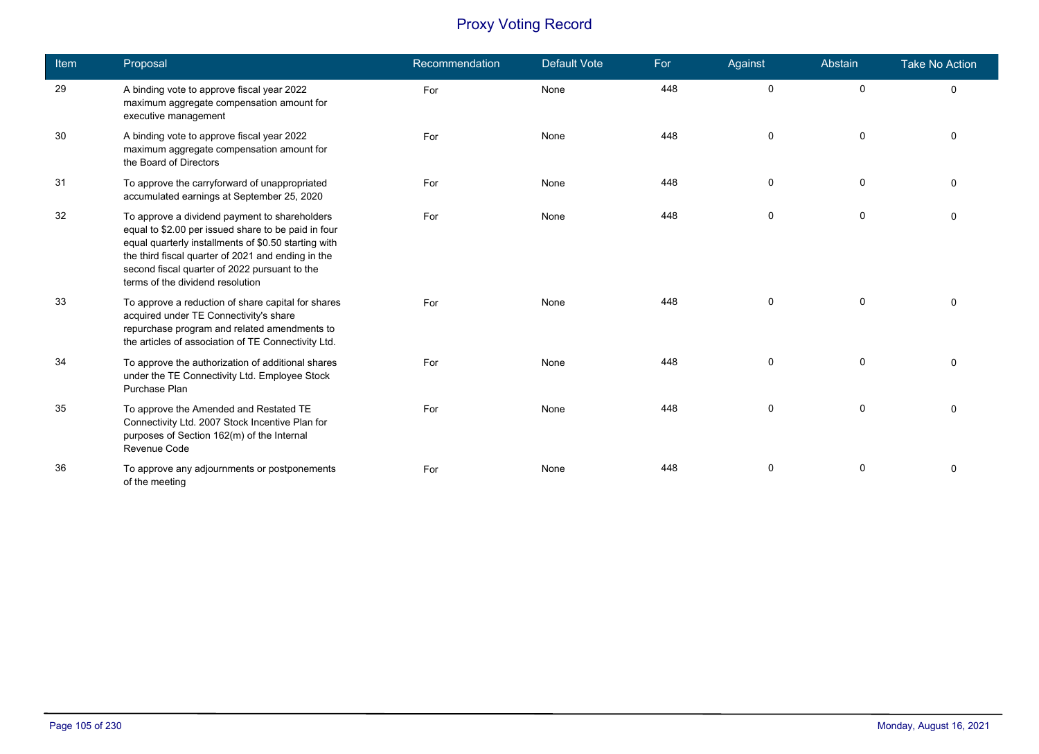| <b>Item</b> | Proposal                                                                                                                                                                                                                                                                                                | Recommendation | <b>Default Vote</b> | For | Against      | Abstain     | <b>Take No Action</b> |
|-------------|---------------------------------------------------------------------------------------------------------------------------------------------------------------------------------------------------------------------------------------------------------------------------------------------------------|----------------|---------------------|-----|--------------|-------------|-----------------------|
| 29          | A binding vote to approve fiscal year 2022<br>maximum aggregate compensation amount for<br>executive management                                                                                                                                                                                         | For            | None                | 448 | $\mathbf 0$  | $\mathbf 0$ | 0                     |
| 30          | A binding vote to approve fiscal year 2022<br>maximum aggregate compensation amount for<br>the Board of Directors                                                                                                                                                                                       | For            | None                | 448 | $\mathbf 0$  | $\mathbf 0$ | $\Omega$              |
| 31          | To approve the carryforward of unappropriated<br>accumulated earnings at September 25, 2020                                                                                                                                                                                                             | For            | None                | 448 | $\mathbf 0$  | $\mathbf 0$ | $\Omega$              |
| 32          | To approve a dividend payment to shareholders<br>equal to \$2.00 per issued share to be paid in four<br>equal quarterly installments of \$0.50 starting with<br>the third fiscal quarter of 2021 and ending in the<br>second fiscal quarter of 2022 pursuant to the<br>terms of the dividend resolution | For            | None                | 448 | 0            | 0           | $\Omega$              |
| 33          | To approve a reduction of share capital for shares<br>acquired under TE Connectivity's share<br>repurchase program and related amendments to<br>the articles of association of TE Connectivity Ltd.                                                                                                     | For            | None                | 448 | 0            | $\mathbf 0$ | $\Omega$              |
| 34          | To approve the authorization of additional shares<br>under the TE Connectivity Ltd. Employee Stock<br>Purchase Plan                                                                                                                                                                                     | For            | None                | 448 | $\mathbf{0}$ | $\Omega$    | $\Omega$              |
| 35          | To approve the Amended and Restated TE<br>Connectivity Ltd. 2007 Stock Incentive Plan for<br>purposes of Section 162(m) of the Internal<br>Revenue Code                                                                                                                                                 | For            | None                | 448 | $\mathbf{0}$ | 0           | $\Omega$              |
| 36          | To approve any adjournments or postponements<br>of the meeting                                                                                                                                                                                                                                          | For            | None                | 448 | 0            | 0           | $\Omega$              |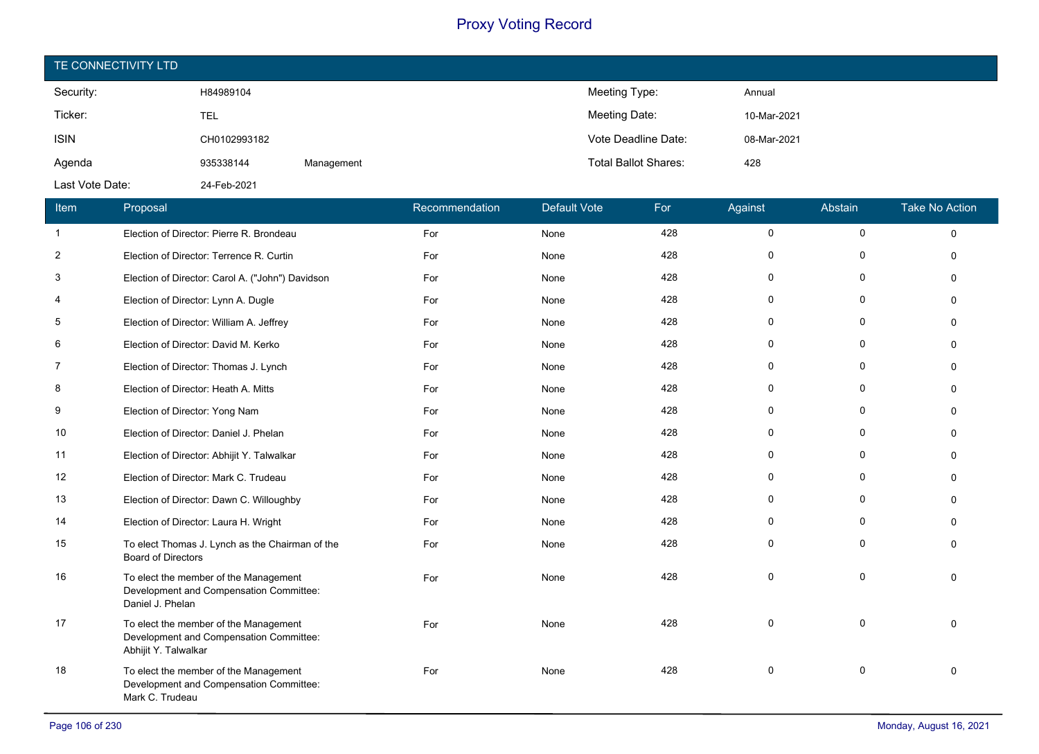| TE CONNECTIVITY LTD |              |            |                             |             |  |  |  |  |
|---------------------|--------------|------------|-----------------------------|-------------|--|--|--|--|
| Security:           | H84989104    |            | Meeting Type:               | Annual      |  |  |  |  |
| Ticker:             | TEL          |            | Meeting Date:               | 10-Mar-2021 |  |  |  |  |
| <b>ISIN</b>         | CH0102993182 |            | Vote Deadline Date:         | 08-Mar-2021 |  |  |  |  |
| Agenda              | 935338144    | Management | <b>Total Ballot Shares:</b> | 428         |  |  |  |  |
| Last Vote Date:     | 24-Feb-2021  |            |                             |             |  |  |  |  |

| Item           | Proposal                                                                                                 | Recommendation | <b>Default Vote</b> | For | Against             | Abstain   | <b>Take No Action</b> |
|----------------|----------------------------------------------------------------------------------------------------------|----------------|---------------------|-----|---------------------|-----------|-----------------------|
| $\mathbf{1}$   | Election of Director: Pierre R. Brondeau                                                                 | For            | None                | 428 | $\mathsf{O}\xspace$ | $\pmb{0}$ | 0                     |
| $\overline{2}$ | Election of Director: Terrence R. Curtin                                                                 | For            | None                | 428 | 0                   | $\Omega$  | $\Omega$              |
| 3              | Election of Director: Carol A. ("John") Davidson                                                         | For            | None                | 428 | 0                   | $\Omega$  | $\Omega$              |
| 4              | Election of Director: Lynn A. Dugle                                                                      | For            | None                | 428 | 0                   | 0         | $\Omega$              |
| 5              | Election of Director: William A. Jeffrey                                                                 | For            | None                | 428 | 0                   | $\Omega$  | $\Omega$              |
| 6              | Election of Director: David M. Kerko                                                                     | For            | None                | 428 | 0                   | 0         | $\Omega$              |
| 7              | Election of Director: Thomas J. Lynch                                                                    | For            | None                | 428 | 0                   | $\Omega$  | $\Omega$              |
| 8              | Election of Director: Heath A. Mitts                                                                     | For            | None                | 428 | 0                   | 0         | $\Omega$              |
| 9              | Election of Director: Yong Nam                                                                           | For            | None                | 428 | 0                   | $\Omega$  | $\Omega$              |
| 10             | Election of Director: Daniel J. Phelan                                                                   | For            | None                | 428 | 0                   | $\Omega$  | $\Omega$              |
| 11             | Election of Director: Abhijit Y. Talwalkar                                                               | For            | None                | 428 | 0                   | $\Omega$  | $\Omega$              |
| 12             | Election of Director: Mark C. Trudeau                                                                    | For            | None                | 428 | 0                   | $\Omega$  | $\Omega$              |
| 13             | Election of Director: Dawn C. Willoughby                                                                 | For            | None                | 428 | $\Omega$            | $\Omega$  | $\Omega$              |
| 14             | Election of Director: Laura H. Wright                                                                    | For            | None                | 428 | $\Omega$            | $\Omega$  | $\Omega$              |
| 15             | To elect Thomas J. Lynch as the Chairman of the<br><b>Board of Directors</b>                             | For            | None                | 428 | 0                   | $\Omega$  | $\Omega$              |
| 16             | To elect the member of the Management<br>Development and Compensation Committee:<br>Daniel J. Phelan     | For            | None                | 428 | $\Omega$            | $\Omega$  | $\Omega$              |
| 17             | To elect the member of the Management<br>Development and Compensation Committee:<br>Abhijit Y. Talwalkar | For            | None                | 428 | $\Omega$            | $\Omega$  | $\Omega$              |
| 18             | To elect the member of the Management<br>Development and Compensation Committee:<br>Mark C. Trudeau      | For            | None                | 428 | 0                   | 0         | $\Omega$              |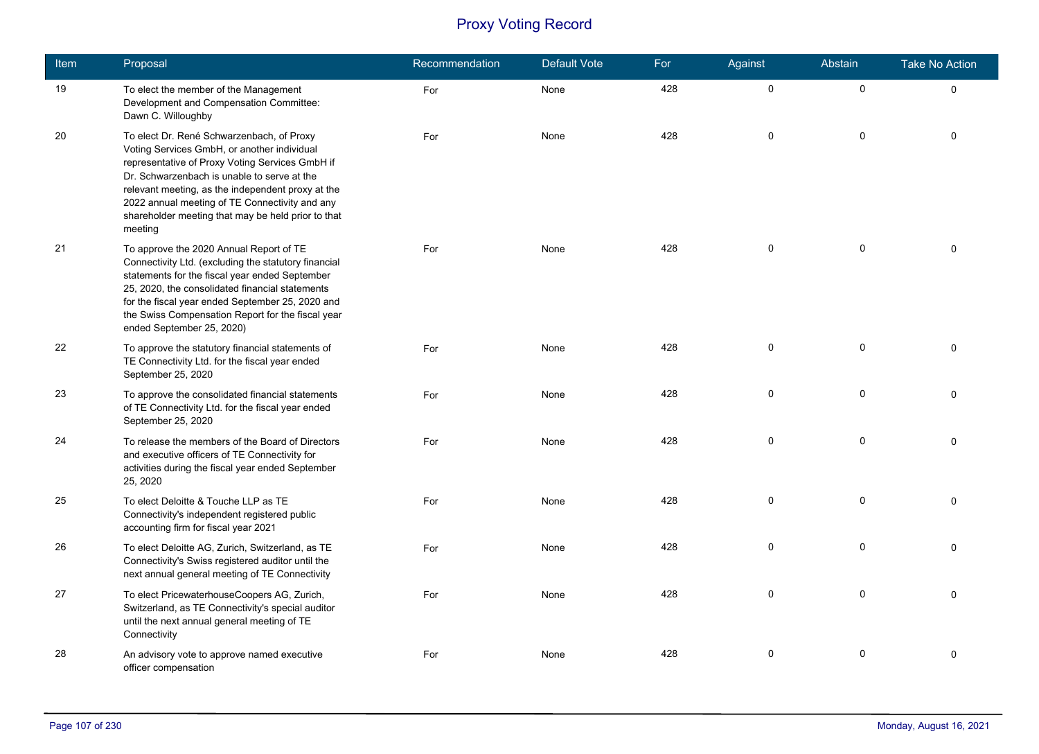| Item | Proposal                                                                                                                                                                                                                                                                                                                                                           | Recommendation | Default Vote | For | Against     | Abstain     | <b>Take No Action</b> |
|------|--------------------------------------------------------------------------------------------------------------------------------------------------------------------------------------------------------------------------------------------------------------------------------------------------------------------------------------------------------------------|----------------|--------------|-----|-------------|-------------|-----------------------|
| 19   | To elect the member of the Management<br>Development and Compensation Committee:<br>Dawn C. Willoughby                                                                                                                                                                                                                                                             | For            | None         | 428 | $\pmb{0}$   | $\pmb{0}$   | $\mathbf 0$           |
| 20   | To elect Dr. René Schwarzenbach, of Proxy<br>Voting Services GmbH, or another individual<br>representative of Proxy Voting Services GmbH if<br>Dr. Schwarzenbach is unable to serve at the<br>relevant meeting, as the independent proxy at the<br>2022 annual meeting of TE Connectivity and any<br>shareholder meeting that may be held prior to that<br>meeting | For            | None         | 428 | 0           | 0           | $\Omega$              |
| 21   | To approve the 2020 Annual Report of TE<br>Connectivity Ltd. (excluding the statutory financial<br>statements for the fiscal year ended September<br>25, 2020, the consolidated financial statements<br>for the fiscal year ended September 25, 2020 and<br>the Swiss Compensation Report for the fiscal year<br>ended September 25, 2020)                         | For            | None         | 428 | 0           | 0           | $\Omega$              |
| 22   | To approve the statutory financial statements of<br>TE Connectivity Ltd. for the fiscal year ended<br>September 25, 2020                                                                                                                                                                                                                                           | For            | None         | 428 | 0           | $\mathbf 0$ | $\Omega$              |
| 23   | To approve the consolidated financial statements<br>of TE Connectivity Ltd. for the fiscal year ended<br>September 25, 2020                                                                                                                                                                                                                                        | For            | None         | 428 | 0           | 0           | $\Omega$              |
| 24   | To release the members of the Board of Directors<br>and executive officers of TE Connectivity for<br>activities during the fiscal year ended September<br>25, 2020                                                                                                                                                                                                 | For            | None         | 428 | 0           | $\mathbf 0$ | $\Omega$              |
| 25   | To elect Deloitte & Touche LLP as TE<br>Connectivity's independent registered public<br>accounting firm for fiscal year 2021                                                                                                                                                                                                                                       | For            | None         | 428 | $\pmb{0}$   | 0           | $\Omega$              |
| 26   | To elect Deloitte AG, Zurich, Switzerland, as TE<br>Connectivity's Swiss registered auditor until the<br>next annual general meeting of TE Connectivity                                                                                                                                                                                                            | For            | None         | 428 | $\mathbf 0$ | 0           | $\Omega$              |
| 27   | To elect PricewaterhouseCoopers AG, Zurich,<br>Switzerland, as TE Connectivity's special auditor<br>until the next annual general meeting of TE<br>Connectivity                                                                                                                                                                                                    | For            | None         | 428 | 0           | 0           | $\Omega$              |
| 28   | An advisory vote to approve named executive<br>officer compensation                                                                                                                                                                                                                                                                                                | For            | None         | 428 | 0           | 0           | 0                     |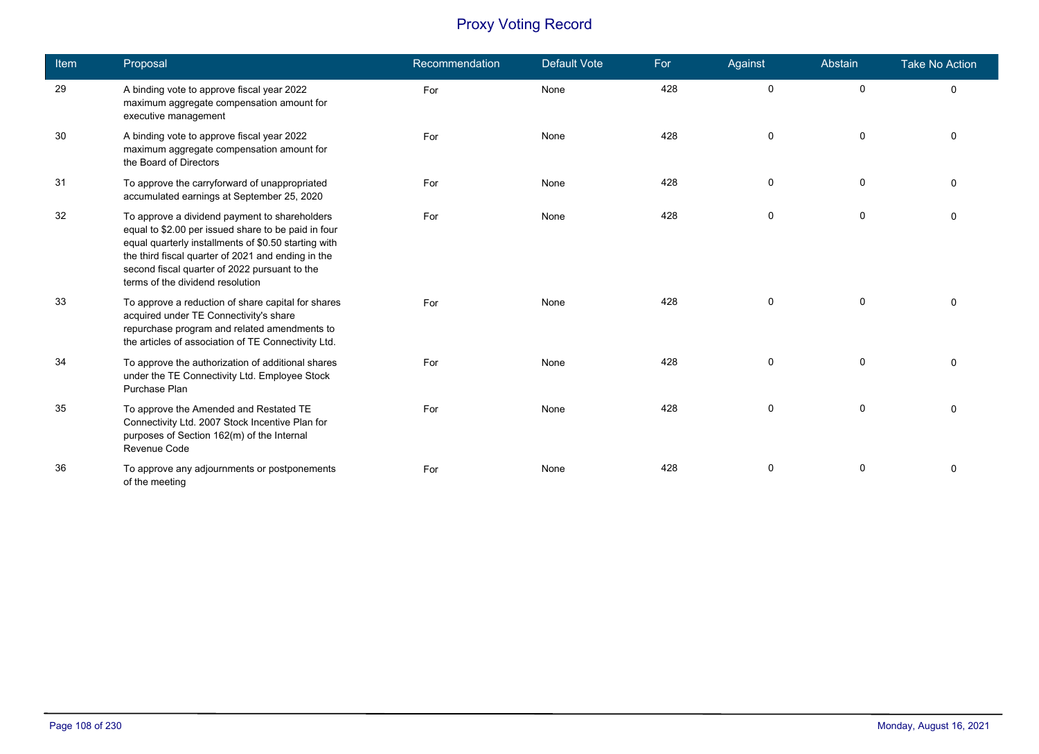| <b>Item</b> | Proposal                                                                                                                                                                                                                                                                                                | Recommendation | <b>Default Vote</b> | For | Against      | Abstain     | <b>Take No Action</b> |
|-------------|---------------------------------------------------------------------------------------------------------------------------------------------------------------------------------------------------------------------------------------------------------------------------------------------------------|----------------|---------------------|-----|--------------|-------------|-----------------------|
| 29          | A binding vote to approve fiscal year 2022<br>maximum aggregate compensation amount for<br>executive management                                                                                                                                                                                         | For            | None                | 428 | $\mathbf 0$  | $\mathbf 0$ | 0                     |
| 30          | A binding vote to approve fiscal year 2022<br>maximum aggregate compensation amount for<br>the Board of Directors                                                                                                                                                                                       | For            | None                | 428 | $\mathbf 0$  | $\mathbf 0$ | $\Omega$              |
| 31          | To approve the carryforward of unappropriated<br>accumulated earnings at September 25, 2020                                                                                                                                                                                                             | For            | None                | 428 | $\mathbf 0$  | $\mathbf 0$ | $\Omega$              |
| 32          | To approve a dividend payment to shareholders<br>equal to \$2.00 per issued share to be paid in four<br>equal quarterly installments of \$0.50 starting with<br>the third fiscal quarter of 2021 and ending in the<br>second fiscal quarter of 2022 pursuant to the<br>terms of the dividend resolution | For            | None                | 428 | 0            | 0           | $\Omega$              |
| 33          | To approve a reduction of share capital for shares<br>acquired under TE Connectivity's share<br>repurchase program and related amendments to<br>the articles of association of TE Connectivity Ltd.                                                                                                     | For            | None                | 428 | 0            | $\mathbf 0$ | $\Omega$              |
| 34          | To approve the authorization of additional shares<br>under the TE Connectivity Ltd. Employee Stock<br>Purchase Plan                                                                                                                                                                                     | For            | None                | 428 | $\mathbf{0}$ | $\mathbf 0$ | $\Omega$              |
| 35          | To approve the Amended and Restated TE<br>Connectivity Ltd. 2007 Stock Incentive Plan for<br>purposes of Section 162(m) of the Internal<br>Revenue Code                                                                                                                                                 | For            | None                | 428 | 0            | 0           | $\Omega$              |
| 36          | To approve any adjournments or postponements<br>of the meeting                                                                                                                                                                                                                                          | For            | None                | 428 | 0            | 0           | $\Omega$              |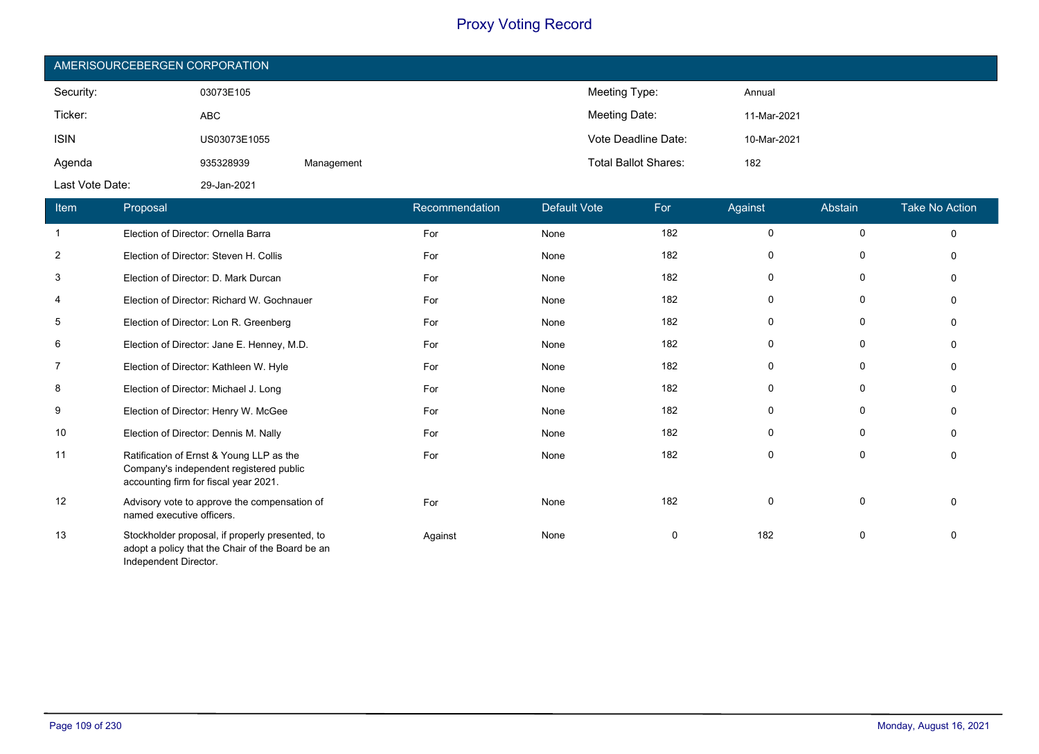| AMERISOURCEBERGEN CORPORATION |              |            |                             |             |  |  |  |  |
|-------------------------------|--------------|------------|-----------------------------|-------------|--|--|--|--|
| Security:                     | 03073E105    |            | Meeting Type:               | Annual      |  |  |  |  |
| Ticker:                       | <b>ABC</b>   |            | Meeting Date:               | 11-Mar-2021 |  |  |  |  |
| <b>ISIN</b>                   | US03073E1055 |            | Vote Deadline Date:         | 10-Mar-2021 |  |  |  |  |
| Agenda                        | 935328939    | Management | <b>Total Ballot Shares:</b> | 182         |  |  |  |  |
| Last Vote Date:               | 29-Jan-2021  |            |                             |             |  |  |  |  |

| Item           | Proposal                                                                                                                     | Recommendation | <b>Default Vote</b> | For         | Against     | Abstain     | <b>Take No Action</b> |
|----------------|------------------------------------------------------------------------------------------------------------------------------|----------------|---------------------|-------------|-------------|-------------|-----------------------|
| $\mathbf{1}$   | Election of Director: Ornella Barra                                                                                          | For            | None                | 182         | $\mathbf 0$ | $\mathbf 0$ | $\Omega$              |
| $\overline{2}$ | Election of Director: Steven H. Collis                                                                                       | For            | None                | 182         | 0           | 0           | $\Omega$              |
| 3              | Election of Director: D. Mark Durcan                                                                                         | For            | None                | 182         | $\mathbf 0$ | 0           | $\Omega$              |
| $\overline{4}$ | Election of Director: Richard W. Gochnauer                                                                                   | For            | None                | 182         | $\mathbf 0$ | 0           | $\Omega$              |
| 5              | Election of Director: Lon R. Greenberg                                                                                       | For            | None                | 182         | $\mathbf 0$ | $\mathbf 0$ | $\Omega$              |
| 6              | Election of Director: Jane E. Henney, M.D.                                                                                   | For            | None                | 182         | 0           | 0           | $\Omega$              |
| 7              | Election of Director: Kathleen W. Hyle                                                                                       | For            | None                | 182         | $\mathbf 0$ | 0           | $\Omega$              |
| 8              | Election of Director: Michael J. Long                                                                                        | For            | None                | 182         | 0           | 0           | $\Omega$              |
| 9              | Election of Director: Henry W. McGee                                                                                         | For            | None                | 182         | $\mathbf 0$ | $\mathbf 0$ | $\Omega$              |
| 10             | Election of Director: Dennis M. Nally                                                                                        | For            | None                | 182         | $\mathbf 0$ | 0           | $\Omega$              |
| 11             | Ratification of Ernst & Young LLP as the<br>Company's independent registered public<br>accounting firm for fiscal year 2021. | For            | None                | 182         | $\mathbf 0$ | 0           | $\mathbf{0}$          |
| 12             | Advisory vote to approve the compensation of<br>named executive officers.                                                    | For            | None                | 182         | 0           | 0           | $\Omega$              |
| 13             | Stockholder proposal, if properly presented, to<br>adopt a policy that the Chair of the Board be an<br>Independent Director. | Against        | None                | $\mathbf 0$ | 182         | 0           | $\Omega$              |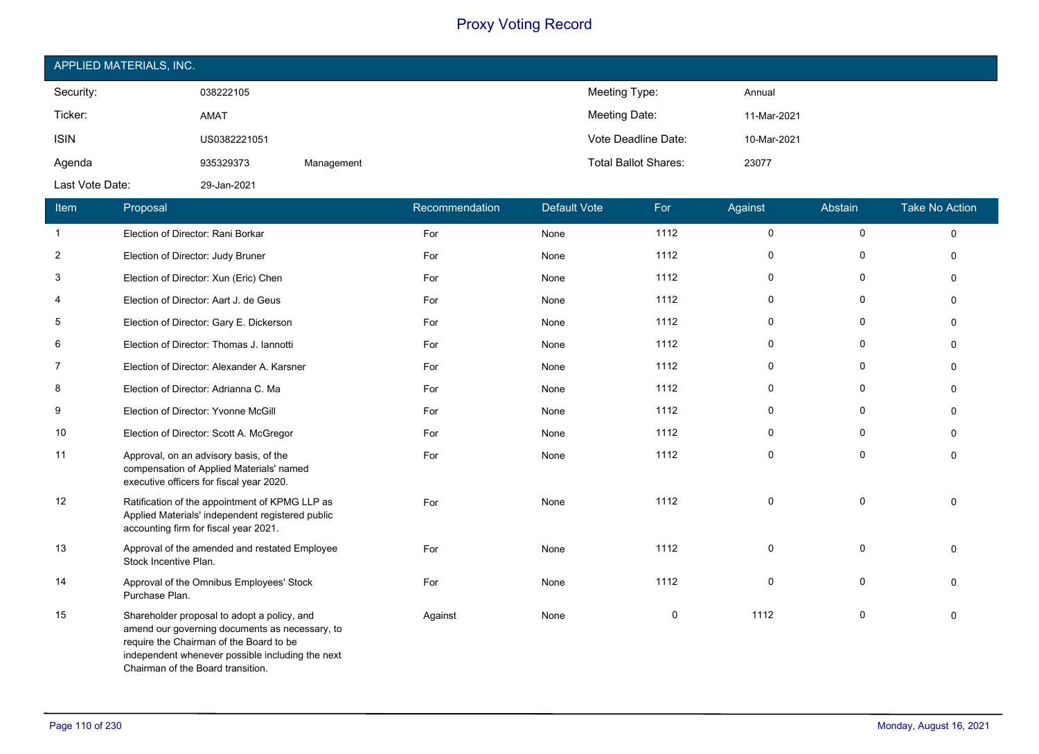| APPLIED MATERIALS, INC. |              |            |                             |             |  |  |  |  |
|-------------------------|--------------|------------|-----------------------------|-------------|--|--|--|--|
| Security:               | 038222105    |            | Meeting Type:               | Annual      |  |  |  |  |
| Ticker:                 | AMAT         |            | Meeting Date:               | 11-Mar-2021 |  |  |  |  |
| <b>ISIN</b>             | US0382221051 |            | Vote Deadline Date:         | 10-Mar-2021 |  |  |  |  |
| Agenda                  | 935329373    | Management | <b>Total Ballot Shares:</b> | 23077       |  |  |  |  |
| Last Vote Date:         | 29-Jan-2021  |            |                             |             |  |  |  |  |

| Item           | Proposal                                                                                                                                                                                                                          | Recommendation | <b>Default Vote</b> | For  | Against     | Abstain     | <b>Take No Action</b> |
|----------------|-----------------------------------------------------------------------------------------------------------------------------------------------------------------------------------------------------------------------------------|----------------|---------------------|------|-------------|-------------|-----------------------|
| $\mathbf{1}$   | Election of Director: Rani Borkar                                                                                                                                                                                                 | For            | None                | 1112 | $\mathbf 0$ | 0           | $\Omega$              |
| $\overline{2}$ | Election of Director: Judy Bruner                                                                                                                                                                                                 | For            | None                | 1112 | $\mathbf 0$ | $\mathbf 0$ | $\Omega$              |
| 3              | Election of Director: Xun (Eric) Chen                                                                                                                                                                                             | For            | None                | 1112 | 0           | 0           | $\Omega$              |
| 4              | Election of Director: Aart J. de Geus                                                                                                                                                                                             | For            | None                | 1112 | $\Omega$    | $\mathbf 0$ | $\Omega$              |
| 5              | Election of Director: Gary E. Dickerson                                                                                                                                                                                           | For            | None                | 1112 | $\Omega$    | 0           | $\Omega$              |
| 6              | Election of Director: Thomas J. Iannotti                                                                                                                                                                                          | For            | None                | 1112 | $\mathbf 0$ | 0           | $\Omega$              |
| 7              | Election of Director: Alexander A. Karsner                                                                                                                                                                                        | For            | None                | 1112 | 0           | 0           | ŋ                     |
| 8              | Election of Director: Adrianna C. Ma                                                                                                                                                                                              | For            | None                | 1112 | 0           | 0           |                       |
| 9              | Election of Director: Yvonne McGill                                                                                                                                                                                               | For            | None                | 1112 | $\Omega$    | 0           |                       |
| 10             | Election of Director: Scott A. McGregor                                                                                                                                                                                           | For            | None                | 1112 | 0           | 0           | $\Omega$              |
| 11             | Approval, on an advisory basis, of the<br>compensation of Applied Materials' named<br>executive officers for fiscal year 2020.                                                                                                    | For            | None                | 1112 | 0           | $\mathbf 0$ | $\Omega$              |
| 12             | Ratification of the appointment of KPMG LLP as<br>Applied Materials' independent registered public<br>accounting firm for fiscal year 2021.                                                                                       | For            | None                | 1112 | $\Omega$    | $\mathbf 0$ | $\Omega$              |
| 13             | Approval of the amended and restated Employee<br>Stock Incentive Plan.                                                                                                                                                            | For            | None                | 1112 | $\mathbf 0$ | $\mathbf 0$ | $\Omega$              |
| 14             | Approval of the Omnibus Employees' Stock<br>Purchase Plan.                                                                                                                                                                        | For            | None                | 1112 | $\Omega$    | $\mathbf 0$ |                       |
| 15             | Shareholder proposal to adopt a policy, and<br>amend our governing documents as necessary, to<br>require the Chairman of the Board to be<br>independent whenever possible including the next<br>Chairman of the Board transition. | Against        | None                | 0    | 1112        | $\mathbf 0$ | $\Omega$              |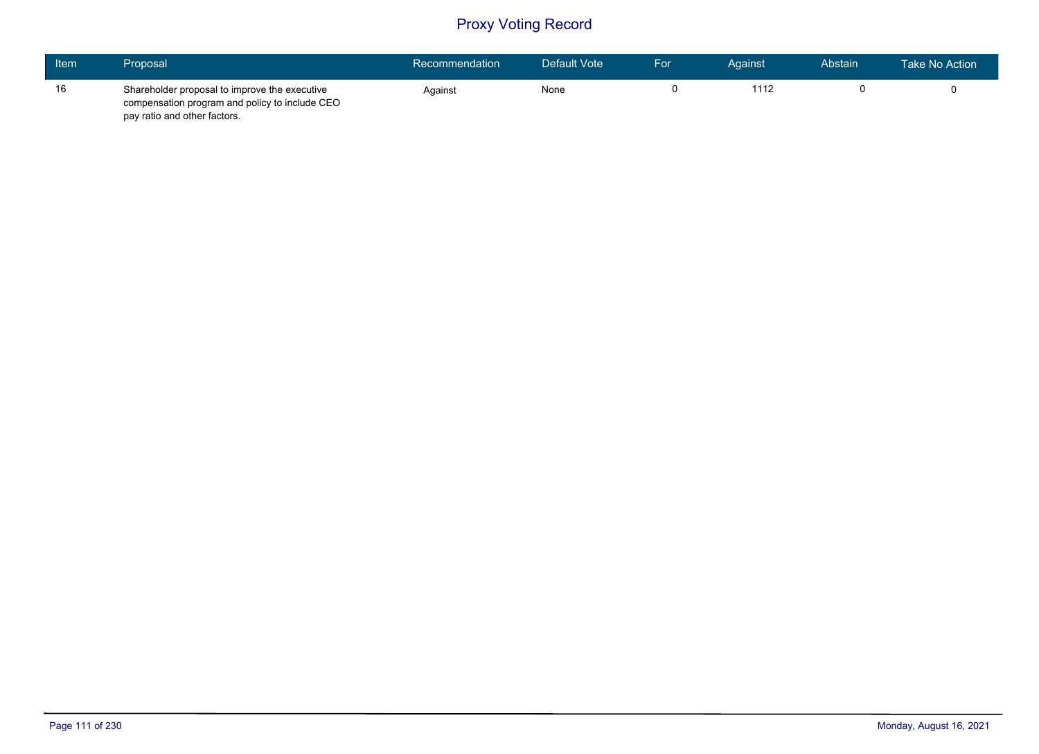| Item | Proposal                                                                                                                        | Recommendation | Default Vote | For | Against | Abstain | Take No Action |
|------|---------------------------------------------------------------------------------------------------------------------------------|----------------|--------------|-----|---------|---------|----------------|
| 16   | Shareholder proposal to improve the executive<br>compensation program and policy to include CEO<br>pay ratio and other factors. | Against        | None         |     | 1112    |         |                |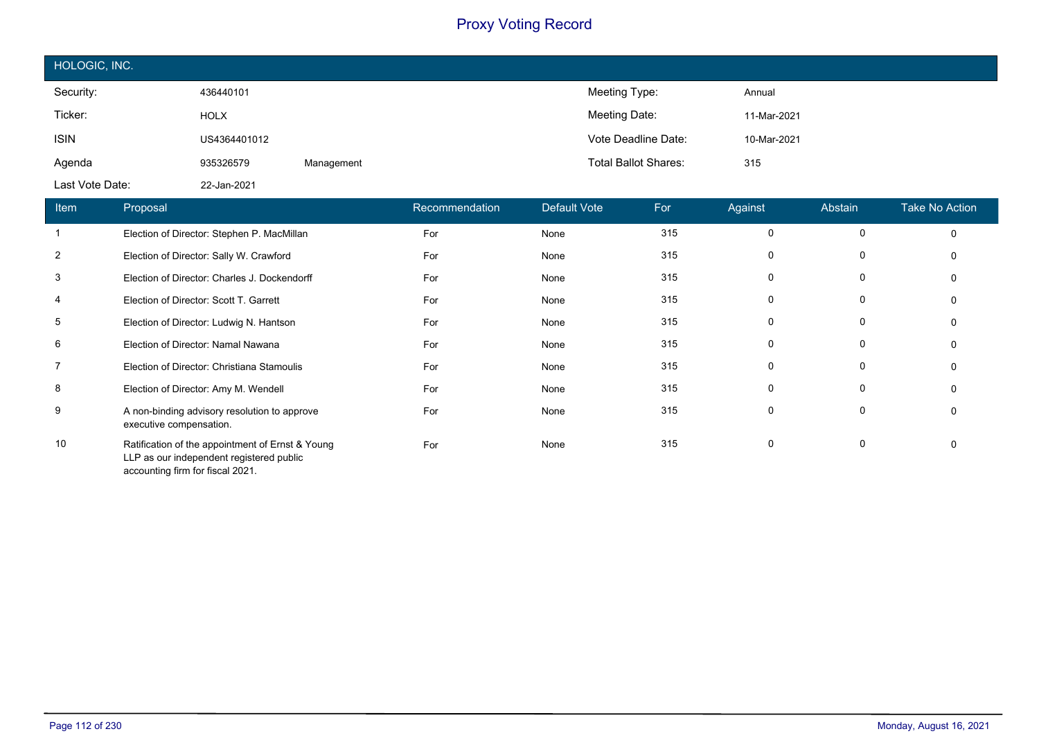| HOLOGIC, INC.   |              |            |                             |             |  |  |  |
|-----------------|--------------|------------|-----------------------------|-------------|--|--|--|
| Security:       | 436440101    |            | Meeting Type:               | Annual      |  |  |  |
| Ticker:         | <b>HOLX</b>  |            | Meeting Date:               | 11-Mar-2021 |  |  |  |
| <b>ISIN</b>     | US4364401012 |            | Vote Deadline Date:         | 10-Mar-2021 |  |  |  |
| Agenda          | 935326579    | Management | <b>Total Ballot Shares:</b> | 315         |  |  |  |
| Last Vote Date: | 22-Jan-2021  |            |                             |             |  |  |  |

| Item           | Proposal                                                                                                                         | Recommendation | Default Vote | For | Against  | Abstain | <b>Take No Action</b> |
|----------------|----------------------------------------------------------------------------------------------------------------------------------|----------------|--------------|-----|----------|---------|-----------------------|
|                | Election of Director: Stephen P. MacMillan                                                                                       | For            | None         | 315 | 0        | 0       | 0                     |
| $\overline{2}$ | Election of Director: Sally W. Crawford                                                                                          | For            | None         | 315 | 0        | 0       | 0                     |
| 3              | Election of Director: Charles J. Dockendorff                                                                                     | For            | None         | 315 | 0        | 0       | 0                     |
| 4              | Election of Director: Scott T. Garrett                                                                                           | For            | None         | 315 | 0        | 0       | 0                     |
| 5              | Election of Director: Ludwig N. Hantson                                                                                          | For            | None         | 315 | 0        | 0       | 0                     |
| 6              | Election of Director: Namal Nawana                                                                                               | For            | None         | 315 | 0        | 0       | 0                     |
| $\overline{7}$ | Election of Director: Christiana Stamoulis                                                                                       | For            | None         | 315 | 0        | 0       | 0                     |
| 8              | Election of Director: Amy M. Wendell                                                                                             | For            | None         | 315 | 0        | 0       | 0                     |
| 9              | A non-binding advisory resolution to approve<br>executive compensation.                                                          | For            | None         | 315 | $\Omega$ | 0       | 0                     |
| 10             | Ratification of the appointment of Ernst & Young<br>LLP as our independent registered public<br>accounting firm for fiscal 2021. | For            | None         | 315 | 0        | 0       | 0                     |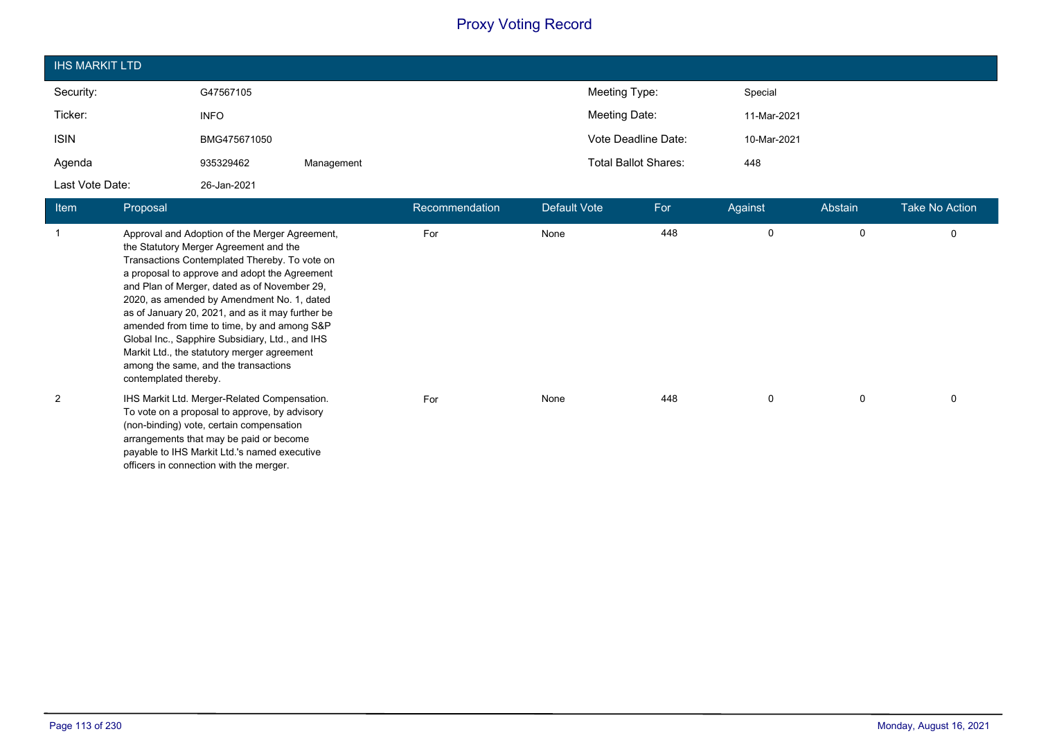| <b>IHS MARKIT LTD</b> |              |            |                                    |  |
|-----------------------|--------------|------------|------------------------------------|--|
| Security:             | G47567105    |            | Meeting Type:<br>Special           |  |
| Ticker:               | <b>INFO</b>  |            | Meeting Date:<br>11-Mar-2021       |  |
| <b>ISIN</b>           | BMG475671050 |            | Vote Deadline Date:<br>10-Mar-2021 |  |
| Agenda                | 935329462    | Management | <b>Total Ballot Shares:</b><br>448 |  |
| Last Vote Date:       | 26-Jan-2021  |            |                                    |  |

| Item | Proposal                                                                                                                                                                                                                                                                                                                                                                                                                                                                                                                                                       | Recommendation | Default Vote | For | Against  | Abstain     | <b>Take No Action</b> |
|------|----------------------------------------------------------------------------------------------------------------------------------------------------------------------------------------------------------------------------------------------------------------------------------------------------------------------------------------------------------------------------------------------------------------------------------------------------------------------------------------------------------------------------------------------------------------|----------------|--------------|-----|----------|-------------|-----------------------|
|      | Approval and Adoption of the Merger Agreement,<br>the Statutory Merger Agreement and the<br>Transactions Contemplated Thereby. To vote on<br>a proposal to approve and adopt the Agreement<br>and Plan of Merger, dated as of November 29,<br>2020, as amended by Amendment No. 1, dated<br>as of January 20, 2021, and as it may further be<br>amended from time to time, by and among S&P<br>Global Inc., Sapphire Subsidiary, Ltd., and IHS<br>Markit Ltd., the statutory merger agreement<br>among the same, and the transactions<br>contemplated thereby. | For            | None         | 448 | $\Omega$ | $\mathbf 0$ | $\Omega$              |
| 2    | IHS Markit Ltd. Merger-Related Compensation.<br>To vote on a proposal to approve, by advisory<br>(non-binding) vote, certain compensation<br>arrangements that may be paid or become<br>payable to IHS Markit Ltd.'s named executive<br>officers in connection with the merger.                                                                                                                                                                                                                                                                                | For            | None         | 448 | $\Omega$ | 0           | $\Omega$              |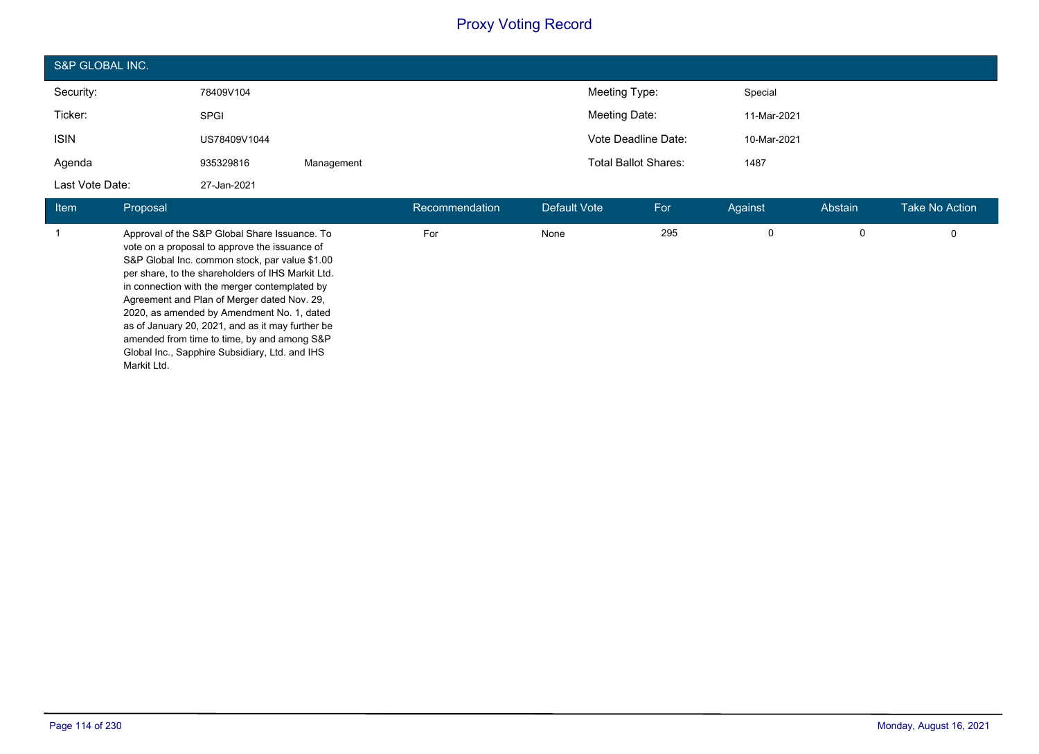| S&P GLOBAL INC. |              |            |                             |             |  |  |  |
|-----------------|--------------|------------|-----------------------------|-------------|--|--|--|
| Security:       | 78409V104    |            | Meeting Type:               | Special     |  |  |  |
| Ticker:         | <b>SPGI</b>  |            | Meeting Date:               | 11-Mar-2021 |  |  |  |
| <b>ISIN</b>     | US78409V1044 |            | Vote Deadline Date:         | 10-Mar-2021 |  |  |  |
| Agenda          | 935329816    | Management | <b>Total Ballot Shares:</b> | 1487        |  |  |  |
| Last Vote Date: | 27-Jan-2021  |            |                             |             |  |  |  |

| <b>Item</b> | Proposal                                                                                                                                                                                                                                                                                                                                                                                                                                                                                                                | Recommendation | Default Vote | For | Against | Abstain | <b>Take No Action</b> |
|-------------|-------------------------------------------------------------------------------------------------------------------------------------------------------------------------------------------------------------------------------------------------------------------------------------------------------------------------------------------------------------------------------------------------------------------------------------------------------------------------------------------------------------------------|----------------|--------------|-----|---------|---------|-----------------------|
|             | Approval of the S&P Global Share Issuance. To<br>vote on a proposal to approve the issuance of<br>S&P Global Inc. common stock, par value \$1.00<br>per share, to the shareholders of IHS Markit Ltd.<br>in connection with the merger contemplated by<br>Agreement and Plan of Merger dated Nov. 29.<br>2020, as amended by Amendment No. 1, dated<br>as of January 20, 2021, and as it may further be<br>amended from time to time, by and among S&P<br>Global Inc., Sapphire Subsidiary, Ltd. and IHS<br>Markit Ltd. | For            | None         | 295 | 0       | 0       |                       |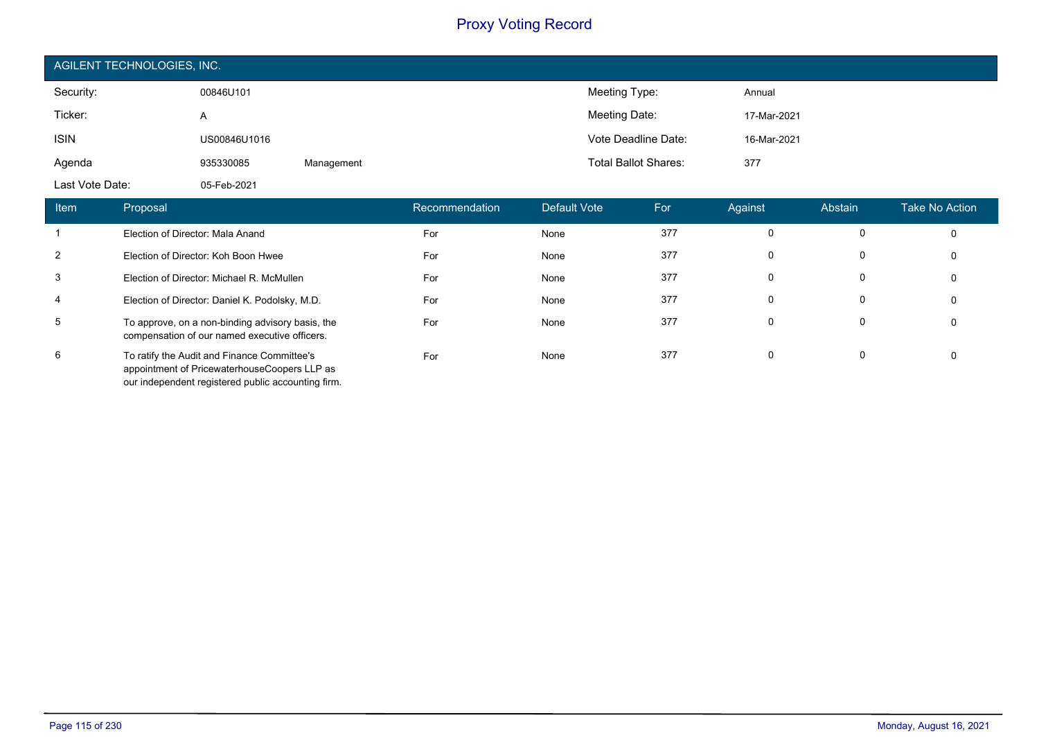| AGILENT TECHNOLOGIES, INC. |              |            |                             |             |  |  |  |  |
|----------------------------|--------------|------------|-----------------------------|-------------|--|--|--|--|
| Security:                  | 00846U101    |            | Meeting Type:               | Annual      |  |  |  |  |
| Ticker:                    | A            |            | Meeting Date:               | 17-Mar-2021 |  |  |  |  |
| <b>ISIN</b>                | US00846U1016 |            | Vote Deadline Date:         | 16-Mar-2021 |  |  |  |  |
| Agenda                     | 935330085    | Management | <b>Total Ballot Shares:</b> | 377         |  |  |  |  |
| Last Vote Date:            | 05-Feb-2021  |            |                             |             |  |  |  |  |

| <b>Item</b>    | Proposal                                                                                                                                          |     | Default Vote | For | Against  | Abstain | Take No Action |
|----------------|---------------------------------------------------------------------------------------------------------------------------------------------------|-----|--------------|-----|----------|---------|----------------|
|                | Election of Director: Mala Anand                                                                                                                  | For | None         | 377 | $\Omega$ | 0       | 0              |
| 2              | Election of Director: Koh Boon Hwee                                                                                                               | For | None         | 377 | 0        | 0       | 0              |
| 3              | Election of Director: Michael R. McMullen                                                                                                         | For | None         | 377 | $\Omega$ | 0       | 0              |
| $\overline{4}$ | Election of Director: Daniel K. Podolsky, M.D.                                                                                                    | For | None         | 377 | 0        | 0       | 0              |
| 5              | To approve, on a non-binding advisory basis, the<br>compensation of our named executive officers.                                                 | For | None         | 377 | $\Omega$ | 0       | 0              |
| 6              | To ratify the Audit and Finance Committee's<br>appointment of PricewaterhouseCoopers LLP as<br>our independent registered public accounting firm. | For | None         | 377 | $\Omega$ | 0       | 0              |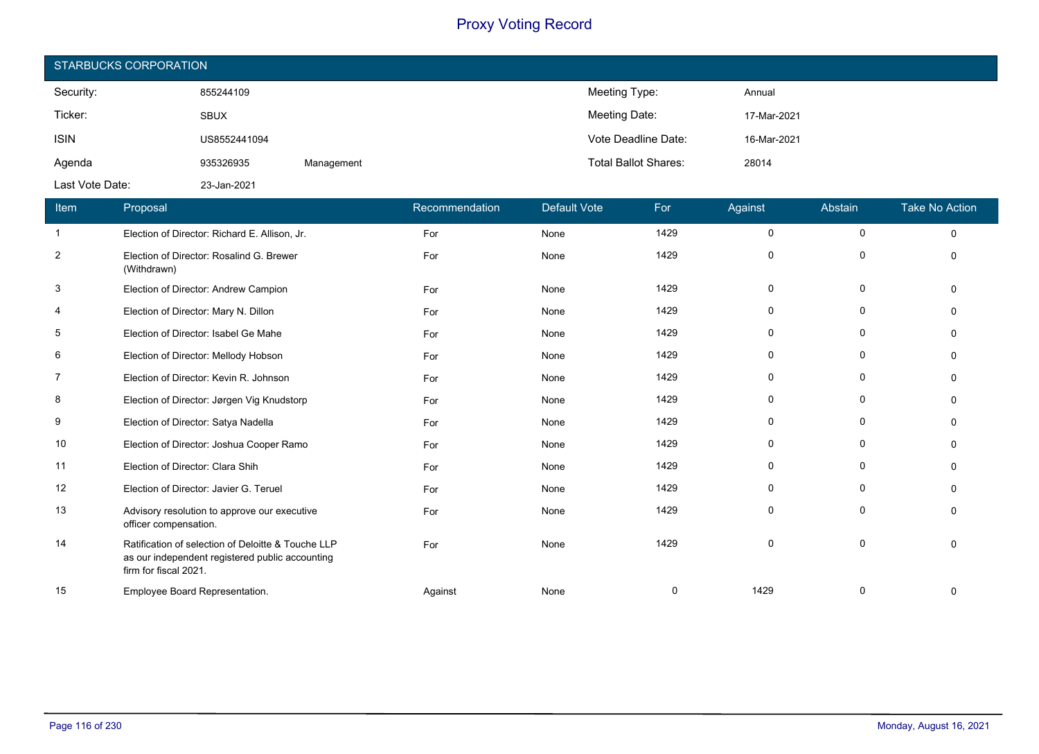| STARBUCKS CORPORATION |              |            |                             |             |  |  |  |
|-----------------------|--------------|------------|-----------------------------|-------------|--|--|--|
| Security:             | 855244109    |            | Meeting Type:               | Annual      |  |  |  |
| Ticker:               | <b>SBUX</b>  |            | Meeting Date:               | 17-Mar-2021 |  |  |  |
| <b>ISIN</b>           | US8552441094 |            | Vote Deadline Date:         | 16-Mar-2021 |  |  |  |
| Agenda                | 935326935    | Management | <b>Total Ballot Shares:</b> | 28014       |  |  |  |
| Last Vote Date:       | 23-Jan-2021  |            |                             |             |  |  |  |

| Item           | Proposal                                                                                                                       | Recommendation | <b>Default Vote</b> | For  | Against  | Abstain     | <b>Take No Action</b> |
|----------------|--------------------------------------------------------------------------------------------------------------------------------|----------------|---------------------|------|----------|-------------|-----------------------|
| -1             | Election of Director: Richard E. Allison, Jr.                                                                                  | For            | None                | 1429 | 0        | 0           | $\mathbf 0$           |
| $\overline{2}$ | Election of Director: Rosalind G. Brewer<br>(Withdrawn)                                                                        | For            | None                | 1429 | $\Omega$ | $\Omega$    | $\Omega$              |
| 3              | Election of Director: Andrew Campion                                                                                           | For            | None                | 1429 | 0        | 0           |                       |
| 4              | Election of Director: Mary N. Dillon                                                                                           | For            | None                | 1429 | $\Omega$ | 0           |                       |
| 5              | Election of Director: Isabel Ge Mahe                                                                                           | For            | None                | 1429 | $\Omega$ | 0           |                       |
| 6              | Election of Director: Mellody Hobson                                                                                           | For            | None                | 1429 | $\Omega$ | 0           |                       |
| 7              | Election of Director: Kevin R. Johnson                                                                                         | For            | None                | 1429 | $\Omega$ | $\mathbf 0$ |                       |
| 8              | Election of Director: Jørgen Vig Knudstorp                                                                                     | For            | None                | 1429 | 0        | 0           |                       |
| 9              | Election of Director: Satya Nadella                                                                                            | For            | None                | 1429 | 0        | 0           |                       |
| 10             | Election of Director: Joshua Cooper Ramo                                                                                       | For            | None                | 1429 | 0        | 0           |                       |
| 11             | Election of Director: Clara Shih                                                                                               | For            | None                | 1429 | $\Omega$ | 0           |                       |
| 12             | Election of Director: Javier G. Teruel                                                                                         | For            | None                | 1429 | $\Omega$ | $\mathbf 0$ |                       |
| 13             | Advisory resolution to approve our executive<br>officer compensation.                                                          | For            | None                | 1429 | $\Omega$ | $\Omega$    |                       |
| 14             | Ratification of selection of Deloitte & Touche LLP<br>as our independent registered public accounting<br>firm for fiscal 2021. | For            | None                | 1429 | $\Omega$ | 0           |                       |
| 15             | Employee Board Representation.                                                                                                 | Against        | None                | 0    | 1429     | 0           |                       |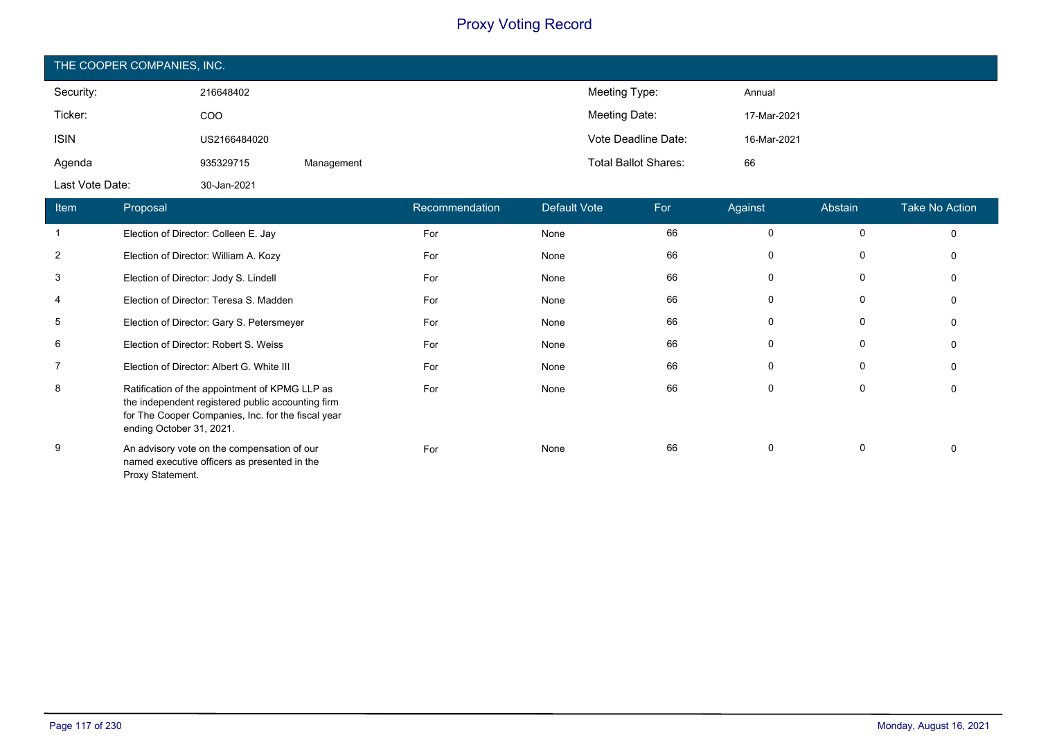| THE COOPER COMPANIES, INC.             |              |            |                              |                             |                     |    |                            |                 |                                                    |
|----------------------------------------|--------------|------------|------------------------------|-----------------------------|---------------------|----|----------------------------|-----------------|----------------------------------------------------|
| Security:                              | 216648402    |            |                              |                             | Meeting Type:       |    | Annual                     |                 |                                                    |
| Ticker:                                | COO          |            |                              |                             | Meeting Date:       |    | 17-Mar-2021                |                 |                                                    |
| <b>ISIN</b>                            | US2166484020 |            |                              |                             | Vote Deadline Date: |    | 16-Mar-2021                |                 |                                                    |
| Agenda                                 | 935329715    | Management |                              | <b>Total Ballot Shares:</b> |                     | 66 |                            |                 |                                                    |
| Last Vote Date:                        | 30-Jan-2021  |            |                              |                             |                     |    |                            |                 |                                                    |
| the company's company's company's com- |              |            | <b>CONTRACTOR</b> CONTRACTOR |                             |                     |    | <b>A Contract Contract</b> | <b>ALCOHOL:</b> | <b>The Committee Committee Committee Committee</b> |

| <b>Item</b>    | Proposal                                                                                                                                                                              | Recommendation | Default Vote | For | Against      | Abstain | <b>Take No Action</b> |
|----------------|---------------------------------------------------------------------------------------------------------------------------------------------------------------------------------------|----------------|--------------|-----|--------------|---------|-----------------------|
| 1              | Election of Director: Colleen E. Jay                                                                                                                                                  | For            | None         | 66  | 0            | 0       | 0                     |
| $\overline{2}$ | Election of Director: William A. Kozy                                                                                                                                                 | For            | None         | 66  | 0            | 0       | 0                     |
| 3              | Election of Director: Jody S. Lindell                                                                                                                                                 | For            | None         | 66  | 0            | 0       | 0                     |
| 4              | Election of Director: Teresa S. Madden                                                                                                                                                | For            | None         | 66  | 0            | 0       | 0                     |
| 5              | Election of Director: Gary S. Petersmeyer                                                                                                                                             | For            | None         | 66  | 0            | 0       | 0                     |
| 6              | Election of Director: Robert S. Weiss                                                                                                                                                 | For            | None         | 66  | $\mathbf{0}$ | 0       | 0                     |
| $\overline{7}$ | Election of Director: Albert G. White III                                                                                                                                             | For            | None         | 66  | 0            | 0       | 0                     |
| 8              | Ratification of the appointment of KPMG LLP as<br>the independent registered public accounting firm<br>for The Cooper Companies, Inc. for the fiscal year<br>ending October 31, 2021. | For            | None         | 66  | 0            | 0       | 0                     |
| 9              | An advisory vote on the compensation of our<br>named executive officers as presented in the<br>Proxy Statement.                                                                       | For            | None         | 66  | 0            | 0       | 0                     |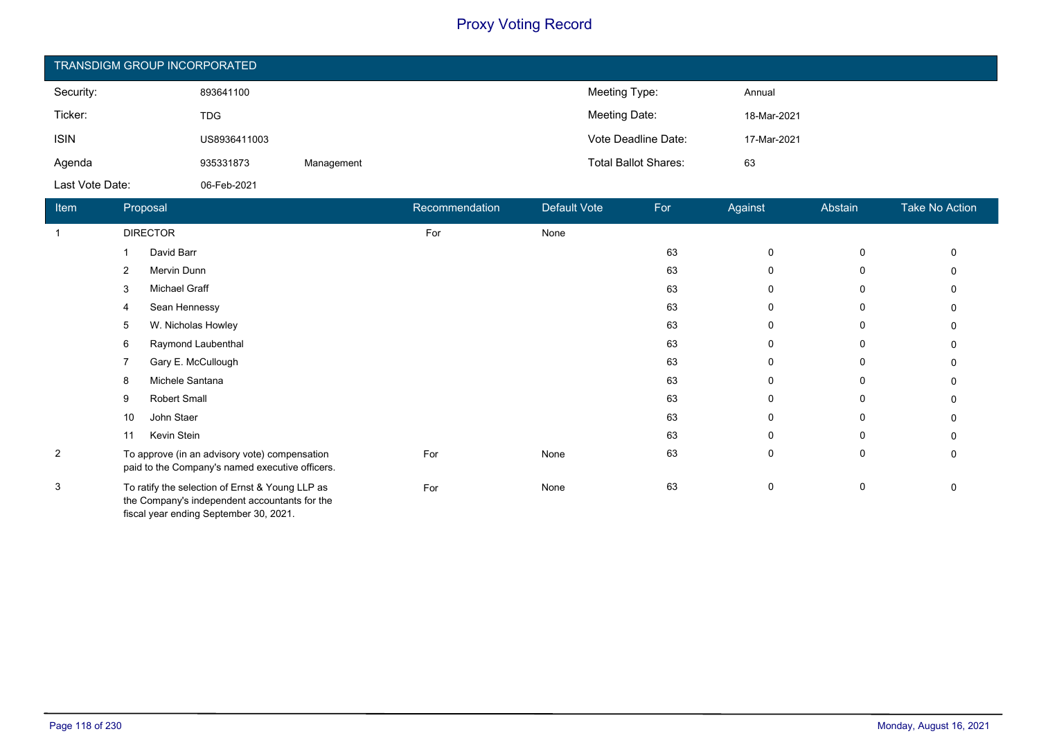| <b>TRANSDIGM GROUP INCORPORATED</b> |              |            |                             |             |  |  |  |
|-------------------------------------|--------------|------------|-----------------------------|-------------|--|--|--|
| Security:                           | 893641100    |            | Meeting Type:               | Annual      |  |  |  |
| Ticker:                             | <b>TDG</b>   |            | Meeting Date:               | 18-Mar-2021 |  |  |  |
| <b>ISIN</b>                         | US8936411003 |            | Vote Deadline Date:         | 17-Mar-2021 |  |  |  |
| Agenda                              | 935331873    | Management | <b>Total Ballot Shares:</b> | 63          |  |  |  |
| Last Vote Date:                     | 06-Feb-2021  |            |                             |             |  |  |  |

| Item           | Proposal                                                                                                                                   | Recommendation | Default Vote | For | Against      | Abstain | <b>Take No Action</b> |
|----------------|--------------------------------------------------------------------------------------------------------------------------------------------|----------------|--------------|-----|--------------|---------|-----------------------|
|                | <b>DIRECTOR</b>                                                                                                                            | For            | None         |     |              |         |                       |
|                | David Barr                                                                                                                                 |                |              | 63  | $\mathbf 0$  | 0       |                       |
|                | Mervin Dunn<br>2                                                                                                                           |                |              | 63  | $\mathbf{0}$ | 0       |                       |
|                | Michael Graff<br>3                                                                                                                         |                |              | 63  | 0            | 0       |                       |
|                | Sean Hennessy<br>4                                                                                                                         |                |              | 63  | 0            | 0       |                       |
|                | W. Nicholas Howley<br>5                                                                                                                    |                |              | 63  | 0            | 0       |                       |
|                | Raymond Laubenthal<br>6                                                                                                                    |                |              | 63  | 0            | 0       |                       |
|                | Gary E. McCullough<br>7                                                                                                                    |                |              | 63  | 0            | 0       |                       |
|                | Michele Santana<br>8                                                                                                                       |                |              | 63  | 0            | 0       |                       |
|                | Robert Small<br>9                                                                                                                          |                |              | 63  | 0            | 0       |                       |
|                | John Staer<br>10                                                                                                                           |                |              | 63  | 0            | 0       |                       |
|                | Kevin Stein<br>11                                                                                                                          |                |              | 63  | 0            | 0       |                       |
| $\overline{2}$ | To approve (in an advisory vote) compensation<br>paid to the Company's named executive officers.                                           | For            | None         | 63  | 0            | 0       | 0                     |
| 3              | To ratify the selection of Ernst & Young LLP as<br>the Company's independent accountants for the<br>fiscal year ending September 30, 2021. | For            | None         | 63  | 0            | 0       | 0                     |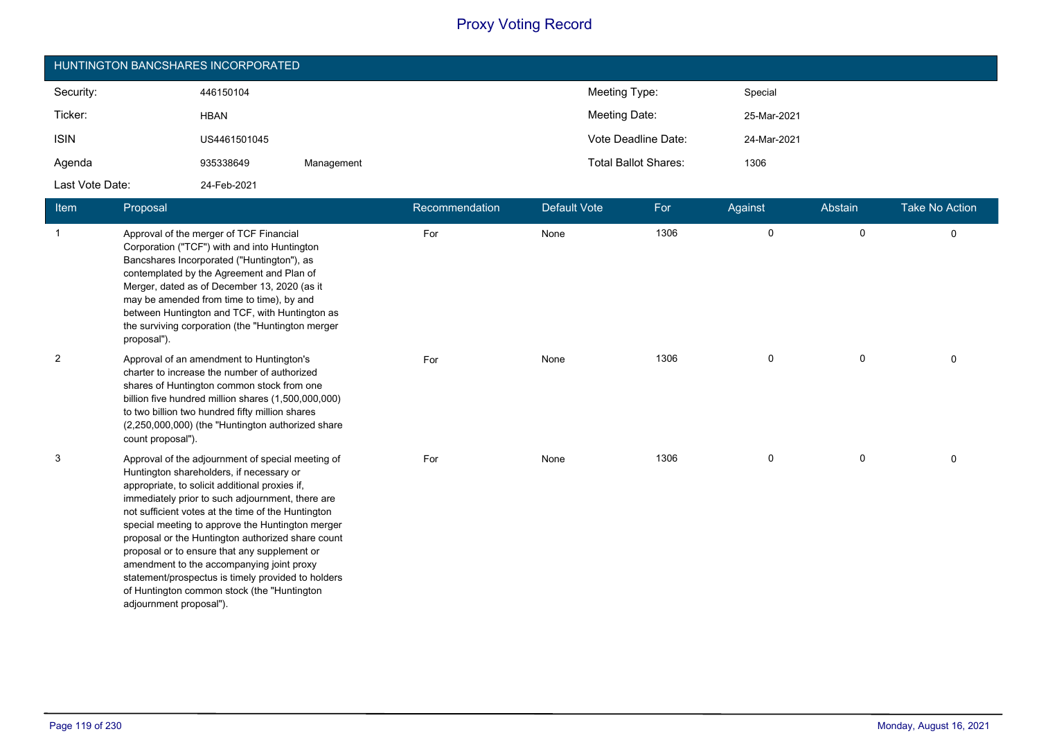| HUNTINGTON BANCSHARES INCORPORATED |              |            |                                     |  |  |  |  |
|------------------------------------|--------------|------------|-------------------------------------|--|--|--|--|
| Security:                          | 446150104    |            | Meeting Type:<br>Special            |  |  |  |  |
| Ticker:                            | <b>HBAN</b>  |            | Meeting Date:<br>25-Mar-2021        |  |  |  |  |
| <b>ISIN</b>                        | US4461501045 |            | Vote Deadline Date:<br>24-Mar-2021  |  |  |  |  |
| Agenda                             | 935338649    | Management | <b>Total Ballot Shares:</b><br>1306 |  |  |  |  |
| Last Vote Date:                    | 24-Feb-2021  |            |                                     |  |  |  |  |

| Item           | Proposal                                                                                                                                                                                                                                                                                                                                                                                                                                                                                                                                                                                         | Recommendation | Default Vote | For  | Against | Abstain     | <b>Take No Action</b> |
|----------------|--------------------------------------------------------------------------------------------------------------------------------------------------------------------------------------------------------------------------------------------------------------------------------------------------------------------------------------------------------------------------------------------------------------------------------------------------------------------------------------------------------------------------------------------------------------------------------------------------|----------------|--------------|------|---------|-------------|-----------------------|
| $\overline{1}$ | Approval of the merger of TCF Financial<br>Corporation ("TCF") with and into Huntington<br>Bancshares Incorporated ("Huntington"), as<br>contemplated by the Agreement and Plan of<br>Merger, dated as of December 13, 2020 (as it<br>may be amended from time to time), by and<br>between Huntington and TCF, with Huntington as<br>the surviving corporation (the "Huntington merger<br>proposal").                                                                                                                                                                                            | For            | None         | 1306 | 0       | $\mathbf 0$ | 0                     |
| $\overline{c}$ | Approval of an amendment to Huntington's<br>charter to increase the number of authorized<br>shares of Huntington common stock from one<br>billion five hundred million shares (1,500,000,000)<br>to two billion two hundred fifty million shares<br>(2,250,000,000) (the "Huntington authorized share<br>count proposal").                                                                                                                                                                                                                                                                       | For            | None         | 1306 | 0       | 0           | $\mathbf 0$           |
| 3              | Approval of the adjournment of special meeting of<br>Huntington shareholders, if necessary or<br>appropriate, to solicit additional proxies if,<br>immediately prior to such adjournment, there are<br>not sufficient votes at the time of the Huntington<br>special meeting to approve the Huntington merger<br>proposal or the Huntington authorized share count<br>proposal or to ensure that any supplement or<br>amendment to the accompanying joint proxy<br>statement/prospectus is timely provided to holders<br>of Huntington common stock (the "Huntington"<br>adjournment proposal"). | For            | None         | 1306 | 0       | 0           | $\mathbf 0$           |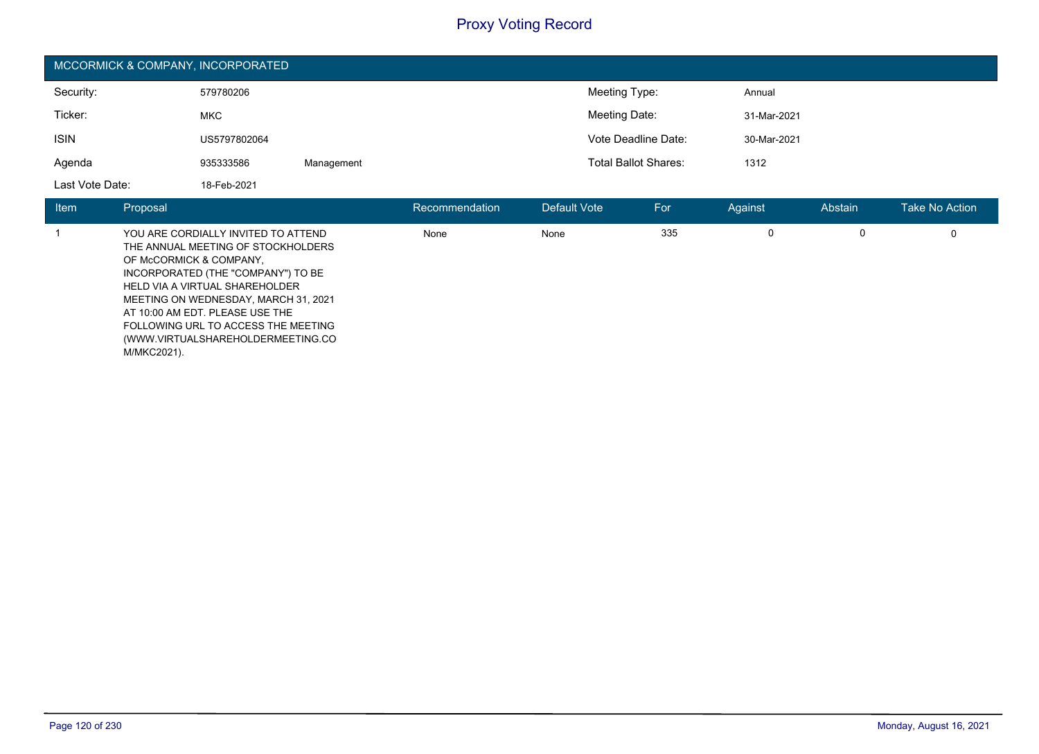| MCCORMICK & COMPANY, INCORPORATED |              |            |                             |             |  |  |
|-----------------------------------|--------------|------------|-----------------------------|-------------|--|--|
| Security:                         | 579780206    |            | Meeting Type:               | Annual      |  |  |
| Ticker:                           | <b>MKC</b>   |            | Meeting Date:               | 31-Mar-2021 |  |  |
| <b>ISIN</b>                       | US5797802064 |            | Vote Deadline Date:         | 30-Mar-2021 |  |  |
| Agenda                            | 935333586    | Management | <b>Total Ballot Shares:</b> | 1312        |  |  |
| Last Vote Date:                   | 18-Feb-2021  |            |                             |             |  |  |

| <b>Item</b> | Proposal                                                                                                                                                                                                                                                                                                                                           | Recommendation | Default Vote | For | Against | Abstain | Take No Action |
|-------------|----------------------------------------------------------------------------------------------------------------------------------------------------------------------------------------------------------------------------------------------------------------------------------------------------------------------------------------------------|----------------|--------------|-----|---------|---------|----------------|
|             | YOU ARE CORDIALLY INVITED TO ATTEND<br>THE ANNUAL MEETING OF STOCKHOLDERS<br>OF McCORMICK & COMPANY,<br>INCORPORATED (THE "COMPANY") TO BE<br>HELD VIA A VIRTUAL SHAREHOLDER<br>MEETING ON WEDNESDAY, MARCH 31, 2021<br>AT 10:00 AM EDT. PLEASE USE THE<br>FOLLOWING URL TO ACCESS THE MEETING<br>(WWW.VIRTUALSHAREHOLDERMEETING.CO<br>M/MKC2021). | None           | None         | 335 | 0       | 0       | 0              |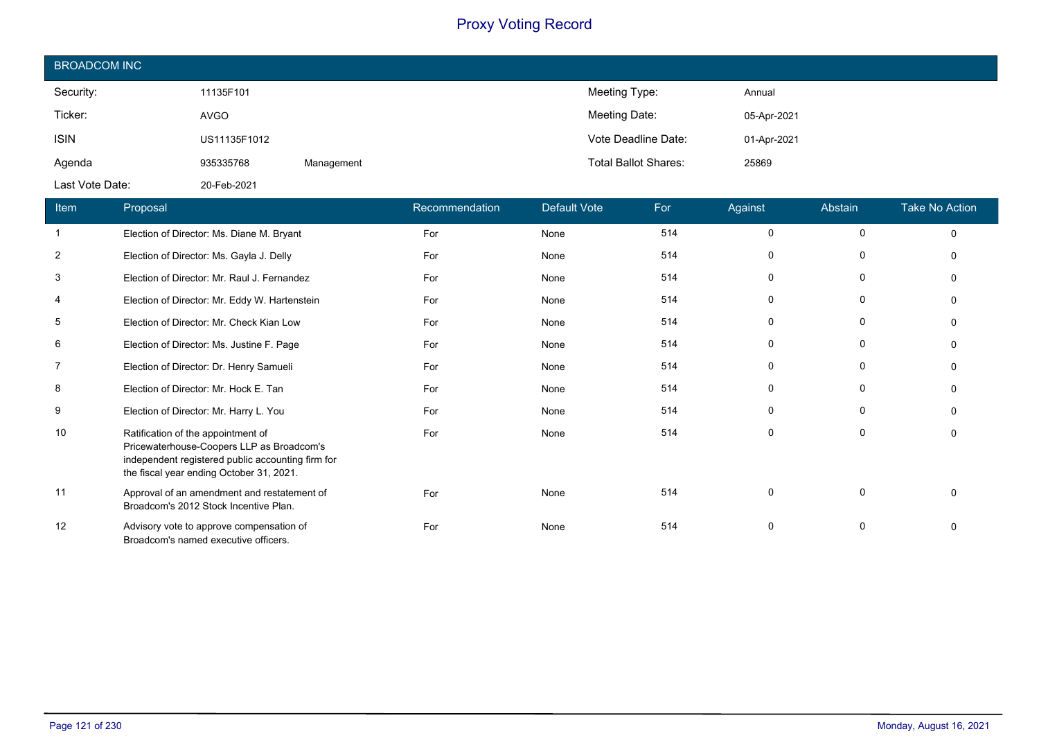| <b>BROADCOM INC</b> |              |            |                             |             |
|---------------------|--------------|------------|-----------------------------|-------------|
| Security:           | 11135F101    |            | Meeting Type:               | Annual      |
| Ticker:             | AVGO         |            | Meeting Date:               | 05-Apr-2021 |
| <b>ISIN</b>         | US11135F1012 |            | Vote Deadline Date:         | 01-Apr-2021 |
| Agenda              | 935335768    | Management | <b>Total Ballot Shares:</b> | 25869       |
| Last Vote Date:     | 20-Feb-2021  |            |                             |             |

| Item           | <b>Proposal</b>                                                                                                                                                                  | Recommendation | <b>Default Vote</b> | For | Against     | Abstain      | <b>Take No Action</b> |
|----------------|----------------------------------------------------------------------------------------------------------------------------------------------------------------------------------|----------------|---------------------|-----|-------------|--------------|-----------------------|
| $\mathbf{1}$   | Election of Director: Ms. Diane M. Bryant                                                                                                                                        | For            | None                | 514 | 0           | $\Omega$     | $\Omega$              |
| 2              | Election of Director: Ms. Gayla J. Delly                                                                                                                                         | For            | None                | 514 | 0           | $\mathbf{0}$ |                       |
| 3              | Election of Director: Mr. Raul J. Fernandez                                                                                                                                      | For            | None                | 514 | 0           | $\mathbf{0}$ |                       |
| 4              | Election of Director: Mr. Eddy W. Hartenstein                                                                                                                                    | For            | None                | 514 | 0           | 0            |                       |
| 5              | Election of Director: Mr. Check Kian Low                                                                                                                                         | For            | None                | 514 | 0           | $\Omega$     |                       |
| 6              | Election of Director: Ms. Justine F. Page                                                                                                                                        | For            | None                | 514 | 0           | $\Omega$     |                       |
| $\overline{7}$ | Election of Director: Dr. Henry Samueli                                                                                                                                          | For            | None                | 514 | 0           | $\mathbf{0}$ |                       |
| 8              | Election of Director: Mr. Hock E. Tan                                                                                                                                            | For            | None                | 514 | 0           | $\Omega$     |                       |
| 9              | Election of Director: Mr. Harry L. You                                                                                                                                           | For            | None                | 514 | $\mathbf 0$ | 0            |                       |
| 10             | Ratification of the appointment of<br>Pricewaterhouse-Coopers LLP as Broadcom's<br>independent registered public accounting firm for<br>the fiscal year ending October 31, 2021. | For            | None                | 514 | $\mathbf 0$ | 0            |                       |
| 11             | Approval of an amendment and restatement of<br>Broadcom's 2012 Stock Incentive Plan.                                                                                             | For            | None                | 514 | 0           | $\Omega$     | n                     |
| 12             | Advisory vote to approve compensation of<br>Broadcom's named executive officers.                                                                                                 | For            | None                | 514 | 0           | $\Omega$     |                       |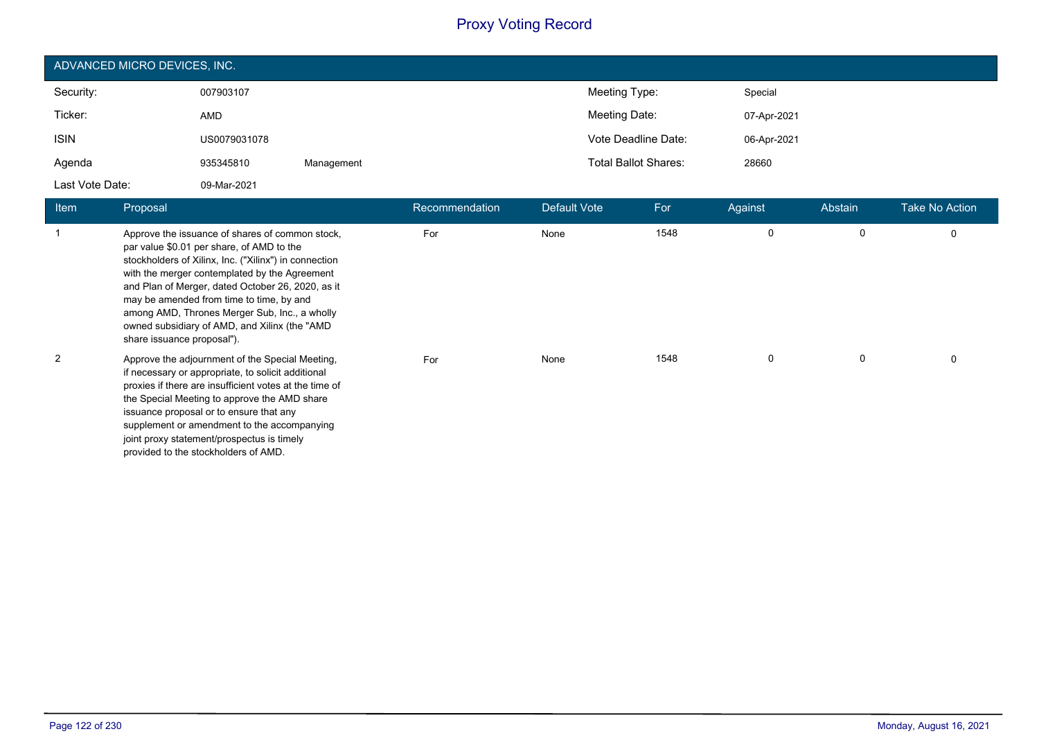| ADVANCED MICRO DEVICES, INC. |              |            |                             |             |  |  |  |
|------------------------------|--------------|------------|-----------------------------|-------------|--|--|--|
| Security:                    | 007903107    |            | Meeting Type:               | Special     |  |  |  |
| Ticker:                      | AMD          |            | Meeting Date:               | 07-Apr-2021 |  |  |  |
| <b>ISIN</b>                  | US0079031078 |            | Vote Deadline Date:         | 06-Apr-2021 |  |  |  |
| Agenda                       | 935345810    | Management | <b>Total Ballot Shares:</b> | 28660       |  |  |  |
| Last Vote Date:              | 09-Mar-2021  |            |                             |             |  |  |  |

| <b>Item</b> | Proposal                                                                                                                                                                                                                                                                                                                                                                                                                                | Recommendation | Default Vote | For  | Against  | Abstain | <b>Take No Action</b> |
|-------------|-----------------------------------------------------------------------------------------------------------------------------------------------------------------------------------------------------------------------------------------------------------------------------------------------------------------------------------------------------------------------------------------------------------------------------------------|----------------|--------------|------|----------|---------|-----------------------|
| 1           | Approve the issuance of shares of common stock,<br>par value \$0.01 per share, of AMD to the<br>stockholders of Xilinx, Inc. ("Xilinx") in connection<br>with the merger contemplated by the Agreement<br>and Plan of Merger, dated October 26, 2020, as it<br>may be amended from time to time, by and<br>among AMD, Thrones Merger Sub, Inc., a wholly<br>owned subsidiary of AMD, and Xilinx (the "AMD<br>share issuance proposal"). | For            | None         | 1548 | 0        | 0       | 0                     |
| 2           | Approve the adjournment of the Special Meeting,<br>if necessary or appropriate, to solicit additional<br>proxies if there are insufficient votes at the time of<br>the Special Meeting to approve the AMD share<br>issuance proposal or to ensure that any<br>supplement or amendment to the accompanying<br>joint proxy statement/prospectus is timely<br>provided to the stockholders of AMD.                                         | For            | None         | 1548 | $\Omega$ | 0       | 0                     |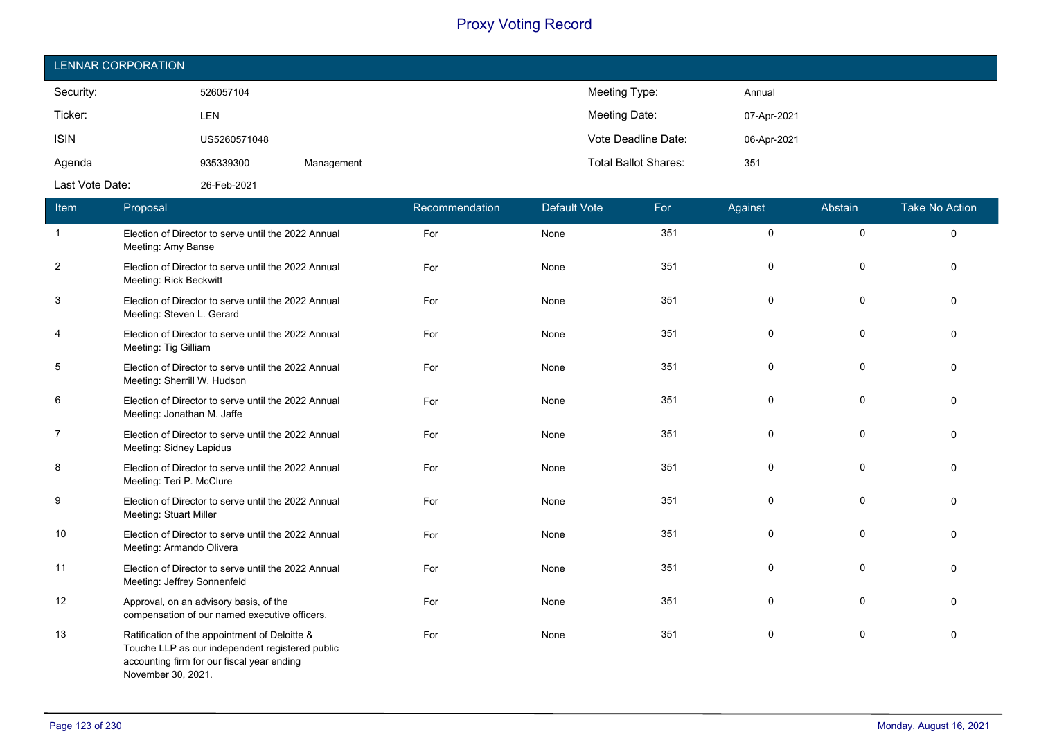| LENNAR CORPORATION |              |            |                             |             |
|--------------------|--------------|------------|-----------------------------|-------------|
| Security:          | 526057104    |            | Meeting Type:               | Annual      |
| Ticker:            | LEN          |            | Meeting Date:               | 07-Apr-2021 |
| <b>ISIN</b>        | US5260571048 |            | Vote Deadline Date:         | 06-Apr-2021 |
| Agenda             | 935339300    | Management | <b>Total Ballot Shares:</b> | 351         |
| Last Vote Date:    | 26-Feb-2021  |            |                             |             |

| Item           | Proposal                                                                                                                                                             | Recommendation | <b>Default Vote</b> | For | Against | Abstain     | <b>Take No Action</b> |
|----------------|----------------------------------------------------------------------------------------------------------------------------------------------------------------------|----------------|---------------------|-----|---------|-------------|-----------------------|
| $\overline{1}$ | Election of Director to serve until the 2022 Annual<br>Meeting: Amy Banse                                                                                            | For            | None                | 351 | 0       | 0           | $\mathbf 0$           |
| $\overline{2}$ | Election of Director to serve until the 2022 Annual<br>Meeting: Rick Beckwitt                                                                                        | For            | None                | 351 | 0       | 0           | $\Omega$              |
| 3              | Election of Director to serve until the 2022 Annual<br>Meeting: Steven L. Gerard                                                                                     | For            | None                | 351 | 0       | 0           | $\Omega$              |
| 4              | Election of Director to serve until the 2022 Annual<br>Meeting: Tig Gilliam                                                                                          | For            | None                | 351 | 0       | 0           | $\Omega$              |
| 5              | Election of Director to serve until the 2022 Annual<br>Meeting: Sherrill W. Hudson                                                                                   | For            | None                | 351 | 0       | $\mathbf 0$ | $\Omega$              |
| 6              | Election of Director to serve until the 2022 Annual<br>Meeting: Jonathan M. Jaffe                                                                                    | For            | None                | 351 | 0       | 0           | $\Omega$              |
| $\overline{7}$ | Election of Director to serve until the 2022 Annual<br>Meeting: Sidney Lapidus                                                                                       | For            | None                | 351 | 0       | 0           | $\Omega$              |
| 8              | Election of Director to serve until the 2022 Annual<br>Meeting: Teri P. McClure                                                                                      | For            | None                | 351 | 0       | 0           | 0                     |
| 9              | Election of Director to serve until the 2022 Annual<br>Meeting: Stuart Miller                                                                                        | For            | None                | 351 | 0       | 0           | $\Omega$              |
| 10             | Election of Director to serve until the 2022 Annual<br>Meeting: Armando Olivera                                                                                      | For            | None                | 351 | 0       | 0           | $\Omega$              |
| 11             | Election of Director to serve until the 2022 Annual<br>Meeting: Jeffrey Sonnenfeld                                                                                   | For            | None                | 351 | 0       | 0           | $\Omega$              |
| 12             | Approval, on an advisory basis, of the<br>compensation of our named executive officers.                                                                              | For            | None                | 351 | 0       | 0           | $\Omega$              |
| 13             | Ratification of the appointment of Deloitte &<br>Touche LLP as our independent registered public<br>accounting firm for our fiscal year ending<br>November 30, 2021. | For            | None                | 351 | 0       | 0           | $\mathbf{0}$          |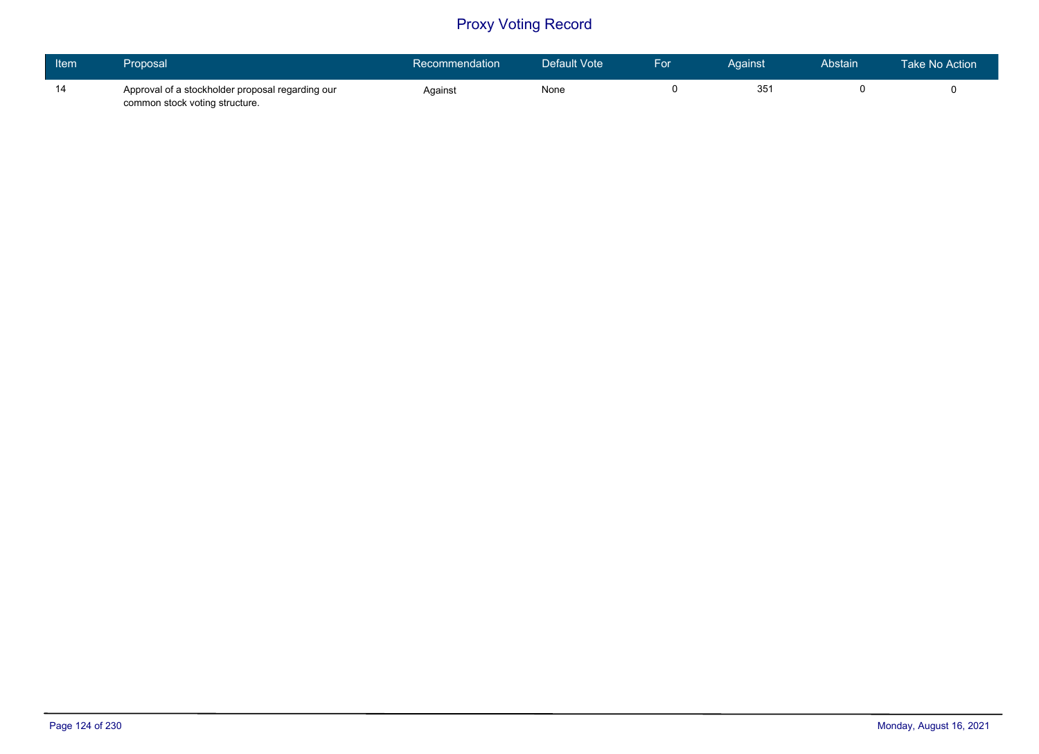| Item | Proposal                                                                           | Recommendation | Default Vote | For | Against         | Abstain | Take No Action |
|------|------------------------------------------------------------------------------------|----------------|--------------|-----|-----------------|---------|----------------|
| 14   | Approval of a stockholder proposal regarding our<br>common stock voting structure. | Against        | None         |     | 35 <sup>′</sup> |         |                |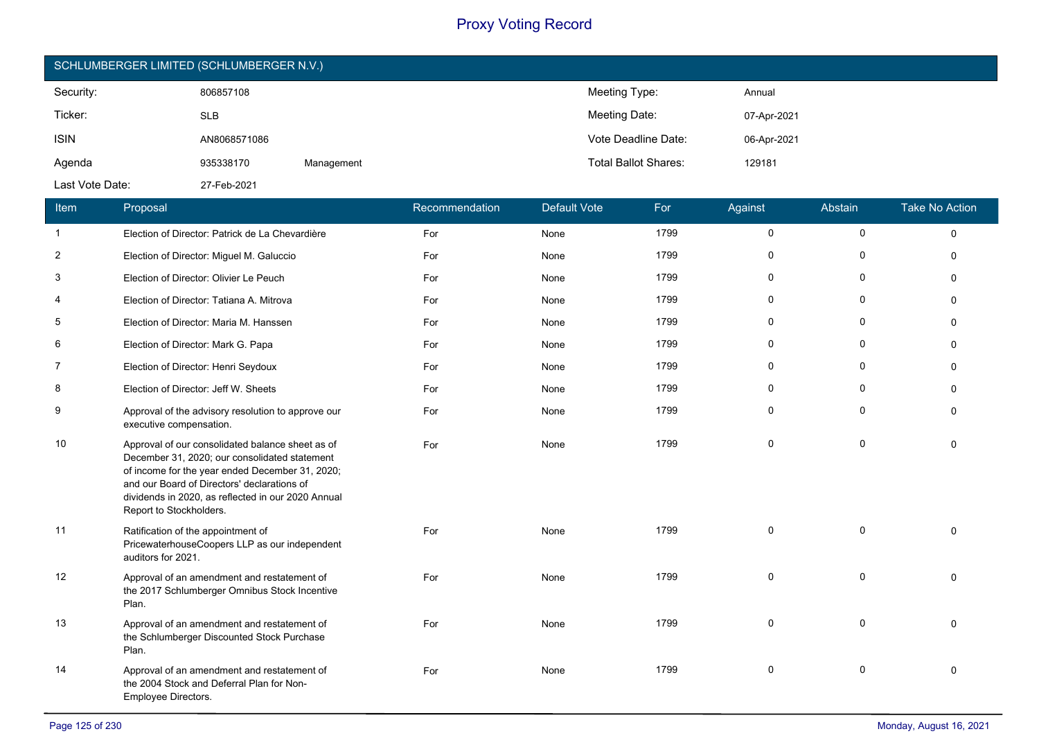| SCHLUMBERGER LIMITED (SCHLUMBERGER N.V.) |              |            |                             |             |  |  |
|------------------------------------------|--------------|------------|-----------------------------|-------------|--|--|
| Security:                                | 806857108    |            | Meeting Type:               | Annual      |  |  |
| Ticker:                                  | <b>SLB</b>   |            | Meeting Date:               | 07-Apr-2021 |  |  |
| <b>ISIN</b>                              | AN8068571086 |            | Vote Deadline Date:         | 06-Apr-2021 |  |  |
| Agenda                                   | 935338170    | Management | <b>Total Ballot Shares:</b> | 129181      |  |  |
| Last Vote Date:                          | 27-Feb-2021  |            |                             |             |  |  |

| Item           | Proposal                                                                                                                                                                                                                                                                             | Recommendation | <b>Default Vote</b> | For  | Against      | Abstain      | <b>Take No Action</b> |
|----------------|--------------------------------------------------------------------------------------------------------------------------------------------------------------------------------------------------------------------------------------------------------------------------------------|----------------|---------------------|------|--------------|--------------|-----------------------|
| $\mathbf{1}$   | Election of Director: Patrick de La Chevardière                                                                                                                                                                                                                                      | For            | None                | 1799 | 0            | $\mathsf{O}$ | $\Omega$              |
| $\overline{2}$ | Election of Director: Miguel M. Galuccio                                                                                                                                                                                                                                             | For            | None                | 1799 | $\mathbf{0}$ | 0            | $\Omega$              |
| 3              | Election of Director: Olivier Le Peuch                                                                                                                                                                                                                                               | For            | None                | 1799 | $\Omega$     | $\Omega$     | $\Omega$              |
| 4              | Election of Director: Tatiana A. Mitrova                                                                                                                                                                                                                                             | For            | None                | 1799 | $\mathbf 0$  | $\mathbf{0}$ | $\Omega$              |
| 5              | Election of Director: Maria M. Hanssen                                                                                                                                                                                                                                               | For            | None                | 1799 | $\mathbf{0}$ | $\mathbf 0$  | $\Omega$              |
| 6              | Election of Director: Mark G. Papa                                                                                                                                                                                                                                                   | For            | None                | 1799 | $\Omega$     | $\Omega$     | $\Omega$              |
| $\overline{7}$ | Election of Director: Henri Seydoux                                                                                                                                                                                                                                                  | For            | None                | 1799 | 0            | $\Omega$     | $\Omega$              |
| 8              | Election of Director: Jeff W. Sheets                                                                                                                                                                                                                                                 | For            | None                | 1799 | $\mathbf 0$  | $\mathbf 0$  | $\Omega$              |
| 9              | Approval of the advisory resolution to approve our<br>executive compensation.                                                                                                                                                                                                        | For            | None                | 1799 | $\mathbf{0}$ | $\mathbf{0}$ | $\Omega$              |
| 10             | Approval of our consolidated balance sheet as of<br>December 31, 2020; our consolidated statement<br>of income for the year ended December 31, 2020;<br>and our Board of Directors' declarations of<br>dividends in 2020, as reflected in our 2020 Annual<br>Report to Stockholders. | For            | None                | 1799 | $\mathbf 0$  | $\Omega$     | $\Omega$              |
| 11             | Ratification of the appointment of<br>PricewaterhouseCoopers LLP as our independent<br>auditors for 2021.                                                                                                                                                                            | For            | None                | 1799 | $\mathbf 0$  | $\mathbf 0$  | $\Omega$              |
| 12             | Approval of an amendment and restatement of<br>the 2017 Schlumberger Omnibus Stock Incentive<br>Plan.                                                                                                                                                                                | For            | None                | 1799 | $\mathbf 0$  | $\mathbf 0$  | $\Omega$              |
| 13             | Approval of an amendment and restatement of<br>the Schlumberger Discounted Stock Purchase<br>Plan.                                                                                                                                                                                   | For            | None                | 1799 | $\mathbf 0$  | $\mathbf 0$  | $\Omega$              |
| 14             | Approval of an amendment and restatement of<br>the 2004 Stock and Deferral Plan for Non-<br>Employee Directors.                                                                                                                                                                      | For            | None                | 1799 | $\mathbf 0$  | 0            | $\Omega$              |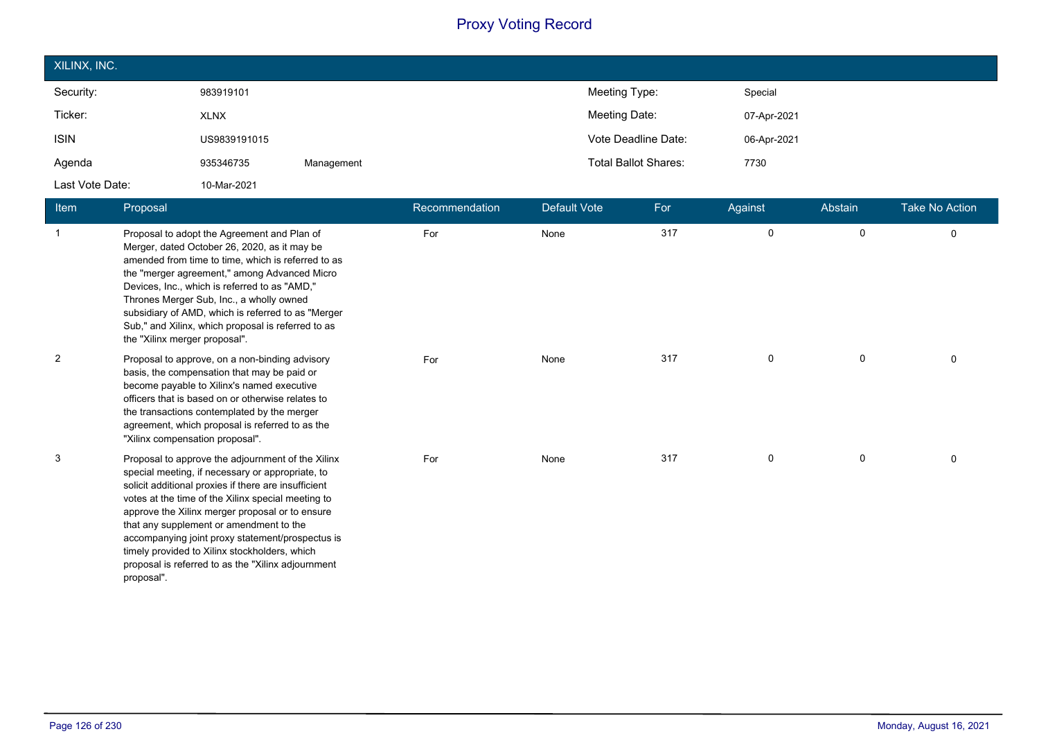| XILINX, INC.    |              |            |               |                             |             |
|-----------------|--------------|------------|---------------|-----------------------------|-------------|
| Security:       | 983919101    |            | Meeting Type: |                             | Special     |
| Ticker:         | <b>XLNX</b>  |            | Meeting Date: |                             | 07-Apr-2021 |
| <b>ISIN</b>     | US9839191015 |            |               | Vote Deadline Date:         | 06-Apr-2021 |
| Agenda          | 935346735    | Management |               | <b>Total Ballot Shares:</b> | 7730        |
| Last Vote Date: | 10-Mar-2021  |            |               |                             |             |

| <b>Item</b>    | Proposal                                                                                                                                                                                                                                                                                                                                                                                                                                                                                   | Recommendation | <b>Default Vote</b> | For | Against     | Abstain     | <b>Take No Action</b> |
|----------------|--------------------------------------------------------------------------------------------------------------------------------------------------------------------------------------------------------------------------------------------------------------------------------------------------------------------------------------------------------------------------------------------------------------------------------------------------------------------------------------------|----------------|---------------------|-----|-------------|-------------|-----------------------|
|                | Proposal to adopt the Agreement and Plan of<br>Merger, dated October 26, 2020, as it may be<br>amended from time to time, which is referred to as<br>the "merger agreement," among Advanced Micro<br>Devices, Inc., which is referred to as "AMD,"<br>Thrones Merger Sub, Inc., a wholly owned<br>subsidiary of AMD, which is referred to as "Merger<br>Sub," and Xilinx, which proposal is referred to as<br>the "Xilinx merger proposal".                                                | For            | None                | 317 | 0           | $\mathbf 0$ | 0                     |
| $\overline{c}$ | Proposal to approve, on a non-binding advisory<br>basis, the compensation that may be paid or<br>become payable to Xilinx's named executive<br>officers that is based on or otherwise relates to<br>the transactions contemplated by the merger<br>agreement, which proposal is referred to as the<br>"Xilinx compensation proposal".                                                                                                                                                      | For            | None                | 317 | $\mathbf 0$ | $\mathbf 0$ | 0                     |
| 3              | Proposal to approve the adjournment of the Xilinx<br>special meeting, if necessary or appropriate, to<br>solicit additional proxies if there are insufficient<br>votes at the time of the Xilinx special meeting to<br>approve the Xilinx merger proposal or to ensure<br>that any supplement or amendment to the<br>accompanying joint proxy statement/prospectus is<br>timely provided to Xilinx stockholders, which<br>proposal is referred to as the "Xilinx adjournment<br>proposal". | For            | None                | 317 | 0           | $\mathbf 0$ | $\Omega$              |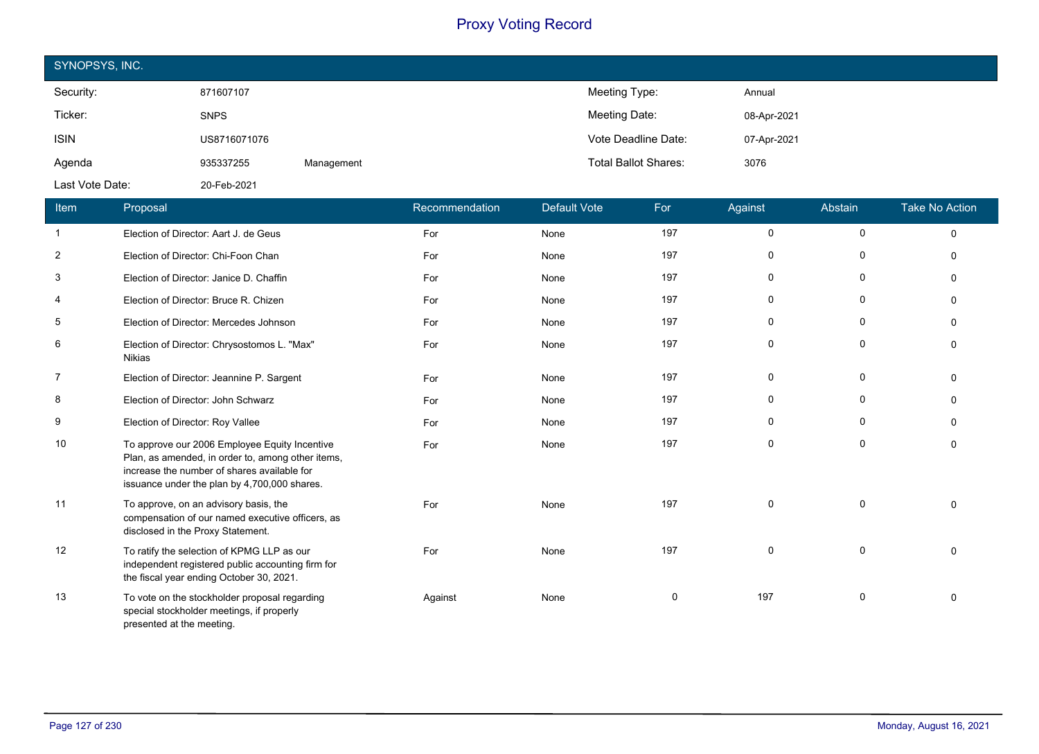| SYNOPSYS, INC.  |              |            |                             |             |  |  |
|-----------------|--------------|------------|-----------------------------|-------------|--|--|
| Security:       | 871607107    |            | Meeting Type:               | Annual      |  |  |
| Ticker:         | <b>SNPS</b>  |            | Meeting Date:               | 08-Apr-2021 |  |  |
| <b>ISIN</b>     | US8716071076 |            | Vote Deadline Date:         | 07-Apr-2021 |  |  |
| Agenda          | 935337255    | Management | <b>Total Ballot Shares:</b> | 3076        |  |  |
| Last Vote Date: | 20-Feb-2021  |            |                             |             |  |  |

| Item           | Proposal                                                                                                                                                                                          | Recommendation | <b>Default Vote</b> | For         | Against      | Abstain      | <b>Take No Action</b> |
|----------------|---------------------------------------------------------------------------------------------------------------------------------------------------------------------------------------------------|----------------|---------------------|-------------|--------------|--------------|-----------------------|
| $\mathbf{1}$   | Election of Director: Aart J. de Geus                                                                                                                                                             | For            | None                | 197         | 0            | $\mathbf 0$  | $\mathbf 0$           |
| $\overline{2}$ | Election of Director: Chi-Foon Chan                                                                                                                                                               | For            | None                | 197         | $\mathbf 0$  | 0            | $\Omega$              |
| 3              | Election of Director: Janice D. Chaffin                                                                                                                                                           | For            | None                | 197         | 0            | 0            | $\Omega$              |
| 4              | Election of Director: Bruce R. Chizen                                                                                                                                                             | For            | None                | 197         | $\mathbf{0}$ | $\mathbf 0$  | ∩                     |
| 5              | Election of Director: Mercedes Johnson                                                                                                                                                            | For            | None                | 197         | $\Omega$     | 0            | $\Omega$              |
| 6              | Election of Director: Chrysostomos L. "Max"<br><b>Nikias</b>                                                                                                                                      | For            | None                | 197         | $\mathbf 0$  | $\mathbf{0}$ | $\Omega$              |
| $\overline{7}$ | Election of Director: Jeannine P. Sargent                                                                                                                                                         | For            | None                | 197         | $\mathbf 0$  | 0            | $\Omega$              |
| 8              | Election of Director: John Schwarz                                                                                                                                                                | For            | None                | 197         | $\mathbf{0}$ | $\mathbf 0$  | $\Omega$              |
| 9              | Election of Director: Roy Vallee                                                                                                                                                                  | For            | None                | 197         | $\mathbf 0$  | $\mathbf{0}$ | $\Omega$              |
| 10             | To approve our 2006 Employee Equity Incentive<br>Plan, as amended, in order to, among other items,<br>increase the number of shares available for<br>issuance under the plan by 4,700,000 shares. | For            | None                | 197         | $\mathbf 0$  | $\mathbf 0$  | $\Omega$              |
| 11             | To approve, on an advisory basis, the<br>compensation of our named executive officers, as<br>disclosed in the Proxy Statement.                                                                    | For            | None                | 197         | $\Omega$     | $\mathbf 0$  | $\Omega$              |
| 12             | To ratify the selection of KPMG LLP as our<br>independent registered public accounting firm for<br>the fiscal year ending October 30, 2021.                                                       | For            | None                | 197         | $\Omega$     | $\mathbf 0$  | $\Omega$              |
| 13             | To vote on the stockholder proposal regarding<br>special stockholder meetings, if properly<br>presented at the meeting.                                                                           | Against        | None                | $\mathbf 0$ | 197          | $\mathbf 0$  | $\Omega$              |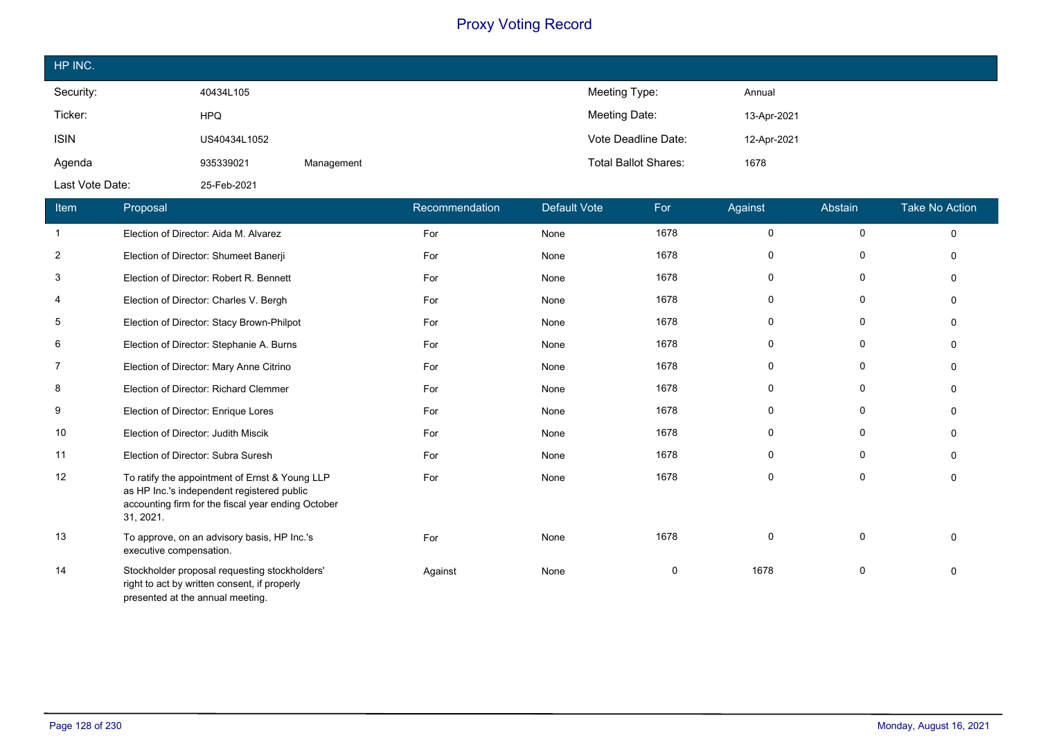| HP INC.         |              |            |                             |             |
|-----------------|--------------|------------|-----------------------------|-------------|
| Security:       | 40434L105    |            | Meeting Type:               | Annual      |
| Ticker:         | <b>HPQ</b>   |            | Meeting Date:               | 13-Apr-2021 |
| <b>ISIN</b>     | US40434L1052 |            | Vote Deadline Date:         | 12-Apr-2021 |
| Agenda          | 935339021    | Management | <b>Total Ballot Shares:</b> | 1678        |
| Last Vote Date: | 25-Feb-2021  |            |                             |             |

| Item           | Proposal                                                                                                                                                        | Recommendation | Default Vote | For  | Against     | Abstain     | <b>Take No Action</b> |
|----------------|-----------------------------------------------------------------------------------------------------------------------------------------------------------------|----------------|--------------|------|-------------|-------------|-----------------------|
| -1             | Election of Director: Aida M. Alvarez                                                                                                                           | For            | None         | 1678 | 0           | $\mathbf 0$ | $\mathbf 0$           |
| 2              | Election of Director: Shumeet Banerji                                                                                                                           | For            | None         | 1678 | 0           | 0           | $\Omega$              |
| 3              | Election of Director: Robert R. Bennett                                                                                                                         | For            | None         | 1678 | 0           | 0           | $\mathbf{0}$          |
| 4              | Election of Director: Charles V. Bergh                                                                                                                          | For            | None         | 1678 | 0           | 0           | $\Omega$              |
| 5              | Election of Director: Stacy Brown-Philpot                                                                                                                       | For            | None         | 1678 | 0           | 0           | $\mathbf{0}$          |
| 6              | Election of Director: Stephanie A. Burns                                                                                                                        | For            | None         | 1678 | 0           | 0           | $\Omega$              |
| $\overline{7}$ | Election of Director: Mary Anne Citrino                                                                                                                         | For            | None         | 1678 | $\mathbf 0$ | 0           | $\Omega$              |
| 8              | Election of Director: Richard Clemmer                                                                                                                           | For            | None         | 1678 | 0           | 0           | $\Omega$              |
| 9              | Election of Director: Enrique Lores                                                                                                                             | For            | None         | 1678 | $\mathbf 0$ | $\mathbf 0$ | $\Omega$              |
| 10             | Election of Director: Judith Miscik                                                                                                                             | For            | None         | 1678 | 0           | 0           | $\Omega$              |
| 11             | Election of Director: Subra Suresh                                                                                                                              | For            | None         | 1678 | $\mathbf 0$ | 0           | $\Omega$              |
| 12             | To ratify the appointment of Ernst & Young LLP<br>as HP Inc.'s independent registered public<br>accounting firm for the fiscal year ending October<br>31, 2021. | For            | None         | 1678 | $\mathbf 0$ | 0           | $\mathbf{0}$          |
| 13             | To approve, on an advisory basis, HP Inc.'s<br>executive compensation.                                                                                          | For            | None         | 1678 | $\mathbf 0$ | $\Omega$    | $\Omega$              |
| 14             | Stockholder proposal requesting stockholders'<br>right to act by written consent, if properly<br>presented at the annual meeting.                               | Against        | None         | 0    | 1678        | 0           | $\mathbf{0}$          |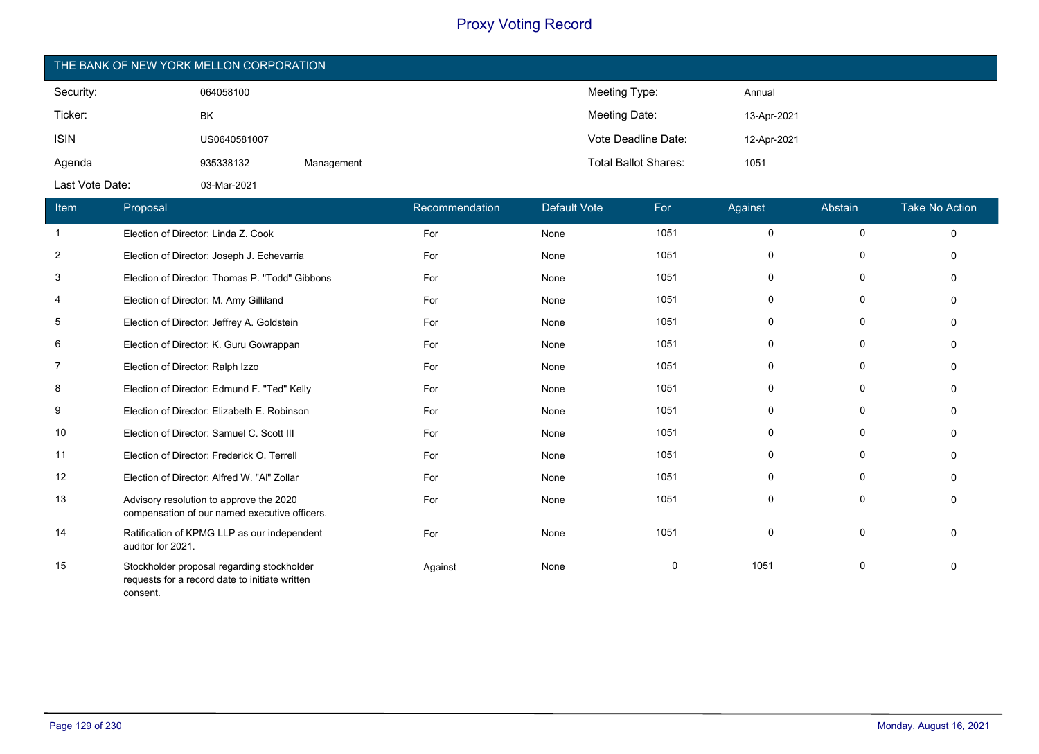| THE BANK OF NEW YORK MELLON CORPORATION |              |            |                             |             |  |  |
|-----------------------------------------|--------------|------------|-----------------------------|-------------|--|--|
| Security:                               | 064058100    |            | Meeting Type:               | Annual      |  |  |
| Ticker:                                 | BK           |            | Meeting Date:               | 13-Apr-2021 |  |  |
| <b>ISIN</b>                             | US0640581007 |            | Vote Deadline Date:         | 12-Apr-2021 |  |  |
| Agenda                                  | 935338132    | Management | <b>Total Ballot Shares:</b> | 1051        |  |  |
| Last Vote Date:                         | 03-Mar-2021  |            |                             |             |  |  |

| Item           | Proposal                                                                                                 | Recommendation | Default Vote | For         | Against     | Abstain     | <b>Take No Action</b> |
|----------------|----------------------------------------------------------------------------------------------------------|----------------|--------------|-------------|-------------|-------------|-----------------------|
| -1             | Election of Director: Linda Z. Cook                                                                      | For            | None         | 1051        | 0           | 0           | 0                     |
| $\overline{2}$ | Election of Director: Joseph J. Echevarria                                                               | For            | None         | 1051        | $\Omega$    | 0           | $\Omega$              |
| 3              | Election of Director: Thomas P. "Todd" Gibbons                                                           | For            | None         | 1051        | 0           | 0           | $\Omega$              |
| 4              | Election of Director: M. Amy Gilliland                                                                   | For            | None         | 1051        | 0           | 0           | $\Omega$              |
| 5              | Election of Director: Jeffrey A. Goldstein                                                               | For            | None         | 1051        | 0           | 0           | $\Omega$              |
| 6              | Election of Director: K. Guru Gowrappan                                                                  | For            | None         | 1051        | 0           | $\mathbf 0$ | $\Omega$              |
| -7             | Election of Director: Ralph Izzo                                                                         | For            | None         | 1051        | 0           | $\mathbf 0$ | $\Omega$              |
| 8              | Election of Director: Edmund F. "Ted" Kelly                                                              | For            | None         | 1051        | $\Omega$    | 0           | $\Omega$              |
| 9              | Election of Director: Elizabeth E. Robinson                                                              | For            | None         | 1051        | 0           | 0           | $\Omega$              |
| 10             | Election of Director: Samuel C. Scott III                                                                | For            | None         | 1051        | 0           | 0           | $\Omega$              |
| 11             | Election of Director: Frederick O. Terrell                                                               | For            | None         | 1051        | 0           | 0           | $\Omega$              |
| 12             | Election of Director: Alfred W. "Al" Zollar                                                              | For            | None         | 1051        | 0           | 0           |                       |
| 13             | Advisory resolution to approve the 2020<br>compensation of our named executive officers.                 | For            | None         | 1051        | 0           | $\mathbf 0$ | $\Omega$              |
| 14             | Ratification of KPMG LLP as our independent<br>auditor for 2021.                                         | For            | None         | 1051        | $\mathbf 0$ | $\mathbf 0$ | $\Omega$              |
| 15             | Stockholder proposal regarding stockholder<br>requests for a record date to initiate written<br>consent. | Against        | None         | $\mathbf 0$ | 1051        | 0           | $\Omega$              |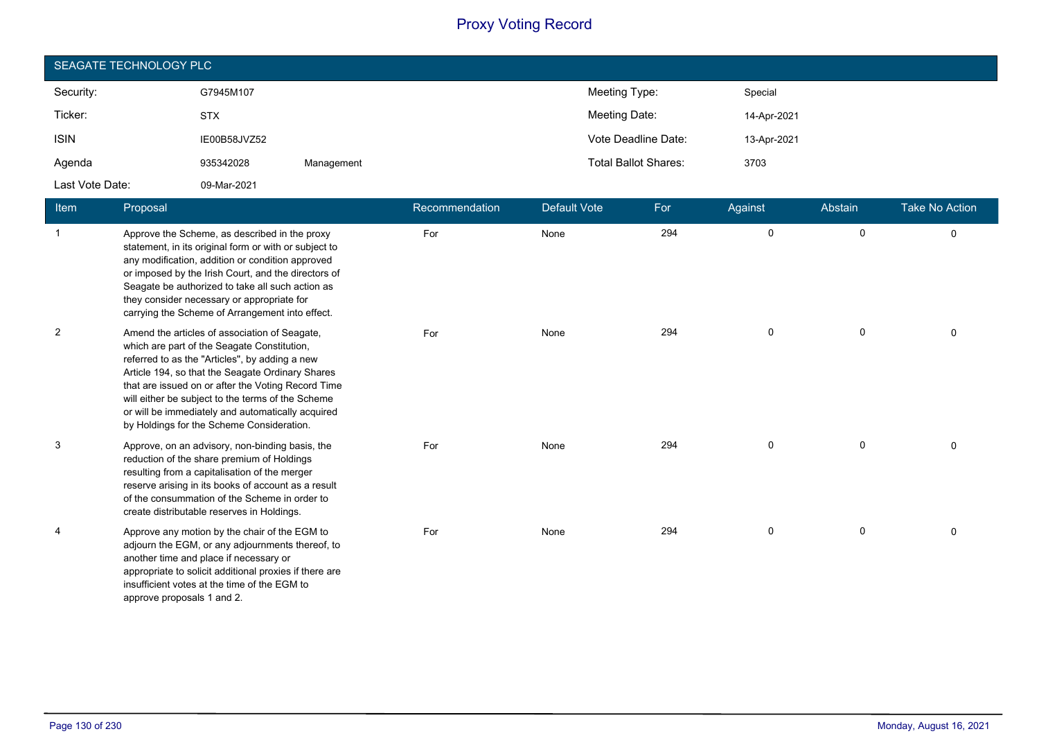| SEAGATE TECHNOLOGY PLC |              |            |                             |             |  |  |
|------------------------|--------------|------------|-----------------------------|-------------|--|--|
| Security:              | G7945M107    |            | Meeting Type:               | Special     |  |  |
| Ticker:                | <b>STX</b>   |            | Meeting Date:               | 14-Apr-2021 |  |  |
| <b>ISIN</b>            | IE00B58JVZ52 |            | Vote Deadline Date:         | 13-Apr-2021 |  |  |
| Agenda                 | 935342028    | Management | <b>Total Ballot Shares:</b> | 3703        |  |  |
| Last Vote Date:        | 09-Mar-2021  |            |                             |             |  |  |

| <b>Item</b>    | Proposal                                                                                                                                                                                                                                                                                                                                                                                                        | Recommendation | Default Vote | For | Against     | Abstain     | <b>Take No Action</b> |
|----------------|-----------------------------------------------------------------------------------------------------------------------------------------------------------------------------------------------------------------------------------------------------------------------------------------------------------------------------------------------------------------------------------------------------------------|----------------|--------------|-----|-------------|-------------|-----------------------|
| $\mathbf{1}$   | Approve the Scheme, as described in the proxy<br>statement, in its original form or with or subject to<br>any modification, addition or condition approved<br>or imposed by the Irish Court, and the directors of<br>Seagate be authorized to take all such action as<br>they consider necessary or appropriate for<br>carrying the Scheme of Arrangement into effect.                                          | For            | None         | 294 | $\mathbf 0$ | $\mathbf 0$ | $\Omega$              |
| $\overline{2}$ | Amend the articles of association of Seagate,<br>which are part of the Seagate Constitution,<br>referred to as the "Articles", by adding a new<br>Article 194, so that the Seagate Ordinary Shares<br>that are issued on or after the Voting Record Time<br>will either be subject to the terms of the Scheme<br>or will be immediately and automatically acquired<br>by Holdings for the Scheme Consideration. | For            | None         | 294 | 0           | $\mathbf 0$ | 0                     |
| 3              | Approve, on an advisory, non-binding basis, the<br>reduction of the share premium of Holdings<br>resulting from a capitalisation of the merger<br>reserve arising in its books of account as a result<br>of the consummation of the Scheme in order to<br>create distributable reserves in Holdings.                                                                                                            | For            | None         | 294 | 0           | 0           | 0                     |
| 4              | Approve any motion by the chair of the EGM to<br>adjourn the EGM, or any adjournments thereof, to<br>another time and place if necessary or<br>appropriate to solicit additional proxies if there are<br>insufficient votes at the time of the EGM to<br>approve proposals 1 and 2.                                                                                                                             | For            | None         | 294 | 0           | 0           | 0                     |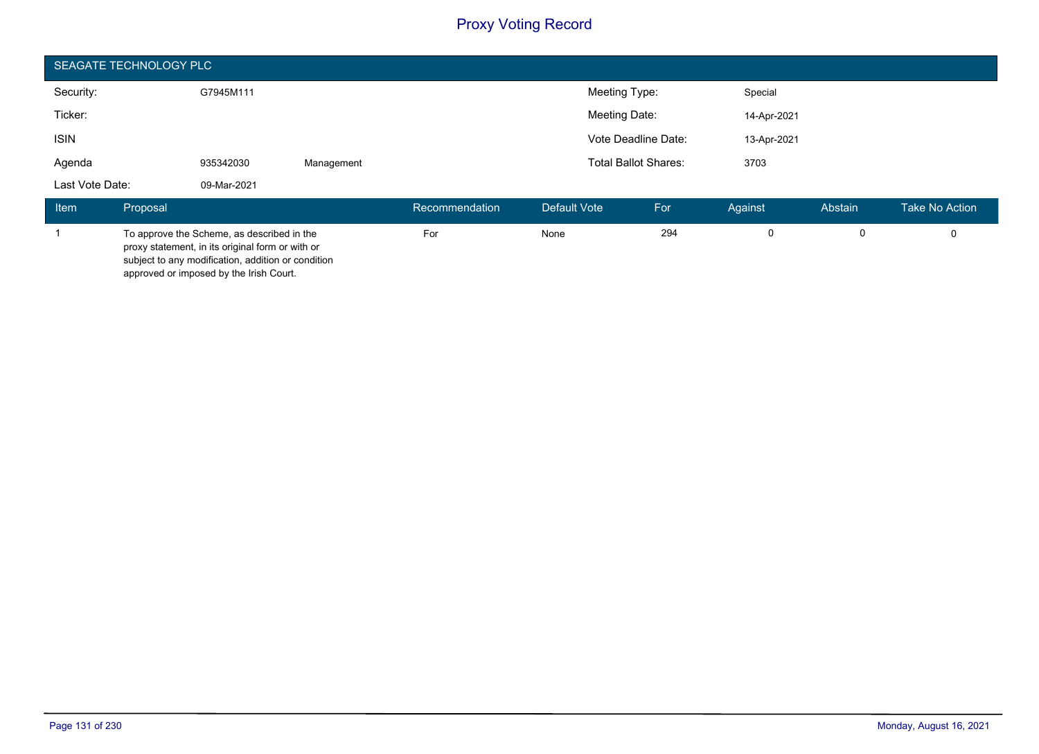|                 | SEAGATE TECHNOLOGY PLC |                                                                                                                                                                                                 |            |                |               |                             |             |             |                |
|-----------------|------------------------|-------------------------------------------------------------------------------------------------------------------------------------------------------------------------------------------------|------------|----------------|---------------|-----------------------------|-------------|-------------|----------------|
| Security:       |                        | G7945M111                                                                                                                                                                                       |            |                | Meeting Type: |                             | Special     |             |                |
| Ticker:         |                        |                                                                                                                                                                                                 |            |                | Meeting Date: |                             | 14-Apr-2021 |             |                |
| <b>ISIN</b>     |                        |                                                                                                                                                                                                 |            |                |               | Vote Deadline Date:         | 13-Apr-2021 |             |                |
| Agenda          |                        | 935342030                                                                                                                                                                                       | Management |                |               | <b>Total Ballot Shares:</b> | 3703        |             |                |
| Last Vote Date: |                        | 09-Mar-2021                                                                                                                                                                                     |            |                |               |                             |             |             |                |
| <b>Item</b>     | Proposal               |                                                                                                                                                                                                 |            | Recommendation | Default Vote  | For                         | Against     | Abstain     | Take No Action |
|                 |                        | To approve the Scheme, as described in the<br>proxy statement, in its original form or with or<br>subject to any modification, addition or condition<br>approved or imposed by the Irish Court. |            | For            | None          | 294                         | 0           | $\mathbf 0$ | $\Omega$       |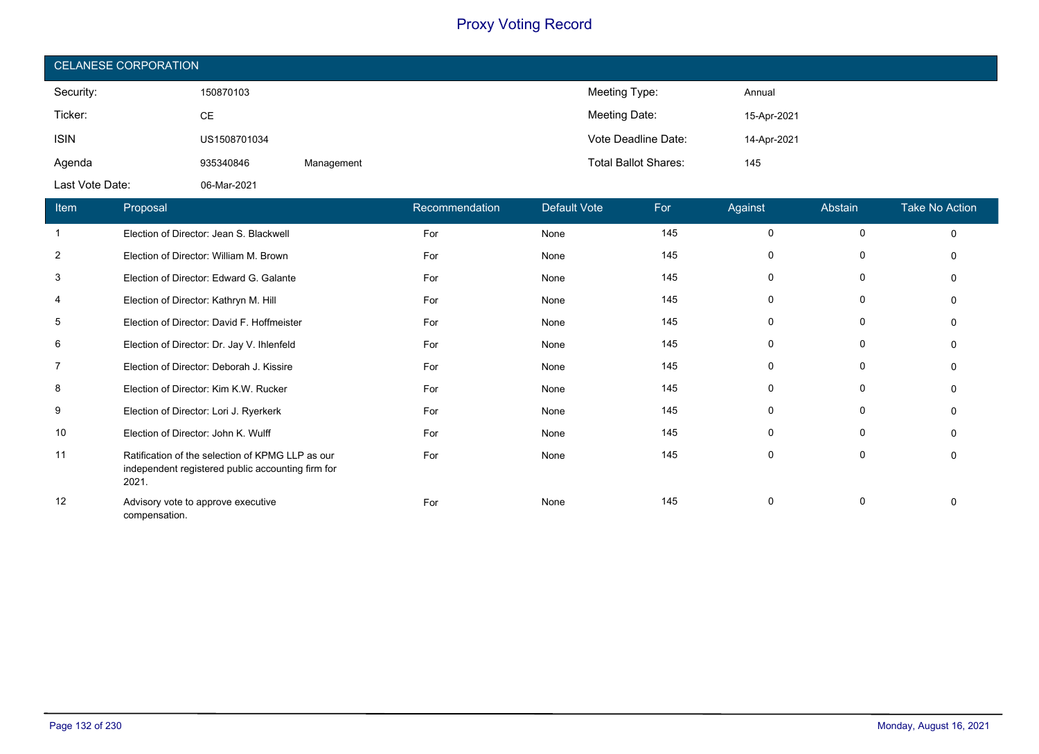| <b>CELANESE CORPORATION</b> |              |            |                             |             |  |
|-----------------------------|--------------|------------|-----------------------------|-------------|--|
| Security:                   | 150870103    |            | Meeting Type:               | Annual      |  |
| Ticker:                     | СE           |            | Meeting Date:               | 15-Apr-2021 |  |
| <b>ISIN</b>                 | US1508701034 |            | Vote Deadline Date:         | 14-Apr-2021 |  |
| Agenda                      | 935340846    | Management | <b>Total Ballot Shares:</b> | 145         |  |
| Last Vote Date:             | 06-Mar-2021  |            |                             |             |  |

| Item           | Proposal                                                                                                       | Recommendation | <b>Default Vote</b> | For | Against  | Abstain  | <b>Take No Action</b> |
|----------------|----------------------------------------------------------------------------------------------------------------|----------------|---------------------|-----|----------|----------|-----------------------|
| $\mathbf{1}$   | Election of Director: Jean S. Blackwell                                                                        | For            | None                | 145 | 0        | $\Omega$ | $\Omega$              |
| $\overline{2}$ | Election of Director: William M. Brown                                                                         | For            | None                | 145 |          | 0        |                       |
| 3              | Election of Director: Edward G. Galante                                                                        | For            | None                | 145 | O        | $\Omega$ |                       |
| 4              | Election of Director: Kathryn M. Hill                                                                          | For            | None                | 145 | 0        |          |                       |
| 5              | Election of Director: David F. Hoffmeister                                                                     | For            | None                | 145 | O        | 0        |                       |
| 6              | Election of Director: Dr. Jay V. Ihlenfeld                                                                     | For            | None                | 145 | 0        | 0        |                       |
| $\overline{7}$ | Election of Director: Deborah J. Kissire                                                                       | For            | None                | 145 |          | 0        |                       |
| 8              | Election of Director: Kim K.W. Rucker                                                                          | For            | None                | 145 | 0        | $\Omega$ |                       |
| 9              | Election of Director: Lori J. Ryerkerk                                                                         | For            | None                | 145 | 0        | 0        |                       |
| 10             | Election of Director: John K. Wulff                                                                            | For            | None                | 145 | $\Omega$ | $\Omega$ |                       |
| 11             | Ratification of the selection of KPMG LLP as our<br>independent registered public accounting firm for<br>2021. | For            | None                | 145 | 0        | 0        |                       |
| 12             | Advisory vote to approve executive<br>compensation.                                                            | For            | None                | 145 | $\Omega$ | 0        |                       |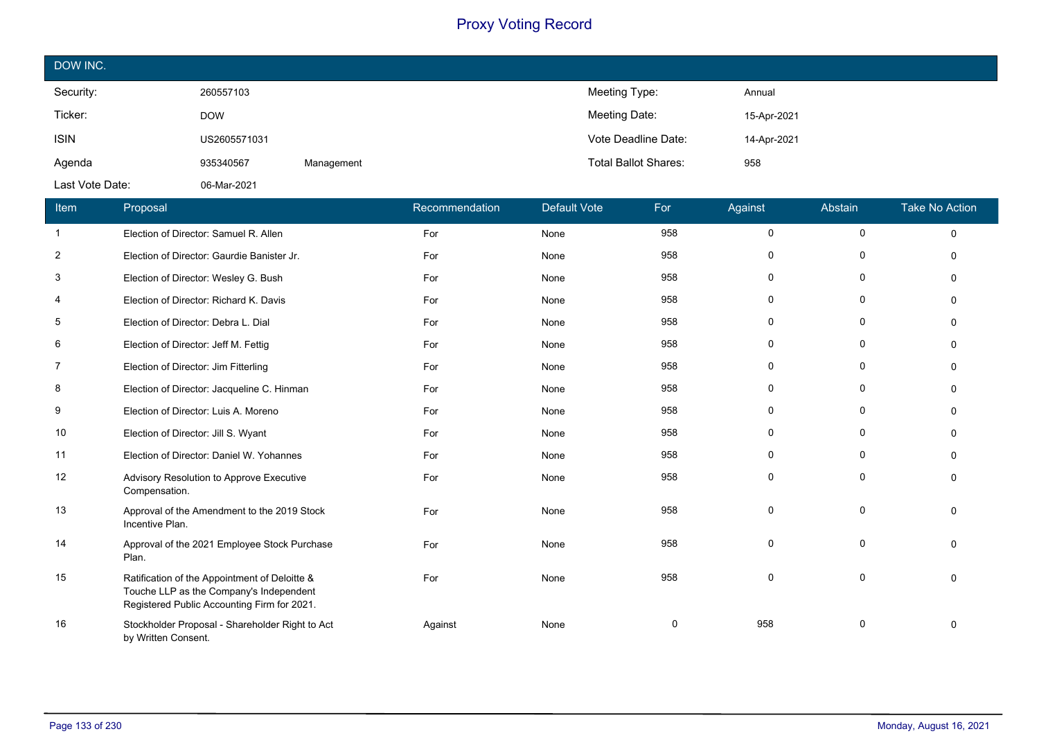| DOW INC.        |              |            |                             |             |
|-----------------|--------------|------------|-----------------------------|-------------|
| Security:       | 260557103    |            | Meeting Type:               | Annual      |
| Ticker:         | <b>DOW</b>   |            | Meeting Date:               | 15-Apr-2021 |
| <b>ISIN</b>     | US2605571031 |            | Vote Deadline Date:         | 14-Apr-2021 |
| Agenda          | 935340567    | Management | <b>Total Ballot Shares:</b> | 958         |
| Last Vote Date: | 06-Mar-2021  |            |                             |             |

| Item           | Proposal                                                                                                                                | Recommendation | <b>Default Vote</b> | For | Against     | Abstain      | <b>Take No Action</b> |
|----------------|-----------------------------------------------------------------------------------------------------------------------------------------|----------------|---------------------|-----|-------------|--------------|-----------------------|
| $\mathbf{1}$   | Election of Director: Samuel R. Allen                                                                                                   | For            | None                | 958 | $\mathbf 0$ | $\mathsf{O}$ | $\mathbf 0$           |
| $\overline{2}$ | Election of Director: Gaurdie Banister Jr.                                                                                              | For            | None                | 958 | $\mathbf 0$ | $\mathbf 0$  | $\Omega$              |
| 3              | Election of Director: Wesley G. Bush                                                                                                    | For            | None                | 958 | 0           | 0            | $\Omega$              |
| 4              | Election of Director: Richard K. Davis                                                                                                  | For            | None                | 958 | 0           | 0            | $\mathbf{0}$          |
| 5              | Election of Director: Debra L. Dial                                                                                                     | For            | None                | 958 | 0           | $\mathbf 0$  | $\Omega$              |
| 6              | Election of Director: Jeff M. Fettig                                                                                                    | For            | None                | 958 | $\mathbf 0$ | $\mathbf 0$  | $\Omega$              |
| 7              | Election of Director: Jim Fitterling                                                                                                    | For            | None                | 958 | 0           | 0            | $\Omega$              |
| 8              | Election of Director: Jacqueline C. Hinman                                                                                              | For            | None                | 958 | 0           | 0            | $\Omega$              |
| 9              | Election of Director: Luis A. Moreno                                                                                                    | For            | None                | 958 | $\mathbf 0$ | $\mathbf 0$  | $\Omega$              |
| 10             | Election of Director: Jill S. Wyant                                                                                                     | For            | None                | 958 | 0           | 0            | $\Omega$              |
| 11             | Election of Director: Daniel W. Yohannes                                                                                                | For            | None                | 958 | 0           | 0            | $\Omega$              |
| 12             | Advisory Resolution to Approve Executive<br>Compensation.                                                                               | For            | None                | 958 | 0           | $\mathbf 0$  | $\Omega$              |
| 13             | Approval of the Amendment to the 2019 Stock<br>Incentive Plan.                                                                          | For            | None                | 958 | $\mathbf 0$ | $\mathbf 0$  | $\Omega$              |
| 14             | Approval of the 2021 Employee Stock Purchase<br>Plan.                                                                                   | For            | None                | 958 | $\mathbf 0$ | 0            | $\Omega$              |
| 15             | Ratification of the Appointment of Deloitte &<br>Touche LLP as the Company's Independent<br>Registered Public Accounting Firm for 2021. | For            | None                | 958 | $\mathbf 0$ | 0            | $\Omega$              |
| 16             | Stockholder Proposal - Shareholder Right to Act<br>by Written Consent.                                                                  | Against        | None                | 0   | 958         | 0            | $\mathbf{0}$          |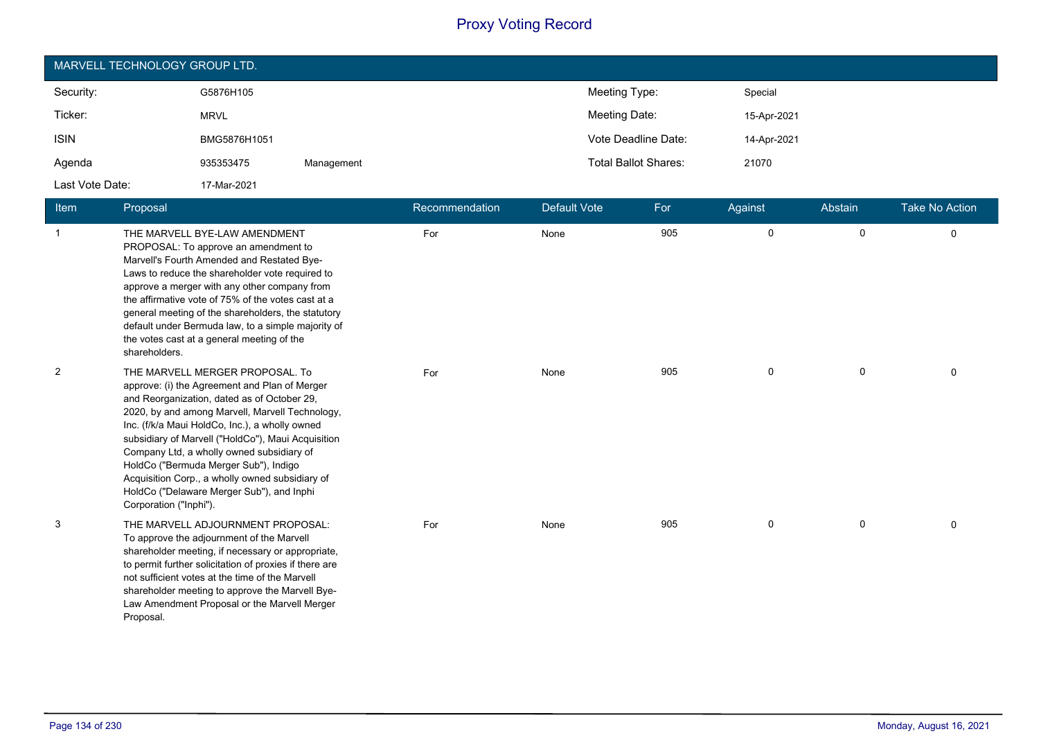|                 | MARVELL TECHNOLOGY GROUP LTD. |            |                             |             |  |  |  |
|-----------------|-------------------------------|------------|-----------------------------|-------------|--|--|--|
| Security:       | G5876H105                     |            | Meeting Type:               | Special     |  |  |  |
| Ticker:         | <b>MRVL</b>                   |            | Meeting Date:               | 15-Apr-2021 |  |  |  |
| <b>ISIN</b>     | BMG5876H1051                  |            | Vote Deadline Date:         | 14-Apr-2021 |  |  |  |
| Agenda          | 935353475                     | Management | <b>Total Ballot Shares:</b> | 21070       |  |  |  |
| Last Vote Date: | 17-Mar-2021                   |            |                             |             |  |  |  |

| <b>Item</b>  | Proposal                                                                                                                                                                                                                                                                                                                                                                                                                                                                                                   | Recommendation | <b>Default Vote</b> | For | Against     | Abstain      | <b>Take No Action</b> |
|--------------|------------------------------------------------------------------------------------------------------------------------------------------------------------------------------------------------------------------------------------------------------------------------------------------------------------------------------------------------------------------------------------------------------------------------------------------------------------------------------------------------------------|----------------|---------------------|-----|-------------|--------------|-----------------------|
| $\mathbf{1}$ | THE MARVELL BYE-LAW AMENDMENT<br>PROPOSAL: To approve an amendment to<br>Marvell's Fourth Amended and Restated Bye-<br>Laws to reduce the shareholder vote required to<br>approve a merger with any other company from<br>the affirmative vote of 75% of the votes cast at a<br>general meeting of the shareholders, the statutory<br>default under Bermuda law, to a simple majority of<br>the votes cast at a general meeting of the<br>shareholders.                                                    | For            | None                | 905 | 0           | $\mathsf{O}$ | $\mathbf 0$           |
| 2            | THE MARVELL MERGER PROPOSAL. To<br>approve: (i) the Agreement and Plan of Merger<br>and Reorganization, dated as of October 29,<br>2020, by and among Marvell, Marvell Technology,<br>Inc. (f/k/a Maui HoldCo, Inc.), a wholly owned<br>subsidiary of Marvell ("HoldCo"), Maui Acquisition<br>Company Ltd, a wholly owned subsidiary of<br>HoldCo ("Bermuda Merger Sub"), Indigo<br>Acquisition Corp., a wholly owned subsidiary of<br>HoldCo ("Delaware Merger Sub"), and Inphi<br>Corporation ("Inphi"). | For            | None                | 905 | 0           | 0            | $\Omega$              |
| 3            | THE MARVELL ADJOURNMENT PROPOSAL:<br>To approve the adjournment of the Marvell<br>shareholder meeting, if necessary or appropriate,<br>to permit further solicitation of proxies if there are<br>not sufficient votes at the time of the Marvell<br>shareholder meeting to approve the Marvell Bye-<br>Law Amendment Proposal or the Marvell Merger<br>Proposal.                                                                                                                                           | For            | None                | 905 | $\mathbf 0$ | $\mathbf 0$  | $\Omega$              |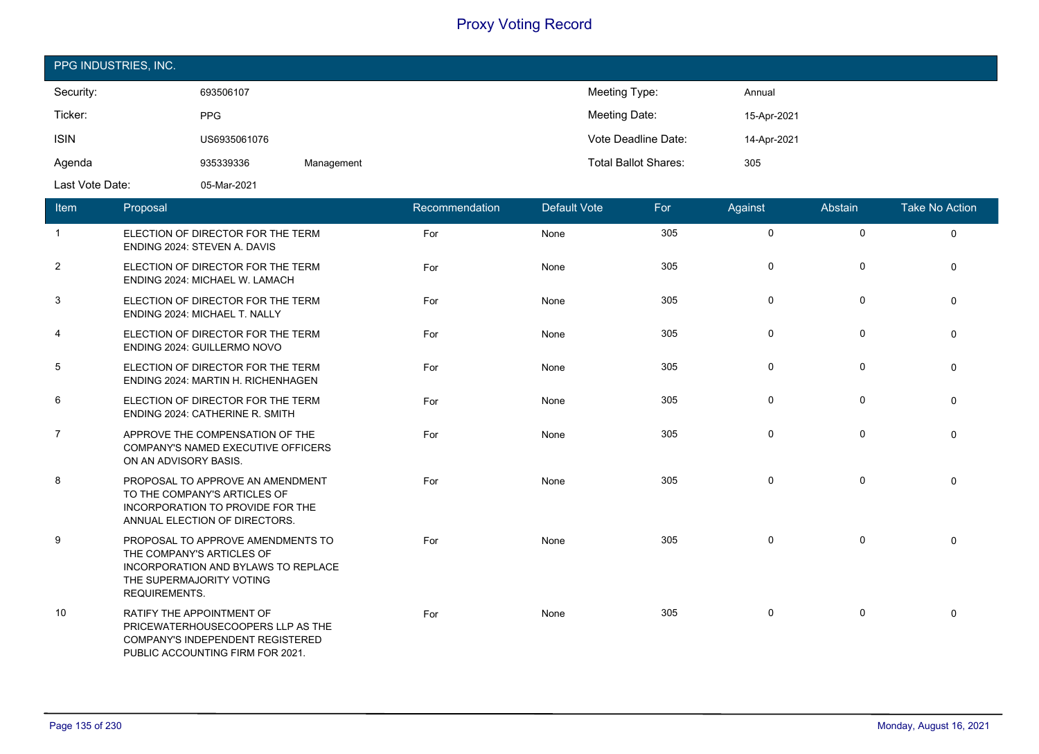| PPG INDUSTRIES, INC. |              |            |                             |             |
|----------------------|--------------|------------|-----------------------------|-------------|
| Security:            | 693506107    |            | Meeting Type:               | Annual      |
| Ticker:              | <b>PPG</b>   |            | Meeting Date:               | 15-Apr-2021 |
| <b>ISIN</b>          | US6935061076 |            | Vote Deadline Date:         | 14-Apr-2021 |
| Agenda               | 935339336    | Management | <b>Total Ballot Shares:</b> | 305         |
| Last Vote Date:      | 05-Mar-2021  |            |                             |             |

| <b>Item</b>    | Proposal                                                                                                                                                         | Recommendation | Default Vote | For | Against     | Abstain     | <b>Take No Action</b> |
|----------------|------------------------------------------------------------------------------------------------------------------------------------------------------------------|----------------|--------------|-----|-------------|-------------|-----------------------|
| $\overline{1}$ | ELECTION OF DIRECTOR FOR THE TERM<br>ENDING 2024: STEVEN A. DAVIS                                                                                                | For            | None         | 305 | $\mathbf 0$ | 0           | $\mathbf 0$           |
| $\overline{2}$ | ELECTION OF DIRECTOR FOR THE TERM<br>ENDING 2024: MICHAEL W. LAMACH                                                                                              | For            | None         | 305 | 0           | 0           | 0                     |
| 3              | ELECTION OF DIRECTOR FOR THE TERM<br>ENDING 2024: MICHAEL T. NALLY                                                                                               | For            | None         | 305 | 0           | 0           | $\Omega$              |
| 4              | ELECTION OF DIRECTOR FOR THE TERM<br>ENDING 2024: GUILLERMO NOVO                                                                                                 | For            | None         | 305 | 0           | 0           | $\mathbf 0$           |
| 5              | ELECTION OF DIRECTOR FOR THE TERM<br>ENDING 2024: MARTIN H. RICHENHAGEN                                                                                          | For            | None         | 305 | 0           | 0           | $\mathbf{0}$          |
| 6              | ELECTION OF DIRECTOR FOR THE TERM<br><b>ENDING 2024: CATHERINE R. SMITH</b>                                                                                      | For            | None         | 305 | 0           | $\pmb{0}$   | $\mathbf 0$           |
| $\overline{7}$ | APPROVE THE COMPENSATION OF THE<br>COMPANY'S NAMED EXECUTIVE OFFICERS<br>ON AN ADVISORY BASIS.                                                                   | For            | None         | 305 | 0           | 0           | $\Omega$              |
| 8              | PROPOSAL TO APPROVE AN AMENDMENT<br>TO THE COMPANY'S ARTICLES OF<br>INCORPORATION TO PROVIDE FOR THE<br>ANNUAL ELECTION OF DIRECTORS.                            | For            | None         | 305 | 0           | $\mathbf 0$ | $\mathbf 0$           |
| 9              | PROPOSAL TO APPROVE AMENDMENTS TO<br>THE COMPANY'S ARTICLES OF<br><b>INCORPORATION AND BYLAWS TO REPLACE</b><br>THE SUPERMAJORITY VOTING<br><b>REQUIREMENTS.</b> | For            | None         | 305 | 0           | 0           | $\Omega$              |
| 10             | RATIFY THE APPOINTMENT OF<br>PRICEWATERHOUSECOOPERS LLP AS THE<br>COMPANY'S INDEPENDENT REGISTERED<br>PUBLIC ACCOUNTING FIRM FOR 2021.                           | For            | None         | 305 | 0           | 0           | $\mathbf{0}$          |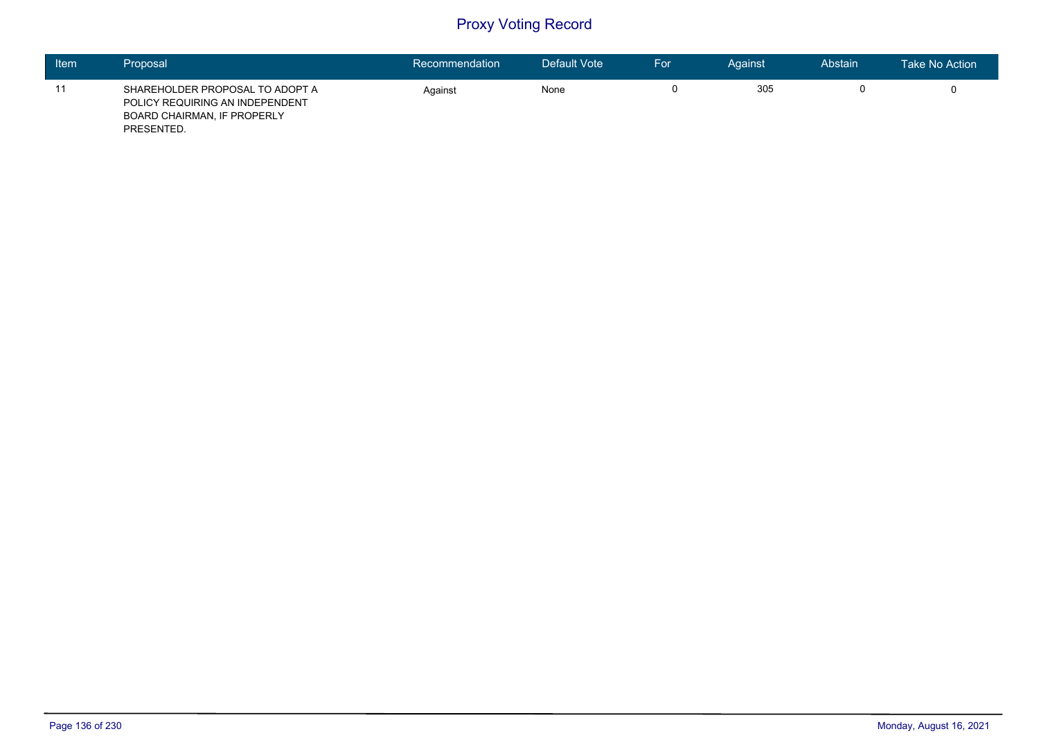| Item | Proposal                                                                                                        | Recommendation | Default Vote | For | Against | Abstain | Take No Action |
|------|-----------------------------------------------------------------------------------------------------------------|----------------|--------------|-----|---------|---------|----------------|
| 11   | SHAREHOLDER PROPOSAL TO ADOPT A<br>POLICY REQUIRING AN INDEPENDENT<br>BOARD CHAIRMAN, IF PROPERLY<br>PRESENTED. | Against        | None         |     | 305     |         |                |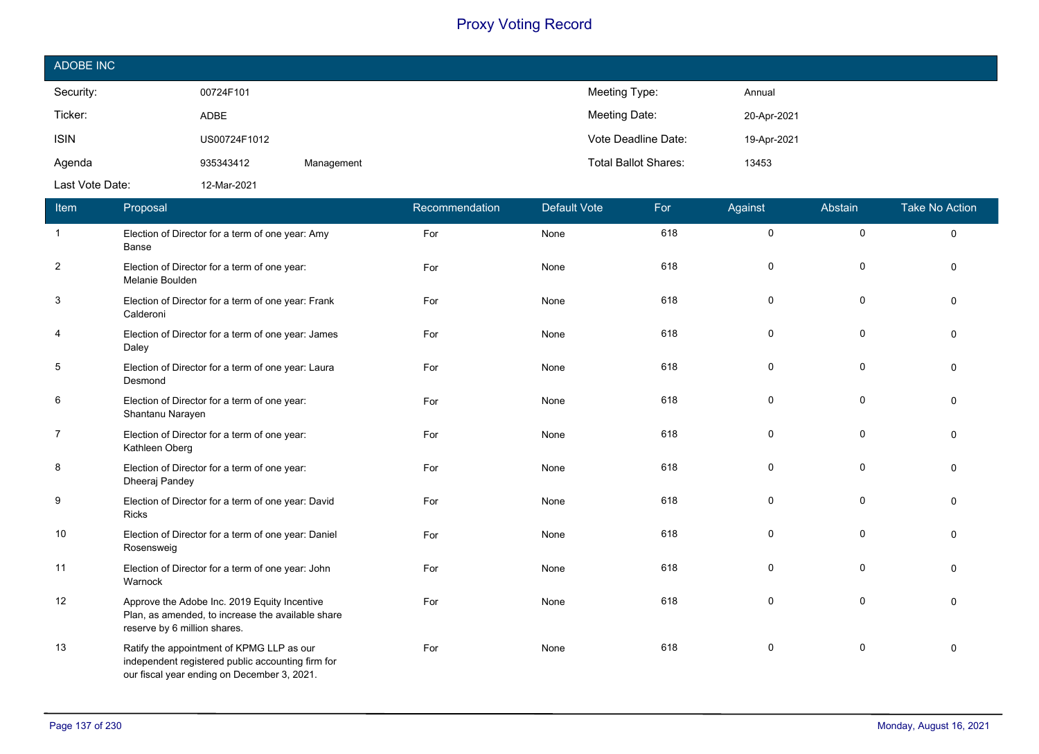| ADOBE INC       |              |            |                                      |  |
|-----------------|--------------|------------|--------------------------------------|--|
| Security:       | 00724F101    |            | Meeting Type:<br>Annual              |  |
| Ticker:         | <b>ADBE</b>  |            | Meeting Date:<br>20-Apr-2021         |  |
| <b>ISIN</b>     | US00724F1012 |            | Vote Deadline Date:<br>19-Apr-2021   |  |
| Agenda          | 935343412    | Management | <b>Total Ballot Shares:</b><br>13453 |  |
| Last Vote Date: | 12-Mar-2021  |            |                                      |  |

| Item           | Proposal                                                                                                                                      | Recommendation | <b>Default Vote</b> | For | Against      | Abstain     | <b>Take No Action</b> |
|----------------|-----------------------------------------------------------------------------------------------------------------------------------------------|----------------|---------------------|-----|--------------|-------------|-----------------------|
| $\overline{1}$ | Election of Director for a term of one year: Amy<br>Banse                                                                                     | For            | None                | 618 | $\mathbf 0$  | $\mathbf 0$ | $\Omega$              |
| $\overline{2}$ | Election of Director for a term of one year:<br>Melanie Boulden                                                                               | For            | None                | 618 | $\mathbf{0}$ | $\mathbf 0$ | $\Omega$              |
| 3              | Election of Director for a term of one year: Frank<br>Calderoni                                                                               | For            | None                | 618 | $\mathbf 0$  | $\mathbf 0$ |                       |
| $\overline{a}$ | Election of Director for a term of one year: James<br>Daley                                                                                   | For            | None                | 618 | $\mathbf 0$  | $\pmb{0}$   |                       |
| 5              | Election of Director for a term of one year: Laura<br>Desmond                                                                                 | For            | None                | 618 | 0            | 0           |                       |
| 6              | Election of Director for a term of one year:<br>Shantanu Narayen                                                                              | For            | None                | 618 | $\mathbf{0}$ | 0           |                       |
| $\overline{7}$ | Election of Director for a term of one year:<br>Kathleen Oberg                                                                                | For            | None                | 618 | $\mathbf 0$  | $\mathbf 0$ |                       |
| 8              | Election of Director for a term of one year:<br>Dheeraj Pandey                                                                                | For            | None                | 618 | $\mathbf 0$  | $\mathbf 0$ |                       |
| 9              | Election of Director for a term of one year: David<br><b>Ricks</b>                                                                            | For            | None                | 618 | $\mathbf 0$  | $\mathbf 0$ | $\Omega$              |
| 10             | Election of Director for a term of one year: Daniel<br>Rosensweig                                                                             | For            | None                | 618 | $\mathbf 0$  | $\mathbf 0$ |                       |
| 11             | Election of Director for a term of one year: John<br>Warnock                                                                                  | For            | None                | 618 | $\mathbf 0$  | $\mathbf 0$ |                       |
| 12             | Approve the Adobe Inc. 2019 Equity Incentive<br>Plan, as amended, to increase the available share<br>reserve by 6 million shares.             | For            | None                | 618 | $\Omega$     | $\mathbf 0$ | $\Omega$              |
| 13             | Ratify the appointment of KPMG LLP as our<br>independent registered public accounting firm for<br>our fiscal year ending on December 3, 2021. | For            | None                | 618 | 0            | 0           | $\Omega$              |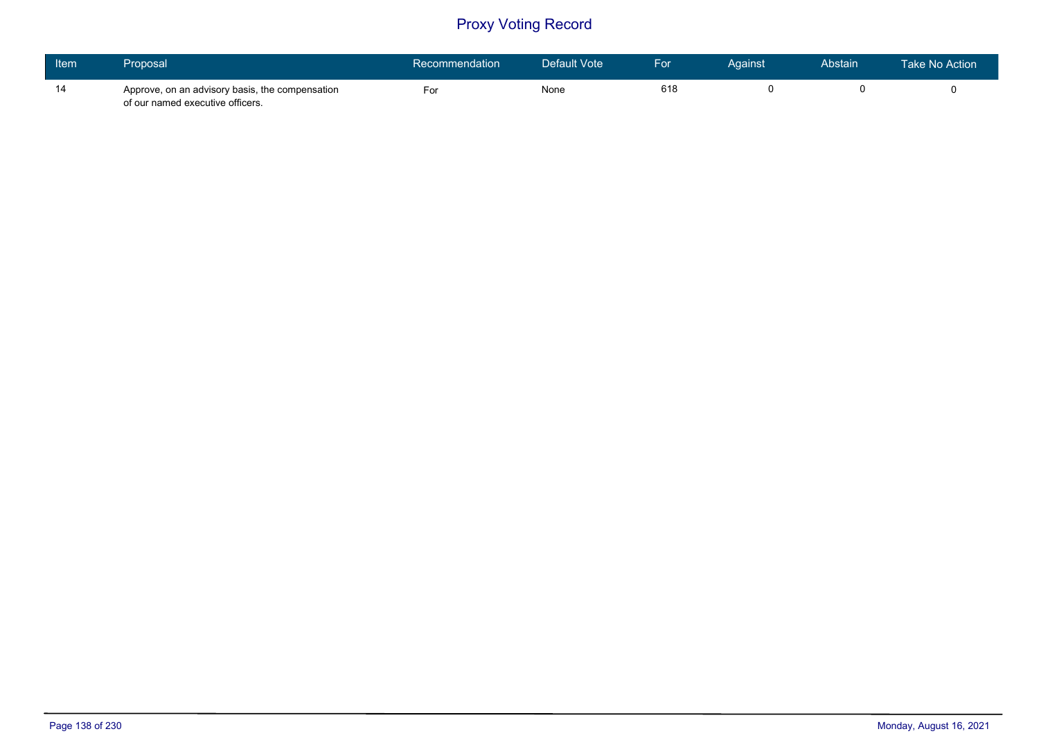| Item | Proposal                                                                            | Recommendation | Default Vote | For | Against | Abstain | Take No Action |
|------|-------------------------------------------------------------------------------------|----------------|--------------|-----|---------|---------|----------------|
| 14   | Approve, on an advisory basis, the compensation<br>of our named executive officers. | For            | None         | 618 |         |         |                |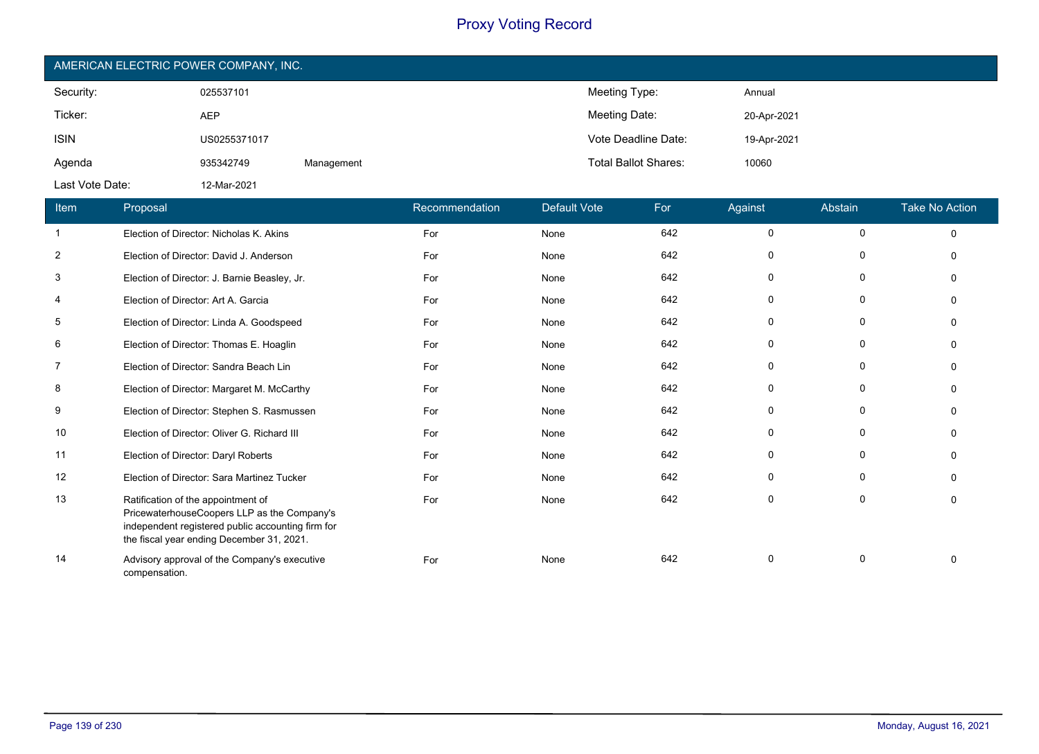| AMERICAN ELECTRIC POWER COMPANY, INC. |              |            |                             |             |  |  |  |  |
|---------------------------------------|--------------|------------|-----------------------------|-------------|--|--|--|--|
| Security:                             | 025537101    |            | Meeting Type:               | Annual      |  |  |  |  |
| Ticker:                               | <b>AEP</b>   |            | Meeting Date:               | 20-Apr-2021 |  |  |  |  |
| <b>ISIN</b>                           | US0255371017 |            | Vote Deadline Date:         | 19-Apr-2021 |  |  |  |  |
| Agenda                                | 935342749    | Management | <b>Total Ballot Shares:</b> | 10060       |  |  |  |  |
| Last Vote Date:                       | 12-Mar-2021  |            |                             |             |  |  |  |  |

| Item | Proposal                                                                                                                                                                            | Recommendation | <b>Default Vote</b> | For | Against     | Abstain      | <b>Take No Action</b> |
|------|-------------------------------------------------------------------------------------------------------------------------------------------------------------------------------------|----------------|---------------------|-----|-------------|--------------|-----------------------|
| -1   | Election of Director: Nicholas K. Akins                                                                                                                                             | For            | None                | 642 | 0           | $\mathbf 0$  | $\Omega$              |
| 2    | Election of Director: David J. Anderson                                                                                                                                             | For            | None                | 642 | $\Omega$    | 0            | $\Omega$              |
| 3    | Election of Director: J. Barnie Beasley, Jr.                                                                                                                                        | For            | None                | 642 | $\Omega$    | 0            | n                     |
| 4    | Election of Director: Art A. Garcia                                                                                                                                                 | For            | None                | 642 | 0           | $\mathbf{0}$ | n                     |
| 5    | Election of Director: Linda A. Goodspeed                                                                                                                                            | For            | None                | 642 | 0           | $\mathbf 0$  |                       |
| 6    | Election of Director: Thomas E. Hoaglin                                                                                                                                             | For            | None                | 642 | $\Omega$    | 0            |                       |
| 7    | Election of Director: Sandra Beach Lin                                                                                                                                              | For            | None                | 642 | 0           | $\mathbf 0$  | $\Omega$              |
| 8    | Election of Director: Margaret M. McCarthy                                                                                                                                          | For            | None                | 642 | $\Omega$    | $\Omega$     | $\Omega$              |
| 9    | Election of Director: Stephen S. Rasmussen                                                                                                                                          | For            | None                | 642 | $\Omega$    | $\Omega$     | n                     |
| 10   | Election of Director: Oliver G. Richard III                                                                                                                                         | For            | None                | 642 | 0           | 0            |                       |
| 11   | Election of Director: Daryl Roberts                                                                                                                                                 | For            | None                | 642 | $\Omega$    | $\mathbf 0$  | n                     |
| 12   | Election of Director: Sara Martinez Tucker                                                                                                                                          | For            | None                | 642 | 0           | $\mathbf 0$  | $\Omega$              |
| 13   | Ratification of the appointment of<br>PricewaterhouseCoopers LLP as the Company's<br>independent registered public accounting firm for<br>the fiscal year ending December 31, 2021. | For            | None                | 642 | $\mathbf 0$ | $\mathbf 0$  | $\Omega$              |
| 14   | Advisory approval of the Company's executive<br>compensation.                                                                                                                       | For            | None                | 642 | $\Omega$    | 0            |                       |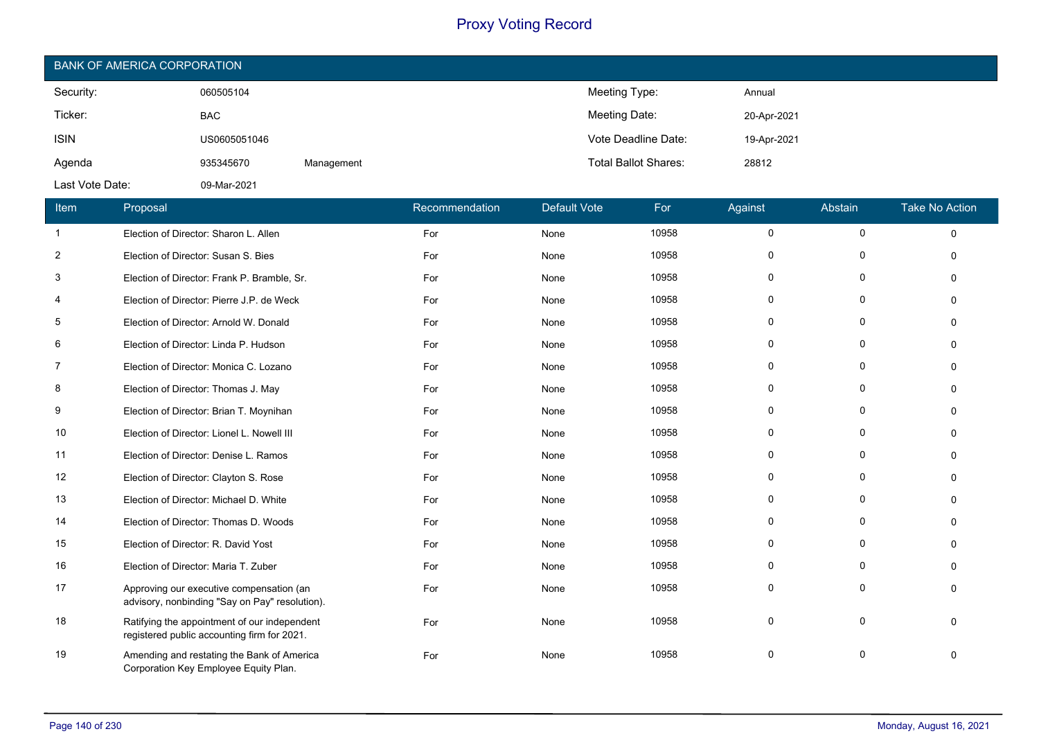| <b>BANK OF AMERICA CORPORATION</b> |              |            |                             |             |  |  |  |  |
|------------------------------------|--------------|------------|-----------------------------|-------------|--|--|--|--|
| Security:                          | 060505104    |            | Meeting Type:               | Annual      |  |  |  |  |
| Ticker:                            | <b>BAC</b>   |            | Meeting Date:               | 20-Apr-2021 |  |  |  |  |
| <b>ISIN</b>                        | US0605051046 |            | Vote Deadline Date:         | 19-Apr-2021 |  |  |  |  |
| Agenda                             | 935345670    | Management | <b>Total Ballot Shares:</b> | 28812       |  |  |  |  |
| Last Vote Date:                    | 09-Mar-2021  |            |                             |             |  |  |  |  |

| Item           | Proposal                                                                                    | Recommendation | <b>Default Vote</b> | For   | Against     | Abstain      | <b>Take No Action</b> |
|----------------|---------------------------------------------------------------------------------------------|----------------|---------------------|-------|-------------|--------------|-----------------------|
| $\mathbf{1}$   | Election of Director: Sharon L. Allen                                                       | For            | None                | 10958 | $\mathbf 0$ | $\mathbf 0$  | $\Omega$              |
| $\overline{2}$ | Election of Director: Susan S. Bies                                                         | For            | None                | 10958 | $\mathbf 0$ | $\mathbf 0$  | $\Omega$              |
| 3              | Election of Director: Frank P. Bramble, Sr.                                                 | For            | None                | 10958 | $\mathbf 0$ | $\Omega$     | $\Omega$              |
| 4              | Election of Director: Pierre J.P. de Weck                                                   | For            | None                | 10958 | 0           | 0            | $\Omega$              |
| 5              | Election of Director: Arnold W. Donald                                                      | For            | None                | 10958 | $\mathbf 0$ | $\Omega$     | $\Omega$              |
| 6              | Election of Director: Linda P. Hudson                                                       | For            | None                | 10958 | 0           | 0            | $\Omega$              |
| 7              | Election of Director: Monica C. Lozano                                                      | For            | None                | 10958 | 0           | $\Omega$     | $\Omega$              |
| 8              | Election of Director: Thomas J. May                                                         | For            | None                | 10958 | 0           | $\Omega$     | $\Omega$              |
| 9              | Election of Director: Brian T. Moynihan                                                     | For            | None                | 10958 | $\Omega$    | $\Omega$     | $\Omega$              |
| 10             | Election of Director: Lionel L. Nowell III                                                  | For            | None                | 10958 | 0           | $\mathbf 0$  | $\Omega$              |
| 11             | Election of Director: Denise L. Ramos                                                       | For            | None                | 10958 | 0           | $\Omega$     | $\Omega$              |
| 12             | Election of Director: Clayton S. Rose                                                       | For            | None                | 10958 | $\Omega$    | $\Omega$     | $\Omega$              |
| 13             | Election of Director: Michael D. White                                                      | For            | None                | 10958 | $\mathbf 0$ | $\Omega$     | $\Omega$              |
| 14             | Election of Director: Thomas D. Woods                                                       | For            | None                | 10958 | 0           | $\Omega$     | $\Omega$              |
| 15             | Election of Director: R. David Yost                                                         | For            | None                | 10958 | 0           | 0            | $\Omega$              |
| 16             | Election of Director: Maria T. Zuber                                                        | For            | None                | 10958 | 0           | 0            | $\Omega$              |
| 17             | Approving our executive compensation (an<br>advisory, nonbinding "Say on Pay" resolution).  | For            | None                | 10958 | 0           | $\mathbf{0}$ | $\Omega$              |
| 18             | Ratifying the appointment of our independent<br>registered public accounting firm for 2021. | For            | None                | 10958 | $\Omega$    | $\Omega$     | $\Omega$              |
| 19             | Amending and restating the Bank of America<br>Corporation Key Employee Equity Plan.         | For            | None                | 10958 | 0           | 0            | $\mathbf{0}$          |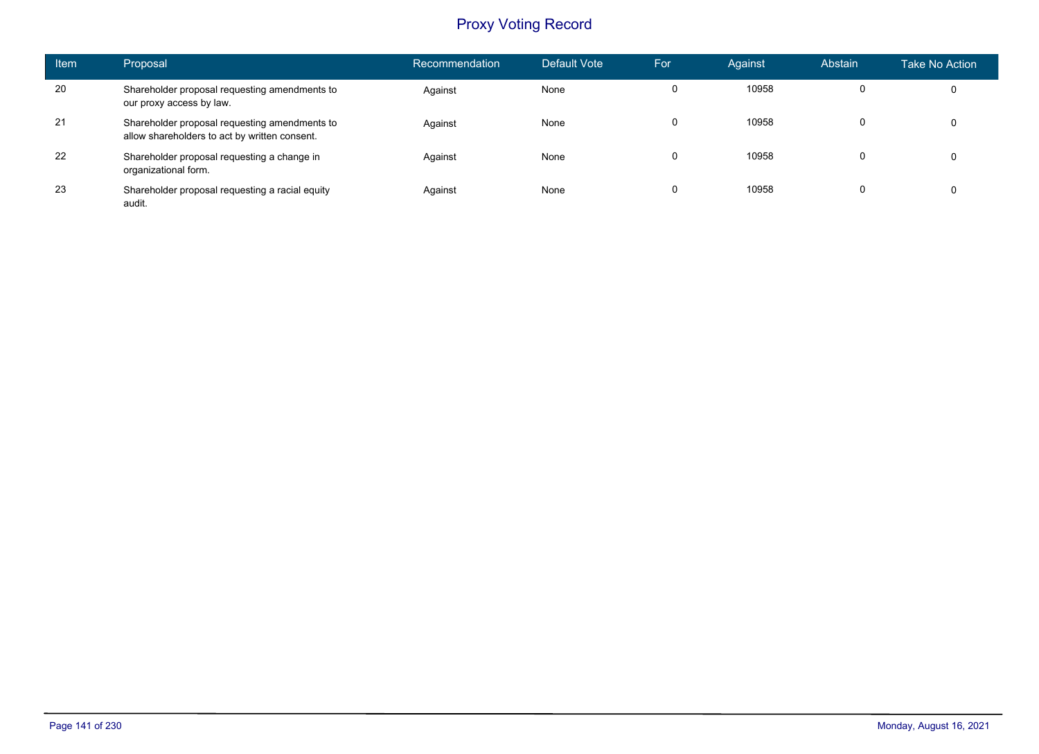| <b>Item</b> | Proposal                                                                                       | Recommendation | Default Vote | For      | Against | Abstain | Take No Action |
|-------------|------------------------------------------------------------------------------------------------|----------------|--------------|----------|---------|---------|----------------|
| 20          | Shareholder proposal requesting amendments to<br>our proxy access by law.                      | Against        | None         | $\Omega$ | 10958   |         | 0              |
| 21          | Shareholder proposal requesting amendments to<br>allow shareholders to act by written consent. | Against        | None         | $\Omega$ | 10958   |         |                |
| 22          | Shareholder proposal requesting a change in<br>organizational form.                            | Against        | None         | 0        | 10958   |         | 0              |
| 23          | Shareholder proposal requesting a racial equity<br>audit.                                      | Against        | None         | 0        | 10958   | 0       | 0              |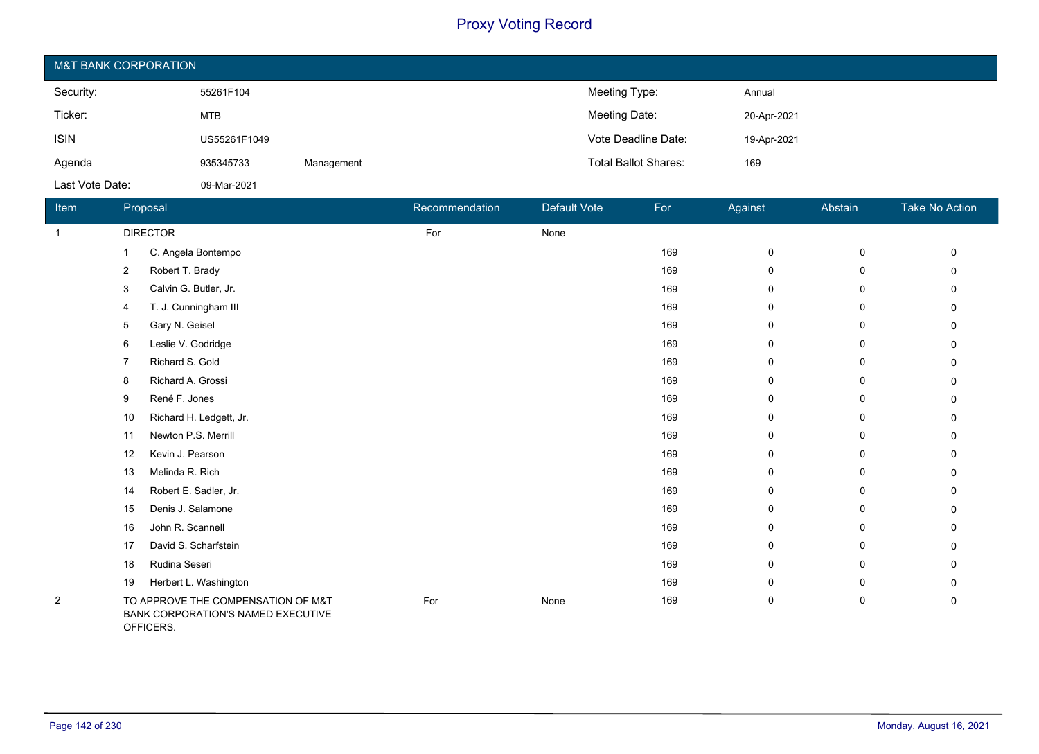| <b>M&amp;T BANK CORPORATION</b> |              |            |                             |             |  |  |  |  |
|---------------------------------|--------------|------------|-----------------------------|-------------|--|--|--|--|
| Security:                       | 55261F104    |            | Meeting Type:               | Annual      |  |  |  |  |
| Ticker:                         | MTB          |            | Meeting Date:               | 20-Apr-2021 |  |  |  |  |
| <b>ISIN</b>                     | US55261F1049 |            | Vote Deadline Date:         | 19-Apr-2021 |  |  |  |  |
| Agenda                          | 935345733    | Management | <b>Total Ballot Shares:</b> | 169         |  |  |  |  |
| Last Vote Date:                 | 09-Mar-2021  |            |                             |             |  |  |  |  |

| Item           |                | Proposal                                                                 | Recommendation | Default Vote | For | Against     | Abstain     | Take No Action |
|----------------|----------------|--------------------------------------------------------------------------|----------------|--------------|-----|-------------|-------------|----------------|
| $\mathbf{1}$   |                | <b>DIRECTOR</b>                                                          | For            | None         |     |             |             |                |
|                |                | C. Angela Bontempo                                                       |                |              | 169 | 0           | $\mathsf 0$ | $\Omega$       |
|                | $\overline{2}$ | Robert T. Brady                                                          |                |              | 169 | 0           | 0           | 0              |
|                | 3              | Calvin G. Butler, Jr.                                                    |                |              | 169 | 0           | 0           | 0              |
|                | 4              | T. J. Cunningham III                                                     |                |              | 169 | $\mathbf 0$ | 0           | 0              |
|                | 5              | Gary N. Geisel                                                           |                |              | 169 | 0           | 0           | 0              |
|                | 6              | Leslie V. Godridge                                                       |                |              | 169 | 0           | 0           | 0              |
|                |                | Richard S. Gold                                                          |                |              | 169 | 0           | 0           | 0              |
|                | 8              | Richard A. Grossi                                                        |                |              | 169 | 0           | 0           | 0              |
|                | 9              | René F. Jones                                                            |                |              | 169 | 0           | 0           | $\mathbf{0}$   |
|                | 10             | Richard H. Ledgett, Jr.                                                  |                |              | 169 | 0           | 0           | 0              |
|                | 11             | Newton P.S. Merrill                                                      |                |              | 169 | 0           | 0           | 0              |
|                | 12             | Kevin J. Pearson                                                         |                |              | 169 | 0           | 0           | 0              |
|                | 13             | Melinda R. Rich                                                          |                |              | 169 | 0           | 0           | $\mathbf{0}$   |
|                | 14             | Robert E. Sadler, Jr.                                                    |                |              | 169 | 0           | 0           | 0              |
|                | 15             | Denis J. Salamone                                                        |                |              | 169 | 0           | 0           | 0              |
|                | 16             | John R. Scannell                                                         |                |              | 169 | 0           | 0           | $\Omega$       |
|                | 17             | David S. Scharfstein                                                     |                |              | 169 | 0           | 0           | 0              |
|                | 18             | Rudina Seseri                                                            |                |              | 169 | 0           | 0           | 0              |
|                | 19             | Herbert L. Washington                                                    |                |              | 169 | 0           | 0           | 0              |
| $\overline{2}$ |                | TO APPROVE THE COMPENSATION OF M&T<br>BANK CORPORATION'S NAMED EXECUTIVE | For            | None         | 169 | 0           | 0           | 0              |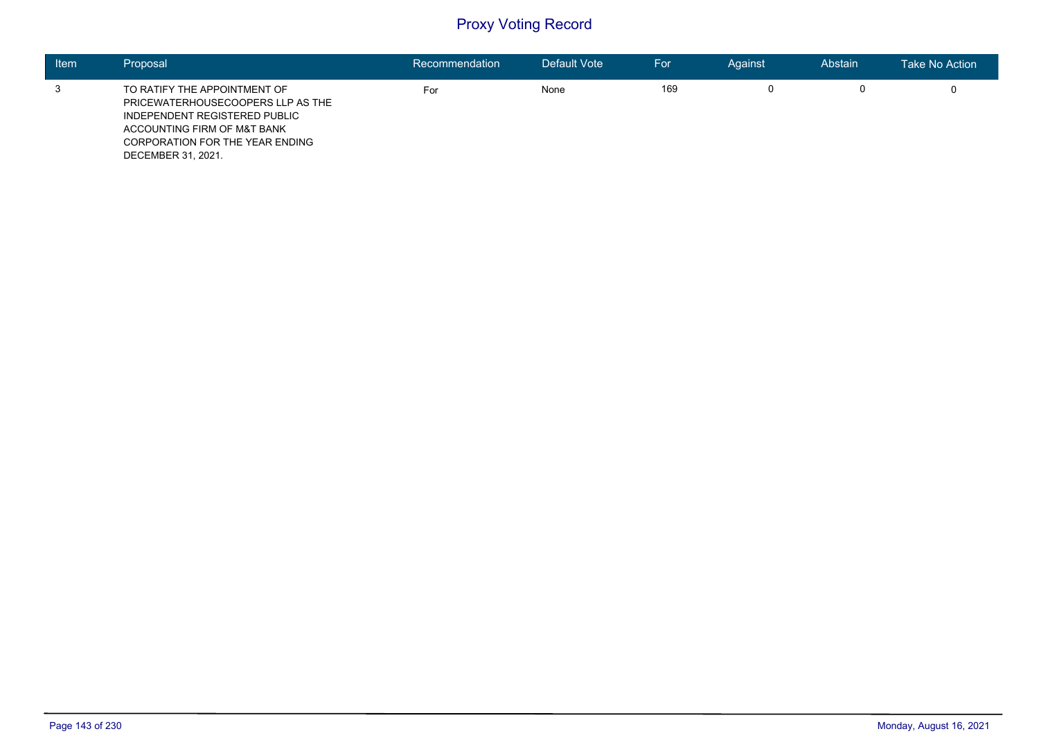| <b>Item</b> | Proposal                                                                                                                                                                                   | Recommendation | Default Vote | For | Against | Abstain | Take No Action |
|-------------|--------------------------------------------------------------------------------------------------------------------------------------------------------------------------------------------|----------------|--------------|-----|---------|---------|----------------|
|             | TO RATIFY THE APPOINTMENT OF<br>PRICEWATERHOUSECOOPERS LLP AS THE<br>INDEPENDENT REGISTERED PUBLIC<br>ACCOUNTING FIRM OF M&T BANK<br>CORPORATION FOR THE YEAR ENDING<br>DECEMBER 31, 2021. | For            | None         | 169 |         | 0       |                |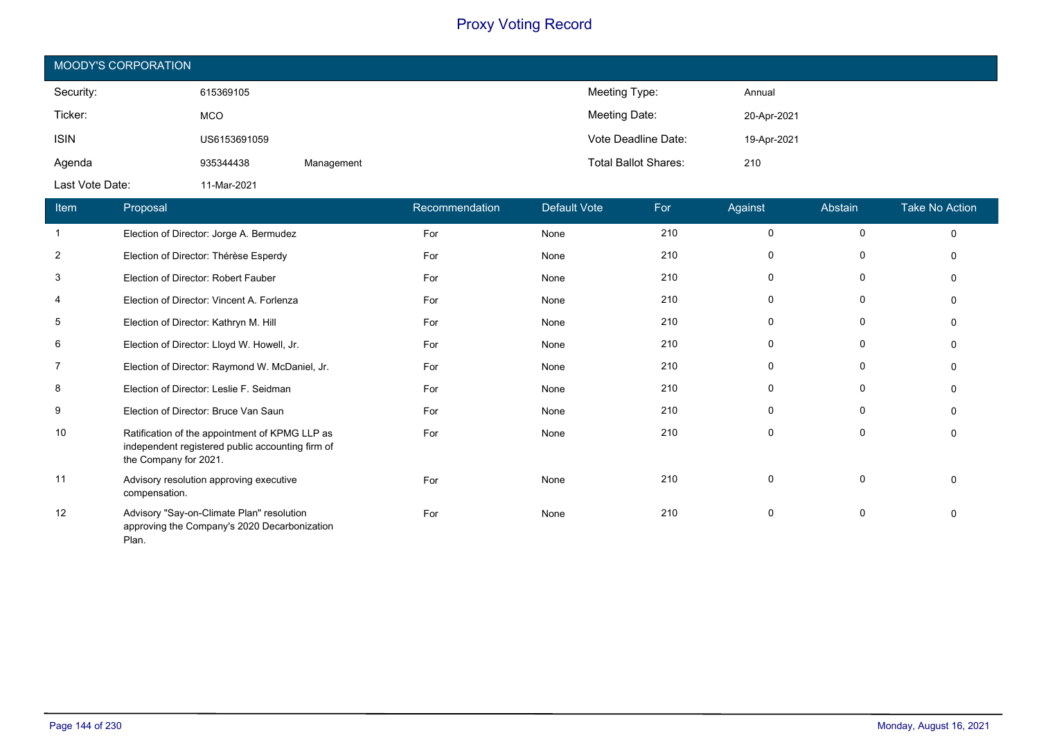| <b>MOODY'S CORPORATION</b> |              |            |                             |             |  |  |  |  |
|----------------------------|--------------|------------|-----------------------------|-------------|--|--|--|--|
| Security:                  | 615369105    |            | Meeting Type:               | Annual      |  |  |  |  |
| Ticker:                    | <b>MCO</b>   |            | Meeting Date:               | 20-Apr-2021 |  |  |  |  |
| <b>ISIN</b>                | US6153691059 |            | Vote Deadline Date:         | 19-Apr-2021 |  |  |  |  |
| Agenda                     | 935344438    | Management | <b>Total Ballot Shares:</b> | 210         |  |  |  |  |
| Last Vote Date:            | 11-Mar-2021  |            |                             |             |  |  |  |  |

| Item           | Proposal                                                                                                                    | Recommendation | <b>Default Vote</b> | For | Against     | Abstain     | <b>Take No Action</b> |
|----------------|-----------------------------------------------------------------------------------------------------------------------------|----------------|---------------------|-----|-------------|-------------|-----------------------|
|                | Election of Director: Jorge A. Bermudez                                                                                     | For            | None                | 210 | 0           | 0           | $\mathbf 0$           |
| $\overline{2}$ | Election of Director: Thérèse Esperdy                                                                                       | For            | None                | 210 | 0           | 0           | $\Omega$              |
| 3              | Election of Director: Robert Fauber                                                                                         | For            | None                | 210 | $\mathbf 0$ | 0           | $\Omega$              |
| $\overline{4}$ | Election of Director: Vincent A. Forlenza                                                                                   | For            | None                | 210 | 0           | 0           | $\Omega$              |
| 5              | Election of Director: Kathryn M. Hill                                                                                       | For            | None                | 210 | 0           | 0           | $\Omega$              |
| 6              | Election of Director: Lloyd W. Howell, Jr.                                                                                  | For            | None                | 210 | 0           | 0           | $\Omega$              |
| 7              | Election of Director: Raymond W. McDaniel, Jr.                                                                              | For            | None                | 210 | 0           | 0           | $\Omega$              |
| 8              | Election of Director: Leslie F. Seidman                                                                                     | For            | None                | 210 | $\mathbf 0$ | 0           | $\Omega$              |
| 9              | Election of Director: Bruce Van Saun                                                                                        | For            | None                | 210 | $\mathbf 0$ | 0           | $\Omega$              |
| 10             | Ratification of the appointment of KPMG LLP as<br>independent registered public accounting firm of<br>the Company for 2021. | For            | None                | 210 | 0           | 0           | $\mathbf{0}$          |
| 11             | Advisory resolution approving executive<br>compensation.                                                                    | For            | None                | 210 | 0           | $\mathbf 0$ | $\Omega$              |
| 12             | Advisory "Say-on-Climate Plan" resolution<br>approving the Company's 2020 Decarbonization<br>Plan.                          | For            | None                | 210 | 0           | 0           | $\mathbf{0}$          |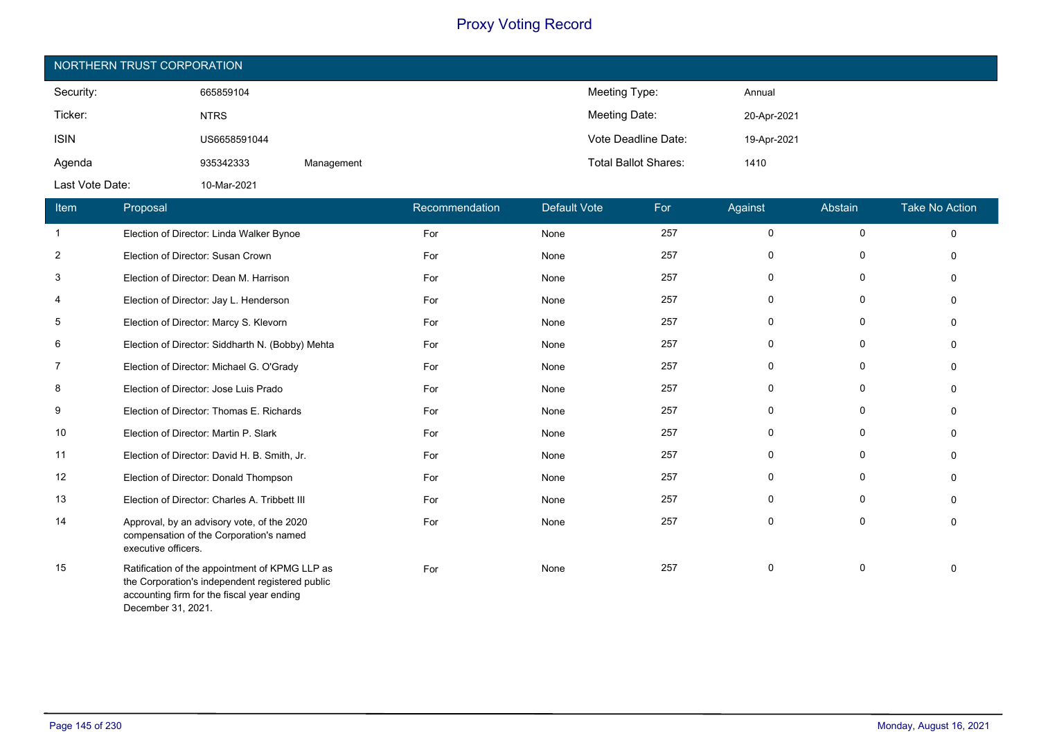| NORTHERN TRUST CORPORATION |              |            |                             |             |  |  |  |
|----------------------------|--------------|------------|-----------------------------|-------------|--|--|--|
| Security:                  | 665859104    |            | Meeting Type:               | Annual      |  |  |  |
| Ticker:                    | <b>NTRS</b>  |            | Meeting Date:               | 20-Apr-2021 |  |  |  |
| <b>ISIN</b>                | US6658591044 |            | Vote Deadline Date:         | 19-Apr-2021 |  |  |  |
| Agenda                     | 935342333    | Management | <b>Total Ballot Shares:</b> | 1410        |  |  |  |
| Last Vote Date:            | 10-Mar-2021  |            |                             |             |  |  |  |

| Item           | Proposal                                                                                                                                                              | Recommendation | Default Vote | For | Against | Abstain     | <b>Take No Action</b> |
|----------------|-----------------------------------------------------------------------------------------------------------------------------------------------------------------------|----------------|--------------|-----|---------|-------------|-----------------------|
| $\mathbf{1}$   | Election of Director: Linda Walker Bynoe                                                                                                                              | For            | None         | 257 | 0       | 0           | $\mathbf 0$           |
| $\overline{2}$ | Election of Director: Susan Crown                                                                                                                                     | For            | None         | 257 | 0       | 0           | $\Omega$              |
| 3              | Election of Director: Dean M. Harrison                                                                                                                                | For            | None         | 257 | 0       | 0           | $\Omega$              |
| 4              | Election of Director: Jay L. Henderson                                                                                                                                | For            | None         | 257 | 0       | 0           | $\Omega$              |
| 5              | Election of Director: Marcy S. Klevorn                                                                                                                                | For            | None         | 257 | 0       | 0           | $\Omega$              |
| 6              | Election of Director: Siddharth N. (Bobby) Mehta                                                                                                                      | For            | None         | 257 | 0       | $\mathbf 0$ | $\Omega$              |
| $\overline{7}$ | Election of Director: Michael G. O'Grady                                                                                                                              | For            | None         | 257 | 0       | 0           | $\Omega$              |
| 8              | Election of Director: Jose Luis Prado                                                                                                                                 | For            | None         | 257 | 0       | 0           | $\Omega$              |
| 9              | Election of Director: Thomas E. Richards                                                                                                                              | For            | None         | 257 | 0       | 0           | $\Omega$              |
| 10             | Election of Director: Martin P. Slark                                                                                                                                 | For            | None         | 257 | 0       | 0           | $\Omega$              |
| 11             | Election of Director: David H. B. Smith, Jr.                                                                                                                          | For            | None         | 257 | 0       | 0           | $\Omega$              |
| 12             | Election of Director: Donald Thompson                                                                                                                                 | For            | None         | 257 | 0       | 0           | $\Omega$              |
| 13             | Election of Director: Charles A. Tribbett III                                                                                                                         | For            | None         | 257 | 0       | 0           | $\Omega$              |
| 14             | Approval, by an advisory vote, of the 2020<br>compensation of the Corporation's named<br>executive officers.                                                          | For            | None         | 257 | 0       | 0           | $\mathbf 0$           |
| 15             | Ratification of the appointment of KPMG LLP as<br>the Corporation's independent registered public<br>accounting firm for the fiscal year ending<br>December 31, 2021. | For            | None         | 257 | 0       | 0           | $\Omega$              |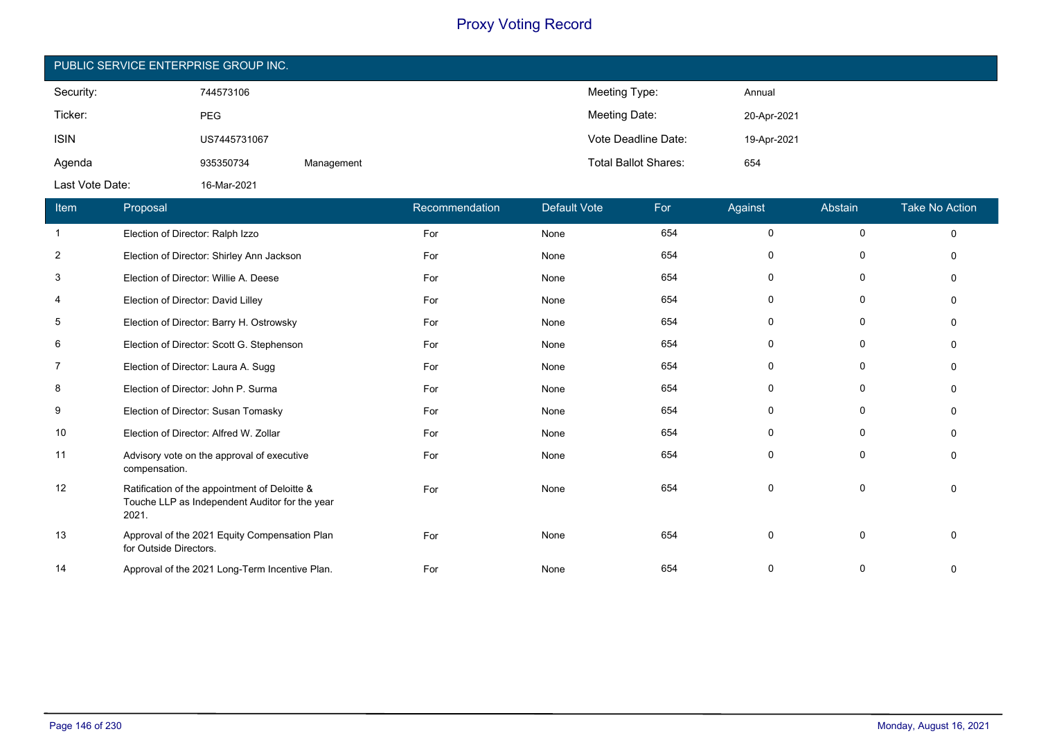| PUBLIC SERVICE ENTERPRISE GROUP INC. |              |            |                             |             |  |  |  |
|--------------------------------------|--------------|------------|-----------------------------|-------------|--|--|--|
| Security:                            | 744573106    |            | Meeting Type:               | Annual      |  |  |  |
| Ticker:                              | <b>PEG</b>   |            | Meeting Date:               | 20-Apr-2021 |  |  |  |
| <b>ISIN</b>                          | US7445731067 |            | Vote Deadline Date:         | 19-Apr-2021 |  |  |  |
| Agenda                               | 935350734    | Management | <b>Total Ballot Shares:</b> | 654         |  |  |  |
| Last Vote Date:                      | 16-Mar-2021  |            |                             |             |  |  |  |

| Item           | Proposal                                                                                                 | Recommendation | Default Vote | For | Against     | Abstain      | <b>Take No Action</b> |
|----------------|----------------------------------------------------------------------------------------------------------|----------------|--------------|-----|-------------|--------------|-----------------------|
| -1             | Election of Director: Ralph Izzo                                                                         | For            | None         | 654 | 0           | 0            | $\mathbf 0$           |
| $\overline{2}$ | Election of Director: Shirley Ann Jackson                                                                | For            | None         | 654 | $\mathbf 0$ | 0            | $\Omega$              |
| 3              | Election of Director: Willie A. Deese                                                                    | For            | None         | 654 | 0           | 0            | $\Omega$              |
| $\overline{4}$ | Election of Director: David Lilley                                                                       | For            | None         | 654 | 0           | 0            | $\Omega$              |
| 5              | Election of Director: Barry H. Ostrowsky                                                                 | For            | None         | 654 | $\mathbf 0$ | $\mathbf 0$  | $\Omega$              |
| 6              | Election of Director: Scott G. Stephenson                                                                | For            | None         | 654 | 0           | 0            | $\Omega$              |
| 7              | Election of Director: Laura A. Sugg                                                                      | For            | None         | 654 | $\mathbf 0$ | 0            | $\Omega$              |
| 8              | Election of Director: John P. Surma                                                                      | For            | None         | 654 | 0           | 0            | $\Omega$              |
| 9              | Election of Director: Susan Tomasky                                                                      | For            | None         | 654 | 0           | 0            | $\Omega$              |
| 10             | Election of Director: Alfred W. Zollar                                                                   | For            | None         | 654 | $\mathbf 0$ | 0            | $\Omega$              |
| 11             | Advisory vote on the approval of executive<br>compensation.                                              | For            | None         | 654 | $\mathbf 0$ | 0            | $\mathbf{0}$          |
| 12             | Ratification of the appointment of Deloitte &<br>Touche LLP as Independent Auditor for the year<br>2021. | For            | None         | 654 | 0           | 0            | $\Omega$              |
| 13             | Approval of the 2021 Equity Compensation Plan<br>for Outside Directors.                                  | For            | None         | 654 | $\mathbf 0$ | $\mathbf{0}$ | $\Omega$              |
| 14             | Approval of the 2021 Long-Term Incentive Plan.                                                           | For            | None         | 654 | 0           | 0            | 0                     |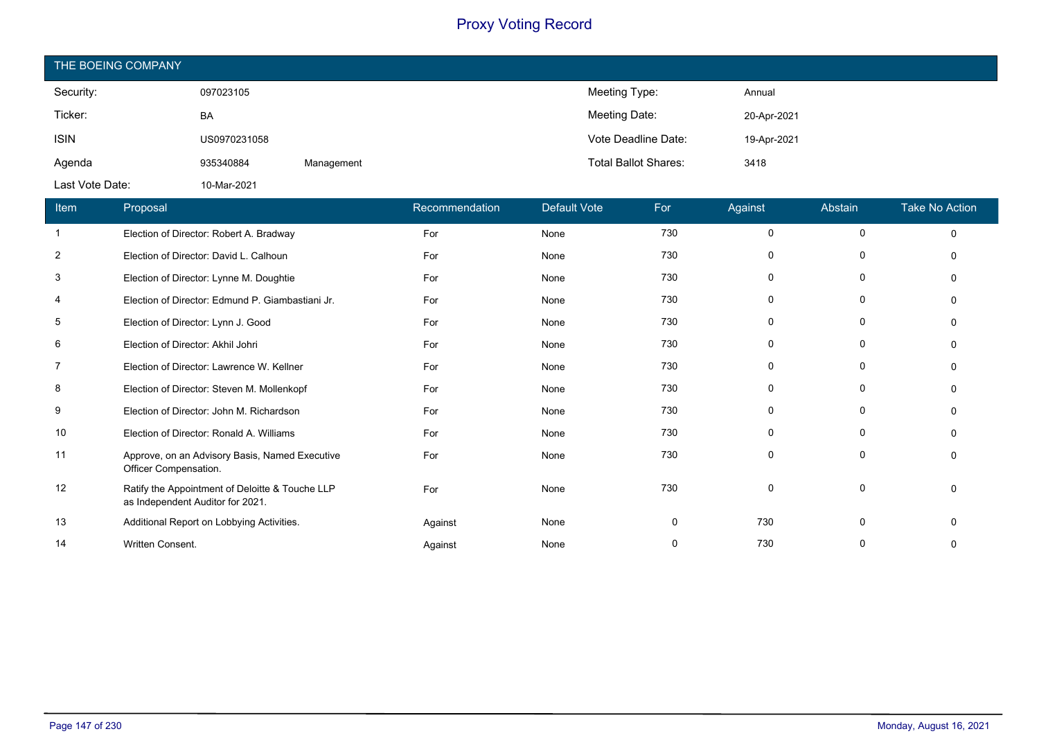| THE BOEING COMPANY |              |            |                             |             |
|--------------------|--------------|------------|-----------------------------|-------------|
| Security:          | 097023105    |            | Meeting Type:               | Annual      |
| Ticker:            | BA           |            | Meeting Date:               | 20-Apr-2021 |
| <b>ISIN</b>        | US0970231058 |            | Vote Deadline Date:         | 19-Apr-2021 |
| Agenda             | 935340884    | Management | <b>Total Ballot Shares:</b> | 3418        |
| Last Vote Date:    | 10-Mar-2021  |            |                             |             |

| Item           | Proposal                                                                            | Recommendation | <b>Default Vote</b> | For | Against  | Abstain     | <b>Take No Action</b> |
|----------------|-------------------------------------------------------------------------------------|----------------|---------------------|-----|----------|-------------|-----------------------|
|                | Election of Director: Robert A. Bradway                                             | For            | None                | 730 | 0        | $\mathbf 0$ | $\Omega$              |
| $\overline{2}$ | Election of Director: David L. Calhoun                                              | For            | None                | 730 | $\Omega$ | 0           |                       |
| 3              | Election of Director: Lynne M. Doughtie                                             | For            | None                | 730 | 0        | 0           |                       |
| 4              | Election of Director: Edmund P. Giambastiani Jr.                                    | For            | None                | 730 | $\Omega$ | $\Omega$    |                       |
| 5              | Election of Director: Lynn J. Good                                                  | For            | None                | 730 | 0        | 0           |                       |
| 6              | Election of Director: Akhil Johri                                                   | For            | None                | 730 | $\Omega$ | 0           |                       |
| 7              | Election of Director: Lawrence W. Kellner                                           | For            | None                | 730 | 0        | 0           |                       |
| 8              | Election of Director: Steven M. Mollenkopf                                          | For            | None                | 730 | $\Omega$ | 0           |                       |
| 9              | Election of Director: John M. Richardson                                            | For            | None                | 730 | $\Omega$ | 0           |                       |
| 10             | Election of Director: Ronald A. Williams                                            | For            | None                | 730 | $\Omega$ | 0           |                       |
| 11             | Approve, on an Advisory Basis, Named Executive<br>Officer Compensation.             | For            | None                | 730 | $\Omega$ | 0           |                       |
| 12             | Ratify the Appointment of Deloitte & Touche LLP<br>as Independent Auditor for 2021. | For            | None                | 730 | 0        | 0           |                       |
| 13             | Additional Report on Lobbying Activities.                                           | Against        | None                | 0   | 730      | 0           |                       |
| 14             | Written Consent.                                                                    | Against        | None                | 0   | 730      | 0           |                       |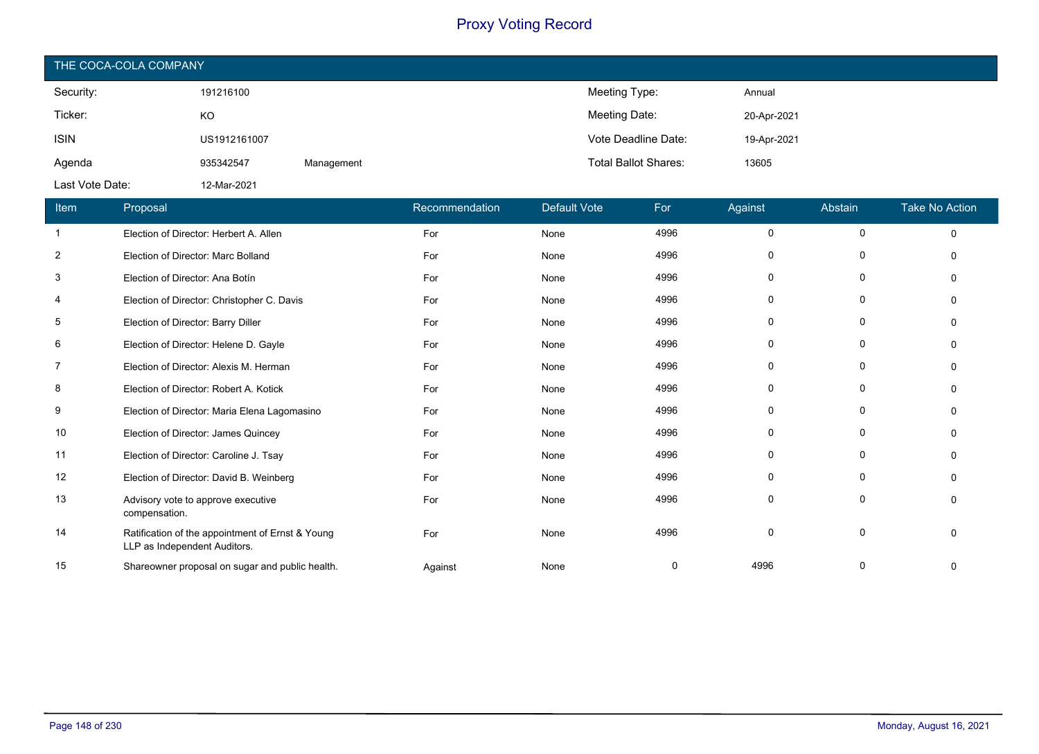| THE COCA-COLA COMPANY |              |            |                             |             |  |  |  |
|-----------------------|--------------|------------|-----------------------------|-------------|--|--|--|
| Security:             | 191216100    |            | Meeting Type:               | Annual      |  |  |  |
| Ticker:               | KO           |            | Meeting Date:               | 20-Apr-2021 |  |  |  |
| <b>ISIN</b>           | US1912161007 |            | Vote Deadline Date:         | 19-Apr-2021 |  |  |  |
| Agenda                | 935342547    | Management | <b>Total Ballot Shares:</b> | 13605       |  |  |  |
| Last Vote Date:       | 12-Mar-2021  |            |                             |             |  |  |  |

| Item           | Proposal                                                                         | Recommendation | <b>Default Vote</b> | For  | Against     | Abstain     | <b>Take No Action</b> |
|----------------|----------------------------------------------------------------------------------|----------------|---------------------|------|-------------|-------------|-----------------------|
|                | Election of Director: Herbert A. Allen                                           | For            | None                | 4996 | $\mathbf 0$ | 0           | $\Omega$              |
| $\overline{2}$ | Election of Director: Marc Bolland                                               | For            | None                | 4996 | $\Omega$    | 0           |                       |
| 3              | Election of Director: Ana Botin                                                  | For            | None                | 4996 | $\Omega$    | 0           |                       |
| 4              | Election of Director: Christopher C. Davis                                       | For            | None                | 4996 | $\Omega$    | 0           |                       |
| 5              | Election of Director: Barry Diller                                               | For            | None                | 4996 | $\Omega$    | 0           |                       |
| 6              | Election of Director: Helene D. Gayle                                            | For            | None                | 4996 | $\Omega$    | $\mathbf 0$ |                       |
| 7              | Election of Director: Alexis M. Herman                                           | For            | None                | 4996 | $\Omega$    | $\Omega$    |                       |
| 8              | Election of Director: Robert A. Kotick                                           | For            | None                | 4996 | 0           | 0           |                       |
| 9              | Election of Director: Maria Elena Lagomasino                                     | For            | None                | 4996 | 0           | 0           |                       |
| 10             | Election of Director: James Quincey                                              | For            | None                | 4996 | 0           | 0           |                       |
| 11             | Election of Director: Caroline J. Tsay                                           | For            | None                | 4996 | $\Omega$    | 0           |                       |
| 12             | Election of Director: David B. Weinberg                                          | For            | None                | 4996 | $\Omega$    | $\Omega$    |                       |
| 13             | Advisory vote to approve executive<br>compensation.                              | For            | None                | 4996 | 0           | 0           |                       |
| 14             | Ratification of the appointment of Ernst & Young<br>LLP as Independent Auditors. | For            | None                | 4996 | $\Omega$    | $\Omega$    |                       |
| 15             | Shareowner proposal on sugar and public health.                                  | Against        | None                | 0    | 4996        |             |                       |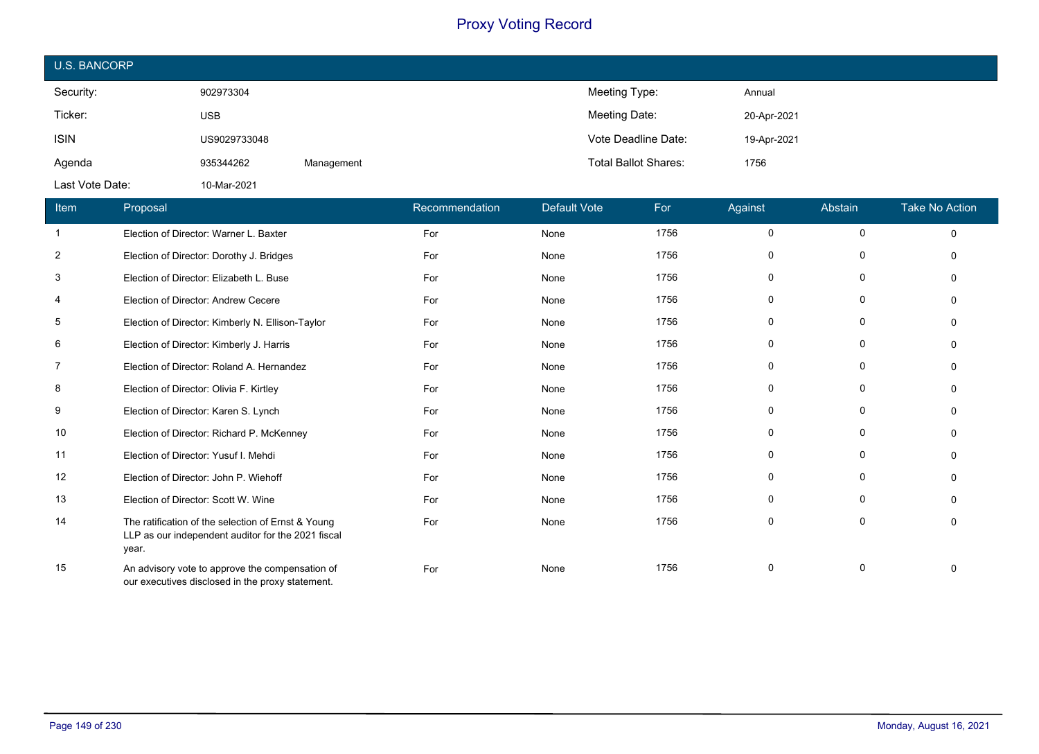| <b>U.S. BANCORP</b> |              |            |                             |             |
|---------------------|--------------|------------|-----------------------------|-------------|
| Security:           | 902973304    |            | Meeting Type:               | Annual      |
| Ticker:             | <b>USB</b>   |            | Meeting Date:               | 20-Apr-2021 |
| <b>ISIN</b>         | US9029733048 |            | Vote Deadline Date:         | 19-Apr-2021 |
| Agenda              | 935344262    | Management | <b>Total Ballot Shares:</b> | 1756        |
| Last Vote Date:     | 10-Mar-2021  |            |                             |             |

| Item           | Proposal                                                                                                          | Recommendation | Default Vote | For  | Against  | Abstain     | <b>Take No Action</b> |
|----------------|-------------------------------------------------------------------------------------------------------------------|----------------|--------------|------|----------|-------------|-----------------------|
| 1              | Election of Director: Warner L. Baxter                                                                            | For            | None         | 1756 | $\Omega$ | $\mathbf 0$ | $\Omega$              |
| $\overline{c}$ | Election of Director: Dorothy J. Bridges                                                                          | For            | None         | 1756 | $\Omega$ | 0           |                       |
| 3              | Election of Director: Elizabeth L. Buse                                                                           | For            | None         | 1756 | $\Omega$ | 0           |                       |
| 4              | Election of Director: Andrew Cecere                                                                               | For            | None         | 1756 | $\Omega$ | $\Omega$    |                       |
| 5              | Election of Director: Kimberly N. Ellison-Taylor                                                                  | For            | None         | 1756 | 0        | $\Omega$    |                       |
| 6              | Election of Director: Kimberly J. Harris                                                                          | For            | None         | 1756 | $\Omega$ | 0           |                       |
| 7              | Election of Director: Roland A. Hernandez                                                                         | For            | None         | 1756 | 0        | $\Omega$    |                       |
| 8              | Election of Director: Olivia F. Kirtley                                                                           | For            | None         | 1756 | 0        | $\Omega$    |                       |
| 9              | Election of Director: Karen S. Lynch                                                                              | For            | None         | 1756 | $\Omega$ | 0           |                       |
| 10             | Election of Director: Richard P. McKenney                                                                         | For            | None         | 1756 | $\Omega$ | $\mathbf 0$ |                       |
| 11             | Election of Director: Yusuf I. Mehdi                                                                              | For            | None         | 1756 | $\Omega$ | $\Omega$    |                       |
| 12             | Election of Director: John P. Wiehoff                                                                             | For            | None         | 1756 | $\Omega$ | $\Omega$    |                       |
| 13             | Election of Director: Scott W. Wine                                                                               | For            | None         | 1756 | $\Omega$ | 0           |                       |
| 14             | The ratification of the selection of Ernst & Young<br>LLP as our independent auditor for the 2021 fiscal<br>year. | For            | None         | 1756 | 0        | $\Omega$    |                       |
| 15             | An advisory vote to approve the compensation of<br>our executives disclosed in the proxy statement.               | For            | None         | 1756 | $\Omega$ | $\Omega$    |                       |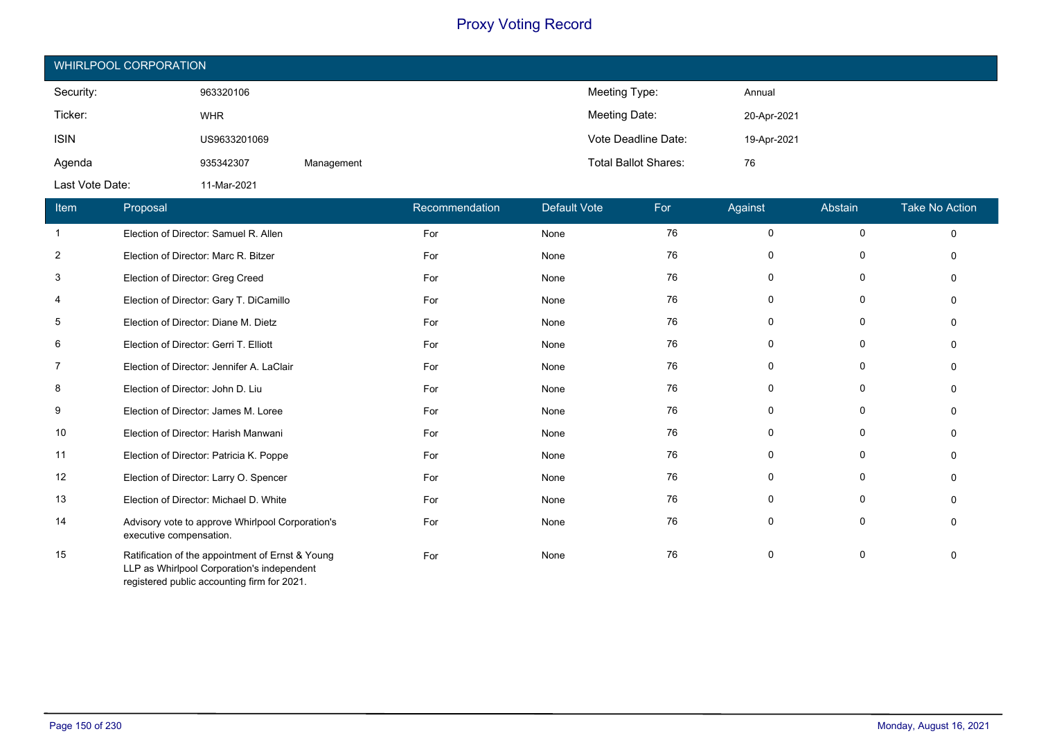| WHIRLPOOL CORPORATION |              |            |                             |             |  |  |  |
|-----------------------|--------------|------------|-----------------------------|-------------|--|--|--|
| Security:             | 963320106    |            | Meeting Type:               | Annual      |  |  |  |
| Ticker:               | <b>WHR</b>   |            | Meeting Date:               | 20-Apr-2021 |  |  |  |
| <b>ISIN</b>           | US9633201069 |            | Vote Deadline Date:         | 19-Apr-2021 |  |  |  |
| Agenda                | 935342307    | Management | <b>Total Ballot Shares:</b> | 76          |  |  |  |
| Last Vote Date:       | 11-Mar-2021  |            |                             |             |  |  |  |

| Item           | Proposal                                                                                                                                      | Recommendation | <b>Default Vote</b> | For | Against  | Abstain     | <b>Take No Action</b> |
|----------------|-----------------------------------------------------------------------------------------------------------------------------------------------|----------------|---------------------|-----|----------|-------------|-----------------------|
| -1             | Election of Director: Samuel R. Allen                                                                                                         | For            | None                | 76  | $\Omega$ | $\mathbf 0$ | $\Omega$              |
| $\overline{2}$ | Election of Director: Marc R. Bitzer                                                                                                          | For            | None                | 76  | $\Omega$ | 0           |                       |
| 3              | Election of Director: Greg Creed                                                                                                              | For            | None                | 76  | $\Omega$ | $\mathbf 0$ |                       |
| 4              | Election of Director: Gary T. DiCamillo                                                                                                       | For            | None                | 76  | $\Omega$ | $\Omega$    |                       |
| 5              | Election of Director: Diane M. Dietz                                                                                                          | For            | None                | 76  | 0        | $\Omega$    |                       |
| 6              | Election of Director: Gerri T. Elliott                                                                                                        | For            | None                | 76  | $\Omega$ | 0           |                       |
| 7              | Election of Director: Jennifer A. LaClair                                                                                                     | For            | None                | 76  | 0        | 0           |                       |
| 8              | Election of Director: John D. Liu                                                                                                             | For            | None                | 76  | 0        | 0           |                       |
| 9              | Election of Director: James M. Loree                                                                                                          | For            | None                | 76  | $\Omega$ | $\mathbf 0$ |                       |
| 10             | Election of Director: Harish Manwani                                                                                                          | For            | None                | 76  | $\Omega$ | $\mathbf 0$ |                       |
| 11             | Election of Director: Patricia K. Poppe                                                                                                       | For            | None                | 76  | $\Omega$ | $\Omega$    |                       |
| 12             | Election of Director: Larry O. Spencer                                                                                                        | For            | None                | 76  | 0        | $\Omega$    |                       |
| 13             | Election of Director: Michael D. White                                                                                                        | For            | None                | 76  | 0        | $\Omega$    |                       |
| 14             | Advisory vote to approve Whirlpool Corporation's<br>executive compensation.                                                                   | For            | None                | 76  | $\Omega$ | $\mathbf 0$ |                       |
| 15             | Ratification of the appointment of Ernst & Young<br>LLP as Whirlpool Corporation's independent<br>registered public accounting firm for 2021. | For            | None                | 76  | 0        | 0           |                       |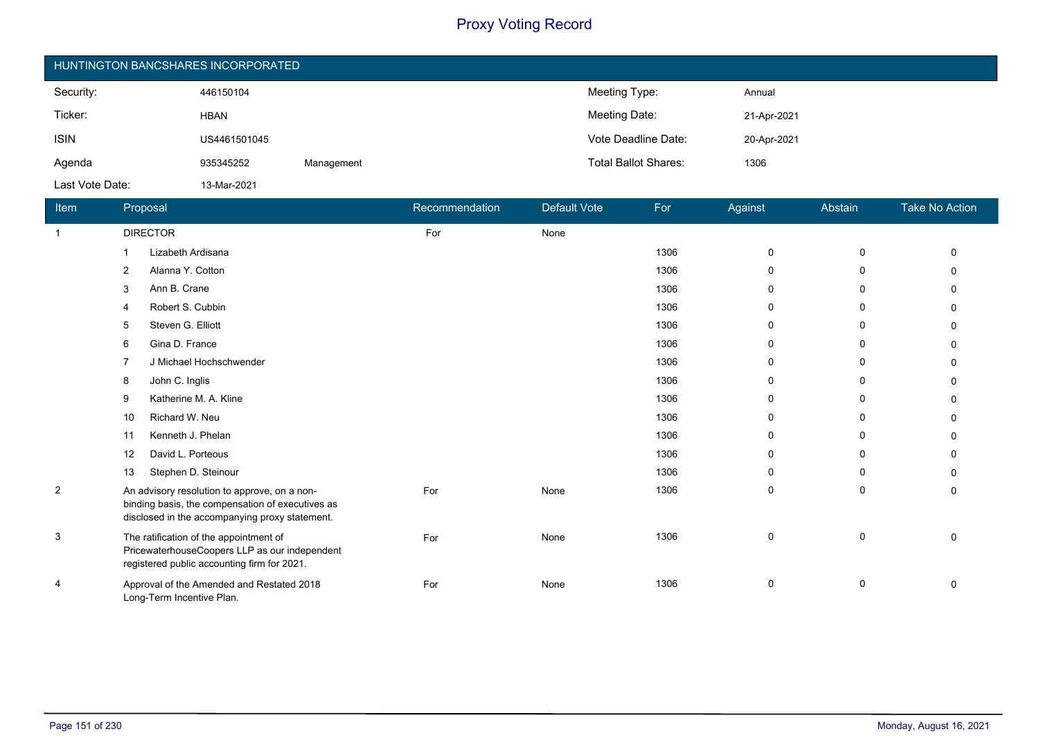| HUNTINGTON BANCSHARES INCORPORATED |              |            |                             |             |  |  |  |
|------------------------------------|--------------|------------|-----------------------------|-------------|--|--|--|
| Security:                          | 446150104    |            | Meeting Type:               | Annual      |  |  |  |
| Ticker:                            | <b>HBAN</b>  |            | Meeting Date:               | 21-Apr-2021 |  |  |  |
| <b>ISIN</b>                        | US4461501045 |            | Vote Deadline Date:         | 20-Apr-2021 |  |  |  |
| Agenda                             | 935345252    | Management | <b>Total Ballot Shares:</b> | 1306        |  |  |  |
| Last Vote Date:                    | 13-Mar-2021  |            |                             |             |  |  |  |

| Item           | Proposal                                                                                                                                           | Recommendation | Default Vote | For  | Against     | Abstain     | Take No Action |
|----------------|----------------------------------------------------------------------------------------------------------------------------------------------------|----------------|--------------|------|-------------|-------------|----------------|
| $\mathbf{1}$   | <b>DIRECTOR</b>                                                                                                                                    | For            | None         |      |             |             |                |
|                | Lizabeth Ardisana                                                                                                                                  |                |              | 1306 | 0           | $\mathbf 0$ | U              |
|                | Alanna Y. Cotton<br>$\overline{2}$                                                                                                                 |                |              | 1306 | $\Omega$    | 0           | 0              |
|                | Ann B. Crane<br>3                                                                                                                                  |                |              | 1306 | $\Omega$    | 0           |                |
|                | Robert S. Cubbin<br>4                                                                                                                              |                |              | 1306 | $\Omega$    | 0           | 0              |
|                | Steven G. Elliott<br>5                                                                                                                             |                |              | 1306 | $\Omega$    | 0           | U              |
|                | Gina D. France<br>6                                                                                                                                |                |              | 1306 | 0           | 0           |                |
|                | J Michael Hochschwender                                                                                                                            |                |              | 1306 | 0           | 0           |                |
|                | John C. Inglis<br>8                                                                                                                                |                |              | 1306 | 0           | 0           |                |
|                | Katherine M. A. Kline<br>9                                                                                                                         |                |              | 1306 | $\Omega$    | 0           | 0              |
|                | Richard W. Neu<br>10                                                                                                                               |                |              | 1306 | $\Omega$    | 0           | U              |
|                | Kenneth J. Phelan<br>11                                                                                                                            |                |              | 1306 | 0           | 0           | U              |
|                | David L. Porteous<br>12                                                                                                                            |                |              | 1306 | 0           | 0           | U              |
|                | Stephen D. Steinour<br>13                                                                                                                          |                |              | 1306 | 0           | 0           | 0              |
| $\overline{2}$ | An advisory resolution to approve, on a non-<br>binding basis, the compensation of executives as<br>disclosed in the accompanying proxy statement. | For            | None         | 1306 | 0           | 0           | 0              |
| 3              | The ratification of the appointment of<br>PricewaterhouseCoopers LLP as our independent<br>registered public accounting firm for 2021.             | For            | None         | 1306 | $\mathbf 0$ | 0           | 0              |
| 4              | Approval of the Amended and Restated 2018<br>Long-Term Incentive Plan.                                                                             | For            | None         | 1306 | $\mathbf 0$ | 0           | 0              |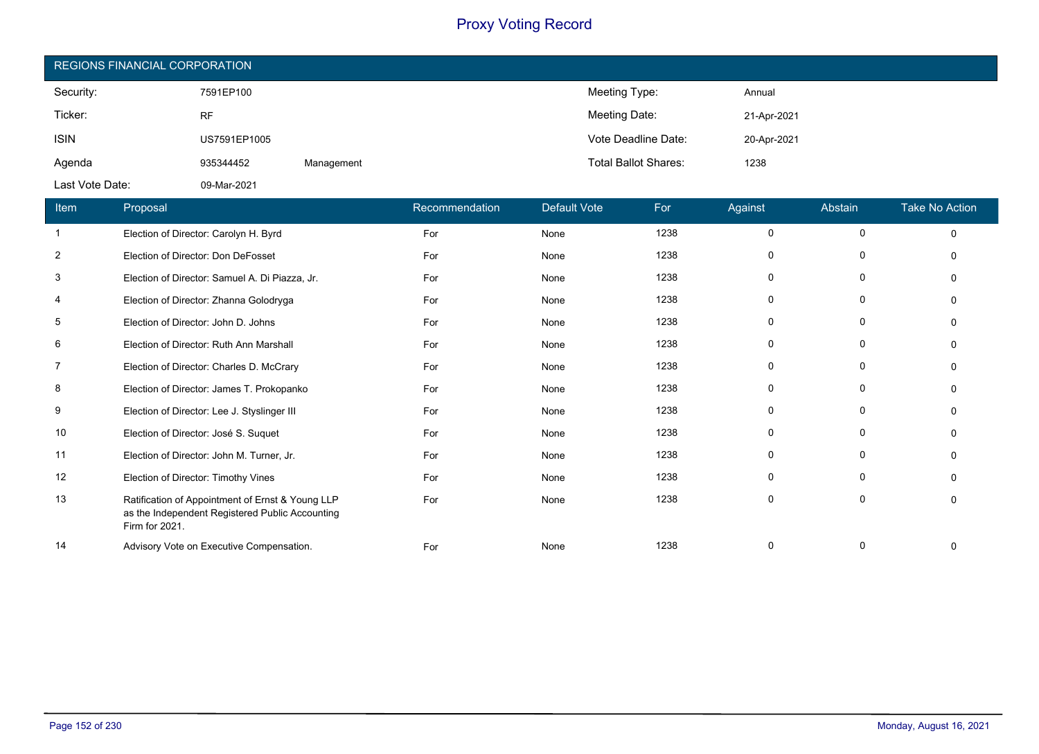| <b>REGIONS FINANCIAL CORPORATION</b> |              |            |                             |             |  |  |  |
|--------------------------------------|--------------|------------|-----------------------------|-------------|--|--|--|
| Security:                            | 7591EP100    |            | Meeting Type:               | Annual      |  |  |  |
| Ticker:                              | <b>RF</b>    |            | Meeting Date:               | 21-Apr-2021 |  |  |  |
| <b>ISIN</b>                          | US7591EP1005 |            | Vote Deadline Date:         | 20-Apr-2021 |  |  |  |
| Agenda                               | 935344452    | Management | <b>Total Ballot Shares:</b> | 1238        |  |  |  |
| Last Vote Date:                      | 09-Mar-2021  |            |                             |             |  |  |  |

| Item                    | Proposal                                                                                                              | Recommendation | <b>Default Vote</b> | For  | Against  | Abstain     | <b>Take No Action</b> |
|-------------------------|-----------------------------------------------------------------------------------------------------------------------|----------------|---------------------|------|----------|-------------|-----------------------|
| $\mathbf{1}$            | Election of Director: Carolyn H. Byrd                                                                                 | For            | None                | 1238 | $\Omega$ | $\mathbf 0$ | $\Omega$              |
| $\overline{\mathbf{c}}$ | Election of Director: Don DeFosset                                                                                    | For            | None                | 1238 |          | 0           |                       |
| 3                       | Election of Director: Samuel A. Di Piazza, Jr.                                                                        | For            | None                | 1238 | O        | 0           |                       |
| 4                       | Election of Director: Zhanna Golodryga                                                                                | For            | None                | 1238 | $\Omega$ | 0           |                       |
| 5                       | Election of Director: John D. Johns                                                                                   | For            | None                | 1238 | 0        | 0           |                       |
| 6                       | Election of Director: Ruth Ann Marshall                                                                               | For            | None                | 1238 | 0        | $\Omega$    |                       |
| 7                       | Election of Director: Charles D. McCrary                                                                              | For            | None                | 1238 | 0        | $\mathbf 0$ |                       |
| 8                       | Election of Director: James T. Prokopanko                                                                             | For            | None                | 1238 | 0        | 0           |                       |
| 9                       | Election of Director: Lee J. Styslinger III                                                                           | For            | None                | 1238 | 0        | 0           |                       |
| 10                      | Election of Director: José S. Suquet                                                                                  | For            | None                | 1238 | $\Omega$ | $\mathbf 0$ |                       |
| 11                      | Election of Director: John M. Turner, Jr.                                                                             | For            | None                | 1238 | 0        | $\Omega$    |                       |
| 12                      | Election of Director: Timothy Vines                                                                                   | For            | None                | 1238 | 0        | $\Omega$    |                       |
| 13                      | Ratification of Appointment of Ernst & Young LLP<br>as the Independent Registered Public Accounting<br>Firm for 2021. | For            | None                | 1238 | $\Omega$ | $\mathbf 0$ |                       |
| 14                      | Advisory Vote on Executive Compensation.                                                                              | For            | None                | 1238 | $\Omega$ | $\Omega$    |                       |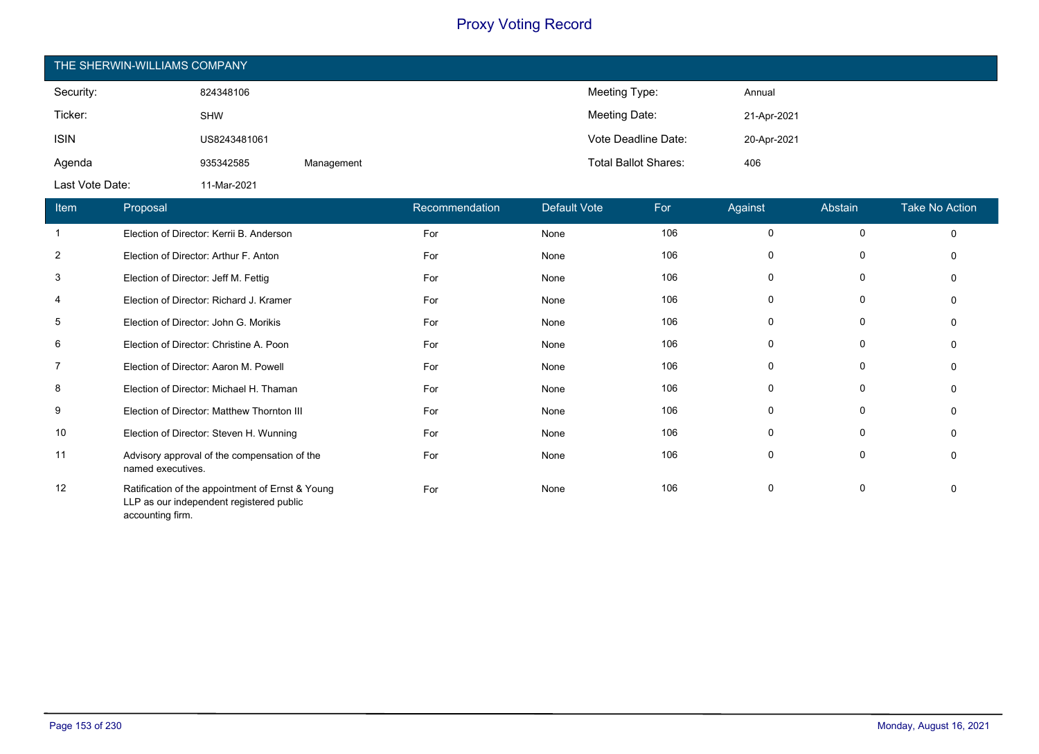| THE SHERWIN-WILLIAMS COMPANY |              |            |                             |             |  |  |  |
|------------------------------|--------------|------------|-----------------------------|-------------|--|--|--|
| Security:                    | 824348106    |            | Meeting Type:               | Annual      |  |  |  |
| Ticker:                      | <b>SHW</b>   |            | Meeting Date:               | 21-Apr-2021 |  |  |  |
| <b>ISIN</b>                  | US8243481061 |            | Vote Deadline Date:         | 20-Apr-2021 |  |  |  |
| Agenda                       | 935342585    | Management | <b>Total Ballot Shares:</b> | 406         |  |  |  |
| Last Vote Date:              | 11-Mar-2021  |            |                             |             |  |  |  |

| Item           | Proposal                                                                                                         | Recommendation | <b>Default Vote</b> | For | Against      | Abstain      | <b>Take No Action</b> |
|----------------|------------------------------------------------------------------------------------------------------------------|----------------|---------------------|-----|--------------|--------------|-----------------------|
| $\mathbf{1}$   | Election of Director: Kerrii B. Anderson                                                                         | For            | None                | 106 | 0            | $\Omega$     | $\Omega$              |
| $\overline{2}$ | Election of Director: Arthur F. Anton                                                                            | For            | None                | 106 | $\Omega$     | 0            |                       |
| 3              | Election of Director: Jeff M. Fettig                                                                             | For            | None                | 106 | $\Omega$     | 0            |                       |
| 4              | Election of Director: Richard J. Kramer                                                                          | For            | None                | 106 | 0            | $\Omega$     |                       |
| 5              | Election of Director: John G. Morikis                                                                            | For            | None                | 106 | 0            | 0            |                       |
| 6              | Election of Director: Christine A. Poon                                                                          | For            | None                | 106 | 0            | 0            |                       |
| $\overline{7}$ | Election of Director: Aaron M. Powell                                                                            | For            | None                | 106 | $\Omega$     | 0            |                       |
| 8              | Election of Director: Michael H. Thaman                                                                          | For            | None                | 106 | 0            | 0            |                       |
| 9              | Election of Director: Matthew Thornton III                                                                       | For            | None                | 106 | $\mathbf 0$  | $\mathbf{0}$ |                       |
| 10             | Election of Director: Steven H. Wunning                                                                          | For            | None                | 106 | $\mathbf{0}$ | $\mathbf{0}$ |                       |
| 11             | Advisory approval of the compensation of the<br>named executives.                                                | For            | None                | 106 | 0            | 0            | $\Omega$              |
| 12             | Ratification of the appointment of Ernst & Young<br>LLP as our independent registered public<br>accounting firm. | For            | None                | 106 | 0            | 0            |                       |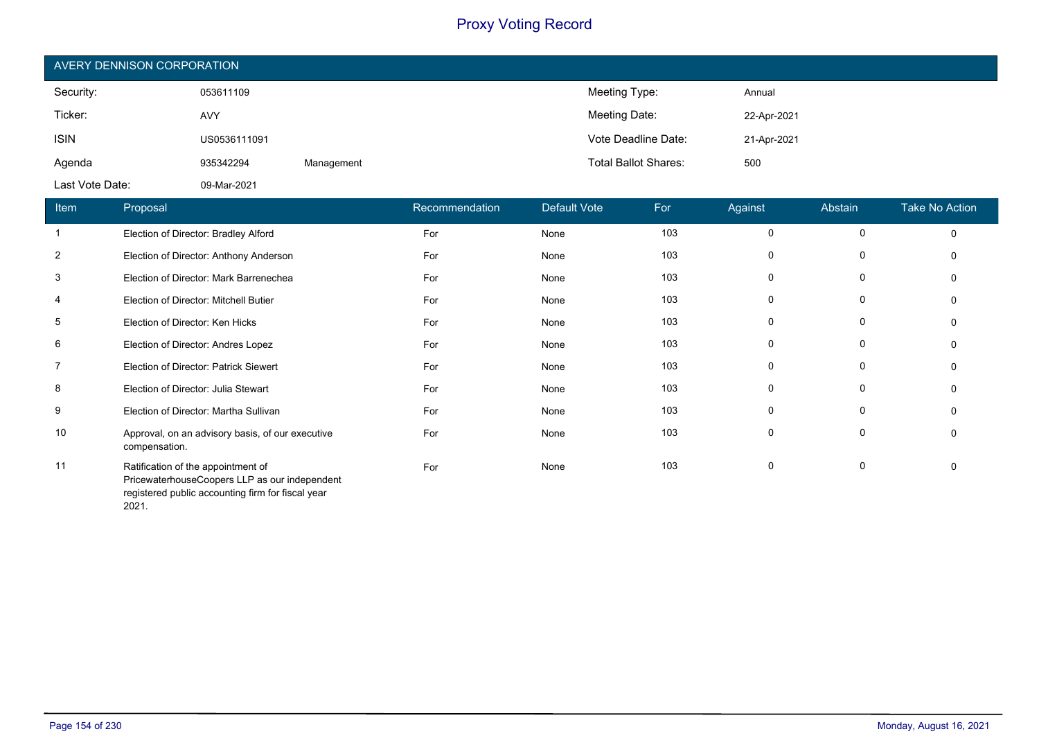| AVERY DENNISON CORPORATION |              |            |                             |             |  |  |  |
|----------------------------|--------------|------------|-----------------------------|-------------|--|--|--|
| Security:                  | 053611109    |            | Meeting Type:               | Annual      |  |  |  |
| Ticker:                    | <b>AVY</b>   |            | Meeting Date:               | 22-Apr-2021 |  |  |  |
| <b>ISIN</b>                | US0536111091 |            | Vote Deadline Date:         | 21-Apr-2021 |  |  |  |
| Agenda                     | 935342294    | Management | <b>Total Ballot Shares:</b> | 500         |  |  |  |
| Last Vote Date:            | 09-Mar-2021  |            |                             |             |  |  |  |

| Item           | Proposal                                                                                                                                 | Recommendation | Default Vote | For | Against     | Abstain     | <b>Take No Action</b> |
|----------------|------------------------------------------------------------------------------------------------------------------------------------------|----------------|--------------|-----|-------------|-------------|-----------------------|
|                | Election of Director: Bradley Alford                                                                                                     | For            | None         | 103 | 0           | $\mathbf 0$ | 0                     |
| $\overline{2}$ | Election of Director: Anthony Anderson                                                                                                   | For            | None         | 103 | 0           | 0           | $\Omega$              |
| 3              | Election of Director: Mark Barrenechea                                                                                                   | For            | None         | 103 | 0           | 0           | 0                     |
| 4              | Election of Director: Mitchell Butier                                                                                                    | For            | None         | 103 | 0           | 0           | 0                     |
| 5              | Election of Director: Ken Hicks                                                                                                          | For            | None         | 103 | 0           | 0           | $\Omega$              |
| 6              | Election of Director: Andres Lopez                                                                                                       | For            | None         | 103 | 0           | 0           | $\Omega$              |
| 7              | Election of Director: Patrick Siewert                                                                                                    | For            | None         | 103 | 0           | 0           | 0                     |
| 8              | Election of Director: Julia Stewart                                                                                                      | For            | None         | 103 | $\mathbf 0$ | $\Omega$    | $\Omega$              |
| 9              | Election of Director: Martha Sullivan                                                                                                    | For            | None         | 103 | $\mathbf 0$ | 0           | $\Omega$              |
| 10             | Approval, on an advisory basis, of our executive<br>compensation.                                                                        | For            | None         | 103 | $\mathbf 0$ | $\Omega$    | $\mathbf{0}$          |
| 11             | Ratification of the appointment of<br>PricewaterhouseCoopers LLP as our independent<br>registered public accounting firm for fiscal year | For            | None         | 103 | $\mathbf 0$ | $\mathbf 0$ | $\Omega$              |

2021.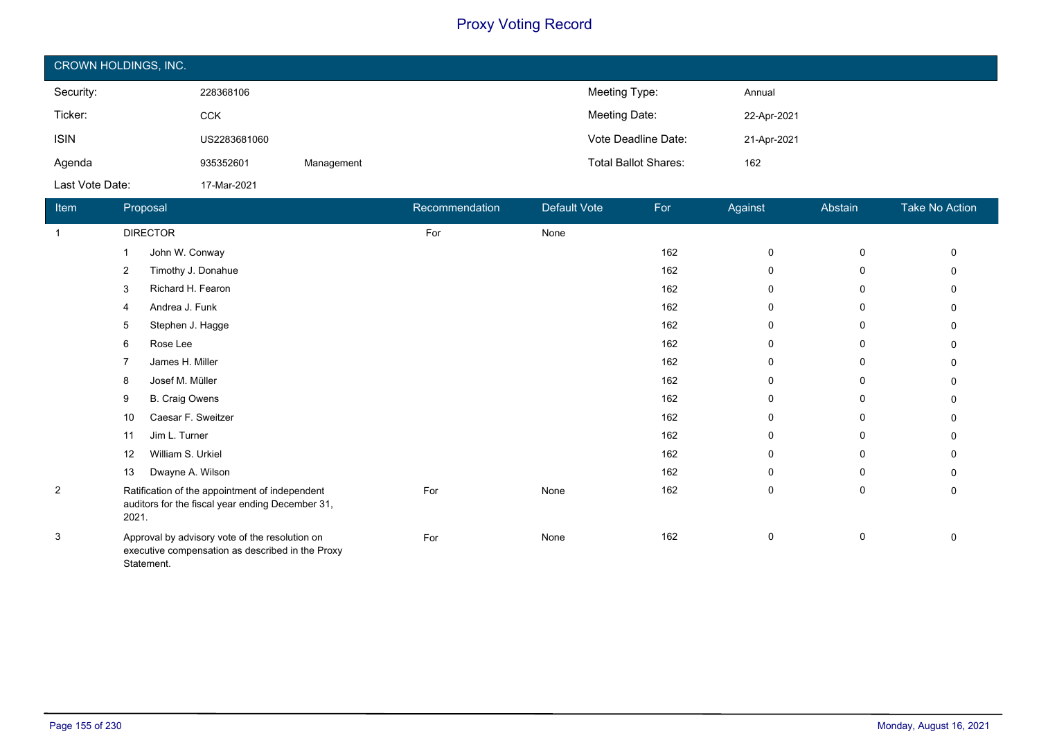| CROWN HOLDINGS, INC. |              |            |                             |             |  |  |  |
|----------------------|--------------|------------|-----------------------------|-------------|--|--|--|
| Security:            | 228368106    |            | Meeting Type:               | Annual      |  |  |  |
| Ticker:              | <b>CCK</b>   |            | Meeting Date:               | 22-Apr-2021 |  |  |  |
| <b>ISIN</b>          | US2283681060 |            | Vote Deadline Date:         | 21-Apr-2021 |  |  |  |
| Agenda               | 935352601    | Management | <b>Total Ballot Shares:</b> | 162         |  |  |  |
| Last Vote Date:      | 17-Mar-2021  |            |                             |             |  |  |  |

| Item           | Proposal                                                                                                         | Recommendation | Default Vote | For | Against     | Abstain | Take No Action |
|----------------|------------------------------------------------------------------------------------------------------------------|----------------|--------------|-----|-------------|---------|----------------|
| $\mathbf 1$    | <b>DIRECTOR</b>                                                                                                  | For            | None         |     |             |         |                |
|                | John W. Conway                                                                                                   |                |              | 162 | 0           | 0       | 0              |
|                | Timothy J. Donahue<br>2                                                                                          |                |              | 162 | $\Omega$    | 0       |                |
|                | Richard H. Fearon<br>3                                                                                           |                |              | 162 | 0           | 0       |                |
|                | Andrea J. Funk<br>4                                                                                              |                |              | 162 | 0           | 0       |                |
|                | Stephen J. Hagge<br>5                                                                                            |                |              | 162 | $\Omega$    | 0       | U              |
|                | Rose Lee<br>6                                                                                                    |                |              | 162 | 0           | 0       |                |
|                | James H. Miller<br>7                                                                                             |                |              | 162 | 0           | 0       | 0              |
|                | Josef M. Müller<br>8                                                                                             |                |              | 162 | 0           | 0       | $\Omega$       |
|                | <b>B.</b> Craig Owens<br>9                                                                                       |                |              | 162 | 0           | 0       |                |
|                | Caesar F. Sweitzer<br>10                                                                                         |                |              | 162 | $\Omega$    | 0       |                |
|                | Jim L. Turner<br>11                                                                                              |                |              | 162 | $\Omega$    | 0       |                |
|                | William S. Urkiel<br>12                                                                                          |                |              | 162 | 0           | 0       |                |
|                | Dwayne A. Wilson<br>13                                                                                           |                |              | 162 | $\Omega$    | 0       | U              |
| $\overline{2}$ | Ratification of the appointment of independent<br>auditors for the fiscal year ending December 31,<br>2021.      | For            | None         | 162 | 0           | 0       | 0              |
| 3              | Approval by advisory vote of the resolution on<br>executive compensation as described in the Proxy<br>Statement. | For            | None         | 162 | $\mathbf 0$ | 0       | 0              |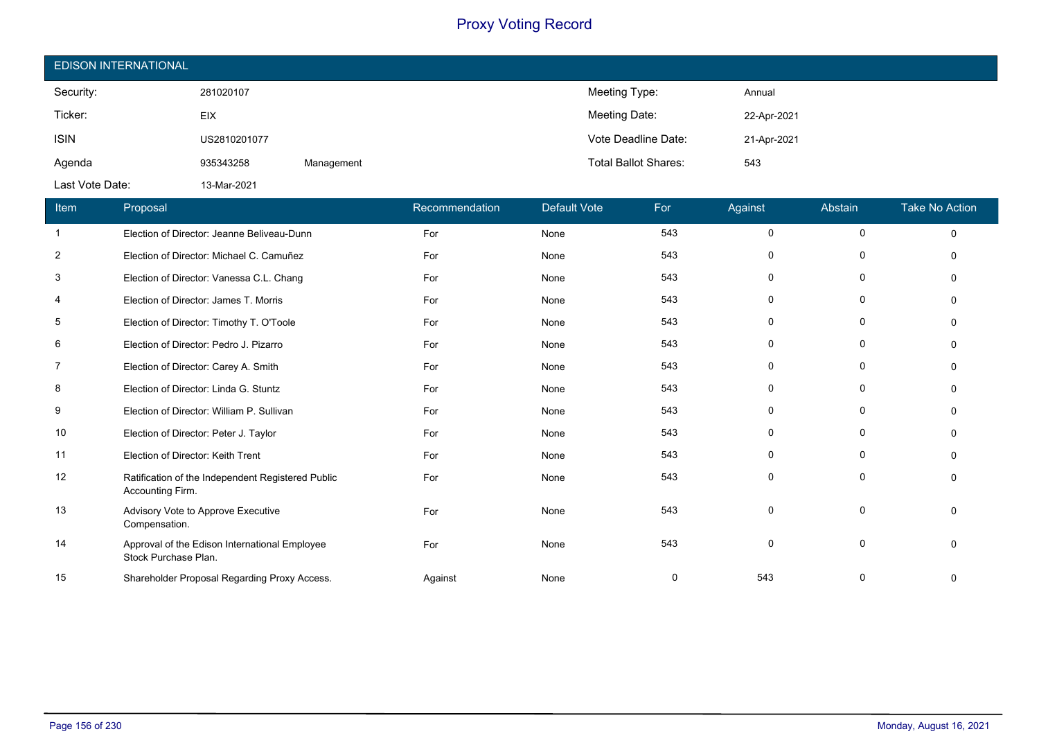| <b>EDISON INTERNATIONAL</b> |              |            |                             |             |  |  |
|-----------------------------|--------------|------------|-----------------------------|-------------|--|--|
| Security:                   | 281020107    |            | Meeting Type:               | Annual      |  |  |
| Ticker:                     | <b>EIX</b>   |            | Meeting Date:               | 22-Apr-2021 |  |  |
| <b>ISIN</b>                 | US2810201077 |            | Vote Deadline Date:         | 21-Apr-2021 |  |  |
| Agenda                      | 935343258    | Management | <b>Total Ballot Shares:</b> | 543         |  |  |
| Last Vote Date:             | 13-Mar-2021  |            |                             |             |  |  |

| Item           | Proposal                                                              | Recommendation | <b>Default Vote</b> | For | Against     | Abstain      | <b>Take No Action</b> |
|----------------|-----------------------------------------------------------------------|----------------|---------------------|-----|-------------|--------------|-----------------------|
| -1             | Election of Director: Jeanne Beliveau-Dunn                            | For            | None                | 543 | $\mathbf 0$ | $\mathbf 0$  | $\Omega$              |
| 2              | Election of Director: Michael C. Camuñez                              | For            | None                | 543 | 0           | 0            |                       |
| 3              | Election of Director: Vanessa C.L. Chang                              | For            | None                | 543 | $\Omega$    | 0            |                       |
| $\overline{4}$ | Election of Director: James T. Morris                                 | For            | None                | 543 | $\Omega$    | $\Omega$     |                       |
| 5              | Election of Director: Timothy T. O'Toole                              | For            | None                | 543 | $\Omega$    | 0            |                       |
| 6              | Election of Director: Pedro J. Pizarro                                | For            | None                | 543 | 0           | 0            |                       |
| 7              | Election of Director: Carey A. Smith                                  | For            | None                | 543 | $\Omega$    | 0            |                       |
| 8              | Election of Director: Linda G. Stuntz                                 | For            | None                | 543 | 0           | $\mathbf{0}$ |                       |
| 9              | Election of Director: William P. Sullivan                             | For            | None                | 543 | $\Omega$    | 0            |                       |
| 10             | Election of Director: Peter J. Taylor                                 | For            | None                | 543 | 0           | $\mathbf{0}$ |                       |
| 11             | Election of Director: Keith Trent                                     | For            | None                | 543 | $\Omega$    | 0            |                       |
| 12             | Ratification of the Independent Registered Public<br>Accounting Firm. | For            | None                | 543 | 0           | 0            |                       |
| 13             | Advisory Vote to Approve Executive<br>Compensation.                   | For            | None                | 543 | $\Omega$    | $\Omega$     |                       |
| 14             | Approval of the Edison International Employee<br>Stock Purchase Plan. | For            | None                | 543 | $\Omega$    | $\Omega$     |                       |
| 15             | Shareholder Proposal Regarding Proxy Access.                          | Against        | None                | 0   | 543         | 0            |                       |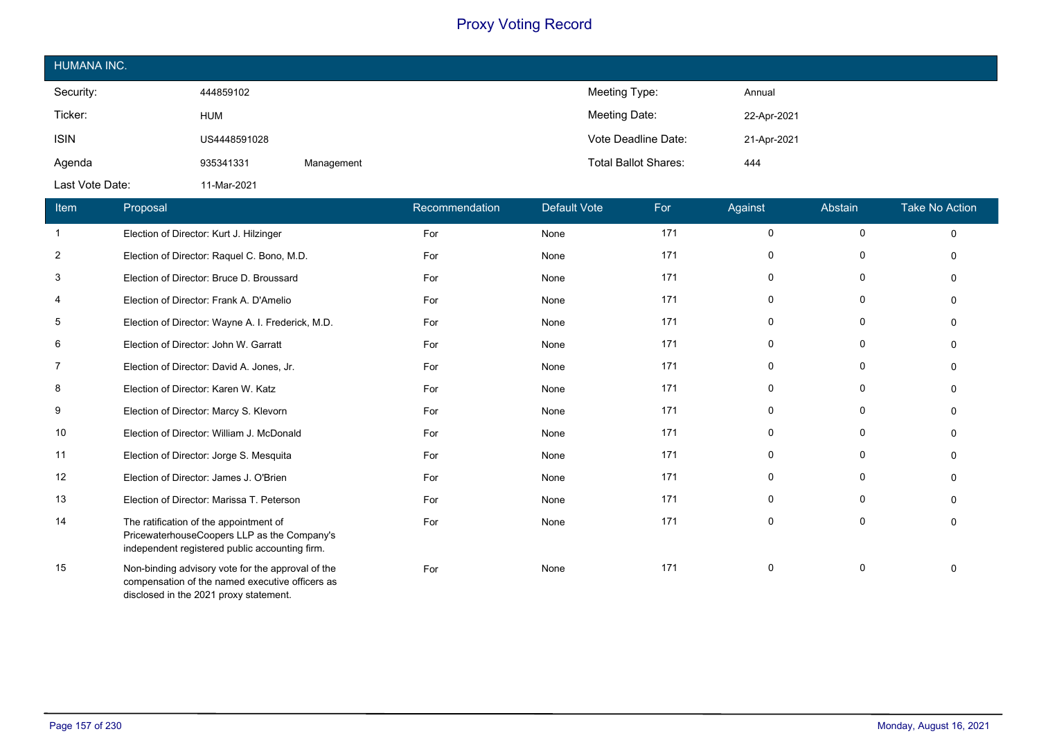| HUMANA INC.     |              |            |                             |             |
|-----------------|--------------|------------|-----------------------------|-------------|
| Security:       | 444859102    |            | Meeting Type:               | Annual      |
| Ticker:         | <b>HUM</b>   |            | Meeting Date:               | 22-Apr-2021 |
| <b>ISIN</b>     | US4448591028 |            | Vote Deadline Date:         | 21-Apr-2021 |
| Agenda          | 935341331    | Management | <b>Total Ballot Shares:</b> | 444         |
| Last Vote Date: | 11-Mar-2021  |            |                             |             |

| Item           | Proposal                                                                                                                                       | Recommendation | <b>Default Vote</b> | For | Against     | Abstain     | Take No Action |
|----------------|------------------------------------------------------------------------------------------------------------------------------------------------|----------------|---------------------|-----|-------------|-------------|----------------|
| -1             | Election of Director: Kurt J. Hilzinger                                                                                                        | For            | None                | 171 | 0           | 0           | 0              |
| $\overline{2}$ | Election of Director: Raquel C. Bono, M.D.                                                                                                     | For            | None                | 171 | 0           | 0           | $\Omega$       |
| 3              | Election of Director: Bruce D. Broussard                                                                                                       | For            | None                | 171 | $\mathbf 0$ | 0           | $\Omega$       |
| 4              | Election of Director: Frank A. D'Amelio                                                                                                        | For            | None                | 171 | 0           | 0           | $\Omega$       |
| 5              | Election of Director: Wayne A. I. Frederick, M.D.                                                                                              | For            | None                | 171 | 0           | 0           | $\Omega$       |
| 6              | Election of Director: John W. Garratt                                                                                                          | For            | None                | 171 | 0           | 0           | $\Omega$       |
| $\overline{7}$ | Election of Director: David A. Jones, Jr.                                                                                                      | For            | None                | 171 | $\mathbf 0$ | $\mathbf 0$ | $\Omega$       |
| 8              | Election of Director: Karen W. Katz                                                                                                            | For            | None                | 171 | 0           | 0           | $\Omega$       |
| 9              | Election of Director: Marcy S. Klevorn                                                                                                         | For            | None                | 171 | 0           | 0           | $\Omega$       |
| 10             | Election of Director: William J. McDonald                                                                                                      | For            | None                | 171 | 0           | 0           | $\Omega$       |
| 11             | Election of Director: Jorge S. Mesquita                                                                                                        | For            | None                | 171 | 0           | 0           | $\Omega$       |
| 12             | Election of Director: James J. O'Brien                                                                                                         | For            | None                | 171 | 0           | 0           | $\Omega$       |
| 13             | Election of Director: Marissa T. Peterson                                                                                                      | For            | None                | 171 | 0           | $\mathbf 0$ | $\Omega$       |
| 14             | The ratification of the appointment of<br>PricewaterhouseCoopers LLP as the Company's<br>independent registered public accounting firm.        | For            | None                | 171 | $\mathbf 0$ | $\mathbf 0$ | $\mathbf{0}$   |
| 15             | Non-binding advisory vote for the approval of the<br>compensation of the named executive officers as<br>disclosed in the 2021 proxy statement. | For            | None                | 171 | 0           | 0           | $\Omega$       |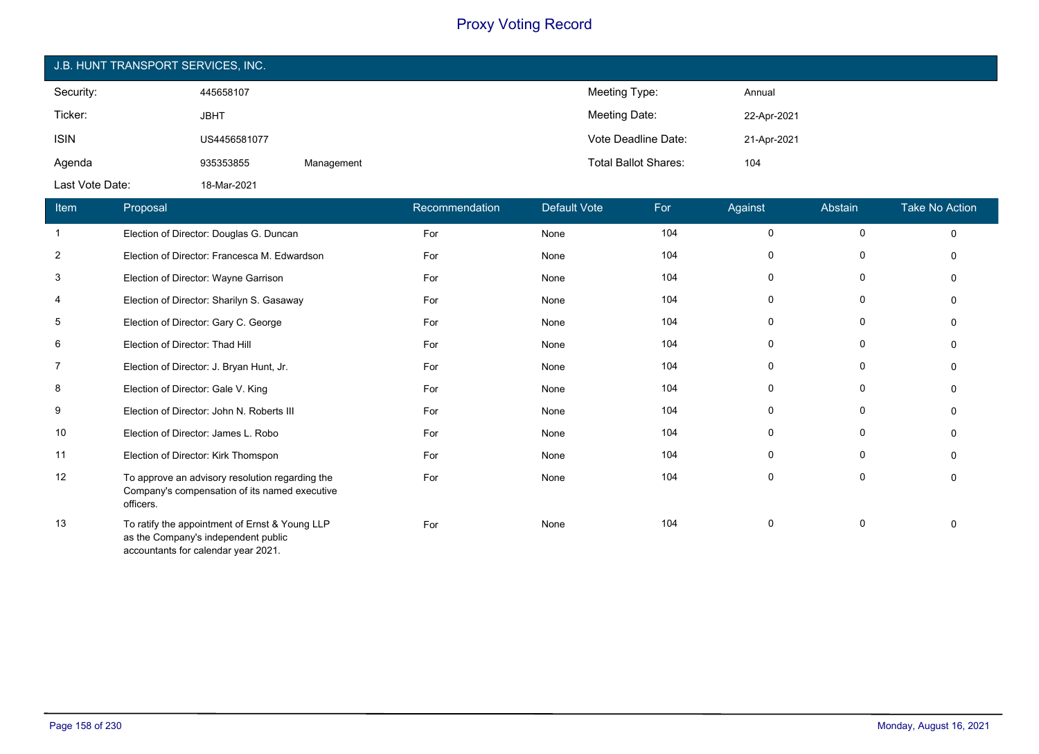| J.B. HUNT TRANSPORT SERVICES, INC. |              |            |                             |             |  |  |  |
|------------------------------------|--------------|------------|-----------------------------|-------------|--|--|--|
| Security:                          | 445658107    |            | Meeting Type:               | Annual      |  |  |  |
| Ticker:                            | <b>JBHT</b>  |            | Meeting Date:               | 22-Apr-2021 |  |  |  |
| <b>ISIN</b>                        | US4456581077 |            | Vote Deadline Date:         | 21-Apr-2021 |  |  |  |
| Agenda                             | 935353855    | Management | <b>Total Ballot Shares:</b> | 104         |  |  |  |
| Last Vote Date:                    | 18-Mar-2021  |            |                             |             |  |  |  |

| Item           | Proposal                                                                                                                     | Recommendation | Default Vote | For | Against     | Abstain | <b>Take No Action</b> |
|----------------|------------------------------------------------------------------------------------------------------------------------------|----------------|--------------|-----|-------------|---------|-----------------------|
| -1             | Election of Director: Douglas G. Duncan                                                                                      | For            | None         | 104 | $\mathbf 0$ | 0       | $\Omega$              |
| $\overline{2}$ | Election of Director: Francesca M. Edwardson                                                                                 | For            | None         | 104 | 0           | 0       | O                     |
| 3              | Election of Director: Wayne Garrison                                                                                         | For            | None         | 104 | $\Omega$    | 0       |                       |
| 4              | Election of Director: Sharilyn S. Gasaway                                                                                    | For            | None         | 104 | 0           | 0       |                       |
| 5              | Election of Director: Gary C. George                                                                                         | For            | None         | 104 | 0           | 0       |                       |
| 6              | Election of Director: Thad Hill                                                                                              | For            | None         | 104 | 0           | 0       |                       |
| 7              | Election of Director: J. Bryan Hunt, Jr.                                                                                     | For            | None         | 104 | $\mathbf 0$ | 0       |                       |
| 8              | Election of Director: Gale V. King                                                                                           | For            | None         | 104 | 0           | 0       | n                     |
| 9              | Election of Director: John N. Roberts III                                                                                    | For            | None         | 104 | $\Omega$    | 0       |                       |
| 10             | Election of Director: James L. Robo                                                                                          | For            | None         | 104 | $\mathbf 0$ | 0       |                       |
| 11             | Election of Director: Kirk Thomspon                                                                                          | For            | None         | 104 | $\Omega$    | 0       | O                     |
| 12             | To approve an advisory resolution regarding the<br>Company's compensation of its named executive<br>officers.                | For            | None         | 104 | 0           | 0       | ∩                     |
| 13             | To ratify the appointment of Ernst & Young LLP<br>as the Company's independent public<br>accountants for calendar year 2021. | For            | None         | 104 | 0           | 0       |                       |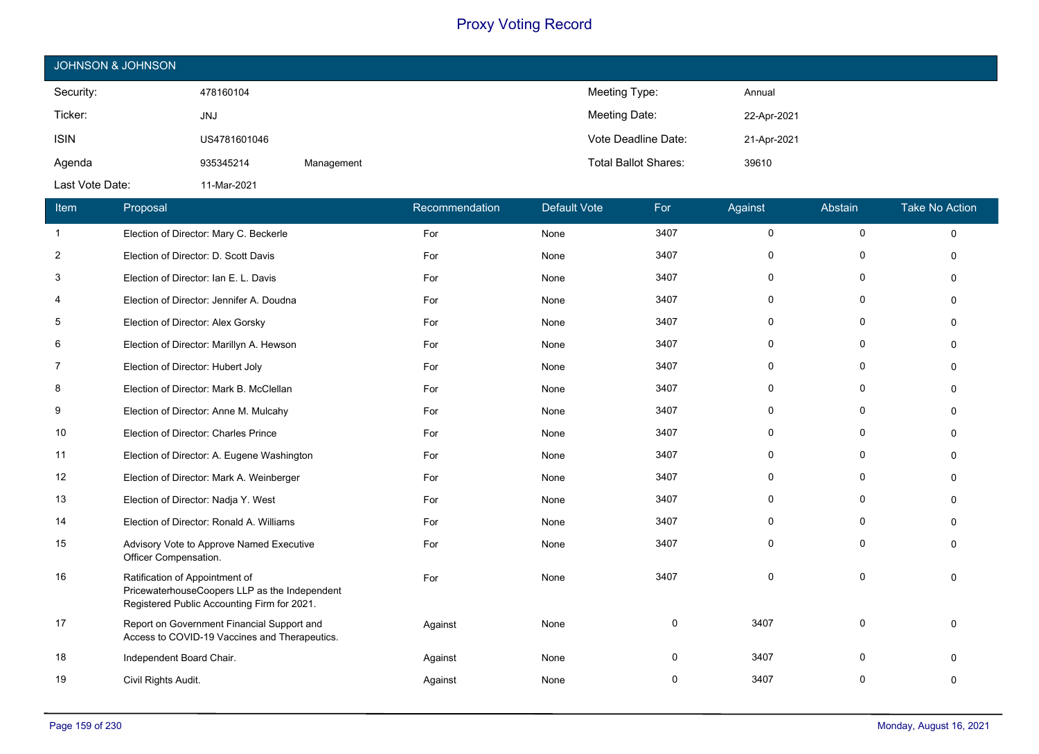| JOHNSON & JOHNSON |              |            |                             |             |  |  |  |
|-------------------|--------------|------------|-----------------------------|-------------|--|--|--|
| Security:         | 478160104    |            | Meeting Type:               | Annual      |  |  |  |
| Ticker:           | <b>JNJ</b>   |            | Meeting Date:               | 22-Apr-2021 |  |  |  |
| <b>ISIN</b>       | US4781601046 |            | Vote Deadline Date:         | 21-Apr-2021 |  |  |  |
| Agenda            | 935345214    | Management | <b>Total Ballot Shares:</b> | 39610       |  |  |  |
| Last Vote Date:   | 11-Mar-2021  |            |                             |             |  |  |  |

| Item           | Proposal                                                                                                                       | Recommendation | <b>Default Vote</b> | For  | Against  | Abstain      | <b>Take No Action</b> |
|----------------|--------------------------------------------------------------------------------------------------------------------------------|----------------|---------------------|------|----------|--------------|-----------------------|
| $\mathbf{1}$   | Election of Director: Mary C. Beckerle                                                                                         | For            | None                | 3407 | $\Omega$ | $\mathbf 0$  | $\Omega$              |
| $\overline{2}$ | Election of Director: D. Scott Davis                                                                                           | For            | None                | 3407 | $\Omega$ | $\Omega$     | $\Omega$              |
| 3              | Election of Director: Ian E. L. Davis                                                                                          | For            | None                | 3407 | $\Omega$ | $\Omega$     |                       |
| 4              | Election of Director: Jennifer A. Doudna                                                                                       | For            | None                | 3407 | $\Omega$ | $\mathbf{0}$ |                       |
| 5              | Election of Director: Alex Gorsky                                                                                              | For            | None                | 3407 | 0        | 0            | $\Omega$              |
| 6              | Election of Director: Marillyn A. Hewson                                                                                       | For            | None                | 3407 | 0        | $\mathbf{0}$ |                       |
| 7              | Election of Director: Hubert Joly                                                                                              | For            | None                | 3407 | $\Omega$ | 0            |                       |
| 8              | Election of Director: Mark B. McClellan                                                                                        | For            | None                | 3407 | $\Omega$ | $\mathbf 0$  | $\Omega$              |
| 9              | Election of Director: Anne M. Mulcahy                                                                                          | For            | None                | 3407 | 0        | $\mathbf{0}$ |                       |
| 10             | Election of Director: Charles Prince                                                                                           | For            | None                | 3407 | 0        | $\Omega$     |                       |
| 11             | Election of Director: A. Eugene Washington                                                                                     | For            | None                | 3407 | $\Omega$ | $\mathbf 0$  | $\Omega$              |
| 12             | Election of Director: Mark A. Weinberger                                                                                       | For            | None                | 3407 | 0        | 0            | ∩                     |
| 13             | Election of Director: Nadja Y. West                                                                                            | For            | None                | 3407 | $\Omega$ | $\Omega$     |                       |
| 14             | Election of Director: Ronald A. Williams                                                                                       | For            | None                | 3407 | 0        | 0            | $\Omega$              |
| 15             | Advisory Vote to Approve Named Executive<br>Officer Compensation.                                                              | For            | None                | 3407 | $\Omega$ | $\mathbf{0}$ | ∩                     |
| 16             | Ratification of Appointment of<br>PricewaterhouseCoopers LLP as the Independent<br>Registered Public Accounting Firm for 2021. | For            | None                | 3407 | $\Omega$ | $\mathbf 0$  |                       |
| 17             | Report on Government Financial Support and<br>Access to COVID-19 Vaccines and Therapeutics.                                    | Against        | None                | 0    | 3407     | $\Omega$     | $\Omega$              |
| 18             | Independent Board Chair.                                                                                                       | Against        | None                | 0    | 3407     | O            |                       |
| 19             | Civil Rights Audit.                                                                                                            | Against        | None                | 0    | 3407     | $\Omega$     |                       |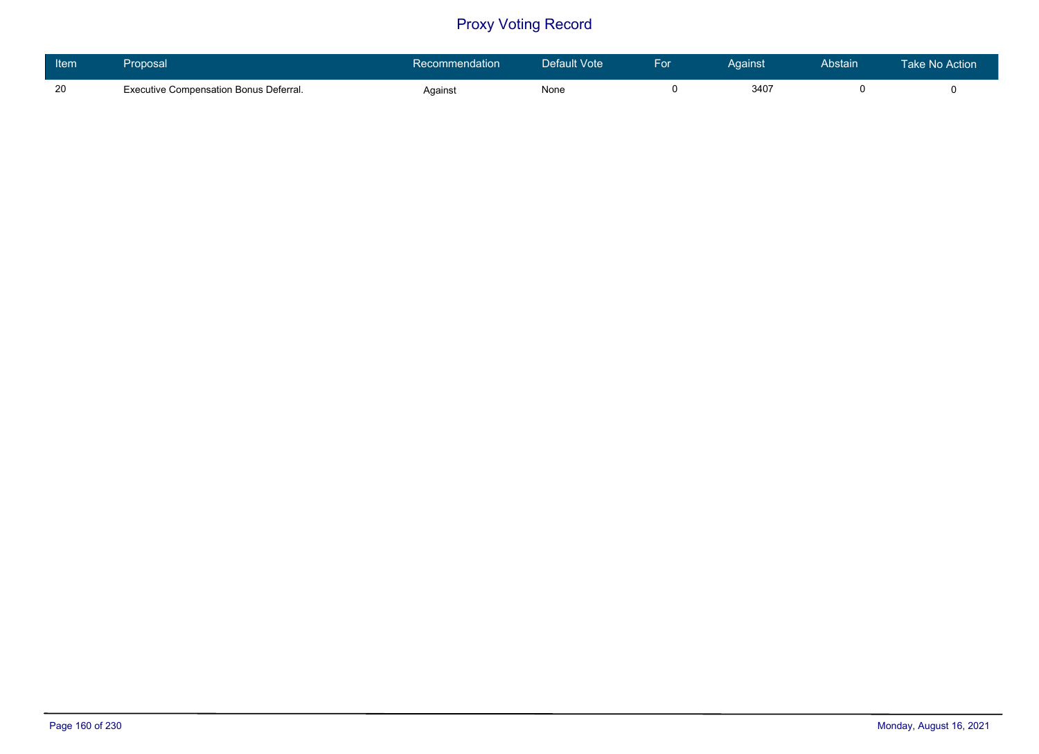| Item | Proposal                                      | Recommendation | Default Vote | For | Against | Abstain | <b>Take No Action</b> |
|------|-----------------------------------------------|----------------|--------------|-----|---------|---------|-----------------------|
| -20  | <b>Executive Compensation Bonus Deferral.</b> | Against        | None         |     | 340     |         |                       |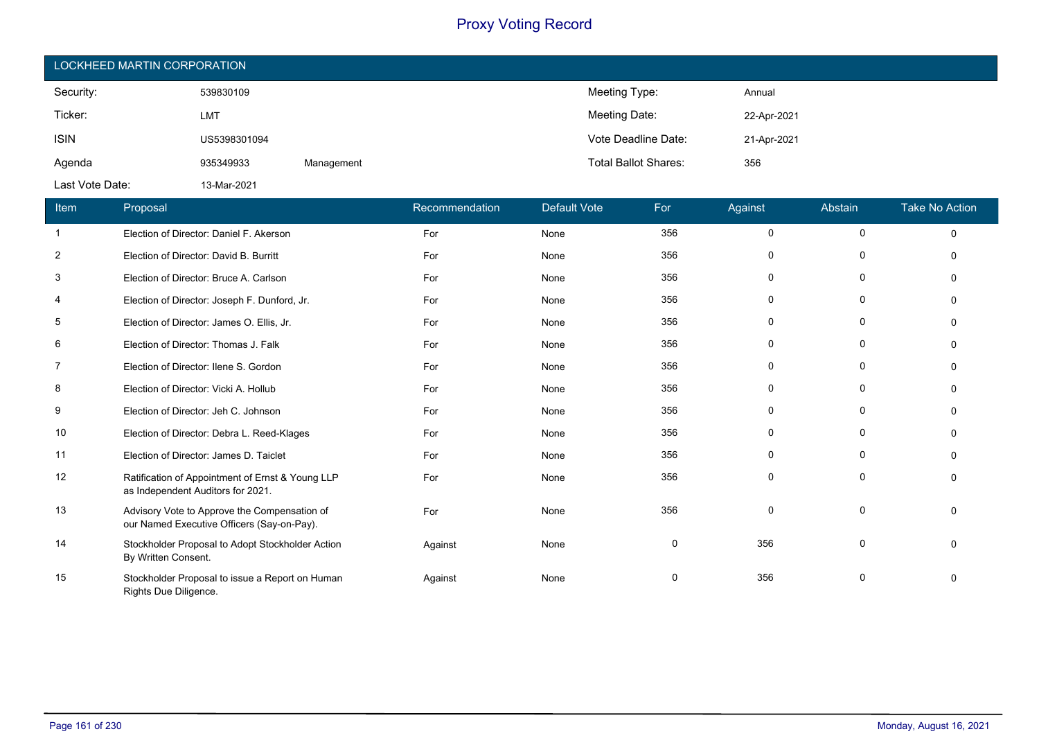| LOCKHEED MARTIN CORPORATION |              |            |                             |             |  |  |
|-----------------------------|--------------|------------|-----------------------------|-------------|--|--|
| Security:                   | 539830109    |            | Meeting Type:               | Annual      |  |  |
| Ticker:                     | <b>LMT</b>   |            | Meeting Date:               | 22-Apr-2021 |  |  |
| <b>ISIN</b>                 | US5398301094 |            | Vote Deadline Date:         | 21-Apr-2021 |  |  |
| Agenda                      | 935349933    | Management | <b>Total Ballot Shares:</b> | 356         |  |  |
| Last Vote Date:             | 13-Mar-2021  |            |                             |             |  |  |

| Item           | Proposal                                                                                   | Recommendation | Default Vote | For | Against      | Abstain     | <b>Take No Action</b> |
|----------------|--------------------------------------------------------------------------------------------|----------------|--------------|-----|--------------|-------------|-----------------------|
| -1             | Election of Director: Daniel F. Akerson                                                    | For            | None         | 356 | $\Omega$     | $\mathbf 0$ | $\Omega$              |
| $\overline{2}$ | Election of Director: David B. Burritt                                                     | For            | None         | 356 | 0            | 0           |                       |
| 3              | Election of Director: Bruce A. Carlson                                                     | For            | None         | 356 | 0            | 0           |                       |
| 4              | Election of Director: Joseph F. Dunford, Jr.                                               | For            | None         | 356 | $\Omega$     | $\mathbf 0$ |                       |
| 5              | Election of Director: James O. Ellis, Jr.                                                  | For            | None         | 356 | $\Omega$     | 0           |                       |
| 6              | Election of Director: Thomas J. Falk                                                       | For            | None         | 356 | 0            | 0           |                       |
| $\overline{7}$ | Election of Director: Ilene S. Gordon                                                      | For            | None         | 356 | <sup>0</sup> | $\Omega$    |                       |
| 8              | Election of Director: Vicki A. Hollub                                                      | For            | None         | 356 | O            | $\Omega$    |                       |
| 9              | Election of Director: Jeh C. Johnson                                                       | For            | None         | 356 | 0            | 0           |                       |
| 10             | Election of Director: Debra L. Reed-Klages                                                 | For            | None         | 356 |              | $\Omega$    |                       |
| 11             | Election of Director: James D. Taiclet                                                     | For            | None         | 356 | 0            | 0           |                       |
| 12             | Ratification of Appointment of Ernst & Young LLP<br>as Independent Auditors for 2021.      | For            | None         | 356 | 0            | $\Omega$    |                       |
| 13             | Advisory Vote to Approve the Compensation of<br>our Named Executive Officers (Say-on-Pay). | For            | None         | 356 | $\Omega$     | $\Omega$    |                       |
| 14             | Stockholder Proposal to Adopt Stockholder Action<br>By Written Consent.                    | Against        | None         | 0   | 356          | 0           |                       |
| 15             | Stockholder Proposal to issue a Report on Human<br>Rights Due Diligence.                   | Against        | None         | 0   | 356          | 0           |                       |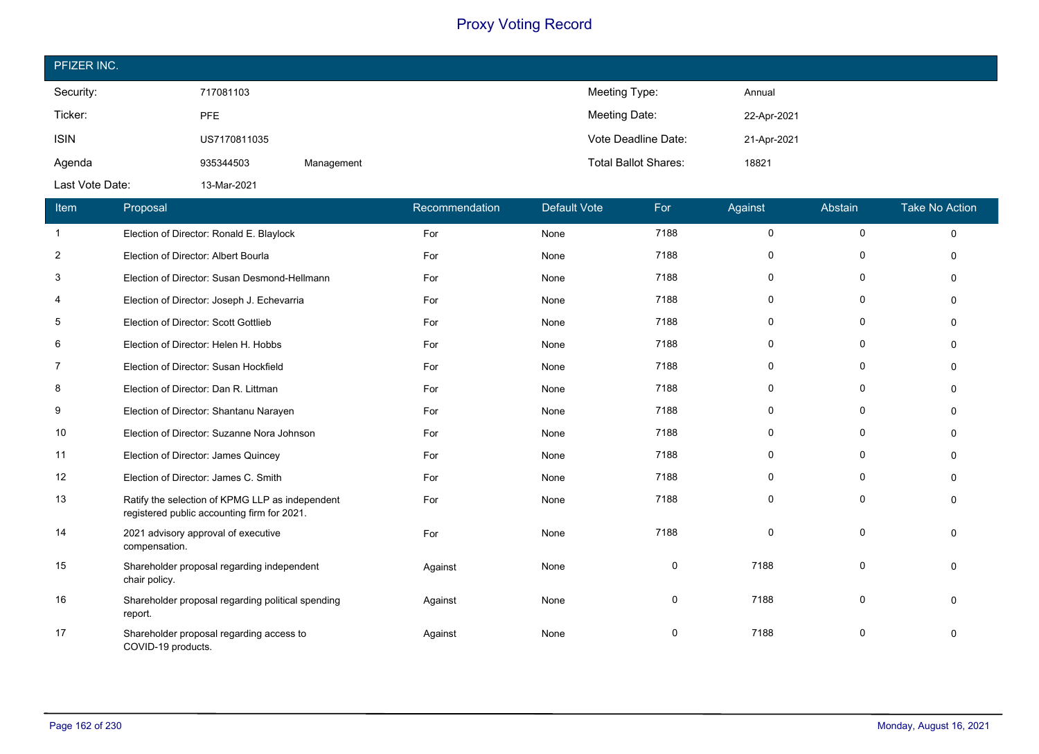| PFIZER INC.     |              |            |                             |             |
|-----------------|--------------|------------|-----------------------------|-------------|
| Security:       | 717081103    |            | Meeting Type:               | Annual      |
| Ticker:         | <b>PFE</b>   |            | Meeting Date:               | 22-Apr-2021 |
| <b>ISIN</b>     | US7170811035 |            | Vote Deadline Date:         | 21-Apr-2021 |
| Agenda          | 935344503    | Management | <b>Total Ballot Shares:</b> | 18821       |
| Last Vote Date: | 13-Mar-2021  |            |                             |             |

| Item         | Proposal                                                                                       | Recommendation | <b>Default Vote</b> | For  | Against  | Abstain      | <b>Take No Action</b> |
|--------------|------------------------------------------------------------------------------------------------|----------------|---------------------|------|----------|--------------|-----------------------|
| $\mathbf{1}$ | Election of Director: Ronald E. Blaylock                                                       | For            | None                | 7188 | $\Omega$ | $\mathbf 0$  | $\Omega$              |
| 2            | Election of Director: Albert Bourla                                                            | For            | None                | 7188 | $\Omega$ | 0            |                       |
| 3            | Election of Director: Susan Desmond-Hellmann                                                   | For            | None                | 7188 | $\Omega$ | 0            | $\Omega$              |
| 4            | Election of Director: Joseph J. Echevarria                                                     | For            | None                | 7188 | $\Omega$ | 0            | $\Omega$              |
| 5            | Election of Director: Scott Gottlieb                                                           | For            | None                | 7188 | 0        | $\mathbf{0}$ | ∩                     |
| 6            | Election of Director: Helen H. Hobbs                                                           | For            | None                | 7188 | $\Omega$ | 0            |                       |
| 7            | Election of Director: Susan Hockfield                                                          | For            | None                | 7188 | 0        | 0            |                       |
| 8            | Election of Director: Dan R. Littman                                                           | For            | None                | 7188 | $\Omega$ | $\mathbf{0}$ |                       |
| 9            | Election of Director: Shantanu Narayen                                                         | For            | None                | 7188 | $\Omega$ | $\mathbf 0$  | $\Omega$              |
| 10           | Election of Director: Suzanne Nora Johnson                                                     | For            | None                | 7188 | 0        | 0            |                       |
| 11           | Election of Director: James Quincey                                                            | For            | None                | 7188 | 0        | 0            |                       |
| 12           | Election of Director: James C. Smith                                                           | For            | None                | 7188 | $\Omega$ | $\Omega$     |                       |
| 13           | Ratify the selection of KPMG LLP as independent<br>registered public accounting firm for 2021. | For            | None                | 7188 | $\Omega$ | $\Omega$     |                       |
| 14           | 2021 advisory approval of executive<br>compensation.                                           | For            | None                | 7188 | $\Omega$ | $\Omega$     | $\Omega$              |
| 15           | Shareholder proposal regarding independent<br>chair policy.                                    | Against        | None                | 0    | 7188     | $\Omega$     |                       |
| 16           | Shareholder proposal regarding political spending<br>report.                                   | Against        | None                | 0    | 7188     | $\Omega$     | $\Omega$              |
| 17           | Shareholder proposal regarding access to<br>COVID-19 products.                                 | Against        | None                | 0    | 7188     | $\Omega$     | $\Omega$              |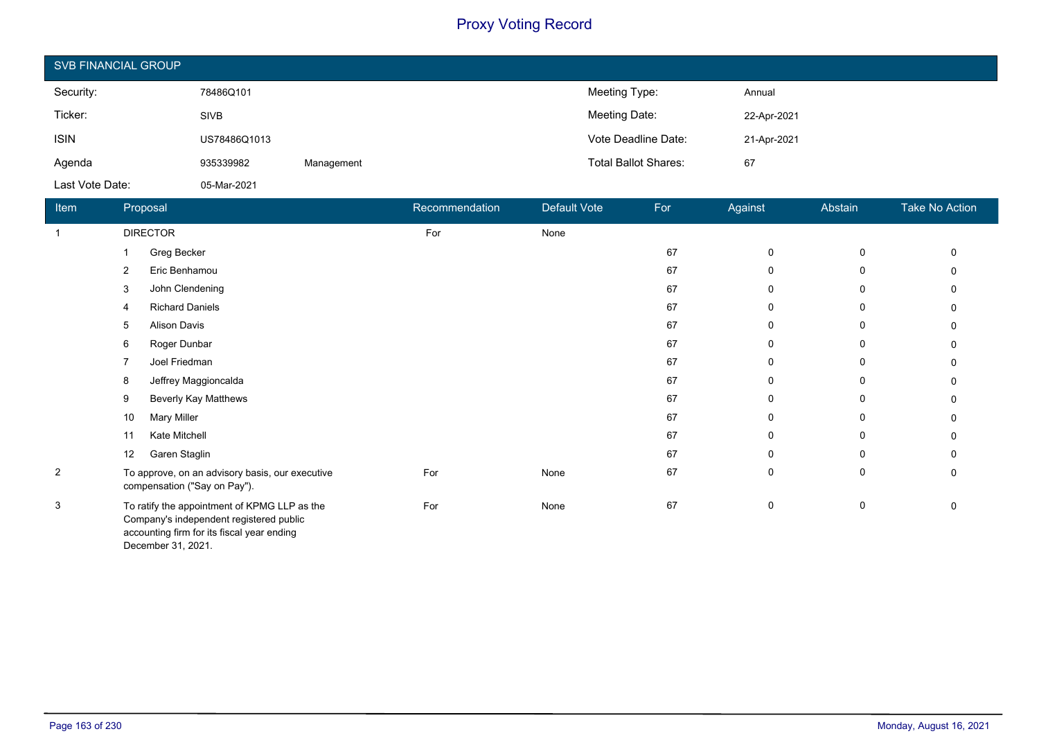| <b>SVB FINANCIAL GROUP</b> |              |            |                             |             |  |  |
|----------------------------|--------------|------------|-----------------------------|-------------|--|--|
| Security:                  | 78486Q101    |            | Meeting Type:               | Annual      |  |  |
| Ticker:                    | <b>SIVB</b>  |            | Meeting Date:               | 22-Apr-2021 |  |  |
| <b>ISIN</b>                | US78486Q1013 |            | Vote Deadline Date:         | 21-Apr-2021 |  |  |
| Agenda                     | 935339982    | Management | <b>Total Ballot Shares:</b> | 67          |  |  |
| Last Vote Date:            | 05-Mar-2021  |            |                             |             |  |  |

| Item           | Proposal                                                                                                                                                    | Recommendation | Default Vote | For | Against      | Abstain | Take No Action |
|----------------|-------------------------------------------------------------------------------------------------------------------------------------------------------------|----------------|--------------|-----|--------------|---------|----------------|
| -1             | <b>DIRECTOR</b>                                                                                                                                             | For            | None         |     |              |         |                |
|                | Greg Becker                                                                                                                                                 |                |              | 67  | 0            | 0       |                |
|                | Eric Benhamou<br>2                                                                                                                                          |                |              | 67  | 0            | 0       |                |
|                | John Clendening<br>3                                                                                                                                        |                |              | 67  | 0            | 0       |                |
|                | <b>Richard Daniels</b><br>4                                                                                                                                 |                |              | 67  | 0            | 0       | 0              |
|                | <b>Alison Davis</b><br>5                                                                                                                                    |                |              | 67  | $\mathbf{0}$ | 0       |                |
|                | Roger Dunbar<br>6                                                                                                                                           |                |              | 67  | 0            | 0       |                |
|                | Joel Friedman<br>7                                                                                                                                          |                |              | 67  | 0            | 0       |                |
|                | Jeffrey Maggioncalda<br>8                                                                                                                                   |                |              | 67  | 0            | 0       |                |
|                | <b>Beverly Kay Matthews</b><br>9                                                                                                                            |                |              | 67  | 0            | 0       |                |
|                | <b>Mary Miller</b><br>10                                                                                                                                    |                |              | 67  | 0            | 0       |                |
|                | Kate Mitchell<br>11                                                                                                                                         |                |              | 67  | 0            | 0       |                |
|                | Garen Staglin<br>12                                                                                                                                         |                |              | 67  | 0            | 0       |                |
| $\overline{2}$ | To approve, on an advisory basis, our executive<br>compensation ("Say on Pay").                                                                             | For            | None         | 67  | 0            | 0       |                |
| 3              | To ratify the appointment of KPMG LLP as the<br>Company's independent registered public<br>accounting firm for its fiscal year ending<br>December 31, 2021. | For            | None         | 67  | 0            | 0       | 0              |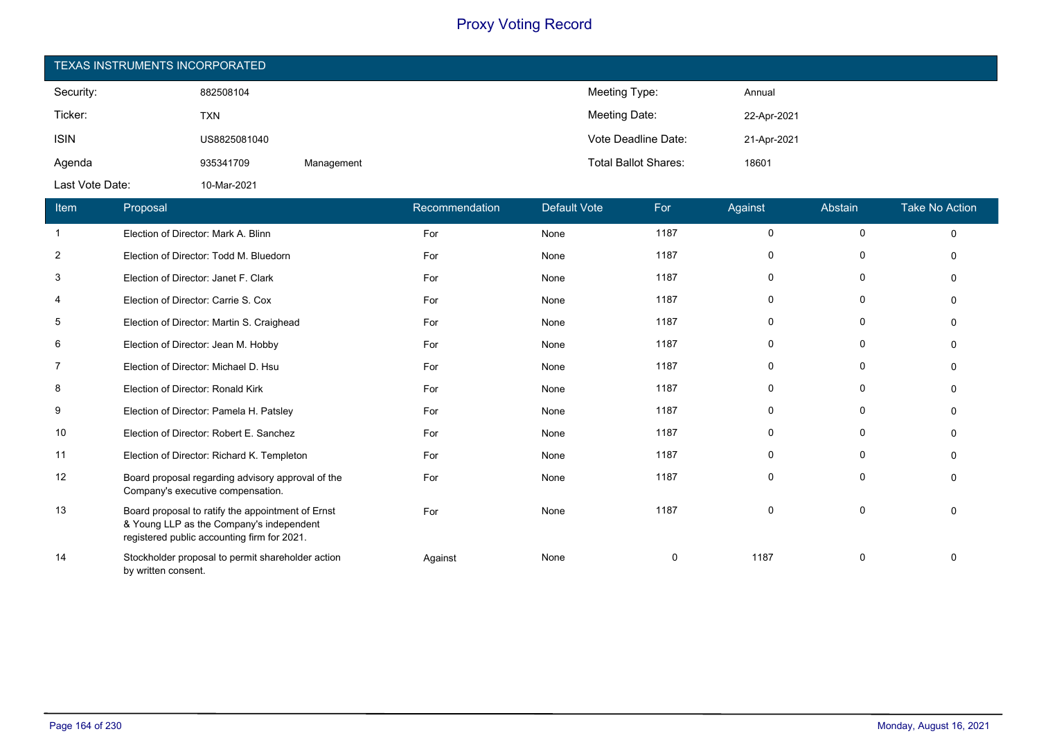| TEXAS INSTRUMENTS INCORPORATED |              |            |                             |             |  |  |
|--------------------------------|--------------|------------|-----------------------------|-------------|--|--|
| Security:                      | 882508104    |            | Meeting Type:               | Annual      |  |  |
| Ticker:                        | <b>TXN</b>   |            | Meeting Date:               | 22-Apr-2021 |  |  |
| <b>ISIN</b>                    | US8825081040 |            | Vote Deadline Date:         | 21-Apr-2021 |  |  |
| Agenda                         | 935341709    | Management | <b>Total Ballot Shares:</b> | 18601       |  |  |
| Last Vote Date:                | 10-Mar-2021  |            |                             |             |  |  |

| Item           | Proposal                                                                                                                                     | Recommendation | <b>Default Vote</b> | For  | Against  | Abstain  | <b>Take No Action</b> |
|----------------|----------------------------------------------------------------------------------------------------------------------------------------------|----------------|---------------------|------|----------|----------|-----------------------|
| $\mathbf{1}$   | Election of Director: Mark A. Blinn                                                                                                          | For            | None                | 1187 | 0        | 0        | $\Omega$              |
| 2              | Election of Director: Todd M. Bluedorn                                                                                                       | For            | None                | 1187 | 0        | $\Omega$ |                       |
| 3              | Election of Director: Janet F. Clark                                                                                                         | For            | None                | 1187 | 0        | 0        |                       |
| 4              | Election of Director: Carrie S. Cox                                                                                                          | For            | None                | 1187 | 0        | 0        |                       |
| 5              | Election of Director: Martin S. Craighead                                                                                                    | For            | None                | 1187 | $\Omega$ | 0        |                       |
| 6              | Election of Director: Jean M. Hobby                                                                                                          | For            | None                | 1187 | $\Omega$ | 0        |                       |
| $\overline{7}$ | Election of Director: Michael D. Hsu                                                                                                         | For            | None                | 1187 | $\Omega$ | $\Omega$ |                       |
| 8              | Election of Director: Ronald Kirk                                                                                                            | For            | None                | 1187 | 0        | 0        |                       |
| 9              | Election of Director: Pamela H. Patsley                                                                                                      | For            | None                | 1187 | 0        | 0        |                       |
| 10             | Election of Director: Robert E. Sanchez                                                                                                      | For            | None                | 1187 | $\Omega$ | $\Omega$ |                       |
| 11             | Election of Director: Richard K. Templeton                                                                                                   | For            | None                | 1187 | $\Omega$ | 0        |                       |
| 12             | Board proposal regarding advisory approval of the<br>Company's executive compensation.                                                       | For            | None                | 1187 | $\Omega$ | $\Omega$ |                       |
| 13             | Board proposal to ratify the appointment of Ernst<br>& Young LLP as the Company's independent<br>registered public accounting firm for 2021. | For            | None                | 1187 | 0        | 0        |                       |
| 14             | Stockholder proposal to permit shareholder action<br>by written consent.                                                                     | Against        | None                | 0    | 1187     | 0        |                       |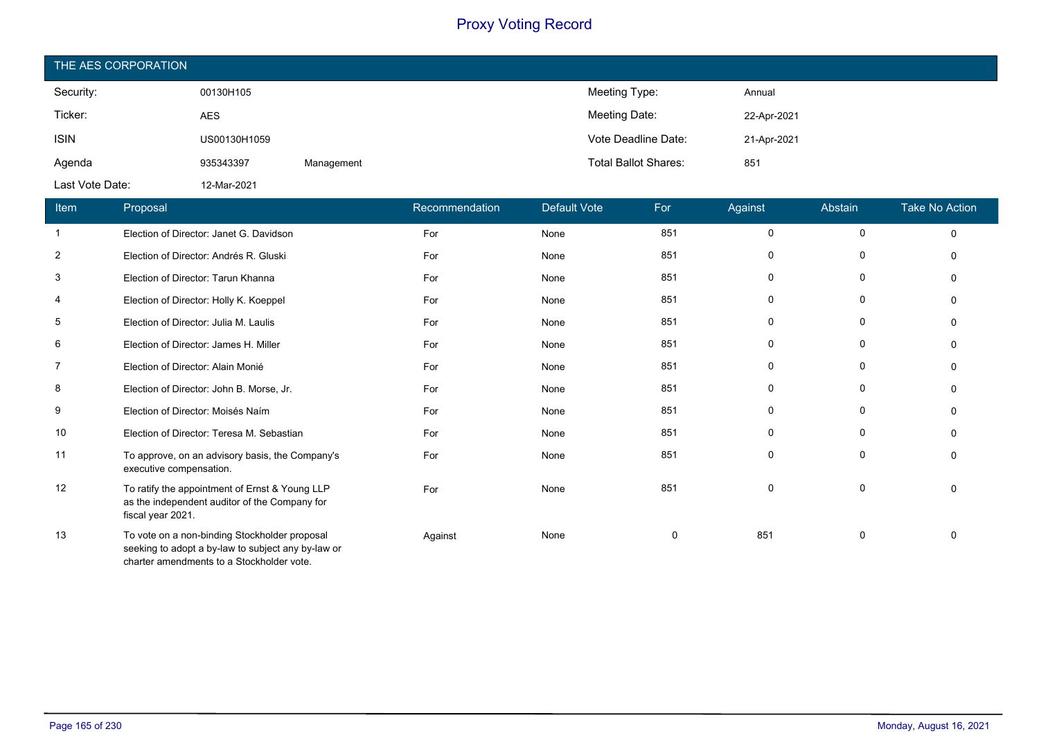| THE AES CORPORATION |              |            |                             |             |  |  |
|---------------------|--------------|------------|-----------------------------|-------------|--|--|
| Security:           | 00130H105    |            | Meeting Type:               | Annual      |  |  |
| Ticker:             | <b>AES</b>   |            | Meeting Date:               | 22-Apr-2021 |  |  |
| <b>ISIN</b>         | US00130H1059 |            | Vote Deadline Date:         | 21-Apr-2021 |  |  |
| Agenda              | 935343397    | Management | <b>Total Ballot Shares:</b> | 851         |  |  |
| Last Vote Date:     | 12-Mar-2021  |            |                             |             |  |  |

| Item           | Proposal                                                                                                                                         | Recommendation | <b>Default Vote</b> | For | Against  | Abstain     | <b>Take No Action</b> |
|----------------|--------------------------------------------------------------------------------------------------------------------------------------------------|----------------|---------------------|-----|----------|-------------|-----------------------|
| $\mathbf{1}$   | Election of Director: Janet G. Davidson                                                                                                          | For            | None                | 851 | $\Omega$ | 0           | $\Omega$              |
| $\overline{2}$ | Election of Director: Andrés R. Gluski                                                                                                           | For            | None                | 851 | $\Omega$ | 0           |                       |
| 3              | Election of Director: Tarun Khanna                                                                                                               | For            | None                | 851 | 0        | 0           |                       |
| 4              | Election of Director: Holly K. Koeppel                                                                                                           | For            | None                | 851 | 0        | 0           |                       |
| 5              | Election of Director: Julia M. Laulis                                                                                                            | For            | None                | 851 | 0        | $\mathbf 0$ |                       |
| 6              | Election of Director: James H. Miller                                                                                                            | For            | None                | 851 | $\Omega$ | 0           |                       |
| 7              | Election of Director: Alain Monié                                                                                                                | For            | None                | 851 | 0        | 0           |                       |
| 8              | Election of Director: John B. Morse, Jr.                                                                                                         | For            | None                | 851 | O        | $\mathbf 0$ |                       |
| 9              | Election of Director: Moisés Naím                                                                                                                | For            | None                | 851 | 0        | $\Omega$    |                       |
| 10             | Election of Director: Teresa M. Sebastian                                                                                                        | For            | None                | 851 | 0        | 0           |                       |
| 11             | To approve, on an advisory basis, the Company's<br>executive compensation.                                                                       | For            | None                | 851 | $\Omega$ | 0           |                       |
| 12             | To ratify the appointment of Ernst & Young LLP<br>as the independent auditor of the Company for<br>fiscal year 2021.                             | For            | None                | 851 | 0        | 0           |                       |
| 13             | To vote on a non-binding Stockholder proposal<br>seeking to adopt a by-law to subject any by-law or<br>charter amendments to a Stockholder vote. | Against        | None                | 0   | 851      | 0           |                       |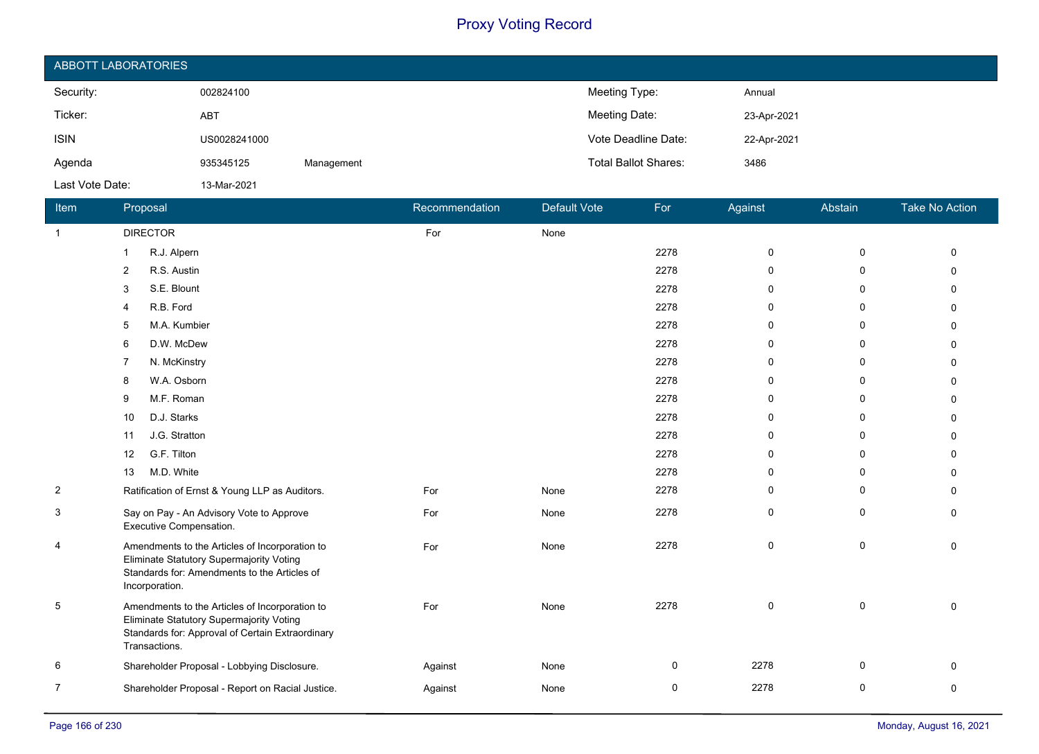| ABBOTT LABORATORIES |              |            |                             |             |  |  |
|---------------------|--------------|------------|-----------------------------|-------------|--|--|
| Security:           | 002824100    |            | Meeting Type:               | Annual      |  |  |
| Ticker:             | <b>ABT</b>   |            | Meeting Date:               | 23-Apr-2021 |  |  |
| <b>ISIN</b>         | US0028241000 |            | Vote Deadline Date:         | 22-Apr-2021 |  |  |
| Agenda              | 935345125    | Management | <b>Total Ballot Shares:</b> | 3486        |  |  |
| Last Vote Date:     | 13-Mar-2021  |            |                             |             |  |  |

| Item           | Proposal                                                                                                                                                        | Recommendation | Default Vote | For         | Against     | Abstain      | <b>Take No Action</b> |
|----------------|-----------------------------------------------------------------------------------------------------------------------------------------------------------------|----------------|--------------|-------------|-------------|--------------|-----------------------|
| $\mathbf{1}$   | <b>DIRECTOR</b>                                                                                                                                                 | For            | None         |             |             |              |                       |
|                | R.J. Alpern<br>1                                                                                                                                                |                |              | 2278        | $\mathbf 0$ | $\mathbf 0$  | $\Omega$              |
|                | R.S. Austin<br>2                                                                                                                                                |                |              | 2278        | $\mathbf 0$ | $\mathbf{0}$ | U                     |
|                | S.E. Blount<br>3                                                                                                                                                |                |              | 2278        | 0           | 0            | U                     |
|                | R.B. Ford<br>4                                                                                                                                                  |                |              | 2278        | $\mathbf 0$ | 0            | 0                     |
|                | M.A. Kumbier<br>5                                                                                                                                               |                |              | 2278        | $\mathbf 0$ | 0            | <sup>0</sup>          |
|                | D.W. McDew<br>6                                                                                                                                                 |                |              | 2278        | $\mathbf 0$ | 0            | U                     |
|                | N. McKinstry                                                                                                                                                    |                |              | 2278        | $\mathbf 0$ | 0            | n                     |
|                | W.A. Osborn<br>8                                                                                                                                                |                |              | 2278        | $\mathbf 0$ | 0            | 0                     |
|                | M.F. Roman<br>9                                                                                                                                                 |                |              | 2278        | $\mathbf 0$ | $\mathbf{0}$ | <sup>0</sup>          |
|                | D.J. Starks<br>10                                                                                                                                               |                |              | 2278        | 0           | 0            | n                     |
|                | J.G. Stratton<br>11                                                                                                                                             |                |              | 2278        | $\mathbf 0$ | 0            | 0                     |
|                | G.F. Tilton<br>12                                                                                                                                               |                |              | 2278        | $\mathbf 0$ | 0            | n.                    |
|                | M.D. White<br>13                                                                                                                                                |                |              | 2278        | $\mathbf 0$ | 0            | <sup>0</sup>          |
| $\overline{2}$ | Ratification of Ernst & Young LLP as Auditors.                                                                                                                  | For            | None         | 2278        | $\mathbf 0$ | 0            | 0                     |
| 3              | Say on Pay - An Advisory Vote to Approve<br>Executive Compensation.                                                                                             | For            | None         | 2278        | $\mathbf 0$ | $\mathbf 0$  | $\Omega$              |
| 4              | Amendments to the Articles of Incorporation to<br>Eliminate Statutory Supermajority Voting<br>Standards for: Amendments to the Articles of<br>Incorporation.    | For            | None         | 2278        | 0           | 0            | $\Omega$              |
| 5              | Amendments to the Articles of Incorporation to<br>Eliminate Statutory Supermajority Voting<br>Standards for: Approval of Certain Extraordinary<br>Transactions. | For            | None         | 2278        | $\mathbf 0$ | 0            | $\Omega$              |
| 6              | Shareholder Proposal - Lobbying Disclosure.                                                                                                                     | Against        | None         | 0           | 2278        | $\mathbf 0$  | 0                     |
| 7              | Shareholder Proposal - Report on Racial Justice.                                                                                                                | Against        | None         | $\mathbf 0$ | 2278        | 0            | 0                     |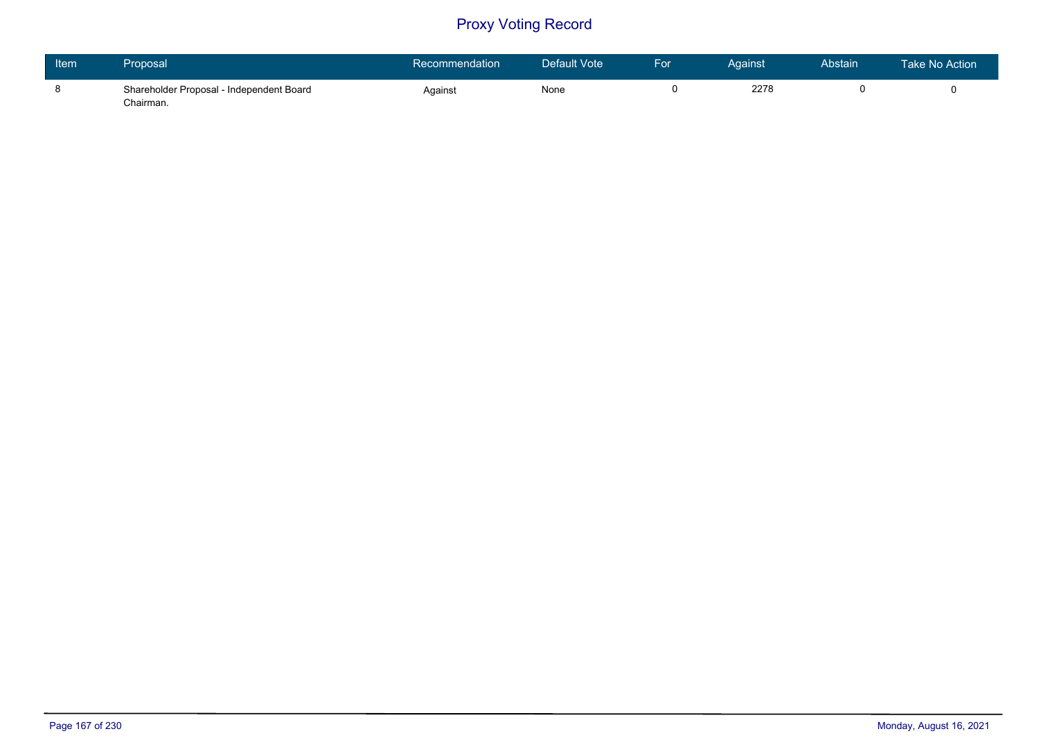| Item | Proposal                                              | Recommendation | Default Vote | For | Aɑainst | Abstain | Take No Action |
|------|-------------------------------------------------------|----------------|--------------|-----|---------|---------|----------------|
|      | Shareholder Proposal - Independent Board<br>Chairman. | Against        | None         |     | 2278    |         |                |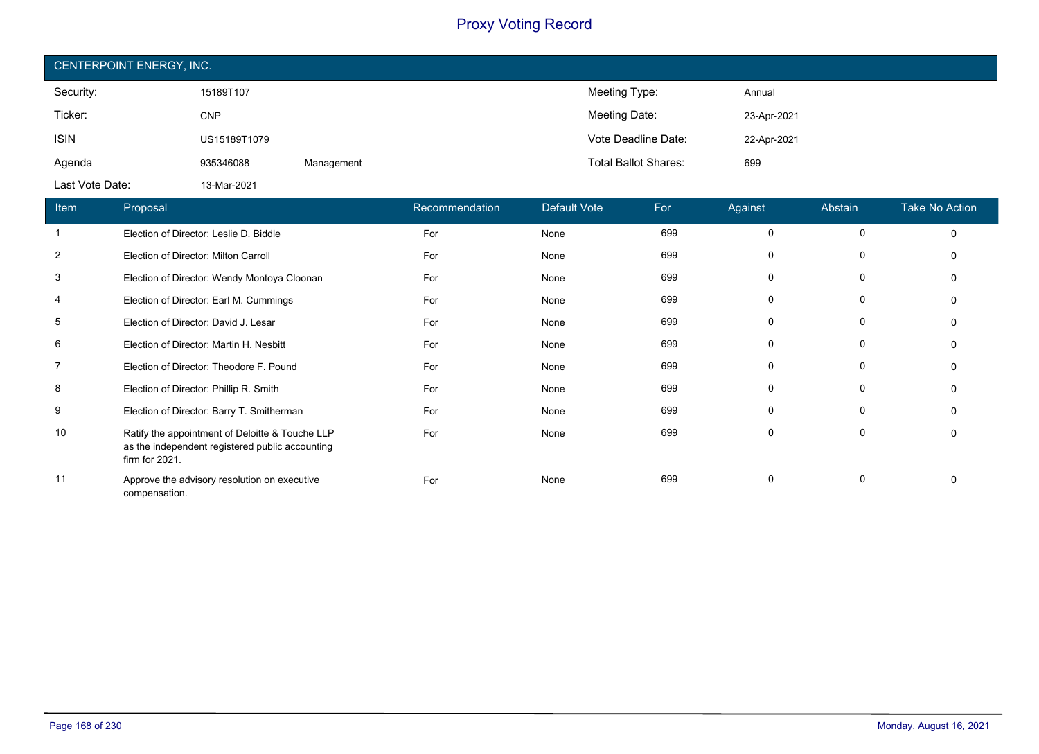| CENTERPOINT ENERGY, INC. |              |            |                             |             |  |  |  |
|--------------------------|--------------|------------|-----------------------------|-------------|--|--|--|
| Security:                | 15189T107    |            | Meeting Type:               | Annual      |  |  |  |
| Ticker:                  | <b>CNP</b>   |            | Meeting Date:               | 23-Apr-2021 |  |  |  |
| <b>ISIN</b>              | US15189T1079 |            | Vote Deadline Date:         | 22-Apr-2021 |  |  |  |
| Agenda                   | 935346088    | Management | <b>Total Ballot Shares:</b> | 699         |  |  |  |
| Last Vote Date:          | 13-Mar-2021  |            |                             |             |  |  |  |

| Item           | Proposal                                                                                                             | Recommendation | Default Vote | For | Against      | Abstain | <b>Take No Action</b> |
|----------------|----------------------------------------------------------------------------------------------------------------------|----------------|--------------|-----|--------------|---------|-----------------------|
|                | Election of Director: Leslie D. Biddle                                                                               | For            | None         | 699 | $\Omega$     | 0       | 0                     |
| 2              | Election of Director: Milton Carroll                                                                                 | For            | None         | 699 | $\mathbf{0}$ | 0       |                       |
| 3              | Election of Director: Wendy Montoya Cloonan                                                                          | For            | None         | 699 | 0            | 0       |                       |
| 4              | Election of Director: Earl M. Cummings                                                                               | For            | None         | 699 | 0            | 0       |                       |
| 5              | Election of Director: David J. Lesar                                                                                 | For            | None         | 699 | $\Omega$     | 0       |                       |
| 6              | Election of Director: Martin H. Nesbitt                                                                              | For            | None         | 699 | $\Omega$     | 0       |                       |
| $\overline{7}$ | Election of Director: Theodore F. Pound                                                                              | For            | None         | 699 | 0            | 0       |                       |
| 8              | Election of Director: Phillip R. Smith                                                                               | For            | None         | 699 | 0            | 0       |                       |
| 9              | Election of Director: Barry T. Smitherman                                                                            | For            | None         | 699 | $\Omega$     | 0       |                       |
| 10             | Ratify the appointment of Deloitte & Touche LLP<br>as the independent registered public accounting<br>firm for 2021. | For            | None         | 699 | $\Omega$     | 0       |                       |
| 11             | Approve the advisory resolution on executive<br>compensation.                                                        | For            | None         | 699 | $\mathbf{0}$ | 0       |                       |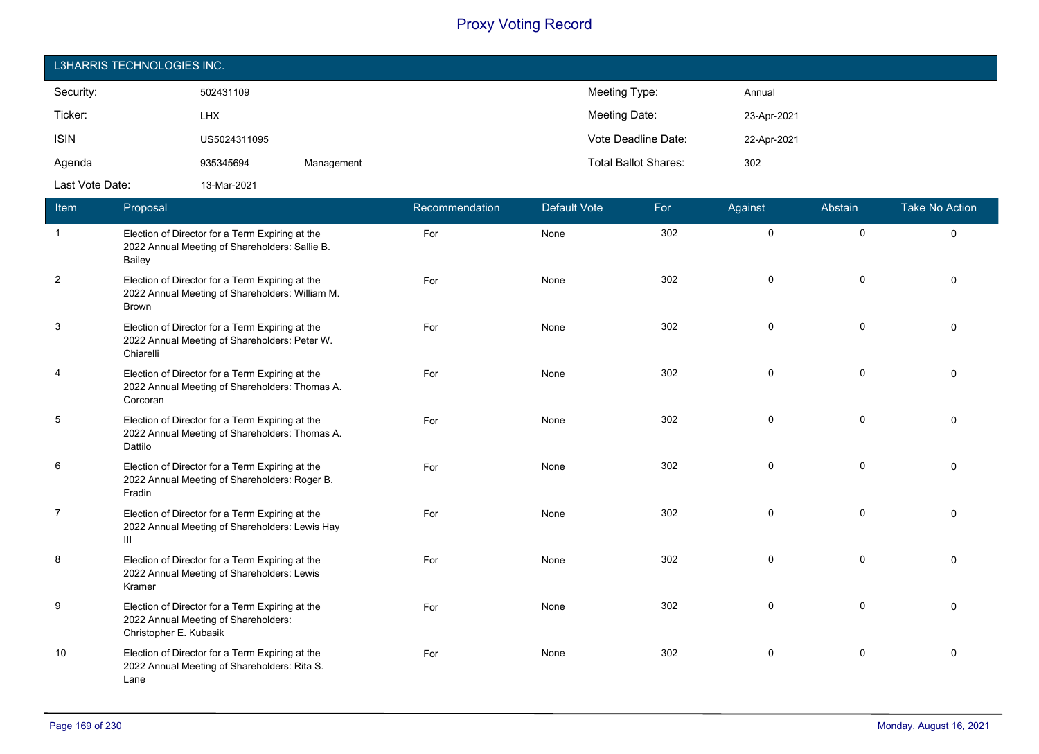| L3HARRIS TECHNOLOGIES INC. |              |            |                             |             |  |  |  |
|----------------------------|--------------|------------|-----------------------------|-------------|--|--|--|
| Security:                  | 502431109    |            | Meeting Type:               | Annual      |  |  |  |
| Ticker:                    | <b>LHX</b>   |            | Meeting Date:               | 23-Apr-2021 |  |  |  |
| <b>ISIN</b>                | US5024311095 |            | Vote Deadline Date:         | 22-Apr-2021 |  |  |  |
| Agenda                     | 935345694    | Management | <b>Total Ballot Shares:</b> | 302         |  |  |  |
| Last Vote Date:            | 13-Mar-2021  |            |                             |             |  |  |  |

| Item           | Proposal                                                                                                           | Recommendation | <b>Default Vote</b> | For | Against     | Abstain     | <b>Take No Action</b> |
|----------------|--------------------------------------------------------------------------------------------------------------------|----------------|---------------------|-----|-------------|-------------|-----------------------|
| $\mathbf{1}$   | Election of Director for a Term Expiring at the<br>2022 Annual Meeting of Shareholders: Sallie B.<br>Bailey        | For            | None                | 302 | $\mathbf 0$ | $\mathbf 0$ | $\Omega$              |
| $\overline{2}$ | Election of Director for a Term Expiring at the<br>2022 Annual Meeting of Shareholders: William M.<br><b>Brown</b> | For            | None                | 302 | $\Omega$    | $\mathbf 0$ | $\Omega$              |
| 3              | Election of Director for a Term Expiring at the<br>2022 Annual Meeting of Shareholders: Peter W.<br>Chiarelli      | For            | None                | 302 | $\mathbf 0$ | $\mathbf 0$ | $\Omega$              |
| $\overline{4}$ | Election of Director for a Term Expiring at the<br>2022 Annual Meeting of Shareholders: Thomas A.<br>Corcoran      | For            | None                | 302 | $\mathbf 0$ | $\mathbf 0$ | $\Omega$              |
| $\sqrt{5}$     | Election of Director for a Term Expiring at the<br>2022 Annual Meeting of Shareholders: Thomas A.<br>Dattilo       | For            | None                | 302 | $\mathbf 0$ | $\mathbf 0$ | $\Omega$              |
| 6              | Election of Director for a Term Expiring at the<br>2022 Annual Meeting of Shareholders: Roger B.<br>Fradin         | For            | None                | 302 | $\mathbf 0$ | $\mathbf 0$ | $\Omega$              |
| $\overline{7}$ | Election of Director for a Term Expiring at the<br>2022 Annual Meeting of Shareholders: Lewis Hay<br>III           | For            | None                | 302 | $\Omega$    | $\mathbf 0$ | $\Omega$              |
| 8              | Election of Director for a Term Expiring at the<br>2022 Annual Meeting of Shareholders: Lewis<br>Kramer            | For            | None                | 302 | 0           | $\mathbf 0$ | $\Omega$              |
| 9              | Election of Director for a Term Expiring at the<br>2022 Annual Meeting of Shareholders:<br>Christopher E. Kubasik  | For            | None                | 302 | $\mathbf 0$ | $\mathbf 0$ | $\Omega$              |
| 10             | Election of Director for a Term Expiring at the<br>2022 Annual Meeting of Shareholders: Rita S.<br>Lane            | For            | None                | 302 | $\mathbf 0$ | $\mathbf 0$ | $\Omega$              |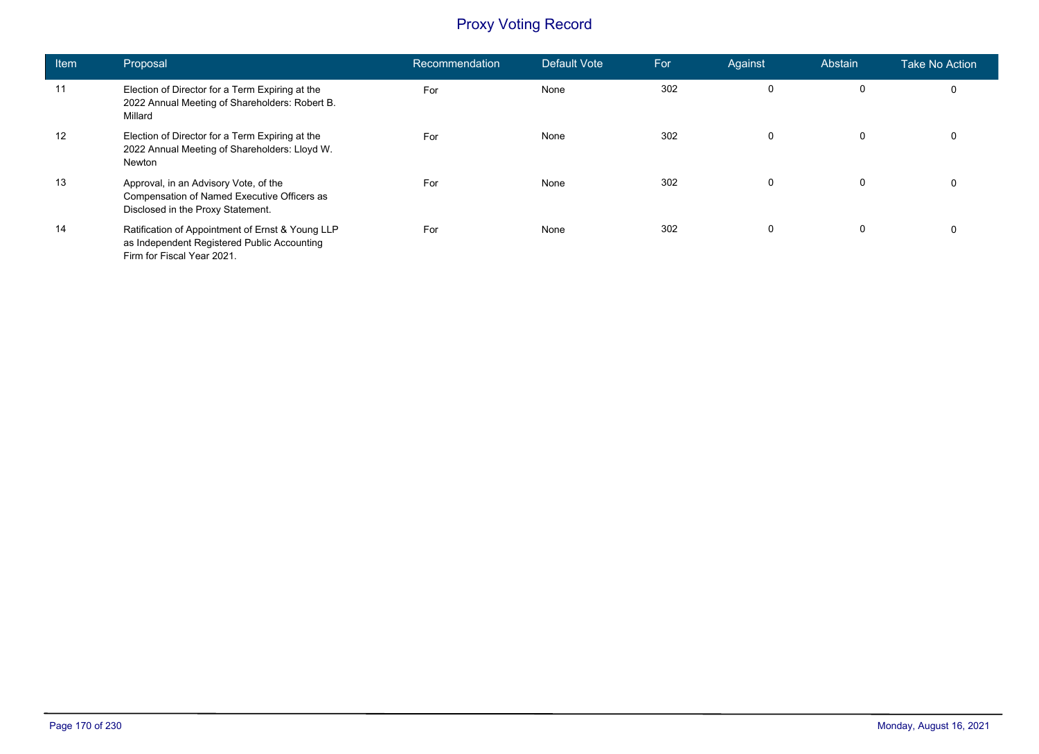| <b>Item</b> | Proposal                                                                                                                      | Recommendation | Default Vote | For | Against      | Abstain | <b>Take No Action</b> |
|-------------|-------------------------------------------------------------------------------------------------------------------------------|----------------|--------------|-----|--------------|---------|-----------------------|
| 11          | Election of Director for a Term Expiring at the<br>2022 Annual Meeting of Shareholders: Robert B.<br>Millard                  | For            | None         | 302 | 0            | 0       | 0                     |
| 12          | Election of Director for a Term Expiring at the<br>2022 Annual Meeting of Shareholders: Lloyd W.<br>Newton                    | For            | None         | 302 | 0            | 0       | 0                     |
| 13          | Approval, in an Advisory Vote, of the<br>Compensation of Named Executive Officers as<br>Disclosed in the Proxy Statement.     | For            | None         | 302 | $\mathbf{0}$ | 0       | 0                     |
| 14          | Ratification of Appointment of Ernst & Young LLP<br>as Independent Registered Public Accounting<br>Firm for Fiscal Year 2021. | For            | None         | 302 | 0            | 0       | 0                     |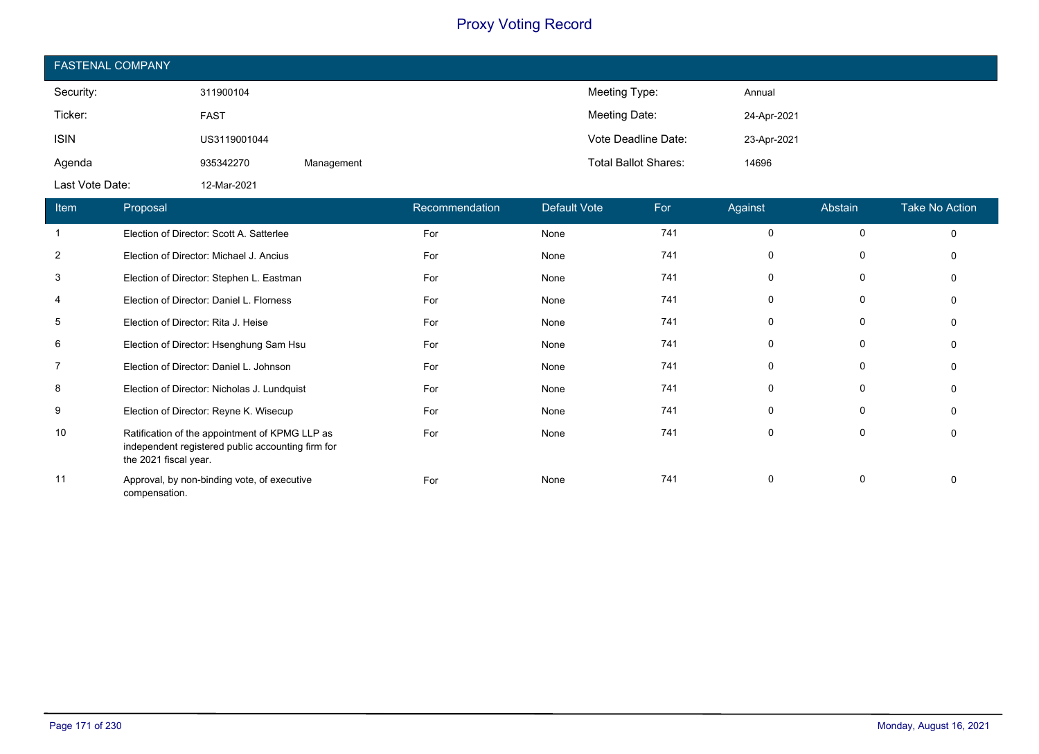| <b>FASTENAL COMPANY</b> |              |            |                             |             |  |  |  |
|-------------------------|--------------|------------|-----------------------------|-------------|--|--|--|
| Security:               | 311900104    |            | Meeting Type:               | Annual      |  |  |  |
| Ticker:                 | <b>FAST</b>  |            | Meeting Date:               | 24-Apr-2021 |  |  |  |
| <b>ISIN</b>             | US3119001044 |            | Vote Deadline Date:         | 23-Apr-2021 |  |  |  |
| Agenda                  | 935342270    | Management | <b>Total Ballot Shares:</b> | 14696       |  |  |  |
| Last Vote Date:         | 12-Mar-2021  |            |                             |             |  |  |  |

| <b>Item</b>    | Proposal                                                                                                                     | Recommendation | Default Vote | For | Against  | Abstain     | <b>Take No Action</b> |
|----------------|------------------------------------------------------------------------------------------------------------------------------|----------------|--------------|-----|----------|-------------|-----------------------|
| $\mathbf{1}$   | Election of Director: Scott A. Satterlee                                                                                     | For            | None         | 741 | 0        | 0           | $\mathbf 0$           |
| 2              | Election of Director: Michael J. Ancius                                                                                      | For            | None         | 741 | $\Omega$ | 0           | $\Omega$              |
| 3              | Election of Director: Stephen L. Eastman                                                                                     | For            | None         | 741 | 0        | 0           | 0                     |
| 4              | Election of Director: Daniel L. Florness                                                                                     | For            | None         | 741 | 0        | 0           | $\Omega$              |
| 5              | Election of Director: Rita J. Heise                                                                                          | For            | None         | 741 | 0        | 0           | $\Omega$              |
| 6              | Election of Director: Hsenghung Sam Hsu                                                                                      | For            | None         | 741 | $\Omega$ | 0           | $\Omega$              |
| $\overline{7}$ | Election of Director: Daniel L. Johnson                                                                                      | For            | None         | 741 | 0        | 0           | 0                     |
| 8              | Election of Director: Nicholas J. Lundquist                                                                                  | For            | None         | 741 | 0        | 0           | 0                     |
| 9              | Election of Director: Reyne K. Wisecup                                                                                       | For            | None         | 741 | $\Omega$ | $\mathbf 0$ | $\Omega$              |
| 10             | Ratification of the appointment of KPMG LLP as<br>independent registered public accounting firm for<br>the 2021 fiscal year. | For            | None         | 741 | $\Omega$ | 0           | $\Omega$              |
| 11             | Approval, by non-binding vote, of executive<br>compensation.                                                                 | For            | None         | 741 | $\Omega$ | 0           | 0                     |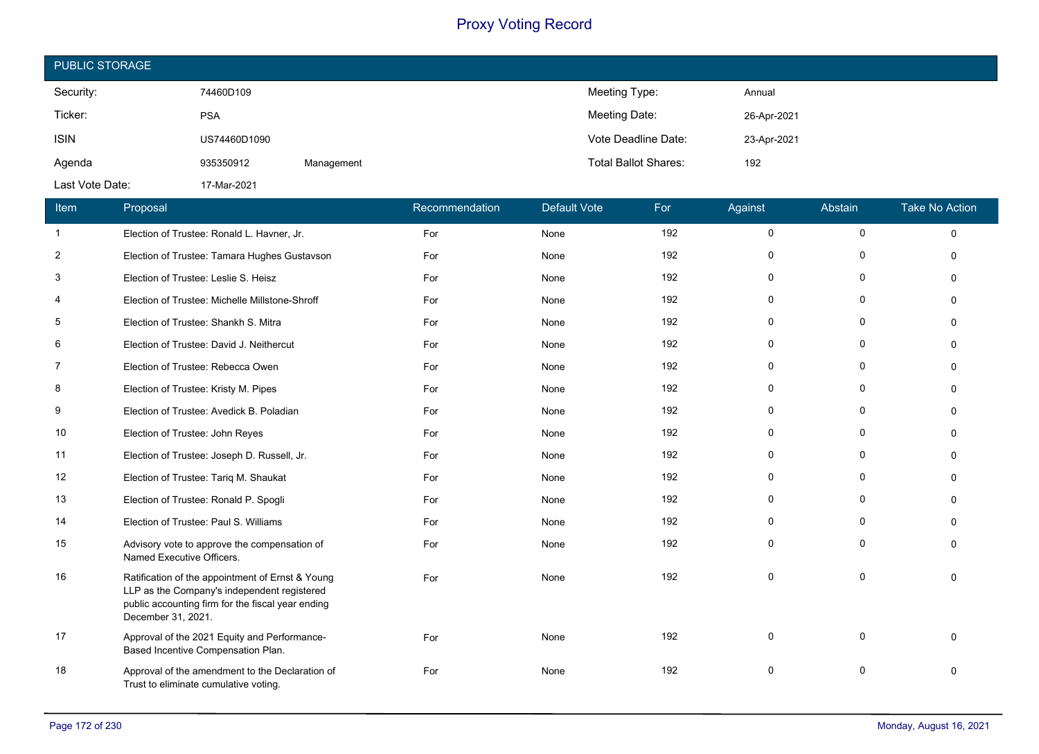| <b>PUBLIC STORAGE</b> |              |            |                             |             |  |  |  |
|-----------------------|--------------|------------|-----------------------------|-------------|--|--|--|
| Security:             | 74460D109    |            | Meeting Type:               | Annual      |  |  |  |
| Ticker:               | <b>PSA</b>   |            | Meeting Date:               | 26-Apr-2021 |  |  |  |
| <b>ISIN</b>           | US74460D1090 |            | Vote Deadline Date:         | 23-Apr-2021 |  |  |  |
| Agenda                | 935350912    | Management | <b>Total Ballot Shares:</b> | 192         |  |  |  |
| Last Vote Date:       | 17-Mar-2021  |            |                             |             |  |  |  |

| Item           | Proposal                                                                                                                                                                   | Recommendation | <b>Default Vote</b> | For | Against     | Abstain     | <b>Take No Action</b> |
|----------------|----------------------------------------------------------------------------------------------------------------------------------------------------------------------------|----------------|---------------------|-----|-------------|-------------|-----------------------|
| $\mathbf{1}$   | Election of Trustee: Ronald L. Havner, Jr.                                                                                                                                 | For            | None                | 192 | $\mathbf 0$ | $\mathbf 0$ | $\Omega$              |
| $\overline{2}$ | Election of Trustee: Tamara Hughes Gustavson                                                                                                                               | For            | None                | 192 | $\mathbf 0$ | 0           | $\Omega$              |
| 3              | Election of Trustee: Leslie S. Heisz                                                                                                                                       | For            | None                | 192 | 0           | 0           | $\Omega$              |
| 4              | Election of Trustee: Michelle Millstone-Shroff                                                                                                                             | For            | None                | 192 | $\mathbf 0$ | $\Omega$    | $\Omega$              |
| 5              | Election of Trustee: Shankh S. Mitra                                                                                                                                       | For            | None                | 192 | $\mathbf 0$ | 0           | $\mathbf{0}$          |
| 6              | Election of Trustee: David J. Neithercut                                                                                                                                   | For            | None                | 192 | $\mathbf 0$ | 0           | $\Omega$              |
| $\overline{7}$ | Election of Trustee: Rebecca Owen                                                                                                                                          | For            | None                | 192 | $\Omega$    | $\Omega$    | $\Omega$              |
| 8              | Election of Trustee: Kristy M. Pipes                                                                                                                                       | For            | None                | 192 | 0           | 0           | $\Omega$              |
| 9              | Election of Trustee: Avedick B. Poladian                                                                                                                                   | For            | None                | 192 | 0           | 0           | $\Omega$              |
| 10             | Election of Trustee: John Reyes                                                                                                                                            | For            | None                | 192 | $\mathbf 0$ | $\Omega$    | $\Omega$              |
| 11             | Election of Trustee: Joseph D. Russell, Jr.                                                                                                                                | For            | None                | 192 | 0           | $\Omega$    | $\Omega$              |
| 12             | Election of Trustee: Tariq M. Shaukat                                                                                                                                      | For            | None                | 192 | $\mathbf 0$ | $\Omega$    | $\Omega$              |
| 13             | Election of Trustee: Ronald P. Spogli                                                                                                                                      | For            | None                | 192 | $\mathbf 0$ | 0           | $\Omega$              |
| 14             | Election of Trustee: Paul S. Williams                                                                                                                                      | For            | None                | 192 | 0           | 0           | $\Omega$              |
| 15             | Advisory vote to approve the compensation of<br>Named Executive Officers.                                                                                                  | For            | None                | 192 | $\mathbf 0$ | 0           | $\Omega$              |
| 16             | Ratification of the appointment of Ernst & Young<br>LLP as the Company's independent registered<br>public accounting firm for the fiscal year ending<br>December 31, 2021. | For            | None                | 192 | $\mathbf 0$ | $\Omega$    | $\Omega$              |
| 17             | Approval of the 2021 Equity and Performance-<br>Based Incentive Compensation Plan.                                                                                         | For            | None                | 192 | $\Omega$    | $\Omega$    | $\Omega$              |
| 18             | Approval of the amendment to the Declaration of<br>Trust to eliminate cumulative voting.                                                                                   | For            | None                | 192 | $\mathbf 0$ | $\Omega$    | $\Omega$              |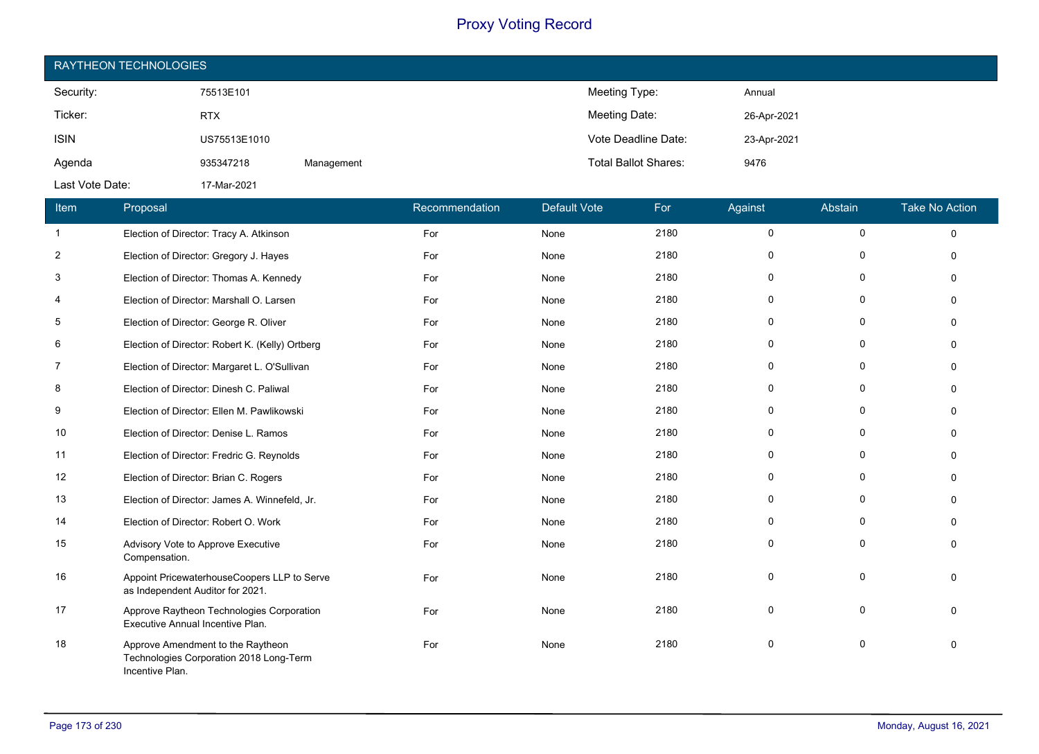| RAYTHEON TECHNOLOGIES |              |            |                             |             |  |  |  |
|-----------------------|--------------|------------|-----------------------------|-------------|--|--|--|
| Security:             | 75513E101    |            | Meeting Type:               | Annual      |  |  |  |
| Ticker:               | <b>RTX</b>   |            | Meeting Date:               | 26-Apr-2021 |  |  |  |
| <b>ISIN</b>           | US75513E1010 |            | Vote Deadline Date:         | 23-Apr-2021 |  |  |  |
| Agenda                | 935347218    | Management | <b>Total Ballot Shares:</b> | 9476        |  |  |  |
| Last Vote Date:       | 17-Mar-2021  |            |                             |             |  |  |  |

| Item           | Proposal                                                                                        | Recommendation | <b>Default Vote</b> | For  | Against      | Abstain      | <b>Take No Action</b> |
|----------------|-------------------------------------------------------------------------------------------------|----------------|---------------------|------|--------------|--------------|-----------------------|
| -1             | Election of Director: Tracy A. Atkinson                                                         | For            | None                | 2180 | $\mathbf 0$  | $\mathbf 0$  | $\Omega$              |
| $\overline{2}$ | Election of Director: Gregory J. Hayes                                                          | For            | None                | 2180 | $\mathbf 0$  | 0            | $\Omega$              |
| 3              | Election of Director: Thomas A. Kennedy                                                         | For            | None                | 2180 | $\Omega$     | $\Omega$     | $\Omega$              |
| 4              | Election of Director: Marshall O. Larsen                                                        | For            | None                | 2180 | $\mathbf{0}$ | $\Omega$     | $\Omega$              |
| 5              | Election of Director: George R. Oliver                                                          | For            | None                | 2180 | $\mathbf 0$  | $\mathbf{0}$ | $\Omega$              |
| 6              | Election of Director: Robert K. (Kelly) Ortberg                                                 | For            | None                | 2180 | 0            | $\Omega$     | $\Omega$              |
| $\overline{7}$ | Election of Director: Margaret L. O'Sullivan                                                    | For            | None                | 2180 | $\mathbf{0}$ | $\Omega$     | $\Omega$              |
| 8              | Election of Director: Dinesh C. Paliwal                                                         | For            | None                | 2180 | $\mathbf 0$  | $\mathbf{0}$ | $\Omega$              |
| 9              | Election of Director: Ellen M. Pawlikowski                                                      | For            | None                | 2180 | $\mathbf{0}$ | $\Omega$     | $\Omega$              |
| 10             | Election of Director: Denise L. Ramos                                                           | For            | None                | 2180 | 0            | $\Omega$     | $\Omega$              |
| 11             | Election of Director: Fredric G. Reynolds                                                       | For            | None                | 2180 | 0            | 0            | $\Omega$              |
| 12             | Election of Director: Brian C. Rogers                                                           | For            | None                | 2180 | 0            | 0            | $\Omega$              |
| 13             | Election of Director: James A. Winnefeld, Jr.                                                   | For            | None                | 2180 | $\mathbf{0}$ | $\Omega$     | $\Omega$              |
| 14             | Election of Director: Robert O. Work                                                            | For            | None                | 2180 | $\mathbf{0}$ | $\mathbf 0$  | $\Omega$              |
| 15             | Advisory Vote to Approve Executive<br>Compensation.                                             | For            | None                | 2180 | $\mathbf{0}$ | $\mathbf 0$  | $\Omega$              |
| 16             | Appoint PricewaterhouseCoopers LLP to Serve<br>as Independent Auditor for 2021.                 | For            | None                | 2180 | $\mathbf 0$  | $\mathbf{0}$ | $\Omega$              |
| 17             | Approve Raytheon Technologies Corporation<br>Executive Annual Incentive Plan.                   | For            | None                | 2180 | $\Omega$     | $\mathbf{0}$ | $\Omega$              |
| 18             | Approve Amendment to the Raytheon<br>Technologies Corporation 2018 Long-Term<br>Incentive Plan. | For            | None                | 2180 | $\mathbf 0$  | $\Omega$     | $\Omega$              |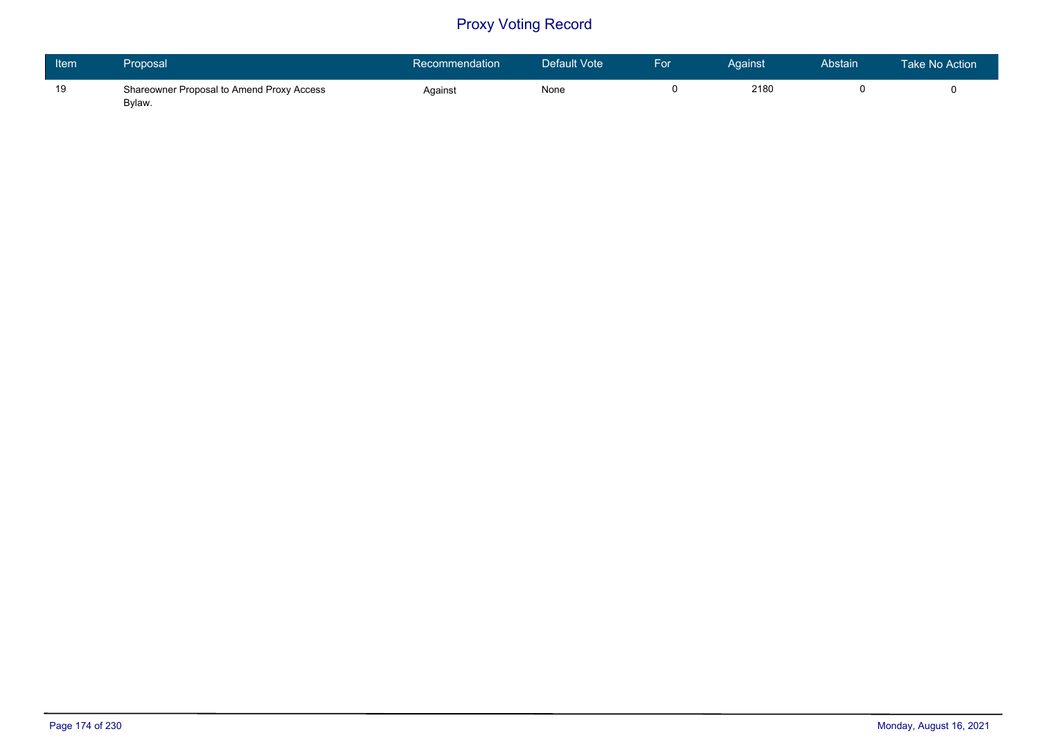| Item | Proposal I                                          | Recommendation | Default Vote | /For | Against. | Abstain | Take No Action \ |
|------|-----------------------------------------------------|----------------|--------------|------|----------|---------|------------------|
| 19   | Shareowner Proposal to Amend Proxy Access<br>Bylaw. | Against        | None         |      | 2180     |         |                  |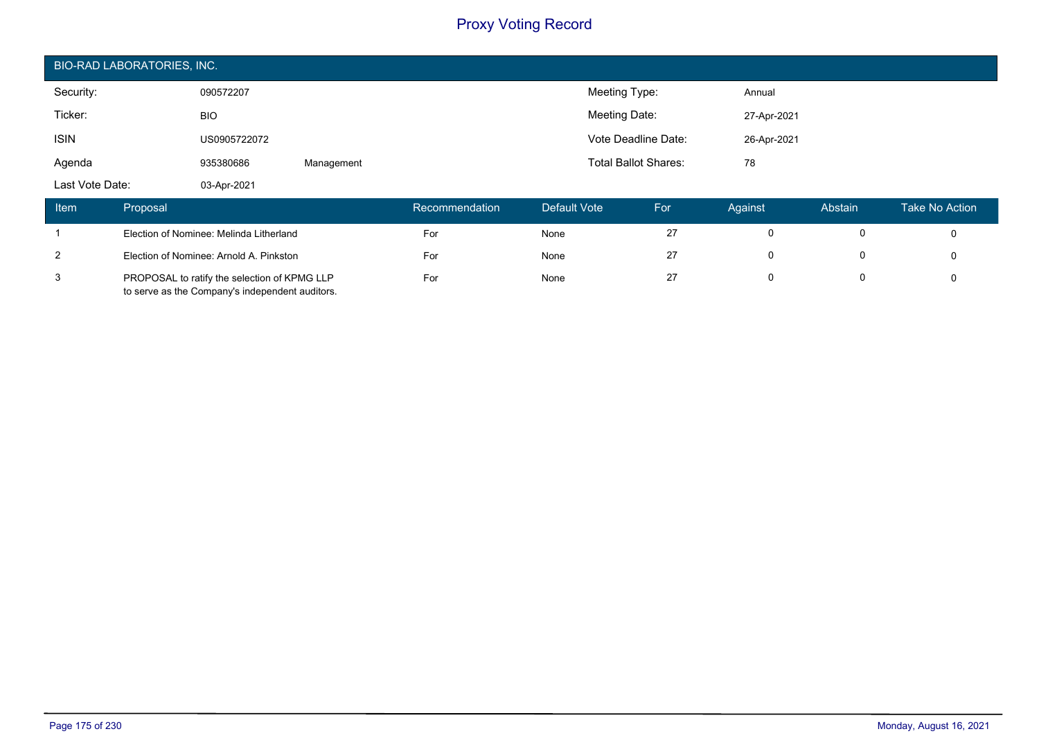| <b>BIO-RAD LABORATORIES, INC.</b> |              |            |                             |             |  |  |  |
|-----------------------------------|--------------|------------|-----------------------------|-------------|--|--|--|
| Security:                         | 090572207    |            | Meeting Type:               | Annual      |  |  |  |
| Ticker:                           | <b>BIO</b>   |            | Meeting Date:               | 27-Apr-2021 |  |  |  |
| <b>ISIN</b>                       | US0905722072 |            | Vote Deadline Date:         | 26-Apr-2021 |  |  |  |
| Agenda                            | 935380686    | Management | <b>Total Ballot Shares:</b> | 78          |  |  |  |
| Last Vote Date:                   | 03-Apr-2021  |            |                             |             |  |  |  |

| ltem <sup>1</sup> | Proposal                                                                                        | Recommendation | Default Vote | For | Against | Abstain | Take No Action |
|-------------------|-------------------------------------------------------------------------------------------------|----------------|--------------|-----|---------|---------|----------------|
|                   | Election of Nominee: Melinda Litherland                                                         | For            | None         | 27  |         |         |                |
| 2                 | Election of Nominee: Arnold A. Pinkston                                                         | For            | None         | 27  |         |         |                |
| 3                 | PROPOSAL to ratify the selection of KPMG LLP<br>to serve as the Company's independent auditors. | For            | None         | 27  |         |         |                |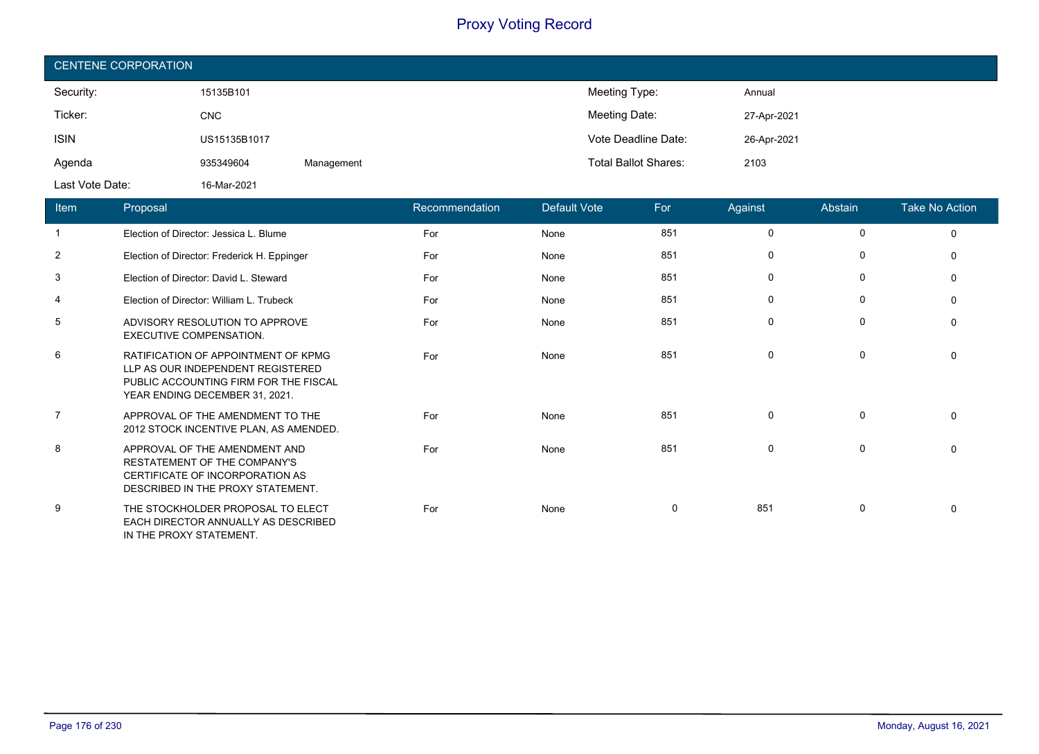| <b>CENTENE CORPORATION</b> |              |            |                             |             |  |  |  |  |
|----------------------------|--------------|------------|-----------------------------|-------------|--|--|--|--|
| Security:                  | 15135B101    |            | Meeting Type:               | Annual      |  |  |  |  |
| Ticker:                    | <b>CNC</b>   |            | Meeting Date:               | 27-Apr-2021 |  |  |  |  |
| <b>ISIN</b>                | US15135B1017 |            | Vote Deadline Date:         | 26-Apr-2021 |  |  |  |  |
| Agenda                     | 935349604    | Management | <b>Total Ballot Shares:</b> | 2103        |  |  |  |  |
| Last Vote Date:            | 16-Mar-2021  |            |                             |             |  |  |  |  |

| Item           | Proposal                                                                                                                                            | Recommendation | Default Vote | For | Against     | <b>Abstain</b> | <b>Take No Action</b> |
|----------------|-----------------------------------------------------------------------------------------------------------------------------------------------------|----------------|--------------|-----|-------------|----------------|-----------------------|
| $\overline{1}$ | Election of Director: Jessica L. Blume                                                                                                              | For            | None         | 851 | 0           | $\mathbf 0$    | $\mathbf 0$           |
| 2              | Election of Director: Frederick H. Eppinger                                                                                                         | For            | None         | 851 | 0           | 0              | $\Omega$              |
| 3              | Election of Director: David L. Steward                                                                                                              | For            | None         | 851 | 0           | 0              | $\Omega$              |
| 4              | Election of Director: William L. Trubeck                                                                                                            | For            | None         | 851 | $\mathbf 0$ | $\mathbf 0$    | $\Omega$              |
| 5              | ADVISORY RESOLUTION TO APPROVE<br><b>EXECUTIVE COMPENSATION.</b>                                                                                    | For            | None         | 851 | $\mathbf 0$ | $\mathbf 0$    | $\Omega$              |
| 6              | RATIFICATION OF APPOINTMENT OF KPMG<br>LLP AS OUR INDEPENDENT REGISTERED<br>PUBLIC ACCOUNTING FIRM FOR THE FISCAL<br>YEAR ENDING DECEMBER 31, 2021. | For            | None         | 851 | 0           | 0              | $\Omega$              |
| 7              | APPROVAL OF THE AMENDMENT TO THE<br>2012 STOCK INCENTIVE PLAN, AS AMENDED.                                                                          | For            | None         | 851 | 0           | 0              | $\Omega$              |
| 8              | APPROVAL OF THE AMENDMENT AND<br>RESTATEMENT OF THE COMPANY'S<br>CERTIFICATE OF INCORPORATION AS<br>DESCRIBED IN THE PROXY STATEMENT.               | For            | None         | 851 | $\mathbf 0$ | 0              | $\Omega$              |
| 9              | THE STOCKHOLDER PROPOSAL TO ELECT<br>EACH DIRECTOR ANNUALLY AS DESCRIBED<br>IN THE PROXY STATEMENT.                                                 | For            | None         | 0   | 851         | 0              | 0                     |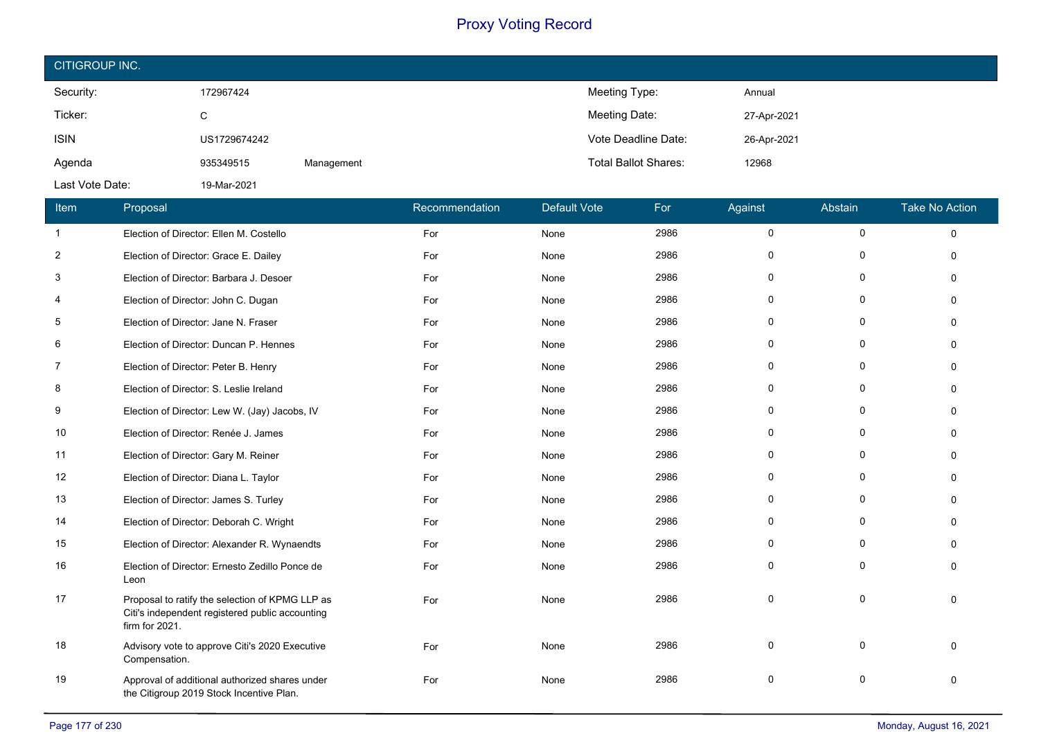| CITIGROUP INC.  |              |            |                             |             |  |  |  |
|-----------------|--------------|------------|-----------------------------|-------------|--|--|--|
| Security:       | 172967424    |            | Meeting Type:               | Annual      |  |  |  |
| Ticker:         | C            |            | Meeting Date:               | 27-Apr-2021 |  |  |  |
| <b>ISIN</b>     | US1729674242 |            | Vote Deadline Date:         | 26-Apr-2021 |  |  |  |
| Agenda          | 935349515    | Management | <b>Total Ballot Shares:</b> | 12968       |  |  |  |
| Last Vote Date: | 19-Mar-2021  |            |                             |             |  |  |  |

| Item           | Proposal                                                                                                             | Recommendation | <b>Default Vote</b> | For  | Against     | Abstain      | <b>Take No Action</b> |
|----------------|----------------------------------------------------------------------------------------------------------------------|----------------|---------------------|------|-------------|--------------|-----------------------|
| $\mathbf{1}$   | Election of Director: Ellen M. Costello                                                                              | For            | None                | 2986 | $\mathbf 0$ | $\mathbf 0$  | $\Omega$              |
| $\overline{c}$ | Election of Director: Grace E. Dailey                                                                                | For            | None                | 2986 | 0           | 0            | $\mathbf{0}$          |
| 3              | Election of Director: Barbara J. Desoer                                                                              | For            | None                | 2986 | $\Omega$    | $\mathbf{0}$ | $\Omega$              |
| 4              | Election of Director: John C. Dugan                                                                                  | For            | None                | 2986 | $\Omega$    | 0            | $\Omega$              |
| 5              | Election of Director: Jane N. Fraser                                                                                 | For            | None                | 2986 | $\Omega$    | $\Omega$     | $\Omega$              |
| 6              | Election of Director: Duncan P. Hennes                                                                               | For            | None                | 2986 | $\Omega$    | $\Omega$     | $\Omega$              |
| 7              | Election of Director: Peter B. Henry                                                                                 | For            | None                | 2986 | 0           | 0            | $\Omega$              |
| 8              | Election of Director: S. Leslie Ireland                                                                              | For            | None                | 2986 | 0           | $\Omega$     | $\Omega$              |
| 9              | Election of Director: Lew W. (Jay) Jacobs, IV                                                                        | For            | None                | 2986 | 0           | $\Omega$     | $\Omega$              |
| 10             | Election of Director: Renée J. James                                                                                 | For            | None                | 2986 | 0           | 0            | $\Omega$              |
| 11             | Election of Director: Gary M. Reiner                                                                                 | For            | None                | 2986 | 0           | $\Omega$     | $\Omega$              |
| 12             | Election of Director: Diana L. Taylor                                                                                | For            | None                | 2986 | $\mathbf 0$ | $\mathbf 0$  | $\Omega$              |
| 13             | Election of Director: James S. Turley                                                                                | For            | None                | 2986 | $\mathbf 0$ | $\mathbf 0$  | $\mathbf{0}$          |
| 14             | Election of Director: Deborah C. Wright                                                                              | For            | None                | 2986 | $\Omega$    | $\Omega$     | $\Omega$              |
| 15             | Election of Director: Alexander R. Wynaendts                                                                         | For            | None                | 2986 | $\Omega$    | $\Omega$     | $\Omega$              |
| 16             | Election of Director: Ernesto Zedillo Ponce de<br>Leon                                                               | For            | None                | 2986 | $\mathbf 0$ | $\mathbf{0}$ | $\Omega$              |
| 17             | Proposal to ratify the selection of KPMG LLP as<br>Citi's independent registered public accounting<br>firm for 2021. | For            | None                | 2986 | $\mathbf 0$ | $\mathbf{0}$ | $\Omega$              |
| 18             | Advisory vote to approve Citi's 2020 Executive<br>Compensation.                                                      | For            | None                | 2986 | $\mathbf 0$ | $\mathbf{0}$ | $\Omega$              |
| 19             | Approval of additional authorized shares under<br>the Citigroup 2019 Stock Incentive Plan.                           | For            | None                | 2986 | $\mathbf 0$ | $\Omega$     | $\Omega$              |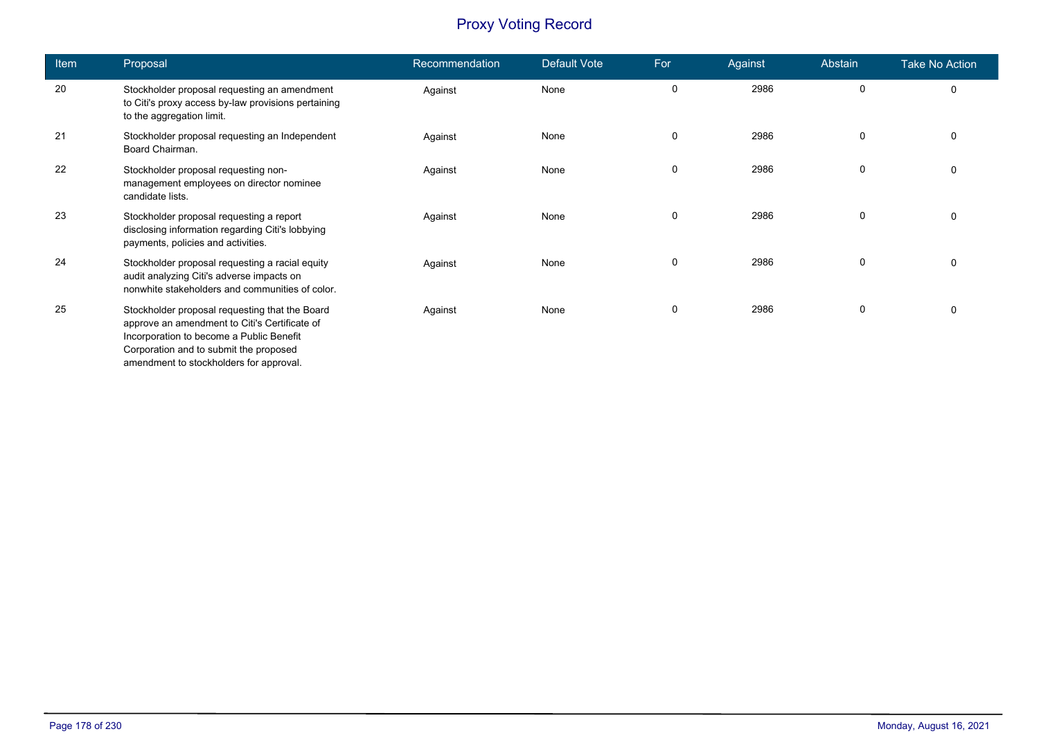| Item | Proposal                                                                                                                                                                                                                         | Recommendation | Default Vote | For         | Against | Abstain     | <b>Take No Action</b> |
|------|----------------------------------------------------------------------------------------------------------------------------------------------------------------------------------------------------------------------------------|----------------|--------------|-------------|---------|-------------|-----------------------|
| 20   | Stockholder proposal requesting an amendment<br>to Citi's proxy access by-law provisions pertaining<br>to the aggregation limit.                                                                                                 | Against        | None         | 0           | 2986    | 0           | $\mathbf 0$           |
| 21   | Stockholder proposal requesting an Independent<br>Board Chairman.                                                                                                                                                                | Against        | None         | 0           | 2986    | $\mathbf 0$ | 0                     |
| 22   | Stockholder proposal requesting non-<br>management employees on director nominee<br>candidate lists.                                                                                                                             | Against        | None         | $\mathbf 0$ | 2986    | 0           | 0                     |
| 23   | Stockholder proposal requesting a report<br>disclosing information regarding Citi's lobbying<br>payments, policies and activities.                                                                                               | Against        | None         | 0           | 2986    | $\mathbf 0$ | 0                     |
| 24   | Stockholder proposal requesting a racial equity<br>audit analyzing Citi's adverse impacts on<br>nonwhite stakeholders and communities of color.                                                                                  | Against        | None         | 0           | 2986    | 0           | $\mathbf 0$           |
| 25   | Stockholder proposal requesting that the Board<br>approve an amendment to Citi's Certificate of<br>Incorporation to become a Public Benefit<br>Corporation and to submit the proposed<br>amendment to stockholders for approval. | Against        | None         | 0           | 2986    | $\mathbf 0$ | 0                     |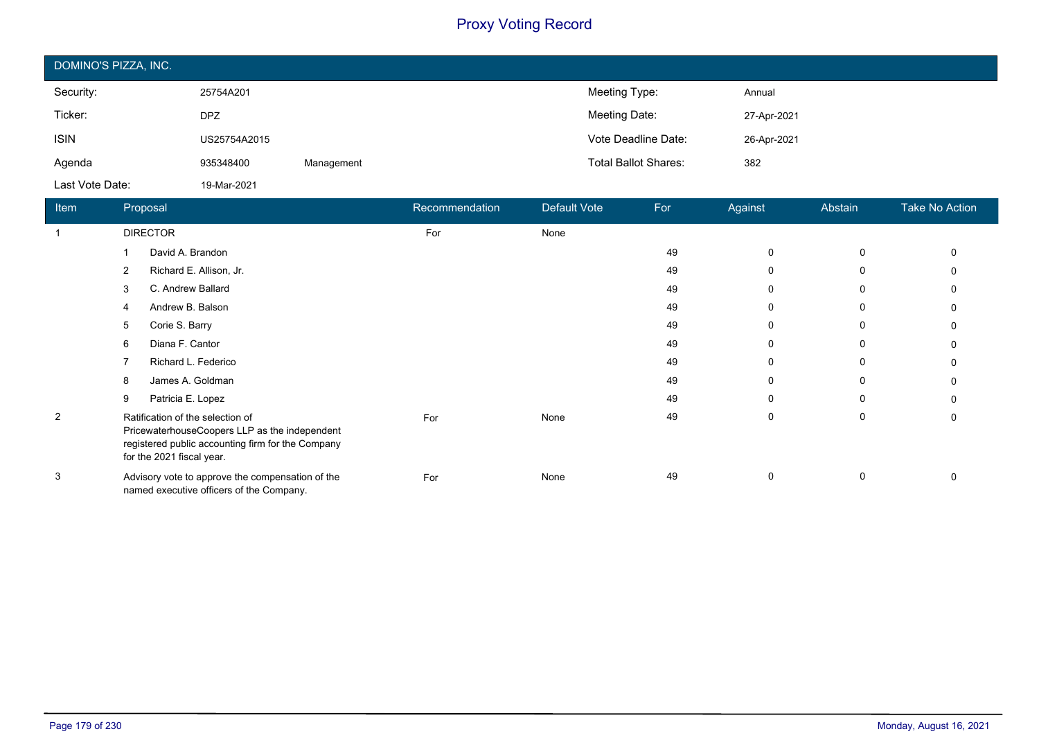| DOMINO'S PIZZA, INC. |              |            |                             |             |  |  |  |  |
|----------------------|--------------|------------|-----------------------------|-------------|--|--|--|--|
| Security:            | 25754A201    |            | Meeting Type:               | Annual      |  |  |  |  |
| Ticker:              | <b>DPZ</b>   |            | Meeting Date:               | 27-Apr-2021 |  |  |  |  |
| <b>ISIN</b>          | US25754A2015 |            | Vote Deadline Date:         | 26-Apr-2021 |  |  |  |  |
| Agenda               | 935348400    | Management | <b>Total Ballot Shares:</b> | 382         |  |  |  |  |
| Last Vote Date:      | 19-Mar-2021  |            |                             |             |  |  |  |  |

| Item        | Proposal                                                                                                                                                            | Recommendation | <b>Default Vote</b> | For | Against  | Abstain | <b>Take No Action</b> |
|-------------|---------------------------------------------------------------------------------------------------------------------------------------------------------------------|----------------|---------------------|-----|----------|---------|-----------------------|
| $\mathbf 1$ | <b>DIRECTOR</b>                                                                                                                                                     | For            | None                |     |          |         |                       |
|             | David A. Brandon                                                                                                                                                    |                |                     | 49  | $\Omega$ | 0       |                       |
|             | Richard E. Allison, Jr.<br>2                                                                                                                                        |                |                     | 49  | 0        | 0       |                       |
|             | C. Andrew Ballard<br>3                                                                                                                                              |                |                     | 49  | $\Omega$ | 0       |                       |
|             | Andrew B. Balson                                                                                                                                                    |                |                     | 49  | 0        | 0       |                       |
|             | Corie S. Barry<br>5                                                                                                                                                 |                |                     | 49  | 0        | 0       |                       |
|             | Diana F. Cantor<br>6                                                                                                                                                |                |                     | 49  | $\Omega$ | 0       |                       |
|             | Richard L. Federico                                                                                                                                                 |                |                     | 49  | 0        | 0       |                       |
|             | James A. Goldman<br>8                                                                                                                                               |                |                     | 49  | $\Omega$ | 0       |                       |
|             | Patricia E. Lopez<br>9                                                                                                                                              |                |                     | 49  | $\Omega$ | 0       |                       |
| 2           | Ratification of the selection of<br>PricewaterhouseCoopers LLP as the independent<br>registered public accounting firm for the Company<br>for the 2021 fiscal year. | For            | None                | 49  | $\Omega$ | 0       |                       |
| 3           | Advisory vote to approve the compensation of the<br>named executive officers of the Company.                                                                        | For            | None                | 49  | 0        | 0       |                       |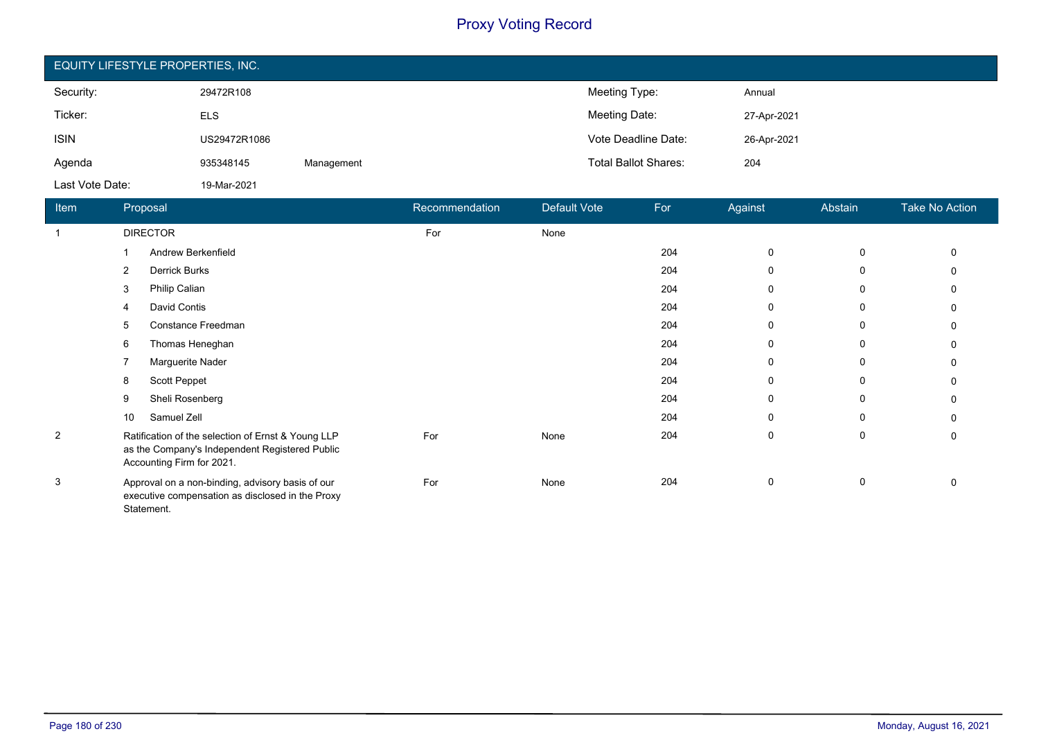| EQUITY LIFESTYLE PROPERTIES, INC. |              |            |                             |             |  |  |  |  |
|-----------------------------------|--------------|------------|-----------------------------|-------------|--|--|--|--|
| Security:                         | 29472R108    |            | Meeting Type:               | Annual      |  |  |  |  |
| Ticker:                           | <b>ELS</b>   |            | Meeting Date:               | 27-Apr-2021 |  |  |  |  |
| <b>ISIN</b>                       | US29472R1086 |            | Vote Deadline Date:         | 26-Apr-2021 |  |  |  |  |
| Agenda                            | 935348145    | Management | <b>Total Ballot Shares:</b> | 204         |  |  |  |  |
| Last Vote Date:                   | 19-Mar-2021  |            |                             |             |  |  |  |  |

| Item           |                | Proposal                                                                                                                          | Recommendation | Default Vote | For | Against     | Abstain     | <b>Take No Action</b> |
|----------------|----------------|-----------------------------------------------------------------------------------------------------------------------------------|----------------|--------------|-----|-------------|-------------|-----------------------|
| $\overline{1}$ |                | <b>DIRECTOR</b>                                                                                                                   | For            | None         |     |             |             |                       |
|                |                | Andrew Berkenfield                                                                                                                |                |              | 204 | $\mathbf 0$ | $\mathbf 0$ | 0                     |
|                | $\overline{2}$ | Derrick Burks                                                                                                                     |                |              | 204 | 0           | 0           | 0                     |
|                | 3              | Philip Calian                                                                                                                     |                |              | 204 | $\Omega$    | 0           | 0                     |
|                | 4              | David Contis                                                                                                                      |                |              | 204 | $\Omega$    | 0           | 0                     |
|                | 5              | Constance Freedman                                                                                                                |                |              | 204 | 0           | 0           |                       |
|                | 6              | Thomas Heneghan                                                                                                                   |                |              | 204 | $\Omega$    | 0           | 0                     |
|                |                | Marguerite Nader                                                                                                                  |                |              | 204 | 0           | 0           | 0                     |
|                | 8              | Scott Peppet                                                                                                                      |                |              | 204 | $\Omega$    | $\mathbf 0$ | 0                     |
|                | 9              | Sheli Rosenberg                                                                                                                   |                |              | 204 | $\Omega$    | 0           | 0                     |
|                | 10             | Samuel Zell                                                                                                                       |                |              | 204 | 0           | 0           |                       |
| 2              |                | Ratification of the selection of Ernst & Young LLP<br>as the Company's Independent Registered Public<br>Accounting Firm for 2021. | For            | None         | 204 | $\Omega$    | $\mathbf 0$ | 0                     |
| 3              |                | Approval on a non-binding, advisory basis of our<br>executive compensation as disclosed in the Proxy<br>Statement.                | For            | None         | 204 | $\Omega$    | 0           | 0                     |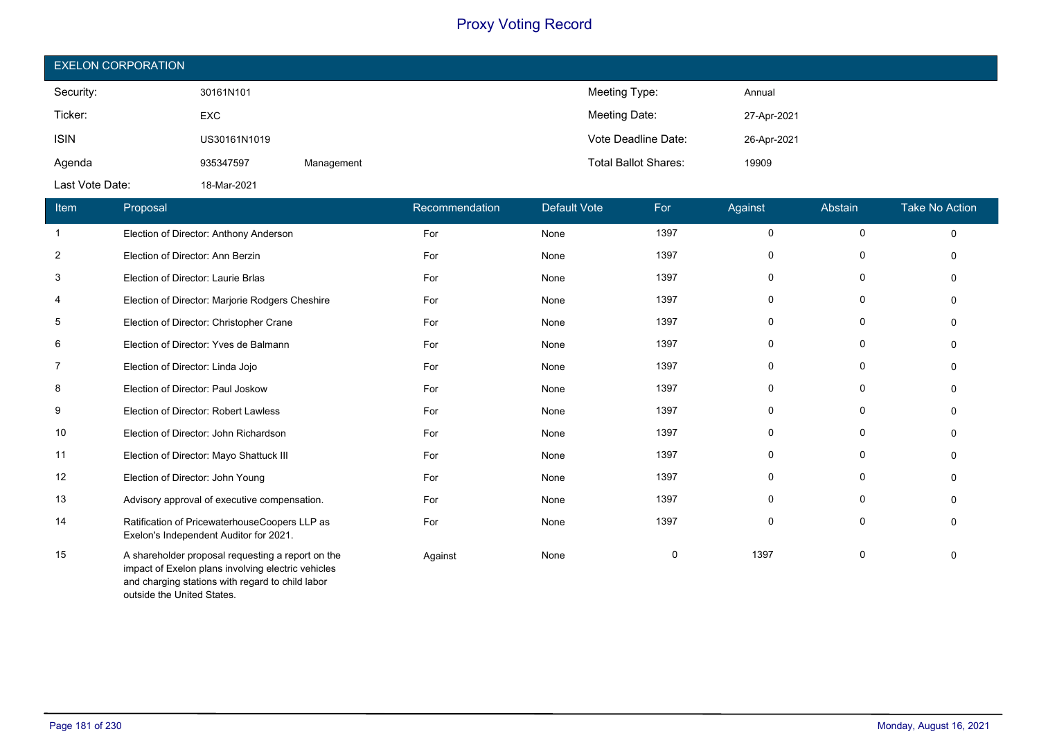| <b>EXELON CORPORATION</b> |              |            |                             |             |  |  |  |
|---------------------------|--------------|------------|-----------------------------|-------------|--|--|--|
| Security:                 | 30161N101    |            | Meeting Type:               | Annual      |  |  |  |
| Ticker:                   | <b>EXC</b>   |            | Meeting Date:               | 27-Apr-2021 |  |  |  |
| <b>ISIN</b>               | US30161N1019 |            | Vote Deadline Date:         | 26-Apr-2021 |  |  |  |
| Agenda                    | 935347597    | Management | <b>Total Ballot Shares:</b> | 19909       |  |  |  |
| Last Vote Date:           | 18-Mar-2021  |            |                             |             |  |  |  |

| Item           | Proposal                                                                                                                                                    | Recommendation | <b>Default Vote</b> | For  | Against     | Abstain     | <b>Take No Action</b> |
|----------------|-------------------------------------------------------------------------------------------------------------------------------------------------------------|----------------|---------------------|------|-------------|-------------|-----------------------|
| $\overline{1}$ | Election of Director: Anthony Anderson                                                                                                                      | For            | None                | 1397 | 0           | 0           | $\mathbf 0$           |
| $\overline{2}$ | Election of Director: Ann Berzin                                                                                                                            | For            | None                | 1397 | 0           | 0           | $\Omega$              |
| 3              | Election of Director: Laurie Brlas                                                                                                                          | For            | None                | 1397 | 0           | $\mathbf 0$ | $\Omega$              |
| 4              | Election of Director: Marjorie Rodgers Cheshire                                                                                                             | For            | None                | 1397 | 0           | $\mathbf 0$ | O                     |
| 5              | Election of Director: Christopher Crane                                                                                                                     | For            | None                | 1397 | 0           | 0           | $\Omega$              |
| 6              | Election of Director: Yves de Balmann                                                                                                                       | For            | None                | 1397 | 0           | 0           | $\Omega$              |
| 7              | Election of Director: Linda Jojo                                                                                                                            | For            | None                | 1397 | 0           | 0           | $\Omega$              |
| 8              | Election of Director: Paul Joskow                                                                                                                           | For            | None                | 1397 | 0           | 0           | $\Omega$              |
| 9              | Election of Director: Robert Lawless                                                                                                                        | For            | None                | 1397 | 0           | 0           | $\Omega$              |
| 10             | Election of Director: John Richardson                                                                                                                       | For            | None                | 1397 | $\mathbf 0$ | 0           | $\Omega$              |
| 11             | Election of Director: Mayo Shattuck III                                                                                                                     | For            | None                | 1397 | 0           | 0           | n                     |
| 12             | Election of Director: John Young                                                                                                                            | For            | None                | 1397 | 0           | 0           | n                     |
| 13             | Advisory approval of executive compensation.                                                                                                                | For            | None                | 1397 | 0           | 0           | $\Omega$              |
| 14             | Ratification of PricewaterhouseCoopers LLP as<br>Exelon's Independent Auditor for 2021.                                                                     | For            | None                | 1397 | 0           | 0           | O                     |
| 15             | A shareholder proposal requesting a report on the<br>impact of Exelon plans involving electric vehicles<br>and charging stations with regard to child labor | Against        | None                | 0    | 1397        | $\mathbf 0$ | $\Omega$              |

outside the United States.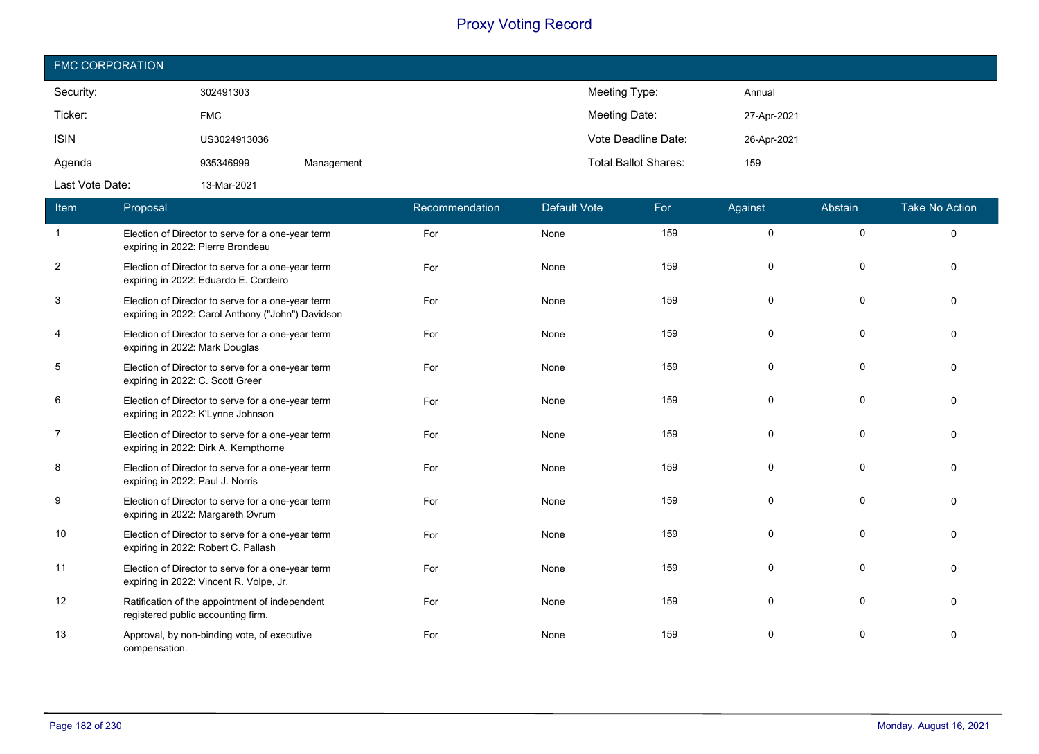| <b>FMC CORPORATION</b> |              |            |                             |             |  |  |  |  |
|------------------------|--------------|------------|-----------------------------|-------------|--|--|--|--|
| Security:              | 302491303    |            | Meeting Type:               | Annual      |  |  |  |  |
| Ticker:                | <b>FMC</b>   |            | Meeting Date:               | 27-Apr-2021 |  |  |  |  |
| <b>ISIN</b>            | US3024913036 |            | Vote Deadline Date:         | 26-Apr-2021 |  |  |  |  |
| Agenda                 | 935346999    | Management | <b>Total Ballot Shares:</b> | 159         |  |  |  |  |
| Last Vote Date:        | 13-Mar-2021  |            |                             |             |  |  |  |  |

| Item           | Proposal                                                                                               | Recommendation | <b>Default Vote</b> | For | Against  | Abstain     | <b>Take No Action</b> |
|----------------|--------------------------------------------------------------------------------------------------------|----------------|---------------------|-----|----------|-------------|-----------------------|
| $\overline{1}$ | Election of Director to serve for a one-year term<br>expiring in 2022: Pierre Brondeau                 | For            | None                | 159 | $\Omega$ | $\mathbf 0$ | $\mathbf 0$           |
| $\overline{2}$ | Election of Director to serve for a one-year term<br>expiring in 2022: Eduardo E. Cordeiro             | For            | None                | 159 | $\Omega$ | $\Omega$    | $\Omega$              |
| 3              | Election of Director to serve for a one-year term<br>expiring in 2022: Carol Anthony ("John") Davidson | For            | None                | 159 | $\Omega$ | $\Omega$    | $\Omega$              |
| 4              | Election of Director to serve for a one-year term<br>expiring in 2022: Mark Douglas                    | For            | None                | 159 | $\Omega$ | $\Omega$    | $\Omega$              |
| 5              | Election of Director to serve for a one-year term<br>expiring in 2022: C. Scott Greer                  | For            | None                | 159 | $\Omega$ | $\Omega$    | $\Omega$              |
| 6              | Election of Director to serve for a one-year term<br>expiring in 2022: K'Lynne Johnson                 | For            | None                | 159 | $\Omega$ | $\Omega$    | $\Omega$              |
| 7              | Election of Director to serve for a one-year term<br>expiring in 2022: Dirk A. Kempthorne              | For            | None                | 159 | $\Omega$ | $\Omega$    | $\Omega$              |
| 8              | Election of Director to serve for a one-year term<br>expiring in 2022: Paul J. Norris                  | For            | None                | 159 | 0        | $\Omega$    | $\Omega$              |
| 9              | Election of Director to serve for a one-year term<br>expiring in 2022: Margareth Øvrum                 | For            | None                | 159 | $\Omega$ | $\Omega$    | $\Omega$              |
| 10             | Election of Director to serve for a one-year term<br>expiring in 2022: Robert C. Pallash               | For            | None                | 159 | 0        | 0           | $\Omega$              |
| 11             | Election of Director to serve for a one-year term<br>expiring in 2022: Vincent R. Volpe, Jr.           | For            | None                | 159 | $\Omega$ | $\Omega$    | $\Omega$              |
| 12             | Ratification of the appointment of independent<br>registered public accounting firm.                   | For            | None                | 159 | $\Omega$ | $\Omega$    | $\Omega$              |
| 13             | Approval, by non-binding vote, of executive<br>compensation.                                           | For            | None                | 159 | $\Omega$ | $\Omega$    | $\Omega$              |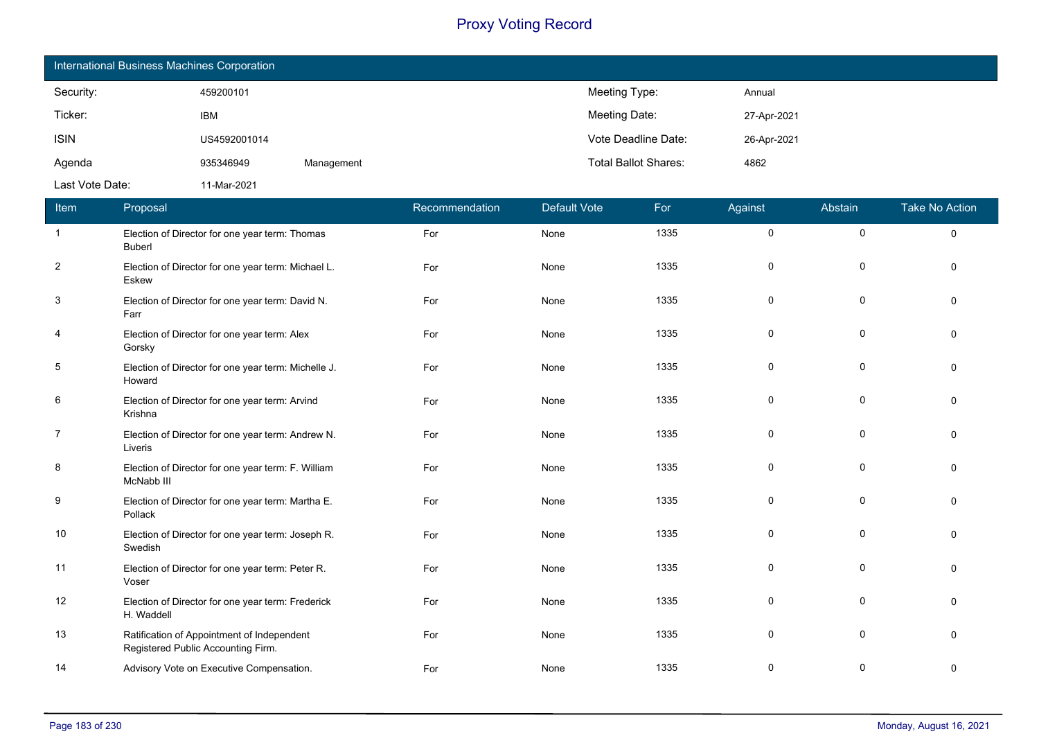| International Business Machines Corporation |              |            |                             |             |  |  |  |  |
|---------------------------------------------|--------------|------------|-----------------------------|-------------|--|--|--|--|
| Security:                                   | 459200101    |            | Meeting Type:               | Annual      |  |  |  |  |
| Ticker:                                     | <b>IBM</b>   |            | Meeting Date:               | 27-Apr-2021 |  |  |  |  |
| <b>ISIN</b>                                 | US4592001014 |            | Vote Deadline Date:         | 26-Apr-2021 |  |  |  |  |
| Agenda                                      | 935346949    | Management | <b>Total Ballot Shares:</b> | 4862        |  |  |  |  |
| Last Vote Date:                             | 11-Mar-2021  |            |                             |             |  |  |  |  |

| Item           | Proposal                                                                         | Recommendation | Default Vote | For  | Against     | Abstain     | <b>Take No Action</b> |
|----------------|----------------------------------------------------------------------------------|----------------|--------------|------|-------------|-------------|-----------------------|
| $\overline{1}$ | Election of Director for one year term: Thomas<br><b>Buberl</b>                  | For            | None         | 1335 | 0           | $\pmb{0}$   | $\mathbf 0$           |
| $\overline{2}$ | Election of Director for one year term: Michael L.<br>Eskew                      | For            | None         | 1335 | 0           | 0           | $\Omega$              |
| 3              | Election of Director for one year term: David N.<br>Farr                         | For            | None         | 1335 | 0           | 0           | $\Omega$              |
| 4              | Election of Director for one year term: Alex<br>Gorsky                           | For            | None         | 1335 | 0           | 0           | $\mathbf{0}$          |
| 5              | Election of Director for one year term: Michelle J.<br>Howard                    | For            | None         | 1335 | 0           | 0           | $\Omega$              |
| 6              | Election of Director for one year term: Arvind<br>Krishna                        | For            | None         | 1335 | 0           | 0           | $\Omega$              |
| $\overline{7}$ | Election of Director for one year term: Andrew N.<br>Liveris                     | For            | None         | 1335 | 0           | 0           | $\Omega$              |
| 8              | Election of Director for one year term: F. William<br>McNabb III                 | For            | None         | 1335 | 0           | 0           | $\mathbf 0$           |
| 9              | Election of Director for one year term: Martha E.<br>Pollack                     | For            | None         | 1335 | 0           | 0           | $\mathbf{0}$          |
| 10             | Election of Director for one year term: Joseph R.<br>Swedish                     | For            | None         | 1335 | $\mathbf 0$ | $\mathbf 0$ | $\Omega$              |
| 11             | Election of Director for one year term: Peter R.<br>Voser                        | For            | None         | 1335 | $\mathbf 0$ | $\mathbf 0$ | $\Omega$              |
| 12             | Election of Director for one year term: Frederick<br>H. Waddell                  | For            | None         | 1335 | 0           | 0           | $\Omega$              |
| 13             | Ratification of Appointment of Independent<br>Registered Public Accounting Firm. | For            | None         | 1335 | 0           | 0           | $\mathbf 0$           |
| 14             | Advisory Vote on Executive Compensation.                                         | For            | None         | 1335 | 0           | 0           | 0                     |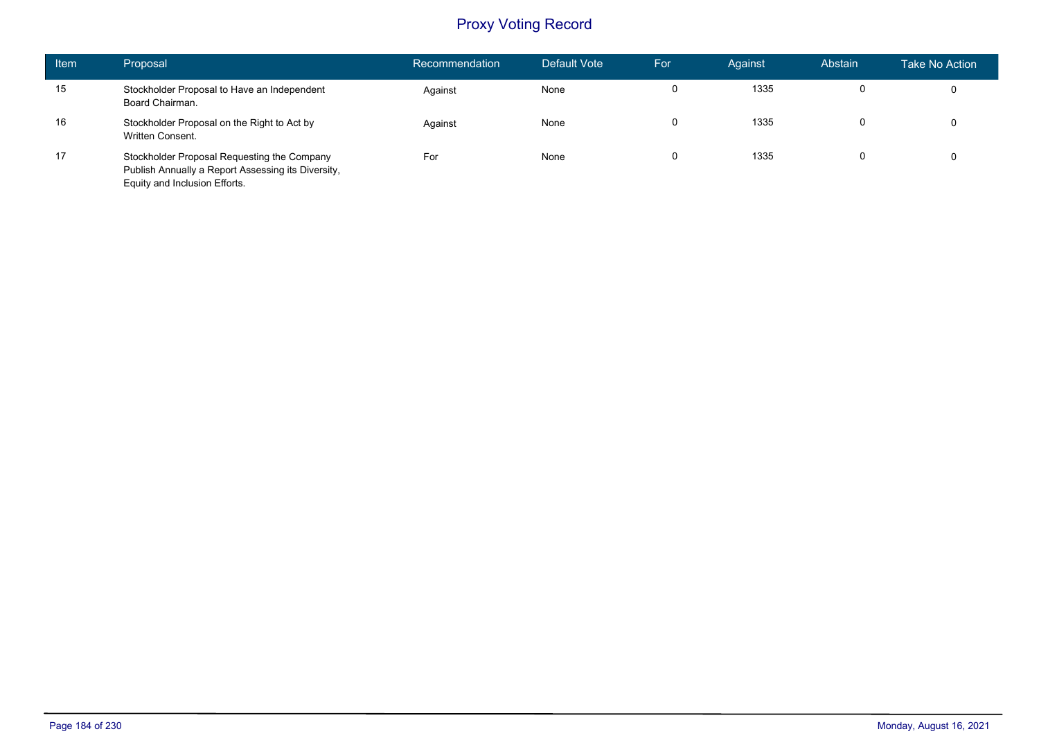| <b>Item</b> | Proposal                                                                                                                           | Recommendation | Default Vote | For | Against | Abstain | <b>Take No Action</b> |
|-------------|------------------------------------------------------------------------------------------------------------------------------------|----------------|--------------|-----|---------|---------|-----------------------|
| 15          | Stockholder Proposal to Have an Independent<br>Board Chairman.                                                                     | Against        | None         | 0   | 1335    |         | 0                     |
| 16          | Stockholder Proposal on the Right to Act by<br>Written Consent.                                                                    | Against        | None         | 0   | 1335    |         | $\mathbf 0$           |
| 17          | Stockholder Proposal Requesting the Company<br>Publish Annually a Report Assessing its Diversity,<br>Equity and Inclusion Efforts. | For            | None         | 0   | 1335    |         | 0                     |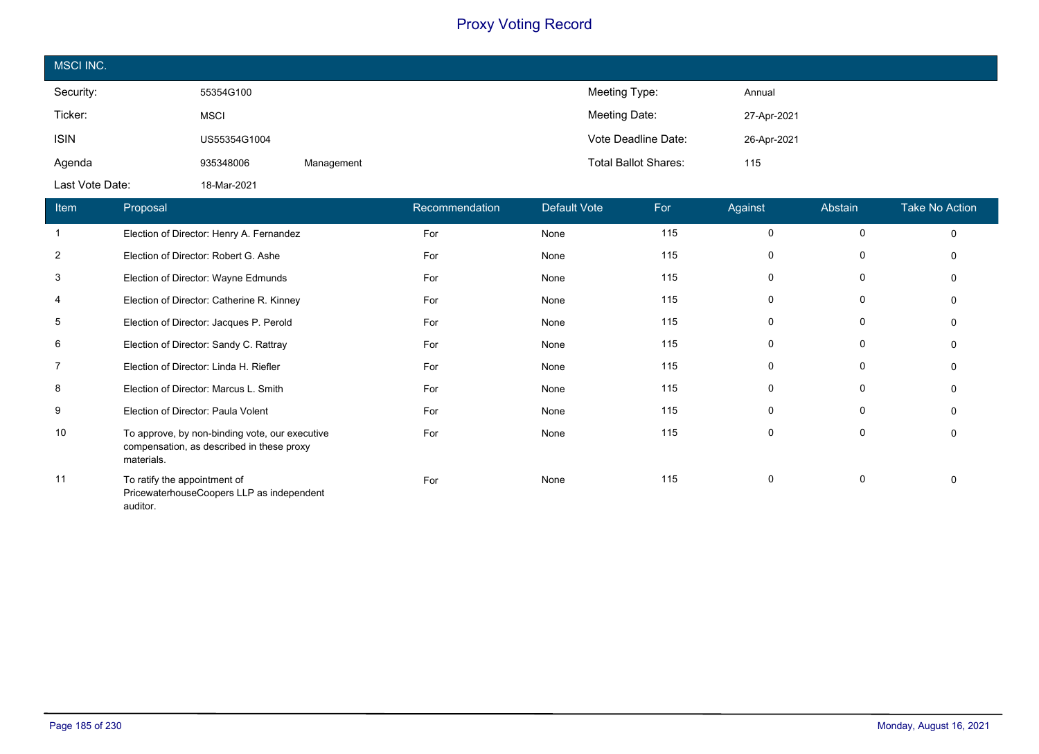| MSCI INC.       |              |            |                             |             |
|-----------------|--------------|------------|-----------------------------|-------------|
| Security:       | 55354G100    |            | Meeting Type:               | Annual      |
| Ticker:         | <b>MSCI</b>  |            | Meeting Date:               | 27-Apr-2021 |
| <b>ISIN</b>     | US55354G1004 |            | Vote Deadline Date:         | 26-Apr-2021 |
| Agenda          | 935348006    | Management | <b>Total Ballot Shares:</b> | 115         |
| Last Vote Date: | 18-Mar-2021  |            |                             |             |

| Item | Proposal                                                                                                  | Recommendation | Default Vote | For | Against      | Abstain | <b>Take No Action</b> |
|------|-----------------------------------------------------------------------------------------------------------|----------------|--------------|-----|--------------|---------|-----------------------|
|      | Election of Director: Henry A. Fernandez                                                                  | For            | None         | 115 | $\Omega$     | 0       | $\mathbf{0}$          |
| 2    | Election of Director: Robert G. Ashe                                                                      | For            | None         | 115 | 0            | 0       |                       |
| 3    | Election of Director: Wayne Edmunds                                                                       | For            | None         | 115 | $\mathbf{0}$ | 0       |                       |
| 4    | Election of Director: Catherine R. Kinney                                                                 | For            | None         | 115 | $\Omega$     | 0       |                       |
| 5    | Election of Director: Jacques P. Perold                                                                   | For            | None         | 115 | 0            | 0       |                       |
| 6    | Election of Director: Sandy C. Rattray                                                                    | For            | None         | 115 | $\mathbf{0}$ | 0       |                       |
| 7    | Election of Director: Linda H. Riefler                                                                    | For            | None         | 115 | $\Omega$     | 0       |                       |
| 8    | Election of Director: Marcus L. Smith                                                                     | For            | None         | 115 | 0            | 0       |                       |
| 9    | Election of Director: Paula Volent                                                                        | For            | None         | 115 | $\mathbf{0}$ | 0       |                       |
| 10   | To approve, by non-binding vote, our executive<br>compensation, as described in these proxy<br>materials. | For            | None         | 115 | $\Omega$     | 0       |                       |
| 11   | To ratify the appointment of<br>PricewaterhouseCoopers LLP as independent<br>auditor.                     | For            | None         | 115 | $\Omega$     | 0       |                       |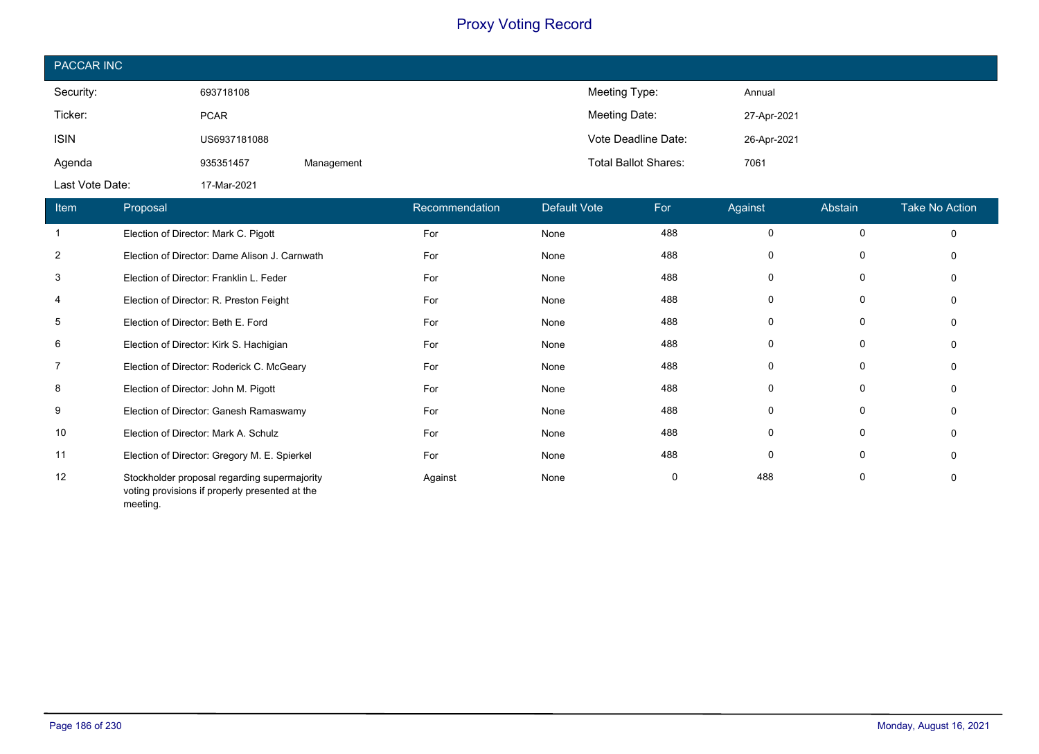| PACCAR INC      |              |            |                             |             |  |  |  |
|-----------------|--------------|------------|-----------------------------|-------------|--|--|--|
| Security:       | 693718108    |            | Meeting Type:               | Annual      |  |  |  |
| Ticker:         | <b>PCAR</b>  |            | Meeting Date:               | 27-Apr-2021 |  |  |  |
| <b>ISIN</b>     | US6937181088 |            | Vote Deadline Date:         | 26-Apr-2021 |  |  |  |
| Agenda          | 935351457    | Management | <b>Total Ballot Shares:</b> | 7061        |  |  |  |
| Last Vote Date: | 17-Mar-2021  |            |                             |             |  |  |  |

| Item           | Proposal                                                                                                   | Recommendation | Default Vote | For | Against  | Abstain  | <b>Take No Action</b> |
|----------------|------------------------------------------------------------------------------------------------------------|----------------|--------------|-----|----------|----------|-----------------------|
| $\mathbf{1}$   | Election of Director: Mark C. Pigott                                                                       | For            | None         | 488 | 0        | $\Omega$ | $\Omega$              |
| $\overline{2}$ | Election of Director: Dame Alison J. Carnwath                                                              | For            | None         | 488 |          | 0        |                       |
| 3              | Election of Director: Franklin L. Feder                                                                    | For            | None         | 488 |          | 0        |                       |
| 4              | Election of Director: R. Preston Feight                                                                    | For            | None         | 488 | $\Omega$ | $\Omega$ |                       |
| 5              | Election of Director: Beth E. Ford                                                                         | For            | None         | 488 |          | 0        |                       |
| 6              | Election of Director: Kirk S. Hachigian                                                                    | For            | None         | 488 | 0        | 0        |                       |
| $\overline{7}$ | Election of Director: Roderick C. McGeary                                                                  | For            | None         | 488 | 0        | $\Omega$ |                       |
| 8              | Election of Director: John M. Pigott                                                                       | For            | None         | 488 | 0        | 0        |                       |
| 9              | Election of Director: Ganesh Ramaswamy                                                                     | For            | None         | 488 | 0        | 0        |                       |
| 10             | Election of Director: Mark A. Schulz                                                                       | For            | None         | 488 | $\Omega$ | 0        |                       |
| 11             | Election of Director: Gregory M. E. Spierkel                                                               | For            | None         | 488 | $\Omega$ | 0        |                       |
| 12             | Stockholder proposal regarding supermajority<br>voting provisions if properly presented at the<br>meeting. | Against        | None         | 0   | 488      | 0        |                       |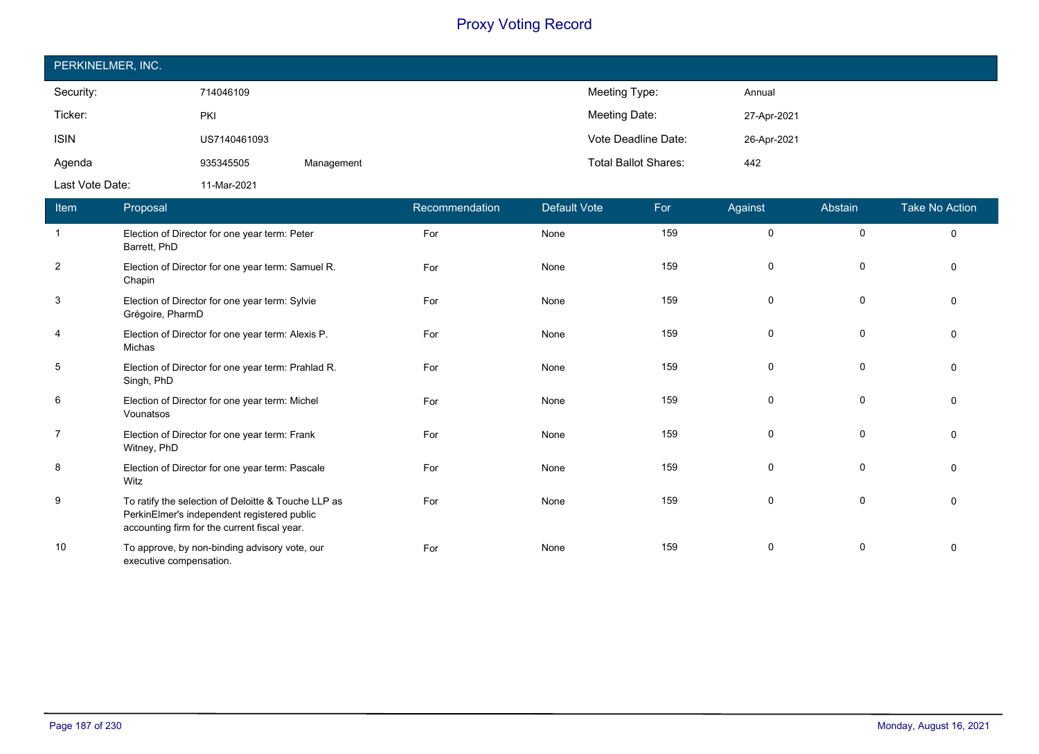| PERKINELMER, INC. |              |            |                             |             |  |  |  |
|-------------------|--------------|------------|-----------------------------|-------------|--|--|--|
| Security:         | 714046109    |            | Meeting Type:               | Annual      |  |  |  |
| Ticker:           | PKI          |            | Meeting Date:               | 27-Apr-2021 |  |  |  |
| <b>ISIN</b>       | US7140461093 |            | Vote Deadline Date:         | 26-Apr-2021 |  |  |  |
| Agenda            | 935345505    | Management | <b>Total Ballot Shares:</b> | 442         |  |  |  |
| Last Vote Date:   | 11-Mar-2021  |            |                             |             |  |  |  |

| <b>Item</b>    | Proposal                                                                                                                                           | Recommendation | <b>Default Vote</b> | For | Against  | Abstain     | <b>Take No Action</b> |
|----------------|----------------------------------------------------------------------------------------------------------------------------------------------------|----------------|---------------------|-----|----------|-------------|-----------------------|
| $\overline{1}$ | Election of Director for one year term: Peter<br>Barrett, PhD                                                                                      | For            | None                | 159 | 0        | $\mathbf 0$ | $\mathbf 0$           |
| $\overline{2}$ | Election of Director for one year term: Samuel R.<br>Chapin                                                                                        | For            | None                | 159 | 0        | 0           | $\mathbf 0$           |
| 3              | Election of Director for one year term: Sylvie<br>Grégoire, PharmD                                                                                 | For            | None                | 159 | $\Omega$ | 0           | $\Omega$              |
| $\overline{4}$ | Election of Director for one year term: Alexis P.<br>Michas                                                                                        | For            | None                | 159 | $\Omega$ | $\Omega$    | $\Omega$              |
| 5              | Election of Director for one year term: Prahlad R.<br>Singh, PhD                                                                                   | For            | None                | 159 | $\Omega$ | $\Omega$    | $\Omega$              |
| 6              | Election of Director for one year term: Michel<br>Vounatsos                                                                                        | For            | None                | 159 | $\Omega$ | $\Omega$    | $\Omega$              |
| $\overline{7}$ | Election of Director for one year term: Frank<br>Witney, PhD                                                                                       | For            | None                | 159 | $\Omega$ | 0           | $\mathbf 0$           |
| 8              | Election of Director for one year term: Pascale<br>Witz                                                                                            | For            | None                | 159 | $\Omega$ | $\Omega$    | $\Omega$              |
| 9              | To ratify the selection of Deloitte & Touche LLP as<br>PerkinElmer's independent registered public<br>accounting firm for the current fiscal year. | For            | None                | 159 | $\Omega$ | $\Omega$    | $\Omega$              |
| 10             | To approve, by non-binding advisory vote, our<br>executive compensation.                                                                           | For            | None                | 159 | $\Omega$ | 0           | $\Omega$              |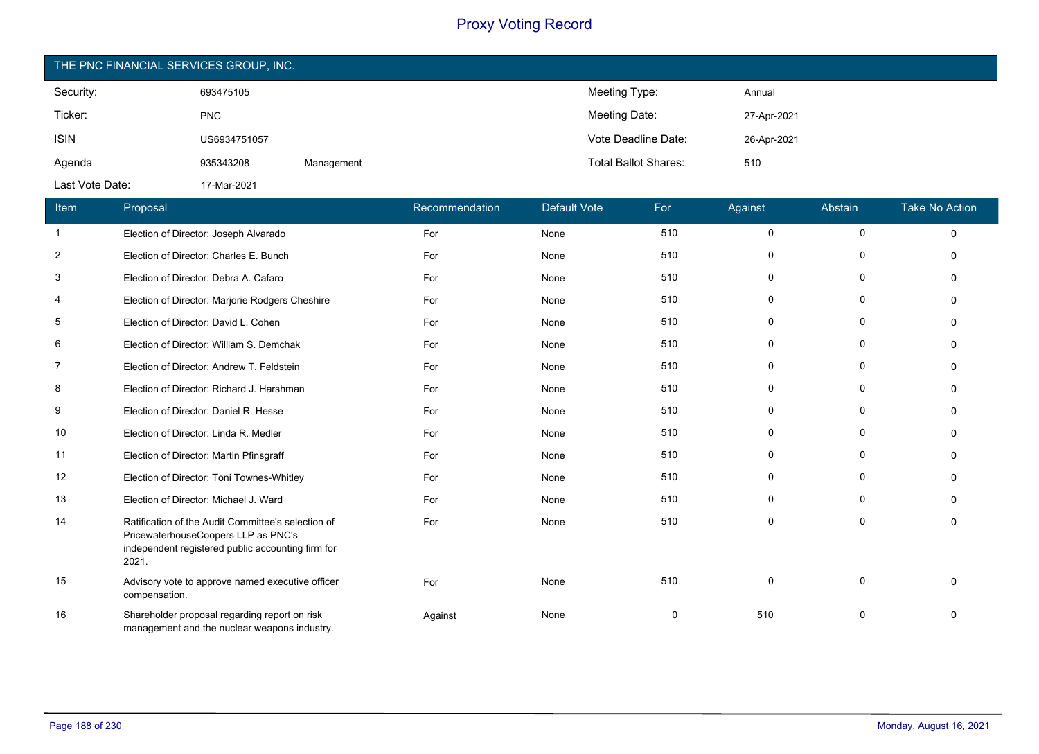| THE PNC FINANCIAL SERVICES GROUP, INC. |              |            |                             |             |  |  |  |
|----------------------------------------|--------------|------------|-----------------------------|-------------|--|--|--|
| Security:                              | 693475105    |            | Meeting Type:               | Annual      |  |  |  |
| Ticker:                                | <b>PNC</b>   |            | Meeting Date:               | 27-Apr-2021 |  |  |  |
| <b>ISIN</b>                            | US6934751057 |            | Vote Deadline Date:         | 26-Apr-2021 |  |  |  |
| Agenda                                 | 935343208    | Management | <b>Total Ballot Shares:</b> | 510         |  |  |  |
| Last Vote Date:                        | 17-Mar-2021  |            |                             |             |  |  |  |

| Item           | Proposal                                                                                                                                                | Recommendation | <b>Default Vote</b> | For      | Against      | Abstain     | <b>Take No Action</b> |
|----------------|---------------------------------------------------------------------------------------------------------------------------------------------------------|----------------|---------------------|----------|--------------|-------------|-----------------------|
| $\mathbf{1}$   | Election of Director: Joseph Alvarado                                                                                                                   | For            | None                | 510      | $\mathsf{O}$ | 0           | $\mathbf 0$           |
| $\overline{2}$ | Election of Director: Charles E. Bunch                                                                                                                  | For            | None                | 510      | $\mathbf 0$  | 0           | $\Omega$              |
| 3              | Election of Director: Debra A. Cafaro                                                                                                                   | For            | None                | 510      | 0            | 0           | $\Omega$              |
| 4              | Election of Director: Marjorie Rodgers Cheshire                                                                                                         | For            | None                | 510      | 0            | $\Omega$    | $\Omega$              |
| 5              | Election of Director: David L. Cohen                                                                                                                    | For            | None                | 510      | 0            | $\Omega$    | $\Omega$              |
| 6              | Election of Director: William S. Demchak                                                                                                                | For            | None                | 510      | 0            | 0           | $\Omega$              |
| 7              | Election of Director: Andrew T. Feldstein                                                                                                               | For            | None                | 510      | 0            | $\mathbf 0$ | $\mathbf{0}$          |
| 8              | Election of Director: Richard J. Harshman                                                                                                               | For            | None                | 510      | $\mathbf 0$  | 0           | $\mathbf{0}$          |
| 9              | Election of Director: Daniel R. Hesse                                                                                                                   | For            | None                | 510      | $\mathbf 0$  | 0           | $\mathbf{0}$          |
| 10             | Election of Director: Linda R. Medler                                                                                                                   | For            | None                | 510      | $\mathbf 0$  | $\mathbf 0$ | $\Omega$              |
| 11             | Election of Director: Martin Pfinsgraff                                                                                                                 | For            | None                | 510      | 0            | 0           | $\Omega$              |
| 12             | Election of Director: Toni Townes-Whitley                                                                                                               | For            | None                | 510      | $\mathbf 0$  | 0           | $\Omega$              |
| 13             | Election of Director: Michael J. Ward                                                                                                                   | For            | None                | 510      | $\mathbf 0$  | 0           | $\Omega$              |
| 14             | Ratification of the Audit Committee's selection of<br>PricewaterhouseCoopers LLP as PNC's<br>independent registered public accounting firm for<br>2021. | For            | None                | 510      | $\mathbf 0$  | 0           | $\Omega$              |
| 15             | Advisory vote to approve named executive officer<br>compensation.                                                                                       | For            | None                | 510      | 0            | $\mathbf 0$ | $\Omega$              |
| 16             | Shareholder proposal regarding report on risk<br>management and the nuclear weapons industry.                                                           | Against        | None                | $\Omega$ | 510          | 0           | $\Omega$              |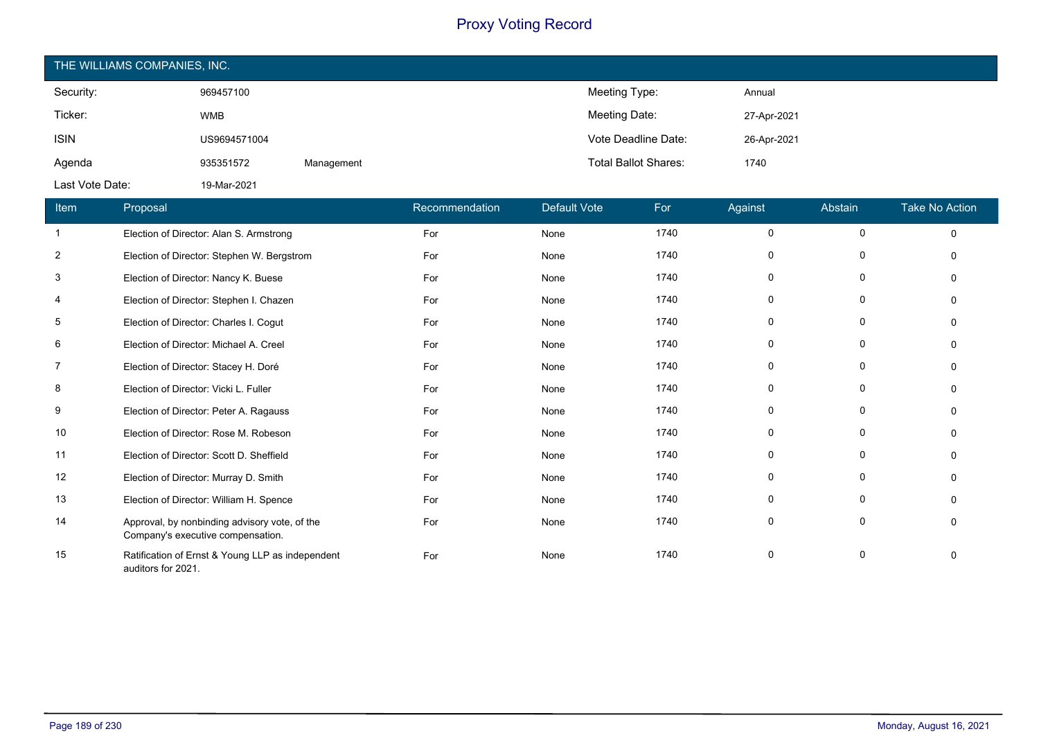| THE WILLIAMS COMPANIES, INC. |              |            |                             |             |  |  |  |
|------------------------------|--------------|------------|-----------------------------|-------------|--|--|--|
| Security:                    | 969457100    |            | Meeting Type:               | Annual      |  |  |  |
| Ticker:                      | <b>WMB</b>   |            | Meeting Date:               | 27-Apr-2021 |  |  |  |
| <b>ISIN</b>                  | US9694571004 |            | Vote Deadline Date:         | 26-Apr-2021 |  |  |  |
| Agenda                       | 935351572    | Management | <b>Total Ballot Shares:</b> | 1740        |  |  |  |
| Last Vote Date:              | 19-Mar-2021  |            |                             |             |  |  |  |

| Item           | Proposal                                                                           | Recommendation | <b>Default Vote</b> | For  | Against     | Abstain      | <b>Take No Action</b> |
|----------------|------------------------------------------------------------------------------------|----------------|---------------------|------|-------------|--------------|-----------------------|
| $\overline{1}$ | Election of Director: Alan S. Armstrong                                            | For            | None                | 1740 | $\mathbf 0$ | 0            | $\Omega$              |
| $\overline{2}$ | Election of Director: Stephen W. Bergstrom                                         | For            | None                | 1740 | 0           | 0            | ∩                     |
| 3              | Election of Director: Nancy K. Buese                                               | For            | None                | 1740 | 0           | 0            | O                     |
| 4              | Election of Director: Stephen I. Chazen                                            | For            | None                | 1740 | 0           | 0            |                       |
| 5              | Election of Director: Charles I. Cogut                                             | For            | None                | 1740 | $\Omega$    | 0            | n                     |
| 6              | Election of Director: Michael A. Creel                                             | For            | None                | 1740 | 0           | 0            |                       |
| 7              | Election of Director: Stacey H. Doré                                               | For            | None                | 1740 | $\Omega$    | 0            |                       |
| 8              | Election of Director: Vicki L. Fuller                                              | For            | None                | 1740 | 0           | 0            | $\Omega$              |
| 9              | Election of Director: Peter A. Ragauss                                             | For            | None                | 1740 | $\Omega$    | 0            | n                     |
| 10             | Election of Director: Rose M. Robeson                                              | For            | None                | 1740 | 0           | 0            | $\Omega$              |
| 11             | Election of Director: Scott D. Sheffield                                           | For            | None                | 1740 | $\Omega$    | $\mathbf{0}$ | $\Omega$              |
| 12             | Election of Director: Murray D. Smith                                              | For            | None                | 1740 | 0           | $\mathbf 0$  | $\Omega$              |
| 13             | Election of Director: William H. Spence                                            | For            | None                | 1740 | 0           | $\mathbf 0$  |                       |
| 14             | Approval, by nonbinding advisory vote, of the<br>Company's executive compensation. | For            | None                | 1740 | $\mathbf 0$ | $\mathbf 0$  | $\Omega$              |
| 15             | Ratification of Ernst & Young LLP as independent<br>auditors for 2021.             | For            | None                | 1740 | 0           | 0            | 0                     |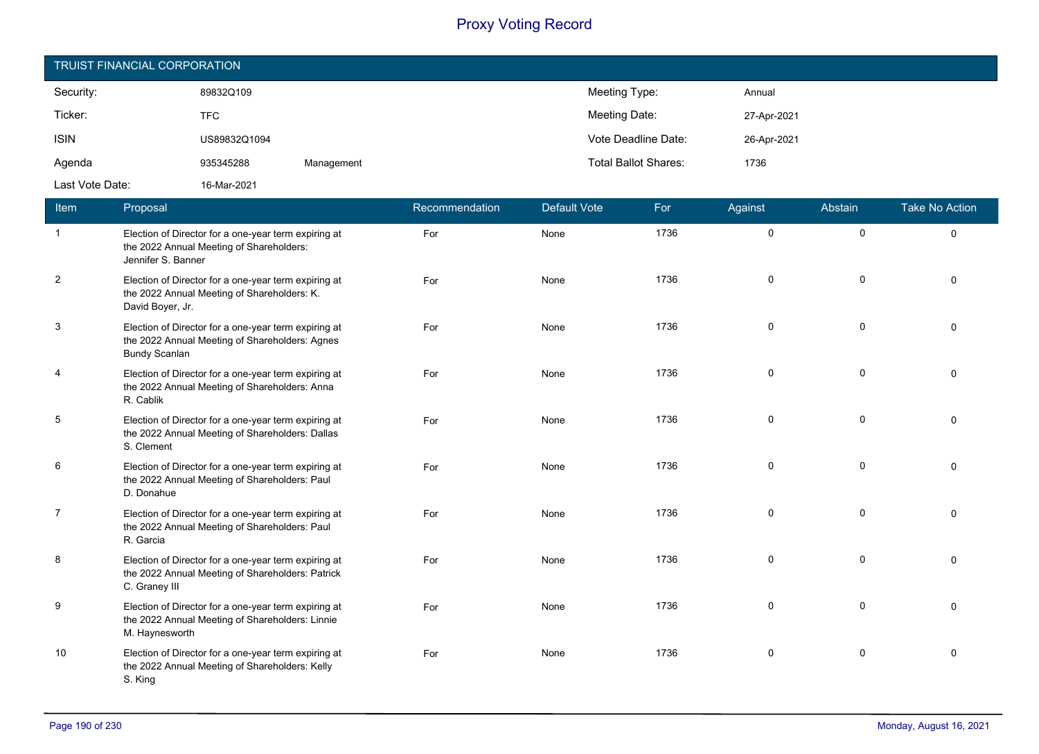| TRUIST FINANCIAL CORPORATION |              |            |                             |             |  |  |  |
|------------------------------|--------------|------------|-----------------------------|-------------|--|--|--|
| Security:                    | 89832Q109    |            | Meeting Type:               | Annual      |  |  |  |
| Ticker:                      | <b>TFC</b>   |            | Meeting Date:               | 27-Apr-2021 |  |  |  |
| <b>ISIN</b>                  | US89832Q1094 |            | Vote Deadline Date:         | 26-Apr-2021 |  |  |  |
| Agenda                       | 935345288    | Management | <b>Total Ballot Shares:</b> | 1736        |  |  |  |
| Last Vote Date:              | 16-Mar-2021  |            |                             |             |  |  |  |

| <b>Item</b>    | Proposal                                                                                                                       | Recommendation | Default Vote | For  | Against  | Abstain     | <b>Take No Action</b> |
|----------------|--------------------------------------------------------------------------------------------------------------------------------|----------------|--------------|------|----------|-------------|-----------------------|
| $\overline{1}$ | Election of Director for a one-year term expiring at<br>the 2022 Annual Meeting of Shareholders:<br>Jennifer S. Banner         | For            | None         | 1736 | $\Omega$ | $\mathbf 0$ | $\Omega$              |
| $\overline{2}$ | Election of Director for a one-year term expiring at<br>the 2022 Annual Meeting of Shareholders: K.<br>David Boyer, Jr.        | For            | None         | 1736 | $\Omega$ | $\Omega$    | $\Omega$              |
| 3              | Election of Director for a one-year term expiring at<br>the 2022 Annual Meeting of Shareholders: Agnes<br><b>Bundy Scanlan</b> | For            | None         | 1736 | 0        | $\mathbf 0$ | $\Omega$              |
| 4              | Election of Director for a one-year term expiring at<br>the 2022 Annual Meeting of Shareholders: Anna<br>R. Cablik             | For            | None         | 1736 | 0        | $\mathbf 0$ | $\Omega$              |
| $\sqrt{5}$     | Election of Director for a one-year term expiring at<br>the 2022 Annual Meeting of Shareholders: Dallas<br>S. Clement          | For            | None         | 1736 | 0        | 0           | $\Omega$              |
| 6              | Election of Director for a one-year term expiring at<br>the 2022 Annual Meeting of Shareholders: Paul<br>D. Donahue            | For            | None         | 1736 | 0        | $\mathbf 0$ | $\Omega$              |
| $\overline{7}$ | Election of Director for a one-year term expiring at<br>the 2022 Annual Meeting of Shareholders: Paul<br>R. Garcia             | For            | None         | 1736 | 0        | $\mathbf 0$ | $\Omega$              |
| 8              | Election of Director for a one-year term expiring at<br>the 2022 Annual Meeting of Shareholders: Patrick<br>C. Graney III      | For            | None         | 1736 | 0        | $\mathbf 0$ | $\Omega$              |
| 9              | Election of Director for a one-year term expiring at<br>the 2022 Annual Meeting of Shareholders: Linnie<br>M. Haynesworth      | For            | None         | 1736 | 0        | 0           | $\Omega$              |
| 10             | Election of Director for a one-year term expiring at<br>the 2022 Annual Meeting of Shareholders: Kelly<br>S. King              | For            | None         | 1736 | 0        | 0           | 0                     |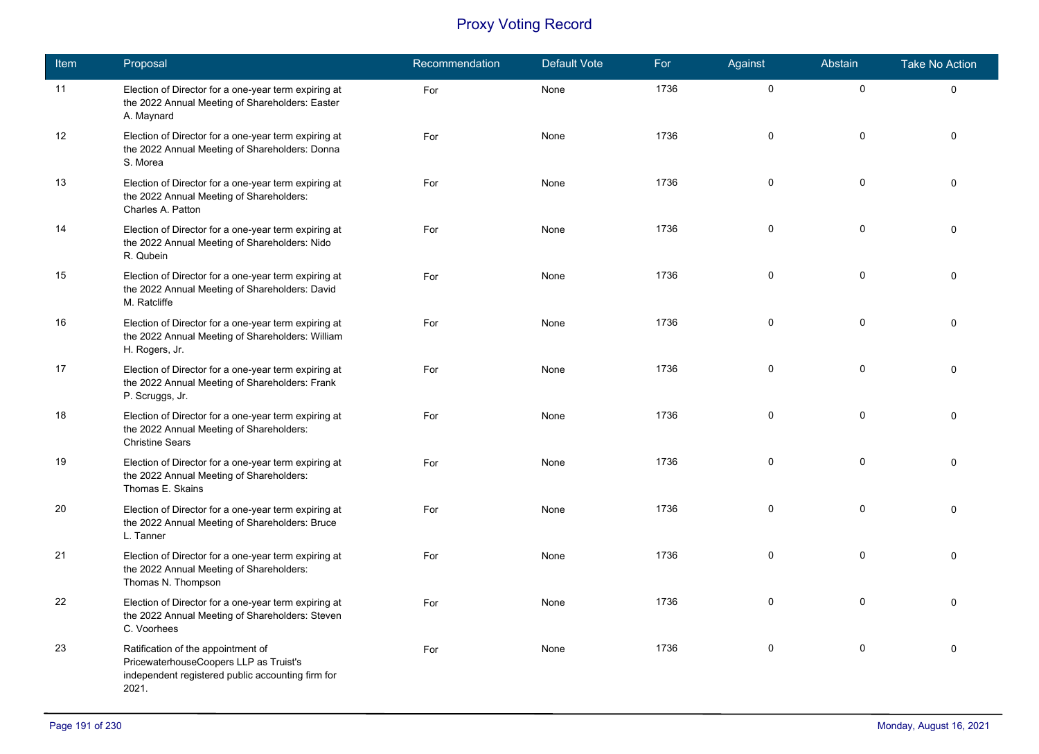| Item | Proposal                                                                                                                                   | Recommendation | <b>Default Vote</b> | For  | Against     | Abstain      | <b>Take No Action</b> |
|------|--------------------------------------------------------------------------------------------------------------------------------------------|----------------|---------------------|------|-------------|--------------|-----------------------|
| 11   | Election of Director for a one-year term expiring at<br>the 2022 Annual Meeting of Shareholders: Easter<br>A. Maynard                      | For            | None                | 1736 | $\pmb{0}$   | $\mathsf{O}$ | 0                     |
| 12   | Election of Director for a one-year term expiring at<br>the 2022 Annual Meeting of Shareholders: Donna<br>S. Morea                         | For            | None                | 1736 | $\mathbf 0$ | $\mathbf 0$  | $\Omega$              |
| 13   | Election of Director for a one-year term expiring at<br>the 2022 Annual Meeting of Shareholders:<br>Charles A. Patton                      | For            | None                | 1736 | 0           | $\pmb{0}$    | $\Omega$              |
| 14   | Election of Director for a one-year term expiring at<br>the 2022 Annual Meeting of Shareholders: Nido<br>R. Qubein                         | For            | None                | 1736 | $\mathbf 0$ | $\pmb{0}$    | $\Omega$              |
| 15   | Election of Director for a one-year term expiring at<br>the 2022 Annual Meeting of Shareholders: David<br>M. Ratcliffe                     | For            | None                | 1736 | 0           | $\mathbf 0$  | $\Omega$              |
| 16   | Election of Director for a one-year term expiring at<br>the 2022 Annual Meeting of Shareholders: William<br>H. Rogers, Jr.                 | For            | None                | 1736 | 0           | 0            | $\Omega$              |
| 17   | Election of Director for a one-year term expiring at<br>the 2022 Annual Meeting of Shareholders: Frank<br>P. Scruggs, Jr.                  | For            | None                | 1736 | $\mathsf 0$ | $\pmb{0}$    | $\Omega$              |
| 18   | Election of Director for a one-year term expiring at<br>the 2022 Annual Meeting of Shareholders:<br><b>Christine Sears</b>                 | For            | None                | 1736 | 0           | 0            | $\Omega$              |
| 19   | Election of Director for a one-year term expiring at<br>the 2022 Annual Meeting of Shareholders:<br>Thomas E. Skains                       | For            | None                | 1736 | 0           | $\mathbf 0$  | $\Omega$              |
| 20   | Election of Director for a one-year term expiring at<br>the 2022 Annual Meeting of Shareholders: Bruce<br>L. Tanner                        | For            | None                | 1736 | 0           | $\pmb{0}$    | $\Omega$              |
| 21   | Election of Director for a one-year term expiring at<br>the 2022 Annual Meeting of Shareholders:<br>Thomas N. Thompson                     | For            | None                | 1736 | 0           | 0            | $\Omega$              |
| 22   | Election of Director for a one-year term expiring at<br>the 2022 Annual Meeting of Shareholders: Steven<br>C. Voorhees                     | For            | None                | 1736 | 0           | $\mathbf 0$  | $\Omega$              |
| 23   | Ratification of the appointment of<br>PricewaterhouseCoopers LLP as Truist's<br>independent registered public accounting firm for<br>2021. | For            | None                | 1736 | $\mathbf 0$ | $\pmb{0}$    | $\Omega$              |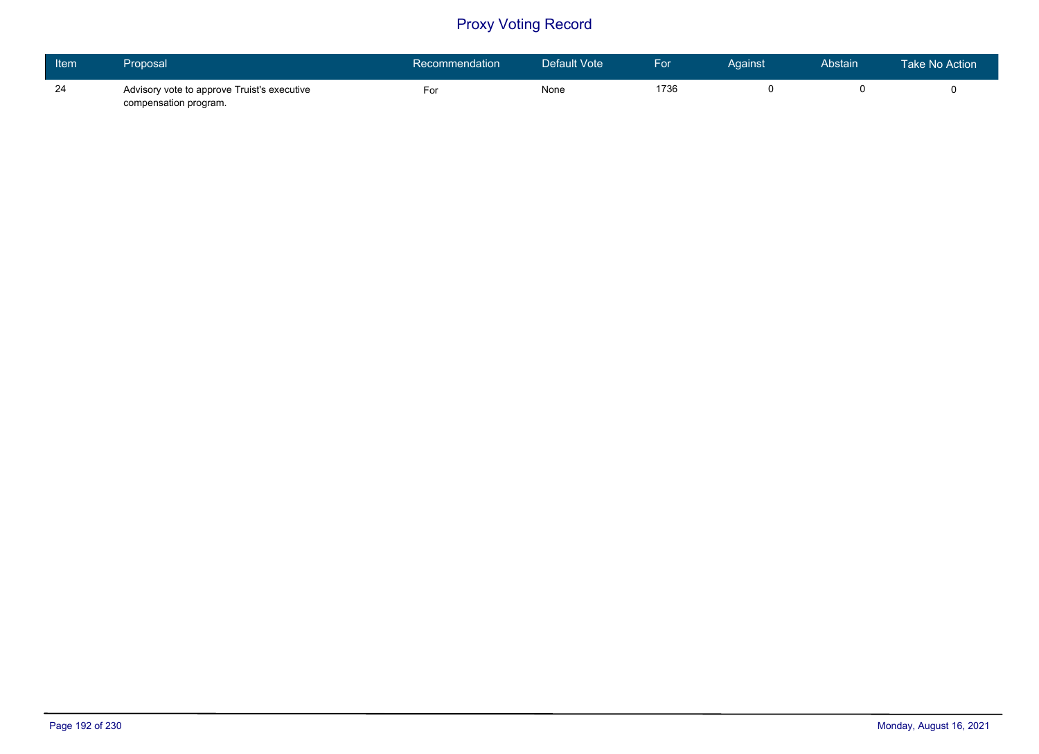| Item | Proposal                                                             | Recommendation | Default Vote | For  | Against | Abstain | <b>Take No Action</b> |
|------|----------------------------------------------------------------------|----------------|--------------|------|---------|---------|-----------------------|
| 24   | Advisory vote to approve Truist's executive<br>compensation program. | For            | None         | 1736 |         |         |                       |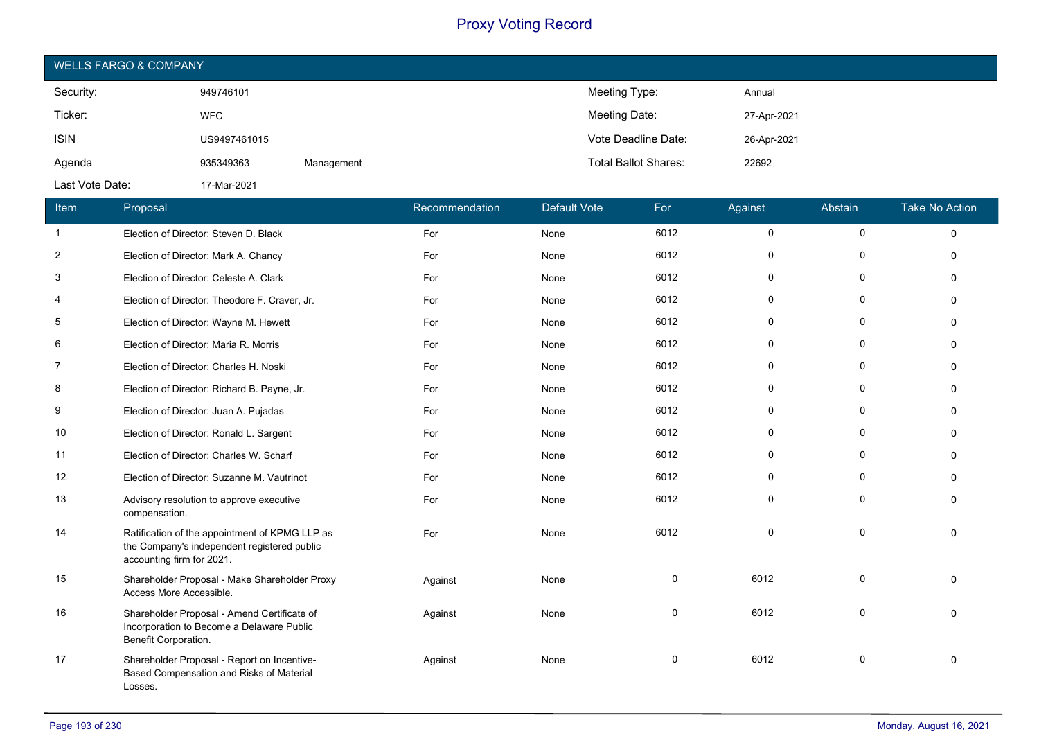| <b>WELLS FARGO &amp; COMPANY</b> |              |            |                             |             |  |  |  |
|----------------------------------|--------------|------------|-----------------------------|-------------|--|--|--|
| Security:                        | 949746101    |            | Meeting Type:               | Annual      |  |  |  |
| Ticker:                          | <b>WFC</b>   |            | Meeting Date:               | 27-Apr-2021 |  |  |  |
| <b>ISIN</b>                      | US9497461015 |            | Vote Deadline Date:         | 26-Apr-2021 |  |  |  |
| Agenda                           | 935349363    | Management | <b>Total Ballot Shares:</b> | 22692       |  |  |  |
| Last Vote Date:                  | 17-Mar-2021  |            |                             |             |  |  |  |

| Item           | Proposal                                                                                                                   | Recommendation | <b>Default Vote</b> | For  | Against  | Abstain      | <b>Take No Action</b> |
|----------------|----------------------------------------------------------------------------------------------------------------------------|----------------|---------------------|------|----------|--------------|-----------------------|
| $\mathbf{1}$   | Election of Director: Steven D. Black                                                                                      | For            | None                | 6012 | 0        | 0            | $\Omega$              |
| $\overline{2}$ | Election of Director: Mark A. Chancy                                                                                       | For            | None                | 6012 | $\Omega$ | $\mathbf{0}$ |                       |
| 3              | Election of Director: Celeste A. Clark                                                                                     | For            | None                | 6012 | $\Omega$ | $\mathbf{0}$ | $\Omega$              |
| 4              | Election of Director: Theodore F. Craver, Jr.                                                                              | For            | None                | 6012 | 0        | 0            | $\Omega$              |
| 5              | Election of Director: Wayne M. Hewett                                                                                      | For            | None                | 6012 | 0        | $\mathbf{0}$ | $\Omega$              |
| 6              | Election of Director: Maria R. Morris                                                                                      | For            | None                | 6012 | $\Omega$ | 0            |                       |
| 7              | Election of Director: Charles H. Noski                                                                                     | For            | None                | 6012 | $\Omega$ | 0            | ∩                     |
| 8              | Election of Director: Richard B. Payne, Jr.                                                                                | For            | None                | 6012 | 0        | $\mathbf{0}$ | ŋ                     |
| 9              | Election of Director: Juan A. Pujadas                                                                                      | For            | None                | 6012 | $\Omega$ | 0            |                       |
| 10             | Election of Director: Ronald L. Sargent                                                                                    | For            | None                | 6012 | $\Omega$ | 0            | $\Omega$              |
| 11             | Election of Director: Charles W. Scharf                                                                                    | For            | None                | 6012 | 0        | 0            | $\Omega$              |
| 12             | Election of Director: Suzanne M. Vautrinot                                                                                 | For            | None                | 6012 | $\Omega$ | $\Omega$     |                       |
| 13             | Advisory resolution to approve executive<br>compensation.                                                                  | For            | None                | 6012 | $\Omega$ | $\mathbf{0}$ | $\Omega$              |
| 14             | Ratification of the appointment of KPMG LLP as<br>the Company's independent registered public<br>accounting firm for 2021. | For            | None                | 6012 | $\Omega$ | $\Omega$     |                       |
| 15             | Shareholder Proposal - Make Shareholder Proxy<br>Access More Accessible.                                                   | Against        | None                | 0    | 6012     | $\mathbf 0$  |                       |
| 16             | Shareholder Proposal - Amend Certificate of<br>Incorporation to Become a Delaware Public<br>Benefit Corporation.           | Against        | None                | 0    | 6012     | $\Omega$     | $\Omega$              |
| 17             | Shareholder Proposal - Report on Incentive-<br>Based Compensation and Risks of Material<br>Losses.                         | Against        | None                | 0    | 6012     | 0            | $\Omega$              |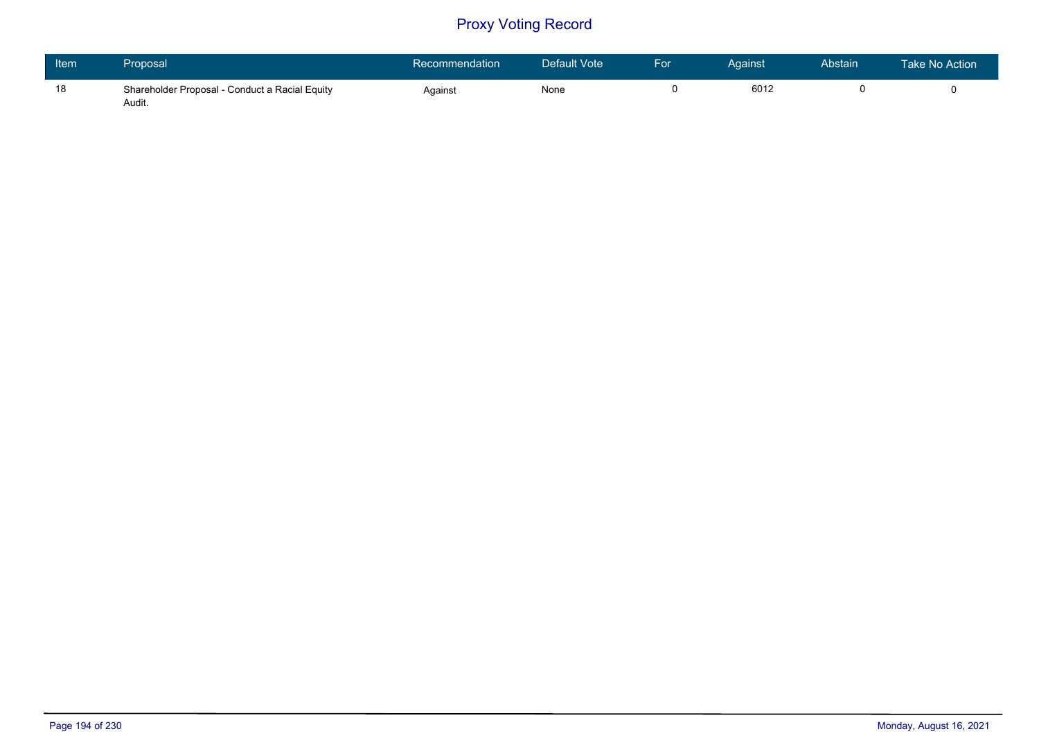| ltem <sup>1</sup> | Proposal                                                 | Recommendation | Default Vote | <b>For</b> | Against | Abstain | Take No Action |
|-------------------|----------------------------------------------------------|----------------|--------------|------------|---------|---------|----------------|
| 18                | Shareholder Proposal - Conduct a Racial Equity<br>Audit. | Against        | None         |            | 6012    |         |                |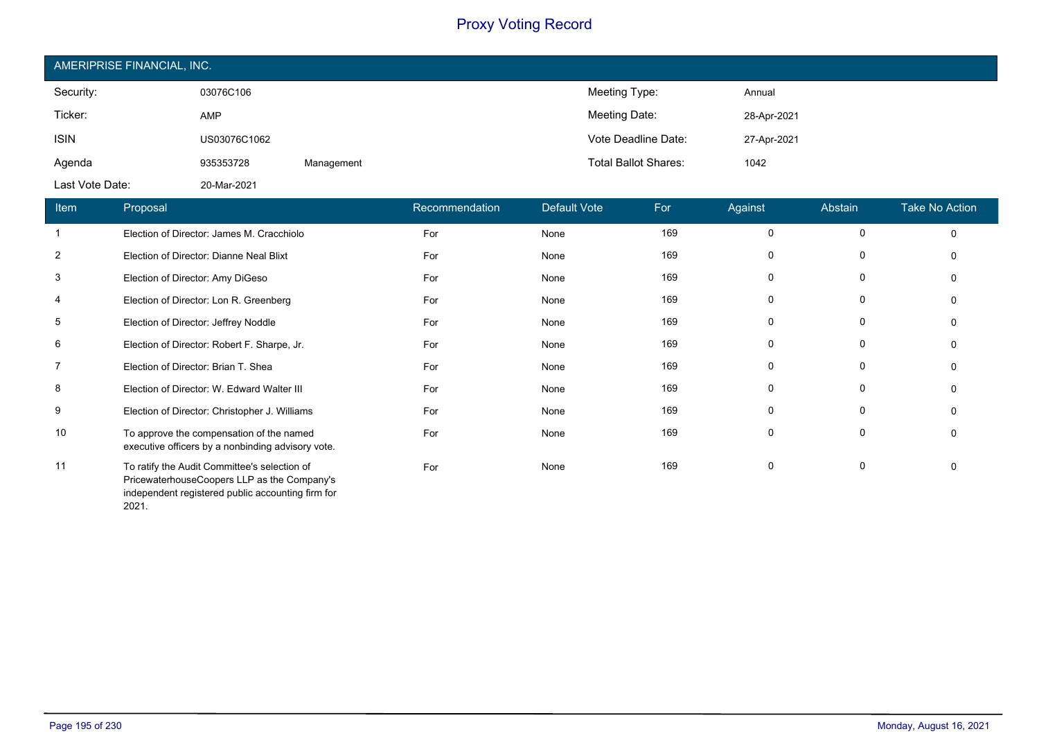| AMERIPRISE FINANCIAL, INC. |              |            |                             |             |  |  |  |
|----------------------------|--------------|------------|-----------------------------|-------------|--|--|--|
| Security:                  | 03076C106    |            | Meeting Type:               | Annual      |  |  |  |
| Ticker:                    | <b>AMP</b>   |            | Meeting Date:               | 28-Apr-2021 |  |  |  |
| <b>ISIN</b>                | US03076C1062 |            | Vote Deadline Date:         | 27-Apr-2021 |  |  |  |
| Agenda                     | 935353728    | Management | <b>Total Ballot Shares:</b> | 1042        |  |  |  |
| Last Vote Date:            | 20-Mar-2021  |            |                             |             |  |  |  |

| Item           | Proposal                                                                                                                                         | Recommendation | Default Vote | For | Against      | Abstain  | <b>Take No Action</b> |
|----------------|--------------------------------------------------------------------------------------------------------------------------------------------------|----------------|--------------|-----|--------------|----------|-----------------------|
| -1             | Election of Director: James M. Cracchiolo                                                                                                        | For            | None         | 169 | 0            | 0        |                       |
| $\overline{2}$ | Election of Director: Dianne Neal Blixt                                                                                                          | For            | None         | 169 | O            | 0        |                       |
| 3              | Election of Director: Amy DiGeso                                                                                                                 | For            | None         | 169 |              | 0        |                       |
| 4              | Election of Director: Lon R. Greenberg                                                                                                           | For            | None         | 169 |              |          |                       |
| 5              | Election of Director: Jeffrey Noddle                                                                                                             | For            | None         | 169 |              |          |                       |
| 6              | Election of Director: Robert F. Sharpe, Jr.                                                                                                      | For            | None         | 169 | O            | 0        |                       |
| $\overline{7}$ | Election of Director: Brian T. Shea                                                                                                              | For            | None         | 169 | <sup>0</sup> | 0        |                       |
| 8              | Election of Director: W. Edward Walter III                                                                                                       | For            | None         | 169 | 0            | 0        |                       |
| 9              | Election of Director: Christopher J. Williams                                                                                                    | For            | None         | 169 | 0            | 0        |                       |
| 10             | To approve the compensation of the named<br>executive officers by a nonbinding advisory vote.                                                    | For            | None         | 169 | 0            | $\Omega$ |                       |
| 11             | To ratify the Audit Committee's selection of<br>PricewaterhouseCoopers LLP as the Company's<br>independent registered public accounting firm for | For            | None         | 169 |              | 0        |                       |

2021.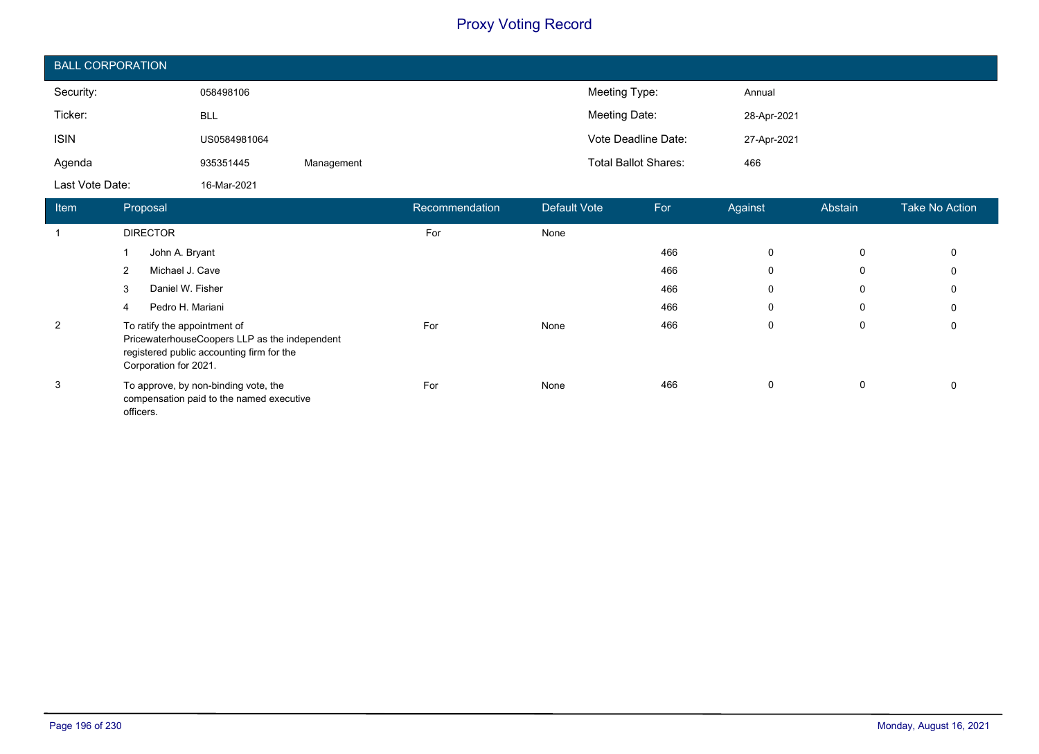| <b>BALL CORPORATION</b> |              |            |                             |             |  |  |  |
|-------------------------|--------------|------------|-----------------------------|-------------|--|--|--|
| Security:               | 058498106    |            | Meeting Type:               | Annual      |  |  |  |
| Ticker:                 | BLL          |            | Meeting Date:               | 28-Apr-2021 |  |  |  |
| <b>ISIN</b>             | US0584981064 |            | Vote Deadline Date:         | 27-Apr-2021 |  |  |  |
| Agenda                  | 935351445    | Management | <b>Total Ballot Shares:</b> | 466         |  |  |  |
| Last Vote Date:         | 16-Mar-2021  |            |                             |             |  |  |  |

| <b>Item</b>    | Proposal                                                                                                                                            | Recommendation | Default Vote | For | Against     | Abstain | <b>Take No Action</b> |
|----------------|-----------------------------------------------------------------------------------------------------------------------------------------------------|----------------|--------------|-----|-------------|---------|-----------------------|
|                | <b>DIRECTOR</b>                                                                                                                                     | For            | None         |     |             |         |                       |
|                | John A. Bryant                                                                                                                                      |                |              | 466 | 0           | 0       | 0                     |
|                | Michael J. Cave<br>2                                                                                                                                |                |              | 466 | 0           | 0       | 0                     |
|                | Daniel W. Fisher<br>3                                                                                                                               |                |              | 466 | 0           | 0       | 0                     |
|                | Pedro H. Mariani<br>4                                                                                                                               |                |              | 466 | $\mathbf 0$ | 0       | 0                     |
| $\overline{2}$ | To ratify the appointment of<br>PricewaterhouseCoopers LLP as the independent<br>registered public accounting firm for the<br>Corporation for 2021. | For            | None         | 466 | 0           | 0       | 0                     |
| 3              | To approve, by non-binding vote, the<br>compensation paid to the named executive<br>officers.                                                       | For            | None         | 466 | 0           | 0       |                       |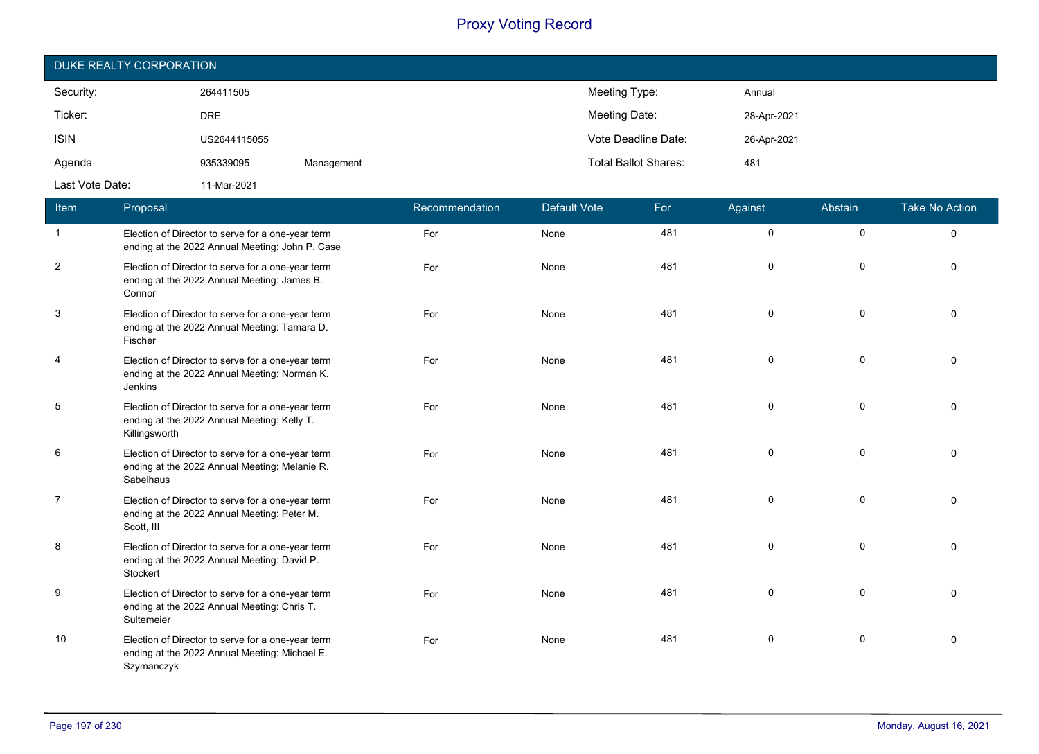| DUKE REALTY CORPORATION |              |            |                             |             |  |  |  |
|-------------------------|--------------|------------|-----------------------------|-------------|--|--|--|
| Security:               | 264411505    |            | Meeting Type:               | Annual      |  |  |  |
| Ticker:                 | <b>DRE</b>   |            | Meeting Date:               | 28-Apr-2021 |  |  |  |
| <b>ISIN</b>             | US2644115055 |            | Vote Deadline Date:         | 26-Apr-2021 |  |  |  |
| Agenda                  | 935339095    | Management | <b>Total Ballot Shares:</b> | 481         |  |  |  |
| Last Vote Date:         | 11-Mar-2021  |            |                             |             |  |  |  |

| Item           | Proposal                                                                                                          | Recommendation | <b>Default Vote</b> | For | Against     | Abstain     | <b>Take No Action</b> |
|----------------|-------------------------------------------------------------------------------------------------------------------|----------------|---------------------|-----|-------------|-------------|-----------------------|
| $\mathbf{1}$   | Election of Director to serve for a one-year term<br>ending at the 2022 Annual Meeting: John P. Case              | For            | None                | 481 | $\mathbf 0$ | $\mathbf 0$ | $\Omega$              |
| $\overline{c}$ | Election of Director to serve for a one-year term<br>ending at the 2022 Annual Meeting: James B.<br>Connor        | For            | None                | 481 | $\Omega$    | $\Omega$    | $\Omega$              |
| 3              | Election of Director to serve for a one-year term<br>ending at the 2022 Annual Meeting: Tamara D.<br>Fischer      | For            | None                | 481 | $\Omega$    | $\mathbf 0$ |                       |
| $\overline{4}$ | Election of Director to serve for a one-year term<br>ending at the 2022 Annual Meeting: Norman K.<br>Jenkins      | For            | None                | 481 | $\Omega$    | $\mathbf 0$ |                       |
| 5              | Election of Director to serve for a one-year term<br>ending at the 2022 Annual Meeting: Kelly T.<br>Killingsworth | For            | None                | 481 | $\mathbf 0$ | $\mathbf 0$ | $\Omega$              |
| 6              | Election of Director to serve for a one-year term<br>ending at the 2022 Annual Meeting: Melanie R.<br>Sabelhaus   | For            | None                | 481 | $\Omega$    | $\mathbf 0$ |                       |
| $\overline{7}$ | Election of Director to serve for a one-year term<br>ending at the 2022 Annual Meeting: Peter M.<br>Scott, III    | For            | None                | 481 | $\Omega$    | $\mathbf 0$ | $\Omega$              |
| 8              | Election of Director to serve for a one-year term<br>ending at the 2022 Annual Meeting: David P.<br>Stockert      | For            | None                | 481 | 0           | $\mathbf 0$ | $\Omega$              |
| 9              | Election of Director to serve for a one-year term<br>ending at the 2022 Annual Meeting: Chris T.<br>Sultemeier    | For            | None                | 481 | $\Omega$    | $\Omega$    |                       |
| 10             | Election of Director to serve for a one-year term<br>ending at the 2022 Annual Meeting: Michael E.<br>Szymanczyk  | For            | None                | 481 | $\Omega$    | 0           | $\Omega$              |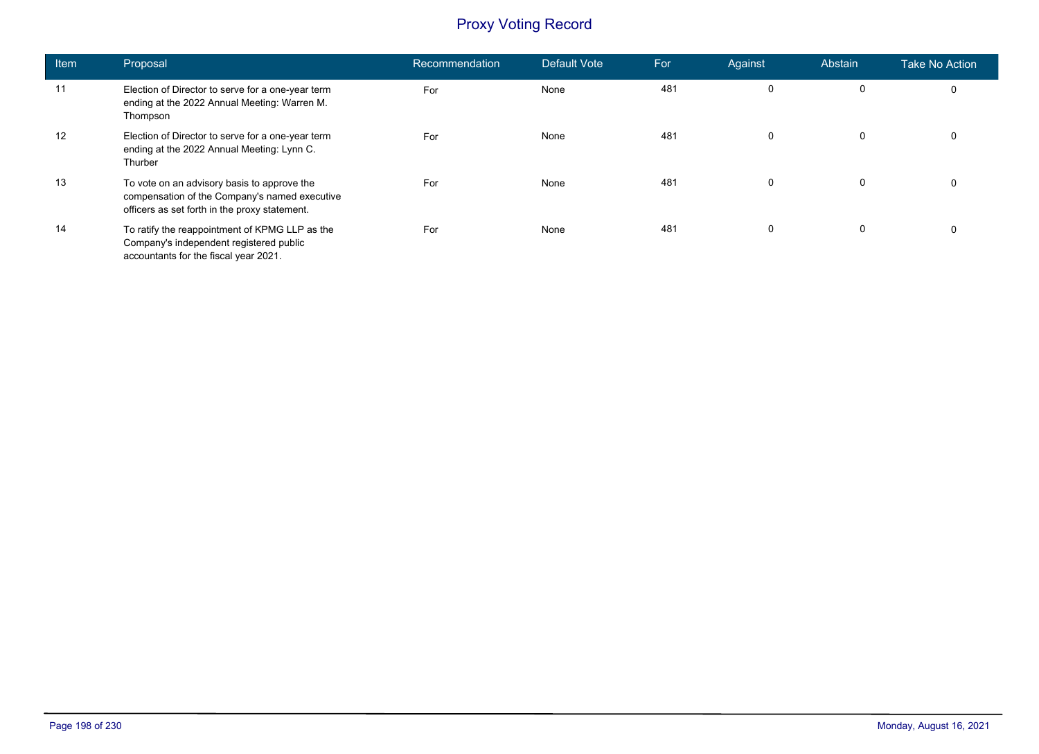| <b>Item</b> | Proposal                                                                                                                                      | Recommendation | Default Vote | For | Against | Abstain     | <b>Take No Action</b> |
|-------------|-----------------------------------------------------------------------------------------------------------------------------------------------|----------------|--------------|-----|---------|-------------|-----------------------|
| 11          | Election of Director to serve for a one-year term<br>ending at the 2022 Annual Meeting: Warren M.<br>Thompson                                 | For            | None         | 481 | 0       | 0           | 0                     |
| 12          | Election of Director to serve for a one-year term<br>ending at the 2022 Annual Meeting: Lynn C.<br>Thurber                                    | For            | None         | 481 | 0       | $\mathbf 0$ | 0                     |
| 13          | To vote on an advisory basis to approve the<br>compensation of the Company's named executive<br>officers as set forth in the proxy statement. | For            | None         | 481 | 0       | 0           | 0                     |
| 14          | To ratify the reappointment of KPMG LLP as the<br>Company's independent registered public<br>accountants for the fiscal year 2021.            | For            | None         | 481 | 0       | 0           | 0                     |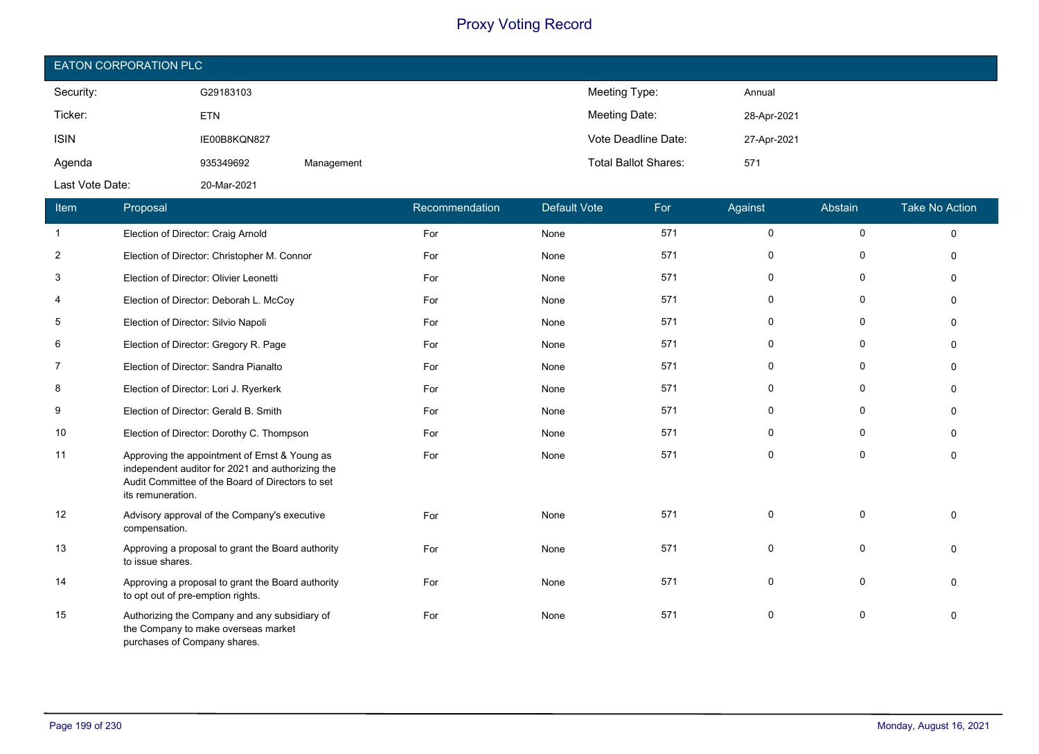| <b>EATON CORPORATION PLC</b> |              |            |                             |             |  |  |  |
|------------------------------|--------------|------------|-----------------------------|-------------|--|--|--|
| Security:                    | G29183103    |            | Meeting Type:               | Annual      |  |  |  |
| Ticker:                      | <b>ETN</b>   |            | Meeting Date:               | 28-Apr-2021 |  |  |  |
| <b>ISIN</b>                  | IE00B8KQN827 |            | Vote Deadline Date:         | 27-Apr-2021 |  |  |  |
| Agenda                       | 935349692    | Management | <b>Total Ballot Shares:</b> | 571         |  |  |  |
| Last Vote Date:              | 20-Mar-2021  |            |                             |             |  |  |  |

| Item           | Proposal                                                                                                                                                                   | Recommendation | <b>Default Vote</b> | For | Against      | Abstain      | <b>Take No Action</b> |
|----------------|----------------------------------------------------------------------------------------------------------------------------------------------------------------------------|----------------|---------------------|-----|--------------|--------------|-----------------------|
| $\mathbf{1}$   | Election of Director: Craig Arnold                                                                                                                                         | For            | None                | 571 | $\mathbf 0$  | $\mathbf 0$  | $\Omega$              |
| $\overline{2}$ | Election of Director: Christopher M. Connor                                                                                                                                | For            | None                | 571 | $\Omega$     | 0            | $\Omega$              |
| 3              | Election of Director: Olivier Leonetti                                                                                                                                     | For            | None                | 571 | $\mathbf 0$  | $\mathbf 0$  | $\Omega$              |
| 4              | Election of Director: Deborah L. McCoy                                                                                                                                     | For            | None                | 571 | $\mathbf{0}$ | $\mathbf{0}$ | $\Omega$              |
| 5              | Election of Director: Silvio Napoli                                                                                                                                        | For            | None                | 571 | $\mathbf{0}$ | $\Omega$     | $\Omega$              |
| 6              | Election of Director: Gregory R. Page                                                                                                                                      | For            | None                | 571 | 0            | 0            | $\Omega$              |
| 7              | Election of Director: Sandra Pianalto                                                                                                                                      | For            | None                | 571 | $\mathbf 0$  | $\Omega$     | $\Omega$              |
| 8              | Election of Director: Lori J. Ryerkerk                                                                                                                                     | For            | None                | 571 | $\mathbf{0}$ | 0            | n                     |
| 9              | Election of Director: Gerald B. Smith                                                                                                                                      | For            | None                | 571 | $\mathbf{0}$ | $\Omega$     | $\Omega$              |
| 10             | Election of Director: Dorothy C. Thompson                                                                                                                                  | For            | None                | 571 | $\mathbf{0}$ | $\mathbf 0$  | $\Omega$              |
| 11             | Approving the appointment of Ernst & Young as<br>independent auditor for 2021 and authorizing the<br>Audit Committee of the Board of Directors to set<br>its remuneration. | For            | None                | 571 | $\mathbf{0}$ | $\mathbf 0$  | $\Omega$              |
| 12             | Advisory approval of the Company's executive<br>compensation.                                                                                                              | For            | None                | 571 | $\Omega$     | $\mathbf 0$  | $\Omega$              |
| 13             | Approving a proposal to grant the Board authority<br>to issue shares.                                                                                                      | For            | None                | 571 | $\mathbf 0$  | $\mathbf 0$  | $\Omega$              |
| 14             | Approving a proposal to grant the Board authority<br>to opt out of pre-emption rights.                                                                                     | For            | None                | 571 | $\mathbf 0$  | $\Omega$     | $\Omega$              |
| 15             | Authorizing the Company and any subsidiary of<br>the Company to make overseas market<br>purchases of Company shares.                                                       | For            | None                | 571 | 0            | 0            | $\Omega$              |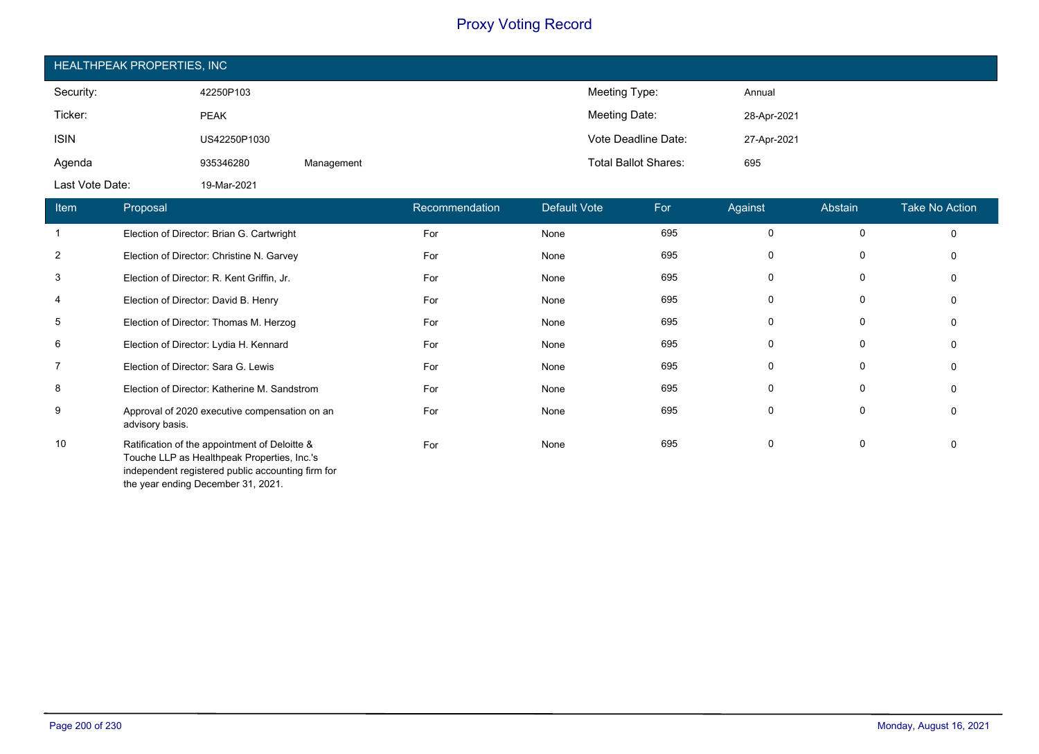| HEALTHPEAK PROPERTIES, INC |              |            |                             |             |  |  |  |  |
|----------------------------|--------------|------------|-----------------------------|-------------|--|--|--|--|
| Security:                  | 42250P103    |            | Meeting Type:               | Annual      |  |  |  |  |
| Ticker:                    | <b>PEAK</b>  |            | Meeting Date:               | 28-Apr-2021 |  |  |  |  |
| <b>ISIN</b>                | US42250P1030 |            | Vote Deadline Date:         | 27-Apr-2021 |  |  |  |  |
| Agenda                     | 935346280    | Management | <b>Total Ballot Shares:</b> | 695         |  |  |  |  |
| Last Vote Date:            | 19-Mar-2021  |            |                             |             |  |  |  |  |

| <b>Item</b>    | Proposal                                                                                                                                                                                | Recommendation | Default Vote | For | Against  | Abstain  | <b>Take No Action</b> |
|----------------|-----------------------------------------------------------------------------------------------------------------------------------------------------------------------------------------|----------------|--------------|-----|----------|----------|-----------------------|
| 1              | Election of Director: Brian G. Cartwright                                                                                                                                               | For            | None         | 695 | $\Omega$ | $\Omega$ | $\Omega$              |
| 2              | Election of Director: Christine N. Garvey                                                                                                                                               | For            | None         | 695 | $\Omega$ | 0        |                       |
| 3              | Election of Director: R. Kent Griffin, Jr.                                                                                                                                              | For            | None         | 695 | 0        |          |                       |
| 4              | Election of Director: David B. Henry                                                                                                                                                    | For            | None         | 695 | 0        | $\Omega$ |                       |
| 5              | Election of Director: Thomas M. Herzog                                                                                                                                                  | For            | None         | 695 | 0        | 0        |                       |
| 6              | Election of Director: Lydia H. Kennard                                                                                                                                                  | For            | None         | 695 | $\Omega$ |          |                       |
| $\overline{7}$ | Election of Director: Sara G. Lewis                                                                                                                                                     | For            | None         | 695 | 0        |          |                       |
| 8              | Election of Director: Katherine M. Sandstrom                                                                                                                                            | For            | None         | 695 | $\Omega$ |          |                       |
| 9              | Approval of 2020 executive compensation on an<br>advisory basis.                                                                                                                        | For            | None         | 695 | $\Omega$ | $\Omega$ |                       |
| 10             | Ratification of the appointment of Deloitte &<br>Touche LLP as Healthpeak Properties, Inc.'s<br>independent registered public accounting firm for<br>the year ending December 31, 2021. | For            | None         | 695 | $\Omega$ |          |                       |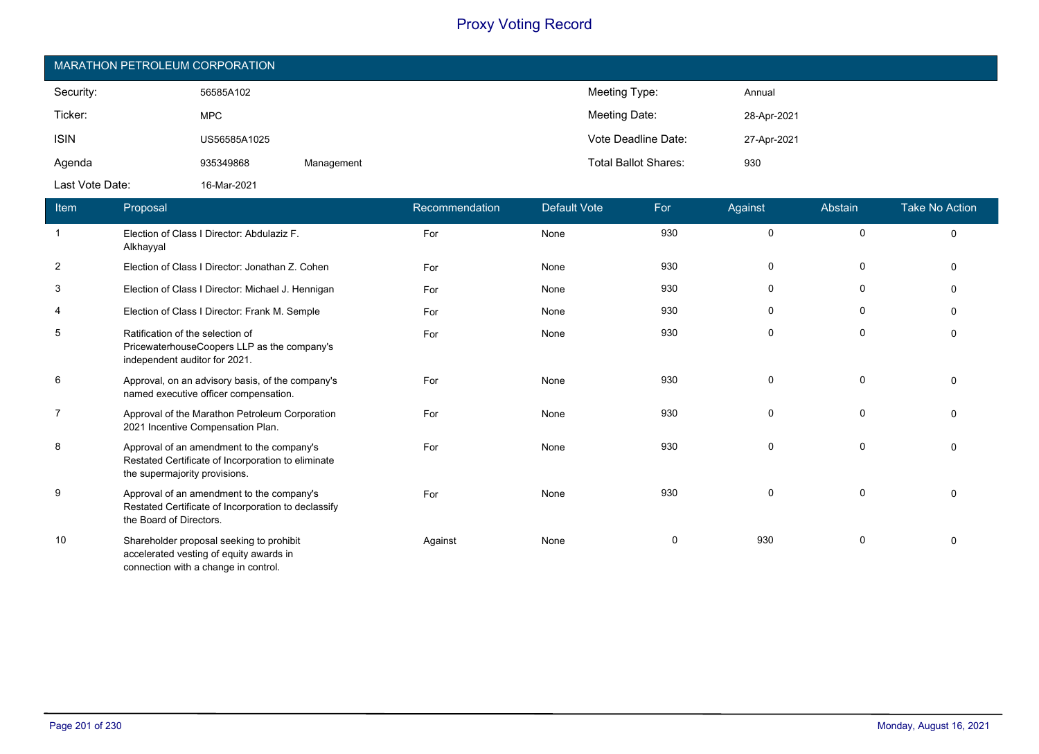| MARATHON PETROLEUM CORPORATION |              |            |                             |             |  |  |  |  |
|--------------------------------|--------------|------------|-----------------------------|-------------|--|--|--|--|
| Security:                      | 56585A102    |            | Meeting Type:               | Annual      |  |  |  |  |
| Ticker:                        | <b>MPC</b>   |            | Meeting Date:               | 28-Apr-2021 |  |  |  |  |
| <b>ISIN</b>                    | US56585A1025 |            | Vote Deadline Date:         | 27-Apr-2021 |  |  |  |  |
| Agenda                         | 935349868    | Management | <b>Total Ballot Shares:</b> | 930         |  |  |  |  |
| Last Vote Date:                | 16-Mar-2021  |            |                             |             |  |  |  |  |

| Item           | Proposal                                                                                                                         | Recommendation | <b>Default Vote</b> | For          | Against     | Abstain     | <b>Take No Action</b> |
|----------------|----------------------------------------------------------------------------------------------------------------------------------|----------------|---------------------|--------------|-------------|-------------|-----------------------|
| $\overline{1}$ | Election of Class I Director: Abdulaziz F.<br>Alkhayyal                                                                          | For            | None                | 930          | $\mathbf 0$ | $\mathbf 0$ | $\Omega$              |
| 2              | Election of Class I Director: Jonathan Z. Cohen                                                                                  | For            | None                | 930          | 0           | 0           | $\Omega$              |
| 3              | Election of Class I Director: Michael J. Hennigan                                                                                | For            | None                | 930          | 0           | 0           |                       |
| $\overline{4}$ | Election of Class I Director: Frank M. Semple                                                                                    | For            | None                | 930          | 0           | 0           |                       |
| 5              | Ratification of the selection of<br>PricewaterhouseCoopers LLP as the company's<br>independent auditor for 2021.                 | For            | None                | 930          | $\mathbf 0$ | $\mathbf 0$ |                       |
| 6              | Approval, on an advisory basis, of the company's<br>named executive officer compensation.                                        | For            | None                | 930          | $\mathbf 0$ | $\Omega$    |                       |
| $\overline{7}$ | Approval of the Marathon Petroleum Corporation<br>2021 Incentive Compensation Plan.                                              | For            | None                | 930          | $\mathbf 0$ | $\mathbf 0$ |                       |
| 8              | Approval of an amendment to the company's<br>Restated Certificate of Incorporation to eliminate<br>the supermajority provisions. | For            | None                | 930          | 0           | 0           | $\Omega$              |
| 9              | Approval of an amendment to the company's<br>Restated Certificate of Incorporation to declassify<br>the Board of Directors.      | For            | None                | 930          | $\Omega$    | $\mathbf 0$ |                       |
| 10             | Shareholder proposal seeking to prohibit<br>accelerated vesting of equity awards in<br>connection with a change in control.      | Against        | None                | $\mathbf{0}$ | 930         | $\Omega$    |                       |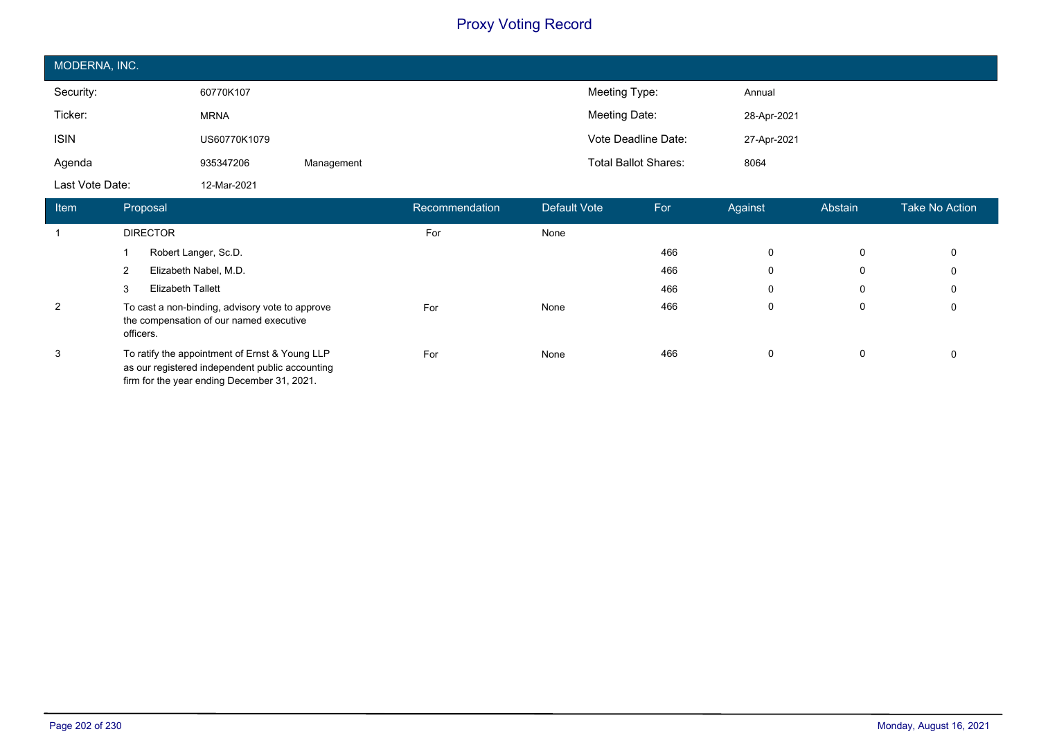| MODERNA, INC.   |              |            |                             |             |  |  |  |
|-----------------|--------------|------------|-----------------------------|-------------|--|--|--|
| Security:       | 60770K107    |            | Meeting Type:               | Annual      |  |  |  |
| Ticker:         | <b>MRNA</b>  |            | Meeting Date:               | 28-Apr-2021 |  |  |  |
| <b>ISIN</b>     | US60770K1079 |            | Vote Deadline Date:         | 27-Apr-2021 |  |  |  |
| Agenda          | 935347206    | Management | <b>Total Ballot Shares:</b> | 8064        |  |  |  |
| Last Vote Date: | 12-Mar-2021  |            |                             |             |  |  |  |

| <b>Item</b> | Proposal                                                                                                                                         | Recommendation | Default Vote | For | Against | Abstain | Take No Action |
|-------------|--------------------------------------------------------------------------------------------------------------------------------------------------|----------------|--------------|-----|---------|---------|----------------|
|             | <b>DIRECTOR</b>                                                                                                                                  | For            | None         |     |         |         |                |
|             | Robert Langer, Sc.D.                                                                                                                             |                |              | 466 | 0       | 0       | 0              |
|             | Elizabeth Nabel, M.D.                                                                                                                            |                |              | 466 | 0       | 0       | 0              |
|             | Elizabeth Tallett<br>3                                                                                                                           |                |              | 466 | 0       | 0       | 0              |
| 2           | To cast a non-binding, advisory vote to approve<br>the compensation of our named executive<br>officers.                                          | For            | None         | 466 | 0       | 0       | 0              |
| 3           | To ratify the appointment of Ernst & Young LLP<br>as our registered independent public accounting<br>firm for the year ending December 31, 2021. | For            | None         | 466 | 0       | 0       | 0              |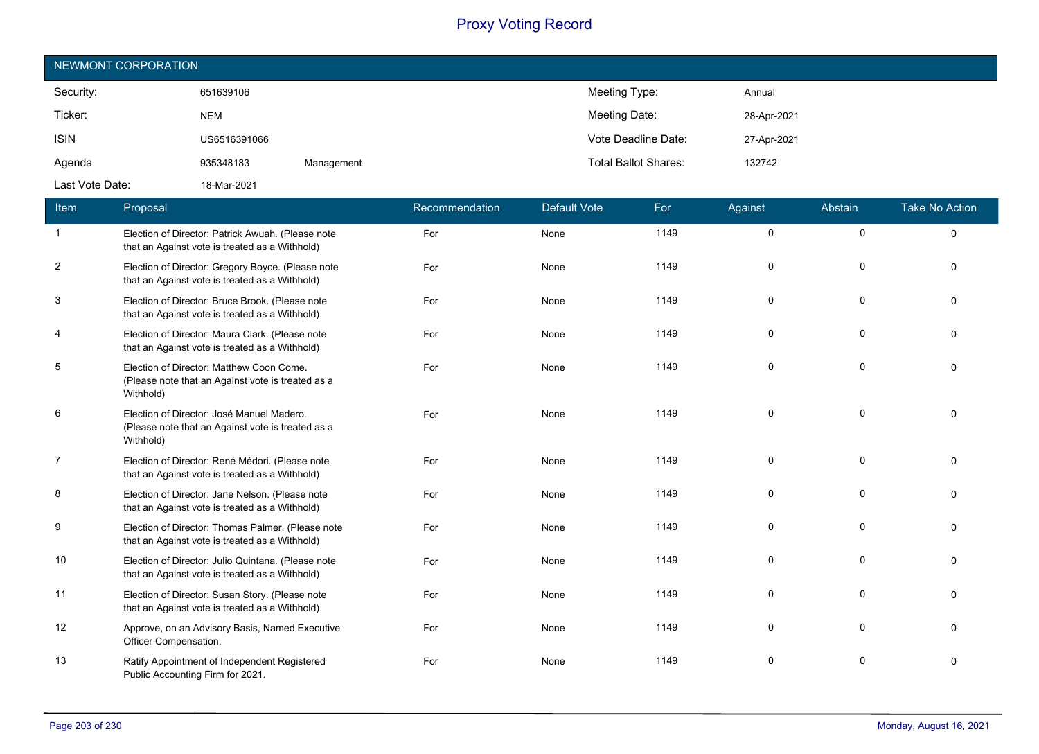| NEWMONT CORPORATION |              |            |                             |             |  |  |  |
|---------------------|--------------|------------|-----------------------------|-------------|--|--|--|
| Security:           | 651639106    |            | Meeting Type:               | Annual      |  |  |  |
| Ticker:             | <b>NEM</b>   |            | Meeting Date:               | 28-Apr-2021 |  |  |  |
| <b>ISIN</b>         | US6516391066 |            | Vote Deadline Date:         | 27-Apr-2021 |  |  |  |
| Agenda              | 935348183    | Management | <b>Total Ballot Shares:</b> | 132742      |  |  |  |
| Last Vote Date:     | 18-Mar-2021  |            |                             |             |  |  |  |

| Item                    | Proposal                                                                                                    | Recommendation | <b>Default Vote</b> | For  | Against     | Abstain      | <b>Take No Action</b> |
|-------------------------|-------------------------------------------------------------------------------------------------------------|----------------|---------------------|------|-------------|--------------|-----------------------|
| $\mathbf{1}$            | Election of Director: Patrick Awuah. (Please note<br>that an Against vote is treated as a Withhold)         | For            | None                | 1149 | $\mathbf 0$ | $\mathbf 0$  | $\Omega$              |
| $\overline{\mathbf{c}}$ | Election of Director: Gregory Boyce. (Please note<br>that an Against vote is treated as a Withhold)         | For            | None                | 1149 | $\Omega$    | $\mathbf 0$  | $\Omega$              |
| 3                       | Election of Director: Bruce Brook. (Please note<br>that an Against vote is treated as a Withhold)           | For            | None                | 1149 | $\Omega$    | $\Omega$     |                       |
| $\overline{4}$          | Election of Director: Maura Clark. (Please note<br>that an Against vote is treated as a Withhold)           | For            | None                | 1149 | $\Omega$    | $\mathbf 0$  |                       |
| 5                       | Election of Director: Matthew Coon Come.<br>(Please note that an Against vote is treated as a<br>Withhold)  | For            | None                | 1149 | $\Omega$    | $\Omega$     |                       |
| 6                       | Election of Director: José Manuel Madero.<br>(Please note that an Against vote is treated as a<br>Withhold) | For            | None                | 1149 | $\Omega$    | 0            |                       |
| $\overline{7}$          | Election of Director: René Médori. (Please note<br>that an Against vote is treated as a Withhold)           | For            | None                | 1149 | $\Omega$    | $\Omega$     |                       |
| 8                       | Election of Director: Jane Nelson. (Please note<br>that an Against vote is treated as a Withhold)           | For            | None                | 1149 | $\mathbf 0$ | $\mathbf 0$  |                       |
| 9                       | Election of Director: Thomas Palmer. (Please note<br>that an Against vote is treated as a Withhold)         | For            | None                | 1149 | $\Omega$    | $\mathbf 0$  | $\Omega$              |
| 10                      | Election of Director: Julio Quintana. (Please note<br>that an Against vote is treated as a Withhold)        | For            | None                | 1149 | $\Omega$    | $\Omega$     |                       |
| 11                      | Election of Director: Susan Story. (Please note<br>that an Against vote is treated as a Withhold)           | For            | None                | 1149 | $\Omega$    | 0            |                       |
| 12                      | Approve, on an Advisory Basis, Named Executive<br>Officer Compensation.                                     | For            | None                | 1149 | $\Omega$    | $\mathbf{0}$ |                       |
| 13                      | Ratify Appointment of Independent Registered<br>Public Accounting Firm for 2021.                            | For            | None                | 1149 | $\Omega$    | $\Omega$     |                       |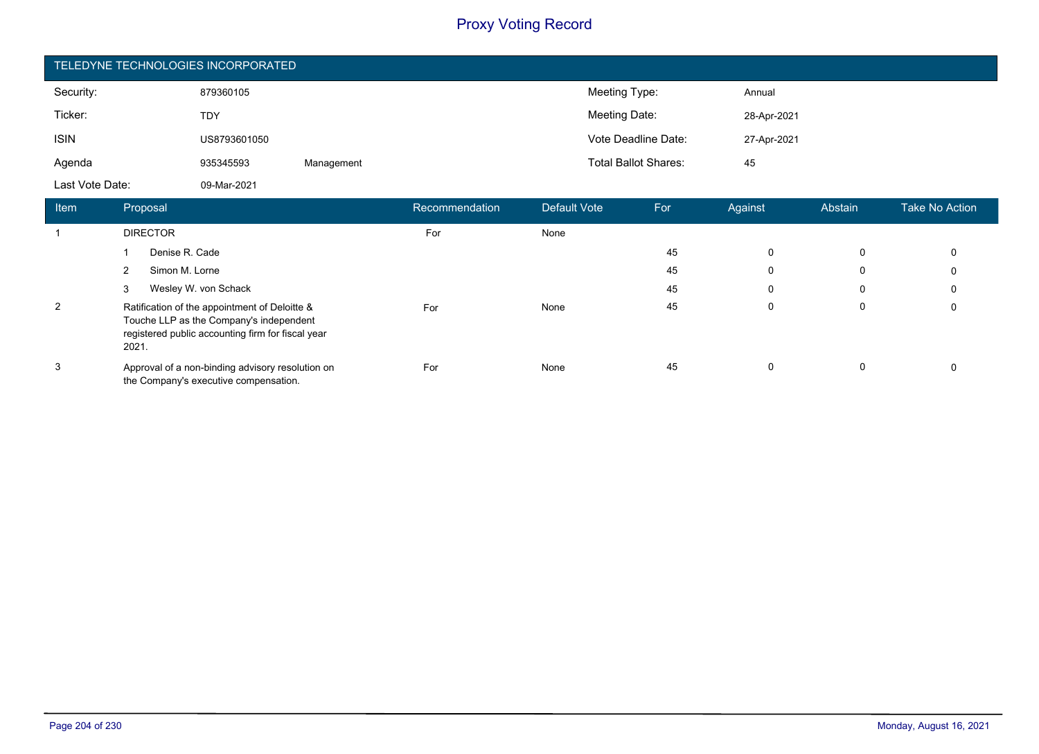| TELEDYNE TECHNOLOGIES INCORPORATED |              |            |                             |             |  |  |  |
|------------------------------------|--------------|------------|-----------------------------|-------------|--|--|--|
| Security:                          | 879360105    |            | Meeting Type:               | Annual      |  |  |  |
| Ticker:                            | <b>TDY</b>   |            | Meeting Date:               | 28-Apr-2021 |  |  |  |
| <b>ISIN</b>                        | US8793601050 |            | Vote Deadline Date:         | 27-Apr-2021 |  |  |  |
| Agenda                             | 935345593    | Management | <b>Total Ballot Shares:</b> | 45          |  |  |  |
| Last Vote Date:                    | 09-Mar-2021  |            |                             |             |  |  |  |

| Item | Proposal                                                                                                                                               | Recommendation | Default Vote | For | Against     | Abstain | Take No Action |
|------|--------------------------------------------------------------------------------------------------------------------------------------------------------|----------------|--------------|-----|-------------|---------|----------------|
|      | <b>DIRECTOR</b>                                                                                                                                        | For            | None         |     |             |         |                |
|      | Denise R. Cade                                                                                                                                         |                |              | 45  | 0           | 0       | 0              |
|      | Simon M. Lorne<br>2                                                                                                                                    |                |              | 45  | 0           | 0       | 0              |
|      | Wesley W. von Schack<br>3                                                                                                                              |                |              | 45  | $\mathbf 0$ | 0       | 0              |
| 2    | Ratification of the appointment of Deloitte &<br>Touche LLP as the Company's independent<br>registered public accounting firm for fiscal year<br>2021. | For            | None         | 45  | $\mathbf 0$ | 0       | 0              |
| 3    | Approval of a non-binding advisory resolution on<br>the Company's executive compensation.                                                              | For            | None         | 45  | $\mathbf 0$ | 0       | 0              |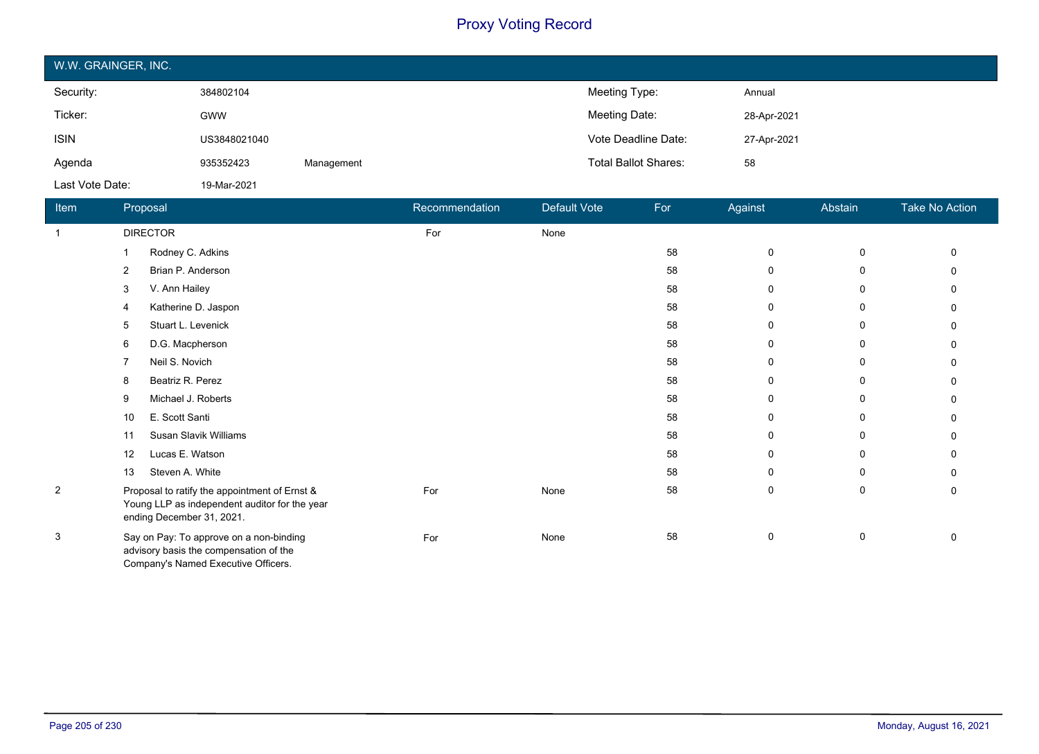| W.W. GRAINGER, INC. |              |            |                             |             |  |  |  |
|---------------------|--------------|------------|-----------------------------|-------------|--|--|--|
| Security:           | 384802104    |            | Meeting Type:               | Annual      |  |  |  |
| Ticker:             | <b>GWW</b>   |            | Meeting Date:               | 28-Apr-2021 |  |  |  |
| <b>ISIN</b>         | US3848021040 |            | Vote Deadline Date:         | 27-Apr-2021 |  |  |  |
| Agenda              | 935352423    | Management | <b>Total Ballot Shares:</b> | 58          |  |  |  |
| Last Vote Date:     | 19-Mar-2021  |            |                             |             |  |  |  |

| Item           | Proposal                                                                                                                    | Recommendation | Default Vote | For | Against | Abstain      | Take No Action |
|----------------|-----------------------------------------------------------------------------------------------------------------------------|----------------|--------------|-----|---------|--------------|----------------|
| $\mathbf{1}$   | <b>DIRECTOR</b>                                                                                                             | For            | None         |     |         |              |                |
|                | Rodney C. Adkins                                                                                                            |                |              | 58  | 0       | 0            |                |
|                | Brian P. Anderson<br>2                                                                                                      |                |              | 58  | 0       | 0            |                |
|                | V. Ann Hailey<br>3                                                                                                          |                |              | 58  | 0       | 0            |                |
|                | Katherine D. Jaspon<br>4                                                                                                    |                |              | 58  | 0       | $\Omega$     |                |
|                | Stuart L. Levenick<br>5                                                                                                     |                |              | 58  | 0       | 0            |                |
|                | D.G. Macpherson<br>6                                                                                                        |                |              | 58  | 0       | 0            |                |
|                | Neil S. Novich<br>7                                                                                                         |                |              | 58  | 0       | 0            |                |
|                | Beatriz R. Perez<br>8                                                                                                       |                |              | 58  | 0       | 0            |                |
|                | Michael J. Roberts<br>9                                                                                                     |                |              | 58  | 0       | 0            |                |
|                | E. Scott Santi<br>10                                                                                                        |                |              | 58  | 0       | 0            |                |
|                | Susan Slavik Williams<br>11                                                                                                 |                |              | 58  | 0       | 0            |                |
|                | Lucas E. Watson<br>12                                                                                                       |                |              | 58  | 0       | 0            |                |
|                | Steven A. White<br>13                                                                                                       |                |              | 58  | 0       | $\mathbf{0}$ | O              |
| $\overline{2}$ | Proposal to ratify the appointment of Ernst &<br>Young LLP as independent auditor for the year<br>ending December 31, 2021. | For            | None         | 58  | 0       | 0            | 0              |
| 3              | Say on Pay: To approve on a non-binding<br>advisory basis the compensation of the<br>Company's Named Executive Officers.    | For            | None         | 58  | 0       | 0            | n              |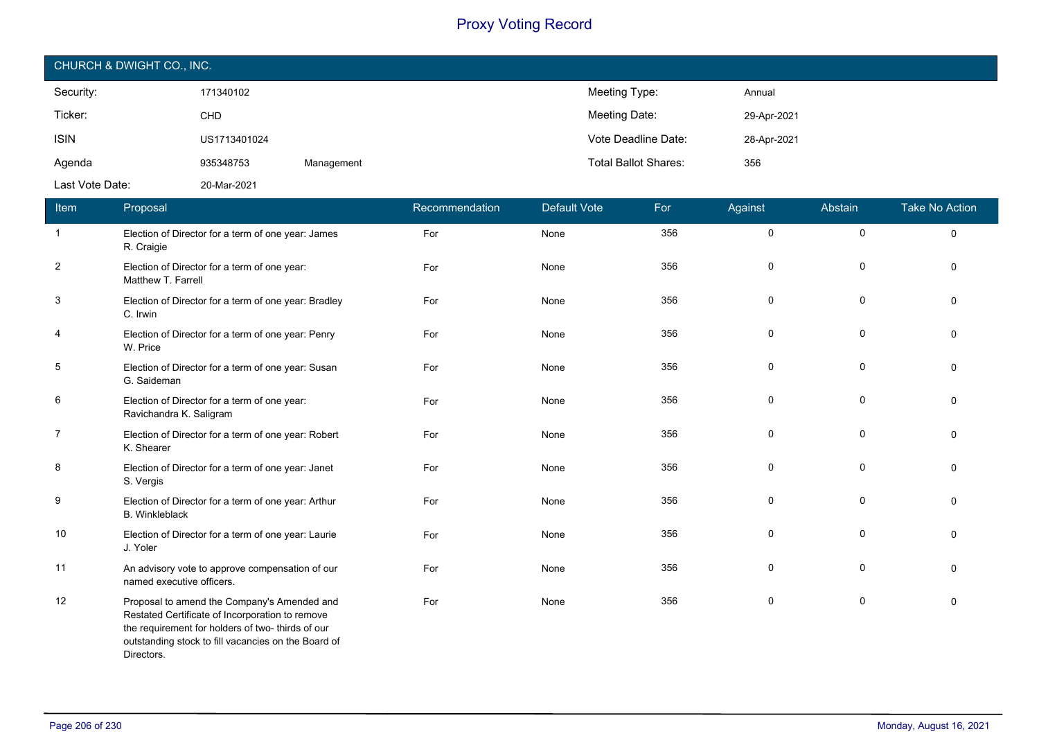| CHURCH & DWIGHT CO., INC. |              |            |                                    |  |  |  |
|---------------------------|--------------|------------|------------------------------------|--|--|--|
| Security:                 | 171340102    |            | Meeting Type:<br>Annual            |  |  |  |
| Ticker:                   | CHD          |            | Meeting Date:<br>29-Apr-2021       |  |  |  |
| <b>ISIN</b>               | US1713401024 |            | Vote Deadline Date:<br>28-Apr-2021 |  |  |  |
| Agenda                    | 935348753    | Management | <b>Total Ballot Shares:</b><br>356 |  |  |  |
| Last Vote Date:           | 20-Mar-2021  |            |                                    |  |  |  |

| Item           | Proposal                                                                                                                                                                                                                 | Recommendation | <b>Default Vote</b> | For | Against | Abstain     | <b>Take No Action</b> |
|----------------|--------------------------------------------------------------------------------------------------------------------------------------------------------------------------------------------------------------------------|----------------|---------------------|-----|---------|-------------|-----------------------|
| $\overline{1}$ | Election of Director for a term of one year: James<br>R. Craigie                                                                                                                                                         | For            | None                | 356 | 0       | $\pmb{0}$   | 0                     |
| $\overline{2}$ | Election of Director for a term of one year:<br>Matthew T. Farrell                                                                                                                                                       | For            | None                | 356 | 0       | 0           | $\Omega$              |
| 3              | Election of Director for a term of one year: Bradley<br>C. Irwin                                                                                                                                                         | For            | None                | 356 | 0       | 0           | $\Omega$              |
| 4              | Election of Director for a term of one year: Penry<br>W. Price                                                                                                                                                           | For            | None                | 356 | 0       | 0           | $\Omega$              |
| 5              | Election of Director for a term of one year: Susan<br>G. Saideman                                                                                                                                                        | For            | None                | 356 | 0       | 0           | $\mathbf{0}$          |
| 6              | Election of Director for a term of one year:<br>Ravichandra K. Saligram                                                                                                                                                  | For            | None                | 356 | 0       | $\mathbf 0$ | $\Omega$              |
| $\overline{7}$ | Election of Director for a term of one year: Robert<br>K. Shearer                                                                                                                                                        | For            | None                | 356 | 0       | 0           | $\Omega$              |
| 8              | Election of Director for a term of one year: Janet<br>S. Vergis                                                                                                                                                          | For            | None                | 356 | 0       | $\mathbf 0$ | $\Omega$              |
| 9              | Election of Director for a term of one year: Arthur<br><b>B.</b> Winkleblack                                                                                                                                             | For            | None                | 356 | 0       | $\pmb{0}$   | $\Omega$              |
| 10             | Election of Director for a term of one year: Laurie<br>J. Yoler                                                                                                                                                          | For            | None                | 356 | 0       | $\mathbf 0$ | $\Omega$              |
| 11             | An advisory vote to approve compensation of our<br>named executive officers.                                                                                                                                             | For            | None                | 356 | 0       | 0           | $\Omega$              |
| 12             | Proposal to amend the Company's Amended and<br>Restated Certificate of Incorporation to remove<br>the requirement for holders of two- thirds of our<br>outstanding stock to fill vacancies on the Board of<br>Directors. | For            | None                | 356 | 0       | 0           | $\mathbf{0}$          |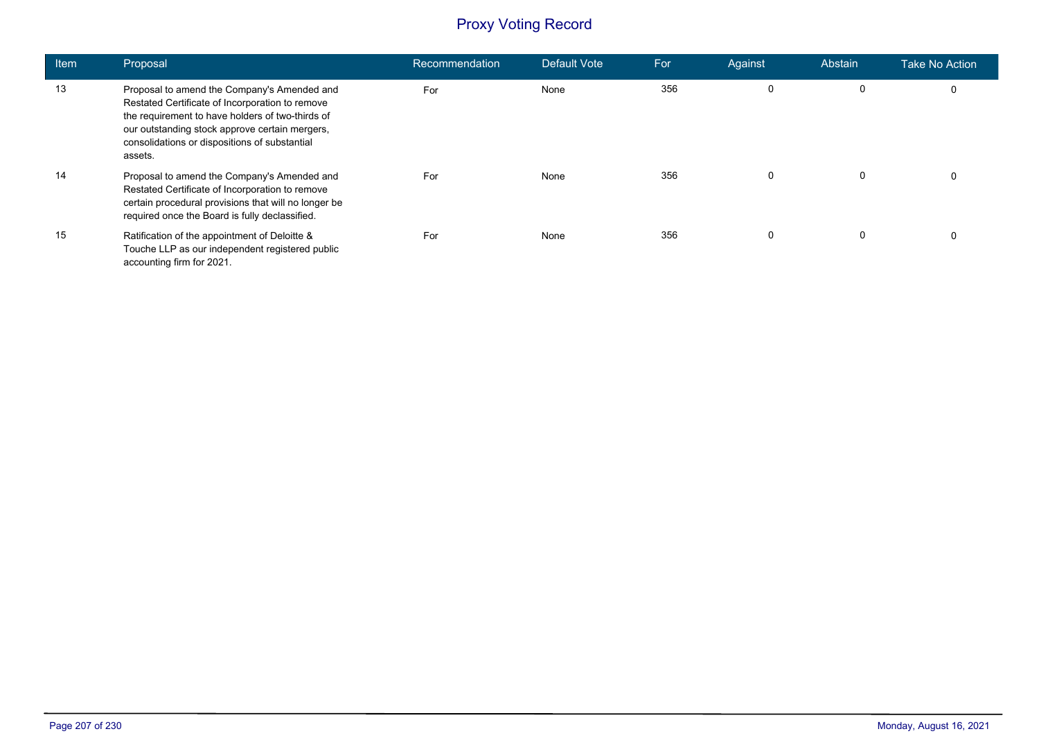| <b>Item</b> | Proposal                                                                                                                                                                                                                                                         | Recommendation | Default Vote | For | Against | Abstain | Take No Action |
|-------------|------------------------------------------------------------------------------------------------------------------------------------------------------------------------------------------------------------------------------------------------------------------|----------------|--------------|-----|---------|---------|----------------|
| 13          | Proposal to amend the Company's Amended and<br>Restated Certificate of Incorporation to remove<br>the requirement to have holders of two-thirds of<br>our outstanding stock approve certain mergers,<br>consolidations or dispositions of substantial<br>assets. | For            | None         | 356 | 0       | 0       | 0              |
| 14          | Proposal to amend the Company's Amended and<br>Restated Certificate of Incorporation to remove<br>certain procedural provisions that will no longer be<br>required once the Board is fully declassified.                                                         | For            | None         | 356 | 0       | 0       | $\mathbf 0$    |
| 15          | Ratification of the appointment of Deloitte &<br>Touche LLP as our independent registered public<br>accounting firm for 2021.                                                                                                                                    | For            | None         | 356 | 0       | 0       | 0              |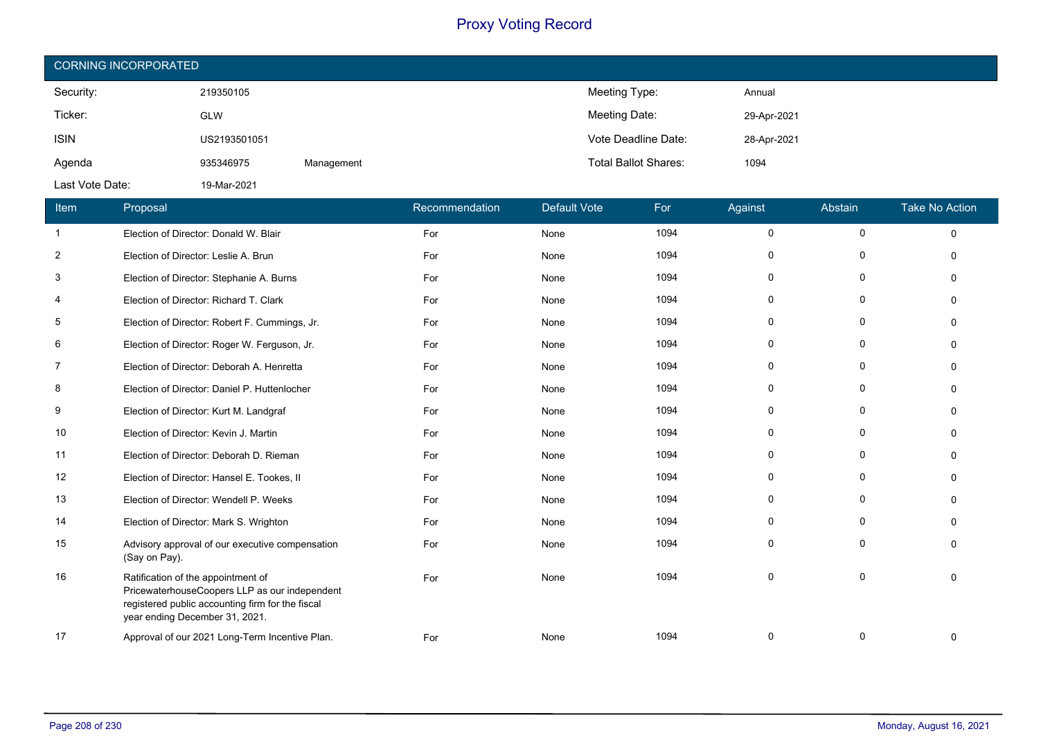| <b>CORNING INCORPORATED</b> |              |            |                             |             |  |  |  |
|-----------------------------|--------------|------------|-----------------------------|-------------|--|--|--|
| Security:                   | 219350105    |            | Meeting Type:               | Annual      |  |  |  |
| Ticker:                     | <b>GLW</b>   |            | Meeting Date:               | 29-Apr-2021 |  |  |  |
| <b>ISIN</b>                 | US2193501051 |            | Vote Deadline Date:         | 28-Apr-2021 |  |  |  |
| Agenda                      | 935346975    | Management | <b>Total Ballot Shares:</b> | 1094        |  |  |  |
| Last Vote Date:             | 19-Mar-2021  |            |                             |             |  |  |  |

| Item | Proposal                                                                                                                                                                  | Recommendation | <b>Default Vote</b> | For  | Against     | Abstain     | <b>Take No Action</b> |
|------|---------------------------------------------------------------------------------------------------------------------------------------------------------------------------|----------------|---------------------|------|-------------|-------------|-----------------------|
| -1   | Election of Director: Donald W. Blair                                                                                                                                     | For            | None                | 1094 | $\mathbf 0$ | $\Omega$    | $\Omega$              |
| 2    | Election of Director: Leslie A. Brun                                                                                                                                      | For            | None                | 1094 | $\mathbf 0$ | 0           | $\Omega$              |
| 3    | Election of Director: Stephanie A. Burns                                                                                                                                  | For            | None                | 1094 | 0           | 0           | $\mathbf{0}$          |
| 4    | Election of Director: Richard T. Clark                                                                                                                                    | For            | None                | 1094 | 0           | 0           | $\Omega$              |
| 5    | Election of Director: Robert F. Cummings, Jr.                                                                                                                             | For            | None                | 1094 | $\mathbf 0$ | 0           | $\Omega$              |
| 6    | Election of Director: Roger W. Ferguson, Jr.                                                                                                                              | For            | None                | 1094 | 0           | 0           | $\Omega$              |
| 7    | Election of Director: Deborah A. Henretta                                                                                                                                 | For            | None                | 1094 | 0           | $\mathbf 0$ | $\Omega$              |
| 8    | Election of Director: Daniel P. Huttenlocher                                                                                                                              | For            | None                | 1094 | 0           | 0           | $\Omega$              |
| 9    | Election of Director: Kurt M. Landgraf                                                                                                                                    | For            | None                | 1094 | 0           | $\Omega$    | $\Omega$              |
| 10   | Election of Director: Kevin J. Martin                                                                                                                                     | For            | None                | 1094 | $\mathbf 0$ | $\mathbf 0$ | $\mathbf{0}$          |
| 11   | Election of Director: Deborah D. Rieman                                                                                                                                   | For            | None                | 1094 | 0           | $\Omega$    | $\Omega$              |
| 12   | Election of Director: Hansel E. Tookes, II                                                                                                                                | For            | None                | 1094 | $\mathbf 0$ | $\Omega$    | $\Omega$              |
| 13   | Election of Director: Wendell P. Weeks                                                                                                                                    | For            | None                | 1094 | 0           | 0           | $\Omega$              |
| 14   | Election of Director: Mark S. Wrighton                                                                                                                                    | For            | None                | 1094 | 0           | 0           | $\Omega$              |
| 15   | Advisory approval of our executive compensation<br>(Say on Pay).                                                                                                          | For            | None                | 1094 | $\mathbf 0$ | 0           | $\Omega$              |
| 16   | Ratification of the appointment of<br>PricewaterhouseCoopers LLP as our independent<br>registered public accounting firm for the fiscal<br>year ending December 31, 2021. | For            | None                | 1094 | 0           | 0           | $\Omega$              |
| 17   | Approval of our 2021 Long-Term Incentive Plan.                                                                                                                            | For            | None                | 1094 | $\mathbf 0$ | $\Omega$    | $\Omega$              |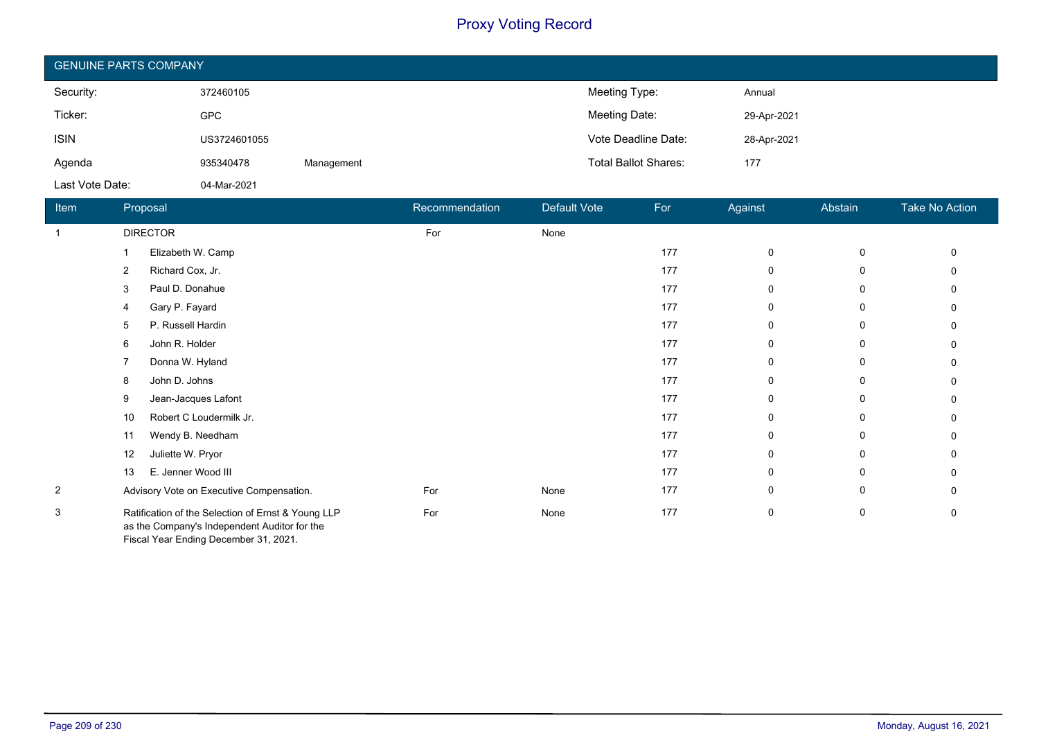| <b>GENUINE PARTS COMPANY</b> |              |            |                             |             |  |  |
|------------------------------|--------------|------------|-----------------------------|-------------|--|--|
| Security:                    | 372460105    |            | Meeting Type:               | Annual      |  |  |
| Ticker:                      | <b>GPC</b>   |            | Meeting Date:               | 29-Apr-2021 |  |  |
| <b>ISIN</b>                  | US3724601055 |            | Vote Deadline Date:         | 28-Apr-2021 |  |  |
| Agenda                       | 935340478    | Management | <b>Total Ballot Shares:</b> | 177         |  |  |
| Last Vote Date:              | 04-Mar-2021  |            |                             |             |  |  |

| Item           | Proposal                                                                                                                                    | Recommendation | Default Vote | For | Against      | Abstain | Take No Action |
|----------------|---------------------------------------------------------------------------------------------------------------------------------------------|----------------|--------------|-----|--------------|---------|----------------|
| $\mathbf{1}$   | <b>DIRECTOR</b>                                                                                                                             | For            | None         |     |              |         |                |
|                | Elizabeth W. Camp                                                                                                                           |                |              | 177 | $\mathbf 0$  | 0       | 0              |
|                | Richard Cox, Jr.<br>$\overline{2}$                                                                                                          |                |              | 177 | 0            | 0       | U              |
|                | Paul D. Donahue<br>3                                                                                                                        |                |              | 177 | 0            | 0       |                |
|                | Gary P. Fayard<br>4                                                                                                                         |                |              | 177 | 0            | 0       | 0              |
|                | P. Russell Hardin<br>5                                                                                                                      |                |              | 177 | $\mathbf 0$  | 0       | U              |
|                | John R. Holder<br>6                                                                                                                         |                |              | 177 | 0            | 0       | $\Omega$       |
|                | Donna W. Hyland                                                                                                                             |                |              | 177 | 0            | 0       |                |
|                | John D. Johns<br>8                                                                                                                          |                |              | 177 | $\Omega$     | 0       | 0              |
|                | Jean-Jacques Lafont<br>9                                                                                                                    |                |              | 177 | 0            | 0       | U              |
|                | Robert C Loudermilk Jr.<br>10                                                                                                               |                |              | 177 | $\mathbf{0}$ | 0       |                |
|                | Wendy B. Needham<br>11                                                                                                                      |                |              | 177 | 0            | 0       |                |
|                | Juliette W. Pryor<br>12                                                                                                                     |                |              | 177 | 0            | 0       | 0              |
|                | E. Jenner Wood III<br>13                                                                                                                    |                |              | 177 | $\Omega$     | 0       | 0              |
| $\overline{2}$ | Advisory Vote on Executive Compensation.                                                                                                    | For            | None         | 177 | 0            | 0       | $\Omega$       |
| 3              | Ratification of the Selection of Ernst & Young LLP<br>as the Company's Independent Auditor for the<br>Fiscal Year Ending December 31, 2021. | For            | None         | 177 | 0            | 0       | $\Omega$       |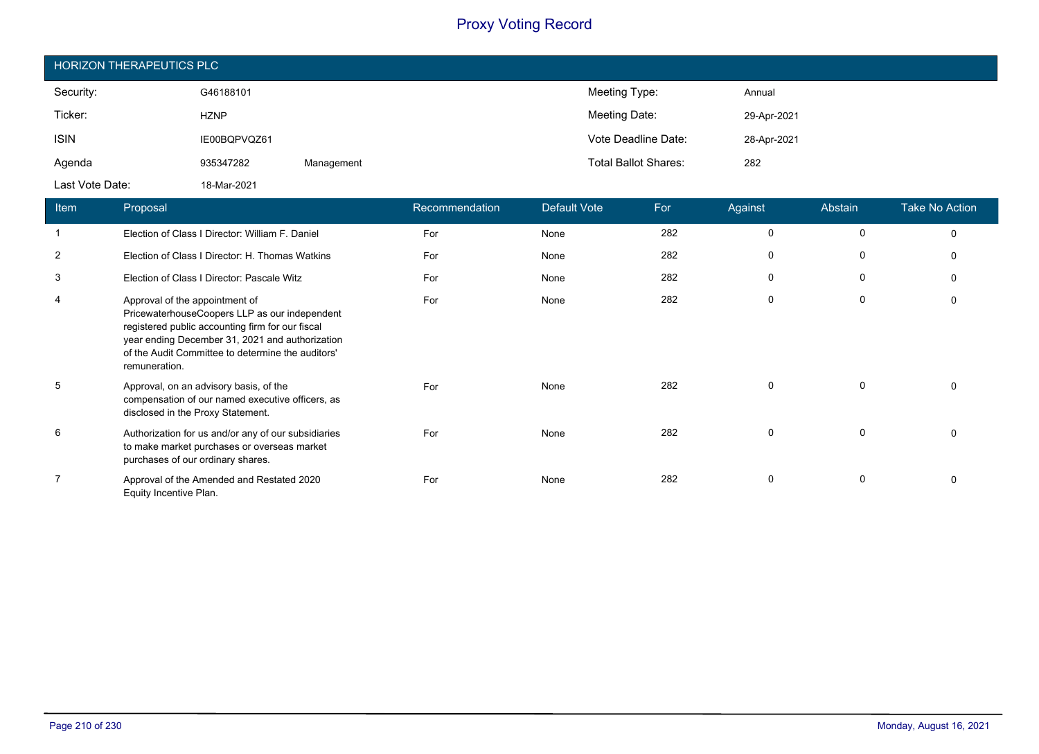| <b>HORIZON THERAPEUTICS PLC</b> |              |            |                             |             |  |  |
|---------------------------------|--------------|------------|-----------------------------|-------------|--|--|
| Security:                       | G46188101    |            | Meeting Type:               | Annual      |  |  |
| Ticker:                         | <b>HZNP</b>  |            | Meeting Date:               | 29-Apr-2021 |  |  |
| <b>ISIN</b>                     | IE00BQPVQZ61 |            | Vote Deadline Date:         | 28-Apr-2021 |  |  |
| Agenda                          | 935347282    | Management | <b>Total Ballot Shares:</b> | 282         |  |  |
| Last Vote Date:                 | 18-Mar-2021  |            |                             |             |  |  |

| Item           | Proposal                                                                                                                                                                                                                                                     | Recommendation | Default Vote | For | Against     | Abstain     | <b>Take No Action</b> |
|----------------|--------------------------------------------------------------------------------------------------------------------------------------------------------------------------------------------------------------------------------------------------------------|----------------|--------------|-----|-------------|-------------|-----------------------|
|                | Election of Class I Director: William F. Daniel                                                                                                                                                                                                              | For            | None         | 282 | 0           | 0           | $\Omega$              |
| $\overline{2}$ | Election of Class I Director: H. Thomas Watkins                                                                                                                                                                                                              | For            | None         | 282 | 0           | $\Omega$    | $\Omega$              |
| 3              | Election of Class I Director: Pascale Witz                                                                                                                                                                                                                   | For            | None         | 282 | 0           | 0           | $\Omega$              |
| 4              | Approval of the appointment of<br>PricewaterhouseCoopers LLP as our independent<br>registered public accounting firm for our fiscal<br>year ending December 31, 2021 and authorization<br>of the Audit Committee to determine the auditors'<br>remuneration. | For            | None         | 282 | 0           | 0           | $\Omega$              |
| 5              | Approval, on an advisory basis, of the<br>compensation of our named executive officers, as<br>disclosed in the Proxy Statement.                                                                                                                              | For            | None         | 282 | 0           | 0           |                       |
| 6              | Authorization for us and/or any of our subsidiaries<br>to make market purchases or overseas market<br>purchases of our ordinary shares.                                                                                                                      | For            | None         | 282 | $\mathbf 0$ | 0           | <sup>0</sup>          |
| $\overline{7}$ | Approval of the Amended and Restated 2020<br>Equity Incentive Plan.                                                                                                                                                                                          | For            | None         | 282 | $\mathbf 0$ | $\mathbf 0$ | $\Omega$              |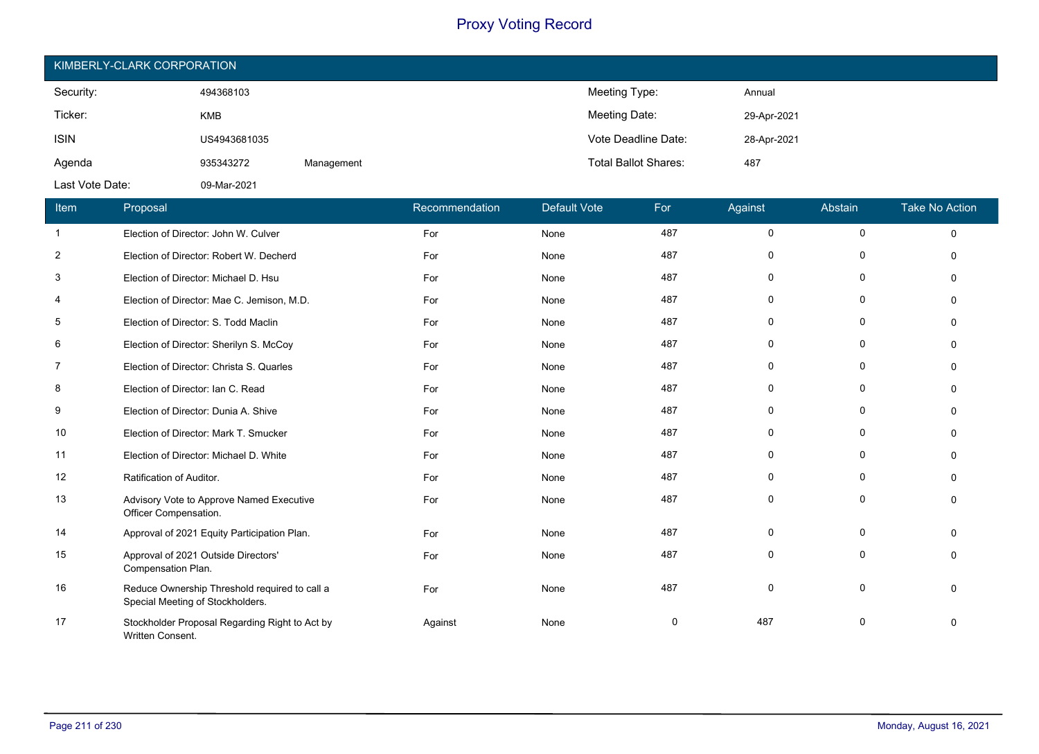| KIMBERLY-CLARK CORPORATION |              |            |                             |             |  |  |  |  |
|----------------------------|--------------|------------|-----------------------------|-------------|--|--|--|--|
| Security:                  | 494368103    |            | Meeting Type:               | Annual      |  |  |  |  |
| Ticker:                    | <b>KMB</b>   |            | Meeting Date:               | 29-Apr-2021 |  |  |  |  |
| <b>ISIN</b>                | US4943681035 |            | Vote Deadline Date:         | 28-Apr-2021 |  |  |  |  |
| Agenda                     | 935343272    | Management | <b>Total Ballot Shares:</b> | 487         |  |  |  |  |
| Last Vote Date:            | 09-Mar-2021  |            |                             |             |  |  |  |  |

| Item           | Proposal                                                                          | Recommendation | <b>Default Vote</b> | For | Against     | Abstain     | <b>Take No Action</b> |
|----------------|-----------------------------------------------------------------------------------|----------------|---------------------|-----|-------------|-------------|-----------------------|
| $\mathbf{1}$   | Election of Director: John W. Culver                                              | For            | None                | 487 | $\mathbf 0$ | $\mathbf 0$ | $\Omega$              |
| $\overline{2}$ | Election of Director: Robert W. Decherd                                           | For            | None                | 487 | $\mathbf 0$ | $\mathbf 0$ | $\Omega$              |
| 3              | Election of Director: Michael D. Hsu                                              | For            | None                | 487 | $\mathbf 0$ | $\Omega$    | $\Omega$              |
| 4              | Election of Director: Mae C. Jemison, M.D.                                        | For            | None                | 487 | $\mathbf 0$ | $\mathbf 0$ | $\Omega$              |
| 5              | Election of Director: S. Todd Maclin                                              | For            | None                | 487 | 0           | $\mathbf 0$ | $\mathbf{0}$          |
| 6              | Election of Director: Sherilyn S. McCoy                                           | For            | None                | 487 | 0           | 0           | $\Omega$              |
| 7              | Election of Director: Christa S. Quarles                                          | For            | None                | 487 | 0           | 0           | $\Omega$              |
| 8              | Election of Director: Ian C. Read                                                 | For            | None                | 487 | 0           | 0           | $\Omega$              |
| 9              | Election of Director: Dunia A. Shive                                              | For            | None                | 487 | $\mathbf 0$ | $\mathbf 0$ | $\mathbf{0}$          |
| 10             | Election of Director: Mark T. Smucker                                             | For            | None                | 487 | $\mathbf 0$ | $\mathbf 0$ | $\Omega$              |
| 11             | Election of Director: Michael D. White                                            | For            | None                | 487 | 0           | $\Omega$    | $\Omega$              |
| 12             | Ratification of Auditor.                                                          | For            | None                | 487 | 0           | 0           | $\Omega$              |
| 13             | Advisory Vote to Approve Named Executive<br>Officer Compensation.                 | For            | None                | 487 | $\mathbf 0$ | $\mathbf 0$ | $\Omega$              |
| 14             | Approval of 2021 Equity Participation Plan.                                       | For            | None                | 487 | $\mathbf 0$ | 0           | $\Omega$              |
| 15             | Approval of 2021 Outside Directors'<br>Compensation Plan.                         | For            | None                | 487 | 0           | 0           | $\Omega$              |
| 16             | Reduce Ownership Threshold required to call a<br>Special Meeting of Stockholders. | For            | None                | 487 | $\mathbf 0$ | $\mathbf 0$ | $\Omega$              |
| 17             | Stockholder Proposal Regarding Right to Act by<br>Written Consent.                | Against        | None                | 0   | 487         | 0           | 0                     |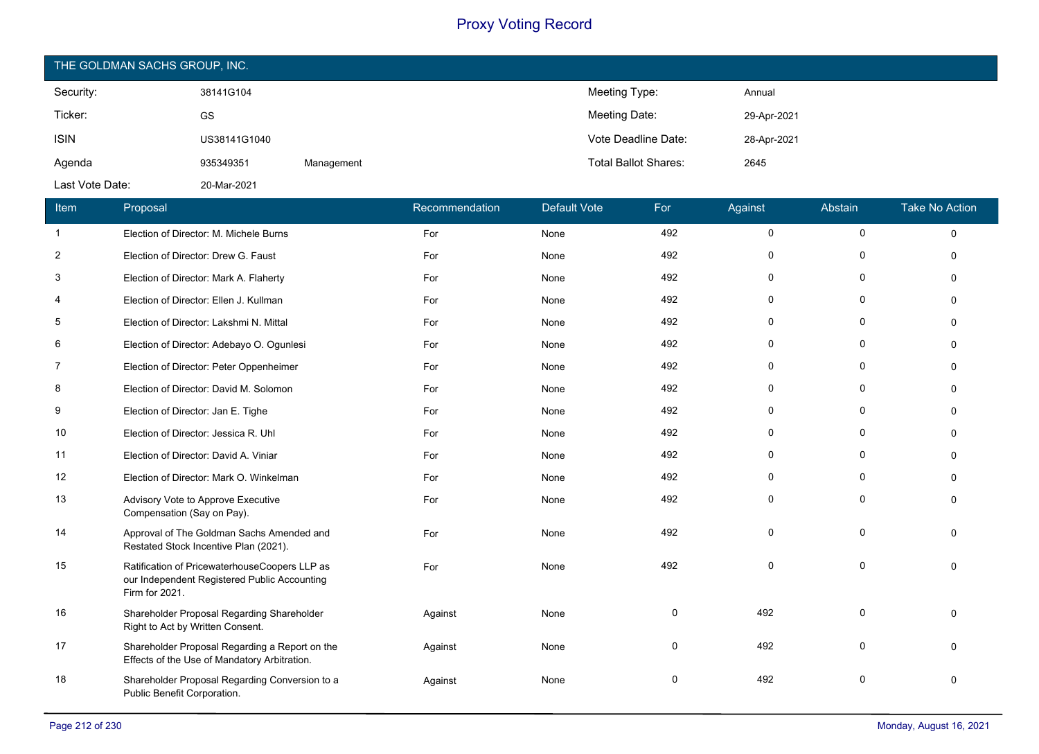| THE GOLDMAN SACHS GROUP, INC. |              |            |                             |             |  |  |  |  |
|-------------------------------|--------------|------------|-----------------------------|-------------|--|--|--|--|
| Security:                     | 38141G104    |            | Meeting Type:               | Annual      |  |  |  |  |
| Ticker:                       | GS           |            | Meeting Date:               | 29-Apr-2021 |  |  |  |  |
| <b>ISIN</b>                   | US38141G1040 |            | Vote Deadline Date:         | 28-Apr-2021 |  |  |  |  |
| Agenda                        | 935349351    | Management | <b>Total Ballot Shares:</b> | 2645        |  |  |  |  |
| Last Vote Date:               | 20-Mar-2021  |            |                             |             |  |  |  |  |

| Item           | Proposal                                                                                                        | Recommendation | <b>Default Vote</b> | For | Against     | Abstain     | <b>Take No Action</b> |
|----------------|-----------------------------------------------------------------------------------------------------------------|----------------|---------------------|-----|-------------|-------------|-----------------------|
| $\mathbf{1}$   | Election of Director: M. Michele Burns                                                                          | For            | None                | 492 | $\mathsf 0$ | $\mathbf 0$ | $\mathbf 0$           |
| $\overline{2}$ | Election of Director: Drew G. Faust                                                                             | For            | None                | 492 | 0           | $\Omega$    | $\Omega$              |
| 3              | Election of Director: Mark A. Flaherty                                                                          | For            | None                | 492 | 0           | $\Omega$    | $\Omega$              |
| 4              | Election of Director: Ellen J. Kullman                                                                          | For            | None                | 492 | 0           | 0           | 0                     |
| 5              | Election of Director: Lakshmi N. Mittal                                                                         | For            | None                | 492 | 0           | $\Omega$    | $\Omega$              |
| 6              | Election of Director: Adebayo O. Ogunlesi                                                                       | For            | None                | 492 | 0           | 0           | $\Omega$              |
| $\overline{7}$ | Election of Director: Peter Oppenheimer                                                                         | For            | None                | 492 | 0           | 0           | 0                     |
| 8              | Election of Director: David M. Solomon                                                                          | For            | None                | 492 | 0           | 0           | $\Omega$              |
| 9              | Election of Director: Jan E. Tighe                                                                              | For            | None                | 492 | 0           | $\Omega$    | $\Omega$              |
| 10             | Election of Director: Jessica R. Uhl                                                                            | For            | None                | 492 | 0           | 0           | $\Omega$              |
| 11             | Election of Director: David A. Viniar                                                                           | For            | None                | 492 | 0           | $\Omega$    | $\Omega$              |
| 12             | Election of Director: Mark O. Winkelman                                                                         | For            | None                | 492 | 0           | $\Omega$    | $\Omega$              |
| 13             | Advisory Vote to Approve Executive<br>Compensation (Say on Pay).                                                | For            | None                | 492 | $\Omega$    | $\Omega$    | $\Omega$              |
| 14             | Approval of The Goldman Sachs Amended and<br>Restated Stock Incentive Plan (2021).                              | For            | None                | 492 | 0           | $\Omega$    | $\Omega$              |
| 15             | Ratification of PricewaterhouseCoopers LLP as<br>our Independent Registered Public Accounting<br>Firm for 2021. | For            | None                | 492 | $\Omega$    | $\Omega$    | $\Omega$              |
| 16             | Shareholder Proposal Regarding Shareholder<br>Right to Act by Written Consent.                                  | Against        | None                | 0   | 492         | $\Omega$    | $\Omega$              |
| 17             | Shareholder Proposal Regarding a Report on the<br>Effects of the Use of Mandatory Arbitration.                  | Against        | None                | 0   | 492         | $\Omega$    | $\Omega$              |
| 18             | Shareholder Proposal Regarding Conversion to a<br>Public Benefit Corporation.                                   | Against        | None                | 0   | 492         | n           | $\Omega$              |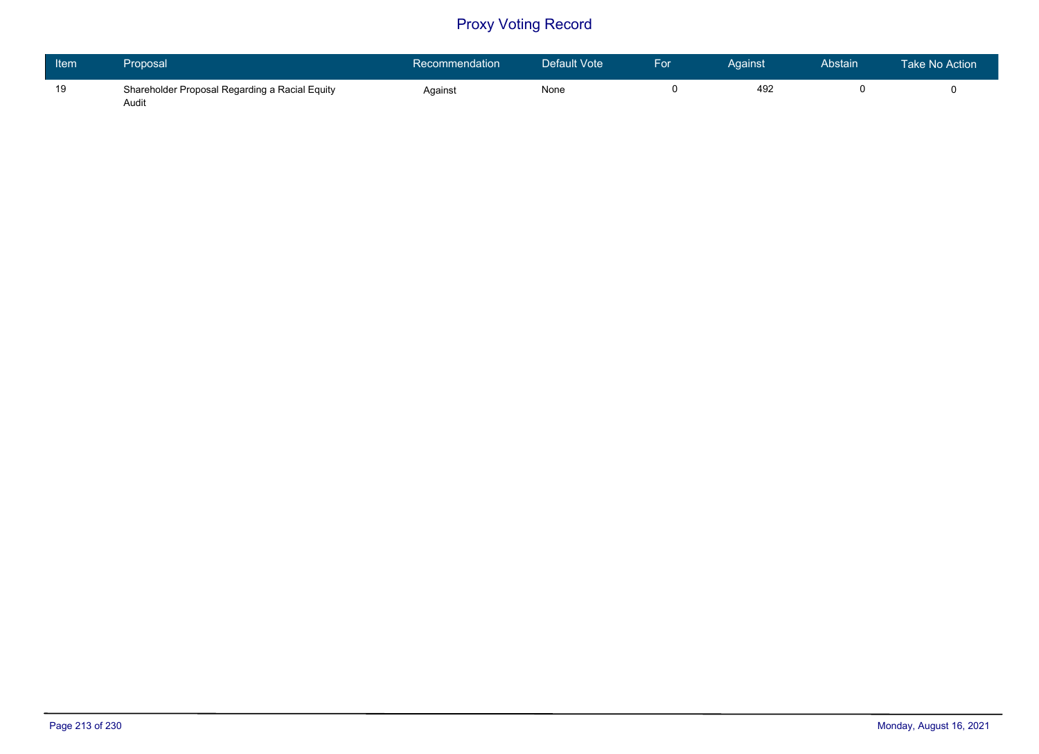| Item | Proposal                                                | Recommendation | Default Vote | For | Against | Abstain | Take No Action |
|------|---------------------------------------------------------|----------------|--------------|-----|---------|---------|----------------|
| 19   | Shareholder Proposal Regarding a Racial Equity<br>Audit | Against        | None         |     | 492     |         |                |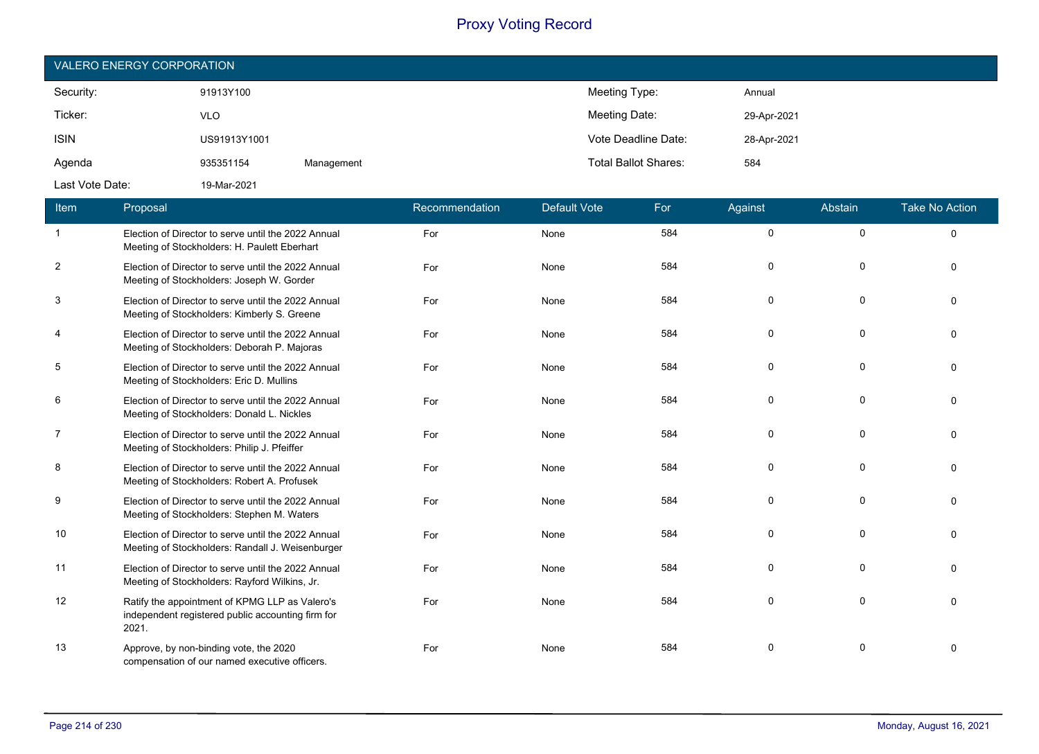| <b>VALERO ENERGY CORPORATION</b> |              |            |                             |             |  |  |  |  |
|----------------------------------|--------------|------------|-----------------------------|-------------|--|--|--|--|
| Security:                        | 91913Y100    |            | Meeting Type:               | Annual      |  |  |  |  |
| Ticker:                          | <b>VLO</b>   |            | Meeting Date:               | 29-Apr-2021 |  |  |  |  |
| <b>ISIN</b>                      | US91913Y1001 |            | Vote Deadline Date:         | 28-Apr-2021 |  |  |  |  |
| Agenda                           | 935351154    | Management | <b>Total Ballot Shares:</b> | 584         |  |  |  |  |
| Last Vote Date:                  | 19-Mar-2021  |            |                             |             |  |  |  |  |

| Item           | Proposal                                                                                                     | Recommendation | <b>Default Vote</b> | For | Against  | Abstain     | <b>Take No Action</b> |
|----------------|--------------------------------------------------------------------------------------------------------------|----------------|---------------------|-----|----------|-------------|-----------------------|
| $\overline{1}$ | Election of Director to serve until the 2022 Annual<br>Meeting of Stockholders: H. Paulett Eberhart          | For            | None                | 584 | 0        | $\mathbf 0$ | $\mathbf{0}$          |
| $\overline{2}$ | Election of Director to serve until the 2022 Annual<br>Meeting of Stockholders: Joseph W. Gorder             | For            | None                | 584 | $\Omega$ | $\mathbf 0$ | 0                     |
| 3              | Election of Director to serve until the 2022 Annual<br>Meeting of Stockholders: Kimberly S. Greene           | For            | None                | 584 | $\Omega$ | $\Omega$    | $\Omega$              |
| 4              | Election of Director to serve until the 2022 Annual<br>Meeting of Stockholders: Deborah P. Majoras           | For            | None                | 584 | $\Omega$ | $\Omega$    | $\Omega$              |
| 5              | Election of Director to serve until the 2022 Annual<br>Meeting of Stockholders: Eric D. Mullins              | For            | None                | 584 | $\Omega$ | $\mathbf 0$ | $\Omega$              |
| 6              | Election of Director to serve until the 2022 Annual<br>Meeting of Stockholders: Donald L. Nickles            | For            | None                | 584 | $\Omega$ | $\Omega$    | $\Omega$              |
| 7              | Election of Director to serve until the 2022 Annual<br>Meeting of Stockholders: Philip J. Pfeiffer           | For            | None                | 584 | $\Omega$ | $\Omega$    | $\Omega$              |
| 8              | Election of Director to serve until the 2022 Annual<br>Meeting of Stockholders: Robert A. Profusek           | For            | None                | 584 | $\Omega$ | $\Omega$    | $\Omega$              |
| 9              | Election of Director to serve until the 2022 Annual<br>Meeting of Stockholders: Stephen M. Waters            | For            | None                | 584 | $\Omega$ | $\Omega$    | $\Omega$              |
| 10             | Election of Director to serve until the 2022 Annual<br>Meeting of Stockholders: Randall J. Weisenburger      | For            | None                | 584 | 0        | $\Omega$    | $\Omega$              |
| 11             | Election of Director to serve until the 2022 Annual<br>Meeting of Stockholders: Rayford Wilkins, Jr.         | For            | None                | 584 | 0        | $\mathbf 0$ | $\Omega$              |
| 12             | Ratify the appointment of KPMG LLP as Valero's<br>independent registered public accounting firm for<br>2021. | For            | None                | 584 | $\Omega$ | $\Omega$    | $\Omega$              |
| 13             | Approve, by non-binding vote, the 2020<br>compensation of our named executive officers.                      | For            | None                | 584 | $\Omega$ | $\Omega$    | $\Omega$              |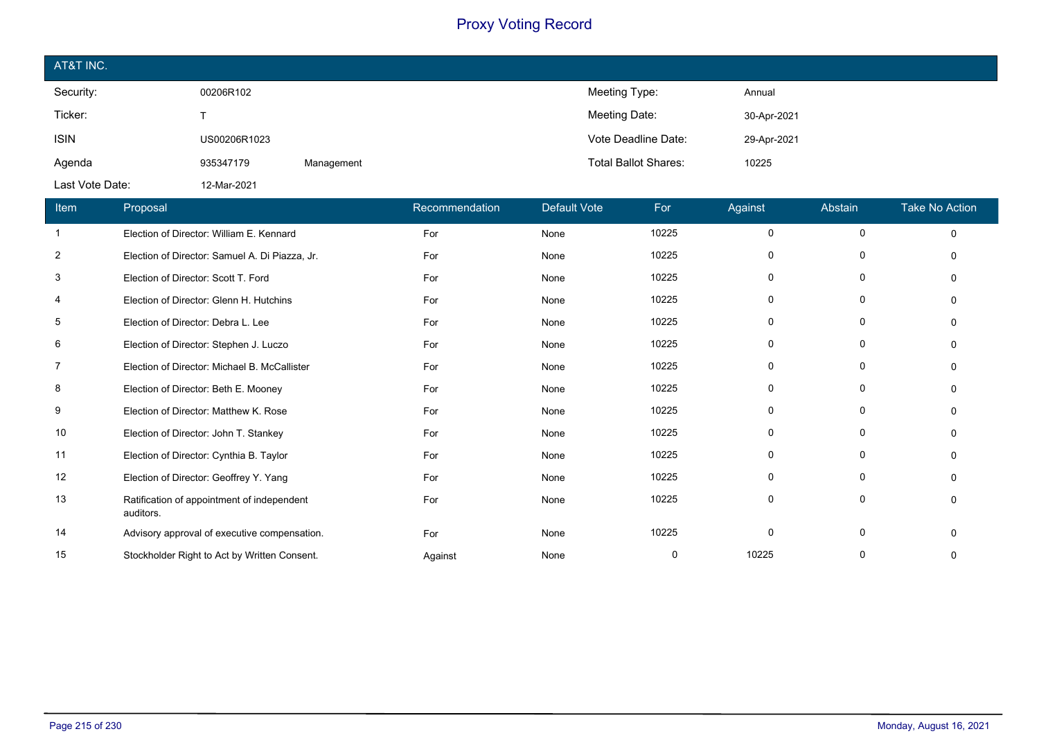| AT&T INC.       |              |            |                             |             |
|-----------------|--------------|------------|-----------------------------|-------------|
| Security:       | 00206R102    |            | Meeting Type:               | Annual      |
| Ticker:         |              |            | Meeting Date:               | 30-Apr-2021 |
| <b>ISIN</b>     | US00206R1023 |            | Vote Deadline Date:         | 29-Apr-2021 |
| Agenda          | 935347179    | Management | <b>Total Ballot Shares:</b> | 10225       |
| Last Vote Date: | 12-Mar-2021  |            |                             |             |

| Item           | Proposal                                                | Recommendation | <b>Default Vote</b> | For   | Against      | Abstain     | <b>Take No Action</b> |
|----------------|---------------------------------------------------------|----------------|---------------------|-------|--------------|-------------|-----------------------|
| $\mathbf{1}$   | Election of Director: William E. Kennard                | For            | None                | 10225 | $\Omega$     | $\mathbf 0$ | $\Omega$              |
| $\overline{2}$ | Election of Director: Samuel A. Di Piazza, Jr.          | For            | None                | 10225 | 0            | 0           |                       |
| 3              | Election of Director: Scott T. Ford                     | For            | None                | 10225 | 0            | 0           |                       |
| 4              | Election of Director: Glenn H. Hutchins                 | For            | None                | 10225 | 0            | 0           |                       |
| 5              | Election of Director: Debra L. Lee                      | For            | None                | 10225 | 0            | 0           |                       |
| 6              | Election of Director: Stephen J. Luczo                  | For            | None                | 10225 | 0            | 0           |                       |
| 7              | Election of Director: Michael B. McCallister            | For            | None                | 10225 | <sup>0</sup> | 0           |                       |
| 8              | Election of Director: Beth E. Mooney                    | For            | None                | 10225 | 0            | $\Omega$    |                       |
| 9              | Election of Director: Matthew K. Rose                   | For            | None                | 10225 | 0            | 0           |                       |
| 10             | Election of Director: John T. Stankey                   | For            | None                | 10225 | $\Omega$     | 0           |                       |
| 11             | Election of Director: Cynthia B. Taylor                 | For            | None                | 10225 | $\Omega$     | 0           |                       |
| 12             | Election of Director: Geoffrey Y. Yang                  | For            | None                | 10225 | $\Omega$     | $\Omega$    |                       |
| 13             | Ratification of appointment of independent<br>auditors. | For            | None                | 10225 | $\mathbf{0}$ | 0           |                       |
| 14             | Advisory approval of executive compensation.            | For            | None                | 10225 | $\mathbf{0}$ | 0           |                       |
| 15             | Stockholder Right to Act by Written Consent.            | Against        | None                | 0     | 10225        |             |                       |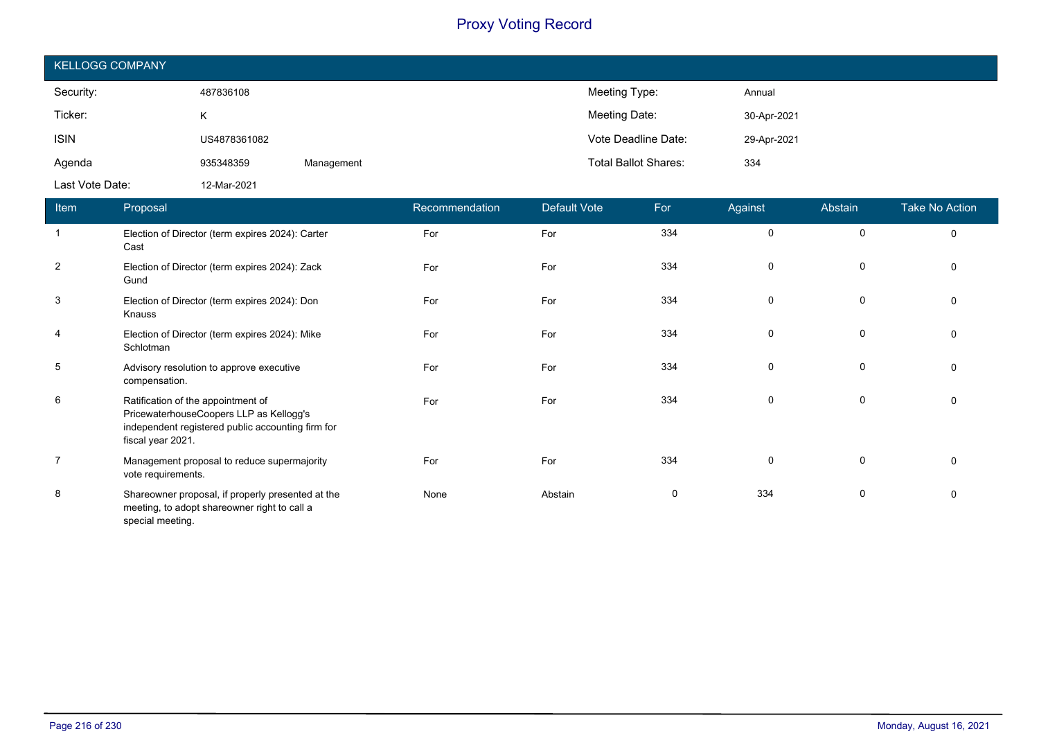| <b>KELLOGG COMPANY</b> |              |            |                             |             |  |  |  |  |
|------------------------|--------------|------------|-----------------------------|-------------|--|--|--|--|
| Security:              | 487836108    |            | Meeting Type:               | Annual      |  |  |  |  |
| Ticker:                | K.           |            | Meeting Date:               | 30-Apr-2021 |  |  |  |  |
| <b>ISIN</b>            | US4878361082 |            | Vote Deadline Date:         | 29-Apr-2021 |  |  |  |  |
| Agenda                 | 935348359    | Management | <b>Total Ballot Shares:</b> | 334         |  |  |  |  |
| Last Vote Date:        | 12-Mar-2021  |            |                             |             |  |  |  |  |

| Item                     | Proposal                                                                                                                                                | Recommendation | Default Vote | For | Against  | Abstain     | <b>Take No Action</b> |
|--------------------------|---------------------------------------------------------------------------------------------------------------------------------------------------------|----------------|--------------|-----|----------|-------------|-----------------------|
| $\overline{\phantom{0}}$ | Election of Director (term expires 2024): Carter<br>Cast                                                                                                | For            | For          | 334 | 0        | $\Omega$    | $\mathbf 0$           |
| $\overline{2}$           | Election of Director (term expires 2024): Zack<br>Gund                                                                                                  | For            | For          | 334 | $\Omega$ | $\mathbf 0$ | $\mathbf 0$           |
| $\mathbf{3}$             | Election of Director (term expires 2024): Don<br>Knauss                                                                                                 | For            | For          | 334 | $\Omega$ | 0           | $\Omega$              |
| $\overline{4}$           | Election of Director (term expires 2024): Mike<br>Schlotman                                                                                             | For            | For          | 334 | 0        | 0           | $\mathbf 0$           |
| 5                        | Advisory resolution to approve executive<br>compensation.                                                                                               | For            | For          | 334 | $\Omega$ | 0           | 0                     |
| 6                        | Ratification of the appointment of<br>PricewaterhouseCoopers LLP as Kellogg's<br>independent registered public accounting firm for<br>fiscal year 2021. | For            | For          | 334 | $\Omega$ | 0           | 0                     |
| $\overline{7}$           | Management proposal to reduce supermajority<br>vote requirements.                                                                                       | For            | For          | 334 | $\Omega$ | $\Omega$    | $\Omega$              |
| 8                        | Shareowner proposal, if properly presented at the<br>meeting, to adopt shareowner right to call a                                                       | None           | Abstain      | 0   | 334      | $\Omega$    | 0                     |

special meeting.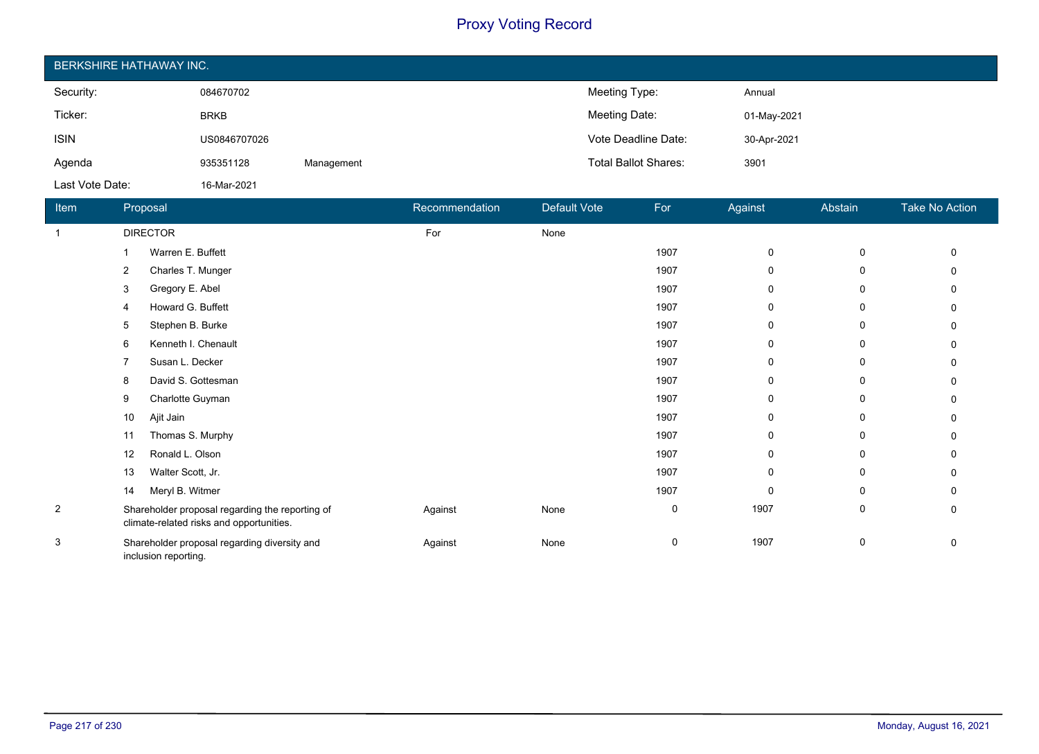| <b>BERKSHIRE HATHAWAY INC.</b> |              |            |                             |             |  |  |  |
|--------------------------------|--------------|------------|-----------------------------|-------------|--|--|--|
| Security:                      | 084670702    |            | Meeting Type:               | Annual      |  |  |  |
| Ticker:                        | <b>BRKB</b>  |            | Meeting Date:               | 01-May-2021 |  |  |  |
| <b>ISIN</b>                    | US0846707026 |            | Vote Deadline Date:         | 30-Apr-2021 |  |  |  |
| Agenda                         | 935351128    | Management | <b>Total Ballot Shares:</b> | 3901        |  |  |  |
| Last Vote Date:                | 16-Mar-2021  |            |                             |             |  |  |  |

| Item           | Proposal             |                                                                                             | Recommendation | Default Vote | For  | Against      | Abstain | Take No Action |
|----------------|----------------------|---------------------------------------------------------------------------------------------|----------------|--------------|------|--------------|---------|----------------|
| -1             | <b>DIRECTOR</b>      |                                                                                             | For            | None         |      |              |         |                |
|                |                      | Warren E. Buffett                                                                           |                |              | 1907 | 0            | 0       | 0              |
|                | 2                    | Charles T. Munger                                                                           |                |              | 1907 | $\mathbf{0}$ | 0       |                |
|                | 3                    | Gregory E. Abel                                                                             |                |              | 1907 | $\mathbf{0}$ | 0       |                |
|                | 4                    | Howard G. Buffett                                                                           |                |              | 1907 | 0            | 0       |                |
|                | 5                    | Stephen B. Burke                                                                            |                |              | 1907 | 0            | 0       |                |
|                | 6                    | Kenneth I. Chenault                                                                         |                |              | 1907 | 0            | 0       |                |
|                |                      | Susan L. Decker                                                                             |                |              | 1907 | $\Omega$     | 0       | n              |
|                | 8                    | David S. Gottesman                                                                          |                |              | 1907 | $\mathbf{0}$ | 0       | U              |
|                | 9                    | Charlotte Guyman                                                                            |                |              | 1907 | $\mathbf{0}$ | 0       |                |
|                | 10<br>Ajit Jain      |                                                                                             |                |              | 1907 | $\mathbf{0}$ | 0       |                |
|                | 11                   | Thomas S. Murphy                                                                            |                |              | 1907 | $\mathbf{0}$ | 0       | 0              |
|                | 12                   | Ronald L. Olson                                                                             |                |              | 1907 | 0            | 0       |                |
|                | 13                   | Walter Scott, Jr.                                                                           |                |              | 1907 | 0            | 0       |                |
|                | 14                   | Meryl B. Witmer                                                                             |                |              | 1907 | 0            | 0       |                |
| $\overline{2}$ |                      | Shareholder proposal regarding the reporting of<br>climate-related risks and opportunities. | Against        | None         | 0    | 1907         | 0       | 0              |
| 3              | inclusion reporting. | Shareholder proposal regarding diversity and                                                | Against        | None         | 0    | 1907         | 0       | 0              |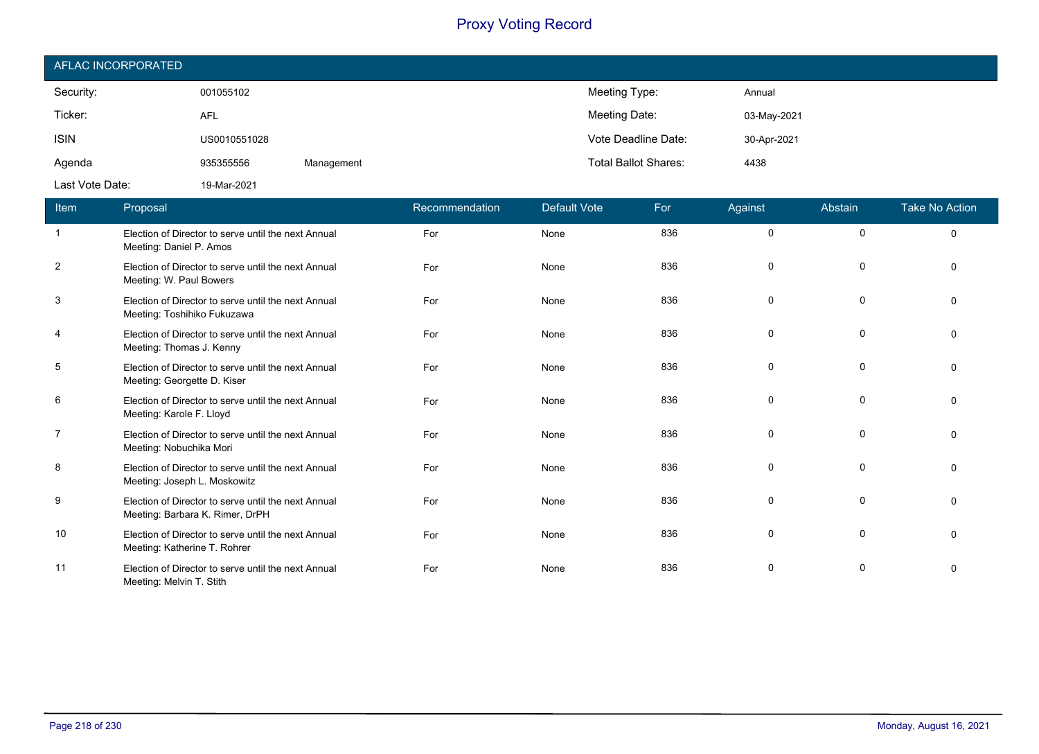| AFLAC INCORPORATED |              |            |                             |             |  |  |  |
|--------------------|--------------|------------|-----------------------------|-------------|--|--|--|
| Security:          | 001055102    |            | Meeting Type:               | Annual      |  |  |  |
| Ticker:            | <b>AFL</b>   |            | Meeting Date:               | 03-May-2021 |  |  |  |
| <b>ISIN</b>        | US0010551028 |            | Vote Deadline Date:         | 30-Apr-2021 |  |  |  |
| Agenda             | 935355556    | Management | <b>Total Ballot Shares:</b> | 4438        |  |  |  |
| Last Vote Date:    | 19-Mar-2021  |            |                             |             |  |  |  |

| Item           | Proposal                                                                               | Recommendation | <b>Default Vote</b> | For | Against  | Abstain      | <b>Take No Action</b> |
|----------------|----------------------------------------------------------------------------------------|----------------|---------------------|-----|----------|--------------|-----------------------|
| $\overline{1}$ | Election of Director to serve until the next Annual<br>Meeting: Daniel P. Amos         | For            | None                | 836 | 0        | $\mathbf 0$  | $\mathbf 0$           |
| 2              | Election of Director to serve until the next Annual<br>Meeting: W. Paul Bowers         | For            | None                | 836 | 0        | 0            | $\Omega$              |
| 3              | Election of Director to serve until the next Annual<br>Meeting: Toshihiko Fukuzawa     | For            | None                | 836 | 0        | 0            | 0                     |
| $\overline{4}$ | Election of Director to serve until the next Annual<br>Meeting: Thomas J. Kenny        | For            | None                | 836 | 0        | 0            | $\Omega$              |
| 5              | Election of Director to serve until the next Annual<br>Meeting: Georgette D. Kiser     | For            | None                | 836 | 0        | $\Omega$     | $\Omega$              |
| 6              | Election of Director to serve until the next Annual<br>Meeting: Karole F. Lloyd        | For            | None                | 836 | 0        | 0            | $\Omega$              |
| $\overline{7}$ | Election of Director to serve until the next Annual<br>Meeting: Nobuchika Mori         | For            | None                | 836 | 0        | 0            | $\Omega$              |
| 8              | Election of Director to serve until the next Annual<br>Meeting: Joseph L. Moskowitz    | For            | None                | 836 | 0        | 0            | $\Omega$              |
| 9              | Election of Director to serve until the next Annual<br>Meeting: Barbara K. Rimer, DrPH | For            | None                | 836 | $\Omega$ | $\Omega$     | $\Omega$              |
| 10             | Election of Director to serve until the next Annual<br>Meeting: Katherine T. Rohrer    | For            | None                | 836 | 0        | $\mathbf{0}$ | $\Omega$              |
| 11             | Election of Director to serve until the next Annual<br>Meeting: Melvin T. Stith        | For            | None                | 836 | 0        | 0            | $\Omega$              |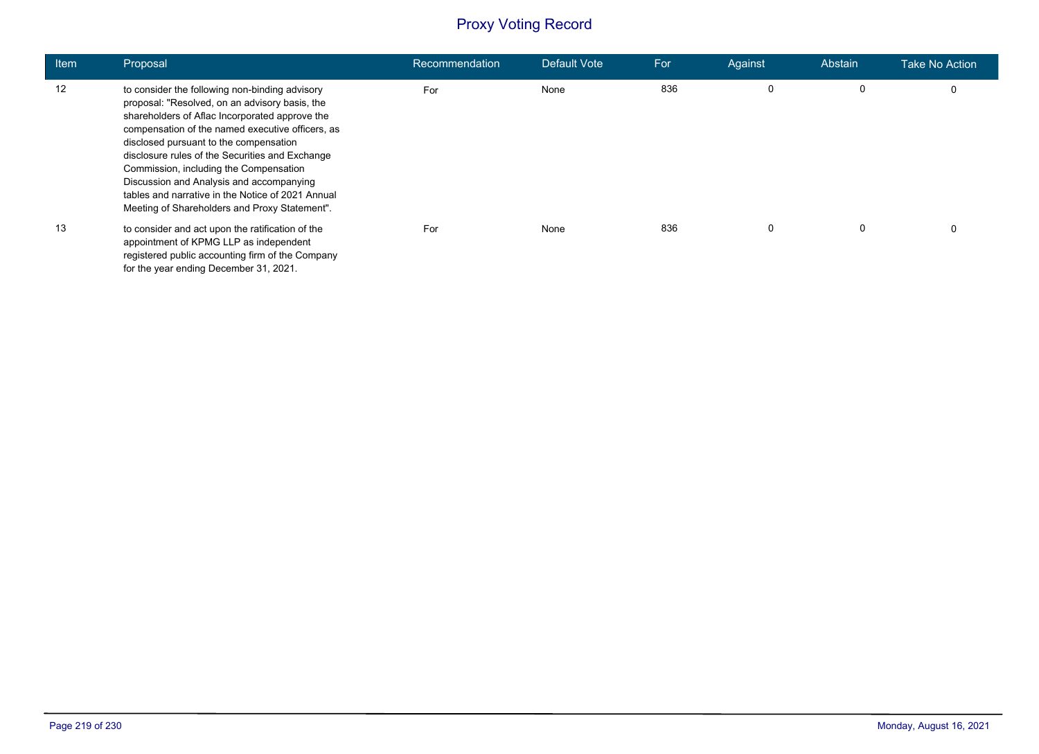| Item | Proposal                                                                                                                                                                                                                                                                                                                                                                                                                                                                                        | Recommendation | Default Vote | For | Against | Abstain | <b>Take No Action</b> |
|------|-------------------------------------------------------------------------------------------------------------------------------------------------------------------------------------------------------------------------------------------------------------------------------------------------------------------------------------------------------------------------------------------------------------------------------------------------------------------------------------------------|----------------|--------------|-----|---------|---------|-----------------------|
| 12   | to consider the following non-binding advisory<br>proposal: "Resolved, on an advisory basis, the<br>shareholders of Aflac Incorporated approve the<br>compensation of the named executive officers, as<br>disclosed pursuant to the compensation<br>disclosure rules of the Securities and Exchange<br>Commission, including the Compensation<br>Discussion and Analysis and accompanying<br>tables and narrative in the Notice of 2021 Annual<br>Meeting of Shareholders and Proxy Statement". | For            | None         | 836 | 0       | 0       | 0                     |
| 13   | to consider and act upon the ratification of the<br>appointment of KPMG LLP as independent<br>registered public accounting firm of the Company<br>for the year ending December 31, 2021.                                                                                                                                                                                                                                                                                                        | For            | None         | 836 |         | 0       | 0                     |

F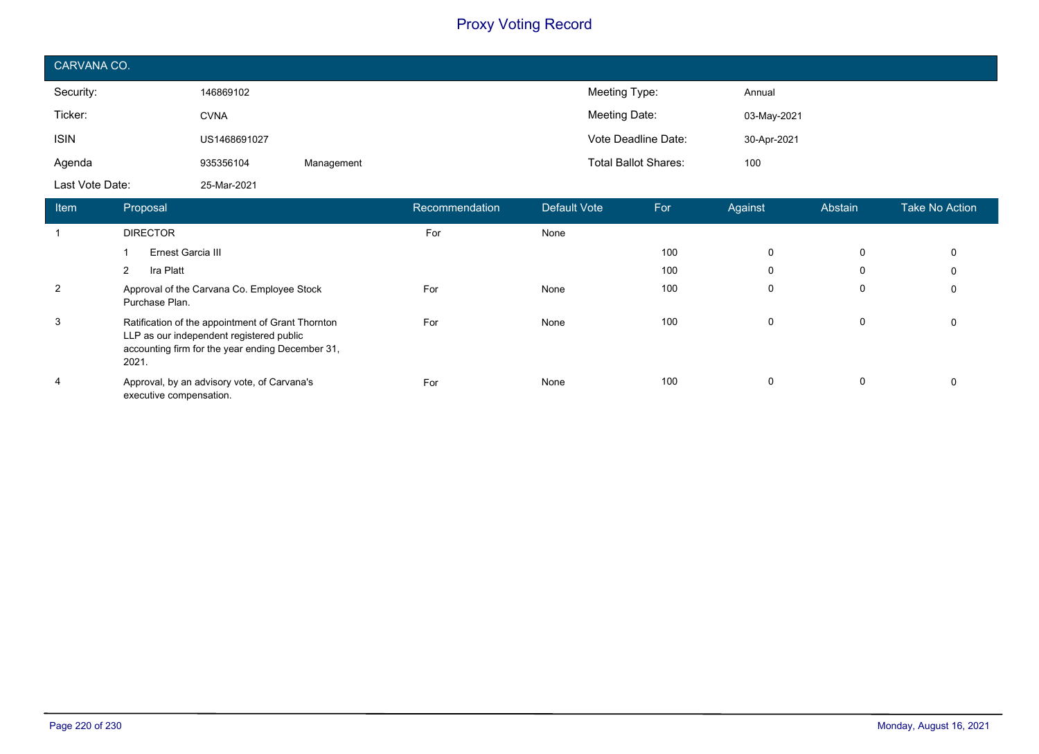| CARVANA CO.     |              |            |                             |             |  |  |  |
|-----------------|--------------|------------|-----------------------------|-------------|--|--|--|
| Security:       | 146869102    |            | Meeting Type:               | Annual      |  |  |  |
| Ticker:         | <b>CVNA</b>  |            | Meeting Date:               | 03-May-2021 |  |  |  |
| <b>ISIN</b>     | US1468691027 |            | Vote Deadline Date:         | 30-Apr-2021 |  |  |  |
| Agenda          | 935356104    | Management | <b>Total Ballot Shares:</b> | 100         |  |  |  |
| Last Vote Date: | 25-Mar-2021  |            |                             |             |  |  |  |

| Item | Proposal                                                                                                                                                   | Recommendation | Default Vote | For | Against     | Abstain | <b>Take No Action</b> |
|------|------------------------------------------------------------------------------------------------------------------------------------------------------------|----------------|--------------|-----|-------------|---------|-----------------------|
|      | <b>DIRECTOR</b>                                                                                                                                            | For            | None         |     |             |         |                       |
|      | Ernest Garcia III                                                                                                                                          |                |              | 100 | $\mathbf 0$ | 0       | 0                     |
|      | Ira Platt<br>2                                                                                                                                             |                |              | 100 | $\mathbf 0$ | 0       | 0                     |
| 2    | Approval of the Carvana Co. Employee Stock<br>Purchase Plan.                                                                                               | For            | None         | 100 | $\Omega$    | 0       | 0                     |
| 3    | Ratification of the appointment of Grant Thornton<br>LLP as our independent registered public<br>accounting firm for the year ending December 31,<br>2021. | For            | None         | 100 | $\mathbf 0$ | 0       | $\Omega$              |
| 4    | Approval, by an advisory vote, of Carvana's<br>executive compensation.                                                                                     | For            | None         | 100 | $\mathbf 0$ | 0       | $\Omega$              |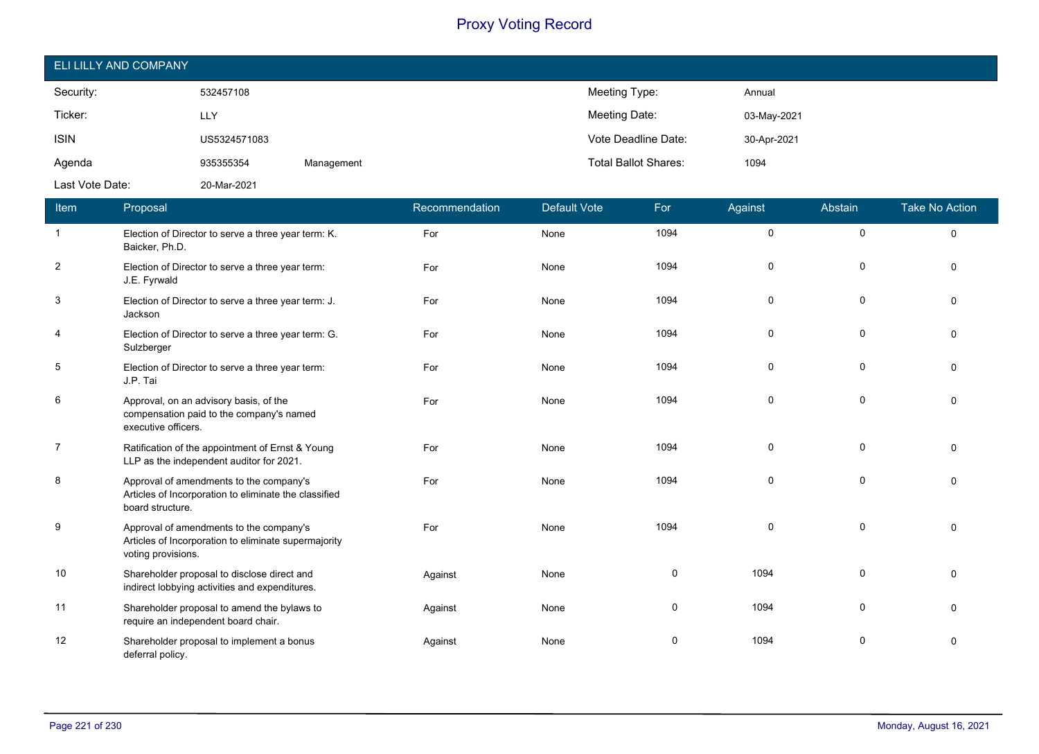| ELI LILLY AND COMPANY |              |            |                                     |  |  |  |  |
|-----------------------|--------------|------------|-------------------------------------|--|--|--|--|
| Security:             | 532457108    |            | Meeting Type:<br>Annual             |  |  |  |  |
| Ticker:               | <b>LLY</b>   |            | Meeting Date:<br>03-May-2021        |  |  |  |  |
| <b>ISIN</b>           | US5324571083 |            | Vote Deadline Date:<br>30-Apr-2021  |  |  |  |  |
| Agenda                | 935355354    | Management | <b>Total Ballot Shares:</b><br>1094 |  |  |  |  |
| Last Vote Date:       | 20-Mar-2021  |            |                                     |  |  |  |  |

| Item           | Proposal                                                                                                              | Recommendation | <b>Default Vote</b> | For  | Against | Abstain     | <b>Take No Action</b> |
|----------------|-----------------------------------------------------------------------------------------------------------------------|----------------|---------------------|------|---------|-------------|-----------------------|
| $\overline{1}$ | Election of Director to serve a three year term: K.<br>Baicker, Ph.D.                                                 | For            | None                | 1094 | 0       | $\pmb{0}$   | 0                     |
| 2              | Election of Director to serve a three year term:<br>J.E. Fyrwald                                                      | For            | None                | 1094 | 0       | $\mathbf 0$ | $\Omega$              |
| 3              | Election of Director to serve a three year term: J.<br>Jackson                                                        | For            | None                | 1094 | 0       | $\mathbf 0$ | $\Omega$              |
| 4              | Election of Director to serve a three year term: G.<br>Sulzberger                                                     | For            | None                | 1094 | 0       | 0           | $\Omega$              |
| 5              | Election of Director to serve a three year term:<br>J.P. Tai                                                          | For            | None                | 1094 | 0       | 0           | $\mathbf{0}$          |
| 6              | Approval, on an advisory basis, of the<br>compensation paid to the company's named<br>executive officers.             | For            | None                | 1094 | 0       | $\mathbf 0$ | $\Omega$              |
| $\overline{7}$ | Ratification of the appointment of Ernst & Young<br>LLP as the independent auditor for 2021.                          | For            | None                | 1094 | 0       | 0           | $\Omega$              |
| 8              | Approval of amendments to the company's<br>Articles of Incorporation to eliminate the classified<br>board structure.  | For            | None                | 1094 | 0       | $\mathbf 0$ | $\Omega$              |
| 9              | Approval of amendments to the company's<br>Articles of Incorporation to eliminate supermajority<br>voting provisions. | For            | None                | 1094 | 0       | 0           | $\Omega$              |
| 10             | Shareholder proposal to disclose direct and<br>indirect lobbying activities and expenditures.                         | Against        | None                | 0    | 1094    | 0           | $\Omega$              |
| 11             | Shareholder proposal to amend the bylaws to<br>require an independent board chair.                                    | Against        | None                | 0    | 1094    | 0           | $\Omega$              |
| 12             | Shareholder proposal to implement a bonus<br>deferral policy.                                                         | Against        | None                | 0    | 1094    | 0           | 0                     |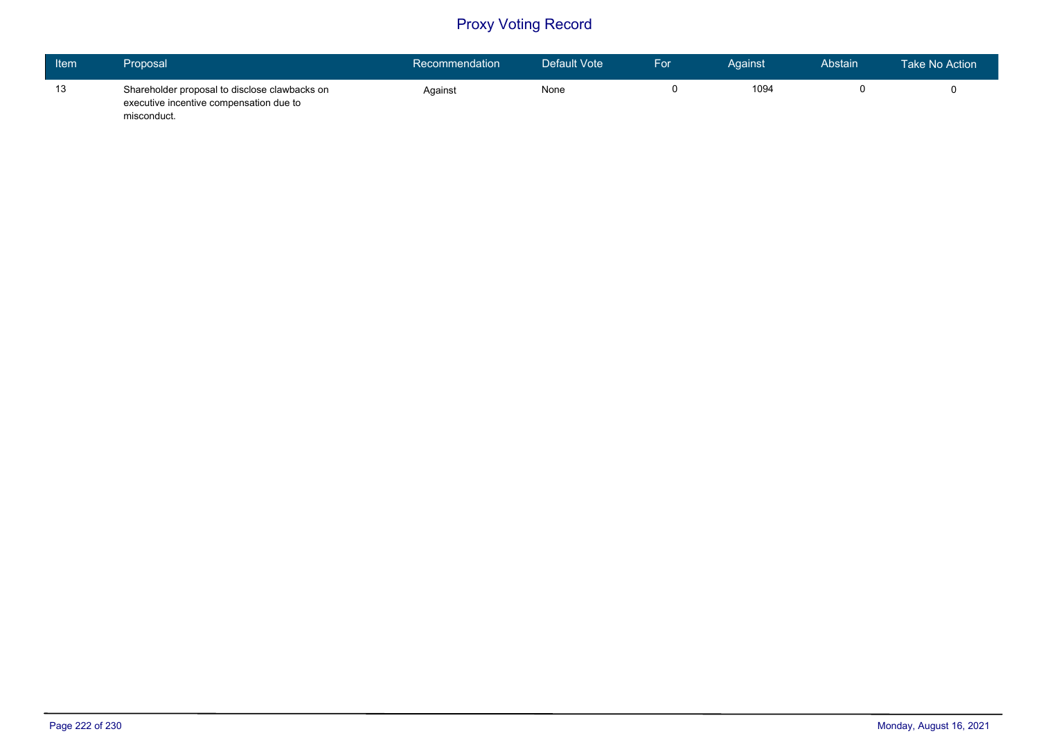| Item | Proposal                                                                                                | Recommendation | Default Vote | For | Against | Abstain | Take No Action |
|------|---------------------------------------------------------------------------------------------------------|----------------|--------------|-----|---------|---------|----------------|
| 13   | Shareholder proposal to disclose clawbacks on<br>executive incentive compensation due to<br>misconduct. | Against        | None         |     | 1094    |         |                |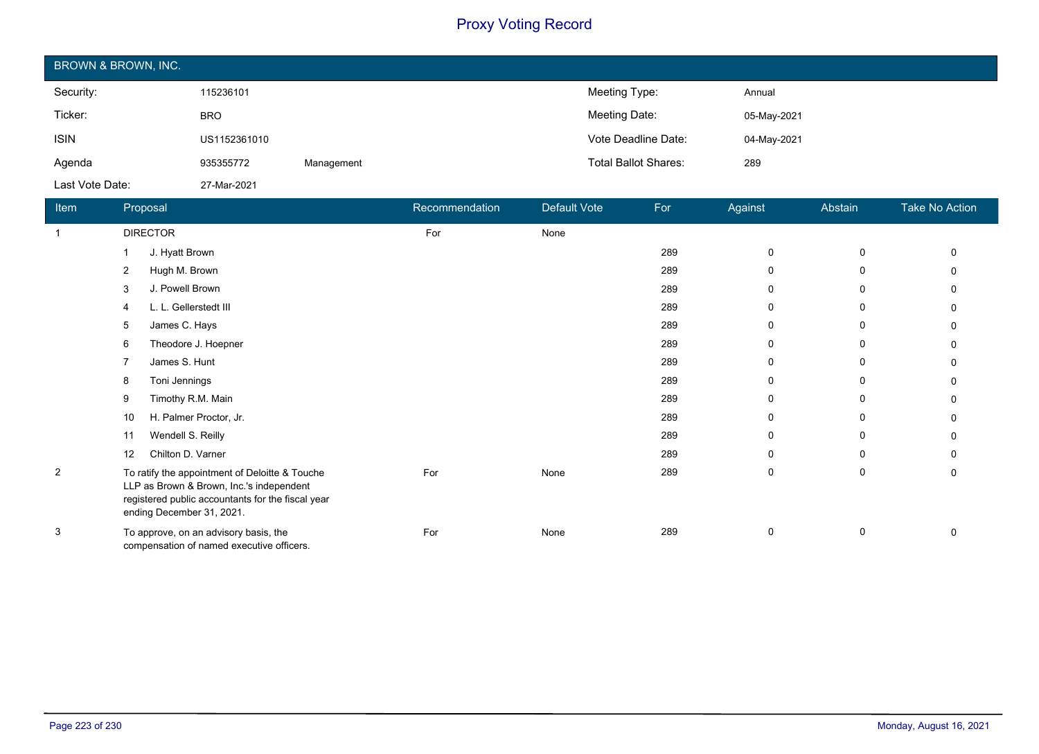| BROWN & BROWN, INC. |              |            |                             |             |  |  |  |
|---------------------|--------------|------------|-----------------------------|-------------|--|--|--|
| Security:           | 115236101    |            | Meeting Type:               | Annual      |  |  |  |
| Ticker:             | <b>BRO</b>   |            | Meeting Date:               | 05-May-2021 |  |  |  |
| <b>ISIN</b>         | US1152361010 |            | Vote Deadline Date:         | 04-May-2021 |  |  |  |
| Agenda              | 935355772    | Management | <b>Total Ballot Shares:</b> | 289         |  |  |  |
| Last Vote Date:     | 27-Mar-2021  |            |                             |             |  |  |  |

| Item           | Proposal                                                                                                                                                                     | Recommendation | Default Vote | For | Against | Abstain     | <b>Take No Action</b> |
|----------------|------------------------------------------------------------------------------------------------------------------------------------------------------------------------------|----------------|--------------|-----|---------|-------------|-----------------------|
| $\mathbf{1}$   | <b>DIRECTOR</b>                                                                                                                                                              | For            | None         |     |         |             |                       |
|                | J. Hyatt Brown                                                                                                                                                               |                |              | 289 | 0       | $\mathbf 0$ | 0                     |
|                | Hugh M. Brown<br>2                                                                                                                                                           |                |              | 289 | 0       | 0           | 0                     |
|                | J. Powell Brown<br>3                                                                                                                                                         |                |              | 289 | 0       | 0           | 0                     |
|                | L. L. Gellerstedt III<br>4                                                                                                                                                   |                |              | 289 | 0       | 0           | 0                     |
|                | James C. Hays<br>5                                                                                                                                                           |                |              | 289 | 0       | 0           | 0                     |
|                | Theodore J. Hoepner<br>6                                                                                                                                                     |                |              | 289 | 0       | 0           | 0                     |
|                | James S. Hunt                                                                                                                                                                |                |              | 289 | 0       | 0           | 0                     |
|                | Toni Jennings<br>8                                                                                                                                                           |                |              | 289 | 0       | 0           | 0                     |
|                | Timothy R.M. Main<br>9                                                                                                                                                       |                |              | 289 | 0       | $\mathbf 0$ | 0                     |
|                | H. Palmer Proctor, Jr.<br>10                                                                                                                                                 |                |              | 289 | 0       | $\mathbf 0$ | 0                     |
|                | Wendell S. Reilly<br>11                                                                                                                                                      |                |              | 289 | 0       | $\mathbf 0$ |                       |
|                | Chilton D. Varner<br>12                                                                                                                                                      |                |              | 289 | 0       | 0           |                       |
| $\overline{c}$ | To ratify the appointment of Deloitte & Touche<br>LLP as Brown & Brown, Inc.'s independent<br>registered public accountants for the fiscal year<br>ending December 31, 2021. | For            | None         | 289 | 0       | 0           | 0                     |
| 3              | To approve, on an advisory basis, the<br>compensation of named executive officers.                                                                                           | For            | None         | 289 | 0       | 0           | 0                     |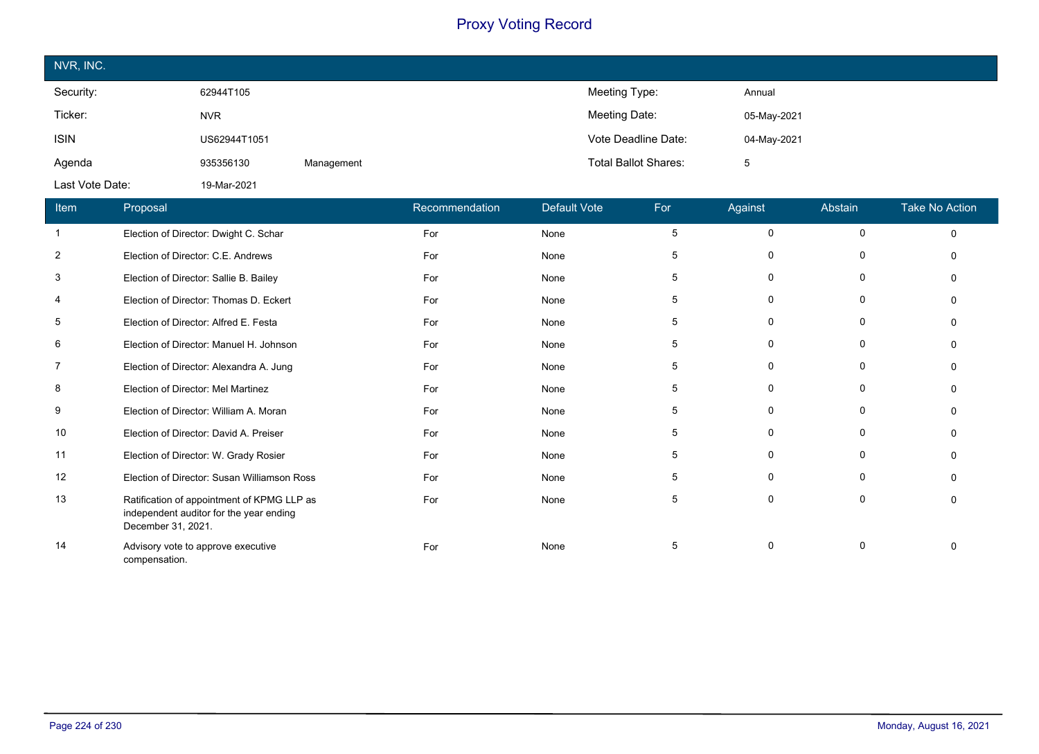| NVR, INC.       |              |            |                             |             |
|-----------------|--------------|------------|-----------------------------|-------------|
| Security:       | 62944T105    |            | Meeting Type:               | Annual      |
| Ticker:         | <b>NVR</b>   |            | Meeting Date:               | 05-May-2021 |
| <b>ISIN</b>     | US62944T1051 |            | Vote Deadline Date:         | 04-May-2021 |
| Agenda          | 935356130    | Management | <b>Total Ballot Shares:</b> | 5           |
| Last Vote Date: | 19-Mar-2021  |            |                             |             |

| Item           | Proposal                                                                                                    | Recommendation | <b>Default Vote</b> | For | Against     | Abstain      | <b>Take No Action</b> |
|----------------|-------------------------------------------------------------------------------------------------------------|----------------|---------------------|-----|-------------|--------------|-----------------------|
|                | Election of Director: Dwight C. Schar                                                                       | For            | None                | 5   | 0           | $\mathbf 0$  | $\Omega$              |
| $\overline{2}$ | Election of Director: C.E. Andrews                                                                          | For            | None                | 5   | 0           | $\Omega$     | $\Omega$              |
| 3              | Election of Director: Sallie B. Bailey                                                                      | For            | None                | 5   | 0           | 0            | n                     |
| 4              | Election of Director: Thomas D. Eckert                                                                      | For            | None                | 5   | $\mathbf 0$ | $\mathbf{0}$ |                       |
| 5              | Election of Director: Alfred E. Festa                                                                       | For            | None                | 5   | 0           | 0            |                       |
| 6              | Election of Director: Manuel H. Johnson                                                                     | For            | None                | 5   | 0           | 0            | $\Omega$              |
| $\overline{7}$ | Election of Director: Alexandra A. Jung                                                                     | For            | None                | 5   | $\mathbf 0$ | $\Omega$     |                       |
| 8              | Election of Director: Mel Martinez                                                                          | For            | None                | 5   | $\mathbf 0$ | $\mathbf{0}$ | $\Omega$              |
| 9              | Election of Director: William A. Moran                                                                      | For            | None                | 5   | 0           | 0            | $\Omega$              |
| 10             | Election of Director: David A. Preiser                                                                      | For            | None                | 5   | 0           | 0            | $\Omega$              |
| 11             | Election of Director: W. Grady Rosier                                                                       | For            | None                | 5   | $\mathbf 0$ | 0            |                       |
| 12             | Election of Director: Susan Williamson Ross                                                                 | For            | None                | 5   | $\mathbf 0$ | $\mathbf{0}$ |                       |
| 13             | Ratification of appointment of KPMG LLP as<br>independent auditor for the year ending<br>December 31, 2021. | For            | None                | 5   | 0           | 0            | $\Omega$              |
| 14             | Advisory vote to approve executive<br>compensation.                                                         | For            | None                | 5   | $\mathbf 0$ | $\Omega$     |                       |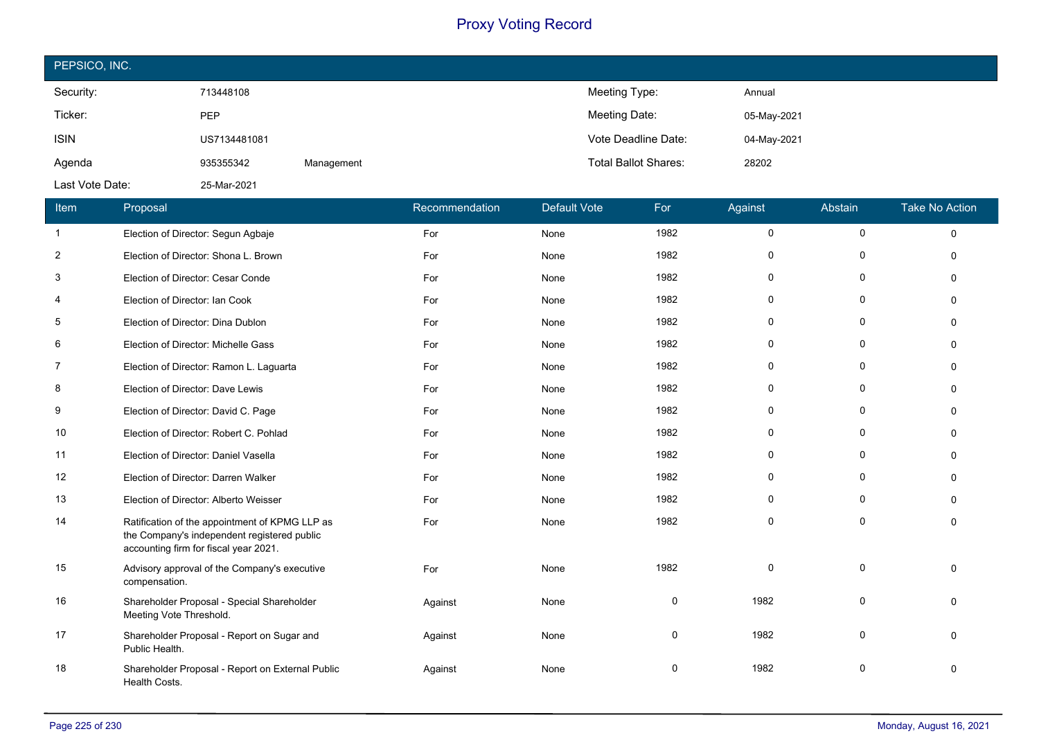| PEPSICO, INC.   |              |            |                             |             |  |  |
|-----------------|--------------|------------|-----------------------------|-------------|--|--|
| Security:       | 713448108    |            | Meeting Type:               | Annual      |  |  |
| Ticker:         | PEP          |            | Meeting Date:               | 05-May-2021 |  |  |
| <b>ISIN</b>     | US7134481081 |            | Vote Deadline Date:         | 04-May-2021 |  |  |
| Agenda          | 935355342    | Management | <b>Total Ballot Shares:</b> | 28202       |  |  |
| Last Vote Date: | 25-Mar-2021  |            |                             |             |  |  |

| Item           | Proposal                                                                                                                               | Recommendation | <b>Default Vote</b> | For         | Against      | Abstain      | <b>Take No Action</b> |
|----------------|----------------------------------------------------------------------------------------------------------------------------------------|----------------|---------------------|-------------|--------------|--------------|-----------------------|
| $\mathbf{1}$   | Election of Director: Segun Agbaje                                                                                                     | For            | None                | 1982        | $\mathbf 0$  | $\mathbf 0$  | $\Omega$              |
| $\overline{c}$ | Election of Director: Shona L. Brown                                                                                                   | For            | None                | 1982        | $\mathbf 0$  | $\Omega$     | $\mathbf{0}$          |
| 3              | Election of Director: Cesar Conde                                                                                                      | For            | None                | 1982        | 0            | 0            | $\Omega$              |
| 4              | Election of Director: Ian Cook                                                                                                         | For            | None                | 1982        | $\mathbf{0}$ | $\Omega$     | $\Omega$              |
| 5              | Election of Director: Dina Dublon                                                                                                      | For            | None                | 1982        | $\mathbf 0$  | 0            | $\Omega$              |
| 6              | Election of Director: Michelle Gass                                                                                                    | For            | None                | 1982        | 0            | $\Omega$     | $\Omega$              |
| $\overline{7}$ | Election of Director: Ramon L. Laguarta                                                                                                | For            | None                | 1982        | $\mathbf 0$  | $\mathbf{0}$ | $\Omega$              |
| 8              | Election of Director: Dave Lewis                                                                                                       | For            | None                | 1982        | $\mathbf{0}$ | $\mathbf 0$  | $\Omega$              |
| 9              | Election of Director: David C. Page                                                                                                    | For            | None                | 1982        | 0            | 0            | $\Omega$              |
| 10             | Election of Director: Robert C. Pohlad                                                                                                 | For            | None                | 1982        | $\mathbf 0$  | $\Omega$     | $\Omega$              |
| 11             | Election of Director: Daniel Vasella                                                                                                   | For            | None                | 1982        | $\mathbf{0}$ | $\mathbf{0}$ | $\Omega$              |
| 12             | Election of Director: Darren Walker                                                                                                    | For            | None                | 1982        | 0            | 0            | $\Omega$              |
| 13             | Election of Director: Alberto Weisser                                                                                                  | For            | None                | 1982        | $\mathbf{0}$ | $\mathbf{0}$ | $\Omega$              |
| 14             | Ratification of the appointment of KPMG LLP as<br>the Company's independent registered public<br>accounting firm for fiscal year 2021. | For            | None                | 1982        | $\mathbf 0$  | $\mathbf 0$  | $\Omega$              |
| 15             | Advisory approval of the Company's executive<br>compensation.                                                                          | For            | None                | 1982        | $\Omega$     | $\mathbf 0$  | $\Omega$              |
| 16             | Shareholder Proposal - Special Shareholder<br>Meeting Vote Threshold.                                                                  | Against        | None                | $\mathbf 0$ | 1982         | $\Omega$     | $\Omega$              |
| 17             | Shareholder Proposal - Report on Sugar and<br>Public Health.                                                                           | Against        | None                | $\Omega$    | 1982         | $\Omega$     | $\Omega$              |
| 18             | Shareholder Proposal - Report on External Public<br>Health Costs.                                                                      | Against        | None                | 0           | 1982         | $\mathbf 0$  | $\Omega$              |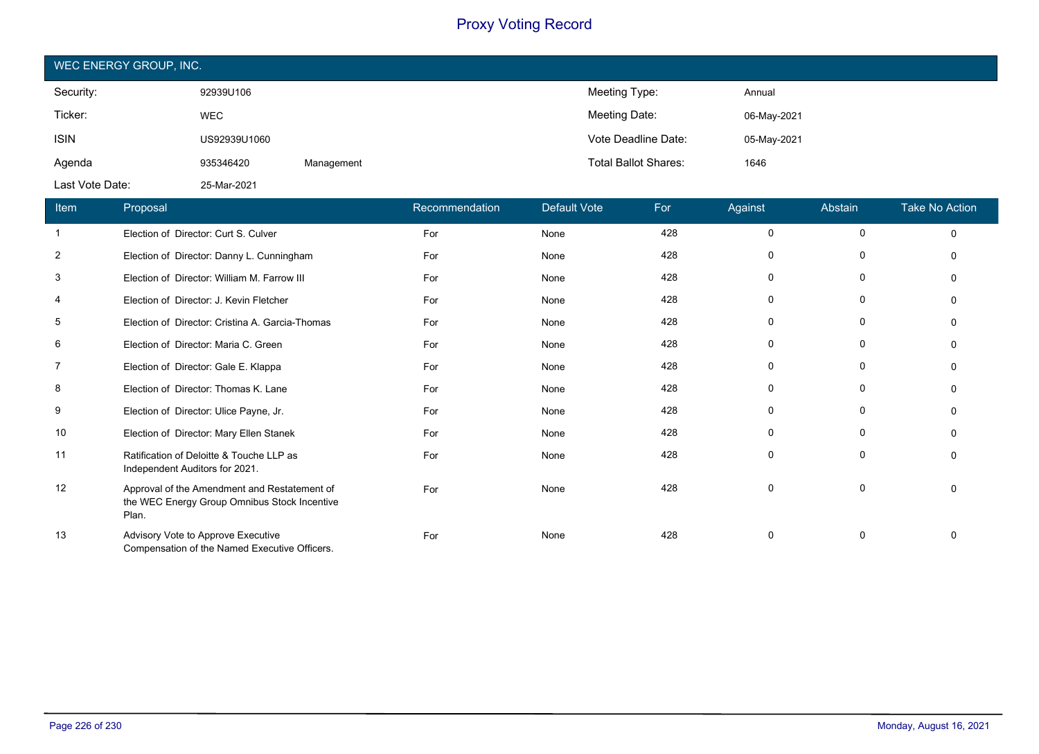| WEC ENERGY GROUP, INC. |              |            |                             |             |  |  |
|------------------------|--------------|------------|-----------------------------|-------------|--|--|
| Security:              | 92939U106    |            | Meeting Type:               | Annual      |  |  |
| Ticker:                | <b>WEC</b>   |            | Meeting Date:               | 06-May-2021 |  |  |
| <b>ISIN</b>            | US92939U1060 |            | Vote Deadline Date:         | 05-May-2021 |  |  |
| Agenda                 | 935346420    | Management | <b>Total Ballot Shares:</b> | 1646        |  |  |
| Last Vote Date:        | 25-Mar-2021  |            |                             |             |  |  |

| Item           | Proposal                                                                                              | Recommendation | <b>Default Vote</b> | For | Against     | Abstain      | <b>Take No Action</b> |
|----------------|-------------------------------------------------------------------------------------------------------|----------------|---------------------|-----|-------------|--------------|-----------------------|
| $\mathbf{1}$   | Election of Director: Curt S. Culver                                                                  | For            | None                | 428 | $\mathbf 0$ | $\mathbf 0$  | $\Omega$              |
| $\overline{2}$ | Election of Director: Danny L. Cunningham                                                             | For            | None                | 428 | 0           | 0            | $\Omega$              |
| 3              | Election of Director: William M. Farrow III                                                           | For            | None                | 428 | $\mathbf 0$ | 0            | $\Omega$              |
| 4              | Election of Director: J. Kevin Fletcher                                                               | For            | None                | 428 | 0           | 0            | $\Omega$              |
| 5              | Election of Director: Cristina A. Garcia-Thomas                                                       | For            | None                | 428 | 0           | $\mathbf 0$  | $\Omega$              |
| 6              | Election of Director: Maria C. Green                                                                  | For            | None                | 428 | 0           | 0            | $\Omega$              |
| $\overline{7}$ | Election of Director: Gale E. Klappa                                                                  | For            | None                | 428 | $\Omega$    | $\mathbf{0}$ | $\Omega$              |
| 8              | Election of Director: Thomas K. Lane                                                                  | For            | None                | 428 | $\mathbf 0$ | 0            | $\Omega$              |
| 9              | Election of Director: Ulice Payne, Jr.                                                                | For            | None                | 428 | 0           | 0            | $\Omega$              |
| 10             | Election of Director: Mary Ellen Stanek                                                               | For            | None                | 428 | 0           | 0            | $\Omega$              |
| 11             | Ratification of Deloitte & Touche LLP as<br>Independent Auditors for 2021.                            | For            | None                | 428 | $\mathbf 0$ | $\mathbf 0$  |                       |
| 12             | Approval of the Amendment and Restatement of<br>the WEC Energy Group Omnibus Stock Incentive<br>Plan. | For            | None                | 428 | $\mathbf 0$ | $\mathbf 0$  | $\Omega$              |
| 13             | Advisory Vote to Approve Executive<br>Compensation of the Named Executive Officers.                   | For            | None                | 428 | $\mathbf 0$ | 0            | $\Omega$              |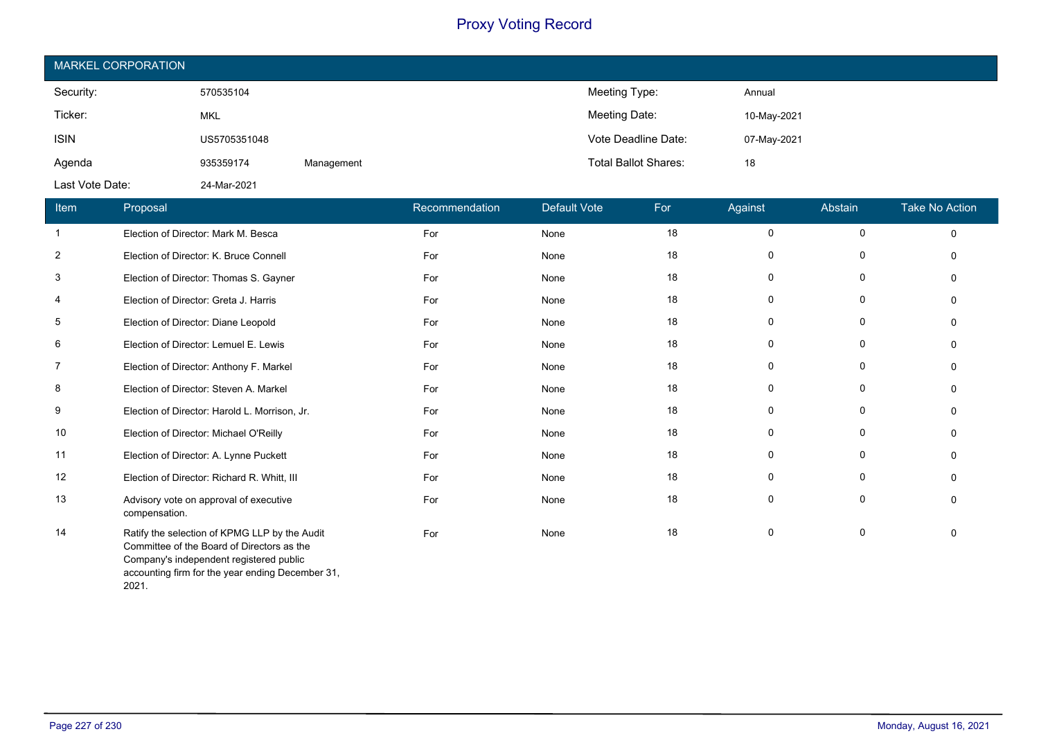| <b>MARKEL CORPORATION</b> |              |            |                             |             |  |  |
|---------------------------|--------------|------------|-----------------------------|-------------|--|--|
| Security:                 | 570535104    |            | Meeting Type:               | Annual      |  |  |
| Ticker:                   | <b>MKL</b>   |            | Meeting Date:               | 10-May-2021 |  |  |
| <b>ISIN</b>               | US5705351048 |            | Vote Deadline Date:         | 07-May-2021 |  |  |
| Agenda                    | 935359174    | Management | <b>Total Ballot Shares:</b> | 18          |  |  |
| Last Vote Date:           | 24-Mar-2021  |            |                             |             |  |  |

| Item           | Proposal                                                                                                                                                                                   | Recommendation | <b>Default Vote</b> | For | Against     | Abstain     | <b>Take No Action</b> |
|----------------|--------------------------------------------------------------------------------------------------------------------------------------------------------------------------------------------|----------------|---------------------|-----|-------------|-------------|-----------------------|
| $\mathbf{1}$   | Election of Director: Mark M. Besca                                                                                                                                                        | For            | None                | 18  | 0           | $\mathbf 0$ | $\mathbf 0$           |
| 2              | Election of Director: K. Bruce Connell                                                                                                                                                     | For            | None                | 18  | 0           | 0           | $\Omega$              |
| 3              | Election of Director: Thomas S. Gayner                                                                                                                                                     | For            | None                | 18  | 0           | 0           | $\Omega$              |
| 4              | Election of Director: Greta J. Harris                                                                                                                                                      | For            | None                | 18  | 0           | 0           | $\Omega$              |
| 5              | Election of Director: Diane Leopold                                                                                                                                                        | For            | None                | 18  | $\mathbf 0$ | 0           | $\Omega$              |
| 6              | Election of Director: Lemuel E. Lewis                                                                                                                                                      | For            | None                | 18  | 0           | 0           | $\mathbf{0}$          |
| $\overline{7}$ | Election of Director: Anthony F. Markel                                                                                                                                                    | For            | None                | 18  | $\mathbf 0$ | $\mathbf 0$ | $\Omega$              |
| 8              | Election of Director: Steven A. Markel                                                                                                                                                     | For            | None                | 18  | $\mathbf 0$ | $\mathbf 0$ | $\Omega$              |
| 9              | Election of Director: Harold L. Morrison, Jr.                                                                                                                                              | For            | None                | 18  | $\mathbf 0$ | 0           | $\Omega$              |
| 10             | Election of Director: Michael O'Reilly                                                                                                                                                     | For            | None                | 18  | 0           | $\mathbf 0$ | $\Omega$              |
| 11             | Election of Director: A. Lynne Puckett                                                                                                                                                     | For            | None                | 18  | $\mathbf 0$ | 0           | $\Omega$              |
| 12             | Election of Director: Richard R. Whitt, III                                                                                                                                                | For            | None                | 18  | $\mathbf 0$ | $\mathbf 0$ | $\Omega$              |
| 13             | Advisory vote on approval of executive<br>compensation.                                                                                                                                    | For            | None                | 18  | 0           | 0           | $\Omega$              |
| 14             | Ratify the selection of KPMG LLP by the Audit<br>Committee of the Board of Directors as the<br>Company's independent registered public<br>accounting firm for the year ending December 31, | For            | None                | 18  | 0           | 0           | $\mathbf{0}$          |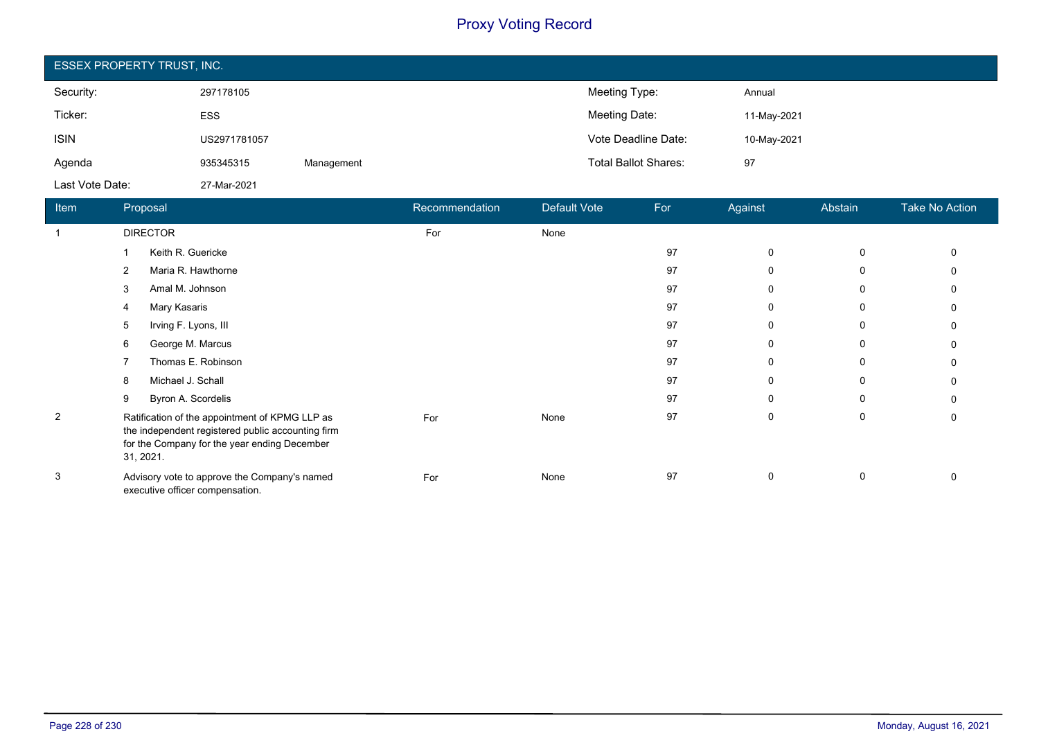| <b>ESSEX PROPERTY TRUST, INC.</b> |              |            |                             |             |  |  |
|-----------------------------------|--------------|------------|-----------------------------|-------------|--|--|
| Security:                         | 297178105    |            | Meeting Type:               | Annual      |  |  |
| Ticker:                           | <b>ESS</b>   |            | Meeting Date:               | 11-May-2021 |  |  |
| <b>ISIN</b>                       | US2971781057 |            | Vote Deadline Date:         | 10-May-2021 |  |  |
| Agenda                            | 935345315    | Management | <b>Total Ballot Shares:</b> | 97          |  |  |
| Last Vote Date:                   | 27-Mar-2021  |            |                             |             |  |  |

| Item           | Proposal                                                                                                                                                         | Recommendation | Default Vote | For | Against     | Abstain     | <b>Take No Action</b> |
|----------------|------------------------------------------------------------------------------------------------------------------------------------------------------------------|----------------|--------------|-----|-------------|-------------|-----------------------|
|                | <b>DIRECTOR</b>                                                                                                                                                  | For            | None         |     |             |             |                       |
|                | Keith R. Guericke                                                                                                                                                |                |              | 97  | $\mathbf 0$ | $\mathbf 0$ | 0                     |
|                | Maria R. Hawthorne<br>2                                                                                                                                          |                |              | 97  | 0           | 0           |                       |
|                | Amal M. Johnson<br>3                                                                                                                                             |                |              | 97  | 0           | 0           |                       |
|                | Mary Kasaris<br>4                                                                                                                                                |                |              | 97  | 0           | $\Omega$    | 0                     |
|                | Irving F. Lyons, III<br>5                                                                                                                                        |                |              | 97  | 0           | 0           |                       |
|                | George M. Marcus<br>6                                                                                                                                            |                |              | 97  | 0           | $\Omega$    |                       |
|                | Thomas E. Robinson                                                                                                                                               |                |              | 97  | 0           | $\Omega$    |                       |
|                | Michael J. Schall<br>8                                                                                                                                           |                |              | 97  | 0           | 0           | 0                     |
|                | Byron A. Scordelis<br>9                                                                                                                                          |                |              | 97  | 0           | $\Omega$    |                       |
| $\overline{2}$ | Ratification of the appointment of KPMG LLP as<br>the independent registered public accounting firm<br>for the Company for the year ending December<br>31, 2021. | For            | None         | 97  | 0           | 0           | 0                     |
| 3              | Advisory vote to approve the Company's named<br>executive officer compensation.                                                                                  | For            | None         | 97  | $\mathbf 0$ | 0           | 0                     |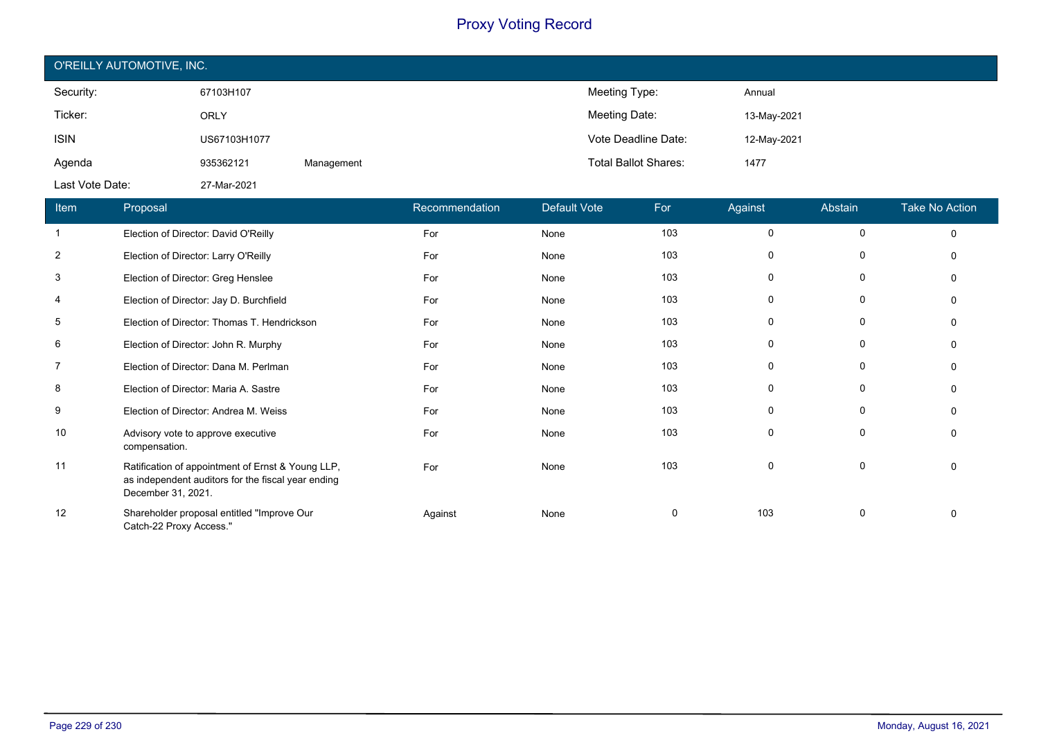| O'REILLY AUTOMOTIVE, INC. |              |            |                             |             |  |  |
|---------------------------|--------------|------------|-----------------------------|-------------|--|--|
| Security:                 | 67103H107    |            | Meeting Type:               | Annual      |  |  |
| Ticker:                   | <b>ORLY</b>  |            | Meeting Date:               | 13-May-2021 |  |  |
| <b>ISIN</b>               | US67103H1077 |            | Vote Deadline Date:         | 12-May-2021 |  |  |
| Agenda                    | 935362121    | Management | <b>Total Ballot Shares:</b> | 1477        |  |  |
| Last Vote Date:           | 27-Mar-2021  |            |                             |             |  |  |

| Item           | Proposal                                                                                                                      | Recommendation | <b>Default Vote</b> | For | Against | Abstain     | <b>Take No Action</b> |
|----------------|-------------------------------------------------------------------------------------------------------------------------------|----------------|---------------------|-----|---------|-------------|-----------------------|
| $\mathbf{1}$   | Election of Director: David O'Reilly                                                                                          | For            | None                | 103 | 0       | 0           | $\mathbf 0$           |
| $\overline{2}$ | Election of Director: Larry O'Reilly                                                                                          | For            | None                | 103 | 0       | $\mathbf 0$ | $\mathbf{0}$          |
| 3              | Election of Director: Greg Henslee                                                                                            | For            | None                | 103 | 0       | 0           | $\Omega$              |
| 4              | Election of Director: Jay D. Burchfield                                                                                       | For            | None                | 103 | 0       | 0           | $\Omega$              |
| 5              | Election of Director: Thomas T. Hendrickson                                                                                   | For            | None                | 103 | 0       | 0           | 0                     |
| 6              | Election of Director: John R. Murphy                                                                                          | For            | None                | 103 | 0       | 0           | $\Omega$              |
| 7              | Election of Director: Dana M. Perlman                                                                                         | For            | None                | 103 | 0       | 0           | $\Omega$              |
| 8              | Election of Director: Maria A. Sastre                                                                                         | For            | None                | 103 | 0       | 0           | $\Omega$              |
| 9              | Election of Director: Andrea M. Weiss                                                                                         | For            | None                | 103 | 0       | 0           | 0                     |
| 10             | Advisory vote to approve executive<br>compensation.                                                                           | For            | None                | 103 | 0       | 0           | $\Omega$              |
| 11             | Ratification of appointment of Ernst & Young LLP,<br>as independent auditors for the fiscal year ending<br>December 31, 2021. | For            | None                | 103 | 0       | 0           | 0                     |
| 12             | Shareholder proposal entitled "Improve Our<br>Catch-22 Proxy Access."                                                         | Against        | None                | 0   | 103     | 0           | $\Omega$              |